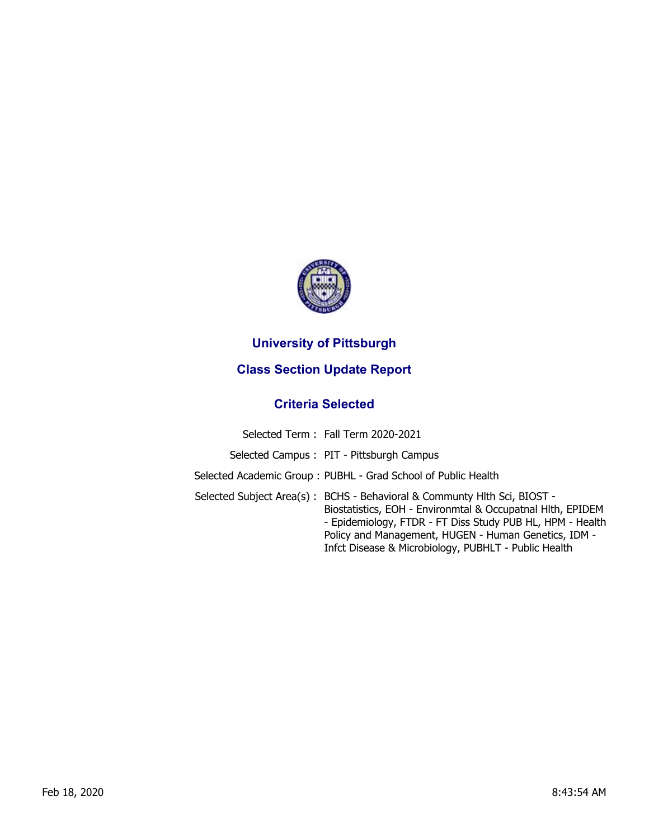

## **University of Pittsburgh**

## **Class Section Update Report**

## **Criteria Selected**

| Selected Term: Fall Term 2020-2021                                                                                                                                                                                                                                                                                  |
|---------------------------------------------------------------------------------------------------------------------------------------------------------------------------------------------------------------------------------------------------------------------------------------------------------------------|
| Selected Campus: PIT - Pittsburgh Campus                                                                                                                                                                                                                                                                            |
| Selected Academic Group: PUBHL - Grad School of Public Health                                                                                                                                                                                                                                                       |
| Selected Subject Area(s): BCHS - Behavioral & Communty Hlth Sci, BIOST -<br>Biostatistics, EOH - Environmtal & Occupatnal Hlth, EPIDEM<br>- Epidemiology, FTDR - FT Diss Study PUB HL, HPM - Health<br>Policy and Management, HUGEN - Human Genetics, IDM -<br>Infct Disease & Microbiology, PUBHLT - Public Health |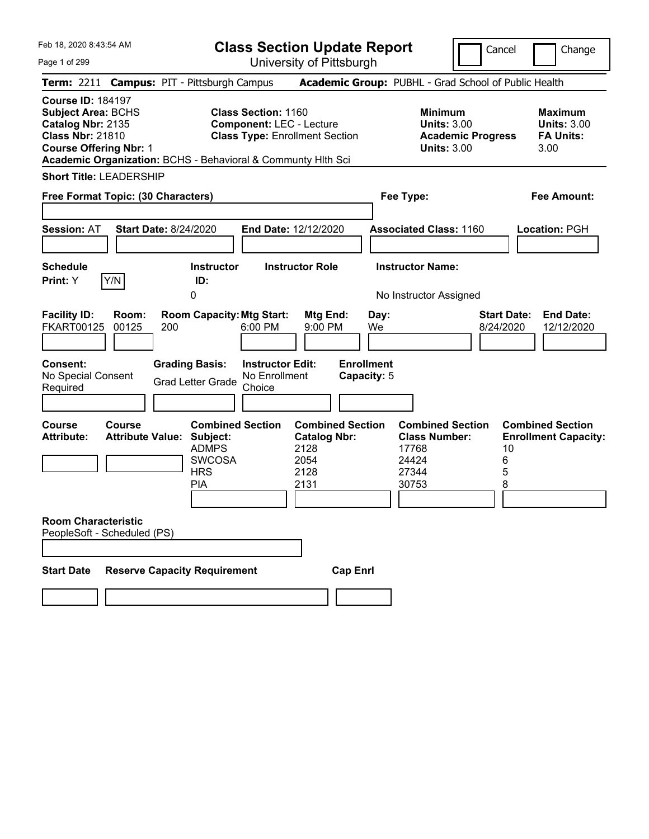Page 1 of 299

**Class Section Update Report**

University of Pittsburgh

Cancel Change ┚

| Term: 2211 Campus: PIT - Pittsburgh Campus                                                                                                                                                             |                                                   |     |                                                                        |                                                                                                        |                                                                        |                 |                                  | Academic Group: PUBHL - Grad School of Public Health                                   |                                 |                                                                  |
|--------------------------------------------------------------------------------------------------------------------------------------------------------------------------------------------------------|---------------------------------------------------|-----|------------------------------------------------------------------------|--------------------------------------------------------------------------------------------------------|------------------------------------------------------------------------|-----------------|----------------------------------|----------------------------------------------------------------------------------------|---------------------------------|------------------------------------------------------------------|
| <b>Course ID: 184197</b><br><b>Subject Area: BCHS</b><br>Catalog Nbr: 2135<br><b>Class Nbr: 21810</b><br><b>Course Offering Nbr: 1</b><br>Academic Organization: BCHS - Behavioral & Communty Hith Sci |                                                   |     |                                                                        | <b>Class Section: 1160</b><br><b>Component: LEC - Lecture</b><br><b>Class Type: Enrollment Section</b> |                                                                        |                 |                                  | <b>Minimum</b><br><b>Units: 3.00</b><br><b>Academic Progress</b><br><b>Units: 3.00</b> |                                 | <b>Maximum</b><br><b>Units: 3.00</b><br><b>FA Units:</b><br>3.00 |
| <b>Short Title: LEADERSHIP</b>                                                                                                                                                                         |                                                   |     |                                                                        |                                                                                                        |                                                                        |                 |                                  |                                                                                        |                                 |                                                                  |
| Free Format Topic: (30 Characters)                                                                                                                                                                     |                                                   |     |                                                                        |                                                                                                        |                                                                        |                 |                                  | Fee Type:                                                                              |                                 | Fee Amount:                                                      |
|                                                                                                                                                                                                        |                                                   |     |                                                                        |                                                                                                        |                                                                        |                 |                                  |                                                                                        |                                 |                                                                  |
| <b>Session: AT</b>                                                                                                                                                                                     | <b>Start Date: 8/24/2020</b>                      |     |                                                                        | End Date: 12/12/2020                                                                                   |                                                                        |                 |                                  | <b>Associated Class: 1160</b>                                                          |                                 | Location: PGH                                                    |
|                                                                                                                                                                                                        |                                                   |     |                                                                        |                                                                                                        |                                                                        |                 |                                  |                                                                                        |                                 |                                                                  |
| <b>Schedule</b>                                                                                                                                                                                        |                                                   |     | <b>Instructor</b>                                                      |                                                                                                        | <b>Instructor Role</b>                                                 |                 |                                  | <b>Instructor Name:</b>                                                                |                                 |                                                                  |
| Print: Y                                                                                                                                                                                               | Y/N                                               |     | ID:                                                                    |                                                                                                        |                                                                        |                 |                                  |                                                                                        |                                 |                                                                  |
|                                                                                                                                                                                                        |                                                   |     | 0                                                                      |                                                                                                        |                                                                        |                 |                                  | No Instructor Assigned                                                                 |                                 |                                                                  |
| <b>Facility ID:</b><br><b>FKART00125</b>                                                                                                                                                               | Room:<br>00125                                    | 200 | <b>Room Capacity: Mtg Start:</b>                                       | 6:00 PM                                                                                                | Mtg End:<br>$9:00$ PM                                                  |                 | Day:<br>We                       |                                                                                        | <b>Start Date:</b><br>8/24/2020 | <b>End Date:</b><br>12/12/2020                                   |
| <b>Consent:</b><br>No Special Consent<br>Required                                                                                                                                                      |                                                   |     | <b>Grading Basis:</b><br><b>Grad Letter Grade</b>                      | <b>Instructor Edit:</b><br>No Enrollment<br>Choice                                                     |                                                                        |                 | <b>Enrollment</b><br>Capacity: 5 |                                                                                        |                                 |                                                                  |
|                                                                                                                                                                                                        |                                                   |     |                                                                        |                                                                                                        |                                                                        |                 |                                  |                                                                                        |                                 |                                                                  |
| Course<br><b>Attribute:</b>                                                                                                                                                                            | <b>Course</b><br><b>Attribute Value: Subject:</b> |     | <b>Combined Section</b><br><b>ADMPS</b><br><b>SWCOSA</b><br><b>HRS</b> |                                                                                                        | <b>Combined Section</b><br><b>Catalog Nbr:</b><br>2128<br>2054<br>2128 |                 |                                  | <b>Combined Section</b><br><b>Class Number:</b><br>17768<br>24424<br>27344             | 10<br>6<br>5                    | <b>Combined Section</b><br><b>Enrollment Capacity:</b>           |
|                                                                                                                                                                                                        |                                                   |     | <b>PIA</b>                                                             |                                                                                                        | 2131                                                                   |                 |                                  | 30753                                                                                  | 8                               |                                                                  |
| <b>Room Characteristic</b><br>PeopleSoft - Scheduled (PS)                                                                                                                                              |                                                   |     |                                                                        |                                                                                                        |                                                                        |                 |                                  |                                                                                        |                                 |                                                                  |
|                                                                                                                                                                                                        |                                                   |     |                                                                        |                                                                                                        |                                                                        |                 |                                  |                                                                                        |                                 |                                                                  |
| <b>Start Date</b>                                                                                                                                                                                      |                                                   |     | <b>Reserve Capacity Requirement</b>                                    |                                                                                                        |                                                                        | <b>Cap Enri</b> |                                  |                                                                                        |                                 |                                                                  |
|                                                                                                                                                                                                        |                                                   |     |                                                                        |                                                                                                        |                                                                        |                 |                                  |                                                                                        |                                 |                                                                  |
|                                                                                                                                                                                                        |                                                   |     |                                                                        |                                                                                                        |                                                                        |                 |                                  |                                                                                        |                                 |                                                                  |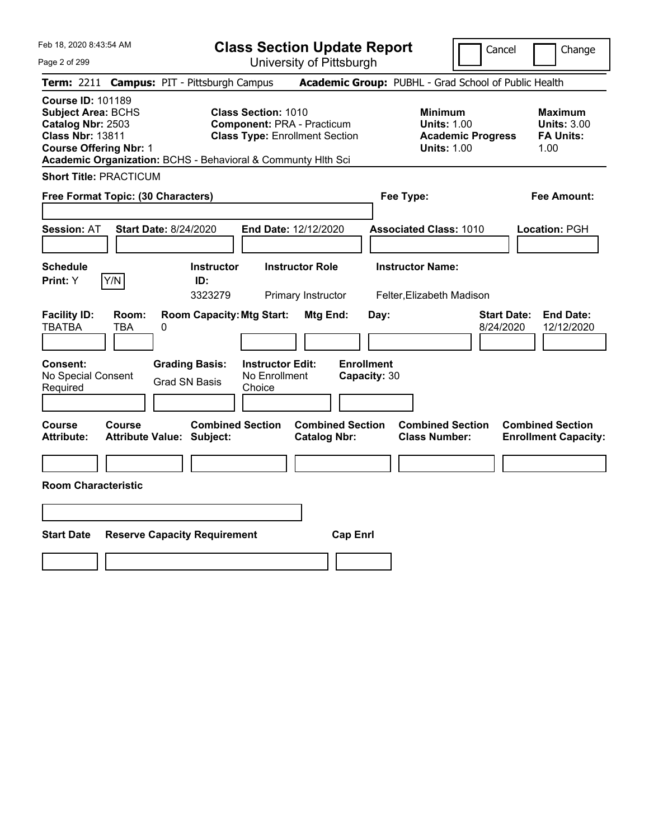**Class Section Update Report** University of Pittsburgh

Cancel Change

Page 2 of 299

|                                                                                                                                        |               | <b>Term: 2211 Campus: PIT - Pittsburgh Campus</b>            |                                                                                                          |                                                |                                   | <b>Academic Group: PUBHL - Grad School of Public Health</b>                            |                                 |                                                                  |
|----------------------------------------------------------------------------------------------------------------------------------------|---------------|--------------------------------------------------------------|----------------------------------------------------------------------------------------------------------|------------------------------------------------|-----------------------------------|----------------------------------------------------------------------------------------|---------------------------------|------------------------------------------------------------------|
| <b>Course ID: 101189</b><br><b>Subject Area: BCHS</b><br>Catalog Nbr: 2503<br><b>Class Nbr: 13811</b><br><b>Course Offering Nbr: 1</b> |               | Academic Organization: BCHS - Behavioral & Communty Hlth Sci | <b>Class Section: 1010</b><br><b>Component: PRA - Practicum</b><br><b>Class Type: Enrollment Section</b> |                                                |                                   | <b>Minimum</b><br><b>Units: 1.00</b><br><b>Academic Progress</b><br><b>Units: 1.00</b> |                                 | <b>Maximum</b><br><b>Units: 3.00</b><br><b>FA Units:</b><br>1.00 |
| <b>Short Title: PRACTICUM</b>                                                                                                          |               |                                                              |                                                                                                          |                                                |                                   |                                                                                        |                                 |                                                                  |
| Free Format Topic: (30 Characters)                                                                                                     |               |                                                              |                                                                                                          |                                                | Fee Type:                         |                                                                                        |                                 | <b>Fee Amount:</b>                                               |
| <b>Session: AT</b>                                                                                                                     |               | <b>Start Date: 8/24/2020</b>                                 | End Date: 12/12/2020                                                                                     |                                                |                                   | <b>Associated Class: 1010</b>                                                          |                                 | Location: PGH                                                    |
| <b>Schedule</b><br>Print: Y                                                                                                            | Y/N           | <b>Instructor</b><br>ID:<br>3323279                          |                                                                                                          | <b>Instructor Role</b><br>Primary Instructor   |                                   | <b>Instructor Name:</b><br>Felter, Elizabeth Madison                                   |                                 |                                                                  |
| <b>Facility ID:</b><br><b>TBATBA</b>                                                                                                   | Room:<br>TBA  | <b>Room Capacity: Mtg Start:</b><br>0                        |                                                                                                          | Mtg End:                                       | Day:                              |                                                                                        | <b>Start Date:</b><br>8/24/2020 | <b>End Date:</b><br>12/12/2020                                   |
| <b>Consent:</b><br>No Special Consent<br>Required                                                                                      |               | <b>Grading Basis:</b><br><b>Grad SN Basis</b>                | <b>Instructor Edit:</b><br>No Enrollment<br>Choice                                                       |                                                | <b>Enrollment</b><br>Capacity: 30 |                                                                                        |                                 |                                                                  |
| <b>Course</b><br><b>Attribute:</b>                                                                                                     | <b>Course</b> | <b>Combined Section</b><br><b>Attribute Value: Subject:</b>  |                                                                                                          | <b>Combined Section</b><br><b>Catalog Nbr:</b> |                                   | <b>Combined Section</b><br><b>Class Number:</b>                                        |                                 | <b>Combined Section</b><br><b>Enrollment Capacity:</b>           |
| <b>Room Characteristic</b>                                                                                                             |               |                                                              |                                                                                                          |                                                |                                   |                                                                                        |                                 |                                                                  |
|                                                                                                                                        |               |                                                              |                                                                                                          |                                                |                                   |                                                                                        |                                 |                                                                  |
| <b>Start Date</b>                                                                                                                      |               | <b>Reserve Capacity Requirement</b>                          |                                                                                                          | <b>Cap Enrl</b>                                |                                   |                                                                                        |                                 |                                                                  |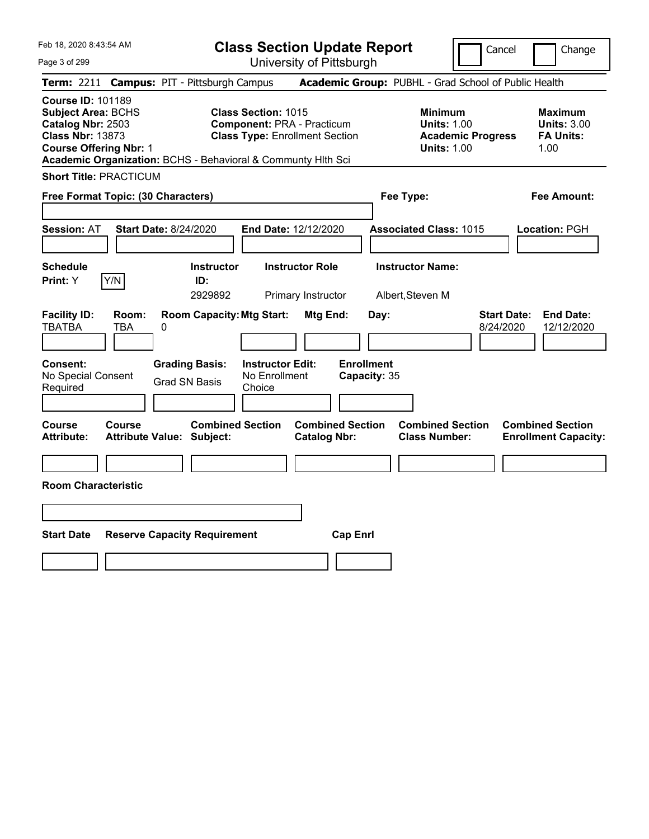**Class Section Update Report** University of Pittsburgh

Cancel Change

Page 3 of 299

|                                                                                                                                        |              | <b>Term: 2211 Campus: PIT - Pittsburgh Campus</b>            |                                                                 |                                                |                                   | <b>Academic Group: PUBHL - Grad School of Public Health</b>                            |                                 |                                                           |
|----------------------------------------------------------------------------------------------------------------------------------------|--------------|--------------------------------------------------------------|-----------------------------------------------------------------|------------------------------------------------|-----------------------------------|----------------------------------------------------------------------------------------|---------------------------------|-----------------------------------------------------------|
| <b>Course ID: 101189</b><br><b>Subject Area: BCHS</b><br>Catalog Nbr: 2503<br><b>Class Nbr: 13873</b><br><b>Course Offering Nbr: 1</b> |              | Academic Organization: BCHS - Behavioral & Communty Hlth Sci | <b>Class Section: 1015</b><br><b>Component: PRA - Practicum</b> | <b>Class Type: Enrollment Section</b>          |                                   | <b>Minimum</b><br><b>Units: 1.00</b><br><b>Academic Progress</b><br><b>Units: 1.00</b> |                                 | Maximum<br><b>Units: 3.00</b><br><b>FA Units:</b><br>1.00 |
| <b>Short Title: PRACTICUM</b>                                                                                                          |              |                                                              |                                                                 |                                                |                                   |                                                                                        |                                 |                                                           |
| Free Format Topic: (30 Characters)                                                                                                     |              |                                                              |                                                                 |                                                | Fee Type:                         |                                                                                        |                                 | <b>Fee Amount:</b>                                        |
| <b>Session: AT</b>                                                                                                                     |              | <b>Start Date: 8/24/2020</b>                                 | End Date: 12/12/2020                                            |                                                |                                   | <b>Associated Class: 1015</b>                                                          |                                 | Location: PGH                                             |
| <b>Schedule</b><br>Print: Y                                                                                                            | Y/N          | <b>Instructor</b><br>ID:<br>2929892                          |                                                                 | <b>Instructor Role</b><br>Primary Instructor   |                                   | <b>Instructor Name:</b><br>Albert, Steven M                                            |                                 |                                                           |
| <b>Facility ID:</b><br><b>TBATBA</b>                                                                                                   | Room:<br>TBA | <b>Room Capacity: Mtg Start:</b><br>0                        |                                                                 | Mtg End:                                       | Day:                              |                                                                                        | <b>Start Date:</b><br>8/24/2020 | <b>End Date:</b><br>12/12/2020                            |
| <b>Consent:</b><br>No Special Consent<br>Required                                                                                      |              | <b>Grading Basis:</b><br><b>Grad SN Basis</b>                | <b>Instructor Edit:</b><br>No Enrollment<br>Choice              |                                                | <b>Enrollment</b><br>Capacity: 35 |                                                                                        |                                 |                                                           |
| <b>Course</b><br><b>Attribute:</b>                                                                                                     | Course       | <b>Combined Section</b><br><b>Attribute Value: Subject:</b>  |                                                                 | <b>Combined Section</b><br><b>Catalog Nbr:</b> |                                   | <b>Combined Section</b><br><b>Class Number:</b>                                        |                                 | <b>Combined Section</b><br><b>Enrollment Capacity:</b>    |
| <b>Room Characteristic</b>                                                                                                             |              |                                                              |                                                                 |                                                |                                   |                                                                                        |                                 |                                                           |
| <b>Start Date</b>                                                                                                                      |              | <b>Reserve Capacity Requirement</b>                          |                                                                 | <b>Cap Enrl</b>                                |                                   |                                                                                        |                                 |                                                           |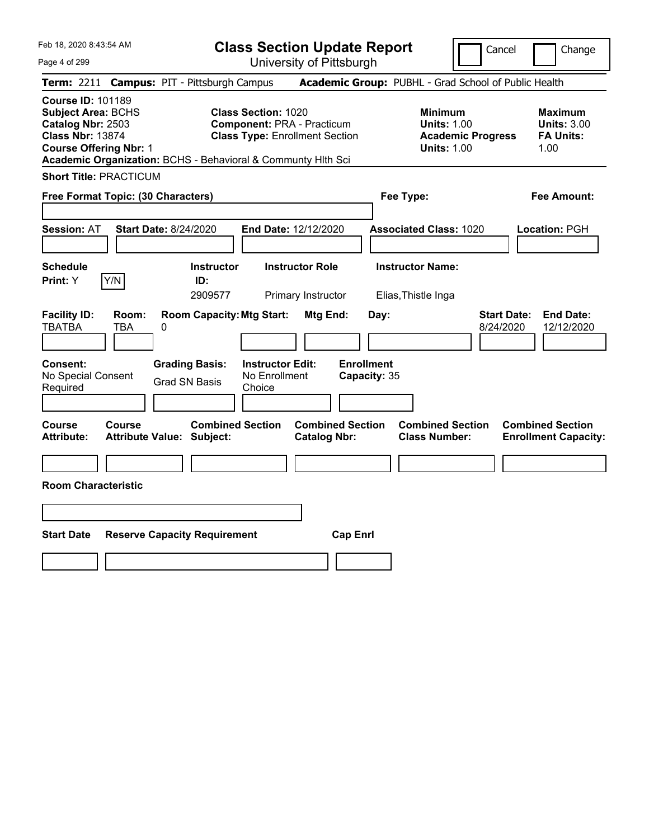**Class Section Update Report** University of Pittsburgh

Cancel Change

Page 4 of 299

|                                                                                                                                        |                     | <b>Term: 2211 Campus: PIT - Pittsburgh Campus</b>            |                                                                 |                                                |                                   | <b>Academic Group: PUBHL - Grad School of Public Health</b>                            |                                 |                                                                  |
|----------------------------------------------------------------------------------------------------------------------------------------|---------------------|--------------------------------------------------------------|-----------------------------------------------------------------|------------------------------------------------|-----------------------------------|----------------------------------------------------------------------------------------|---------------------------------|------------------------------------------------------------------|
| <b>Course ID: 101189</b><br><b>Subject Area: BCHS</b><br>Catalog Nbr: 2503<br><b>Class Nbr: 13874</b><br><b>Course Offering Nbr: 1</b> |                     | Academic Organization: BCHS - Behavioral & Communty Hlth Sci | <b>Class Section: 1020</b><br><b>Component: PRA - Practicum</b> | <b>Class Type: Enrollment Section</b>          |                                   | <b>Minimum</b><br><b>Units: 1.00</b><br><b>Academic Progress</b><br><b>Units: 1.00</b> |                                 | <b>Maximum</b><br><b>Units: 3.00</b><br><b>FA Units:</b><br>1.00 |
| <b>Short Title: PRACTICUM</b>                                                                                                          |                     |                                                              |                                                                 |                                                |                                   |                                                                                        |                                 |                                                                  |
|                                                                                                                                        |                     | Free Format Topic: (30 Characters)                           |                                                                 |                                                | Fee Type:                         |                                                                                        |                                 | <b>Fee Amount:</b>                                               |
| <b>Session: AT</b>                                                                                                                     |                     | <b>Start Date: 8/24/2020</b>                                 | End Date: 12/12/2020                                            |                                                |                                   | <b>Associated Class: 1020</b>                                                          |                                 | Location: PGH                                                    |
| <b>Schedule</b><br>Print: Y                                                                                                            | Y/N                 | <b>Instructor</b><br>ID:<br>2909577                          |                                                                 | <b>Instructor Role</b><br>Primary Instructor   |                                   | <b>Instructor Name:</b><br>Elias, Thistle Inga                                         |                                 |                                                                  |
| <b>Facility ID:</b><br><b>TBATBA</b>                                                                                                   | Room:<br><b>TBA</b> | <b>Room Capacity: Mtg Start:</b><br>0                        |                                                                 | Mtg End:                                       | Day:                              |                                                                                        | <b>Start Date:</b><br>8/24/2020 | <b>End Date:</b><br>12/12/2020                                   |
| <b>Consent:</b><br>No Special Consent<br>Required                                                                                      |                     | <b>Grading Basis:</b><br><b>Grad SN Basis</b>                | <b>Instructor Edit:</b><br>No Enrollment<br>Choice              |                                                | <b>Enrollment</b><br>Capacity: 35 |                                                                                        |                                 |                                                                  |
| Course<br><b>Attribute:</b>                                                                                                            | <b>Course</b>       | <b>Combined Section</b><br><b>Attribute Value: Subject:</b>  |                                                                 | <b>Combined Section</b><br><b>Catalog Nbr:</b> |                                   | <b>Combined Section</b><br><b>Class Number:</b>                                        |                                 | <b>Combined Section</b><br><b>Enrollment Capacity:</b>           |
| <b>Room Characteristic</b>                                                                                                             |                     |                                                              |                                                                 |                                                |                                   |                                                                                        |                                 |                                                                  |
|                                                                                                                                        |                     |                                                              |                                                                 |                                                |                                   |                                                                                        |                                 |                                                                  |
| <b>Start Date</b>                                                                                                                      |                     | <b>Reserve Capacity Requirement</b>                          |                                                                 | <b>Cap Enrl</b>                                |                                   |                                                                                        |                                 |                                                                  |
|                                                                                                                                        |                     |                                                              |                                                                 |                                                |                                   |                                                                                        |                                 |                                                                  |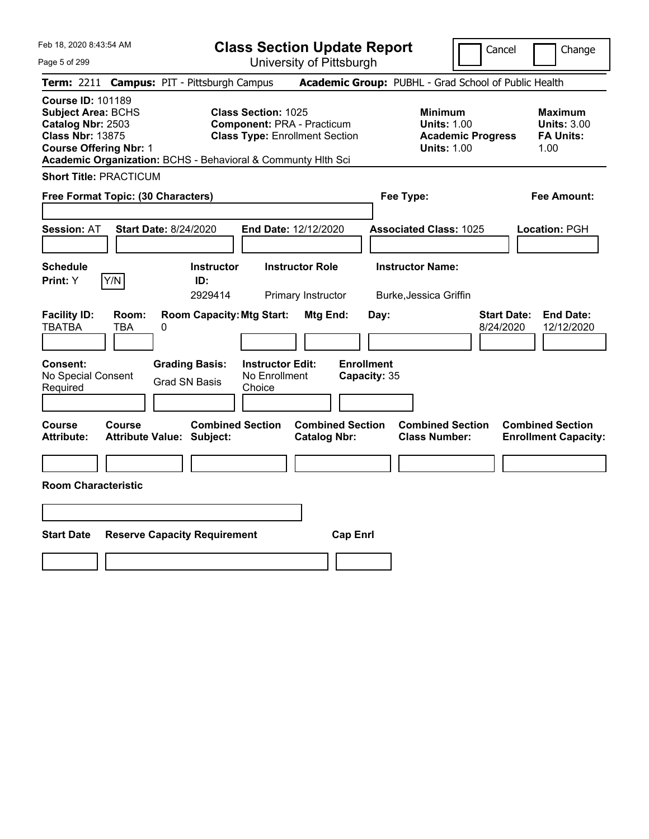**Class Section Update Report** University of Pittsburgh

Cancel Change

Page 5 of 299

|                                                                                                                                        |                     | <b>Term: 2211 Campus: PIT - Pittsburgh Campus</b>            |                                                    |                                                                            |                                   | <b>Academic Group: PUBHL - Grad School of Public Health</b>                            |                                 |                                                                  |
|----------------------------------------------------------------------------------------------------------------------------------------|---------------------|--------------------------------------------------------------|----------------------------------------------------|----------------------------------------------------------------------------|-----------------------------------|----------------------------------------------------------------------------------------|---------------------------------|------------------------------------------------------------------|
| <b>Course ID: 101189</b><br><b>Subject Area: BCHS</b><br>Catalog Nbr: 2503<br><b>Class Nbr: 13875</b><br><b>Course Offering Nbr: 1</b> |                     | Academic Organization: BCHS - Behavioral & Communty Hlth Sci | <b>Class Section: 1025</b>                         | <b>Component: PRA - Practicum</b><br><b>Class Type: Enrollment Section</b> |                                   | <b>Minimum</b><br><b>Units: 1.00</b><br><b>Academic Progress</b><br><b>Units: 1.00</b> |                                 | <b>Maximum</b><br><b>Units: 3.00</b><br><b>FA Units:</b><br>1.00 |
| <b>Short Title: PRACTICUM</b>                                                                                                          |                     |                                                              |                                                    |                                                                            |                                   |                                                                                        |                                 |                                                                  |
| Free Format Topic: (30 Characters)                                                                                                     |                     |                                                              |                                                    |                                                                            |                                   | Fee Type:                                                                              |                                 | <b>Fee Amount:</b>                                               |
| <b>Session: AT</b>                                                                                                                     |                     | <b>Start Date: 8/24/2020</b>                                 | End Date: 12/12/2020                               |                                                                            |                                   | <b>Associated Class: 1025</b>                                                          |                                 | Location: PGH                                                    |
| <b>Schedule</b><br>Print: Y                                                                                                            | Y/N                 | <b>Instructor</b><br>ID:<br>2929414                          |                                                    | <b>Instructor Role</b><br>Primary Instructor                               |                                   | <b>Instructor Name:</b><br>Burke, Jessica Griffin                                      |                                 |                                                                  |
| <b>Facility ID:</b><br><b>TBATBA</b>                                                                                                   | Room:<br><b>TBA</b> | <b>Room Capacity: Mtg Start:</b><br>0                        |                                                    | Mtg End:                                                                   | Day:                              |                                                                                        | <b>Start Date:</b><br>8/24/2020 | <b>End Date:</b><br>12/12/2020                                   |
| <b>Consent:</b><br>No Special Consent<br>Required                                                                                      |                     | <b>Grading Basis:</b><br><b>Grad SN Basis</b>                | <b>Instructor Edit:</b><br>No Enrollment<br>Choice |                                                                            | <b>Enrollment</b><br>Capacity: 35 |                                                                                        |                                 |                                                                  |
| <b>Course</b><br><b>Attribute:</b>                                                                                                     | Course              | <b>Combined Section</b><br><b>Attribute Value: Subject:</b>  |                                                    | <b>Combined Section</b><br><b>Catalog Nbr:</b>                             |                                   | <b>Combined Section</b><br><b>Class Number:</b>                                        |                                 | <b>Combined Section</b><br><b>Enrollment Capacity:</b>           |
| <b>Room Characteristic</b>                                                                                                             |                     |                                                              |                                                    |                                                                            |                                   |                                                                                        |                                 |                                                                  |
|                                                                                                                                        |                     |                                                              |                                                    |                                                                            |                                   |                                                                                        |                                 |                                                                  |
| <b>Start Date</b>                                                                                                                      |                     | <b>Reserve Capacity Requirement</b>                          |                                                    | <b>Cap Enrl</b>                                                            |                                   |                                                                                        |                                 |                                                                  |
|                                                                                                                                        |                     |                                                              |                                                    |                                                                            |                                   |                                                                                        |                                 |                                                                  |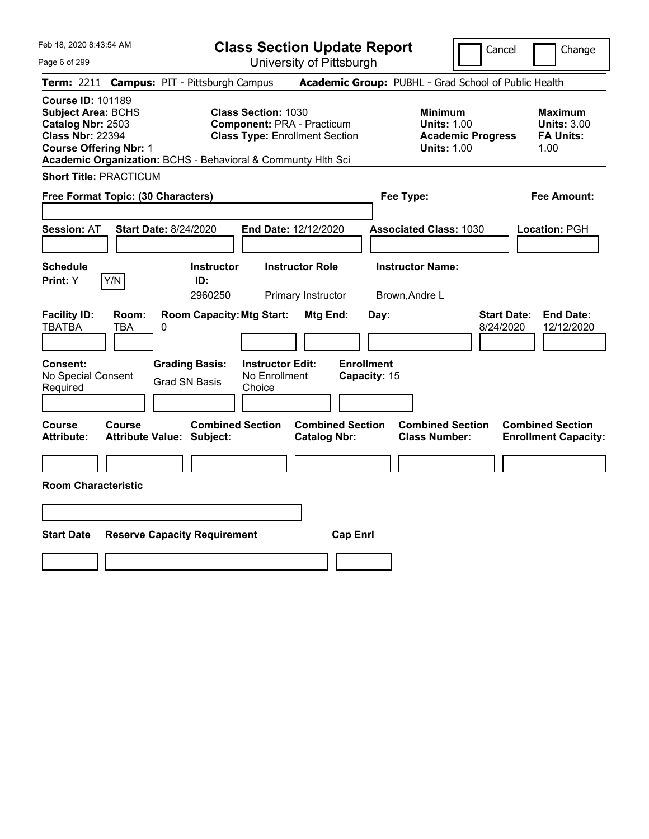**Class Section Update Report** University of Pittsburgh

Cancel Change

Page 6 of 299

|                                                                                                                                        |               | <b>Term: 2211 Campus: PIT - Pittsburgh Campus</b>            |                                                                                                          |                                                |                                   | <b>Academic Group: PUBHL - Grad School of Public Health</b>                            |                                 |                                                           |
|----------------------------------------------------------------------------------------------------------------------------------------|---------------|--------------------------------------------------------------|----------------------------------------------------------------------------------------------------------|------------------------------------------------|-----------------------------------|----------------------------------------------------------------------------------------|---------------------------------|-----------------------------------------------------------|
| <b>Course ID: 101189</b><br><b>Subject Area: BCHS</b><br>Catalog Nbr: 2503<br><b>Class Nbr: 22394</b><br><b>Course Offering Nbr: 1</b> |               | Academic Organization: BCHS - Behavioral & Communty Hith Sci | <b>Class Section: 1030</b><br><b>Component: PRA - Practicum</b><br><b>Class Type: Enrollment Section</b> |                                                |                                   | <b>Minimum</b><br><b>Units: 1.00</b><br><b>Academic Progress</b><br><b>Units: 1.00</b> |                                 | Maximum<br><b>Units: 3.00</b><br><b>FA Units:</b><br>1.00 |
| <b>Short Title: PRACTICUM</b>                                                                                                          |               |                                                              |                                                                                                          |                                                |                                   |                                                                                        |                                 |                                                           |
| Free Format Topic: (30 Characters)                                                                                                     |               |                                                              |                                                                                                          |                                                | Fee Type:                         |                                                                                        |                                 | Fee Amount:                                               |
| <b>Session: AT</b>                                                                                                                     |               | <b>Start Date: 8/24/2020</b>                                 | <b>End Date: 12/12/2020</b>                                                                              |                                                |                                   | <b>Associated Class: 1030</b>                                                          |                                 | Location: PGH                                             |
| Schedule<br>Print: Y                                                                                                                   | Y/N           | <b>Instructor</b><br>ID:<br>2960250                          |                                                                                                          | <b>Instructor Role</b><br>Primary Instructor   |                                   | <b>Instructor Name:</b><br>Brown, Andre L                                              |                                 |                                                           |
| <b>Facility ID:</b><br><b>TBATBA</b>                                                                                                   | Room:<br>TBA  | <b>Room Capacity: Mtg Start:</b><br>0                        |                                                                                                          | Mtg End:                                       | Day:                              |                                                                                        | <b>Start Date:</b><br>8/24/2020 | <b>End Date:</b><br>12/12/2020                            |
| <b>Consent:</b><br>No Special Consent<br>Required                                                                                      |               | <b>Grading Basis:</b><br><b>Grad SN Basis</b>                | <b>Instructor Edit:</b><br>No Enrollment<br>Choice                                                       |                                                | <b>Enrollment</b><br>Capacity: 15 |                                                                                        |                                 |                                                           |
| Course<br><b>Attribute:</b>                                                                                                            | <b>Course</b> | <b>Combined Section</b><br><b>Attribute Value: Subject:</b>  |                                                                                                          | <b>Combined Section</b><br><b>Catalog Nbr:</b> |                                   | <b>Combined Section</b><br><b>Class Number:</b>                                        |                                 | <b>Combined Section</b><br><b>Enrollment Capacity:</b>    |
| <b>Room Characteristic</b>                                                                                                             |               |                                                              |                                                                                                          |                                                |                                   |                                                                                        |                                 |                                                           |
| <b>Start Date</b>                                                                                                                      |               | <b>Reserve Capacity Requirement</b>                          |                                                                                                          | <b>Cap Enrl</b>                                |                                   |                                                                                        |                                 |                                                           |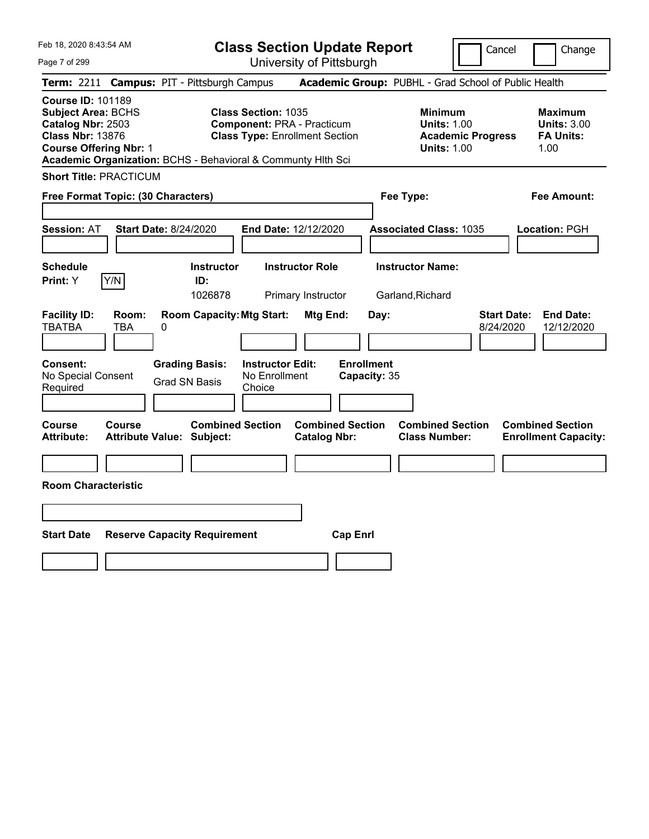**Class Section Update Report** University of Pittsburgh

Cancel Change

Page 7 of 299

|                                                                                                                                        |                     | <b>Term: 2211 Campus: PIT - Pittsburgh Campus</b>            |                                                                 |                                                |                                   | <b>Academic Group: PUBHL - Grad School of Public Health</b>                            |                                 |                                                                  |
|----------------------------------------------------------------------------------------------------------------------------------------|---------------------|--------------------------------------------------------------|-----------------------------------------------------------------|------------------------------------------------|-----------------------------------|----------------------------------------------------------------------------------------|---------------------------------|------------------------------------------------------------------|
| <b>Course ID: 101189</b><br><b>Subject Area: BCHS</b><br>Catalog Nbr: 2503<br><b>Class Nbr: 13876</b><br><b>Course Offering Nbr: 1</b> |                     | Academic Organization: BCHS - Behavioral & Communty Hlth Sci | <b>Class Section: 1035</b><br><b>Component: PRA - Practicum</b> | <b>Class Type: Enrollment Section</b>          |                                   | <b>Minimum</b><br><b>Units: 1.00</b><br><b>Academic Progress</b><br><b>Units: 1.00</b> |                                 | <b>Maximum</b><br><b>Units: 3.00</b><br><b>FA Units:</b><br>1.00 |
| <b>Short Title: PRACTICUM</b>                                                                                                          |                     |                                                              |                                                                 |                                                |                                   |                                                                                        |                                 |                                                                  |
|                                                                                                                                        |                     | Free Format Topic: (30 Characters)                           |                                                                 |                                                | Fee Type:                         |                                                                                        |                                 | <b>Fee Amount:</b>                                               |
| <b>Session: AT</b>                                                                                                                     |                     | <b>Start Date: 8/24/2020</b>                                 | <b>End Date: 12/12/2020</b>                                     |                                                |                                   | <b>Associated Class: 1035</b>                                                          |                                 | Location: PGH                                                    |
| <b>Schedule</b><br>Print: Y                                                                                                            | Y/N                 | <b>Instructor</b><br>ID:<br>1026878                          |                                                                 | <b>Instructor Role</b><br>Primary Instructor   |                                   | <b>Instructor Name:</b><br>Garland, Richard                                            |                                 |                                                                  |
| <b>Facility ID:</b><br><b>TBATBA</b>                                                                                                   | Room:<br><b>TBA</b> | <b>Room Capacity: Mtg Start:</b><br>0                        |                                                                 | Mtg End:                                       | Day:                              |                                                                                        | <b>Start Date:</b><br>8/24/2020 | <b>End Date:</b><br>12/12/2020                                   |
| <b>Consent:</b><br>No Special Consent<br>Required                                                                                      |                     | <b>Grading Basis:</b><br><b>Grad SN Basis</b>                | <b>Instructor Edit:</b><br>No Enrollment<br>Choice              |                                                | <b>Enrollment</b><br>Capacity: 35 |                                                                                        |                                 |                                                                  |
| <b>Course</b><br><b>Attribute:</b>                                                                                                     | Course              | <b>Combined Section</b><br><b>Attribute Value: Subject:</b>  |                                                                 | <b>Combined Section</b><br><b>Catalog Nbr:</b> |                                   | <b>Combined Section</b><br><b>Class Number:</b>                                        |                                 | <b>Combined Section</b><br><b>Enrollment Capacity:</b>           |
| <b>Room Characteristic</b>                                                                                                             |                     |                                                              |                                                                 |                                                |                                   |                                                                                        |                                 |                                                                  |
| <b>Start Date</b>                                                                                                                      |                     | <b>Reserve Capacity Requirement</b>                          |                                                                 | <b>Cap Enrl</b>                                |                                   |                                                                                        |                                 |                                                                  |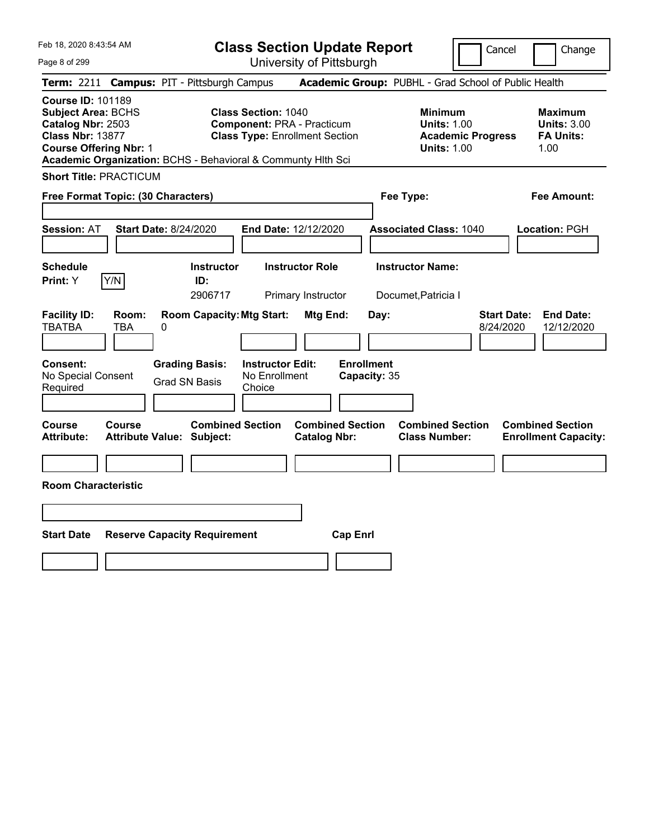**Class Section Update Report** University of Pittsburgh

Cancel Change

Page 8 of 299

|                                                                                                                                        |               | <b>Term: 2211 Campus: PIT - Pittsburgh Campus</b>            |                                                                 |                                                |                                   | <b>Academic Group: PUBHL - Grad School of Public Health</b>                            |                                 |                                                                  |
|----------------------------------------------------------------------------------------------------------------------------------------|---------------|--------------------------------------------------------------|-----------------------------------------------------------------|------------------------------------------------|-----------------------------------|----------------------------------------------------------------------------------------|---------------------------------|------------------------------------------------------------------|
| <b>Course ID: 101189</b><br><b>Subject Area: BCHS</b><br>Catalog Nbr: 2503<br><b>Class Nbr: 13877</b><br><b>Course Offering Nbr: 1</b> |               | Academic Organization: BCHS - Behavioral & Communty Hith Sci | <b>Class Section: 1040</b><br><b>Component: PRA - Practicum</b> | <b>Class Type: Enrollment Section</b>          |                                   | <b>Minimum</b><br><b>Units: 1.00</b><br><b>Academic Progress</b><br><b>Units: 1.00</b> |                                 | <b>Maximum</b><br><b>Units: 3.00</b><br><b>FA Units:</b><br>1.00 |
| <b>Short Title: PRACTICUM</b>                                                                                                          |               |                                                              |                                                                 |                                                |                                   |                                                                                        |                                 |                                                                  |
|                                                                                                                                        |               | Free Format Topic: (30 Characters)                           |                                                                 |                                                | Fee Type:                         |                                                                                        |                                 | <b>Fee Amount:</b>                                               |
| <b>Session: AT</b>                                                                                                                     |               | <b>Start Date: 8/24/2020</b>                                 | End Date: 12/12/2020                                            |                                                |                                   | <b>Associated Class: 1040</b>                                                          |                                 | Location: PGH                                                    |
| <b>Schedule</b><br>Print: Y                                                                                                            | Y/N           | <b>Instructor</b><br>ID:<br>2906717                          |                                                                 | <b>Instructor Role</b><br>Primary Instructor   |                                   | <b>Instructor Name:</b><br>Documet, Patricia I                                         |                                 |                                                                  |
| <b>Facility ID:</b><br><b>TBATBA</b>                                                                                                   | Room:<br>TBA  | <b>Room Capacity: Mtg Start:</b><br>0                        |                                                                 | Mtg End:                                       | Day:                              |                                                                                        | <b>Start Date:</b><br>8/24/2020 | <b>End Date:</b><br>12/12/2020                                   |
| <b>Consent:</b><br>No Special Consent<br>Required                                                                                      |               | <b>Grading Basis:</b><br><b>Grad SN Basis</b>                | <b>Instructor Edit:</b><br>No Enrollment<br>Choice              |                                                | <b>Enrollment</b><br>Capacity: 35 |                                                                                        |                                 |                                                                  |
| <b>Course</b><br><b>Attribute:</b>                                                                                                     | <b>Course</b> | <b>Combined Section</b><br><b>Attribute Value: Subject:</b>  |                                                                 | <b>Combined Section</b><br><b>Catalog Nbr:</b> |                                   | <b>Combined Section</b><br><b>Class Number:</b>                                        |                                 | <b>Combined Section</b><br><b>Enrollment Capacity:</b>           |
| <b>Room Characteristic</b>                                                                                                             |               |                                                              |                                                                 |                                                |                                   |                                                                                        |                                 |                                                                  |
| <b>Start Date</b>                                                                                                                      |               | <b>Reserve Capacity Requirement</b>                          |                                                                 | <b>Cap Enrl</b>                                |                                   |                                                                                        |                                 |                                                                  |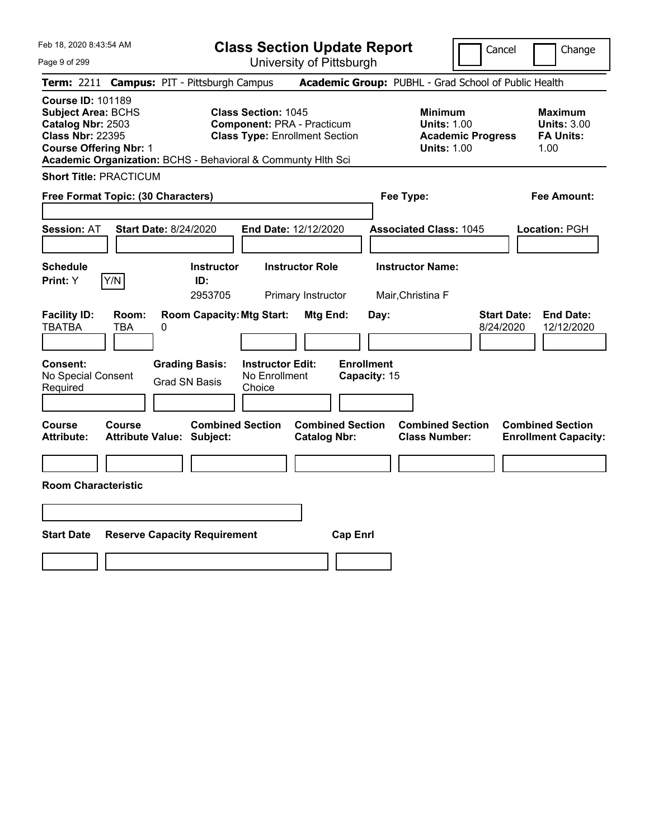**Class Section Update Report** University of Pittsburgh

Cancel Change

Page 9 of 299

|                                                                                                                                        |               | <b>Term: 2211 Campus: PIT - Pittsburgh Campus</b>            |                                                                 |                                                |                                   | <b>Academic Group: PUBHL - Grad School of Public Health</b>                            |                                 |                                                                  |
|----------------------------------------------------------------------------------------------------------------------------------------|---------------|--------------------------------------------------------------|-----------------------------------------------------------------|------------------------------------------------|-----------------------------------|----------------------------------------------------------------------------------------|---------------------------------|------------------------------------------------------------------|
| <b>Course ID: 101189</b><br><b>Subject Area: BCHS</b><br>Catalog Nbr: 2503<br><b>Class Nbr: 22395</b><br><b>Course Offering Nbr: 1</b> |               | Academic Organization: BCHS - Behavioral & Communty Hith Sci | <b>Class Section: 1045</b><br><b>Component: PRA - Practicum</b> | <b>Class Type: Enrollment Section</b>          |                                   | <b>Minimum</b><br><b>Units: 1.00</b><br><b>Academic Progress</b><br><b>Units: 1.00</b> |                                 | <b>Maximum</b><br><b>Units: 3.00</b><br><b>FA Units:</b><br>1.00 |
| <b>Short Title: PRACTICUM</b>                                                                                                          |               |                                                              |                                                                 |                                                |                                   |                                                                                        |                                 |                                                                  |
| <b>Free Format Topic: (30 Characters)</b>                                                                                              |               |                                                              |                                                                 |                                                | Fee Type:                         |                                                                                        |                                 | <b>Fee Amount:</b>                                               |
| <b>Session: AT</b>                                                                                                                     |               | <b>Start Date: 8/24/2020</b>                                 | End Date: 12/12/2020                                            |                                                |                                   | <b>Associated Class: 1045</b>                                                          |                                 | Location: PGH                                                    |
| <b>Schedule</b><br>Print: Y                                                                                                            | Y/N           | <b>Instructor</b><br>ID:<br>2953705                          |                                                                 | <b>Instructor Role</b><br>Primary Instructor   |                                   | <b>Instructor Name:</b><br>Mair, Christina F                                           |                                 |                                                                  |
| <b>Facility ID:</b><br><b>TBATBA</b>                                                                                                   | Room:<br>TBA  | <b>Room Capacity: Mtg Start:</b><br>0                        |                                                                 | Mtg End:                                       | Day:                              |                                                                                        | <b>Start Date:</b><br>8/24/2020 | <b>End Date:</b><br>12/12/2020                                   |
| Consent:<br>No Special Consent<br>Required                                                                                             |               | <b>Grading Basis:</b><br><b>Grad SN Basis</b>                | <b>Instructor Edit:</b><br>No Enrollment<br>Choice              |                                                | <b>Enrollment</b><br>Capacity: 15 |                                                                                        |                                 |                                                                  |
| <b>Course</b><br><b>Attribute:</b>                                                                                                     | <b>Course</b> | <b>Combined Section</b><br><b>Attribute Value: Subject:</b>  |                                                                 | <b>Combined Section</b><br><b>Catalog Nbr:</b> |                                   | <b>Combined Section</b><br><b>Class Number:</b>                                        |                                 | <b>Combined Section</b><br><b>Enrollment Capacity:</b>           |
| <b>Room Characteristic</b>                                                                                                             |               |                                                              |                                                                 |                                                |                                   |                                                                                        |                                 |                                                                  |
| <b>Start Date</b>                                                                                                                      |               | <b>Reserve Capacity Requirement</b>                          |                                                                 | <b>Cap Enrl</b>                                |                                   |                                                                                        |                                 |                                                                  |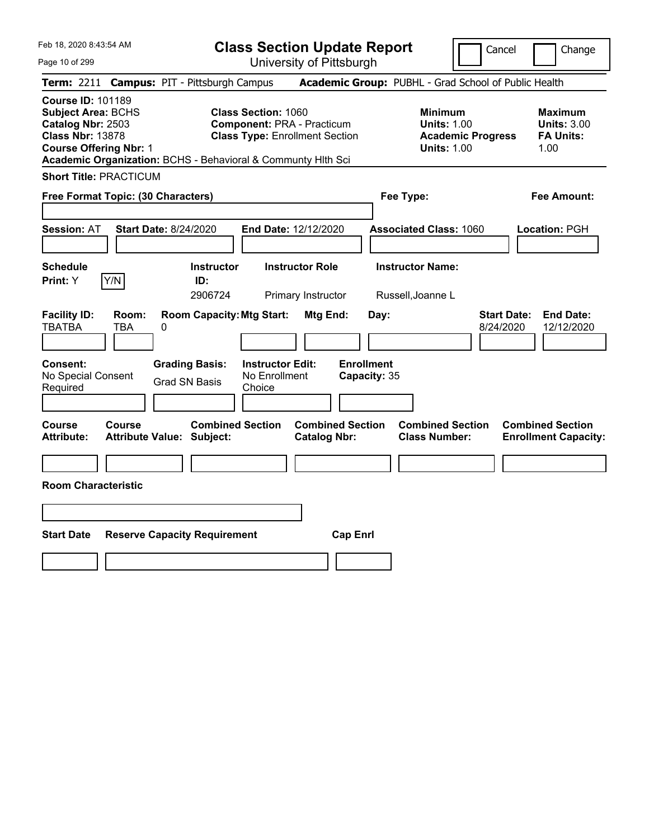**Class Section Update Report**

University of Pittsburgh

Cancel Change

Page 10 of 299

|                                                                                                                                        |               | Term: 2211 Campus: PIT - Pittsburgh Campus                   |                                                                 |                                                |                                   | Academic Group: PUBHL - Grad School of Public Health                                   |                                 |                                                                  |
|----------------------------------------------------------------------------------------------------------------------------------------|---------------|--------------------------------------------------------------|-----------------------------------------------------------------|------------------------------------------------|-----------------------------------|----------------------------------------------------------------------------------------|---------------------------------|------------------------------------------------------------------|
| <b>Course ID: 101189</b><br><b>Subject Area: BCHS</b><br>Catalog Nbr: 2503<br><b>Class Nbr: 13878</b><br><b>Course Offering Nbr: 1</b> |               | Academic Organization: BCHS - Behavioral & Communty Hith Sci | <b>Class Section: 1060</b><br><b>Component: PRA - Practicum</b> | <b>Class Type: Enrollment Section</b>          |                                   | <b>Minimum</b><br><b>Units: 1.00</b><br><b>Academic Progress</b><br><b>Units: 1.00</b> |                                 | <b>Maximum</b><br><b>Units: 3.00</b><br><b>FA Units:</b><br>1.00 |
| <b>Short Title: PRACTICUM</b>                                                                                                          |               |                                                              |                                                                 |                                                |                                   |                                                                                        |                                 |                                                                  |
| Free Format Topic: (30 Characters)                                                                                                     |               |                                                              |                                                                 |                                                | Fee Type:                         |                                                                                        |                                 | <b>Fee Amount:</b>                                               |
| <b>Session: AT</b>                                                                                                                     |               | <b>Start Date: 8/24/2020</b>                                 | End Date: 12/12/2020                                            |                                                |                                   | <b>Associated Class: 1060</b>                                                          |                                 | Location: PGH                                                    |
| <b>Schedule</b><br>Print: Y                                                                                                            | Y/N           | <b>Instructor</b><br>ID:<br>2906724                          |                                                                 | <b>Instructor Role</b><br>Primary Instructor   |                                   | <b>Instructor Name:</b><br>Russell, Joanne L                                           |                                 |                                                                  |
| <b>Facility ID:</b><br>TBATBA                                                                                                          | Room:<br>TBA  | <b>Room Capacity: Mtg Start:</b><br>0                        |                                                                 | Mtg End:                                       | Day:                              |                                                                                        | <b>Start Date:</b><br>8/24/2020 | <b>End Date:</b><br>12/12/2020                                   |
| <b>Consent:</b><br>No Special Consent<br>Required                                                                                      |               | <b>Grading Basis:</b><br><b>Grad SN Basis</b>                | <b>Instructor Edit:</b><br>No Enrollment<br>Choice              |                                                | <b>Enrollment</b><br>Capacity: 35 |                                                                                        |                                 |                                                                  |
| Course<br><b>Attribute:</b>                                                                                                            | <b>Course</b> | <b>Combined Section</b><br><b>Attribute Value: Subject:</b>  |                                                                 | <b>Combined Section</b><br><b>Catalog Nbr:</b> |                                   | <b>Combined Section</b><br><b>Class Number:</b>                                        |                                 | <b>Combined Section</b><br><b>Enrollment Capacity:</b>           |
| <b>Room Characteristic</b>                                                                                                             |               |                                                              |                                                                 |                                                |                                   |                                                                                        |                                 |                                                                  |
|                                                                                                                                        |               |                                                              |                                                                 |                                                |                                   |                                                                                        |                                 |                                                                  |
| <b>Start Date</b>                                                                                                                      |               | <b>Reserve Capacity Requirement</b>                          |                                                                 | <b>Cap Enrl</b>                                |                                   |                                                                                        |                                 |                                                                  |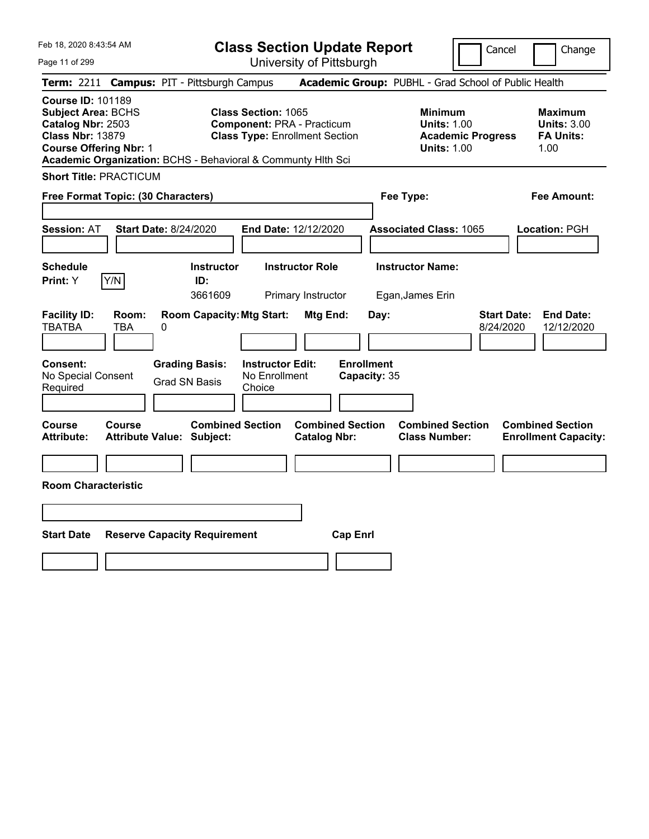**Class Section Update Report** University of Pittsburgh

Cancel Change

Page 11 of 299

|                                                                                                                                        |              | <b>Term: 2211 Campus: PIT - Pittsburgh Campus</b>            |                                                    |                                                                            |                                   | <b>Academic Group: PUBHL - Grad School of Public Health</b>                            |                                 |                                                                  |
|----------------------------------------------------------------------------------------------------------------------------------------|--------------|--------------------------------------------------------------|----------------------------------------------------|----------------------------------------------------------------------------|-----------------------------------|----------------------------------------------------------------------------------------|---------------------------------|------------------------------------------------------------------|
| <b>Course ID: 101189</b><br><b>Subject Area: BCHS</b><br>Catalog Nbr: 2503<br><b>Class Nbr: 13879</b><br><b>Course Offering Nbr: 1</b> |              | Academic Organization: BCHS - Behavioral & Communty Hlth Sci | <b>Class Section: 1065</b>                         | <b>Component: PRA - Practicum</b><br><b>Class Type: Enrollment Section</b> |                                   | <b>Minimum</b><br><b>Units: 1.00</b><br><b>Academic Progress</b><br><b>Units: 1.00</b> |                                 | <b>Maximum</b><br><b>Units: 3.00</b><br><b>FA Units:</b><br>1.00 |
| <b>Short Title: PRACTICUM</b>                                                                                                          |              |                                                              |                                                    |                                                                            |                                   |                                                                                        |                                 |                                                                  |
|                                                                                                                                        |              | Free Format Topic: (30 Characters)                           |                                                    |                                                                            | Fee Type:                         |                                                                                        |                                 | <b>Fee Amount:</b>                                               |
| <b>Session: AT</b>                                                                                                                     |              | <b>Start Date: 8/24/2020</b>                                 |                                                    | End Date: 12/12/2020                                                       |                                   | <b>Associated Class: 1065</b>                                                          |                                 | Location: PGH                                                    |
| <b>Schedule</b><br>Print: Y                                                                                                            | Y/N          | <b>Instructor</b><br>ID:<br>3661609                          |                                                    | <b>Instructor Role</b><br>Primary Instructor                               |                                   | <b>Instructor Name:</b><br>Egan, James Erin                                            |                                 |                                                                  |
| <b>Facility ID:</b><br><b>TBATBA</b>                                                                                                   | Room:<br>TBA | <b>Room Capacity: Mtg Start:</b><br>0                        |                                                    | Mtg End:                                                                   | Day:                              |                                                                                        | <b>Start Date:</b><br>8/24/2020 | <b>End Date:</b><br>12/12/2020                                   |
| <b>Consent:</b><br>No Special Consent<br>Required                                                                                      |              | <b>Grading Basis:</b><br><b>Grad SN Basis</b>                | <b>Instructor Edit:</b><br>No Enrollment<br>Choice |                                                                            | <b>Enrollment</b><br>Capacity: 35 |                                                                                        |                                 |                                                                  |
| <b>Course</b><br><b>Attribute:</b>                                                                                                     | Course       | <b>Combined Section</b><br><b>Attribute Value: Subject:</b>  |                                                    | <b>Combined Section</b><br><b>Catalog Nbr:</b>                             |                                   | <b>Combined Section</b><br><b>Class Number:</b>                                        |                                 | <b>Combined Section</b><br><b>Enrollment Capacity:</b>           |
| <b>Room Characteristic</b>                                                                                                             |              |                                                              |                                                    |                                                                            |                                   |                                                                                        |                                 |                                                                  |
| <b>Start Date</b>                                                                                                                      |              | <b>Reserve Capacity Requirement</b>                          |                                                    | <b>Cap Enrl</b>                                                            |                                   |                                                                                        |                                 |                                                                  |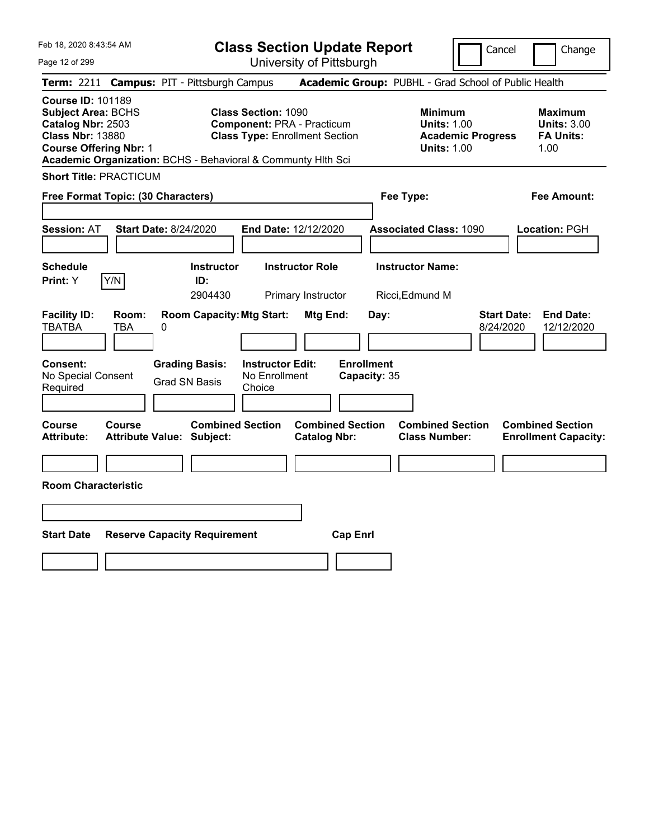**Class Section Update Report** University of Pittsburgh

Cancel Change

Page 12 of 299

|                                                                                                                                        |               | <b>Term: 2211 Campus: PIT - Pittsburgh Campus</b>            |                                                                 |                                                |                                   | <b>Academic Group: PUBHL - Grad School of Public Health</b>                            |                                 |                                                                  |
|----------------------------------------------------------------------------------------------------------------------------------------|---------------|--------------------------------------------------------------|-----------------------------------------------------------------|------------------------------------------------|-----------------------------------|----------------------------------------------------------------------------------------|---------------------------------|------------------------------------------------------------------|
| <b>Course ID: 101189</b><br><b>Subject Area: BCHS</b><br>Catalog Nbr: 2503<br><b>Class Nbr: 13880</b><br><b>Course Offering Nbr: 1</b> |               | Academic Organization: BCHS - Behavioral & Communty Hith Sci | <b>Class Section: 1090</b><br><b>Component: PRA - Practicum</b> | <b>Class Type: Enrollment Section</b>          |                                   | <b>Minimum</b><br><b>Units: 1.00</b><br><b>Academic Progress</b><br><b>Units: 1.00</b> |                                 | <b>Maximum</b><br><b>Units: 3.00</b><br><b>FA Units:</b><br>1.00 |
| <b>Short Title: PRACTICUM</b>                                                                                                          |               |                                                              |                                                                 |                                                |                                   |                                                                                        |                                 |                                                                  |
| <b>Free Format Topic: (30 Characters)</b>                                                                                              |               |                                                              |                                                                 |                                                | Fee Type:                         |                                                                                        |                                 | <b>Fee Amount:</b>                                               |
| <b>Session: AT</b>                                                                                                                     |               | <b>Start Date: 8/24/2020</b>                                 | End Date: 12/12/2020                                            |                                                |                                   | <b>Associated Class: 1090</b>                                                          |                                 | Location: PGH                                                    |
| <b>Schedule</b><br>Print: Y                                                                                                            | Y/N           | <b>Instructor</b><br>ID:<br>2904430                          |                                                                 | <b>Instructor Role</b><br>Primary Instructor   |                                   | <b>Instructor Name:</b><br>Ricci, Edmund M                                             |                                 |                                                                  |
| <b>Facility ID:</b><br>TBATBA                                                                                                          | Room:<br>TBA  | <b>Room Capacity: Mtg Start:</b><br>0                        |                                                                 | Mtg End:                                       | Day:                              |                                                                                        | <b>Start Date:</b><br>8/24/2020 | <b>End Date:</b><br>12/12/2020                                   |
| <b>Consent:</b><br>No Special Consent<br>Required                                                                                      |               | <b>Grading Basis:</b><br><b>Grad SN Basis</b>                | <b>Instructor Edit:</b><br>No Enrollment<br>Choice              |                                                | <b>Enrollment</b><br>Capacity: 35 |                                                                                        |                                 |                                                                  |
| Course<br><b>Attribute:</b>                                                                                                            | <b>Course</b> | <b>Combined Section</b><br><b>Attribute Value: Subject:</b>  |                                                                 | <b>Combined Section</b><br><b>Catalog Nbr:</b> |                                   | <b>Combined Section</b><br><b>Class Number:</b>                                        |                                 | <b>Combined Section</b><br><b>Enrollment Capacity:</b>           |
| <b>Room Characteristic</b>                                                                                                             |               |                                                              |                                                                 |                                                |                                   |                                                                                        |                                 |                                                                  |
| <b>Start Date</b>                                                                                                                      |               | <b>Reserve Capacity Requirement</b>                          |                                                                 | <b>Cap Enrl</b>                                |                                   |                                                                                        |                                 |                                                                  |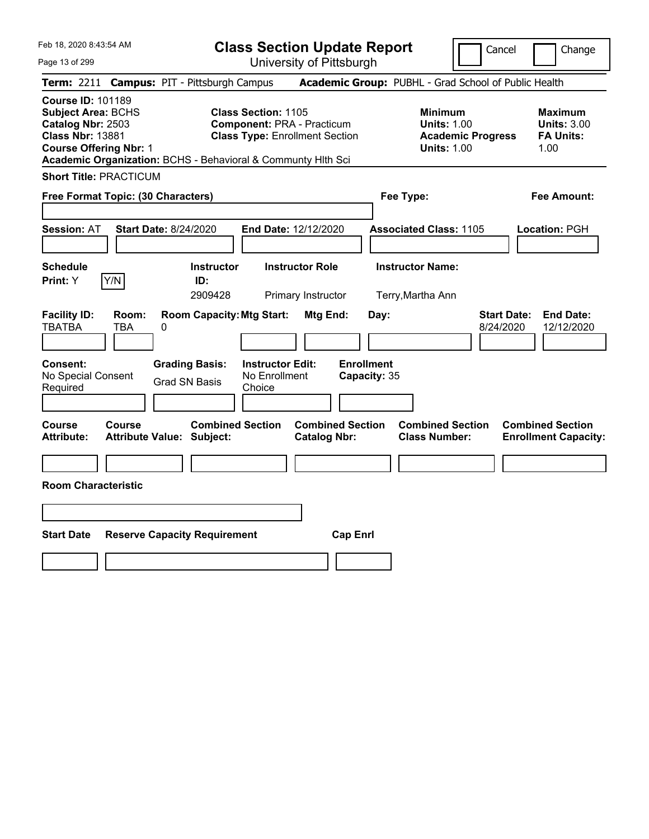**Class Section Update Report**

University of Pittsburgh

Cancel Change

| Page 13 of 299 |  |  |  |
|----------------|--|--|--|
|----------------|--|--|--|

|                                                                                                                                        |               | <b>Term: 2211 Campus: PIT - Pittsburgh Campus</b>            |                                                                 |                                                |                                   | <b>Academic Group: PUBHL - Grad School of Public Health</b>                            |                                 |                                                                  |
|----------------------------------------------------------------------------------------------------------------------------------------|---------------|--------------------------------------------------------------|-----------------------------------------------------------------|------------------------------------------------|-----------------------------------|----------------------------------------------------------------------------------------|---------------------------------|------------------------------------------------------------------|
| <b>Course ID: 101189</b><br><b>Subject Area: BCHS</b><br>Catalog Nbr: 2503<br><b>Class Nbr: 13881</b><br><b>Course Offering Nbr: 1</b> |               | Academic Organization: BCHS - Behavioral & Communty Hith Sci | <b>Class Section: 1105</b><br><b>Component: PRA - Practicum</b> | <b>Class Type: Enrollment Section</b>          |                                   | <b>Minimum</b><br><b>Units: 1.00</b><br><b>Academic Progress</b><br><b>Units: 1.00</b> |                                 | <b>Maximum</b><br><b>Units: 3.00</b><br><b>FA Units:</b><br>1.00 |
| <b>Short Title: PRACTICUM</b>                                                                                                          |               |                                                              |                                                                 |                                                |                                   |                                                                                        |                                 |                                                                  |
| <b>Free Format Topic: (30 Characters)</b>                                                                                              |               |                                                              |                                                                 |                                                | Fee Type:                         |                                                                                        |                                 | <b>Fee Amount:</b>                                               |
| <b>Session: AT</b>                                                                                                                     |               | <b>Start Date: 8/24/2020</b>                                 | End Date: 12/12/2020                                            |                                                |                                   | <b>Associated Class: 1105</b>                                                          |                                 | Location: PGH                                                    |
| <b>Schedule</b><br>Print: Y                                                                                                            | Y/N           | <b>Instructor</b><br>ID:<br>2909428                          |                                                                 | <b>Instructor Role</b><br>Primary Instructor   |                                   | <b>Instructor Name:</b><br>Terry, Martha Ann                                           |                                 |                                                                  |
| <b>Facility ID:</b><br>TBATBA                                                                                                          | Room:<br>TBA  | <b>Room Capacity: Mtg Start:</b><br>0                        |                                                                 | Mtg End:                                       | Day:                              |                                                                                        | <b>Start Date:</b><br>8/24/2020 | <b>End Date:</b><br>12/12/2020                                   |
| <b>Consent:</b><br>No Special Consent<br>Required                                                                                      |               | <b>Grading Basis:</b><br><b>Grad SN Basis</b>                | <b>Instructor Edit:</b><br>No Enrollment<br>Choice              |                                                | <b>Enrollment</b><br>Capacity: 35 |                                                                                        |                                 |                                                                  |
| Course<br><b>Attribute:</b>                                                                                                            | <b>Course</b> | <b>Combined Section</b><br><b>Attribute Value: Subject:</b>  |                                                                 | <b>Combined Section</b><br><b>Catalog Nbr:</b> |                                   | <b>Combined Section</b><br><b>Class Number:</b>                                        |                                 | <b>Combined Section</b><br><b>Enrollment Capacity:</b>           |
| <b>Room Characteristic</b>                                                                                                             |               |                                                              |                                                                 |                                                |                                   |                                                                                        |                                 |                                                                  |
| <b>Start Date</b>                                                                                                                      |               | <b>Reserve Capacity Requirement</b>                          |                                                                 | <b>Cap Enrl</b>                                |                                   |                                                                                        |                                 |                                                                  |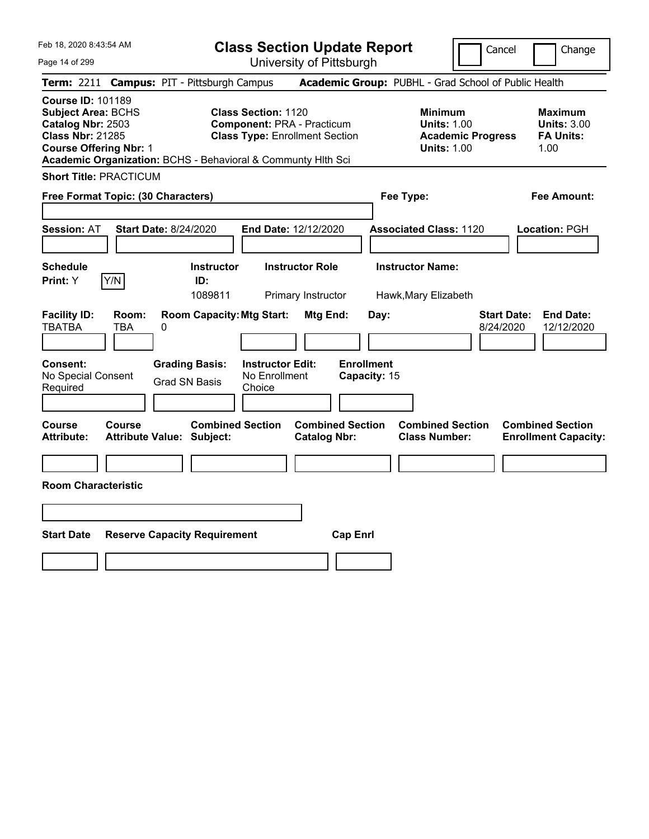**Class Section Update Report**

University of Pittsburgh

Cancel **Change** 

Page 14 of 299

|                                                                                                                                        |              | Term: 2211 Campus: PIT - Pittsburgh Campus                                             |                                                                 |                                                |                                           | Academic Group: PUBHL - Grad School of Public Health                                   |                                 |                                                                  |
|----------------------------------------------------------------------------------------------------------------------------------------|--------------|----------------------------------------------------------------------------------------|-----------------------------------------------------------------|------------------------------------------------|-------------------------------------------|----------------------------------------------------------------------------------------|---------------------------------|------------------------------------------------------------------|
| <b>Course ID: 101189</b><br><b>Subject Area: BCHS</b><br>Catalog Nbr: 2503<br><b>Class Nbr: 21285</b><br><b>Course Offering Nbr: 1</b> |              | Academic Organization: BCHS - Behavioral & Communty Hlth Sci                           | <b>Class Section: 1120</b><br><b>Component: PRA - Practicum</b> | <b>Class Type: Enrollment Section</b>          |                                           | <b>Minimum</b><br><b>Units: 1.00</b><br><b>Academic Progress</b><br><b>Units: 1.00</b> |                                 | <b>Maximum</b><br><b>Units: 3.00</b><br><b>FA Units:</b><br>1.00 |
| <b>Short Title: PRACTICUM</b>                                                                                                          |              |                                                                                        |                                                                 |                                                |                                           |                                                                                        |                                 |                                                                  |
| Free Format Topic: (30 Characters)                                                                                                     |              |                                                                                        |                                                                 |                                                | Fee Type:                                 |                                                                                        |                                 | <b>Fee Amount:</b>                                               |
| <b>Session: AT</b>                                                                                                                     |              | <b>Start Date: 8/24/2020</b>                                                           | End Date: 12/12/2020                                            |                                                |                                           | <b>Associated Class: 1120</b>                                                          |                                 | Location: PGH                                                    |
| <b>Schedule</b><br>Print: Y                                                                                                            | Y/N          | <b>Instructor</b><br>ID:<br>1089811                                                    |                                                                 | <b>Instructor Role</b><br>Primary Instructor   |                                           | <b>Instructor Name:</b><br>Hawk, Mary Elizabeth                                        |                                 |                                                                  |
| <b>Facility ID:</b><br><b>TBATBA</b><br>Consent:<br>No Special Consent<br>Required                                                     | Room:<br>TBA | <b>Room Capacity: Mtg Start:</b><br>0<br><b>Grading Basis:</b><br><b>Grad SN Basis</b> | <b>Instructor Edit:</b><br>No Enrollment<br>Choice              | Mtg End:                                       | Day:<br><b>Enrollment</b><br>Capacity: 15 |                                                                                        | <b>Start Date:</b><br>8/24/2020 | <b>End Date:</b><br>12/12/2020                                   |
| Course<br><b>Attribute:</b>                                                                                                            | Course       | <b>Combined Section</b><br><b>Attribute Value: Subject:</b>                            |                                                                 | <b>Combined Section</b><br><b>Catalog Nbr:</b> |                                           | <b>Combined Section</b><br><b>Class Number:</b>                                        |                                 | <b>Combined Section</b><br><b>Enrollment Capacity:</b>           |
| <b>Room Characteristic</b>                                                                                                             |              |                                                                                        |                                                                 |                                                |                                           |                                                                                        |                                 |                                                                  |
| <b>Start Date</b>                                                                                                                      |              | <b>Reserve Capacity Requirement</b>                                                    |                                                                 | <b>Cap Enrl</b>                                |                                           |                                                                                        |                                 |                                                                  |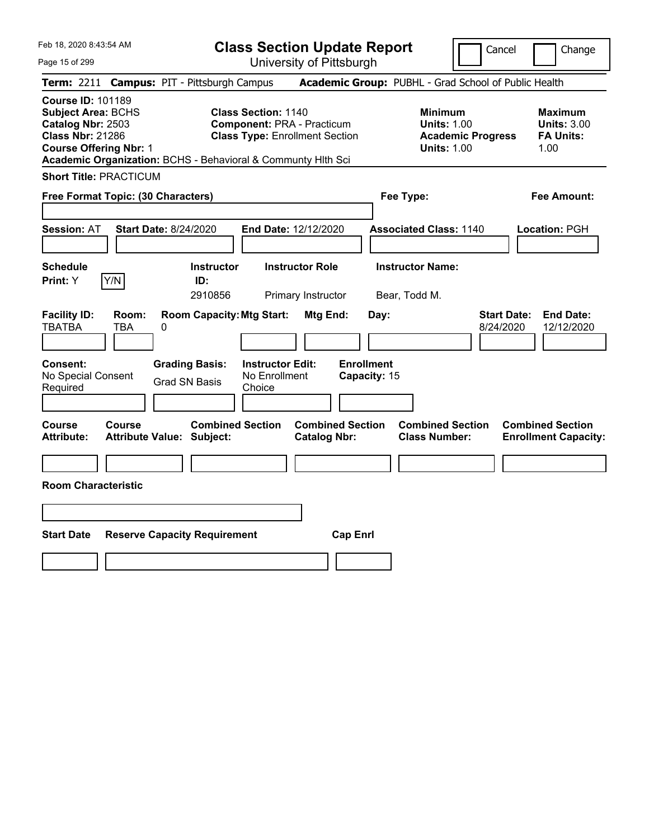**Class Section Update Report**

University of Pittsburgh

Cancel Change

| Page 15 of 299 |  |
|----------------|--|
|----------------|--|

| Term: 2211 Campus: PIT - Pittsburgh Campus                                                                                                                                                             |                                     |                      |                                     |                                                                                                          |                                                |                   |              | Academic Group: PUBHL - Grad School of Public Health                                   |                                 |                                                                  |
|--------------------------------------------------------------------------------------------------------------------------------------------------------------------------------------------------------|-------------------------------------|----------------------|-------------------------------------|----------------------------------------------------------------------------------------------------------|------------------------------------------------|-------------------|--------------|----------------------------------------------------------------------------------------|---------------------------------|------------------------------------------------------------------|
| <b>Course ID: 101189</b><br><b>Subject Area: BCHS</b><br>Catalog Nbr: 2503<br><b>Class Nbr: 21286</b><br><b>Course Offering Nbr: 1</b><br>Academic Organization: BCHS - Behavioral & Communty Hith Sci |                                     |                      |                                     | <b>Class Section: 1140</b><br><b>Component: PRA - Practicum</b><br><b>Class Type: Enrollment Section</b> |                                                |                   |              | <b>Minimum</b><br><b>Units: 1.00</b><br><b>Academic Progress</b><br><b>Units: 1.00</b> |                                 | <b>Maximum</b><br><b>Units: 3.00</b><br><b>FA Units:</b><br>1.00 |
| <b>Short Title: PRACTICUM</b>                                                                                                                                                                          |                                     |                      |                                     |                                                                                                          |                                                |                   |              |                                                                                        |                                 |                                                                  |
| Free Format Topic: (30 Characters)                                                                                                                                                                     |                                     |                      |                                     |                                                                                                          |                                                |                   |              | Fee Type:                                                                              |                                 | <b>Fee Amount:</b>                                               |
| <b>Session: AT</b>                                                                                                                                                                                     | <b>Start Date: 8/24/2020</b>        |                      |                                     | End Date: 12/12/2020                                                                                     |                                                |                   |              | <b>Associated Class: 1140</b>                                                          |                                 | Location: PGH                                                    |
| <b>Schedule</b><br>Print: Y                                                                                                                                                                            | Y/N                                 |                      | <b>Instructor</b><br>ID:<br>2910856 |                                                                                                          | <b>Instructor Role</b><br>Primary Instructor   |                   |              | <b>Instructor Name:</b><br>Bear, Todd M.                                               |                                 |                                                                  |
| <b>Facility ID:</b><br>TBATBA                                                                                                                                                                          | Room:<br>TBA                        | 0                    |                                     | <b>Room Capacity: Mtg Start:</b>                                                                         | Mtg End:                                       |                   | Day:         |                                                                                        | <b>Start Date:</b><br>8/24/2020 | <b>End Date:</b><br>12/12/2020                                   |
| Consent:<br>No Special Consent<br>Required                                                                                                                                                             |                                     | <b>Grad SN Basis</b> | <b>Grading Basis:</b>               | <b>Instructor Edit:</b><br>No Enrollment<br>Choice                                                       |                                                | <b>Enrollment</b> | Capacity: 15 |                                                                                        |                                 |                                                                  |
| <b>Course</b><br><b>Attribute:</b>                                                                                                                                                                     | Course<br>Attribute Value: Subject: |                      | <b>Combined Section</b>             |                                                                                                          | <b>Combined Section</b><br><b>Catalog Nbr:</b> |                   |              | <b>Combined Section</b><br><b>Class Number:</b>                                        |                                 | <b>Combined Section</b><br><b>Enrollment Capacity:</b>           |
| <b>Room Characteristic</b>                                                                                                                                                                             |                                     |                      |                                     |                                                                                                          |                                                |                   |              |                                                                                        |                                 |                                                                  |
|                                                                                                                                                                                                        |                                     |                      |                                     |                                                                                                          |                                                |                   |              |                                                                                        |                                 |                                                                  |
| <b>Start Date</b>                                                                                                                                                                                      |                                     |                      | <b>Reserve Capacity Requirement</b> |                                                                                                          |                                                | <b>Cap Enrl</b>   |              |                                                                                        |                                 |                                                                  |
|                                                                                                                                                                                                        |                                     |                      |                                     |                                                                                                          |                                                |                   |              |                                                                                        |                                 |                                                                  |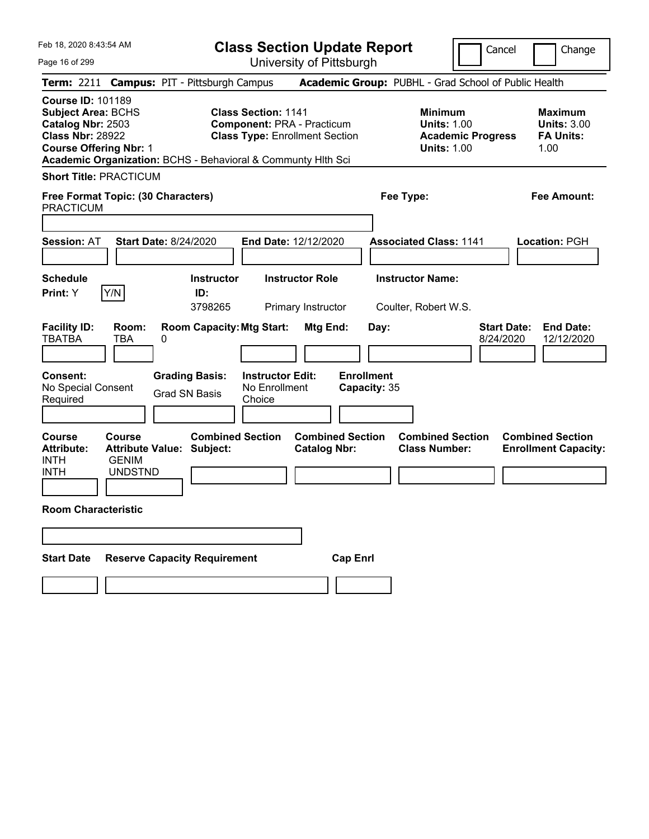|  | Feb 18, 2020 8:43:54 AM |  |
|--|-------------------------|--|
|  |                         |  |

Page 16 of 299

**Class Section Update Report**

Cancel **Change** 

University of Pittsburgh

|                                                                                                                                        |                                                 |                                                              |                                                    | University ULT ittsburght                                                  |                                   |                                                                                        |                                                                  |
|----------------------------------------------------------------------------------------------------------------------------------------|-------------------------------------------------|--------------------------------------------------------------|----------------------------------------------------|----------------------------------------------------------------------------|-----------------------------------|----------------------------------------------------------------------------------------|------------------------------------------------------------------|
|                                                                                                                                        |                                                 | Term: 2211 Campus: PIT - Pittsburgh Campus                   |                                                    |                                                                            |                                   | Academic Group: PUBHL - Grad School of Public Health                                   |                                                                  |
| <b>Course ID: 101189</b><br><b>Subject Area: BCHS</b><br>Catalog Nbr: 2503<br><b>Class Nbr: 28922</b><br><b>Course Offering Nbr: 1</b> |                                                 | Academic Organization: BCHS - Behavioral & Communty Hith Sci | <b>Class Section: 1141</b>                         | <b>Component: PRA - Practicum</b><br><b>Class Type: Enrollment Section</b> |                                   | <b>Minimum</b><br><b>Units: 1.00</b><br><b>Academic Progress</b><br><b>Units: 1.00</b> | <b>Maximum</b><br><b>Units: 3.00</b><br><b>FA Units:</b><br>1.00 |
| <b>Short Title: PRACTICUM</b>                                                                                                          |                                                 |                                                              |                                                    |                                                                            |                                   |                                                                                        |                                                                  |
| Free Format Topic: (30 Characters)<br><b>PRACTICUM</b>                                                                                 |                                                 |                                                              |                                                    |                                                                            | Fee Type:                         |                                                                                        | Fee Amount:                                                      |
| <b>Session: AT</b>                                                                                                                     |                                                 | <b>Start Date: 8/24/2020</b>                                 | End Date: 12/12/2020                               |                                                                            |                                   | <b>Associated Class: 1141</b>                                                          | Location: PGH                                                    |
| <b>Schedule</b><br>Print: Y                                                                                                            | Y/N                                             | <b>Instructor</b><br>ID:<br>3798265                          |                                                    | <b>Instructor Role</b><br>Primary Instructor                               |                                   | <b>Instructor Name:</b><br>Coulter, Robert W.S.                                        |                                                                  |
| <b>Facility ID:</b><br><b>TBATBA</b>                                                                                                   | Room:<br><b>TBA</b>                             | <b>Room Capacity: Mtg Start:</b><br>0                        |                                                    | Mtg End:                                                                   | Day:                              | 8/24/2020                                                                              | <b>Start Date:</b><br><b>End Date:</b><br>12/12/2020             |
| Consent:<br>No Special Consent<br>Required                                                                                             |                                                 | <b>Grading Basis:</b><br><b>Grad SN Basis</b>                | <b>Instructor Edit:</b><br>No Enrollment<br>Choice |                                                                            | <b>Enrollment</b><br>Capacity: 35 |                                                                                        |                                                                  |
| <b>Course</b><br><b>Attribute:</b><br><b>INTH</b><br><b>INTH</b>                                                                       | <b>Course</b><br><b>GENIM</b><br><b>UNDSTND</b> | <b>Combined Section</b><br><b>Attribute Value: Subject:</b>  |                                                    | <b>Combined Section</b><br><b>Catalog Nbr:</b>                             |                                   | <b>Combined Section</b><br><b>Class Number:</b>                                        | <b>Combined Section</b><br><b>Enrollment Capacity:</b>           |
| <b>Room Characteristic</b>                                                                                                             |                                                 |                                                              |                                                    |                                                                            |                                   |                                                                                        |                                                                  |
|                                                                                                                                        |                                                 |                                                              |                                                    |                                                                            |                                   |                                                                                        |                                                                  |
| <b>Start Date</b>                                                                                                                      |                                                 | <b>Reserve Capacity Requirement</b>                          |                                                    | <b>Cap Enrl</b>                                                            |                                   |                                                                                        |                                                                  |
|                                                                                                                                        |                                                 |                                                              |                                                    |                                                                            |                                   |                                                                                        |                                                                  |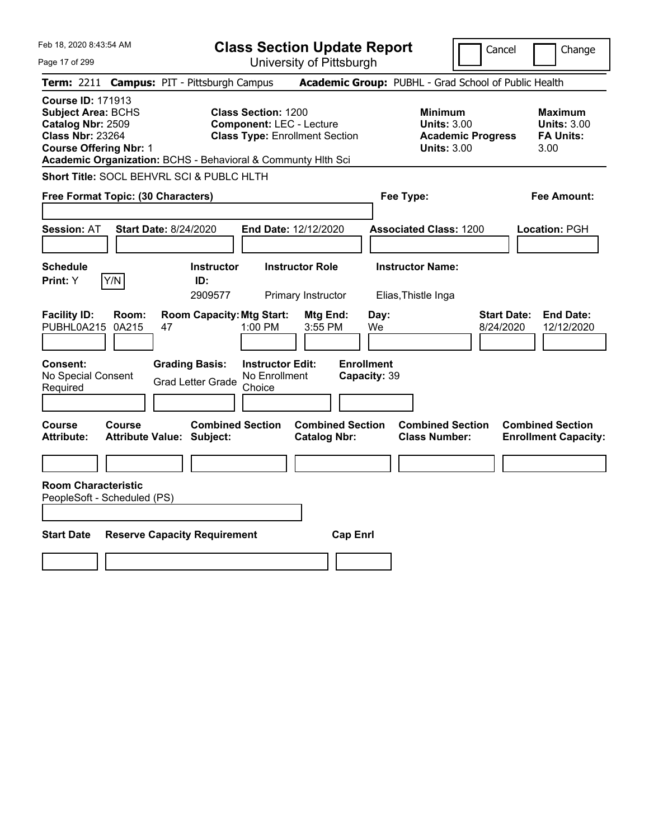| Feb 18, 2020 8:43:54 AM                                                                                                                                                                                |                                                             | <b>Class Section Update Report</b>                                                                     |                                                |                                                                                        | Cancel<br>Change                                                  |
|--------------------------------------------------------------------------------------------------------------------------------------------------------------------------------------------------------|-------------------------------------------------------------|--------------------------------------------------------------------------------------------------------|------------------------------------------------|----------------------------------------------------------------------------------------|-------------------------------------------------------------------|
| Page 17 of 299                                                                                                                                                                                         |                                                             | University of Pittsburgh                                                                               |                                                |                                                                                        |                                                                   |
| <b>Term: 2211</b>                                                                                                                                                                                      | <b>Campus: PIT - Pittsburgh Campus</b>                      |                                                                                                        |                                                | Academic Group: PUBHL - Grad School of Public Health                                   |                                                                   |
| <b>Course ID: 171913</b><br><b>Subject Area: BCHS</b><br>Catalog Nbr: 2509<br><b>Class Nbr: 23264</b><br><b>Course Offering Nbr: 1</b><br>Academic Organization: BCHS - Behavioral & Communty Hith Sci |                                                             | <b>Class Section: 1200</b><br><b>Component: LEC - Lecture</b><br><b>Class Type: Enrollment Section</b> |                                                | <b>Minimum</b><br><b>Units: 3.00</b><br><b>Academic Progress</b><br><b>Units: 3.00</b> | <b>Maximum</b><br><b>Units: 3.00</b><br><b>FA Units:</b><br>3.00  |
| Short Title: SOCL BEHVRL SCI & PUBLC HLTH                                                                                                                                                              |                                                             |                                                                                                        |                                                |                                                                                        |                                                                   |
| Free Format Topic: (30 Characters)                                                                                                                                                                     |                                                             |                                                                                                        |                                                | Fee Type:                                                                              | Fee Amount:                                                       |
| <b>Session: AT</b>                                                                                                                                                                                     | <b>Start Date: 8/24/2020</b>                                | End Date: 12/12/2020                                                                                   |                                                | <b>Associated Class: 1200</b>                                                          | Location: PGH                                                     |
| <b>Schedule</b><br>Y/N<br>Print: Y                                                                                                                                                                     | <b>Instructor</b><br>ID:<br>2909577                         | <b>Instructor Role</b><br>Primary Instructor                                                           |                                                | <b>Instructor Name:</b><br>Elias, Thistle Inga                                         |                                                                   |
| <b>Facility ID:</b><br>Room:<br>PUBHL0A215<br>0A215                                                                                                                                                    | <b>Room Capacity: Mtg Start:</b><br>47                      | 1:00 PM                                                                                                | Mtg End:<br>Day:<br>$3:55$ PM<br>We            |                                                                                        | <b>Start Date:</b><br><b>End Date:</b><br>8/24/2020<br>12/12/2020 |
| Consent:<br>No Special Consent<br>Required                                                                                                                                                             | <b>Grading Basis:</b><br><b>Grad Letter Grade</b>           | <b>Instructor Edit:</b><br>No Enrollment<br>Choice                                                     | <b>Enrollment</b><br>Capacity: 39              |                                                                                        |                                                                   |
| Course<br>Course<br>Attribute:                                                                                                                                                                         | <b>Combined Section</b><br><b>Attribute Value: Subject:</b> |                                                                                                        | <b>Combined Section</b><br><b>Catalog Nbr:</b> | <b>Combined Section</b><br><b>Class Number:</b>                                        | <b>Combined Section</b><br><b>Enrollment Capacity:</b>            |
|                                                                                                                                                                                                        |                                                             |                                                                                                        |                                                |                                                                                        |                                                                   |
| <b>Room Characteristic</b><br>PeopleSoft - Scheduled (PS)                                                                                                                                              |                                                             |                                                                                                        |                                                |                                                                                        |                                                                   |
| <b>Start Date</b>                                                                                                                                                                                      | <b>Reserve Capacity Requirement</b>                         |                                                                                                        | <b>Cap Enrl</b>                                |                                                                                        |                                                                   |
|                                                                                                                                                                                                        |                                                             |                                                                                                        |                                                |                                                                                        |                                                                   |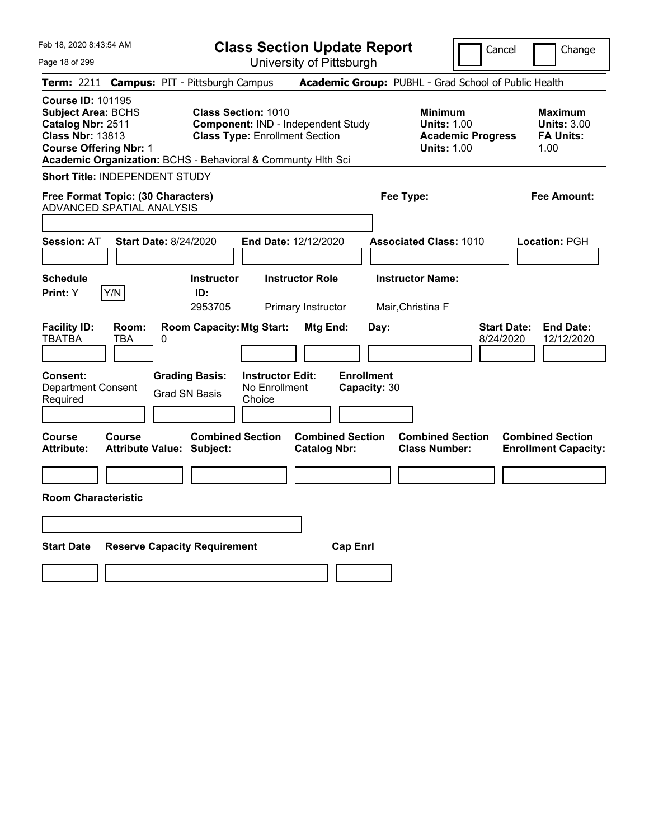| Feb 18, 2020 8:43:54 AM                                                                                                                                                                                |                                                                                                                                         | <b>Class Section Update Report</b>                    | Cancel                                                                                 | Change                                                           |
|--------------------------------------------------------------------------------------------------------------------------------------------------------------------------------------------------------|-----------------------------------------------------------------------------------------------------------------------------------------|-------------------------------------------------------|----------------------------------------------------------------------------------------|------------------------------------------------------------------|
| Page 18 of 299                                                                                                                                                                                         |                                                                                                                                         | University of Pittsburgh                              |                                                                                        |                                                                  |
| Term: 2211 Campus: PIT - Pittsburgh Campus                                                                                                                                                             |                                                                                                                                         |                                                       | Academic Group: PUBHL - Grad School of Public Health                                   |                                                                  |
| <b>Course ID: 101195</b><br><b>Subject Area: BCHS</b><br>Catalog Nbr: 2511<br><b>Class Nbr: 13813</b><br><b>Course Offering Nbr: 1</b><br>Academic Organization: BCHS - Behavioral & Communty Hith Sci | <b>Class Section: 1010</b><br><b>Component: IND - Independent Study</b><br><b>Class Type: Enrollment Section</b>                        |                                                       | <b>Minimum</b><br><b>Units: 1.00</b><br><b>Academic Progress</b><br><b>Units: 1.00</b> | <b>Maximum</b><br><b>Units: 3.00</b><br><b>FA Units:</b><br>1.00 |
| Short Title: INDEPENDENT STUDY                                                                                                                                                                         |                                                                                                                                         |                                                       |                                                                                        |                                                                  |
| Free Format Topic: (30 Characters)<br>ADVANCED SPATIAL ANALYSIS                                                                                                                                        |                                                                                                                                         |                                                       | Fee Type:                                                                              | Fee Amount:                                                      |
| <b>Start Date: 8/24/2020</b><br><b>Session: AT</b>                                                                                                                                                     | End Date: 12/12/2020                                                                                                                    |                                                       | <b>Associated Class: 1010</b>                                                          | <b>Location: PGH</b>                                             |
| <b>Schedule</b><br>Y/N<br><b>Print:</b> Y                                                                                                                                                              | <b>Instructor</b><br>ID:<br>2953705                                                                                                     | <b>Instructor Role</b><br>Primary Instructor          | <b>Instructor Name:</b><br>Mair, Christina F                                           |                                                                  |
| <b>Facility ID:</b><br>Room:<br><b>TBATBA</b><br>TBA<br>0<br>Consent:<br><b>Department Consent</b><br>Required                                                                                         | <b>Room Capacity: Mtg Start:</b><br><b>Grading Basis:</b><br><b>Instructor Edit:</b><br>No Enrollment<br><b>Grad SN Basis</b><br>Choice | Mtg End:<br>Day:<br><b>Enrollment</b><br>Capacity: 30 | <b>Start Date:</b><br>8/24/2020                                                        | <b>End Date:</b><br>12/12/2020                                   |
| <b>Course</b><br>Course<br><b>Attribute:</b><br><b>Attribute Value: Subject:</b>                                                                                                                       | <b>Combined Section</b>                                                                                                                 | <b>Combined Section</b><br><b>Catalog Nbr:</b>        | <b>Combined Section</b><br><b>Class Number:</b>                                        | <b>Combined Section</b><br><b>Enrollment Capacity:</b>           |
|                                                                                                                                                                                                        |                                                                                                                                         |                                                       |                                                                                        |                                                                  |
| <b>Room Characteristic</b>                                                                                                                                                                             |                                                                                                                                         |                                                       |                                                                                        |                                                                  |
|                                                                                                                                                                                                        |                                                                                                                                         |                                                       |                                                                                        |                                                                  |
| <b>Start Date</b>                                                                                                                                                                                      | <b>Reserve Capacity Requirement</b>                                                                                                     | <b>Cap Enrl</b>                                       |                                                                                        |                                                                  |
|                                                                                                                                                                                                        |                                                                                                                                         |                                                       |                                                                                        |                                                                  |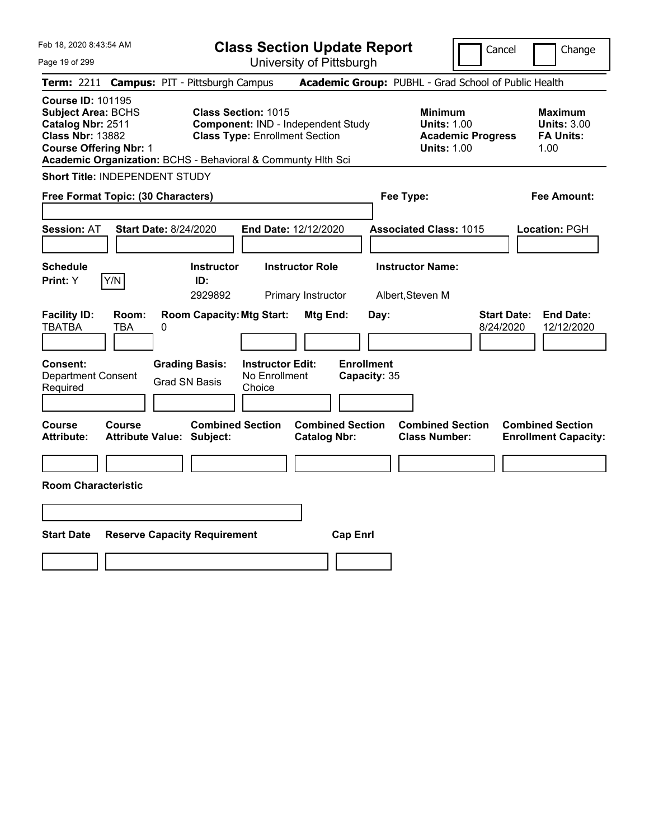Feb 18, 2020 8:43:54 AM Page 19 of 299 **Class Section Update Report** University of Pittsburgh Cancel | Change **Term:** 2211 **Campus:** PIT - Pittsburgh Campus **Academic Group:** PUBHL - Grad School of Public Health **Course ID:** 101195 **Subject Area:** BCHS **Class Section:** 1015 **Minimum Maximum Catalog Nbr:** 2511 **Component:** IND - Independent Study **Units:** 1.00 **Units:** 3.00 **Class Nbr:** 13882 **Class Type:** Enrollment Section **Academic Progress FA Units: Course Offering Nbr: 1 1.00 1.00 1.00 1.00 1.00 1.00 1.00 1.00 1.00 Academic Organization:** BCHS - Behavioral & Communty Hlth Sci **Short Title:** INDEPENDENT STUDY **Free Format Topic: (30 Characters) Fee Type: Fee Amount: Session:** AT **Start Date:** 8/24/2020 **End Date:** 12/12/2020 **Associated Class:** 1015 **Location:** PGH **Schedule Instructor Instructor Role Instructor Name: Print:**  $Y$   $|Y/N|$  **ID:** 2929892 Primary Instructor Albert,Steven M **Facility ID: Room: Room Capacity:Mtg Start: Mtg End: Day: Start Date: End Date:** TBATBA TBA 0 8/24/2020 12/12/2020 **Consent: Grading Basis: Instructor Edit: Enrollment** Department Consent Required Grad SN Basis No Enrollment Choice **Capacity:** 35 **Course Course Combined Section Combined Section Combined Section Combined Section Attribute: Attribute Value: Subject: Catalog Nbr: Class Number: Enrollment Capacity: Room Characteristic Start Date Reserve Capacity Requirement Cap Enrl**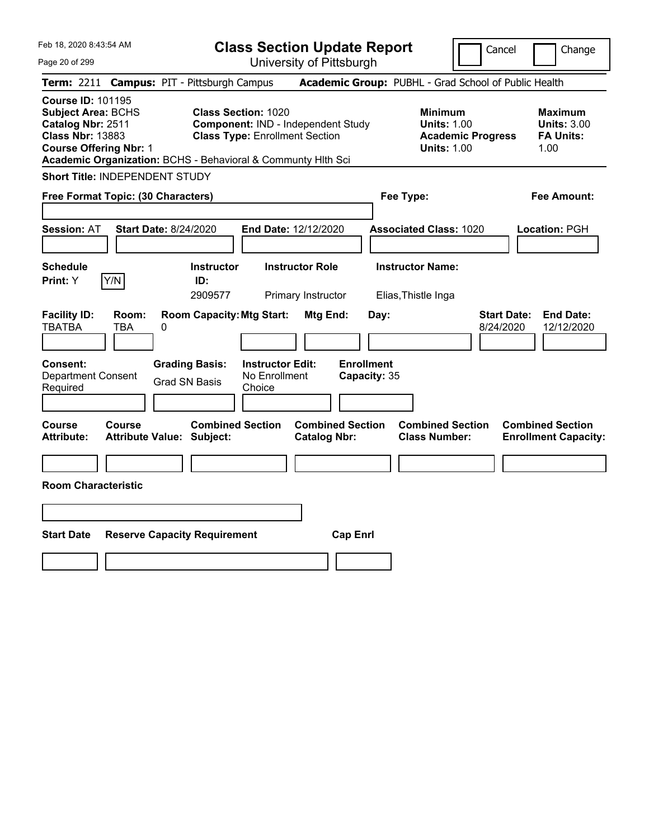| Feb 18, 2020 8:43:54 AM<br>Page 20 of 299                                                                                                                                                              | <b>Class Section Update Report</b><br>University of Pittsburgh                                                   | Cancel<br>Change                                                                                                                                           |
|--------------------------------------------------------------------------------------------------------------------------------------------------------------------------------------------------------|------------------------------------------------------------------------------------------------------------------|------------------------------------------------------------------------------------------------------------------------------------------------------------|
| Term: 2211 Campus: PIT - Pittsburgh Campus                                                                                                                                                             |                                                                                                                  | Academic Group: PUBHL - Grad School of Public Health                                                                                                       |
| <b>Course ID: 101195</b><br><b>Subject Area: BCHS</b><br>Catalog Nbr: 2511<br><b>Class Nbr: 13883</b><br><b>Course Offering Nbr: 1</b><br>Academic Organization: BCHS - Behavioral & Communty Hlth Sci | <b>Class Section: 1020</b><br><b>Component: IND - Independent Study</b><br><b>Class Type: Enrollment Section</b> | <b>Minimum</b><br><b>Maximum</b><br><b>Units: 1.00</b><br><b>Units: 3.00</b><br><b>Academic Progress</b><br><b>FA Units:</b><br><b>Units: 1.00</b><br>1.00 |
| Short Title: INDEPENDENT STUDY                                                                                                                                                                         |                                                                                                                  |                                                                                                                                                            |
| Free Format Topic: (30 Characters)                                                                                                                                                                     | Fee Type:                                                                                                        | <b>Fee Amount:</b>                                                                                                                                         |
| <b>Session: AT</b><br><b>Start Date: 8/24/2020</b>                                                                                                                                                     | End Date: 12/12/2020                                                                                             | <b>Associated Class: 1020</b><br>Location: PGH                                                                                                             |
| Schedule<br>Y/N<br>Print: Y<br>ID:                                                                                                                                                                     | <b>Instructor Role</b><br><b>Instructor</b><br>2909577<br>Primary Instructor                                     | <b>Instructor Name:</b><br>Elias, Thistle Inga                                                                                                             |
| <b>Facility ID:</b><br>Room:<br><b>TBATBA</b><br>TBA<br>0                                                                                                                                              | <b>Room Capacity: Mtg Start:</b><br>Mtg End:<br>Day:                                                             | <b>Start Date:</b><br><b>End Date:</b><br>8/24/2020<br>12/12/2020                                                                                          |
| <b>Grading Basis:</b><br><b>Consent:</b><br><b>Department Consent</b><br>Grad SN Basis<br>Required                                                                                                     | <b>Enrollment</b><br><b>Instructor Edit:</b><br>No Enrollment<br>Capacity: 35<br>Choice                          |                                                                                                                                                            |
| Course<br>Course<br><b>Attribute:</b><br><b>Attribute Value: Subject:</b>                                                                                                                              | <b>Combined Section</b><br><b>Combined Section</b><br><b>Catalog Nbr:</b>                                        | <b>Combined Section</b><br><b>Combined Section</b><br><b>Class Number:</b><br><b>Enrollment Capacity:</b>                                                  |
| <b>Room Characteristic</b>                                                                                                                                                                             |                                                                                                                  |                                                                                                                                                            |
|                                                                                                                                                                                                        |                                                                                                                  |                                                                                                                                                            |
| <b>Start Date</b><br><b>Reserve Capacity Requirement</b>                                                                                                                                               | <b>Cap Enrl</b>                                                                                                  |                                                                                                                                                            |
|                                                                                                                                                                                                        |                                                                                                                  |                                                                                                                                                            |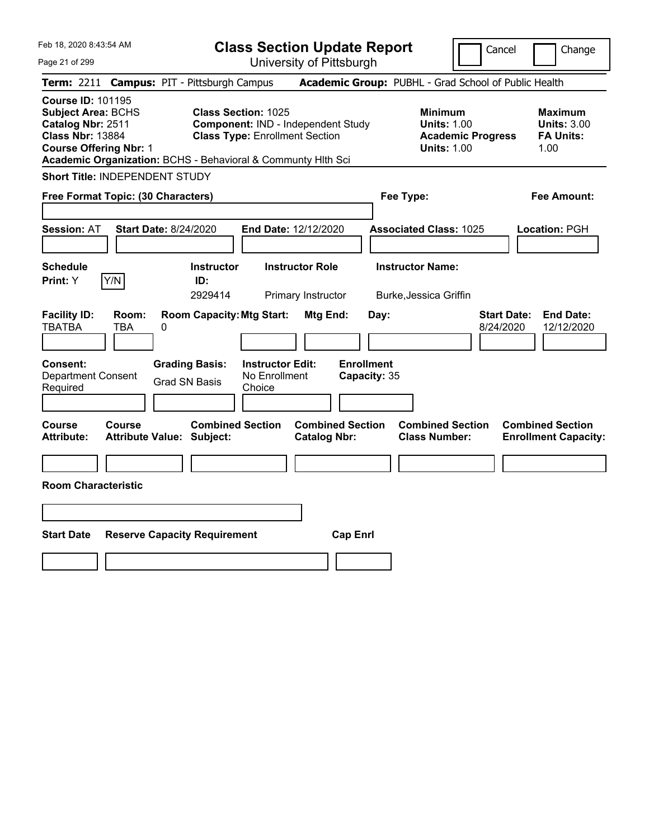Feb 18, 2020 8:43:54 AM Page 21 of 299 **Class Section Update Report** University of Pittsburgh Cancel | Change **Term:** 2211 **Campus:** PIT - Pittsburgh Campus **Academic Group:** PUBHL - Grad School of Public Health **Course ID:** 101195 **Subject Area:** BCHS **Class Section:** 1025 **Minimum Maximum Catalog Nbr:** 2511 **Component:** IND - Independent Study **Units:** 1.00 **Units:** 3.00 **Class Nbr:** 13884 **Class Type:** Enrollment Section **Academic Progress FA Units: Course Offering Nbr: 1 1.00 1.00 1.00 1.00 1.00 1.00 1.00 1.00 1.00 Academic Organization:** BCHS - Behavioral & Communty Hlth Sci **Short Title:** INDEPENDENT STUDY **Free Format Topic: (30 Characters) Fee Type: Fee Amount: Session:** AT **Start Date:** 8/24/2020 **End Date:** 12/12/2020 **Associated Class:** 1025 **Location:** PGH **Schedule Instructor Instructor Role Instructor Name: Print:**  $Y$   $|Y/N|$  **ID:** 2929414 Primary Instructor Burke,Jessica Griffin **Facility ID: Room: Room Capacity:Mtg Start: Mtg End: Day: Start Date: End Date:** TBATBA TBA 0 8/24/2020 12/12/2020 **Consent: Grading Basis: Instructor Edit: Enrollment** Department Consent Required Grad SN Basis No Enrollment Choice **Capacity:** 35 **Course Course Combined Section Combined Section Combined Section Combined Section Attribute: Attribute Value: Subject: Catalog Nbr: Class Number: Enrollment Capacity: Room Characteristic Start Date Reserve Capacity Requirement Cap Enrl**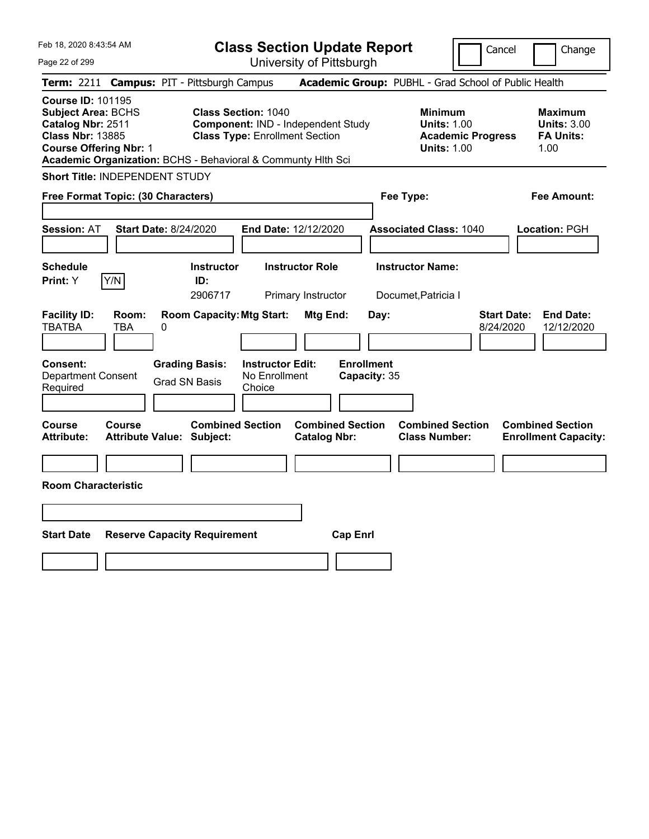|  |  |  |  | Feb 18, 2020 8:43:54 AM |  |
|--|--|--|--|-------------------------|--|
|--|--|--|--|-------------------------|--|

Cancel Change

Page 22 of 299

|                                                                                                                                        |                     | Term: 2211 Campus: PIT - Pittsburgh Campus                   |                                                                                                           |                                                |                                   | Academic Group: PUBHL - Grad School of Public Health                                   |                                 |                                                                  |
|----------------------------------------------------------------------------------------------------------------------------------------|---------------------|--------------------------------------------------------------|-----------------------------------------------------------------------------------------------------------|------------------------------------------------|-----------------------------------|----------------------------------------------------------------------------------------|---------------------------------|------------------------------------------------------------------|
| <b>Course ID: 101195</b><br><b>Subject Area: BCHS</b><br>Catalog Nbr: 2511<br><b>Class Nbr: 13885</b><br><b>Course Offering Nbr: 1</b> |                     | Academic Organization: BCHS - Behavioral & Communty Hlth Sci | <b>Class Section: 1040</b><br>Component: IND - Independent Study<br><b>Class Type: Enrollment Section</b> |                                                |                                   | <b>Minimum</b><br><b>Units: 1.00</b><br><b>Academic Progress</b><br><b>Units: 1.00</b> |                                 | <b>Maximum</b><br><b>Units: 3.00</b><br><b>FA Units:</b><br>1.00 |
| <b>Short Title: INDEPENDENT STUDY</b>                                                                                                  |                     |                                                              |                                                                                                           |                                                |                                   |                                                                                        |                                 |                                                                  |
| Free Format Topic: (30 Characters)                                                                                                     |                     |                                                              |                                                                                                           |                                                | Fee Type:                         |                                                                                        |                                 | <b>Fee Amount:</b>                                               |
|                                                                                                                                        |                     |                                                              |                                                                                                           |                                                |                                   |                                                                                        |                                 |                                                                  |
| Session: AT                                                                                                                            |                     | <b>Start Date: 8/24/2020</b>                                 | End Date: 12/12/2020                                                                                      |                                                |                                   | <b>Associated Class: 1040</b>                                                          |                                 | Location: PGH                                                    |
|                                                                                                                                        |                     |                                                              |                                                                                                           |                                                |                                   |                                                                                        |                                 |                                                                  |
| <b>Schedule</b><br>Print: Y                                                                                                            | Y/N                 | <b>Instructor</b><br>ID:<br>2906717                          | <b>Instructor Role</b><br>Primary Instructor                                                              |                                                |                                   | <b>Instructor Name:</b><br>Documet, Patricia I                                         |                                 |                                                                  |
| <b>Facility ID:</b><br><b>TBATBA</b>                                                                                                   | Room:<br><b>TBA</b> | <b>Room Capacity: Mtg Start:</b><br>0                        |                                                                                                           | Mtg End:                                       | Day:                              |                                                                                        | <b>Start Date:</b><br>8/24/2020 | <b>End Date:</b><br>12/12/2020                                   |
| Consent:<br><b>Department Consent</b><br>Required                                                                                      |                     | <b>Grading Basis:</b><br><b>Grad SN Basis</b>                | <b>Instructor Edit:</b><br>No Enrollment<br>Choice                                                        |                                                | <b>Enrollment</b><br>Capacity: 35 |                                                                                        |                                 |                                                                  |
| Course<br><b>Attribute:</b>                                                                                                            | <b>Course</b>       | <b>Combined Section</b><br><b>Attribute Value: Subject:</b>  |                                                                                                           | <b>Combined Section</b><br><b>Catalog Nbr:</b> |                                   | <b>Combined Section</b><br><b>Class Number:</b>                                        |                                 | <b>Combined Section</b><br><b>Enrollment Capacity:</b>           |
|                                                                                                                                        |                     |                                                              |                                                                                                           |                                                |                                   |                                                                                        |                                 |                                                                  |
| <b>Room Characteristic</b>                                                                                                             |                     |                                                              |                                                                                                           |                                                |                                   |                                                                                        |                                 |                                                                  |
|                                                                                                                                        |                     |                                                              |                                                                                                           |                                                |                                   |                                                                                        |                                 |                                                                  |
|                                                                                                                                        |                     |                                                              |                                                                                                           |                                                |                                   |                                                                                        |                                 |                                                                  |
| <b>Start Date</b>                                                                                                                      |                     | <b>Reserve Capacity Requirement</b>                          |                                                                                                           | <b>Cap Enrl</b>                                |                                   |                                                                                        |                                 |                                                                  |
|                                                                                                                                        |                     |                                                              |                                                                                                           |                                                |                                   |                                                                                        |                                 |                                                                  |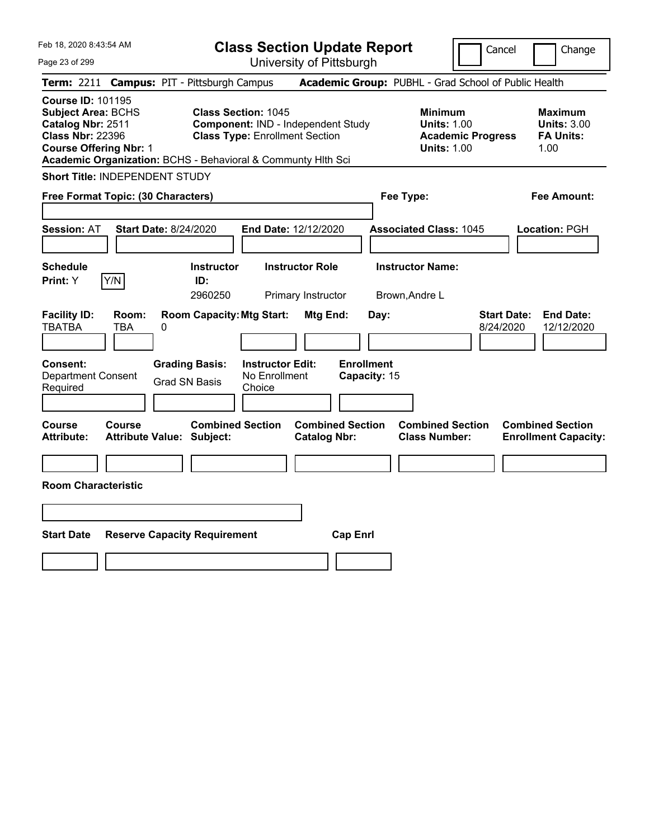|  |  |  |  | Feb 18, 2020 8:43:54 AM |  |
|--|--|--|--|-------------------------|--|
|--|--|--|--|-------------------------|--|

Cancel Change

Page 23 of 299

|                                                                                                                                        |              | Term: 2211 Campus: PIT - Pittsburgh Campus                   |                                                                                                           |                                                |                                   |                | Academic Group: PUBHL - Grad School of Public Health                                   |                                 |                                                                  |
|----------------------------------------------------------------------------------------------------------------------------------------|--------------|--------------------------------------------------------------|-----------------------------------------------------------------------------------------------------------|------------------------------------------------|-----------------------------------|----------------|----------------------------------------------------------------------------------------|---------------------------------|------------------------------------------------------------------|
| <b>Course ID: 101195</b><br><b>Subject Area: BCHS</b><br>Catalog Nbr: 2511<br><b>Class Nbr: 22396</b><br><b>Course Offering Nbr: 1</b> |              | Academic Organization: BCHS - Behavioral & Communty Hlth Sci | <b>Class Section: 1045</b><br>Component: IND - Independent Study<br><b>Class Type: Enrollment Section</b> |                                                |                                   |                | <b>Minimum</b><br><b>Units: 1.00</b><br><b>Academic Progress</b><br><b>Units: 1.00</b> |                                 | <b>Maximum</b><br><b>Units: 3.00</b><br><b>FA Units:</b><br>1.00 |
| <b>Short Title: INDEPENDENT STUDY</b>                                                                                                  |              |                                                              |                                                                                                           |                                                |                                   |                |                                                                                        |                                 |                                                                  |
| Free Format Topic: (30 Characters)                                                                                                     |              |                                                              |                                                                                                           |                                                |                                   | Fee Type:      |                                                                                        |                                 | <b>Fee Amount:</b>                                               |
| <b>Session: AT</b>                                                                                                                     |              | <b>Start Date: 8/24/2020</b>                                 | End Date: 12/12/2020                                                                                      |                                                |                                   |                | <b>Associated Class: 1045</b>                                                          |                                 | Location: PGH                                                    |
| <b>Schedule</b><br>Print: Y                                                                                                            | Y/N          | <b>Instructor</b><br>ID:<br>2960250                          |                                                                                                           | <b>Instructor Role</b><br>Primary Instructor   |                                   | Brown, Andre L | <b>Instructor Name:</b>                                                                |                                 |                                                                  |
| <b>Facility ID:</b><br><b>TBATBA</b>                                                                                                   | Room:<br>TBA | <b>Room Capacity: Mtg Start:</b><br>0                        |                                                                                                           | <b>Mtg End:</b>                                |                                   | Day:           |                                                                                        | <b>Start Date:</b><br>8/24/2020 | <b>End Date:</b><br>12/12/2020                                   |
| <b>Consent:</b><br><b>Department Consent</b><br>Required                                                                               |              | <b>Grading Basis:</b><br><b>Grad SN Basis</b>                | <b>Instructor Edit:</b><br>No Enrollment<br>Choice                                                        |                                                | <b>Enrollment</b><br>Capacity: 15 |                |                                                                                        |                                 |                                                                  |
| <b>Course</b><br><b>Attribute:</b>                                                                                                     | Course       | <b>Combined Section</b><br><b>Attribute Value: Subject:</b>  |                                                                                                           | <b>Combined Section</b><br><b>Catalog Nbr:</b> |                                   |                | <b>Combined Section</b><br><b>Class Number:</b>                                        |                                 | <b>Combined Section</b><br><b>Enrollment Capacity:</b>           |
| <b>Room Characteristic</b>                                                                                                             |              |                                                              |                                                                                                           |                                                |                                   |                |                                                                                        |                                 |                                                                  |
| <b>Start Date</b>                                                                                                                      |              | <b>Reserve Capacity Requirement</b>                          |                                                                                                           |                                                | <b>Cap Enrl</b>                   |                |                                                                                        |                                 |                                                                  |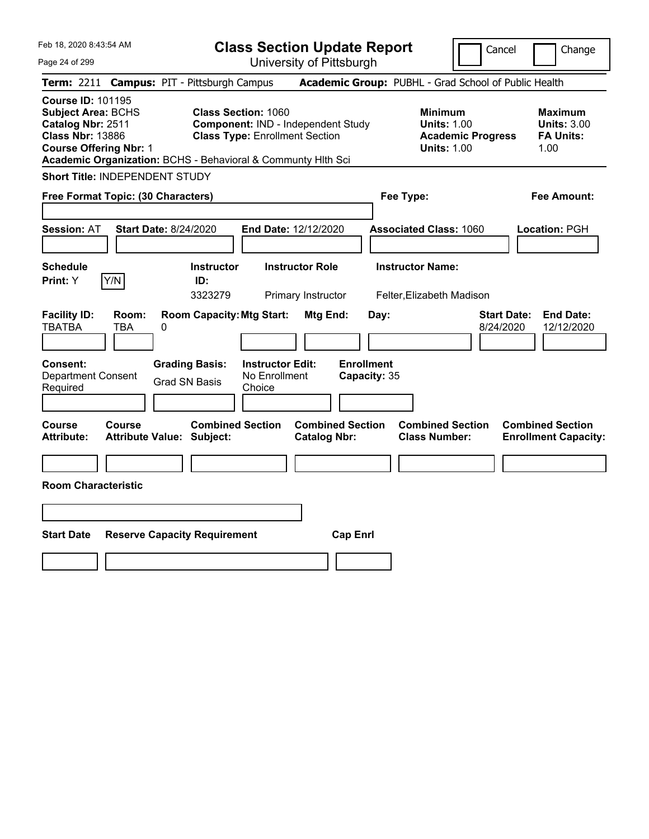|  |  |  |  | Feb 18, 2020 8:43:54 AM |  |
|--|--|--|--|-------------------------|--|
|--|--|--|--|-------------------------|--|

Cancel Change

Page 24 of 299

| Term: 2211 Campus: PIT - Pittsburgh Campus                                                                                                                                                             |                                            |                                               |                                                                     |                                                |                                   | Academic Group: PUBHL - Grad School of Public Health                                   |                                 |                                                                  |
|--------------------------------------------------------------------------------------------------------------------------------------------------------------------------------------------------------|--------------------------------------------|-----------------------------------------------|---------------------------------------------------------------------|------------------------------------------------|-----------------------------------|----------------------------------------------------------------------------------------|---------------------------------|------------------------------------------------------------------|
| <b>Course ID: 101195</b><br><b>Subject Area: BCHS</b><br>Catalog Nbr: 2511<br><b>Class Nbr: 13886</b><br><b>Course Offering Nbr: 1</b><br>Academic Organization: BCHS - Behavioral & Communty Hith Sci |                                            |                                               | <b>Class Section: 1060</b><br><b>Class Type: Enrollment Section</b> | Component: IND - Independent Study             |                                   | <b>Minimum</b><br><b>Units: 1.00</b><br><b>Academic Progress</b><br><b>Units: 1.00</b> |                                 | <b>Maximum</b><br><b>Units: 3.00</b><br><b>FA Units:</b><br>1.00 |
| <b>Short Title: INDEPENDENT STUDY</b>                                                                                                                                                                  |                                            |                                               |                                                                     |                                                |                                   |                                                                                        |                                 |                                                                  |
| Free Format Topic: (30 Characters)                                                                                                                                                                     |                                            |                                               |                                                                     |                                                | Fee Type:                         |                                                                                        |                                 | <b>Fee Amount:</b>                                               |
| <b>Session: AT</b>                                                                                                                                                                                     | <b>Start Date: 8/24/2020</b>               |                                               | End Date: 12/12/2020                                                |                                                |                                   | <b>Associated Class: 1060</b>                                                          |                                 | Location: PGH                                                    |
| <b>Schedule</b><br>Y/N<br>Print: Y                                                                                                                                                                     |                                            | <b>Instructor</b><br>ID:<br>3323279           |                                                                     | <b>Instructor Role</b><br>Primary Instructor   |                                   | <b>Instructor Name:</b><br>Felter, Elizabeth Madison                                   |                                 |                                                                  |
| <b>Facility ID:</b><br><b>TBATBA</b>                                                                                                                                                                   | Room:<br>TBA<br>0                          | <b>Room Capacity: Mtg Start:</b>              |                                                                     | Mtg End:                                       | Day:                              |                                                                                        | <b>Start Date:</b><br>8/24/2020 | <b>End Date:</b><br>12/12/2020                                   |
| Consent:<br><b>Department Consent</b><br>Required                                                                                                                                                      |                                            | <b>Grading Basis:</b><br><b>Grad SN Basis</b> | <b>Instructor Edit:</b><br>No Enrollment<br>Choice                  |                                                | <b>Enrollment</b><br>Capacity: 35 |                                                                                        |                                 |                                                                  |
| Course<br><b>Attribute:</b>                                                                                                                                                                            | Course<br><b>Attribute Value: Subject:</b> | <b>Combined Section</b>                       |                                                                     | <b>Combined Section</b><br><b>Catalog Nbr:</b> |                                   | <b>Combined Section</b><br><b>Class Number:</b>                                        |                                 | <b>Combined Section</b><br><b>Enrollment Capacity:</b>           |
|                                                                                                                                                                                                        |                                            |                                               |                                                                     |                                                |                                   |                                                                                        |                                 |                                                                  |
| <b>Room Characteristic</b>                                                                                                                                                                             |                                            |                                               |                                                                     |                                                |                                   |                                                                                        |                                 |                                                                  |
|                                                                                                                                                                                                        |                                            |                                               |                                                                     |                                                |                                   |                                                                                        |                                 |                                                                  |
| <b>Start Date</b>                                                                                                                                                                                      | <b>Reserve Capacity Requirement</b>        |                                               |                                                                     | <b>Cap Enrl</b>                                |                                   |                                                                                        |                                 |                                                                  |
|                                                                                                                                                                                                        |                                            |                                               |                                                                     |                                                |                                   |                                                                                        |                                 |                                                                  |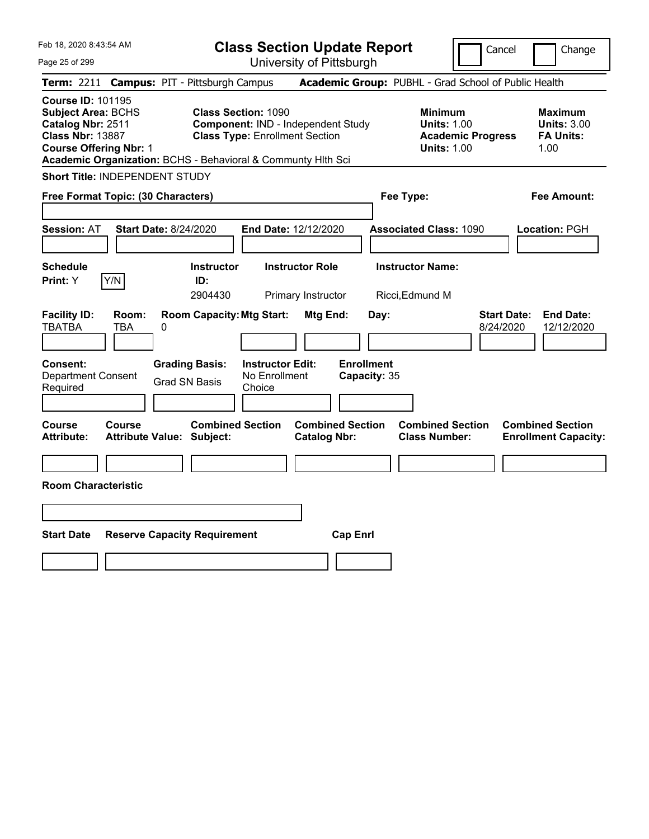Feb 18, 2020 8:43:54 AM Page 25 of 299 **Class Section Update Report** University of Pittsburgh Cancel | Change **Term:** 2211 **Campus:** PIT - Pittsburgh Campus **Academic Group:** PUBHL - Grad School of Public Health **Course ID:** 101195 **Subject Area:** BCHS **Class Section:** 1090 **Minimum Maximum Catalog Nbr:** 2511 **Component:** IND - Independent Study **Units:** 1.00 **Units:** 3.00 **Class Nbr:** 13887 **Class Type:** Enrollment Section **Academic Progress FA Units: Course Offering Nbr: 1 1.00 1.00 1.00 1.00 1.00 1.00 1.00 1.00 1.00 Academic Organization:** BCHS - Behavioral & Communty Hlth Sci **Short Title:** INDEPENDENT STUDY **Free Format Topic: (30 Characters) Fee Type: Fee Amount: Session:** AT **Start Date:** 8/24/2020 **End Date:** 12/12/2020 **Associated Class:** 1090 **Location:** PGH **Schedule Instructor Instructor Role Instructor Name: Print:**  $Y$   $|Y/N|$  **ID:** 2904430 Primary Instructor Ricci,Edmund M **Facility ID: Room: Room Capacity:Mtg Start: Mtg End: Day: Start Date: End Date:** TBATBA TBA 0 8/24/2020 12/12/2020 **Consent: Grading Basis: Instructor Edit: Enrollment** Department Consent Required Grad SN Basis No Enrollment Choice **Capacity:** 35 **Course Course Combined Section Combined Section Combined Section Combined Section Attribute: Attribute Value: Subject: Catalog Nbr: Class Number: Enrollment Capacity: Room Characteristic Start Date Reserve Capacity Requirement Cap Enrl**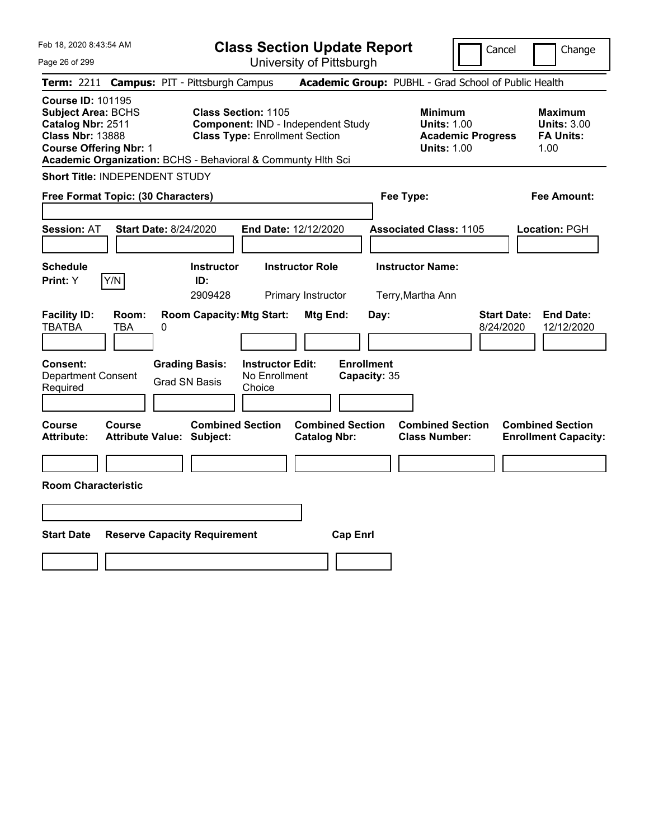|  | Feb 18, 2020 8:43:54 AM |  |
|--|-------------------------|--|
|  |                         |  |

Cancel Change

Page 26 of 299

|                                                                                                                                        |              | Term: 2211 Campus: PIT - Pittsburgh Campus                   |                                                                     |                                                |                                   | Academic Group: PUBHL - Grad School of Public Health                                   |                                 |                                                                  |
|----------------------------------------------------------------------------------------------------------------------------------------|--------------|--------------------------------------------------------------|---------------------------------------------------------------------|------------------------------------------------|-----------------------------------|----------------------------------------------------------------------------------------|---------------------------------|------------------------------------------------------------------|
| <b>Course ID: 101195</b><br><b>Subject Area: BCHS</b><br>Catalog Nbr: 2511<br><b>Class Nbr: 13888</b><br><b>Course Offering Nbr: 1</b> |              | Academic Organization: BCHS - Behavioral & Communty Hlth Sci | <b>Class Section: 1105</b><br><b>Class Type: Enrollment Section</b> | Component: IND - Independent Study             |                                   | <b>Minimum</b><br><b>Units: 1.00</b><br><b>Academic Progress</b><br><b>Units: 1.00</b> |                                 | <b>Maximum</b><br><b>Units: 3.00</b><br><b>FA Units:</b><br>1.00 |
| <b>Short Title: INDEPENDENT STUDY</b>                                                                                                  |              |                                                              |                                                                     |                                                |                                   |                                                                                        |                                 |                                                                  |
| Free Format Topic: (30 Characters)                                                                                                     |              |                                                              |                                                                     |                                                | Fee Type:                         |                                                                                        |                                 | <b>Fee Amount:</b>                                               |
| Session: AT                                                                                                                            |              | <b>Start Date: 8/24/2020</b>                                 | End Date: 12/12/2020                                                |                                                |                                   | <b>Associated Class: 1105</b>                                                          |                                 | Location: PGH                                                    |
| <b>Schedule</b><br>Print: Y                                                                                                            | Y/N          | <b>Instructor</b><br>ID:<br>2909428                          |                                                                     | <b>Instructor Role</b><br>Primary Instructor   |                                   | <b>Instructor Name:</b><br>Terry, Martha Ann                                           |                                 |                                                                  |
| <b>Facility ID:</b><br><b>TBATBA</b>                                                                                                   | Room:<br>TBA | <b>Room Capacity: Mtg Start:</b><br>0                        |                                                                     | Mtg End:                                       | Day:                              |                                                                                        | <b>Start Date:</b><br>8/24/2020 | <b>End Date:</b><br>12/12/2020                                   |
| Consent:<br><b>Department Consent</b><br>Required                                                                                      |              | <b>Grading Basis:</b><br><b>Grad SN Basis</b>                | <b>Instructor Edit:</b><br>No Enrollment<br>Choice                  |                                                | <b>Enrollment</b><br>Capacity: 35 |                                                                                        |                                 |                                                                  |
| Course<br><b>Attribute:</b>                                                                                                            | Course       | <b>Combined Section</b><br><b>Attribute Value: Subject:</b>  |                                                                     | <b>Combined Section</b><br><b>Catalog Nbr:</b> |                                   | <b>Combined Section</b><br><b>Class Number:</b>                                        |                                 | <b>Combined Section</b><br><b>Enrollment Capacity:</b>           |
| <b>Room Characteristic</b>                                                                                                             |              |                                                              |                                                                     |                                                |                                   |                                                                                        |                                 |                                                                  |
|                                                                                                                                        |              |                                                              |                                                                     |                                                |                                   |                                                                                        |                                 |                                                                  |
| <b>Start Date</b>                                                                                                                      |              | <b>Reserve Capacity Requirement</b>                          |                                                                     | <b>Cap Enrl</b>                                |                                   |                                                                                        |                                 |                                                                  |
|                                                                                                                                        |              |                                                              |                                                                     |                                                |                                   |                                                                                        |                                 |                                                                  |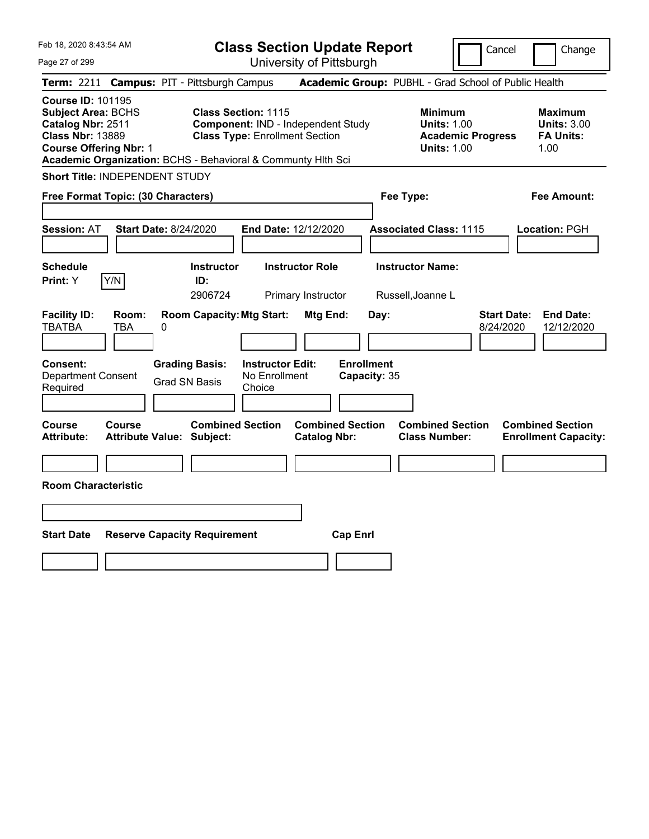|  | Feb 18, 2020 8:43:54 AM |  |
|--|-------------------------|--|
|  |                         |  |

Cancel Change

Page 27 of 299

|                                                                                                                                        |                     | Term: 2211 Campus: PIT - Pittsburgh Campus                   |                                                                                                           |                                                |                           | Academic Group: PUBHL - Grad School of Public Health                                   |                                 |                                                                  |
|----------------------------------------------------------------------------------------------------------------------------------------|---------------------|--------------------------------------------------------------|-----------------------------------------------------------------------------------------------------------|------------------------------------------------|---------------------------|----------------------------------------------------------------------------------------|---------------------------------|------------------------------------------------------------------|
| <b>Course ID: 101195</b><br><b>Subject Area: BCHS</b><br>Catalog Nbr: 2511<br><b>Class Nbr: 13889</b><br><b>Course Offering Nbr: 1</b> |                     | Academic Organization: BCHS - Behavioral & Communty Hlth Sci | <b>Class Section: 1115</b><br>Component: IND - Independent Study<br><b>Class Type: Enrollment Section</b> |                                                |                           | <b>Minimum</b><br><b>Units: 1.00</b><br><b>Academic Progress</b><br><b>Units: 1.00</b> |                                 | <b>Maximum</b><br><b>Units: 3.00</b><br><b>FA Units:</b><br>1.00 |
| <b>Short Title: INDEPENDENT STUDY</b>                                                                                                  |                     |                                                              |                                                                                                           |                                                |                           |                                                                                        |                                 |                                                                  |
| Free Format Topic: (30 Characters)                                                                                                     |                     |                                                              |                                                                                                           |                                                | Fee Type:                 |                                                                                        |                                 | <b>Fee Amount:</b>                                               |
| <b>Session: AT</b>                                                                                                                     |                     | <b>Start Date: 8/24/2020</b>                                 | End Date: 12/12/2020                                                                                      |                                                |                           | <b>Associated Class: 1115</b>                                                          |                                 | Location: PGH                                                    |
| <b>Schedule</b><br>Print: Y                                                                                                            | Y/N                 | <b>Instructor</b><br>ID:<br>2906724                          | <b>Instructor Role</b><br>Primary Instructor                                                              |                                                |                           | <b>Instructor Name:</b><br>Russell, Joanne L                                           |                                 |                                                                  |
| <b>Facility ID:</b><br><b>TBATBA</b>                                                                                                   | Room:<br><b>TBA</b> | <b>Room Capacity: Mtg Start:</b><br>0                        |                                                                                                           | Mtg End:                                       | Day:<br><b>Enrollment</b> |                                                                                        | <b>Start Date:</b><br>8/24/2020 | <b>End Date:</b><br>12/12/2020                                   |
| Consent:<br><b>Department Consent</b><br>Required                                                                                      |                     | <b>Grading Basis:</b><br><b>Grad SN Basis</b>                | <b>Instructor Edit:</b><br>No Enrollment<br>Choice                                                        |                                                | Capacity: 35              |                                                                                        |                                 |                                                                  |
| <b>Course</b><br><b>Attribute:</b>                                                                                                     | <b>Course</b>       | <b>Combined Section</b><br><b>Attribute Value: Subject:</b>  |                                                                                                           | <b>Combined Section</b><br><b>Catalog Nbr:</b> |                           | <b>Combined Section</b><br><b>Class Number:</b>                                        |                                 | <b>Combined Section</b><br><b>Enrollment Capacity:</b>           |
| <b>Room Characteristic</b>                                                                                                             |                     |                                                              |                                                                                                           |                                                |                           |                                                                                        |                                 |                                                                  |
| <b>Start Date</b>                                                                                                                      |                     | <b>Reserve Capacity Requirement</b>                          |                                                                                                           | <b>Cap Enrl</b>                                |                           |                                                                                        |                                 |                                                                  |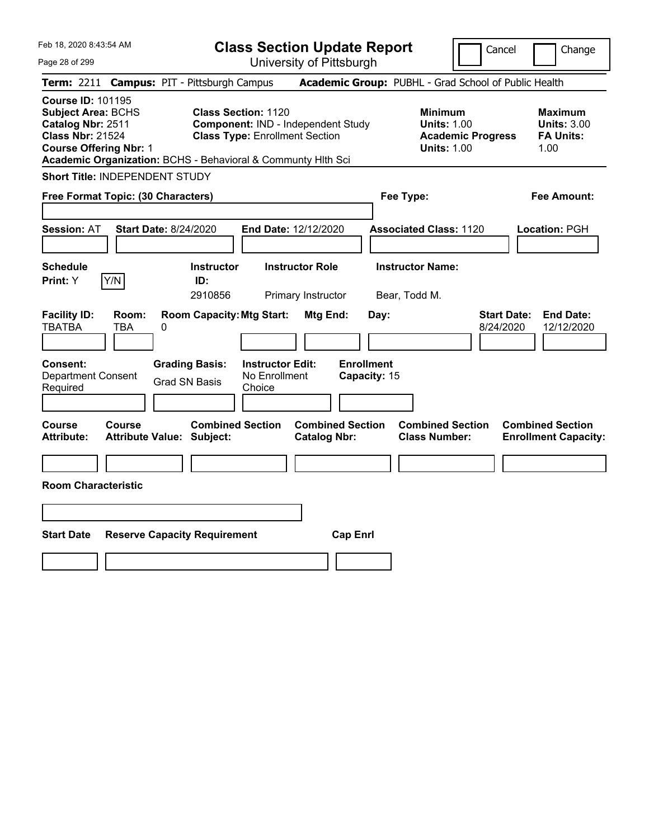| Feb 18, 2020 8:43:54 AM<br>Page 28 of 299                                                                                                                                                              | <b>Class Section Update Report</b><br>University of Pittsburgh                                                   | Cancel                                                                                 | Change                                                           |
|--------------------------------------------------------------------------------------------------------------------------------------------------------------------------------------------------------|------------------------------------------------------------------------------------------------------------------|----------------------------------------------------------------------------------------|------------------------------------------------------------------|
| Term: 2211 Campus: PIT - Pittsburgh Campus                                                                                                                                                             |                                                                                                                  | Academic Group: PUBHL - Grad School of Public Health                                   |                                                                  |
| <b>Course ID: 101195</b><br><b>Subject Area: BCHS</b><br>Catalog Nbr: 2511<br><b>Class Nbr: 21524</b><br><b>Course Offering Nbr: 1</b><br>Academic Organization: BCHS - Behavioral & Communty Hlth Sci | <b>Class Section: 1120</b><br><b>Component: IND - Independent Study</b><br><b>Class Type: Enrollment Section</b> | <b>Minimum</b><br><b>Units: 1.00</b><br><b>Academic Progress</b><br><b>Units: 1.00</b> | <b>Maximum</b><br><b>Units: 3.00</b><br><b>FA Units:</b><br>1.00 |
| Short Title: INDEPENDENT STUDY                                                                                                                                                                         |                                                                                                                  |                                                                                        |                                                                  |
| Free Format Topic: (30 Characters)                                                                                                                                                                     |                                                                                                                  | Fee Type:                                                                              | <b>Fee Amount:</b>                                               |
| <b>Session: AT</b><br><b>Start Date: 8/24/2020</b>                                                                                                                                                     | End Date: 12/12/2020                                                                                             | <b>Associated Class: 1120</b>                                                          | Location: PGH                                                    |
| Schedule<br>Y/N<br>Print: Y<br>ID:                                                                                                                                                                     | <b>Instructor Role</b><br><b>Instructor</b><br>2910856<br>Primary Instructor                                     | <b>Instructor Name:</b><br>Bear, Todd M.                                               |                                                                  |
| <b>Facility ID:</b><br>Room:<br><b>TBATBA</b><br>TBA<br>0                                                                                                                                              | <b>Room Capacity: Mtg Start:</b><br>Mtg End:<br>Day:                                                             | <b>Start Date:</b><br>8/24/2020                                                        | <b>End Date:</b><br>12/12/2020                                   |
| <b>Grading Basis:</b><br><b>Consent:</b><br><b>Department Consent</b><br>Grad SN Basis<br>Required                                                                                                     | <b>Enrollment</b><br><b>Instructor Edit:</b><br>No Enrollment<br>Capacity: 15<br>Choice                          |                                                                                        |                                                                  |
| Course<br>Course<br><b>Attribute:</b><br><b>Attribute Value: Subject:</b>                                                                                                                              | <b>Combined Section</b><br><b>Combined Section</b><br><b>Catalog Nbr:</b>                                        | <b>Combined Section</b><br><b>Class Number:</b>                                        | <b>Combined Section</b><br><b>Enrollment Capacity:</b>           |
| <b>Room Characteristic</b>                                                                                                                                                                             |                                                                                                                  |                                                                                        |                                                                  |
|                                                                                                                                                                                                        |                                                                                                                  |                                                                                        |                                                                  |
| <b>Start Date</b><br><b>Reserve Capacity Requirement</b>                                                                                                                                               | <b>Cap Enrl</b>                                                                                                  |                                                                                        |                                                                  |
|                                                                                                                                                                                                        |                                                                                                                  |                                                                                        |                                                                  |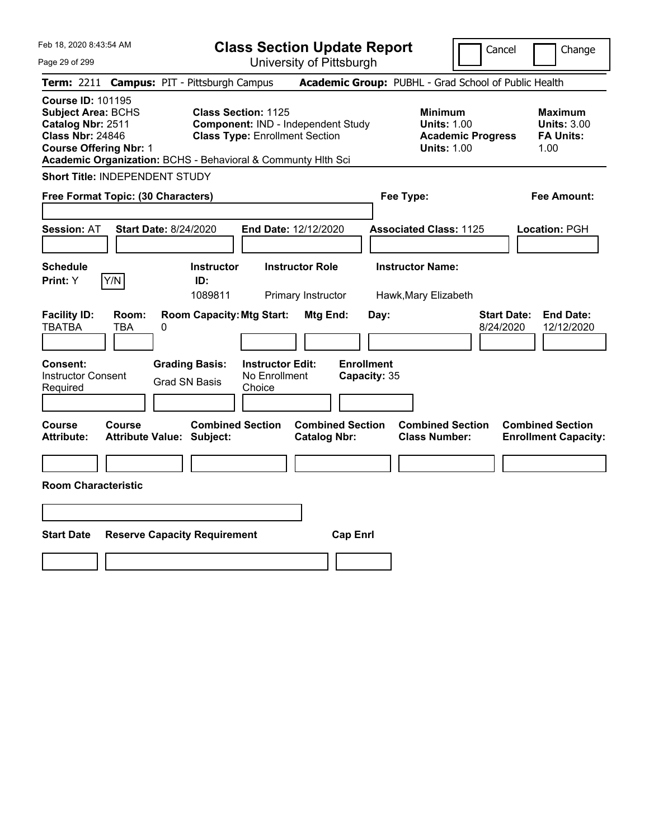Feb 18, 2020 8:43:54 AM Page 29 of 299 **Class Section Update Report** University of Pittsburgh Cancel | Change **Term:** 2211 **Campus:** PIT - Pittsburgh Campus **Academic Group:** PUBHL - Grad School of Public Health **Course ID:** 101195 **Subject Area:** BCHS **Class Section:** 1125 **Minimum Maximum Catalog Nbr:** 2511 **Component:** IND - Independent Study **Units:** 1.00 **Units:** 3.00 **Class Nbr:** 24846 **Class Type:** Enrollment Section **Academic Progress FA Units: Course Offering Nbr: 1 1.00 1.00 1.00 1.00 1.00 1.00 1.00 1.00 1.00 Academic Organization:** BCHS - Behavioral & Communty Hlth Sci **Short Title:** INDEPENDENT STUDY **Free Format Topic: (30 Characters) Fee Type: Fee Amount: Session:** AT **Start Date:** 8/24/2020 **End Date:** 12/12/2020 **Associated Class:** 1125 **Location:** PGH **Schedule Instructor Instructor Role Instructor Name: Print:**  $Y$   $|Y/N|$  **ID:** 1089811 Primary Instructor Hawk,Mary Elizabeth **Facility ID: Room: Room Capacity:Mtg Start: Mtg End: Day: Start Date: End Date:** TBATBA TBA 0 8/24/2020 12/12/2020 **Consent: Grading Basis: Instructor Edit: Enrollment** Instructor Consent Required Grad SN Basis No Enrollment Choice **Capacity:** 35 **Course Course Combined Section Combined Section Combined Section Combined Section Attribute: Attribute Value: Subject: Catalog Nbr: Class Number: Enrollment Capacity: Room Characteristic Start Date Reserve Capacity Requirement Cap Enrl**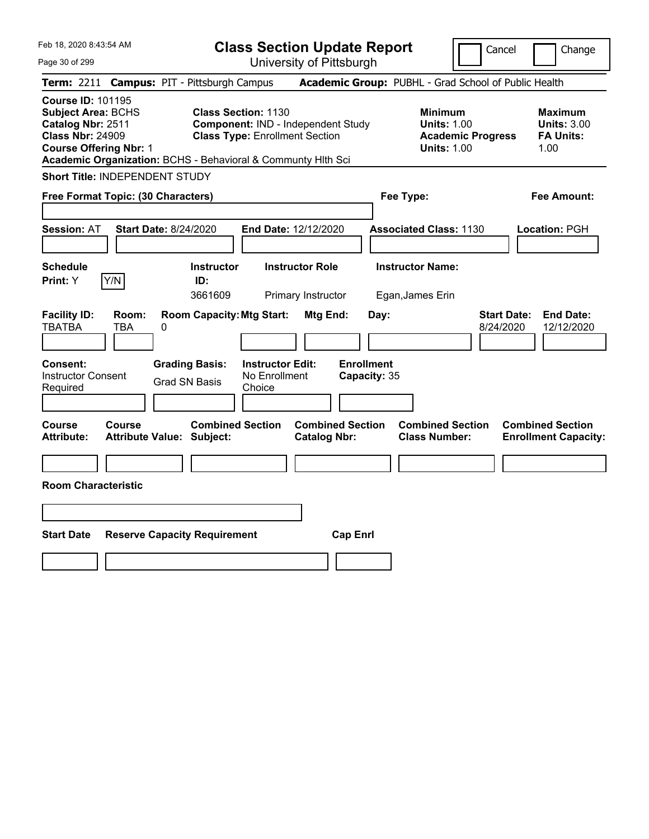|  | Feb 18, 2020 8:43:54 AM |  |
|--|-------------------------|--|
|  |                         |  |

Cancel Change

Page 30 of 299

| <b>Term: 2211 Campus: PIT - Pittsburgh Campus</b>                                                                                                                                                      |                                                                                                           | <b>Academic Group: PUBHL - Grad School of Public Health</b>                            |                                                                  |
|--------------------------------------------------------------------------------------------------------------------------------------------------------------------------------------------------------|-----------------------------------------------------------------------------------------------------------|----------------------------------------------------------------------------------------|------------------------------------------------------------------|
| <b>Course ID: 101195</b><br><b>Subject Area: BCHS</b><br>Catalog Nbr: 2511<br><b>Class Nbr: 24909</b><br><b>Course Offering Nbr: 1</b><br>Academic Organization: BCHS - Behavioral & Communty Hlth Sci | <b>Class Section: 1130</b><br>Component: IND - Independent Study<br><b>Class Type: Enrollment Section</b> | <b>Minimum</b><br><b>Units: 1.00</b><br><b>Academic Progress</b><br><b>Units: 1.00</b> | <b>Maximum</b><br><b>Units: 3.00</b><br><b>FA Units:</b><br>1.00 |
| Short Title: INDEPENDENT STUDY                                                                                                                                                                         |                                                                                                           |                                                                                        |                                                                  |
| Free Format Topic: (30 Characters)                                                                                                                                                                     |                                                                                                           | Fee Type:                                                                              | <b>Fee Amount:</b>                                               |
|                                                                                                                                                                                                        |                                                                                                           |                                                                                        |                                                                  |
| <b>Session: AT</b><br><b>Start Date: 8/24/2020</b>                                                                                                                                                     | End Date: 12/12/2020                                                                                      | <b>Associated Class: 1130</b>                                                          | Location: PGH                                                    |
|                                                                                                                                                                                                        |                                                                                                           |                                                                                        |                                                                  |
| <b>Schedule</b><br><b>Instructor</b><br>Y/N<br>Print: Y<br>ID:<br>3661609                                                                                                                              | <b>Instructor Role</b><br>Primary Instructor                                                              | <b>Instructor Name:</b><br>Egan, James Erin                                            |                                                                  |
| <b>Facility ID:</b><br>Room:<br><b>Room Capacity: Mtg Start:</b><br><b>TBATBA</b><br>TBA<br>0                                                                                                          | Mtg End:                                                                                                  | <b>Start Date:</b><br>Day:<br>8/24/2020                                                | <b>End Date:</b><br>12/12/2020                                   |
| Consent:<br><b>Grading Basis:</b><br><b>Instructor Consent</b><br><b>Grad SN Basis</b><br>Required                                                                                                     | <b>Enrollment</b><br><b>Instructor Edit:</b><br>No Enrollment<br>Capacity: 35<br>Choice                   |                                                                                        |                                                                  |
| <b>Course</b><br><b>Course</b><br><b>Attribute:</b><br>Attribute Value: Subject:                                                                                                                       | <b>Combined Section</b><br><b>Combined Section</b><br><b>Catalog Nbr:</b>                                 | <b>Combined Section</b><br><b>Class Number:</b>                                        | <b>Combined Section</b><br><b>Enrollment Capacity:</b>           |
|                                                                                                                                                                                                        |                                                                                                           |                                                                                        |                                                                  |
| <b>Room Characteristic</b>                                                                                                                                                                             |                                                                                                           |                                                                                        |                                                                  |
|                                                                                                                                                                                                        |                                                                                                           |                                                                                        |                                                                  |
| <b>Start Date</b><br><b>Reserve Capacity Requirement</b>                                                                                                                                               | <b>Cap Enrl</b>                                                                                           |                                                                                        |                                                                  |
|                                                                                                                                                                                                        |                                                                                                           |                                                                                        |                                                                  |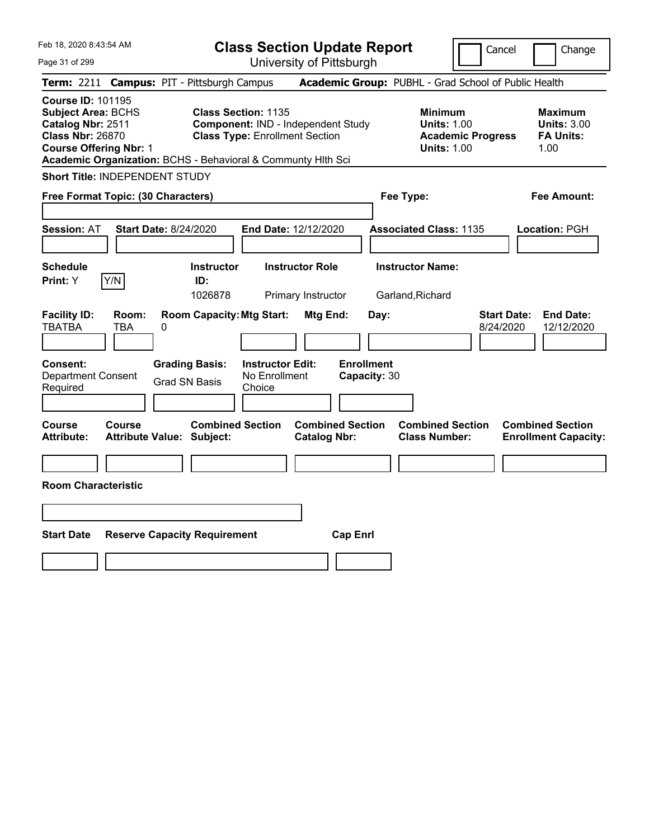| Feb 18, 2020 8:43:54 AM |  |  |
|-------------------------|--|--|
|                         |  |  |

| <b>Class Section Update Report</b> |  |
|------------------------------------|--|
| University of Pittsburgh           |  |

Cancel Change

Page 31 of 299

|                                                                                                                                        |                                   | Term: 2211 Campus: PIT - Pittsburgh Campus                   |                                                                                                           |                                                |                                   | Academic Group: PUBHL - Grad School of Public Health                                   |                                 |                                                                  |
|----------------------------------------------------------------------------------------------------------------------------------------|-----------------------------------|--------------------------------------------------------------|-----------------------------------------------------------------------------------------------------------|------------------------------------------------|-----------------------------------|----------------------------------------------------------------------------------------|---------------------------------|------------------------------------------------------------------|
| <b>Course ID: 101195</b><br><b>Subject Area: BCHS</b><br>Catalog Nbr: 2511<br><b>Class Nbr: 26870</b><br><b>Course Offering Nbr: 1</b> |                                   | Academic Organization: BCHS - Behavioral & Communty Hith Sci | <b>Class Section: 1135</b><br>Component: IND - Independent Study<br><b>Class Type: Enrollment Section</b> |                                                |                                   | <b>Minimum</b><br><b>Units: 1.00</b><br><b>Academic Progress</b><br><b>Units: 1.00</b> |                                 | <b>Maximum</b><br><b>Units: 3.00</b><br><b>FA Units:</b><br>1.00 |
| <b>Short Title: INDEPENDENT STUDY</b>                                                                                                  |                                   |                                                              |                                                                                                           |                                                |                                   |                                                                                        |                                 |                                                                  |
| Free Format Topic: (30 Characters)                                                                                                     |                                   |                                                              |                                                                                                           |                                                |                                   | Fee Type:                                                                              |                                 | Fee Amount:                                                      |
| <b>Session: AT</b>                                                                                                                     |                                   | <b>Start Date: 8/24/2020</b>                                 | End Date: 12/12/2020                                                                                      |                                                |                                   | <b>Associated Class: 1135</b>                                                          |                                 | Location: PGH                                                    |
| <b>Schedule</b><br>Print: Y                                                                                                            | Y/N                               | <b>Instructor</b><br>ID:<br>1026878                          |                                                                                                           | <b>Instructor Role</b><br>Primary Instructor   |                                   | <b>Instructor Name:</b><br>Garland, Richard                                            |                                 |                                                                  |
| <b>Facility ID:</b><br><b>TBATBA</b>                                                                                                   | Room:<br><b>TBA</b>               | <b>Room Capacity: Mtg Start:</b><br>0                        |                                                                                                           | Mtg End:                                       | Day:                              |                                                                                        | <b>Start Date:</b><br>8/24/2020 | <b>End Date:</b><br>12/12/2020                                   |
| Consent:<br><b>Department Consent</b><br>Required                                                                                      |                                   | <b>Grading Basis:</b><br><b>Grad SN Basis</b>                | <b>Instructor Edit:</b><br>No Enrollment<br>Choice                                                        |                                                | <b>Enrollment</b><br>Capacity: 30 |                                                                                        |                                 |                                                                  |
| Course<br><b>Attribute:</b>                                                                                                            | Course<br><b>Attribute Value:</b> | <b>Combined Section</b><br>Subject:                          |                                                                                                           | <b>Combined Section</b><br><b>Catalog Nbr:</b> |                                   | <b>Combined Section</b><br><b>Class Number:</b>                                        |                                 | <b>Combined Section</b><br><b>Enrollment Capacity:</b>           |
| <b>Room Characteristic</b>                                                                                                             |                                   |                                                              |                                                                                                           |                                                |                                   |                                                                                        |                                 |                                                                  |
|                                                                                                                                        |                                   |                                                              |                                                                                                           |                                                |                                   |                                                                                        |                                 |                                                                  |
| <b>Start Date</b>                                                                                                                      |                                   | <b>Reserve Capacity Requirement</b>                          |                                                                                                           |                                                | <b>Cap Enrl</b>                   |                                                                                        |                                 |                                                                  |
|                                                                                                                                        |                                   |                                                              |                                                                                                           |                                                |                                   |                                                                                        |                                 |                                                                  |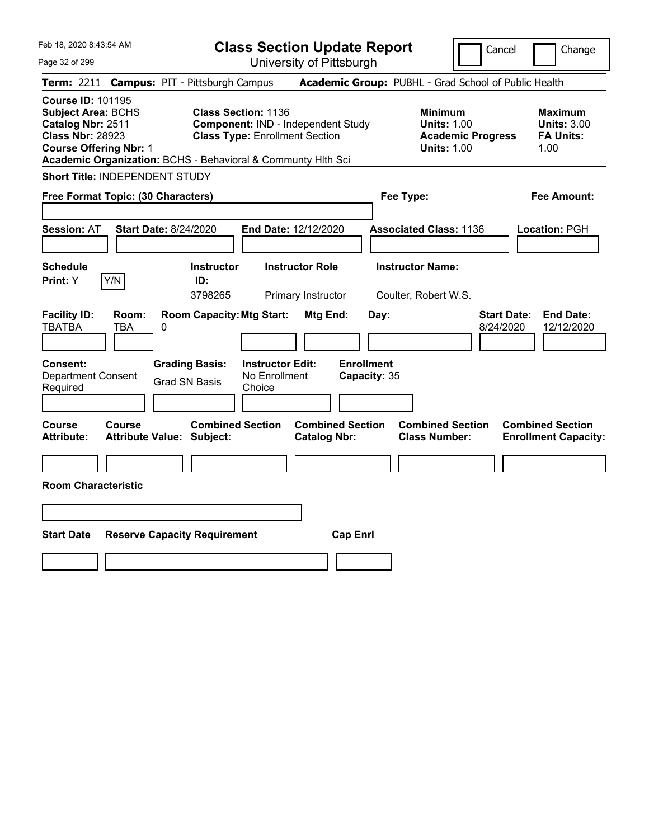Feb 18, 2020 8:43:54 AM Page 32 of 299 **Class Section Update Report** University of Pittsburgh Cancel | Change **Term:** 2211 **Campus:** PIT - Pittsburgh Campus **Academic Group:** PUBHL - Grad School of Public Health **Course ID:** 101195 **Subject Area:** BCHS **Class Section:** 1136 **Minimum Maximum Catalog Nbr:** 2511 **Component:** IND - Independent Study **Units:** 1.00 **Units:** 3.00 **Class Nbr:** 28923 **Class Type:** Enrollment Section **Academic Progress FA Units: Course Offering Nbr: 1 1.00 1.00 1.00 1.00 1.00 1.00 1.00 1.00 1.00 Academic Organization:** BCHS - Behavioral & Communty Hlth Sci **Short Title:** INDEPENDENT STUDY **Free Format Topic: (30 Characters) Fee Type: Fee Amount: Session:** AT **Start Date:** 8/24/2020 **End Date:** 12/12/2020 **Associated Class:** 1136 **Location:** PGH **Schedule Instructor Instructor Role Instructor Name: Print:**  $Y$   $|Y/N|$  **ID:** 3798265 Primary Instructor Coulter, Robert W.S. **Facility ID: Room: Room Capacity:Mtg Start: Mtg End: Day: Start Date: End Date:** TBATBA TBA 0 8/24/2020 12/12/2020 **Consent: Grading Basis: Instructor Edit: Enrollment** Department Consent Required Grad SN Basis No Enrollment Choice **Capacity:** 35 **Course Course Combined Section Combined Section Combined Section Combined Section Attribute: Attribute Value: Subject: Catalog Nbr: Class Number: Enrollment Capacity: Room Characteristic Start Date Reserve Capacity Requirement Cap Enrl**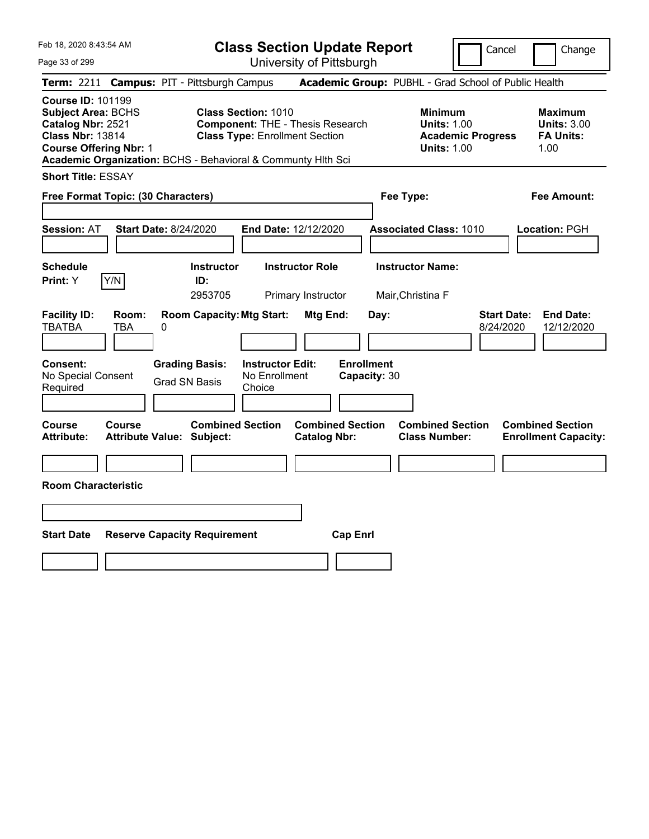Page 33 of 299

**Class Section Update Report**

Cancel Change

University of Pittsburgh

|                                                                                                                                        |                     | Term: 2211 Campus: PIT - Pittsburgh Campus                   |                                                                                                                |                                              |                                   | Academic Group: PUBHL - Grad School of Public Health       |                                 |                                                                  |
|----------------------------------------------------------------------------------------------------------------------------------------|---------------------|--------------------------------------------------------------|----------------------------------------------------------------------------------------------------------------|----------------------------------------------|-----------------------------------|------------------------------------------------------------|---------------------------------|------------------------------------------------------------------|
| <b>Course ID: 101199</b><br><b>Subject Area: BCHS</b><br>Catalog Nbr: 2521<br><b>Class Nbr: 13814</b><br><b>Course Offering Nbr: 1</b> |                     | Academic Organization: BCHS - Behavioral & Communty Hlth Sci | <b>Class Section: 1010</b><br><b>Component: THE - Thesis Research</b><br><b>Class Type: Enrollment Section</b> |                                              |                                   | <b>Minimum</b><br><b>Units: 1.00</b><br><b>Units: 1.00</b> | <b>Academic Progress</b>        | <b>Maximum</b><br><b>Units: 3.00</b><br><b>FA Units:</b><br>1.00 |
| <b>Short Title: ESSAY</b>                                                                                                              |                     |                                                              |                                                                                                                |                                              |                                   |                                                            |                                 |                                                                  |
| Free Format Topic: (30 Characters)                                                                                                     |                     |                                                              |                                                                                                                |                                              |                                   | Fee Type:                                                  |                                 | <b>Fee Amount:</b>                                               |
| <b>Session: AT</b>                                                                                                                     |                     | <b>Start Date: 8/24/2020</b>                                 | End Date: 12/12/2020                                                                                           |                                              |                                   | <b>Associated Class: 1010</b>                              |                                 | Location: PGH                                                    |
| <b>Schedule</b><br>Print: Y                                                                                                            | Y/N                 | <b>Instructor</b><br>ID:<br>2953705                          |                                                                                                                | <b>Instructor Role</b><br>Primary Instructor |                                   | <b>Instructor Name:</b><br>Mair, Christina F               |                                 |                                                                  |
| <b>Facility ID:</b><br><b>TBATBA</b>                                                                                                   | Room:<br><b>TBA</b> | <b>Room Capacity: Mtg Start:</b><br>0                        |                                                                                                                | <b>Mtg End:</b>                              | Day:                              |                                                            | <b>Start Date:</b><br>8/24/2020 | <b>End Date:</b><br>12/12/2020                                   |
| Consent:<br>No Special Consent<br>Required                                                                                             |                     | <b>Grading Basis:</b><br><b>Grad SN Basis</b>                | <b>Instructor Edit:</b><br>No Enrollment<br>Choice                                                             |                                              | <b>Enrollment</b><br>Capacity: 30 |                                                            |                                 |                                                                  |
| Course<br><b>Attribute:</b>                                                                                                            | Course              | <b>Combined Section</b><br><b>Attribute Value: Subject:</b>  |                                                                                                                | <b>Catalog Nbr:</b>                          | <b>Combined Section</b>           | <b>Combined Section</b><br><b>Class Number:</b>            |                                 | <b>Combined Section</b><br><b>Enrollment Capacity:</b>           |
| <b>Room Characteristic</b>                                                                                                             |                     |                                                              |                                                                                                                |                                              |                                   |                                                            |                                 |                                                                  |
|                                                                                                                                        |                     |                                                              |                                                                                                                |                                              |                                   |                                                            |                                 |                                                                  |
| <b>Start Date</b>                                                                                                                      |                     | <b>Reserve Capacity Requirement</b>                          |                                                                                                                |                                              | <b>Cap Enrl</b>                   |                                                            |                                 |                                                                  |
|                                                                                                                                        |                     |                                                              |                                                                                                                |                                              |                                   |                                                            |                                 |                                                                  |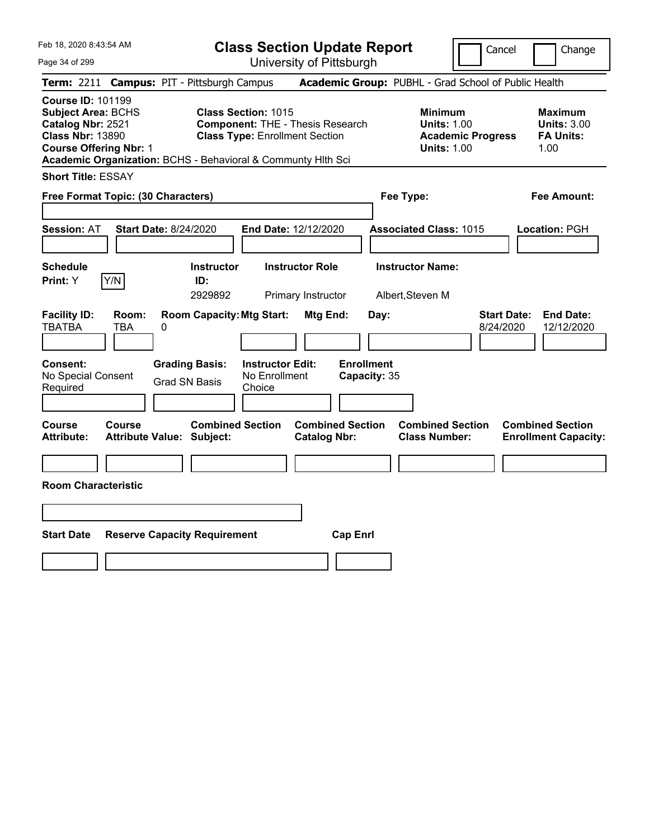Page 34 of 299

**Class Section Update Report**

Cancel **Change** 

University of Pittsburgh

|                                                                                                                                        |                     |                                                              |                                                                     | UNIVUUTIY UITTILUUUIYN                         |                                   |                                                                                        |                                                           |
|----------------------------------------------------------------------------------------------------------------------------------------|---------------------|--------------------------------------------------------------|---------------------------------------------------------------------|------------------------------------------------|-----------------------------------|----------------------------------------------------------------------------------------|-----------------------------------------------------------|
|                                                                                                                                        |                     | Term: 2211 Campus: PIT - Pittsburgh Campus                   |                                                                     |                                                |                                   | Academic Group: PUBHL - Grad School of Public Health                                   |                                                           |
| <b>Course ID: 101199</b><br><b>Subject Area: BCHS</b><br>Catalog Nbr: 2521<br><b>Class Nbr: 13890</b><br><b>Course Offering Nbr: 1</b> |                     | Academic Organization: BCHS - Behavioral & Communty Hlth Sci | <b>Class Section: 1015</b><br><b>Class Type: Enrollment Section</b> | <b>Component: THE - Thesis Research</b>        |                                   | <b>Minimum</b><br><b>Units: 1.00</b><br><b>Academic Progress</b><br><b>Units: 1.00</b> | Maximum<br><b>Units: 3.00</b><br><b>FA Units:</b><br>1.00 |
| <b>Short Title: ESSAY</b>                                                                                                              |                     |                                                              |                                                                     |                                                |                                   |                                                                                        |                                                           |
| Free Format Topic: (30 Characters)                                                                                                     |                     |                                                              |                                                                     |                                                | Fee Type:                         |                                                                                        | Fee Amount:                                               |
| Session: AT                                                                                                                            |                     | <b>Start Date: 8/24/2020</b>                                 | <b>End Date: 12/12/2020</b>                                         |                                                |                                   | <b>Associated Class: 1015</b>                                                          | Location: PGH                                             |
| <b>Schedule</b><br>Print: Y                                                                                                            | Y/N                 | <b>Instructor</b><br>ID:<br>2929892                          |                                                                     | <b>Instructor Role</b><br>Primary Instructor   |                                   | <b>Instructor Name:</b><br>Albert, Steven M                                            |                                                           |
| <b>Facility ID:</b><br><b>TBATBA</b>                                                                                                   | Room:<br><b>TBA</b> | <b>Room Capacity: Mtg Start:</b><br>0                        |                                                                     | Mtg End:                                       | Day:                              | <b>Start Date:</b><br>8/24/2020                                                        | <b>End Date:</b><br>12/12/2020                            |
| <b>Consent:</b><br>No Special Consent<br>Required                                                                                      |                     | <b>Grading Basis:</b><br><b>Grad SN Basis</b>                | <b>Instructor Edit:</b><br>No Enrollment<br>Choice                  |                                                | <b>Enrollment</b><br>Capacity: 35 |                                                                                        |                                                           |
| <b>Course</b><br>Attribute:                                                                                                            | <b>Course</b>       | <b>Combined Section</b><br><b>Attribute Value: Subject:</b>  |                                                                     | <b>Combined Section</b><br><b>Catalog Nbr:</b> |                                   | <b>Combined Section</b><br><b>Class Number:</b>                                        | <b>Combined Section</b><br><b>Enrollment Capacity:</b>    |
| <b>Room Characteristic</b>                                                                                                             |                     |                                                              |                                                                     |                                                |                                   |                                                                                        |                                                           |
|                                                                                                                                        |                     |                                                              |                                                                     |                                                |                                   |                                                                                        |                                                           |
| <b>Start Date</b>                                                                                                                      |                     | <b>Reserve Capacity Requirement</b>                          |                                                                     | <b>Cap Enrl</b>                                |                                   |                                                                                        |                                                           |
|                                                                                                                                        |                     |                                                              |                                                                     |                                                |                                   |                                                                                        |                                                           |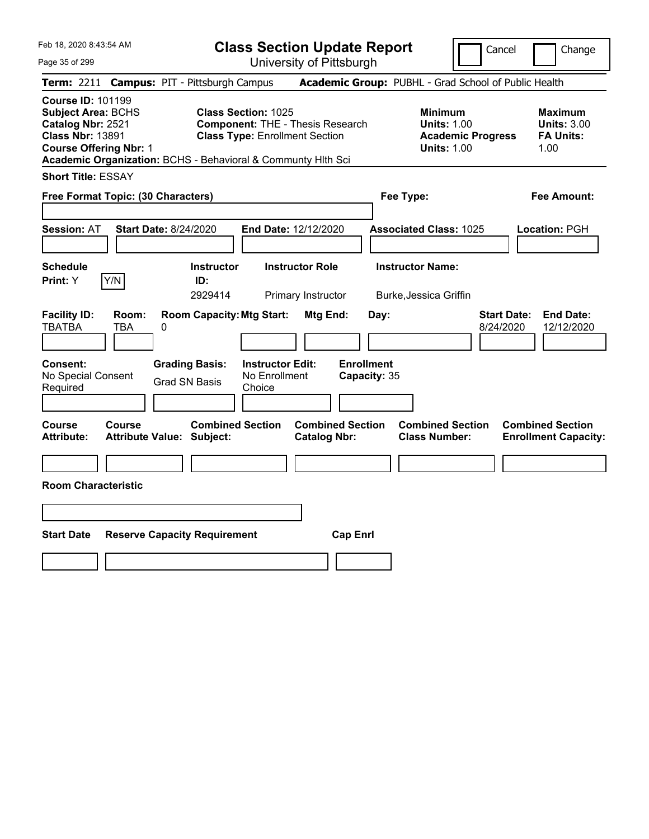**Class Section Update Report** University of Pittsburgh

Cancel Change

Page 35 of 299

|                                                                                                                                        |               | Term: 2211 Campus: PIT - Pittsburgh Campus                   |                                                                     |                                                |                                   | Academic Group: PUBHL - Grad School of Public Health                                   |                                 |                                                                  |
|----------------------------------------------------------------------------------------------------------------------------------------|---------------|--------------------------------------------------------------|---------------------------------------------------------------------|------------------------------------------------|-----------------------------------|----------------------------------------------------------------------------------------|---------------------------------|------------------------------------------------------------------|
| <b>Course ID: 101199</b><br><b>Subject Area: BCHS</b><br>Catalog Nbr: 2521<br><b>Class Nbr: 13891</b><br><b>Course Offering Nbr: 1</b> |               | Academic Organization: BCHS - Behavioral & Communty Hith Sci | <b>Class Section: 1025</b><br><b>Class Type: Enrollment Section</b> | <b>Component: THE - Thesis Research</b>        |                                   | <b>Minimum</b><br><b>Units: 1.00</b><br><b>Academic Progress</b><br><b>Units: 1.00</b> |                                 | <b>Maximum</b><br><b>Units: 3.00</b><br><b>FA Units:</b><br>1.00 |
| <b>Short Title: ESSAY</b>                                                                                                              |               |                                                              |                                                                     |                                                |                                   |                                                                                        |                                 |                                                                  |
| Free Format Topic: (30 Characters)                                                                                                     |               |                                                              |                                                                     |                                                |                                   | Fee Type:                                                                              |                                 | <b>Fee Amount:</b>                                               |
| <b>Session: AT</b>                                                                                                                     |               | <b>Start Date: 8/24/2020</b>                                 |                                                                     | End Date: 12/12/2020                           |                                   | <b>Associated Class: 1025</b>                                                          |                                 | Location: PGH                                                    |
| <b>Schedule</b><br>Print: Y                                                                                                            | Y/N           | <b>Instructor</b><br>ID:<br>2929414                          |                                                                     | <b>Instructor Role</b><br>Primary Instructor   |                                   | <b>Instructor Name:</b><br>Burke, Jessica Griffin                                      |                                 |                                                                  |
| <b>Facility ID:</b><br>TBATBA                                                                                                          | Room:<br>TBA  | <b>Room Capacity: Mtg Start:</b><br>0                        |                                                                     | Mtg End:                                       | Day:                              |                                                                                        | <b>Start Date:</b><br>8/24/2020 | <b>End Date:</b><br>12/12/2020                                   |
| Consent:<br>No Special Consent<br>Required                                                                                             |               | <b>Grading Basis:</b><br><b>Grad SN Basis</b>                | <b>Instructor Edit:</b><br>No Enrollment<br>Choice                  |                                                | <b>Enrollment</b><br>Capacity: 35 |                                                                                        |                                 |                                                                  |
| Course<br>Attribute:                                                                                                                   | <b>Course</b> | <b>Combined Section</b><br><b>Attribute Value: Subject:</b>  |                                                                     | <b>Combined Section</b><br><b>Catalog Nbr:</b> |                                   | <b>Combined Section</b><br><b>Class Number:</b>                                        |                                 | <b>Combined Section</b><br><b>Enrollment Capacity:</b>           |
| <b>Room Characteristic</b>                                                                                                             |               |                                                              |                                                                     |                                                |                                   |                                                                                        |                                 |                                                                  |
|                                                                                                                                        |               |                                                              |                                                                     |                                                |                                   |                                                                                        |                                 |                                                                  |
| <b>Start Date</b>                                                                                                                      |               | <b>Reserve Capacity Requirement</b>                          |                                                                     |                                                | <b>Cap Enrl</b>                   |                                                                                        |                                 |                                                                  |
|                                                                                                                                        |               |                                                              |                                                                     |                                                |                                   |                                                                                        |                                 |                                                                  |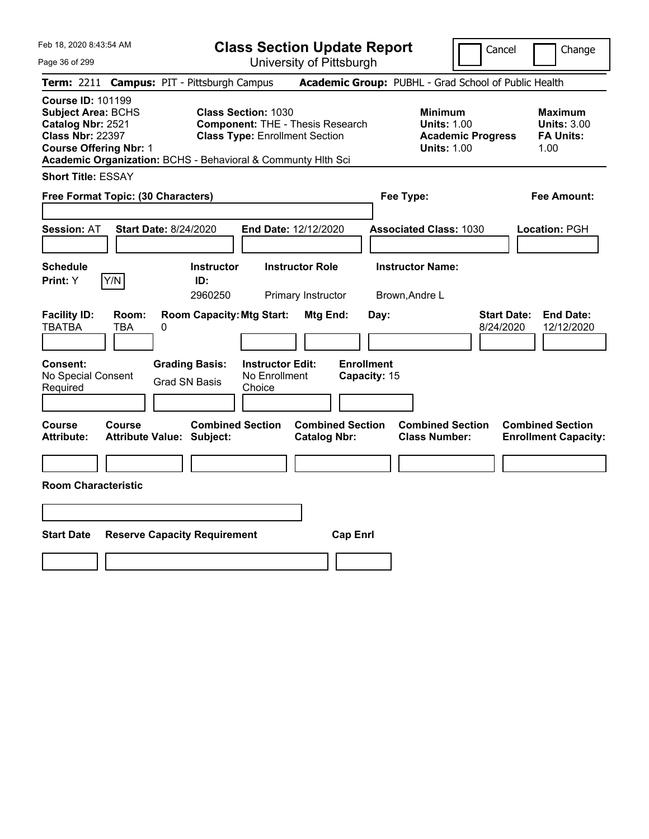Page 36 of 299

**Class Section Update Report**

Cancel Change

|                                                                                                                                        |              | Term: 2211 Campus: PIT - Pittsburgh Campus                   |                                                                                                                |                                              |                                   |      | Academic Group: PUBHL - Grad School of Public Health                                   |                                 |                                                                  |
|----------------------------------------------------------------------------------------------------------------------------------------|--------------|--------------------------------------------------------------|----------------------------------------------------------------------------------------------------------------|----------------------------------------------|-----------------------------------|------|----------------------------------------------------------------------------------------|---------------------------------|------------------------------------------------------------------|
| <b>Course ID: 101199</b><br><b>Subject Area: BCHS</b><br>Catalog Nbr: 2521<br><b>Class Nbr: 22397</b><br><b>Course Offering Nbr: 1</b> |              | Academic Organization: BCHS - Behavioral & Communty Hlth Sci | <b>Class Section: 1030</b><br><b>Component: THE - Thesis Research</b><br><b>Class Type: Enrollment Section</b> |                                              |                                   |      | <b>Minimum</b><br><b>Units: 1.00</b><br><b>Academic Progress</b><br><b>Units: 1.00</b> |                                 | <b>Maximum</b><br><b>Units: 3.00</b><br><b>FA Units:</b><br>1.00 |
| <b>Short Title: ESSAY</b>                                                                                                              |              |                                                              |                                                                                                                |                                              |                                   |      |                                                                                        |                                 |                                                                  |
| Free Format Topic: (30 Characters)                                                                                                     |              |                                                              |                                                                                                                |                                              |                                   |      | Fee Type:                                                                              |                                 | <b>Fee Amount:</b>                                               |
| <b>Session: AT</b>                                                                                                                     |              | <b>Start Date: 8/24/2020</b>                                 | End Date: 12/12/2020                                                                                           |                                              |                                   |      | <b>Associated Class: 1030</b>                                                          |                                 | Location: PGH                                                    |
| <b>Schedule</b><br>Print: Y                                                                                                            | Y/N          | <b>Instructor</b><br>ID:<br>2960250                          |                                                                                                                | <b>Instructor Role</b><br>Primary Instructor |                                   |      | <b>Instructor Name:</b><br>Brown, Andre L                                              |                                 |                                                                  |
| <b>Facility ID:</b><br><b>TBATBA</b>                                                                                                   | Room:<br>TBA | <b>Room Capacity: Mtg Start:</b><br>0                        |                                                                                                                | Mtg End:                                     |                                   | Day: |                                                                                        | <b>Start Date:</b><br>8/24/2020 | <b>End Date:</b><br>12/12/2020                                   |
| Consent:<br>No Special Consent<br>Required                                                                                             |              | <b>Grading Basis:</b><br><b>Grad SN Basis</b>                | <b>Instructor Edit:</b><br>No Enrollment<br>Choice                                                             |                                              | <b>Enrollment</b><br>Capacity: 15 |      |                                                                                        |                                 |                                                                  |
| <b>Course</b><br><b>Attribute:</b>                                                                                                     | Course       | <b>Combined Section</b><br><b>Attribute Value: Subject:</b>  |                                                                                                                | <b>Catalog Nbr:</b>                          | <b>Combined Section</b>           |      | <b>Combined Section</b><br><b>Class Number:</b>                                        |                                 | <b>Combined Section</b><br><b>Enrollment Capacity:</b>           |
| <b>Room Characteristic</b>                                                                                                             |              |                                                              |                                                                                                                |                                              |                                   |      |                                                                                        |                                 |                                                                  |
|                                                                                                                                        |              |                                                              |                                                                                                                |                                              |                                   |      |                                                                                        |                                 |                                                                  |
| <b>Start Date</b>                                                                                                                      |              | <b>Reserve Capacity Requirement</b>                          |                                                                                                                |                                              | <b>Cap Enrl</b>                   |      |                                                                                        |                                 |                                                                  |
|                                                                                                                                        |              |                                                              |                                                                                                                |                                              |                                   |      |                                                                                        |                                 |                                                                  |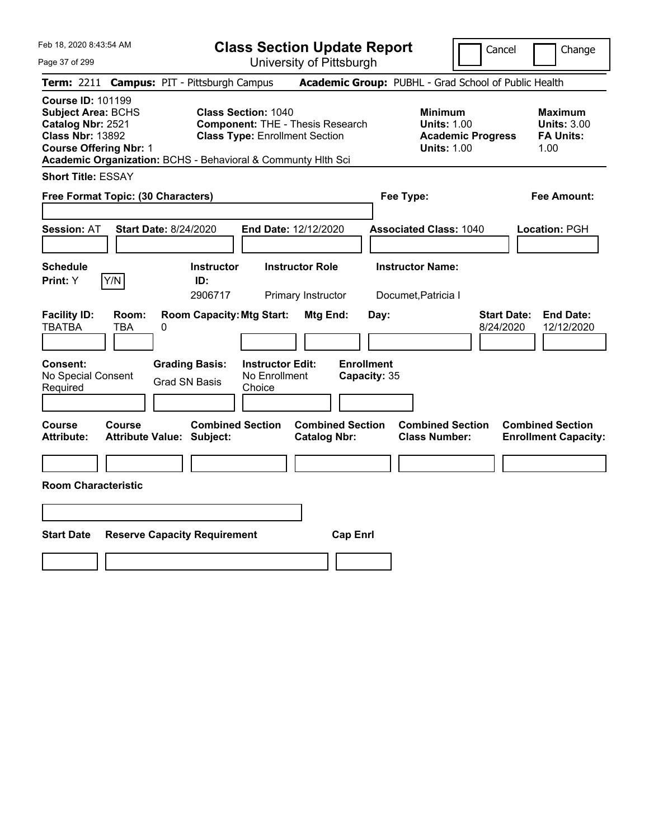Page 37 of 299

**Class Section Update Report**

Cancel **Change** 

|                                                                                                                                        |              |                                                              |                                                                                                                | UNIVUOILY ULI RODULYN                          |                                   |           |                                                                                 |                                 |                                                           |
|----------------------------------------------------------------------------------------------------------------------------------------|--------------|--------------------------------------------------------------|----------------------------------------------------------------------------------------------------------------|------------------------------------------------|-----------------------------------|-----------|---------------------------------------------------------------------------------|---------------------------------|-----------------------------------------------------------|
|                                                                                                                                        |              | Term: 2211 Campus: PIT - Pittsburgh Campus                   |                                                                                                                |                                                |                                   |           | Academic Group: PUBHL - Grad School of Public Health                            |                                 |                                                           |
| <b>Course ID: 101199</b><br><b>Subject Area: BCHS</b><br>Catalog Nbr: 2521<br><b>Class Nbr: 13892</b><br><b>Course Offering Nbr: 1</b> |              | Academic Organization: BCHS - Behavioral & Communty Hith Sci | <b>Class Section: 1040</b><br><b>Component: THE - Thesis Research</b><br><b>Class Type: Enrollment Section</b> |                                                |                                   |           | Minimum<br><b>Units: 1.00</b><br><b>Academic Progress</b><br><b>Units: 1.00</b> |                                 | Maximum<br><b>Units: 3.00</b><br><b>FA Units:</b><br>1.00 |
| <b>Short Title: ESSAY</b>                                                                                                              |              |                                                              |                                                                                                                |                                                |                                   |           |                                                                                 |                                 |                                                           |
| Free Format Topic: (30 Characters)                                                                                                     |              |                                                              |                                                                                                                |                                                |                                   | Fee Type: |                                                                                 |                                 | Fee Amount:                                               |
| <b>Session: AT</b>                                                                                                                     |              | <b>Start Date: 8/24/2020</b>                                 | End Date: 12/12/2020                                                                                           |                                                |                                   |           | <b>Associated Class: 1040</b>                                                   |                                 | Location: PGH                                             |
| <b>Schedule</b><br>Print: Y                                                                                                            | Y/N          | <b>Instructor</b><br>ID:<br>2906717                          |                                                                                                                | <b>Instructor Role</b><br>Primary Instructor   |                                   |           | <b>Instructor Name:</b><br>Documet, Patricia I                                  |                                 |                                                           |
| <b>Facility ID:</b><br><b>TBATBA</b>                                                                                                   | Room:<br>TBA | <b>Room Capacity: Mtg Start:</b><br>0                        |                                                                                                                | Mtg End:                                       |                                   | Day:      |                                                                                 | <b>Start Date:</b><br>8/24/2020 | <b>End Date:</b><br>12/12/2020                            |
| Consent:<br>No Special Consent<br>Required                                                                                             |              | <b>Grading Basis:</b><br><b>Grad SN Basis</b>                | <b>Instructor Edit:</b><br>No Enrollment<br>Choice                                                             |                                                | <b>Enrollment</b><br>Capacity: 35 |           |                                                                                 |                                 |                                                           |
| <b>Course</b><br><b>Attribute:</b>                                                                                                     | Course       | <b>Combined Section</b><br><b>Attribute Value: Subject:</b>  |                                                                                                                | <b>Combined Section</b><br><b>Catalog Nbr:</b> |                                   |           | <b>Combined Section</b><br><b>Class Number:</b>                                 |                                 | <b>Combined Section</b><br><b>Enrollment Capacity:</b>    |
| <b>Room Characteristic</b>                                                                                                             |              |                                                              |                                                                                                                |                                                |                                   |           |                                                                                 |                                 |                                                           |
| <b>Start Date</b>                                                                                                                      |              | <b>Reserve Capacity Requirement</b>                          |                                                                                                                |                                                | <b>Cap Enrl</b>                   |           |                                                                                 |                                 |                                                           |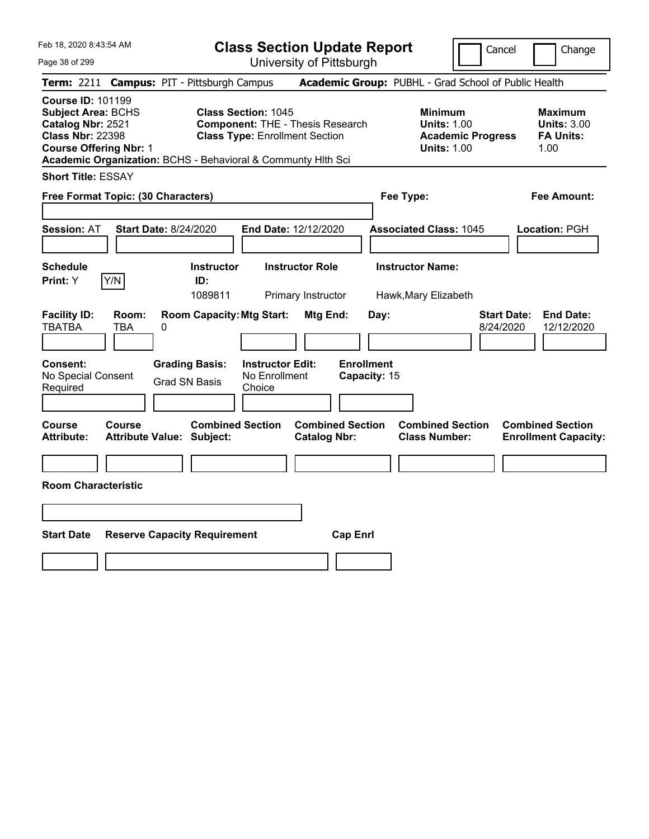**Class Section Update Report** University of Pittsburgh

Cancel Change

Page 38 of 299

|                                                                                                                                        |               | Term: 2211 Campus: PIT - Pittsburgh Campus                   |                                                                                                                |                                                |                                   | Academic Group: PUBHL - Grad School of Public Health                                   |                                 |                                                           |
|----------------------------------------------------------------------------------------------------------------------------------------|---------------|--------------------------------------------------------------|----------------------------------------------------------------------------------------------------------------|------------------------------------------------|-----------------------------------|----------------------------------------------------------------------------------------|---------------------------------|-----------------------------------------------------------|
| <b>Course ID: 101199</b><br><b>Subject Area: BCHS</b><br>Catalog Nbr: 2521<br><b>Class Nbr: 22398</b><br><b>Course Offering Nbr: 1</b> |               | Academic Organization: BCHS - Behavioral & Communty Hith Sci | <b>Class Section: 1045</b><br><b>Component: THE - Thesis Research</b><br><b>Class Type: Enrollment Section</b> |                                                |                                   | <b>Minimum</b><br><b>Units: 1.00</b><br><b>Academic Progress</b><br><b>Units: 1.00</b> |                                 | Maximum<br><b>Units: 3.00</b><br><b>FA Units:</b><br>1.00 |
| <b>Short Title: ESSAY</b>                                                                                                              |               |                                                              |                                                                                                                |                                                |                                   |                                                                                        |                                 |                                                           |
| Free Format Topic: (30 Characters)                                                                                                     |               |                                                              |                                                                                                                |                                                | Fee Type:                         |                                                                                        |                                 | Fee Amount:                                               |
| Session: AT                                                                                                                            |               | <b>Start Date: 8/24/2020</b>                                 | End Date: 12/12/2020                                                                                           |                                                |                                   | <b>Associated Class: 1045</b>                                                          |                                 | Location: PGH                                             |
| <b>Schedule</b><br>Print: Y                                                                                                            | Y/N           | <b>Instructor</b><br>ID:<br>1089811                          | <b>Instructor Role</b><br>Primary Instructor                                                                   |                                                |                                   | <b>Instructor Name:</b><br>Hawk, Mary Elizabeth                                        |                                 |                                                           |
| <b>Facility ID:</b><br>TBATBA                                                                                                          | Room:<br>TBA  | <b>Room Capacity: Mtg Start:</b><br>0                        |                                                                                                                | Mtg End:                                       | Day:                              |                                                                                        | <b>Start Date:</b><br>8/24/2020 | <b>End Date:</b><br>12/12/2020                            |
| <b>Consent:</b><br>No Special Consent<br>Required                                                                                      |               | <b>Grading Basis:</b><br><b>Grad SN Basis</b>                | <b>Instructor Edit:</b><br>No Enrollment<br>Choice                                                             |                                                | <b>Enrollment</b><br>Capacity: 15 |                                                                                        |                                 |                                                           |
| <b>Course</b><br><b>Attribute:</b>                                                                                                     | <b>Course</b> | <b>Combined Section</b><br><b>Attribute Value: Subject:</b>  |                                                                                                                | <b>Combined Section</b><br><b>Catalog Nbr:</b> |                                   | <b>Combined Section</b><br><b>Class Number:</b>                                        |                                 | <b>Combined Section</b><br><b>Enrollment Capacity:</b>    |
| <b>Room Characteristic</b>                                                                                                             |               |                                                              |                                                                                                                |                                                |                                   |                                                                                        |                                 |                                                           |
|                                                                                                                                        |               |                                                              |                                                                                                                |                                                |                                   |                                                                                        |                                 |                                                           |
| <b>Start Date</b>                                                                                                                      |               | <b>Reserve Capacity Requirement</b>                          |                                                                                                                | <b>Cap Enrl</b>                                |                                   |                                                                                        |                                 |                                                           |
|                                                                                                                                        |               |                                                              |                                                                                                                |                                                |                                   |                                                                                        |                                 |                                                           |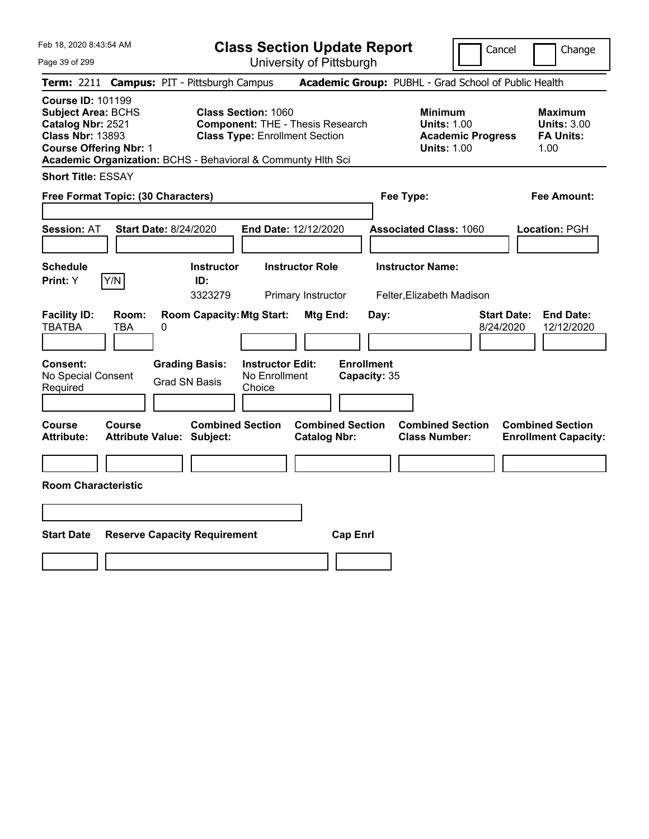**Class Section Update Report**

Cancel **Change** 

| Page 39 of 299                                                                                                                                            |                                                                                                                                                                 | University of Pittsburgh                                                                               |                                                                                              |                                                                                                                             |
|-----------------------------------------------------------------------------------------------------------------------------------------------------------|-----------------------------------------------------------------------------------------------------------------------------------------------------------------|--------------------------------------------------------------------------------------------------------|----------------------------------------------------------------------------------------------|-----------------------------------------------------------------------------------------------------------------------------|
|                                                                                                                                                           | Term: 2211 Campus: PIT - Pittsburgh Campus                                                                                                                      |                                                                                                        | Academic Group: PUBHL - Grad School of Public Health                                         |                                                                                                                             |
| <b>Course ID: 101199</b><br><b>Subject Area: BCHS</b><br>Catalog Nbr: 2521<br><b>Class Nbr: 13893</b><br><b>Course Offering Nbr: 1</b>                    | <b>Class Section: 1060</b><br><b>Class Type: Enrollment Section</b><br>Academic Organization: BCHS - Behavioral & Communty Hith Sci                             | <b>Component: THE - Thesis Research</b>                                                                | <b>Minimum</b><br><b>Units: 1.00</b><br><b>Academic Progress</b><br><b>Units: 1.00</b>       | <b>Maximum</b><br><b>Units: 3.00</b><br><b>FA Units:</b><br>1.00                                                            |
| <b>Short Title: ESSAY</b>                                                                                                                                 |                                                                                                                                                                 |                                                                                                        |                                                                                              |                                                                                                                             |
| Free Format Topic: (30 Characters)                                                                                                                        |                                                                                                                                                                 |                                                                                                        | Fee Type:                                                                                    | <b>Fee Amount:</b>                                                                                                          |
| <b>Session: AT</b>                                                                                                                                        | <b>Start Date: 8/24/2020</b>                                                                                                                                    | End Date: 12/12/2020                                                                                   | <b>Associated Class: 1060</b>                                                                | Location: PGH                                                                                                               |
| <b>Schedule</b>                                                                                                                                           | <b>Instructor</b>                                                                                                                                               | <b>Instructor Role</b>                                                                                 | <b>Instructor Name:</b>                                                                      |                                                                                                                             |
| Y/N<br>Print: Y                                                                                                                                           | ID:<br>3323279                                                                                                                                                  | Primary Instructor                                                                                     | Felter, Elizabeth Madison                                                                    |                                                                                                                             |
| <b>Facility ID:</b><br>Room:<br><b>TBATBA</b><br><b>TBA</b><br><b>Consent:</b><br>No Special Consent<br>Required<br>Course<br>Course<br><b>Attribute:</b> | <b>Room Capacity: Mtg Start:</b><br>0<br><b>Grading Basis:</b><br><b>Grad SN Basis</b><br>Choice<br><b>Combined Section</b><br><b>Attribute Value: Subject:</b> | Mtg End:<br><b>Instructor Edit:</b><br>No Enrollment<br><b>Combined Section</b><br><b>Catalog Nbr:</b> | Day:<br><b>Enrollment</b><br>Capacity: 35<br><b>Combined Section</b><br><b>Class Number:</b> | <b>End Date:</b><br><b>Start Date:</b><br>8/24/2020<br>12/12/2020<br><b>Combined Section</b><br><b>Enrollment Capacity:</b> |
|                                                                                                                                                           |                                                                                                                                                                 |                                                                                                        |                                                                                              |                                                                                                                             |
| <b>Room Characteristic</b>                                                                                                                                |                                                                                                                                                                 |                                                                                                        |                                                                                              |                                                                                                                             |
|                                                                                                                                                           |                                                                                                                                                                 |                                                                                                        |                                                                                              |                                                                                                                             |
| <b>Start Date</b>                                                                                                                                         | <b>Reserve Capacity Requirement</b>                                                                                                                             | <b>Cap Enri</b>                                                                                        |                                                                                              |                                                                                                                             |
|                                                                                                                                                           |                                                                                                                                                                 |                                                                                                        |                                                                                              |                                                                                                                             |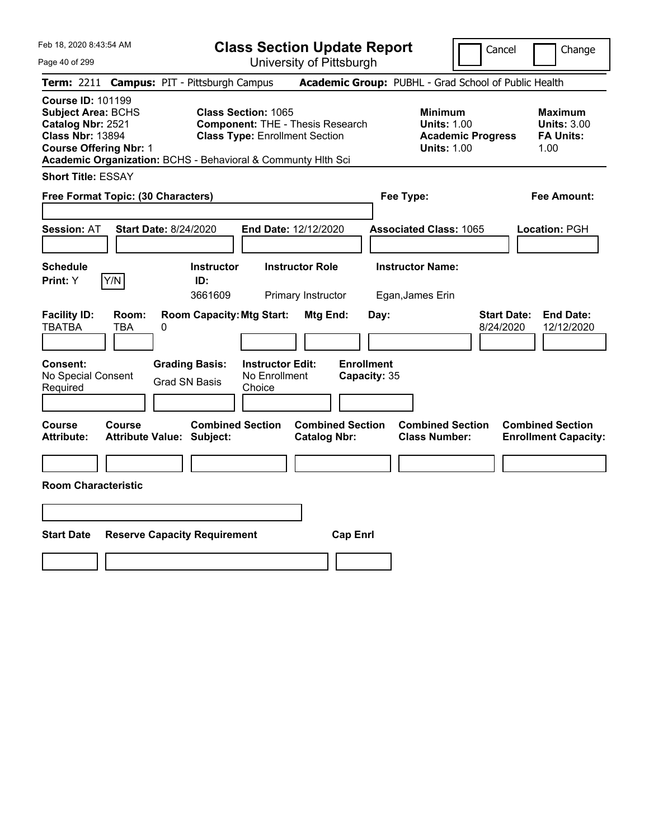**Class Section Update Report** University of Pittsburgh

Cancel Change

Page 40 of 299

|                                                                                                       |                                    | Term: 2211 Campus: PIT - Pittsburgh Campus                   |                                                                     |                                                |                                   | Academic Group: PUBHL - Grad School of Public Health                                   |                                 |                                                                  |
|-------------------------------------------------------------------------------------------------------|------------------------------------|--------------------------------------------------------------|---------------------------------------------------------------------|------------------------------------------------|-----------------------------------|----------------------------------------------------------------------------------------|---------------------------------|------------------------------------------------------------------|
| <b>Course ID: 101199</b><br><b>Subject Area: BCHS</b><br>Catalog Nbr: 2521<br><b>Class Nbr: 13894</b> | <b>Course Offering Nbr: 1</b>      | Academic Organization: BCHS - Behavioral & Communty Hlth Sci | <b>Class Section: 1065</b><br><b>Class Type: Enrollment Section</b> | <b>Component: THE - Thesis Research</b>        |                                   | <b>Minimum</b><br><b>Units: 1.00</b><br><b>Academic Progress</b><br><b>Units: 1.00</b> |                                 | <b>Maximum</b><br><b>Units: 3.00</b><br><b>FA Units:</b><br>1.00 |
| <b>Short Title: ESSAY</b>                                                                             |                                    |                                                              |                                                                     |                                                |                                   |                                                                                        |                                 |                                                                  |
|                                                                                                       | Free Format Topic: (30 Characters) |                                                              |                                                                     |                                                |                                   | <b>Fee Amount:</b><br>Fee Type:                                                        |                                 |                                                                  |
| <b>Session: AT</b>                                                                                    |                                    | <b>Start Date: 8/24/2020</b>                                 | End Date: 12/12/2020                                                |                                                |                                   | <b>Associated Class: 1065</b>                                                          |                                 | Location: PGH                                                    |
| <b>Schedule</b><br>Print: Y                                                                           | Y/N                                | <b>Instructor</b><br>ID:<br>3661609                          |                                                                     | <b>Instructor Role</b><br>Primary Instructor   |                                   | <b>Instructor Name:</b><br>Egan, James Erin                                            |                                 |                                                                  |
| <b>Facility ID:</b><br><b>TBATBA</b>                                                                  | Room:<br>TBA                       | <b>Room Capacity: Mtg Start:</b><br>0                        |                                                                     | Mtg End:                                       | Day:                              |                                                                                        | <b>Start Date:</b><br>8/24/2020 | <b>End Date:</b><br>12/12/2020                                   |
| <b>Consent:</b><br>No Special Consent<br>Required                                                     |                                    | <b>Grading Basis:</b><br><b>Grad SN Basis</b>                | <b>Instructor Edit:</b><br>No Enrollment<br>Choice                  |                                                | <b>Enrollment</b><br>Capacity: 35 |                                                                                        |                                 |                                                                  |
| <b>Course</b><br><b>Attribute:</b>                                                                    | <b>Course</b>                      | <b>Combined Section</b><br><b>Attribute Value: Subject:</b>  |                                                                     | <b>Combined Section</b><br><b>Catalog Nbr:</b> |                                   | <b>Combined Section</b><br><b>Class Number:</b>                                        |                                 | <b>Combined Section</b><br><b>Enrollment Capacity:</b>           |
| <b>Room Characteristic</b>                                                                            |                                    |                                                              |                                                                     |                                                |                                   |                                                                                        |                                 |                                                                  |
| <b>Start Date</b>                                                                                     |                                    | <b>Reserve Capacity Requirement</b>                          |                                                                     | <b>Cap Enrl</b>                                |                                   |                                                                                        |                                 |                                                                  |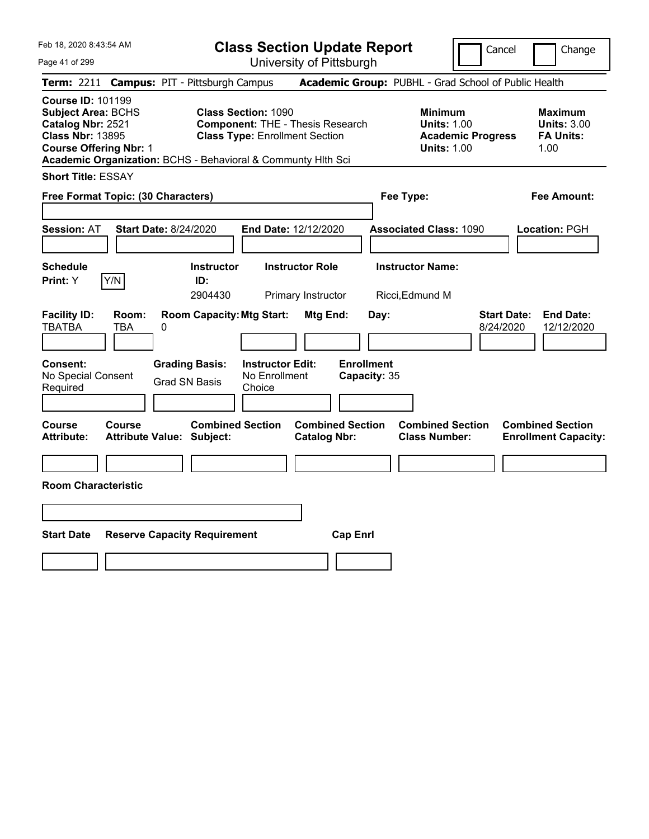Page 41 of 299

**Class Section Update Report**

Cancel **Change** 

|                                                                                                                                        |               |                                                              |                                                                                                                | UNIVUOILY ULI RODULYN                          |                   |              |                                                                                        |                                 |                                                                  |
|----------------------------------------------------------------------------------------------------------------------------------------|---------------|--------------------------------------------------------------|----------------------------------------------------------------------------------------------------------------|------------------------------------------------|-------------------|--------------|----------------------------------------------------------------------------------------|---------------------------------|------------------------------------------------------------------|
|                                                                                                                                        |               | Term: 2211 Campus: PIT - Pittsburgh Campus                   |                                                                                                                |                                                |                   |              | Academic Group: PUBHL - Grad School of Public Health                                   |                                 |                                                                  |
| <b>Course ID: 101199</b><br><b>Subject Area: BCHS</b><br>Catalog Nbr: 2521<br><b>Class Nbr: 13895</b><br><b>Course Offering Nbr: 1</b> |               | Academic Organization: BCHS - Behavioral & Communty Hlth Sci | <b>Class Section: 1090</b><br><b>Component: THE - Thesis Research</b><br><b>Class Type: Enrollment Section</b> |                                                |                   |              | <b>Minimum</b><br><b>Units: 1.00</b><br><b>Academic Progress</b><br><b>Units: 1.00</b> |                                 | <b>Maximum</b><br><b>Units: 3.00</b><br><b>FA Units:</b><br>1.00 |
| <b>Short Title: ESSAY</b>                                                                                                              |               |                                                              |                                                                                                                |                                                |                   |              |                                                                                        |                                 |                                                                  |
| Free Format Topic: (30 Characters)                                                                                                     |               |                                                              |                                                                                                                |                                                |                   | Fee Type:    |                                                                                        |                                 | <b>Fee Amount:</b>                                               |
| <b>Session: AT</b>                                                                                                                     |               | <b>Start Date: 8/24/2020</b>                                 | End Date: 12/12/2020                                                                                           |                                                |                   |              | <b>Associated Class: 1090</b>                                                          |                                 | Location: PGH                                                    |
| <b>Schedule</b><br>Print: Y                                                                                                            | Y/N           | Instructor<br>ID:<br>2904430                                 |                                                                                                                | <b>Instructor Role</b><br>Primary Instructor   |                   |              | <b>Instructor Name:</b><br>Ricci, Edmund M                                             |                                 |                                                                  |
| <b>Facility ID:</b><br><b>TBATBA</b>                                                                                                   | Room:<br>TBA  | <b>Room Capacity: Mtg Start:</b><br>0                        |                                                                                                                | Mtg End:                                       |                   | Day:         |                                                                                        | <b>Start Date:</b><br>8/24/2020 | <b>End Date:</b><br>12/12/2020                                   |
| <b>Consent:</b><br>No Special Consent<br>Required                                                                                      |               | <b>Grading Basis:</b><br><b>Grad SN Basis</b>                | <b>Instructor Edit:</b><br>No Enrollment<br>Choice                                                             |                                                | <b>Enrollment</b> | Capacity: 35 |                                                                                        |                                 |                                                                  |
| Course<br><b>Attribute:</b>                                                                                                            | <b>Course</b> | <b>Combined Section</b><br>Attribute Value: Subject:         |                                                                                                                | <b>Combined Section</b><br><b>Catalog Nbr:</b> |                   |              | <b>Combined Section</b><br><b>Class Number:</b>                                        |                                 | <b>Combined Section</b><br><b>Enrollment Capacity:</b>           |
| <b>Room Characteristic</b>                                                                                                             |               |                                                              |                                                                                                                |                                                |                   |              |                                                                                        |                                 |                                                                  |
| <b>Start Date</b>                                                                                                                      |               | <b>Reserve Capacity Requirement</b>                          |                                                                                                                |                                                | <b>Cap Enrl</b>   |              |                                                                                        |                                 |                                                                  |
|                                                                                                                                        |               |                                                              |                                                                                                                |                                                |                   |              |                                                                                        |                                 |                                                                  |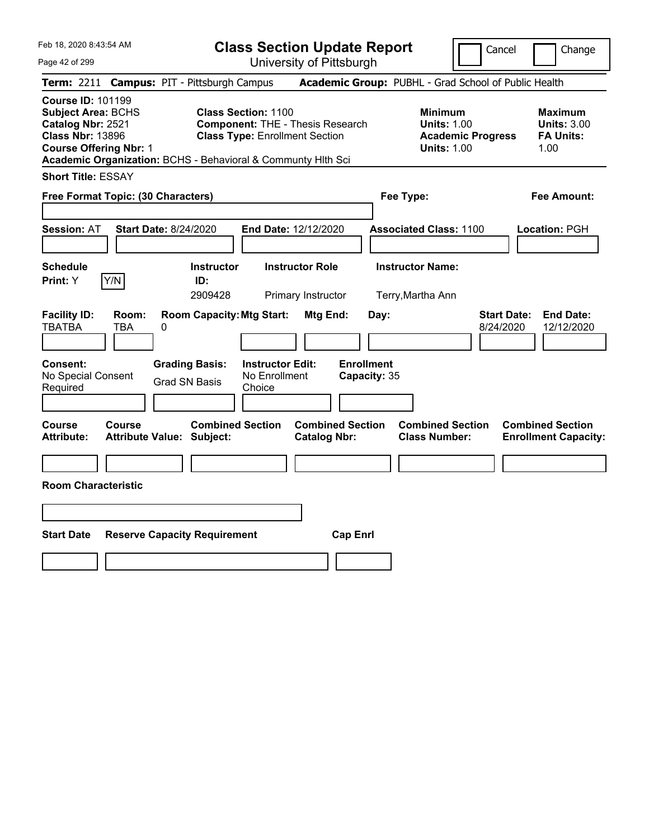**Class Section Update Report** University of Pittsburgh

Cancel Change

Page 42 of 299

|                                                                                                                                        |                     | Term: 2211 Campus: PIT - Pittsburgh Campus                   |                                                                     |                                                |                                   | Academic Group: PUBHL - Grad School of Public Health                                   |                                 |                                                                  |
|----------------------------------------------------------------------------------------------------------------------------------------|---------------------|--------------------------------------------------------------|---------------------------------------------------------------------|------------------------------------------------|-----------------------------------|----------------------------------------------------------------------------------------|---------------------------------|------------------------------------------------------------------|
| <b>Course ID: 101199</b><br><b>Subject Area: BCHS</b><br>Catalog Nbr: 2521<br><b>Class Nbr: 13896</b><br><b>Course Offering Nbr: 1</b> |                     | Academic Organization: BCHS - Behavioral & Communty Hith Sci | <b>Class Section: 1100</b><br><b>Class Type: Enrollment Section</b> | <b>Component: THE - Thesis Research</b>        |                                   | <b>Minimum</b><br><b>Units: 1.00</b><br><b>Academic Progress</b><br><b>Units: 1.00</b> |                                 | <b>Maximum</b><br><b>Units: 3.00</b><br><b>FA Units:</b><br>1.00 |
| <b>Short Title: ESSAY</b>                                                                                                              |                     |                                                              |                                                                     |                                                |                                   |                                                                                        |                                 |                                                                  |
| Free Format Topic: (30 Characters)                                                                                                     |                     |                                                              |                                                                     |                                                | Fee Type:                         |                                                                                        |                                 | <b>Fee Amount:</b>                                               |
| Session: AT                                                                                                                            |                     | <b>Start Date: 8/24/2020</b>                                 |                                                                     | End Date: 12/12/2020                           |                                   | <b>Associated Class: 1100</b>                                                          |                                 | Location: PGH                                                    |
| <b>Schedule</b><br>Print: Y                                                                                                            | Y/N                 | <b>Instructor</b><br>ID:<br>2909428                          |                                                                     | <b>Instructor Role</b><br>Primary Instructor   |                                   | <b>Instructor Name:</b><br>Terry, Martha Ann                                           |                                 |                                                                  |
| <b>Facility ID:</b><br><b>TBATBA</b>                                                                                                   | Room:<br><b>TBA</b> | <b>Room Capacity: Mtg Start:</b><br>0                        |                                                                     | Mtg End:                                       | Day:                              |                                                                                        | <b>Start Date:</b><br>8/24/2020 | <b>End Date:</b><br>12/12/2020                                   |
| Consent:<br>No Special Consent<br>Required                                                                                             |                     | <b>Grading Basis:</b><br><b>Grad SN Basis</b>                | <b>Instructor Edit:</b><br>No Enrollment<br>Choice                  |                                                | <b>Enrollment</b><br>Capacity: 35 |                                                                                        |                                 |                                                                  |
| <b>Course</b><br>Attribute:                                                                                                            | Course              | <b>Combined Section</b><br><b>Attribute Value: Subject:</b>  |                                                                     | <b>Combined Section</b><br><b>Catalog Nbr:</b> |                                   | <b>Combined Section</b><br><b>Class Number:</b>                                        |                                 | <b>Combined Section</b><br><b>Enrollment Capacity:</b>           |
| <b>Room Characteristic</b>                                                                                                             |                     |                                                              |                                                                     |                                                |                                   |                                                                                        |                                 |                                                                  |
| <b>Start Date</b>                                                                                                                      |                     | <b>Reserve Capacity Requirement</b>                          |                                                                     | <b>Cap Enrl</b>                                |                                   |                                                                                        |                                 |                                                                  |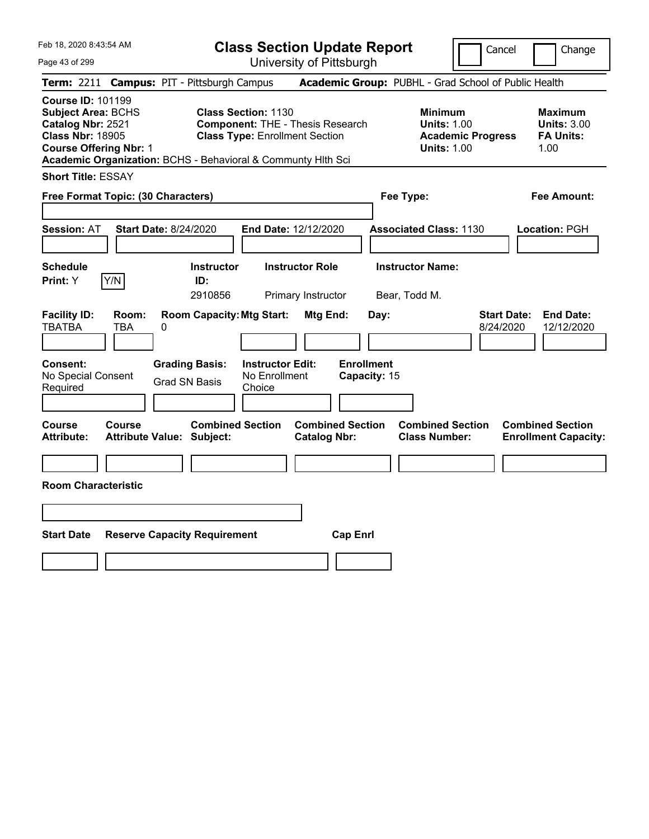**Class Section Update Report** University of Pittsburgh

Cancel Change

Page 43 of 299

|                                                                                                                                        |              | Term: 2211 Campus: PIT - Pittsburgh Campus                   |                                                                                                                |                                                |                                   | Academic Group: PUBHL - Grad School of Public Health                                   |                                 |                                                                  |
|----------------------------------------------------------------------------------------------------------------------------------------|--------------|--------------------------------------------------------------|----------------------------------------------------------------------------------------------------------------|------------------------------------------------|-----------------------------------|----------------------------------------------------------------------------------------|---------------------------------|------------------------------------------------------------------|
| <b>Course ID: 101199</b><br><b>Subject Area: BCHS</b><br>Catalog Nbr: 2521<br><b>Class Nbr: 18905</b><br><b>Course Offering Nbr: 1</b> |              | Academic Organization: BCHS - Behavioral & Communty Hith Sci | <b>Class Section: 1130</b><br><b>Component: THE - Thesis Research</b><br><b>Class Type: Enrollment Section</b> |                                                |                                   | <b>Minimum</b><br><b>Units: 1.00</b><br><b>Academic Progress</b><br><b>Units: 1.00</b> |                                 | <b>Maximum</b><br><b>Units: 3.00</b><br><b>FA Units:</b><br>1.00 |
| <b>Short Title: ESSAY</b>                                                                                                              |              |                                                              |                                                                                                                |                                                |                                   |                                                                                        |                                 |                                                                  |
| Free Format Topic: (30 Characters)                                                                                                     |              |                                                              |                                                                                                                |                                                | Fee Type:                         |                                                                                        |                                 | <b>Fee Amount:</b>                                               |
| Session: AT                                                                                                                            |              | <b>Start Date: 8/24/2020</b>                                 | End Date: 12/12/2020                                                                                           |                                                |                                   | <b>Associated Class: 1130</b>                                                          |                                 | Location: PGH                                                    |
| <b>Schedule</b><br>Print: Y                                                                                                            | Y/N          | <b>Instructor</b><br>ID:<br>2910856                          | <b>Instructor Role</b>                                                                                         | Primary Instructor                             | Bear, Todd M.                     | <b>Instructor Name:</b>                                                                |                                 |                                                                  |
| <b>Facility ID:</b><br>TBATBA                                                                                                          | Room:<br>TBA | <b>Room Capacity: Mtg Start:</b><br>0                        |                                                                                                                | Mtg End:                                       | Day:                              |                                                                                        | <b>Start Date:</b><br>8/24/2020 | <b>End Date:</b><br>12/12/2020                                   |
| <b>Consent:</b><br>No Special Consent<br>Required                                                                                      |              | <b>Grading Basis:</b><br><b>Grad SN Basis</b>                | <b>Instructor Edit:</b><br>No Enrollment<br>Choice                                                             |                                                | <b>Enrollment</b><br>Capacity: 15 |                                                                                        |                                 |                                                                  |
| <b>Course</b><br><b>Attribute:</b>                                                                                                     | Course       | <b>Combined Section</b><br><b>Attribute Value: Subject:</b>  |                                                                                                                | <b>Combined Section</b><br><b>Catalog Nbr:</b> |                                   | <b>Combined Section</b><br><b>Class Number:</b>                                        |                                 | <b>Combined Section</b><br><b>Enrollment Capacity:</b>           |
| <b>Room Characteristic</b>                                                                                                             |              |                                                              |                                                                                                                |                                                |                                   |                                                                                        |                                 |                                                                  |
| <b>Start Date</b>                                                                                                                      |              | <b>Reserve Capacity Requirement</b>                          |                                                                                                                | <b>Cap Enrl</b>                                |                                   |                                                                                        |                                 |                                                                  |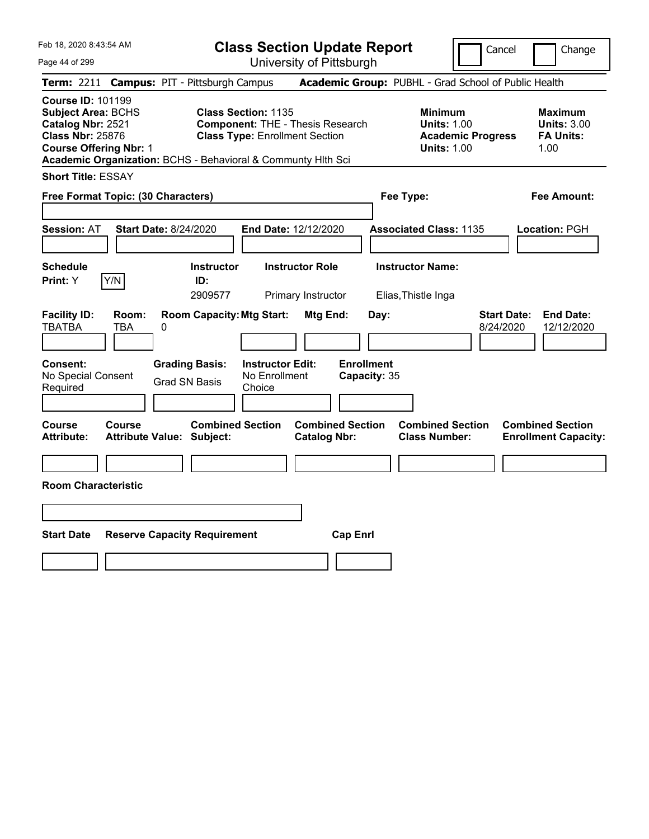Page 44 of 299

**Class Section Update Report**

Cancel Change

|                                                                                                                                        |                                            |   | Term: 2211 Campus: PIT - Pittsburgh Campus                   |                                                                                                                |                                                |                 |                           | Academic Group: PUBHL - Grad School of Public Health                                   |                                 |                                                                  |
|----------------------------------------------------------------------------------------------------------------------------------------|--------------------------------------------|---|--------------------------------------------------------------|----------------------------------------------------------------------------------------------------------------|------------------------------------------------|-----------------|---------------------------|----------------------------------------------------------------------------------------|---------------------------------|------------------------------------------------------------------|
| <b>Course ID: 101199</b><br><b>Subject Area: BCHS</b><br>Catalog Nbr: 2521<br><b>Class Nbr: 25876</b><br><b>Course Offering Nbr: 1</b> |                                            |   | Academic Organization: BCHS - Behavioral & Communty Hlth Sci | <b>Class Section: 1135</b><br><b>Component: THE - Thesis Research</b><br><b>Class Type: Enrollment Section</b> |                                                |                 |                           | <b>Minimum</b><br><b>Units: 1.00</b><br><b>Academic Progress</b><br><b>Units: 1.00</b> |                                 | <b>Maximum</b><br><b>Units: 3.00</b><br><b>FA Units:</b><br>1.00 |
| <b>Short Title: ESSAY</b>                                                                                                              |                                            |   |                                                              |                                                                                                                |                                                |                 |                           |                                                                                        |                                 |                                                                  |
|                                                                                                                                        | Free Format Topic: (30 Characters)         |   |                                                              |                                                                                                                |                                                |                 |                           | Fee Type:                                                                              |                                 | <b>Fee Amount:</b>                                               |
| <b>Session: AT</b>                                                                                                                     | <b>Start Date: 8/24/2020</b>               |   |                                                              | <b>End Date: 12/12/2020</b>                                                                                    |                                                |                 |                           | <b>Associated Class: 1135</b>                                                          |                                 | Location: PGH                                                    |
| <b>Schedule</b><br>Print: Y                                                                                                            | Y/N                                        |   | <b>Instructor</b><br>ID:<br>2909577                          |                                                                                                                | <b>Instructor Role</b><br>Primary Instructor   |                 |                           | <b>Instructor Name:</b><br>Elias, Thistle Inga                                         |                                 |                                                                  |
| <b>Facility ID:</b><br><b>TBATBA</b><br>Consent:                                                                                       | Room:<br>TBA                               | 0 | <b>Room Capacity: Mtg Start:</b><br><b>Grading Basis:</b>    | <b>Instructor Edit:</b>                                                                                        | Mtg End:                                       |                 | Day:<br><b>Enrollment</b> |                                                                                        | <b>Start Date:</b><br>8/24/2020 | <b>End Date:</b><br>12/12/2020                                   |
| No Special Consent<br>Required                                                                                                         |                                            |   | <b>Grad SN Basis</b>                                         | No Enrollment<br>Choice                                                                                        |                                                |                 | Capacity: 35              |                                                                                        |                                 |                                                                  |
| Course<br><b>Attribute:</b>                                                                                                            | Course<br><b>Attribute Value: Subject:</b> |   | <b>Combined Section</b>                                      |                                                                                                                | <b>Combined Section</b><br><b>Catalog Nbr:</b> |                 |                           | <b>Combined Section</b><br><b>Class Number:</b>                                        |                                 | <b>Combined Section</b><br><b>Enrollment Capacity:</b>           |
| <b>Room Characteristic</b>                                                                                                             |                                            |   |                                                              |                                                                                                                |                                                |                 |                           |                                                                                        |                                 |                                                                  |
| <b>Start Date</b>                                                                                                                      |                                            |   | <b>Reserve Capacity Requirement</b>                          |                                                                                                                |                                                | <b>Cap Enrl</b> |                           |                                                                                        |                                 |                                                                  |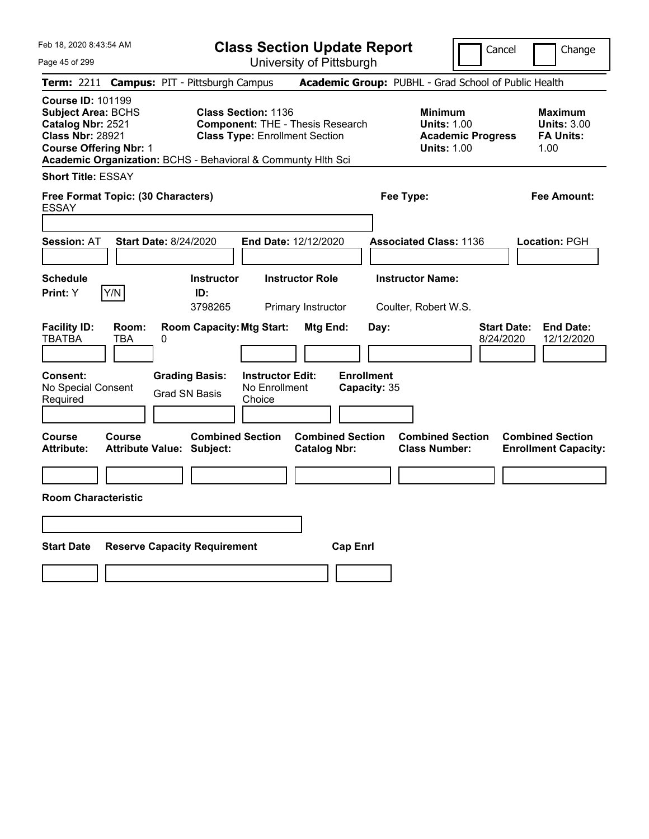Feb 18, 2020 8:43:54 AM Page 45 of 299 **Class Section Update Report** University of Pittsburgh Cancel Change **Term:** 2211 **Campus:** PIT - Pittsburgh Campus **Academic Group:** PUBHL - Grad School of Public Health **Course ID:** 101199 **Subject Area:** BCHS **Class Section:** 1136 **Minimum Maximum Catalog Nbr:** 2521 **Component:** THE - Thesis Research **Units:** 1.00 **Units:** 3.00 **Class Nbr:** 28921 **Class Type:** Enrollment Section **Academic Progress FA Units: Course Offering Nbr: 1 1.00 1.00 1.00 1.00 1.00 1.00 1.00 1.00 1.00 Academic Organization:** BCHS - Behavioral & Communty Hlth Sci **Short Title:** ESSAY **Free Format Topic: (30 Characters) Fee Type: Fee Amount:**  ESSAY **Session:** AT **Start Date:** 8/24/2020 **End Date:** 12/12/2020 **Associated Class:** 1136 **Location:** PGH **Schedule Instructor Instructor Role Instructor Name: Print:**  $Y$   $|Y/N|$  **ID:** 3798265 Primary Instructor Coulter, Robert W.S. **Facility ID: Room: Room Capacity:Mtg Start: Mtg End: Day: Start Date: End Date:** TBATBA TBA 0 8/24/2020 12/12/2020 **Consent: Grading Basis: Instructor Edit: Enrollment** No Special Consent Grad SN Basis No Enrollment<br>Required Grad SN Basis Choice **Choice Capacity:** 35 **Course Course Combined Section Combined Section Combined Section Combined Section**  Attribute: Attribute Value: Subject: Catalog Nbr: Class Number: Enrollment Capacity: **Room Characteristic Start Date Reserve Capacity Requirement Cap Enrl**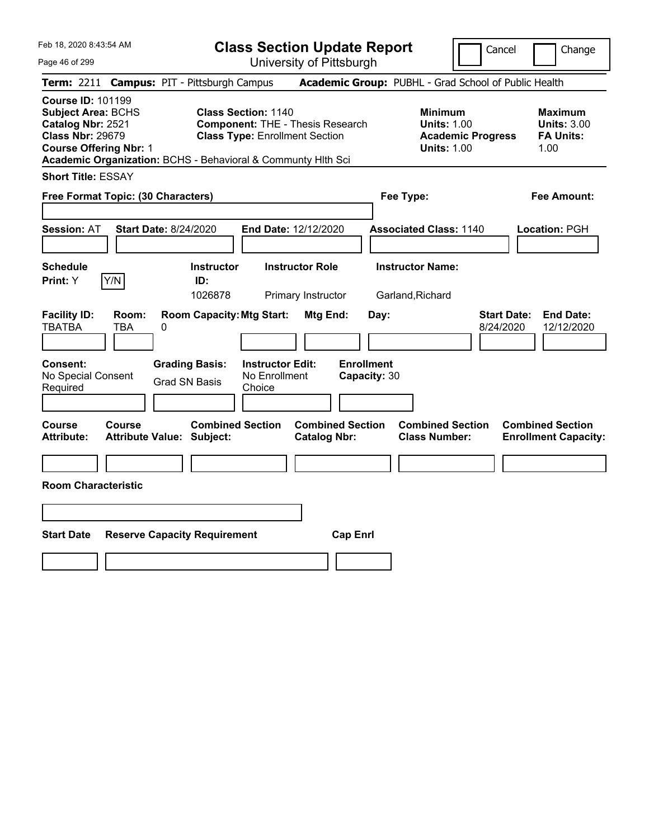**Class Section Update Report** University of Pittsburgh

Cancel Change

Page 46 of 299

|                                                                                                                                        |                     | Term: 2211 Campus: PIT - Pittsburgh Campus                   |                                                                                                                |                                                |                                   | Academic Group: PUBHL - Grad School of Public Health                                   |                                 |                                                                  |
|----------------------------------------------------------------------------------------------------------------------------------------|---------------------|--------------------------------------------------------------|----------------------------------------------------------------------------------------------------------------|------------------------------------------------|-----------------------------------|----------------------------------------------------------------------------------------|---------------------------------|------------------------------------------------------------------|
| <b>Course ID: 101199</b><br><b>Subject Area: BCHS</b><br>Catalog Nbr: 2521<br><b>Class Nbr: 29679</b><br><b>Course Offering Nbr: 1</b> |                     | Academic Organization: BCHS - Behavioral & Communty Hith Sci | <b>Class Section: 1140</b><br><b>Component: THE - Thesis Research</b><br><b>Class Type: Enrollment Section</b> |                                                |                                   | <b>Minimum</b><br><b>Units: 1.00</b><br><b>Academic Progress</b><br><b>Units: 1.00</b> |                                 | <b>Maximum</b><br><b>Units: 3.00</b><br><b>FA Units:</b><br>1.00 |
| <b>Short Title: ESSAY</b>                                                                                                              |                     |                                                              |                                                                                                                |                                                |                                   |                                                                                        |                                 |                                                                  |
| Free Format Topic: (30 Characters)                                                                                                     |                     |                                                              |                                                                                                                |                                                | Fee Type:                         |                                                                                        |                                 | <b>Fee Amount:</b>                                               |
| <b>Session: AT</b>                                                                                                                     |                     | <b>Start Date: 8/24/2020</b>                                 | <b>End Date: 12/12/2020</b>                                                                                    |                                                |                                   | <b>Associated Class: 1140</b>                                                          |                                 | Location: PGH                                                    |
| <b>Schedule</b><br>Print: Y                                                                                                            | Y/N                 | <b>Instructor</b><br>ID:<br>1026878                          | <b>Instructor Role</b>                                                                                         | Primary Instructor                             |                                   | <b>Instructor Name:</b><br>Garland, Richard                                            |                                 |                                                                  |
| <b>Facility ID:</b><br><b>TBATBA</b>                                                                                                   | Room:<br><b>TBA</b> | <b>Room Capacity: Mtg Start:</b><br>0                        |                                                                                                                | Mtg End:                                       | Day:                              |                                                                                        | <b>Start Date:</b><br>8/24/2020 | <b>End Date:</b><br>12/12/2020                                   |
| <b>Consent:</b><br>No Special Consent<br>Required                                                                                      |                     | <b>Grading Basis:</b><br><b>Grad SN Basis</b>                | <b>Instructor Edit:</b><br>No Enrollment<br>Choice                                                             |                                                | <b>Enrollment</b><br>Capacity: 30 |                                                                                        |                                 |                                                                  |
| Course<br><b>Attribute:</b>                                                                                                            | Course              | <b>Combined Section</b><br>Attribute Value: Subject:         |                                                                                                                | <b>Combined Section</b><br><b>Catalog Nbr:</b> |                                   | <b>Combined Section</b><br><b>Class Number:</b>                                        |                                 | <b>Combined Section</b><br><b>Enrollment Capacity:</b>           |
| <b>Room Characteristic</b>                                                                                                             |                     |                                                              |                                                                                                                |                                                |                                   |                                                                                        |                                 |                                                                  |
|                                                                                                                                        |                     |                                                              |                                                                                                                |                                                |                                   |                                                                                        |                                 |                                                                  |
| <b>Start Date</b>                                                                                                                      |                     | <b>Reserve Capacity Requirement</b>                          |                                                                                                                | <b>Cap Enrl</b>                                |                                   |                                                                                        |                                 |                                                                  |
|                                                                                                                                        |                     |                                                              |                                                                                                                |                                                |                                   |                                                                                        |                                 |                                                                  |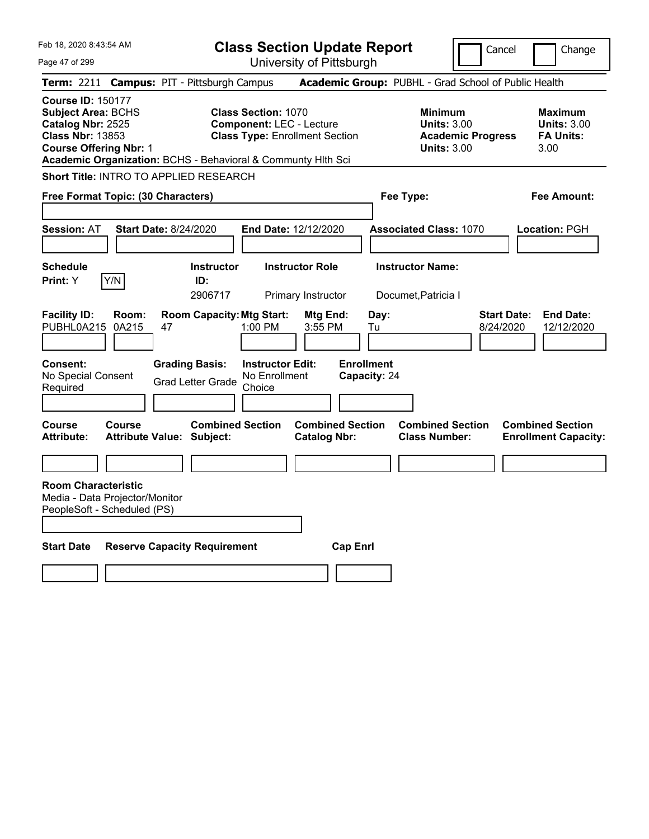| Feb 18, 2020 8:43:54 AM                                                                                                                |                                                                                       | <b>Class Section Update Report</b>                                                                     |                                                                                     |                                                                                 | Cancel                          | Change                                                           |
|----------------------------------------------------------------------------------------------------------------------------------------|---------------------------------------------------------------------------------------|--------------------------------------------------------------------------------------------------------|-------------------------------------------------------------------------------------|---------------------------------------------------------------------------------|---------------------------------|------------------------------------------------------------------|
| Page 47 of 299                                                                                                                         |                                                                                       | University of Pittsburgh                                                                               |                                                                                     |                                                                                 |                                 |                                                                  |
| <b>Term: 2211</b>                                                                                                                      | <b>Campus: PIT - Pittsburgh Campus</b>                                                |                                                                                                        |                                                                                     | Academic Group: PUBHL - Grad School of Public Health                            |                                 |                                                                  |
| <b>Course ID: 150177</b><br><b>Subject Area: BCHS</b><br>Catalog Nbr: 2525<br><b>Class Nbr: 13853</b><br><b>Course Offering Nbr: 1</b> | Academic Organization: BCHS - Behavioral & Communty Hith Sci                          | <b>Class Section: 1070</b><br><b>Component: LEC - Lecture</b><br><b>Class Type: Enrollment Section</b> |                                                                                     | Minimum<br><b>Units: 3.00</b><br><b>Academic Progress</b><br><b>Units: 3.00</b> |                                 | <b>Maximum</b><br><b>Units: 3.00</b><br><b>FA Units:</b><br>3.00 |
|                                                                                                                                        | Short Title: INTRO TO APPLIED RESEARCH                                                |                                                                                                        |                                                                                     |                                                                                 |                                 |                                                                  |
| Free Format Topic: (30 Characters)                                                                                                     |                                                                                       |                                                                                                        |                                                                                     | Fee Type:                                                                       |                                 | Fee Amount:                                                      |
| <b>Session: AT</b>                                                                                                                     | <b>Start Date: 8/24/2020</b>                                                          | End Date: 12/12/2020                                                                                   |                                                                                     | <b>Associated Class: 1070</b>                                                   |                                 | <b>Location: PGH</b>                                             |
| <b>Schedule</b><br>Y/N<br>Print: Y                                                                                                     | <b>Instructor</b><br>ID:<br>2906717                                                   | <b>Instructor Role</b><br>Primary Instructor                                                           |                                                                                     | <b>Instructor Name:</b><br>Documet, Patricia I                                  |                                 |                                                                  |
| <b>Facility ID:</b><br>Room:<br>PUBHL0A215<br>0A215                                                                                    | <b>Room Capacity: Mtg Start:</b><br>47                                                | 1:00 PM                                                                                                | Day:<br>Mtg End:<br>3:55 PM<br>Tu                                                   |                                                                                 | <b>Start Date:</b><br>8/24/2020 | <b>End Date:</b><br>12/12/2020                                   |
| Consent:<br>No Special Consent<br>Required<br><b>Course</b><br>Course<br><b>Attribute:</b>                                             | <b>Grading Basis:</b><br><b>Grad Letter Grade</b><br><b>Attribute Value: Subject:</b> | <b>Instructor Edit:</b><br>No Enrollment<br>Choice<br><b>Combined Section</b>                          | <b>Enrollment</b><br>Capacity: 24<br><b>Combined Section</b><br><b>Catalog Nbr:</b> | <b>Combined Section</b><br><b>Class Number:</b>                                 |                                 | <b>Combined Section</b><br><b>Enrollment Capacity:</b>           |
|                                                                                                                                        |                                                                                       |                                                                                                        |                                                                                     |                                                                                 |                                 |                                                                  |
| <b>Room Characteristic</b><br>Media - Data Projector/Monitor<br>PeopleSoft - Scheduled (PS)                                            |                                                                                       |                                                                                                        |                                                                                     |                                                                                 |                                 |                                                                  |
| <b>Start Date</b>                                                                                                                      | <b>Reserve Capacity Requirement</b>                                                   |                                                                                                        | <b>Cap Enrl</b>                                                                     |                                                                                 |                                 |                                                                  |
|                                                                                                                                        |                                                                                       |                                                                                                        |                                                                                     |                                                                                 |                                 |                                                                  |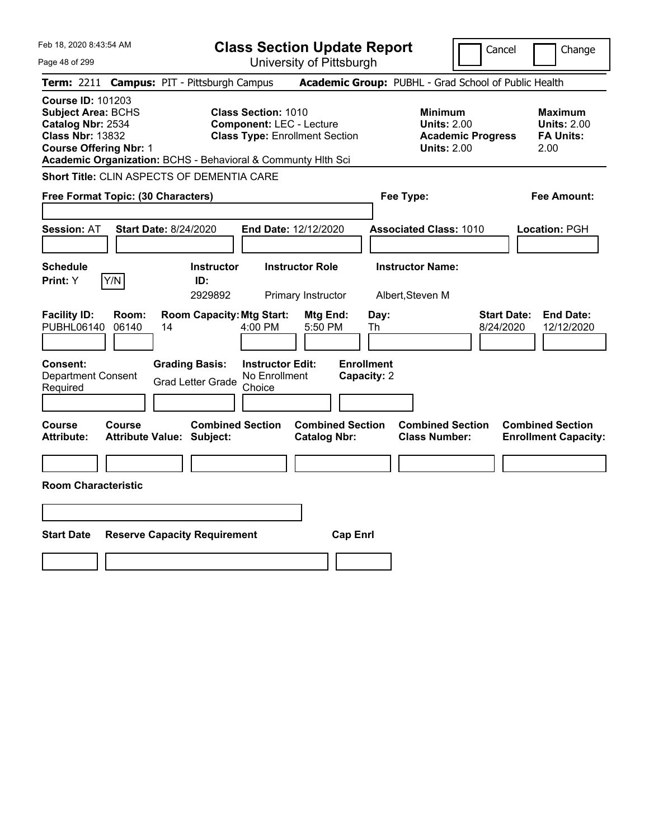| Feb 18, 2020 8:43:54 AM                                                                                                                                                                                |                                                                                                         | <b>Class Section Update Report</b>             | Cancel                                                                                 | Change                                                           |
|--------------------------------------------------------------------------------------------------------------------------------------------------------------------------------------------------------|---------------------------------------------------------------------------------------------------------|------------------------------------------------|----------------------------------------------------------------------------------------|------------------------------------------------------------------|
| Page 48 of 299                                                                                                                                                                                         |                                                                                                         | University of Pittsburgh                       |                                                                                        |                                                                  |
| <b>Term: 2211</b>                                                                                                                                                                                      | <b>Campus: PIT - Pittsburgh Campus</b>                                                                  |                                                | Academic Group: PUBHL - Grad School of Public Health                                   |                                                                  |
| <b>Course ID: 101203</b><br><b>Subject Area: BCHS</b><br>Catalog Nbr: 2534<br><b>Class Nbr: 13832</b><br><b>Course Offering Nbr: 1</b><br>Academic Organization: BCHS - Behavioral & Communty Hlth Sci | <b>Class Section: 1010</b><br><b>Component: LEC - Lecture</b><br><b>Class Type: Enrollment Section</b>  |                                                | <b>Minimum</b><br><b>Units: 2.00</b><br><b>Academic Progress</b><br><b>Units: 2.00</b> | <b>Maximum</b><br><b>Units: 2.00</b><br><b>FA Units:</b><br>2.00 |
| Short Title: CLIN ASPECTS OF DEMENTIA CARE                                                                                                                                                             |                                                                                                         |                                                |                                                                                        |                                                                  |
| Free Format Topic: (30 Characters)                                                                                                                                                                     |                                                                                                         |                                                | Fee Type:                                                                              | Fee Amount:                                                      |
| <b>Session: AT</b><br><b>Start Date: 8/24/2020</b>                                                                                                                                                     | End Date: 12/12/2020                                                                                    |                                                | <b>Associated Class: 1010</b>                                                          | Location: PGH                                                    |
| <b>Schedule</b><br>Y/N<br>Print: Y                                                                                                                                                                     | <b>Instructor Role</b><br><b>Instructor</b><br>ID:<br>2929892                                           | Primary Instructor                             | <b>Instructor Name:</b><br>Albert, Steven M                                            |                                                                  |
| <b>Facility ID:</b><br>Room:<br>PUBHL06140<br>06140<br>14                                                                                                                                              | <b>Room Capacity: Mtg Start:</b><br>$4:00$ PM                                                           | Mtg End:<br>Day:<br>5:50 PM<br>Th              | 8/24/2020                                                                              | <b>Start Date:</b><br><b>End Date:</b><br>12/12/2020             |
| <b>Consent:</b><br><b>Department Consent</b><br>Required                                                                                                                                               | <b>Grading Basis:</b><br><b>Instructor Edit:</b><br>No Enrollment<br><b>Grad Letter Grade</b><br>Choice | <b>Enrollment</b><br>Capacity: 2               |                                                                                        |                                                                  |
| Course<br>Course<br><b>Attribute Value: Subject:</b><br>Attribute:                                                                                                                                     | <b>Combined Section</b>                                                                                 | <b>Combined Section</b><br><b>Catalog Nbr:</b> | <b>Combined Section</b><br><b>Class Number:</b>                                        | <b>Combined Section</b><br><b>Enrollment Capacity:</b>           |
|                                                                                                                                                                                                        |                                                                                                         |                                                |                                                                                        |                                                                  |
| <b>Room Characteristic</b>                                                                                                                                                                             |                                                                                                         |                                                |                                                                                        |                                                                  |
|                                                                                                                                                                                                        |                                                                                                         |                                                |                                                                                        |                                                                  |
| <b>Start Date</b><br><b>Reserve Capacity Requirement</b>                                                                                                                                               |                                                                                                         | <b>Cap Enrl</b>                                |                                                                                        |                                                                  |
|                                                                                                                                                                                                        |                                                                                                         |                                                |                                                                                        |                                                                  |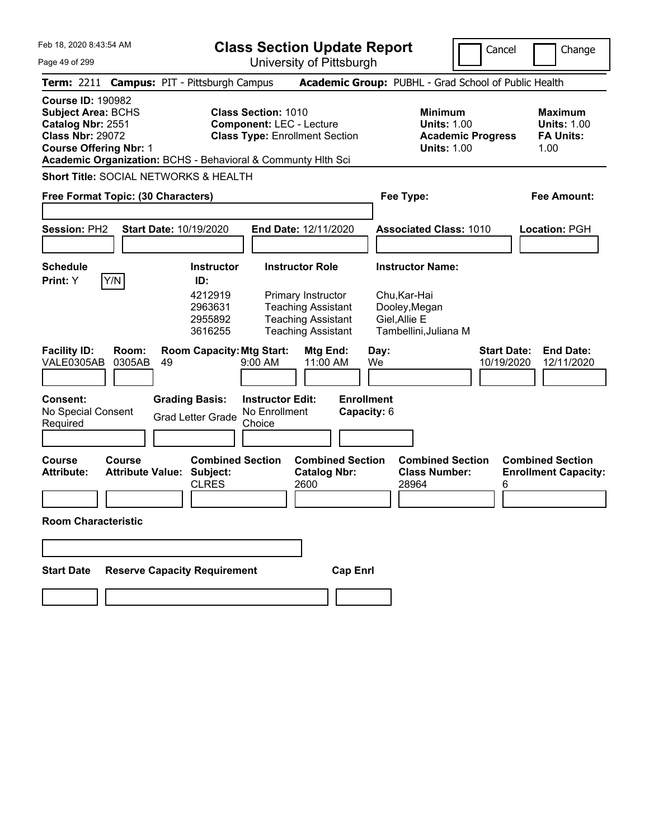|  | Feb 18, 2020 8:43:54 AM |  |
|--|-------------------------|--|
|  |                         |  |

**Class Section Update Report** University of Pittsburgh

Cancel Change

Page 49 of 299

| Term: 2211 Campus: PIT - Pittsburgh Campus                                                                                                                                                             |                                                     |                                                                                                           | Academic Group: PUBHL - Grad School of Public Health                                   |                                                           |
|--------------------------------------------------------------------------------------------------------------------------------------------------------------------------------------------------------|-----------------------------------------------------|-----------------------------------------------------------------------------------------------------------|----------------------------------------------------------------------------------------|-----------------------------------------------------------|
| <b>Course ID: 190982</b><br><b>Subject Area: BCHS</b><br>Catalog Nbr: 2551<br><b>Class Nbr: 29072</b><br><b>Course Offering Nbr: 1</b><br>Academic Organization: BCHS - Behavioral & Communty Hith Sci |                                                     | <b>Class Section: 1010</b><br><b>Component: LEC - Lecture</b><br><b>Class Type: Enrollment Section</b>    | <b>Minimum</b><br><b>Units: 1.00</b><br><b>Academic Progress</b><br><b>Units: 1.00</b> | Maximum<br><b>Units: 1.00</b><br><b>FA Units:</b><br>1.00 |
| <b>Short Title: SOCIAL NETWORKS &amp; HEALTH</b>                                                                                                                                                       |                                                     |                                                                                                           |                                                                                        |                                                           |
| Free Format Topic: (30 Characters)                                                                                                                                                                     |                                                     |                                                                                                           | Fee Type:                                                                              | Fee Amount:                                               |
| Session: PH2                                                                                                                                                                                           | Start Date: 10/19/2020                              | End Date: 12/11/2020                                                                                      | <b>Associated Class: 1010</b>                                                          | Location: PGH                                             |
| <b>Schedule</b>                                                                                                                                                                                        | <b>Instructor</b>                                   | <b>Instructor Role</b>                                                                                    | <b>Instructor Name:</b>                                                                |                                                           |
| Y/N<br>Print: Y                                                                                                                                                                                        | ID:<br>4212919<br>2963631<br>2955892<br>3616255     | Primary Instructor<br><b>Teaching Assistant</b><br><b>Teaching Assistant</b><br><b>Teaching Assistant</b> | Chu, Kar-Hai<br>Dooley, Megan<br>Giel, Allie E<br>Tambellini, Juliana M                |                                                           |
| <b>Facility ID:</b><br>Room:<br>VALE0305AB<br>0305AB                                                                                                                                                   | <b>Room Capacity: Mtg Start:</b><br>49              | Mtg End:<br>11:00 AM<br>$9:00$ AM                                                                         | <b>Start Date:</b><br>Day:<br>We<br>10/19/2020                                         | <b>End Date:</b><br>12/11/2020                            |
| <b>Consent:</b><br>No Special Consent<br>Required                                                                                                                                                      | <b>Grading Basis:</b><br><b>Grad Letter Grade</b>   | <b>Instructor Edit:</b><br><b>Enrollment</b><br>No Enrollment<br>Capacity: 6<br>Choice                    |                                                                                        |                                                           |
| Course<br>Course<br><b>Attribute:</b><br><b>Attribute Value:</b>                                                                                                                                       | <b>Combined Section</b><br>Subject:<br><b>CLRES</b> | <b>Combined Section</b><br><b>Catalog Nbr:</b><br>2600                                                    | <b>Combined Section</b><br><b>Class Number:</b><br>28964<br>6                          | <b>Combined Section</b><br><b>Enrollment Capacity:</b>    |
| <b>Room Characteristic</b>                                                                                                                                                                             |                                                     |                                                                                                           |                                                                                        |                                                           |
|                                                                                                                                                                                                        |                                                     |                                                                                                           |                                                                                        |                                                           |
| <b>Start Date</b>                                                                                                                                                                                      | <b>Reserve Capacity Requirement</b>                 | <b>Cap Enrl</b>                                                                                           |                                                                                        |                                                           |
|                                                                                                                                                                                                        |                                                     |                                                                                                           |                                                                                        |                                                           |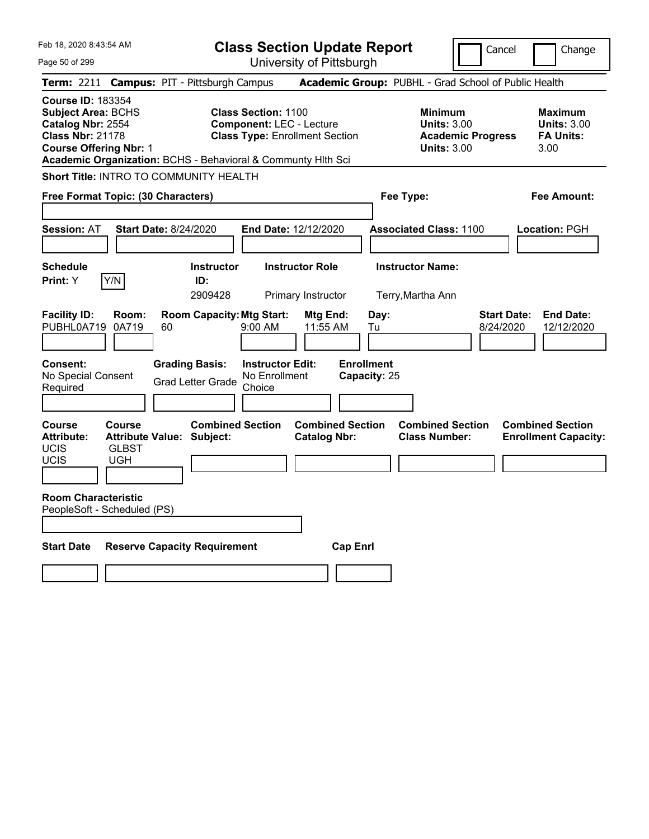| Feb 18, 2020 8:43:54 AM                                                                                                                                                                                | <b>Class Section Update Report</b>                                                                      |                                                |                                                            | Cancel                          | Change                                                           |
|--------------------------------------------------------------------------------------------------------------------------------------------------------------------------------------------------------|---------------------------------------------------------------------------------------------------------|------------------------------------------------|------------------------------------------------------------|---------------------------------|------------------------------------------------------------------|
| Page 50 of 299                                                                                                                                                                                         |                                                                                                         | University of Pittsburgh                       |                                                            |                                 |                                                                  |
| <b>Term:</b> 2211                                                                                                                                                                                      | <b>Campus: PIT - Pittsburgh Campus</b>                                                                  |                                                | Academic Group: PUBHL - Grad School of Public Health       |                                 |                                                                  |
| <b>Course ID: 183354</b><br><b>Subject Area: BCHS</b><br>Catalog Nbr: 2554<br><b>Class Nbr: 21178</b><br><b>Course Offering Nbr: 1</b><br>Academic Organization: BCHS - Behavioral & Communty Hith Sci | <b>Class Section: 1100</b><br><b>Component: LEC - Lecture</b><br><b>Class Type: Enrollment Section</b>  |                                                | <b>Minimum</b><br><b>Units: 3.00</b><br><b>Units: 3.00</b> | <b>Academic Progress</b>        | <b>Maximum</b><br><b>Units: 3.00</b><br><b>FA Units:</b><br>3.00 |
| Short Title: INTRO TO COMMUNITY HEALTH                                                                                                                                                                 |                                                                                                         |                                                |                                                            |                                 |                                                                  |
| Free Format Topic: (30 Characters)                                                                                                                                                                     |                                                                                                         |                                                | Fee Type:                                                  |                                 | Fee Amount:                                                      |
| <b>Start Date: 8/24/2020</b><br><b>Session: AT</b>                                                                                                                                                     |                                                                                                         | <b>End Date: 12/12/2020</b>                    | <b>Associated Class: 1100</b>                              |                                 | Location: PGH                                                    |
| <b>Schedule</b><br>Y/N<br>Print: Y                                                                                                                                                                     | <b>Instructor</b><br>ID:<br>2909428                                                                     | <b>Instructor Role</b><br>Primary Instructor   | <b>Instructor Name:</b><br>Terry, Martha Ann               |                                 |                                                                  |
| <b>Facility ID:</b><br>Room:<br>PUBHL0A719<br>0A719<br>60                                                                                                                                              | <b>Room Capacity: Mtg Start:</b><br>$9:00$ AM                                                           | Mtg End:<br>11:55 AM                           | Day:<br>Tu                                                 | <b>Start Date:</b><br>8/24/2020 | <b>End Date:</b><br>12/12/2020                                   |
| Consent:<br>No Special Consent<br>Required                                                                                                                                                             | <b>Grading Basis:</b><br><b>Instructor Edit:</b><br>No Enrollment<br><b>Grad Letter Grade</b><br>Choice |                                                | <b>Enrollment</b><br>Capacity: 25                          |                                 |                                                                  |
| Course<br><b>Course</b><br><b>Attribute:</b><br>Attribute Value: Subject:<br><b>UCIS</b><br><b>GLBST</b><br>UCIS<br><b>UGH</b>                                                                         | <b>Combined Section</b>                                                                                 | <b>Combined Section</b><br><b>Catalog Nbr:</b> | <b>Combined Section</b><br><b>Class Number:</b>            |                                 | <b>Combined Section</b><br><b>Enrollment Capacity:</b>           |
| <b>Room Characteristic</b><br>PeopleSoft - Scheduled (PS)                                                                                                                                              |                                                                                                         |                                                |                                                            |                                 |                                                                  |
| <b>Start Date</b><br><b>Reserve Capacity Requirement</b>                                                                                                                                               |                                                                                                         | <b>Cap Enrl</b>                                |                                                            |                                 |                                                                  |
|                                                                                                                                                                                                        |                                                                                                         |                                                |                                                            |                                 |                                                                  |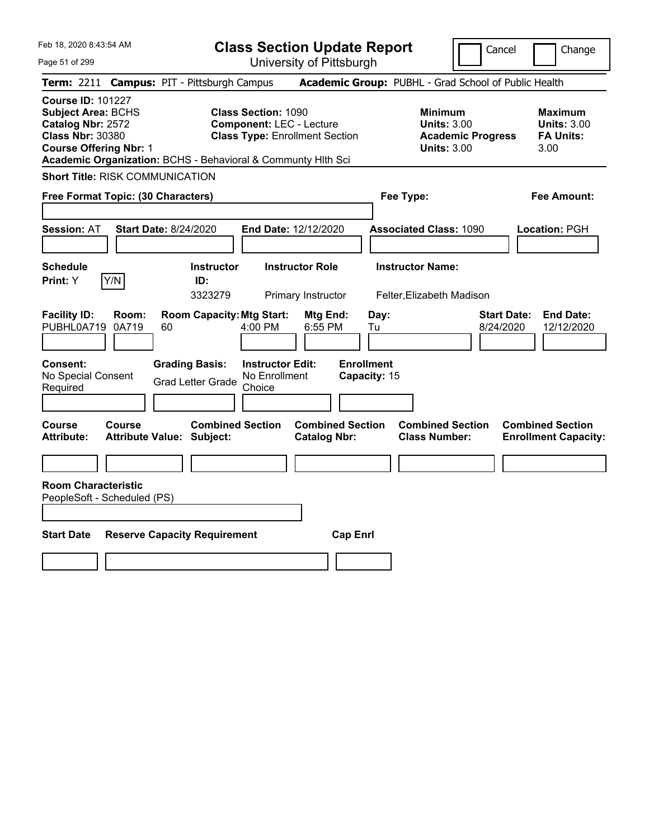|  | Feb 18, 2020 8:43:54 AM |  |
|--|-------------------------|--|
|  |                         |  |

**Class Section Update Report**

University of Pittsburgh

Cancel Change

Page 51 of 299

| <b>Term: 2211 Campus: PIT - Pittsburgh Campus</b>                                                                                                                                                      |                |                              |                                                             |                                                                                                        |                                                |                   |              | <b>Academic Group: PUBHL - Grad School of Public Health</b>                            |                                 |                         |                                                          |
|--------------------------------------------------------------------------------------------------------------------------------------------------------------------------------------------------------|----------------|------------------------------|-------------------------------------------------------------|--------------------------------------------------------------------------------------------------------|------------------------------------------------|-------------------|--------------|----------------------------------------------------------------------------------------|---------------------------------|-------------------------|----------------------------------------------------------|
| <b>Course ID: 101227</b><br><b>Subject Area: BCHS</b><br>Catalog Nbr: 2572<br><b>Class Nbr: 30380</b><br><b>Course Offering Nbr: 1</b><br>Academic Organization: BCHS - Behavioral & Communty Hlth Sci |                |                              |                                                             | <b>Class Section: 1090</b><br><b>Component: LEC - Lecture</b><br><b>Class Type: Enrollment Section</b> |                                                |                   |              | <b>Minimum</b><br><b>Units: 3.00</b><br><b>Academic Progress</b><br><b>Units: 3.00</b> |                                 | 3.00                    | <b>Maximum</b><br><b>Units: 3.00</b><br><b>FA Units:</b> |
| <b>Short Title: RISK COMMUNICATION</b>                                                                                                                                                                 |                |                              |                                                             |                                                                                                        |                                                |                   |              |                                                                                        |                                 |                         |                                                          |
| Free Format Topic: (30 Characters)                                                                                                                                                                     |                |                              |                                                             |                                                                                                        |                                                |                   | Fee Type:    |                                                                                        |                                 |                         | <b>Fee Amount:</b>                                       |
|                                                                                                                                                                                                        |                |                              |                                                             |                                                                                                        |                                                |                   |              |                                                                                        |                                 |                         |                                                          |
| Session: AT                                                                                                                                                                                            |                | <b>Start Date: 8/24/2020</b> |                                                             | End Date: 12/12/2020                                                                                   |                                                |                   |              | <b>Associated Class: 1090</b>                                                          |                                 | Location: PGH           |                                                          |
|                                                                                                                                                                                                        |                |                              |                                                             |                                                                                                        |                                                |                   |              |                                                                                        |                                 |                         |                                                          |
| <b>Schedule</b>                                                                                                                                                                                        |                |                              | Instructor                                                  |                                                                                                        | <b>Instructor Role</b>                         |                   |              | <b>Instructor Name:</b>                                                                |                                 |                         |                                                          |
| Print: Y                                                                                                                                                                                               | Y/N            |                              | ID:<br>3323279                                              |                                                                                                        |                                                |                   |              |                                                                                        |                                 |                         |                                                          |
| <b>Facility ID:</b><br>PUBHL0A719                                                                                                                                                                      | Room:<br>0A719 | 60                           | <b>Room Capacity: Mtg Start:</b>                            | 4:00 PM                                                                                                | Primary Instructor<br>Mtg End:<br>6:55 PM      |                   | Day:<br>Tu   | Felter, Elizabeth Madison                                                              | <b>Start Date:</b><br>8/24/2020 |                         | <b>End Date:</b><br>12/12/2020                           |
| Consent:<br>No Special Consent<br>Required                                                                                                                                                             |                |                              | <b>Grading Basis:</b><br><b>Grad Letter Grade</b>           | <b>Instructor Edit:</b><br>No Enrollment<br>Choice                                                     |                                                | <b>Enrollment</b> | Capacity: 15 |                                                                                        |                                 |                         |                                                          |
| Course<br>Attribute:                                                                                                                                                                                   | <b>Course</b>  |                              | <b>Combined Section</b><br><b>Attribute Value: Subject:</b> |                                                                                                        | <b>Combined Section</b><br><b>Catalog Nbr:</b> |                   |              | <b>Combined Section</b><br><b>Class Number:</b>                                        |                                 | <b>Combined Section</b> | <b>Enrollment Capacity:</b>                              |
| <b>Room Characteristic</b><br>PeopleSoft - Scheduled (PS)                                                                                                                                              |                |                              |                                                             |                                                                                                        |                                                |                   |              |                                                                                        |                                 |                         |                                                          |
| <b>Start Date</b>                                                                                                                                                                                      |                |                              | <b>Reserve Capacity Requirement</b>                         |                                                                                                        |                                                | <b>Cap Enrl</b>   |              |                                                                                        |                                 |                         |                                                          |
|                                                                                                                                                                                                        |                |                              |                                                             |                                                                                                        |                                                |                   |              |                                                                                        |                                 |                         |                                                          |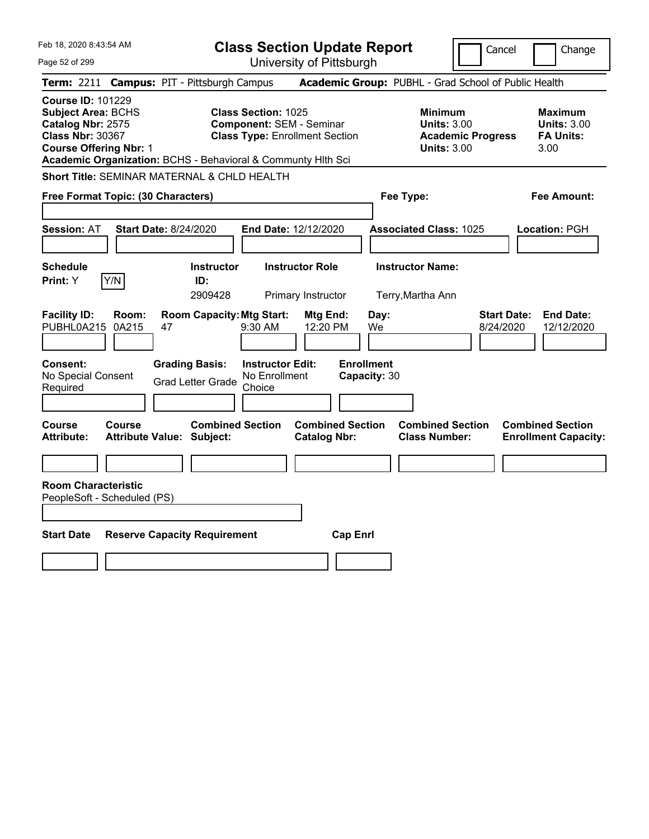| Feb 18, 2020 8:43:54 AM                                                                                                                                                                                |                                                             | <b>Class Section Update Report</b>                                                                     |                                                |                                                                                        | Cancel<br>Change                                                  |
|--------------------------------------------------------------------------------------------------------------------------------------------------------------------------------------------------------|-------------------------------------------------------------|--------------------------------------------------------------------------------------------------------|------------------------------------------------|----------------------------------------------------------------------------------------|-------------------------------------------------------------------|
| Page 52 of 299                                                                                                                                                                                         |                                                             | University of Pittsburgh                                                                               |                                                |                                                                                        |                                                                   |
| <b>Term: 2211</b>                                                                                                                                                                                      | <b>Campus: PIT - Pittsburgh Campus</b>                      |                                                                                                        |                                                | Academic Group: PUBHL - Grad School of Public Health                                   |                                                                   |
| <b>Course ID: 101229</b><br><b>Subject Area: BCHS</b><br>Catalog Nbr: 2575<br><b>Class Nbr: 30367</b><br><b>Course Offering Nbr: 1</b><br>Academic Organization: BCHS - Behavioral & Communty Hith Sci |                                                             | <b>Class Section: 1025</b><br><b>Component: SEM - Seminar</b><br><b>Class Type: Enrollment Section</b> |                                                | <b>Minimum</b><br><b>Units: 3.00</b><br><b>Academic Progress</b><br><b>Units: 3.00</b> | <b>Maximum</b><br><b>Units: 3.00</b><br><b>FA Units:</b><br>3.00  |
| <b>Short Title: SEMINAR MATERNAL &amp; CHLD HEALTH</b>                                                                                                                                                 |                                                             |                                                                                                        |                                                |                                                                                        |                                                                   |
| Free Format Topic: (30 Characters)                                                                                                                                                                     |                                                             |                                                                                                        |                                                | Fee Type:                                                                              | Fee Amount:                                                       |
| <b>Session: AT</b>                                                                                                                                                                                     | <b>Start Date: 8/24/2020</b>                                | <b>End Date: 12/12/2020</b>                                                                            |                                                | <b>Associated Class: 1025</b>                                                          | Location: PGH                                                     |
| <b>Schedule</b><br>Y/N<br>Print: Y                                                                                                                                                                     | <b>Instructor</b><br>ID:<br>2909428                         | <b>Instructor Role</b><br>Primary Instructor                                                           |                                                | <b>Instructor Name:</b><br>Terry, Martha Ann                                           |                                                                   |
| <b>Facility ID:</b><br>Room:<br>PUBHL0A215<br>0A215                                                                                                                                                    | <b>Room Capacity: Mtg Start:</b><br>47                      | $9:30$ AM                                                                                              | Mtg End:<br>Day:<br>12:20 PM<br>We             |                                                                                        | <b>End Date:</b><br><b>Start Date:</b><br>12/12/2020<br>8/24/2020 |
| Consent:<br>No Special Consent<br>Required                                                                                                                                                             | <b>Grading Basis:</b><br><b>Grad Letter Grade</b>           | <b>Instructor Edit:</b><br>No Enrollment<br>Choice                                                     | <b>Enrollment</b><br>Capacity: 30              |                                                                                        |                                                                   |
| Course<br>Course<br><b>Attribute:</b>                                                                                                                                                                  | <b>Combined Section</b><br><b>Attribute Value: Subject:</b> |                                                                                                        | <b>Combined Section</b><br><b>Catalog Nbr:</b> | <b>Combined Section</b><br><b>Class Number:</b>                                        | <b>Combined Section</b><br><b>Enrollment Capacity:</b>            |
|                                                                                                                                                                                                        |                                                             |                                                                                                        |                                                |                                                                                        |                                                                   |
| <b>Room Characteristic</b><br>PeopleSoft - Scheduled (PS)                                                                                                                                              |                                                             |                                                                                                        |                                                |                                                                                        |                                                                   |
| <b>Start Date</b>                                                                                                                                                                                      | <b>Reserve Capacity Requirement</b>                         |                                                                                                        | <b>Cap Enrl</b>                                |                                                                                        |                                                                   |
|                                                                                                                                                                                                        |                                                             |                                                                                                        |                                                |                                                                                        |                                                                   |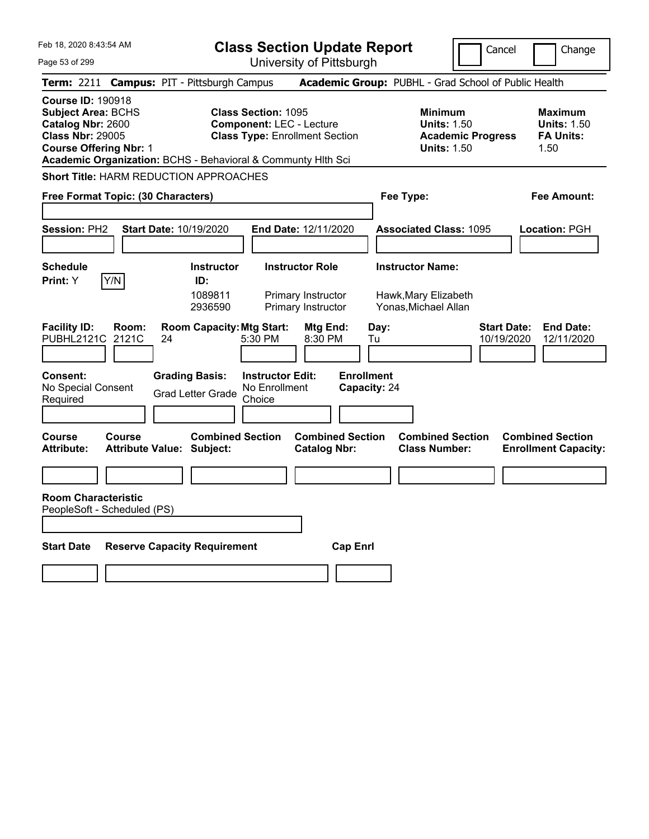|  | Feb 18, 2020 8:43:54 AM |  |
|--|-------------------------|--|
|  |                         |  |

**Class Section Update Report** University of Pittsburgh

Cancel Change

Page 53 of 299

|                                                                                                                                        | Term: 2211 Campus: PIT - Pittsburgh Campus                                                 |                                                                          | Academic Group: PUBHL - Grad School of Public Health                                   |                                                                  |
|----------------------------------------------------------------------------------------------------------------------------------------|--------------------------------------------------------------------------------------------|--------------------------------------------------------------------------|----------------------------------------------------------------------------------------|------------------------------------------------------------------|
| <b>Course ID: 190918</b><br><b>Subject Area: BCHS</b><br>Catalog Nbr: 2600<br><b>Class Nbr: 29005</b><br><b>Course Offering Nbr: 1</b> | <b>Class Section: 1095</b><br>Academic Organization: BCHS - Behavioral & Communty Hith Sci | <b>Component: LEC - Lecture</b><br><b>Class Type: Enrollment Section</b> | <b>Minimum</b><br><b>Units: 1.50</b><br><b>Academic Progress</b><br><b>Units: 1.50</b> | <b>Maximum</b><br><b>Units: 1.50</b><br><b>FA Units:</b><br>1.50 |
|                                                                                                                                        | Short Title: HARM REDUCTION APPROACHES                                                     |                                                                          |                                                                                        |                                                                  |
| Free Format Topic: (30 Characters)                                                                                                     |                                                                                            |                                                                          | Fee Type:                                                                              | <b>Fee Amount:</b>                                               |
| <b>Session: PH2</b>                                                                                                                    | <b>Start Date: 10/19/2020</b>                                                              | End Date: 12/11/2020                                                     | <b>Associated Class: 1095</b>                                                          | Location: PGH                                                    |
| <b>Schedule</b><br>Y/N<br>Print: Y                                                                                                     | <b>Instructor</b><br>ID:<br>1089811<br>2936590                                             | <b>Instructor Role</b><br>Primary Instructor<br>Primary Instructor       | <b>Instructor Name:</b><br>Hawk, Mary Elizabeth<br>Yonas, Michael Allan                |                                                                  |
| <b>Facility ID:</b><br>Room:<br>PUBHL2121C<br>2121C                                                                                    | <b>Room Capacity: Mtg Start:</b><br>24<br>5:30 PM                                          | Mtg End:<br>8:30 PM                                                      | <b>Start Date:</b><br>Day:<br>Tu<br>10/19/2020                                         | <b>End Date:</b><br>12/11/2020                                   |
| <b>Consent:</b><br>No Special Consent<br>Required                                                                                      | <b>Grading Basis:</b><br><b>Grad Letter Grade</b><br>Choice                                | <b>Enrollment</b><br><b>Instructor Edit:</b><br>No Enrollment            | Capacity: 24                                                                           |                                                                  |
| <b>Course</b><br><b>Course</b><br><b>Attribute:</b>                                                                                    | <b>Combined Section</b><br><b>Attribute Value: Subject:</b>                                | <b>Combined Section</b><br><b>Catalog Nbr:</b>                           | <b>Combined Section</b><br><b>Class Number:</b>                                        | <b>Combined Section</b><br><b>Enrollment Capacity:</b>           |
| <b>Room Characteristic</b><br>PeopleSoft - Scheduled (PS)                                                                              |                                                                                            |                                                                          |                                                                                        |                                                                  |
| <b>Start Date</b>                                                                                                                      | <b>Reserve Capacity Requirement</b>                                                        | <b>Cap Enrl</b>                                                          |                                                                                        |                                                                  |
|                                                                                                                                        |                                                                                            |                                                                          |                                                                                        |                                                                  |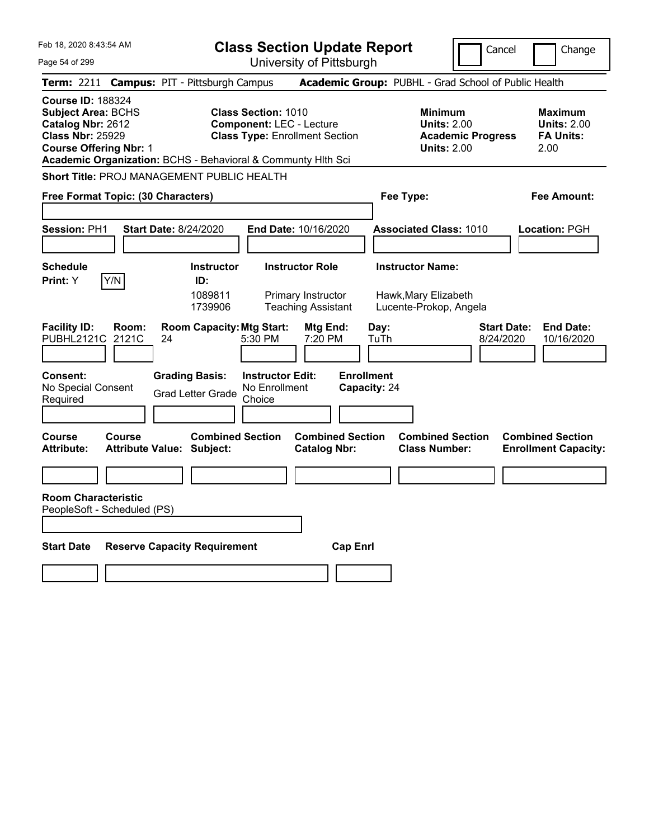|  | Feb 18, 2020 8:43:54 AM |  |
|--|-------------------------|--|
|  |                         |  |

Page 54 of 299

**Class Section Update Report**

Cancel **Change** 

|                                                                                                                                        |                |                                                              |                                                    | UNIVUUTIY ULI ILLUUULYII                                                 |                                   |                                                                                        |                                                                   |
|----------------------------------------------------------------------------------------------------------------------------------------|----------------|--------------------------------------------------------------|----------------------------------------------------|--------------------------------------------------------------------------|-----------------------------------|----------------------------------------------------------------------------------------|-------------------------------------------------------------------|
|                                                                                                                                        |                | Term: 2211 Campus: PIT - Pittsburgh Campus                   |                                                    |                                                                          |                                   | <b>Academic Group: PUBHL - Grad School of Public Health</b>                            |                                                                   |
| <b>Course ID: 188324</b><br><b>Subject Area: BCHS</b><br>Catalog Nbr: 2612<br><b>Class Nbr: 25929</b><br><b>Course Offering Nbr: 1</b> |                | Academic Organization: BCHS - Behavioral & Communty Hith Sci | <b>Class Section: 1010</b>                         | <b>Component: LEC - Lecture</b><br><b>Class Type: Enrollment Section</b> |                                   | <b>Minimum</b><br><b>Units: 2.00</b><br><b>Academic Progress</b><br><b>Units: 2.00</b> | <b>Maximum</b><br><b>Units: 2.00</b><br><b>FA Units:</b><br>2.00  |
|                                                                                                                                        |                | <b>Short Title: PROJ MANAGEMENT PUBLIC HEALTH</b>            |                                                    |                                                                          |                                   |                                                                                        |                                                                   |
| Free Format Topic: (30 Characters)                                                                                                     |                |                                                              |                                                    |                                                                          | Fee Type:                         |                                                                                        | Fee Amount:                                                       |
| Session: PH1                                                                                                                           |                | <b>Start Date: 8/24/2020</b>                                 |                                                    | End Date: 10/16/2020                                                     |                                   | <b>Associated Class: 1010</b>                                                          | Location: PGH                                                     |
| <b>Schedule</b>                                                                                                                        |                | <b>Instructor</b>                                            |                                                    | <b>Instructor Role</b>                                                   |                                   | <b>Instructor Name:</b>                                                                |                                                                   |
| Y/N<br><b>Print: Y</b>                                                                                                                 |                | ID:<br>1089811<br>1739906                                    |                                                    | Primary Instructor<br><b>Teaching Assistant</b>                          |                                   | Hawk, Mary Elizabeth<br>Lucente-Prokop, Angela                                         |                                                                   |
| <b>Facility ID:</b><br>PUBHL2121C                                                                                                      | Room:<br>2121C | <b>Room Capacity: Mtg Start:</b><br>24                       | 5:30 PM                                            | Mtg End:<br>7:20 PM                                                      | Day:<br>TuTh                      |                                                                                        | <b>Start Date:</b><br><b>End Date:</b><br>8/24/2020<br>10/16/2020 |
| Consent:<br>No Special Consent<br>Required                                                                                             |                | <b>Grading Basis:</b><br><b>Grad Letter Grade</b>            | <b>Instructor Edit:</b><br>No Enrollment<br>Choice |                                                                          | <b>Enrollment</b><br>Capacity: 24 |                                                                                        |                                                                   |
| <b>Course</b><br>Attribute:                                                                                                            | Course         | <b>Combined Section</b><br><b>Attribute Value: Subject:</b>  |                                                    | <b>Combined Section</b><br><b>Catalog Nbr:</b>                           |                                   | <b>Combined Section</b><br><b>Class Number:</b>                                        | <b>Combined Section</b><br><b>Enrollment Capacity:</b>            |
|                                                                                                                                        |                |                                                              |                                                    |                                                                          |                                   |                                                                                        |                                                                   |
| <b>Room Characteristic</b><br>PeopleSoft - Scheduled (PS)                                                                              |                |                                                              |                                                    |                                                                          |                                   |                                                                                        |                                                                   |
| <b>Start Date</b>                                                                                                                      |                | <b>Reserve Capacity Requirement</b>                          |                                                    | <b>Cap Enri</b>                                                          |                                   |                                                                                        |                                                                   |
|                                                                                                                                        |                |                                                              |                                                    |                                                                          |                                   |                                                                                        |                                                                   |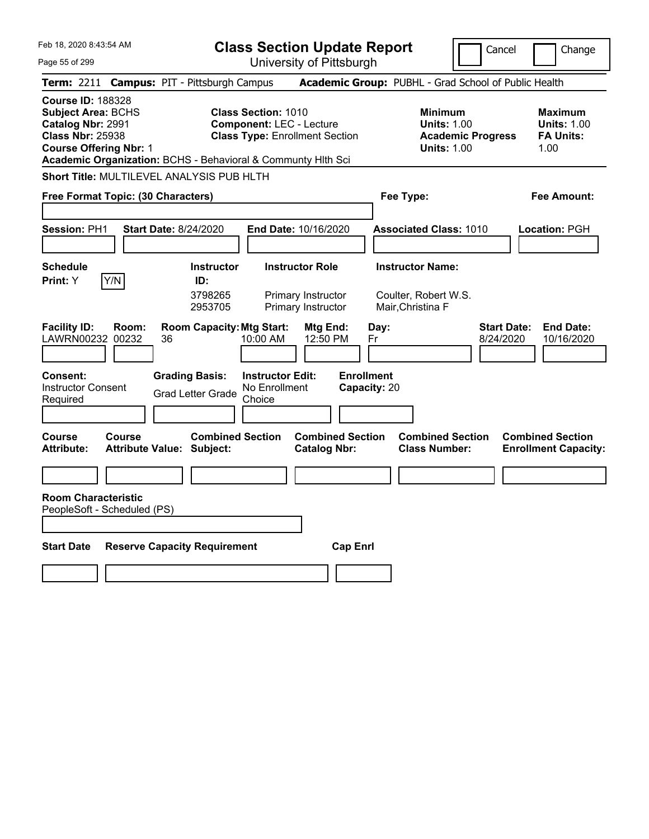| Feb 18, 2020 8:43:54 AM |  |
|-------------------------|--|
|-------------------------|--|

**Class Section Update Report** University of Pittsburgh

Cancel Change

Page 55 of 299

|                                                                                                                                        |        | Term: 2211 Campus: PIT - Pittsburgh Campus                  |                                                                                                                                                                        | Academic Group: PUBHL - Grad School of Public Health                                   |                                                                  |
|----------------------------------------------------------------------------------------------------------------------------------------|--------|-------------------------------------------------------------|------------------------------------------------------------------------------------------------------------------------------------------------------------------------|----------------------------------------------------------------------------------------|------------------------------------------------------------------|
| <b>Course ID: 188328</b><br><b>Subject Area: BCHS</b><br>Catalog Nbr: 2991<br><b>Class Nbr: 25938</b><br><b>Course Offering Nbr: 1</b> |        |                                                             | <b>Class Section: 1010</b><br><b>Component: LEC - Lecture</b><br><b>Class Type: Enrollment Section</b><br>Academic Organization: BCHS - Behavioral & Communty Hlth Sci | <b>Minimum</b><br><b>Units: 1.00</b><br><b>Academic Progress</b><br><b>Units: 1.00</b> | <b>Maximum</b><br><b>Units: 1.00</b><br><b>FA Units:</b><br>1.00 |
|                                                                                                                                        |        | Short Title: MULTILEVEL ANALYSIS PUB HLTH                   |                                                                                                                                                                        |                                                                                        |                                                                  |
| Free Format Topic: (30 Characters)                                                                                                     |        |                                                             |                                                                                                                                                                        | Fee Type:                                                                              | <b>Fee Amount:</b>                                               |
| Session: PH1                                                                                                                           |        | <b>Start Date: 8/24/2020</b>                                | End Date: 10/16/2020                                                                                                                                                   | <b>Associated Class: 1010</b>                                                          | Location: PGH                                                    |
| <b>Schedule</b><br>Print: Y                                                                                                            | Y/N    | <b>Instructor</b><br>ID:<br>3798265<br>2953705              | <b>Instructor Role</b><br>Primary Instructor<br>Primary Instructor                                                                                                     | <b>Instructor Name:</b><br>Coulter, Robert W.S.<br>Mair, Christina F                   |                                                                  |
| <b>Facility ID:</b><br>LAWRN00232 00232                                                                                                | Room:  | <b>Room Capacity: Mtg Start:</b><br>36                      | Mtg End:<br>10:00 AM<br>12:50 PM                                                                                                                                       | <b>Start Date:</b><br>Day:<br>8/24/2020<br>Fr                                          | <b>End Date:</b><br>10/16/2020                                   |
| Consent:<br><b>Instructor Consent</b><br>Required                                                                                      |        | <b>Grading Basis:</b><br><b>Grad Letter Grade</b>           | <b>Instructor Edit:</b><br>No Enrollment<br>Choice                                                                                                                     | <b>Enrollment</b><br>Capacity: 20                                                      |                                                                  |
| Course<br><b>Attribute:</b>                                                                                                            | Course | <b>Combined Section</b><br><b>Attribute Value: Subject:</b> | <b>Combined Section</b><br><b>Catalog Nbr:</b>                                                                                                                         | <b>Combined Section</b><br><b>Class Number:</b>                                        | <b>Combined Section</b><br><b>Enrollment Capacity:</b>           |
| <b>Room Characteristic</b><br>PeopleSoft - Scheduled (PS)                                                                              |        |                                                             |                                                                                                                                                                        |                                                                                        |                                                                  |
| <b>Start Date</b>                                                                                                                      |        | <b>Reserve Capacity Requirement</b>                         | <b>Cap Enrl</b>                                                                                                                                                        |                                                                                        |                                                                  |
|                                                                                                                                        |        |                                                             |                                                                                                                                                                        |                                                                                        |                                                                  |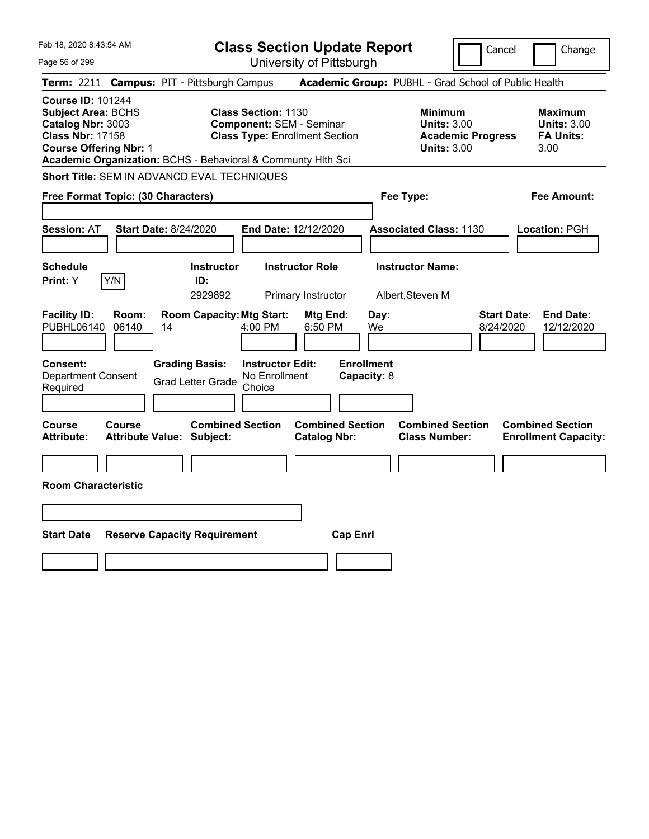| Feb 18, 2020 8:43:54 AM                                                                                                                                                                                |                                                                                                         | <b>Class Section Update Report</b>             | Cancel                                                                                 | Change                                                           |
|--------------------------------------------------------------------------------------------------------------------------------------------------------------------------------------------------------|---------------------------------------------------------------------------------------------------------|------------------------------------------------|----------------------------------------------------------------------------------------|------------------------------------------------------------------|
| Page 56 of 299                                                                                                                                                                                         |                                                                                                         | University of Pittsburgh                       |                                                                                        |                                                                  |
| <b>Term: 2211</b>                                                                                                                                                                                      | <b>Campus: PIT - Pittsburgh Campus</b>                                                                  |                                                | Academic Group: PUBHL - Grad School of Public Health                                   |                                                                  |
| <b>Course ID: 101244</b><br><b>Subject Area: BCHS</b><br>Catalog Nbr: 3003<br><b>Class Nbr: 17158</b><br><b>Course Offering Nbr: 1</b><br>Academic Organization: BCHS - Behavioral & Communty Hith Sci | <b>Class Section: 1130</b><br><b>Component: SEM - Seminar</b><br><b>Class Type: Enrollment Section</b>  |                                                | <b>Minimum</b><br><b>Units: 3.00</b><br><b>Academic Progress</b><br><b>Units: 3.00</b> | <b>Maximum</b><br><b>Units: 3.00</b><br><b>FA Units:</b><br>3.00 |
| Short Title: SEM IN ADVANCD EVAL TECHNIQUES                                                                                                                                                            |                                                                                                         |                                                |                                                                                        |                                                                  |
| Free Format Topic: (30 Characters)                                                                                                                                                                     |                                                                                                         |                                                | Fee Type:                                                                              | Fee Amount:                                                      |
| <b>Session: AT</b><br><b>Start Date: 8/24/2020</b>                                                                                                                                                     |                                                                                                         | <b>End Date: 12/12/2020</b>                    | <b>Associated Class: 1130</b>                                                          | Location: PGH                                                    |
| <b>Schedule</b><br>Y/N<br>Print: Y                                                                                                                                                                     | <b>Instructor</b><br>ID:<br>2929892                                                                     | <b>Instructor Role</b><br>Primary Instructor   | <b>Instructor Name:</b><br>Albert, Steven M                                            |                                                                  |
| <b>Facility ID:</b><br>Room:<br>PUBHL06140<br>06140<br>14                                                                                                                                              | <b>Room Capacity: Mtg Start:</b><br>4:00 PM                                                             | Mtg End:<br>Day:<br>6:50 PM<br>We              | 8/24/2020                                                                              | <b>Start Date:</b><br><b>End Date:</b><br>12/12/2020             |
| <b>Consent:</b><br><b>Department Consent</b><br>Required                                                                                                                                               | <b>Grading Basis:</b><br><b>Instructor Edit:</b><br>No Enrollment<br><b>Grad Letter Grade</b><br>Choice | <b>Enrollment</b><br>Capacity: 8               |                                                                                        |                                                                  |
| Course<br>Course<br><b>Attribute:</b><br><b>Attribute Value: Subject:</b>                                                                                                                              | <b>Combined Section</b>                                                                                 | <b>Combined Section</b><br><b>Catalog Nbr:</b> | <b>Combined Section</b><br><b>Class Number:</b>                                        | <b>Combined Section</b><br><b>Enrollment Capacity:</b>           |
|                                                                                                                                                                                                        |                                                                                                         |                                                |                                                                                        |                                                                  |
| <b>Room Characteristic</b>                                                                                                                                                                             |                                                                                                         |                                                |                                                                                        |                                                                  |
|                                                                                                                                                                                                        |                                                                                                         |                                                |                                                                                        |                                                                  |
| <b>Start Date</b>                                                                                                                                                                                      | <b>Reserve Capacity Requirement</b>                                                                     | <b>Cap Enrl</b>                                |                                                                                        |                                                                  |
|                                                                                                                                                                                                        |                                                                                                         |                                                |                                                                                        |                                                                  |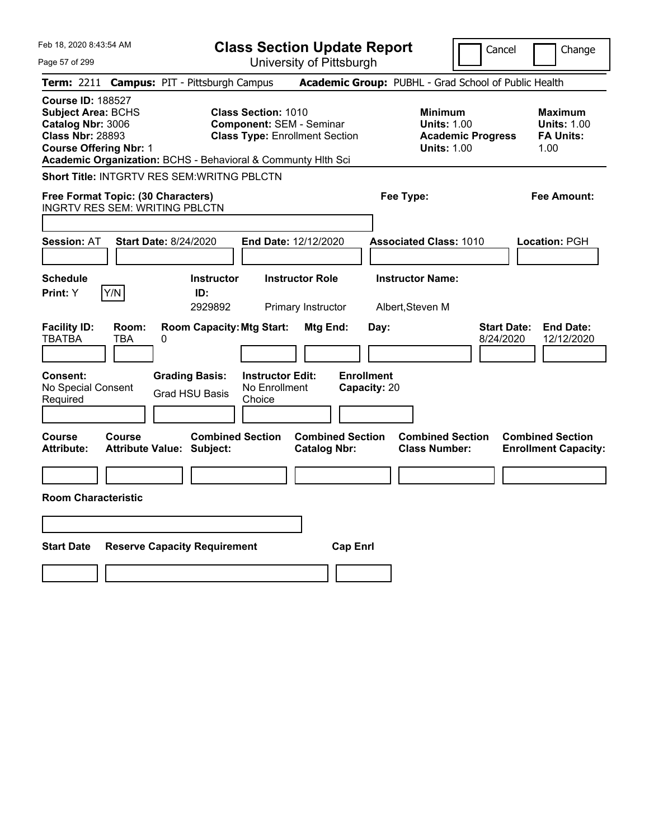| Feb 18, 2020 8:43:54 AM                                                                                                                | <b>Class Section Update Report</b>                                                                                                                                     |                                                                                        | Cancel<br>Change                                                  |
|----------------------------------------------------------------------------------------------------------------------------------------|------------------------------------------------------------------------------------------------------------------------------------------------------------------------|----------------------------------------------------------------------------------------|-------------------------------------------------------------------|
| Page 57 of 299                                                                                                                         | University of Pittsburgh                                                                                                                                               |                                                                                        |                                                                   |
| <b>Term:</b> 2211                                                                                                                      | <b>Campus: PIT - Pittsburgh Campus</b>                                                                                                                                 | Academic Group: PUBHL - Grad School of Public Health                                   |                                                                   |
| <b>Course ID: 188527</b><br><b>Subject Area: BCHS</b><br>Catalog Nbr: 3006<br><b>Class Nbr: 28893</b><br><b>Course Offering Nbr: 1</b> | <b>Class Section: 1010</b><br><b>Component: SEM - Seminar</b><br><b>Class Type: Enrollment Section</b><br>Academic Organization: BCHS - Behavioral & Communty Hlth Sci | <b>Minimum</b><br><b>Units: 1.00</b><br><b>Academic Progress</b><br><b>Units: 1.00</b> | <b>Maximum</b><br><b>Units: 1.00</b><br><b>FA Units:</b><br>1.00  |
| Short Title: INTGRTV RES SEM: WRITNG PBLCTN                                                                                            |                                                                                                                                                                        |                                                                                        |                                                                   |
| Free Format Topic: (30 Characters)<br><b>INGRTV RES SEM: WRITING PBLCTN</b>                                                            |                                                                                                                                                                        | Fee Type:                                                                              | Fee Amount:                                                       |
| <b>Start Date: 8/24/2020</b><br><b>Session: AT</b>                                                                                     | End Date: 12/12/2020                                                                                                                                                   | <b>Associated Class: 1010</b>                                                          | <b>Location: PGH</b>                                              |
| <b>Schedule</b><br>Y/N<br>Print: Y                                                                                                     | <b>Instructor Role</b><br><b>Instructor</b><br>ID:<br>2929892<br>Primary Instructor                                                                                    | <b>Instructor Name:</b><br>Albert, Steven M                                            |                                                                   |
| <b>Facility ID:</b><br>Room:<br><b>TBATBA</b><br>TBA<br>0<br><b>Consent:</b><br>No Special Consent<br>Required                         | <b>Room Capacity: Mtg Start:</b><br>Mtg End:<br><b>Instructor Edit:</b><br><b>Grading Basis:</b><br>No Enrollment<br><b>Grad HSU Basis</b><br>Choice                   | Day:<br><b>Enrollment</b><br>Capacity: 20                                              | <b>Start Date:</b><br><b>End Date:</b><br>8/24/2020<br>12/12/2020 |
| Course<br><b>Course</b><br><b>Attribute:</b><br><b>Attribute Value: Subject:</b>                                                       | <b>Combined Section</b><br><b>Catalog Nbr:</b>                                                                                                                         | <b>Combined Section</b><br><b>Combined Section</b><br><b>Class Number:</b>             | <b>Combined Section</b><br><b>Enrollment Capacity:</b>            |
|                                                                                                                                        |                                                                                                                                                                        |                                                                                        |                                                                   |
| <b>Room Characteristic</b>                                                                                                             |                                                                                                                                                                        |                                                                                        |                                                                   |
|                                                                                                                                        |                                                                                                                                                                        |                                                                                        |                                                                   |
| <b>Start Date</b><br><b>Reserve Capacity Requirement</b>                                                                               |                                                                                                                                                                        | <b>Cap Enrl</b>                                                                        |                                                                   |
|                                                                                                                                        |                                                                                                                                                                        |                                                                                        |                                                                   |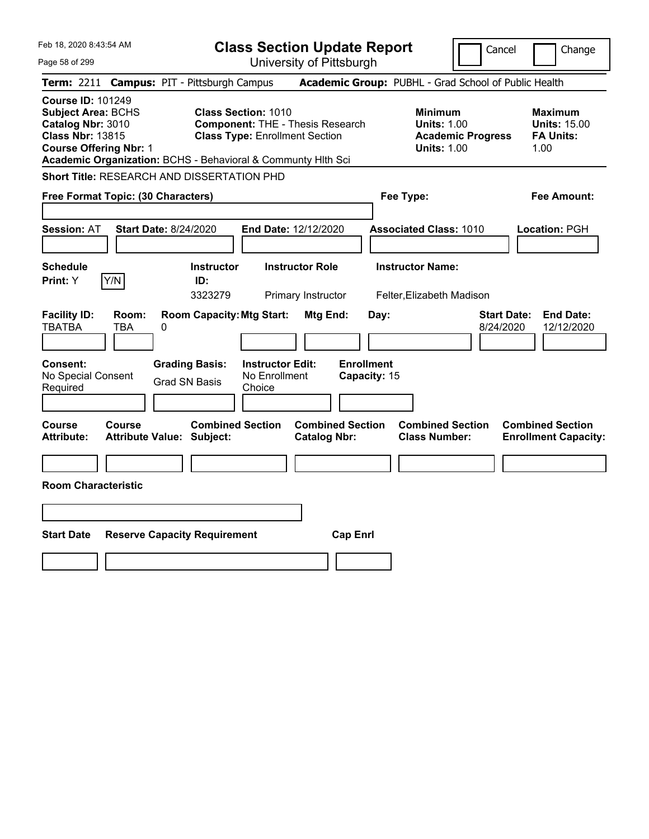| Feb 18, 2020 8:43:54 AM<br>Page 58 of 299                                                                                                                                                              | <b>Class Section Update Report</b><br>Cancel<br>University of Pittsburgh                                                                                                                                 | Change                                                            |
|--------------------------------------------------------------------------------------------------------------------------------------------------------------------------------------------------------|----------------------------------------------------------------------------------------------------------------------------------------------------------------------------------------------------------|-------------------------------------------------------------------|
| Term: 2211 Campus: PIT - Pittsburgh Campus                                                                                                                                                             | Academic Group: PUBHL - Grad School of Public Health                                                                                                                                                     |                                                                   |
| <b>Course ID: 101249</b><br><b>Subject Area: BCHS</b><br>Catalog Nbr: 3010<br><b>Class Nbr: 13815</b><br><b>Course Offering Nbr: 1</b><br>Academic Organization: BCHS - Behavioral & Communty Hlth Sci | <b>Class Section: 1010</b><br><b>Minimum</b><br><b>Component: THE - Thesis Research</b><br><b>Units: 1.00</b><br><b>Class Type: Enrollment Section</b><br><b>Academic Progress</b><br><b>Units: 1.00</b> | <b>Maximum</b><br><b>Units: 15.00</b><br><b>FA Units:</b><br>1.00 |
| <b>Short Title: RESEARCH AND DISSERTATION PHD</b>                                                                                                                                                      |                                                                                                                                                                                                          |                                                                   |
| Free Format Topic: (30 Characters)                                                                                                                                                                     | Fee Type:                                                                                                                                                                                                | <b>Fee Amount:</b>                                                |
| <b>Start Date: 8/24/2020</b><br><b>Session: AT</b>                                                                                                                                                     | End Date: 12/12/2020<br><b>Associated Class: 1010</b>                                                                                                                                                    | Location: PGH                                                     |
| <b>Schedule</b><br>Y/N<br>Print: Y<br>ID:                                                                                                                                                              | <b>Instructor Role</b><br><b>Instructor Name:</b><br><b>Instructor</b><br>3323279<br>Primary Instructor<br>Felter,Elizabeth Madison                                                                      |                                                                   |
| <b>Facility ID:</b><br>Room:<br><b>TBATBA</b><br>TBA<br>0                                                                                                                                              | <b>Room Capacity: Mtg Start:</b><br><b>Start Date:</b><br>Mtg End:<br>Day:<br>8/24/2020                                                                                                                  | <b>End Date:</b><br>12/12/2020                                    |
| <b>Consent:</b><br><b>Grading Basis:</b><br>No Special Consent<br>Grad SN Basis<br>Required                                                                                                            | <b>Enrollment</b><br><b>Instructor Edit:</b><br>No Enrollment<br>Capacity: 15<br>Choice                                                                                                                  |                                                                   |
| Course<br><b>Course</b><br><b>Attribute:</b><br><b>Attribute Value: Subject:</b>                                                                                                                       | <b>Combined Section</b><br><b>Combined Section</b><br><b>Combined Section</b><br><b>Class Number:</b><br><b>Catalog Nbr:</b>                                                                             | <b>Combined Section</b><br><b>Enrollment Capacity:</b>            |
| <b>Room Characteristic</b>                                                                                                                                                                             |                                                                                                                                                                                                          |                                                                   |
|                                                                                                                                                                                                        |                                                                                                                                                                                                          |                                                                   |
|                                                                                                                                                                                                        |                                                                                                                                                                                                          |                                                                   |
| <b>Start Date</b><br><b>Reserve Capacity Requirement</b>                                                                                                                                               | <b>Cap Enrl</b>                                                                                                                                                                                          |                                                                   |
|                                                                                                                                                                                                        |                                                                                                                                                                                                          |                                                                   |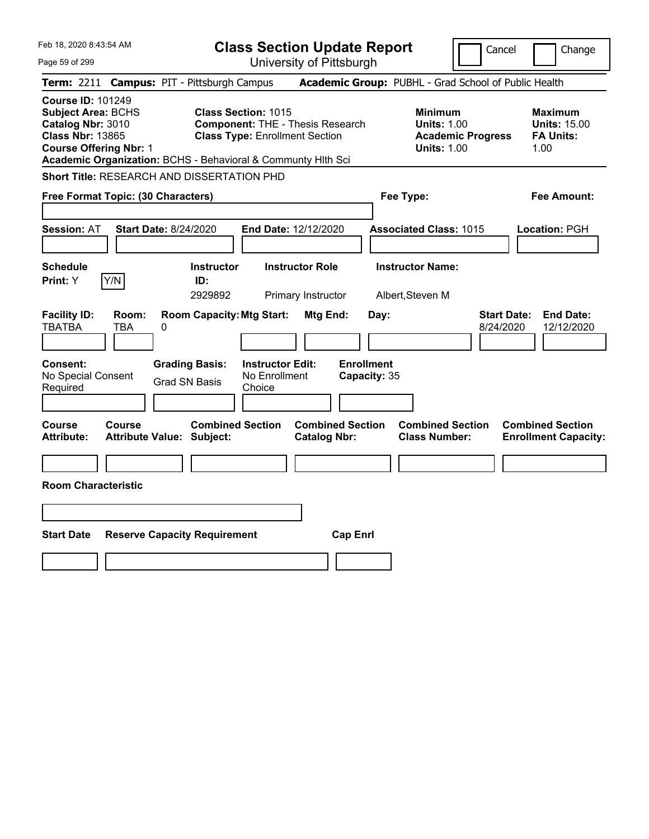| Feb 18, 2020 8:43:54 AM                                                                                                                                                                                |                                                             |                                                                                                                | <b>Class Section Update Report</b>             |                                                            | Cancel                          | Change                                                            |
|--------------------------------------------------------------------------------------------------------------------------------------------------------------------------------------------------------|-------------------------------------------------------------|----------------------------------------------------------------------------------------------------------------|------------------------------------------------|------------------------------------------------------------|---------------------------------|-------------------------------------------------------------------|
| Page 59 of 299                                                                                                                                                                                         |                                                             |                                                                                                                | University of Pittsburgh                       |                                                            |                                 |                                                                   |
| <b>Term: 2211</b>                                                                                                                                                                                      | <b>Campus: PIT - Pittsburgh Campus</b>                      |                                                                                                                |                                                | Academic Group: PUBHL - Grad School of Public Health       |                                 |                                                                   |
| <b>Course ID: 101249</b><br><b>Subject Area: BCHS</b><br>Catalog Nbr: 3010<br><b>Class Nbr: 13865</b><br><b>Course Offering Nbr: 1</b><br>Academic Organization: BCHS - Behavioral & Communty Hlth Sci |                                                             | <b>Class Section: 1015</b><br><b>Component: THE - Thesis Research</b><br><b>Class Type: Enrollment Section</b> |                                                | <b>Minimum</b><br><b>Units: 1.00</b><br><b>Units: 1.00</b> | <b>Academic Progress</b>        | <b>Maximum</b><br><b>Units: 15.00</b><br><b>FA Units:</b><br>1.00 |
| Short Title: RESEARCH AND DISSERTATION PHD                                                                                                                                                             |                                                             |                                                                                                                |                                                |                                                            |                                 |                                                                   |
| Free Format Topic: (30 Characters)                                                                                                                                                                     |                                                             |                                                                                                                |                                                | Fee Type:                                                  |                                 | Fee Amount:                                                       |
| <b>Session: AT</b>                                                                                                                                                                                     | <b>Start Date: 8/24/2020</b>                                | End Date: 12/12/2020                                                                                           |                                                | <b>Associated Class: 1015</b>                              |                                 | Location: PGH                                                     |
| <b>Schedule</b><br>Y/N<br>Print: Y                                                                                                                                                                     | <b>Instructor</b><br>ID:<br>2929892                         | <b>Instructor Role</b><br>Primary Instructor                                                                   |                                                | <b>Instructor Name:</b><br>Albert, Steven M                |                                 |                                                                   |
| <b>Facility ID:</b><br>Room:<br><b>TBATBA</b><br>TBA                                                                                                                                                   | <b>Room Capacity: Mtg Start:</b><br>0                       |                                                                                                                | Mtg End:<br>Day:                               |                                                            | <b>Start Date:</b><br>8/24/2020 | <b>End Date:</b><br>12/12/2020                                    |
| <b>Consent:</b><br>No Special Consent<br>Required                                                                                                                                                      | <b>Grading Basis:</b><br><b>Grad SN Basis</b>               | <b>Instructor Edit:</b><br>No Enrollment<br>Choice                                                             | <b>Enrollment</b><br>Capacity: 35              |                                                            |                                 |                                                                   |
| Course<br>Course<br>Attribute:                                                                                                                                                                         | <b>Combined Section</b><br><b>Attribute Value: Subject:</b> |                                                                                                                | <b>Combined Section</b><br><b>Catalog Nbr:</b> | <b>Combined Section</b><br><b>Class Number:</b>            |                                 | <b>Combined Section</b><br><b>Enrollment Capacity:</b>            |
|                                                                                                                                                                                                        |                                                             |                                                                                                                |                                                |                                                            |                                 |                                                                   |
| <b>Room Characteristic</b>                                                                                                                                                                             |                                                             |                                                                                                                |                                                |                                                            |                                 |                                                                   |
|                                                                                                                                                                                                        |                                                             |                                                                                                                |                                                |                                                            |                                 |                                                                   |
| <b>Start Date</b>                                                                                                                                                                                      | <b>Reserve Capacity Requirement</b>                         |                                                                                                                | <b>Cap Enrl</b>                                |                                                            |                                 |                                                                   |
|                                                                                                                                                                                                        |                                                             |                                                                                                                |                                                |                                                            |                                 |                                                                   |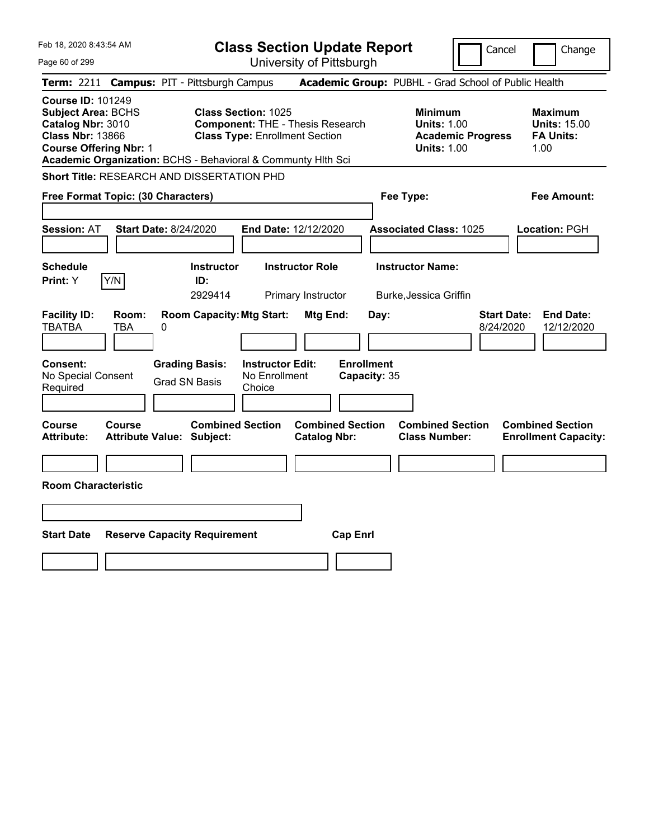| Feb 18, 2020 8:43:54 AM<br>Page 60 of 299                                                                                                                                                              |                                                                                                         | <b>Class Section Update Report</b><br>University of Pittsburgh | Cancel                                                                                 | Change                                                            |
|--------------------------------------------------------------------------------------------------------------------------------------------------------------------------------------------------------|---------------------------------------------------------------------------------------------------------|----------------------------------------------------------------|----------------------------------------------------------------------------------------|-------------------------------------------------------------------|
| <b>Term: 2211</b>                                                                                                                                                                                      | <b>Campus: PIT - Pittsburgh Campus</b>                                                                  |                                                                | Academic Group: PUBHL - Grad School of Public Health                                   |                                                                   |
| <b>Course ID: 101249</b><br><b>Subject Area: BCHS</b><br>Catalog Nbr: 3010<br><b>Class Nbr: 13866</b><br><b>Course Offering Nbr: 1</b><br>Academic Organization: BCHS - Behavioral & Communty Hlth Sci | Class Section: 1025<br><b>Component: THE - Thesis Research</b><br><b>Class Type: Enrollment Section</b> |                                                                | <b>Minimum</b><br><b>Units: 1.00</b><br><b>Academic Progress</b><br><b>Units: 1.00</b> | <b>Maximum</b><br><b>Units: 15.00</b><br><b>FA Units:</b><br>1.00 |
| <b>Short Title: RESEARCH AND DISSERTATION PHD</b>                                                                                                                                                      |                                                                                                         |                                                                |                                                                                        |                                                                   |
| Free Format Topic: (30 Characters)                                                                                                                                                                     |                                                                                                         |                                                                | Fee Type:                                                                              | Fee Amount:                                                       |
| Session: AT<br><b>Start Date: 8/24/2020</b>                                                                                                                                                            | End Date: 12/12/2020                                                                                    |                                                                | <b>Associated Class: 1025</b>                                                          | Location: PGH                                                     |
| <b>Schedule</b><br>Y/N<br>Print: Y                                                                                                                                                                     | <b>Instructor Role</b><br><b>Instructor</b><br>ID:<br>2929414                                           | Primary Instructor                                             | <b>Instructor Name:</b><br>Burke, Jessica Griffin                                      |                                                                   |
| <b>Facility ID:</b><br>Room:<br><b>TBATBA</b><br>TBA<br>$\pmb{0}$                                                                                                                                      | <b>Room Capacity: Mtg Start:</b>                                                                        | Mtg End:<br>Day:                                               | 8/24/2020                                                                              | <b>Start Date:</b><br><b>End Date:</b><br>12/12/2020              |
| <b>Consent:</b><br><b>Grading Basis:</b><br>No Special Consent<br>Grad SN Basis<br>Required                                                                                                            | <b>Instructor Edit:</b><br>No Enrollment<br>Choice                                                      | <b>Enrollment</b><br>Capacity: 35                              |                                                                                        |                                                                   |
| Course<br>Course<br>Attribute Value: Subject:<br><b>Attribute:</b>                                                                                                                                     | <b>Combined Section</b>                                                                                 | <b>Combined Section</b><br><b>Catalog Nbr:</b>                 | <b>Combined Section</b><br><b>Class Number:</b>                                        | <b>Combined Section</b><br><b>Enrollment Capacity:</b>            |
| <b>Room Characteristic</b>                                                                                                                                                                             |                                                                                                         |                                                                |                                                                                        |                                                                   |
|                                                                                                                                                                                                        |                                                                                                         |                                                                |                                                                                        |                                                                   |
| <b>Start Date</b><br><b>Reserve Capacity Requirement</b>                                                                                                                                               |                                                                                                         | <b>Cap Enrl</b>                                                |                                                                                        |                                                                   |
|                                                                                                                                                                                                        |                                                                                                         |                                                                |                                                                                        |                                                                   |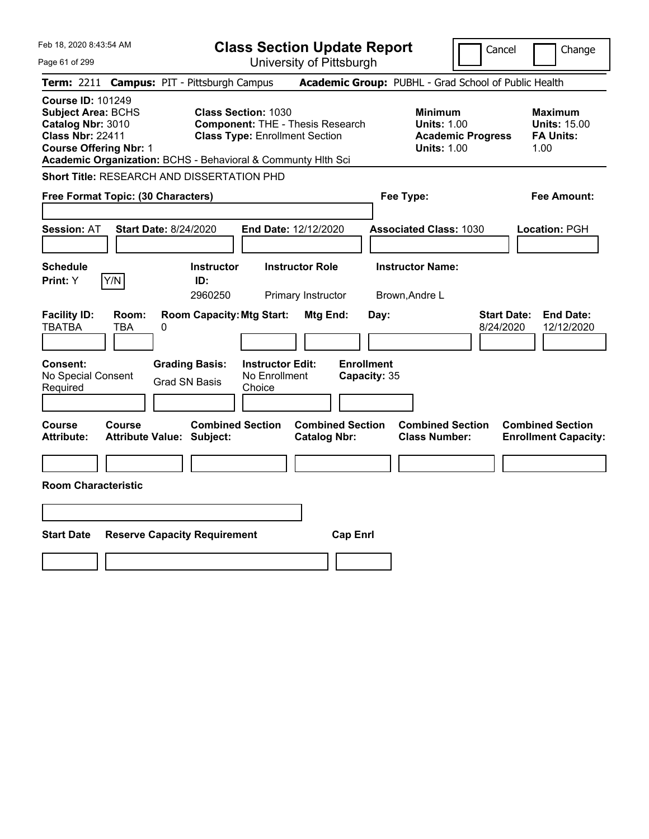| Feb 18, 2020 8:43:54 AM                                                                                                                                                                         |                                                                                                                | <b>Class Section Update Report</b>             |                                                                                        | Change<br>Cancel                                                  |
|-------------------------------------------------------------------------------------------------------------------------------------------------------------------------------------------------|----------------------------------------------------------------------------------------------------------------|------------------------------------------------|----------------------------------------------------------------------------------------|-------------------------------------------------------------------|
| Page 61 of 299                                                                                                                                                                                  |                                                                                                                | University of Pittsburgh                       |                                                                                        |                                                                   |
| <b>Term: 2211</b>                                                                                                                                                                               | <b>Campus: PIT - Pittsburgh Campus</b>                                                                         |                                                | Academic Group: PUBHL - Grad School of Public Health                                   |                                                                   |
| <b>Course ID: 101249</b><br>Subject Area: BCHS<br>Catalog Nbr: 3010<br><b>Class Nbr: 22411</b><br><b>Course Offering Nbr: 1</b><br>Academic Organization: BCHS - Behavioral & Communty Hlth Sci | <b>Class Section: 1030</b><br><b>Component: THE - Thesis Research</b><br><b>Class Type: Enrollment Section</b> |                                                | <b>Minimum</b><br><b>Units: 1.00</b><br><b>Academic Progress</b><br><b>Units: 1.00</b> | <b>Maximum</b><br><b>Units: 15.00</b><br><b>FA Units:</b><br>1.00 |
| Short Title: RESEARCH AND DISSERTATION PHD                                                                                                                                                      |                                                                                                                |                                                |                                                                                        |                                                                   |
| Free Format Topic: (30 Characters)                                                                                                                                                              |                                                                                                                |                                                | Fee Type:                                                                              | Fee Amount:                                                       |
| <b>Start Date: 8/24/2020</b><br><b>Session: AT</b>                                                                                                                                              |                                                                                                                | End Date: 12/12/2020                           | <b>Associated Class: 1030</b>                                                          | Location: PGH                                                     |
| <b>Schedule</b><br>Y/N<br>Print: Y                                                                                                                                                              | <b>Instructor</b><br>ID:<br>2960250                                                                            | <b>Instructor Role</b><br>Primary Instructor   | <b>Instructor Name:</b><br>Brown, Andre L                                              |                                                                   |
| <b>Facility ID:</b><br>Room:<br><b>TBATBA</b><br><b>TBA</b><br>0                                                                                                                                | <b>Room Capacity: Mtg Start:</b>                                                                               | Mtg End:<br>Day:                               |                                                                                        | <b>Start Date:</b><br><b>End Date:</b><br>8/24/2020<br>12/12/2020 |
| Consent:<br>No Special Consent<br>Required                                                                                                                                                      | <b>Grading Basis:</b><br><b>Instructor Edit:</b><br>No Enrollment<br><b>Grad SN Basis</b><br>Choice            | <b>Enrollment</b><br>Capacity: 35              |                                                                                        |                                                                   |
| <b>Course</b><br><b>Course</b><br>Attribute Value: Subject:<br><b>Attribute:</b>                                                                                                                | <b>Combined Section</b>                                                                                        | <b>Combined Section</b><br><b>Catalog Nbr:</b> | <b>Combined Section</b><br><b>Class Number:</b>                                        | <b>Combined Section</b><br><b>Enrollment Capacity:</b>            |
| <b>Room Characteristic</b>                                                                                                                                                                      |                                                                                                                |                                                |                                                                                        |                                                                   |
|                                                                                                                                                                                                 |                                                                                                                |                                                |                                                                                        |                                                                   |
| <b>Start Date</b>                                                                                                                                                                               | <b>Reserve Capacity Requirement</b>                                                                            | <b>Cap Enrl</b>                                |                                                                                        |                                                                   |
|                                                                                                                                                                                                 |                                                                                                                |                                                |                                                                                        |                                                                   |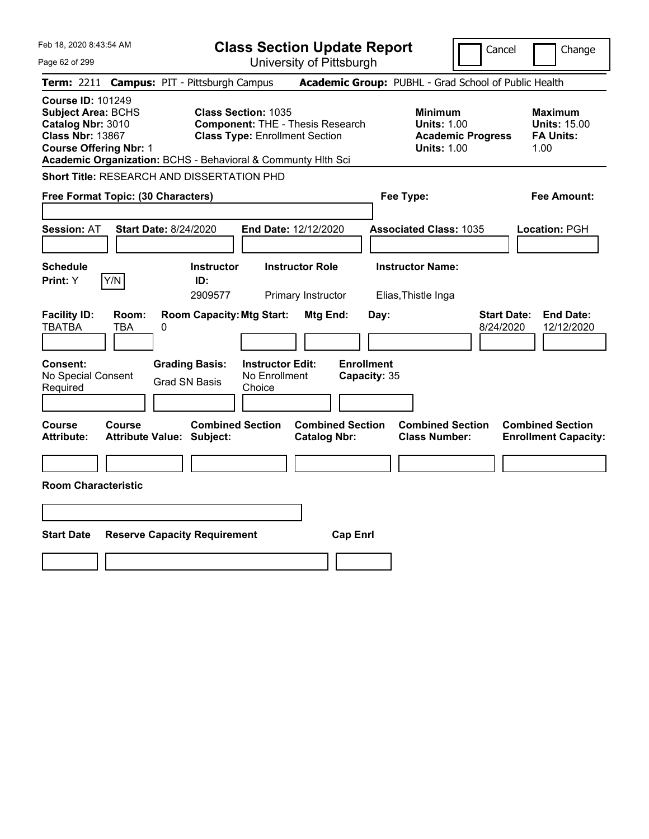| Feb 18, 2020 8:43:54 AM                                                                                                                                                                                |                                                             |                                                                                  | <b>Class Section Update Report</b>                   |                                                            | Cancel                          | Change                                                            |
|--------------------------------------------------------------------------------------------------------------------------------------------------------------------------------------------------------|-------------------------------------------------------------|----------------------------------------------------------------------------------|------------------------------------------------------|------------------------------------------------------------|---------------------------------|-------------------------------------------------------------------|
| Page 62 of 299                                                                                                                                                                                         |                                                             |                                                                                  | University of Pittsburgh                             |                                                            |                                 |                                                                   |
| <b>Term: 2211</b>                                                                                                                                                                                      | <b>Campus: PIT - Pittsburgh Campus</b>                      |                                                                                  | Academic Group: PUBHL - Grad School of Public Health |                                                            |                                 |                                                                   |
| <b>Course ID: 101249</b><br><b>Subject Area: BCHS</b><br>Catalog Nbr: 3010<br><b>Class Nbr: 13867</b><br><b>Course Offering Nbr: 1</b><br>Academic Organization: BCHS - Behavioral & Communty Hlth Sci | <b>Class Section: 1035</b>                                  | <b>Component: THE - Thesis Research</b><br><b>Class Type: Enrollment Section</b> |                                                      | <b>Minimum</b><br><b>Units: 1.00</b><br><b>Units: 1.00</b> | <b>Academic Progress</b>        | <b>Maximum</b><br><b>Units: 15.00</b><br><b>FA Units:</b><br>1.00 |
| <b>Short Title: RESEARCH AND DISSERTATION PHD</b>                                                                                                                                                      |                                                             |                                                                                  |                                                      |                                                            |                                 |                                                                   |
| Free Format Topic: (30 Characters)                                                                                                                                                                     |                                                             |                                                                                  |                                                      | Fee Type:                                                  |                                 | Fee Amount:                                                       |
| <b>Session: AT</b>                                                                                                                                                                                     | <b>Start Date: 8/24/2020</b>                                | End Date: 12/12/2020                                                             |                                                      | <b>Associated Class: 1035</b>                              |                                 | Location: PGH                                                     |
| <b>Schedule</b><br>Y/N<br>Print: Y                                                                                                                                                                     | <b>Instructor</b><br>ID:<br>2909577                         | <b>Instructor Role</b><br>Primary Instructor                                     |                                                      | <b>Instructor Name:</b><br>Elias, Thistle Inga             |                                 |                                                                   |
| <b>Facility ID:</b><br>Room:<br><b>TBATBA</b><br><b>TBA</b>                                                                                                                                            | <b>Room Capacity: Mtg Start:</b><br>0                       |                                                                                  | Mtg End:<br>Day:                                     |                                                            | <b>Start Date:</b><br>8/24/2020 | <b>End Date:</b><br>12/12/2020                                    |
| Consent:<br>No Special Consent<br>Required                                                                                                                                                             | <b>Grading Basis:</b><br><b>Grad SN Basis</b>               | <b>Instructor Edit:</b><br>No Enrollment<br>Choice                               | <b>Enrollment</b><br>Capacity: 35                    |                                                            |                                 |                                                                   |
| <b>Course</b><br><b>Course</b><br><b>Attribute:</b>                                                                                                                                                    | <b>Combined Section</b><br><b>Attribute Value: Subject:</b> |                                                                                  | <b>Combined Section</b><br><b>Catalog Nbr:</b>       | <b>Combined Section</b><br><b>Class Number:</b>            |                                 | <b>Combined Section</b><br><b>Enrollment Capacity:</b>            |
|                                                                                                                                                                                                        |                                                             |                                                                                  |                                                      |                                                            |                                 |                                                                   |
| <b>Room Characteristic</b>                                                                                                                                                                             |                                                             |                                                                                  |                                                      |                                                            |                                 |                                                                   |
|                                                                                                                                                                                                        |                                                             |                                                                                  |                                                      |                                                            |                                 |                                                                   |
| <b>Start Date</b>                                                                                                                                                                                      | <b>Reserve Capacity Requirement</b>                         |                                                                                  | <b>Cap Enrl</b>                                      |                                                            |                                 |                                                                   |
|                                                                                                                                                                                                        |                                                             |                                                                                  |                                                      |                                                            |                                 |                                                                   |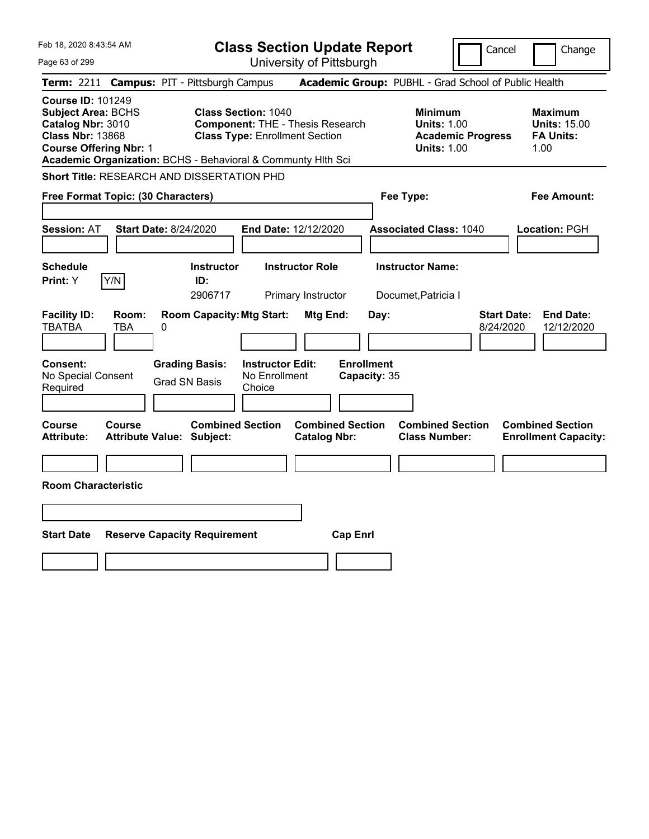| Feb 18, 2020 8:43:54 AM<br>Page 63 of 299                                                                                                                                                              |                                                                                                                | <b>Class Section Update Report</b><br>University of Pittsburgh | Cancel                                                                                 | Change                                                            |
|--------------------------------------------------------------------------------------------------------------------------------------------------------------------------------------------------------|----------------------------------------------------------------------------------------------------------------|----------------------------------------------------------------|----------------------------------------------------------------------------------------|-------------------------------------------------------------------|
| Term: 2211 Campus: PIT - Pittsburgh Campus                                                                                                                                                             |                                                                                                                |                                                                | Academic Group: PUBHL - Grad School of Public Health                                   |                                                                   |
| <b>Course ID: 101249</b><br><b>Subject Area: BCHS</b><br>Catalog Nbr: 3010<br><b>Class Nbr: 13868</b><br><b>Course Offering Nbr: 1</b><br>Academic Organization: BCHS - Behavioral & Communty Hlth Sci | <b>Class Section: 1040</b><br><b>Component: THE - Thesis Research</b><br><b>Class Type: Enrollment Section</b> |                                                                | <b>Minimum</b><br><b>Units: 1.00</b><br><b>Academic Progress</b><br><b>Units: 1.00</b> | <b>Maximum</b><br><b>Units: 15.00</b><br><b>FA Units:</b><br>1.00 |
| <b>Short Title: RESEARCH AND DISSERTATION PHD</b>                                                                                                                                                      |                                                                                                                |                                                                |                                                                                        |                                                                   |
| Free Format Topic: (30 Characters)                                                                                                                                                                     |                                                                                                                |                                                                | Fee Type:                                                                              | <b>Fee Amount:</b>                                                |
| <b>Session: AT</b><br><b>Start Date: 8/24/2020</b>                                                                                                                                                     |                                                                                                                | End Date: 12/12/2020                                           | <b>Associated Class: 1040</b>                                                          | Location: PGH                                                     |
| <b>Schedule</b><br>Y/N<br>Print: Y                                                                                                                                                                     | <b>Instructor</b><br>ID:<br>2906717                                                                            | <b>Instructor Role</b><br>Primary Instructor                   | <b>Instructor Name:</b><br>Documet, Patricia I                                         |                                                                   |
| <b>Facility ID:</b><br>Room:<br><b>TBATBA</b><br><b>TBA</b><br>0                                                                                                                                       | <b>Room Capacity: Mtg Start:</b>                                                                               | Mtg End:<br>Day:                                               | <b>Start Date:</b><br>8/24/2020                                                        | <b>End Date:</b><br>12/12/2020                                    |
| Consent:<br>No Special Consent<br>Required                                                                                                                                                             | <b>Grading Basis:</b><br><b>Instructor Edit:</b><br>No Enrollment<br><b>Grad SN Basis</b><br>Choice            | <b>Enrollment</b><br>Capacity: 35                              |                                                                                        |                                                                   |
| Course<br>Course<br><b>Attribute:</b><br><b>Attribute Value: Subject:</b>                                                                                                                              | <b>Combined Section</b>                                                                                        | <b>Combined Section</b><br><b>Catalog Nbr:</b>                 | <b>Combined Section</b><br><b>Class Number:</b>                                        | <b>Combined Section</b><br><b>Enrollment Capacity:</b>            |
| <b>Room Characteristic</b>                                                                                                                                                                             |                                                                                                                |                                                                |                                                                                        |                                                                   |
|                                                                                                                                                                                                        |                                                                                                                |                                                                |                                                                                        |                                                                   |
| <b>Start Date</b><br><b>Reserve Capacity Requirement</b>                                                                                                                                               |                                                                                                                | <b>Cap Enrl</b>                                                |                                                                                        |                                                                   |
|                                                                                                                                                                                                        |                                                                                                                |                                                                |                                                                                        |                                                                   |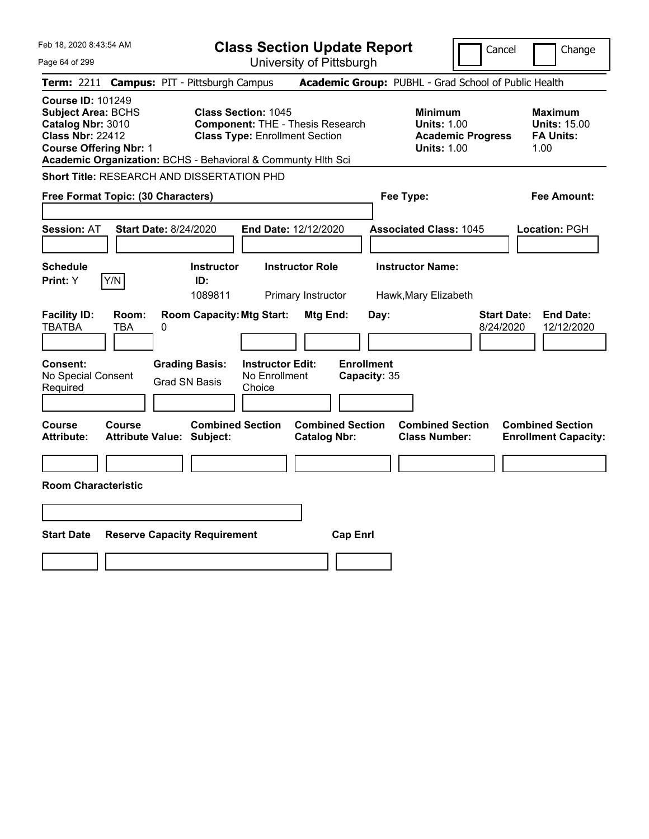| Feb 18, 2020 8:43:54 AM<br>Page 64 of 299                                                                                                                                                              |                                               |                                     |                                                                     | <b>Class Section Update Report</b><br>University of Pittsburgh |                                   |                                                            | Cancel                   | Change                                                     |
|--------------------------------------------------------------------------------------------------------------------------------------------------------------------------------------------------------|-----------------------------------------------|-------------------------------------|---------------------------------------------------------------------|----------------------------------------------------------------|-----------------------------------|------------------------------------------------------------|--------------------------|------------------------------------------------------------|
| Term: 2211 Campus: PIT - Pittsburgh Campus                                                                                                                                                             |                                               |                                     |                                                                     |                                                                |                                   |                                                            |                          | Academic Group: PUBHL - Grad School of Public Health       |
| <b>Course ID: 101249</b><br><b>Subject Area: BCHS</b><br>Catalog Nbr: 3010<br><b>Class Nbr: 22412</b><br><b>Course Offering Nbr: 1</b><br>Academic Organization: BCHS - Behavioral & Communty Hith Sci |                                               |                                     | <b>Class Section: 1045</b><br><b>Class Type: Enrollment Section</b> | <b>Component: THE - Thesis Research</b>                        |                                   | <b>Minimum</b><br><b>Units: 1.00</b><br><b>Units: 1.00</b> | <b>Academic Progress</b> | Maximum<br><b>Units: 15.00</b><br><b>FA Units:</b><br>1.00 |
| <b>Short Title: RESEARCH AND DISSERTATION PHD</b>                                                                                                                                                      |                                               |                                     |                                                                     |                                                                |                                   |                                                            |                          |                                                            |
| Free Format Topic: (30 Characters)                                                                                                                                                                     |                                               |                                     |                                                                     |                                                                |                                   | Fee Type:                                                  |                          | <b>Fee Amount:</b>                                         |
| <b>Session: AT</b>                                                                                                                                                                                     | <b>Start Date: 8/24/2020</b>                  |                                     |                                                                     | End Date: 12/12/2020                                           |                                   | <b>Associated Class: 1045</b>                              |                          | <b>Location: PGH</b>                                       |
| <b>Schedule</b><br>Y/N<br><b>Print:</b> Y                                                                                                                                                              |                                               | <b>Instructor</b><br>ID:<br>1089811 |                                                                     | <b>Instructor Role</b><br>Primary Instructor                   |                                   | <b>Instructor Name:</b><br>Hawk, Mary Elizabeth            |                          |                                                            |
| <b>Facility ID:</b><br>Room:<br><b>TBATBA</b><br><b>TBA</b>                                                                                                                                            | 0                                             | <b>Room Capacity: Mtg Start:</b>    |                                                                     | Mtg End:                                                       | Day:                              |                                                            | 8/24/2020                | <b>Start Date:</b><br><b>End Date:</b><br>12/12/2020       |
| <b>Consent:</b><br>No Special Consent<br>Required                                                                                                                                                      | <b>Grading Basis:</b><br><b>Grad SN Basis</b> |                                     | <b>Instructor Edit:</b><br>No Enrollment<br>Choice                  |                                                                | <b>Enrollment</b><br>Capacity: 35 |                                                            |                          |                                                            |
| Course<br>Course<br><b>Attribute:</b>                                                                                                                                                                  | <b>Attribute Value: Subject:</b>              | <b>Combined Section</b>             |                                                                     | <b>Combined Section</b><br><b>Catalog Nbr:</b>                 |                                   | <b>Combined Section</b><br><b>Class Number:</b>            |                          | <b>Combined Section</b><br><b>Enrollment Capacity:</b>     |
| <b>Room Characteristic</b>                                                                                                                                                                             |                                               |                                     |                                                                     |                                                                |                                   |                                                            |                          |                                                            |
|                                                                                                                                                                                                        |                                               |                                     |                                                                     |                                                                |                                   |                                                            |                          |                                                            |
|                                                                                                                                                                                                        |                                               |                                     |                                                                     |                                                                |                                   |                                                            |                          |                                                            |
| <b>Start Date</b>                                                                                                                                                                                      | <b>Reserve Capacity Requirement</b>           |                                     |                                                                     | <b>Cap Enrl</b>                                                |                                   |                                                            |                          |                                                            |
|                                                                                                                                                                                                        |                                               |                                     |                                                                     |                                                                |                                   |                                                            |                          |                                                            |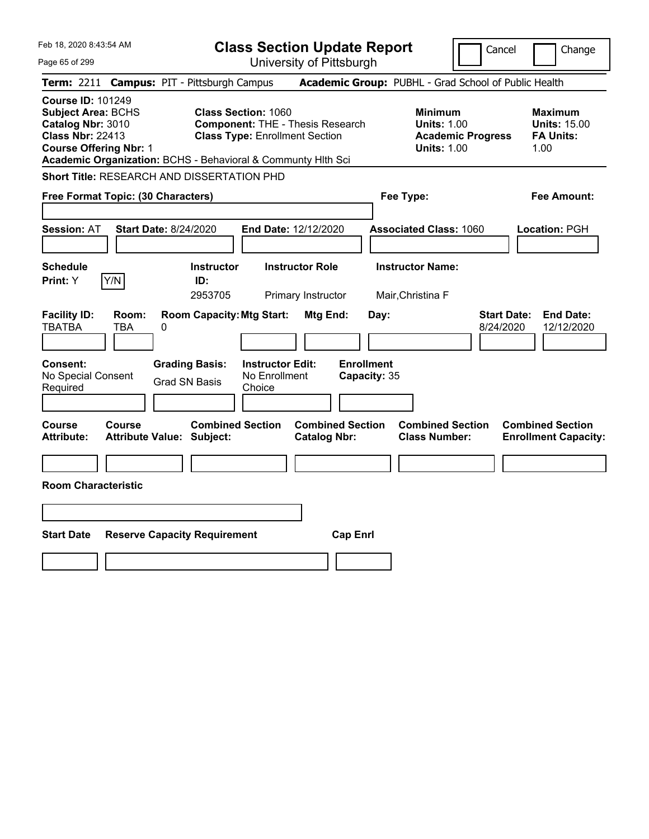| Feb 18, 2020 8:43:54 AM<br>Page 65 of 299                                                                                                                                                              | <b>Class Section Update Report</b><br>University of Pittsburgh                                                 | Cancel                                                                                 | Change                                                            |
|--------------------------------------------------------------------------------------------------------------------------------------------------------------------------------------------------------|----------------------------------------------------------------------------------------------------------------|----------------------------------------------------------------------------------------|-------------------------------------------------------------------|
| Term: 2211 Campus: PIT - Pittsburgh Campus                                                                                                                                                             |                                                                                                                | Academic Group: PUBHL - Grad School of Public Health                                   |                                                                   |
| <b>Course ID: 101249</b><br><b>Subject Area: BCHS</b><br>Catalog Nbr: 3010<br><b>Class Nbr: 22413</b><br><b>Course Offering Nbr: 1</b><br>Academic Organization: BCHS - Behavioral & Communty Hlth Sci | <b>Class Section: 1060</b><br><b>Component: THE - Thesis Research</b><br><b>Class Type: Enrollment Section</b> | <b>Minimum</b><br><b>Units: 1.00</b><br><b>Academic Progress</b><br><b>Units: 1.00</b> | <b>Maximum</b><br><b>Units: 15.00</b><br><b>FA Units:</b><br>1.00 |
| <b>Short Title: RESEARCH AND DISSERTATION PHD</b>                                                                                                                                                      |                                                                                                                |                                                                                        |                                                                   |
| Free Format Topic: (30 Characters)                                                                                                                                                                     |                                                                                                                | Fee Type:                                                                              | <b>Fee Amount:</b>                                                |
| <b>Session: AT</b><br><b>Start Date: 8/24/2020</b>                                                                                                                                                     | End Date: 12/12/2020                                                                                           | <b>Associated Class: 1060</b>                                                          | Location: PGH                                                     |
| <b>Schedule</b><br>Y/N<br><b>Print: Y</b><br>ID:                                                                                                                                                       | <b>Instructor Role</b><br><b>Instructor</b><br>2953705<br>Primary Instructor                                   | <b>Instructor Name:</b><br>Mair, Christina F                                           |                                                                   |
| <b>Facility ID:</b><br>Room:<br><b>TBATBA</b><br><b>TBA</b><br>0                                                                                                                                       | <b>Room Capacity: Mtg Start:</b><br>Mtg End:<br>Day:                                                           | <b>Start Date:</b><br>8/24/2020                                                        | <b>End Date:</b><br>12/12/2020                                    |
| <b>Grading Basis:</b><br><b>Consent:</b><br>No Special Consent<br><b>Grad SN Basis</b><br>Required                                                                                                     | <b>Enrollment</b><br><b>Instructor Edit:</b><br>No Enrollment<br>Capacity: 35<br>Choice                        |                                                                                        |                                                                   |
| Course<br>Course<br><b>Attribute:</b><br><b>Attribute Value: Subject:</b>                                                                                                                              | <b>Combined Section</b><br><b>Combined Section</b><br><b>Catalog Nbr:</b>                                      | <b>Combined Section</b><br><b>Class Number:</b>                                        | <b>Combined Section</b><br><b>Enrollment Capacity:</b>            |
| <b>Room Characteristic</b>                                                                                                                                                                             |                                                                                                                |                                                                                        |                                                                   |
|                                                                                                                                                                                                        |                                                                                                                |                                                                                        |                                                                   |
| <b>Start Date</b><br><b>Reserve Capacity Requirement</b>                                                                                                                                               | <b>Cap Enrl</b>                                                                                                |                                                                                        |                                                                   |
|                                                                                                                                                                                                        |                                                                                                                |                                                                                        |                                                                   |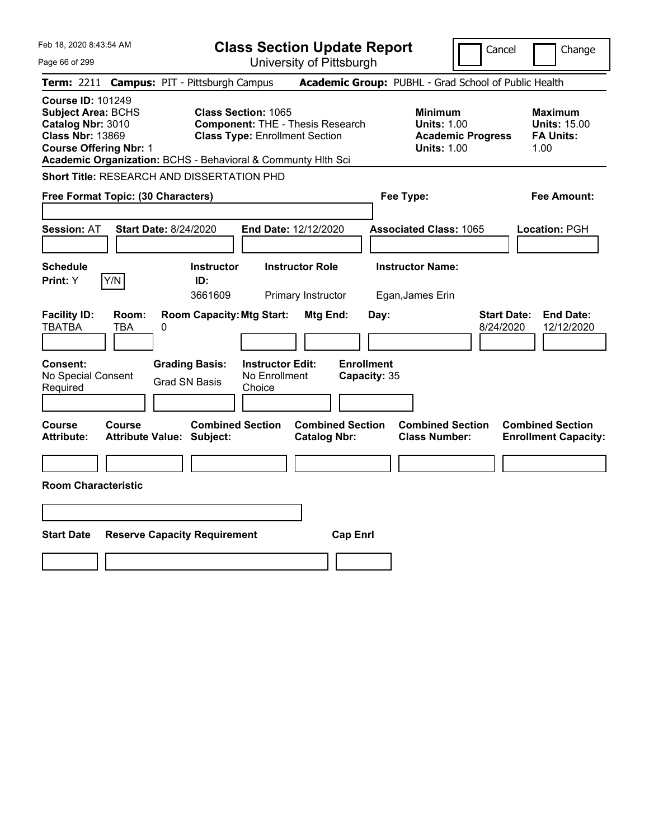| Feb 18, 2020 8:43:54 AM<br>Page 66 of 299                                                                                                                                                              |                                                                                                                | <b>Class Section Update Report</b><br>University of Pittsburgh | Cancel                                                                                 | Change                                                            |
|--------------------------------------------------------------------------------------------------------------------------------------------------------------------------------------------------------|----------------------------------------------------------------------------------------------------------------|----------------------------------------------------------------|----------------------------------------------------------------------------------------|-------------------------------------------------------------------|
| Term: 2211 Campus: PIT - Pittsburgh Campus                                                                                                                                                             |                                                                                                                |                                                                | Academic Group: PUBHL - Grad School of Public Health                                   |                                                                   |
| <b>Course ID: 101249</b><br><b>Subject Area: BCHS</b><br>Catalog Nbr: 3010<br><b>Class Nbr: 13869</b><br><b>Course Offering Nbr: 1</b><br>Academic Organization: BCHS - Behavioral & Communty Hith Sci | <b>Class Section: 1065</b><br><b>Component: THE - Thesis Research</b><br><b>Class Type: Enrollment Section</b> |                                                                | <b>Minimum</b><br><b>Units: 1.00</b><br><b>Academic Progress</b><br><b>Units: 1.00</b> | <b>Maximum</b><br><b>Units: 15.00</b><br><b>FA Units:</b><br>1.00 |
| <b>Short Title: RESEARCH AND DISSERTATION PHD</b>                                                                                                                                                      |                                                                                                                |                                                                |                                                                                        |                                                                   |
| Free Format Topic: (30 Characters)                                                                                                                                                                     |                                                                                                                |                                                                | Fee Type:                                                                              | Fee Amount:                                                       |
| <b>Session: AT</b><br><b>Start Date: 8/24/2020</b>                                                                                                                                                     |                                                                                                                | End Date: 12/12/2020                                           | <b>Associated Class: 1065</b>                                                          | Location: PGH                                                     |
| <b>Schedule</b><br>Y/N<br>Print: Y                                                                                                                                                                     | <b>Instructor</b><br>ID:<br>3661609                                                                            | <b>Instructor Role</b><br>Primary Instructor                   | <b>Instructor Name:</b><br>Egan, James Erin                                            |                                                                   |
| <b>Facility ID:</b><br>Room:<br><b>TBATBA</b><br>TBA<br>0                                                                                                                                              | <b>Room Capacity: Mtg Start:</b>                                                                               | Mtg End:<br>Day:                                               | <b>Start Date:</b><br>8/24/2020                                                        | <b>End Date:</b><br>12/12/2020                                    |
| <b>Consent:</b><br>No Special Consent<br>Required                                                                                                                                                      | <b>Grading Basis:</b><br><b>Instructor Edit:</b><br>No Enrollment<br><b>Grad SN Basis</b><br>Choice            | <b>Enrollment</b><br>Capacity: 35                              |                                                                                        |                                                                   |
| Course<br><b>Course</b><br><b>Attribute:</b><br><b>Attribute Value: Subject:</b>                                                                                                                       | <b>Combined Section</b>                                                                                        | <b>Combined Section</b><br><b>Catalog Nbr:</b>                 | <b>Combined Section</b><br><b>Class Number:</b>                                        | <b>Combined Section</b><br><b>Enrollment Capacity:</b>            |
| <b>Room Characteristic</b>                                                                                                                                                                             |                                                                                                                |                                                                |                                                                                        |                                                                   |
|                                                                                                                                                                                                        |                                                                                                                |                                                                |                                                                                        |                                                                   |
| <b>Start Date</b><br><b>Reserve Capacity Requirement</b>                                                                                                                                               |                                                                                                                | <b>Cap Enrl</b>                                                |                                                                                        |                                                                   |
|                                                                                                                                                                                                        |                                                                                                                |                                                                |                                                                                        |                                                                   |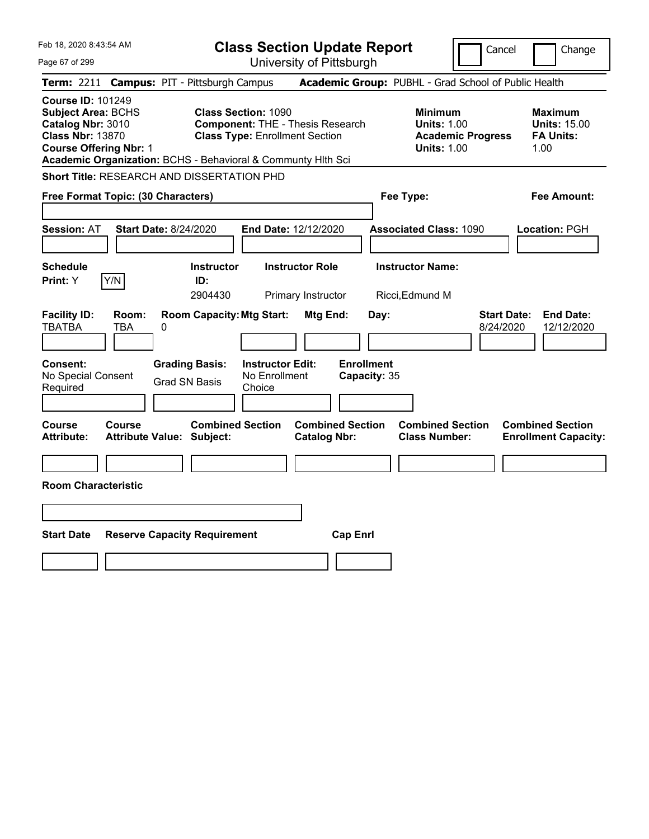| Feb 18, 2020 8:43:54 AM<br>Page 67 of 299                                                                                                                                                              |                                               |                                                    | <b>Class Section Update Report</b><br>University of Pittsburgh |                                   |                                                                                        | Cancel                          | Change                                                            |
|--------------------------------------------------------------------------------------------------------------------------------------------------------------------------------------------------------|-----------------------------------------------|----------------------------------------------------|----------------------------------------------------------------|-----------------------------------|----------------------------------------------------------------------------------------|---------------------------------|-------------------------------------------------------------------|
| Term: 2211 Campus: PIT - Pittsburgh Campus                                                                                                                                                             |                                               |                                                    |                                                                |                                   | Academic Group: PUBHL - Grad School of Public Health                                   |                                 |                                                                   |
| <b>Course ID: 101249</b><br><b>Subject Area: BCHS</b><br>Catalog Nbr: 3010<br><b>Class Nbr: 13870</b><br><b>Course Offering Nbr: 1</b><br>Academic Organization: BCHS - Behavioral & Communty Hlth Sci | <b>Class Section: 1090</b>                    | <b>Class Type: Enrollment Section</b>              | <b>Component: THE - Thesis Research</b>                        |                                   | <b>Minimum</b><br><b>Units: 1.00</b><br><b>Academic Progress</b><br><b>Units: 1.00</b> |                                 | <b>Maximum</b><br><b>Units: 15.00</b><br><b>FA Units:</b><br>1.00 |
| <b>Short Title: RESEARCH AND DISSERTATION PHD</b>                                                                                                                                                      |                                               |                                                    |                                                                |                                   |                                                                                        |                                 |                                                                   |
| Free Format Topic: (30 Characters)                                                                                                                                                                     |                                               |                                                    |                                                                |                                   | Fee Type:                                                                              |                                 | <b>Fee Amount:</b>                                                |
| <b>Session: AT</b><br><b>Start Date: 8/24/2020</b>                                                                                                                                                     |                                               | End Date: 12/12/2020                               |                                                                |                                   | <b>Associated Class: 1090</b>                                                          |                                 | <b>Location: PGH</b>                                              |
| <b>Schedule</b><br>Y/N<br>Print: Y                                                                                                                                                                     | <b>Instructor</b><br>ID:<br>2904430           |                                                    | <b>Instructor Role</b><br>Primary Instructor                   |                                   | <b>Instructor Name:</b><br>Ricci, Edmund M                                             |                                 |                                                                   |
| <b>Facility ID:</b><br>Room:<br><b>TBATBA</b><br>TBA<br>0                                                                                                                                              | <b>Room Capacity: Mtg Start:</b>              |                                                    | Mtg End:                                                       | Day:                              |                                                                                        | <b>Start Date:</b><br>8/24/2020 | <b>End Date:</b><br>12/12/2020                                    |
| Consent:<br>No Special Consent<br>Required                                                                                                                                                             | <b>Grading Basis:</b><br><b>Grad SN Basis</b> | <b>Instructor Edit:</b><br>No Enrollment<br>Choice |                                                                | <b>Enrollment</b><br>Capacity: 35 |                                                                                        |                                 |                                                                   |
| <b>Course</b><br>Course<br><b>Attribute:</b><br><b>Attribute Value: Subject:</b>                                                                                                                       | <b>Combined Section</b>                       |                                                    | <b>Combined Section</b><br><b>Catalog Nbr:</b>                 |                                   | <b>Combined Section</b><br><b>Class Number:</b>                                        |                                 | <b>Combined Section</b><br><b>Enrollment Capacity:</b>            |
| <b>Room Characteristic</b>                                                                                                                                                                             |                                               |                                                    |                                                                |                                   |                                                                                        |                                 |                                                                   |
|                                                                                                                                                                                                        |                                               |                                                    |                                                                |                                   |                                                                                        |                                 |                                                                   |
| <b>Start Date</b>                                                                                                                                                                                      | <b>Reserve Capacity Requirement</b>           |                                                    | <b>Cap Enrl</b>                                                |                                   |                                                                                        |                                 |                                                                   |
|                                                                                                                                                                                                        |                                               |                                                    |                                                                |                                   |                                                                                        |                                 |                                                                   |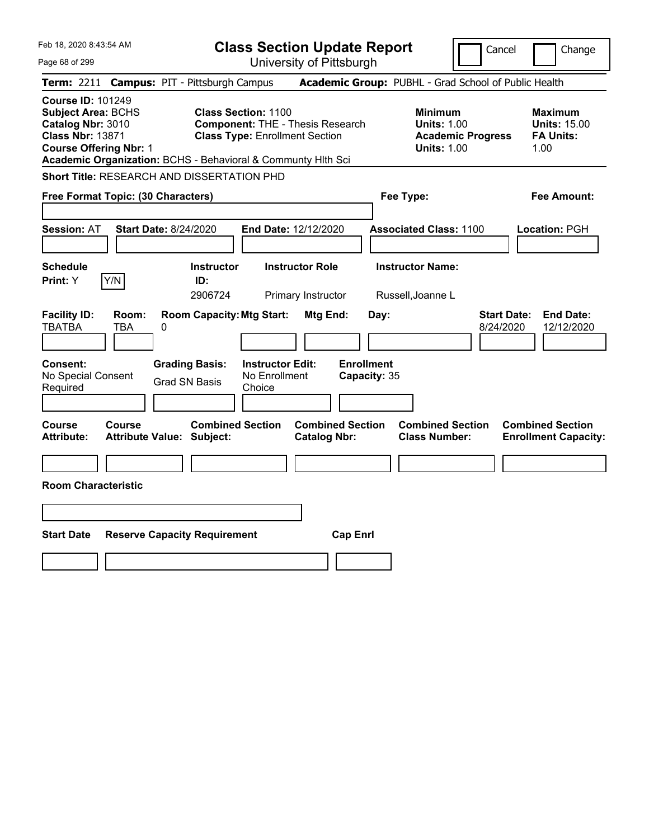| Feb 18, 2020 8:43:54 AM                                                                                                                |                                                                |                                                              |                                                                                                                |                                                | <b>Class Section Update Report</b> |                                                            | Cancel                          | Change                                                            |
|----------------------------------------------------------------------------------------------------------------------------------------|----------------------------------------------------------------|--------------------------------------------------------------|----------------------------------------------------------------------------------------------------------------|------------------------------------------------|------------------------------------|------------------------------------------------------------|---------------------------------|-------------------------------------------------------------------|
| Page 68 of 299                                                                                                                         |                                                                |                                                              |                                                                                                                | University of Pittsburgh                       |                                    |                                                            |                                 |                                                                   |
| <b>Term:</b> 2211                                                                                                                      |                                                                | <b>Campus: PIT - Pittsburgh Campus</b>                       |                                                                                                                |                                                |                                    | Academic Group: PUBHL - Grad School of Public Health       |                                 |                                                                   |
| <b>Course ID: 101249</b><br><b>Subject Area: BCHS</b><br>Catalog Nbr: 3010<br><b>Class Nbr: 13871</b><br><b>Course Offering Nbr: 1</b> |                                                                | Academic Organization: BCHS - Behavioral & Communty Hlth Sci | <b>Class Section: 1100</b><br><b>Component: THE - Thesis Research</b><br><b>Class Type: Enrollment Section</b> |                                                |                                    | <b>Minimum</b><br><b>Units: 1.00</b><br><b>Units: 1.00</b> | <b>Academic Progress</b>        | <b>Maximum</b><br><b>Units: 15.00</b><br><b>FA Units:</b><br>1.00 |
|                                                                                                                                        | <b>Short Title: RESEARCH AND DISSERTATION PHD</b>              |                                                              |                                                                                                                |                                                |                                    |                                                            |                                 |                                                                   |
|                                                                                                                                        | Fee Type:<br>Fee Amount:<br>Free Format Topic: (30 Characters) |                                                              |                                                                                                                |                                                |                                    |                                                            |                                 |                                                                   |
| <b>Session: AT</b>                                                                                                                     | <b>Start Date: 8/24/2020</b>                                   |                                                              | End Date: 12/12/2020                                                                                           |                                                |                                    | <b>Associated Class: 1100</b>                              |                                 | Location: PGH                                                     |
| <b>Schedule</b><br><b>Print: Y</b>                                                                                                     | Y/N                                                            | <b>Instructor</b><br>ID:<br>2906724                          |                                                                                                                | <b>Instructor Role</b><br>Primary Instructor   |                                    | <b>Instructor Name:</b><br>Russell, Joanne L               |                                 |                                                                   |
| <b>Facility ID:</b><br><b>TBATBA</b>                                                                                                   | Room:<br>TBA<br>0                                              | <b>Room Capacity: Mtg Start:</b>                             |                                                                                                                | Mtg End:                                       | Day:                               |                                                            | <b>Start Date:</b><br>8/24/2020 | <b>End Date:</b><br>12/12/2020                                    |
| Consent:<br>No Special Consent<br>Required                                                                                             |                                                                | <b>Grading Basis:</b><br><b>Grad SN Basis</b>                | <b>Instructor Edit:</b><br>No Enrollment<br>Choice                                                             |                                                | <b>Enrollment</b><br>Capacity: 35  |                                                            |                                 |                                                                   |
| Course<br><b>Attribute:</b>                                                                                                            | Course                                                         | <b>Combined Section</b><br><b>Attribute Value: Subject:</b>  |                                                                                                                | <b>Combined Section</b><br><b>Catalog Nbr:</b> |                                    | <b>Combined Section</b><br><b>Class Number:</b>            |                                 | <b>Combined Section</b><br><b>Enrollment Capacity:</b>            |
|                                                                                                                                        |                                                                |                                                              |                                                                                                                |                                                |                                    |                                                            |                                 |                                                                   |
| <b>Room Characteristic</b>                                                                                                             |                                                                |                                                              |                                                                                                                |                                                |                                    |                                                            |                                 |                                                                   |
|                                                                                                                                        |                                                                |                                                              |                                                                                                                |                                                |                                    |                                                            |                                 |                                                                   |
| <b>Start Date</b><br><b>Reserve Capacity Requirement</b><br><b>Cap Enrl</b>                                                            |                                                                |                                                              |                                                                                                                |                                                |                                    |                                                            |                                 |                                                                   |
|                                                                                                                                        |                                                                |                                                              |                                                                                                                |                                                |                                    |                                                            |                                 |                                                                   |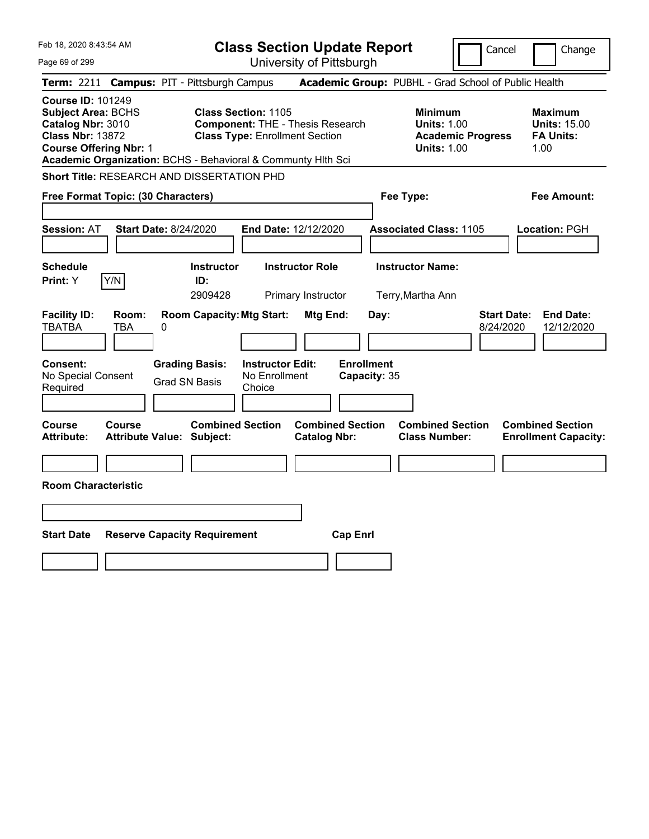| Feb 18, 2020 8:43:54 AM                                                                                                                                                                                |              |                                               | <b>Class Section Update Report</b>                                  |                                                |                                   |                                                            | Cancel                          | Change                                                            |  |
|--------------------------------------------------------------------------------------------------------------------------------------------------------------------------------------------------------|--------------|-----------------------------------------------|---------------------------------------------------------------------|------------------------------------------------|-----------------------------------|------------------------------------------------------------|---------------------------------|-------------------------------------------------------------------|--|
| Page 69 of 299                                                                                                                                                                                         |              |                                               |                                                                     | University of Pittsburgh                       |                                   |                                                            |                                 |                                                                   |  |
| <b>Term: 2211</b>                                                                                                                                                                                      |              | <b>Campus: PIT - Pittsburgh Campus</b>        |                                                                     |                                                |                                   | Academic Group: PUBHL - Grad School of Public Health       |                                 |                                                                   |  |
| <b>Course ID: 101249</b><br><b>Subject Area: BCHS</b><br>Catalog Nbr: 3010<br><b>Class Nbr: 13872</b><br><b>Course Offering Nbr: 1</b><br>Academic Organization: BCHS - Behavioral & Communty Hith Sci |              |                                               | <b>Class Section: 1105</b><br><b>Class Type: Enrollment Section</b> | <b>Component: THE - Thesis Research</b>        |                                   | <b>Minimum</b><br><b>Units: 1.00</b><br><b>Units: 1.00</b> | <b>Academic Progress</b>        | <b>Maximum</b><br><b>Units: 15.00</b><br><b>FA Units:</b><br>1.00 |  |
| <b>Short Title: RESEARCH AND DISSERTATION PHD</b>                                                                                                                                                      |              |                                               |                                                                     |                                                |                                   |                                                            |                                 |                                                                   |  |
| Free Format Topic: (30 Characters)                                                                                                                                                                     |              |                                               |                                                                     |                                                |                                   | Fee Type:                                                  |                                 | Fee Amount:                                                       |  |
| <b>Session: AT</b>                                                                                                                                                                                     |              | <b>Start Date: 8/24/2020</b>                  |                                                                     | End Date: 12/12/2020                           |                                   | <b>Associated Class: 1105</b>                              |                                 | Location: PGH                                                     |  |
| <b>Schedule</b><br>Print: Y                                                                                                                                                                            | Y/N          | <b>Instructor</b><br>ID:<br>2909428           |                                                                     | <b>Instructor Role</b><br>Primary Instructor   |                                   | <b>Instructor Name:</b><br>Terry, Martha Ann               |                                 |                                                                   |  |
| <b>Facility ID:</b><br><b>TBATBA</b>                                                                                                                                                                   | Room:<br>TBA | <b>Room Capacity: Mtg Start:</b><br>0         |                                                                     | Mtg End:                                       | Day:                              |                                                            | <b>Start Date:</b><br>8/24/2020 | <b>End Date:</b><br>12/12/2020                                    |  |
| Consent:<br>No Special Consent<br>Required                                                                                                                                                             |              | <b>Grading Basis:</b><br><b>Grad SN Basis</b> | <b>Instructor Edit:</b><br>No Enrollment<br>Choice                  |                                                | <b>Enrollment</b><br>Capacity: 35 |                                                            |                                 |                                                                   |  |
| Course<br><b>Attribute:</b>                                                                                                                                                                            | Course       | <b>Attribute Value: Subject:</b>              | <b>Combined Section</b>                                             | <b>Combined Section</b><br><b>Catalog Nbr:</b> |                                   | <b>Combined Section</b><br><b>Class Number:</b>            |                                 | <b>Combined Section</b><br><b>Enrollment Capacity:</b>            |  |
|                                                                                                                                                                                                        |              |                                               |                                                                     |                                                |                                   |                                                            |                                 |                                                                   |  |
| <b>Room Characteristic</b>                                                                                                                                                                             |              |                                               |                                                                     |                                                |                                   |                                                            |                                 |                                                                   |  |
|                                                                                                                                                                                                        |              |                                               |                                                                     |                                                |                                   |                                                            |                                 |                                                                   |  |
| <b>Start Date</b><br><b>Reserve Capacity Requirement</b><br><b>Cap Enrl</b>                                                                                                                            |              |                                               |                                                                     |                                                |                                   |                                                            |                                 |                                                                   |  |
|                                                                                                                                                                                                        |              |                                               |                                                                     |                                                |                                   |                                                            |                                 |                                                                   |  |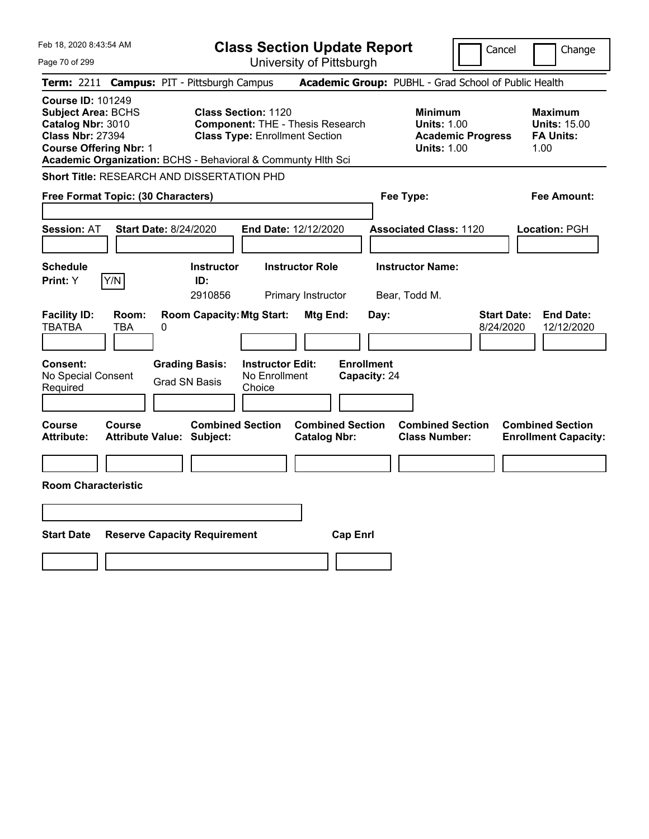| Feb 18, 2020 8:43:54 AM                                                                                                                |                                                              | <b>Class Section Update Report</b>                                                                             |                                                |                                                                                        | Cancel<br>Change                                                  |  |
|----------------------------------------------------------------------------------------------------------------------------------------|--------------------------------------------------------------|----------------------------------------------------------------------------------------------------------------|------------------------------------------------|----------------------------------------------------------------------------------------|-------------------------------------------------------------------|--|
| Page 70 of 299                                                                                                                         |                                                              | University of Pittsburgh                                                                                       |                                                |                                                                                        |                                                                   |  |
| <b>Term: 2211</b>                                                                                                                      | <b>Campus: PIT - Pittsburgh Campus</b>                       |                                                                                                                |                                                | Academic Group: PUBHL - Grad School of Public Health                                   |                                                                   |  |
| <b>Course ID: 101249</b><br><b>Subject Area: BCHS</b><br>Catalog Nbr: 3010<br><b>Class Nbr: 27394</b><br><b>Course Offering Nbr: 1</b> | Academic Organization: BCHS - Behavioral & Communty Hith Sci | <b>Class Section: 1120</b><br><b>Component: THE - Thesis Research</b><br><b>Class Type: Enrollment Section</b> |                                                | <b>Minimum</b><br><b>Units: 1.00</b><br><b>Academic Progress</b><br><b>Units: 1.00</b> | <b>Maximum</b><br><b>Units: 15.00</b><br><b>FA Units:</b><br>1.00 |  |
|                                                                                                                                        | Short Title: RESEARCH AND DISSERTATION PHD                   |                                                                                                                |                                                |                                                                                        |                                                                   |  |
| Free Format Topic: (30 Characters)                                                                                                     |                                                              |                                                                                                                |                                                | Fee Type:                                                                              | Fee Amount:                                                       |  |
| <b>Session: AT</b>                                                                                                                     | <b>Start Date: 8/24/2020</b>                                 | End Date: 12/12/2020                                                                                           |                                                | <b>Associated Class: 1120</b>                                                          | Location: PGH                                                     |  |
| <b>Schedule</b><br>Y/N<br>Print: Y                                                                                                     | <b>Instructor</b><br>ID:<br>2910856                          | <b>Instructor Role</b><br>Primary Instructor                                                                   |                                                | <b>Instructor Name:</b><br>Bear, Todd M.                                               |                                                                   |  |
| <b>Facility ID:</b><br><b>TBATBA</b><br>TBA                                                                                            | <b>Room Capacity: Mtg Start:</b><br>Room:<br>0               |                                                                                                                | Mtg End:<br>Day:                               |                                                                                        | <b>Start Date:</b><br><b>End Date:</b><br>8/24/2020<br>12/12/2020 |  |
| <b>Consent:</b><br>No Special Consent<br>Required                                                                                      | <b>Grading Basis:</b><br><b>Grad SN Basis</b>                | <b>Instructor Edit:</b><br>No Enrollment<br>Choice                                                             | <b>Enrollment</b><br>Capacity: 24              |                                                                                        |                                                                   |  |
| Course<br>Course<br>Attribute:                                                                                                         | <b>Combined Section</b><br><b>Attribute Value: Subject:</b>  |                                                                                                                | <b>Combined Section</b><br><b>Catalog Nbr:</b> | <b>Combined Section</b><br><b>Class Number:</b>                                        | <b>Combined Section</b><br><b>Enrollment Capacity:</b>            |  |
|                                                                                                                                        |                                                              |                                                                                                                |                                                |                                                                                        |                                                                   |  |
| <b>Room Characteristic</b>                                                                                                             |                                                              |                                                                                                                |                                                |                                                                                        |                                                                   |  |
|                                                                                                                                        |                                                              |                                                                                                                |                                                |                                                                                        |                                                                   |  |
| <b>Start Date</b><br><b>Reserve Capacity Requirement</b><br><b>Cap Enrl</b>                                                            |                                                              |                                                                                                                |                                                |                                                                                        |                                                                   |  |
|                                                                                                                                        |                                                              |                                                                                                                |                                                |                                                                                        |                                                                   |  |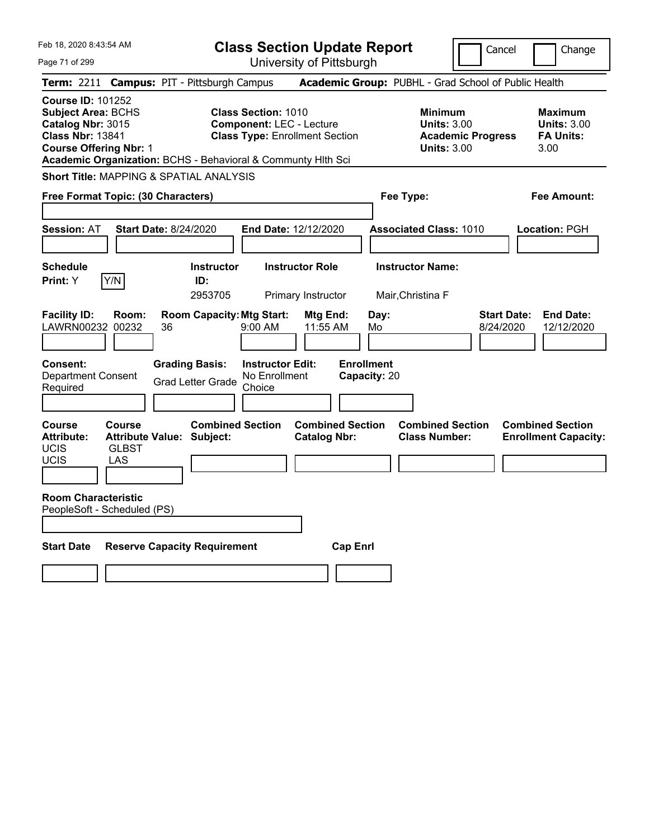| Feb 18, 2020 8:43:54 AM<br>Page 71 of 299                                                                                                                                                              | <b>Class Section Update Report</b><br>University of Pittsburgh                                         |                                                                                        | Change<br>Cancel                                                  |  |  |  |  |
|--------------------------------------------------------------------------------------------------------------------------------------------------------------------------------------------------------|--------------------------------------------------------------------------------------------------------|----------------------------------------------------------------------------------------|-------------------------------------------------------------------|--|--|--|--|
| Term: 2211 Campus: PIT - Pittsburgh Campus                                                                                                                                                             |                                                                                                        | Academic Group: PUBHL - Grad School of Public Health                                   |                                                                   |  |  |  |  |
| <b>Course ID: 101252</b><br><b>Subject Area: BCHS</b><br>Catalog Nbr: 3015<br><b>Class Nbr: 13841</b><br><b>Course Offering Nbr: 1</b><br>Academic Organization: BCHS - Behavioral & Communty Hlth Sci | <b>Class Section: 1010</b><br><b>Component: LEC - Lecture</b><br><b>Class Type: Enrollment Section</b> | <b>Minimum</b><br><b>Units: 3.00</b><br><b>Academic Progress</b><br><b>Units: 3.00</b> | <b>Maximum</b><br><b>Units: 3.00</b><br><b>FA Units:</b><br>3.00  |  |  |  |  |
| <b>Short Title: MAPPING &amp; SPATIAL ANALYSIS</b>                                                                                                                                                     |                                                                                                        |                                                                                        |                                                                   |  |  |  |  |
| Free Format Topic: (30 Characters)                                                                                                                                                                     |                                                                                                        | Fee Type:                                                                              | <b>Fee Amount:</b>                                                |  |  |  |  |
| <b>Start Date: 8/24/2020</b><br><b>Session: AT</b>                                                                                                                                                     | End Date: 12/12/2020                                                                                   | <b>Associated Class: 1010</b>                                                          | Location: PGH                                                     |  |  |  |  |
| <b>Schedule</b><br>Y/N<br>Print: Y<br>ID:                                                                                                                                                              | <b>Instructor Role</b><br><b>Instructor</b><br>2953705<br><b>Primary Instructor</b>                    | <b>Instructor Name:</b><br>Mair, Christina F                                           |                                                                   |  |  |  |  |
| <b>Facility ID:</b><br>Room:<br>LAWRN00232<br>00232<br>36                                                                                                                                              | <b>Room Capacity: Mtg Start:</b><br><b>Mtg End:</b><br>11:55 AM<br>$9:00$ AM                           | Day:<br>Mo<br><b>Enrollment</b>                                                        | <b>Start Date:</b><br><b>End Date:</b><br>8/24/2020<br>12/12/2020 |  |  |  |  |
| <b>Consent:</b><br><b>Grading Basis:</b><br>Department Consent<br><b>Grad Letter Grade</b><br>Required                                                                                                 | <b>Instructor Edit:</b><br>No Enrollment<br>Choice                                                     | Capacity: 20                                                                           |                                                                   |  |  |  |  |
| <b>Course</b><br><b>Course</b><br><b>Attribute:</b><br><b>Attribute Value: Subject:</b><br><b>UCIS</b><br><b>GLBST</b><br><b>UCIS</b><br>LAS                                                           | <b>Combined Section</b><br><b>Combined Section</b><br><b>Catalog Nbr:</b>                              | <b>Combined Section</b><br><b>Class Number:</b>                                        | <b>Combined Section</b><br><b>Enrollment Capacity:</b>            |  |  |  |  |
| <b>Room Characteristic</b><br>PeopleSoft - Scheduled (PS)                                                                                                                                              |                                                                                                        |                                                                                        |                                                                   |  |  |  |  |
| <b>Reserve Capacity Requirement</b><br><b>Start Date</b>                                                                                                                                               | <b>Cap Enrl</b>                                                                                        |                                                                                        |                                                                   |  |  |  |  |
|                                                                                                                                                                                                        |                                                                                                        |                                                                                        |                                                                   |  |  |  |  |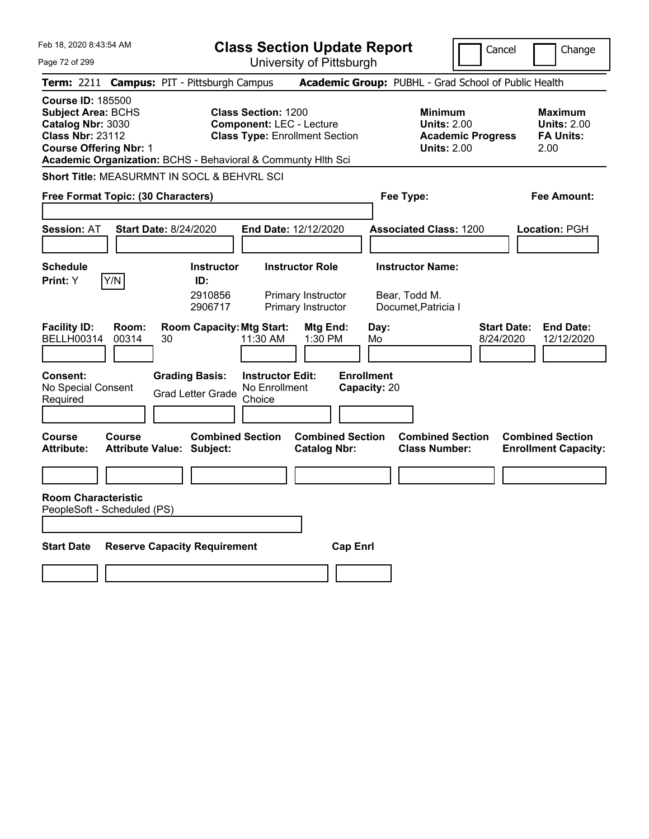Feb 18, 2020 8:43:54 AM Page 72 of 299 **Class Section Update Report** University of Pittsburgh Cancel Change **Term:** 2211 **Campus:** PIT - Pittsburgh Campus **Academic Group:** PUBHL - Grad School of Public Health **Course ID:** 185500 **Subject Area:** BCHS **Class Section:** 1200 **Minimum Maximum Catalog Nbr:** 3030 **Component:** LEC - Lecture **Units:** 2.00 **Units:** 2.00 **Class Nbr:** 23112 **Class Type:** Enrollment Section **Academic Progress FA Units: Course Offering Nbr:** 1 **Units:** 2.00 2.00 **Academic Organization:** BCHS - Behavioral & Communty Hlth Sci **Short Title:** MEASURMNT IN SOCL & BEHVRL SCI **Free Format Topic: (30 Characters) Fee Type: Fee Amount: Session:** AT **Start Date:** 8/24/2020 **End Date:** 12/12/2020 **Associated Class:** 1200 **Location:** PGH **Schedule Instructor Instructor Role Instructor Name: Print:**  $Y$   $|Y/N|$  **ID:** 2910856 Primary Instructor Bear, Todd M. 2906717 Primary Instructor Documet,Patricia I **Facility ID: Room: Room Capacity:Mtg Start: Mtg End: Day: Start Date: End Date:** BELLH00314 00314 30 11:30 AM 1:30 PM Mo 8/24/2020 12/12/2020 **Consent: Grading Basis: Instructor Edit: Enrollment** No Special Consent No Special Consent Grad Letter Grade No Enrollment<br>Required Choice Choice **Capacity:** 20 **Course Course Combined Section Combined Section Combined Section Combined Section**  Attribute: Attribute Value: Subject: Catalog Nbr: Class Number: Enrollment Capacity: **Room Characteristic** PeopleSoft - Scheduled (PS) **Start Date Reserve Capacity Requirement Cap Enrl**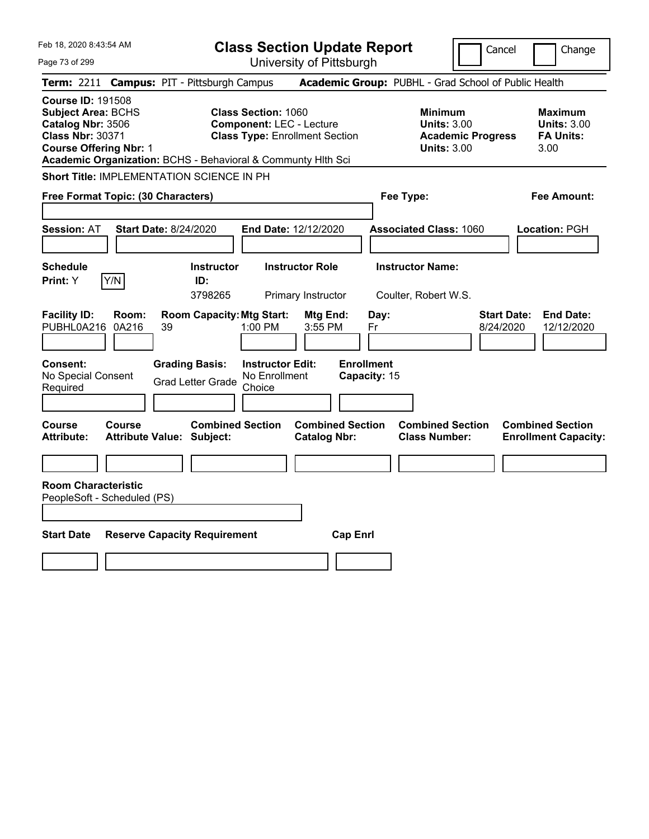| Feb 18, 2020 8:43:54 AM                                                                                                                                                                                | <b>Class Section Update Report</b>                                                                     | Cancel                                                                                 | Change                                                           |
|--------------------------------------------------------------------------------------------------------------------------------------------------------------------------------------------------------|--------------------------------------------------------------------------------------------------------|----------------------------------------------------------------------------------------|------------------------------------------------------------------|
| Page 73 of 299                                                                                                                                                                                         | University of Pittsburgh                                                                               |                                                                                        |                                                                  |
| <b>Campus: PIT - Pittsburgh Campus</b><br><b>Term: 2211</b>                                                                                                                                            |                                                                                                        | Academic Group: PUBHL - Grad School of Public Health                                   |                                                                  |
| <b>Course ID: 191508</b><br><b>Subject Area: BCHS</b><br>Catalog Nbr: 3506<br><b>Class Nbr: 30371</b><br><b>Course Offering Nbr: 1</b><br>Academic Organization: BCHS - Behavioral & Communty Hlth Sci | <b>Class Section: 1060</b><br><b>Component: LEC - Lecture</b><br><b>Class Type: Enrollment Section</b> | <b>Minimum</b><br><b>Units: 3.00</b><br><b>Academic Progress</b><br><b>Units: 3.00</b> | <b>Maximum</b><br><b>Units: 3.00</b><br><b>FA Units:</b><br>3.00 |
| Short Title: IMPLEMENTATION SCIENCE IN PH                                                                                                                                                              |                                                                                                        |                                                                                        |                                                                  |
| Free Format Topic: (30 Characters)                                                                                                                                                                     |                                                                                                        | Fee Type:                                                                              | Fee Amount:                                                      |
| <b>Session: AT</b><br>Start Date: 8/24/2020                                                                                                                                                            | <b>End Date: 12/12/2020</b>                                                                            | <b>Associated Class: 1060</b>                                                          | Location: PGH                                                    |
| <b>Schedule</b><br>Y/N<br>Print: Y                                                                                                                                                                     | <b>Instructor Role</b><br><b>Instructor</b><br>ID:<br>3798265<br>Primary Instructor                    | <b>Instructor Name:</b><br>Coulter, Robert W.S.                                        |                                                                  |
| <b>Facility ID:</b><br>Room:<br>PUBHL0A216<br>0A216<br>39                                                                                                                                              | <b>Room Capacity: Mtg Start:</b><br>Mtg End:<br>$1:00$ PM<br>3:55 PM                                   | Day:<br>Fr<br>8/24/2020                                                                | <b>Start Date:</b><br><b>End Date:</b><br>12/12/2020             |
| <b>Consent:</b><br><b>Grading Basis:</b><br>No Special Consent<br><b>Grad Letter Grade</b><br>Required                                                                                                 | <b>Instructor Edit:</b><br>No Enrollment<br>Choice                                                     | <b>Enrollment</b><br>Capacity: 15                                                      |                                                                  |
| Course<br>Course<br><b>Attribute Value: Subject:</b><br>Attribute:                                                                                                                                     | <b>Combined Section</b><br><b>Combined Section</b><br><b>Catalog Nbr:</b>                              | <b>Combined Section</b><br><b>Class Number:</b>                                        | <b>Combined Section</b><br><b>Enrollment Capacity:</b>           |
| <b>Room Characteristic</b><br>PeopleSoft - Scheduled (PS)                                                                                                                                              |                                                                                                        |                                                                                        |                                                                  |
| <b>Start Date</b><br><b>Reserve Capacity Requirement</b>                                                                                                                                               | <b>Cap Enrl</b>                                                                                        |                                                                                        |                                                                  |
|                                                                                                                                                                                                        |                                                                                                        |                                                                                        |                                                                  |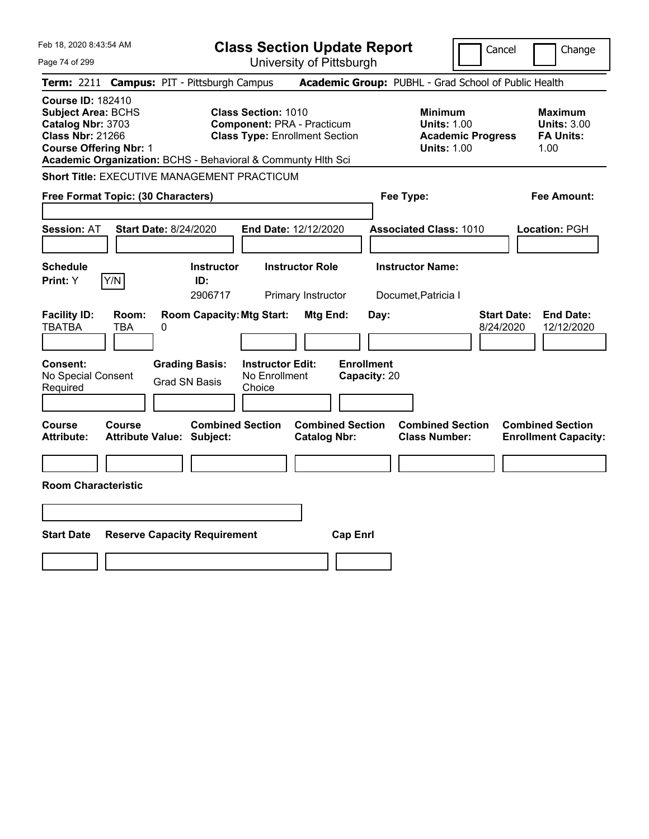| Feb 18, 2020 8:43:54 AM                                                                                                                                                                                |                                                                                                     | <b>Class Section Update Report</b>             |                                                                                        | Cancel<br>Change                                                  |
|--------------------------------------------------------------------------------------------------------------------------------------------------------------------------------------------------------|-----------------------------------------------------------------------------------------------------|------------------------------------------------|----------------------------------------------------------------------------------------|-------------------------------------------------------------------|
| Page 74 of 299                                                                                                                                                                                         |                                                                                                     | University of Pittsburgh                       |                                                                                        |                                                                   |
| <b>Term: 2211</b>                                                                                                                                                                                      | <b>Campus: PIT - Pittsburgh Campus</b>                                                              |                                                | Academic Group: PUBHL - Grad School of Public Health                                   |                                                                   |
| <b>Course ID: 182410</b><br><b>Subject Area: BCHS</b><br>Catalog Nbr: 3703<br><b>Class Nbr: 21266</b><br><b>Course Offering Nbr: 1</b><br>Academic Organization: BCHS - Behavioral & Communty Hith Sci | Class Section: 1010<br><b>Component: PRA - Practicum</b><br><b>Class Type: Enrollment Section</b>   |                                                | <b>Minimum</b><br><b>Units: 1.00</b><br><b>Academic Progress</b><br><b>Units: 1.00</b> | <b>Maximum</b><br><b>Units: 3.00</b><br><b>FA Units:</b><br>1.00  |
| <b>Short Title: EXECUTIVE MANAGEMENT PRACTICUM</b>                                                                                                                                                     |                                                                                                     |                                                |                                                                                        |                                                                   |
| Free Format Topic: (30 Characters)                                                                                                                                                                     |                                                                                                     |                                                | Fee Type:                                                                              | Fee Amount:                                                       |
| <b>Session: AT</b><br>Start Date: 8/24/2020                                                                                                                                                            | End Date: 12/12/2020                                                                                |                                                | <b>Associated Class: 1010</b>                                                          | Location: PGH                                                     |
| <b>Schedule</b><br>Y/N<br>Print: Y                                                                                                                                                                     | <b>Instructor Role</b><br><b>Instructor</b><br>ID:<br>2906717                                       | Primary Instructor                             | <b>Instructor Name:</b><br>Documet, Patricia I                                         |                                                                   |
| <b>Facility ID:</b><br>Room:<br><b>TBATBA</b><br>TBA<br>0                                                                                                                                              | <b>Room Capacity: Mtg Start:</b>                                                                    | Mtg End:<br>Day:                               |                                                                                        | <b>Start Date:</b><br><b>End Date:</b><br>8/24/2020<br>12/12/2020 |
| <b>Consent:</b><br>No Special Consent<br>Required                                                                                                                                                      | <b>Instructor Edit:</b><br><b>Grading Basis:</b><br>No Enrollment<br><b>Grad SN Basis</b><br>Choice | <b>Enrollment</b><br>Capacity: 20              |                                                                                        |                                                                   |
| Course<br>Course<br><b>Attribute:</b><br><b>Attribute Value: Subject:</b>                                                                                                                              | <b>Combined Section</b>                                                                             | <b>Combined Section</b><br><b>Catalog Nbr:</b> | <b>Combined Section</b><br><b>Class Number:</b>                                        | <b>Combined Section</b><br><b>Enrollment Capacity:</b>            |
|                                                                                                                                                                                                        |                                                                                                     |                                                |                                                                                        |                                                                   |
| <b>Room Characteristic</b>                                                                                                                                                                             |                                                                                                     |                                                |                                                                                        |                                                                   |
|                                                                                                                                                                                                        |                                                                                                     |                                                |                                                                                        |                                                                   |
| <b>Start Date</b><br><b>Reserve Capacity Requirement</b>                                                                                                                                               |                                                                                                     | <b>Cap Enrl</b>                                |                                                                                        |                                                                   |
|                                                                                                                                                                                                        |                                                                                                     |                                                |                                                                                        |                                                                   |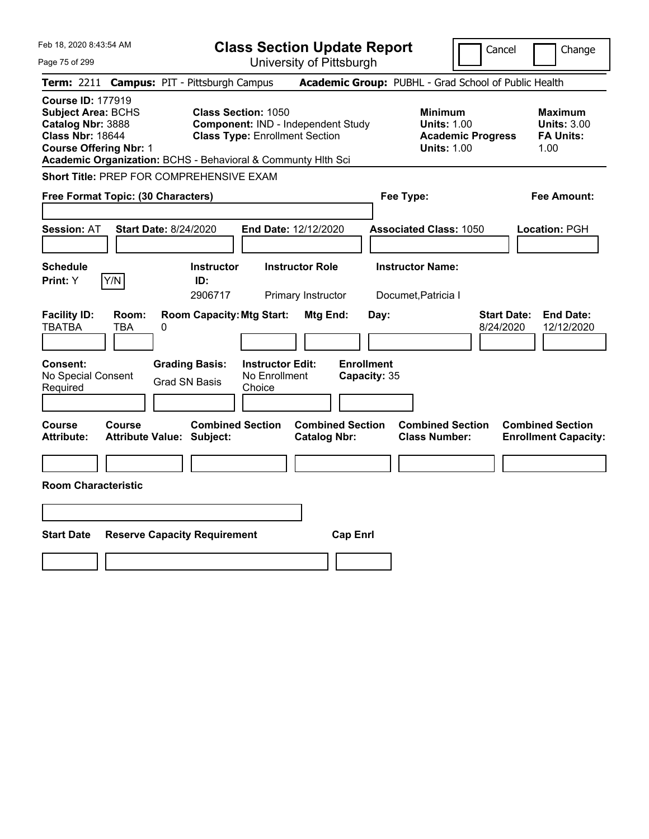| Feb 18, 2020 8:43:54 AM<br>Page 75 of 299                                                                                                                                                              | <b>Class Section Update Report</b><br>University of Pittsburgh                                            | Cancel                                                                                 | Change                                                           |
|--------------------------------------------------------------------------------------------------------------------------------------------------------------------------------------------------------|-----------------------------------------------------------------------------------------------------------|----------------------------------------------------------------------------------------|------------------------------------------------------------------|
| Term: 2211 Campus: PIT - Pittsburgh Campus                                                                                                                                                             |                                                                                                           | Academic Group: PUBHL - Grad School of Public Health                                   |                                                                  |
| <b>Course ID: 177919</b><br><b>Subject Area: BCHS</b><br>Catalog Nbr: 3888<br><b>Class Nbr: 18644</b><br><b>Course Offering Nbr: 1</b><br>Academic Organization: BCHS - Behavioral & Communty Hith Sci | <b>Class Section: 1050</b><br>Component: IND - Independent Study<br><b>Class Type: Enrollment Section</b> | <b>Minimum</b><br><b>Units: 1.00</b><br><b>Academic Progress</b><br><b>Units: 1.00</b> | <b>Maximum</b><br><b>Units: 3.00</b><br><b>FA Units:</b><br>1.00 |
| Short Title: PREP FOR COMPREHENSIVE EXAM                                                                                                                                                               |                                                                                                           |                                                                                        |                                                                  |
| Free Format Topic: (30 Characters)                                                                                                                                                                     |                                                                                                           | Fee Type:                                                                              | Fee Amount:                                                      |
| <b>Session: AT</b><br><b>Start Date: 8/24/2020</b>                                                                                                                                                     | End Date: 12/12/2020                                                                                      | <b>Associated Class: 1050</b>                                                          | <b>Location: PGH</b>                                             |
| <b>Schedule</b>                                                                                                                                                                                        | <b>Instructor</b><br><b>Instructor Role</b>                                                               | <b>Instructor Name:</b>                                                                |                                                                  |
| Y/N<br><b>Print:</b> Y                                                                                                                                                                                 | ID:<br>2906717<br>Primary Instructor                                                                      | Documet, Patricia I                                                                    |                                                                  |
| <b>Facility ID:</b><br>Room:<br><b>TBATBA</b><br>TBA<br>0                                                                                                                                              | <b>Room Capacity: Mtg Start:</b><br>Mtg End:<br>Day:                                                      | <b>Start Date:</b><br>8/24/2020                                                        | <b>End Date:</b><br>12/12/2020                                   |
| <b>Grading Basis:</b><br><b>Consent:</b><br>No Special Consent<br><b>Grad SN Basis</b><br>Required                                                                                                     | <b>Enrollment</b><br><b>Instructor Edit:</b><br>No Enrollment<br>Capacity: 35<br>Choice                   |                                                                                        |                                                                  |
| <b>Course</b><br><b>Course</b><br>Attribute Value: Subject:<br><b>Attribute:</b>                                                                                                                       | <b>Combined Section</b><br><b>Combined Section</b><br><b>Catalog Nbr:</b>                                 | <b>Combined Section</b><br><b>Class Number:</b>                                        | <b>Combined Section</b><br><b>Enrollment Capacity:</b>           |
|                                                                                                                                                                                                        |                                                                                                           |                                                                                        |                                                                  |
| <b>Room Characteristic</b>                                                                                                                                                                             |                                                                                                           |                                                                                        |                                                                  |
|                                                                                                                                                                                                        |                                                                                                           |                                                                                        |                                                                  |
| <b>Start Date</b><br><b>Reserve Capacity Requirement</b>                                                                                                                                               | <b>Cap Enrl</b>                                                                                           |                                                                                        |                                                                  |
|                                                                                                                                                                                                        |                                                                                                           |                                                                                        |                                                                  |
|                                                                                                                                                                                                        |                                                                                                           |                                                                                        |                                                                  |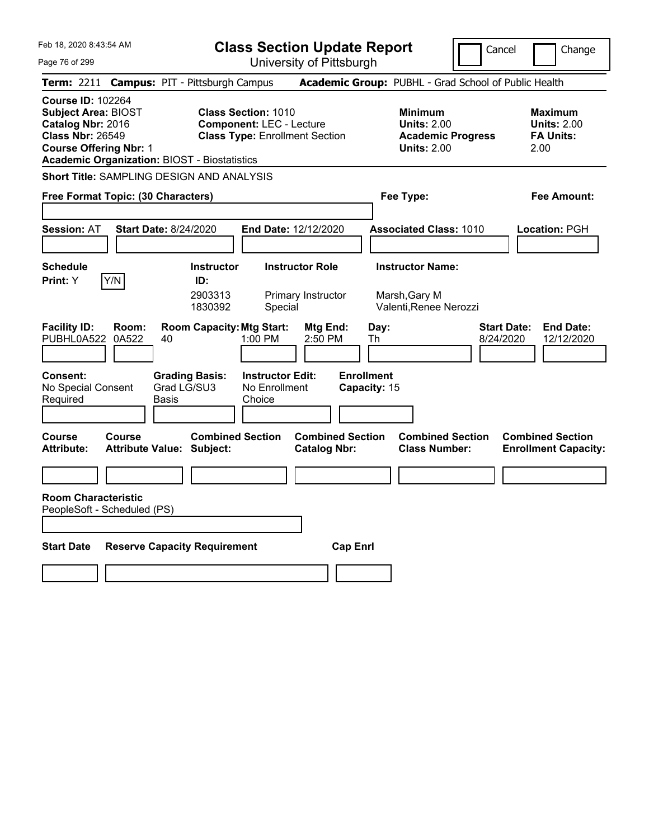**Class Section Update Report**

| Feb 18, 2020 8:43:54 AM<br>Page 76 of 299                                                                                                                                                      |                                                             | <b>Class Section Update Report</b><br>University of Pittsburgh           |                                                                                        | Cancel                          | Change                                                           |
|------------------------------------------------------------------------------------------------------------------------------------------------------------------------------------------------|-------------------------------------------------------------|--------------------------------------------------------------------------|----------------------------------------------------------------------------------------|---------------------------------|------------------------------------------------------------------|
| Term: 2211 Campus: PIT - Pittsburgh Campus                                                                                                                                                     |                                                             |                                                                          | Academic Group: PUBHL - Grad School of Public Health                                   |                                 |                                                                  |
| <b>Course ID: 102264</b><br><b>Subject Area: BIOST</b><br>Catalog Nbr: 2016<br><b>Class Nbr: 26549</b><br><b>Course Offering Nbr: 1</b><br><b>Academic Organization: BIOST - Biostatistics</b> | <b>Class Section: 1010</b>                                  | <b>Component: LEC - Lecture</b><br><b>Class Type: Enrollment Section</b> | <b>Minimum</b><br><b>Units: 2.00</b><br><b>Academic Progress</b><br><b>Units: 2.00</b> |                                 | <b>Maximum</b><br><b>Units: 2.00</b><br><b>FA Units:</b><br>2.00 |
| Short Title: SAMPLING DESIGN AND ANALYSIS                                                                                                                                                      |                                                             |                                                                          |                                                                                        |                                 |                                                                  |
| Free Format Topic: (30 Characters)                                                                                                                                                             |                                                             |                                                                          | Fee Type:                                                                              |                                 | Fee Amount:                                                      |
| <b>Session: AT</b>                                                                                                                                                                             | <b>Start Date: 8/24/2020</b>                                | End Date: 12/12/2020                                                     | <b>Associated Class: 1010</b>                                                          |                                 | <b>Location: PGH</b>                                             |
| <b>Schedule</b><br>Y/N<br><b>Print:</b> Y                                                                                                                                                      | <b>Instructor</b><br>ID:<br>2903313<br>1830392              | <b>Instructor Role</b><br>Primary Instructor<br>Special                  | <b>Instructor Name:</b><br>Marsh, Gary M<br>Valenti, Renee Nerozzi                     |                                 |                                                                  |
| <b>Facility ID:</b><br>Room:<br>PUBHL0A522<br>0A522                                                                                                                                            | <b>Room Capacity: Mtg Start:</b><br>40                      | Mtg End:<br>1:00 PM<br>2:50 PM                                           | Day:<br>Th                                                                             | <b>Start Date:</b><br>8/24/2020 | <b>End Date:</b><br>12/12/2020                                   |
| Consent:<br>No Special Consent<br>Required                                                                                                                                                     | <b>Grading Basis:</b><br>Grad LG/SU3<br>Basis               | <b>Instructor Edit:</b><br>No Enrollment<br>Choice                       | <b>Enrollment</b><br>Capacity: 15                                                      |                                 |                                                                  |
| Course<br>Course<br><b>Attribute:</b>                                                                                                                                                          | <b>Combined Section</b><br><b>Attribute Value: Subject:</b> | <b>Catalog Nbr:</b>                                                      | <b>Combined Section</b><br><b>Combined Section</b><br><b>Class Number:</b>             |                                 | <b>Combined Section</b><br><b>Enrollment Capacity:</b>           |
|                                                                                                                                                                                                |                                                             |                                                                          |                                                                                        |                                 |                                                                  |
| <b>Room Characteristic</b><br>PeopleSoft - Scheduled (PS)                                                                                                                                      |                                                             |                                                                          |                                                                                        |                                 |                                                                  |
| <b>Start Date</b>                                                                                                                                                                              | <b>Reserve Capacity Requirement</b>                         |                                                                          | <b>Cap Enrl</b>                                                                        |                                 |                                                                  |
|                                                                                                                                                                                                |                                                             |                                                                          |                                                                                        |                                 |                                                                  |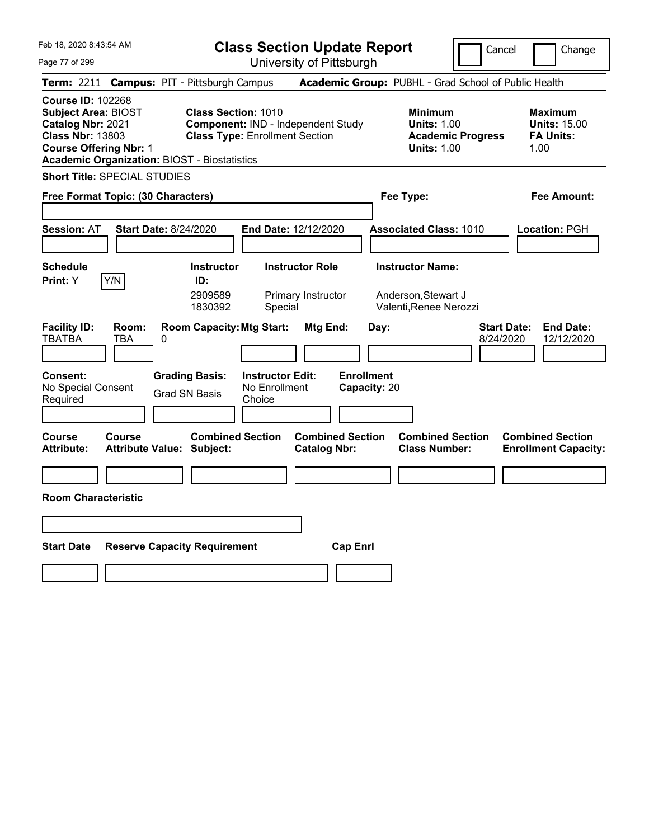| Feb 18, 2020 8:43:54 AM                                                                                                                                                                        |                                                                                                           | <b>Class Section Update Report</b>             |                                                                                        | Cancel<br>Change                                                  |
|------------------------------------------------------------------------------------------------------------------------------------------------------------------------------------------------|-----------------------------------------------------------------------------------------------------------|------------------------------------------------|----------------------------------------------------------------------------------------|-------------------------------------------------------------------|
| Page 77 of 299                                                                                                                                                                                 |                                                                                                           | University of Pittsburgh                       |                                                                                        |                                                                   |
| Term: 2211 Campus: PIT - Pittsburgh Campus                                                                                                                                                     |                                                                                                           |                                                | Academic Group: PUBHL - Grad School of Public Health                                   |                                                                   |
| <b>Course ID: 102268</b><br><b>Subject Area: BIOST</b><br>Catalog Nbr: 2021<br><b>Class Nbr: 13803</b><br><b>Course Offering Nbr: 1</b><br><b>Academic Organization: BIOST - Biostatistics</b> | <b>Class Section: 1010</b><br>Component: IND - Independent Study<br><b>Class Type: Enrollment Section</b> |                                                | <b>Minimum</b><br><b>Units: 1.00</b><br><b>Academic Progress</b><br><b>Units: 1.00</b> | <b>Maximum</b><br><b>Units: 15.00</b><br><b>FA Units:</b><br>1.00 |
| <b>Short Title: SPECIAL STUDIES</b>                                                                                                                                                            |                                                                                                           |                                                |                                                                                        |                                                                   |
| Free Format Topic: (30 Characters)                                                                                                                                                             |                                                                                                           |                                                | Fee Type:                                                                              | Fee Amount:                                                       |
|                                                                                                                                                                                                |                                                                                                           |                                                |                                                                                        |                                                                   |
| <b>Start Date: 8/24/2020</b><br><b>Session: AT</b>                                                                                                                                             |                                                                                                           | End Date: 12/12/2020                           | <b>Associated Class: 1010</b>                                                          | Location: PGH                                                     |
|                                                                                                                                                                                                |                                                                                                           |                                                |                                                                                        |                                                                   |
| <b>Schedule</b>                                                                                                                                                                                | <b>Instructor</b>                                                                                         | <b>Instructor Role</b>                         | <b>Instructor Name:</b>                                                                |                                                                   |
| Y/N<br>Print: Y                                                                                                                                                                                | ID:<br>2909589<br>1830392<br>Special                                                                      | Primary Instructor                             | Anderson, Stewart J<br>Valenti, Renee Nerozzi                                          |                                                                   |
| <b>Facility ID:</b><br>Room:<br><b>TBATBA</b><br>TBA<br>0                                                                                                                                      | <b>Room Capacity: Mtg Start:</b>                                                                          | Mtg End:                                       | Day:                                                                                   | <b>End Date:</b><br><b>Start Date:</b><br>8/24/2020<br>12/12/2020 |
| Consent:<br>No Special Consent<br>Required                                                                                                                                                     | <b>Grading Basis:</b><br><b>Instructor Edit:</b><br>No Enrollment<br><b>Grad SN Basis</b><br>Choice       | <b>Enrollment</b><br>Capacity: 20              |                                                                                        |                                                                   |
| <b>Course</b><br><b>Course</b><br><b>Attribute:</b><br><b>Attribute Value: Subject:</b>                                                                                                        | <b>Combined Section</b>                                                                                   | <b>Combined Section</b><br><b>Catalog Nbr:</b> | <b>Combined Section</b><br><b>Class Number:</b>                                        | <b>Combined Section</b><br><b>Enrollment Capacity:</b>            |
|                                                                                                                                                                                                |                                                                                                           |                                                |                                                                                        |                                                                   |
| <b>Room Characteristic</b>                                                                                                                                                                     |                                                                                                           |                                                |                                                                                        |                                                                   |
|                                                                                                                                                                                                |                                                                                                           |                                                |                                                                                        |                                                                   |
| <b>Start Date</b>                                                                                                                                                                              | <b>Reserve Capacity Requirement</b>                                                                       | <b>Cap Enrl</b>                                |                                                                                        |                                                                   |
|                                                                                                                                                                                                |                                                                                                           |                                                |                                                                                        |                                                                   |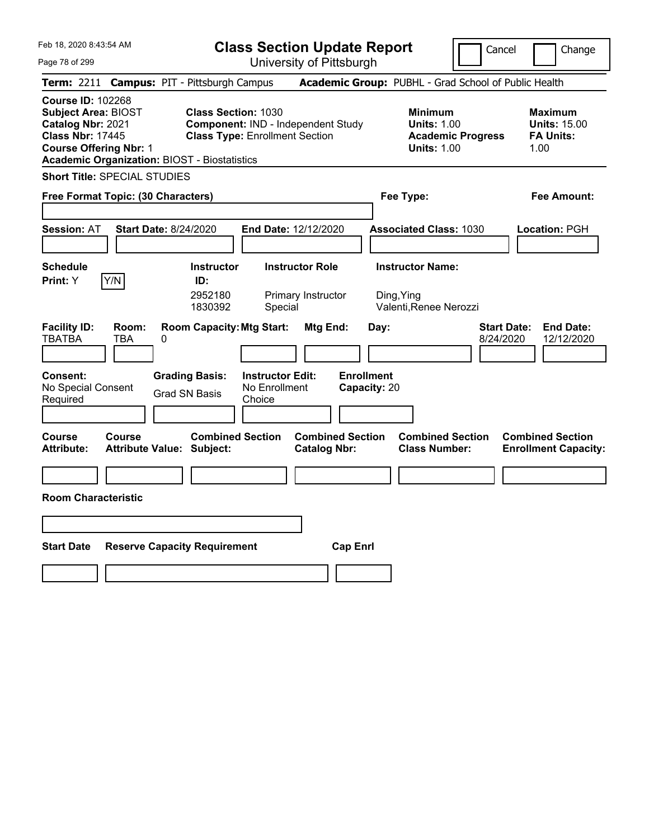| Feb 18, 2020 8:43:54 AM                                                                                                                                                                        | <b>Class Section Update Report</b>                                                                                                      |                                                                                                   | Cancel<br>Change                                                                              |
|------------------------------------------------------------------------------------------------------------------------------------------------------------------------------------------------|-----------------------------------------------------------------------------------------------------------------------------------------|---------------------------------------------------------------------------------------------------|-----------------------------------------------------------------------------------------------|
| Page 78 of 299                                                                                                                                                                                 | University of Pittsburgh                                                                                                                |                                                                                                   |                                                                                               |
| <b>Term: 2211</b>                                                                                                                                                                              | <b>Campus: PIT - Pittsburgh Campus</b>                                                                                                  | Academic Group: PUBHL - Grad School of Public Health                                              |                                                                                               |
| <b>Course ID: 102268</b><br><b>Subject Area: BIOST</b><br>Catalog Nbr: 2021<br><b>Class Nbr: 17445</b><br><b>Course Offering Nbr: 1</b><br><b>Academic Organization: BIOST - Biostatistics</b> | <b>Class Section: 1030</b><br>Component: IND - Independent Study<br><b>Class Type: Enrollment Section</b>                               | <b>Minimum</b><br><b>Units: 1.00</b><br><b>Units: 1.00</b>                                        | <b>Maximum</b><br><b>Units: 15.00</b><br><b>FA Units:</b><br><b>Academic Progress</b><br>1.00 |
| <b>Short Title: SPECIAL STUDIES</b>                                                                                                                                                            |                                                                                                                                         |                                                                                                   |                                                                                               |
| Free Format Topic: (30 Characters)                                                                                                                                                             |                                                                                                                                         | Fee Type:                                                                                         | Fee Amount:                                                                                   |
| <b>Start Date: 8/24/2020</b><br><b>Session: AT</b>                                                                                                                                             | End Date: 12/12/2020                                                                                                                    | <b>Associated Class: 1030</b>                                                                     | Location: PGH                                                                                 |
| <b>Schedule</b><br>Y/N<br>Print: Y                                                                                                                                                             | <b>Instructor</b><br><b>Instructor Role</b><br>ID:<br>2952180<br>Primary Instructor<br>1830392<br>Special                               | <b>Instructor Name:</b><br>Ding, Ying<br>Valenti, Renee Nerozzi                                   |                                                                                               |
| <b>Facility ID:</b><br>Room:<br>TBATBA<br>TBA<br>0<br>Consent:<br>No Special Consent<br>Required                                                                                               | <b>Room Capacity: Mtg Start:</b><br><b>Grading Basis:</b><br><b>Instructor Edit:</b><br>No Enrollment<br><b>Grad SN Basis</b><br>Choice | Mtg End:<br>Day:<br><b>Enrollment</b><br>Capacity: 20                                             | <b>End Date:</b><br><b>Start Date:</b><br>8/24/2020<br>12/12/2020                             |
| Course<br>Course<br><b>Attribute:</b><br>Attribute Value: Subject:                                                                                                                             | <b>Combined Section</b>                                                                                                                 | <b>Combined Section</b><br><b>Combined Section</b><br><b>Catalog Nbr:</b><br><b>Class Number:</b> | <b>Combined Section</b><br><b>Enrollment Capacity:</b>                                        |
|                                                                                                                                                                                                |                                                                                                                                         |                                                                                                   |                                                                                               |
| <b>Room Characteristic</b>                                                                                                                                                                     |                                                                                                                                         |                                                                                                   |                                                                                               |
|                                                                                                                                                                                                |                                                                                                                                         |                                                                                                   |                                                                                               |
|                                                                                                                                                                                                |                                                                                                                                         |                                                                                                   |                                                                                               |
| <b>Start Date</b>                                                                                                                                                                              | <b>Reserve Capacity Requirement</b>                                                                                                     | <b>Cap Enri</b>                                                                                   |                                                                                               |
|                                                                                                                                                                                                |                                                                                                                                         |                                                                                                   |                                                                                               |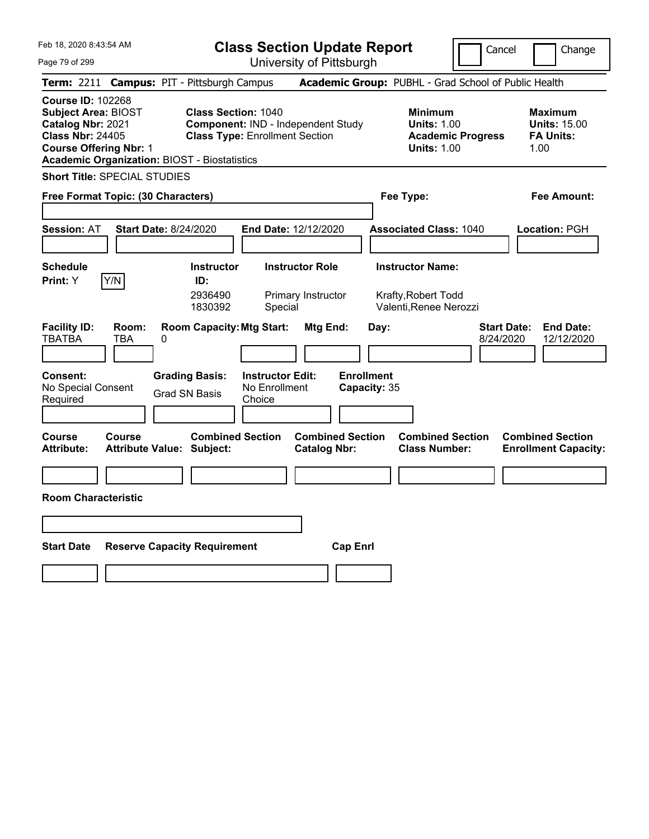| Feb 18, 2020 8:43:54 AM                                                                                                                                                                        | <b>Class Section Update Report</b>                                                                                                                  | Cancel                                                                                 | Change                                                            |
|------------------------------------------------------------------------------------------------------------------------------------------------------------------------------------------------|-----------------------------------------------------------------------------------------------------------------------------------------------------|----------------------------------------------------------------------------------------|-------------------------------------------------------------------|
| Page 79 of 299                                                                                                                                                                                 | University of Pittsburgh                                                                                                                            |                                                                                        |                                                                   |
| <b>Term: 2211</b>                                                                                                                                                                              | <b>Campus: PIT - Pittsburgh Campus</b>                                                                                                              | Academic Group: PUBHL - Grad School of Public Health                                   |                                                                   |
| <b>Course ID: 102268</b><br><b>Subject Area: BIOST</b><br>Catalog Nbr: 2021<br><b>Class Nbr: 24405</b><br><b>Course Offering Nbr: 1</b><br><b>Academic Organization: BIOST - Biostatistics</b> | <b>Class Section: 1040</b><br>Component: IND - Independent Study<br><b>Class Type: Enrollment Section</b>                                           | <b>Minimum</b><br><b>Units: 1.00</b><br><b>Academic Progress</b><br><b>Units: 1.00</b> | <b>Maximum</b><br><b>Units: 15.00</b><br><b>FA Units:</b><br>1.00 |
| <b>Short Title: SPECIAL STUDIES</b>                                                                                                                                                            |                                                                                                                                                     |                                                                                        |                                                                   |
| Free Format Topic: (30 Characters)                                                                                                                                                             |                                                                                                                                                     | Fee Type:                                                                              | Fee Amount:                                                       |
| <b>Session: AT</b><br>Start Date: 8/24/2020                                                                                                                                                    | <b>End Date: 12/12/2020</b>                                                                                                                         | <b>Associated Class: 1040</b>                                                          | Location: PGH                                                     |
| Schedule<br>Y/N<br><b>Print:</b> Y                                                                                                                                                             | <b>Instructor Role</b><br><b>Instructor</b><br>ID:<br>2936490<br>Primary Instructor<br>1830392<br>Special                                           | <b>Instructor Name:</b><br>Krafty,Robert Todd<br>Valenti, Renee Nerozzi                |                                                                   |
| <b>Facility ID:</b><br>Room:<br>TBATBA<br>TBA<br>0<br><b>Consent:</b><br>No Special Consent<br>Required                                                                                        | <b>Room Capacity: Mtg Start:</b><br>Mtg End:<br><b>Grading Basis:</b><br><b>Instructor Edit:</b><br>No Enrollment<br><b>Grad SN Basis</b><br>Choice | Day:<br><b>Start Date:</b><br>8/24/2020<br><b>Enrollment</b><br>Capacity: 35           | <b>End Date:</b><br>12/12/2020                                    |
| Course<br>Course<br><b>Attribute:</b><br><b>Attribute Value: Subject:</b>                                                                                                                      | <b>Combined Section</b><br><b>Combined Section</b><br><b>Catalog Nbr:</b>                                                                           | <b>Combined Section</b><br><b>Class Number:</b>                                        | <b>Combined Section</b><br><b>Enrollment Capacity:</b>            |
|                                                                                                                                                                                                |                                                                                                                                                     |                                                                                        |                                                                   |
| <b>Room Characteristic</b>                                                                                                                                                                     |                                                                                                                                                     |                                                                                        |                                                                   |
|                                                                                                                                                                                                |                                                                                                                                                     |                                                                                        |                                                                   |
| <b>Start Date</b><br><b>Reserve Capacity Requirement</b>                                                                                                                                       | <b>Cap Enri</b>                                                                                                                                     |                                                                                        |                                                                   |
|                                                                                                                                                                                                |                                                                                                                                                     |                                                                                        |                                                                   |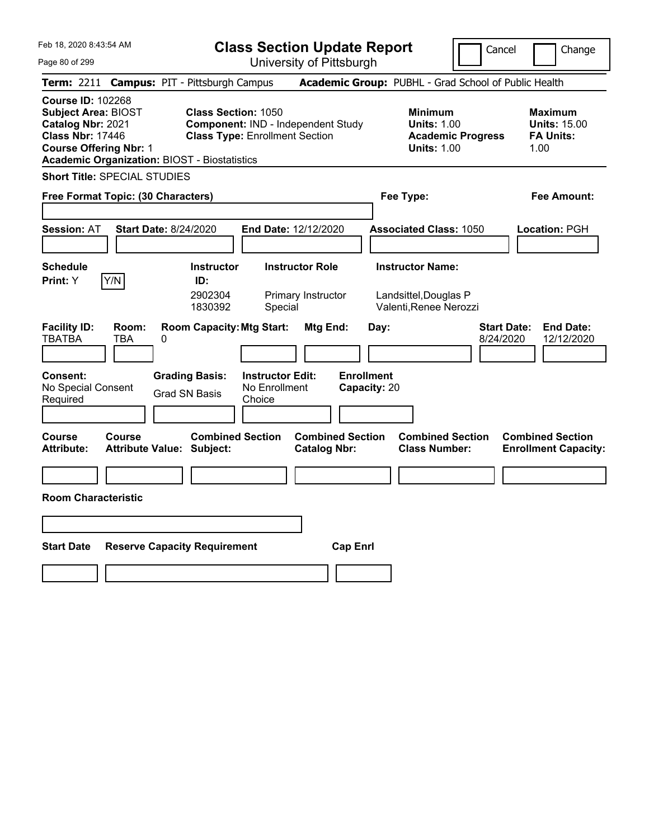| Feb 18, 2020 8:43:54 AM                                                                                                                                                                        |                                                   |                                                                                                           | <b>Class Section Update Report</b>                 |                                                |                                           |                                                                            | Cancel                          | Change                                                            |
|------------------------------------------------------------------------------------------------------------------------------------------------------------------------------------------------|---------------------------------------------------|-----------------------------------------------------------------------------------------------------------|----------------------------------------------------|------------------------------------------------|-------------------------------------------|----------------------------------------------------------------------------|---------------------------------|-------------------------------------------------------------------|
| Page 80 of 299                                                                                                                                                                                 |                                                   |                                                                                                           |                                                    | University of Pittsburgh                       |                                           |                                                                            |                                 |                                                                   |
| <b>Term: 2211</b>                                                                                                                                                                              | <b>Campus: PIT - Pittsburgh Campus</b>            |                                                                                                           |                                                    |                                                |                                           |                                                                            |                                 | Academic Group: PUBHL - Grad School of Public Health              |
| <b>Course ID: 102268</b><br><b>Subject Area: BIOST</b><br>Catalog Nbr: 2021<br><b>Class Nbr: 17446</b><br><b>Course Offering Nbr: 1</b><br><b>Academic Organization: BIOST - Biostatistics</b> |                                                   | <b>Class Section: 1050</b><br>Component: IND - Independent Study<br><b>Class Type: Enrollment Section</b> |                                                    |                                                |                                           | <b>Minimum</b><br><b>Units: 1.00</b><br><b>Units: 1.00</b>                 | <b>Academic Progress</b>        | <b>Maximum</b><br><b>Units: 15.00</b><br><b>FA Units:</b><br>1.00 |
| <b>Short Title: SPECIAL STUDIES</b>                                                                                                                                                            |                                                   |                                                                                                           |                                                    |                                                |                                           |                                                                            |                                 |                                                                   |
| Free Format Topic: (30 Characters)                                                                                                                                                             |                                                   |                                                                                                           |                                                    |                                                |                                           | Fee Type:                                                                  |                                 | Fee Amount:                                                       |
| <b>Session: AT</b>                                                                                                                                                                             | <b>Start Date: 8/24/2020</b>                      |                                                                                                           | <b>End Date: 12/12/2020</b>                        |                                                |                                           | <b>Associated Class: 1050</b>                                              |                                 | <b>Location: PGH</b>                                              |
| <b>Schedule</b><br>Y/N<br><b>Print:</b> Y                                                                                                                                                      |                                                   | <b>Instructor</b><br>ID:<br>2902304<br>1830392                                                            | Special                                            | <b>Instructor Role</b><br>Primary Instructor   |                                           | <b>Instructor Name:</b><br>Landsittel, Douglas P<br>Valenti, Renee Nerozzi |                                 |                                                                   |
| <b>Facility ID:</b><br><b>TBATBA</b><br><b>Consent:</b><br>No Special Consent<br>Required                                                                                                      | Room:<br>TBA<br>0                                 | <b>Room Capacity: Mtg Start:</b><br><b>Grading Basis:</b><br><b>Grad SN Basis</b>                         | <b>Instructor Edit:</b><br>No Enrollment<br>Choice | Mtg End:                                       | Day:<br><b>Enrollment</b><br>Capacity: 20 |                                                                            | <b>Start Date:</b><br>8/24/2020 | <b>End Date:</b><br>12/12/2020                                    |
| Course<br><b>Attribute:</b>                                                                                                                                                                    | <b>Course</b><br><b>Attribute Value: Subject:</b> | <b>Combined Section</b>                                                                                   |                                                    | <b>Combined Section</b><br><b>Catalog Nbr:</b> |                                           | <b>Combined Section</b><br><b>Class Number:</b>                            |                                 | <b>Combined Section</b><br><b>Enrollment Capacity:</b>            |
|                                                                                                                                                                                                |                                                   |                                                                                                           |                                                    |                                                |                                           |                                                                            |                                 |                                                                   |
| <b>Room Characteristic</b>                                                                                                                                                                     |                                                   |                                                                                                           |                                                    |                                                |                                           |                                                                            |                                 |                                                                   |
|                                                                                                                                                                                                |                                                   |                                                                                                           |                                                    |                                                |                                           |                                                                            |                                 |                                                                   |
|                                                                                                                                                                                                |                                                   |                                                                                                           |                                                    |                                                |                                           |                                                                            |                                 |                                                                   |
| <b>Start Date</b>                                                                                                                                                                              | <b>Reserve Capacity Requirement</b>               |                                                                                                           |                                                    |                                                | <b>Cap Enrl</b>                           |                                                                            |                                 |                                                                   |
|                                                                                                                                                                                                |                                                   |                                                                                                           |                                                    |                                                |                                           |                                                                            |                                 |                                                                   |
|                                                                                                                                                                                                |                                                   |                                                                                                           |                                                    |                                                |                                           |                                                                            |                                 |                                                                   |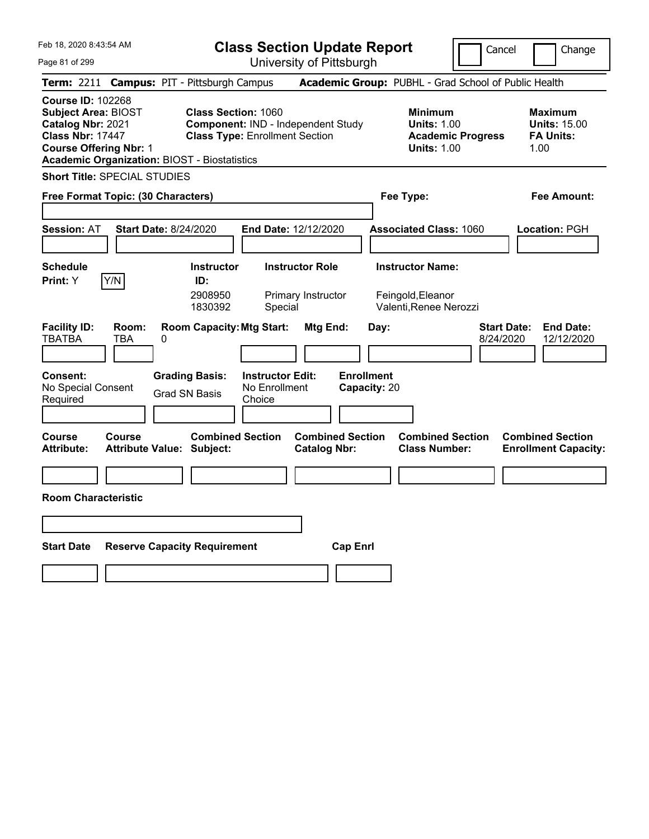| Feb 18, 2020 8:43:54 AM                                                                                                                                                                        |                                                                                        |                                                    | <b>Class Section Update Report</b>             |                                                                        | Cancel                          | Change                                                            |
|------------------------------------------------------------------------------------------------------------------------------------------------------------------------------------------------|----------------------------------------------------------------------------------------|----------------------------------------------------|------------------------------------------------|------------------------------------------------------------------------|---------------------------------|-------------------------------------------------------------------|
| Page 81 of 299                                                                                                                                                                                 |                                                                                        |                                                    | University of Pittsburgh                       |                                                                        |                                 |                                                                   |
| <b>Term: 2211</b>                                                                                                                                                                              | <b>Campus: PIT - Pittsburgh Campus</b>                                                 |                                                    |                                                | Academic Group: PUBHL - Grad School of Public Health                   |                                 |                                                                   |
| <b>Course ID: 102268</b><br><b>Subject Area: BIOST</b><br>Catalog Nbr: 2021<br><b>Class Nbr: 17447</b><br><b>Course Offering Nbr: 1</b><br><b>Academic Organization: BIOST - Biostatistics</b> | <b>Class Section: 1060</b>                                                             | <b>Class Type: Enrollment Section</b>              | Component: IND - Independent Study             | <b>Minimum</b><br><b>Units: 1.00</b><br><b>Units: 1.00</b>             | <b>Academic Progress</b>        | <b>Maximum</b><br><b>Units: 15.00</b><br><b>FA Units:</b><br>1.00 |
| <b>Short Title: SPECIAL STUDIES</b>                                                                                                                                                            |                                                                                        |                                                    |                                                |                                                                        |                                 |                                                                   |
| Free Format Topic: (30 Characters)                                                                                                                                                             |                                                                                        |                                                    |                                                | Fee Type:                                                              |                                 | Fee Amount:                                                       |
|                                                                                                                                                                                                |                                                                                        |                                                    |                                                |                                                                        |                                 |                                                                   |
| <b>Session: AT</b>                                                                                                                                                                             | <b>Start Date: 8/24/2020</b>                                                           | <b>End Date: 12/12/2020</b>                        |                                                | <b>Associated Class: 1060</b>                                          |                                 | <b>Location: PGH</b>                                              |
| <b>Schedule</b><br>Y/N<br><b>Print:</b> Y                                                                                                                                                      | <b>Instructor</b><br>ID:<br>2908950<br>1830392                                         | Special                                            | <b>Instructor Role</b><br>Primary Instructor   | <b>Instructor Name:</b><br>Feingold, Eleanor<br>Valenti, Renee Nerozzi |                                 |                                                                   |
| <b>Facility ID:</b><br>Room:<br><b>TBATBA</b><br>TBA<br><b>Consent:</b><br>No Special Consent<br>Required                                                                                      | <b>Room Capacity: Mtg Start:</b><br>0<br><b>Grading Basis:</b><br><b>Grad SN Basis</b> | <b>Instructor Edit:</b><br>No Enrollment<br>Choice | Mtg End:                                       | Day:<br><b>Enrollment</b><br>Capacity: 20                              | <b>Start Date:</b><br>8/24/2020 | <b>End Date:</b><br>12/12/2020                                    |
| <b>Course</b><br>Course<br><b>Attribute:</b>                                                                                                                                                   | <b>Attribute Value: Subject:</b>                                                       | <b>Combined Section</b>                            | <b>Combined Section</b><br><b>Catalog Nbr:</b> | <b>Class Number:</b>                                                   | <b>Combined Section</b>         | <b>Combined Section</b><br><b>Enrollment Capacity:</b>            |
|                                                                                                                                                                                                |                                                                                        |                                                    |                                                |                                                                        |                                 |                                                                   |
| <b>Room Characteristic</b>                                                                                                                                                                     |                                                                                        |                                                    |                                                |                                                                        |                                 |                                                                   |
|                                                                                                                                                                                                |                                                                                        |                                                    |                                                |                                                                        |                                 |                                                                   |
| <b>Start Date</b>                                                                                                                                                                              | <b>Reserve Capacity Requirement</b>                                                    |                                                    | <b>Cap Enrl</b>                                |                                                                        |                                 |                                                                   |
|                                                                                                                                                                                                |                                                                                        |                                                    |                                                |                                                                        |                                 |                                                                   |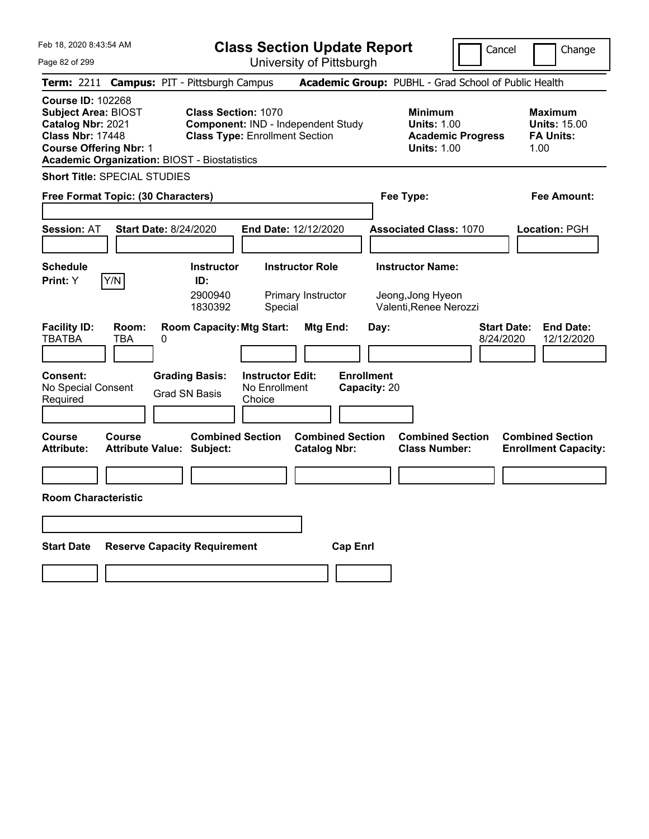| Feb 18, 2020 8:43:54 AM                                                                                                                                                                        | <b>Class Section Update Report</b>                                                                                                      |                                                       |                                                                                        | Cancel<br>Change                                                  |
|------------------------------------------------------------------------------------------------------------------------------------------------------------------------------------------------|-----------------------------------------------------------------------------------------------------------------------------------------|-------------------------------------------------------|----------------------------------------------------------------------------------------|-------------------------------------------------------------------|
| Page 82 of 299                                                                                                                                                                                 | University of Pittsburgh                                                                                                                |                                                       |                                                                                        |                                                                   |
| <b>Term: 2211</b>                                                                                                                                                                              | <b>Campus: PIT - Pittsburgh Campus</b>                                                                                                  |                                                       | Academic Group: PUBHL - Grad School of Public Health                                   |                                                                   |
| <b>Course ID: 102268</b><br><b>Subject Area: BIOST</b><br>Catalog Nbr: 2021<br><b>Class Nbr: 17448</b><br><b>Course Offering Nbr: 1</b><br><b>Academic Organization: BIOST - Biostatistics</b> | <b>Class Section: 1070</b><br>Component: IND - Independent Study<br><b>Class Type: Enrollment Section</b>                               |                                                       | <b>Minimum</b><br><b>Units: 1.00</b><br><b>Academic Progress</b><br><b>Units: 1.00</b> | <b>Maximum</b><br><b>Units: 15.00</b><br><b>FA Units:</b><br>1.00 |
| <b>Short Title: SPECIAL STUDIES</b>                                                                                                                                                            |                                                                                                                                         |                                                       |                                                                                        |                                                                   |
| Free Format Topic: (30 Characters)                                                                                                                                                             |                                                                                                                                         |                                                       | Fee Type:                                                                              | Fee Amount:                                                       |
| <b>Start Date: 8/24/2020</b><br><b>Session: AT</b>                                                                                                                                             | End Date: 12/12/2020                                                                                                                    |                                                       | <b>Associated Class: 1070</b>                                                          | Location: PGH                                                     |
| <b>Schedule</b><br>Y/N<br>Print: Y                                                                                                                                                             | <b>Instructor</b><br><b>Instructor Role</b><br>ID:<br>2900940<br>Primary Instructor<br>1830392<br>Special                               |                                                       | <b>Instructor Name:</b><br>Jeong, Jong Hyeon<br>Valenti, Renee Nerozzi                 |                                                                   |
| <b>Facility ID:</b><br>Room:<br>TBATBA<br>TBA<br>0<br>Consent:<br>No Special Consent<br>Required                                                                                               | <b>Room Capacity: Mtg Start:</b><br><b>Grading Basis:</b><br><b>Instructor Edit:</b><br>No Enrollment<br><b>Grad SN Basis</b><br>Choice | Mtg End:<br>Day:<br><b>Enrollment</b><br>Capacity: 20 |                                                                                        | <b>End Date:</b><br><b>Start Date:</b><br>8/24/2020<br>12/12/2020 |
| Course<br>Course<br><b>Attribute:</b><br>Attribute Value: Subject:                                                                                                                             | <b>Combined Section</b>                                                                                                                 | <b>Combined Section</b><br><b>Catalog Nbr:</b>        | <b>Combined Section</b><br><b>Class Number:</b>                                        | <b>Combined Section</b><br><b>Enrollment Capacity:</b>            |
|                                                                                                                                                                                                |                                                                                                                                         |                                                       |                                                                                        |                                                                   |
| <b>Room Characteristic</b>                                                                                                                                                                     |                                                                                                                                         |                                                       |                                                                                        |                                                                   |
|                                                                                                                                                                                                |                                                                                                                                         |                                                       |                                                                                        |                                                                   |
|                                                                                                                                                                                                |                                                                                                                                         |                                                       |                                                                                        |                                                                   |
| <b>Start Date</b>                                                                                                                                                                              | <b>Reserve Capacity Requirement</b>                                                                                                     | <b>Cap Enri</b>                                       |                                                                                        |                                                                   |
|                                                                                                                                                                                                |                                                                                                                                         |                                                       |                                                                                        |                                                                   |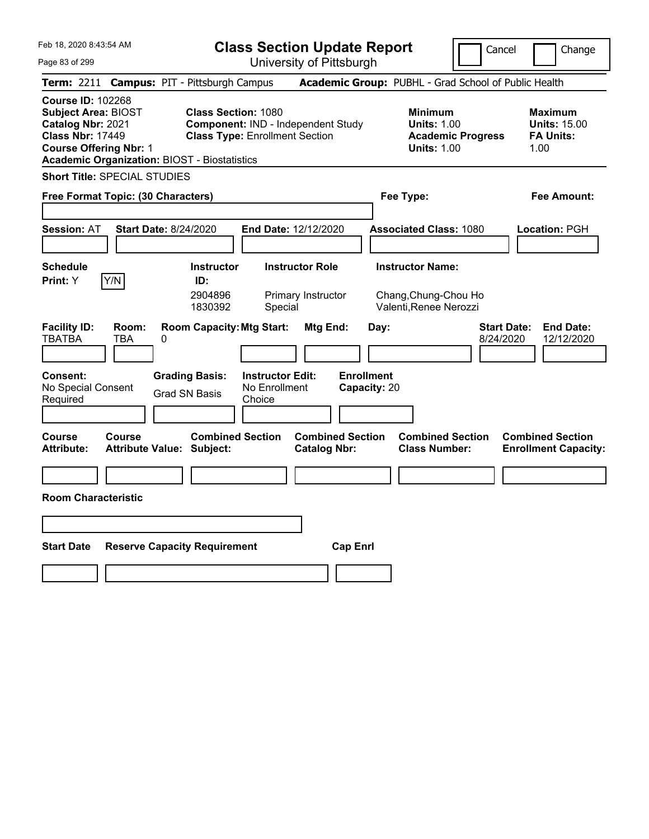| Feb 18, 2020 8:43:54 AM                                                                                                                                                                        | <b>Class Section Update Report</b>                                                                                                                                                       | Cancel                                                                                 | Change                                                            |
|------------------------------------------------------------------------------------------------------------------------------------------------------------------------------------------------|------------------------------------------------------------------------------------------------------------------------------------------------------------------------------------------|----------------------------------------------------------------------------------------|-------------------------------------------------------------------|
| Page 83 of 299                                                                                                                                                                                 | University of Pittsburgh                                                                                                                                                                 |                                                                                        |                                                                   |
| <b>Term: 2211</b>                                                                                                                                                                              | <b>Campus: PIT - Pittsburgh Campus</b>                                                                                                                                                   | Academic Group: PUBHL - Grad School of Public Health                                   |                                                                   |
| <b>Course ID: 102268</b><br><b>Subject Area: BIOST</b><br>Catalog Nbr: 2021<br><b>Class Nbr: 17449</b><br><b>Course Offering Nbr: 1</b><br><b>Academic Organization: BIOST - Biostatistics</b> | <b>Class Section: 1080</b><br>Component: IND - Independent Study<br><b>Class Type: Enrollment Section</b>                                                                                | <b>Minimum</b><br><b>Units: 1.00</b><br><b>Academic Progress</b><br><b>Units: 1.00</b> | <b>Maximum</b><br><b>Units: 15.00</b><br><b>FA Units:</b><br>1.00 |
| <b>Short Title: SPECIAL STUDIES</b>                                                                                                                                                            |                                                                                                                                                                                          |                                                                                        |                                                                   |
| Free Format Topic: (30 Characters)                                                                                                                                                             |                                                                                                                                                                                          | Fee Type:                                                                              | Fee Amount:                                                       |
| <b>Start Date: 8/24/2020</b><br><b>Session: AT</b>                                                                                                                                             | End Date: 12/12/2020                                                                                                                                                                     | <b>Associated Class: 1080</b>                                                          | <b>Location: PGH</b>                                              |
| <b>Schedule</b><br>Y/N<br>Print: Y                                                                                                                                                             | <b>Instructor</b><br><b>Instructor Role</b><br>ID:<br>2904896<br>Primary Instructor<br>1830392<br>Special                                                                                | <b>Instructor Name:</b><br>Chang, Chung-Chou Ho<br>Valenti, Renee Nerozzi              |                                                                   |
| <b>Facility ID:</b><br>Room:<br><b>TBATBA</b><br>TBA<br>0<br><b>Consent:</b><br>No Special Consent<br>Required                                                                                 | <b>Room Capacity: Mtg Start:</b><br>Mtg End:<br><b>Enrollment</b><br><b>Grading Basis:</b><br><b>Instructor Edit:</b><br>No Enrollment<br>Capacity: 20<br><b>Grad SN Basis</b><br>Choice | <b>Start Date:</b><br>Day:<br>8/24/2020                                                | <b>End Date:</b><br>12/12/2020                                    |
| Course<br><b>Course</b><br><b>Attribute:</b><br><b>Attribute Value: Subject:</b>                                                                                                               | <b>Combined Section</b><br><b>Combined Section</b><br><b>Catalog Nbr:</b>                                                                                                                | <b>Combined Section</b><br><b>Class Number:</b>                                        | <b>Combined Section</b><br><b>Enrollment Capacity:</b>            |
|                                                                                                                                                                                                |                                                                                                                                                                                          |                                                                                        |                                                                   |
| <b>Room Characteristic</b>                                                                                                                                                                     |                                                                                                                                                                                          |                                                                                        |                                                                   |
|                                                                                                                                                                                                |                                                                                                                                                                                          |                                                                                        |                                                                   |
| <b>Start Date</b><br><b>Reserve Capacity Requirement</b>                                                                                                                                       | <b>Cap Enrl</b>                                                                                                                                                                          |                                                                                        |                                                                   |
|                                                                                                                                                                                                |                                                                                                                                                                                          |                                                                                        |                                                                   |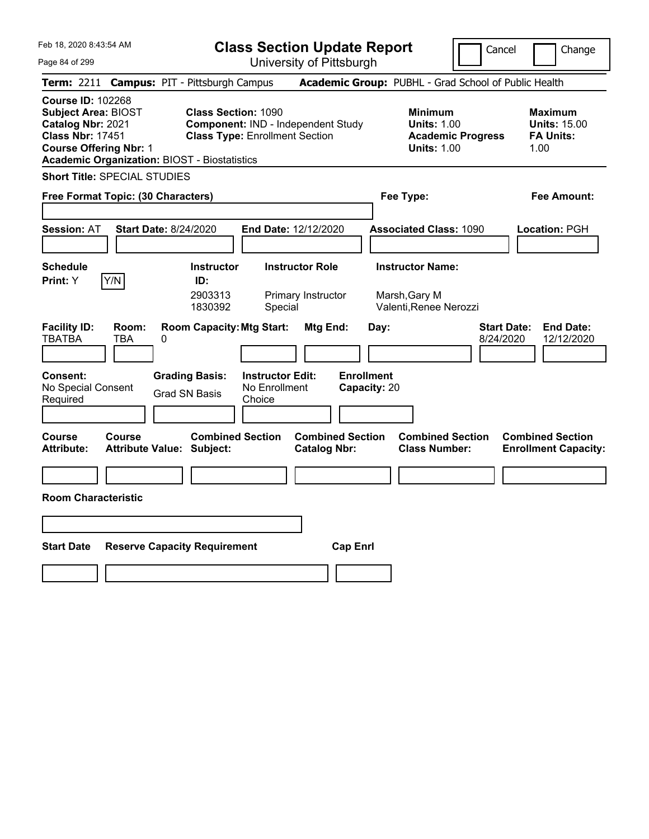| Feb 18, 2020 8:43:54 AM                                                                                                                                                                        |                                            |                                                                                                           | <b>Class Section Update Report</b>                 |                                                |                                   |      |                                                                    |                          | Cancel                          | Change                                                            |
|------------------------------------------------------------------------------------------------------------------------------------------------------------------------------------------------|--------------------------------------------|-----------------------------------------------------------------------------------------------------------|----------------------------------------------------|------------------------------------------------|-----------------------------------|------|--------------------------------------------------------------------|--------------------------|---------------------------------|-------------------------------------------------------------------|
| Page 84 of 299                                                                                                                                                                                 |                                            |                                                                                                           |                                                    | University of Pittsburgh                       |                                   |      |                                                                    |                          |                                 |                                                                   |
| Term: 2211 Campus: PIT - Pittsburgh Campus                                                                                                                                                     |                                            |                                                                                                           |                                                    |                                                |                                   |      | Academic Group: PUBHL - Grad School of Public Health               |                          |                                 |                                                                   |
| <b>Course ID: 102268</b><br><b>Subject Area: BIOST</b><br>Catalog Nbr: 2021<br><b>Class Nbr: 17451</b><br><b>Course Offering Nbr: 1</b><br><b>Academic Organization: BIOST - Biostatistics</b> |                                            | <b>Class Section: 1090</b><br>Component: IND - Independent Study<br><b>Class Type: Enrollment Section</b> |                                                    |                                                |                                   |      | <b>Minimum</b><br><b>Units: 1.00</b><br><b>Units: 1.00</b>         | <b>Academic Progress</b> |                                 | <b>Maximum</b><br><b>Units: 15.00</b><br><b>FA Units:</b><br>1.00 |
| <b>Short Title: SPECIAL STUDIES</b>                                                                                                                                                            |                                            |                                                                                                           |                                                    |                                                |                                   |      |                                                                    |                          |                                 |                                                                   |
| Free Format Topic: (30 Characters)                                                                                                                                                             |                                            |                                                                                                           |                                                    |                                                |                                   |      | Fee Type:                                                          |                          |                                 | Fee Amount:                                                       |
| <b>Session: AT</b>                                                                                                                                                                             | Start Date: 8/24/2020                      |                                                                                                           | End Date: 12/12/2020                               |                                                |                                   |      | <b>Associated Class: 1090</b>                                      |                          |                                 | Location: PGH                                                     |
| <b>Schedule</b><br>Y/N<br><b>Print:</b> Y                                                                                                                                                      |                                            | <b>Instructor</b><br>ID:<br>2903313<br>1830392                                                            | Special                                            | <b>Instructor Role</b><br>Primary Instructor   |                                   |      | <b>Instructor Name:</b><br>Marsh, Gary M<br>Valenti, Renee Nerozzi |                          |                                 |                                                                   |
| <b>Facility ID:</b><br><b>TBATBA</b><br><b>Consent:</b><br>No Special Consent<br>Required                                                                                                      | Room:<br>TBA<br>0                          | <b>Room Capacity: Mtg Start:</b><br><b>Grading Basis:</b><br>Grad SN Basis                                | <b>Instructor Edit:</b><br>No Enrollment<br>Choice | Mtg End:                                       | <b>Enrollment</b><br>Capacity: 20 | Day: |                                                                    |                          | <b>Start Date:</b><br>8/24/2020 | <b>End Date:</b><br>12/12/2020                                    |
| Course<br>Attribute:                                                                                                                                                                           | Course<br><b>Attribute Value: Subject:</b> | <b>Combined Section</b>                                                                                   |                                                    | <b>Combined Section</b><br><b>Catalog Nbr:</b> |                                   |      | <b>Combined Section</b><br><b>Class Number:</b>                    |                          |                                 | <b>Combined Section</b><br><b>Enrollment Capacity:</b>            |
|                                                                                                                                                                                                |                                            |                                                                                                           |                                                    |                                                |                                   |      |                                                                    |                          |                                 |                                                                   |
| <b>Room Characteristic</b>                                                                                                                                                                     |                                            |                                                                                                           |                                                    |                                                |                                   |      |                                                                    |                          |                                 |                                                                   |
|                                                                                                                                                                                                |                                            |                                                                                                           |                                                    |                                                |                                   |      |                                                                    |                          |                                 |                                                                   |
| <b>Start Date</b>                                                                                                                                                                              | <b>Reserve Capacity Requirement</b>        |                                                                                                           |                                                    |                                                | <b>Cap Enrl</b>                   |      |                                                                    |                          |                                 |                                                                   |
|                                                                                                                                                                                                |                                            |                                                                                                           |                                                    |                                                |                                   |      |                                                                    |                          |                                 |                                                                   |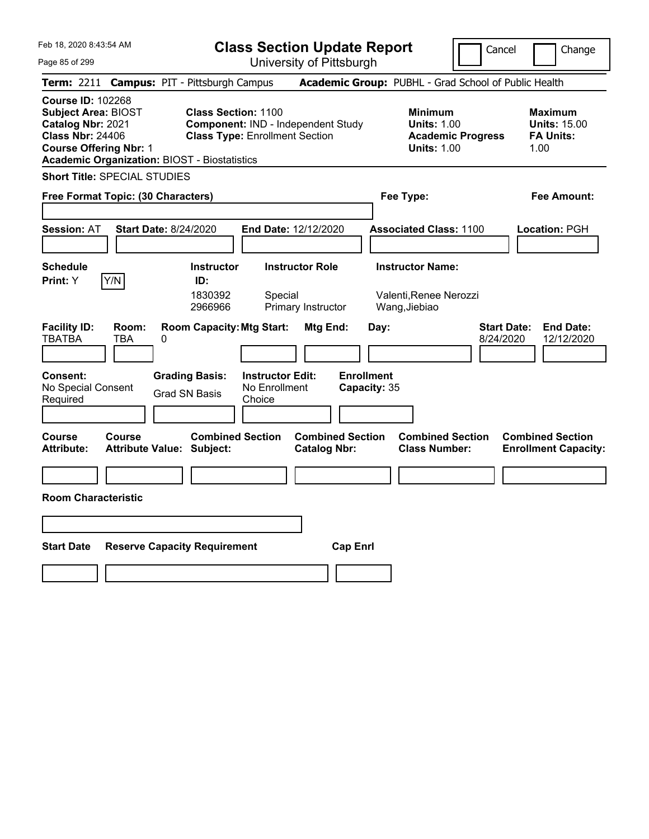| Feb 18, 2020 8:43:54 AM                                                                                                                                                                        | <b>Class Section Update Report</b>                                                                                                      |                                                                            | Cancel                          | Change                                                            |
|------------------------------------------------------------------------------------------------------------------------------------------------------------------------------------------------|-----------------------------------------------------------------------------------------------------------------------------------------|----------------------------------------------------------------------------|---------------------------------|-------------------------------------------------------------------|
| Page 85 of 299                                                                                                                                                                                 | University of Pittsburgh                                                                                                                |                                                                            |                                 |                                                                   |
| <b>Term: 2211</b>                                                                                                                                                                              | <b>Campus: PIT - Pittsburgh Campus</b>                                                                                                  | Academic Group: PUBHL - Grad School of Public Health                       |                                 |                                                                   |
| <b>Course ID: 102268</b><br><b>Subject Area: BIOST</b><br>Catalog Nbr: 2021<br><b>Class Nbr: 24406</b><br><b>Course Offering Nbr: 1</b><br><b>Academic Organization: BIOST - Biostatistics</b> | <b>Class Section: 1100</b><br>Component: IND - Independent Study<br><b>Class Type: Enrollment Section</b>                               | <b>Minimum</b><br><b>Units: 1.00</b><br><b>Units: 1.00</b>                 | <b>Academic Progress</b>        | <b>Maximum</b><br><b>Units: 15.00</b><br><b>FA Units:</b><br>1.00 |
| <b>Short Title: SPECIAL STUDIES</b>                                                                                                                                                            |                                                                                                                                         |                                                                            |                                 |                                                                   |
| Free Format Topic: (30 Characters)                                                                                                                                                             |                                                                                                                                         | Fee Type:                                                                  |                                 | <b>Fee Amount:</b>                                                |
| <b>Start Date: 8/24/2020</b><br><b>Session: AT</b>                                                                                                                                             | <b>End Date: 12/12/2020</b>                                                                                                             | <b>Associated Class: 1100</b>                                              |                                 | Location: PGH                                                     |
| <b>Schedule</b>                                                                                                                                                                                | <b>Instructor Role</b><br><b>Instructor</b>                                                                                             | <b>Instructor Name:</b>                                                    |                                 |                                                                   |
| Y/N<br>Print: Y                                                                                                                                                                                | ID:<br>1830392<br>Special<br>Primary Instructor<br>2966966                                                                              | Valenti, Renee Nerozzi<br>Wang, Jiebiao                                    |                                 |                                                                   |
| <b>Facility ID:</b><br>Room:<br><b>TBATBA</b><br>TBA<br>0<br><b>Consent:</b><br>No Special Consent<br>Required                                                                                 | <b>Room Capacity: Mtg Start:</b><br><b>Instructor Edit:</b><br><b>Grading Basis:</b><br>No Enrollment<br><b>Grad SN Basis</b><br>Choice | Mtg End:<br>Day:<br><b>Enrollment</b><br>Capacity: 35                      | <b>Start Date:</b><br>8/24/2020 | <b>End Date:</b><br>12/12/2020                                    |
| Course<br>Course<br><b>Attribute:</b><br><b>Attribute Value: Subject:</b>                                                                                                                      | <b>Combined Section</b><br><b>Catalog Nbr:</b>                                                                                          | <b>Combined Section</b><br><b>Combined Section</b><br><b>Class Number:</b> |                                 | <b>Combined Section</b><br><b>Enrollment Capacity:</b>            |
|                                                                                                                                                                                                |                                                                                                                                         |                                                                            |                                 |                                                                   |
| <b>Room Characteristic</b>                                                                                                                                                                     |                                                                                                                                         |                                                                            |                                 |                                                                   |
|                                                                                                                                                                                                |                                                                                                                                         |                                                                            |                                 |                                                                   |
| <b>Start Date</b><br><b>Reserve Capacity Requirement</b>                                                                                                                                       |                                                                                                                                         | <b>Cap Enrl</b>                                                            |                                 |                                                                   |
|                                                                                                                                                                                                |                                                                                                                                         |                                                                            |                                 |                                                                   |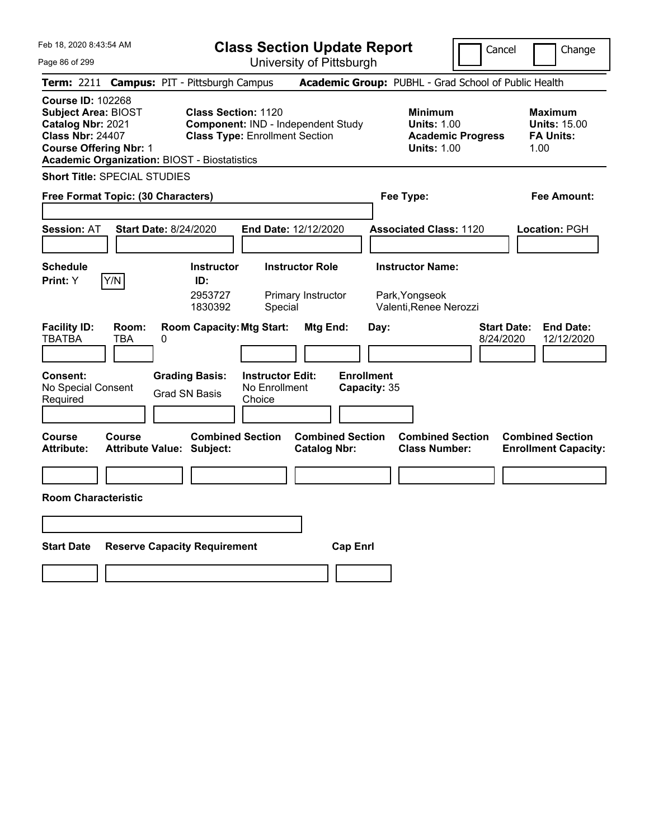| Feb 18, 2020 8:43:54 AM                                                                                                                 |                                                                                        | <b>Class Section Update Report</b>                                          |                                                |                                                                     | Cancel                                               | Change                                                            |
|-----------------------------------------------------------------------------------------------------------------------------------------|----------------------------------------------------------------------------------------|-----------------------------------------------------------------------------|------------------------------------------------|---------------------------------------------------------------------|------------------------------------------------------|-------------------------------------------------------------------|
| Page 86 of 299                                                                                                                          |                                                                                        |                                                                             | University of Pittsburgh                       |                                                                     |                                                      |                                                                   |
| <b>Term: 2211</b>                                                                                                                       | <b>Campus: PIT - Pittsburgh Campus</b>                                                 |                                                                             |                                                |                                                                     | Academic Group: PUBHL - Grad School of Public Health |                                                                   |
| <b>Course ID: 102268</b><br><b>Subject Area: BIOST</b><br>Catalog Nbr: 2021<br><b>Class Nbr: 24407</b><br><b>Course Offering Nbr: 1</b> | <b>Class Section: 1120</b><br><b>Academic Organization: BIOST - Biostatistics</b>      | Component: IND - Independent Study<br><b>Class Type: Enrollment Section</b> |                                                | <b>Minimum</b><br><b>Units: 1.00</b><br><b>Units: 1.00</b>          | <b>Academic Progress</b>                             | <b>Maximum</b><br><b>Units: 15.00</b><br><b>FA Units:</b><br>1.00 |
| <b>Short Title: SPECIAL STUDIES</b>                                                                                                     |                                                                                        |                                                                             |                                                |                                                                     |                                                      |                                                                   |
| Free Format Topic: (30 Characters)                                                                                                      |                                                                                        |                                                                             |                                                | Fee Type:                                                           |                                                      | Fee Amount:                                                       |
| <b>Session: AT</b>                                                                                                                      | Start Date: 8/24/2020                                                                  | End Date: 12/12/2020                                                        |                                                | <b>Associated Class: 1120</b>                                       |                                                      | Location: PGH                                                     |
| <b>Schedule</b><br>Y/N<br><b>Print:</b> Y                                                                                               | <b>Instructor</b><br>ID:<br>2953727<br>1830392                                         | Special                                                                     | <b>Instructor Role</b><br>Primary Instructor   | <b>Instructor Name:</b><br>Park, Yongseok<br>Valenti, Renee Nerozzi |                                                      |                                                                   |
| <b>Facility ID:</b><br>Room:<br><b>TBATBA</b><br>TBA<br><b>Consent:</b><br>No Special Consent<br>Required                               | <b>Room Capacity: Mtg Start:</b><br>0<br><b>Grading Basis:</b><br><b>Grad SN Basis</b> | <b>Instructor Edit:</b><br>No Enrollment<br>Choice                          | Mtg End:                                       | Day:<br><b>Enrollment</b><br>Capacity: 35                           | <b>Start Date:</b><br>8/24/2020                      | <b>End Date:</b><br>12/12/2020                                    |
| <b>Course</b><br><b>Course</b><br><b>Attribute:</b>                                                                                     | <b>Attribute Value: Subject:</b>                                                       | <b>Combined Section</b>                                                     | <b>Combined Section</b><br><b>Catalog Nbr:</b> | <b>Class Number:</b>                                                | <b>Combined Section</b>                              | <b>Combined Section</b><br><b>Enrollment Capacity:</b>            |
|                                                                                                                                         |                                                                                        |                                                                             |                                                |                                                                     |                                                      |                                                                   |
| <b>Room Characteristic</b>                                                                                                              |                                                                                        |                                                                             |                                                |                                                                     |                                                      |                                                                   |
|                                                                                                                                         |                                                                                        |                                                                             |                                                |                                                                     |                                                      |                                                                   |
| <b>Start Date</b>                                                                                                                       | <b>Reserve Capacity Requirement</b>                                                    |                                                                             | <b>Cap Enrl</b>                                |                                                                     |                                                      |                                                                   |
|                                                                                                                                         |                                                                                        |                                                                             |                                                |                                                                     |                                                      |                                                                   |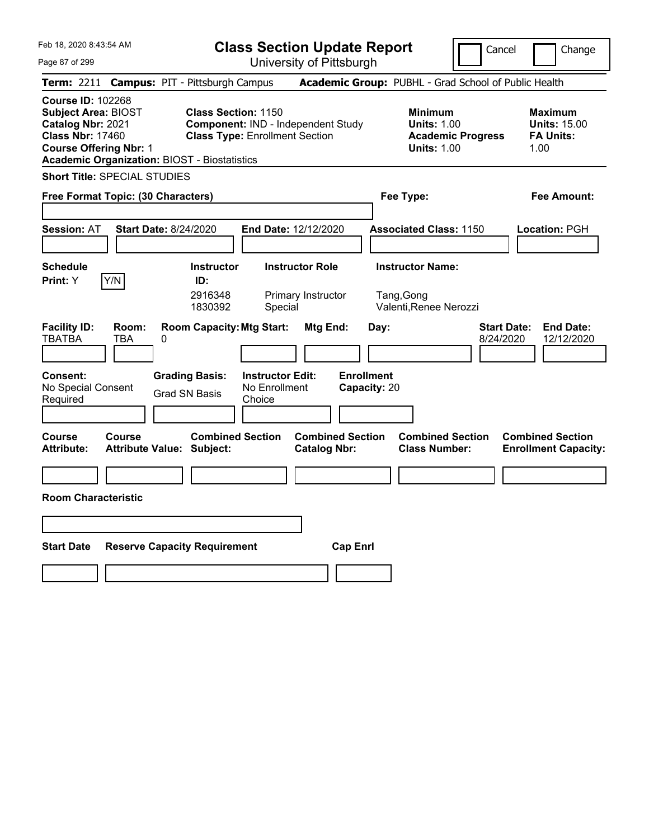| Feb 18, 2020 8:43:54 AM                                                                                                                                                                        |                                                                |                                                                     | <b>Class Section Update Report</b>             |                                                            | Cancel                          | Change                                                            |
|------------------------------------------------------------------------------------------------------------------------------------------------------------------------------------------------|----------------------------------------------------------------|---------------------------------------------------------------------|------------------------------------------------|------------------------------------------------------------|---------------------------------|-------------------------------------------------------------------|
| Page 87 of 299                                                                                                                                                                                 |                                                                |                                                                     | University of Pittsburgh                       |                                                            |                                 |                                                                   |
| Term: 2211 Campus: PIT - Pittsburgh Campus                                                                                                                                                     |                                                                |                                                                     |                                                | Academic Group: PUBHL - Grad School of Public Health       |                                 |                                                                   |
| <b>Course ID: 102268</b><br><b>Subject Area: BIOST</b><br>Catalog Nbr: 2021<br><b>Class Nbr: 17460</b><br><b>Course Offering Nbr: 1</b><br><b>Academic Organization: BIOST - Biostatistics</b> |                                                                | <b>Class Section: 1150</b><br><b>Class Type: Enrollment Section</b> | Component: IND - Independent Study             | <b>Minimum</b><br><b>Units: 1.00</b><br><b>Units: 1.00</b> | <b>Academic Progress</b>        | <b>Maximum</b><br><b>Units: 15.00</b><br><b>FA Units:</b><br>1.00 |
| <b>Short Title: SPECIAL STUDIES</b>                                                                                                                                                            |                                                                |                                                                     |                                                |                                                            |                                 |                                                                   |
| Free Format Topic: (30 Characters)                                                                                                                                                             |                                                                |                                                                     |                                                | Fee Type:                                                  |                                 | Fee Amount:                                                       |
|                                                                                                                                                                                                |                                                                |                                                                     |                                                |                                                            |                                 |                                                                   |
| <b>Session: AT</b>                                                                                                                                                                             | Start Date: 8/24/2020                                          |                                                                     | End Date: 12/12/2020                           | <b>Associated Class: 1150</b>                              |                                 | Location: PGH                                                     |
|                                                                                                                                                                                                |                                                                |                                                                     |                                                |                                                            |                                 |                                                                   |
| <b>Schedule</b>                                                                                                                                                                                | <b>Instructor</b>                                              |                                                                     | <b>Instructor Role</b>                         | <b>Instructor Name:</b>                                    |                                 |                                                                   |
| Y/N<br><b>Print:</b> Y                                                                                                                                                                         | ID:<br>2916348<br>1830392                                      | Special                                                             | Primary Instructor                             | Tang, Gong<br>Valenti, Renee Nerozzi                       |                                 |                                                                   |
| <b>Facility ID:</b><br>Room:<br><b>TBATBA</b><br>TBA<br><b>Consent:</b>                                                                                                                        | <b>Room Capacity: Mtg Start:</b><br>0<br><b>Grading Basis:</b> | <b>Instructor Edit:</b>                                             | Mtg End:                                       | Day:<br><b>Enrollment</b>                                  | <b>Start Date:</b><br>8/24/2020 | <b>End Date:</b><br>12/12/2020                                    |
| No Special Consent<br>Required                                                                                                                                                                 | Grad SN Basis                                                  | No Enrollment<br>Choice                                             |                                                | Capacity: 20                                               |                                 |                                                                   |
|                                                                                                                                                                                                |                                                                |                                                                     |                                                |                                                            |                                 |                                                                   |
| Course<br>Course<br>Attribute:                                                                                                                                                                 | <b>Attribute Value: Subject:</b>                               | <b>Combined Section</b>                                             | <b>Combined Section</b><br><b>Catalog Nbr:</b> | <b>Class Number:</b>                                       | <b>Combined Section</b>         | <b>Combined Section</b><br><b>Enrollment Capacity:</b>            |
|                                                                                                                                                                                                |                                                                |                                                                     |                                                |                                                            |                                 |                                                                   |
| <b>Room Characteristic</b>                                                                                                                                                                     |                                                                |                                                                     |                                                |                                                            |                                 |                                                                   |
|                                                                                                                                                                                                |                                                                |                                                                     |                                                |                                                            |                                 |                                                                   |
| <b>Start Date</b>                                                                                                                                                                              | <b>Reserve Capacity Requirement</b>                            |                                                                     | <b>Cap Enrl</b>                                |                                                            |                                 |                                                                   |
|                                                                                                                                                                                                |                                                                |                                                                     |                                                |                                                            |                                 |                                                                   |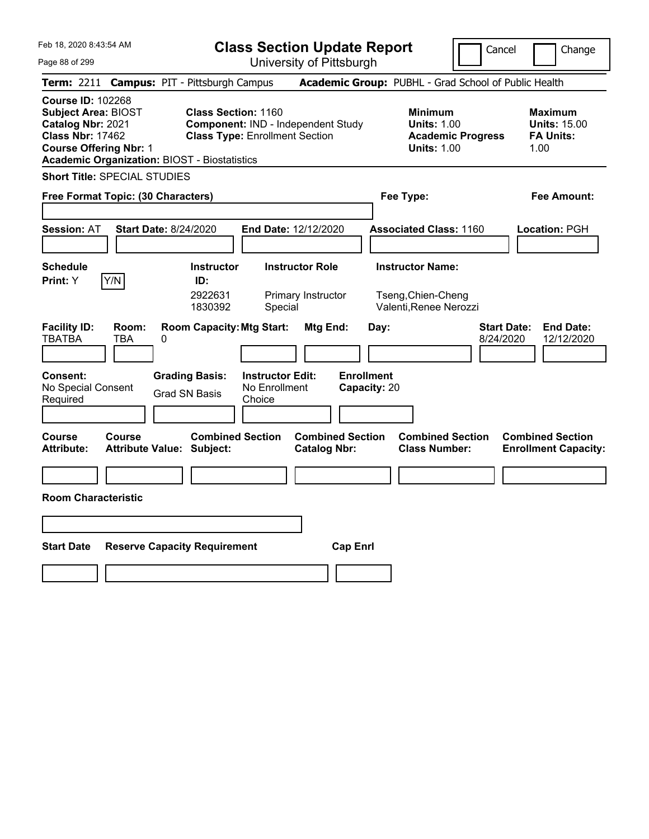| Feb 18, 2020 8:43:54 AM                                                                                                                                                                        |                                                                                                                                         | <b>Class Section Update Report</b>             |                                                                                        | Cancel<br>Change                                                  |
|------------------------------------------------------------------------------------------------------------------------------------------------------------------------------------------------|-----------------------------------------------------------------------------------------------------------------------------------------|------------------------------------------------|----------------------------------------------------------------------------------------|-------------------------------------------------------------------|
| Page 88 of 299                                                                                                                                                                                 |                                                                                                                                         | University of Pittsburgh                       |                                                                                        |                                                                   |
| <b>Term: 2211</b>                                                                                                                                                                              | <b>Campus: PIT - Pittsburgh Campus</b>                                                                                                  |                                                | Academic Group: PUBHL - Grad School of Public Health                                   |                                                                   |
| <b>Course ID: 102268</b><br><b>Subject Area: BIOST</b><br>Catalog Nbr: 2021<br><b>Class Nbr: 17462</b><br><b>Course Offering Nbr: 1</b><br><b>Academic Organization: BIOST - Biostatistics</b> | <b>Class Section: 1160</b><br><b>Component: IND - Independent Study</b><br><b>Class Type: Enrollment Section</b>                        |                                                | <b>Minimum</b><br><b>Units: 1.00</b><br><b>Academic Progress</b><br><b>Units: 1.00</b> | <b>Maximum</b><br><b>Units: 15.00</b><br><b>FA Units:</b><br>1.00 |
| <b>Short Title: SPECIAL STUDIES</b>                                                                                                                                                            |                                                                                                                                         |                                                |                                                                                        |                                                                   |
| Free Format Topic: (30 Characters)                                                                                                                                                             |                                                                                                                                         |                                                | Fee Type:                                                                              | Fee Amount:                                                       |
|                                                                                                                                                                                                |                                                                                                                                         |                                                |                                                                                        |                                                                   |
| <b>Session: AT</b><br><b>Start Date: 8/24/2020</b>                                                                                                                                             |                                                                                                                                         | <b>End Date: 12/12/2020</b>                    | <b>Associated Class: 1160</b>                                                          | <b>Location: PGH</b>                                              |
| <b>Schedule</b><br>Y/N<br><b>Print:</b> Y                                                                                                                                                      | <b>Instructor</b><br>ID:<br>2922631<br>1830392<br>Special                                                                               | <b>Instructor Role</b><br>Primary Instructor   | <b>Instructor Name:</b><br>Tseng, Chien-Cheng<br>Valenti, Renee Nerozzi                |                                                                   |
| <b>Facility ID:</b><br>Room:<br><b>TBATBA</b><br>TBA<br>0<br><b>Consent:</b><br>No Special Consent<br>Required                                                                                 | <b>Room Capacity: Mtg Start:</b><br><b>Grading Basis:</b><br><b>Instructor Edit:</b><br>No Enrollment<br><b>Grad SN Basis</b><br>Choice | Mtg End:<br><b>Enrollment</b><br>Capacity: 20  | Day:                                                                                   | <b>Start Date:</b><br><b>End Date:</b><br>8/24/2020<br>12/12/2020 |
| Course<br><b>Course</b><br><b>Attribute:</b><br><b>Attribute Value: Subject:</b>                                                                                                               | <b>Combined Section</b>                                                                                                                 | <b>Combined Section</b><br><b>Catalog Nbr:</b> | <b>Combined Section</b><br><b>Class Number:</b>                                        | <b>Combined Section</b><br><b>Enrollment Capacity:</b>            |
|                                                                                                                                                                                                |                                                                                                                                         |                                                |                                                                                        |                                                                   |
| <b>Room Characteristic</b>                                                                                                                                                                     |                                                                                                                                         |                                                |                                                                                        |                                                                   |
|                                                                                                                                                                                                |                                                                                                                                         |                                                |                                                                                        |                                                                   |
| <b>Start Date</b>                                                                                                                                                                              | <b>Reserve Capacity Requirement</b>                                                                                                     | <b>Cap Enrl</b>                                |                                                                                        |                                                                   |
|                                                                                                                                                                                                |                                                                                                                                         |                                                |                                                                                        |                                                                   |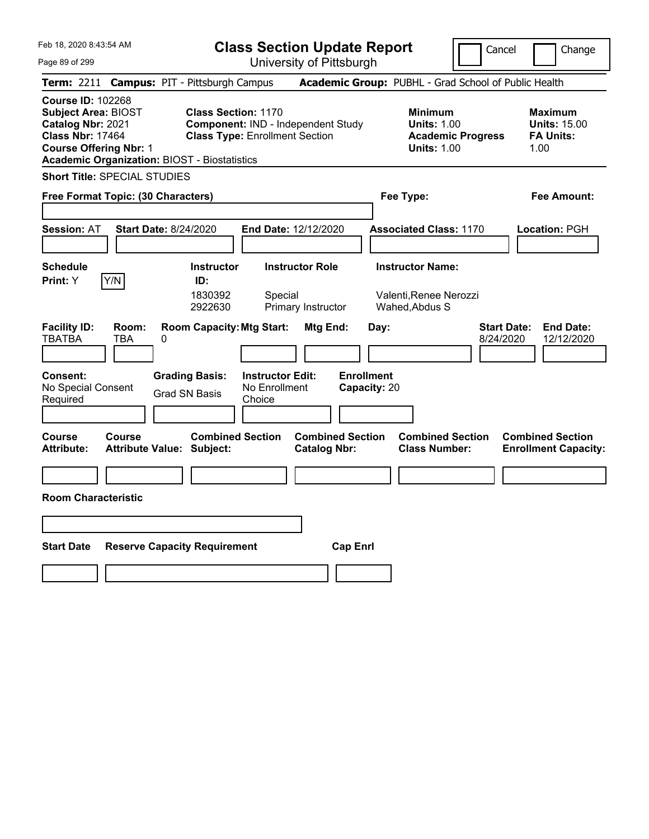|                                                                                                                                                                                                                                                                                                                                                                                                       | Change                                                            |
|-------------------------------------------------------------------------------------------------------------------------------------------------------------------------------------------------------------------------------------------------------------------------------------------------------------------------------------------------------------------------------------------------------|-------------------------------------------------------------------|
| University of Pittsburgh<br>Page 89 of 299                                                                                                                                                                                                                                                                                                                                                            |                                                                   |
| Academic Group: PUBHL - Grad School of Public Health<br><b>Campus: PIT - Pittsburgh Campus</b><br><b>Term: 2211</b>                                                                                                                                                                                                                                                                                   |                                                                   |
| <b>Course ID: 102268</b><br><b>Subject Area: BIOST</b><br><b>Class Section: 1170</b><br><b>Minimum</b><br>Catalog Nbr: 2021<br>Component: IND - Independent Study<br><b>Units: 1.00</b><br><b>Class Nbr: 17464</b><br><b>Class Type: Enrollment Section</b><br><b>Academic Progress</b><br><b>Course Offering Nbr: 1</b><br><b>Units: 1.00</b><br><b>Academic Organization: BIOST - Biostatistics</b> | <b>Maximum</b><br><b>Units: 15.00</b><br><b>FA Units:</b><br>1.00 |
| <b>Short Title: SPECIAL STUDIES</b>                                                                                                                                                                                                                                                                                                                                                                   |                                                                   |
| Fee Type:<br>Free Format Topic: (30 Characters)                                                                                                                                                                                                                                                                                                                                                       | Fee Amount:                                                       |
| <b>Start Date: 8/24/2020</b><br><b>Session: AT</b><br><b>End Date: 12/12/2020</b><br><b>Associated Class: 1170</b>                                                                                                                                                                                                                                                                                    | Location: PGH                                                     |
| <b>Instructor Name:</b><br><b>Schedule</b><br><b>Instructor</b><br><b>Instructor Role</b><br>Y/N<br>Print: Y<br>ID:<br>1830392<br>Valenti, Renee Nerozzi<br>Special<br>2922630<br>Primary Instructor<br>Wahed, Abdus S                                                                                                                                                                                |                                                                   |
| <b>Facility ID:</b><br><b>Room Capacity: Mtg Start:</b><br><b>Start Date:</b><br>Room:<br>Mtg End:<br>Day:<br>TBATBA<br>TBA<br>0<br>8/24/2020<br><b>Enrollment</b><br>Consent:<br><b>Grading Basis:</b><br><b>Instructor Edit:</b><br>No Special Consent<br>No Enrollment<br>Capacity: 20<br><b>Grad SN Basis</b><br>Required<br>Choice                                                               | <b>End Date:</b><br>12/12/2020                                    |
| <b>Combined Section</b><br><b>Combined Section</b><br>Course<br><b>Combined Section</b><br>Course<br><b>Attribute:</b><br>Attribute Value: Subject:<br><b>Catalog Nbr:</b><br><b>Class Number:</b>                                                                                                                                                                                                    | <b>Combined Section</b><br><b>Enrollment Capacity:</b>            |
|                                                                                                                                                                                                                                                                                                                                                                                                       |                                                                   |
| <b>Room Characteristic</b>                                                                                                                                                                                                                                                                                                                                                                            |                                                                   |
|                                                                                                                                                                                                                                                                                                                                                                                                       |                                                                   |
|                                                                                                                                                                                                                                                                                                                                                                                                       |                                                                   |
| <b>Start Date</b><br><b>Reserve Capacity Requirement</b><br><b>Cap Enri</b>                                                                                                                                                                                                                                                                                                                           |                                                                   |
|                                                                                                                                                                                                                                                                                                                                                                                                       |                                                                   |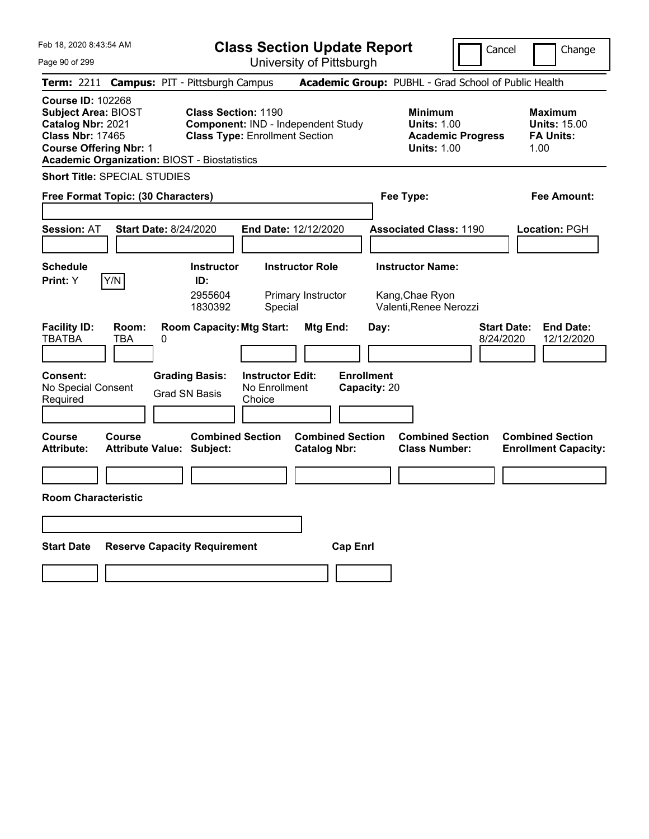| Feb 18, 2020 8:43:54 AM                                                                                                                                                                        | <b>Class Section Update Report</b>                                                                                                      |                                                       | Cancel                                                                                 | Change                                                            |
|------------------------------------------------------------------------------------------------------------------------------------------------------------------------------------------------|-----------------------------------------------------------------------------------------------------------------------------------------|-------------------------------------------------------|----------------------------------------------------------------------------------------|-------------------------------------------------------------------|
| Page 90 of 299                                                                                                                                                                                 | University of Pittsburgh                                                                                                                |                                                       |                                                                                        |                                                                   |
| <b>Term: 2211</b>                                                                                                                                                                              | <b>Campus: PIT - Pittsburgh Campus</b>                                                                                                  | Academic Group: PUBHL - Grad School of Public Health  |                                                                                        |                                                                   |
| <b>Course ID: 102268</b><br><b>Subject Area: BIOST</b><br>Catalog Nbr: 2021<br><b>Class Nbr: 17465</b><br><b>Course Offering Nbr: 1</b><br><b>Academic Organization: BIOST - Biostatistics</b> | <b>Class Section: 1190</b><br>Component: IND - Independent Study<br><b>Class Type: Enrollment Section</b>                               |                                                       | <b>Minimum</b><br><b>Units: 1.00</b><br><b>Academic Progress</b><br><b>Units: 1.00</b> | <b>Maximum</b><br><b>Units: 15.00</b><br><b>FA Units:</b><br>1.00 |
| <b>Short Title: SPECIAL STUDIES</b>                                                                                                                                                            |                                                                                                                                         |                                                       |                                                                                        |                                                                   |
| Free Format Topic: (30 Characters)                                                                                                                                                             |                                                                                                                                         | Fee Type:                                             |                                                                                        | Fee Amount:                                                       |
| <b>Start Date: 8/24/2020</b><br><b>Session: AT</b>                                                                                                                                             | End Date: 12/12/2020                                                                                                                    |                                                       | <b>Associated Class: 1190</b>                                                          | Location: PGH                                                     |
| <b>Schedule</b><br>Y/N<br>Print: Y                                                                                                                                                             | <b>Instructor</b><br><b>Instructor Role</b><br>ID:<br>2955604<br>Primary Instructor<br>1830392<br>Special                               | Kang, Chae Ryon                                       | <b>Instructor Name:</b><br>Valenti, Renee Nerozzi                                      |                                                                   |
| <b>Facility ID:</b><br>Room:<br>TBATBA<br>TBA<br>0<br>Consent:<br>No Special Consent<br>Required                                                                                               | <b>Room Capacity: Mtg Start:</b><br><b>Grading Basis:</b><br><b>Instructor Edit:</b><br>No Enrollment<br><b>Grad SN Basis</b><br>Choice | Mtg End:<br>Day:<br><b>Enrollment</b><br>Capacity: 20 | <b>Start Date:</b><br>8/24/2020                                                        | <b>End Date:</b><br>12/12/2020                                    |
| Course<br>Course<br><b>Attribute:</b><br>Attribute Value: Subject:                                                                                                                             | <b>Combined Section</b>                                                                                                                 | <b>Combined Section</b><br><b>Catalog Nbr:</b>        | <b>Combined Section</b><br><b>Class Number:</b>                                        | <b>Combined Section</b><br><b>Enrollment Capacity:</b>            |
|                                                                                                                                                                                                |                                                                                                                                         |                                                       |                                                                                        |                                                                   |
| <b>Room Characteristic</b>                                                                                                                                                                     |                                                                                                                                         |                                                       |                                                                                        |                                                                   |
|                                                                                                                                                                                                |                                                                                                                                         |                                                       |                                                                                        |                                                                   |
|                                                                                                                                                                                                |                                                                                                                                         |                                                       |                                                                                        |                                                                   |
| <b>Start Date</b>                                                                                                                                                                              | <b>Reserve Capacity Requirement</b>                                                                                                     | <b>Cap Enrl</b>                                       |                                                                                        |                                                                   |
|                                                                                                                                                                                                |                                                                                                                                         |                                                       |                                                                                        |                                                                   |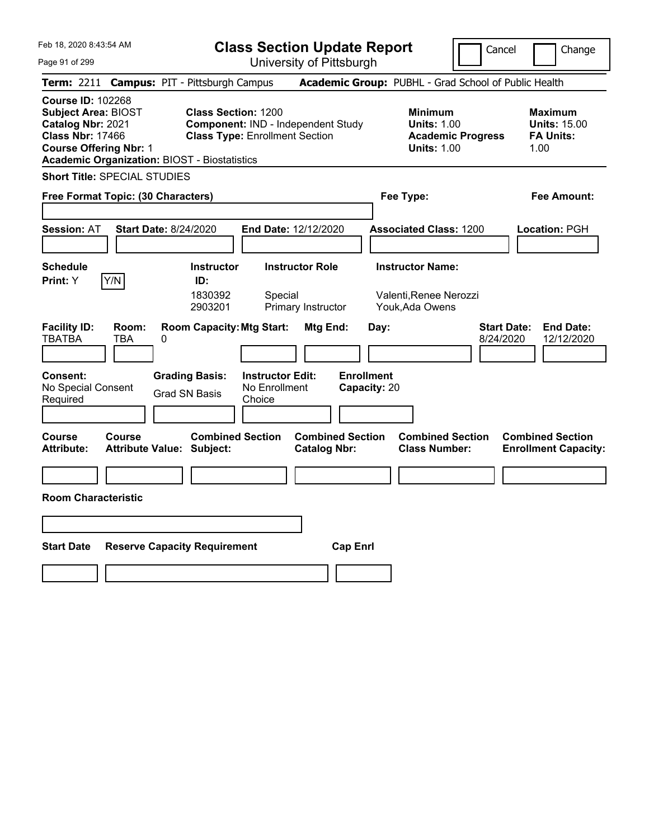| Feb 18, 2020 8:43:54 AM                                                                                                                                                                        |                                                                                        |                                                                     | <b>Class Section Update Report</b>             |                                           |                                                                                        | Cancel<br>Change                                                  |
|------------------------------------------------------------------------------------------------------------------------------------------------------------------------------------------------|----------------------------------------------------------------------------------------|---------------------------------------------------------------------|------------------------------------------------|-------------------------------------------|----------------------------------------------------------------------------------------|-------------------------------------------------------------------|
| Page 91 of 299                                                                                                                                                                                 |                                                                                        |                                                                     | University of Pittsburgh                       |                                           |                                                                                        |                                                                   |
| <b>Term: 2211</b>                                                                                                                                                                              | <b>Campus: PIT - Pittsburgh Campus</b>                                                 |                                                                     |                                                |                                           | Academic Group: PUBHL - Grad School of Public Health                                   |                                                                   |
| <b>Course ID: 102268</b><br><b>Subject Area: BIOST</b><br>Catalog Nbr: 2021<br><b>Class Nbr: 17466</b><br><b>Course Offering Nbr: 1</b><br><b>Academic Organization: BIOST - Biostatistics</b> |                                                                                        | <b>Class Section: 1200</b><br><b>Class Type: Enrollment Section</b> | <b>Component: IND - Independent Study</b>      |                                           | <b>Minimum</b><br><b>Units: 1.00</b><br><b>Academic Progress</b><br><b>Units: 1.00</b> | <b>Maximum</b><br><b>Units: 15.00</b><br><b>FA Units:</b><br>1.00 |
| <b>Short Title: SPECIAL STUDIES</b>                                                                                                                                                            |                                                                                        |                                                                     |                                                |                                           |                                                                                        |                                                                   |
| Free Format Topic: (30 Characters)                                                                                                                                                             |                                                                                        |                                                                     |                                                | Fee Type:                                 |                                                                                        | Fee Amount:                                                       |
|                                                                                                                                                                                                |                                                                                        |                                                                     |                                                |                                           |                                                                                        |                                                                   |
| <b>Session: AT</b>                                                                                                                                                                             | <b>Start Date: 8/24/2020</b>                                                           |                                                                     | <b>End Date: 12/12/2020</b>                    |                                           | <b>Associated Class: 1200</b>                                                          | <b>Location: PGH</b>                                              |
|                                                                                                                                                                                                |                                                                                        |                                                                     |                                                |                                           |                                                                                        |                                                                   |
| <b>Schedule</b>                                                                                                                                                                                | <b>Instructor</b>                                                                      |                                                                     | <b>Instructor Role</b>                         | <b>Instructor Name:</b>                   |                                                                                        |                                                                   |
| Y/N<br>Print: Y                                                                                                                                                                                | ID:<br>1830392<br>2903201                                                              | Special                                                             | Primary Instructor                             | Youk, Ada Owens                           | Valenti, Renee Nerozzi                                                                 |                                                                   |
| <b>Facility ID:</b><br>Room:<br><b>TBATBA</b><br>TBA<br><b>Consent:</b><br>No Special Consent<br>Required                                                                                      | <b>Room Capacity: Mtg Start:</b><br>0<br><b>Grading Basis:</b><br><b>Grad SN Basis</b> | <b>Instructor Edit:</b><br>No Enrollment<br>Choice                  | Mtg End:                                       | Day:<br><b>Enrollment</b><br>Capacity: 20 |                                                                                        | <b>Start Date:</b><br><b>End Date:</b><br>8/24/2020<br>12/12/2020 |
|                                                                                                                                                                                                |                                                                                        |                                                                     |                                                |                                           |                                                                                        |                                                                   |
| <b>Course</b><br>Course<br><b>Attribute:</b>                                                                                                                                                   | <b>Attribute Value: Subject:</b>                                                       | <b>Combined Section</b>                                             | <b>Combined Section</b><br><b>Catalog Nbr:</b> |                                           | <b>Combined Section</b><br><b>Class Number:</b>                                        | <b>Combined Section</b><br><b>Enrollment Capacity:</b>            |
|                                                                                                                                                                                                |                                                                                        |                                                                     |                                                |                                           |                                                                                        |                                                                   |
| <b>Room Characteristic</b>                                                                                                                                                                     |                                                                                        |                                                                     |                                                |                                           |                                                                                        |                                                                   |
|                                                                                                                                                                                                |                                                                                        |                                                                     |                                                |                                           |                                                                                        |                                                                   |
|                                                                                                                                                                                                |                                                                                        |                                                                     |                                                |                                           |                                                                                        |                                                                   |
| <b>Start Date</b>                                                                                                                                                                              | <b>Reserve Capacity Requirement</b>                                                    |                                                                     | <b>Cap Enrl</b>                                |                                           |                                                                                        |                                                                   |
|                                                                                                                                                                                                |                                                                                        |                                                                     |                                                |                                           |                                                                                        |                                                                   |
|                                                                                                                                                                                                |                                                                                        |                                                                     |                                                |                                           |                                                                                        |                                                                   |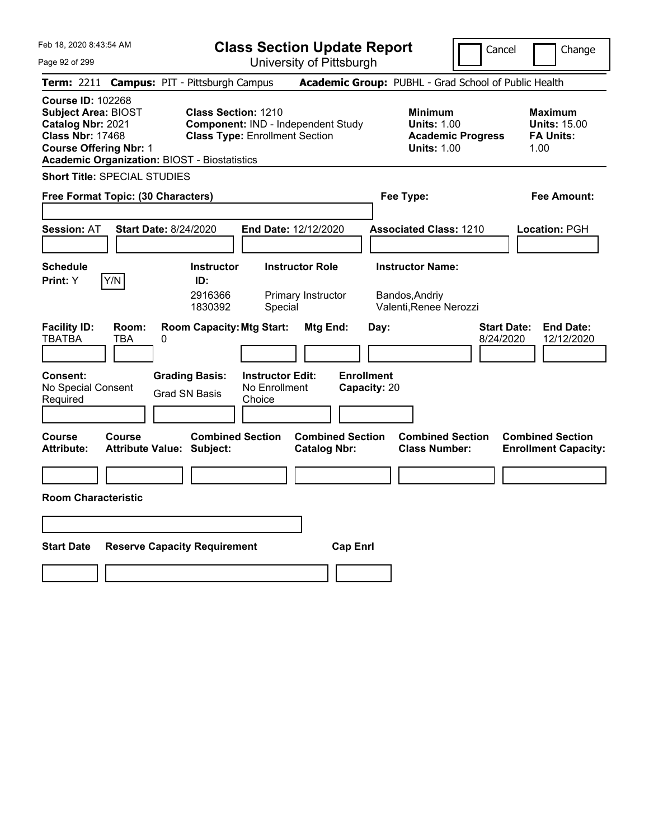| Feb 18, 2020 8:43:54 AM                                                                                                                 |                                                     |                                                                                   |                                                    | <b>Class Section Update Report</b>             |                                           |                                                                    | Cancel                          | Change                                                            |
|-----------------------------------------------------------------------------------------------------------------------------------------|-----------------------------------------------------|-----------------------------------------------------------------------------------|----------------------------------------------------|------------------------------------------------|-------------------------------------------|--------------------------------------------------------------------|---------------------------------|-------------------------------------------------------------------|
| Page 92 of 299                                                                                                                          |                                                     |                                                                                   |                                                    | University of Pittsburgh                       |                                           |                                                                    |                                 |                                                                   |
| <b>Term: 2211</b>                                                                                                                       | <b>Campus: PIT - Pittsburgh Campus</b>              |                                                                                   |                                                    |                                                |                                           | Academic Group: PUBHL - Grad School of Public Health               |                                 |                                                                   |
| <b>Course ID: 102268</b><br><b>Subject Area: BIOST</b><br>Catalog Nbr: 2021<br><b>Class Nbr: 17468</b><br><b>Course Offering Nbr: 1</b> | <b>Academic Organization: BIOST - Biostatistics</b> | <b>Class Section: 1210</b><br><b>Class Type: Enrollment Section</b>               |                                                    | Component: IND - Independent Study             |                                           | <b>Minimum</b><br><b>Units: 1.00</b><br><b>Units: 1.00</b>         | <b>Academic Progress</b>        | <b>Maximum</b><br><b>Units: 15.00</b><br><b>FA Units:</b><br>1.00 |
|                                                                                                                                         | <b>Short Title: SPECIAL STUDIES</b>                 |                                                                                   |                                                    |                                                |                                           |                                                                    |                                 |                                                                   |
|                                                                                                                                         | Free Format Topic: (30 Characters)                  |                                                                                   |                                                    |                                                |                                           | Fee Type:                                                          |                                 | Fee Amount:                                                       |
| <b>Session: AT</b>                                                                                                                      | <b>Start Date: 8/24/2020</b>                        |                                                                                   |                                                    | End Date: 12/12/2020                           |                                           | <b>Associated Class: 1210</b>                                      |                                 | Location: PGH                                                     |
| <b>Schedule</b><br>Print: Y                                                                                                             | Y/N                                                 | <b>Instructor</b><br>ID:<br>2916366<br>1830392                                    | Special                                            | <b>Instructor Role</b><br>Primary Instructor   |                                           | <b>Instructor Name:</b><br>Bandos,Andriy<br>Valenti, Renee Nerozzi |                                 |                                                                   |
| <b>Facility ID:</b><br>TBATBA<br>Consent:<br>No Special Consent<br>Required                                                             | Room:<br>TBA<br>0                                   | <b>Room Capacity: Mtg Start:</b><br><b>Grading Basis:</b><br><b>Grad SN Basis</b> | <b>Instructor Edit:</b><br>No Enrollment<br>Choice | Mtg End:                                       | Day:<br><b>Enrollment</b><br>Capacity: 20 |                                                                    | <b>Start Date:</b><br>8/24/2020 | <b>End Date:</b><br>12/12/2020                                    |
| Course<br><b>Attribute:</b>                                                                                                             | Course<br>Attribute Value: Subject:                 | <b>Combined Section</b>                                                           |                                                    | <b>Combined Section</b><br><b>Catalog Nbr:</b> |                                           | <b>Combined Section</b><br><b>Class Number:</b>                    |                                 | <b>Combined Section</b><br><b>Enrollment Capacity:</b>            |
|                                                                                                                                         |                                                     |                                                                                   |                                                    |                                                |                                           |                                                                    |                                 |                                                                   |
| <b>Room Characteristic</b>                                                                                                              |                                                     |                                                                                   |                                                    |                                                |                                           |                                                                    |                                 |                                                                   |
|                                                                                                                                         |                                                     |                                                                                   |                                                    |                                                |                                           |                                                                    |                                 |                                                                   |
| <b>Start Date</b>                                                                                                                       | <b>Reserve Capacity Requirement</b>                 |                                                                                   |                                                    |                                                | <b>Cap Enri</b>                           |                                                                    |                                 |                                                                   |
|                                                                                                                                         |                                                     |                                                                                   |                                                    |                                                |                                           |                                                                    |                                 |                                                                   |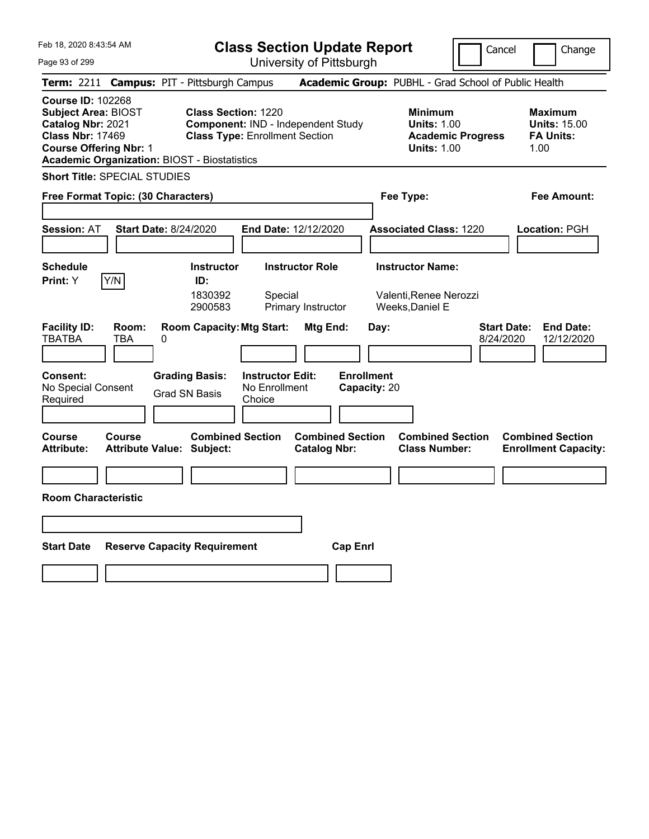| Feb 18, 2020 8:43:54 AM                                                                                                                                                                        |                                                                                 |                                                    | <b>Class Section Update Report</b>             |                                            |                                                                                        | Cancel<br>Change                                                  |
|------------------------------------------------------------------------------------------------------------------------------------------------------------------------------------------------|---------------------------------------------------------------------------------|----------------------------------------------------|------------------------------------------------|--------------------------------------------|----------------------------------------------------------------------------------------|-------------------------------------------------------------------|
| Page 93 of 299                                                                                                                                                                                 |                                                                                 |                                                    | University of Pittsburgh                       |                                            |                                                                                        |                                                                   |
| Term: 2211 Campus: PIT - Pittsburgh Campus                                                                                                                                                     |                                                                                 |                                                    |                                                |                                            |                                                                                        | Academic Group: PUBHL - Grad School of Public Health              |
| <b>Course ID: 102268</b><br><b>Subject Area: BIOST</b><br>Catalog Nbr: 2021<br><b>Class Nbr: 17469</b><br><b>Course Offering Nbr: 1</b><br><b>Academic Organization: BIOST - Biostatistics</b> | <b>Class Section: 1220</b>                                                      | <b>Class Type: Enrollment Section</b>              | Component: IND - Independent Study             |                                            | <b>Minimum</b><br><b>Units: 1.00</b><br><b>Academic Progress</b><br><b>Units: 1.00</b> | <b>Maximum</b><br><b>Units: 15.00</b><br><b>FA Units:</b><br>1.00 |
| <b>Short Title: SPECIAL STUDIES</b>                                                                                                                                                            |                                                                                 |                                                    |                                                |                                            |                                                                                        |                                                                   |
| Free Format Topic: (30 Characters)                                                                                                                                                             |                                                                                 |                                                    |                                                | Fee Type:                                  |                                                                                        | Fee Amount:                                                       |
| <b>Session: AT</b>                                                                                                                                                                             | Start Date: 8/24/2020                                                           |                                                    | End Date: 12/12/2020                           |                                            | <b>Associated Class: 1220</b>                                                          | Location: PGH                                                     |
| <b>Schedule</b><br>Y/N<br><b>Print:</b> Y                                                                                                                                                      | <b>Instructor</b><br>ID:<br>1830392<br>2900583                                  | Special                                            | <b>Instructor Role</b><br>Primary Instructor   | <b>Instructor Name:</b><br>Weeks, Daniel E | Valenti, Renee Nerozzi                                                                 |                                                                   |
| <b>Facility ID:</b><br>Room:<br><b>TBATBA</b><br>TBA<br><b>Consent:</b><br>No Special Consent<br>Required                                                                                      | <b>Room Capacity: Mtg Start:</b><br>0<br><b>Grading Basis:</b><br>Grad SN Basis | <b>Instructor Edit:</b><br>No Enrollment<br>Choice | Mtg End:                                       | Day:<br><b>Enrollment</b><br>Capacity: 20  |                                                                                        | <b>Start Date:</b><br><b>End Date:</b><br>8/24/2020<br>12/12/2020 |
| Course<br>Course<br>Attribute:                                                                                                                                                                 | <b>Combined Section</b><br><b>Attribute Value: Subject:</b>                     |                                                    | <b>Combined Section</b><br><b>Catalog Nbr:</b> |                                            | <b>Combined Section</b><br><b>Class Number:</b>                                        | <b>Combined Section</b><br><b>Enrollment Capacity:</b>            |
|                                                                                                                                                                                                |                                                                                 |                                                    |                                                |                                            |                                                                                        |                                                                   |
| <b>Room Characteristic</b>                                                                                                                                                                     |                                                                                 |                                                    |                                                |                                            |                                                                                        |                                                                   |
|                                                                                                                                                                                                |                                                                                 |                                                    |                                                |                                            |                                                                                        |                                                                   |
| <b>Start Date</b>                                                                                                                                                                              | <b>Reserve Capacity Requirement</b>                                             |                                                    | <b>Cap Enrl</b>                                |                                            |                                                                                        |                                                                   |
|                                                                                                                                                                                                |                                                                                 |                                                    |                                                |                                            |                                                                                        |                                                                   |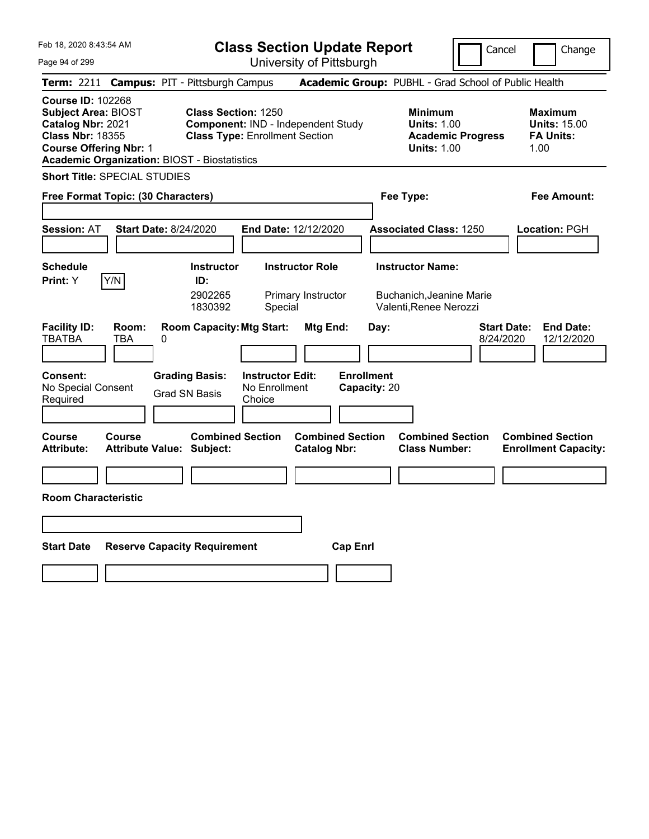| Feb 18, 2020 8:43:54 AM                                                                                                                                                                        |                                                                                                           | <b>Class Section Update Report</b>                   |                                           |                                                                                        | Cancel                          | Change                                                            |
|------------------------------------------------------------------------------------------------------------------------------------------------------------------------------------------------|-----------------------------------------------------------------------------------------------------------|------------------------------------------------------|-------------------------------------------|----------------------------------------------------------------------------------------|---------------------------------|-------------------------------------------------------------------|
| Page 94 of 299                                                                                                                                                                                 |                                                                                                           | University of Pittsburgh                             |                                           |                                                                                        |                                 |                                                                   |
| Term: 2211 Campus: PIT - Pittsburgh Campus                                                                                                                                                     |                                                                                                           |                                                      |                                           | Academic Group: PUBHL - Grad School of Public Health                                   |                                 |                                                                   |
| <b>Course ID: 102268</b><br><b>Subject Area: BIOST</b><br>Catalog Nbr: 2021<br><b>Class Nbr: 18355</b><br><b>Course Offering Nbr: 1</b><br><b>Academic Organization: BIOST - Biostatistics</b> | <b>Class Section: 1250</b><br>Component: IND - Independent Study<br><b>Class Type: Enrollment Section</b> |                                                      |                                           | <b>Minimum</b><br><b>Units: 1.00</b><br><b>Academic Progress</b><br><b>Units: 1.00</b> |                                 | <b>Maximum</b><br><b>Units: 15.00</b><br><b>FA Units:</b><br>1.00 |
| <b>Short Title: SPECIAL STUDIES</b>                                                                                                                                                            |                                                                                                           |                                                      |                                           |                                                                                        |                                 |                                                                   |
| Free Format Topic: (30 Characters)                                                                                                                                                             |                                                                                                           |                                                      |                                           | Fee Type:                                                                              |                                 | Fee Amount:                                                       |
|                                                                                                                                                                                                |                                                                                                           |                                                      |                                           |                                                                                        |                                 |                                                                   |
| <b>Session: AT</b><br>Start Date: 8/24/2020                                                                                                                                                    |                                                                                                           | End Date: 12/12/2020                                 |                                           | <b>Associated Class: 1250</b>                                                          |                                 | Location: PGH                                                     |
|                                                                                                                                                                                                |                                                                                                           |                                                      |                                           |                                                                                        |                                 |                                                                   |
| <b>Schedule</b>                                                                                                                                                                                | <b>Instructor</b>                                                                                         | <b>Instructor Role</b>                               |                                           | <b>Instructor Name:</b>                                                                |                                 |                                                                   |
| Y/N<br><b>Print:</b> Y                                                                                                                                                                         | ID:<br>2902265<br>1830392                                                                                 | Primary Instructor<br>Special                        |                                           | Buchanich,Jeanine Marie<br>Valenti, Renee Nerozzi                                      |                                 |                                                                   |
| <b>Facility ID:</b><br>Room:<br><b>TBATBA</b><br>TBA<br>0<br><b>Consent:</b><br>No Special Consent                                                                                             | <b>Room Capacity: Mtg Start:</b><br><b>Grading Basis:</b>                                                 | Mtg End:<br><b>Instructor Edit:</b><br>No Enrollment | Day:<br><b>Enrollment</b><br>Capacity: 20 |                                                                                        | <b>Start Date:</b><br>8/24/2020 | <b>End Date:</b><br>12/12/2020                                    |
| Required                                                                                                                                                                                       | Grad SN Basis<br>Choice                                                                                   |                                                      |                                           |                                                                                        |                                 |                                                                   |
|                                                                                                                                                                                                |                                                                                                           |                                                      |                                           |                                                                                        |                                 |                                                                   |
| Course<br>Course<br>Attribute:<br><b>Attribute Value: Subject:</b>                                                                                                                             | <b>Combined Section</b>                                                                                   | <b>Catalog Nbr:</b>                                  | <b>Combined Section</b>                   | <b>Combined Section</b><br><b>Class Number:</b>                                        |                                 | <b>Combined Section</b><br><b>Enrollment Capacity:</b>            |
|                                                                                                                                                                                                |                                                                                                           |                                                      |                                           |                                                                                        |                                 |                                                                   |
| <b>Room Characteristic</b>                                                                                                                                                                     |                                                                                                           |                                                      |                                           |                                                                                        |                                 |                                                                   |
|                                                                                                                                                                                                |                                                                                                           |                                                      |                                           |                                                                                        |                                 |                                                                   |
| <b>Start Date</b>                                                                                                                                                                              | <b>Reserve Capacity Requirement</b>                                                                       |                                                      | <b>Cap Enrl</b>                           |                                                                                        |                                 |                                                                   |
|                                                                                                                                                                                                |                                                                                                           |                                                      |                                           |                                                                                        |                                 |                                                                   |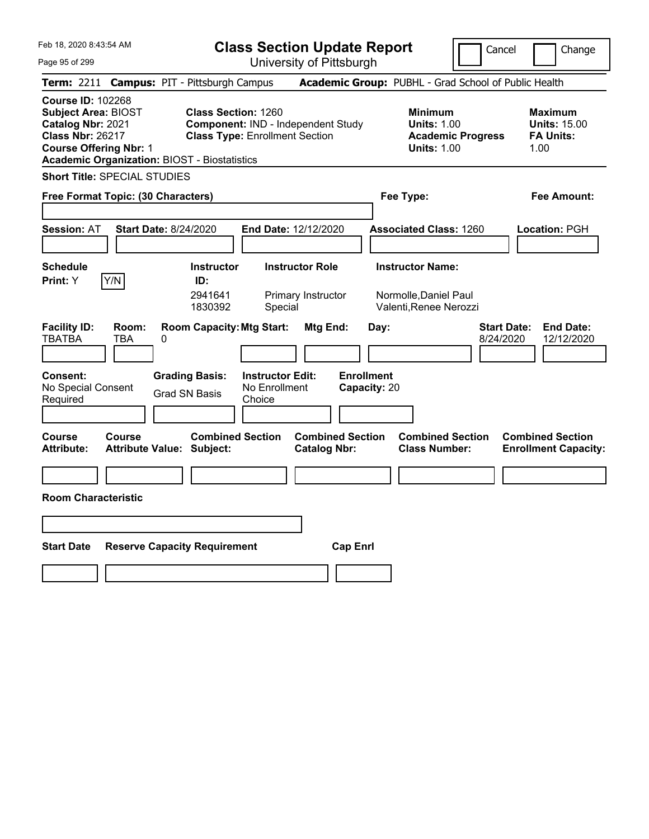| Feb 18, 2020 8:43:54 AM                                                                                                                                                                        | <b>Class Section Update Report</b>                                                                                                      |                                                                            | Cancel                          | Change                                                            |
|------------------------------------------------------------------------------------------------------------------------------------------------------------------------------------------------|-----------------------------------------------------------------------------------------------------------------------------------------|----------------------------------------------------------------------------|---------------------------------|-------------------------------------------------------------------|
| Page 95 of 299                                                                                                                                                                                 | University of Pittsburgh                                                                                                                |                                                                            |                                 |                                                                   |
| <b>Term: 2211</b>                                                                                                                                                                              | <b>Campus: PIT - Pittsburgh Campus</b>                                                                                                  | Academic Group: PUBHL - Grad School of Public Health                       |                                 |                                                                   |
| <b>Course ID: 102268</b><br><b>Subject Area: BIOST</b><br>Catalog Nbr: 2021<br><b>Class Nbr: 26217</b><br><b>Course Offering Nbr: 1</b><br><b>Academic Organization: BIOST - Biostatistics</b> | <b>Class Section: 1260</b><br>Component: IND - Independent Study<br><b>Class Type: Enrollment Section</b>                               | <b>Minimum</b><br><b>Units: 1.00</b><br><b>Units: 1.00</b>                 | <b>Academic Progress</b>        | <b>Maximum</b><br><b>Units: 15.00</b><br><b>FA Units:</b><br>1.00 |
| <b>Short Title: SPECIAL STUDIES</b>                                                                                                                                                            |                                                                                                                                         |                                                                            |                                 |                                                                   |
| Free Format Topic: (30 Characters)                                                                                                                                                             |                                                                                                                                         | Fee Type:                                                                  |                                 | Fee Amount:                                                       |
| <b>Start Date: 8/24/2020</b><br><b>Session: AT</b>                                                                                                                                             | End Date: 12/12/2020                                                                                                                    | <b>Associated Class: 1260</b>                                              |                                 | Location: PGH                                                     |
| <b>Schedule</b><br>Y/N<br>Print: Y                                                                                                                                                             | <b>Instructor</b><br><b>Instructor Role</b><br>ID:<br>2941641<br>Primary Instructor<br>1830392<br>Special                               | <b>Instructor Name:</b><br>Normolle, Daniel Paul<br>Valenti, Renee Nerozzi |                                 |                                                                   |
| <b>Facility ID:</b><br>Room:<br>TBATBA<br>TBA<br>0<br>Consent:<br>No Special Consent<br>Required                                                                                               | <b>Room Capacity: Mtg Start:</b><br><b>Grading Basis:</b><br><b>Instructor Edit:</b><br>No Enrollment<br><b>Grad SN Basis</b><br>Choice | Mtg End:<br>Day:<br><b>Enrollment</b><br>Capacity: 20                      | <b>Start Date:</b><br>8/24/2020 | <b>End Date:</b><br>12/12/2020                                    |
| Course<br>Course<br><b>Attribute:</b><br>Attribute Value: Subject:                                                                                                                             | <b>Combined Section</b>                                                                                                                 | <b>Combined Section</b><br><b>Catalog Nbr:</b><br><b>Class Number:</b>     | <b>Combined Section</b>         | <b>Combined Section</b><br><b>Enrollment Capacity:</b>            |
|                                                                                                                                                                                                |                                                                                                                                         |                                                                            |                                 |                                                                   |
| <b>Room Characteristic</b>                                                                                                                                                                     |                                                                                                                                         |                                                                            |                                 |                                                                   |
|                                                                                                                                                                                                |                                                                                                                                         |                                                                            |                                 |                                                                   |
|                                                                                                                                                                                                |                                                                                                                                         |                                                                            |                                 |                                                                   |
| <b>Start Date</b>                                                                                                                                                                              | <b>Reserve Capacity Requirement</b>                                                                                                     | <b>Cap Enrl</b>                                                            |                                 |                                                                   |
|                                                                                                                                                                                                |                                                                                                                                         |                                                                            |                                 |                                                                   |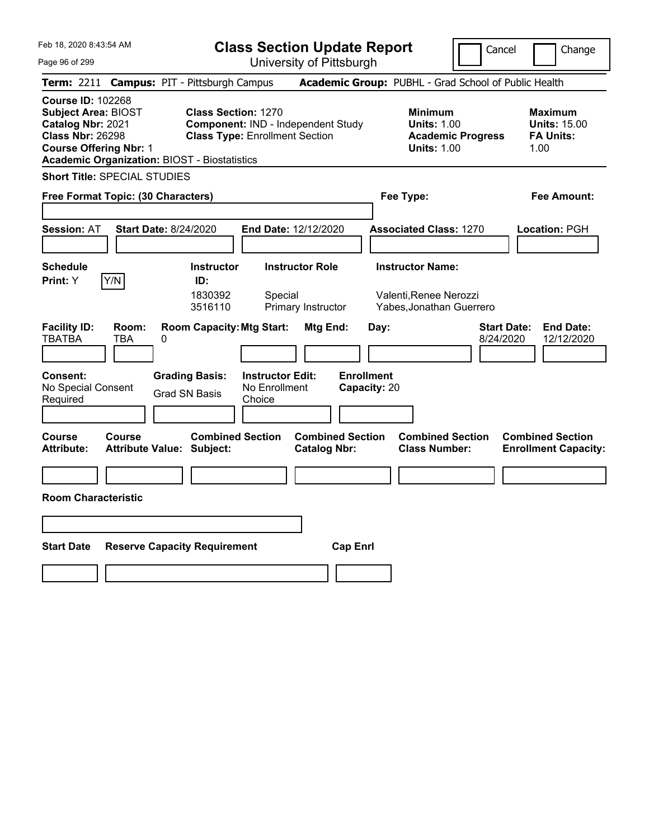| <b>Class Section Update Report</b><br>Cancel                                                                                                                                                                                                                                                                                                                                                          | Change                                                            |
|-------------------------------------------------------------------------------------------------------------------------------------------------------------------------------------------------------------------------------------------------------------------------------------------------------------------------------------------------------------------------------------------------------|-------------------------------------------------------------------|
| University of Pittsburgh<br>Page 96 of 299                                                                                                                                                                                                                                                                                                                                                            |                                                                   |
| Academic Group: PUBHL - Grad School of Public Health<br><b>Campus: PIT - Pittsburgh Campus</b><br><b>Term: 2211</b>                                                                                                                                                                                                                                                                                   |                                                                   |
| <b>Course ID: 102268</b><br><b>Subject Area: BIOST</b><br><b>Class Section: 1270</b><br><b>Minimum</b><br>Catalog Nbr: 2021<br>Component: IND - Independent Study<br><b>Units: 1.00</b><br><b>Class Nbr: 26298</b><br><b>Class Type: Enrollment Section</b><br><b>Academic Progress</b><br><b>Course Offering Nbr: 1</b><br><b>Units: 1.00</b><br><b>Academic Organization: BIOST - Biostatistics</b> | <b>Maximum</b><br><b>Units: 15.00</b><br><b>FA Units:</b><br>1.00 |
| <b>Short Title: SPECIAL STUDIES</b>                                                                                                                                                                                                                                                                                                                                                                   |                                                                   |
| Fee Type:<br>Free Format Topic: (30 Characters)                                                                                                                                                                                                                                                                                                                                                       | Fee Amount:                                                       |
| <b>Start Date: 8/24/2020</b><br>End Date: 12/12/2020<br><b>Session: AT</b><br><b>Associated Class: 1270</b>                                                                                                                                                                                                                                                                                           | Location: PGH                                                     |
| <b>Instructor Name:</b><br><b>Schedule</b><br><b>Instructor</b><br><b>Instructor Role</b><br>Y/N<br>Print: Y<br>ID:<br>1830392<br>Valenti, Renee Nerozzi<br>Special<br>3516110<br>Primary Instructor<br>Yabes, Jonathan Guerrero                                                                                                                                                                      |                                                                   |
| <b>Facility ID:</b><br><b>Room Capacity: Mtg Start:</b><br>Room:<br>Mtg End:<br><b>Start Date:</b><br>Day:<br>TBATBA<br>TBA<br>0<br>8/24/2020<br><b>Enrollment</b><br>Consent:<br><b>Grading Basis:</b><br><b>Instructor Edit:</b><br>No Special Consent<br>No Enrollment<br>Capacity: 20<br><b>Grad SN Basis</b><br>Required<br>Choice                                                               | <b>End Date:</b><br>12/12/2020                                    |
| <b>Combined Section</b><br><b>Combined Section</b><br>Course<br><b>Combined Section</b><br>Course<br><b>Attribute:</b><br>Attribute Value: Subject:<br><b>Catalog Nbr:</b><br><b>Class Number:</b>                                                                                                                                                                                                    | <b>Combined Section</b><br><b>Enrollment Capacity:</b>            |
|                                                                                                                                                                                                                                                                                                                                                                                                       |                                                                   |
| <b>Room Characteristic</b>                                                                                                                                                                                                                                                                                                                                                                            |                                                                   |
|                                                                                                                                                                                                                                                                                                                                                                                                       |                                                                   |
|                                                                                                                                                                                                                                                                                                                                                                                                       |                                                                   |
| <b>Start Date</b><br><b>Reserve Capacity Requirement</b><br><b>Cap Enrl</b>                                                                                                                                                                                                                                                                                                                           |                                                                   |
|                                                                                                                                                                                                                                                                                                                                                                                                       |                                                                   |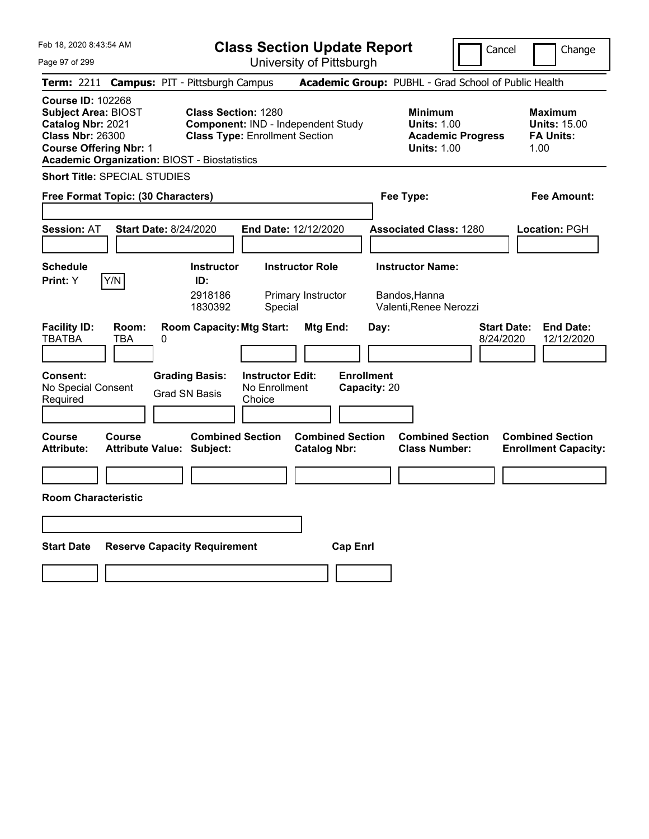| Feb 18, 2020 8:43:54 AM                                                                                                                                                                        | <b>Class Section Update Report</b>                                                                        |                                                                            | Cancel                          | Change                                                            |
|------------------------------------------------------------------------------------------------------------------------------------------------------------------------------------------------|-----------------------------------------------------------------------------------------------------------|----------------------------------------------------------------------------|---------------------------------|-------------------------------------------------------------------|
| Page 97 of 299                                                                                                                                                                                 | University of Pittsburgh                                                                                  |                                                                            |                                 |                                                                   |
| Term: 2211                                                                                                                                                                                     | <b>Campus: PIT - Pittsburgh Campus</b>                                                                    | Academic Group: PUBHL - Grad School of Public Health                       |                                 |                                                                   |
| <b>Course ID: 102268</b><br><b>Subject Area: BIOST</b><br>Catalog Nbr: 2021<br><b>Class Nbr: 26300</b><br><b>Course Offering Nbr: 1</b><br><b>Academic Organization: BIOST - Biostatistics</b> | <b>Class Section: 1280</b><br>Component: IND - Independent Study<br><b>Class Type: Enrollment Section</b> | <b>Minimum</b><br><b>Units: 1.00</b><br><b>Units: 1.00</b>                 | <b>Academic Progress</b>        | <b>Maximum</b><br><b>Units: 15.00</b><br><b>FA Units:</b><br>1.00 |
| <b>Short Title: SPECIAL STUDIES</b>                                                                                                                                                            |                                                                                                           |                                                                            |                                 |                                                                   |
| Free Format Topic: (30 Characters)                                                                                                                                                             |                                                                                                           | Fee Type:                                                                  |                                 | Fee Amount:                                                       |
| <b>Session: AT</b><br><b>Start Date: 8/24/2020</b>                                                                                                                                             | End Date: 12/12/2020                                                                                      | <b>Associated Class: 1280</b>                                              |                                 | <b>Location: PGH</b>                                              |
| <b>Schedule</b>                                                                                                                                                                                | <b>Instructor Role</b><br><b>Instructor</b>                                                               | <b>Instructor Name:</b>                                                    |                                 |                                                                   |
| Y/N<br>Print: Y                                                                                                                                                                                | ID:<br>2918186<br>Primary Instructor<br>1830392<br>Special                                                | Bandos,Hanna<br>Valenti, Renee Nerozzi                                     |                                 |                                                                   |
| <b>Facility ID:</b><br>Room:<br><b>TBATBA</b><br>TBA<br>0                                                                                                                                      | <b>Room Capacity: Mtg Start:</b><br>Mtg End:                                                              | Day:                                                                       | <b>Start Date:</b><br>8/24/2020 | <b>End Date:</b><br>12/12/2020                                    |
| <b>Consent:</b><br>No Special Consent<br>Required                                                                                                                                              | <b>Grading Basis:</b><br><b>Instructor Edit:</b><br>No Enrollment<br><b>Grad SN Basis</b><br>Choice       | <b>Enrollment</b><br>Capacity: 20                                          |                                 |                                                                   |
| <b>Course</b><br>Course<br><b>Attribute:</b><br><b>Attribute Value: Subject:</b>                                                                                                               | <b>Combined Section</b><br><b>Catalog Nbr:</b>                                                            | <b>Combined Section</b><br><b>Combined Section</b><br><b>Class Number:</b> |                                 | <b>Combined Section</b><br><b>Enrollment Capacity:</b>            |
|                                                                                                                                                                                                |                                                                                                           |                                                                            |                                 |                                                                   |
| <b>Room Characteristic</b>                                                                                                                                                                     |                                                                                                           |                                                                            |                                 |                                                                   |
|                                                                                                                                                                                                |                                                                                                           |                                                                            |                                 |                                                                   |
| <b>Start Date</b>                                                                                                                                                                              | <b>Reserve Capacity Requirement</b>                                                                       | <b>Cap Enrl</b>                                                            |                                 |                                                                   |
|                                                                                                                                                                                                |                                                                                                           |                                                                            |                                 |                                                                   |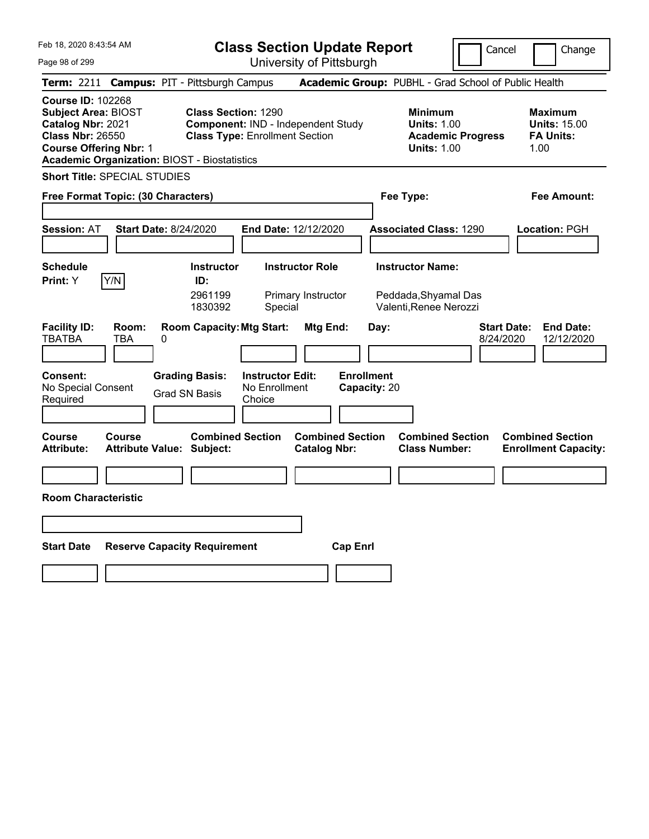| Feb 18, 2020 8:43:54 AM                                                                                                                                                                        |                                                                     | <b>Class Section Update Report</b>             |                                                                                        | Cancel<br>Change                                                  |
|------------------------------------------------------------------------------------------------------------------------------------------------------------------------------------------------|---------------------------------------------------------------------|------------------------------------------------|----------------------------------------------------------------------------------------|-------------------------------------------------------------------|
| Page 98 of 299                                                                                                                                                                                 |                                                                     | University of Pittsburgh                       |                                                                                        |                                                                   |
| <b>Term:</b> 2211                                                                                                                                                                              | <b>Campus: PIT - Pittsburgh Campus</b>                              |                                                | Academic Group: PUBHL - Grad School of Public Health                                   |                                                                   |
| <b>Course ID: 102268</b><br><b>Subject Area: BIOST</b><br>Catalog Nbr: 2021<br><b>Class Nbr: 26550</b><br><b>Course Offering Nbr: 1</b><br><b>Academic Organization: BIOST - Biostatistics</b> | <b>Class Section: 1290</b><br><b>Class Type: Enrollment Section</b> | Component: IND - Independent Study             | <b>Minimum</b><br><b>Units: 1.00</b><br><b>Academic Progress</b><br><b>Units: 1.00</b> | <b>Maximum</b><br><b>Units: 15.00</b><br><b>FA Units:</b><br>1.00 |
| <b>Short Title: SPECIAL STUDIES</b>                                                                                                                                                            |                                                                     |                                                |                                                                                        |                                                                   |
| Free Format Topic: (30 Characters)                                                                                                                                                             |                                                                     |                                                | Fee Type:                                                                              | Fee Amount:                                                       |
|                                                                                                                                                                                                |                                                                     |                                                |                                                                                        |                                                                   |
| <b>Session: AT</b><br><b>Start Date: 8/24/2020</b>                                                                                                                                             |                                                                     | End Date: 12/12/2020                           | <b>Associated Class: 1290</b>                                                          | Location: PGH                                                     |
|                                                                                                                                                                                                |                                                                     |                                                |                                                                                        |                                                                   |
| <b>Schedule</b>                                                                                                                                                                                | <b>Instructor</b>                                                   | <b>Instructor Role</b>                         | <b>Instructor Name:</b>                                                                |                                                                   |
| Y/N<br><b>Print: Y</b>                                                                                                                                                                         | ID:<br>2961199<br>1830392                                           | Primary Instructor<br>Special                  | Peddada, Shyamal Das<br>Valenti, Renee Nerozzi                                         |                                                                   |
| <b>Facility ID:</b><br>Room:<br><b>TBATBA</b><br>TBA<br>0                                                                                                                                      | <b>Room Capacity: Mtg Start:</b>                                    | Mtg End:                                       | Day:                                                                                   | <b>Start Date:</b><br><b>End Date:</b><br>8/24/2020<br>12/12/2020 |
| Consent:<br>No Special Consent<br>Required                                                                                                                                                     | <b>Grading Basis:</b><br><b>Grad SN Basis</b><br>Choice             | <b>Instructor Edit:</b><br>No Enrollment       | <b>Enrollment</b><br>Capacity: 20                                                      |                                                                   |
| Course<br>Course<br><b>Attribute:</b><br><b>Attribute Value: Subject:</b>                                                                                                                      | <b>Combined Section</b>                                             | <b>Combined Section</b><br><b>Catalog Nbr:</b> | <b>Combined Section</b><br><b>Class Number:</b>                                        | <b>Combined Section</b><br><b>Enrollment Capacity:</b>            |
|                                                                                                                                                                                                |                                                                     |                                                |                                                                                        |                                                                   |
| <b>Room Characteristic</b>                                                                                                                                                                     |                                                                     |                                                |                                                                                        |                                                                   |
|                                                                                                                                                                                                |                                                                     |                                                |                                                                                        |                                                                   |
| <b>Start Date</b>                                                                                                                                                                              | <b>Reserve Capacity Requirement</b>                                 | <b>Cap Enrl</b>                                |                                                                                        |                                                                   |
|                                                                                                                                                                                                |                                                                     |                                                |                                                                                        |                                                                   |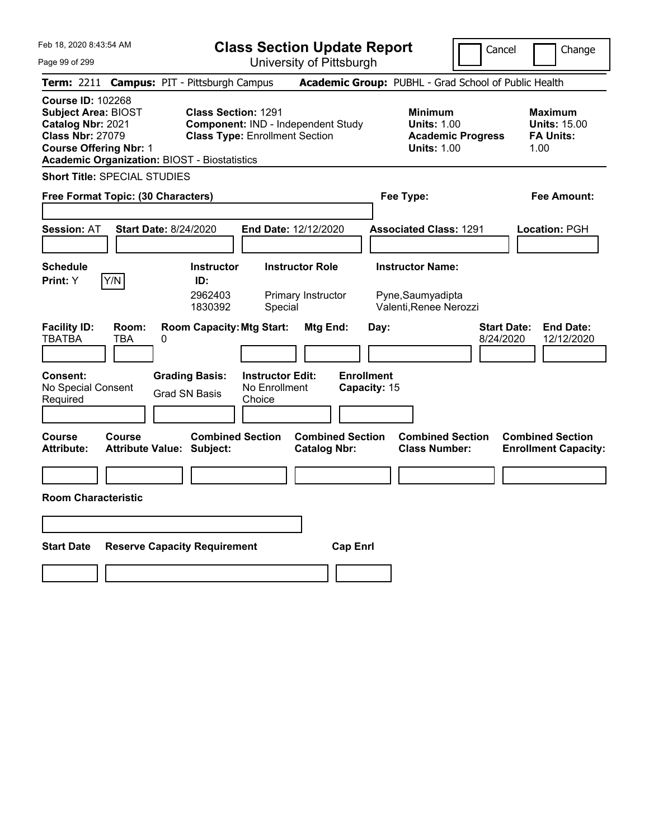| Feb 18, 2020 8:43:54 AM                                                                                                                                                                        | <b>Class Section Update Report</b>                                                                                                      |                                                                                                   | Cancel                          | Change                                                            |
|------------------------------------------------------------------------------------------------------------------------------------------------------------------------------------------------|-----------------------------------------------------------------------------------------------------------------------------------------|---------------------------------------------------------------------------------------------------|---------------------------------|-------------------------------------------------------------------|
| Page 99 of 299                                                                                                                                                                                 | University of Pittsburgh                                                                                                                |                                                                                                   |                                 |                                                                   |
| <b>Term: 2211</b>                                                                                                                                                                              | <b>Campus: PIT - Pittsburgh Campus</b>                                                                                                  | Academic Group: PUBHL - Grad School of Public Health                                              |                                 |                                                                   |
| <b>Course ID: 102268</b><br><b>Subject Area: BIOST</b><br>Catalog Nbr: 2021<br><b>Class Nbr: 27079</b><br><b>Course Offering Nbr: 1</b><br><b>Academic Organization: BIOST - Biostatistics</b> | <b>Class Section: 1291</b><br>Component: IND - Independent Study<br><b>Class Type: Enrollment Section</b>                               | <b>Minimum</b><br><b>Units: 1.00</b><br><b>Units: 1.00</b>                                        | <b>Academic Progress</b>        | <b>Maximum</b><br><b>Units: 15.00</b><br><b>FA Units:</b><br>1.00 |
| <b>Short Title: SPECIAL STUDIES</b>                                                                                                                                                            |                                                                                                                                         |                                                                                                   |                                 |                                                                   |
| Free Format Topic: (30 Characters)                                                                                                                                                             |                                                                                                                                         | Fee Type:                                                                                         |                                 | Fee Amount:                                                       |
| <b>Start Date: 8/24/2020</b><br><b>Session: AT</b>                                                                                                                                             | End Date: 12/12/2020                                                                                                                    | <b>Associated Class: 1291</b>                                                                     |                                 | Location: PGH                                                     |
| <b>Schedule</b><br>Y/N<br>Print: Y                                                                                                                                                             | <b>Instructor</b><br><b>Instructor Role</b><br>ID:<br>2962403<br>Primary Instructor<br>1830392<br>Special                               | <b>Instructor Name:</b><br>Pyne, Saumyadipta<br>Valenti, Renee Nerozzi                            |                                 |                                                                   |
| <b>Facility ID:</b><br>Room:<br>TBATBA<br>TBA<br>0<br>Consent:<br>No Special Consent<br>Required                                                                                               | <b>Room Capacity: Mtg Start:</b><br><b>Grading Basis:</b><br><b>Instructor Edit:</b><br>No Enrollment<br><b>Grad SN Basis</b><br>Choice | Mtg End:<br>Day:<br><b>Enrollment</b><br>Capacity: 15                                             | <b>Start Date:</b><br>8/24/2020 | <b>End Date:</b><br>12/12/2020                                    |
| Course<br>Course<br><b>Attribute:</b><br>Attribute Value: Subject:                                                                                                                             | <b>Combined Section</b>                                                                                                                 | <b>Combined Section</b><br><b>Combined Section</b><br><b>Catalog Nbr:</b><br><b>Class Number:</b> |                                 | <b>Combined Section</b><br><b>Enrollment Capacity:</b>            |
|                                                                                                                                                                                                |                                                                                                                                         |                                                                                                   |                                 |                                                                   |
| <b>Room Characteristic</b>                                                                                                                                                                     |                                                                                                                                         |                                                                                                   |                                 |                                                                   |
|                                                                                                                                                                                                |                                                                                                                                         |                                                                                                   |                                 |                                                                   |
|                                                                                                                                                                                                |                                                                                                                                         |                                                                                                   |                                 |                                                                   |
| <b>Start Date</b>                                                                                                                                                                              | <b>Reserve Capacity Requirement</b>                                                                                                     | <b>Cap Enri</b>                                                                                   |                                 |                                                                   |
|                                                                                                                                                                                                |                                                                                                                                         |                                                                                                   |                                 |                                                                   |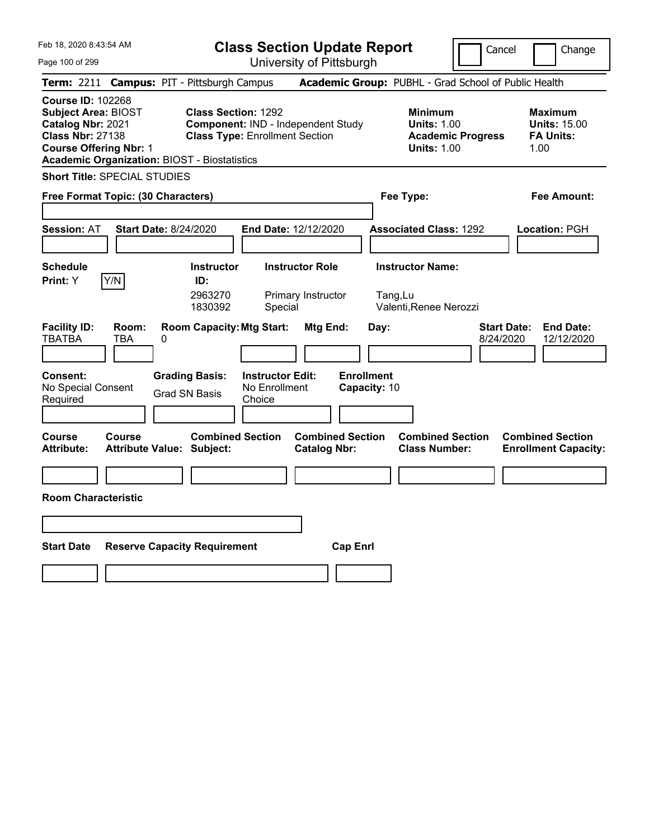| Feb 18, 2020 8:43:54 AM                                                                                                                                                                        |                                                                                 |                                                    | <b>Class Section Update Report</b>             |                                                              | Cancel                                                                                 | Change                                                            |
|------------------------------------------------------------------------------------------------------------------------------------------------------------------------------------------------|---------------------------------------------------------------------------------|----------------------------------------------------|------------------------------------------------|--------------------------------------------------------------|----------------------------------------------------------------------------------------|-------------------------------------------------------------------|
| Page 100 of 299                                                                                                                                                                                |                                                                                 |                                                    | University of Pittsburgh                       |                                                              |                                                                                        |                                                                   |
| Term: 2211 Campus: PIT - Pittsburgh Campus                                                                                                                                                     |                                                                                 |                                                    |                                                |                                                              | Academic Group: PUBHL - Grad School of Public Health                                   |                                                                   |
| <b>Course ID: 102268</b><br><b>Subject Area: BIOST</b><br>Catalog Nbr: 2021<br><b>Class Nbr: 27138</b><br><b>Course Offering Nbr: 1</b><br><b>Academic Organization: BIOST - Biostatistics</b> | <b>Class Section: 1292</b>                                                      | <b>Class Type: Enrollment Section</b>              | Component: IND - Independent Study             |                                                              | <b>Minimum</b><br><b>Units: 1.00</b><br><b>Academic Progress</b><br><b>Units: 1.00</b> | <b>Maximum</b><br><b>Units: 15.00</b><br><b>FA Units:</b><br>1.00 |
| <b>Short Title: SPECIAL STUDIES</b>                                                                                                                                                            |                                                                                 |                                                    |                                                |                                                              |                                                                                        |                                                                   |
| Free Format Topic: (30 Characters)                                                                                                                                                             |                                                                                 |                                                    |                                                | Fee Type:                                                    |                                                                                        | Fee Amount:                                                       |
| <b>Session: AT</b>                                                                                                                                                                             | Start Date: 8/24/2020                                                           |                                                    | End Date: 12/12/2020                           | <b>Associated Class: 1292</b>                                |                                                                                        | Location: PGH                                                     |
| <b>Schedule</b><br>Y/N<br><b>Print:</b> Y                                                                                                                                                      | <b>Instructor</b><br>ID:<br>2963270<br>1830392                                  | Special                                            | <b>Instructor Role</b><br>Primary Instructor   | <b>Instructor Name:</b><br>Tang,Lu<br>Valenti, Renee Nerozzi |                                                                                        |                                                                   |
| <b>Facility ID:</b><br>Room:<br><b>TBATBA</b><br>TBA<br><b>Consent:</b><br>No Special Consent<br>Required                                                                                      | <b>Room Capacity: Mtg Start:</b><br>0<br><b>Grading Basis:</b><br>Grad SN Basis | <b>Instructor Edit:</b><br>No Enrollment<br>Choice | Mtg End:                                       | Day:<br><b>Enrollment</b><br>Capacity: 10                    | <b>Start Date:</b><br>8/24/2020                                                        | <b>End Date:</b><br>12/12/2020                                    |
| Course<br>Course<br>Attribute:                                                                                                                                                                 | <b>Attribute Value: Subject:</b>                                                | <b>Combined Section</b>                            | <b>Combined Section</b><br><b>Catalog Nbr:</b> |                                                              | <b>Combined Section</b><br><b>Class Number:</b>                                        | <b>Combined Section</b><br><b>Enrollment Capacity:</b>            |
|                                                                                                                                                                                                |                                                                                 |                                                    |                                                |                                                              |                                                                                        |                                                                   |
| <b>Room Characteristic</b>                                                                                                                                                                     |                                                                                 |                                                    |                                                |                                                              |                                                                                        |                                                                   |
|                                                                                                                                                                                                |                                                                                 |                                                    |                                                |                                                              |                                                                                        |                                                                   |
| <b>Start Date</b>                                                                                                                                                                              | <b>Reserve Capacity Requirement</b>                                             |                                                    | <b>Cap Enrl</b>                                |                                                              |                                                                                        |                                                                   |
|                                                                                                                                                                                                |                                                                                 |                                                    |                                                |                                                              |                                                                                        |                                                                   |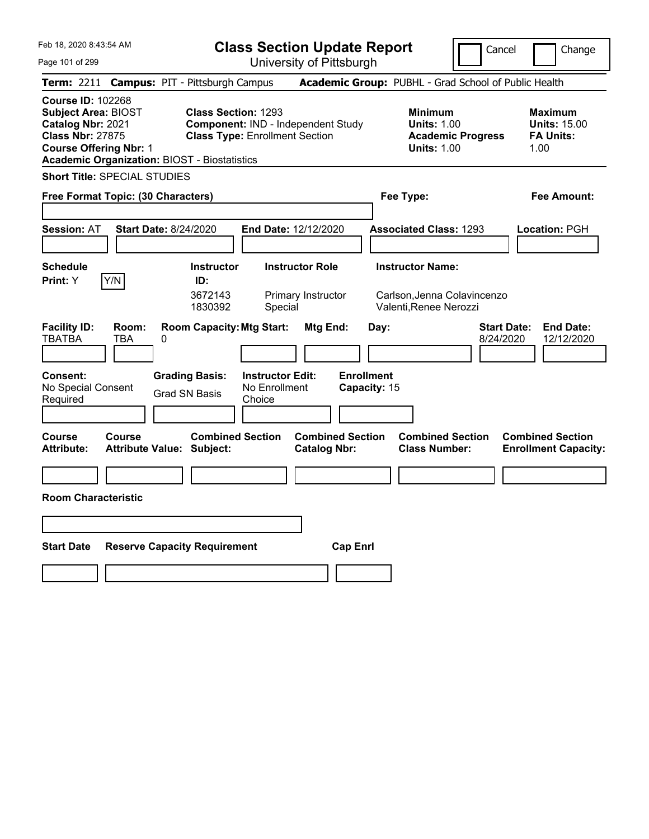| Feb 18, 2020 8:43:54 AM                                                                                                                                                                        |                                                                                 |                                                    | <b>Class Section Update Report</b>             |                                                   | Cancel                                                                                 | Change                                                            |
|------------------------------------------------------------------------------------------------------------------------------------------------------------------------------------------------|---------------------------------------------------------------------------------|----------------------------------------------------|------------------------------------------------|---------------------------------------------------|----------------------------------------------------------------------------------------|-------------------------------------------------------------------|
| Page 101 of 299                                                                                                                                                                                |                                                                                 |                                                    | University of Pittsburgh                       |                                                   |                                                                                        |                                                                   |
| Term: 2211 Campus: PIT - Pittsburgh Campus                                                                                                                                                     |                                                                                 |                                                    |                                                |                                                   | Academic Group: PUBHL - Grad School of Public Health                                   |                                                                   |
| <b>Course ID: 102268</b><br><b>Subject Area: BIOST</b><br>Catalog Nbr: 2021<br><b>Class Nbr: 27875</b><br><b>Course Offering Nbr: 1</b><br><b>Academic Organization: BIOST - Biostatistics</b> | <b>Class Section: 1293</b>                                                      | <b>Class Type: Enrollment Section</b>              | Component: IND - Independent Study             |                                                   | <b>Minimum</b><br><b>Units: 1.00</b><br><b>Academic Progress</b><br><b>Units: 1.00</b> | <b>Maximum</b><br><b>Units: 15.00</b><br><b>FA Units:</b><br>1.00 |
| <b>Short Title: SPECIAL STUDIES</b>                                                                                                                                                            |                                                                                 |                                                    |                                                |                                                   |                                                                                        |                                                                   |
| Free Format Topic: (30 Characters)                                                                                                                                                             |                                                                                 |                                                    |                                                | Fee Type:                                         |                                                                                        | Fee Amount:                                                       |
| <b>Session: AT</b>                                                                                                                                                                             | Start Date: 8/24/2020                                                           |                                                    | End Date: 12/12/2020                           | <b>Associated Class: 1293</b>                     |                                                                                        | Location: PGH                                                     |
| <b>Schedule</b><br>Y/N<br><b>Print:</b> Y                                                                                                                                                      | <b>Instructor</b><br>ID:<br>3672143<br>1830392                                  | Special                                            | <b>Instructor Role</b><br>Primary Instructor   | <b>Instructor Name:</b><br>Valenti, Renee Nerozzi | Carlson, Jenna Colavincenzo                                                            |                                                                   |
| <b>Facility ID:</b><br>Room:<br><b>TBATBA</b><br>TBA<br><b>Consent:</b><br>No Special Consent<br>Required                                                                                      | <b>Room Capacity: Mtg Start:</b><br>0<br><b>Grading Basis:</b><br>Grad SN Basis | <b>Instructor Edit:</b><br>No Enrollment<br>Choice | Mtg End:                                       | Day:<br><b>Enrollment</b><br>Capacity: 15         | <b>Start Date:</b><br>8/24/2020                                                        | <b>End Date:</b><br>12/12/2020                                    |
| Course<br>Course<br>Attribute:                                                                                                                                                                 | <b>Attribute Value: Subject:</b>                                                | <b>Combined Section</b>                            | <b>Combined Section</b><br><b>Catalog Nbr:</b> |                                                   | <b>Combined Section</b><br><b>Class Number:</b>                                        | <b>Combined Section</b><br><b>Enrollment Capacity:</b>            |
|                                                                                                                                                                                                |                                                                                 |                                                    |                                                |                                                   |                                                                                        |                                                                   |
| <b>Room Characteristic</b>                                                                                                                                                                     |                                                                                 |                                                    |                                                |                                                   |                                                                                        |                                                                   |
|                                                                                                                                                                                                |                                                                                 |                                                    |                                                |                                                   |                                                                                        |                                                                   |
| <b>Start Date</b>                                                                                                                                                                              | <b>Reserve Capacity Requirement</b>                                             |                                                    | <b>Cap Enrl</b>                                |                                                   |                                                                                        |                                                                   |
|                                                                                                                                                                                                |                                                                                 |                                                    |                                                |                                                   |                                                                                        |                                                                   |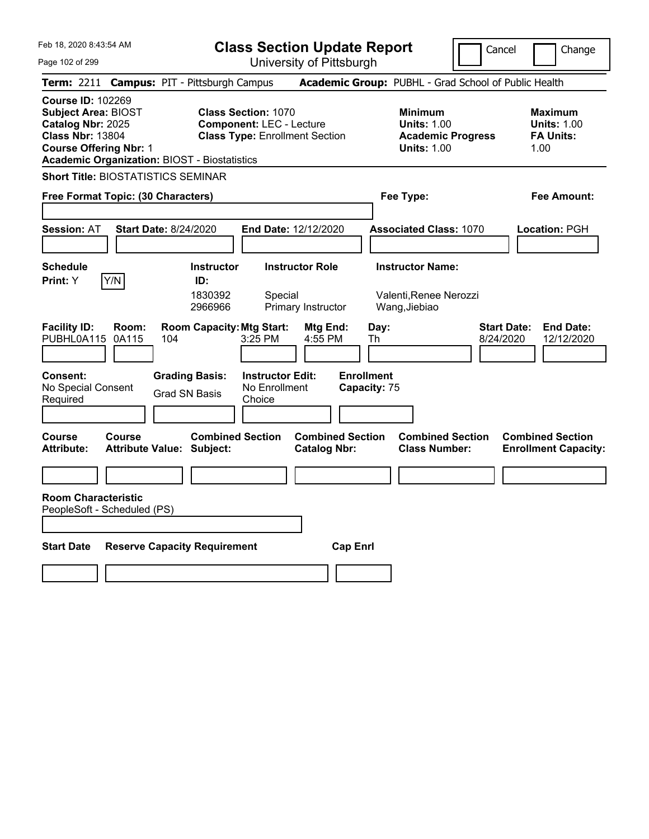|  | Feb 18, 2020 8:43:54 AM |  |
|--|-------------------------|--|
|  |                         |  |

**Class Section Update Report**

Cancel **Change** 

Page 102 of 299

| Page 102 of 299                                                                                                                         |               |                                                             |                                                               | University of Pittsburgh                       |                                   |                                                                                        |                                                                   |
|-----------------------------------------------------------------------------------------------------------------------------------------|---------------|-------------------------------------------------------------|---------------------------------------------------------------|------------------------------------------------|-----------------------------------|----------------------------------------------------------------------------------------|-------------------------------------------------------------------|
|                                                                                                                                         |               | Term: 2211 Campus: PIT - Pittsburgh Campus                  |                                                               |                                                |                                   | Academic Group: PUBHL - Grad School of Public Health                                   |                                                                   |
| <b>Course ID: 102269</b><br><b>Subject Area: BIOST</b><br>Catalog Nbr: 2025<br><b>Class Nbr: 13804</b><br><b>Course Offering Nbr: 1</b> |               | <b>Academic Organization: BIOST - Biostatistics</b>         | <b>Class Section: 1070</b><br><b>Component: LEC - Lecture</b> | <b>Class Type: Enrollment Section</b>          |                                   | <b>Minimum</b><br><b>Units: 1.00</b><br><b>Academic Progress</b><br><b>Units: 1.00</b> | Maximum<br><b>Units: 1.00</b><br><b>FA Units:</b><br>1.00         |
|                                                                                                                                         |               | <b>Short Title: BIOSTATISTICS SEMINAR</b>                   |                                                               |                                                |                                   |                                                                                        |                                                                   |
| Free Format Topic: (30 Characters)                                                                                                      |               |                                                             |                                                               |                                                |                                   | Fee Type:                                                                              | Fee Amount:                                                       |
| <b>Session: AT</b>                                                                                                                      |               | <b>Start Date: 8/24/2020</b>                                |                                                               | End Date: 12/12/2020                           |                                   | <b>Associated Class: 1070</b>                                                          | Location: PGH                                                     |
| <b>Schedule</b><br>Print: Y                                                                                                             | Y/N           | <b>Instructor</b><br>ID:<br>1830392<br>2966966              | Special                                                       | <b>Instructor Role</b><br>Primary Instructor   |                                   | <b>Instructor Name:</b><br>Valenti,Renee Nerozzi<br>Wang, Jiebiao                      |                                                                   |
| <b>Facility ID:</b><br>PUBHL0A115 0A115                                                                                                 | Room:         | <b>Room Capacity: Mtg Start:</b><br>104                     | 3:25 PM                                                       | Mtg End:<br>4:55 PM                            | Day:<br>Th                        |                                                                                        | <b>End Date:</b><br><b>Start Date:</b><br>8/24/2020<br>12/12/2020 |
| Consent:<br>No Special Consent<br>Required                                                                                              |               | <b>Grading Basis:</b><br><b>Grad SN Basis</b>               | <b>Instructor Edit:</b><br>No Enrollment<br>Choice            |                                                | <b>Enrollment</b><br>Capacity: 75 |                                                                                        |                                                                   |
| <b>Course</b><br><b>Attribute:</b>                                                                                                      | <b>Course</b> | <b>Combined Section</b><br><b>Attribute Value: Subject:</b> |                                                               | <b>Combined Section</b><br><b>Catalog Nbr:</b> |                                   | <b>Combined Section</b><br><b>Class Number:</b>                                        | <b>Combined Section</b><br><b>Enrollment Capacity:</b>            |
|                                                                                                                                         |               |                                                             |                                                               |                                                |                                   |                                                                                        |                                                                   |
| <b>Room Characteristic</b><br>PeopleSoft - Scheduled (PS)                                                                               |               |                                                             |                                                               |                                                |                                   |                                                                                        |                                                                   |
| <b>Start Date</b>                                                                                                                       |               | <b>Reserve Capacity Requirement</b>                         |                                                               | <b>Cap Enrl</b>                                |                                   |                                                                                        |                                                                   |
|                                                                                                                                         |               |                                                             |                                                               |                                                |                                   |                                                                                        |                                                                   |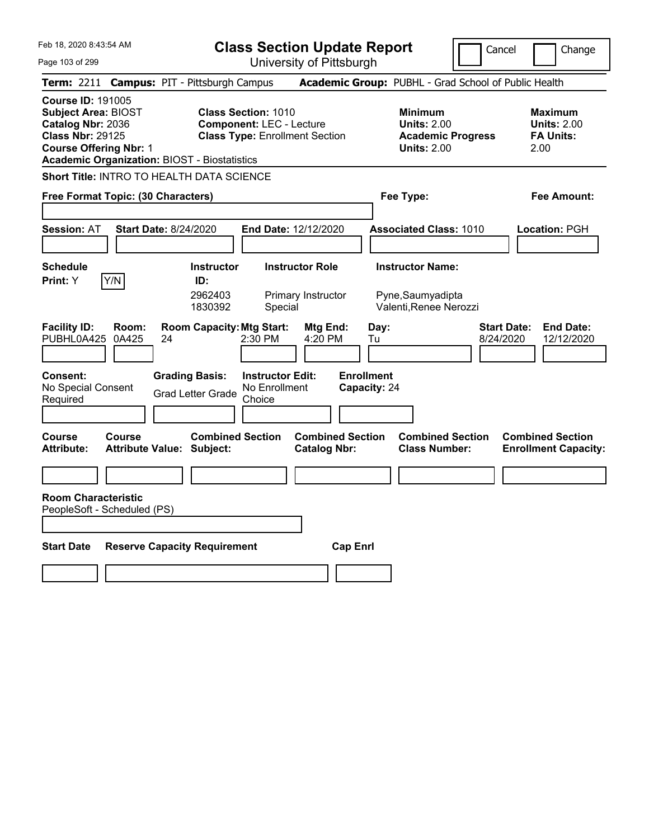**Class Section Update Report**

 $\Box$ Cancel  $\Box$ Ch

| Page 103 of 299                                                                                                                                                                                |                                                                                                         | Glass Section opuale Report<br>University of Pittsburgh | Cancel                                                                                 | Change                                                           |
|------------------------------------------------------------------------------------------------------------------------------------------------------------------------------------------------|---------------------------------------------------------------------------------------------------------|---------------------------------------------------------|----------------------------------------------------------------------------------------|------------------------------------------------------------------|
|                                                                                                                                                                                                | Term: 2211 Campus: PIT - Pittsburgh Campus                                                              |                                                         | Academic Group: PUBHL - Grad School of Public Health                                   |                                                                  |
| <b>Course ID: 191005</b><br><b>Subject Area: BIOST</b><br>Catalog Nbr: 2036<br><b>Class Nbr: 29125</b><br><b>Course Offering Nbr: 1</b><br><b>Academic Organization: BIOST - Biostatistics</b> | <b>Class Section: 1010</b><br><b>Component: LEC - Lecture</b><br><b>Class Type: Enrollment Section</b>  |                                                         | <b>Minimum</b><br><b>Units: 2.00</b><br><b>Academic Progress</b><br><b>Units: 2.00</b> | <b>Maximum</b><br><b>Units: 2.00</b><br><b>FA Units:</b><br>2.00 |
|                                                                                                                                                                                                | Short Title: INTRO TO HEALTH DATA SCIENCE                                                               |                                                         |                                                                                        |                                                                  |
| Free Format Topic: (30 Characters)                                                                                                                                                             |                                                                                                         |                                                         | Fee Type:                                                                              | Fee Amount:                                                      |
| <b>Session: AT</b>                                                                                                                                                                             | <b>Start Date: 8/24/2020</b>                                                                            | End Date: 12/12/2020                                    | <b>Associated Class: 1010</b>                                                          | Location: PGH                                                    |
| Schedule<br>Y/N<br><b>Print: Y</b>                                                                                                                                                             | <b>Instructor</b><br>ID:<br>2962403<br>1830392<br>Special                                               | <b>Instructor Role</b><br>Primary Instructor            | <b>Instructor Name:</b><br>Pyne, Saumyadipta<br>Valenti, Renee Nerozzi                 |                                                                  |
| <b>Facility ID:</b><br>Room:<br>PUBHL0A425<br>0A425                                                                                                                                            | <b>Room Capacity: Mtg Start:</b><br>24<br>2:30 PM                                                       | Mtg End:<br>4:20 PM                                     | <b>Start Date:</b><br>Day:<br>8/24/2020<br>Tu                                          | <b>End Date:</b><br>12/12/2020                                   |
| <b>Consent:</b><br>No Special Consent<br>Required                                                                                                                                              | <b>Grading Basis:</b><br><b>Instructor Edit:</b><br>No Enrollment<br><b>Grad Letter Grade</b><br>Choice | <b>Enrollment</b>                                       | Capacity: 24                                                                           |                                                                  |
| <b>Course</b><br><b>Course</b><br><b>Attribute:</b>                                                                                                                                            | <b>Combined Section</b><br><b>Attribute Value: Subject:</b>                                             | <b>Combined Section</b><br><b>Catalog Nbr:</b>          | <b>Combined Section</b><br><b>Class Number:</b>                                        | <b>Combined Section</b><br><b>Enrollment Capacity:</b>           |
|                                                                                                                                                                                                |                                                                                                         |                                                         |                                                                                        |                                                                  |
| <b>Room Characteristic</b><br>PeopleSoft - Scheduled (PS)                                                                                                                                      |                                                                                                         |                                                         |                                                                                        |                                                                  |
| <b>Start Date</b>                                                                                                                                                                              | <b>Reserve Capacity Requirement</b>                                                                     | <b>Cap Enrl</b>                                         |                                                                                        |                                                                  |
|                                                                                                                                                                                                |                                                                                                         |                                                         |                                                                                        |                                                                  |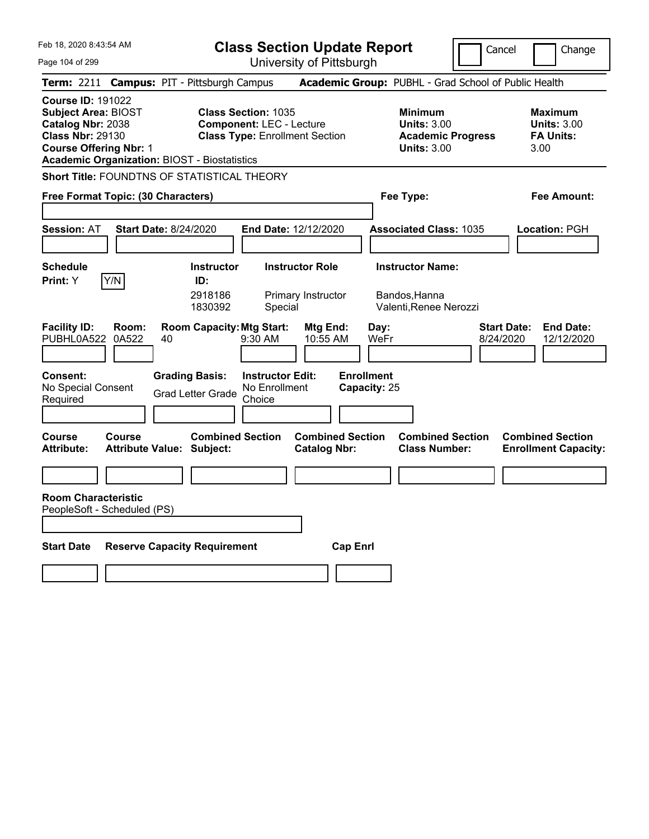**Class Section Update Report**

Cancel **Change** 

| Page 104 of 299                                                                                                                                                                                |                                                                                                         | <b>OUNUN UPUULU NUPUL</b><br>University of Pittsburgh |                                                                                        | כםו וככו<br>an an iye                                             |
|------------------------------------------------------------------------------------------------------------------------------------------------------------------------------------------------|---------------------------------------------------------------------------------------------------------|-------------------------------------------------------|----------------------------------------------------------------------------------------|-------------------------------------------------------------------|
| Term: 2211 Campus: PIT - Pittsburgh Campus                                                                                                                                                     |                                                                                                         |                                                       | Academic Group: PUBHL - Grad School of Public Health                                   |                                                                   |
| <b>Course ID: 191022</b><br><b>Subject Area: BIOST</b><br>Catalog Nbr: 2038<br><b>Class Nbr: 29130</b><br><b>Course Offering Nbr: 1</b><br><b>Academic Organization: BIOST - Biostatistics</b> | <b>Class Section: 1035</b><br><b>Component: LEC - Lecture</b><br><b>Class Type: Enrollment Section</b>  |                                                       | <b>Minimum</b><br><b>Units: 3.00</b><br><b>Academic Progress</b><br><b>Units: 3.00</b> | <b>Maximum</b><br><b>Units: 3.00</b><br><b>FA Units:</b><br>3.00  |
| Short Title: FOUNDTNS OF STATISTICAL THEORY                                                                                                                                                    |                                                                                                         |                                                       |                                                                                        |                                                                   |
| Free Format Topic: (30 Characters)                                                                                                                                                             |                                                                                                         |                                                       | Fee Type:                                                                              | Fee Amount:                                                       |
| <b>Session: AT</b>                                                                                                                                                                             | <b>Start Date: 8/24/2020</b>                                                                            | End Date: 12/12/2020                                  | <b>Associated Class: 1035</b>                                                          | Location: PGH                                                     |
| <b>Schedule</b>                                                                                                                                                                                | <b>Instructor</b>                                                                                       | <b>Instructor Role</b>                                | <b>Instructor Name:</b>                                                                |                                                                   |
| Y/N<br>Print: Y<br><b>Facility ID:</b><br>Room:<br>PUBHL0A522<br>0A522                                                                                                                         | ID:<br>2918186<br>1830392<br>Special<br><b>Room Capacity: Mtg Start:</b><br>40<br>$9:30$ AM             | Primary Instructor<br>Mtg End:<br>10:55 AM            | Bandos, Hanna<br>Valenti, Renee Nerozzi<br>Day:<br>WeFr                                | <b>Start Date:</b><br><b>End Date:</b><br>8/24/2020<br>12/12/2020 |
| <b>Consent:</b><br>No Special Consent<br>Required                                                                                                                                              | <b>Grading Basis:</b><br><b>Instructor Edit:</b><br>No Enrollment<br><b>Grad Letter Grade</b><br>Choice |                                                       | <b>Enrollment</b><br>Capacity: 25                                                      |                                                                   |
| <b>Course</b><br>Course<br><b>Attribute:</b>                                                                                                                                                   | <b>Combined Section</b><br><b>Attribute Value: Subject:</b>                                             | <b>Combined Section</b><br><b>Catalog Nbr:</b>        | <b>Combined Section</b><br><b>Class Number:</b>                                        | <b>Combined Section</b><br><b>Enrollment Capacity:</b>            |
|                                                                                                                                                                                                |                                                                                                         |                                                       |                                                                                        |                                                                   |
| <b>Room Characteristic</b><br>PeopleSoft - Scheduled (PS)                                                                                                                                      |                                                                                                         |                                                       |                                                                                        |                                                                   |
| <b>Start Date</b>                                                                                                                                                                              | <b>Reserve Capacity Requirement</b>                                                                     | <b>Cap Enri</b>                                       |                                                                                        |                                                                   |
|                                                                                                                                                                                                |                                                                                                         |                                                       |                                                                                        |                                                                   |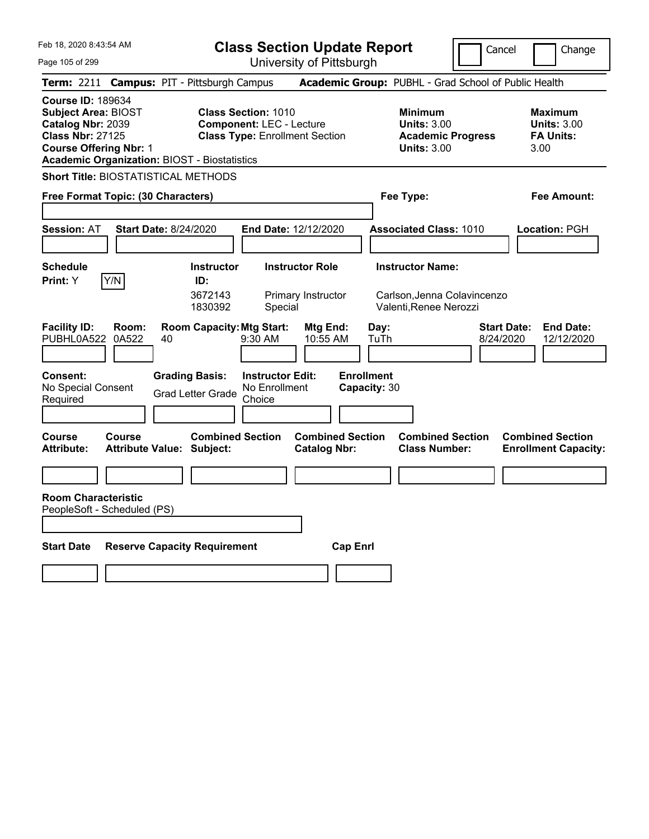**Class Section Update Report**

Cancel Change

Page 105 of 299

| Page 105 of 299                                                                                                                         |                |                                                             | University of Pittsburgh                                                                               |                                                |                                                                                        |                                                                   |
|-----------------------------------------------------------------------------------------------------------------------------------------|----------------|-------------------------------------------------------------|--------------------------------------------------------------------------------------------------------|------------------------------------------------|----------------------------------------------------------------------------------------|-------------------------------------------------------------------|
|                                                                                                                                         |                | Term: 2211 Campus: PIT - Pittsburgh Campus                  |                                                                                                        |                                                | Academic Group: PUBHL - Grad School of Public Health                                   |                                                                   |
| <b>Course ID: 189634</b><br><b>Subject Area: BIOST</b><br>Catalog Nbr: 2039<br><b>Class Nbr: 27125</b><br><b>Course Offering Nbr: 1</b> |                | <b>Academic Organization: BIOST - Biostatistics</b>         | <b>Class Section: 1010</b><br><b>Component: LEC - Lecture</b><br><b>Class Type: Enrollment Section</b> |                                                | <b>Minimum</b><br><b>Units: 3.00</b><br><b>Academic Progress</b><br><b>Units: 3.00</b> | Maximum<br><b>Units: 3.00</b><br><b>FA Units:</b><br>3.00         |
|                                                                                                                                         |                | <b>Short Title: BIOSTATISTICAL METHODS</b>                  |                                                                                                        |                                                |                                                                                        |                                                                   |
| Free Format Topic: (30 Characters)                                                                                                      |                |                                                             |                                                                                                        |                                                | Fee Type:                                                                              | Fee Amount:                                                       |
| <b>Session: AT</b>                                                                                                                      |                | <b>Start Date: 8/24/2020</b>                                | <b>End Date: 12/12/2020</b>                                                                            |                                                | <b>Associated Class: 1010</b>                                                          | Location: PGH                                                     |
| <b>Schedule</b><br>Print: Y                                                                                                             | Y/N            | <b>Instructor</b><br>ID:<br>3672143<br>1830392              | <b>Instructor Role</b><br>Primary Instructor<br>Special                                                |                                                | <b>Instructor Name:</b><br>Carlson, Jenna Colavincenzo<br>Valenti, Renee Nerozzi       |                                                                   |
| <b>Facility ID:</b><br>PUBHL0A522                                                                                                       | Room:<br>0A522 | <b>Room Capacity: Mtg Start:</b><br>40                      | 9:30 AM                                                                                                | Mtg End:<br>Day:<br>10:55 AM<br>TuTh           |                                                                                        | <b>Start Date:</b><br><b>End Date:</b><br>8/24/2020<br>12/12/2020 |
| <b>Consent:</b><br>No Special Consent<br>Required                                                                                       |                | <b>Grading Basis:</b><br><b>Grad Letter Grade</b>           | <b>Instructor Edit:</b><br>No Enrollment<br>Choice                                                     | <b>Enrollment</b><br>Capacity: 30              |                                                                                        |                                                                   |
| Course<br>Attribute:                                                                                                                    | Course         | <b>Combined Section</b><br><b>Attribute Value: Subject:</b> |                                                                                                        | <b>Combined Section</b><br><b>Catalog Nbr:</b> | <b>Combined Section</b><br><b>Class Number:</b>                                        | <b>Combined Section</b><br><b>Enrollment Capacity:</b>            |
|                                                                                                                                         |                |                                                             |                                                                                                        |                                                |                                                                                        |                                                                   |
| <b>Room Characteristic</b><br>PeopleSoft - Scheduled (PS)                                                                               |                |                                                             |                                                                                                        |                                                |                                                                                        |                                                                   |
| <b>Start Date</b>                                                                                                                       |                | <b>Reserve Capacity Requirement</b>                         |                                                                                                        | <b>Cap Enrl</b>                                |                                                                                        |                                                                   |
|                                                                                                                                         |                |                                                             |                                                                                                        |                                                |                                                                                        |                                                                   |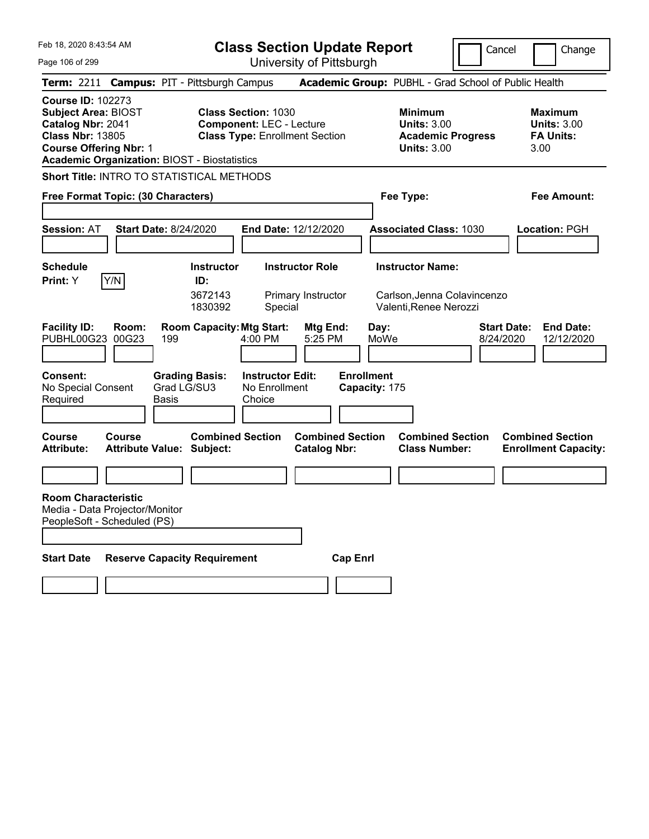Cancel **Change** 

Page 106 of 299

| Feb 18, 2020 8:43:54 AM<br>Page 106 of 299                                                                                              |                |                                                             |                                                               | <b>Class Section Update Report</b><br>University of Pittsburgh |                                    |                                                                                        | Cancel<br>Change                                                  |
|-----------------------------------------------------------------------------------------------------------------------------------------|----------------|-------------------------------------------------------------|---------------------------------------------------------------|----------------------------------------------------------------|------------------------------------|----------------------------------------------------------------------------------------|-------------------------------------------------------------------|
|                                                                                                                                         |                | Term: 2211 Campus: PIT - Pittsburgh Campus                  |                                                               |                                                                |                                    | Academic Group: PUBHL - Grad School of Public Health                                   |                                                                   |
| <b>Course ID: 102273</b><br><b>Subject Area: BIOST</b><br>Catalog Nbr: 2041<br><b>Class Nbr: 13805</b><br><b>Course Offering Nbr: 1</b> |                | <b>Academic Organization: BIOST - Biostatistics</b>         | <b>Class Section: 1030</b><br><b>Component: LEC - Lecture</b> | <b>Class Type: Enrollment Section</b>                          |                                    | <b>Minimum</b><br><b>Units: 3.00</b><br><b>Academic Progress</b><br><b>Units: 3.00</b> | <b>Maximum</b><br><b>Units: 3.00</b><br><b>FA Units:</b><br>3.00  |
|                                                                                                                                         |                | Short Title: INTRO TO STATISTICAL METHODS                   |                                                               |                                                                |                                    |                                                                                        |                                                                   |
| Free Format Topic: (30 Characters)                                                                                                      |                |                                                             |                                                               |                                                                |                                    | Fee Type:                                                                              | <b>Fee Amount:</b>                                                |
| <b>Session: AT</b>                                                                                                                      |                | <b>Start Date: 8/24/2020</b>                                |                                                               | End Date: 12/12/2020                                           |                                    | <b>Associated Class: 1030</b>                                                          | Location: PGH                                                     |
| <b>Schedule</b>                                                                                                                         |                | <b>Instructor</b>                                           |                                                               | <b>Instructor Role</b>                                         |                                    | <b>Instructor Name:</b>                                                                |                                                                   |
| Print: Y                                                                                                                                | Y/N            | ID:<br>3672143<br>1830392                                   | Special                                                       | Primary Instructor                                             |                                    | Carlson, Jenna Colavincenzo<br>Valenti, Renee Nerozzi                                  |                                                                   |
| <b>Facility ID:</b><br>PUBHL00G23                                                                                                       | Room:<br>00G23 | <b>Room Capacity: Mtg Start:</b><br>199                     | 4:00 PM                                                       | Mtg End:<br>5:25 PM                                            | Day:<br>MoWe                       |                                                                                        | <b>Start Date:</b><br><b>End Date:</b><br>8/24/2020<br>12/12/2020 |
| <b>Consent:</b><br>No Special Consent<br>Required                                                                                       |                | <b>Grading Basis:</b><br>Grad LG/SU3<br>Basis               | <b>Instructor Edit:</b><br>No Enrollment<br>Choice            |                                                                | <b>Enrollment</b><br>Capacity: 175 |                                                                                        |                                                                   |
| Course<br><b>Attribute:</b>                                                                                                             | Course         | <b>Combined Section</b><br><b>Attribute Value: Subject:</b> |                                                               | <b>Combined Section</b><br><b>Catalog Nbr:</b>                 |                                    | <b>Combined Section</b><br><b>Class Number:</b>                                        | <b>Combined Section</b><br><b>Enrollment Capacity:</b>            |
|                                                                                                                                         |                |                                                             |                                                               |                                                                |                                    |                                                                                        |                                                                   |
| <b>Room Characteristic</b><br>Media - Data Projector/Monitor<br>PeopleSoft - Scheduled (PS)                                             |                |                                                             |                                                               |                                                                |                                    |                                                                                        |                                                                   |
| <b>Start Date</b>                                                                                                                       |                | <b>Reserve Capacity Requirement</b>                         |                                                               | <b>Cap Enrl</b>                                                |                                    |                                                                                        |                                                                   |
|                                                                                                                                         |                |                                                             |                                                               |                                                                |                                    |                                                                                        |                                                                   |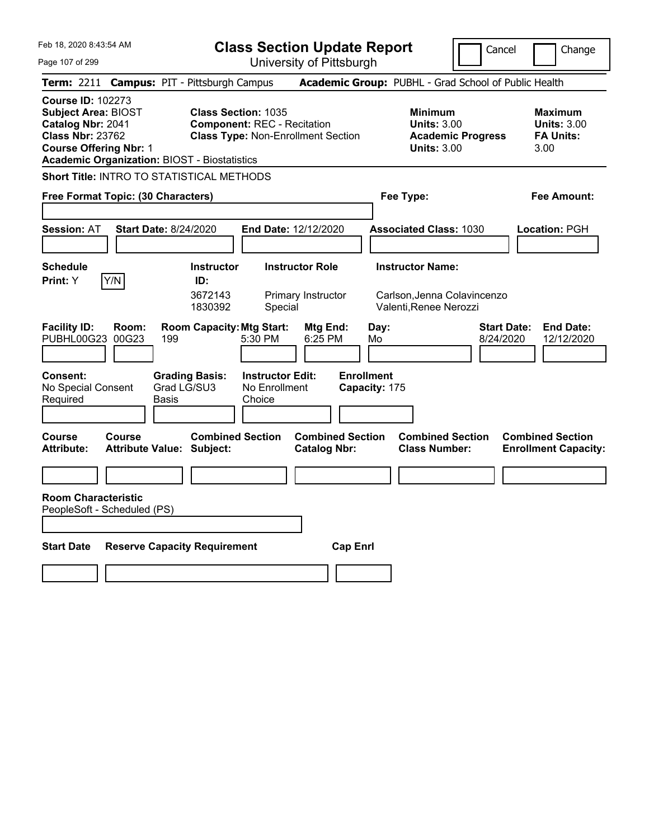**Class Section Update Report**

University of Pittsburgh

Cancel **Change** 

 $\mathsf{I}\mathsf{I}$ 

| Page 107 of 299                                                                                                                         |                |                                                             |                                                                  | University of Pittsburgh                       |                                    |                                                                                        |                                                                   |
|-----------------------------------------------------------------------------------------------------------------------------------------|----------------|-------------------------------------------------------------|------------------------------------------------------------------|------------------------------------------------|------------------------------------|----------------------------------------------------------------------------------------|-------------------------------------------------------------------|
|                                                                                                                                         |                | Term: 2211 Campus: PIT - Pittsburgh Campus                  |                                                                  |                                                |                                    | Academic Group: PUBHL - Grad School of Public Health                                   |                                                                   |
| <b>Course ID: 102273</b><br><b>Subject Area: BIOST</b><br>Catalog Nbr: 2041<br><b>Class Nbr: 23762</b><br><b>Course Offering Nbr: 1</b> |                | <b>Academic Organization: BIOST - Biostatistics</b>         | <b>Class Section: 1035</b><br><b>Component: REC - Recitation</b> | <b>Class Type: Non-Enrollment Section</b>      |                                    | <b>Minimum</b><br><b>Units: 3.00</b><br><b>Academic Progress</b><br><b>Units: 3.00</b> | Maximum<br><b>Units: 3.00</b><br><b>FA Units:</b><br>3.00         |
|                                                                                                                                         |                | <b>Short Title: INTRO TO STATISTICAL METHODS</b>            |                                                                  |                                                |                                    |                                                                                        |                                                                   |
| Free Format Topic: (30 Characters)                                                                                                      |                |                                                             |                                                                  |                                                |                                    | Fee Type:                                                                              | <b>Fee Amount:</b>                                                |
| <b>Session: AT</b>                                                                                                                      |                | <b>Start Date: 8/24/2020</b>                                |                                                                  | End Date: 12/12/2020                           |                                    | <b>Associated Class: 1030</b>                                                          | Location: PGH                                                     |
| <b>Schedule</b>                                                                                                                         |                | <b>Instructor</b>                                           |                                                                  | <b>Instructor Role</b>                         |                                    | <b>Instructor Name:</b>                                                                |                                                                   |
| Print: Y                                                                                                                                | Y/N            | ID:<br>3672143<br>1830392                                   | Special                                                          | Primary Instructor                             |                                    | Carlson, Jenna Colavincenzo<br>Valenti, Renee Nerozzi                                  |                                                                   |
| <b>Facility ID:</b><br>PUBHL00G23                                                                                                       | Room:<br>00G23 | <b>Room Capacity: Mtg Start:</b><br>199                     | 5:30 PM                                                          | <b>Mtg End:</b><br>$6:25$ PM                   | Day:<br>Mo                         |                                                                                        | <b>Start Date:</b><br><b>End Date:</b><br>8/24/2020<br>12/12/2020 |
| Consent:<br>No Special Consent<br>Required                                                                                              |                | <b>Grading Basis:</b><br>Grad LG/SU3<br>Basis               | <b>Instructor Edit:</b><br>No Enrollment<br>Choice               |                                                | <b>Enrollment</b><br>Capacity: 175 |                                                                                        |                                                                   |
| Course<br><b>Attribute:</b>                                                                                                             | Course         | <b>Combined Section</b><br><b>Attribute Value: Subject:</b> |                                                                  | <b>Combined Section</b><br><b>Catalog Nbr:</b> |                                    | <b>Combined Section</b><br><b>Class Number:</b>                                        | <b>Combined Section</b><br><b>Enrollment Capacity:</b>            |
|                                                                                                                                         |                |                                                             |                                                                  |                                                |                                    |                                                                                        |                                                                   |
| <b>Room Characteristic</b><br>PeopleSoft - Scheduled (PS)                                                                               |                |                                                             |                                                                  |                                                |                                    |                                                                                        |                                                                   |
| <b>Start Date</b>                                                                                                                       |                | <b>Reserve Capacity Requirement</b>                         |                                                                  | <b>Cap Enrl</b>                                |                                    |                                                                                        |                                                                   |
|                                                                                                                                         |                |                                                             |                                                                  |                                                |                                    |                                                                                        |                                                                   |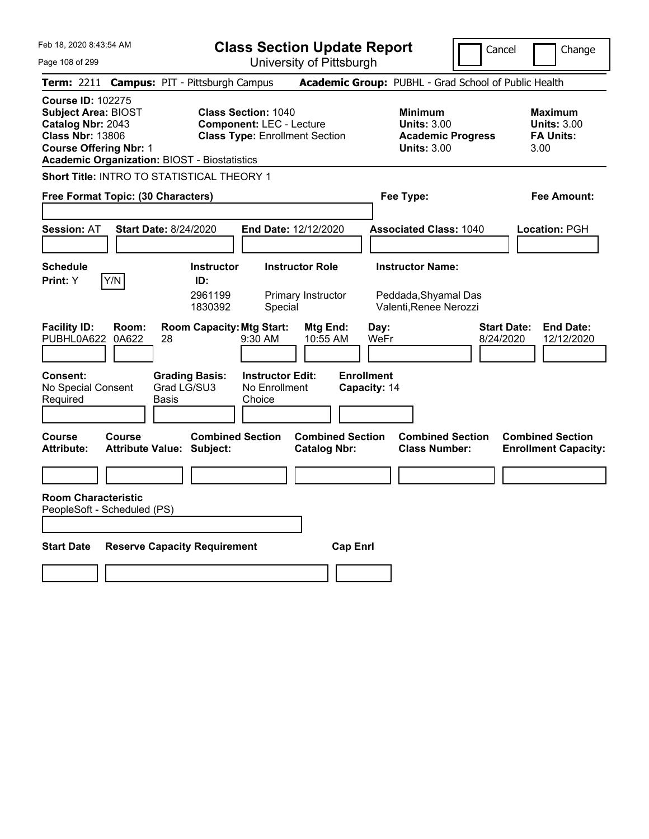**Class Section Update Report**

Page 108 of 299

| Feb 18, 2020 8:43:54 AM<br>Page 108 of 299                                                                                              |                              |                                                             |                                                               | <b>Class Section Update Report</b><br>University of Pittsburgh |                                                                           | Cancel                                               | Change                                                           |
|-----------------------------------------------------------------------------------------------------------------------------------------|------------------------------|-------------------------------------------------------------|---------------------------------------------------------------|----------------------------------------------------------------|---------------------------------------------------------------------------|------------------------------------------------------|------------------------------------------------------------------|
|                                                                                                                                         |                              | Term: 2211 Campus: PIT - Pittsburgh Campus                  |                                                               |                                                                |                                                                           | Academic Group: PUBHL - Grad School of Public Health |                                                                  |
| <b>Course ID: 102275</b><br><b>Subject Area: BIOST</b><br>Catalog Nbr: 2043<br><b>Class Nbr: 13806</b><br><b>Course Offering Nbr: 1</b> |                              | <b>Academic Organization: BIOST - Biostatistics</b>         | <b>Class Section: 1040</b><br><b>Component: LEC - Lecture</b> | <b>Class Type: Enrollment Section</b>                          | <b>Minimum</b><br><b>Units: 3.00</b><br><b>Units: 3.00</b>                | <b>Academic Progress</b>                             | <b>Maximum</b><br><b>Units: 3.00</b><br><b>FA Units:</b><br>3.00 |
|                                                                                                                                         |                              | Short Title: INTRO TO STATISTICAL THEORY 1                  |                                                               |                                                                |                                                                           |                                                      |                                                                  |
| Free Format Topic: (30 Characters)                                                                                                      |                              |                                                             |                                                               |                                                                | Fee Type:                                                                 |                                                      | Fee Amount:                                                      |
| Session: AT                                                                                                                             | <b>Start Date: 8/24/2020</b> |                                                             |                                                               | End Date: 12/12/2020                                           | <b>Associated Class: 1040</b>                                             |                                                      | <b>Location:</b> PGH                                             |
| <b>Schedule</b><br><b>Print:</b> Y                                                                                                      | Y/N                          | <b>Instructor</b><br>ID:<br>2961199<br>1830392              | Special                                                       | <b>Instructor Role</b><br>Primary Instructor                   | <b>Instructor Name:</b><br>Peddada, Shyamal Das<br>Valenti, Renee Nerozzi |                                                      |                                                                  |
| <b>Facility ID:</b><br>PUBHL0A622                                                                                                       | Room:<br>0A622<br>28         | <b>Room Capacity: Mtg Start:</b>                            | 9:30 AM                                                       | Mtg End:<br>10:55 AM                                           | Day:<br>WeFr                                                              | <b>Start Date:</b><br>8/24/2020                      | <b>End Date:</b><br>12/12/2020                                   |
| <b>Consent:</b><br>No Special Consent<br>Required                                                                                       | Basis                        | <b>Grading Basis:</b><br>Grad LG/SU3                        | <b>Instructor Edit:</b><br>No Enrollment<br>Choice            |                                                                | <b>Enrollment</b><br>Capacity: 14                                         |                                                      |                                                                  |
| Course<br><b>Attribute:</b>                                                                                                             | Course                       | <b>Combined Section</b><br><b>Attribute Value: Subject:</b> |                                                               | <b>Combined Section</b><br><b>Catalog Nbr:</b>                 |                                                                           | <b>Combined Section</b><br><b>Class Number:</b>      | <b>Combined Section</b><br><b>Enrollment Capacity:</b>           |
|                                                                                                                                         |                              |                                                             |                                                               |                                                                |                                                                           |                                                      |                                                                  |
| <b>Room Characteristic</b><br>PeopleSoft - Scheduled (PS)                                                                               |                              |                                                             |                                                               |                                                                |                                                                           |                                                      |                                                                  |
| <b>Start Date</b>                                                                                                                       |                              | <b>Reserve Capacity Requirement</b>                         |                                                               | <b>Cap Enrl</b>                                                |                                                                           |                                                      |                                                                  |
|                                                                                                                                         |                              |                                                             |                                                               |                                                                |                                                                           |                                                      |                                                                  |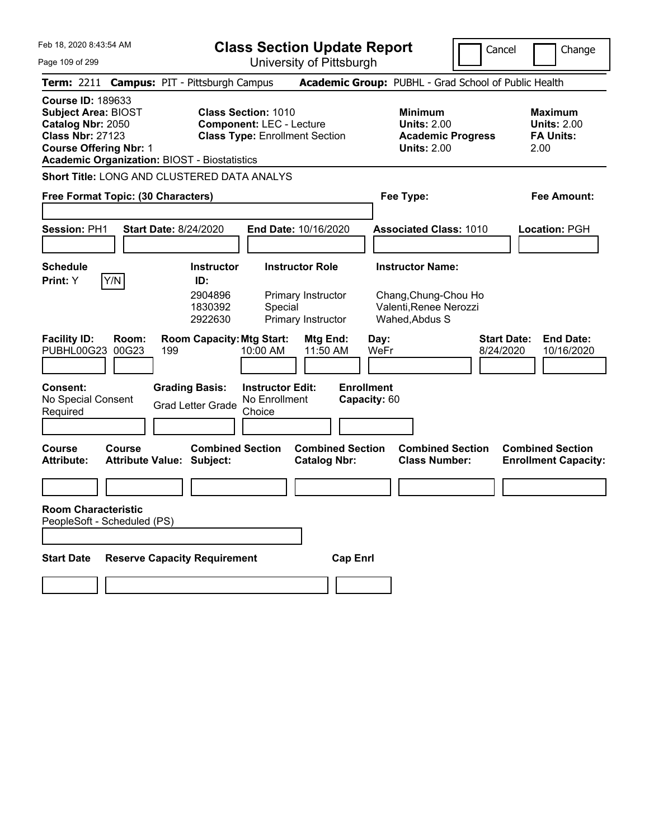**Class Section Update Report**

Page 109 of 299

| Feb 18, 2020 8:43:54 AM<br>Page 109 of 299                                                             |                                    |                                                             | <b>Class Section Update Report</b>                                                                     | University of Pittsburgh                       |                                   |                                                                                        | Cancel<br>Change                                                  |
|--------------------------------------------------------------------------------------------------------|------------------------------------|-------------------------------------------------------------|--------------------------------------------------------------------------------------------------------|------------------------------------------------|-----------------------------------|----------------------------------------------------------------------------------------|-------------------------------------------------------------------|
|                                                                                                        |                                    | Term: 2211 Campus: PIT - Pittsburgh Campus                  |                                                                                                        |                                                |                                   | Academic Group: PUBHL - Grad School of Public Health                                   |                                                                   |
| <b>Course ID: 189633</b><br><b>Subject Area: BIOST</b><br>Catalog Nbr: 2050<br><b>Class Nbr: 27123</b> | <b>Course Offering Nbr: 1</b>      | <b>Academic Organization: BIOST - Biostatistics</b>         | <b>Class Section: 1010</b><br><b>Component: LEC - Lecture</b><br><b>Class Type: Enrollment Section</b> |                                                |                                   | <b>Minimum</b><br><b>Units: 2.00</b><br><b>Academic Progress</b><br><b>Units: 2.00</b> | <b>Maximum</b><br><b>Units: 2.00</b><br><b>FA Units:</b><br>2.00  |
|                                                                                                        |                                    | Short Title: LONG AND CLUSTERED DATA ANALYS                 |                                                                                                        |                                                |                                   |                                                                                        |                                                                   |
|                                                                                                        | Free Format Topic: (30 Characters) |                                                             |                                                                                                        |                                                | Fee Type:                         |                                                                                        | <b>Fee Amount:</b>                                                |
| Session: PH1                                                                                           |                                    | <b>Start Date: 8/24/2020</b>                                | End Date: 10/16/2020                                                                                   |                                                |                                   | <b>Associated Class: 1010</b>                                                          | <b>Location: PGH</b>                                              |
| <b>Schedule</b>                                                                                        |                                    | <b>Instructor</b>                                           | <b>Instructor Role</b>                                                                                 |                                                |                                   | <b>Instructor Name:</b>                                                                |                                                                   |
| Print: Y                                                                                               | Y/N                                | ID:<br>2904896<br>1830392<br>2922630                        | Special                                                                                                | Primary Instructor<br>Primary Instructor       | Wahed, Abdus S                    | Chang, Chung-Chou Ho<br>Valenti, Renee Nerozzi                                         |                                                                   |
| <b>Facility ID:</b><br>PUBHL00G23                                                                      | Room:<br>00G23                     | <b>Room Capacity: Mtg Start:</b><br>199                     | 10:00 AM                                                                                               | Mtg End:<br>11:50 AM                           | Day:<br>WeFr                      |                                                                                        | <b>Start Date:</b><br><b>End Date:</b><br>8/24/2020<br>10/16/2020 |
| <b>Consent:</b><br>No Special Consent<br>Required                                                      |                                    | <b>Grading Basis:</b><br><b>Grad Letter Grade</b>           | <b>Instructor Edit:</b><br>No Enrollment<br>Choice                                                     |                                                | <b>Enrollment</b><br>Capacity: 60 |                                                                                        |                                                                   |
| <b>Course</b><br><b>Attribute:</b>                                                                     | <b>Course</b>                      | <b>Combined Section</b><br><b>Attribute Value: Subject:</b> |                                                                                                        | <b>Combined Section</b><br><b>Catalog Nbr:</b> |                                   | <b>Combined Section</b><br><b>Class Number:</b>                                        | <b>Combined Section</b><br><b>Enrollment Capacity:</b>            |
|                                                                                                        |                                    |                                                             |                                                                                                        |                                                |                                   |                                                                                        |                                                                   |
| <b>Room Characteristic</b>                                                                             | PeopleSoft - Scheduled (PS)        |                                                             |                                                                                                        |                                                |                                   |                                                                                        |                                                                   |
| <b>Start Date</b>                                                                                      |                                    | <b>Reserve Capacity Requirement</b>                         |                                                                                                        | <b>Cap Enrl</b>                                |                                   |                                                                                        |                                                                   |
|                                                                                                        |                                    |                                                             |                                                                                                        |                                                |                                   |                                                                                        |                                                                   |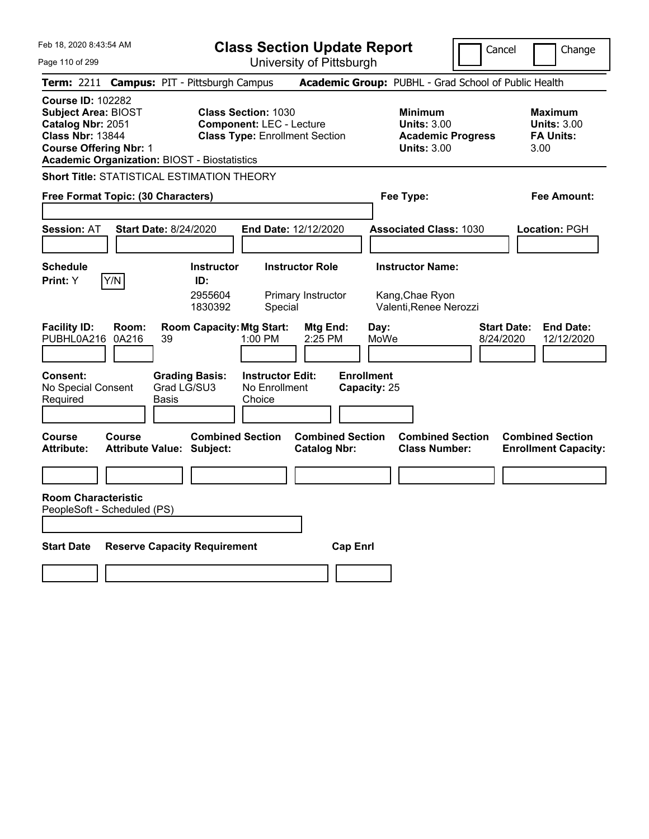**Class Section Update Report**

Cancel Change

Page 110 of 299

| Page 110 of 299                                                                                                                                                                                |                |                                                |                                                                                                        | University of Pittsburgh                       |                                            |                                                                                        |                                                                   |
|------------------------------------------------------------------------------------------------------------------------------------------------------------------------------------------------|----------------|------------------------------------------------|--------------------------------------------------------------------------------------------------------|------------------------------------------------|--------------------------------------------|----------------------------------------------------------------------------------------|-------------------------------------------------------------------|
| Term: 2211 Campus: PIT - Pittsburgh Campus                                                                                                                                                     |                |                                                |                                                                                                        |                                                |                                            | Academic Group: PUBHL - Grad School of Public Health                                   |                                                                   |
| <b>Course ID: 102282</b><br><b>Subject Area: BIOST</b><br>Catalog Nbr: 2051<br><b>Class Nbr: 13844</b><br><b>Course Offering Nbr: 1</b><br><b>Academic Organization: BIOST - Biostatistics</b> |                |                                                | <b>Class Section: 1030</b><br><b>Component: LEC - Lecture</b><br><b>Class Type: Enrollment Section</b> |                                                |                                            | <b>Minimum</b><br><b>Units: 3.00</b><br><b>Academic Progress</b><br><b>Units: 3.00</b> | <b>Maximum</b><br><b>Units: 3.00</b><br><b>FA Units:</b><br>3.00  |
| <b>Short Title: STATISTICAL ESTIMATION THEORY</b>                                                                                                                                              |                |                                                |                                                                                                        |                                                |                                            |                                                                                        |                                                                   |
| Free Format Topic: (30 Characters)                                                                                                                                                             |                |                                                |                                                                                                        |                                                | Fee Type:                                  |                                                                                        | Fee Amount:                                                       |
| <b>Session: AT</b>                                                                                                                                                                             |                | <b>Start Date: 8/24/2020</b>                   |                                                                                                        | End Date: 12/12/2020                           |                                            | <b>Associated Class: 1030</b>                                                          | Location: PGH                                                     |
| <b>Schedule</b><br><b>Print:</b> Y                                                                                                                                                             | Y/N            | <b>Instructor</b><br>ID:<br>2955604<br>1830392 | Special                                                                                                | <b>Instructor Role</b><br>Primary Instructor   | <b>Instructor Name:</b><br>Kang, Chae Ryon | Valenti, Renee Nerozzi                                                                 |                                                                   |
| <b>Facility ID:</b><br>PUBHL0A216                                                                                                                                                              | Room:<br>0A216 | 39                                             | <b>Room Capacity: Mtg Start:</b><br>$1:00$ PM                                                          | Mtg End:<br>2:25 PM                            | Day:<br>MoWe                               |                                                                                        | <b>Start Date:</b><br><b>End Date:</b><br>12/12/2020<br>8/24/2020 |
| Consent:<br>No Special Consent<br>Required                                                                                                                                                     |                | <b>Grading Basis:</b><br>Grad LG/SU3<br>Basis  | <b>Instructor Edit:</b><br>No Enrollment<br>Choice                                                     |                                                | <b>Enrollment</b><br>Capacity: 25          |                                                                                        |                                                                   |
| Course<br><b>Attribute:</b>                                                                                                                                                                    | <b>Course</b>  | <b>Attribute Value: Subject:</b>               | <b>Combined Section</b>                                                                                | <b>Combined Section</b><br><b>Catalog Nbr:</b> |                                            | <b>Combined Section</b><br><b>Class Number:</b>                                        | <b>Combined Section</b><br><b>Enrollment Capacity:</b>            |
|                                                                                                                                                                                                |                |                                                |                                                                                                        |                                                |                                            |                                                                                        |                                                                   |
| <b>Room Characteristic</b><br>PeopleSoft - Scheduled (PS)                                                                                                                                      |                |                                                |                                                                                                        |                                                |                                            |                                                                                        |                                                                   |
| <b>Start Date</b>                                                                                                                                                                              |                | <b>Reserve Capacity Requirement</b>            |                                                                                                        | <b>Cap Enrl</b>                                |                                            |                                                                                        |                                                                   |
|                                                                                                                                                                                                |                |                                                |                                                                                                        |                                                |                                            |                                                                                        |                                                                   |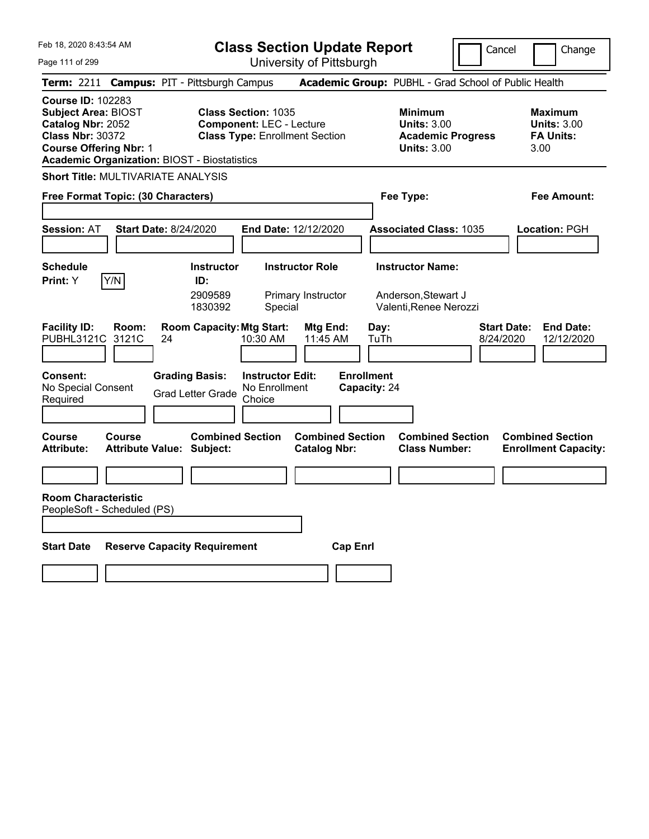**Class Section Update Report**

Cancel **Change** 

 $\mathop{||}$ 

Page 111 of 299

| Page 111 of 299                                                                                                                         |                |                                                                 |                                                               | University of Pittsburgh                       |                                   |                                                                                        |                                                           |
|-----------------------------------------------------------------------------------------------------------------------------------------|----------------|-----------------------------------------------------------------|---------------------------------------------------------------|------------------------------------------------|-----------------------------------|----------------------------------------------------------------------------------------|-----------------------------------------------------------|
|                                                                                                                                         |                | Term: 2211 Campus: PIT - Pittsburgh Campus                      |                                                               |                                                |                                   | Academic Group: PUBHL - Grad School of Public Health                                   |                                                           |
| <b>Course ID: 102283</b><br><b>Subject Area: BIOST</b><br>Catalog Nbr: 2052<br><b>Class Nbr: 30372</b><br><b>Course Offering Nbr: 1</b> |                | <b>Academic Organization: BIOST - Biostatistics</b>             | <b>Class Section: 1035</b><br><b>Component: LEC - Lecture</b> | <b>Class Type: Enrollment Section</b>          |                                   | <b>Minimum</b><br><b>Units: 3.00</b><br><b>Academic Progress</b><br><b>Units: 3.00</b> | Maximum<br><b>Units: 3.00</b><br><b>FA Units:</b><br>3.00 |
|                                                                                                                                         |                | <b>Short Title: MULTIVARIATE ANALYSIS</b>                       |                                                               |                                                |                                   |                                                                                        |                                                           |
| Free Format Topic: (30 Characters)                                                                                                      |                |                                                                 |                                                               |                                                |                                   | Fee Type:                                                                              | Fee Amount:                                               |
| <b>Session: AT</b>                                                                                                                      |                | Start Date: 8/24/2020                                           |                                                               | End Date: 12/12/2020                           |                                   | <b>Associated Class: 1035</b>                                                          | Location: PGH                                             |
| <b>Schedule</b><br>Print: Y                                                                                                             | Y/N            | <b>Instructor</b><br>ID:<br>2909589<br>1830392                  | Special                                                       | <b>Instructor Role</b><br>Primary Instructor   |                                   | <b>Instructor Name:</b><br>Anderson, Stewart J<br>Valenti, Renee Nerozzi               |                                                           |
| <b>Facility ID:</b><br>PUBHL3121C<br>Consent:                                                                                           | Room:<br>3121C | <b>Room Capacity: Mtg Start:</b><br>24<br><b>Grading Basis:</b> | 10:30 AM<br><b>Instructor Edit:</b>                           | Mtg End:<br>11:45 AM                           | Day:<br>TuTh<br><b>Enrollment</b> | 8/24/2020                                                                              | <b>Start Date:</b><br><b>End Date:</b><br>12/12/2020      |
| No Special Consent<br>Required                                                                                                          |                | <b>Grad Letter Grade</b>                                        | No Enrollment<br>Choice                                       |                                                | Capacity: 24                      |                                                                                        |                                                           |
| Course<br>Attribute:                                                                                                                    | Course         | <b>Combined Section</b><br><b>Attribute Value: Subject:</b>     |                                                               | <b>Combined Section</b><br><b>Catalog Nbr:</b> |                                   | <b>Combined Section</b><br><b>Class Number:</b>                                        | <b>Combined Section</b><br><b>Enrollment Capacity:</b>    |
|                                                                                                                                         |                |                                                                 |                                                               |                                                |                                   |                                                                                        |                                                           |
| <b>Room Characteristic</b><br>PeopleSoft - Scheduled (PS)                                                                               |                |                                                                 |                                                               |                                                |                                   |                                                                                        |                                                           |
| <b>Start Date</b>                                                                                                                       |                | <b>Reserve Capacity Requirement</b>                             |                                                               | <b>Cap Enrl</b>                                |                                   |                                                                                        |                                                           |
|                                                                                                                                         |                |                                                                 |                                                               |                                                |                                   |                                                                                        |                                                           |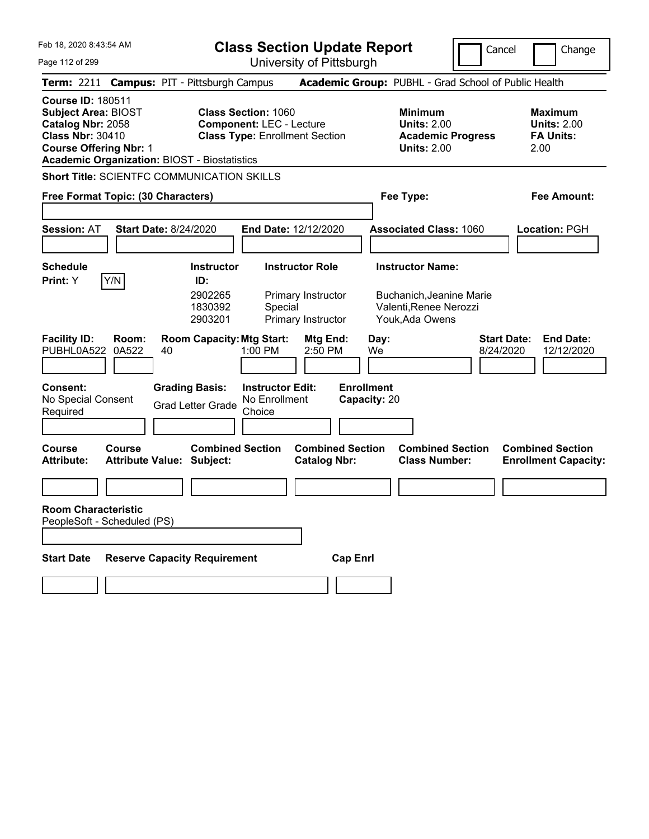**Class Section Update Report**

Cancel Change

Page 112 of 299

University of Pittsburgh

| Term: 2211 Campus: PIT - Pittsburgh Campus                                                                                                                                                     |                                                                                             |                                                                                      | Academic Group: PUBHL - Grad School of Public Health                                             |                                                                   |
|------------------------------------------------------------------------------------------------------------------------------------------------------------------------------------------------|---------------------------------------------------------------------------------------------|--------------------------------------------------------------------------------------|--------------------------------------------------------------------------------------------------|-------------------------------------------------------------------|
| <b>Course ID: 180511</b><br><b>Subject Area: BIOST</b><br>Catalog Nbr: 2058<br><b>Class Nbr: 30410</b><br><b>Course Offering Nbr: 1</b><br><b>Academic Organization: BIOST - Biostatistics</b> | <b>Class Section: 1060</b>                                                                  | <b>Component: LEC - Lecture</b><br><b>Class Type: Enrollment Section</b>             | <b>Minimum</b><br><b>Units: 2.00</b><br><b>Academic Progress</b><br><b>Units: 2.00</b>           | <b>Maximum</b><br><b>Units: 2.00</b><br><b>FA Units:</b><br>2.00  |
| <b>Short Title: SCIENTFC COMMUNICATION SKILLS</b>                                                                                                                                              |                                                                                             |                                                                                      |                                                                                                  |                                                                   |
| Free Format Topic: (30 Characters)                                                                                                                                                             |                                                                                             |                                                                                      | Fee Type:                                                                                        | Fee Amount:                                                       |
| <b>Session: AT</b>                                                                                                                                                                             | <b>Start Date: 8/24/2020</b>                                                                | End Date: 12/12/2020                                                                 | <b>Associated Class: 1060</b>                                                                    | Location: PGH                                                     |
| <b>Schedule</b><br>Y/N<br>Print: Y                                                                                                                                                             | <b>Instructor</b><br>ID:<br>2902265<br>1830392<br>2903201                                   | <b>Instructor Role</b><br>Primary Instructor<br>Special<br>Primary Instructor        | <b>Instructor Name:</b><br>Buchanich, Jeanine Marie<br>Valenti, Renee Nerozzi<br>Youk, Ada Owens |                                                                   |
| <b>Facility ID:</b><br>Room:<br>0A522<br>PUBHL0A522<br>Consent:<br>No Special Consent<br>Required                                                                                              | <b>Room Capacity: Mtg Start:</b><br>40<br><b>Grading Basis:</b><br><b>Grad Letter Grade</b> | Mtg End:<br>1:00 PM<br>2:50 PM<br><b>Instructor Edit:</b><br>No Enrollment<br>Choice | Day:<br>We<br><b>Enrollment</b><br>Capacity: 20                                                  | <b>Start Date:</b><br><b>End Date:</b><br>8/24/2020<br>12/12/2020 |
| <b>Course</b><br>Course<br><b>Attribute:</b>                                                                                                                                                   | <b>Combined Section</b><br><b>Attribute Value: Subject:</b>                                 | <b>Combined Section</b><br><b>Catalog Nbr:</b>                                       | <b>Combined Section</b><br><b>Class Number:</b>                                                  | <b>Combined Section</b><br><b>Enrollment Capacity:</b>            |
| <b>Room Characteristic</b><br>PeopleSoft - Scheduled (PS)                                                                                                                                      |                                                                                             |                                                                                      |                                                                                                  |                                                                   |
| <b>Start Date</b>                                                                                                                                                                              | <b>Reserve Capacity Requirement</b>                                                         | <b>Cap Enrl</b>                                                                      |                                                                                                  |                                                                   |
|                                                                                                                                                                                                |                                                                                             |                                                                                      |                                                                                                  |                                                                   |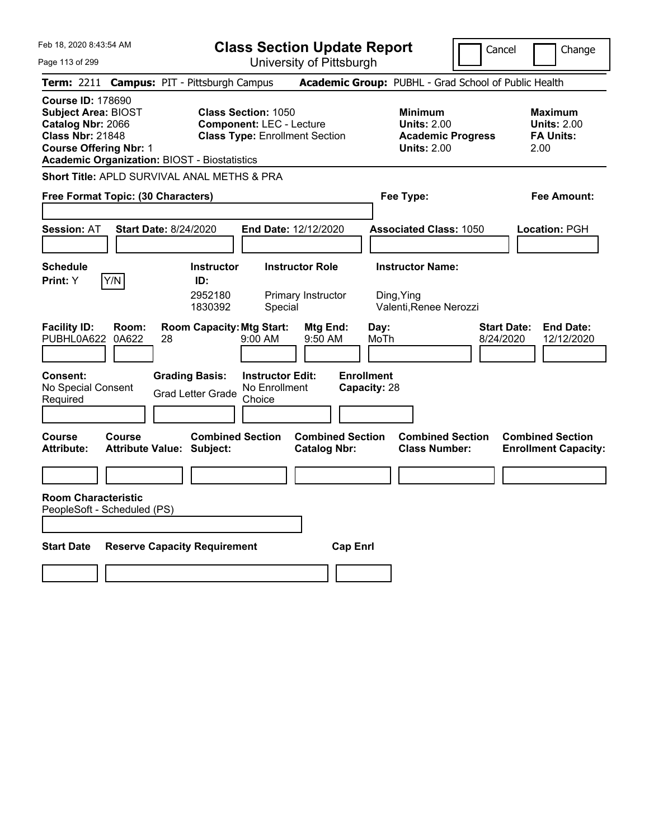**Class Section Update Report**

Page 113 of 299

| Feb 18, 2020 8:43:54 AM<br>Page 113 of 299                                                                                              |                                                     | <b>Class Section Update Report</b><br>Cancel<br>Change<br>University of Pittsburgh                     |                                                |                                                                                        |                                                                   |  |
|-----------------------------------------------------------------------------------------------------------------------------------------|-----------------------------------------------------|--------------------------------------------------------------------------------------------------------|------------------------------------------------|----------------------------------------------------------------------------------------|-------------------------------------------------------------------|--|
| <b>Term: 2211</b>                                                                                                                       | <b>Campus: PIT - Pittsburgh Campus</b>              |                                                                                                        |                                                | Academic Group: PUBHL - Grad School of Public Health                                   |                                                                   |  |
| <b>Course ID: 178690</b><br><b>Subject Area: BIOST</b><br>Catalog Nbr: 2066<br><b>Class Nbr: 21848</b><br><b>Course Offering Nbr: 1</b> | <b>Academic Organization: BIOST - Biostatistics</b> | <b>Class Section: 1050</b><br><b>Component: LEC - Lecture</b><br><b>Class Type: Enrollment Section</b> |                                                | <b>Minimum</b><br><b>Units: 2.00</b><br><b>Academic Progress</b><br><b>Units: 2.00</b> | Maximum<br><b>Units: 2.00</b><br><b>FA Units:</b><br>2.00         |  |
|                                                                                                                                         | Short Title: APLD SURVIVAL ANAL METHS & PRA         |                                                                                                        |                                                |                                                                                        |                                                                   |  |
|                                                                                                                                         | Free Format Topic: (30 Characters)                  |                                                                                                        |                                                | Fee Type:                                                                              | Fee Amount:                                                       |  |
| <b>Session: AT</b>                                                                                                                      | <b>Start Date: 8/24/2020</b>                        |                                                                                                        | End Date: 12/12/2020                           | <b>Associated Class: 1050</b>                                                          | <b>Location:</b> PGH                                              |  |
| <b>Schedule</b><br>Y/N<br>Print: Y                                                                                                      | ID:                                                 | <b>Instructor</b><br>2952180<br>1830392<br>Special                                                     | <b>Instructor Role</b><br>Primary Instructor   | <b>Instructor Name:</b><br>Ding, Ying<br>Valenti, Renee Nerozzi                        |                                                                   |  |
| <b>Facility ID:</b><br>PUBHL0A622                                                                                                       | Room:<br>0A622<br>28                                | <b>Room Capacity: Mtg Start:</b><br>$9:00$ AM                                                          | Mtg End:<br>9:50 AM                            | Day:<br>MoTh                                                                           | <b>Start Date:</b><br><b>End Date:</b><br>8/24/2020<br>12/12/2020 |  |
| Consent:<br>No Special Consent<br>Required                                                                                              | <b>Grading Basis:</b><br><b>Grad Letter Grade</b>   | <b>Instructor Edit:</b><br>No Enrollment<br>Choice                                                     |                                                | <b>Enrollment</b><br>Capacity: 28                                                      |                                                                   |  |
| <b>Course</b><br><b>Attribute:</b>                                                                                                      | Course<br><b>Attribute Value: Subject:</b>          | <b>Combined Section</b>                                                                                | <b>Combined Section</b><br><b>Catalog Nbr:</b> | <b>Combined Section</b><br><b>Class Number:</b>                                        | <b>Combined Section</b><br><b>Enrollment Capacity:</b>            |  |
|                                                                                                                                         |                                                     |                                                                                                        |                                                |                                                                                        |                                                                   |  |
| <b>Room Characteristic</b><br>PeopleSoft - Scheduled (PS)                                                                               |                                                     |                                                                                                        |                                                |                                                                                        |                                                                   |  |
| <b>Start Date</b>                                                                                                                       | <b>Reserve Capacity Requirement</b>                 |                                                                                                        | <b>Cap Enrl</b>                                |                                                                                        |                                                                   |  |
|                                                                                                                                         |                                                     |                                                                                                        |                                                |                                                                                        |                                                                   |  |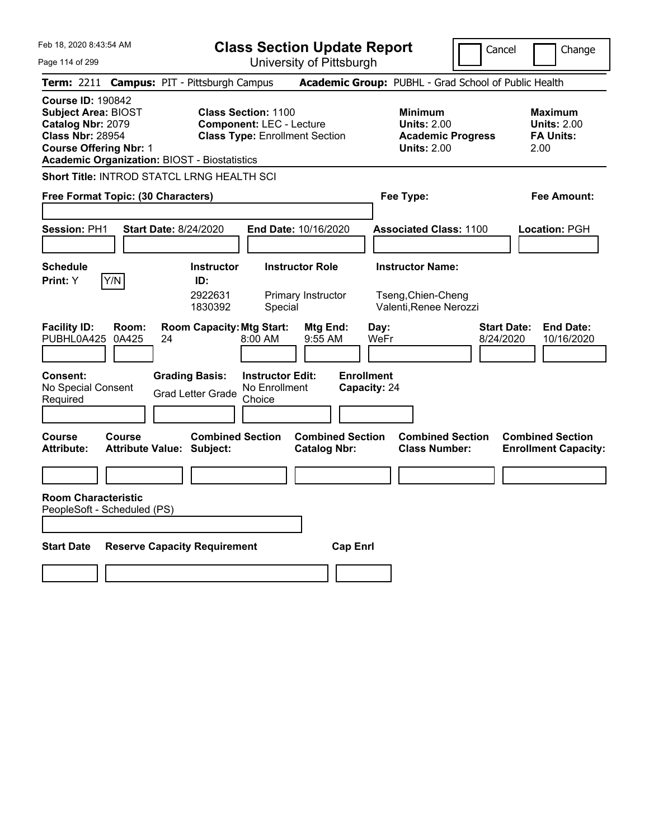**Class Section Update Report**

 $\sqrt{\Gamma}$ 

Cancel **Change** 

J,

| Page 114 of 299                                                                                                                         |                                                                                             | University of Pittsburgh                                                                               |                                                                                        |                                                                   |
|-----------------------------------------------------------------------------------------------------------------------------------------|---------------------------------------------------------------------------------------------|--------------------------------------------------------------------------------------------------------|----------------------------------------------------------------------------------------|-------------------------------------------------------------------|
|                                                                                                                                         | Term: 2211 Campus: PIT - Pittsburgh Campus                                                  |                                                                                                        | Academic Group: PUBHL - Grad School of Public Health                                   |                                                                   |
| <b>Course ID: 190842</b><br><b>Subject Area: BIOST</b><br>Catalog Nbr: 2079<br><b>Class Nbr: 28954</b><br><b>Course Offering Nbr: 1</b> | <b>Academic Organization: BIOST - Biostatistics</b>                                         | <b>Class Section: 1100</b><br><b>Component: LEC - Lecture</b><br><b>Class Type: Enrollment Section</b> | <b>Minimum</b><br><b>Units: 2.00</b><br><b>Academic Progress</b><br><b>Units: 2.00</b> | Maximum<br><b>Units: 2.00</b><br><b>FA Units:</b><br>2.00         |
|                                                                                                                                         | Short Title: INTROD STATCL LRNG HEALTH SCI                                                  |                                                                                                        |                                                                                        |                                                                   |
| Free Format Topic: (30 Characters)                                                                                                      |                                                                                             |                                                                                                        | Fee Type:                                                                              | Fee Amount:                                                       |
| <b>Session: PH1</b>                                                                                                                     | <b>Start Date: 8/24/2020</b>                                                                | End Date: 10/16/2020                                                                                   | <b>Associated Class: 1100</b>                                                          | Location: PGH                                                     |
| <b>Schedule</b><br>Y/N<br>Print: Y                                                                                                      | <b>Instructor</b><br>ID:<br>2922631<br>1830392                                              | <b>Instructor Role</b><br>Primary Instructor<br>Special                                                | <b>Instructor Name:</b><br>Tseng, Chien-Cheng<br>Valenti, Renee Nerozzi                |                                                                   |
| <b>Facility ID:</b><br>Room:<br>PUBHL0A425<br>0A425<br><b>Consent:</b><br>No Special Consent<br>Required                                | <b>Room Capacity: Mtg Start:</b><br>24<br><b>Grading Basis:</b><br><b>Grad Letter Grade</b> | Mtg End:<br>8:00 AM<br>$9:55$ AM<br><b>Instructor Edit:</b><br>No Enrollment<br>Choice                 | Day:<br>WeFr<br><b>Enrollment</b><br>Capacity: 24                                      | <b>End Date:</b><br><b>Start Date:</b><br>8/24/2020<br>10/16/2020 |
| <b>Course</b><br>Course<br><b>Attribute:</b>                                                                                            | <b>Combined Section</b><br><b>Attribute Value: Subject:</b>                                 | <b>Combined Section</b><br><b>Catalog Nbr:</b>                                                         | <b>Combined Section</b><br><b>Class Number:</b>                                        | <b>Combined Section</b><br><b>Enrollment Capacity:</b>            |
| <b>Room Characteristic</b><br>PeopleSoft - Scheduled (PS)                                                                               |                                                                                             |                                                                                                        |                                                                                        |                                                                   |
| <b>Start Date</b>                                                                                                                       | <b>Reserve Capacity Requirement</b>                                                         | <b>Cap Enrl</b>                                                                                        |                                                                                        |                                                                   |
|                                                                                                                                         |                                                                                             |                                                                                                        |                                                                                        |                                                                   |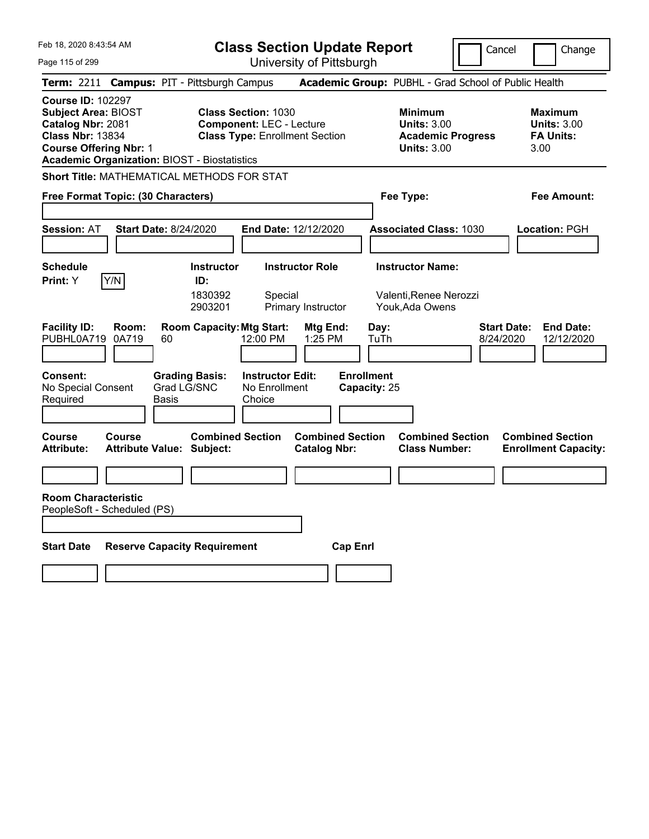**Class Section Update Report**

University of Pittsburgh

Cancel Change

| Page 115 of 299 |  |
|-----------------|--|
|-----------------|--|

**Term:** 2211 **Campus:** PIT - Pittsburgh Campus **Academic Group:** PUBHL - Grad School of Public Health **Course ID:** 102297 **Subject Area:** BIOST **Class Section:** 1030 **Minimum Maximum Catalog Nbr:** 2081 **Component:** LEC - Lecture **Units:** 3.00 **Units:** 3.00 **Class Nbr:** 13834 **Class Type:** Enrollment Section **Academic Progress FA Units: Course Offering Nbr:** 1 **Units:** 3.00 3.00 **Academic Organization:** BIOST - Biostatistics **Short Title:** MATHEMATICAL METHODS FOR STAT **Free Format Topic: (30 Characters) Fee Type: Fee Amount: Session:** AT **Start Date:** 8/24/2020 **End Date:** 12/12/2020 **Associated Class:** 1030 **Location:** PGH **Schedule Instructor Instructor Role Instructor Name: Print:**  $Y$   $|Y/N|$  **ID:** 1830392 Special Valenti,Renee Nerozzi 2903201 Primary Instructor Youk,Ada Owens **Facility ID: Room: Room Capacity:Mtg Start: Mtg End: Day: Start Date: End Date:** PUBHL0A719 0A719 60 12:00 PM 1:25 PM TuTh 8/24/2020 12/12/2020 **Consent: Grading Basis: Instructor Edit: Enrollment** No Special Consent Required Grad LG/SNC Basis No Enrollment **Choice Capacity:** 25 **Course Course Combined Section Combined Section Combined Section Combined Section**  Attribute: Attribute Value: Subject: Catalog Nbr: Class Number: Enrollment Capacity: **Room Characteristic** PeopleSoft - Scheduled (PS) **Start Date Reserve Capacity Requirement Cap Enrl**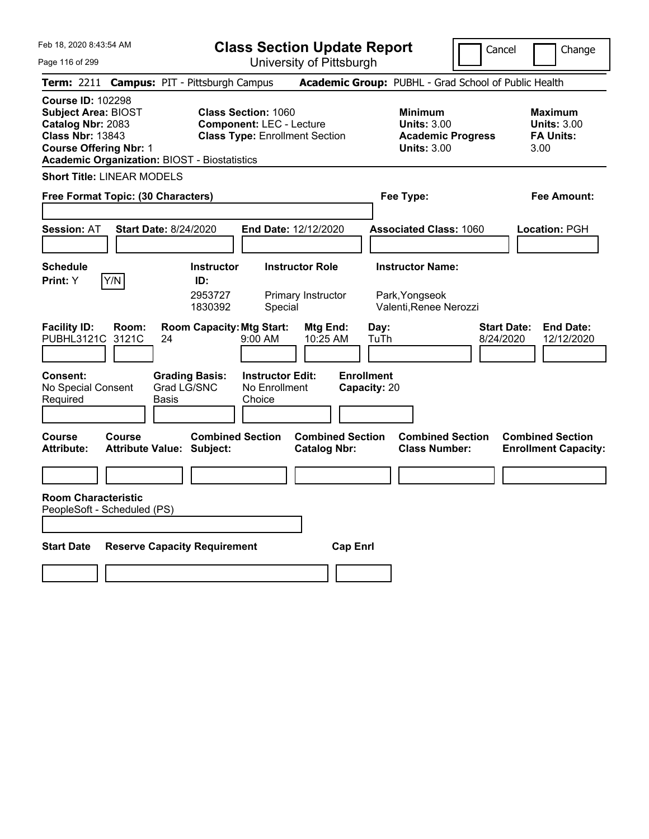**Class Section Update Report**

Cancel | Change

Page 116 of 299

University of Pittsburgh **Term:** 2211 **Campus:** PIT - Pittsburgh Campus **Academic Group:** PUBHL - Grad School of Public Health **Course ID:** 102298 **Subject Area:** BIOST **Class Section:** 1060 **Minimum Maximum Catalog Nbr:** 2083 **Component:** LEC - Lecture **Units:** 3.00 **Units:** 3.00 **Class Nbr:** 13843 **Class Type:** Enrollment Section **Academic Progress FA Units: Course Offering Nbr:** 1 **Units:** 3.00 3.00 **Academic Organization:** BIOST - Biostatistics **Short Title:** LINEAR MODELS **Free Format Topic: (30 Characters) Fee Type: Fee Amount: Session:** AT **Start Date:** 8/24/2020 **End Date:** 12/12/2020 **Associated Class:** 1060 **Location:** PGH **Schedule Instructor Instructor Role Instructor Name: Print:**  $Y$   $|Y/N|$  **ID:** 2953727 Primary Instructor Park,Yongseok 1830392 Special Valenti,Renee Nerozzi **Facility ID: Room: Room Capacity:Mtg Start: Mtg End: Day: Start Date: End Date:** PUBHL3121C 3121C 24 9:00 AM 10:25 AM TuTh 8/24/2020 12/12/2020 **Consent: Grading Basis: Instructor Edit: Enrollment** No Special Consent Required Grad LG/SNC Basis No Enrollment **Choice Capacity:** 20 **Course Course Combined Section Combined Section Combined Section Combined Section**  Attribute: Attribute Value: Subject: Catalog Nbr: Class Number: Enrollment Capacity: **Room Characteristic** PeopleSoft - Scheduled (PS) **Start Date Reserve Capacity Requirement Cap Enrl**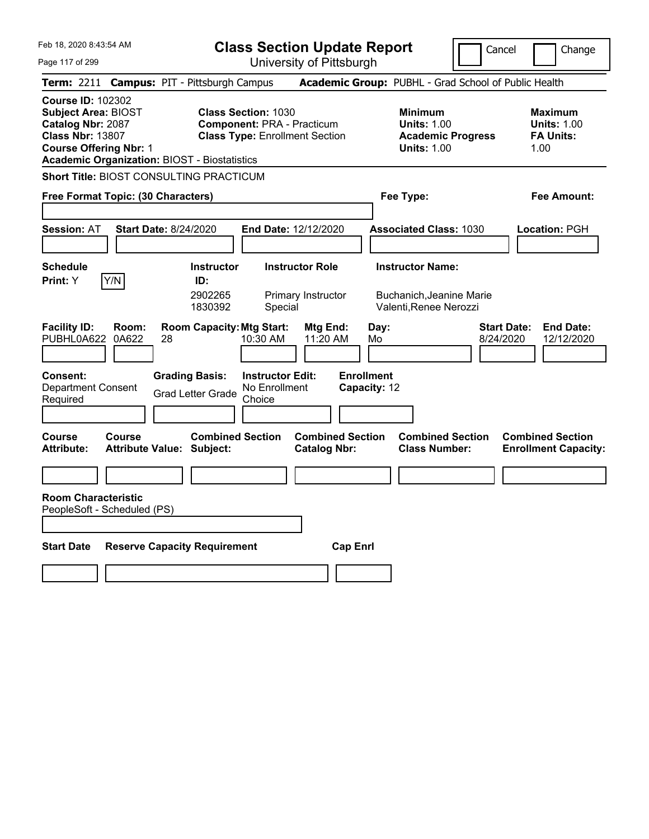**Class Section Update Report**

University of Pittsburgh

Cancel **Change** 

Page 117 of 299

|                                                                                                                                                                                                                              |                | Term: 2211 Campus: PIT - Pittsburgh Campus                  |                                                                            | <b>Academic Group: PUBHL - Grad School of Public Health</b>                            |                                                                   |
|------------------------------------------------------------------------------------------------------------------------------------------------------------------------------------------------------------------------------|----------------|-------------------------------------------------------------|----------------------------------------------------------------------------|----------------------------------------------------------------------------------------|-------------------------------------------------------------------|
| <b>Course ID: 102302</b><br><b>Class Section: 1030</b><br><b>Subject Area: BIOST</b><br>Catalog Nbr: 2087<br><b>Class Nbr: 13807</b><br><b>Course Offering Nbr: 1</b><br><b>Academic Organization: BIOST - Biostatistics</b> |                |                                                             | <b>Component: PRA - Practicum</b><br><b>Class Type: Enrollment Section</b> | <b>Minimum</b><br><b>Units: 1.00</b><br><b>Academic Progress</b><br><b>Units: 1.00</b> | <b>Maximum</b><br><b>Units: 1.00</b><br><b>FA Units:</b><br>1.00  |
|                                                                                                                                                                                                                              |                | Short Title: BIOST CONSULTING PRACTICUM                     |                                                                            |                                                                                        |                                                                   |
| Free Format Topic: (30 Characters)                                                                                                                                                                                           |                |                                                             |                                                                            | Fee Type:                                                                              | <b>Fee Amount:</b>                                                |
| <b>Session: AT</b>                                                                                                                                                                                                           |                | <b>Start Date: 8/24/2020</b>                                | End Date: 12/12/2020                                                       | <b>Associated Class: 1030</b>                                                          | Location: PGH                                                     |
| <b>Schedule</b><br><b>Print:</b> Y                                                                                                                                                                                           | Y/N            | <b>Instructor</b><br>ID:<br>2902265<br>1830392              | <b>Instructor Role</b><br>Primary Instructor<br>Special                    | <b>Instructor Name:</b><br>Buchanich, Jeanine Marie<br>Valenti, Renee Nerozzi          |                                                                   |
| <b>Facility ID:</b><br>PUBHL0A622                                                                                                                                                                                            | Room:<br>0A622 | <b>Room Capacity: Mtg Start:</b><br>28                      | Mtg End:<br>10:30 AM<br>11:20 AM                                           | Day:<br>Mo                                                                             | <b>End Date:</b><br><b>Start Date:</b><br>8/24/2020<br>12/12/2020 |
| <b>Consent:</b><br><b>Department Consent</b><br>Required                                                                                                                                                                     |                | <b>Grading Basis:</b><br><b>Grad Letter Grade</b>           | <b>Instructor Edit:</b><br>No Enrollment<br>Choice                         | <b>Enrollment</b><br>Capacity: 12                                                      |                                                                   |
| <b>Course</b><br>Attribute:                                                                                                                                                                                                  | Course         | <b>Combined Section</b><br><b>Attribute Value: Subject:</b> | <b>Combined Section</b><br><b>Catalog Nbr:</b>                             | <b>Combined Section</b><br><b>Class Number:</b>                                        | <b>Combined Section</b><br><b>Enrollment Capacity:</b>            |
|                                                                                                                                                                                                                              |                |                                                             |                                                                            |                                                                                        |                                                                   |
| <b>Room Characteristic</b><br>PeopleSoft - Scheduled (PS)                                                                                                                                                                    |                |                                                             |                                                                            |                                                                                        |                                                                   |
|                                                                                                                                                                                                                              |                |                                                             |                                                                            |                                                                                        |                                                                   |
| <b>Start Date</b>                                                                                                                                                                                                            |                | <b>Reserve Capacity Requirement</b>                         |                                                                            | <b>Cap Enrl</b>                                                                        |                                                                   |
|                                                                                                                                                                                                                              |                |                                                             |                                                                            |                                                                                        |                                                                   |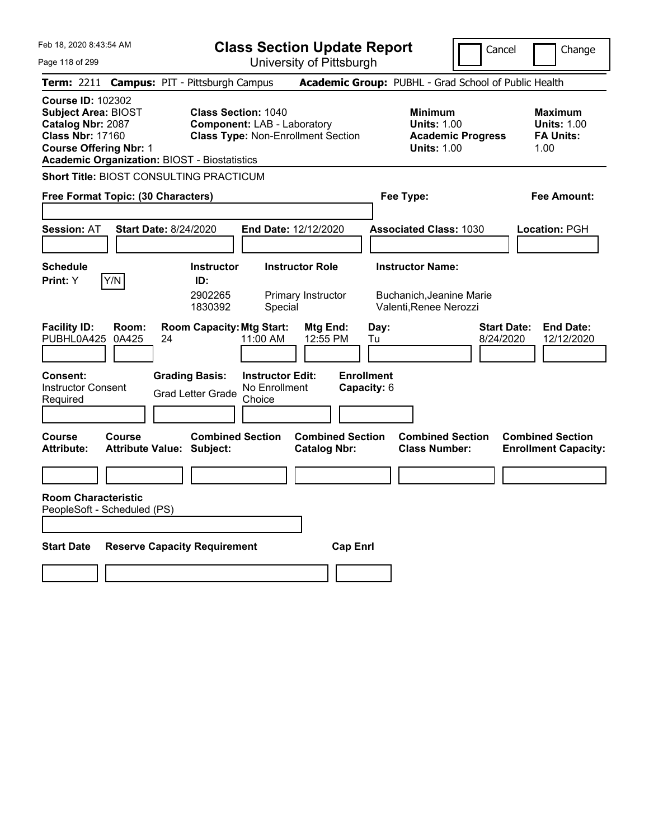**Class Section Update Report**

University of Pittsburgh

Cancel Change

| Page 118 of 299 |  |
|-----------------|--|
|                 |  |

**Term:** 2211 **Campus:** PIT - Pittsburgh Campus **Academic Group:** PUBHL - Grad School of Public Health **Course ID:** 102302 **Subject Area:** BIOST **Class Section:** 1040 **Minimum Maximum Catalog Nbr:** 2087 **Component:** LAB - Laboratory **Units:** 1.00 **Units:** 1.00 **Class Nbr:** 17160 **Class Type:** Non-Enrollment Section **Academic Progress FA Units: Course Offering Nbr:** 1 **Units:** 1.00 1.00 **Academic Organization:** BIOST - Biostatistics **Short Title:** BIOST CONSULTING PRACTICUM **Free Format Topic: (30 Characters) Fee Type: Fee Amount: Session:** AT **Start Date:** 8/24/2020 **End Date:** 12/12/2020 **Associated Class:** 1030 **Location:** PGH **Schedule Instructor Instructor Role Instructor Name: Print:**  $Y$   $|Y/N|$  **ID:** 2902265 Primary Instructor Buchanich,Jeanine Marie 1830392 Special Valenti,Renee Nerozzi **Facility ID: Room: Room Capacity:Mtg Start: Mtg End: Day: Start Date: End Date:** PUBHL0A425 0A425 24 11:00 AM 12:55 PM Tu 8/24/2020 12/12/2020 **Consent: Grading Basis: Instructor Edit: Enrollment** Instructor Consent Instructor Consent Grad Letter Grade No Enrollment<br>Required Choice Choice **Capacity:** 6 **Course Course Combined Section Combined Section Combined Section Combined Section**  Attribute: Attribute Value: Subject: Catalog Nbr: Class Number: Enrollment Capacity: **Room Characteristic** PeopleSoft - Scheduled (PS) **Start Date Reserve Capacity Requirement Cap Enrl**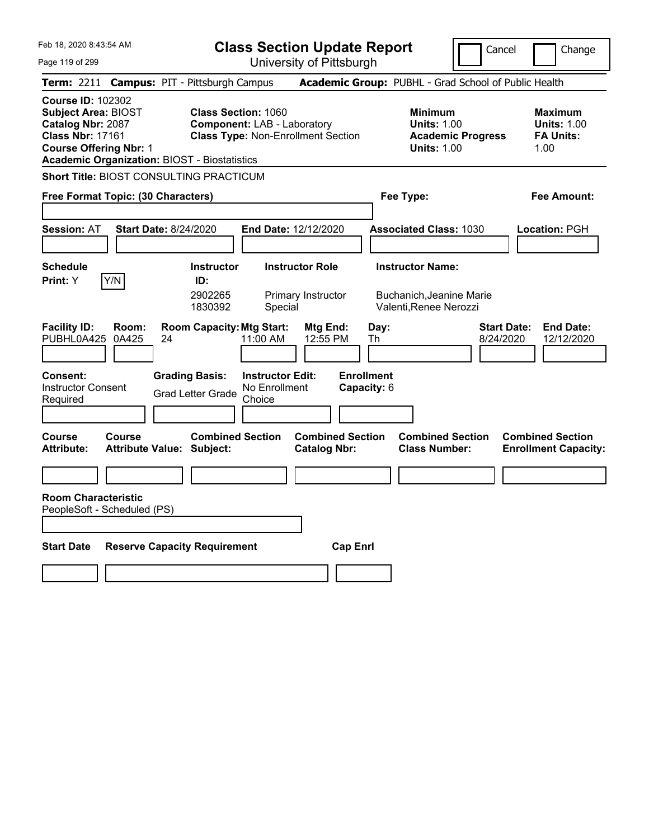**Class Section Update Report**

University of Pittsburgh

Cancel Change

| Page 119 of 299 |  |
|-----------------|--|
|                 |  |

**Term:** 2211 **Campus:** PIT - Pittsburgh Campus **Academic Group:** PUBHL - Grad School of Public Health **Course ID:** 102302 **Subject Area:** BIOST **Class Section:** 1060 **Minimum Maximum Catalog Nbr:** 2087 **Component:** LAB - Laboratory **Units:** 1.00 **Units:** 1.00 **Class Nbr:** 17161 **Class Type:** Non-Enrollment Section **Academic Progress FA Units: Course Offering Nbr:** 1 **Units:** 1.00 1.00 **Academic Organization:** BIOST - Biostatistics **Short Title:** BIOST CONSULTING PRACTICUM **Free Format Topic: (30 Characters) Fee Type: Fee Amount: Session:** AT **Start Date:** 8/24/2020 **End Date:** 12/12/2020 **Associated Class:** 1030 **Location:** PGH **Schedule Instructor Instructor Role Instructor Name: Print:**  $Y$   $|Y/N|$  **ID:** 2902265 Primary Instructor Buchanich,Jeanine Marie 1830392 Special Valenti,Renee Nerozzi **Facility ID: Room: Room Capacity:Mtg Start: Mtg End: Day: Start Date: End Date:** PUBHL0A425 0A425 24 11:00 AM 12:55 PM Th 8/24/2020 12/12/2020 **Consent: Grading Basis: Instructor Edit: Enrollment** Instructor Consent Instructor Consent Grad Letter Grade No Enrollment<br>Required Choice Choice **Capacity:** 6 **Course Course Combined Section Combined Section Combined Section Combined Section**  Attribute: Attribute Value: Subject: Catalog Nbr: Class Number: Enrollment Capacity: **Room Characteristic** PeopleSoft - Scheduled (PS) **Start Date Reserve Capacity Requirement Cap Enrl**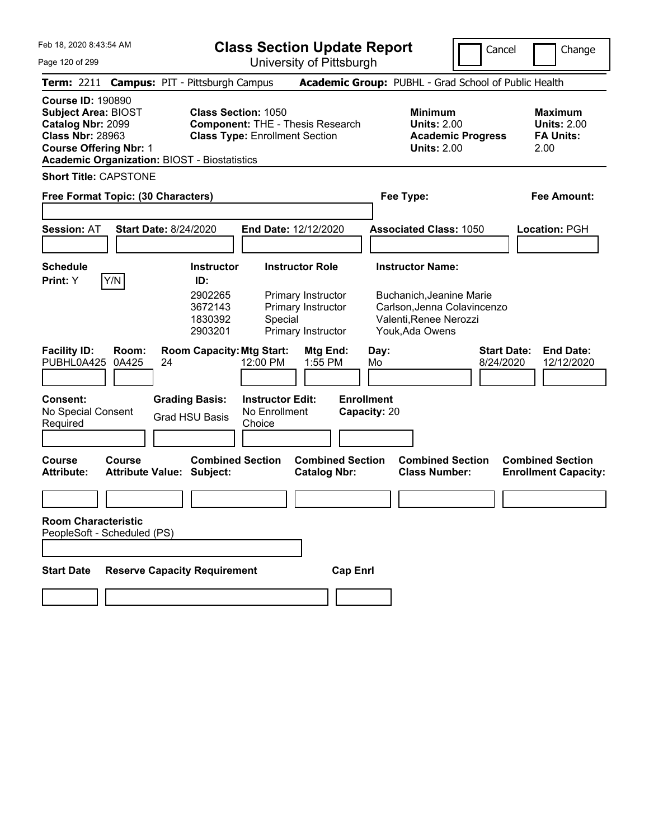**Class Section Update Report**

Cancel **Change** 

Page 120 of 299

| Page 120 of 299                                                                                                                                                                                |                                                                                                                                             |                                                                           | University of Pittsburgh                                                              |                                                 |                                                                                                      |                                 |                                                                  |
|------------------------------------------------------------------------------------------------------------------------------------------------------------------------------------------------|---------------------------------------------------------------------------------------------------------------------------------------------|---------------------------------------------------------------------------|---------------------------------------------------------------------------------------|-------------------------------------------------|------------------------------------------------------------------------------------------------------|---------------------------------|------------------------------------------------------------------|
| Term: 2211 Campus: PIT - Pittsburgh Campus                                                                                                                                                     |                                                                                                                                             |                                                                           |                                                                                       |                                                 | Academic Group: PUBHL - Grad School of Public Health                                                 |                                 |                                                                  |
| <b>Course ID: 190890</b><br><b>Subject Area: BIOST</b><br>Catalog Nbr: 2099<br><b>Class Nbr: 28963</b><br><b>Course Offering Nbr: 1</b><br><b>Academic Organization: BIOST - Biostatistics</b> | <b>Class Section: 1050</b>                                                                                                                  | <b>Class Type: Enrollment Section</b>                                     | <b>Component: THE - Thesis Research</b>                                               |                                                 | <b>Minimum</b><br><b>Units: 2.00</b><br><b>Academic Progress</b><br><b>Units: 2.00</b>               |                                 | <b>Maximum</b><br><b>Units: 2.00</b><br><b>FA Units:</b><br>2.00 |
| <b>Short Title: CAPSTONE</b>                                                                                                                                                                   |                                                                                                                                             |                                                                           |                                                                                       |                                                 |                                                                                                      |                                 |                                                                  |
| Free Format Topic: (30 Characters)                                                                                                                                                             |                                                                                                                                             |                                                                           |                                                                                       |                                                 | Fee Type:                                                                                            |                                 | Fee Amount:                                                      |
| <b>Session: AT</b>                                                                                                                                                                             | <b>Start Date: 8/24/2020</b>                                                                                                                | End Date: 12/12/2020                                                      |                                                                                       |                                                 | <b>Associated Class: 1050</b>                                                                        |                                 | Location: PGH                                                    |
| <b>Schedule</b>                                                                                                                                                                                | <b>Instructor</b>                                                                                                                           |                                                                           | <b>Instructor Role</b>                                                                |                                                 | <b>Instructor Name:</b>                                                                              |                                 |                                                                  |
| Y/N<br>Print: Y<br><b>Facility ID:</b><br>Room:<br>PUBHL0A425<br>0A425<br>Consent:<br>No Special Consent<br>Required                                                                           | ID:<br>2902265<br>3672143<br>1830392<br>2903201<br><b>Room Capacity: Mtg Start:</b><br>24<br><b>Grading Basis:</b><br><b>Grad HSU Basis</b> | Special<br>12:00 PM<br><b>Instructor Edit:</b><br>No Enrollment<br>Choice | Primary Instructor<br>Primary Instructor<br>Primary Instructor<br>Mtg End:<br>1:55 PM | Day:<br>Mo<br><b>Enrollment</b><br>Capacity: 20 | Buchanich, Jeanine Marie<br>Carlson, Jenna Colavincenzo<br>Valenti, Renee Nerozzi<br>Youk, Ada Owens | <b>Start Date:</b><br>8/24/2020 | <b>End Date:</b><br>12/12/2020                                   |
| <b>Course</b><br><b>Course</b><br>Attribute:                                                                                                                                                   | <b>Combined Section</b><br><b>Attribute Value: Subject:</b>                                                                                 |                                                                           | <b>Combined Section</b><br><b>Catalog Nbr:</b>                                        |                                                 | <b>Combined Section</b><br><b>Class Number:</b>                                                      |                                 | <b>Combined Section</b><br><b>Enrollment Capacity:</b>           |
|                                                                                                                                                                                                |                                                                                                                                             |                                                                           |                                                                                       |                                                 |                                                                                                      |                                 |                                                                  |
| <b>Room Characteristic</b><br>PeopleSoft - Scheduled (PS)<br><b>Start Date</b>                                                                                                                 | <b>Reserve Capacity Requirement</b>                                                                                                         |                                                                           | <b>Cap Enrl</b>                                                                       |                                                 |                                                                                                      |                                 |                                                                  |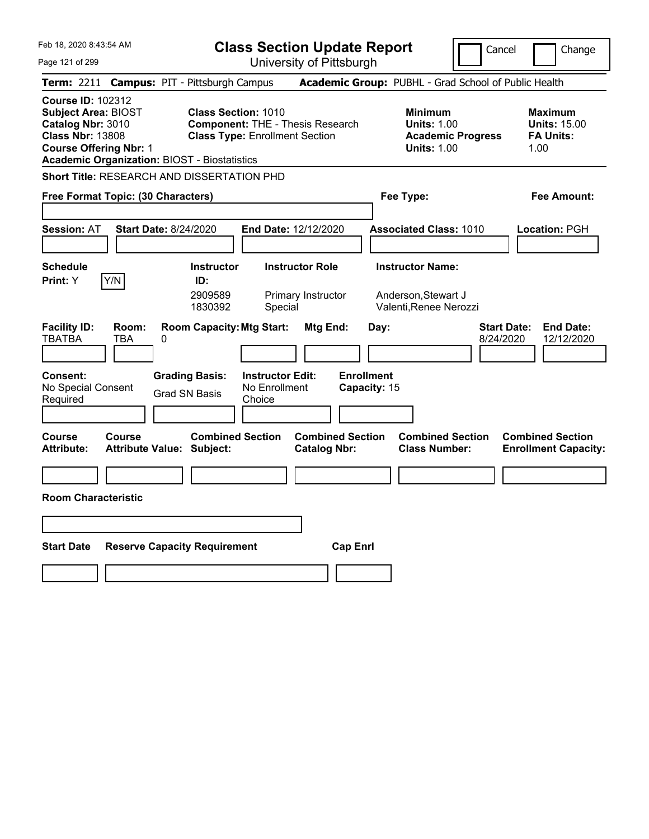| Feb 18, 2020 8:43:54 AM                                                                                                                                                                        | <b>Class Section Update Report</b>                                                                                                                  | Cancel                                                                                 | Change                                                            |
|------------------------------------------------------------------------------------------------------------------------------------------------------------------------------------------------|-----------------------------------------------------------------------------------------------------------------------------------------------------|----------------------------------------------------------------------------------------|-------------------------------------------------------------------|
| Page 121 of 299                                                                                                                                                                                | University of Pittsburgh                                                                                                                            |                                                                                        |                                                                   |
| <b>Term: 2211</b>                                                                                                                                                                              | <b>Campus: PIT - Pittsburgh Campus</b>                                                                                                              | Academic Group: PUBHL - Grad School of Public Health                                   |                                                                   |
| <b>Course ID: 102312</b><br><b>Subject Area: BIOST</b><br>Catalog Nbr: 3010<br><b>Class Nbr: 13808</b><br><b>Course Offering Nbr: 1</b><br><b>Academic Organization: BIOST - Biostatistics</b> | <b>Class Section: 1010</b><br><b>Component: THE - Thesis Research</b><br><b>Class Type: Enrollment Section</b>                                      | <b>Minimum</b><br><b>Units: 1.00</b><br><b>Academic Progress</b><br><b>Units: 1.00</b> | <b>Maximum</b><br><b>Units: 15.00</b><br><b>FA Units:</b><br>1.00 |
| <b>Short Title: RESEARCH AND DISSERTATION PHD</b>                                                                                                                                              |                                                                                                                                                     |                                                                                        |                                                                   |
| Free Format Topic: (30 Characters)                                                                                                                                                             |                                                                                                                                                     | Fee Type:                                                                              | Fee Amount:                                                       |
| <b>Start Date: 8/24/2020</b><br><b>Session: AT</b>                                                                                                                                             | End Date: 12/12/2020                                                                                                                                | <b>Associated Class: 1010</b>                                                          | Location: PGH                                                     |
| <b>Schedule</b><br>Y/N<br>Print: Y                                                                                                                                                             | <b>Instructor Role</b><br><b>Instructor</b><br>ID:<br>2909589<br>Primary Instructor<br>1830392<br>Special                                           | <b>Instructor Name:</b><br>Anderson, Stewart J<br>Valenti, Renee Nerozzi               |                                                                   |
| <b>Facility ID:</b><br>Room:<br><b>TBATBA</b><br>TBA<br>0<br><b>Consent:</b><br>No Special Consent<br>Required                                                                                 | <b>Room Capacity: Mtg Start:</b><br>Mtg End:<br><b>Grading Basis:</b><br><b>Instructor Edit:</b><br>No Enrollment<br><b>Grad SN Basis</b><br>Choice | Day:<br>8/24/2020<br><b>Enrollment</b><br>Capacity: 15                                 | <b>End Date:</b><br><b>Start Date:</b><br>12/12/2020              |
| <b>Course</b><br>Course<br><b>Attribute:</b><br>Attribute Value: Subject:                                                                                                                      | <b>Combined Section</b><br><b>Combined Section</b><br><b>Catalog Nbr:</b>                                                                           | <b>Combined Section</b><br><b>Class Number:</b>                                        | <b>Combined Section</b><br><b>Enrollment Capacity:</b>            |
| <b>Room Characteristic</b>                                                                                                                                                                     |                                                                                                                                                     |                                                                                        |                                                                   |
| <b>Start Date</b>                                                                                                                                                                              | <b>Reserve Capacity Requirement</b>                                                                                                                 | <b>Cap Enrl</b>                                                                        |                                                                   |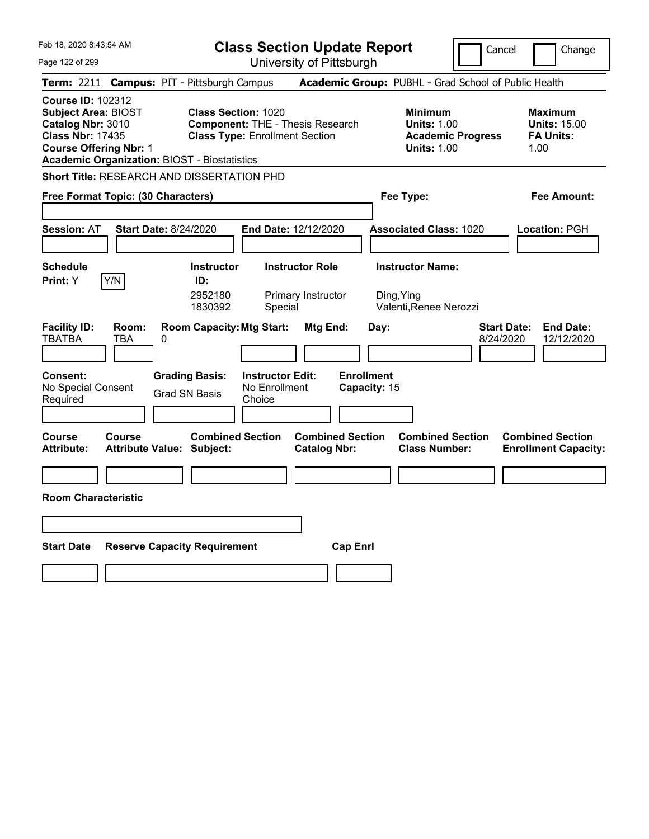| Feb 18, 2020 8:43:54 AM                                                                                                                                                                        | <b>Class Section Update Report</b>                                                                                                                  |                                                                                        | Cancel<br>Change                                                  |
|------------------------------------------------------------------------------------------------------------------------------------------------------------------------------------------------|-----------------------------------------------------------------------------------------------------------------------------------------------------|----------------------------------------------------------------------------------------|-------------------------------------------------------------------|
| Page 122 of 299                                                                                                                                                                                | University of Pittsburgh                                                                                                                            |                                                                                        |                                                                   |
| <b>Term: 2211</b>                                                                                                                                                                              | <b>Campus: PIT - Pittsburgh Campus</b>                                                                                                              | Academic Group: PUBHL - Grad School of Public Health                                   |                                                                   |
| <b>Course ID: 102312</b><br><b>Subject Area: BIOST</b><br>Catalog Nbr: 3010<br><b>Class Nbr: 17435</b><br><b>Course Offering Nbr: 1</b><br><b>Academic Organization: BIOST - Biostatistics</b> | <b>Class Section: 1020</b><br><b>Component: THE - Thesis Research</b><br><b>Class Type: Enrollment Section</b>                                      | <b>Minimum</b><br><b>Units: 1.00</b><br><b>Academic Progress</b><br><b>Units: 1.00</b> | <b>Maximum</b><br><b>Units: 15.00</b><br><b>FA Units:</b><br>1.00 |
| <b>Short Title: RESEARCH AND DISSERTATION PHD</b>                                                                                                                                              |                                                                                                                                                     |                                                                                        |                                                                   |
| Free Format Topic: (30 Characters)                                                                                                                                                             |                                                                                                                                                     | Fee Type:                                                                              | Fee Amount:                                                       |
| <b>Start Date: 8/24/2020</b><br><b>Session: AT</b>                                                                                                                                             | End Date: 12/12/2020                                                                                                                                | <b>Associated Class: 1020</b>                                                          | Location: PGH                                                     |
| <b>Schedule</b><br>Y/N<br>Print: Y                                                                                                                                                             | <b>Instructor Role</b><br><b>Instructor</b><br>ID:<br>2952180<br>Primary Instructor<br>1830392<br>Special                                           | <b>Instructor Name:</b><br>Ding, Ying<br>Valenti, Renee Nerozzi                        |                                                                   |
| <b>Facility ID:</b><br>Room:<br><b>TBATBA</b><br>TBA<br>0<br><b>Consent:</b><br>No Special Consent<br>Required                                                                                 | <b>Room Capacity: Mtg Start:</b><br>Mtg End:<br><b>Grading Basis:</b><br><b>Instructor Edit:</b><br>No Enrollment<br><b>Grad SN Basis</b><br>Choice | Day:<br><b>Enrollment</b><br>Capacity: 15                                              | <b>End Date:</b><br><b>Start Date:</b><br>12/12/2020<br>8/24/2020 |
|                                                                                                                                                                                                |                                                                                                                                                     |                                                                                        |                                                                   |
| <b>Course</b><br>Course<br><b>Attribute:</b><br>Attribute Value: Subject:                                                                                                                      | <b>Combined Section</b><br><b>Catalog Nbr:</b>                                                                                                      | <b>Combined Section</b><br><b>Combined Section</b><br><b>Class Number:</b>             | <b>Combined Section</b><br><b>Enrollment Capacity:</b>            |
| <b>Room Characteristic</b>                                                                                                                                                                     |                                                                                                                                                     |                                                                                        |                                                                   |
|                                                                                                                                                                                                |                                                                                                                                                     |                                                                                        |                                                                   |
| <b>Start Date</b>                                                                                                                                                                              | <b>Reserve Capacity Requirement</b>                                                                                                                 | <b>Cap Enrl</b>                                                                        |                                                                   |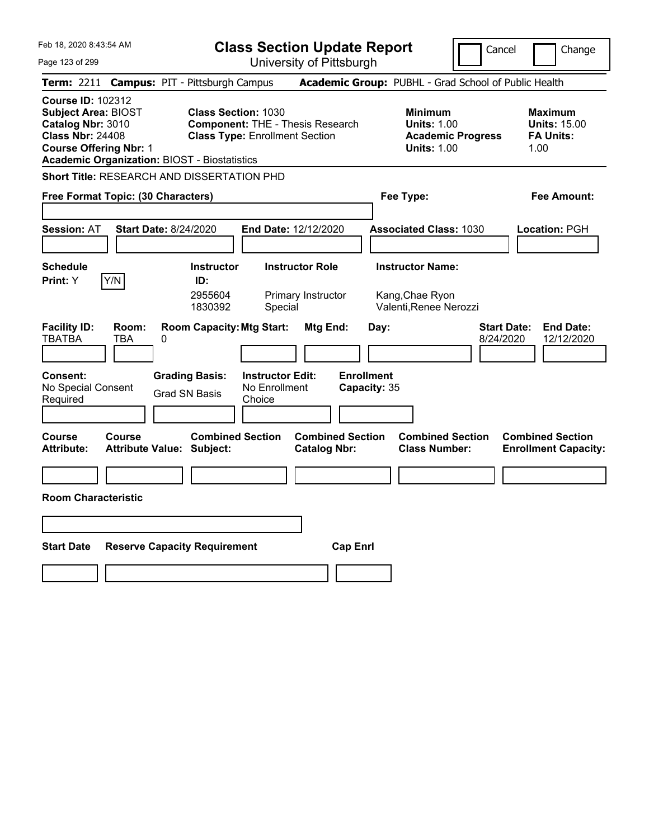| Feb 18, 2020 8:43:54 AM                                                                                                                                                                        | <b>Class Section Update Report</b>                                                                                                                         | Cancel                                                                                 | Change                                                            |
|------------------------------------------------------------------------------------------------------------------------------------------------------------------------------------------------|------------------------------------------------------------------------------------------------------------------------------------------------------------|----------------------------------------------------------------------------------------|-------------------------------------------------------------------|
| Page 123 of 299                                                                                                                                                                                | University of Pittsburgh                                                                                                                                   |                                                                                        |                                                                   |
| Term: 2211                                                                                                                                                                                     | <b>Campus: PIT - Pittsburgh Campus</b>                                                                                                                     | Academic Group: PUBHL - Grad School of Public Health                                   |                                                                   |
| <b>Course ID: 102312</b><br><b>Subject Area: BIOST</b><br>Catalog Nbr: 3010<br><b>Class Nbr: 24408</b><br><b>Course Offering Nbr: 1</b><br><b>Academic Organization: BIOST - Biostatistics</b> | <b>Class Section: 1030</b><br><b>Component: THE - Thesis Research</b><br><b>Class Type: Enrollment Section</b>                                             | <b>Minimum</b><br><b>Units: 1.00</b><br><b>Academic Progress</b><br><b>Units: 1.00</b> | <b>Maximum</b><br><b>Units: 15.00</b><br><b>FA Units:</b><br>1.00 |
| <b>Short Title: RESEARCH AND DISSERTATION PHD</b>                                                                                                                                              |                                                                                                                                                            |                                                                                        |                                                                   |
| Free Format Topic: (30 Characters)                                                                                                                                                             |                                                                                                                                                            | Fee Type:                                                                              | Fee Amount:                                                       |
| <b>Session: AT</b><br><b>Start Date: 8/24/2020</b>                                                                                                                                             | End Date: 12/12/2020                                                                                                                                       | <b>Associated Class: 1030</b>                                                          | <b>Location: PGH</b>                                              |
| <b>Schedule</b><br>Y/N<br><b>Print:</b> Y                                                                                                                                                      | <b>Instructor</b><br><b>Instructor Role</b><br>ID:<br>2955604<br>Primary Instructor<br>1830392<br>Special                                                  | <b>Instructor Name:</b><br>Kang, Chae Ryon<br>Valenti, Renee Nerozzi                   |                                                                   |
| <b>Facility ID:</b><br>Room:<br><b>TBATBA</b><br>TBA<br>0<br><b>Consent:</b><br>No Special Consent<br>Required                                                                                 | <b>Room Capacity: Mtg Start:</b><br><b>Mtg End:</b><br><b>Grading Basis:</b><br><b>Instructor Edit:</b><br>No Enrollment<br><b>Grad SN Basis</b><br>Choice | <b>Start Date:</b><br>Day:<br>8/24/2020<br><b>Enrollment</b><br>Capacity: 35           | <b>End Date:</b><br>12/12/2020                                    |
| <b>Course</b><br><b>Course</b><br><b>Attribute:</b><br>Attribute Value: Subject:                                                                                                               | <b>Combined Section</b><br><b>Combined Section</b><br><b>Catalog Nbr:</b>                                                                                  | <b>Combined Section</b><br><b>Class Number:</b>                                        | <b>Combined Section</b><br><b>Enrollment Capacity:</b>            |
| <b>Room Characteristic</b>                                                                                                                                                                     |                                                                                                                                                            |                                                                                        |                                                                   |
|                                                                                                                                                                                                |                                                                                                                                                            |                                                                                        |                                                                   |
| <b>Start Date</b>                                                                                                                                                                              | <b>Reserve Capacity Requirement</b><br><b>Cap Enrl</b>                                                                                                     |                                                                                        |                                                                   |
|                                                                                                                                                                                                |                                                                                                                                                            |                                                                                        |                                                                   |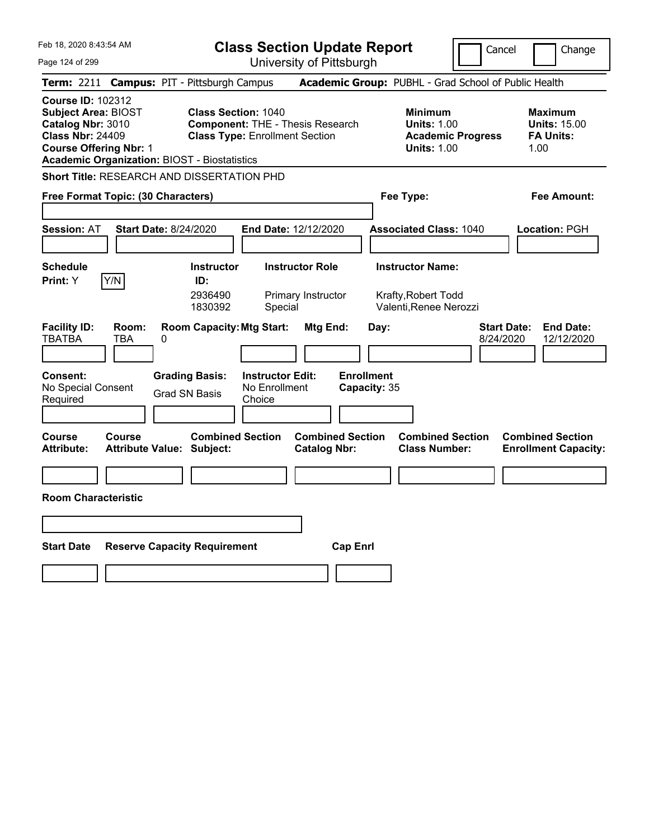| Feb 18, 2020 8:43:54 AM                                                                                                                                                                        | <b>Class Section Update Report</b>                                                                                                                         | Cancel                                                                                 | Change                                                            |
|------------------------------------------------------------------------------------------------------------------------------------------------------------------------------------------------|------------------------------------------------------------------------------------------------------------------------------------------------------------|----------------------------------------------------------------------------------------|-------------------------------------------------------------------|
| Page 124 of 299                                                                                                                                                                                | University of Pittsburgh                                                                                                                                   |                                                                                        |                                                                   |
| Term: 2211                                                                                                                                                                                     | <b>Campus: PIT - Pittsburgh Campus</b>                                                                                                                     | Academic Group: PUBHL - Grad School of Public Health                                   |                                                                   |
| <b>Course ID: 102312</b><br><b>Subject Area: BIOST</b><br>Catalog Nbr: 3010<br><b>Class Nbr: 24409</b><br><b>Course Offering Nbr: 1</b><br><b>Academic Organization: BIOST - Biostatistics</b> | <b>Class Section: 1040</b><br><b>Component: THE - Thesis Research</b><br><b>Class Type: Enrollment Section</b>                                             | <b>Minimum</b><br><b>Units: 1.00</b><br><b>Academic Progress</b><br><b>Units: 1.00</b> | <b>Maximum</b><br><b>Units: 15.00</b><br><b>FA Units:</b><br>1.00 |
| Short Title: RESEARCH AND DISSERTATION PHD                                                                                                                                                     |                                                                                                                                                            |                                                                                        |                                                                   |
| Free Format Topic: (30 Characters)                                                                                                                                                             |                                                                                                                                                            | Fee Type:                                                                              | Fee Amount:                                                       |
| <b>Session: AT</b><br><b>Start Date: 8/24/2020</b>                                                                                                                                             | End Date: 12/12/2020                                                                                                                                       | <b>Associated Class: 1040</b>                                                          | <b>Location: PGH</b>                                              |
| <b>Schedule</b><br>Y/N<br><b>Print:</b> Y                                                                                                                                                      | <b>Instructor</b><br><b>Instructor Role</b><br>ID:<br>2936490<br>Primary Instructor<br>1830392<br>Special                                                  | <b>Instructor Name:</b><br>Krafty, Robert Todd<br>Valenti, Renee Nerozzi               |                                                                   |
| <b>Facility ID:</b><br>Room:<br><b>TBATBA</b><br>TBA<br>0<br><b>Consent:</b><br>No Special Consent<br>Required                                                                                 | <b>Room Capacity: Mtg Start:</b><br><b>Mtg End:</b><br><b>Grading Basis:</b><br><b>Instructor Edit:</b><br>No Enrollment<br><b>Grad SN Basis</b><br>Choice | <b>Start Date:</b><br>Day:<br>8/24/2020<br><b>Enrollment</b><br>Capacity: 35           | <b>End Date:</b><br>12/12/2020                                    |
| <b>Course</b><br>Course<br><b>Attribute:</b><br>Attribute Value: Subject:                                                                                                                      | <b>Combined Section</b><br><b>Combined Section</b><br><b>Catalog Nbr:</b>                                                                                  | <b>Combined Section</b><br><b>Class Number:</b>                                        | <b>Combined Section</b><br><b>Enrollment Capacity:</b>            |
|                                                                                                                                                                                                |                                                                                                                                                            |                                                                                        |                                                                   |
| <b>Room Characteristic</b>                                                                                                                                                                     |                                                                                                                                                            |                                                                                        |                                                                   |
|                                                                                                                                                                                                |                                                                                                                                                            |                                                                                        |                                                                   |
| <b>Start Date</b><br><b>Reserve Capacity Requirement</b>                                                                                                                                       |                                                                                                                                                            | <b>Cap Enrl</b>                                                                        |                                                                   |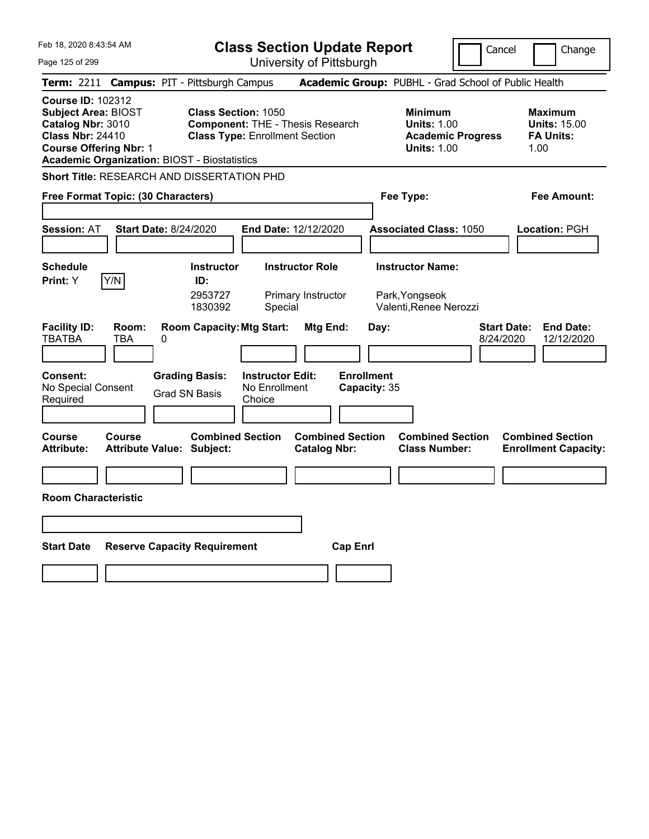| Feb 18, 2020 8:43:54 AM                                                                                                                                                                        | <b>Class Section Update Report</b>                                                                                                                  |                                                                                        | Cancel<br>Change                                                  |
|------------------------------------------------------------------------------------------------------------------------------------------------------------------------------------------------|-----------------------------------------------------------------------------------------------------------------------------------------------------|----------------------------------------------------------------------------------------|-------------------------------------------------------------------|
| Page 125 of 299                                                                                                                                                                                | University of Pittsburgh                                                                                                                            |                                                                                        |                                                                   |
| Term: 2211                                                                                                                                                                                     | <b>Campus: PIT - Pittsburgh Campus</b>                                                                                                              | Academic Group: PUBHL - Grad School of Public Health                                   |                                                                   |
| <b>Course ID: 102312</b><br><b>Subject Area: BIOST</b><br>Catalog Nbr: 3010<br><b>Class Nbr: 24410</b><br><b>Course Offering Nbr: 1</b><br><b>Academic Organization: BIOST - Biostatistics</b> | <b>Class Section: 1050</b><br><b>Component: THE - Thesis Research</b><br><b>Class Type: Enrollment Section</b>                                      | <b>Minimum</b><br><b>Units: 1.00</b><br><b>Academic Progress</b><br><b>Units: 1.00</b> | Maximum<br><b>Units: 15.00</b><br><b>FA Units:</b><br>1.00        |
| <b>Short Title: RESEARCH AND DISSERTATION PHD</b>                                                                                                                                              |                                                                                                                                                     |                                                                                        |                                                                   |
| Free Format Topic: (30 Characters)                                                                                                                                                             |                                                                                                                                                     | Fee Type:                                                                              | Fee Amount:                                                       |
| <b>Start Date: 8/24/2020</b><br><b>Session: AT</b>                                                                                                                                             | <b>End Date: 12/12/2020</b>                                                                                                                         | <b>Associated Class: 1050</b>                                                          | <b>Location: PGH</b>                                              |
| <b>Schedule</b><br>Y/N<br>Print: Y                                                                                                                                                             | <b>Instructor</b><br><b>Instructor Role</b><br>ID:<br>2953727<br>Primary Instructor<br>1830392<br>Special                                           | <b>Instructor Name:</b><br>Park, Yongseok<br>Valenti, Renee Nerozzi                    |                                                                   |
| <b>Facility ID:</b><br>Room:<br><b>TBATBA</b><br>TBA<br>0<br>Consent:<br>No Special Consent<br>Required                                                                                        | <b>Room Capacity: Mtg Start:</b><br>Mtg End:<br><b>Grading Basis:</b><br><b>Instructor Edit:</b><br>No Enrollment<br><b>Grad SN Basis</b><br>Choice | Day:<br><b>Enrollment</b><br>Capacity: 35                                              | <b>Start Date:</b><br><b>End Date:</b><br>8/24/2020<br>12/12/2020 |
| Course<br><b>Course</b><br><b>Attribute:</b><br><b>Attribute Value: Subject:</b>                                                                                                               | <b>Combined Section</b><br><b>Catalog Nbr:</b>                                                                                                      | <b>Combined Section</b><br><b>Combined Section</b><br><b>Class Number:</b>             | <b>Combined Section</b><br><b>Enrollment Capacity:</b>            |
|                                                                                                                                                                                                |                                                                                                                                                     |                                                                                        |                                                                   |
| <b>Room Characteristic</b>                                                                                                                                                                     |                                                                                                                                                     |                                                                                        |                                                                   |
|                                                                                                                                                                                                |                                                                                                                                                     |                                                                                        |                                                                   |
| <b>Start Date</b><br><b>Reserve Capacity Requirement</b>                                                                                                                                       |                                                                                                                                                     | <b>Cap Enri</b>                                                                        |                                                                   |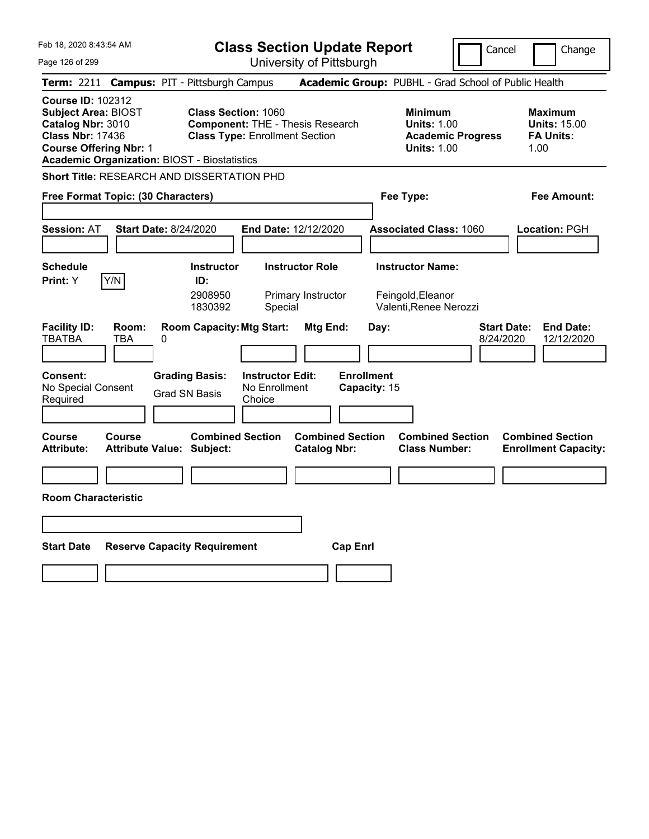| Feb 18, 2020 8:43:54 AM                                                                                                                                                                        | <b>Class Section Update Report</b>                                                                                                      |                                                       |                                                                                        | Cancel<br>Change                                                  |
|------------------------------------------------------------------------------------------------------------------------------------------------------------------------------------------------|-----------------------------------------------------------------------------------------------------------------------------------------|-------------------------------------------------------|----------------------------------------------------------------------------------------|-------------------------------------------------------------------|
| Page 126 of 299                                                                                                                                                                                | University of Pittsburgh                                                                                                                |                                                       |                                                                                        |                                                                   |
| Term: 2211                                                                                                                                                                                     | <b>Campus: PIT - Pittsburgh Campus</b>                                                                                                  |                                                       | Academic Group: PUBHL - Grad School of Public Health                                   |                                                                   |
| <b>Course ID: 102312</b><br><b>Subject Area: BIOST</b><br>Catalog Nbr: 3010<br><b>Class Nbr: 17436</b><br><b>Course Offering Nbr: 1</b><br><b>Academic Organization: BIOST - Biostatistics</b> | <b>Class Section: 1060</b><br><b>Component: THE - Thesis Research</b><br><b>Class Type: Enrollment Section</b>                          |                                                       | <b>Minimum</b><br><b>Units: 1.00</b><br><b>Academic Progress</b><br><b>Units: 1.00</b> | <b>Maximum</b><br><b>Units: 15.00</b><br><b>FA Units:</b><br>1.00 |
| Short Title: RESEARCH AND DISSERTATION PHD                                                                                                                                                     |                                                                                                                                         |                                                       |                                                                                        |                                                                   |
| Free Format Topic: (30 Characters)                                                                                                                                                             |                                                                                                                                         |                                                       | Fee Type:                                                                              | Fee Amount:                                                       |
| <b>Session: AT</b><br><b>Start Date: 8/24/2020</b>                                                                                                                                             | <b>End Date: 12/12/2020</b>                                                                                                             |                                                       | <b>Associated Class: 1060</b>                                                          | Location: PGH                                                     |
| <b>Schedule</b>                                                                                                                                                                                | <b>Instructor Role</b><br><b>Instructor</b>                                                                                             |                                                       | <b>Instructor Name:</b>                                                                |                                                                   |
| Y/N<br><b>Print:</b> Y                                                                                                                                                                         | ID:<br>2908950<br>Primary Instructor<br>1830392<br>Special                                                                              |                                                       | Feingold, Eleanor<br>Valenti, Renee Nerozzi                                            |                                                                   |
| <b>Facility ID:</b><br>Room:<br><b>TBATBA</b><br>TBA<br>0<br><b>Consent:</b><br>No Special Consent<br>Required                                                                                 | <b>Room Capacity: Mtg Start:</b><br><b>Grading Basis:</b><br><b>Instructor Edit:</b><br>No Enrollment<br><b>Grad SN Basis</b><br>Choice | Mtg End:<br>Day:<br><b>Enrollment</b><br>Capacity: 15 |                                                                                        | <b>End Date:</b><br><b>Start Date:</b><br>8/24/2020<br>12/12/2020 |
| <b>Course</b><br>Course<br><b>Attribute:</b><br><b>Attribute Value: Subject:</b>                                                                                                               | <b>Combined Section</b>                                                                                                                 | <b>Combined Section</b><br><b>Catalog Nbr:</b>        | <b>Combined Section</b><br><b>Class Number:</b>                                        | <b>Combined Section</b><br><b>Enrollment Capacity:</b>            |
|                                                                                                                                                                                                |                                                                                                                                         |                                                       |                                                                                        |                                                                   |
| <b>Room Characteristic</b>                                                                                                                                                                     |                                                                                                                                         |                                                       |                                                                                        |                                                                   |
|                                                                                                                                                                                                |                                                                                                                                         |                                                       |                                                                                        |                                                                   |
|                                                                                                                                                                                                |                                                                                                                                         |                                                       |                                                                                        |                                                                   |
| <b>Start Date</b>                                                                                                                                                                              | <b>Reserve Capacity Requirement</b>                                                                                                     | <b>Cap Enri</b>                                       |                                                                                        |                                                                   |
|                                                                                                                                                                                                |                                                                                                                                         |                                                       |                                                                                        |                                                                   |
|                                                                                                                                                                                                |                                                                                                                                         |                                                       |                                                                                        |                                                                   |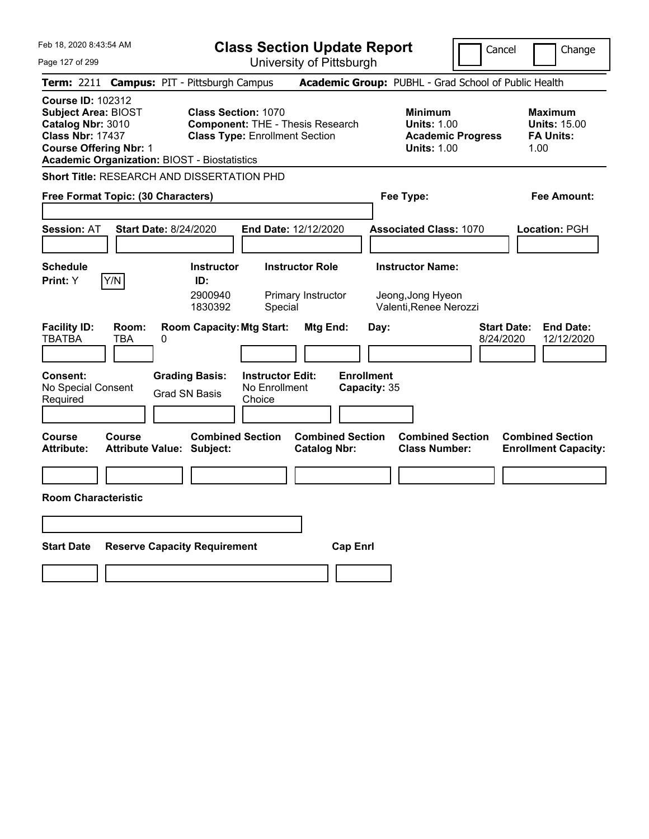| Feb 18, 2020 8:43:54 AM                                                                                                                                                                        | <b>Class Section Update Report</b>                                                                                                                         | Cancel                                                                                 | Change                                                            |
|------------------------------------------------------------------------------------------------------------------------------------------------------------------------------------------------|------------------------------------------------------------------------------------------------------------------------------------------------------------|----------------------------------------------------------------------------------------|-------------------------------------------------------------------|
| Page 127 of 299                                                                                                                                                                                | University of Pittsburgh                                                                                                                                   |                                                                                        |                                                                   |
| Term: 2211                                                                                                                                                                                     | <b>Campus: PIT - Pittsburgh Campus</b>                                                                                                                     | Academic Group: PUBHL - Grad School of Public Health                                   |                                                                   |
| <b>Course ID: 102312</b><br><b>Subject Area: BIOST</b><br>Catalog Nbr: 3010<br><b>Class Nbr: 17437</b><br><b>Course Offering Nbr: 1</b><br><b>Academic Organization: BIOST - Biostatistics</b> | <b>Class Section: 1070</b><br><b>Component: THE - Thesis Research</b><br><b>Class Type: Enrollment Section</b>                                             | <b>Minimum</b><br><b>Units: 1.00</b><br><b>Academic Progress</b><br><b>Units: 1.00</b> | <b>Maximum</b><br><b>Units: 15.00</b><br><b>FA Units:</b><br>1.00 |
| Short Title: RESEARCH AND DISSERTATION PHD                                                                                                                                                     |                                                                                                                                                            |                                                                                        |                                                                   |
| Free Format Topic: (30 Characters)                                                                                                                                                             |                                                                                                                                                            | Fee Type:                                                                              | Fee Amount:                                                       |
| <b>Session: AT</b><br><b>Start Date: 8/24/2020</b>                                                                                                                                             | End Date: 12/12/2020                                                                                                                                       | <b>Associated Class: 1070</b>                                                          | <b>Location: PGH</b>                                              |
| <b>Schedule</b><br>Y/N<br><b>Print:</b> Y                                                                                                                                                      | <b>Instructor</b><br><b>Instructor Role</b><br>ID:<br>2900940<br>Primary Instructor<br>1830392<br>Special                                                  | <b>Instructor Name:</b><br>Jeong, Jong Hyeon<br>Valenti, Renee Nerozzi                 |                                                                   |
| <b>Facility ID:</b><br>Room:<br><b>TBATBA</b><br>TBA<br>0<br><b>Consent:</b><br>No Special Consent<br>Required                                                                                 | <b>Room Capacity: Mtg Start:</b><br><b>Mtg End:</b><br><b>Grading Basis:</b><br><b>Instructor Edit:</b><br>No Enrollment<br><b>Grad SN Basis</b><br>Choice | <b>Start Date:</b><br>Day:<br>8/24/2020<br><b>Enrollment</b><br>Capacity: 35           | <b>End Date:</b><br>12/12/2020                                    |
| <b>Course</b><br><b>Course</b><br><b>Attribute:</b><br>Attribute Value: Subject:                                                                                                               | <b>Combined Section</b><br><b>Combined Section</b><br><b>Catalog Nbr:</b>                                                                                  | <b>Combined Section</b><br><b>Class Number:</b>                                        | <b>Combined Section</b><br><b>Enrollment Capacity:</b>            |
|                                                                                                                                                                                                |                                                                                                                                                            |                                                                                        |                                                                   |
| <b>Room Characteristic</b>                                                                                                                                                                     |                                                                                                                                                            |                                                                                        |                                                                   |
|                                                                                                                                                                                                |                                                                                                                                                            |                                                                                        |                                                                   |
| <b>Start Date</b>                                                                                                                                                                              | <b>Reserve Capacity Requirement</b>                                                                                                                        | <b>Cap Enrl</b>                                                                        |                                                                   |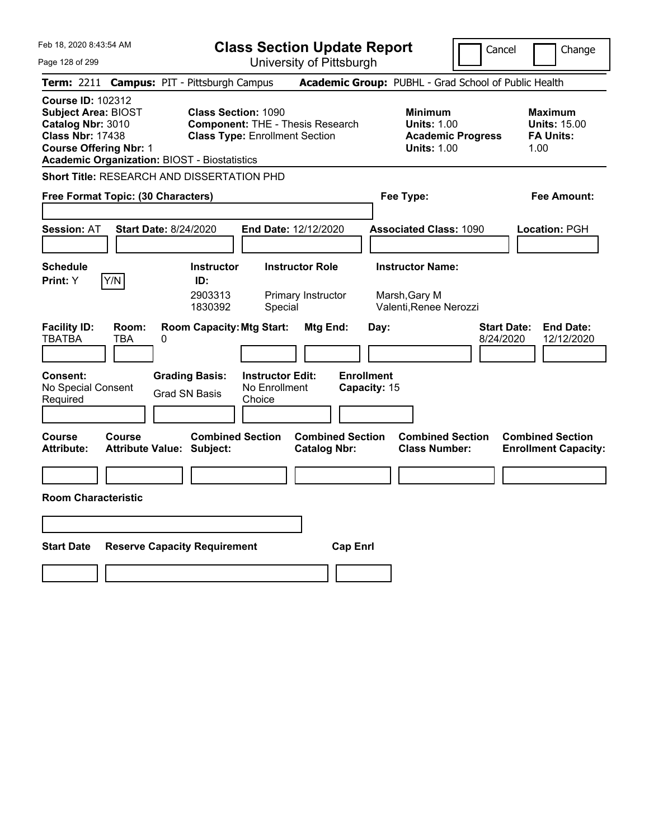| Feb 18, 2020 8:43:54 AM                                                                                                                                                                        | <b>Class Section Update Report</b>                                                                                                           | Cancel                                                                                 | Change                                                            |
|------------------------------------------------------------------------------------------------------------------------------------------------------------------------------------------------|----------------------------------------------------------------------------------------------------------------------------------------------|----------------------------------------------------------------------------------------|-------------------------------------------------------------------|
| Page 128 of 299                                                                                                                                                                                | University of Pittsburgh                                                                                                                     |                                                                                        |                                                                   |
| <b>Term: 2211</b>                                                                                                                                                                              | <b>Campus: PIT - Pittsburgh Campus</b>                                                                                                       | Academic Group: PUBHL - Grad School of Public Health                                   |                                                                   |
| <b>Course ID: 102312</b><br><b>Subject Area: BIOST</b><br>Catalog Nbr: 3010<br><b>Class Nbr: 17438</b><br><b>Course Offering Nbr: 1</b><br><b>Academic Organization: BIOST - Biostatistics</b> | <b>Class Section: 1090</b><br><b>Component: THE - Thesis Research</b><br><b>Class Type: Enrollment Section</b>                               | <b>Minimum</b><br><b>Units: 1.00</b><br><b>Academic Progress</b><br><b>Units: 1.00</b> | <b>Maximum</b><br><b>Units: 15.00</b><br><b>FA Units:</b><br>1.00 |
| <b>Short Title: RESEARCH AND DISSERTATION PHD</b>                                                                                                                                              |                                                                                                                                              |                                                                                        |                                                                   |
| Free Format Topic: (30 Characters)                                                                                                                                                             |                                                                                                                                              | Fee Type:                                                                              | Fee Amount:                                                       |
| <b>Session: AT</b><br><b>Start Date: 8/24/2020</b>                                                                                                                                             | <b>End Date: 12/12/2020</b>                                                                                                                  | <b>Associated Class: 1090</b>                                                          | Location: PGH                                                     |
| <b>Schedule</b><br>Y/N<br><b>Print:</b> Y                                                                                                                                                      | <b>Instructor Role</b><br><b>Instructor</b><br>ID:<br>2903313<br>Primary Instructor<br>1830392<br>Special                                    | <b>Instructor Name:</b><br>Marsh, Gary M<br>Valenti, Renee Nerozzi                     |                                                                   |
| <b>Facility ID:</b><br>Room:<br><b>TBATBA</b><br>TBA<br>0<br><b>Consent:</b><br>No Special Consent<br>Required                                                                                 | <b>Room Capacity: Mtg Start:</b><br>Mtg End:<br><b>Grading Basis:</b><br><b>Instructor Edit:</b><br>No Enrollment<br>Grad SN Basis<br>Choice | <b>Start Date:</b><br>Day:<br>8/24/2020<br><b>Enrollment</b><br>Capacity: 15           | <b>End Date:</b><br>12/12/2020                                    |
| Course<br>Course<br><b>Attribute:</b><br>Attribute Value: Subject:                                                                                                                             | <b>Combined Section</b><br><b>Combined Section</b><br><b>Catalog Nbr:</b>                                                                    | <b>Combined Section</b><br><b>Class Number:</b>                                        | <b>Combined Section</b><br><b>Enrollment Capacity:</b>            |
|                                                                                                                                                                                                |                                                                                                                                              |                                                                                        |                                                                   |
| <b>Room Characteristic</b>                                                                                                                                                                     |                                                                                                                                              |                                                                                        |                                                                   |
|                                                                                                                                                                                                |                                                                                                                                              |                                                                                        |                                                                   |
| <b>Start Date</b><br><b>Reserve Capacity Requirement</b>                                                                                                                                       | <b>Cap Enri</b>                                                                                                                              |                                                                                        |                                                                   |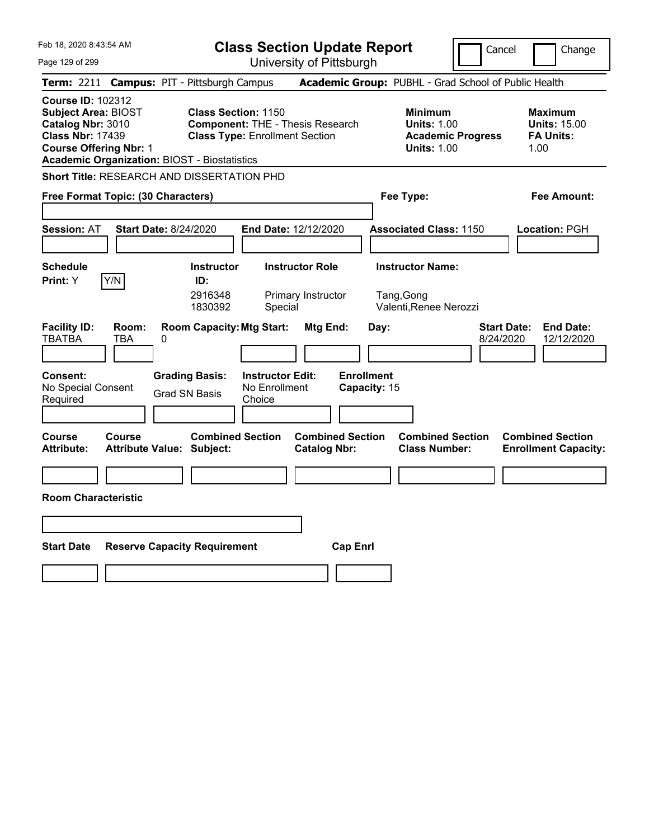| Feb 18, 2020 8:43:54 AM                                                                                                                                                                        | <b>Class Section Update Report</b>                                                                                                                         | Cancel                                                                                 | Change                                                            |
|------------------------------------------------------------------------------------------------------------------------------------------------------------------------------------------------|------------------------------------------------------------------------------------------------------------------------------------------------------------|----------------------------------------------------------------------------------------|-------------------------------------------------------------------|
| Page 129 of 299                                                                                                                                                                                | University of Pittsburgh                                                                                                                                   |                                                                                        |                                                                   |
| Term: 2211                                                                                                                                                                                     | <b>Campus: PIT - Pittsburgh Campus</b>                                                                                                                     | Academic Group: PUBHL - Grad School of Public Health                                   |                                                                   |
| <b>Course ID: 102312</b><br><b>Subject Area: BIOST</b><br>Catalog Nbr: 3010<br><b>Class Nbr: 17439</b><br><b>Course Offering Nbr: 1</b><br><b>Academic Organization: BIOST - Biostatistics</b> | <b>Class Section: 1150</b><br><b>Component: THE - Thesis Research</b><br><b>Class Type: Enrollment Section</b>                                             | <b>Minimum</b><br><b>Units: 1.00</b><br><b>Academic Progress</b><br><b>Units: 1.00</b> | <b>Maximum</b><br><b>Units: 15.00</b><br><b>FA Units:</b><br>1.00 |
| Short Title: RESEARCH AND DISSERTATION PHD                                                                                                                                                     |                                                                                                                                                            |                                                                                        |                                                                   |
| Free Format Topic: (30 Characters)                                                                                                                                                             |                                                                                                                                                            | Fee Type:                                                                              | Fee Amount:                                                       |
| <b>Session: AT</b><br><b>Start Date: 8/24/2020</b>                                                                                                                                             | End Date: 12/12/2020                                                                                                                                       | <b>Associated Class: 1150</b>                                                          | <b>Location: PGH</b>                                              |
| <b>Schedule</b><br>Y/N<br><b>Print:</b> Y                                                                                                                                                      | <b>Instructor</b><br><b>Instructor Role</b><br>ID:<br>2916348<br>Primary Instructor<br>1830392<br>Special                                                  | <b>Instructor Name:</b><br>Tang, Gong<br>Valenti, Renee Nerozzi                        |                                                                   |
| <b>Facility ID:</b><br>Room:<br><b>TBATBA</b><br>TBA<br>0<br><b>Consent:</b><br>No Special Consent<br>Required                                                                                 | <b>Room Capacity: Mtg Start:</b><br><b>Mtg End:</b><br><b>Grading Basis:</b><br><b>Instructor Edit:</b><br>No Enrollment<br><b>Grad SN Basis</b><br>Choice | <b>Start Date:</b><br>Day:<br>8/24/2020<br><b>Enrollment</b><br>Capacity: 15           | <b>End Date:</b><br>12/12/2020                                    |
| <b>Course</b><br><b>Course</b><br><b>Attribute:</b><br>Attribute Value: Subject:                                                                                                               | <b>Combined Section</b><br><b>Combined Section</b><br><b>Catalog Nbr:</b>                                                                                  | <b>Combined Section</b><br><b>Class Number:</b>                                        | <b>Combined Section</b><br><b>Enrollment Capacity:</b>            |
|                                                                                                                                                                                                |                                                                                                                                                            |                                                                                        |                                                                   |
| <b>Room Characteristic</b>                                                                                                                                                                     |                                                                                                                                                            |                                                                                        |                                                                   |
|                                                                                                                                                                                                |                                                                                                                                                            |                                                                                        |                                                                   |
| <b>Start Date</b>                                                                                                                                                                              | <b>Reserve Capacity Requirement</b>                                                                                                                        | <b>Cap Enrl</b>                                                                        |                                                                   |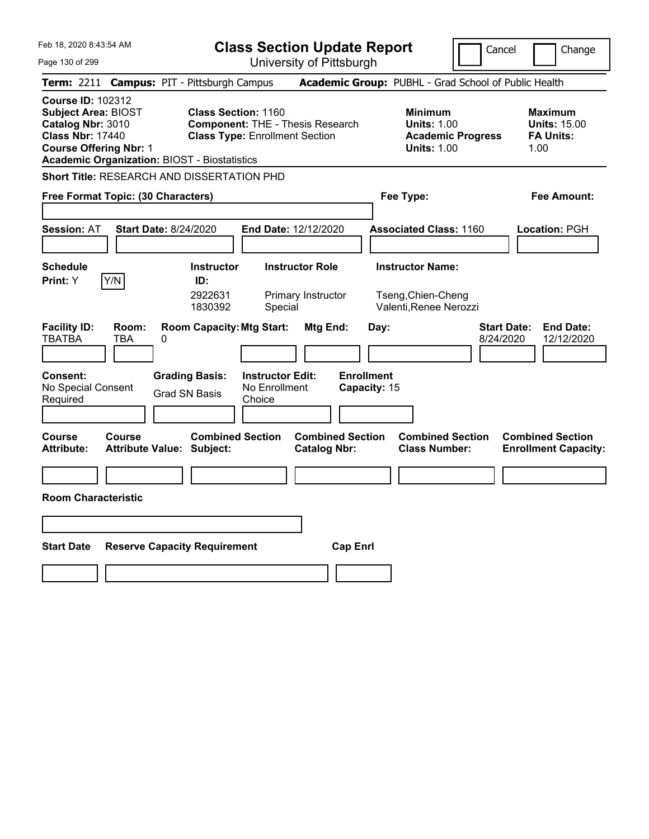| Feb 18, 2020 8:43:54 AM                                                                                                                                                                        | <b>Class Section Update Report</b>                                                                                                           | Cancel                                                                                 | Change                                                            |
|------------------------------------------------------------------------------------------------------------------------------------------------------------------------------------------------|----------------------------------------------------------------------------------------------------------------------------------------------|----------------------------------------------------------------------------------------|-------------------------------------------------------------------|
| Page 130 of 299                                                                                                                                                                                | University of Pittsburgh                                                                                                                     |                                                                                        |                                                                   |
| Term: 2211                                                                                                                                                                                     | <b>Campus: PIT - Pittsburgh Campus</b>                                                                                                       | Academic Group: PUBHL - Grad School of Public Health                                   |                                                                   |
| <b>Course ID: 102312</b><br><b>Subject Area: BIOST</b><br>Catalog Nbr: 3010<br><b>Class Nbr: 17440</b><br><b>Course Offering Nbr: 1</b><br><b>Academic Organization: BIOST - Biostatistics</b> | <b>Class Section: 1160</b><br><b>Component: THE - Thesis Research</b><br><b>Class Type: Enrollment Section</b>                               | <b>Minimum</b><br><b>Units: 1.00</b><br><b>Academic Progress</b><br><b>Units: 1.00</b> | <b>Maximum</b><br><b>Units: 15.00</b><br><b>FA Units:</b><br>1.00 |
| Short Title: RESEARCH AND DISSERTATION PHD                                                                                                                                                     |                                                                                                                                              |                                                                                        |                                                                   |
| Free Format Topic: (30 Characters)                                                                                                                                                             |                                                                                                                                              | Fee Type:                                                                              | Fee Amount:                                                       |
| <b>Session: AT</b><br><b>Start Date: 8/24/2020</b>                                                                                                                                             | <b>End Date: 12/12/2020</b>                                                                                                                  | <b>Associated Class: 1160</b>                                                          | <b>Location: PGH</b>                                              |
| <b>Schedule</b><br>Y/N<br>Print: Y                                                                                                                                                             | <b>Instructor Role</b><br><b>Instructor</b><br>ID:<br>2922631<br>Primary Instructor<br>1830392<br>Special                                    | <b>Instructor Name:</b><br>Tseng, Chien-Cheng<br>Valenti, Renee Nerozzi                |                                                                   |
| <b>Facility ID:</b><br>Room:<br><b>TBATBA</b><br>TBA<br>0<br><b>Consent:</b><br>No Special Consent<br>Required                                                                                 | <b>Room Capacity: Mtg Start:</b><br>Mtg End:<br><b>Grading Basis:</b><br><b>Instructor Edit:</b><br>No Enrollment<br>Grad SN Basis<br>Choice | Day:<br>8/24/2020<br><b>Enrollment</b><br>Capacity: 15                                 | <b>Start Date:</b><br><b>End Date:</b><br>12/12/2020              |
| <b>Course</b><br>Course<br><b>Attribute:</b><br><b>Attribute Value: Subject:</b>                                                                                                               | <b>Combined Section</b><br><b>Catalog Nbr:</b>                                                                                               | <b>Combined Section</b><br><b>Combined Section</b><br><b>Class Number:</b>             | <b>Combined Section</b><br><b>Enrollment Capacity:</b>            |
|                                                                                                                                                                                                |                                                                                                                                              |                                                                                        |                                                                   |
| <b>Room Characteristic</b>                                                                                                                                                                     |                                                                                                                                              |                                                                                        |                                                                   |
|                                                                                                                                                                                                |                                                                                                                                              |                                                                                        |                                                                   |
| <b>Start Date</b>                                                                                                                                                                              | <b>Reserve Capacity Requirement</b>                                                                                                          | <b>Cap Enri</b>                                                                        |                                                                   |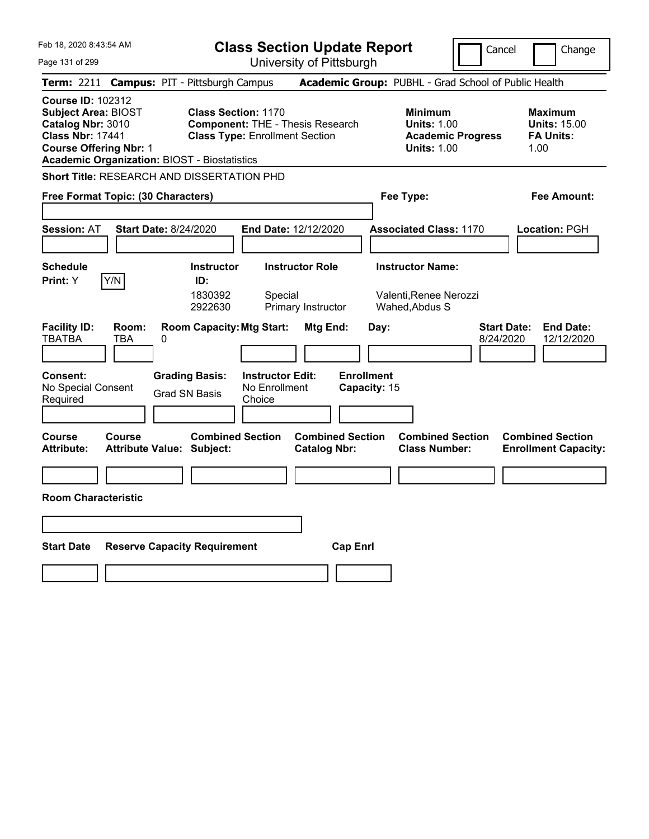| Feb 18, 2020 8:43:54 AM                                                                                                                                                                        | <b>Class Section Update Report</b>                                                                             |                                                |                                                                                        | Cancel<br>Change                                                  |
|------------------------------------------------------------------------------------------------------------------------------------------------------------------------------------------------|----------------------------------------------------------------------------------------------------------------|------------------------------------------------|----------------------------------------------------------------------------------------|-------------------------------------------------------------------|
| Page 131 of 299                                                                                                                                                                                |                                                                                                                | University of Pittsburgh                       |                                                                                        |                                                                   |
| Term: 2211                                                                                                                                                                                     | <b>Campus: PIT - Pittsburgh Campus</b>                                                                         |                                                | Academic Group: PUBHL - Grad School of Public Health                                   |                                                                   |
| <b>Course ID: 102312</b><br><b>Subject Area: BIOST</b><br>Catalog Nbr: 3010<br><b>Class Nbr: 17441</b><br><b>Course Offering Nbr: 1</b><br><b>Academic Organization: BIOST - Biostatistics</b> | <b>Class Section: 1170</b><br><b>Component: THE - Thesis Research</b><br><b>Class Type: Enrollment Section</b> |                                                | <b>Minimum</b><br><b>Units: 1.00</b><br><b>Academic Progress</b><br><b>Units: 1.00</b> | <b>Maximum</b><br><b>Units: 15.00</b><br><b>FA Units:</b><br>1.00 |
| <b>Short Title: RESEARCH AND DISSERTATION PHD</b>                                                                                                                                              |                                                                                                                |                                                |                                                                                        |                                                                   |
| Free Format Topic: (30 Characters)                                                                                                                                                             |                                                                                                                |                                                | Fee Type:                                                                              | Fee Amount:                                                       |
| <b>Session: AT</b><br><b>Start Date: 8/24/2020</b>                                                                                                                                             | <b>End Date: 12/12/2020</b>                                                                                    |                                                | <b>Associated Class: 1170</b>                                                          | <b>Location: PGH</b>                                              |
| <b>Schedule</b>                                                                                                                                                                                | <b>Instructor Role</b><br><b>Instructor</b>                                                                    |                                                | <b>Instructor Name:</b>                                                                |                                                                   |
| Y/N<br><b>Print:</b> Y                                                                                                                                                                         | ID:<br>1830392<br>Special<br>2922630<br>Primary Instructor                                                     |                                                | Valenti, Renee Nerozzi<br>Wahed, Abdus S                                               |                                                                   |
| <b>Facility ID:</b><br>Room:<br><b>TBATBA</b><br>TBA<br>0<br><b>Consent:</b>                                                                                                                   | <b>Room Capacity: Mtg Start:</b><br><b>Grading Basis:</b><br><b>Instructor Edit:</b>                           | Mtg End:<br>Day:<br><b>Enrollment</b>          |                                                                                        | <b>Start Date:</b><br><b>End Date:</b><br>8/24/2020<br>12/12/2020 |
| No Special Consent<br>Required                                                                                                                                                                 | No Enrollment<br><b>Grad SN Basis</b><br>Choice                                                                | Capacity: 15                                   |                                                                                        |                                                                   |
| <b>Course</b><br>Course<br><b>Attribute:</b><br><b>Attribute Value: Subject:</b>                                                                                                               | <b>Combined Section</b>                                                                                        | <b>Combined Section</b><br><b>Catalog Nbr:</b> | <b>Combined Section</b><br><b>Class Number:</b>                                        | <b>Combined Section</b><br><b>Enrollment Capacity:</b>            |
|                                                                                                                                                                                                |                                                                                                                |                                                |                                                                                        |                                                                   |
| <b>Room Characteristic</b>                                                                                                                                                                     |                                                                                                                |                                                |                                                                                        |                                                                   |
|                                                                                                                                                                                                |                                                                                                                |                                                |                                                                                        |                                                                   |
| <b>Start Date</b>                                                                                                                                                                              | <b>Reserve Capacity Requirement</b>                                                                            | <b>Cap Enri</b>                                |                                                                                        |                                                                   |
|                                                                                                                                                                                                |                                                                                                                |                                                |                                                                                        |                                                                   |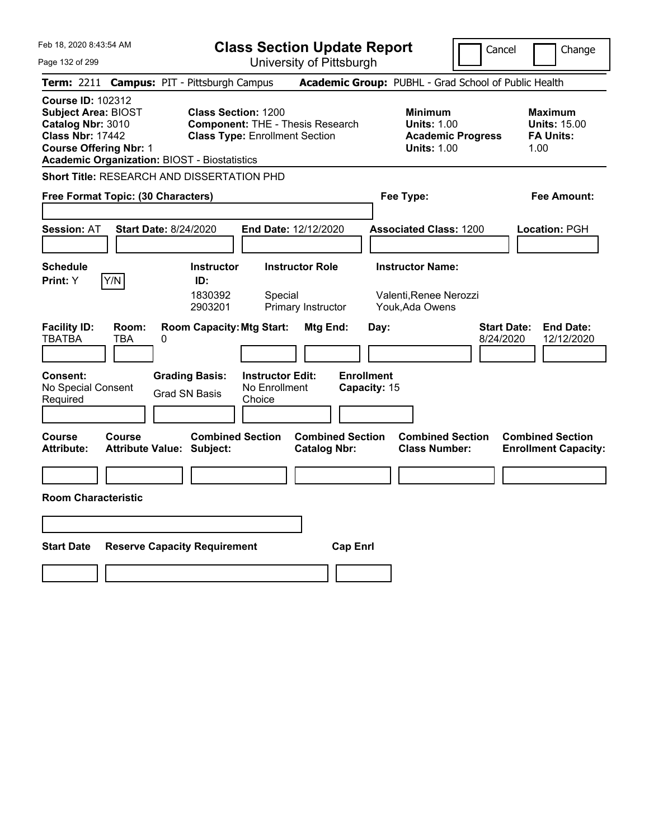| Feb 18, 2020 8:43:54 AM                                                                                                                                                                        |                                                                                                                | <b>Class Section Update Report</b>             |                                                                                        | Cancel<br>Change                                                  |
|------------------------------------------------------------------------------------------------------------------------------------------------------------------------------------------------|----------------------------------------------------------------------------------------------------------------|------------------------------------------------|----------------------------------------------------------------------------------------|-------------------------------------------------------------------|
| Page 132 of 299                                                                                                                                                                                |                                                                                                                | University of Pittsburgh                       |                                                                                        |                                                                   |
| Term: 2211                                                                                                                                                                                     | <b>Campus: PIT - Pittsburgh Campus</b>                                                                         |                                                | Academic Group: PUBHL - Grad School of Public Health                                   |                                                                   |
| <b>Course ID: 102312</b><br><b>Subject Area: BIOST</b><br>Catalog Nbr: 3010<br><b>Class Nbr: 17442</b><br><b>Course Offering Nbr: 1</b><br><b>Academic Organization: BIOST - Biostatistics</b> | <b>Class Section: 1200</b><br><b>Component: THE - Thesis Research</b><br><b>Class Type: Enrollment Section</b> |                                                | <b>Minimum</b><br><b>Units: 1.00</b><br><b>Academic Progress</b><br><b>Units: 1.00</b> | <b>Maximum</b><br><b>Units: 15.00</b><br><b>FA Units:</b><br>1.00 |
| Short Title: RESEARCH AND DISSERTATION PHD                                                                                                                                                     |                                                                                                                |                                                |                                                                                        |                                                                   |
| Free Format Topic: (30 Characters)                                                                                                                                                             |                                                                                                                |                                                | Fee Type:                                                                              | Fee Amount:                                                       |
| <b>Session: AT</b><br><b>Start Date: 8/24/2020</b>                                                                                                                                             | <b>End Date: 12/12/2020</b>                                                                                    |                                                | <b>Associated Class: 1200</b>                                                          | <b>Location: PGH</b>                                              |
| <b>Schedule</b>                                                                                                                                                                                | <b>Instructor</b>                                                                                              | <b>Instructor Role</b>                         | <b>Instructor Name:</b>                                                                |                                                                   |
| Y/N<br><b>Print:</b> Y                                                                                                                                                                         | ID:<br>1830392<br>Special<br>2903201                                                                           | Primary Instructor                             | Valenti, Renee Nerozzi<br>Youk, Ada Owens                                              |                                                                   |
| <b>Facility ID:</b><br>Room:<br><b>TBATBA</b><br>TBA<br>0<br><b>Consent:</b>                                                                                                                   | <b>Room Capacity: Mtg Start:</b><br><b>Grading Basis:</b><br><b>Instructor Edit:</b>                           | Mtg End:<br>Day:<br><b>Enrollment</b>          |                                                                                        | <b>Start Date:</b><br><b>End Date:</b><br>8/24/2020<br>12/12/2020 |
| No Special Consent<br>Required                                                                                                                                                                 | No Enrollment<br><b>Grad SN Basis</b><br>Choice                                                                | Capacity: 15                                   |                                                                                        |                                                                   |
| <b>Course</b><br>Course<br><b>Attribute:</b><br><b>Attribute Value: Subject:</b>                                                                                                               | <b>Combined Section</b>                                                                                        | <b>Combined Section</b><br><b>Catalog Nbr:</b> | <b>Combined Section</b><br><b>Class Number:</b>                                        | <b>Combined Section</b><br><b>Enrollment Capacity:</b>            |
|                                                                                                                                                                                                |                                                                                                                |                                                |                                                                                        |                                                                   |
| <b>Room Characteristic</b>                                                                                                                                                                     |                                                                                                                |                                                |                                                                                        |                                                                   |
|                                                                                                                                                                                                |                                                                                                                |                                                |                                                                                        |                                                                   |
| <b>Start Date</b>                                                                                                                                                                              | <b>Reserve Capacity Requirement</b>                                                                            | <b>Cap Enri</b>                                |                                                                                        |                                                                   |
|                                                                                                                                                                                                |                                                                                                                |                                                |                                                                                        |                                                                   |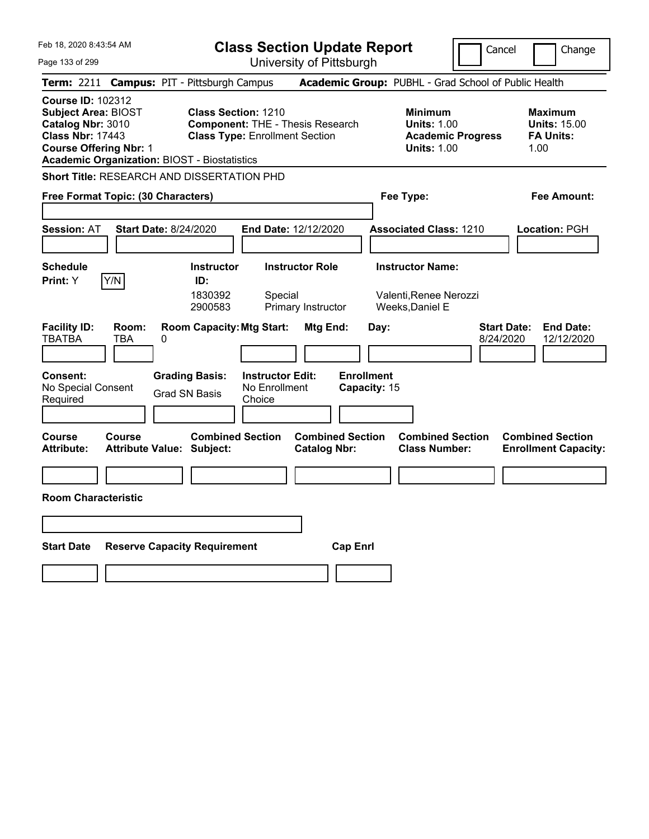| Feb 18, 2020 8:43:54 AM                                                                                                                                                                        | <b>Class Section Update Report</b><br>Cancel<br>Change                                                                                       |                                                                                        |                                                                   |  |
|------------------------------------------------------------------------------------------------------------------------------------------------------------------------------------------------|----------------------------------------------------------------------------------------------------------------------------------------------|----------------------------------------------------------------------------------------|-------------------------------------------------------------------|--|
| Page 133 of 299                                                                                                                                                                                | University of Pittsburgh                                                                                                                     |                                                                                        |                                                                   |  |
| Term: 2211 Campus: PIT - Pittsburgh Campus                                                                                                                                                     |                                                                                                                                              | Academic Group: PUBHL - Grad School of Public Health                                   |                                                                   |  |
| <b>Course ID: 102312</b><br><b>Subject Area: BIOST</b><br>Catalog Nbr: 3010<br><b>Class Nbr: 17443</b><br><b>Course Offering Nbr: 1</b><br><b>Academic Organization: BIOST - Biostatistics</b> | <b>Class Section: 1210</b><br><b>Component: THE - Thesis Research</b><br><b>Class Type: Enrollment Section</b>                               | <b>Minimum</b><br><b>Units: 1.00</b><br><b>Academic Progress</b><br><b>Units: 1.00</b> | <b>Maximum</b><br><b>Units: 15.00</b><br><b>FA Units:</b><br>1.00 |  |
| <b>Short Title: RESEARCH AND DISSERTATION PHD</b>                                                                                                                                              |                                                                                                                                              |                                                                                        |                                                                   |  |
| Free Format Topic: (30 Characters)                                                                                                                                                             |                                                                                                                                              | Fee Type:                                                                              | Fee Amount:                                                       |  |
| <b>Session: AT</b><br><b>Start Date: 8/24/2020</b>                                                                                                                                             | <b>End Date: 12/12/2020</b>                                                                                                                  | <b>Associated Class: 1210</b>                                                          | Location: PGH                                                     |  |
| <b>Schedule</b><br>Y/N<br><b>Print:</b> Y                                                                                                                                                      | <b>Instructor Role</b><br><b>Instructor</b><br>ID:<br>1830392<br>Special<br>2900583<br>Primary Instructor                                    | <b>Instructor Name:</b><br>Valenti, Renee Nerozzi<br>Weeks, Daniel E                   |                                                                   |  |
| <b>Facility ID:</b><br>Room:<br><b>TBATBA</b><br>TBA<br>0<br><b>Consent:</b><br>No Special Consent<br>Required                                                                                 | <b>Room Capacity: Mtg Start:</b><br>Mtg End:<br><b>Grading Basis:</b><br><b>Instructor Edit:</b><br>No Enrollment<br>Grad SN Basis<br>Choice | Day:<br><b>Enrollment</b><br>Capacity: 15                                              | <b>Start Date:</b><br><b>End Date:</b><br>8/24/2020<br>12/12/2020 |  |
| Course<br>Course<br><b>Attribute:</b><br>Attribute Value: Subject:                                                                                                                             | <b>Combined Section</b><br><b>Catalog Nbr:</b>                                                                                               | <b>Combined Section</b><br><b>Combined Section</b><br><b>Class Number:</b>             | <b>Combined Section</b><br><b>Enrollment Capacity:</b>            |  |
|                                                                                                                                                                                                |                                                                                                                                              |                                                                                        |                                                                   |  |
| <b>Room Characteristic</b>                                                                                                                                                                     |                                                                                                                                              |                                                                                        |                                                                   |  |
|                                                                                                                                                                                                |                                                                                                                                              |                                                                                        |                                                                   |  |
| <b>Start Date</b><br><b>Reserve Capacity Requirement</b>                                                                                                                                       |                                                                                                                                              | <b>Cap Enri</b>                                                                        |                                                                   |  |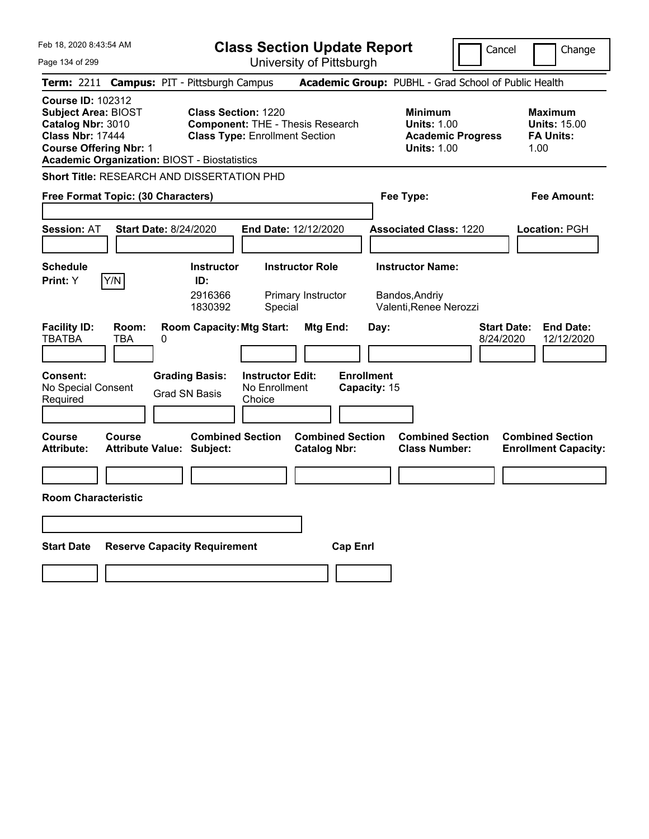| Feb 18, 2020 8:43:54 AM<br><b>Class Section Update Report</b>                                                                                                                                  |                                                                                                                                                            | Cancel                                                                                 | Change                                                            |
|------------------------------------------------------------------------------------------------------------------------------------------------------------------------------------------------|------------------------------------------------------------------------------------------------------------------------------------------------------------|----------------------------------------------------------------------------------------|-------------------------------------------------------------------|
| Page 134 of 299                                                                                                                                                                                | University of Pittsburgh                                                                                                                                   |                                                                                        |                                                                   |
| Term: 2211                                                                                                                                                                                     | <b>Campus: PIT - Pittsburgh Campus</b>                                                                                                                     | Academic Group: PUBHL - Grad School of Public Health                                   |                                                                   |
| <b>Course ID: 102312</b><br><b>Subject Area: BIOST</b><br>Catalog Nbr: 3010<br><b>Class Nbr: 17444</b><br><b>Course Offering Nbr: 1</b><br><b>Academic Organization: BIOST - Biostatistics</b> | <b>Class Section: 1220</b><br><b>Component: THE - Thesis Research</b><br><b>Class Type: Enrollment Section</b>                                             | <b>Minimum</b><br><b>Units: 1.00</b><br><b>Academic Progress</b><br><b>Units: 1.00</b> | <b>Maximum</b><br><b>Units: 15.00</b><br><b>FA Units:</b><br>1.00 |
| Short Title: RESEARCH AND DISSERTATION PHD                                                                                                                                                     |                                                                                                                                                            |                                                                                        |                                                                   |
| Free Format Topic: (30 Characters)                                                                                                                                                             |                                                                                                                                                            | Fee Type:                                                                              | Fee Amount:                                                       |
| <b>Session: AT</b><br><b>Start Date: 8/24/2020</b>                                                                                                                                             | End Date: 12/12/2020                                                                                                                                       | <b>Associated Class: 1220</b>                                                          | <b>Location: PGH</b>                                              |
| <b>Schedule</b><br>Y/N<br><b>Print:</b> Y                                                                                                                                                      | <b>Instructor</b><br><b>Instructor Role</b><br>ID:<br>2916366<br>Primary Instructor<br>1830392<br>Special                                                  | <b>Instructor Name:</b><br>Bandos, Andriy<br>Valenti, Renee Nerozzi                    |                                                                   |
| <b>Facility ID:</b><br>Room:<br><b>TBATBA</b><br>TBA<br>0<br><b>Consent:</b><br>No Special Consent<br>Required                                                                                 | <b>Room Capacity: Mtg Start:</b><br><b>Mtg End:</b><br><b>Grading Basis:</b><br><b>Instructor Edit:</b><br>No Enrollment<br><b>Grad SN Basis</b><br>Choice | <b>Start Date:</b><br>Day:<br>8/24/2020<br><b>Enrollment</b><br>Capacity: 15           | <b>End Date:</b><br>12/12/2020                                    |
| <b>Course</b><br><b>Course</b><br><b>Attribute:</b><br>Attribute Value: Subject:                                                                                                               | <b>Combined Section</b><br><b>Combined Section</b><br><b>Catalog Nbr:</b>                                                                                  | <b>Combined Section</b><br><b>Class Number:</b>                                        | <b>Combined Section</b><br><b>Enrollment Capacity:</b>            |
|                                                                                                                                                                                                |                                                                                                                                                            |                                                                                        |                                                                   |
| <b>Room Characteristic</b>                                                                                                                                                                     |                                                                                                                                                            |                                                                                        |                                                                   |
|                                                                                                                                                                                                |                                                                                                                                                            |                                                                                        |                                                                   |
| <b>Start Date</b>                                                                                                                                                                              | <b>Reserve Capacity Requirement</b>                                                                                                                        | <b>Cap Enrl</b>                                                                        |                                                                   |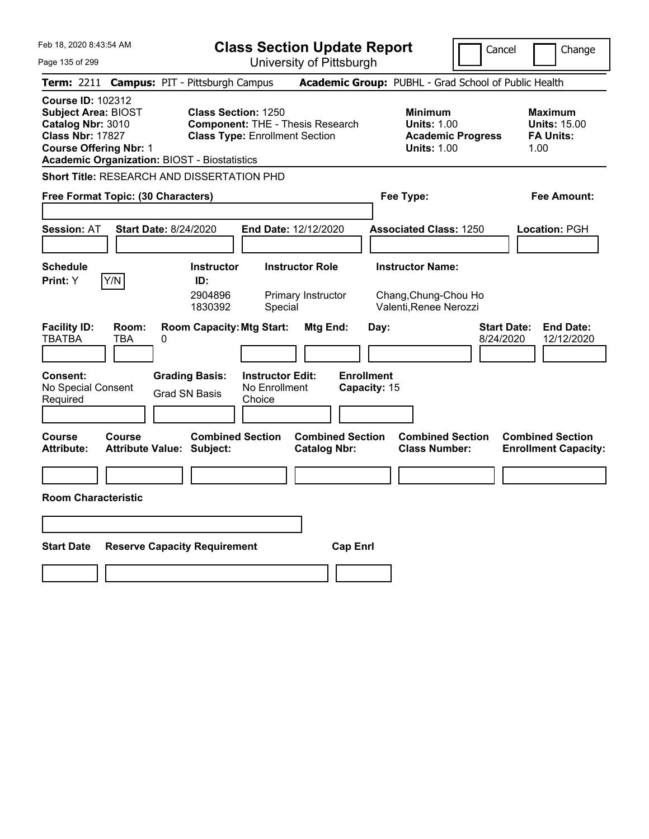| Feb 18, 2020 8:43:54 AM                                                                                                                                                                        | <b>Class Section Update Report</b>                                                                                                           | Cancel                                                                                 | Change                                                            |
|------------------------------------------------------------------------------------------------------------------------------------------------------------------------------------------------|----------------------------------------------------------------------------------------------------------------------------------------------|----------------------------------------------------------------------------------------|-------------------------------------------------------------------|
| Page 135 of 299                                                                                                                                                                                | University of Pittsburgh                                                                                                                     |                                                                                        |                                                                   |
| Term: 2211                                                                                                                                                                                     | <b>Campus: PIT - Pittsburgh Campus</b>                                                                                                       | Academic Group: PUBHL - Grad School of Public Health                                   |                                                                   |
| <b>Course ID: 102312</b><br><b>Subject Area: BIOST</b><br>Catalog Nbr: 3010<br><b>Class Nbr: 17827</b><br><b>Course Offering Nbr: 1</b><br><b>Academic Organization: BIOST - Biostatistics</b> | <b>Class Section: 1250</b><br><b>Component: THE - Thesis Research</b><br><b>Class Type: Enrollment Section</b>                               | <b>Minimum</b><br><b>Units: 1.00</b><br><b>Academic Progress</b><br><b>Units: 1.00</b> | <b>Maximum</b><br><b>Units: 15.00</b><br><b>FA Units:</b><br>1.00 |
| Short Title: RESEARCH AND DISSERTATION PHD                                                                                                                                                     |                                                                                                                                              |                                                                                        |                                                                   |
| Free Format Topic: (30 Characters)                                                                                                                                                             |                                                                                                                                              | Fee Type:                                                                              | Fee Amount:                                                       |
| <b>Session: AT</b><br><b>Start Date: 8/24/2020</b>                                                                                                                                             | <b>End Date: 12/12/2020</b>                                                                                                                  | <b>Associated Class: 1250</b>                                                          | <b>Location: PGH</b>                                              |
| <b>Schedule</b><br>Y/N<br>Print: Y                                                                                                                                                             | <b>Instructor Role</b><br><b>Instructor</b><br>ID:<br>2904896<br>Primary Instructor<br>1830392<br>Special                                    | <b>Instructor Name:</b><br>Chang, Chung-Chou Ho<br>Valenti, Renee Nerozzi              |                                                                   |
| <b>Facility ID:</b><br>Room:<br><b>TBATBA</b><br>TBA<br>0<br><b>Consent:</b><br>No Special Consent<br>Required                                                                                 | <b>Room Capacity: Mtg Start:</b><br>Mtg End:<br><b>Grading Basis:</b><br><b>Instructor Edit:</b><br>No Enrollment<br>Grad SN Basis<br>Choice | Day:<br>8/24/2020<br><b>Enrollment</b><br>Capacity: 15                                 | <b>Start Date:</b><br><b>End Date:</b><br>12/12/2020              |
| <b>Course</b><br>Course<br><b>Attribute:</b><br><b>Attribute Value: Subject:</b>                                                                                                               | <b>Combined Section</b><br><b>Combined Section</b><br><b>Catalog Nbr:</b>                                                                    | <b>Combined Section</b><br><b>Class Number:</b>                                        | <b>Combined Section</b><br><b>Enrollment Capacity:</b>            |
|                                                                                                                                                                                                |                                                                                                                                              |                                                                                        |                                                                   |
| <b>Room Characteristic</b>                                                                                                                                                                     |                                                                                                                                              |                                                                                        |                                                                   |
|                                                                                                                                                                                                |                                                                                                                                              |                                                                                        |                                                                   |
| <b>Start Date</b>                                                                                                                                                                              | <b>Reserve Capacity Requirement</b>                                                                                                          | <b>Cap Enri</b>                                                                        |                                                                   |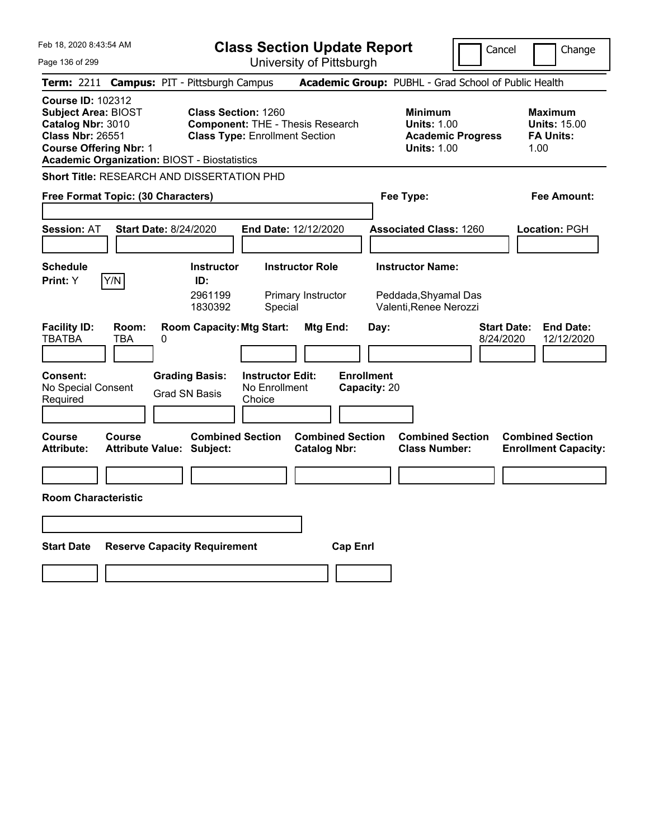| Feb 18, 2020 8:43:54 AM                                                                                                                                                                 | <b>Class Section Update Report</b>                                                                             | Cancel                                                                                 | Change                                                            |
|-----------------------------------------------------------------------------------------------------------------------------------------------------------------------------------------|----------------------------------------------------------------------------------------------------------------|----------------------------------------------------------------------------------------|-------------------------------------------------------------------|
| Page 136 of 299                                                                                                                                                                         | University of Pittsburgh                                                                                       |                                                                                        |                                                                   |
| Term: 2211                                                                                                                                                                              | <b>Campus: PIT - Pittsburgh Campus</b>                                                                         | Academic Group: PUBHL - Grad School of Public Health                                   |                                                                   |
| <b>Course ID: 102312</b><br>Subject Area: BIOST<br>Catalog Nbr: 3010<br><b>Class Nbr: 26551</b><br><b>Course Offering Nbr: 1</b><br><b>Academic Organization: BIOST - Biostatistics</b> | <b>Class Section: 1260</b><br><b>Component: THE - Thesis Research</b><br><b>Class Type: Enrollment Section</b> | <b>Minimum</b><br><b>Units: 1.00</b><br><b>Academic Progress</b><br><b>Units: 1.00</b> | <b>Maximum</b><br><b>Units: 15.00</b><br><b>FA Units:</b><br>1.00 |
| Short Title: RESEARCH AND DISSERTATION PHD                                                                                                                                              |                                                                                                                |                                                                                        |                                                                   |
| Free Format Topic: (30 Characters)                                                                                                                                                      |                                                                                                                | Fee Type:                                                                              | Fee Amount:                                                       |
| <b>Start Date: 8/24/2020</b><br><b>Session: AT</b>                                                                                                                                      | End Date: 12/12/2020                                                                                           | <b>Associated Class: 1260</b>                                                          | <b>Location: PGH</b>                                              |
| <b>Schedule</b>                                                                                                                                                                         | <b>Instructor Role</b><br><b>Instructor</b>                                                                    | <b>Instructor Name:</b>                                                                |                                                                   |
| Y/N<br>Print: Y                                                                                                                                                                         | ID:<br>2961199<br>Primary Instructor<br>1830392<br>Special                                                     | Peddada, Shyamal Das<br>Valenti, Renee Nerozzi                                         |                                                                   |
| <b>Facility ID:</b><br>Room:<br><b>TBATBA</b><br>TBA<br>0<br><b>Consent:</b>                                                                                                            | <b>Room Capacity: Mtg Start:</b><br>Mtg End:<br><b>Instructor Edit:</b>                                        | Day:<br>8/24/2020<br><b>Enrollment</b>                                                 | <b>Start Date:</b><br><b>End Date:</b><br>12/12/2020              |
| No Special Consent<br>Required                                                                                                                                                          | <b>Grading Basis:</b><br>No Enrollment<br>Grad SN Basis<br>Choice                                              | Capacity: 20                                                                           |                                                                   |
| Course<br>Course<br><b>Attribute:</b><br><b>Attribute Value: Subject:</b>                                                                                                               | <b>Combined Section</b><br><b>Combined Section</b><br><b>Catalog Nbr:</b>                                      | <b>Combined Section</b><br><b>Class Number:</b>                                        | <b>Combined Section</b><br><b>Enrollment Capacity:</b>            |
|                                                                                                                                                                                         |                                                                                                                |                                                                                        |                                                                   |
| <b>Room Characteristic</b>                                                                                                                                                              |                                                                                                                |                                                                                        |                                                                   |
|                                                                                                                                                                                         |                                                                                                                |                                                                                        |                                                                   |
| <b>Start Date</b><br><b>Reserve Capacity Requirement</b>                                                                                                                                |                                                                                                                | <b>Cap Enri</b>                                                                        |                                                                   |
|                                                                                                                                                                                         |                                                                                                                |                                                                                        |                                                                   |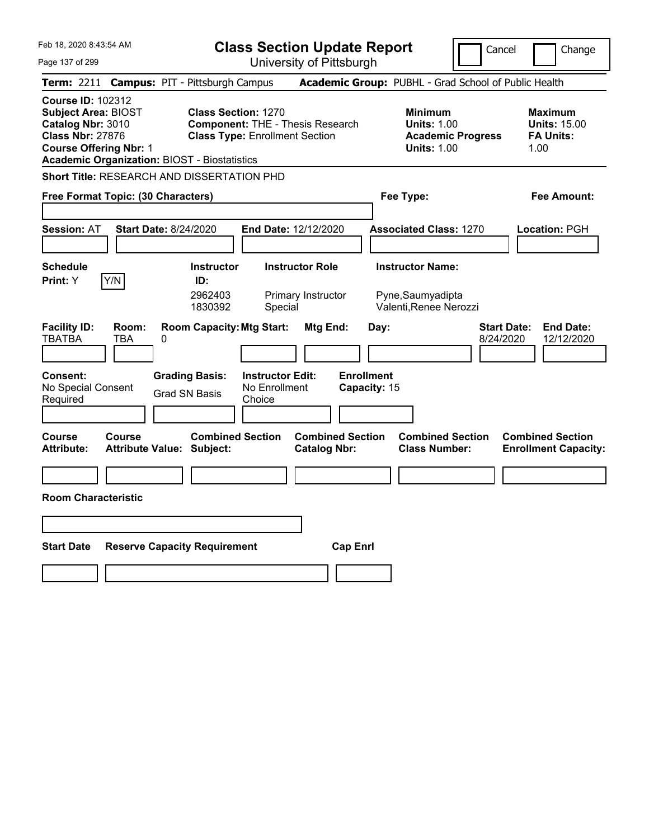| Feb 18, 2020 8:43:54 AM<br><b>Class Section Update Report</b>                                                                                                                                  |                                                                                                                                                            | Cancel                                                                                 | Change                                                            |
|------------------------------------------------------------------------------------------------------------------------------------------------------------------------------------------------|------------------------------------------------------------------------------------------------------------------------------------------------------------|----------------------------------------------------------------------------------------|-------------------------------------------------------------------|
| Page 137 of 299                                                                                                                                                                                | University of Pittsburgh                                                                                                                                   |                                                                                        |                                                                   |
| Term: 2211                                                                                                                                                                                     | <b>Campus: PIT - Pittsburgh Campus</b>                                                                                                                     | Academic Group: PUBHL - Grad School of Public Health                                   |                                                                   |
| <b>Course ID: 102312</b><br><b>Subject Area: BIOST</b><br>Catalog Nbr: 3010<br><b>Class Nbr: 27876</b><br><b>Course Offering Nbr: 1</b><br><b>Academic Organization: BIOST - Biostatistics</b> | <b>Class Section: 1270</b><br><b>Component: THE - Thesis Research</b><br><b>Class Type: Enrollment Section</b>                                             | <b>Minimum</b><br><b>Units: 1.00</b><br><b>Academic Progress</b><br><b>Units: 1.00</b> | <b>Maximum</b><br><b>Units: 15.00</b><br><b>FA Units:</b><br>1.00 |
| Short Title: RESEARCH AND DISSERTATION PHD                                                                                                                                                     |                                                                                                                                                            |                                                                                        |                                                                   |
| Free Format Topic: (30 Characters)                                                                                                                                                             |                                                                                                                                                            | Fee Type:                                                                              | Fee Amount:                                                       |
| <b>Session: AT</b><br><b>Start Date: 8/24/2020</b>                                                                                                                                             | End Date: 12/12/2020                                                                                                                                       | <b>Associated Class: 1270</b>                                                          | <b>Location: PGH</b>                                              |
| <b>Schedule</b><br>Y/N<br><b>Print:</b> Y                                                                                                                                                      | <b>Instructor</b><br><b>Instructor Role</b><br>ID:<br>2962403<br>Primary Instructor<br>1830392<br>Special                                                  | <b>Instructor Name:</b><br>Pyne, Saumyadipta<br>Valenti, Renee Nerozzi                 |                                                                   |
| <b>Facility ID:</b><br>Room:<br><b>TBATBA</b><br>TBA<br>0<br><b>Consent:</b><br>No Special Consent<br>Required                                                                                 | <b>Room Capacity: Mtg Start:</b><br><b>Mtg End:</b><br><b>Grading Basis:</b><br><b>Instructor Edit:</b><br>No Enrollment<br><b>Grad SN Basis</b><br>Choice | <b>Start Date:</b><br>Day:<br>8/24/2020<br><b>Enrollment</b><br>Capacity: 15           | <b>End Date:</b><br>12/12/2020                                    |
| <b>Course</b><br><b>Course</b><br><b>Attribute:</b><br>Attribute Value: Subject:                                                                                                               | <b>Combined Section</b><br><b>Combined Section</b><br><b>Catalog Nbr:</b>                                                                                  | <b>Combined Section</b><br><b>Class Number:</b>                                        | <b>Combined Section</b><br><b>Enrollment Capacity:</b>            |
|                                                                                                                                                                                                |                                                                                                                                                            |                                                                                        |                                                                   |
| <b>Room Characteristic</b>                                                                                                                                                                     |                                                                                                                                                            |                                                                                        |                                                                   |
|                                                                                                                                                                                                |                                                                                                                                                            |                                                                                        |                                                                   |
| <b>Start Date</b>                                                                                                                                                                              | <b>Reserve Capacity Requirement</b>                                                                                                                        | <b>Cap Enrl</b>                                                                        |                                                                   |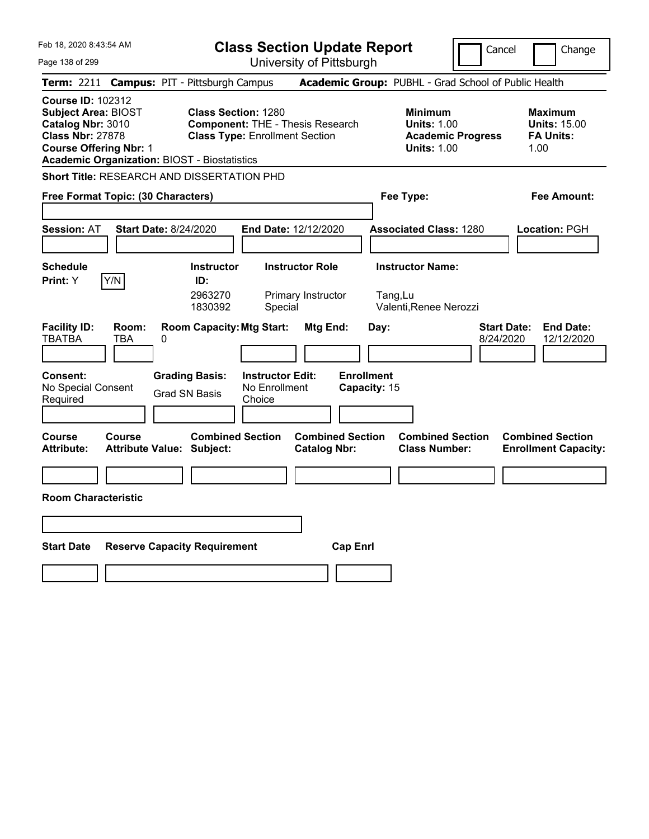| Feb 18, 2020 8:43:54 AM                                                                                                                                                                        | <b>Class Section Update Report</b>                                                                                                                  |                                                                                        | Cancel<br>Change                                                  |  |
|------------------------------------------------------------------------------------------------------------------------------------------------------------------------------------------------|-----------------------------------------------------------------------------------------------------------------------------------------------------|----------------------------------------------------------------------------------------|-------------------------------------------------------------------|--|
| Page 138 of 299                                                                                                                                                                                | University of Pittsburgh                                                                                                                            |                                                                                        |                                                                   |  |
| Term: 2211                                                                                                                                                                                     | <b>Campus: PIT - Pittsburgh Campus</b>                                                                                                              | Academic Group: PUBHL - Grad School of Public Health                                   |                                                                   |  |
| <b>Course ID: 102312</b><br><b>Subject Area: BIOST</b><br>Catalog Nbr: 3010<br><b>Class Nbr: 27878</b><br><b>Course Offering Nbr: 1</b><br><b>Academic Organization: BIOST - Biostatistics</b> | <b>Class Section: 1280</b><br><b>Component: THE - Thesis Research</b><br><b>Class Type: Enrollment Section</b>                                      | <b>Minimum</b><br><b>Units: 1.00</b><br><b>Academic Progress</b><br><b>Units: 1.00</b> | Maximum<br><b>Units: 15.00</b><br><b>FA Units:</b><br>1.00        |  |
| <b>Short Title: RESEARCH AND DISSERTATION PHD</b>                                                                                                                                              |                                                                                                                                                     |                                                                                        |                                                                   |  |
| Free Format Topic: (30 Characters)                                                                                                                                                             |                                                                                                                                                     | Fee Type:                                                                              | Fee Amount:                                                       |  |
| <b>Start Date: 8/24/2020</b><br><b>Session: AT</b>                                                                                                                                             | <b>End Date: 12/12/2020</b>                                                                                                                         | <b>Associated Class: 1280</b>                                                          | <b>Location: PGH</b>                                              |  |
| <b>Schedule</b><br>Y/N<br>Print: Y                                                                                                                                                             | <b>Instructor</b><br><b>Instructor Role</b><br>ID:<br>2963270<br>Primary Instructor<br>1830392<br>Special                                           | <b>Instructor Name:</b><br>Tang,Lu<br>Valenti, Renee Nerozzi                           |                                                                   |  |
| <b>Facility ID:</b><br>Room:<br><b>TBATBA</b><br>TBA<br>0<br>Consent:<br>No Special Consent<br>Required                                                                                        | <b>Room Capacity: Mtg Start:</b><br>Mtg End:<br><b>Grading Basis:</b><br><b>Instructor Edit:</b><br>No Enrollment<br><b>Grad SN Basis</b><br>Choice | Day:<br><b>Enrollment</b><br>Capacity: 15                                              | <b>Start Date:</b><br><b>End Date:</b><br>8/24/2020<br>12/12/2020 |  |
| Course<br><b>Course</b><br><b>Attribute:</b><br><b>Attribute Value: Subject:</b>                                                                                                               | <b>Combined Section</b><br><b>Catalog Nbr:</b>                                                                                                      | <b>Combined Section</b><br><b>Combined Section</b><br><b>Class Number:</b>             | <b>Combined Section</b><br><b>Enrollment Capacity:</b>            |  |
|                                                                                                                                                                                                |                                                                                                                                                     |                                                                                        |                                                                   |  |
| <b>Room Characteristic</b>                                                                                                                                                                     |                                                                                                                                                     |                                                                                        |                                                                   |  |
|                                                                                                                                                                                                |                                                                                                                                                     |                                                                                        |                                                                   |  |
| <b>Start Date</b><br><b>Reserve Capacity Requirement</b>                                                                                                                                       |                                                                                                                                                     | <b>Cap Enri</b>                                                                        |                                                                   |  |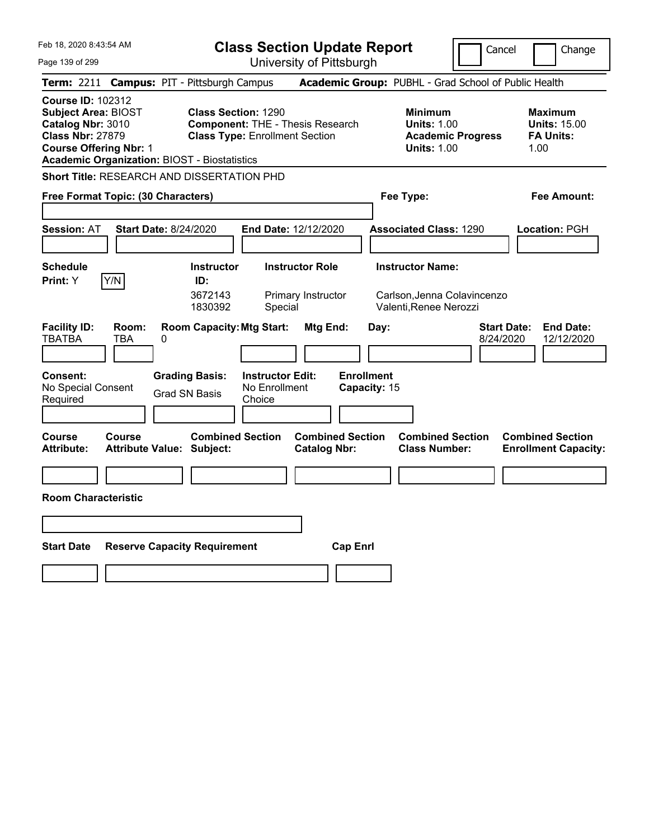| Feb 18, 2020 8:43:54 AM                                                                                                                                                                        |                                                                                                                | <b>Class Section Update Report</b><br>Cancel   |                                                                                        |                                                                   |
|------------------------------------------------------------------------------------------------------------------------------------------------------------------------------------------------|----------------------------------------------------------------------------------------------------------------|------------------------------------------------|----------------------------------------------------------------------------------------|-------------------------------------------------------------------|
| Page 139 of 299                                                                                                                                                                                | University of Pittsburgh                                                                                       |                                                |                                                                                        |                                                                   |
| Term: 2211                                                                                                                                                                                     | <b>Campus: PIT - Pittsburgh Campus</b>                                                                         |                                                | Academic Group: PUBHL - Grad School of Public Health                                   |                                                                   |
| <b>Course ID: 102312</b><br><b>Subject Area: BIOST</b><br>Catalog Nbr: 3010<br><b>Class Nbr: 27879</b><br><b>Course Offering Nbr: 1</b><br><b>Academic Organization: BIOST - Biostatistics</b> | <b>Class Section: 1290</b><br><b>Component: THE - Thesis Research</b><br><b>Class Type: Enrollment Section</b> |                                                | <b>Minimum</b><br><b>Units: 1.00</b><br><b>Academic Progress</b><br><b>Units: 1.00</b> | <b>Maximum</b><br><b>Units: 15.00</b><br><b>FA Units:</b><br>1.00 |
| Short Title: RESEARCH AND DISSERTATION PHD                                                                                                                                                     |                                                                                                                |                                                |                                                                                        |                                                                   |
| Free Format Topic: (30 Characters)                                                                                                                                                             |                                                                                                                |                                                | Fee Type:                                                                              | Fee Amount:                                                       |
| <b>Session: AT</b><br><b>Start Date: 8/24/2020</b>                                                                                                                                             | <b>End Date: 12/12/2020</b>                                                                                    |                                                | <b>Associated Class: 1290</b>                                                          | <b>Location: PGH</b>                                              |
| <b>Schedule</b>                                                                                                                                                                                | <b>Instructor Role</b><br><b>Instructor</b>                                                                    |                                                | <b>Instructor Name:</b>                                                                |                                                                   |
| Y/N<br><b>Print:</b> Y                                                                                                                                                                         | ID:<br>3672143<br>Primary Instructor<br>1830392<br>Special                                                     |                                                | Carlson, Jenna Colavincenzo<br>Valenti, Renee Nerozzi                                  |                                                                   |
| <b>Facility ID:</b><br>Room:<br><b>TBATBA</b><br>TBA<br>0                                                                                                                                      | <b>Room Capacity: Mtg Start:</b>                                                                               | Mtg End:<br>Day:                               |                                                                                        | <b>Start Date:</b><br><b>End Date:</b><br>8/24/2020<br>12/12/2020 |
| <b>Consent:</b><br>No Special Consent<br>Required                                                                                                                                              | <b>Grading Basis:</b><br><b>Instructor Edit:</b><br>No Enrollment<br><b>Grad SN Basis</b><br>Choice            | <b>Enrollment</b><br>Capacity: 15              |                                                                                        |                                                                   |
| <b>Course</b><br><b>Course</b><br><b>Attribute:</b><br><b>Attribute Value: Subject:</b>                                                                                                        | <b>Combined Section</b>                                                                                        | <b>Combined Section</b><br><b>Catalog Nbr:</b> | <b>Combined Section</b><br><b>Class Number:</b>                                        | <b>Combined Section</b><br><b>Enrollment Capacity:</b>            |
|                                                                                                                                                                                                |                                                                                                                |                                                |                                                                                        |                                                                   |
| <b>Room Characteristic</b>                                                                                                                                                                     |                                                                                                                |                                                |                                                                                        |                                                                   |
|                                                                                                                                                                                                |                                                                                                                |                                                |                                                                                        |                                                                   |
| <b>Start Date</b>                                                                                                                                                                              | <b>Reserve Capacity Requirement</b>                                                                            | <b>Cap Enri</b>                                |                                                                                        |                                                                   |
|                                                                                                                                                                                                |                                                                                                                |                                                |                                                                                        |                                                                   |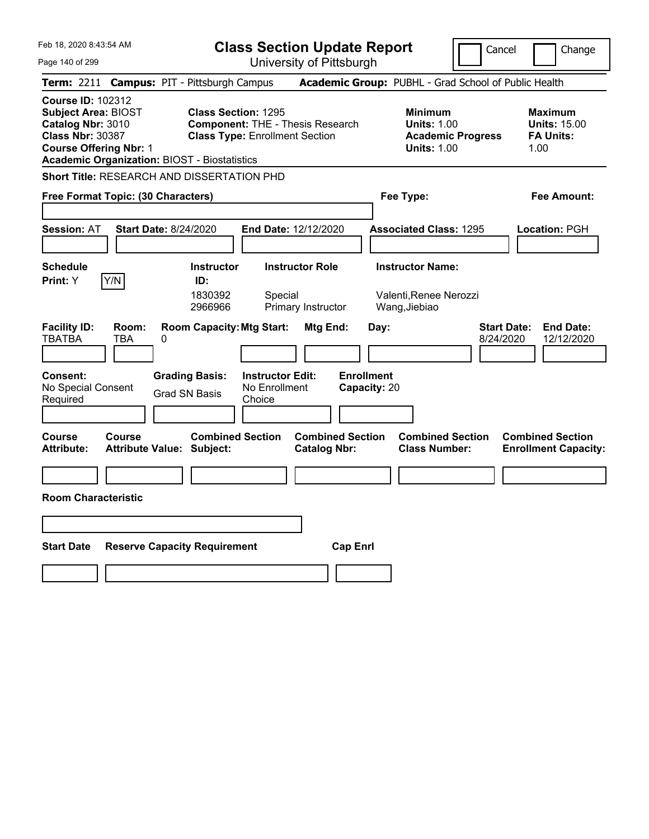| Feb 18, 2020 8:43:54 AM                                                                                                                                                                        | <b>Class Section Update Report</b>                                                                                                      |                                                       |                                                                                        | Cancel<br>Change                                                  |  |
|------------------------------------------------------------------------------------------------------------------------------------------------------------------------------------------------|-----------------------------------------------------------------------------------------------------------------------------------------|-------------------------------------------------------|----------------------------------------------------------------------------------------|-------------------------------------------------------------------|--|
| Page 140 of 299                                                                                                                                                                                | University of Pittsburgh                                                                                                                |                                                       |                                                                                        |                                                                   |  |
| Term: 2211                                                                                                                                                                                     | <b>Campus: PIT - Pittsburgh Campus</b>                                                                                                  | Academic Group: PUBHL - Grad School of Public Health  |                                                                                        |                                                                   |  |
| <b>Course ID: 102312</b><br><b>Subject Area: BIOST</b><br>Catalog Nbr: 3010<br><b>Class Nbr: 30387</b><br><b>Course Offering Nbr: 1</b><br><b>Academic Organization: BIOST - Biostatistics</b> | <b>Class Section: 1295</b><br><b>Component: THE - Thesis Research</b><br><b>Class Type: Enrollment Section</b>                          |                                                       | <b>Minimum</b><br><b>Units: 1.00</b><br><b>Academic Progress</b><br><b>Units: 1.00</b> | <b>Maximum</b><br><b>Units: 15.00</b><br><b>FA Units:</b><br>1.00 |  |
| Short Title: RESEARCH AND DISSERTATION PHD                                                                                                                                                     |                                                                                                                                         |                                                       |                                                                                        |                                                                   |  |
| Free Format Topic: (30 Characters)                                                                                                                                                             |                                                                                                                                         | Fee Type:                                             |                                                                                        | Fee Amount:                                                       |  |
| <b>Session: AT</b><br><b>Start Date: 8/24/2020</b>                                                                                                                                             | <b>End Date: 12/12/2020</b>                                                                                                             |                                                       | <b>Associated Class: 1295</b>                                                          | <b>Location: PGH</b>                                              |  |
| <b>Schedule</b><br>Y/N<br><b>Print:</b> Y                                                                                                                                                      | <b>Instructor Role</b><br><b>Instructor</b><br>ID:<br>1830392<br>Special<br>2966966<br>Primary Instructor                               | <b>Instructor Name:</b><br>Wang, Jiebiao              | Valenti, Renee Nerozzi                                                                 |                                                                   |  |
| <b>Facility ID:</b><br>Room:<br><b>TBATBA</b><br>TBA<br>0<br><b>Consent:</b><br>No Special Consent<br>Required                                                                                 | <b>Room Capacity: Mtg Start:</b><br><b>Grading Basis:</b><br><b>Instructor Edit:</b><br>No Enrollment<br><b>Grad SN Basis</b><br>Choice | Mtg End:<br>Day:<br><b>Enrollment</b><br>Capacity: 20 | <b>Start Date:</b><br>8/24/2020                                                        | <b>End Date:</b><br>12/12/2020                                    |  |
| <b>Course</b><br>Course<br><b>Attribute:</b><br><b>Attribute Value: Subject:</b>                                                                                                               | <b>Combined Section</b>                                                                                                                 | <b>Combined Section</b><br><b>Catalog Nbr:</b>        | <b>Combined Section</b><br><b>Class Number:</b>                                        | <b>Combined Section</b><br><b>Enrollment Capacity:</b>            |  |
|                                                                                                                                                                                                |                                                                                                                                         |                                                       |                                                                                        |                                                                   |  |
| <b>Room Characteristic</b>                                                                                                                                                                     |                                                                                                                                         |                                                       |                                                                                        |                                                                   |  |
|                                                                                                                                                                                                |                                                                                                                                         |                                                       |                                                                                        |                                                                   |  |
| <b>Start Date</b>                                                                                                                                                                              | <b>Reserve Capacity Requirement</b>                                                                                                     | <b>Cap Enri</b>                                       |                                                                                        |                                                                   |  |
|                                                                                                                                                                                                |                                                                                                                                         |                                                       |                                                                                        |                                                                   |  |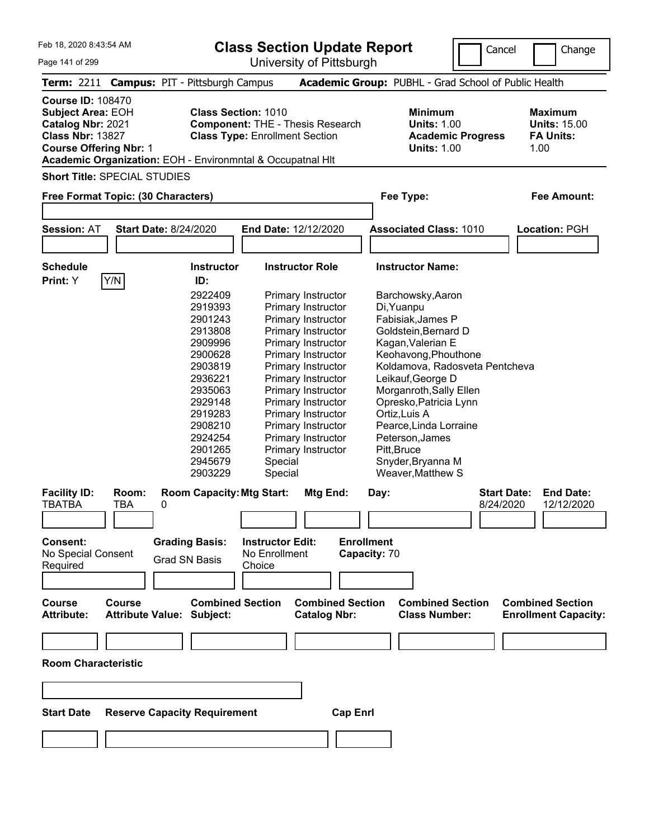**Class Section Update Report**

University of Pittsburgh

Cancel Change

Page 141 of 299

|                                                                                                                                       |               | Term: 2211 Campus: PIT - Pittsburgh Campus                  |                                                                                                                                                                              |                         | <b>Academic Group: PUBHL - Grad School of Public Health</b>                            |                                 |                                                                   |
|---------------------------------------------------------------------------------------------------------------------------------------|---------------|-------------------------------------------------------------|------------------------------------------------------------------------------------------------------------------------------------------------------------------------------|-------------------------|----------------------------------------------------------------------------------------|---------------------------------|-------------------------------------------------------------------|
| <b>Course ID: 108470</b><br><b>Subject Area: EOH</b><br>Catalog Nbr: 2021<br><b>Class Nbr: 13827</b><br><b>Course Offering Nbr: 1</b> |               |                                                             | <b>Class Section: 1010</b><br><b>Component: THE - Thesis Research</b><br><b>Class Type: Enrollment Section</b><br>Academic Organization: EOH - Environmntal & Occupatnal HIt |                         | <b>Minimum</b><br><b>Units: 1.00</b><br><b>Academic Progress</b><br><b>Units: 1.00</b> |                                 | <b>Maximum</b><br><b>Units: 15.00</b><br><b>FA Units:</b><br>1.00 |
| <b>Short Title: SPECIAL STUDIES</b>                                                                                                   |               |                                                             |                                                                                                                                                                              |                         |                                                                                        |                                 |                                                                   |
|                                                                                                                                       |               |                                                             |                                                                                                                                                                              |                         |                                                                                        |                                 |                                                                   |
| Free Format Topic: (30 Characters)                                                                                                    |               |                                                             |                                                                                                                                                                              |                         | Fee Type:                                                                              |                                 | <b>Fee Amount:</b>                                                |
|                                                                                                                                       |               |                                                             |                                                                                                                                                                              |                         |                                                                                        |                                 |                                                                   |
| <b>Session: AT</b>                                                                                                                    |               | <b>Start Date: 8/24/2020</b>                                | End Date: 12/12/2020                                                                                                                                                         |                         | <b>Associated Class: 1010</b>                                                          |                                 | Location: PGH                                                     |
|                                                                                                                                       |               |                                                             |                                                                                                                                                                              |                         |                                                                                        |                                 |                                                                   |
| <b>Schedule</b>                                                                                                                       |               | Instructor                                                  | <b>Instructor Role</b>                                                                                                                                                       |                         | <b>Instructor Name:</b>                                                                |                                 |                                                                   |
| Print: Y                                                                                                                              | Y/N           | ID:                                                         |                                                                                                                                                                              |                         |                                                                                        |                                 |                                                                   |
|                                                                                                                                       |               | 2922409                                                     | Primary Instructor                                                                                                                                                           |                         | Barchowsky, Aaron                                                                      |                                 |                                                                   |
|                                                                                                                                       |               | 2919393                                                     | Primary Instructor                                                                                                                                                           |                         | Di, Yuanpu                                                                             |                                 |                                                                   |
|                                                                                                                                       |               | 2901243                                                     | Primary Instructor                                                                                                                                                           |                         | Fabisiak, James P                                                                      |                                 |                                                                   |
|                                                                                                                                       |               | 2913808                                                     | Primary Instructor                                                                                                                                                           |                         | Goldstein, Bernard D                                                                   |                                 |                                                                   |
|                                                                                                                                       |               | 2909996                                                     | Primary Instructor                                                                                                                                                           |                         | Kagan, Valerian E                                                                      |                                 |                                                                   |
|                                                                                                                                       |               | 2900628                                                     | Primary Instructor                                                                                                                                                           |                         | Keohavong, Phouthone                                                                   |                                 |                                                                   |
|                                                                                                                                       |               | 2903819                                                     | Primary Instructor                                                                                                                                                           |                         | Koldamova, Radosveta Pentcheva                                                         |                                 |                                                                   |
|                                                                                                                                       |               | 2936221                                                     | Primary Instructor                                                                                                                                                           |                         | Leikauf, George D                                                                      |                                 |                                                                   |
|                                                                                                                                       |               | 2935063                                                     | Primary Instructor                                                                                                                                                           |                         | Morganroth, Sally Ellen                                                                |                                 |                                                                   |
|                                                                                                                                       |               | 2929148                                                     | Primary Instructor                                                                                                                                                           |                         | Opresko, Patricia Lynn<br>Ortiz, Luis A                                                |                                 |                                                                   |
|                                                                                                                                       |               | 2919283<br>2908210                                          | Primary Instructor<br>Primary Instructor                                                                                                                                     |                         | Pearce, Linda Lorraine                                                                 |                                 |                                                                   |
|                                                                                                                                       |               | 2924254                                                     | Primary Instructor                                                                                                                                                           |                         | Peterson, James                                                                        |                                 |                                                                   |
|                                                                                                                                       |               | 2901265                                                     | Primary Instructor                                                                                                                                                           |                         | Pitt, Bruce                                                                            |                                 |                                                                   |
|                                                                                                                                       |               | 2945679                                                     | Special                                                                                                                                                                      |                         | Snyder, Bryanna M                                                                      |                                 |                                                                   |
|                                                                                                                                       |               | 2903229                                                     | Special                                                                                                                                                                      |                         | Weaver, Matthew S                                                                      |                                 |                                                                   |
|                                                                                                                                       |               |                                                             |                                                                                                                                                                              |                         |                                                                                        |                                 |                                                                   |
| <b>Facility ID:</b><br><b>TBATBA</b>                                                                                                  | Room:<br>TBA  | <b>Room Capacity: Mtg Start:</b><br>0                       | Mtg End:                                                                                                                                                                     | Day:                    |                                                                                        | <b>Start Date:</b><br>8/24/2020 | <b>End Date:</b><br>12/12/2020                                    |
|                                                                                                                                       |               |                                                             |                                                                                                                                                                              |                         |                                                                                        |                                 |                                                                   |
|                                                                                                                                       |               |                                                             |                                                                                                                                                                              |                         |                                                                                        |                                 |                                                                   |
| <b>Consent:</b>                                                                                                                       |               | <b>Grading Basis:</b>                                       | <b>Instructor Edit:</b>                                                                                                                                                      | <b>Enrollment</b>       |                                                                                        |                                 |                                                                   |
| No Special Consent                                                                                                                    |               |                                                             | No Enrollment                                                                                                                                                                | Capacity: 70            |                                                                                        |                                 |                                                                   |
| Required                                                                                                                              |               | <b>Grad SN Basis</b>                                        | Choice                                                                                                                                                                       |                         |                                                                                        |                                 |                                                                   |
|                                                                                                                                       |               |                                                             |                                                                                                                                                                              |                         |                                                                                        |                                 |                                                                   |
|                                                                                                                                       |               |                                                             |                                                                                                                                                                              |                         |                                                                                        |                                 |                                                                   |
| <b>Course</b><br><b>Attribute:</b>                                                                                                    | <b>Course</b> | <b>Combined Section</b><br><b>Attribute Value: Subject:</b> | <b>Catalog Nbr:</b>                                                                                                                                                          | <b>Combined Section</b> | <b>Combined Section</b><br><b>Class Number:</b>                                        |                                 | <b>Combined Section</b><br><b>Enrollment Capacity:</b>            |
|                                                                                                                                       |               |                                                             |                                                                                                                                                                              |                         |                                                                                        |                                 |                                                                   |
|                                                                                                                                       |               |                                                             |                                                                                                                                                                              |                         |                                                                                        |                                 |                                                                   |
|                                                                                                                                       |               |                                                             |                                                                                                                                                                              |                         |                                                                                        |                                 |                                                                   |
| <b>Room Characteristic</b>                                                                                                            |               |                                                             |                                                                                                                                                                              |                         |                                                                                        |                                 |                                                                   |
|                                                                                                                                       |               |                                                             |                                                                                                                                                                              |                         |                                                                                        |                                 |                                                                   |
| <b>Start Date</b>                                                                                                                     |               | <b>Reserve Capacity Requirement</b>                         |                                                                                                                                                                              | <b>Cap Enrl</b>         |                                                                                        |                                 |                                                                   |
|                                                                                                                                       |               |                                                             |                                                                                                                                                                              |                         |                                                                                        |                                 |                                                                   |
|                                                                                                                                       |               |                                                             |                                                                                                                                                                              |                         |                                                                                        |                                 |                                                                   |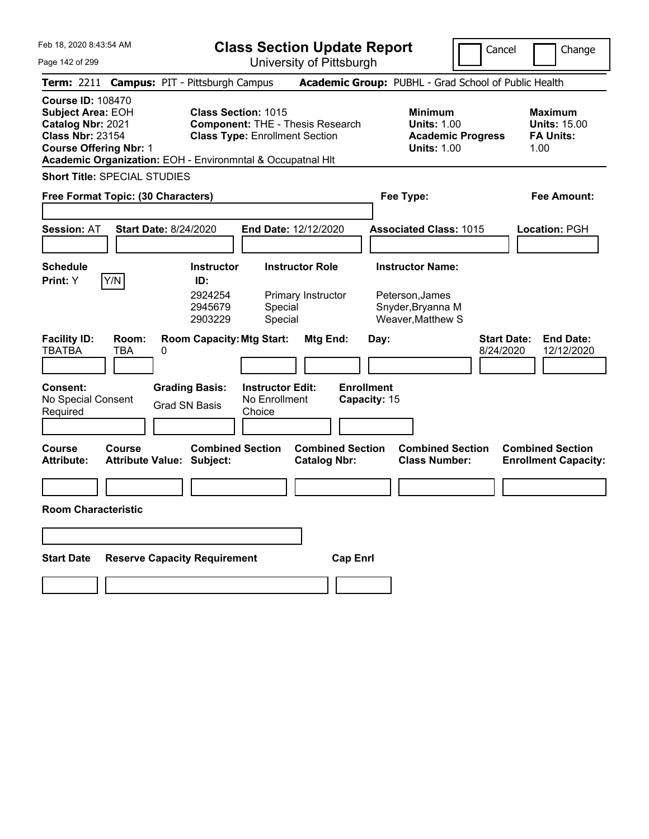**Class Section Update Report** University of Pittsburgh

Cancel Change

Page 142 of 299

|                                                                                                                                       |               |                                                                                          | UTIIVERSILY ULT ILLSDUIYIT                                                       |                                                |                                                                                        |                                                                   |
|---------------------------------------------------------------------------------------------------------------------------------------|---------------|------------------------------------------------------------------------------------------|----------------------------------------------------------------------------------|------------------------------------------------|----------------------------------------------------------------------------------------|-------------------------------------------------------------------|
|                                                                                                                                       |               | Term: 2211 Campus: PIT - Pittsburgh Campus                                               |                                                                                  |                                                | Academic Group: PUBHL - Grad School of Public Health                                   |                                                                   |
| <b>Course ID: 108470</b><br><b>Subject Area: EOH</b><br>Catalog Nbr: 2021<br><b>Class Nbr: 23154</b><br><b>Course Offering Nbr: 1</b> |               | <b>Class Section: 1015</b><br>Academic Organization: EOH - Environmntal & Occupatnal HIt | <b>Component: THE - Thesis Research</b><br><b>Class Type: Enrollment Section</b> |                                                | <b>Minimum</b><br><b>Units: 1.00</b><br><b>Academic Progress</b><br><b>Units: 1.00</b> | <b>Maximum</b><br><b>Units: 15.00</b><br><b>FA Units:</b><br>1.00 |
| <b>Short Title: SPECIAL STUDIES</b>                                                                                                   |               |                                                                                          |                                                                                  |                                                |                                                                                        |                                                                   |
| Free Format Topic: (30 Characters)                                                                                                    |               |                                                                                          |                                                                                  |                                                | Fee Type:                                                                              | Fee Amount:                                                       |
| <b>Session: AT</b>                                                                                                                    |               | <b>Start Date: 8/24/2020</b>                                                             | End Date: 12/12/2020                                                             |                                                | <b>Associated Class: 1015</b>                                                          | Location: PGH                                                     |
| <b>Schedule</b><br><b>Print:</b> Y                                                                                                    | Y/N           | <b>Instructor</b><br>ID:<br>2924254<br>2945679<br>2903229                                | <b>Instructor Role</b><br>Primary Instructor<br>Special<br>Special               |                                                | <b>Instructor Name:</b><br>Peterson, James<br>Snyder, Bryanna M<br>Weaver, Matthew S   |                                                                   |
| <b>Facility ID:</b><br><b>TBATBA</b>                                                                                                  | Room:<br>TBA  | <b>Room Capacity: Mtg Start:</b><br>0                                                    |                                                                                  | Mtg End:<br>Day:                               |                                                                                        | <b>Start Date:</b><br><b>End Date:</b><br>8/24/2020<br>12/12/2020 |
| <b>Consent:</b><br>No Special Consent<br>Required                                                                                     |               | <b>Grading Basis:</b><br><b>Grad SN Basis</b>                                            | <b>Instructor Edit:</b><br>No Enrollment<br>Choice                               | <b>Enrollment</b><br>Capacity: 15              |                                                                                        |                                                                   |
| Course<br><b>Attribute:</b>                                                                                                           | <b>Course</b> | <b>Combined Section</b><br><b>Attribute Value: Subject:</b>                              |                                                                                  | <b>Combined Section</b><br><b>Catalog Nbr:</b> | <b>Combined Section</b><br><b>Class Number:</b>                                        | <b>Combined Section</b><br><b>Enrollment Capacity:</b>            |
| <b>Room Characteristic</b>                                                                                                            |               |                                                                                          |                                                                                  |                                                |                                                                                        |                                                                   |
|                                                                                                                                       |               |                                                                                          |                                                                                  |                                                |                                                                                        |                                                                   |
| <b>Start Date</b>                                                                                                                     |               | <b>Reserve Capacity Requirement</b>                                                      |                                                                                  | <b>Cap Enrl</b>                                |                                                                                        |                                                                   |
|                                                                                                                                       |               |                                                                                          |                                                                                  |                                                |                                                                                        |                                                                   |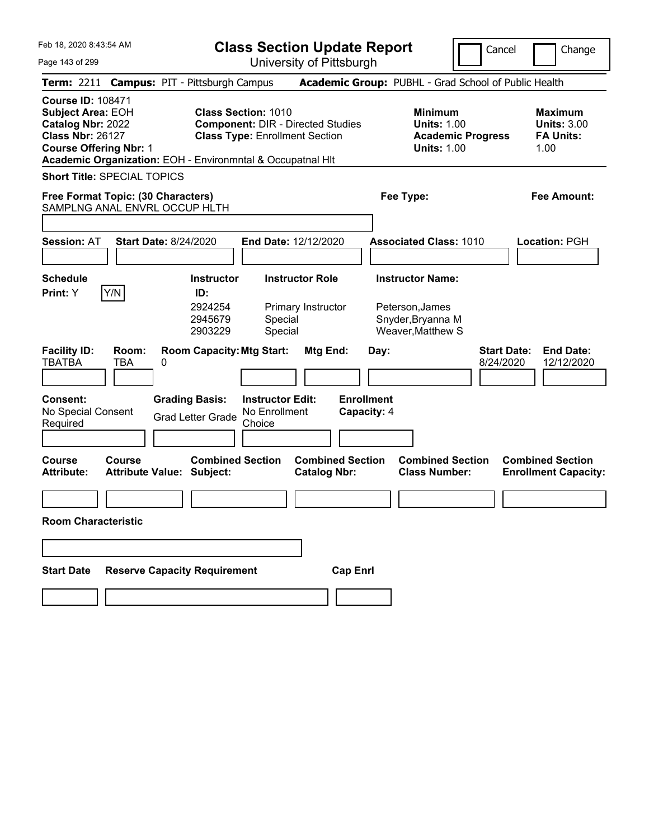| Feb 18, 2020 8:43:54 AM                                                                                                                                                                             |                                                             |                                                                     | <b>Class Section Update Report</b>             |                                                                                      |                                                                                        | Cancel                          | Change                                                           |
|-----------------------------------------------------------------------------------------------------------------------------------------------------------------------------------------------------|-------------------------------------------------------------|---------------------------------------------------------------------|------------------------------------------------|--------------------------------------------------------------------------------------|----------------------------------------------------------------------------------------|---------------------------------|------------------------------------------------------------------|
| Page 143 of 299                                                                                                                                                                                     |                                                             |                                                                     | University of Pittsburgh                       |                                                                                      |                                                                                        |                                 |                                                                  |
| Term: 2211 Campus: PIT - Pittsburgh Campus                                                                                                                                                          |                                                             |                                                                     |                                                | Academic Group: PUBHL - Grad School of Public Health                                 |                                                                                        |                                 |                                                                  |
| <b>Course ID: 108471</b><br><b>Subject Area: EOH</b><br>Catalog Nbr: 2022<br><b>Class Nbr: 26127</b><br><b>Course Offering Nbr: 1</b><br>Academic Organization: EOH - Environmntal & Occupatnal HIt |                                                             | <b>Class Section: 1010</b><br><b>Class Type: Enrollment Section</b> | <b>Component: DIR - Directed Studies</b>       |                                                                                      | <b>Minimum</b><br><b>Units: 1.00</b><br><b>Academic Progress</b><br><b>Units: 1.00</b> |                                 | <b>Maximum</b><br><b>Units: 3.00</b><br><b>FA Units:</b><br>1.00 |
| <b>Short Title: SPECIAL TOPICS</b>                                                                                                                                                                  |                                                             |                                                                     |                                                |                                                                                      |                                                                                        |                                 |                                                                  |
| Free Format Topic: (30 Characters)                                                                                                                                                                  |                                                             |                                                                     |                                                | Fee Type:                                                                            |                                                                                        |                                 | Fee Amount:                                                      |
| SAMPLNG ANAL ENVRL OCCUP HLTH                                                                                                                                                                       |                                                             |                                                                     |                                                |                                                                                      |                                                                                        |                                 |                                                                  |
| <b>Session: AT</b>                                                                                                                                                                                  | <b>Start Date: 8/24/2020</b>                                | End Date: 12/12/2020                                                |                                                | <b>Associated Class: 1010</b>                                                        |                                                                                        |                                 | Location: PGH                                                    |
| <b>Schedule</b><br>Y/N<br>Print: Y                                                                                                                                                                  | <b>Instructor</b><br>ID:<br>2924254<br>2945679<br>2903229   | Special<br>Special                                                  | <b>Instructor Role</b><br>Primary Instructor   | <b>Instructor Name:</b><br>Peterson, James<br>Snyder, Bryanna M<br>Weaver, Matthew S |                                                                                        |                                 |                                                                  |
| <b>Facility ID:</b><br>Room:<br><b>TBATBA</b><br>TBA                                                                                                                                                | <b>Room Capacity: Mtg Start:</b><br>0                       |                                                                     | Mtg End:                                       | Day:                                                                                 |                                                                                        | <b>Start Date:</b><br>8/24/2020 | <b>End Date:</b><br>12/12/2020                                   |
| <b>Consent:</b><br>No Special Consent<br>Required                                                                                                                                                   | <b>Grading Basis:</b><br><b>Grad Letter Grade</b>           | <b>Instructor Edit:</b><br>No Enrollment<br>Choice                  |                                                | <b>Enrollment</b><br>Capacity: 4                                                     |                                                                                        |                                 |                                                                  |
| <b>Course</b><br>Course<br><b>Attribute:</b>                                                                                                                                                        | <b>Combined Section</b><br><b>Attribute Value: Subject:</b> |                                                                     | <b>Combined Section</b><br><b>Catalog Nbr:</b> |                                                                                      | <b>Combined Section</b><br><b>Class Number:</b>                                        |                                 | <b>Combined Section</b><br><b>Enrollment Capacity:</b>           |
| <b>Room Characteristic</b>                                                                                                                                                                          |                                                             |                                                                     |                                                |                                                                                      |                                                                                        |                                 |                                                                  |
|                                                                                                                                                                                                     |                                                             |                                                                     |                                                |                                                                                      |                                                                                        |                                 |                                                                  |
| <b>Start Date</b>                                                                                                                                                                                   | <b>Reserve Capacity Requirement</b>                         |                                                                     | <b>Cap Enrl</b>                                |                                                                                      |                                                                                        |                                 |                                                                  |
|                                                                                                                                                                                                     |                                                             |                                                                     |                                                |                                                                                      |                                                                                        |                                 |                                                                  |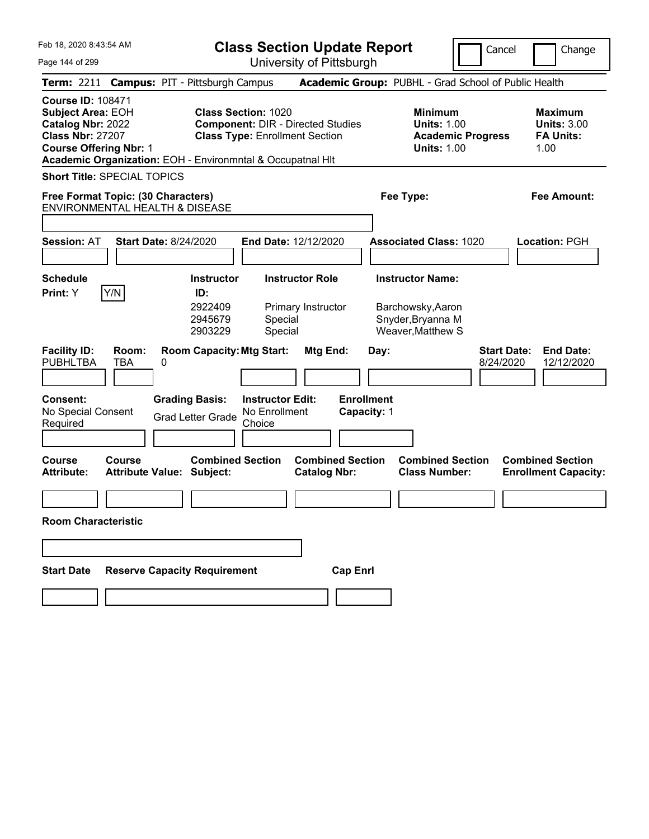| Feb 18, 2020 8:43:54 AM                                                                                                               |                                                            |                                                           |                                                                                                                 |                                              | <b>Class Section Update Report</b> |                                                                                        | Cancel                   | Change                                                           |
|---------------------------------------------------------------------------------------------------------------------------------------|------------------------------------------------------------|-----------------------------------------------------------|-----------------------------------------------------------------------------------------------------------------|----------------------------------------------|------------------------------------|----------------------------------------------------------------------------------------|--------------------------|------------------------------------------------------------------|
| Page 144 of 299                                                                                                                       |                                                            |                                                           |                                                                                                                 | University of Pittsburgh                     |                                    |                                                                                        |                          |                                                                  |
|                                                                                                                                       | Term: 2211 Campus: PIT - Pittsburgh Campus                 |                                                           |                                                                                                                 |                                              |                                    |                                                                                        |                          | Academic Group: PUBHL - Grad School of Public Health             |
| <b>Course ID: 108471</b><br><b>Subject Area: EOH</b><br>Catalog Nbr: 2022<br><b>Class Nbr: 27207</b><br><b>Course Offering Nbr: 1</b> | Academic Organization: EOH - Environmntal & Occupatnal HIt |                                                           | <b>Class Section: 1020</b><br><b>Component: DIR - Directed Studies</b><br><b>Class Type: Enrollment Section</b> |                                              |                                    | <b>Minimum</b><br><b>Units: 1.00</b><br><b>Units: 1.00</b>                             | <b>Academic Progress</b> | <b>Maximum</b><br><b>Units: 3.00</b><br><b>FA Units:</b><br>1.00 |
|                                                                                                                                       | <b>Short Title: SPECIAL TOPICS</b>                         |                                                           |                                                                                                                 |                                              |                                    |                                                                                        |                          |                                                                  |
|                                                                                                                                       | Free Format Topic: (30 Characters)                         |                                                           |                                                                                                                 |                                              |                                    | Fee Type:                                                                              |                          | Fee Amount:                                                      |
|                                                                                                                                       | ENVIRONMENTAL HEALTH & DISEASE                             |                                                           |                                                                                                                 |                                              |                                    |                                                                                        |                          |                                                                  |
| <b>Session: AT</b>                                                                                                                    | <b>Start Date: 8/24/2020</b>                               |                                                           | End Date: 12/12/2020                                                                                            |                                              |                                    | <b>Associated Class: 1020</b>                                                          |                          | Location: PGH                                                    |
| <b>Schedule</b><br>Print: Y                                                                                                           | Y/N                                                        | <b>Instructor</b><br>ID:<br>2922409<br>2945679<br>2903229 | Special<br>Special                                                                                              | <b>Instructor Role</b><br>Primary Instructor |                                    | <b>Instructor Name:</b><br>Barchowsky, Aaron<br>Snyder, Bryanna M<br>Weaver, Matthew S |                          |                                                                  |
| <b>Facility ID:</b><br><b>PUBHLTBA</b>                                                                                                | Room:<br><b>TBA</b><br>0                                   | <b>Room Capacity: Mtg Start:</b>                          |                                                                                                                 | Mtg End:                                     | Day:                               |                                                                                        | 8/24/2020                | <b>Start Date:</b><br><b>End Date:</b><br>12/12/2020             |
| <b>Consent:</b><br>No Special Consent<br>Required                                                                                     |                                                            | <b>Grading Basis:</b><br><b>Grad Letter Grade</b>         | <b>Instructor Edit:</b><br>No Enrollment<br>Choice                                                              |                                              | <b>Enrollment</b><br>Capacity: 1   |                                                                                        |                          |                                                                  |
| <b>Course</b><br><b>Attribute:</b>                                                                                                    | Course<br><b>Attribute Value: Subject:</b>                 | <b>Combined Section</b>                                   |                                                                                                                 | <b>Catalog Nbr:</b>                          | <b>Combined Section</b>            | <b>Combined Section</b><br><b>Class Number:</b>                                        |                          | <b>Combined Section</b><br><b>Enrollment Capacity:</b>           |
| <b>Room Characteristic</b>                                                                                                            |                                                            |                                                           |                                                                                                                 |                                              |                                    |                                                                                        |                          |                                                                  |
|                                                                                                                                       |                                                            |                                                           |                                                                                                                 |                                              |                                    |                                                                                        |                          |                                                                  |
| <b>Start Date</b>                                                                                                                     | <b>Reserve Capacity Requirement</b>                        |                                                           |                                                                                                                 |                                              | <b>Cap Enrl</b>                    |                                                                                        |                          |                                                                  |
|                                                                                                                                       |                                                            |                                                           |                                                                                                                 |                                              |                                    |                                                                                        |                          |                                                                  |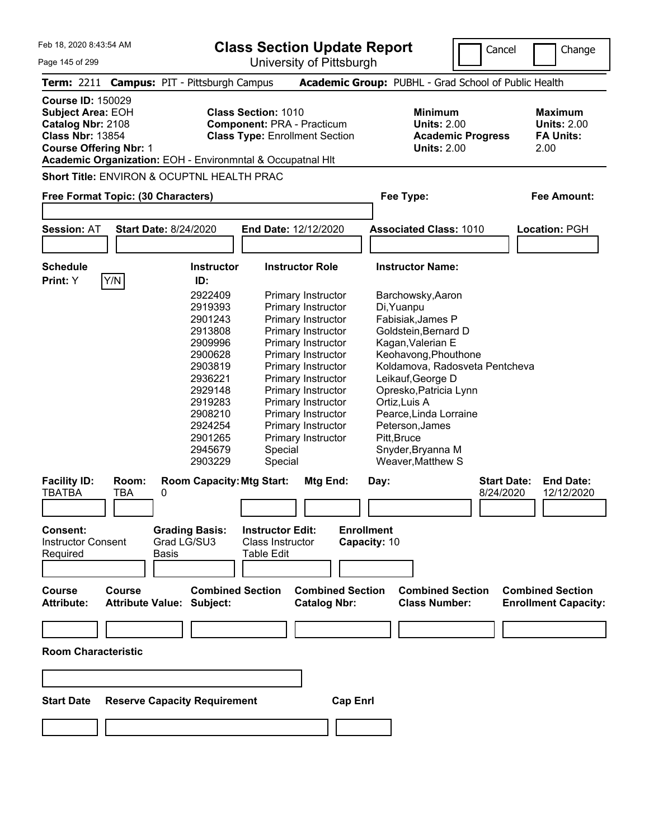Cancel Change

Feb 18, 2020 8:43:54 AM Page 145 of 299 **Class Section Update Report** University of Pittsburgh **Term:** 2211 **Campus:** PIT - Pittsburgh Campus **Academic Group:** PUBHL - Grad School of Public Health **Course ID:** 150029 **Subject Area: EOH Class Section: 1010 Minimum Maximum Maximum Catalog Nbr:** 2108 **Component:** PRA - Practicum **Units:** 2.00 **Units:** 2.00 **Class Nbr:** 13854 **Class Type:** Enrollment Section **Academic Progress FA Units: Course Offering Nbr:** 1 **Units:** 2.00 2.00 **Academic Organization:** EOH - Environmntal & Occupatnal Hlt **Short Title:** ENVIRON & OCUPTNL HEALTH PRAC **Free Format Topic: (30 Characters) Fee Type: Fee Amount: Session:** AT **Start Date:** 8/24/2020 **End Date:** 12/12/2020 **Associated Class:** 1010 **Location:** PGH **Schedule Instructor Instructor Role Instructor Name: Print:**  $Y$   $|Y/N|$  **ID:** 2922409 Primary Instructor Barchowsky,Aaron 2919393 Primary Instructor Di,Yuanpu 2901243 Primary Instructor Fabisiak,James P 2913808 Primary Instructor Goldstein,Bernard D 2909996 Primary Instructor Kagan,Valerian E 2900628 Primary Instructor Keohavong,Phouthone 2903819 Primary Instructor Koldamova, Radosveta Pentcheva 2936221 Primary Instructor Leikauf,George D 2929148 Primary Instructor Opresko,Patricia Lynn 2919283 Primary Instructor Ortiz,Luis A 2908210 Primary Instructor Pearce,Linda Lorraine 2924254 Primary Instructor Peterson,James 2901265 Primary Instructor Pitt,Bruce 2945679 Special Snyder,Bryanna M 2903229 Special Weaver,Matthew S **Facility ID: Room: Room Capacity:Mtg Start: Mtg End: Day: Start Date: End Date:** TBATBA TBA 0 8/24/2020 12/12/2020 **Consent: Grading Basis: Instructor Edit: Enrollment** Instructor Consent Required Grad LG/SU3 Basis Class Instructor Table Edit **Capacity:** 10 **Course Course Combined Section Combined Section Combined Section Combined Section Attribute: Attribute Value: Subject: Catalog Nbr: Class Number: Enrollment Capacity:** 

**Room Characteristic Start Date Reserve Capacity Requirement Cap Enrl**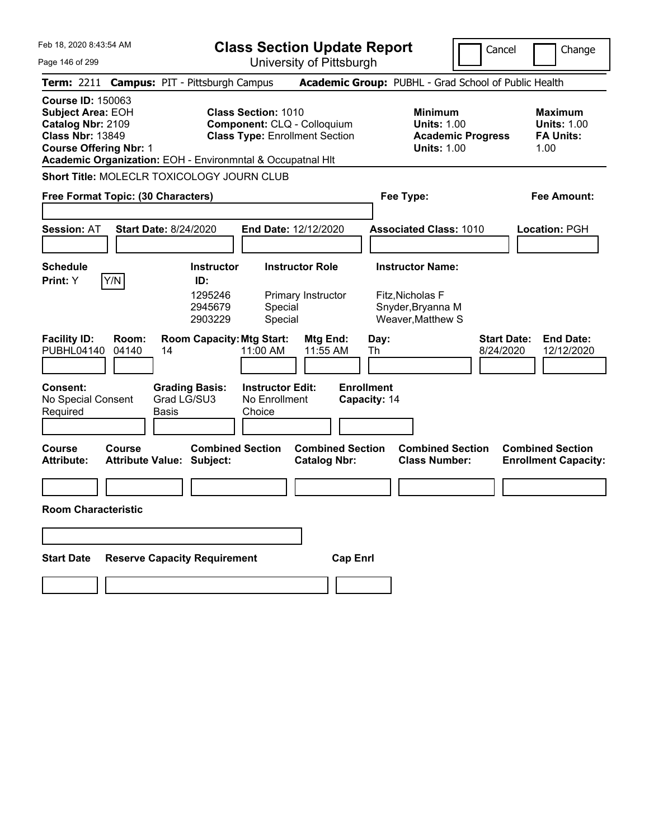|  | Feb 18, 2020 8:43:54 AM |  |
|--|-------------------------|--|
|  |                         |  |

Page 146 of 299

**Class Section Update Report**

University of Pittsburgh

Cancel Change

|                                                                                                      | Term: 2211 Campus: PIT - Pittsburgh Campus                                                  |                      |                               |                                                                                                    |                                                |                 |                                   | Academic Group: PUBHL - Grad School of Public Health                                   |                                 |                                                                  |
|------------------------------------------------------------------------------------------------------|---------------------------------------------------------------------------------------------|----------------------|-------------------------------|----------------------------------------------------------------------------------------------------|------------------------------------------------|-----------------|-----------------------------------|----------------------------------------------------------------------------------------|---------------------------------|------------------------------------------------------------------|
| <b>Course ID: 150063</b><br><b>Subject Area: EOH</b><br>Catalog Nbr: 2109<br><b>Class Nbr: 13849</b> | <b>Course Offering Nbr: 1</b><br>Academic Organization: EOH - Environmntal & Occupatnal HIt |                      |                               | <b>Class Section: 1010</b><br>Component: CLQ - Colloquium<br><b>Class Type: Enrollment Section</b> |                                                |                 |                                   | <b>Minimum</b><br><b>Units: 1.00</b><br><b>Academic Progress</b><br><b>Units: 1.00</b> |                                 | <b>Maximum</b><br><b>Units: 1.00</b><br><b>FA Units:</b><br>1.00 |
|                                                                                                      | Short Title: MOLECLR TOXICOLOGY JOURN CLUB                                                  |                      |                               |                                                                                                    |                                                |                 |                                   |                                                                                        |                                 |                                                                  |
|                                                                                                      | Free Format Topic: (30 Characters)                                                          |                      |                               |                                                                                                    |                                                |                 |                                   | Fee Type:                                                                              |                                 | Fee Amount:                                                      |
|                                                                                                      |                                                                                             |                      |                               |                                                                                                    |                                                |                 |                                   |                                                                                        |                                 |                                                                  |
| <b>Session: AT</b>                                                                                   | <b>Start Date: 8/24/2020</b>                                                                |                      |                               | End Date: 12/12/2020                                                                               |                                                |                 |                                   | <b>Associated Class: 1010</b>                                                          |                                 | Location: PGH                                                    |
|                                                                                                      |                                                                                             |                      |                               |                                                                                                    |                                                |                 |                                   |                                                                                        |                                 |                                                                  |
| <b>Schedule</b>                                                                                      |                                                                                             |                      | <b>Instructor</b>             |                                                                                                    | <b>Instructor Role</b>                         |                 |                                   | <b>Instructor Name:</b>                                                                |                                 |                                                                  |
| Print: Y                                                                                             | Y/N                                                                                         |                      | ID:                           |                                                                                                    |                                                |                 |                                   |                                                                                        |                                 |                                                                  |
|                                                                                                      |                                                                                             |                      | 1295246<br>2945679<br>2903229 | Special<br>Special                                                                                 | Primary Instructor                             |                 |                                   | Fitz, Nicholas F<br>Snyder, Bryanna M<br>Weaver, Matthew S                             |                                 |                                                                  |
| <b>Facility ID:</b><br>PUBHL04140                                                                    | Room:<br>04140                                                                              | 14                   |                               | <b>Room Capacity: Mtg Start:</b><br>11:00 AM                                                       | <b>Mtg End:</b><br>11:55 AM                    |                 | Day:<br>Th                        |                                                                                        | <b>Start Date:</b><br>8/24/2020 | <b>End Date:</b><br>12/12/2020                                   |
| Consent:<br>No Special Consent<br>Required                                                           |                                                                                             | Grad LG/SU3<br>Basis | <b>Grading Basis:</b>         | <b>Instructor Edit:</b><br>No Enrollment<br>Choice                                                 |                                                |                 | <b>Enrollment</b><br>Capacity: 14 |                                                                                        |                                 |                                                                  |
| <b>Course</b><br>Attribute:                                                                          | Course<br><b>Attribute Value: Subject:</b>                                                  |                      | <b>Combined Section</b>       |                                                                                                    | <b>Combined Section</b><br><b>Catalog Nbr:</b> |                 |                                   | <b>Combined Section</b><br><b>Class Number:</b>                                        |                                 | <b>Combined Section</b><br><b>Enrollment Capacity:</b>           |
|                                                                                                      |                                                                                             |                      |                               |                                                                                                    |                                                |                 |                                   |                                                                                        |                                 |                                                                  |
|                                                                                                      | <b>Room Characteristic</b>                                                                  |                      |                               |                                                                                                    |                                                |                 |                                   |                                                                                        |                                 |                                                                  |
|                                                                                                      |                                                                                             |                      |                               |                                                                                                    |                                                |                 |                                   |                                                                                        |                                 |                                                                  |
| <b>Start Date</b>                                                                                    | <b>Reserve Capacity Requirement</b>                                                         |                      |                               |                                                                                                    |                                                | <b>Cap Enrl</b> |                                   |                                                                                        |                                 |                                                                  |
|                                                                                                      |                                                                                             |                      |                               |                                                                                                    |                                                |                 |                                   |                                                                                        |                                 |                                                                  |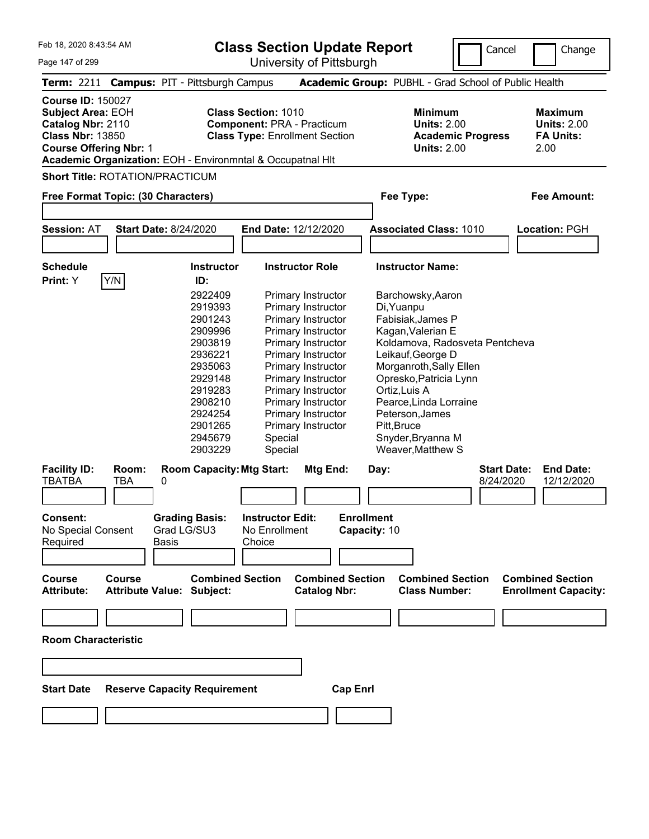**Class Section Update Report**

University of Pittsburgh

Cancel Change

Page 147 of 299

|                                                                                                                                       |                     | Term: 2211 Campus: PIT - Pittsburgh Campus                  |                                                                                                                                                                        |                   | Academic Group: PUBHL - Grad School of Public Health                            |                                 |                                                                  |
|---------------------------------------------------------------------------------------------------------------------------------------|---------------------|-------------------------------------------------------------|------------------------------------------------------------------------------------------------------------------------------------------------------------------------|-------------------|---------------------------------------------------------------------------------|---------------------------------|------------------------------------------------------------------|
| <b>Course ID: 150027</b><br><b>Subject Area: EOH</b><br>Catalog Nbr: 2110<br><b>Class Nbr: 13850</b><br><b>Course Offering Nbr: 1</b> |                     |                                                             | <b>Class Section: 1010</b><br><b>Component: PRA - Practicum</b><br><b>Class Type: Enrollment Section</b><br>Academic Organization: EOH - Environmntal & Occupatnal HIt |                   | Minimum<br><b>Units: 2.00</b><br><b>Academic Progress</b><br><b>Units: 2.00</b> |                                 | <b>Maximum</b><br><b>Units: 2.00</b><br><b>FA Units:</b><br>2.00 |
|                                                                                                                                       |                     | <b>Short Title: ROTATION/PRACTICUM</b>                      |                                                                                                                                                                        |                   |                                                                                 |                                 |                                                                  |
|                                                                                                                                       |                     | Free Format Topic: (30 Characters)                          |                                                                                                                                                                        | Fee Type:         |                                                                                 |                                 | <b>Fee Amount:</b>                                               |
|                                                                                                                                       |                     |                                                             |                                                                                                                                                                        |                   |                                                                                 |                                 |                                                                  |
|                                                                                                                                       |                     |                                                             |                                                                                                                                                                        |                   |                                                                                 |                                 |                                                                  |
| <b>Session: AT</b>                                                                                                                    |                     | <b>Start Date: 8/24/2020</b>                                | End Date: 12/12/2020                                                                                                                                                   |                   | <b>Associated Class: 1010</b>                                                   |                                 | <b>Location: PGH</b>                                             |
|                                                                                                                                       |                     |                                                             |                                                                                                                                                                        |                   |                                                                                 |                                 |                                                                  |
| <b>Schedule</b>                                                                                                                       |                     | <b>Instructor</b>                                           | <b>Instructor Role</b>                                                                                                                                                 |                   | <b>Instructor Name:</b>                                                         |                                 |                                                                  |
| Print: Y                                                                                                                              | Y/N                 | ID:                                                         |                                                                                                                                                                        |                   |                                                                                 |                                 |                                                                  |
|                                                                                                                                       |                     | 2922409                                                     | Primary Instructor                                                                                                                                                     |                   | Barchowsky, Aaron                                                               |                                 |                                                                  |
|                                                                                                                                       |                     | 2919393                                                     | Primary Instructor                                                                                                                                                     | Di, Yuanpu        |                                                                                 |                                 |                                                                  |
|                                                                                                                                       |                     | 2901243                                                     | Primary Instructor                                                                                                                                                     |                   | Fabisiak, James P                                                               |                                 |                                                                  |
|                                                                                                                                       |                     | 2909996                                                     | Primary Instructor                                                                                                                                                     |                   | Kagan, Valerian E                                                               |                                 |                                                                  |
|                                                                                                                                       |                     | 2903819                                                     | Primary Instructor                                                                                                                                                     |                   | Koldamova, Radosveta Pentcheva                                                  |                                 |                                                                  |
|                                                                                                                                       |                     | 2936221                                                     | Primary Instructor                                                                                                                                                     |                   | Leikauf, George D                                                               |                                 |                                                                  |
|                                                                                                                                       |                     | 2935063                                                     | Primary Instructor                                                                                                                                                     |                   | Morganroth, Sally Ellen                                                         |                                 |                                                                  |
|                                                                                                                                       |                     |                                                             |                                                                                                                                                                        |                   |                                                                                 |                                 |                                                                  |
|                                                                                                                                       |                     | 2929148                                                     | Primary Instructor                                                                                                                                                     |                   | Opresko, Patricia Lynn                                                          |                                 |                                                                  |
|                                                                                                                                       |                     | 2919283                                                     | Primary Instructor                                                                                                                                                     | Ortiz, Luis A     |                                                                                 |                                 |                                                                  |
|                                                                                                                                       |                     | 2908210                                                     | Primary Instructor                                                                                                                                                     |                   | Pearce, Linda Lorraine                                                          |                                 |                                                                  |
|                                                                                                                                       |                     | 2924254                                                     | Primary Instructor                                                                                                                                                     |                   | Peterson, James                                                                 |                                 |                                                                  |
|                                                                                                                                       |                     | 2901265                                                     | Primary Instructor                                                                                                                                                     | Pitt, Bruce       |                                                                                 |                                 |                                                                  |
|                                                                                                                                       |                     | 2945679                                                     | Special                                                                                                                                                                |                   | Snyder, Bryanna M                                                               |                                 |                                                                  |
|                                                                                                                                       |                     | 2903229                                                     | Special                                                                                                                                                                |                   | Weaver, Matthew S                                                               |                                 |                                                                  |
| <b>Facility ID:</b><br>TBATBA                                                                                                         | Room:<br><b>TBA</b> | <b>Room Capacity: Mtg Start:</b><br>0                       | Mtg End:                                                                                                                                                               | Day:              |                                                                                 | <b>Start Date:</b><br>8/24/2020 | <b>End Date:</b><br>12/12/2020                                   |
|                                                                                                                                       |                     |                                                             |                                                                                                                                                                        |                   |                                                                                 |                                 |                                                                  |
| Consent:                                                                                                                              |                     | <b>Grading Basis:</b>                                       | <b>Instructor Edit:</b>                                                                                                                                                | <b>Enrollment</b> |                                                                                 |                                 |                                                                  |
| No Special Consent                                                                                                                    |                     | Grad LG/SU3                                                 | No Enrollment                                                                                                                                                          | Capacity: 10      |                                                                                 |                                 |                                                                  |
| Required                                                                                                                              |                     | Basis                                                       | Choice                                                                                                                                                                 |                   |                                                                                 |                                 |                                                                  |
|                                                                                                                                       |                     |                                                             |                                                                                                                                                                        |                   |                                                                                 |                                 |                                                                  |
|                                                                                                                                       |                     |                                                             |                                                                                                                                                                        |                   |                                                                                 |                                 |                                                                  |
| <b>Course</b><br>Attribute:                                                                                                           | <b>Course</b>       | <b>Combined Section</b><br><b>Attribute Value: Subject:</b> | <b>Combined Section</b><br><b>Catalog Nbr:</b>                                                                                                                         |                   | <b>Combined Section</b><br><b>Class Number:</b>                                 |                                 | <b>Combined Section</b><br><b>Enrollment Capacity:</b>           |
|                                                                                                                                       |                     |                                                             |                                                                                                                                                                        |                   |                                                                                 |                                 |                                                                  |
|                                                                                                                                       |                     |                                                             |                                                                                                                                                                        |                   |                                                                                 |                                 |                                                                  |
| <b>Room Characteristic</b>                                                                                                            |                     |                                                             |                                                                                                                                                                        |                   |                                                                                 |                                 |                                                                  |
|                                                                                                                                       |                     |                                                             |                                                                                                                                                                        |                   |                                                                                 |                                 |                                                                  |
| <b>Start Date</b>                                                                                                                     |                     | <b>Reserve Capacity Requirement</b>                         |                                                                                                                                                                        | <b>Cap Enrl</b>   |                                                                                 |                                 |                                                                  |
|                                                                                                                                       |                     |                                                             |                                                                                                                                                                        |                   |                                                                                 |                                 |                                                                  |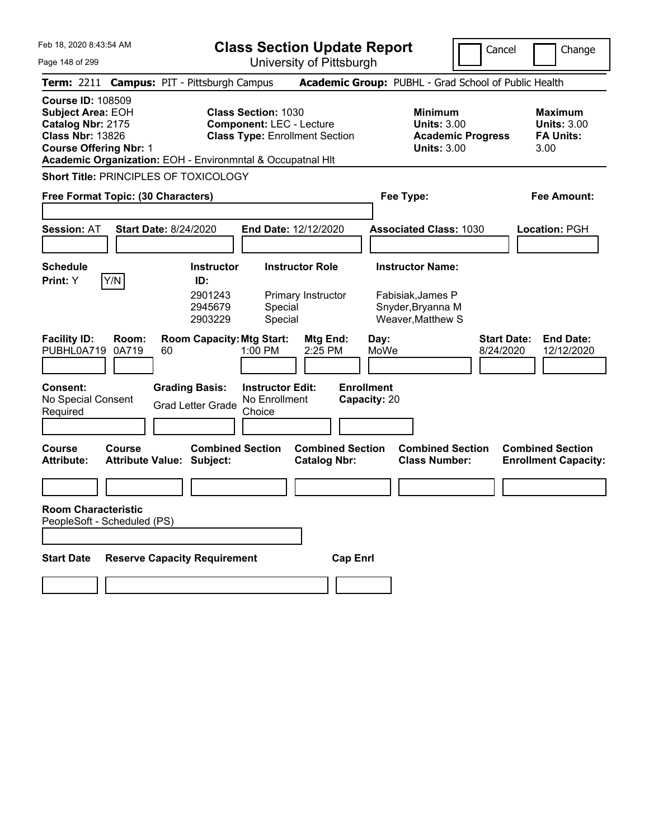|  | Feb 18, 2020 8:43:54 AM |  |
|--|-------------------------|--|
|  |                         |  |

**Class Section Update Report** University of Pittsburgh

Cancel Change

Page 148 of 299

|                                                                                                      |                               | Term: 2211 Campus: PIT - Pittsburgh Campus                  |                                                               |                                                |                                   | Academic Group: PUBHL - Grad School of Public Health                                   |                                 |                                                                  |
|------------------------------------------------------------------------------------------------------|-------------------------------|-------------------------------------------------------------|---------------------------------------------------------------|------------------------------------------------|-----------------------------------|----------------------------------------------------------------------------------------|---------------------------------|------------------------------------------------------------------|
| <b>Course ID: 108509</b><br><b>Subject Area: EOH</b><br>Catalog Nbr: 2175<br><b>Class Nbr: 13826</b> | <b>Course Offering Nbr: 1</b> | Academic Organization: EOH - Environmntal & Occupatnal Hlt  | <b>Class Section: 1030</b><br><b>Component: LEC - Lecture</b> | <b>Class Type: Enrollment Section</b>          |                                   | <b>Minimum</b><br><b>Units: 3.00</b><br><b>Academic Progress</b><br><b>Units: 3.00</b> |                                 | <b>Maximum</b><br><b>Units: 3.00</b><br><b>FA Units:</b><br>3.00 |
|                                                                                                      |                               | Short Title: PRINCIPLES OF TOXICOLOGY                       |                                                               |                                                |                                   |                                                                                        |                                 |                                                                  |
|                                                                                                      |                               | Free Format Topic: (30 Characters)                          |                                                               |                                                |                                   | Fee Type:                                                                              |                                 | Fee Amount:                                                      |
| <b>Session: AT</b>                                                                                   |                               | <b>Start Date: 8/24/2020</b>                                |                                                               | End Date: 12/12/2020                           |                                   | <b>Associated Class: 1030</b>                                                          |                                 | Location: PGH                                                    |
| <b>Schedule</b><br>Print: Y                                                                          | Y/N                           | <b>Instructor</b><br>ID:                                    |                                                               | <b>Instructor Role</b>                         |                                   | <b>Instructor Name:</b>                                                                |                                 |                                                                  |
|                                                                                                      |                               | 2901243<br>2945679<br>2903229                               | Special<br>Special                                            | Primary Instructor                             |                                   | Fabisiak, James P<br>Snyder, Bryanna M<br>Weaver, Matthew S                            |                                 |                                                                  |
| <b>Facility ID:</b><br>PUBHL0A719                                                                    | Room:<br>0A719                | <b>Room Capacity: Mtg Start:</b><br>60                      | 1:00 PM                                                       | Mtg End:<br>2:25 PM                            | Day:<br>MoWe                      |                                                                                        | <b>Start Date:</b><br>8/24/2020 | <b>End Date:</b><br>12/12/2020                                   |
| Consent:<br>No Special Consent<br>Required                                                           |                               | <b>Grading Basis:</b><br><b>Grad Letter Grade</b>           | <b>Instructor Edit:</b><br>No Enrollment<br>Choice            |                                                | <b>Enrollment</b><br>Capacity: 20 |                                                                                        |                                 |                                                                  |
| Course<br><b>Attribute:</b>                                                                          | Course                        | <b>Combined Section</b><br><b>Attribute Value: Subject:</b> |                                                               | <b>Combined Section</b><br><b>Catalog Nbr:</b> |                                   | <b>Combined Section</b><br><b>Class Number:</b>                                        |                                 | <b>Combined Section</b><br><b>Enrollment Capacity:</b>           |
|                                                                                                      |                               |                                                             |                                                               |                                                |                                   |                                                                                        |                                 |                                                                  |
| <b>Room Characteristic</b>                                                                           | PeopleSoft - Scheduled (PS)   |                                                             |                                                               |                                                |                                   |                                                                                        |                                 |                                                                  |
| <b>Start Date</b>                                                                                    |                               | <b>Reserve Capacity Requirement</b>                         |                                                               | <b>Cap Enrl</b>                                |                                   |                                                                                        |                                 |                                                                  |
|                                                                                                      |                               |                                                             |                                                               |                                                |                                   |                                                                                        |                                 |                                                                  |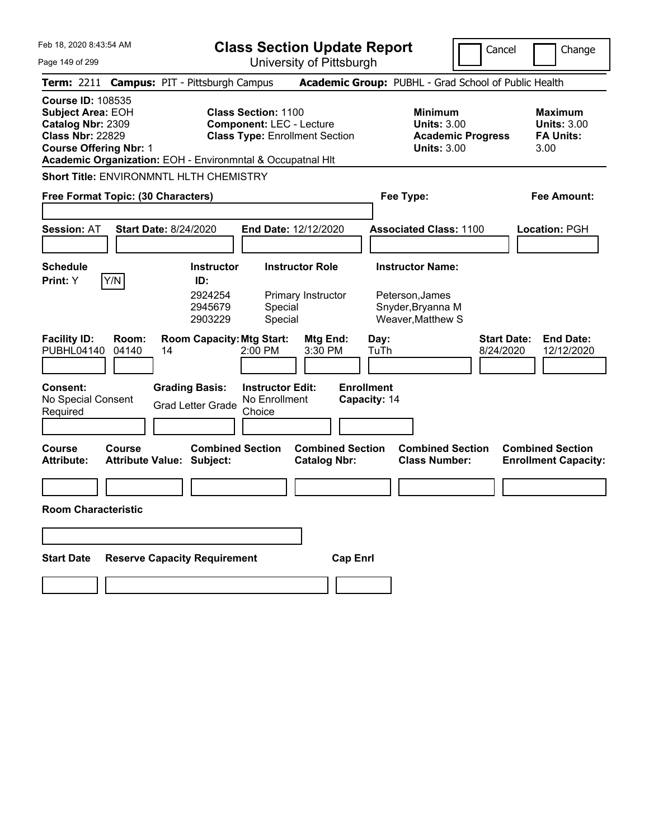|  | Feb 18, 2020 8:43:54 AM |  |
|--|-------------------------|--|
|  |                         |  |

**Class Section Update Report** University of Pittsburgh

Cancel Change

Page 149 of 299

|                                                                                                                                |                | Term: 2211 Campus: PIT - Pittsburgh Campus                  |                                                               |                                                |                                   | Academic Group: PUBHL - Grad School of Public Health                                   |                                                                   |
|--------------------------------------------------------------------------------------------------------------------------------|----------------|-------------------------------------------------------------|---------------------------------------------------------------|------------------------------------------------|-----------------------------------|----------------------------------------------------------------------------------------|-------------------------------------------------------------------|
| <b>Course ID: 108535</b><br>Subject Area: EOH<br>Catalog Nbr: 2309<br><b>Class Nbr: 22829</b><br><b>Course Offering Nbr: 1</b> |                | Academic Organization: EOH - Environmntal & Occupatnal HIt  | <b>Class Section: 1100</b><br><b>Component: LEC - Lecture</b> | <b>Class Type: Enrollment Section</b>          |                                   | <b>Minimum</b><br><b>Units: 3.00</b><br><b>Academic Progress</b><br><b>Units: 3.00</b> | <b>Maximum</b><br><b>Units: 3.00</b><br><b>FA Units:</b><br>3.00  |
|                                                                                                                                |                | Short Title: ENVIRONMNTL HLTH CHEMISTRY                     |                                                               |                                                |                                   |                                                                                        |                                                                   |
| Free Format Topic: (30 Characters)                                                                                             |                |                                                             |                                                               |                                                |                                   | Fee Type:                                                                              | Fee Amount:                                                       |
| <b>Session: AT</b>                                                                                                             |                | <b>Start Date: 8/24/2020</b>                                |                                                               | End Date: 12/12/2020                           |                                   | <b>Associated Class: 1100</b>                                                          | Location: PGH                                                     |
| <b>Schedule</b>                                                                                                                |                | <b>Instructor</b>                                           |                                                               | <b>Instructor Role</b>                         |                                   | <b>Instructor Name:</b>                                                                |                                                                   |
| Print: Y                                                                                                                       | Y/N            | ID:<br>2924254<br>2945679<br>2903229                        | Special<br>Special                                            | Primary Instructor                             |                                   | Peterson, James<br>Snyder, Bryanna M<br>Weaver, Matthew S                              |                                                                   |
| <b>Facility ID:</b><br>PUBHL04140                                                                                              | Room:<br>04140 | <b>Room Capacity: Mtg Start:</b><br>14                      | 2:00 PM                                                       | Mtg End:<br>3:30 PM                            | Day:<br>TuTh                      |                                                                                        | <b>Start Date:</b><br><b>End Date:</b><br>8/24/2020<br>12/12/2020 |
| Consent:<br>No Special Consent<br>Required                                                                                     |                | <b>Grading Basis:</b><br><b>Grad Letter Grade</b>           | <b>Instructor Edit:</b><br>No Enrollment<br>Choice            |                                                | <b>Enrollment</b><br>Capacity: 14 |                                                                                        |                                                                   |
| Course<br><b>Attribute:</b>                                                                                                    | Course         | <b>Combined Section</b><br><b>Attribute Value: Subject:</b> |                                                               | <b>Combined Section</b><br><b>Catalog Nbr:</b> |                                   | <b>Combined Section</b><br><b>Class Number:</b>                                        | <b>Combined Section</b><br><b>Enrollment Capacity:</b>            |
|                                                                                                                                |                |                                                             |                                                               |                                                |                                   |                                                                                        |                                                                   |
| <b>Room Characteristic</b>                                                                                                     |                |                                                             |                                                               |                                                |                                   |                                                                                        |                                                                   |
|                                                                                                                                |                |                                                             |                                                               |                                                |                                   |                                                                                        |                                                                   |
| <b>Start Date</b>                                                                                                              |                | <b>Reserve Capacity Requirement</b>                         |                                                               | <b>Cap Enrl</b>                                |                                   |                                                                                        |                                                                   |
|                                                                                                                                |                |                                                             |                                                               |                                                |                                   |                                                                                        |                                                                   |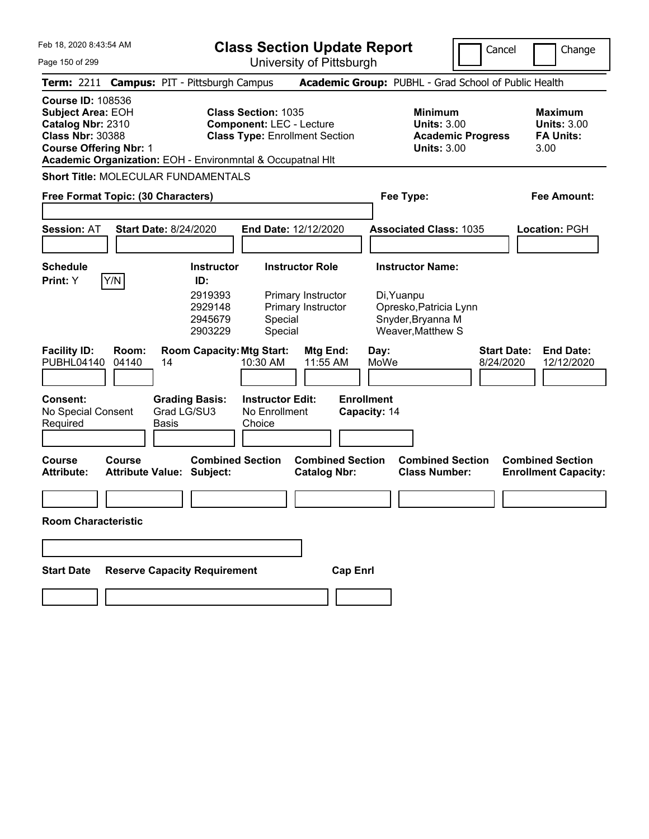|  | Feb 18, 2020 8:43:54 AM |  |
|--|-------------------------|--|
|  |                         |  |

Page 150 of 299

**Class Section Update Report**

University of Pittsburgh

Cancel Change

|                                                                                                                                       |              | Term: 2211 Campus: PIT - Pittsburgh Campus                                          |                                                                                                                                                                      | Academic Group: PUBHL - Grad School of Public Health                                   |                                                                  |
|---------------------------------------------------------------------------------------------------------------------------------------|--------------|-------------------------------------------------------------------------------------|----------------------------------------------------------------------------------------------------------------------------------------------------------------------|----------------------------------------------------------------------------------------|------------------------------------------------------------------|
| <b>Course ID: 108536</b><br><b>Subject Area: EOH</b><br>Catalog Nbr: 2310<br><b>Class Nbr: 30388</b><br><b>Course Offering Nbr: 1</b> |              |                                                                                     | <b>Class Section: 1035</b><br><b>Component: LEC - Lecture</b><br><b>Class Type: Enrollment Section</b><br>Academic Organization: EOH - Environmntal & Occupatnal Hlt | <b>Minimum</b><br><b>Units: 3.00</b><br><b>Academic Progress</b><br><b>Units: 3.00</b> | <b>Maximum</b><br><b>Units: 3.00</b><br><b>FA Units:</b><br>3.00 |
|                                                                                                                                       |              | <b>Short Title: MOLECULAR FUNDAMENTALS</b>                                          |                                                                                                                                                                      |                                                                                        |                                                                  |
| Free Format Topic: (30 Characters)                                                                                                    |              |                                                                                     |                                                                                                                                                                      | Fee Type:                                                                              | Fee Amount:                                                      |
| Session: AT                                                                                                                           |              | <b>Start Date: 8/24/2020</b>                                                        | End Date: 12/12/2020                                                                                                                                                 | <b>Associated Class: 1035</b>                                                          | <b>Location: PGH</b>                                             |
| <b>Schedule</b>                                                                                                                       |              | <b>Instructor</b>                                                                   | <b>Instructor Role</b>                                                                                                                                               | <b>Instructor Name:</b>                                                                |                                                                  |
| Print: Y<br><b>Facility ID:</b>                                                                                                       | Y/N<br>Room: | ID:<br>2919393<br>2929148<br>2945679<br>2903229<br><b>Room Capacity: Mtg Start:</b> | Primary Instructor<br>Primary Instructor<br>Special<br>Special<br>Mtg End:                                                                                           | Di, Yuanpu<br>Opresko, Patricia Lynn<br>Snyder, Bryanna M<br>Weaver, Matthew S<br>Day: | <b>Start Date:</b><br><b>End Date:</b>                           |
| PUBHL04140                                                                                                                            | 04140        | 14                                                                                  | 11:55 AM<br>10:30 AM                                                                                                                                                 | MoWe                                                                                   | 8/24/2020<br>12/12/2020                                          |
| <b>Consent:</b><br>No Special Consent<br>Required                                                                                     |              | <b>Grading Basis:</b><br>Grad LG/SU3<br>Basis                                       | <b>Instructor Edit:</b><br>No Enrollment<br>Choice                                                                                                                   | <b>Enrollment</b><br>Capacity: 14                                                      |                                                                  |
| Course<br><b>Attribute:</b>                                                                                                           | Course       | <b>Combined Section</b><br><b>Attribute Value: Subject:</b>                         | <b>Combined Section</b><br><b>Catalog Nbr:</b>                                                                                                                       | <b>Combined Section</b><br><b>Class Number:</b>                                        | <b>Combined Section</b><br><b>Enrollment Capacity:</b>           |
|                                                                                                                                       |              |                                                                                     |                                                                                                                                                                      |                                                                                        |                                                                  |
| <b>Room Characteristic</b>                                                                                                            |              |                                                                                     |                                                                                                                                                                      |                                                                                        |                                                                  |
|                                                                                                                                       |              |                                                                                     |                                                                                                                                                                      |                                                                                        |                                                                  |
| <b>Start Date</b>                                                                                                                     |              | <b>Reserve Capacity Requirement</b>                                                 | <b>Cap Enrl</b>                                                                                                                                                      |                                                                                        |                                                                  |
|                                                                                                                                       |              |                                                                                     |                                                                                                                                                                      |                                                                                        |                                                                  |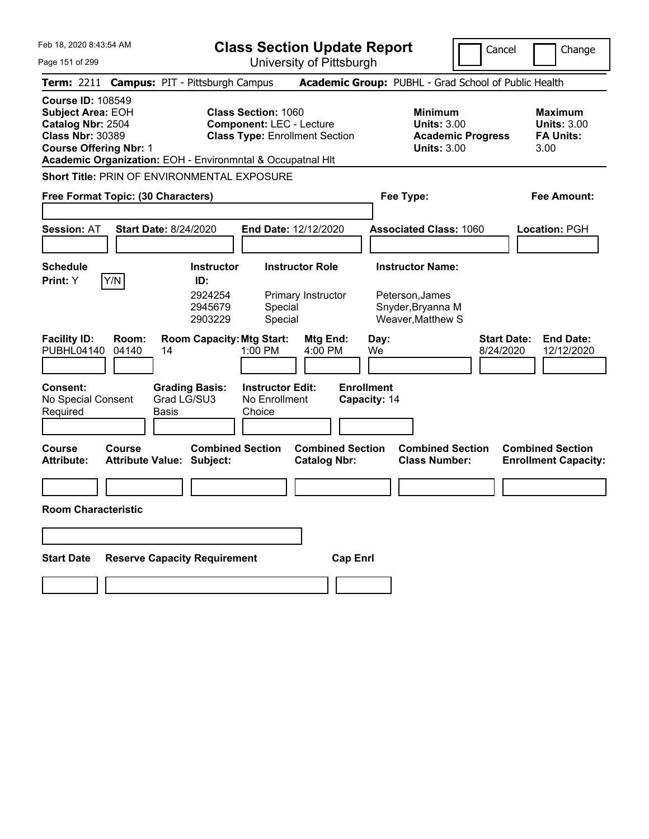Feb 18, 2020 8:43:54 AM Page 151 of 299 **Class Section Update Report** University of Pittsburgh Cancel Change **Term:** 2211 **Campus:** PIT - Pittsburgh Campus **Academic Group:** PUBHL - Grad School of Public Health **Course ID:** 108549 **Subject Area: EOH Class Section: 1060 Minimum Maximum Maximum Catalog Nbr:** 2504 **Component:** LEC - Lecture **Units:** 3.00 **Units:** 3.00 **Class Nbr:** 30389 **Class Type:** Enrollment Section **Academic Progress FA Units: Course Offering Nbr:** 1 **Units:** 3.00 3.00 **Academic Organization:** EOH - Environmntal & Occupatnal Hlt **Short Title:** PRIN OF ENVIRONMENTAL EXPOSURE **Free Format Topic: (30 Characters) Fee Type: Fee Amount: Session:** AT **Start Date:** 8/24/2020 **End Date:** 12/12/2020 **Associated Class:** 1060 **Location:** PGH **Schedule Instructor Instructor Role Instructor Name: Print:**  $Y$   $|Y/N|$  **ID:** 2924254 Primary Instructor Peterson,James 2945679 Special Snyder,Bryanna M 2903229 Special Weaver,Matthew S **Facility ID: Room: Room Capacity:Mtg Start: Mtg End: Day: Start Date: End Date:** PUBHL04140 04140 14 1:00 PM 4:00 PM We 8/24/2020 12/12/2020 **Consent: Grading Basis: Instructor Edit: Enrollment** No Special Consent Required Grad LG/SU3 Basis No Enrollment **Choice Capacity:** 14 **Course Course Combined Section Combined Section Combined Section Combined Section**  Attribute Value: Subject: Catalog Nbr: Class Number: Enrollment Capacity: **Room Characteristic Start Date Reserve Capacity Requirement Cap Enrl**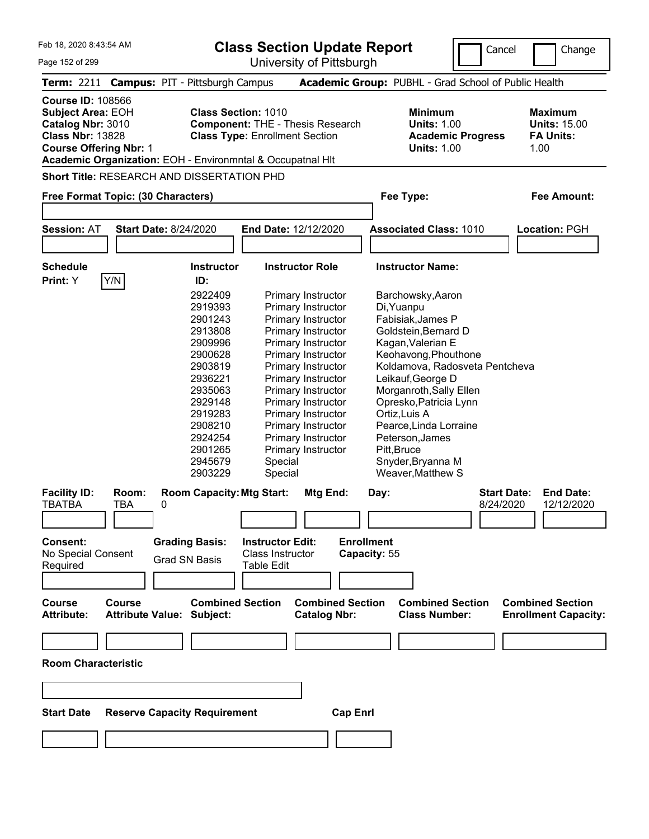**Class Section Update Report**

University of Pittsburgh

Cancel Change

|  | Page 152 of 299 |  |
|--|-----------------|--|
|  |                 |  |

**Term:** 2211 **Campus:** PIT - Pittsburgh Campus **Academic Group:** PUBHL - Grad School of Public Health **Course ID:** 108566 **Subject Area: EOH Class Section: 1010 Minimum Maximum Maximum Catalog Nbr:** 3010 **Component:** THE - Thesis Research **Units:** 1.00 **Units:** 15.00 **Class Nbr:** 13828 **Class Type:** Enrollment Section **Academic Progress FA Units: Course Offering Nbr:** 1 **Units:** 1.00 1.00 **Academic Organization:** EOH - Environmntal & Occupatnal Hlt **Short Title:** RESEARCH AND DISSERTATION PHD **Free Format Topic: (30 Characters) Fee Type: Fee Amount: Session:** AT **Start Date:** 8/24/2020 **End Date:** 12/12/2020 **Associated Class:** 1010 **Location:** PGH **Schedule Instructor Instructor Role Instructor Name: Print:**  $Y$   $|Y/N|$  **ID:** 2922409 Primary Instructor Barchowsky,Aaron 2919393 Primary Instructor Di,Yuanpu 2901243 Primary Instructor Fabisiak,James P 2913808 Primary Instructor Goldstein,Bernard D 2909996 Primary Instructor Kagan, Valerian E 2900628 Primary Instructor Keohavong,Phouthone 2903819 Primary Instructor Koldamova, Radosveta Pentcheva 2936221 Primary Instructor Leikauf,George D 2935063 Primary Instructor Morganroth,Sally Ellen 2929148 Primary Instructor Opresko,Patricia Lynn 2919283 Primary Instructor Ortiz,Luis A 2908210 Primary Instructor Pearce,Linda Lorraine 2924254 Primary Instructor Peterson,James 2901265 Primary Instructor Pitt,Bruce 2945679 Special Snyder,Bryanna M 2903229 Special Weaver,Matthew S **Facility ID: Room: Room Capacity:Mtg Start: Mtg End: Day: Start Date: End Date:** TBATBA TBA 0 8/24/2020 12/12/2020 **Consent: Grading Basis: Instructor Edit: Enrollment** No Special Consent Required Grad SN Basis Class Instructor Table Edit **Capacity:** 55 **Course Course Combined Section Combined Section Combined Section Combined Section Attribute: Attribute Value: Subject: Catalog Nbr: Class Number: Enrollment Capacity: Room Characteristic Start Date Reserve Capacity Requirement Cap Enrl**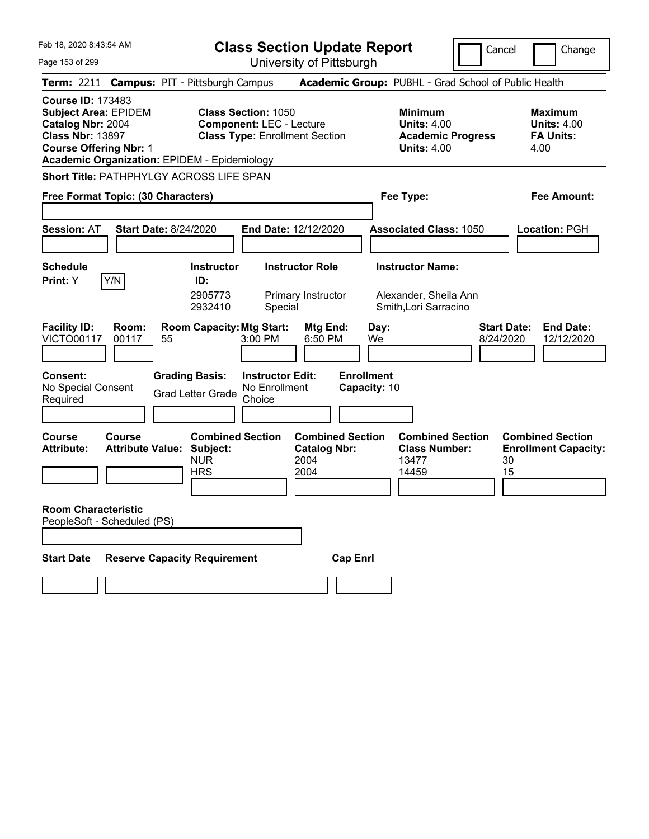|  | Feb 18, 2020 8:43:54 AM |  |
|--|-------------------------|--|
|  |                         |  |

Cancel **I** Change

Page 153 of 299

| Page 153 of 299                                                                                                                          |                |                                                                                         |                                                               | University of Pittsburgh                                       |                                   |                                                                                        |                                 |                                                                  |
|------------------------------------------------------------------------------------------------------------------------------------------|----------------|-----------------------------------------------------------------------------------------|---------------------------------------------------------------|----------------------------------------------------------------|-----------------------------------|----------------------------------------------------------------------------------------|---------------------------------|------------------------------------------------------------------|
|                                                                                                                                          |                | Term: 2211 Campus: PIT - Pittsburgh Campus                                              |                                                               |                                                                |                                   | Academic Group: PUBHL - Grad School of Public Health                                   |                                 |                                                                  |
| <b>Course ID: 173483</b><br><b>Subject Area: EPIDEM</b><br>Catalog Nbr: 2004<br><b>Class Nbr: 13897</b><br><b>Course Offering Nbr: 1</b> |                | <b>Academic Organization: EPIDEM - Epidemiology</b>                                     | <b>Class Section: 1050</b><br><b>Component: LEC - Lecture</b> | <b>Class Type: Enrollment Section</b>                          |                                   | <b>Minimum</b><br><b>Units: 4.00</b><br><b>Academic Progress</b><br><b>Units: 4.00</b> |                                 | <b>Maximum</b><br><b>Units: 4.00</b><br><b>FA Units:</b><br>4.00 |
| Free Format Topic: (30 Characters)                                                                                                       |                | Short Title: PATHPHYLGY ACROSS LIFE SPAN                                                |                                                               |                                                                |                                   | Fee Type:                                                                              |                                 | Fee Amount:                                                      |
| <b>Session: AT</b>                                                                                                                       |                | <b>Start Date: 8/24/2020</b>                                                            |                                                               | End Date: 12/12/2020                                           |                                   | <b>Associated Class: 1050</b>                                                          |                                 | Location: PGH                                                    |
| <b>Schedule</b><br>Print: Y                                                                                                              | Y/N            | <b>Instructor</b><br>ID:<br>2905773<br>2932410                                          | Special                                                       | <b>Instructor Role</b><br>Primary Instructor                   |                                   | <b>Instructor Name:</b><br>Alexander, Sheila Ann<br>Smith, Lori Sarracino              |                                 |                                                                  |
| <b>Facility ID:</b><br><b>VICTO00117</b>                                                                                                 | Room:<br>00117 | <b>Room Capacity: Mtg Start:</b><br>55                                                  | 3:00 PM                                                       | Mtg End:<br>6:50 PM                                            | Day:<br>We                        |                                                                                        | <b>Start Date:</b><br>8/24/2020 | <b>End Date:</b><br>12/12/2020                                   |
| <b>Consent:</b><br>No Special Consent<br>Required                                                                                        |                | <b>Grading Basis:</b><br>Grad Letter Grade                                              | <b>Instructor Edit:</b><br>No Enrollment<br>Choice            |                                                                | <b>Enrollment</b><br>Capacity: 10 |                                                                                        |                                 |                                                                  |
| Course<br><b>Attribute:</b>                                                                                                              | Course         | <b>Combined Section</b><br><b>Attribute Value: Subject:</b><br><b>NUR</b><br><b>HRS</b> |                                                               | <b>Combined Section</b><br><b>Catalog Nbr:</b><br>2004<br>2004 |                                   | <b>Combined Section</b><br><b>Class Number:</b><br>13477<br>14459                      | 30<br>15                        | <b>Combined Section</b><br><b>Enrollment Capacity:</b>           |
| <b>Room Characteristic</b><br>PeopleSoft - Scheduled (PS)                                                                                |                |                                                                                         |                                                               |                                                                |                                   |                                                                                        |                                 |                                                                  |
| <b>Start Date</b>                                                                                                                        |                | <b>Reserve Capacity Requirement</b>                                                     |                                                               |                                                                | <b>Cap Enri</b>                   |                                                                                        |                                 |                                                                  |
|                                                                                                                                          |                |                                                                                         |                                                               |                                                                |                                   |                                                                                        |                                 |                                                                  |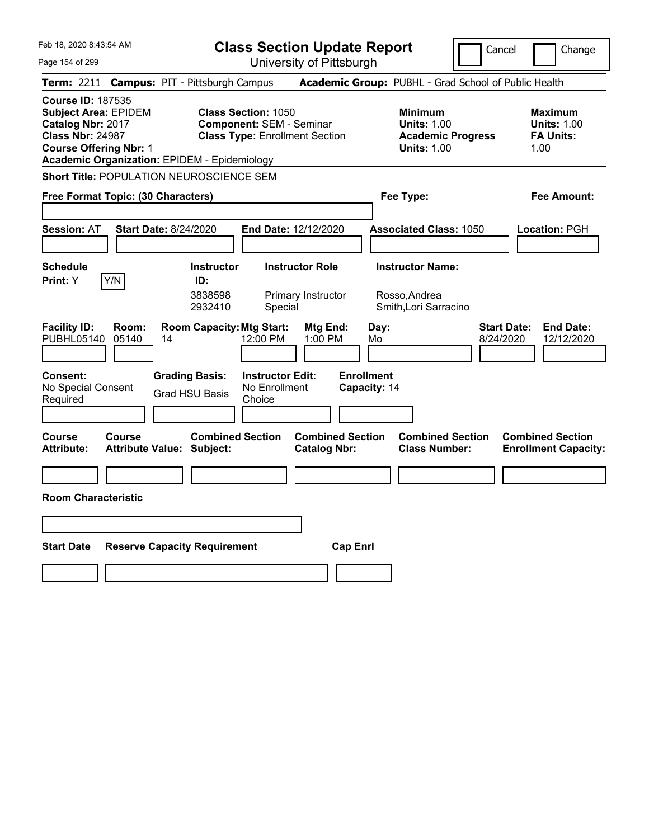|  | Feb 18, 2020 8:43:54 AM |  |
|--|-------------------------|--|
|  |                         |  |

Cancel Change

| Page 154 of 299                                                                                                                                                                                 |                                                             | University of Pittsburgh                                                                               |                                                                                        |                                                                  |
|-------------------------------------------------------------------------------------------------------------------------------------------------------------------------------------------------|-------------------------------------------------------------|--------------------------------------------------------------------------------------------------------|----------------------------------------------------------------------------------------|------------------------------------------------------------------|
| Term: 2211 Campus: PIT - Pittsburgh Campus                                                                                                                                                      |                                                             |                                                                                                        | Academic Group: PUBHL - Grad School of Public Health                                   |                                                                  |
| <b>Course ID: 187535</b><br><b>Subject Area: EPIDEM</b><br>Catalog Nbr: 2017<br><b>Class Nbr: 24987</b><br><b>Course Offering Nbr: 1</b><br><b>Academic Organization: EPIDEM - Epidemiology</b> |                                                             | <b>Class Section: 1050</b><br><b>Component: SEM - Seminar</b><br><b>Class Type: Enrollment Section</b> | <b>Minimum</b><br><b>Units: 1.00</b><br><b>Academic Progress</b><br><b>Units: 1.00</b> | <b>Maximum</b><br><b>Units: 1.00</b><br><b>FA Units:</b><br>1.00 |
| Short Title: POPULATION NEUROSCIENCE SEM                                                                                                                                                        |                                                             |                                                                                                        |                                                                                        |                                                                  |
| Free Format Topic: (30 Characters)                                                                                                                                                              |                                                             |                                                                                                        | Fee Type:                                                                              | Fee Amount:                                                      |
| <b>Session: AT</b>                                                                                                                                                                              | <b>Start Date: 8/24/2020</b>                                | End Date: 12/12/2020                                                                                   | <b>Associated Class: 1050</b>                                                          | Location: PGH                                                    |
| <b>Schedule</b><br>Y/N<br>Print: Y                                                                                                                                                              | <b>Instructor</b><br>ID:<br>3838598<br>2932410              | <b>Instructor Role</b><br>Primary Instructor<br>Special                                                | <b>Instructor Name:</b><br>Rosso, Andrea<br>Smith, Lori Sarracino                      |                                                                  |
| <b>Facility ID:</b><br>Room:<br><b>PUBHL05140</b><br>05140                                                                                                                                      | <b>Room Capacity: Mtg Start:</b><br>14                      | Mtg End:<br>12:00 PM<br>1:00 PM                                                                        | Day:<br>8/24/2020<br>Mo                                                                | <b>End Date:</b><br><b>Start Date:</b><br>12/12/2020             |
| Consent:<br>No Special Consent<br>Required                                                                                                                                                      | <b>Grading Basis:</b><br><b>Grad HSU Basis</b>              | <b>Instructor Edit:</b><br>No Enrollment<br>Choice                                                     | <b>Enrollment</b><br>Capacity: 14                                                      |                                                                  |
| Course<br>Course<br>Attribute:                                                                                                                                                                  | <b>Combined Section</b><br><b>Attribute Value: Subject:</b> | <b>Combined Section</b><br><b>Catalog Nbr:</b>                                                         | <b>Combined Section</b><br><b>Class Number:</b>                                        | <b>Combined Section</b><br><b>Enrollment Capacity:</b>           |
|                                                                                                                                                                                                 |                                                             |                                                                                                        |                                                                                        |                                                                  |
| <b>Room Characteristic</b>                                                                                                                                                                      |                                                             |                                                                                                        |                                                                                        |                                                                  |
|                                                                                                                                                                                                 |                                                             |                                                                                                        |                                                                                        |                                                                  |
| <b>Start Date</b>                                                                                                                                                                               | <b>Reserve Capacity Requirement</b>                         | <b>Cap Enrl</b>                                                                                        |                                                                                        |                                                                  |
|                                                                                                                                                                                                 |                                                             |                                                                                                        |                                                                                        |                                                                  |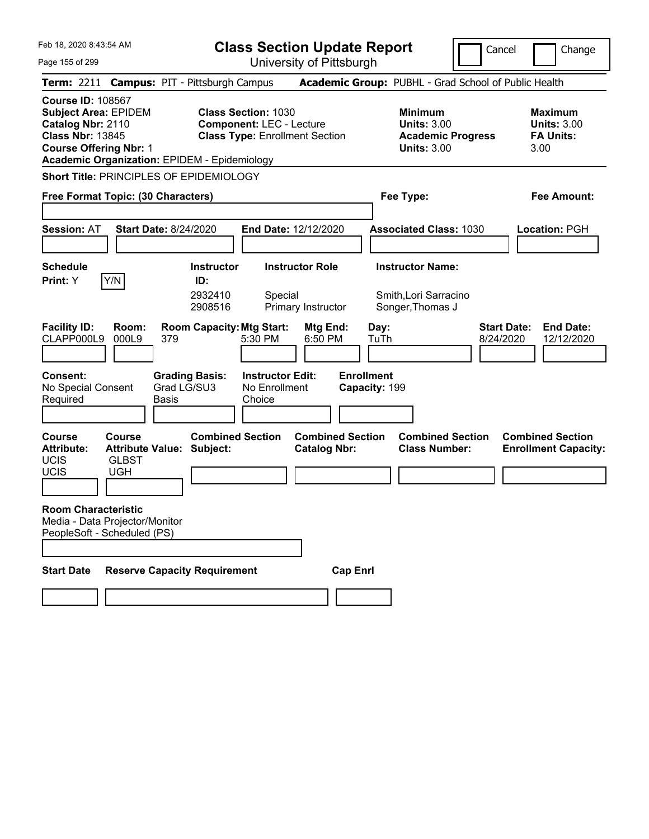|  | Feb 18, 2020 8:43:54 AM |  |
|--|-------------------------|--|
|  |                         |  |

Cancel **Change** 

Page 155 of 299

| Page 155 of 299                                                                                                                                                                                 |                                  |                                                |                                                               | University of Pittsburgh                       |                                    |                                                                                        |                                 |                                                                  |
|-------------------------------------------------------------------------------------------------------------------------------------------------------------------------------------------------|----------------------------------|------------------------------------------------|---------------------------------------------------------------|------------------------------------------------|------------------------------------|----------------------------------------------------------------------------------------|---------------------------------|------------------------------------------------------------------|
| Term: 2211 Campus: PIT - Pittsburgh Campus                                                                                                                                                      |                                  |                                                |                                                               |                                                |                                    | Academic Group: PUBHL - Grad School of Public Health                                   |                                 |                                                                  |
| <b>Course ID: 108567</b><br><b>Subject Area: EPIDEM</b><br>Catalog Nbr: 2110<br><b>Class Nbr: 13845</b><br><b>Course Offering Nbr: 1</b><br><b>Academic Organization: EPIDEM - Epidemiology</b> |                                  |                                                | <b>Class Section: 1030</b><br><b>Component: LEC - Lecture</b> | <b>Class Type: Enrollment Section</b>          |                                    | <b>Minimum</b><br><b>Units: 3.00</b><br><b>Academic Progress</b><br><b>Units: 3.00</b> |                                 | <b>Maximum</b><br><b>Units: 3.00</b><br><b>FA Units:</b><br>3.00 |
| Short Title: PRINCIPLES OF EPIDEMIOLOGY                                                                                                                                                         |                                  |                                                |                                                               |                                                |                                    |                                                                                        |                                 |                                                                  |
| Free Format Topic: (30 Characters)                                                                                                                                                              |                                  |                                                |                                                               |                                                |                                    | Fee Type:                                                                              |                                 | Fee Amount:                                                      |
| <b>Session: AT</b>                                                                                                                                                                              | <b>Start Date: 8/24/2020</b>     |                                                | End Date: 12/12/2020                                          |                                                |                                    | <b>Associated Class: 1030</b>                                                          |                                 | Location: PGH                                                    |
| <b>Schedule</b><br>Y/N<br>Print: Y                                                                                                                                                              |                                  | <b>Instructor</b><br>ID:<br>2932410<br>2908516 | Special                                                       | <b>Instructor Role</b><br>Primary Instructor   |                                    | <b>Instructor Name:</b><br>Smith, Lori Sarracino<br>Songer, Thomas J                   |                                 |                                                                  |
| <b>Facility ID:</b><br>Room:<br>CLAPP000L9<br>000L9                                                                                                                                             | 379                              | <b>Room Capacity: Mtg Start:</b>               | 5:30 PM                                                       | Mtg End:<br>6:50 PM                            | Day:<br>TuTh                       |                                                                                        | <b>Start Date:</b><br>8/24/2020 | <b>End Date:</b><br>12/12/2020                                   |
| Consent:<br>No Special Consent<br>Required                                                                                                                                                      | <b>Basis</b>                     | <b>Grading Basis:</b><br>Grad LG/SU3           | <b>Instructor Edit:</b><br>No Enrollment<br>Choice            |                                                | <b>Enrollment</b><br>Capacity: 199 |                                                                                        |                                 |                                                                  |
| <b>Course</b><br><b>Course</b><br><b>Attribute:</b><br><b>UCIS</b><br><b>GLBST</b><br><b>UCIS</b><br><b>UGH</b>                                                                                 | <b>Attribute Value: Subject:</b> | <b>Combined Section</b>                        |                                                               | <b>Combined Section</b><br><b>Catalog Nbr:</b> |                                    | <b>Combined Section</b><br><b>Class Number:</b>                                        |                                 | <b>Combined Section</b><br><b>Enrollment Capacity:</b>           |
| <b>Room Characteristic</b><br>Media - Data Projector/Monitor<br>PeopleSoft - Scheduled (PS)                                                                                                     |                                  |                                                |                                                               |                                                |                                    |                                                                                        |                                 |                                                                  |
| <b>Start Date</b>                                                                                                                                                                               |                                  | <b>Reserve Capacity Requirement</b>            |                                                               | <b>Cap Enrl</b>                                |                                    |                                                                                        |                                 |                                                                  |
|                                                                                                                                                                                                 |                                  |                                                |                                                               |                                                |                                    |                                                                                        |                                 |                                                                  |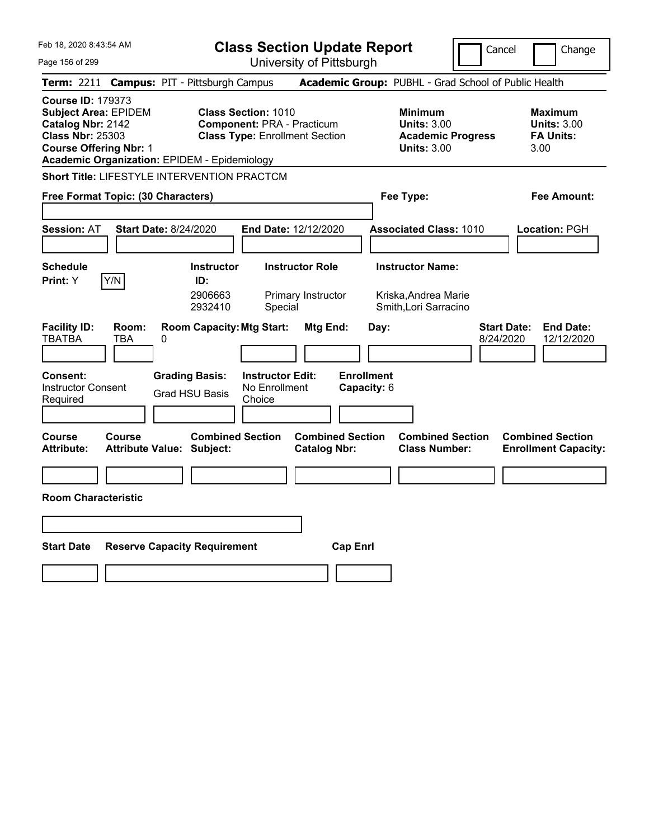Feb 18, 2020 8:43:54 AM Page 156 of 299 **Class Section Update Report** University of Pittsburgh Cancel Change **Term:** 2211 **Campus:** PIT - Pittsburgh Campus **Academic Group:** PUBHL - Grad School of Public Health **Course ID:** 179373 **Subject Area:** EPIDEM **Class Section:** 1010 **Minimum Maximum Catalog Nbr:** 2142 **Component:** PRA - Practicum **Units:** 3.00 **Units:** 3.00 **Class Nbr:** 25303 **Class Type:** Enrollment Section **Academic Progress FA Units: Course Offering Nbr:** 1 **Units:** 3.00 3.00 **Academic Organization:** EPIDEM - Epidemiology **Short Title:** LIFESTYLE INTERVENTION PRACTCM **Free Format Topic: (30 Characters) Fee Type: Fee Amount: Session:** AT **Start Date:** 8/24/2020 **End Date:** 12/12/2020 **Associated Class:** 1010 **Location:** PGH **Schedule Instructor Instructor Role Instructor Name: Print:**  $Y$   $|Y/N|$  **ID:** 2906663 Primary Instructor Kriska, Andrea Marie 2932410 Special Smith,Lori Sarracino **Facility ID: Room: Room Capacity:Mtg Start: Mtg End: Day: Start Date: End Date:** TBATBA TBA 0 8/24/2020 12/12/2020 **Consent: Grading Basis: Instructor Edit: Enrollment** Instructor Consent Instructor Consent Grad HSU Basis No Enrollment<br>Required Choice **Choice Capacity:** 6 **Course Course Combined Section Combined Section Combined Section Combined Section**  Attribute: Attribute Value: Subject: Catalog Nbr: Class Number: Enrollment Capacity: **Room Characteristic Start Date Reserve Capacity Requirement Cap Enrl**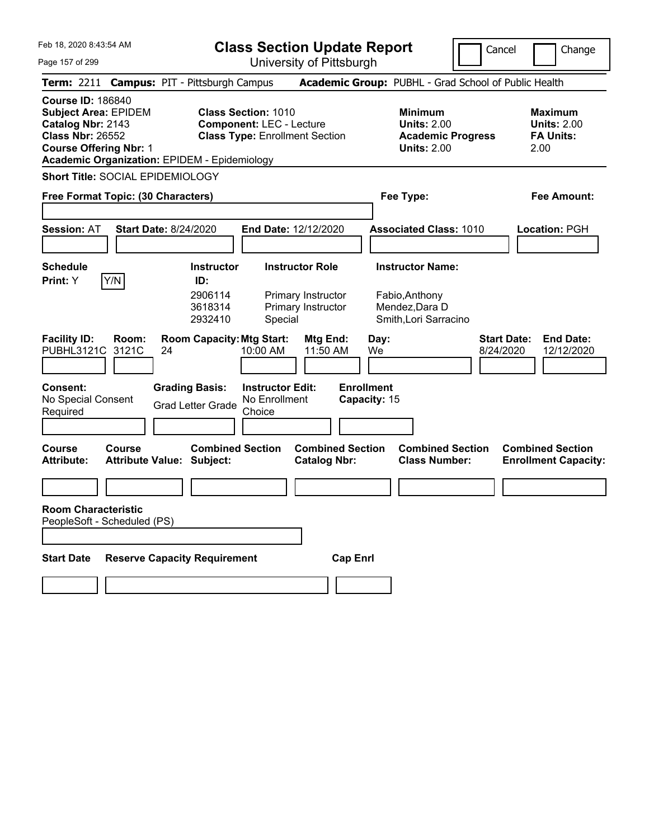|  | Feb 18, 2020 8:43:54 AM |  |
|--|-------------------------|--|
|  |                         |  |

Cancel **Change** 

 $\overline{\phantom{a}}$ 

Page 157 of 299

| Page 157 of 299                                                                                                                          |                       |                                                                                |                                                               | University of Pittsburgh                                         |                                   |                                                                                        |                                 |                                                           |
|------------------------------------------------------------------------------------------------------------------------------------------|-----------------------|--------------------------------------------------------------------------------|---------------------------------------------------------------|------------------------------------------------------------------|-----------------------------------|----------------------------------------------------------------------------------------|---------------------------------|-----------------------------------------------------------|
|                                                                                                                                          |                       | Term: 2211 Campus: PIT - Pittsburgh Campus                                     |                                                               |                                                                  |                                   | Academic Group: PUBHL - Grad School of Public Health                                   |                                 |                                                           |
| <b>Course ID: 186840</b><br><b>Subject Area: EPIDEM</b><br>Catalog Nbr: 2143<br><b>Class Nbr: 26552</b><br><b>Course Offering Nbr: 1</b> |                       | <b>Academic Organization: EPIDEM - Epidemiology</b>                            | <b>Class Section: 1010</b><br><b>Component: LEC - Lecture</b> | <b>Class Type: Enrollment Section</b>                            |                                   | <b>Minimum</b><br><b>Units: 2.00</b><br><b>Academic Progress</b><br><b>Units: 2.00</b> |                                 | Maximum<br><b>Units: 2.00</b><br><b>FA Units:</b><br>2.00 |
|                                                                                                                                          |                       | Short Title: SOCIAL EPIDEMIOLOGY                                               |                                                               |                                                                  |                                   |                                                                                        |                                 |                                                           |
| Free Format Topic: (30 Characters)                                                                                                       |                       |                                                                                |                                                               |                                                                  | Fee Type:                         |                                                                                        |                                 | Fee Amount:                                               |
| <b>Session: AT</b>                                                                                                                       |                       | <b>Start Date: 8/24/2020</b>                                                   |                                                               | End Date: 12/12/2020                                             |                                   | <b>Associated Class: 1010</b>                                                          |                                 | Location: PGH                                             |
| <b>Schedule</b>                                                                                                                          |                       | <b>Instructor</b>                                                              |                                                               | <b>Instructor Role</b>                                           |                                   | <b>Instructor Name:</b>                                                                |                                 |                                                           |
| Print: Y<br><b>Facility ID:</b><br>PUBHL3121C                                                                                            | Y/N<br>Room:<br>3121C | ID:<br>2906114<br>3618314<br>2932410<br><b>Room Capacity: Mtg Start:</b><br>24 | Special<br>10:00 AM                                           | Primary Instructor<br>Primary Instructor<br>Mtg End:<br>11:50 AM | Day:<br>We                        | Fabio, Anthony<br>Mendez, Dara D<br>Smith, Lori Sarracino                              | <b>Start Date:</b><br>8/24/2020 | <b>End Date:</b><br>12/12/2020                            |
|                                                                                                                                          |                       |                                                                                |                                                               |                                                                  |                                   |                                                                                        |                                 |                                                           |
| <b>Consent:</b><br>No Special Consent<br>Required                                                                                        |                       | <b>Grading Basis:</b><br><b>Grad Letter Grade</b>                              | <b>Instructor Edit:</b><br>No Enrollment<br>Choice            |                                                                  | <b>Enrollment</b><br>Capacity: 15 |                                                                                        |                                 |                                                           |
| Course<br><b>Attribute:</b>                                                                                                              | Course                | <b>Combined Section</b><br><b>Attribute Value: Subject:</b>                    |                                                               | <b>Combined Section</b><br><b>Catalog Nbr:</b>                   |                                   | <b>Combined Section</b><br><b>Class Number:</b>                                        |                                 | <b>Combined Section</b><br><b>Enrollment Capacity:</b>    |
|                                                                                                                                          |                       |                                                                                |                                                               |                                                                  |                                   |                                                                                        |                                 |                                                           |
| <b>Room Characteristic</b><br>PeopleSoft - Scheduled (PS)                                                                                |                       |                                                                                |                                                               |                                                                  |                                   |                                                                                        |                                 |                                                           |
| <b>Start Date</b>                                                                                                                        |                       | <b>Reserve Capacity Requirement</b>                                            |                                                               | <b>Cap Enrl</b>                                                  |                                   |                                                                                        |                                 |                                                           |
|                                                                                                                                          |                       |                                                                                |                                                               |                                                                  |                                   |                                                                                        |                                 |                                                           |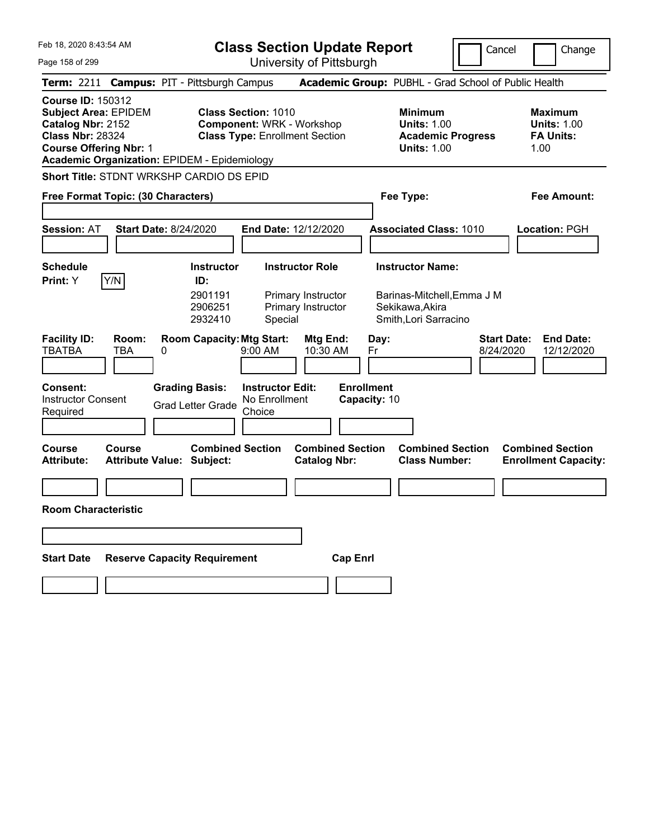**Class Section Update Report**

University of Pittsburgh

Cancel **Change** 

Page 158 of 299

|                                                                                                                                                                                                 |                                                           | University Of Fittoburght                                                                               |                                                                                                   |                                                                   |
|-------------------------------------------------------------------------------------------------------------------------------------------------------------------------------------------------|-----------------------------------------------------------|---------------------------------------------------------------------------------------------------------|---------------------------------------------------------------------------------------------------|-------------------------------------------------------------------|
| Term: 2211 Campus: PIT - Pittsburgh Campus                                                                                                                                                      |                                                           |                                                                                                         | Academic Group: PUBHL - Grad School of Public Health                                              |                                                                   |
| <b>Course ID: 150312</b><br><b>Subject Area: EPIDEM</b><br>Catalog Nbr: 2152<br><b>Class Nbr: 28324</b><br><b>Course Offering Nbr: 1</b><br><b>Academic Organization: EPIDEM - Epidemiology</b> |                                                           | <b>Class Section: 1010</b><br><b>Component: WRK - Workshop</b><br><b>Class Type: Enrollment Section</b> | <b>Minimum</b><br><b>Units: 1.00</b><br><b>Academic Progress</b><br><b>Units: 1.00</b>            | <b>Maximum</b><br><b>Units: 1.00</b><br><b>FA Units:</b><br>1.00  |
| Short Title: STDNT WRKSHP CARDIO DS EPID                                                                                                                                                        |                                                           |                                                                                                         |                                                                                                   |                                                                   |
| Free Format Topic: (30 Characters)                                                                                                                                                              |                                                           |                                                                                                         | Fee Type:                                                                                         | Fee Amount:                                                       |
| <b>Session: AT</b>                                                                                                                                                                              | <b>Start Date: 8/24/2020</b>                              | End Date: 12/12/2020                                                                                    | <b>Associated Class: 1010</b>                                                                     | Location: PGH                                                     |
| <b>Schedule</b><br>Y/N<br>Print: Y                                                                                                                                                              | <b>Instructor</b><br>ID:<br>2901191<br>2906251<br>2932410 | <b>Instructor Role</b><br>Primary Instructor<br>Primary Instructor<br>Special                           | <b>Instructor Name:</b><br>Barinas-Mitchell, Emma J M<br>Sekikawa, Akira<br>Smith, Lori Sarracino |                                                                   |
| <b>Facility ID:</b><br>Room:<br><b>TBATBA</b><br>TBA                                                                                                                                            | <b>Room Capacity: Mtg Start:</b><br>0                     | Mtg End:<br>9:00 AM<br>10:30 AM                                                                         | Day:<br>Fr                                                                                        | <b>Start Date:</b><br><b>End Date:</b><br>12/12/2020<br>8/24/2020 |
| Consent:<br><b>Instructor Consent</b><br>Required                                                                                                                                               | <b>Grading Basis:</b><br><b>Grad Letter Grade</b>         | <b>Instructor Edit:</b><br>No Enrollment<br>Choice                                                      | <b>Enrollment</b><br>Capacity: 10                                                                 |                                                                   |
| <b>Course</b><br>Course<br><b>Attribute:</b>                                                                                                                                                    | <b>Attribute Value: Subject:</b>                          | <b>Combined Section</b><br><b>Combined Section</b><br><b>Catalog Nbr:</b>                               | <b>Combined Section</b><br><b>Class Number:</b>                                                   | <b>Combined Section</b><br><b>Enrollment Capacity:</b>            |
|                                                                                                                                                                                                 |                                                           |                                                                                                         |                                                                                                   |                                                                   |
| <b>Room Characteristic</b>                                                                                                                                                                      |                                                           |                                                                                                         |                                                                                                   |                                                                   |
|                                                                                                                                                                                                 |                                                           |                                                                                                         |                                                                                                   |                                                                   |
| <b>Start Date</b>                                                                                                                                                                               | <b>Reserve Capacity Requirement</b>                       |                                                                                                         | <b>Cap Enrl</b>                                                                                   |                                                                   |
|                                                                                                                                                                                                 |                                                           |                                                                                                         |                                                                                                   |                                                                   |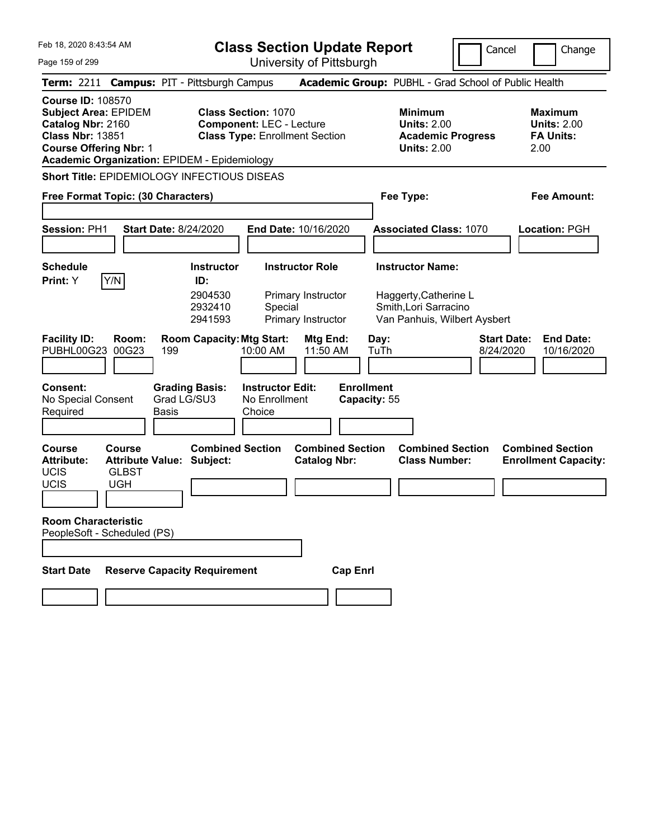**Class Section Update Report**

Cancel Change

Page 159 of 299 University of Pittsburgh **Term:** 2211 **Campus:** PIT - Pittsburgh Campus **Academic Group:** PUBHL - Grad School of Public Health **Course ID:** 108570 **Subject Area:** EPIDEM **Class Section:** 1070 **Minimum Maximum Catalog Nbr:** 2160 **Component:** LEC - Lecture **Units:** 2.00 **Units:** 2.00 **Class Nbr:** 13851 **Class Type:** Enrollment Section **Academic Progress FA Units: Course Offering Nbr:** 1 **Units:** 2.00 2.00 **Academic Organization:** EPIDEM - Epidemiology **Short Title:** EPIDEMIOLOGY INFECTIOUS DISEAS **Free Format Topic: (30 Characters) Fee Type: Fee Amount: Session:** PH1 **Start Date:** 8/24/2020 **End Date:** 10/16/2020 **Associated Class:** 1070 **Location:** PGH **Schedule Instructor Instructor Role Instructor Name: Print:**  $Y$   $|Y/N|$  **ID:** 2904530 Primary Instructor Haggerty,Catherine L 2932410 Special Smith,Lori Sarracino 2941593 Primary Instructor Van Panhuis, Wilbert Aysbert **Facility ID: Room: Room Capacity:Mtg Start: Mtg End: Day: Start Date: End Date:** PUBHL00G23 00G23 199 10:00 AM 11:50 AM TuTh 8/24/2020 10/16/2020 **Consent: Grading Basis: Instructor Edit: Enrollment** No Special Consent Required Grad LG/SU3 Basis No Enrollment **Choice Capacity:** 55 **Course Course Combined Section Combined Section Combined Section Combined Section**  Attribute: Attribute Value: Subject: Catalog Nbr: Class Number: Enrollment Capacity: UCIS GLBST UCIS UGH **Room Characteristic** PeopleSoft - Scheduled (PS) **Start Date Reserve Capacity Requirement Cap Enrl**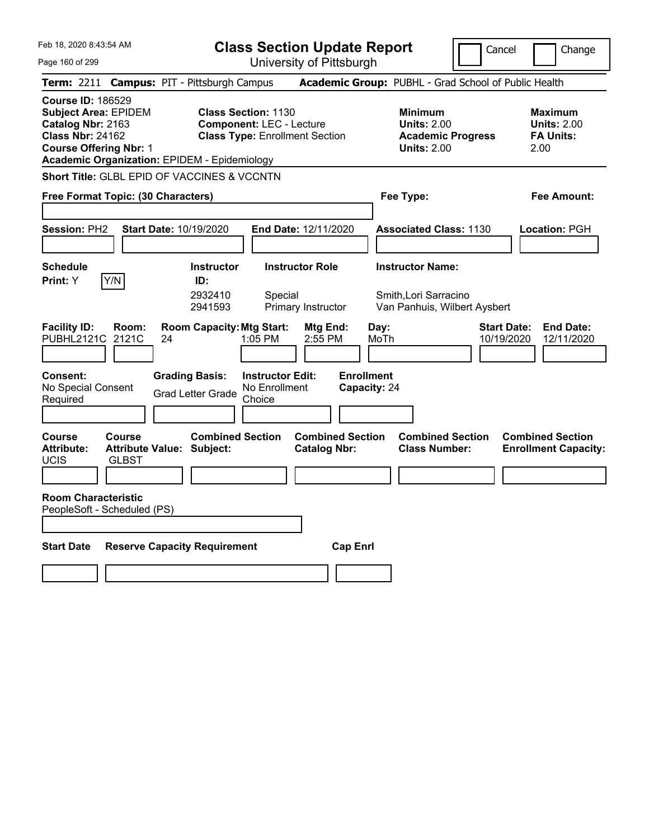| Feb 18, 2020 8:43:54 AM |  |  |  |  |  |
|-------------------------|--|--|--|--|--|
|-------------------------|--|--|--|--|--|

Cancel **Change** 

 $\vert \vert$ 

| Page 160 of 299                                                                                                                          | University of Pittsburgh                                                                                                                                      |                                                                                        |                                                                    |
|------------------------------------------------------------------------------------------------------------------------------------------|---------------------------------------------------------------------------------------------------------------------------------------------------------------|----------------------------------------------------------------------------------------|--------------------------------------------------------------------|
| <b>Term: 2211</b>                                                                                                                        | <b>Campus: PIT - Pittsburgh Campus</b>                                                                                                                        | Academic Group: PUBHL - Grad School of Public Health                                   |                                                                    |
| <b>Course ID: 186529</b><br><b>Subject Area: EPIDEM</b><br>Catalog Nbr: 2163<br><b>Class Nbr: 24162</b><br><b>Course Offering Nbr: 1</b> | <b>Class Section: 1130</b><br><b>Component: LEC - Lecture</b><br><b>Class Type: Enrollment Section</b><br><b>Academic Organization: EPIDEM - Epidemiology</b> | <b>Minimum</b><br><b>Units: 2.00</b><br><b>Academic Progress</b><br><b>Units: 2.00</b> | <b>Maximum</b><br><b>Units: 2.00</b><br><b>FA Units:</b><br>2.00   |
|                                                                                                                                          | Short Title: GLBL EPID OF VACCINES & VCCNTN                                                                                                                   |                                                                                        |                                                                    |
| Free Format Topic: (30 Characters)                                                                                                       |                                                                                                                                                               | Fee Type:                                                                              | Fee Amount:                                                        |
| Session: PH2                                                                                                                             | Start Date: 10/19/2020<br>End Date: 12/11/2020                                                                                                                | <b>Associated Class: 1130</b>                                                          | Location: PGH                                                      |
| Schedule<br>Print: Y<br>Y/N                                                                                                              | <b>Instructor Role</b><br><b>Instructor</b><br>ID:<br>2932410<br>Special<br>2941593<br>Primary Instructor                                                     | <b>Instructor Name:</b><br>Smith, Lori Sarracino<br>Van Panhuis, Wilbert Aysbert       |                                                                    |
| <b>Facility ID:</b><br>Room:<br>PUBHL2121C 2121C<br>Consent:                                                                             | <b>Room Capacity: Mtg Start:</b><br>Mtg End:<br>24<br>1:05 PM<br>2:55 PM<br><b>Grading Basis:</b><br><b>Instructor Edit:</b>                                  | Day:<br>MoTh<br><b>Enrollment</b>                                                      | <b>Start Date:</b><br><b>End Date:</b><br>10/19/2020<br>12/11/2020 |
| No Special Consent<br>Required                                                                                                           | No Enrollment<br><b>Grad Letter Grade</b><br>Choice                                                                                                           | Capacity: 24                                                                           |                                                                    |
| Course<br>Course<br>Attribute:<br><b>UCIS</b><br><b>GLBST</b>                                                                            | <b>Combined Section</b><br><b>Combined Section</b><br>Attribute Value: Subject:<br><b>Catalog Nbr:</b>                                                        | <b>Combined Section</b><br><b>Class Number:</b>                                        | <b>Combined Section</b><br><b>Enrollment Capacity:</b>             |
| <b>Room Characteristic</b><br>PeopleSoft - Scheduled (PS)                                                                                |                                                                                                                                                               |                                                                                        |                                                                    |
| <b>Start Date</b>                                                                                                                        | <b>Reserve Capacity Requirement</b><br><b>Cap Enrl</b>                                                                                                        |                                                                                        |                                                                    |
|                                                                                                                                          |                                                                                                                                                               |                                                                                        |                                                                    |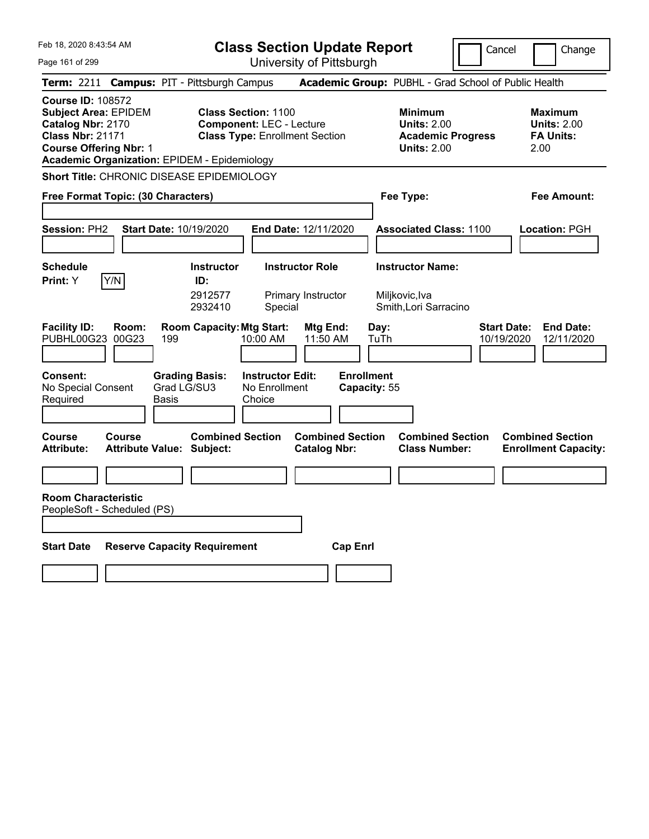|  | Feb 18, 2020 8:43:54 AM |  |
|--|-------------------------|--|
|  |                         |  |

Cancel **Change** 

Page 161 of 299

| Page 161 of 299                                                          |                                                              |                                                             |                                                               | University of Pittsburgh                       |                                   |                                                                                        |                                                                    |
|--------------------------------------------------------------------------|--------------------------------------------------------------|-------------------------------------------------------------|---------------------------------------------------------------|------------------------------------------------|-----------------------------------|----------------------------------------------------------------------------------------|--------------------------------------------------------------------|
|                                                                          |                                                              | Term: 2211 Campus: PIT - Pittsburgh Campus                  |                                                               |                                                |                                   | Academic Group: PUBHL - Grad School of Public Health                                   |                                                                    |
| <b>Course ID: 108572</b><br>Catalog Nbr: 2170<br><b>Class Nbr: 21171</b> | <b>Subject Area: EPIDEM</b><br><b>Course Offering Nbr: 1</b> | <b>Academic Organization: EPIDEM - Epidemiology</b>         | <b>Class Section: 1100</b><br><b>Component: LEC - Lecture</b> | <b>Class Type: Enrollment Section</b>          |                                   | <b>Minimum</b><br><b>Units: 2.00</b><br><b>Academic Progress</b><br><b>Units: 2.00</b> | Maximum<br><b>Units: 2.00</b><br><b>FA Units:</b><br>2.00          |
|                                                                          |                                                              | Short Title: CHRONIC DISEASE EPIDEMIOLOGY                   |                                                               |                                                |                                   |                                                                                        |                                                                    |
|                                                                          | Free Format Topic: (30 Characters)                           |                                                             |                                                               |                                                | Fee Type:                         |                                                                                        | Fee Amount:                                                        |
| Session: PH2                                                             |                                                              | Start Date: 10/19/2020                                      |                                                               | End Date: 12/11/2020                           |                                   | <b>Associated Class: 1100</b>                                                          | Location: PGH                                                      |
| <b>Schedule</b><br>Print: Y                                              | Y/N                                                          | <b>Instructor</b><br>ID:<br>2912577<br>2932410              | Special                                                       | <b>Instructor Role</b><br>Primary Instructor   | Miljkovic, Iva                    | <b>Instructor Name:</b><br>Smith, Lori Sarracino                                       |                                                                    |
| <b>Facility ID:</b><br>PUBHL00G23                                        | Room:<br>00G23                                               | <b>Room Capacity: Mtg Start:</b><br>199                     | 10:00 AM                                                      | <b>Mtg End:</b><br>11:50 AM                    | Day:<br>TuTh                      |                                                                                        | <b>Start Date:</b><br><b>End Date:</b><br>10/19/2020<br>12/11/2020 |
| <b>Consent:</b><br>No Special Consent<br>Required                        |                                                              | <b>Grading Basis:</b><br>Grad LG/SU3<br>Basis               | <b>Instructor Edit:</b><br>No Enrollment<br>Choice            |                                                | <b>Enrollment</b><br>Capacity: 55 |                                                                                        |                                                                    |
| <b>Course</b><br><b>Attribute:</b>                                       | Course                                                       | <b>Combined Section</b><br><b>Attribute Value: Subject:</b> |                                                               | <b>Combined Section</b><br><b>Catalog Nbr:</b> |                                   | <b>Combined Section</b><br><b>Class Number:</b>                                        | <b>Combined Section</b><br><b>Enrollment Capacity:</b>             |
|                                                                          |                                                              |                                                             |                                                               |                                                |                                   |                                                                                        |                                                                    |
| <b>Room Characteristic</b>                                               | PeopleSoft - Scheduled (PS)                                  |                                                             |                                                               |                                                |                                   |                                                                                        |                                                                    |
| <b>Start Date</b>                                                        |                                                              | <b>Reserve Capacity Requirement</b>                         |                                                               | <b>Cap Enrl</b>                                |                                   |                                                                                        |                                                                    |
|                                                                          |                                                              |                                                             |                                                               |                                                |                                   |                                                                                        |                                                                    |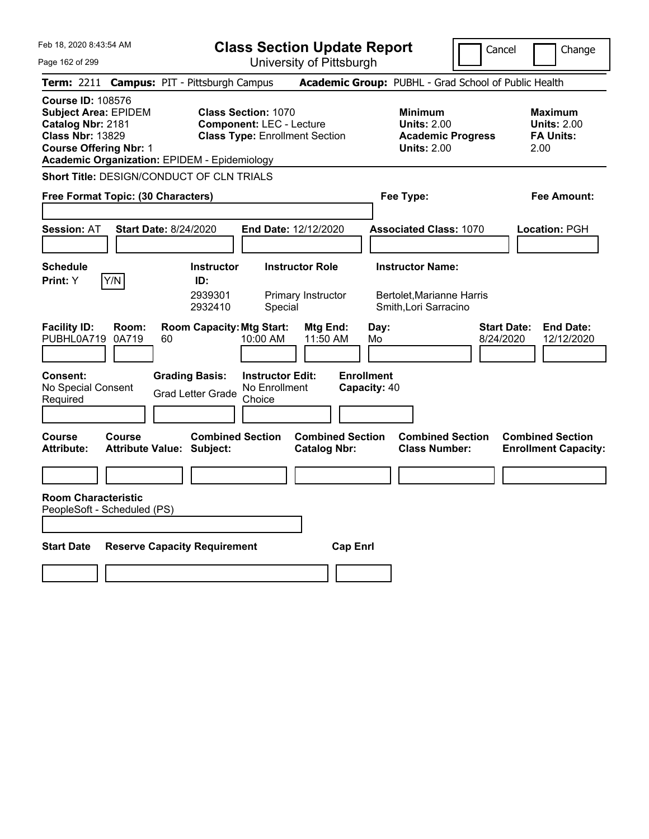|  | Feb 18, 2020 8:43:54 AM |  |
|--|-------------------------|--|
|  |                         |  |

Cancel **I** Change

Page 162 of 299

| Page 162 of 299                                                                                                                                                                                 |                                                                                                        |                                                    | University of Pittsburgh                     |                         |                                                                                        |                                                                  |
|-------------------------------------------------------------------------------------------------------------------------------------------------------------------------------------------------|--------------------------------------------------------------------------------------------------------|----------------------------------------------------|----------------------------------------------|-------------------------|----------------------------------------------------------------------------------------|------------------------------------------------------------------|
| Term: 2211 Campus: PIT - Pittsburgh Campus                                                                                                                                                      |                                                                                                        |                                                    |                                              |                         | Academic Group: PUBHL - Grad School of Public Health                                   |                                                                  |
| <b>Course ID: 108576</b><br><b>Subject Area: EPIDEM</b><br>Catalog Nbr: 2181<br><b>Class Nbr: 13829</b><br><b>Course Offering Nbr: 1</b><br><b>Academic Organization: EPIDEM - Epidemiology</b> | <b>Class Section: 1070</b><br><b>Component: LEC - Lecture</b><br><b>Class Type: Enrollment Section</b> |                                                    |                                              |                         | <b>Minimum</b><br><b>Units: 2.00</b><br><b>Academic Progress</b><br><b>Units: 2.00</b> | <b>Maximum</b><br><b>Units: 2.00</b><br><b>FA Units:</b><br>2.00 |
| Short Title: DESIGN/CONDUCT OF CLN TRIALS                                                                                                                                                       |                                                                                                        |                                                    |                                              |                         |                                                                                        |                                                                  |
| Free Format Topic: (30 Characters)                                                                                                                                                              |                                                                                                        |                                                    |                                              | Fee Type:               |                                                                                        | Fee Amount:                                                      |
| <b>Session: AT</b>                                                                                                                                                                              | <b>Start Date: 8/24/2020</b>                                                                           | End Date: 12/12/2020                               |                                              |                         | <b>Associated Class: 1070</b>                                                          | Location: PGH                                                    |
| <b>Schedule</b><br>Y/N<br>Print: Y                                                                                                                                                              | <b>Instructor</b><br>ID:<br>2939301<br>2932410                                                         | Special                                            | <b>Instructor Role</b><br>Primary Instructor | <b>Instructor Name:</b> | <b>Bertolet, Marianne Harris</b><br>Smith, Lori Sarracino                              |                                                                  |
| <b>Facility ID:</b><br>Room:<br>PUBHL0A719<br>0A719                                                                                                                                             | <b>Room Capacity: Mtg Start:</b><br>60                                                                 | 10:00 AM                                           | Mtg End:<br>11:50 AM                         | Day:<br>Mo              | 8/24/2020                                                                              | <b>End Date:</b><br><b>Start Date:</b><br>12/12/2020             |
| <b>Consent:</b><br>No Special Consent<br>Required<br><b>Course</b><br><b>Course</b>                                                                                                             | <b>Grading Basis:</b><br><b>Grad Letter Grade</b><br><b>Combined Section</b>                           | <b>Instructor Edit:</b><br>No Enrollment<br>Choice | <b>Enrollment</b><br><b>Combined Section</b> | Capacity: 40            | <b>Combined Section</b>                                                                | <b>Combined Section</b>                                          |
| Attribute:                                                                                                                                                                                      | <b>Attribute Value: Subject:</b>                                                                       |                                                    | <b>Catalog Nbr:</b>                          |                         | <b>Class Number:</b>                                                                   | <b>Enrollment Capacity:</b>                                      |
| <b>Room Characteristic</b><br>PeopleSoft - Scheduled (PS)                                                                                                                                       |                                                                                                        |                                                    |                                              |                         |                                                                                        |                                                                  |
| <b>Start Date</b>                                                                                                                                                                               | <b>Reserve Capacity Requirement</b>                                                                    |                                                    | <b>Cap Enrl</b>                              |                         |                                                                                        |                                                                  |
|                                                                                                                                                                                                 |                                                                                                        |                                                    |                                              |                         |                                                                                        |                                                                  |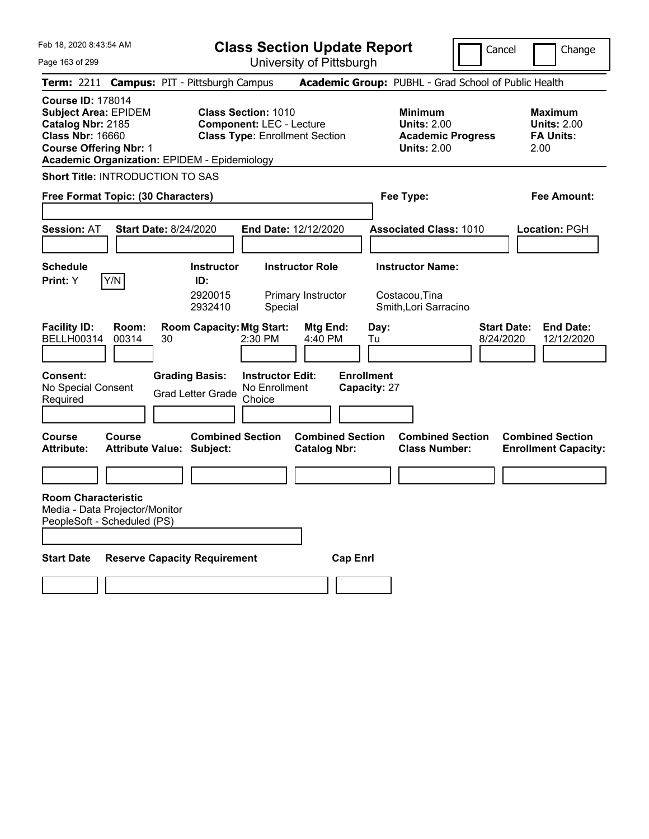|  | Feb 18, 2020 8:43:54 AM |  |
|--|-------------------------|--|
|  |                         |  |

Cancel **I** Change

Page 163 of 299

| Page 163 of 299                                                                                                                          |                |                                                             |                                                               | University of Pittsburgh                       |                                   |                                                                                        |                                 |                                                                  |
|------------------------------------------------------------------------------------------------------------------------------------------|----------------|-------------------------------------------------------------|---------------------------------------------------------------|------------------------------------------------|-----------------------------------|----------------------------------------------------------------------------------------|---------------------------------|------------------------------------------------------------------|
|                                                                                                                                          |                | Term: 2211 Campus: PIT - Pittsburgh Campus                  |                                                               |                                                |                                   | Academic Group: PUBHL - Grad School of Public Health                                   |                                 |                                                                  |
| <b>Course ID: 178014</b><br><b>Subject Area: EPIDEM</b><br>Catalog Nbr: 2185<br><b>Class Nbr: 16660</b><br><b>Course Offering Nbr: 1</b> |                | <b>Academic Organization: EPIDEM - Epidemiology</b>         | <b>Class Section: 1010</b><br><b>Component: LEC - Lecture</b> | <b>Class Type: Enrollment Section</b>          |                                   | <b>Minimum</b><br><b>Units: 2.00</b><br><b>Academic Progress</b><br><b>Units: 2.00</b> |                                 | <b>Maximum</b><br><b>Units: 2.00</b><br><b>FA Units:</b><br>2.00 |
| <b>Short Title: INTRODUCTION TO SAS</b><br>Free Format Topic: (30 Characters)                                                            |                |                                                             |                                                               |                                                | Fee Type:                         |                                                                                        |                                 | Fee Amount:                                                      |
| <b>Session: AT</b>                                                                                                                       |                | <b>Start Date: 8/24/2020</b>                                |                                                               | End Date: 12/12/2020                           |                                   | <b>Associated Class: 1010</b>                                                          |                                 | <b>Location: PGH</b>                                             |
| <b>Schedule</b><br>Print: Y                                                                                                              | Y/N            | <b>Instructor</b><br>ID:<br>2920015<br>2932410              | Special                                                       | <b>Instructor Role</b><br>Primary Instructor   |                                   | <b>Instructor Name:</b><br>Costacou, Tina<br>Smith, Lori Sarracino                     |                                 |                                                                  |
| <b>Facility ID:</b><br><b>BELLH00314</b>                                                                                                 | Room:<br>00314 | <b>Room Capacity: Mtg Start:</b><br>30                      | 2:30 PM                                                       | Mtg End:<br>4:40 PM                            | Day:<br>Tu                        |                                                                                        | <b>Start Date:</b><br>8/24/2020 | <b>End Date:</b><br>12/12/2020                                   |
| <b>Consent:</b><br>No Special Consent<br>Required                                                                                        |                | <b>Grading Basis:</b><br><b>Grad Letter Grade</b>           | <b>Instructor Edit:</b><br>No Enrollment<br>Choice            |                                                | <b>Enrollment</b><br>Capacity: 27 |                                                                                        |                                 |                                                                  |
| Course<br><b>Attribute:</b>                                                                                                              | Course         | <b>Combined Section</b><br><b>Attribute Value: Subject:</b> |                                                               | <b>Combined Section</b><br><b>Catalog Nbr:</b> |                                   | <b>Combined Section</b><br><b>Class Number:</b>                                        |                                 | <b>Combined Section</b><br><b>Enrollment Capacity:</b>           |
| <b>Room Characteristic</b><br>Media - Data Projector/Monitor<br>PeopleSoft - Scheduled (PS)                                              |                |                                                             |                                                               |                                                |                                   |                                                                                        |                                 |                                                                  |
| <b>Start Date</b>                                                                                                                        |                | <b>Reserve Capacity Requirement</b>                         |                                                               | <b>Cap Enrl</b>                                |                                   |                                                                                        |                                 |                                                                  |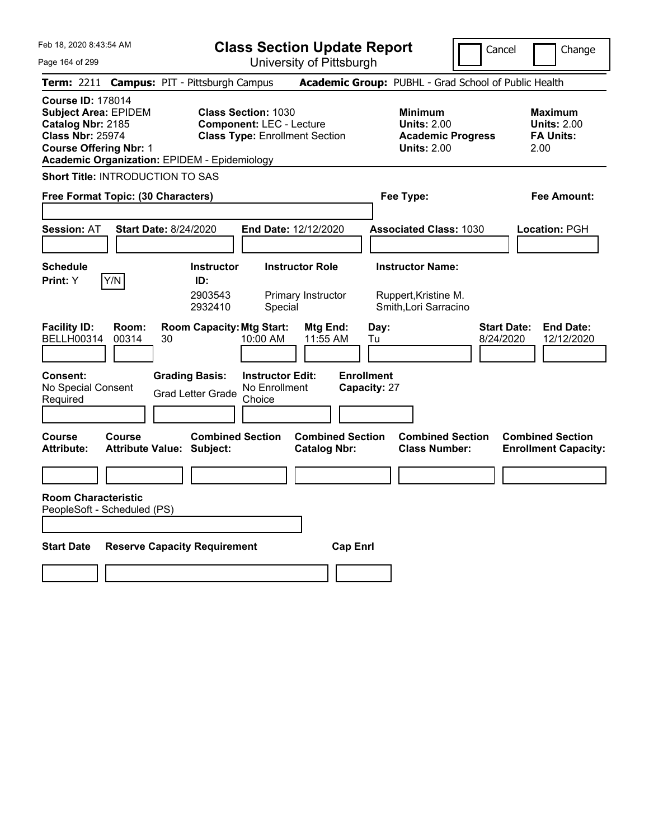|  | Feb 18, 2020 8:43:54 AM |  |
|--|-------------------------|--|
|  |                         |  |

Cancel **I** Change

Page 164 of 299

| Page 164 of 299                                                                                                                                                                                 |                                  |                                                   |                                                               | University of Pittsburgh                       |                                   |                                                                                        |                                 |                                                                  |
|-------------------------------------------------------------------------------------------------------------------------------------------------------------------------------------------------|----------------------------------|---------------------------------------------------|---------------------------------------------------------------|------------------------------------------------|-----------------------------------|----------------------------------------------------------------------------------------|---------------------------------|------------------------------------------------------------------|
| Term: 2211 Campus: PIT - Pittsburgh Campus                                                                                                                                                      |                                  |                                                   |                                                               |                                                |                                   | Academic Group: PUBHL - Grad School of Public Health                                   |                                 |                                                                  |
| <b>Course ID: 178014</b><br><b>Subject Area: EPIDEM</b><br>Catalog Nbr: 2185<br><b>Class Nbr: 25974</b><br><b>Course Offering Nbr: 1</b><br><b>Academic Organization: EPIDEM - Epidemiology</b> |                                  |                                                   | <b>Class Section: 1030</b><br><b>Component: LEC - Lecture</b> | <b>Class Type: Enrollment Section</b>          |                                   | <b>Minimum</b><br><b>Units: 2.00</b><br><b>Academic Progress</b><br><b>Units: 2.00</b> |                                 | <b>Maximum</b><br><b>Units: 2.00</b><br><b>FA Units:</b><br>2.00 |
| Short Title: INTRODUCTION TO SAS                                                                                                                                                                |                                  |                                                   |                                                               |                                                |                                   |                                                                                        |                                 |                                                                  |
| Free Format Topic: (30 Characters)                                                                                                                                                              |                                  |                                                   |                                                               |                                                |                                   | Fee Type:                                                                              |                                 | Fee Amount:                                                      |
| <b>Session: AT</b>                                                                                                                                                                              | <b>Start Date: 8/24/2020</b>     |                                                   | End Date: 12/12/2020                                          |                                                |                                   | <b>Associated Class: 1030</b>                                                          |                                 | Location: PGH                                                    |
| <b>Schedule</b><br>Y/N<br><b>Print:</b> Y                                                                                                                                                       |                                  | <b>Instructor</b><br>ID:<br>2903543<br>2932410    | Special                                                       | <b>Instructor Role</b><br>Primary Instructor   |                                   | <b>Instructor Name:</b><br>Ruppert, Kristine M.<br>Smith, Lori Sarracino               |                                 |                                                                  |
| <b>Facility ID:</b><br><b>BELLH00314</b>                                                                                                                                                        | Room:<br>00314<br>30             | <b>Room Capacity: Mtg Start:</b>                  | 10:00 AM                                                      | Mtg End:<br>11:55 AM                           | Day:<br>Tu                        |                                                                                        | <b>Start Date:</b><br>8/24/2020 | <b>End Date:</b><br>12/12/2020                                   |
| Consent:<br>No Special Consent<br>Required                                                                                                                                                      |                                  | <b>Grading Basis:</b><br><b>Grad Letter Grade</b> | <b>Instructor Edit:</b><br>No Enrollment<br>Choice            |                                                | <b>Enrollment</b><br>Capacity: 27 |                                                                                        |                                 |                                                                  |
| Course<br><b>Course</b><br><b>Attribute:</b>                                                                                                                                                    | <b>Attribute Value: Subject:</b> | <b>Combined Section</b>                           |                                                               | <b>Combined Section</b><br><b>Catalog Nbr:</b> |                                   | <b>Combined Section</b><br><b>Class Number:</b>                                        |                                 | <b>Combined Section</b><br><b>Enrollment Capacity:</b>           |
| <b>Room Characteristic</b>                                                                                                                                                                      |                                  |                                                   |                                                               |                                                |                                   |                                                                                        |                                 |                                                                  |
| PeopleSoft - Scheduled (PS)                                                                                                                                                                     |                                  |                                                   |                                                               |                                                |                                   |                                                                                        |                                 |                                                                  |
| <b>Start Date</b>                                                                                                                                                                               |                                  | <b>Reserve Capacity Requirement</b>               |                                                               | <b>Cap Enrl</b>                                |                                   |                                                                                        |                                 |                                                                  |
|                                                                                                                                                                                                 |                                  |                                                   |                                                               |                                                |                                   |                                                                                        |                                 |                                                                  |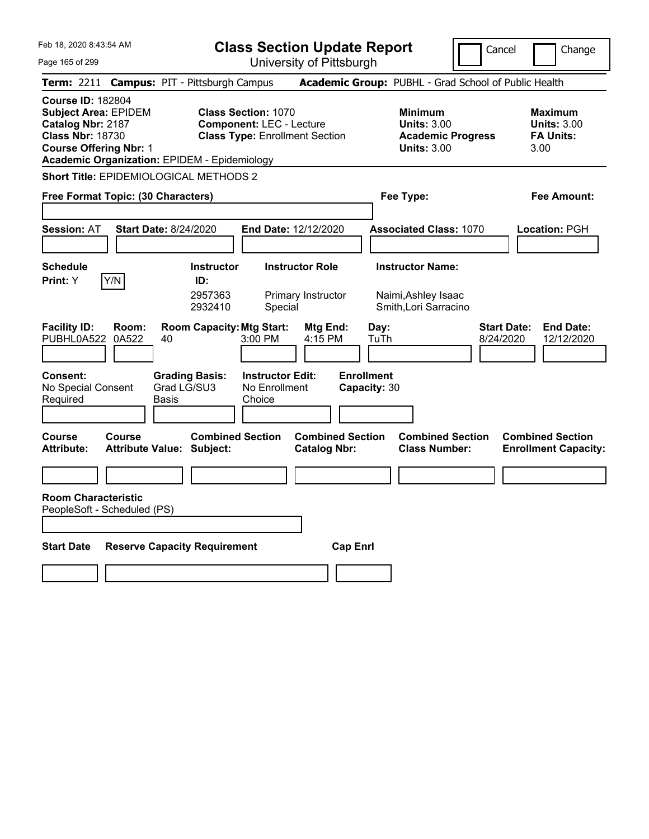|  | Feb 18, 2020 8:43:54 AM |  |
|--|-------------------------|--|
|  |                         |  |

Cancel **Change** 

Page 165 of 299

| Page 165 of 299                                                                                                                          |                |                                                                                         |                                                                 | University of Pittsburgh                       |                                                   |                                                                      |                                                                   |
|------------------------------------------------------------------------------------------------------------------------------------------|----------------|-----------------------------------------------------------------------------------------|-----------------------------------------------------------------|------------------------------------------------|---------------------------------------------------|----------------------------------------------------------------------|-------------------------------------------------------------------|
|                                                                                                                                          |                | Term: 2211 Campus: PIT - Pittsburgh Campus                                              |                                                                 |                                                |                                                   | <b>Academic Group: PUBHL - Grad School of Public Health</b>          |                                                                   |
| <b>Course ID: 182804</b><br><b>Subject Area: EPIDEM</b><br>Catalog Nbr: 2187<br><b>Class Nbr: 18730</b><br><b>Course Offering Nbr: 1</b> |                | <b>Academic Organization: EPIDEM - Epidemiology</b>                                     | <b>Class Section: 1070</b><br><b>Component: LEC - Lecture</b>   | <b>Class Type: Enrollment Section</b>          | <b>Minimum</b>                                    | <b>Units: 3.00</b><br><b>Academic Progress</b><br><b>Units: 3.00</b> | Maximum<br><b>Units: 3.00</b><br><b>FA Units:</b><br>3.00         |
|                                                                                                                                          |                | Short Title: EPIDEMIOLOGICAL METHODS 2                                                  |                                                                 |                                                |                                                   |                                                                      |                                                                   |
| Free Format Topic: (30 Characters)                                                                                                       |                |                                                                                         |                                                                 |                                                | Fee Type:                                         |                                                                      | Fee Amount:                                                       |
| <b>Session: AT</b>                                                                                                                       |                | <b>Start Date: 8/24/2020</b>                                                            |                                                                 | End Date: 12/12/2020                           |                                                   | <b>Associated Class: 1070</b>                                        | <b>Location: PGH</b>                                              |
| <b>Schedule</b><br>Print: Y                                                                                                              | Y/N            | <b>Instructor</b><br>ID:<br>2957363<br>2932410                                          | Special                                                         | <b>Instructor Role</b><br>Primary Instructor   | <b>Instructor Name:</b><br>Naimi, Ashley Isaac    | Smith, Lori Sarracino                                                |                                                                   |
| <b>Facility ID:</b><br>PUBHL0A522<br><b>Consent:</b><br>No Special Consent<br>Required                                                   | Room:<br>0A522 | <b>Room Capacity: Mtg Start:</b><br>40<br><b>Grading Basis:</b><br>Grad LG/SU3<br>Basis | $3:00$ PM<br><b>Instructor Edit:</b><br>No Enrollment<br>Choice | Mtg End:<br>4:15 PM                            | Day:<br>TuTh<br><b>Enrollment</b><br>Capacity: 30 |                                                                      | <b>End Date:</b><br><b>Start Date:</b><br>8/24/2020<br>12/12/2020 |
| Course<br>Attribute:                                                                                                                     | Course         | <b>Combined Section</b><br>Attribute Value: Subject:                                    |                                                                 | <b>Combined Section</b><br><b>Catalog Nbr:</b> |                                                   | <b>Combined Section</b><br><b>Class Number:</b>                      | <b>Combined Section</b><br><b>Enrollment Capacity:</b>            |
| <b>Room Characteristic</b><br>PeopleSoft - Scheduled (PS)                                                                                |                |                                                                                         |                                                                 |                                                |                                                   |                                                                      |                                                                   |
| <b>Start Date</b>                                                                                                                        |                | <b>Reserve Capacity Requirement</b>                                                     |                                                                 | <b>Cap Enrl</b>                                |                                                   |                                                                      |                                                                   |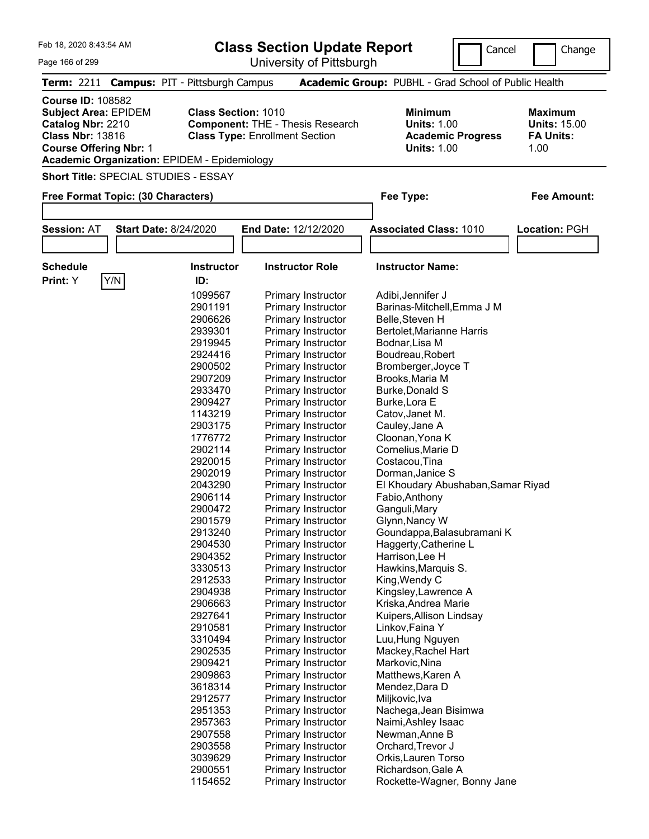| Feb 18, 2020 8:43:54 AM                                                                                                                  |                                                     |                            | <b>Class Section Update Report</b>                                               |                                                            | Cancel                   | Change                                                            |
|------------------------------------------------------------------------------------------------------------------------------------------|-----------------------------------------------------|----------------------------|----------------------------------------------------------------------------------|------------------------------------------------------------|--------------------------|-------------------------------------------------------------------|
| Page 166 of 299                                                                                                                          |                                                     |                            | University of Pittsburgh                                                         |                                                            |                          |                                                                   |
|                                                                                                                                          | Term: 2211 Campus: PIT - Pittsburgh Campus          |                            |                                                                                  | Academic Group: PUBHL - Grad School of Public Health       |                          |                                                                   |
| <b>Course ID: 108582</b><br><b>Subject Area: EPIDEM</b><br>Catalog Nbr: 2210<br><b>Class Nbr: 13816</b><br><b>Course Offering Nbr: 1</b> | <b>Academic Organization: EPIDEM - Epidemiology</b> | <b>Class Section: 1010</b> | <b>Component: THE - Thesis Research</b><br><b>Class Type: Enrollment Section</b> | <b>Minimum</b><br><b>Units: 1.00</b><br><b>Units: 1.00</b> | <b>Academic Progress</b> | <b>Maximum</b><br><b>Units: 15.00</b><br><b>FA Units:</b><br>1.00 |
|                                                                                                                                          | <b>Short Title: SPECIAL STUDIES - ESSAY</b>         |                            |                                                                                  |                                                            |                          |                                                                   |
|                                                                                                                                          | Free Format Topic: (30 Characters)                  |                            |                                                                                  | Fee Type:                                                  |                          | <b>Fee Amount:</b>                                                |
|                                                                                                                                          |                                                     |                            |                                                                                  |                                                            |                          |                                                                   |
| <b>Session: AT</b>                                                                                                                       | <b>Start Date: 8/24/2020</b>                        |                            | <b>End Date: 12/12/2020</b>                                                      | <b>Associated Class: 1010</b>                              |                          | Location: PGH                                                     |
|                                                                                                                                          |                                                     |                            |                                                                                  |                                                            |                          |                                                                   |
|                                                                                                                                          |                                                     |                            |                                                                                  |                                                            |                          |                                                                   |
| <b>Schedule</b><br>Print: Y                                                                                                              |                                                     | <b>Instructor</b><br>ID:   | <b>Instructor Role</b>                                                           | <b>Instructor Name:</b>                                    |                          |                                                                   |
|                                                                                                                                          | Y/N                                                 | 1099567                    |                                                                                  |                                                            |                          |                                                                   |
|                                                                                                                                          |                                                     | 2901191                    | Primary Instructor                                                               | Adibi, Jennifer J                                          |                          |                                                                   |
|                                                                                                                                          |                                                     |                            | Primary Instructor<br>Primary Instructor                                         | Barinas-Mitchell, Emma J M<br>Belle, Steven H              |                          |                                                                   |
|                                                                                                                                          |                                                     | 2906626                    |                                                                                  |                                                            |                          |                                                                   |
|                                                                                                                                          |                                                     | 2939301                    | Primary Instructor                                                               | <b>Bertolet, Marianne Harris</b>                           |                          |                                                                   |
|                                                                                                                                          |                                                     | 2919945<br>2924416         | Primary Instructor                                                               | Bodnar, Lisa M<br>Boudreau, Robert                         |                          |                                                                   |
|                                                                                                                                          |                                                     | 2900502                    | Primary Instructor                                                               | Bromberger, Joyce T                                        |                          |                                                                   |
|                                                                                                                                          |                                                     |                            | Primary Instructor                                                               |                                                            |                          |                                                                   |
|                                                                                                                                          |                                                     | 2907209                    | Primary Instructor                                                               | Brooks, Maria M                                            |                          |                                                                   |
|                                                                                                                                          |                                                     | 2933470                    | Primary Instructor                                                               | <b>Burke, Donald S</b>                                     |                          |                                                                   |
|                                                                                                                                          |                                                     | 2909427                    | Primary Instructor                                                               | Burke, Lora E                                              |                          |                                                                   |
|                                                                                                                                          |                                                     | 1143219                    | Primary Instructor                                                               | Catov, Janet M.                                            |                          |                                                                   |
|                                                                                                                                          |                                                     | 2903175                    | Primary Instructor                                                               | Cauley, Jane A                                             |                          |                                                                   |
|                                                                                                                                          |                                                     | 1776772                    | Primary Instructor                                                               | Cloonan, Yona K                                            |                          |                                                                   |
|                                                                                                                                          |                                                     | 2902114                    | Primary Instructor                                                               | Cornelius, Marie D                                         |                          |                                                                   |
|                                                                                                                                          |                                                     | 2920015                    | Primary Instructor                                                               | Costacou, Tina                                             |                          |                                                                   |
|                                                                                                                                          |                                                     | 2902019                    | Primary Instructor                                                               | Dorman, Janice S                                           |                          |                                                                   |
|                                                                                                                                          |                                                     | 2043290                    | Primary Instructor                                                               | El Khoudary Abushaban, Samar Riyad                         |                          |                                                                   |
|                                                                                                                                          |                                                     | 2906114                    | Primary Instructor                                                               | Fabio, Anthony                                             |                          |                                                                   |
|                                                                                                                                          |                                                     | 2900472                    | Primary Instructor                                                               | Ganguli, Mary                                              |                          |                                                                   |
|                                                                                                                                          |                                                     | 2901579                    | Primary Instructor                                                               | Glynn, Nancy W                                             |                          |                                                                   |
|                                                                                                                                          |                                                     | 2913240                    | Primary Instructor                                                               | Goundappa, Balasubramani K                                 |                          |                                                                   |
|                                                                                                                                          |                                                     | 2904530                    | Primary Instructor                                                               | Haggerty, Catherine L                                      |                          |                                                                   |
|                                                                                                                                          |                                                     | 2904352                    | Primary Instructor                                                               | Harrison, Lee H                                            |                          |                                                                   |
|                                                                                                                                          |                                                     | 3330513                    | Primary Instructor                                                               | Hawkins, Marquis S.                                        |                          |                                                                   |
|                                                                                                                                          |                                                     | 2912533                    | Primary Instructor                                                               | King, Wendy C                                              |                          |                                                                   |
|                                                                                                                                          |                                                     | 2904938                    | Primary Instructor                                                               | Kingsley, Lawrence A                                       |                          |                                                                   |
|                                                                                                                                          |                                                     | 2906663                    | Primary Instructor                                                               | Kriska, Andrea Marie                                       |                          |                                                                   |
|                                                                                                                                          |                                                     | 2927641                    | Primary Instructor                                                               | Kuipers, Allison Lindsay                                   |                          |                                                                   |

 Primary Instructor Linkov,Faina Y Primary Instructor Luu,Hung Nguyen Primary Instructor Mackey,Rachel Hart Primary Instructor Markovic,Nina Primary Instructor Matthews,Karen A Primary Instructor Mendez,Dara D Primary Instructor Miljkovic,Iva

2903558 Primary Instructor

 Primary Instructor Nachega,Jean Bisimwa 2957363 Primary Instructor Naimi, Ashley Isaac<br>2907558 Primary Instructor Newman, Anne B Primary Instructor Newman,Anne B

Primary Instructor Rockette-Wagner, Bonny Jane

 Primary Instructor Orkis,Lauren Torso 2900551 Primary Instructor Richardson, Gale A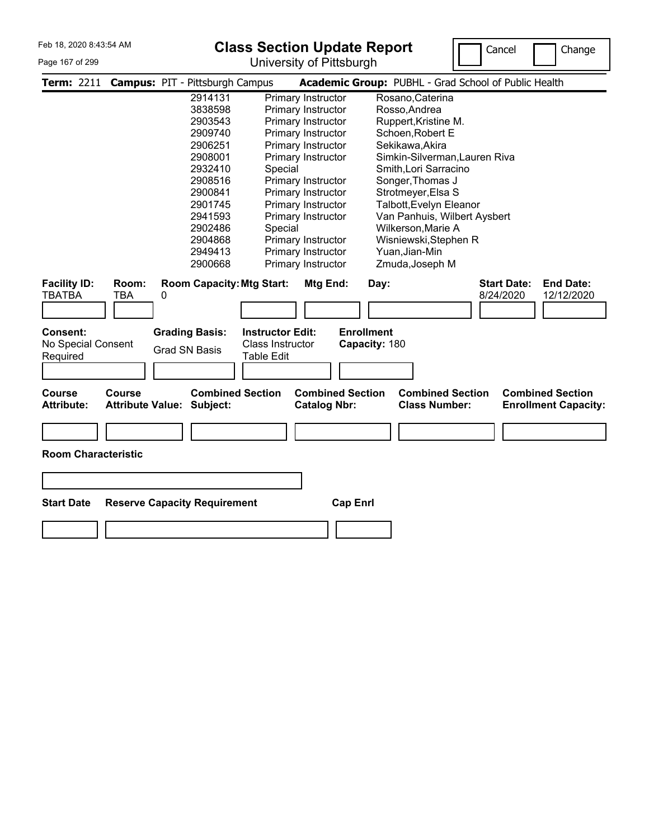#### Page 167 of 299

### **Class Section Update Report**

University of Pittsburgh



|                                      |                                          | Term: 2211 Campus: PIT - Pittsburgh Campus |                         |                                                | Academic Group: PUBHL - Grad School of Public Health                                                      |
|--------------------------------------|------------------------------------------|--------------------------------------------|-------------------------|------------------------------------------------|-----------------------------------------------------------------------------------------------------------|
|                                      |                                          | 2914131                                    |                         | Primary Instructor                             | Rosano, Caterina                                                                                          |
|                                      |                                          | 3838598                                    |                         | Primary Instructor                             | Rosso, Andrea                                                                                             |
|                                      |                                          | 2903543                                    |                         | Primary Instructor                             | Ruppert, Kristine M.                                                                                      |
|                                      |                                          | 2909740                                    |                         | Primary Instructor                             | Schoen, Robert E                                                                                          |
|                                      |                                          | 2906251                                    |                         | Primary Instructor                             | Sekikawa, Akira                                                                                           |
|                                      |                                          | 2908001                                    |                         | Primary Instructor                             | Simkin-Silverman, Lauren Riva                                                                             |
|                                      |                                          | 2932410                                    | Special                 |                                                | Smith, Lori Sarracino                                                                                     |
|                                      |                                          | 2908516                                    |                         | Primary Instructor                             | Songer, Thomas J                                                                                          |
|                                      |                                          | 2900841                                    |                         | Primary Instructor                             | Strotmeyer, Elsa S                                                                                        |
|                                      |                                          | 2901745                                    |                         | Primary Instructor                             | Talbott, Evelyn Eleanor                                                                                   |
|                                      |                                          | 2941593                                    |                         | Primary Instructor                             | Van Panhuis, Wilbert Aysbert                                                                              |
|                                      |                                          | 2902486                                    | Special                 |                                                | Wilkerson, Marie A                                                                                        |
|                                      |                                          | 2904868                                    |                         | Primary Instructor                             | Wisniewski, Stephen R                                                                                     |
|                                      |                                          | 2949413                                    |                         | Primary Instructor                             | Yuan, Jian-Min                                                                                            |
|                                      |                                          | 2900668                                    |                         | Primary Instructor                             | Zmuda, Joseph M                                                                                           |
| <b>Facility ID:</b><br><b>TBATBA</b> | Room:<br>TBA                             | <b>Room Capacity: Mtg Start:</b><br>0      |                         | Mtg End:                                       | <b>End Date:</b><br><b>Start Date:</b><br>Day:<br>8/24/2020<br>12/12/2020                                 |
| Consent:                             |                                          | <b>Grading Basis:</b>                      | <b>Instructor Edit:</b> |                                                | <b>Enrollment</b>                                                                                         |
| No Special Consent                   |                                          |                                            | Class Instructor        |                                                | Capacity: 180                                                                                             |
| Required                             |                                          | <b>Grad SN Basis</b>                       | Table Edit              |                                                |                                                                                                           |
|                                      |                                          |                                            |                         |                                                |                                                                                                           |
|                                      |                                          |                                            |                         |                                                |                                                                                                           |
| <b>Course</b><br><b>Attribute:</b>   | <b>Course</b><br><b>Attribute Value:</b> | Subject:                                   | <b>Combined Section</b> | <b>Combined Section</b><br><b>Catalog Nbr:</b> | <b>Combined Section</b><br><b>Combined Section</b><br><b>Class Number:</b><br><b>Enrollment Capacity:</b> |
| <b>Room Characteristic</b>           |                                          |                                            |                         |                                                |                                                                                                           |
|                                      |                                          |                                            |                         |                                                |                                                                                                           |
| <b>Start Date</b>                    |                                          | <b>Reserve Capacity Requirement</b>        |                         | <b>Cap Enrl</b>                                |                                                                                                           |
|                                      |                                          |                                            |                         |                                                |                                                                                                           |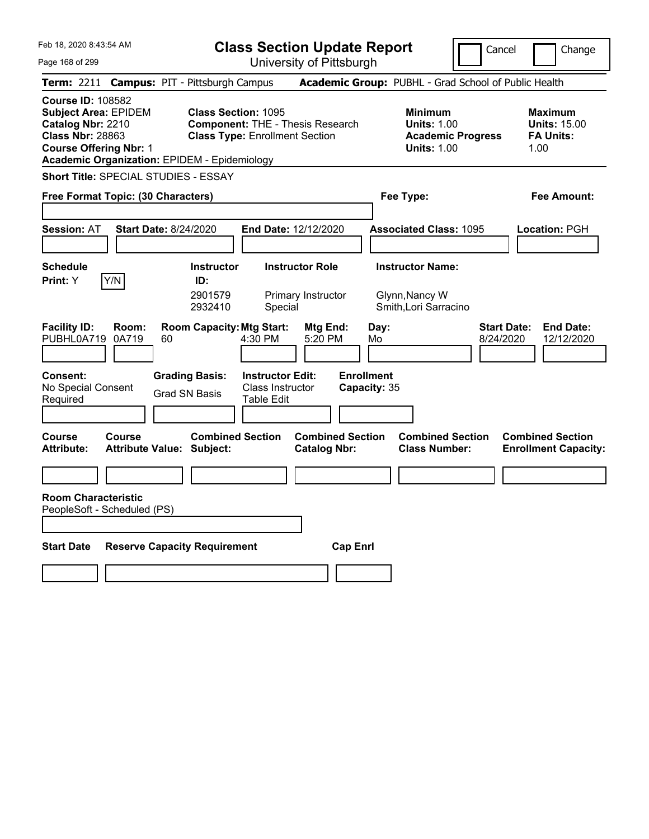| Feb 18, 2020 8:43:54 AM                                                                                                                                                                         | <b>Class Section Update Report</b>                                                                             |                                                                            | Cancel                          | Change                                                     |
|-------------------------------------------------------------------------------------------------------------------------------------------------------------------------------------------------|----------------------------------------------------------------------------------------------------------------|----------------------------------------------------------------------------|---------------------------------|------------------------------------------------------------|
| Page 168 of 299                                                                                                                                                                                 | University of Pittsburgh                                                                                       |                                                                            |                                 |                                                            |
| Term: 2211                                                                                                                                                                                      | <b>Campus: PIT - Pittsburgh Campus</b>                                                                         | Academic Group: PUBHL - Grad School of Public Health                       |                                 |                                                            |
| <b>Course ID: 108582</b><br><b>Subject Area: EPIDEM</b><br>Catalog Nbr: 2210<br><b>Class Nbr: 28863</b><br><b>Course Offering Nbr: 1</b><br><b>Academic Organization: EPIDEM - Epidemiology</b> | <b>Class Section: 1095</b><br><b>Component: THE - Thesis Research</b><br><b>Class Type: Enrollment Section</b> | <b>Minimum</b><br><b>Units: 1.00</b><br><b>Units: 1.00</b>                 | <b>Academic Progress</b>        | Maximum<br><b>Units: 15.00</b><br><b>FA Units:</b><br>1.00 |
| <b>Short Title: SPECIAL STUDIES - ESSAY</b>                                                                                                                                                     |                                                                                                                |                                                                            |                                 |                                                            |
| Free Format Topic: (30 Characters)                                                                                                                                                              |                                                                                                                | Fee Type:                                                                  |                                 | Fee Amount:                                                |
| <b>Start Date: 8/24/2020</b><br><b>Session: AT</b>                                                                                                                                              | <b>End Date: 12/12/2020</b>                                                                                    | <b>Associated Class: 1095</b>                                              |                                 | <b>Location: PGH</b>                                       |
| <b>Schedule</b>                                                                                                                                                                                 | <b>Instructor</b><br><b>Instructor Role</b>                                                                    | <b>Instructor Name:</b>                                                    |                                 |                                                            |
| Y/N<br>Print: Y                                                                                                                                                                                 | ID:<br>2901579<br>Primary Instructor<br>2932410<br>Special                                                     | Glynn, Nancy W<br>Smith, Lori Sarracino                                    |                                 |                                                            |
| <b>Facility ID:</b><br>Room:<br>PUBHL0A719<br>0A719<br>60                                                                                                                                       | <b>Room Capacity: Mtg Start:</b><br>Mtg End:<br>4:30 PM<br>5:20 PM                                             | Day:<br>Mo                                                                 | <b>Start Date:</b><br>8/24/2020 | <b>End Date:</b><br>12/12/2020                             |
| Consent:<br>No Special Consent<br>Required                                                                                                                                                      | <b>Grading Basis:</b><br><b>Instructor Edit:</b><br>Class Instructor<br><b>Grad SN Basis</b><br>Table Edit     | <b>Enrollment</b><br>Capacity: 35                                          |                                 |                                                            |
| <b>Course</b><br>Course<br><b>Attribute:</b><br><b>Attribute Value: Subject:</b>                                                                                                                | <b>Combined Section</b><br><b>Catalog Nbr:</b>                                                                 | <b>Combined Section</b><br><b>Combined Section</b><br><b>Class Number:</b> |                                 | <b>Combined Section</b><br><b>Enrollment Capacity:</b>     |
|                                                                                                                                                                                                 |                                                                                                                |                                                                            |                                 |                                                            |
| <b>Room Characteristic</b><br>PeopleSoft - Scheduled (PS)                                                                                                                                       |                                                                                                                |                                                                            |                                 |                                                            |
| <b>Start Date</b><br><b>Reserve Capacity Requirement</b>                                                                                                                                        |                                                                                                                | <b>Cap Enri</b>                                                            |                                 |                                                            |
|                                                                                                                                                                                                 |                                                                                                                |                                                                            |                                 |                                                            |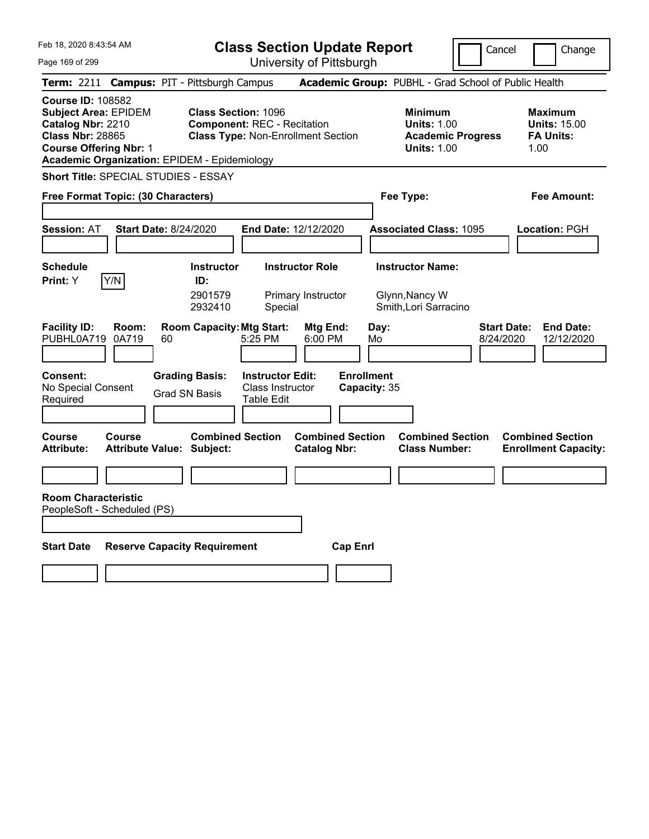**Class Section Update Report**

Cancel **Change** 

 $\prod$ 

Page 169 of 299

| Page 169 of 299                                                                                                                                                                                 |                                                | University of Pittsburgh                                                                                      |                                                                    |                                 |                                                                   |
|-------------------------------------------------------------------------------------------------------------------------------------------------------------------------------------------------|------------------------------------------------|---------------------------------------------------------------------------------------------------------------|--------------------------------------------------------------------|---------------------------------|-------------------------------------------------------------------|
| <b>Term: 2211</b>                                                                                                                                                                               | <b>Campus: PIT - Pittsburgh Campus</b>         |                                                                                                               | Academic Group: PUBHL - Grad School of Public Health               |                                 |                                                                   |
| <b>Course ID: 108582</b><br><b>Subject Area: EPIDEM</b><br>Catalog Nbr: 2210<br><b>Class Nbr: 28865</b><br><b>Course Offering Nbr: 1</b><br><b>Academic Organization: EPIDEM - Epidemiology</b> |                                                | <b>Class Section: 1096</b><br><b>Component: REC - Recitation</b><br><b>Class Type: Non-Enrollment Section</b> | <b>Minimum</b><br><b>Units: 1.00</b><br><b>Units: 1.00</b>         | <b>Academic Progress</b>        | <b>Maximum</b><br><b>Units: 15.00</b><br><b>FA Units:</b><br>1.00 |
| <b>Short Title: SPECIAL STUDIES - ESSAY</b>                                                                                                                                                     |                                                |                                                                                                               |                                                                    |                                 |                                                                   |
| Free Format Topic: (30 Characters)                                                                                                                                                              |                                                |                                                                                                               | Fee Type:                                                          |                                 | Fee Amount:                                                       |
| <b>Session: AT</b>                                                                                                                                                                              | <b>Start Date: 8/24/2020</b>                   | End Date: 12/12/2020                                                                                          | <b>Associated Class: 1095</b>                                      |                                 | Location: PGH                                                     |
| <b>Schedule</b><br>Y/N<br>Print: Y                                                                                                                                                              | <b>Instructor</b><br>ID:<br>2901579<br>2932410 | <b>Instructor Role</b><br>Primary Instructor<br>Special                                                       | <b>Instructor Name:</b><br>Glynn, Nancy W<br>Smith, Lori Sarracino |                                 |                                                                   |
| <b>Facility ID:</b><br>Room:<br>PUBHL0A719<br>0A719                                                                                                                                             | <b>Room Capacity: Mtg Start:</b><br>60         | Mtg End:<br>5:25 PM<br>6:00 PM                                                                                | Day:<br>Mo                                                         | <b>Start Date:</b><br>8/24/2020 | <b>End Date:</b><br>12/12/2020                                    |
| Consent:<br>No Special Consent<br>Required                                                                                                                                                      | <b>Grading Basis:</b><br><b>Grad SN Basis</b>  | <b>Instructor Edit:</b><br>Class Instructor<br>Table Edit                                                     | <b>Enrollment</b><br>Capacity: 35                                  |                                 |                                                                   |
| Course<br>Course<br><b>Attribute:</b>                                                                                                                                                           | <b>Attribute Value: Subject:</b>               | <b>Combined Section</b><br><b>Combined Section</b><br><b>Catalog Nbr:</b>                                     | <b>Class Number:</b>                                               | <b>Combined Section</b>         | <b>Combined Section</b><br><b>Enrollment Capacity:</b>            |
|                                                                                                                                                                                                 |                                                |                                                                                                               |                                                                    |                                 |                                                                   |
| <b>Room Characteristic</b><br>PeopleSoft - Scheduled (PS)                                                                                                                                       |                                                |                                                                                                               |                                                                    |                                 |                                                                   |
| <b>Start Date</b>                                                                                                                                                                               | <b>Reserve Capacity Requirement</b>            |                                                                                                               | <b>Cap Enrl</b>                                                    |                                 |                                                                   |
|                                                                                                                                                                                                 |                                                |                                                                                                               |                                                                    |                                 |                                                                   |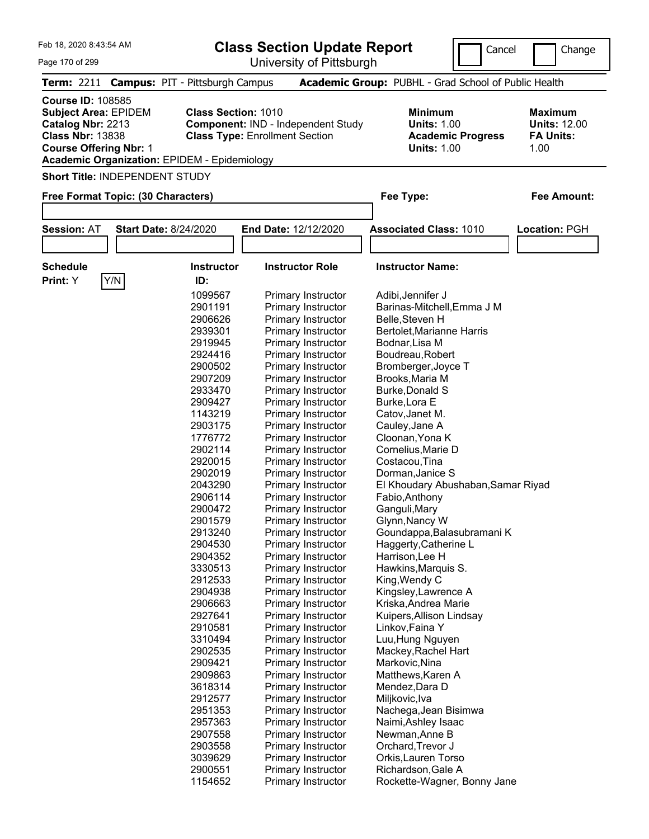| Feb 18, 2020 8:43:54 AM                                                                                                                                                                         |                                            |                                                                     | <b>Class Section Update Report</b>       |                                                            | Cancel                   |      | Change                                                    |
|-------------------------------------------------------------------------------------------------------------------------------------------------------------------------------------------------|--------------------------------------------|---------------------------------------------------------------------|------------------------------------------|------------------------------------------------------------|--------------------------|------|-----------------------------------------------------------|
| Page 170 of 299                                                                                                                                                                                 |                                            |                                                                     | University of Pittsburgh                 |                                                            |                          |      |                                                           |
|                                                                                                                                                                                                 | Term: 2211 Campus: PIT - Pittsburgh Campus |                                                                     |                                          | Academic Group: PUBHL - Grad School of Public Health       |                          |      |                                                           |
| <b>Course ID: 108585</b><br><b>Subject Area: EPIDEM</b><br>Catalog Nbr: 2213<br><b>Class Nbr: 13838</b><br><b>Course Offering Nbr: 1</b><br><b>Academic Organization: EPIDEM - Epidemiology</b> |                                            | <b>Class Section: 1010</b><br><b>Class Type: Enrollment Section</b> | Component: IND - Independent Study       | <b>Minimum</b><br><b>Units: 1.00</b><br><b>Units: 1.00</b> | <b>Academic Progress</b> | 1.00 | <b>Maximum</b><br><b>Units: 12.00</b><br><b>FA Units:</b> |
|                                                                                                                                                                                                 | <b>Short Title: INDEPENDENT STUDY</b>      |                                                                     |                                          |                                                            |                          |      |                                                           |
|                                                                                                                                                                                                 | Free Format Topic: (30 Characters)         |                                                                     |                                          | Fee Type:                                                  |                          |      | Fee Amount:                                               |
|                                                                                                                                                                                                 |                                            |                                                                     |                                          |                                                            |                          |      |                                                           |
| <b>Session: AT</b>                                                                                                                                                                              | <b>Start Date: 8/24/2020</b>               |                                                                     | <b>End Date: 12/12/2020</b>              | <b>Associated Class: 1010</b>                              |                          |      | Location: PGH                                             |
|                                                                                                                                                                                                 |                                            |                                                                     |                                          |                                                            |                          |      |                                                           |
| <b>Schedule</b>                                                                                                                                                                                 |                                            | <b>Instructor</b>                                                   | <b>Instructor Role</b>                   | <b>Instructor Name:</b>                                    |                          |      |                                                           |
| Print: Y                                                                                                                                                                                        | Y/N                                        | ID:                                                                 |                                          |                                                            |                          |      |                                                           |
|                                                                                                                                                                                                 |                                            | 1099567                                                             | Primary Instructor                       | Adibi, Jennifer J                                          |                          |      |                                                           |
|                                                                                                                                                                                                 |                                            | 2901191                                                             | Primary Instructor                       | Barinas-Mitchell, Emma J M                                 |                          |      |                                                           |
|                                                                                                                                                                                                 |                                            | 2906626                                                             | Primary Instructor                       | Belle, Steven H                                            |                          |      |                                                           |
|                                                                                                                                                                                                 |                                            | 2939301                                                             | Primary Instructor                       | Bertolet, Marianne Harris                                  |                          |      |                                                           |
|                                                                                                                                                                                                 |                                            | 2919945                                                             | Primary Instructor                       | Bodnar, Lisa M                                             |                          |      |                                                           |
|                                                                                                                                                                                                 |                                            | 2924416                                                             | Primary Instructor                       | Boudreau, Robert                                           |                          |      |                                                           |
|                                                                                                                                                                                                 |                                            | 2900502<br>2907209                                                  | Primary Instructor<br>Primary Instructor | Bromberger, Joyce T<br>Brooks, Maria M                     |                          |      |                                                           |
|                                                                                                                                                                                                 |                                            | 2933470                                                             | Primary Instructor                       | <b>Burke, Donald S</b>                                     |                          |      |                                                           |
|                                                                                                                                                                                                 |                                            | 2909427                                                             | Primary Instructor                       | Burke, Lora E                                              |                          |      |                                                           |
|                                                                                                                                                                                                 |                                            | 1143219                                                             | Primary Instructor                       | Catov, Janet M.                                            |                          |      |                                                           |
|                                                                                                                                                                                                 |                                            | 2903175                                                             | Primary Instructor                       | Cauley, Jane A                                             |                          |      |                                                           |
|                                                                                                                                                                                                 |                                            | 1776772                                                             | Primary Instructor                       | Cloonan, Yona K                                            |                          |      |                                                           |
|                                                                                                                                                                                                 |                                            | 2902114                                                             | Primary Instructor                       | Cornelius, Marie D                                         |                          |      |                                                           |
|                                                                                                                                                                                                 |                                            | 2920015                                                             | Primary Instructor                       | Costacou, Tina                                             |                          |      |                                                           |
|                                                                                                                                                                                                 |                                            | 2902019                                                             | Primary Instructor                       | Dorman.Janice S                                            |                          |      |                                                           |
|                                                                                                                                                                                                 |                                            | 2043290                                                             | <b>Primary Instructor</b>                | El Khoudary Abushaban, Samar Riyad                         |                          |      |                                                           |
|                                                                                                                                                                                                 |                                            | 2906114                                                             | <b>Primary Instructor</b>                | Fabio, Anthony                                             |                          |      |                                                           |
|                                                                                                                                                                                                 |                                            | 2900472                                                             | Primary Instructor                       | Ganguli, Mary                                              |                          |      |                                                           |
|                                                                                                                                                                                                 |                                            | 2901579                                                             | Primary Instructor                       | Glynn, Nancy W                                             |                          |      |                                                           |
|                                                                                                                                                                                                 |                                            | 2913240                                                             | Primary Instructor                       | Goundappa, Balasubramani K                                 |                          |      |                                                           |
|                                                                                                                                                                                                 |                                            | 2904530<br>2904352                                                  | Primary Instructor<br>Primary Instructor | Haggerty, Catherine L                                      |                          |      |                                                           |
|                                                                                                                                                                                                 |                                            | 3330513                                                             | Primary Instructor                       | Harrison, Lee H<br>Hawkins, Marquis S.                     |                          |      |                                                           |
|                                                                                                                                                                                                 |                                            | 2912533                                                             | <b>Primary Instructor</b>                | King, Wendy C                                              |                          |      |                                                           |
|                                                                                                                                                                                                 |                                            | 2904938                                                             | Primary Instructor                       | Kingsley, Lawrence A                                       |                          |      |                                                           |
|                                                                                                                                                                                                 |                                            | 2906663                                                             | Primary Instructor                       | Kriska, Andrea Marie                                       |                          |      |                                                           |
|                                                                                                                                                                                                 |                                            | 2927641                                                             | Primary Instructor                       | Kuipers, Allison Lindsay                                   |                          |      |                                                           |
|                                                                                                                                                                                                 |                                            | 2910581                                                             | Primary Instructor                       | Linkov, Faina Y                                            |                          |      |                                                           |
|                                                                                                                                                                                                 |                                            | 3310494                                                             | Primary Instructor                       | Luu, Hung Nguyen                                           |                          |      |                                                           |
|                                                                                                                                                                                                 |                                            | 2902535                                                             | <b>Primary Instructor</b>                | Mackey, Rachel Hart                                        |                          |      |                                                           |
|                                                                                                                                                                                                 |                                            | 2909421                                                             | <b>Primary Instructor</b>                | Markovic,Nina                                              |                          |      |                                                           |
|                                                                                                                                                                                                 |                                            | 2909863                                                             | <b>Primary Instructor</b>                | Matthews, Karen A                                          |                          |      |                                                           |
|                                                                                                                                                                                                 |                                            | 3618314                                                             | Primary Instructor                       | Mendez, Dara D                                             |                          |      |                                                           |
|                                                                                                                                                                                                 |                                            | 2912577                                                             | Primary Instructor                       | Miljkovic, Iva                                             |                          |      |                                                           |
|                                                                                                                                                                                                 |                                            | 2951353                                                             | Primary Instructor                       | Nachega, Jean Bisimwa                                      |                          |      |                                                           |

 Primary Instructor Nachega,Jean Bisimwa 2957363 Primary Instructor Naimi, Ashley Isaac<br>2907558 Primary Instructor Newman, Anne B

 Primary Instructor Orkis,Lauren Torso 2900551 Primary Instructor Richardson, Gale A<br>1154652 Primary Instructor Rockette-Wagner, E

2903558 Primary Instructor<br>3039629 Primary Instructor

Primary Instructor Newman,Anne B<br>
Primary Instructor Orchard,Trevor J

Rockette-Wagner, Bonny Jane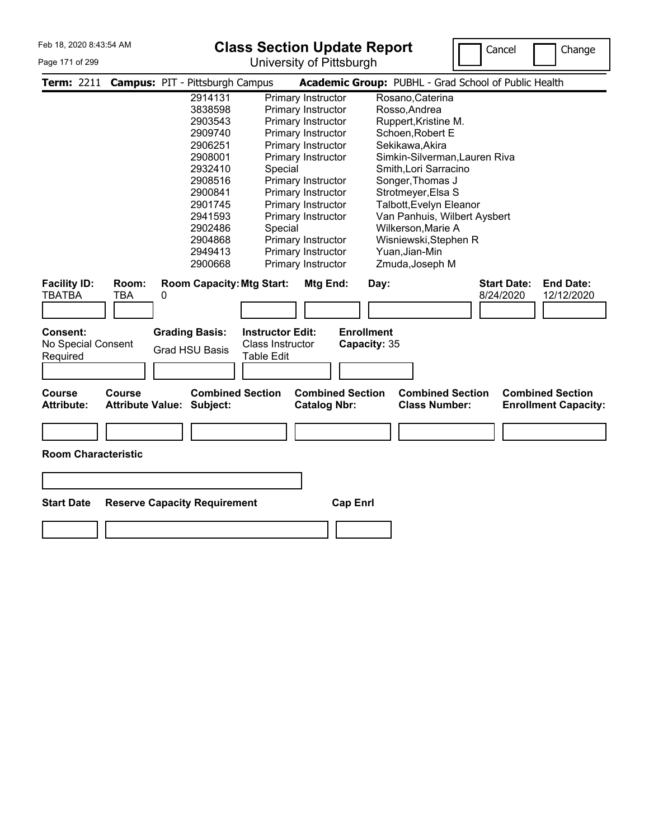#### Page 171 of 299

# **Class Section Update Report**

University of Pittsburgh



| <b>Term: 2211</b>                  |                                          |   | <b>Campus: PIT - Pittsburgh Campus</b> |                                  |                                                |                   |      | Academic Group: PUBHL - Grad School of Public Health |                    |                                                        |
|------------------------------------|------------------------------------------|---|----------------------------------------|----------------------------------|------------------------------------------------|-------------------|------|------------------------------------------------------|--------------------|--------------------------------------------------------|
|                                    |                                          |   | 2914131                                |                                  | Primary Instructor                             |                   |      | Rosano, Caterina                                     |                    |                                                        |
|                                    |                                          |   | 3838598                                |                                  | Primary Instructor                             |                   |      | Rosso, Andrea                                        |                    |                                                        |
|                                    |                                          |   | 2903543                                |                                  | Primary Instructor                             |                   |      | Ruppert, Kristine M.                                 |                    |                                                        |
|                                    |                                          |   | 2909740                                |                                  | Primary Instructor                             |                   |      | Schoen, Robert E                                     |                    |                                                        |
|                                    |                                          |   | 2906251                                |                                  | Primary Instructor                             |                   |      | Sekikawa, Akira                                      |                    |                                                        |
|                                    |                                          |   | 2908001                                |                                  | Primary Instructor                             |                   |      | Simkin-Silverman, Lauren Riva                        |                    |                                                        |
|                                    |                                          |   | 2932410                                | Special                          |                                                |                   |      | Smith, Lori Sarracino                                |                    |                                                        |
|                                    |                                          |   | 2908516                                |                                  | Primary Instructor                             |                   |      | Songer, Thomas J                                     |                    |                                                        |
|                                    |                                          |   | 2900841                                |                                  | Primary Instructor                             |                   |      | Strotmeyer, Elsa S                                   |                    |                                                        |
|                                    |                                          |   | 2901745                                |                                  | Primary Instructor                             |                   |      | Talbott, Evelyn Eleanor                              |                    |                                                        |
|                                    |                                          |   | 2941593                                |                                  | Primary Instructor                             |                   |      | Van Panhuis, Wilbert Aysbert                         |                    |                                                        |
|                                    |                                          |   | 2902486                                | Special                          |                                                |                   |      | Wilkerson, Marie A                                   |                    |                                                        |
|                                    |                                          |   | 2904868                                |                                  | Primary Instructor                             |                   |      | Wisniewski, Stephen R                                |                    |                                                        |
|                                    |                                          |   | 2949413                                |                                  | Primary Instructor                             |                   |      | Yuan, Jian-Min                                       |                    |                                                        |
|                                    |                                          |   | 2900668                                |                                  | Primary Instructor                             |                   |      | Zmuda, Joseph M                                      |                    |                                                        |
| <b>Facility ID:</b>                | Room:                                    |   |                                        | <b>Room Capacity: Mtg Start:</b> | Mtg End:                                       |                   | Day: |                                                      | <b>Start Date:</b> | <b>End Date:</b>                                       |
| TBATBA                             | <b>TBA</b>                               | 0 |                                        |                                  |                                                |                   |      |                                                      | 8/24/2020          | 12/12/2020                                             |
|                                    |                                          |   |                                        |                                  |                                                |                   |      |                                                      |                    |                                                        |
|                                    |                                          |   |                                        |                                  |                                                |                   |      |                                                      |                    |                                                        |
| Consent:                           |                                          |   | <b>Grading Basis:</b>                  | <b>Instructor Edit:</b>          |                                                | <b>Enrollment</b> |      |                                                      |                    |                                                        |
| No Special Consent                 |                                          |   | <b>Grad HSU Basis</b>                  | <b>Class Instructor</b>          |                                                | Capacity: 35      |      |                                                      |                    |                                                        |
| Required                           |                                          |   |                                        | <b>Table Edit</b>                |                                                |                   |      |                                                      |                    |                                                        |
|                                    |                                          |   |                                        |                                  |                                                |                   |      |                                                      |                    |                                                        |
|                                    |                                          |   |                                        |                                  |                                                |                   |      |                                                      |                    |                                                        |
| <b>Course</b><br><b>Attribute:</b> | <b>Course</b><br><b>Attribute Value:</b> |   | <b>Combined Section</b><br>Subject:    |                                  | <b>Combined Section</b><br><b>Catalog Nbr:</b> |                   |      | <b>Combined Section</b><br><b>Class Number:</b>      |                    | <b>Combined Section</b><br><b>Enrollment Capacity:</b> |
|                                    |                                          |   |                                        |                                  |                                                |                   |      |                                                      |                    |                                                        |
|                                    |                                          |   |                                        |                                  |                                                |                   |      |                                                      |                    |                                                        |
|                                    |                                          |   |                                        |                                  |                                                |                   |      |                                                      |                    |                                                        |
| <b>Room Characteristic</b>         |                                          |   |                                        |                                  |                                                |                   |      |                                                      |                    |                                                        |
|                                    |                                          |   |                                        |                                  |                                                |                   |      |                                                      |                    |                                                        |
|                                    |                                          |   |                                        |                                  |                                                |                   |      |                                                      |                    |                                                        |
|                                    |                                          |   |                                        |                                  |                                                |                   |      |                                                      |                    |                                                        |
| <b>Start Date</b>                  | <b>Reserve Capacity Requirement</b>      |   |                                        |                                  |                                                | <b>Cap Enrl</b>   |      |                                                      |                    |                                                        |
|                                    |                                          |   |                                        |                                  |                                                |                   |      |                                                      |                    |                                                        |
|                                    |                                          |   |                                        |                                  |                                                |                   |      |                                                      |                    |                                                        |
|                                    |                                          |   |                                        |                                  |                                                |                   |      |                                                      |                    |                                                        |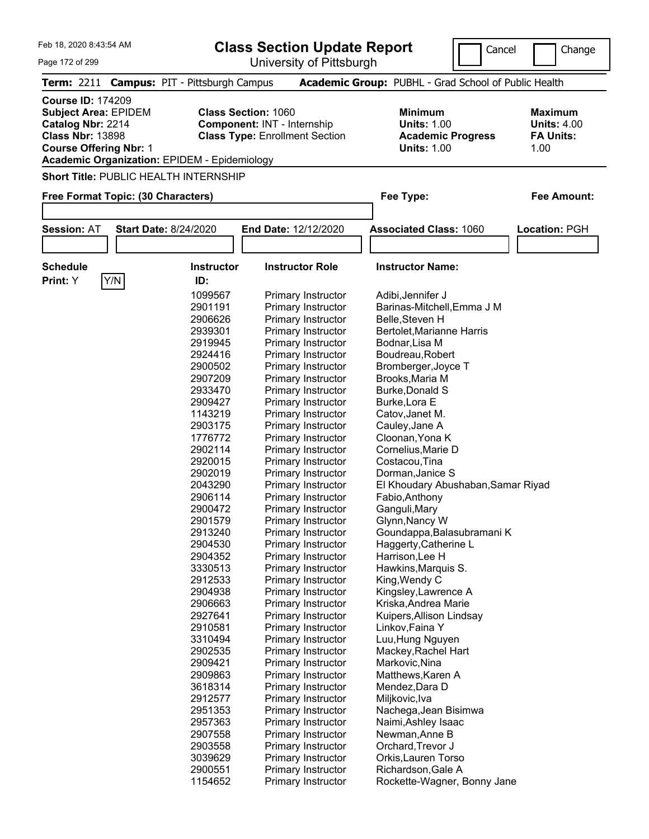| Feb 18, 2020 8:43:54 AM                                                                                                                                                                         |                            | <b>Class Section Update Report</b>                                   | Cancel                                                                          | Change                                                    |
|-------------------------------------------------------------------------------------------------------------------------------------------------------------------------------------------------|----------------------------|----------------------------------------------------------------------|---------------------------------------------------------------------------------|-----------------------------------------------------------|
| Page 172 of 299                                                                                                                                                                                 |                            | University of Pittsburgh                                             |                                                                                 |                                                           |
| Term: 2211 Campus: PIT - Pittsburgh Campus                                                                                                                                                      |                            |                                                                      | Academic Group: PUBHL - Grad School of Public Health                            |                                                           |
| <b>Course ID: 174209</b><br><b>Subject Area: EPIDEM</b><br>Catalog Nbr: 2214<br><b>Class Nbr: 13898</b><br><b>Course Offering Nbr: 1</b><br><b>Academic Organization: EPIDEM - Epidemiology</b> | <b>Class Section: 1060</b> | Component: INT - Internship<br><b>Class Type: Enrollment Section</b> | Minimum<br><b>Units: 1.00</b><br><b>Academic Progress</b><br><b>Units: 1.00</b> | Maximum<br><b>Units: 4.00</b><br><b>FA Units:</b><br>1.00 |
| <b>Short Title: PUBLIC HEALTH INTERNSHIP</b>                                                                                                                                                    |                            |                                                                      |                                                                                 |                                                           |
| Free Format Topic: (30 Characters)                                                                                                                                                              |                            |                                                                      | Fee Type:                                                                       | Fee Amount:                                               |
|                                                                                                                                                                                                 |                            |                                                                      |                                                                                 |                                                           |
| <b>Session: AT</b><br><b>Start Date: 8/24/2020</b>                                                                                                                                              |                            | End Date: 12/12/2020                                                 | <b>Associated Class: 1060</b>                                                   | Location: PGH                                             |
|                                                                                                                                                                                                 |                            |                                                                      |                                                                                 |                                                           |
| <b>Schedule</b>                                                                                                                                                                                 | <b>Instructor</b>          | <b>Instructor Role</b>                                               | <b>Instructor Name:</b>                                                         |                                                           |
| Y/N<br>Print: Y                                                                                                                                                                                 | ID:                        |                                                                      |                                                                                 |                                                           |
|                                                                                                                                                                                                 | 1099567                    | Primary Instructor                                                   | Adibi, Jennifer J                                                               |                                                           |
|                                                                                                                                                                                                 | 2901191                    | Primary Instructor                                                   | Barinas-Mitchell, Emma J M                                                      |                                                           |
|                                                                                                                                                                                                 | 2906626                    | Primary Instructor                                                   | Belle, Steven H                                                                 |                                                           |
|                                                                                                                                                                                                 | 2939301                    | Primary Instructor                                                   | Bertolet, Marianne Harris                                                       |                                                           |
|                                                                                                                                                                                                 | 2919945                    | Primary Instructor                                                   | Bodnar, Lisa M                                                                  |                                                           |
|                                                                                                                                                                                                 | 2924416                    | Primary Instructor                                                   | Boudreau, Robert                                                                |                                                           |
|                                                                                                                                                                                                 | 2900502                    | Primary Instructor                                                   | Bromberger, Joyce T                                                             |                                                           |
|                                                                                                                                                                                                 | 2907209                    | Primary Instructor                                                   | Brooks, Maria M                                                                 |                                                           |
|                                                                                                                                                                                                 | 2933470                    | Primary Instructor                                                   | Burke, Donald S                                                                 |                                                           |
|                                                                                                                                                                                                 | 2909427                    | Primary Instructor                                                   | Burke, Lora E                                                                   |                                                           |
|                                                                                                                                                                                                 | 1143219                    | Primary Instructor                                                   | Catov, Janet M.                                                                 |                                                           |
|                                                                                                                                                                                                 | 2903175                    | Primary Instructor                                                   | Cauley, Jane A                                                                  |                                                           |
|                                                                                                                                                                                                 | 1776772                    | Primary Instructor                                                   | Cloonan, Yona K                                                                 |                                                           |
|                                                                                                                                                                                                 | 2902114                    | Primary Instructor                                                   | Cornelius, Marie D                                                              |                                                           |
|                                                                                                                                                                                                 | 2920015                    | Primary Instructor                                                   | Costacou, Tina                                                                  |                                                           |
|                                                                                                                                                                                                 | 2902019                    | Primary Instructor                                                   | Dorman, Janice S                                                                |                                                           |
|                                                                                                                                                                                                 | 2043290                    | Primary Instructor                                                   | El Khoudary Abushaban, Samar Riyad                                              |                                                           |
|                                                                                                                                                                                                 | 2906114                    | <b>Primary Instructor</b>                                            | Fabio, Anthony                                                                  |                                                           |
|                                                                                                                                                                                                 | 2900472                    | <b>Primary Instructor</b>                                            | Ganguli, Mary                                                                   |                                                           |
|                                                                                                                                                                                                 | 2901579                    | Primary Instructor                                                   | Glynn, Nancy W                                                                  |                                                           |
|                                                                                                                                                                                                 | 2913240                    | Primary Instructor                                                   | Goundappa, Balasubramani K                                                      |                                                           |
|                                                                                                                                                                                                 | 2904530                    | Primary Instructor                                                   | Haggerty, Catherine L                                                           |                                                           |
|                                                                                                                                                                                                 | 2904352                    | Primary Instructor                                                   | Harrison, Lee H                                                                 |                                                           |
|                                                                                                                                                                                                 | 3330513                    | <b>Primary Instructor</b>                                            | Hawkins, Marquis S.                                                             |                                                           |
|                                                                                                                                                                                                 | 2912533                    | Primary Instructor                                                   | King, Wendy C                                                                   |                                                           |
|                                                                                                                                                                                                 | 2904938                    | Primary Instructor                                                   | Kingsley, Lawrence A                                                            |                                                           |
|                                                                                                                                                                                                 | 2906663                    | <b>Primary Instructor</b>                                            | Kriska, Andrea Marie                                                            |                                                           |
|                                                                                                                                                                                                 | 2927641                    | Primary Instructor                                                   | Kuipers, Allison Lindsay                                                        |                                                           |
|                                                                                                                                                                                                 | 2910581                    | Primary Instructor                                                   | Linkov, Faina Y                                                                 |                                                           |
|                                                                                                                                                                                                 | 3310494                    | Primary Instructor                                                   | Luu, Hung Nguyen                                                                |                                                           |
|                                                                                                                                                                                                 | 2902535                    | <b>Primary Instructor</b>                                            | Mackey, Rachel Hart                                                             |                                                           |
|                                                                                                                                                                                                 | 2909421                    | <b>Primary Instructor</b>                                            | Markovic, Nina                                                                  |                                                           |
|                                                                                                                                                                                                 | 2909863                    | Primary Instructor                                                   | Matthews, Karen A                                                               |                                                           |
|                                                                                                                                                                                                 | 3618314                    | Primary Instructor                                                   | Mendez, Dara D                                                                  |                                                           |
|                                                                                                                                                                                                 | 2912577                    | Primary Instructor                                                   | Miljkovic, Iva                                                                  |                                                           |

Primary Instructor Nachega,Jean Bisimwa

Primary Instructor Newman,Anne B

 Primary Instructor Orkis,Lauren Torso 2900551 Primary Instructor Richardson, Gale A<br>1154652 Primary Instructor Rockette-Wagner, E

2903558 Primary Instructor

Naimi,Ashley Isaac<br>Newman,Anne B

Rockette-Wagner, Bonny Jane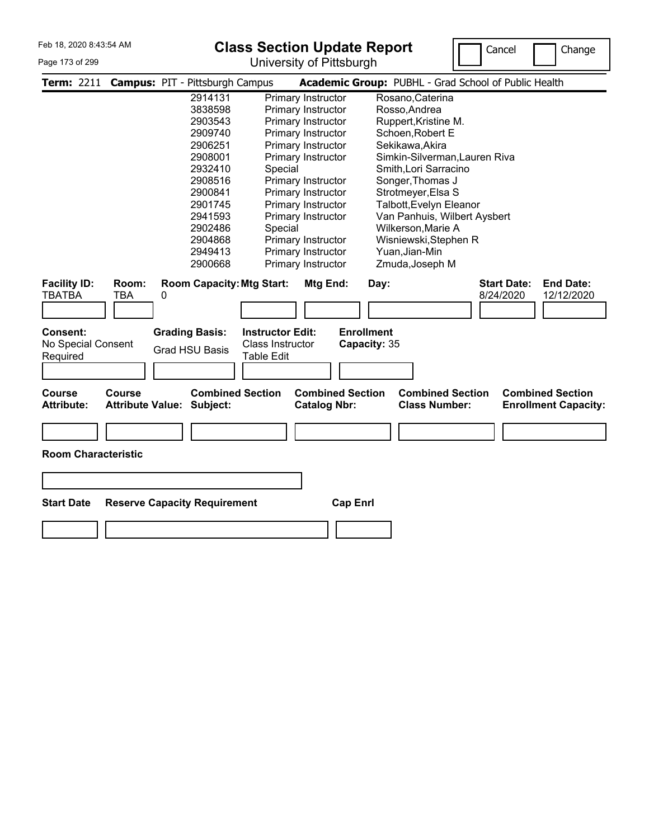#### Page 173 of 299

# **Class Section Update Report**

University of Pittsburgh



|                                                   |                                          | Term: 2211 Campus: PIT - Pittsburgh Campus     |                                                                  |                                                | Academic Group: PUBHL - Grad School of Public Health                                                      |
|---------------------------------------------------|------------------------------------------|------------------------------------------------|------------------------------------------------------------------|------------------------------------------------|-----------------------------------------------------------------------------------------------------------|
|                                                   |                                          | 2914131                                        |                                                                  | Primary Instructor                             | Rosano, Caterina                                                                                          |
|                                                   |                                          | 3838598                                        |                                                                  | Primary Instructor                             | Rosso, Andrea                                                                                             |
|                                                   |                                          | 2903543                                        |                                                                  | Primary Instructor                             | Ruppert, Kristine M.                                                                                      |
|                                                   |                                          | 2909740                                        |                                                                  | Primary Instructor                             | Schoen, Robert E                                                                                          |
|                                                   |                                          | 2906251                                        |                                                                  | Primary Instructor                             | Sekikawa, Akira                                                                                           |
|                                                   |                                          | 2908001                                        |                                                                  | Primary Instructor                             | Simkin-Silverman, Lauren Riva                                                                             |
|                                                   |                                          | 2932410                                        | Special                                                          |                                                | Smith, Lori Sarracino                                                                                     |
|                                                   |                                          | 2908516                                        |                                                                  | Primary Instructor                             | Songer, Thomas J                                                                                          |
|                                                   |                                          | 2900841                                        |                                                                  | Primary Instructor                             | Strotmeyer, Elsa S                                                                                        |
|                                                   |                                          | 2901745                                        |                                                                  | Primary Instructor                             | Talbott, Evelyn Eleanor                                                                                   |
|                                                   |                                          | 2941593                                        |                                                                  | Primary Instructor                             | Van Panhuis, Wilbert Aysbert                                                                              |
|                                                   |                                          | 2902486                                        | Special                                                          |                                                | Wilkerson, Marie A                                                                                        |
|                                                   |                                          | 2904868                                        |                                                                  | Primary Instructor                             | Wisniewski, Stephen R                                                                                     |
|                                                   |                                          | 2949413                                        |                                                                  | Primary Instructor                             | Yuan, Jian-Min                                                                                            |
|                                                   |                                          | 2900668                                        |                                                                  | Primary Instructor                             | Zmuda, Joseph M                                                                                           |
| <b>Facility ID:</b><br><b>TBATBA</b>              | Room:<br>TBA                             | <b>Room Capacity: Mtg Start:</b><br>0          |                                                                  | Mtg End:                                       | <b>Start Date:</b><br><b>End Date:</b><br>Day:<br>8/24/2020<br>12/12/2020                                 |
| <b>Consent:</b><br>No Special Consent<br>Required |                                          | <b>Grading Basis:</b><br><b>Grad HSU Basis</b> | <b>Instructor Edit:</b><br>Class Instructor<br><b>Table Edit</b> |                                                | <b>Enrollment</b><br>Capacity: 35                                                                         |
|                                                   |                                          |                                                |                                                                  |                                                |                                                                                                           |
| <b>Course</b><br><b>Attribute:</b>                | <b>Course</b><br><b>Attribute Value:</b> | <b>Combined Section</b><br>Subject:            |                                                                  | <b>Combined Section</b><br><b>Catalog Nbr:</b> | <b>Combined Section</b><br><b>Combined Section</b><br><b>Class Number:</b><br><b>Enrollment Capacity:</b> |
| <b>Room Characteristic</b>                        |                                          |                                                |                                                                  |                                                |                                                                                                           |
| <b>Start Date</b>                                 |                                          | <b>Reserve Capacity Requirement</b>            |                                                                  | <b>Cap Enrl</b>                                |                                                                                                           |
|                                                   |                                          |                                                |                                                                  |                                                |                                                                                                           |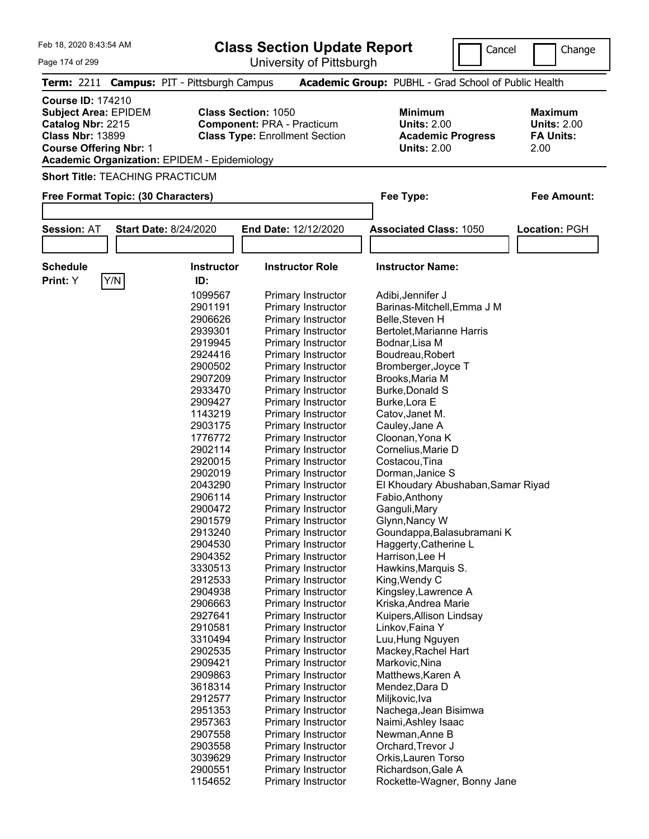| Feb 18, 2020 8:43:54 AM                                                  |                                                              |                                                                                   | <b>Class Section Update Report</b>                                         | Cancel                                                                                 | Change                                                           |
|--------------------------------------------------------------------------|--------------------------------------------------------------|-----------------------------------------------------------------------------------|----------------------------------------------------------------------------|----------------------------------------------------------------------------------------|------------------------------------------------------------------|
| Page 174 of 299                                                          |                                                              |                                                                                   | University of Pittsburgh                                                   |                                                                                        |                                                                  |
| <b>Term: 2211</b>                                                        |                                                              | <b>Campus: PIT - Pittsburgh Campus</b>                                            |                                                                            | Academic Group: PUBHL - Grad School of Public Health                                   |                                                                  |
| <b>Course ID: 174210</b><br>Catalog Nbr: 2215<br><b>Class Nbr: 13899</b> | <b>Subject Area: EPIDEM</b><br><b>Course Offering Nbr: 1</b> | <b>Class Section: 1050</b><br><b>Academic Organization: EPIDEM - Epidemiology</b> | <b>Component: PRA - Practicum</b><br><b>Class Type: Enrollment Section</b> | <b>Minimum</b><br><b>Units: 2.00</b><br><b>Academic Progress</b><br><b>Units: 2.00</b> | <b>Maximum</b><br><b>Units: 2.00</b><br><b>FA Units:</b><br>2.00 |
|                                                                          | <b>Short Title: TEACHING PRACTICUM</b>                       |                                                                                   |                                                                            |                                                                                        |                                                                  |
| Free Format Topic: (30 Characters)                                       |                                                              |                                                                                   |                                                                            | Fee Type:                                                                              | <b>Fee Amount:</b>                                               |
|                                                                          |                                                              |                                                                                   |                                                                            |                                                                                        |                                                                  |
| <b>Session: AT</b>                                                       |                                                              | <b>Start Date: 8/24/2020</b>                                                      | End Date: 12/12/2020                                                       | <b>Associated Class: 1050</b>                                                          | Location: PGH                                                    |
|                                                                          |                                                              |                                                                                   |                                                                            |                                                                                        |                                                                  |
| <b>Schedule</b>                                                          |                                                              | <b>Instructor</b>                                                                 | <b>Instructor Role</b>                                                     | <b>Instructor Name:</b>                                                                |                                                                  |
| Print: Y                                                                 | Y/N                                                          | ID:                                                                               |                                                                            |                                                                                        |                                                                  |
|                                                                          |                                                              | 1099567                                                                           | <b>Primary Instructor</b>                                                  | Adibi, Jennifer J                                                                      |                                                                  |
|                                                                          |                                                              | 2901191                                                                           | Primary Instructor                                                         | Barinas-Mitchell, Emma J M                                                             |                                                                  |
|                                                                          |                                                              | 2906626                                                                           | Primary Instructor                                                         | Belle, Steven H                                                                        |                                                                  |
|                                                                          |                                                              | 2939301                                                                           | Primary Instructor                                                         | Bertolet, Marianne Harris                                                              |                                                                  |
|                                                                          |                                                              | 2919945                                                                           | Primary Instructor                                                         | Bodnar, Lisa M                                                                         |                                                                  |
|                                                                          |                                                              | 2924416                                                                           | Primary Instructor                                                         | Boudreau, Robert                                                                       |                                                                  |
|                                                                          |                                                              | 2900502                                                                           | Primary Instructor                                                         | Bromberger, Joyce T                                                                    |                                                                  |
|                                                                          |                                                              | 2907209                                                                           | Primary Instructor                                                         | Brooks, Maria M                                                                        |                                                                  |
|                                                                          |                                                              | 2933470                                                                           | Primary Instructor                                                         | Burke, Donald S                                                                        |                                                                  |
|                                                                          |                                                              | 2909427                                                                           | Primary Instructor                                                         | Burke, Lora E                                                                          |                                                                  |
|                                                                          |                                                              | 1143219                                                                           | Primary Instructor                                                         | Catov, Janet M.                                                                        |                                                                  |
|                                                                          |                                                              | 2903175                                                                           | Primary Instructor                                                         | Cauley, Jane A                                                                         |                                                                  |
|                                                                          |                                                              | 1776772                                                                           | Primary Instructor                                                         | Cloonan, Yona K                                                                        |                                                                  |
|                                                                          |                                                              | 2902114                                                                           | Primary Instructor                                                         | Cornelius, Marie D                                                                     |                                                                  |
|                                                                          |                                                              | 2920015<br>2902019                                                                | Primary Instructor<br>Primary Instructor                                   | Costacou, Tina<br>Dorman, Janice S                                                     |                                                                  |
|                                                                          |                                                              | 2043290                                                                           | Primary Instructor                                                         | El Khoudary Abushaban, Samar Riyad                                                     |                                                                  |
|                                                                          |                                                              | 2906114                                                                           | Primary Instructor                                                         | Fabio, Anthony                                                                         |                                                                  |
|                                                                          |                                                              | 2900472                                                                           | Primary Instructor                                                         | Ganguli, Mary                                                                          |                                                                  |
|                                                                          |                                                              | 2901579                                                                           | Primary Instructor                                                         | Glynn, Nancy W                                                                         |                                                                  |
|                                                                          |                                                              | 2913240                                                                           | Primary Instructor                                                         | Goundappa, Balasubramani K                                                             |                                                                  |
|                                                                          |                                                              | 2904530                                                                           | Primary Instructor                                                         | Haggerty, Catherine L                                                                  |                                                                  |
|                                                                          |                                                              | 2904352                                                                           | Primary Instructor                                                         | Harrison, Lee H                                                                        |                                                                  |
|                                                                          |                                                              | 3330513                                                                           | <b>Primary Instructor</b>                                                  | Hawkins, Marquis S.                                                                    |                                                                  |
|                                                                          |                                                              | 2912533                                                                           | Primary Instructor                                                         | King, Wendy C                                                                          |                                                                  |
|                                                                          |                                                              | 2904938                                                                           | <b>Primary Instructor</b>                                                  | Kingsley, Lawrence A                                                                   |                                                                  |
|                                                                          |                                                              | 2906663                                                                           | Primary Instructor                                                         | Kriska, Andrea Marie                                                                   |                                                                  |
|                                                                          |                                                              | 2927641                                                                           | Primary Instructor                                                         | Kuipers, Allison Lindsay                                                               |                                                                  |
|                                                                          |                                                              | 2910581                                                                           | Primary Instructor                                                         | Linkov, Faina Y                                                                        |                                                                  |
|                                                                          |                                                              | 3310494                                                                           | Primary Instructor                                                         | Luu, Hung Nguyen                                                                       |                                                                  |
|                                                                          |                                                              | 2902535                                                                           | <b>Primary Instructor</b>                                                  | Mackey, Rachel Hart                                                                    |                                                                  |
|                                                                          |                                                              | 2909421                                                                           | <b>Primary Instructor</b>                                                  | Markovic, Nina                                                                         |                                                                  |
|                                                                          |                                                              | 2909863                                                                           | <b>Primary Instructor</b>                                                  | Matthews, Karen A                                                                      |                                                                  |
|                                                                          |                                                              | 3618314                                                                           | Primary Instructor                                                         | Mendez, Dara D                                                                         |                                                                  |
|                                                                          |                                                              | 2912577                                                                           | Primary Instructor                                                         | Miljkovic, Iva                                                                         |                                                                  |
|                                                                          |                                                              | 2951353                                                                           | Primary Instructor                                                         | Nachega, Jean Bisimwa                                                                  |                                                                  |
|                                                                          |                                                              | 2957363                                                                           | Primary Instructor                                                         | Naimi, Ashley Isaac                                                                    |                                                                  |
|                                                                          |                                                              | 2907558                                                                           | Primary Instructor                                                         | Newman, Anne B                                                                         |                                                                  |

 Primary Instructor Newman,Anne B Primary Instructor Orchard,Trevor J Primary Instructor Orkis,Lauren Torso 2900551 Primary Instructor Richardson, Gale A<br>1154652 Primary Instructor Rockette-Wagner, E

Rockette-Wagner, Bonny Jane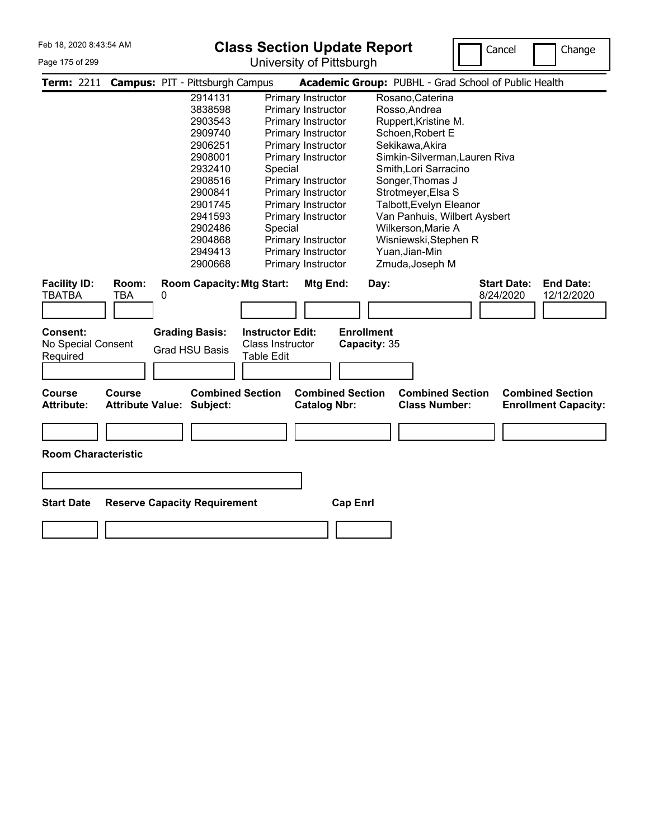#### Page 175 of 299

# **Class Section Update Report**

University of Pittsburgh



|                                      |                                          | Term: 2211 Campus: PIT - Pittsburgh Campus |                         |                                                | Academic Group: PUBHL - Grad School of Public Health                                                      |
|--------------------------------------|------------------------------------------|--------------------------------------------|-------------------------|------------------------------------------------|-----------------------------------------------------------------------------------------------------------|
|                                      |                                          | 2914131                                    |                         | Primary Instructor                             | Rosano, Caterina                                                                                          |
|                                      |                                          | 3838598                                    |                         | Primary Instructor                             | Rosso, Andrea                                                                                             |
|                                      |                                          | 2903543                                    |                         | Primary Instructor                             | Ruppert, Kristine M.                                                                                      |
|                                      |                                          | 2909740                                    |                         | Primary Instructor                             | Schoen, Robert E                                                                                          |
|                                      |                                          | 2906251                                    |                         | Primary Instructor                             | Sekikawa, Akira                                                                                           |
|                                      |                                          | 2908001                                    |                         | Primary Instructor                             | Simkin-Silverman, Lauren Riva                                                                             |
|                                      |                                          | 2932410                                    | Special                 |                                                | Smith, Lori Sarracino                                                                                     |
|                                      |                                          | 2908516                                    |                         | Primary Instructor                             | Songer, Thomas J                                                                                          |
|                                      |                                          | 2900841                                    |                         | Primary Instructor                             | Strotmeyer, Elsa S                                                                                        |
|                                      |                                          | 2901745                                    |                         | Primary Instructor                             | Talbott, Evelyn Eleanor                                                                                   |
|                                      |                                          | 2941593                                    |                         | Primary Instructor                             | Van Panhuis, Wilbert Aysbert                                                                              |
|                                      |                                          | 2902486                                    | Special                 |                                                | Wilkerson, Marie A                                                                                        |
|                                      |                                          | 2904868                                    |                         | Primary Instructor                             | Wisniewski, Stephen R                                                                                     |
|                                      |                                          | 2949413                                    |                         | Primary Instructor                             | Yuan, Jian-Min                                                                                            |
|                                      |                                          | 2900668                                    |                         | Primary Instructor                             | Zmuda, Joseph M                                                                                           |
| <b>Facility ID:</b><br><b>TBATBA</b> | Room:<br><b>TBA</b>                      | <b>Room Capacity: Mtg Start:</b><br>0      |                         | Mtg End:                                       | <b>End Date:</b><br><b>Start Date:</b><br>Day:<br>8/24/2020<br>12/12/2020                                 |
| Consent:                             |                                          | <b>Grading Basis:</b>                      | <b>Instructor Edit:</b> |                                                | <b>Enrollment</b>                                                                                         |
| No Special Consent                   |                                          |                                            | Class Instructor        |                                                | Capacity: 35                                                                                              |
| Required                             |                                          | <b>Grad HSU Basis</b>                      | Table Edit              |                                                |                                                                                                           |
|                                      |                                          |                                            |                         |                                                |                                                                                                           |
|                                      |                                          |                                            |                         |                                                |                                                                                                           |
| <b>Course</b><br><b>Attribute:</b>   | <b>Course</b><br><b>Attribute Value:</b> | Subject:                                   | <b>Combined Section</b> | <b>Combined Section</b><br><b>Catalog Nbr:</b> | <b>Combined Section</b><br><b>Combined Section</b><br><b>Class Number:</b><br><b>Enrollment Capacity:</b> |
| <b>Room Characteristic</b>           |                                          |                                            |                         |                                                |                                                                                                           |
| <b>Start Date</b>                    |                                          | <b>Reserve Capacity Requirement</b>        |                         | <b>Cap Enrl</b>                                |                                                                                                           |
|                                      |                                          |                                            |                         |                                                |                                                                                                           |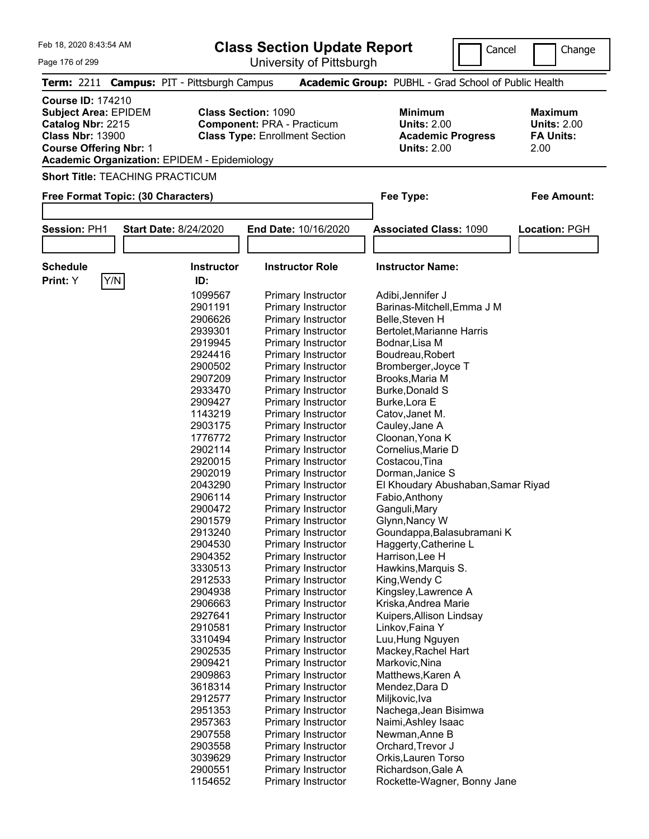| Feb 18, 2020 8:43:54 AM                                                                                                                                                                         |                                                                                                                                                                                                                                                                                                                                                                                                                                | <b>Class Section Update Report</b>                                                                                                                                                                                                                                                                                                                                                                                                                                                                                                                                                                                                                                                                                                                                                                                                                                                                  | Cancel                                                                                                                                                                                                                                                                                                                                                                                                                                                                                                                                                                                                                                                                                                                                                                                                                                      | Change                                                           |
|-------------------------------------------------------------------------------------------------------------------------------------------------------------------------------------------------|--------------------------------------------------------------------------------------------------------------------------------------------------------------------------------------------------------------------------------------------------------------------------------------------------------------------------------------------------------------------------------------------------------------------------------|-----------------------------------------------------------------------------------------------------------------------------------------------------------------------------------------------------------------------------------------------------------------------------------------------------------------------------------------------------------------------------------------------------------------------------------------------------------------------------------------------------------------------------------------------------------------------------------------------------------------------------------------------------------------------------------------------------------------------------------------------------------------------------------------------------------------------------------------------------------------------------------------------------|---------------------------------------------------------------------------------------------------------------------------------------------------------------------------------------------------------------------------------------------------------------------------------------------------------------------------------------------------------------------------------------------------------------------------------------------------------------------------------------------------------------------------------------------------------------------------------------------------------------------------------------------------------------------------------------------------------------------------------------------------------------------------------------------------------------------------------------------|------------------------------------------------------------------|
| Page 176 of 299                                                                                                                                                                                 |                                                                                                                                                                                                                                                                                                                                                                                                                                | University of Pittsburgh                                                                                                                                                                                                                                                                                                                                                                                                                                                                                                                                                                                                                                                                                                                                                                                                                                                                            |                                                                                                                                                                                                                                                                                                                                                                                                                                                                                                                                                                                                                                                                                                                                                                                                                                             |                                                                  |
| <b>Term: 2211</b>                                                                                                                                                                               | <b>Campus: PIT - Pittsburgh Campus</b>                                                                                                                                                                                                                                                                                                                                                                                         |                                                                                                                                                                                                                                                                                                                                                                                                                                                                                                                                                                                                                                                                                                                                                                                                                                                                                                     | Academic Group: PUBHL - Grad School of Public Health                                                                                                                                                                                                                                                                                                                                                                                                                                                                                                                                                                                                                                                                                                                                                                                        |                                                                  |
| <b>Course ID: 174210</b><br><b>Subject Area: EPIDEM</b><br>Catalog Nbr: 2215<br><b>Class Nbr: 13900</b><br><b>Course Offering Nbr: 1</b><br><b>Academic Organization: EPIDEM - Epidemiology</b> | <b>Class Section: 1090</b>                                                                                                                                                                                                                                                                                                                                                                                                     | <b>Component: PRA - Practicum</b><br><b>Class Type: Enrollment Section</b>                                                                                                                                                                                                                                                                                                                                                                                                                                                                                                                                                                                                                                                                                                                                                                                                                          | <b>Minimum</b><br><b>Units: 2.00</b><br><b>Academic Progress</b><br><b>Units: 2.00</b>                                                                                                                                                                                                                                                                                                                                                                                                                                                                                                                                                                                                                                                                                                                                                      | <b>Maximum</b><br><b>Units: 2.00</b><br><b>FA Units:</b><br>2.00 |
| <b>Short Title: TEACHING PRACTICUM</b>                                                                                                                                                          |                                                                                                                                                                                                                                                                                                                                                                                                                                |                                                                                                                                                                                                                                                                                                                                                                                                                                                                                                                                                                                                                                                                                                                                                                                                                                                                                                     |                                                                                                                                                                                                                                                                                                                                                                                                                                                                                                                                                                                                                                                                                                                                                                                                                                             |                                                                  |
| Free Format Topic: (30 Characters)                                                                                                                                                              |                                                                                                                                                                                                                                                                                                                                                                                                                                |                                                                                                                                                                                                                                                                                                                                                                                                                                                                                                                                                                                                                                                                                                                                                                                                                                                                                                     | Fee Type:                                                                                                                                                                                                                                                                                                                                                                                                                                                                                                                                                                                                                                                                                                                                                                                                                                   | <b>Fee Amount:</b>                                               |
|                                                                                                                                                                                                 |                                                                                                                                                                                                                                                                                                                                                                                                                                |                                                                                                                                                                                                                                                                                                                                                                                                                                                                                                                                                                                                                                                                                                                                                                                                                                                                                                     |                                                                                                                                                                                                                                                                                                                                                                                                                                                                                                                                                                                                                                                                                                                                                                                                                                             |                                                                  |
| Session: PH1                                                                                                                                                                                    | <b>Start Date: 8/24/2020</b>                                                                                                                                                                                                                                                                                                                                                                                                   | <b>End Date: 10/16/2020</b>                                                                                                                                                                                                                                                                                                                                                                                                                                                                                                                                                                                                                                                                                                                                                                                                                                                                         | <b>Associated Class: 1090</b>                                                                                                                                                                                                                                                                                                                                                                                                                                                                                                                                                                                                                                                                                                                                                                                                               | <b>Location: PGH</b>                                             |
|                                                                                                                                                                                                 |                                                                                                                                                                                                                                                                                                                                                                                                                                |                                                                                                                                                                                                                                                                                                                                                                                                                                                                                                                                                                                                                                                                                                                                                                                                                                                                                                     |                                                                                                                                                                                                                                                                                                                                                                                                                                                                                                                                                                                                                                                                                                                                                                                                                                             |                                                                  |
| <b>Schedule</b><br>Y/N<br>Print: Y                                                                                                                                                              | <b>Instructor</b><br>ID:                                                                                                                                                                                                                                                                                                                                                                                                       | <b>Instructor Role</b>                                                                                                                                                                                                                                                                                                                                                                                                                                                                                                                                                                                                                                                                                                                                                                                                                                                                              | <b>Instructor Name:</b>                                                                                                                                                                                                                                                                                                                                                                                                                                                                                                                                                                                                                                                                                                                                                                                                                     |                                                                  |
|                                                                                                                                                                                                 | 1099567<br>2901191<br>2906626<br>2939301<br>2919945<br>2924416<br>2900502<br>2907209<br>2933470<br>2909427<br>1143219<br>2903175<br>1776772<br>2902114<br>2920015<br>2902019<br>2043290<br>2906114<br>2900472<br>2901579<br>2913240<br>2904530<br>2904352<br>3330513<br>2912533<br>2904938<br>2906663<br>2927641<br>2910581<br>3310494<br>2902535<br>2909421<br>2909863<br>3618314<br>2912577<br>2951353<br>2957363<br>2907558 | Primary Instructor<br>Primary Instructor<br>Primary Instructor<br>Primary Instructor<br>Primary Instructor<br>Primary Instructor<br>Primary Instructor<br>Primary Instructor<br>Primary Instructor<br>Primary Instructor<br>Primary Instructor<br>Primary Instructor<br>Primary Instructor<br>Primary Instructor<br>Primary Instructor<br>Primary Instructor<br>Primary Instructor<br>Primary Instructor<br>Primary Instructor<br>Primary Instructor<br>Primary Instructor<br>Primary Instructor<br>Primary Instructor<br><b>Primary Instructor</b><br>Primary Instructor<br><b>Primary Instructor</b><br>Primary Instructor<br>Primary Instructor<br>Primary Instructor<br>Primary Instructor<br><b>Primary Instructor</b><br><b>Primary Instructor</b><br><b>Primary Instructor</b><br>Primary Instructor<br>Primary Instructor<br>Primary Instructor<br>Primary Instructor<br>Primary Instructor | Adibi, Jennifer J<br>Barinas-Mitchell, Emma J M<br>Belle, Steven H<br>Bertolet, Marianne Harris<br>Bodnar, Lisa M<br>Boudreau, Robert<br>Bromberger, Joyce T<br>Brooks, Maria M<br>Burke, Donald S<br>Burke, Lora E<br>Catov, Janet M.<br>Cauley, Jane A<br>Cloonan, Yona K<br>Cornelius, Marie D<br>Costacou, Tina<br>Dorman, Janice S<br>El Khoudary Abushaban, Samar Riyad<br>Fabio, Anthony<br>Ganguli, Mary<br>Glynn, Nancy W<br>Goundappa, Balasubramani K<br>Haggerty, Catherine L<br>Harrison, Lee H<br>Hawkins, Marquis S.<br>King, Wendy C<br>Kingsley, Lawrence A<br>Kriska, Andrea Marie<br>Kuipers, Allison Lindsay<br>Linkov, Faina Y<br>Luu, Hung Nguyen<br>Mackey, Rachel Hart<br>Markovic, Nina<br>Matthews, Karen A<br>Mendez, Dara D<br>Miljkovic, Iva<br>Nachega, Jean Bisimwa<br>Naimi, Ashley Isaac<br>Newman, Anne B |                                                                  |

 Primary Instructor Newman,Anne B Primary Instructor Orchard,Trevor J Primary Instructor Orkis,Lauren Torso 2900551 Primary Instructor Richardson, Gale A<br>1154652 Primary Instructor Rockette-Wagner, E

Rockette-Wagner, Bonny Jane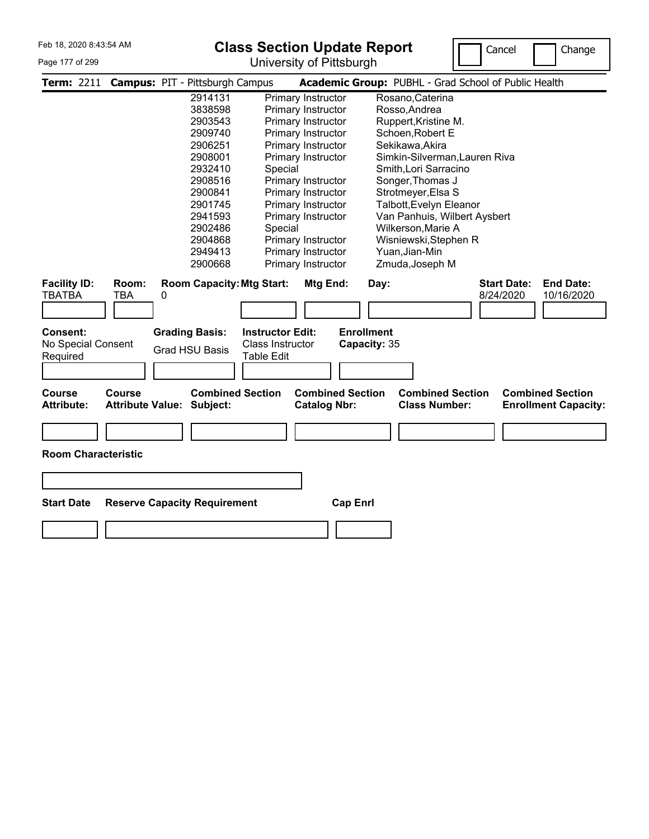### Page 177 of 299

# **Class Section Update Report**

University of Pittsburgh



| Term: 2211 Campus: PIT - Pittsburgh Campus |                                     |   |                                     |                                  |                                                |                   | Academic Group: PUBHL - Grad School of Public Health |                    |                                                        |
|--------------------------------------------|-------------------------------------|---|-------------------------------------|----------------------------------|------------------------------------------------|-------------------|------------------------------------------------------|--------------------|--------------------------------------------------------|
|                                            |                                     |   | 2914131                             |                                  | Primary Instructor                             |                   | Rosano, Caterina                                     |                    |                                                        |
|                                            |                                     |   | 3838598                             |                                  | Primary Instructor                             |                   | Rosso, Andrea                                        |                    |                                                        |
|                                            |                                     |   | 2903543                             |                                  | Primary Instructor                             |                   | Ruppert, Kristine M.                                 |                    |                                                        |
|                                            |                                     |   | 2909740                             |                                  | Primary Instructor                             |                   | Schoen, Robert E                                     |                    |                                                        |
|                                            |                                     |   | 2906251                             |                                  | Primary Instructor                             |                   | Sekikawa, Akira                                      |                    |                                                        |
|                                            |                                     |   | 2908001                             |                                  | Primary Instructor                             |                   | Simkin-Silverman, Lauren Riva                        |                    |                                                        |
|                                            |                                     |   | 2932410                             | Special                          |                                                |                   | Smith, Lori Sarracino                                |                    |                                                        |
|                                            |                                     |   | 2908516                             |                                  | Primary Instructor                             |                   | Songer, Thomas J                                     |                    |                                                        |
|                                            |                                     |   | 2900841                             |                                  | Primary Instructor                             |                   | Strotmeyer, Elsa S                                   |                    |                                                        |
|                                            |                                     |   | 2901745                             |                                  | Primary Instructor                             |                   | Talbott, Evelyn Eleanor                              |                    |                                                        |
|                                            |                                     |   | 2941593                             |                                  | Primary Instructor                             |                   | Van Panhuis, Wilbert Aysbert                         |                    |                                                        |
|                                            |                                     |   | 2902486                             | Special                          |                                                |                   | Wilkerson, Marie A                                   |                    |                                                        |
|                                            |                                     |   | 2904868                             |                                  | Primary Instructor                             |                   | Wisniewski, Stephen R                                |                    |                                                        |
|                                            |                                     |   | 2949413                             |                                  | Primary Instructor                             |                   | Yuan, Jian-Min                                       |                    |                                                        |
|                                            |                                     |   | 2900668                             |                                  | Primary Instructor                             |                   | Zmuda, Joseph M                                      |                    |                                                        |
| <b>Facility ID:</b>                        | Room:                               |   |                                     | <b>Room Capacity: Mtg Start:</b> | Mtg End:                                       | Day:              |                                                      | <b>Start Date:</b> | <b>End Date:</b>                                       |
| TBATBA                                     | <b>TBA</b>                          | 0 |                                     |                                  |                                                |                   |                                                      | 8/24/2020          | 10/16/2020                                             |
|                                            |                                     |   |                                     |                                  |                                                |                   |                                                      |                    |                                                        |
|                                            |                                     |   |                                     |                                  |                                                |                   |                                                      |                    |                                                        |
| Consent:                                   |                                     |   | <b>Grading Basis:</b>               | <b>Instructor Edit:</b>          |                                                | <b>Enrollment</b> |                                                      |                    |                                                        |
| No Special Consent                         |                                     |   | <b>Grad HSU Basis</b>               | <b>Class Instructor</b>          |                                                | Capacity: 35      |                                                      |                    |                                                        |
| Required                                   |                                     |   |                                     | <b>Table Edit</b>                |                                                |                   |                                                      |                    |                                                        |
|                                            |                                     |   |                                     |                                  |                                                |                   |                                                      |                    |                                                        |
|                                            |                                     |   |                                     |                                  |                                                |                   |                                                      |                    |                                                        |
| <b>Course</b><br><b>Attribute:</b>         | Course<br><b>Attribute Value:</b>   |   | <b>Combined Section</b><br>Subject: |                                  | <b>Combined Section</b><br><b>Catalog Nbr:</b> |                   | <b>Combined Section</b><br><b>Class Number:</b>      |                    | <b>Combined Section</b><br><b>Enrollment Capacity:</b> |
|                                            |                                     |   |                                     |                                  |                                                |                   |                                                      |                    |                                                        |
|                                            |                                     |   |                                     |                                  |                                                |                   |                                                      |                    |                                                        |
|                                            |                                     |   |                                     |                                  |                                                |                   |                                                      |                    |                                                        |
| <b>Room Characteristic</b>                 |                                     |   |                                     |                                  |                                                |                   |                                                      |                    |                                                        |
|                                            |                                     |   |                                     |                                  |                                                |                   |                                                      |                    |                                                        |
|                                            |                                     |   |                                     |                                  |                                                |                   |                                                      |                    |                                                        |
|                                            |                                     |   |                                     |                                  |                                                |                   |                                                      |                    |                                                        |
| <b>Start Date</b>                          | <b>Reserve Capacity Requirement</b> |   |                                     |                                  |                                                | <b>Cap Enrl</b>   |                                                      |                    |                                                        |
|                                            |                                     |   |                                     |                                  |                                                |                   |                                                      |                    |                                                        |
|                                            |                                     |   |                                     |                                  |                                                |                   |                                                      |                    |                                                        |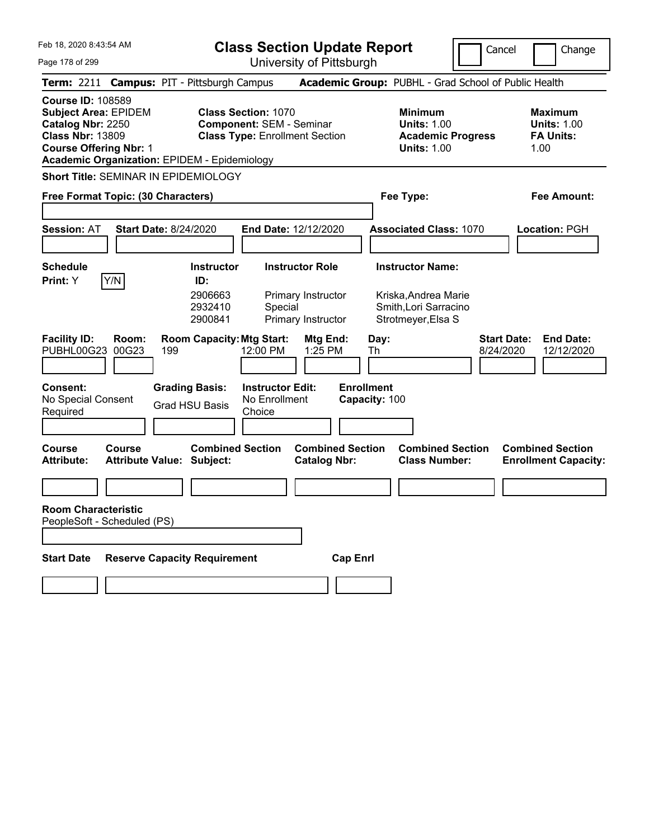|  | Feb 18, 2020 8:43:54 AM |  |
|--|-------------------------|--|
|  |                         |  |

University of Pittsburgh

Cancel **Change** 

| Page 178 of 299 |
|-----------------|
|-----------------|

|                                                                                                                                          |                | Term: 2211 Campus: PIT - Pittsburgh Campus                  |                                                               |                                                |                                    | Academic Group: PUBHL - Grad School of Public Health                                   |                                 |                                                                  |
|------------------------------------------------------------------------------------------------------------------------------------------|----------------|-------------------------------------------------------------|---------------------------------------------------------------|------------------------------------------------|------------------------------------|----------------------------------------------------------------------------------------|---------------------------------|------------------------------------------------------------------|
| <b>Course ID: 108589</b><br><b>Subject Area: EPIDEM</b><br>Catalog Nbr: 2250<br><b>Class Nbr: 13809</b><br><b>Course Offering Nbr: 1</b> |                | <b>Academic Organization: EPIDEM - Epidemiology</b>         | <b>Class Section: 1070</b><br><b>Component: SEM - Seminar</b> | <b>Class Type: Enrollment Section</b>          |                                    | <b>Minimum</b><br><b>Units: 1.00</b><br><b>Academic Progress</b><br><b>Units: 1.00</b> |                                 | <b>Maximum</b><br><b>Units: 1.00</b><br><b>FA Units:</b><br>1.00 |
|                                                                                                                                          |                | <b>Short Title: SEMINAR IN EPIDEMIOLOGY</b>                 |                                                               |                                                |                                    |                                                                                        |                                 |                                                                  |
| Free Format Topic: (30 Characters)                                                                                                       |                |                                                             |                                                               |                                                |                                    | Fee Type:                                                                              |                                 | <b>Fee Amount:</b>                                               |
| <b>Session: AT</b>                                                                                                                       |                | <b>Start Date: 8/24/2020</b>                                |                                                               | End Date: 12/12/2020                           |                                    | <b>Associated Class: 1070</b>                                                          |                                 | Location: PGH                                                    |
| <b>Schedule</b>                                                                                                                          |                | <b>Instructor</b>                                           |                                                               | <b>Instructor Role</b>                         |                                    | <b>Instructor Name:</b>                                                                |                                 |                                                                  |
| <b>Print:</b> Y                                                                                                                          | Y/N            | ID:<br>2906663<br>2932410<br>2900841                        | Special                                                       | Primary Instructor<br>Primary Instructor       |                                    | Kriska.Andrea Marie<br>Smith, Lori Sarracino<br>Strotmeyer, Elsa S                     |                                 |                                                                  |
| <b>Facility ID:</b><br>PUBHL00G23                                                                                                        | Room:<br>00G23 | <b>Room Capacity: Mtg Start:</b><br>199                     | 12:00 PM                                                      | Mtg End:<br>1:25 PM                            | Day:<br>Th                         |                                                                                        | <b>Start Date:</b><br>8/24/2020 | <b>End Date:</b><br>12/12/2020                                   |
| Consent:<br>No Special Consent<br>Required                                                                                               |                | <b>Grading Basis:</b><br>Grad HSU Basis                     | <b>Instructor Edit:</b><br>No Enrollment<br>Choice            |                                                | <b>Enrollment</b><br>Capacity: 100 |                                                                                        |                                 |                                                                  |
| Course<br>Attribute:                                                                                                                     | Course         | <b>Combined Section</b><br><b>Attribute Value: Subject:</b> |                                                               | <b>Combined Section</b><br><b>Catalog Nbr:</b> |                                    | <b>Combined Section</b><br><b>Class Number:</b>                                        |                                 | <b>Combined Section</b><br><b>Enrollment Capacity:</b>           |
|                                                                                                                                          |                |                                                             |                                                               |                                                |                                    |                                                                                        |                                 |                                                                  |
| <b>Room Characteristic</b><br>PeopleSoft - Scheduled (PS)                                                                                |                |                                                             |                                                               |                                                |                                    |                                                                                        |                                 |                                                                  |
|                                                                                                                                          |                |                                                             |                                                               |                                                |                                    |                                                                                        |                                 |                                                                  |
| <b>Start Date</b>                                                                                                                        |                | <b>Reserve Capacity Requirement</b>                         |                                                               | <b>Cap Enrl</b>                                |                                    |                                                                                        |                                 |                                                                  |
|                                                                                                                                          |                |                                                             |                                                               |                                                |                                    |                                                                                        |                                 |                                                                  |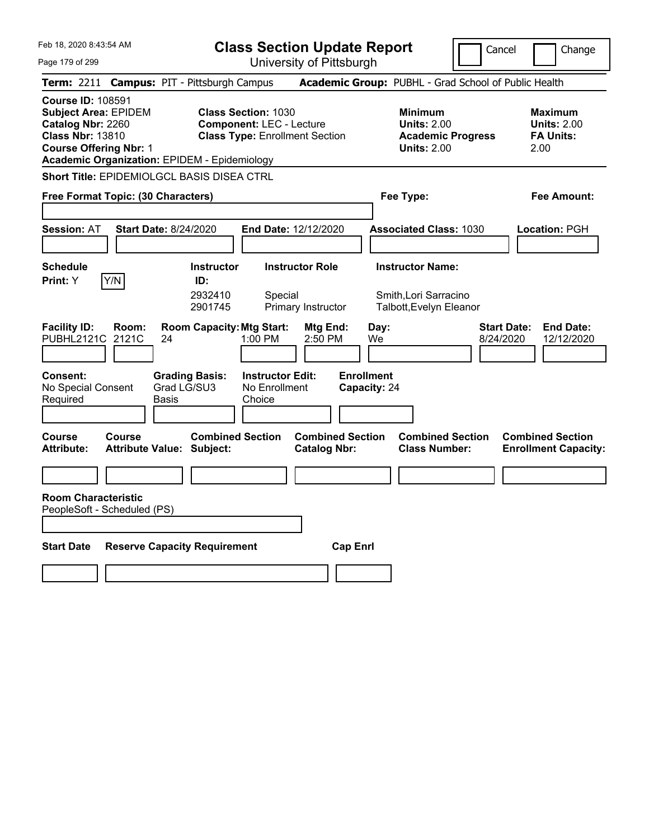**Class Section Update Report**

University of Pittsburgh

Cancel **Change** 

Page 179 of 299

|                                                                                                                                          |                                                                          | University Of Fillspurgh                                                                               |                                                                                        |                                                                   |
|------------------------------------------------------------------------------------------------------------------------------------------|--------------------------------------------------------------------------|--------------------------------------------------------------------------------------------------------|----------------------------------------------------------------------------------------|-------------------------------------------------------------------|
|                                                                                                                                          | Term: 2211 Campus: PIT - Pittsburgh Campus                               |                                                                                                        | Academic Group: PUBHL - Grad School of Public Health                                   |                                                                   |
| <b>Course ID: 108591</b><br><b>Subject Area: EPIDEM</b><br>Catalog Nbr: 2260<br><b>Class Nbr: 13810</b><br><b>Course Offering Nbr: 1</b> | <b>Academic Organization: EPIDEM - Epidemiology</b>                      | <b>Class Section: 1030</b><br><b>Component: LEC - Lecture</b><br><b>Class Type: Enrollment Section</b> | <b>Minimum</b><br><b>Units: 2.00</b><br><b>Academic Progress</b><br><b>Units: 2.00</b> | <b>Maximum</b><br><b>Units: 2.00</b><br><b>FA Units:</b><br>2.00  |
|                                                                                                                                          | Short Title: EPIDEMIOLGCL BASIS DISEA CTRL                               |                                                                                                        |                                                                                        |                                                                   |
| Free Format Topic: (30 Characters)                                                                                                       |                                                                          |                                                                                                        | Fee Type:                                                                              | <b>Fee Amount:</b>                                                |
| <b>Session: AT</b>                                                                                                                       | <b>Start Date: 8/24/2020</b>                                             | End Date: 12/12/2020                                                                                   | <b>Associated Class: 1030</b>                                                          | Location: PGH                                                     |
| <b>Schedule</b><br>Y/N<br>Print: Y                                                                                                       | <b>Instructor</b><br>ID:<br>2932410<br>2901745                           | <b>Instructor Role</b><br>Special<br>Primary Instructor                                                | <b>Instructor Name:</b><br>Smith, Lori Sarracino<br>Talbott, Evelyn Eleanor            |                                                                   |
| <b>Facility ID:</b><br>Room:<br>PUBHL2121C<br>2121C                                                                                      | <b>Room Capacity: Mtg Start:</b><br>24                                   | Mtg End:<br>1:00 PM<br>2:50 PM                                                                         | Day:<br>We                                                                             | <b>Start Date:</b><br><b>End Date:</b><br>8/24/2020<br>12/12/2020 |
| Consent:<br>No Special Consent<br>Required<br>Course<br>Course                                                                           | <b>Grading Basis:</b><br>Grad LG/SU3<br>Basis<br><b>Combined Section</b> | <b>Instructor Edit:</b><br>No Enrollment<br>Choice<br><b>Combined Section</b>                          | <b>Enrollment</b><br>Capacity: 24<br><b>Combined Section</b>                           | <b>Combined Section</b>                                           |
| <b>Attribute:</b>                                                                                                                        | <b>Attribute Value: Subject:</b>                                         | <b>Catalog Nbr:</b>                                                                                    | <b>Class Number:</b>                                                                   | <b>Enrollment Capacity:</b>                                       |
| <b>Room Characteristic</b><br>PeopleSoft - Scheduled (PS)                                                                                |                                                                          |                                                                                                        |                                                                                        |                                                                   |
| <b>Start Date</b>                                                                                                                        | <b>Reserve Capacity Requirement</b>                                      |                                                                                                        | <b>Cap Enrl</b>                                                                        |                                                                   |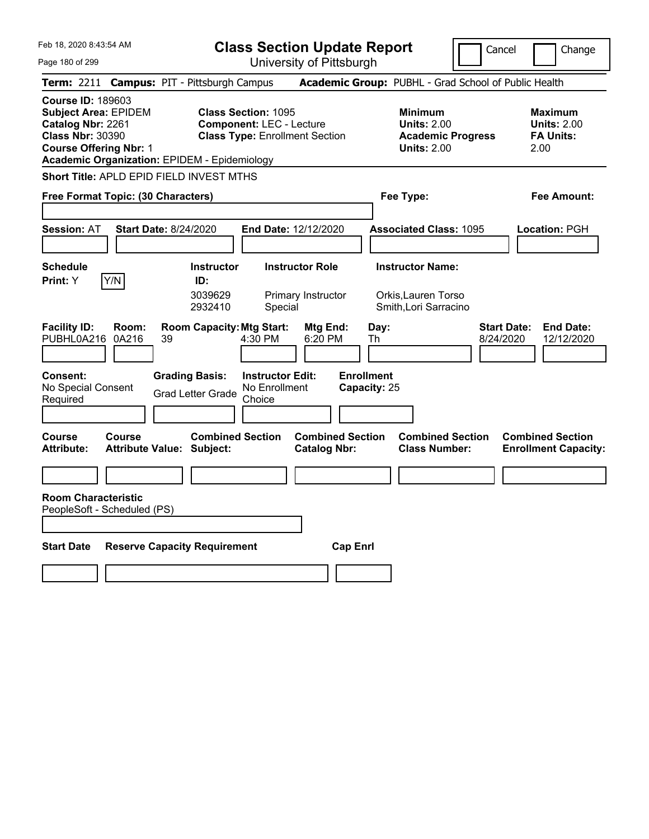| Feb 18, 2020 8:43:54 AM |  |  |  |  |  |
|-------------------------|--|--|--|--|--|
|-------------------------|--|--|--|--|--|

**Class Section Update Report**

Cancel **I** Change

Page 180 of 299

| Page 180 of 299                                                                                                                          |                |                                                                                             |                                                               | University of Pittsburgh                       |                                                 |                                                                                        |                                                                   |
|------------------------------------------------------------------------------------------------------------------------------------------|----------------|---------------------------------------------------------------------------------------------|---------------------------------------------------------------|------------------------------------------------|-------------------------------------------------|----------------------------------------------------------------------------------------|-------------------------------------------------------------------|
|                                                                                                                                          |                | Term: 2211 Campus: PIT - Pittsburgh Campus                                                  |                                                               |                                                |                                                 | Academic Group: PUBHL - Grad School of Public Health                                   |                                                                   |
| <b>Course ID: 189603</b><br><b>Subject Area: EPIDEM</b><br>Catalog Nbr: 2261<br><b>Class Nbr: 30390</b><br><b>Course Offering Nbr: 1</b> |                | <b>Academic Organization: EPIDEM - Epidemiology</b>                                         | <b>Class Section: 1095</b><br><b>Component: LEC - Lecture</b> | <b>Class Type: Enrollment Section</b>          |                                                 | <b>Minimum</b><br><b>Units: 2.00</b><br><b>Academic Progress</b><br><b>Units: 2.00</b> | Maximum<br><b>Units: 2.00</b><br><b>FA Units:</b><br>2.00         |
|                                                                                                                                          |                | Short Title: APLD EPID FIELD INVEST MTHS                                                    |                                                               |                                                |                                                 |                                                                                        |                                                                   |
| Free Format Topic: (30 Characters)                                                                                                       |                |                                                                                             |                                                               |                                                |                                                 | Fee Type:                                                                              | Fee Amount:                                                       |
| <b>Session: AT</b>                                                                                                                       |                | <b>Start Date: 8/24/2020</b>                                                                |                                                               | End Date: 12/12/2020                           |                                                 | <b>Associated Class: 1095</b>                                                          | Location: PGH                                                     |
| <b>Schedule</b><br>Print: Y                                                                                                              | Y/N            | <b>Instructor</b><br>ID:<br>3039629<br>2932410                                              | Special                                                       | <b>Instructor Role</b><br>Primary Instructor   |                                                 | <b>Instructor Name:</b><br>Orkis, Lauren Torso<br>Smith, Lori Sarracino                |                                                                   |
| <b>Facility ID:</b><br>PUBHL0A216<br><b>Consent:</b><br>No Special Consent<br>Required                                                   | Room:<br>0A216 | <b>Room Capacity: Mtg Start:</b><br>39<br><b>Grading Basis:</b><br><b>Grad Letter Grade</b> | 4:30 PM<br><b>Instructor Edit:</b><br>No Enrollment<br>Choice | Mtg End:<br>6:20 PM                            | Day:<br>Th<br><b>Enrollment</b><br>Capacity: 25 |                                                                                        | <b>Start Date:</b><br><b>End Date:</b><br>8/24/2020<br>12/12/2020 |
| <b>Course</b><br><b>Attribute:</b><br><b>Room Characteristic</b>                                                                         | Course         | <b>Combined Section</b><br><b>Attribute Value: Subject:</b>                                 |                                                               | <b>Combined Section</b><br><b>Catalog Nbr:</b> |                                                 | <b>Combined Section</b><br><b>Class Number:</b>                                        | <b>Combined Section</b><br><b>Enrollment Capacity:</b>            |
|                                                                                                                                          |                |                                                                                             |                                                               |                                                |                                                 |                                                                                        |                                                                   |
| <b>Start Date</b>                                                                                                                        |                | <b>Reserve Capacity Requirement</b>                                                         |                                                               | <b>Cap Enrl</b>                                |                                                 |                                                                                        |                                                                   |
| PeopleSoft - Scheduled (PS)                                                                                                              |                |                                                                                             |                                                               |                                                |                                                 |                                                                                        |                                                                   |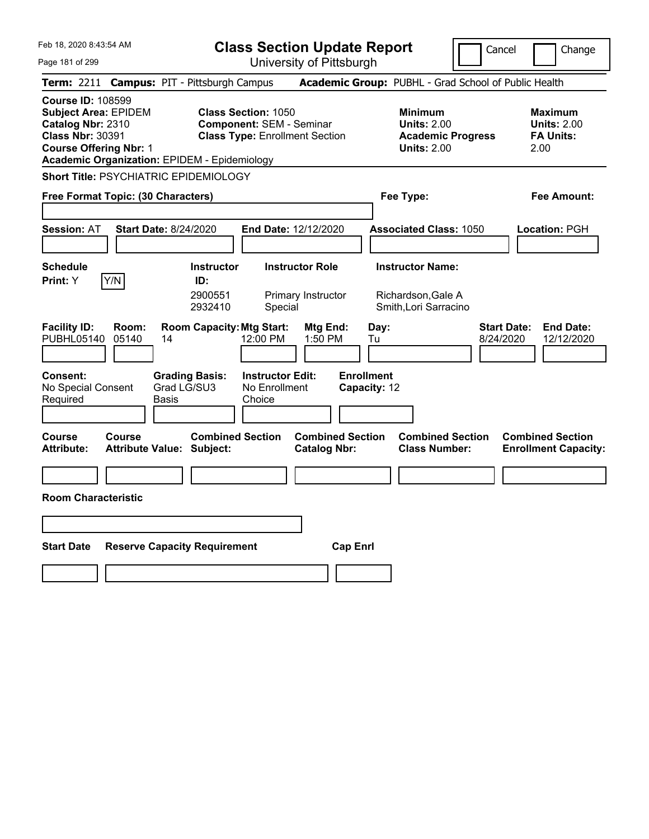|  | Feb 18, 2020 8:43:54 AM |  |
|--|-------------------------|--|
|  |                         |  |

**Class Section Update Report** University of Pittsburgh

Cancel **Change** 

Page 181 of 299

|                                                                                                                                                                                               |                | Term: 2211 Campus: PIT - Pittsburgh Campus                  |                                                                                                        |                                                |            | Academic Group: PUBHL - Grad School of Public Health                                   |                                 |                                                                  |
|-----------------------------------------------------------------------------------------------------------------------------------------------------------------------------------------------|----------------|-------------------------------------------------------------|--------------------------------------------------------------------------------------------------------|------------------------------------------------|------------|----------------------------------------------------------------------------------------|---------------------------------|------------------------------------------------------------------|
| <b>Course ID: 108599</b><br><b>Subject Area: EPIDEM</b><br>Catalog Nbr: 2310<br><b>Class Nbr: 30391</b><br><b>Course Offering Nbr: 1</b>                                                      |                | <b>Academic Organization: EPIDEM - Epidemiology</b>         | <b>Class Section: 1050</b><br><b>Component: SEM - Seminar</b><br><b>Class Type: Enrollment Section</b> |                                                |            | <b>Minimum</b><br><b>Units: 2.00</b><br><b>Academic Progress</b><br><b>Units: 2.00</b> |                                 | <b>Maximum</b><br><b>Units: 2.00</b><br><b>FA Units:</b><br>2.00 |
|                                                                                                                                                                                               |                | <b>Short Title: PSYCHIATRIC EPIDEMIOLOGY</b>                |                                                                                                        |                                                |            |                                                                                        |                                 |                                                                  |
| Free Format Topic: (30 Characters)                                                                                                                                                            |                |                                                             |                                                                                                        |                                                |            | Fee Type:                                                                              |                                 | <b>Fee Amount:</b>                                               |
| <b>Session: AT</b>                                                                                                                                                                            |                | <b>Start Date: 8/24/2020</b>                                | <b>End Date: 12/12/2020</b>                                                                            |                                                |            | <b>Associated Class: 1050</b>                                                          |                                 | Location: PGH                                                    |
| <b>Schedule</b><br><b>Print:</b> Y                                                                                                                                                            | Y/N            | <b>Instructor</b><br>ID:<br>2900551<br>2932410              | <b>Instructor Role</b><br>Primary Instructor<br>Special                                                |                                                |            | <b>Instructor Name:</b><br>Richardson, Gale A<br>Smith, Lori Sarracino                 |                                 |                                                                  |
| <b>Facility ID:</b><br>PUBHL05140                                                                                                                                                             | Room:<br>05140 | <b>Room Capacity: Mtg Start:</b><br>14                      | 12:00 PM                                                                                               | Mtg End:<br>1:50 PM                            | Day:<br>Tu |                                                                                        | <b>Start Date:</b><br>8/24/2020 | <b>End Date:</b><br>12/12/2020                                   |
| <b>Instructor Edit:</b><br><b>Enrollment</b><br><b>Consent:</b><br><b>Grading Basis:</b><br>Grad LG/SU3<br>No Enrollment<br>No Special Consent<br>Capacity: 12<br>Required<br>Basis<br>Choice |                |                                                             |                                                                                                        |                                                |            |                                                                                        |                                 |                                                                  |
| Course<br>Attribute:                                                                                                                                                                          | Course         | <b>Combined Section</b><br><b>Attribute Value: Subject:</b> |                                                                                                        | <b>Combined Section</b><br><b>Catalog Nbr:</b> |            | <b>Combined Section</b><br><b>Class Number:</b>                                        |                                 | <b>Combined Section</b><br><b>Enrollment Capacity:</b>           |
| <b>Room Characteristic</b>                                                                                                                                                                    |                |                                                             |                                                                                                        |                                                |            |                                                                                        |                                 |                                                                  |
|                                                                                                                                                                                               |                |                                                             |                                                                                                        |                                                |            |                                                                                        |                                 |                                                                  |
|                                                                                                                                                                                               |                |                                                             |                                                                                                        |                                                |            |                                                                                        |                                 |                                                                  |
| <b>Start Date</b>                                                                                                                                                                             |                | <b>Reserve Capacity Requirement</b>                         |                                                                                                        | <b>Cap Enrl</b>                                |            |                                                                                        |                                 |                                                                  |
|                                                                                                                                                                                               |                |                                                             |                                                                                                        |                                                |            |                                                                                        |                                 |                                                                  |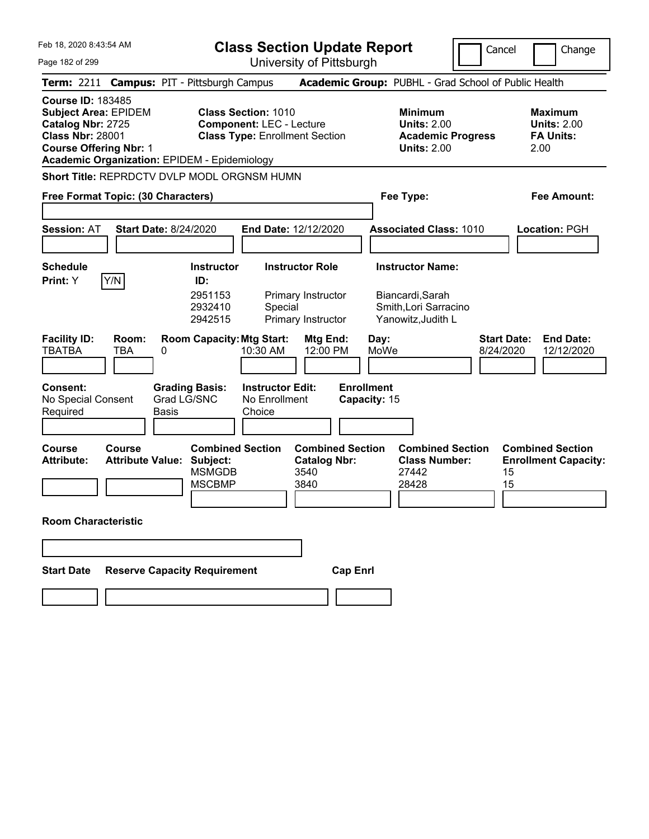|  | Feb 18, 2020 8:43:54 AM |  |
|--|-------------------------|--|
|  |                         |  |

**Class Section Update Report**

Cancel | Change

Page 182 of 299 University of Pittsburgh **Term:** 2211 **Campus:** PIT - Pittsburgh Campus **Academic Group:** PUBHL - Grad School of Public Health **Course ID:** 183485 **Subject Area: EPIDEM Class Section: 1010 Minimum 1010 Minimum 1010 Minimum 1010 Maximum Catalog Nbr: 2725 Component: LEC - Lecture** 1010 **Units: 2.00 Units: 2.00 Catalog Nbr: 2725 <b>Component:** LEC - Lecture **Units: 2.00**<br> **Class Nbr: 28001 Class Type:** Enrollment Section **Academic I Class Type:** Enrollment Section **Academic Progress FA Units: Course Offering Nbr:** 1 **Units:** 2.00 2.00 **Academic Organization:** EPIDEM - Epidemiology **Short Title: REPRDCTV DVLP MODL ORGNSM HUMN Print:**  $Y$   $|Y/N|$  **ID:** 

| Free Format Topic: (30 Characters)                |                                          |                              |                                                                       |                                                    |                                                                |                                   | Fee Type:                                                         |           |                    | <b>Fee Amount:</b>                                     |
|---------------------------------------------------|------------------------------------------|------------------------------|-----------------------------------------------------------------------|----------------------------------------------------|----------------------------------------------------------------|-----------------------------------|-------------------------------------------------------------------|-----------|--------------------|--------------------------------------------------------|
| <b>Session: AT</b>                                |                                          | <b>Start Date: 8/24/2020</b> |                                                                       | <b>End Date: 12/12/2020</b>                        |                                                                |                                   | <b>Associated Class: 1010</b>                                     |           |                    | Location: PGH                                          |
| Schedule                                          |                                          |                              | <b>Instructor</b>                                                     |                                                    | <b>Instructor Role</b>                                         |                                   | <b>Instructor Name:</b>                                           |           |                    |                                                        |
| Print: Y                                          | Y/N                                      |                              | ID:<br>2951153<br>2932410<br>2942515                                  | Special                                            | Primary Instructor<br>Primary Instructor                       |                                   | Biancardi, Sarah<br>Smith, Lori Sarracino<br>Yanowitz, Judith L   |           |                    |                                                        |
| <b>Facility ID:</b><br><b>TBATBA</b>              | Room:<br>TBA                             | 0                            |                                                                       | <b>Room Capacity: Mtg Start:</b><br>10:30 AM       | Mtg End:<br>12:00 PM                                           | Day:<br>MoWe                      |                                                                   | 8/24/2020 | <b>Start Date:</b> | <b>End Date:</b><br>12/12/2020                         |
| <b>Consent:</b><br>No Special Consent<br>Required |                                          | Grad LG/SNC<br>Basis         | <b>Grading Basis:</b>                                                 | <b>Instructor Edit:</b><br>No Enrollment<br>Choice |                                                                | <b>Enrollment</b><br>Capacity: 15 |                                                                   |           |                    |                                                        |
| Course<br><b>Attribute:</b>                       | <b>Course</b><br><b>Attribute Value:</b> |                              | <b>Combined Section</b><br>Subject:<br><b>MSMGDB</b><br><b>MSCBMP</b> |                                                    | <b>Combined Section</b><br><b>Catalog Nbr:</b><br>3540<br>3840 |                                   | <b>Combined Section</b><br><b>Class Number:</b><br>27442<br>28428 |           | 15<br>15           | <b>Combined Section</b><br><b>Enrollment Capacity:</b> |
| <b>Room Characteristic</b>                        |                                          |                              |                                                                       |                                                    |                                                                |                                   |                                                                   |           |                    |                                                        |

| Start Date | <b>Reserve Capacity Requirement</b> | <b>Cap Enri</b> |
|------------|-------------------------------------|-----------------|
|            |                                     |                 |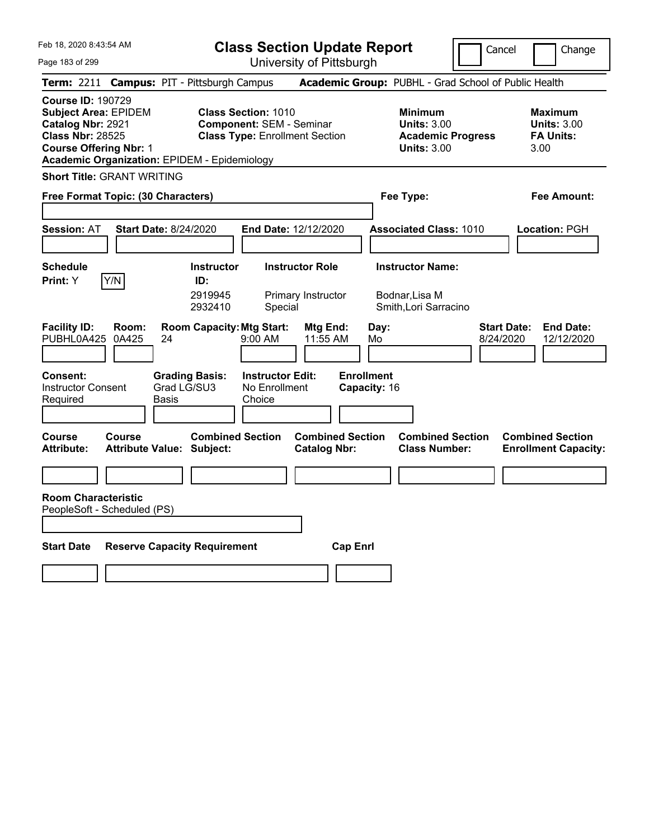| Feb 18, 2020 8:43:54 AM |  |  |  |  |  |
|-------------------------|--|--|--|--|--|
|-------------------------|--|--|--|--|--|

**Class Section Update Report**

Cancel **Change** 

Page 183 of 299

| Page 183 of 299                                                                                                                          |                |                                                             |                                                               | University of Pittsburgh                       |                                           |                                                                                        |                                                                   |
|------------------------------------------------------------------------------------------------------------------------------------------|----------------|-------------------------------------------------------------|---------------------------------------------------------------|------------------------------------------------|-------------------------------------------|----------------------------------------------------------------------------------------|-------------------------------------------------------------------|
|                                                                                                                                          |                | Term: 2211 Campus: PIT - Pittsburgh Campus                  |                                                               |                                                |                                           | Academic Group: PUBHL - Grad School of Public Health                                   |                                                                   |
| <b>Course ID: 190729</b><br><b>Subject Area: EPIDEM</b><br>Catalog Nbr: 2921<br><b>Class Nbr: 28525</b><br><b>Course Offering Nbr: 1</b> |                | <b>Academic Organization: EPIDEM - Epidemiology</b>         | <b>Class Section: 1010</b><br><b>Component: SEM - Seminar</b> | <b>Class Type: Enrollment Section</b>          |                                           | <b>Minimum</b><br><b>Units: 3.00</b><br><b>Academic Progress</b><br><b>Units: 3.00</b> | <b>Maximum</b><br><b>Units: 3.00</b><br><b>FA Units:</b><br>3.00  |
| <b>Short Title: GRANT WRITING</b>                                                                                                        |                |                                                             |                                                               |                                                |                                           |                                                                                        |                                                                   |
| Free Format Topic: (30 Characters)                                                                                                       |                |                                                             |                                                               |                                                | Fee Type:                                 |                                                                                        | Fee Amount:                                                       |
| Session: AT                                                                                                                              |                | <b>Start Date: 8/24/2020</b>                                |                                                               | End Date: 12/12/2020                           |                                           | <b>Associated Class: 1010</b>                                                          | Location: PGH                                                     |
| <b>Schedule</b><br>Print: Y                                                                                                              | Y/N            | <b>Instructor</b><br>ID:<br>2919945<br>2932410              | Special                                                       | <b>Instructor Role</b><br>Primary Instructor   | <b>Instructor Name:</b><br>Bodnar, Lisa M | Smith, Lori Sarracino                                                                  |                                                                   |
| <b>Facility ID:</b><br>PUBHL0A425                                                                                                        | Room:<br>0A425 | <b>Room Capacity: Mtg Start:</b><br>24                      | $9:00$ AM                                                     | Mtg End:<br>11:55 AM                           | Day:<br>Mo                                |                                                                                        | <b>End Date:</b><br><b>Start Date:</b><br>8/24/2020<br>12/12/2020 |
| <b>Consent:</b><br><b>Instructor Consent</b><br>Required                                                                                 |                | <b>Grading Basis:</b><br>Grad LG/SU3<br>Basis               | <b>Instructor Edit:</b><br>No Enrollment<br>Choice            |                                                | <b>Enrollment</b><br>Capacity: 16         |                                                                                        |                                                                   |
| <b>Course</b><br>Attribute:                                                                                                              | <b>Course</b>  | <b>Combined Section</b><br><b>Attribute Value: Subject:</b> |                                                               | <b>Combined Section</b><br><b>Catalog Nbr:</b> |                                           | <b>Combined Section</b><br><b>Class Number:</b>                                        | <b>Combined Section</b><br><b>Enrollment Capacity:</b>            |
| <b>Room Characteristic</b><br>PeopleSoft - Scheduled (PS)                                                                                |                |                                                             |                                                               |                                                |                                           |                                                                                        |                                                                   |
| <b>Start Date</b>                                                                                                                        |                | <b>Reserve Capacity Requirement</b>                         |                                                               | <b>Cap Enrl</b>                                |                                           |                                                                                        |                                                                   |
|                                                                                                                                          |                |                                                             |                                                               |                                                |                                           |                                                                                        |                                                                   |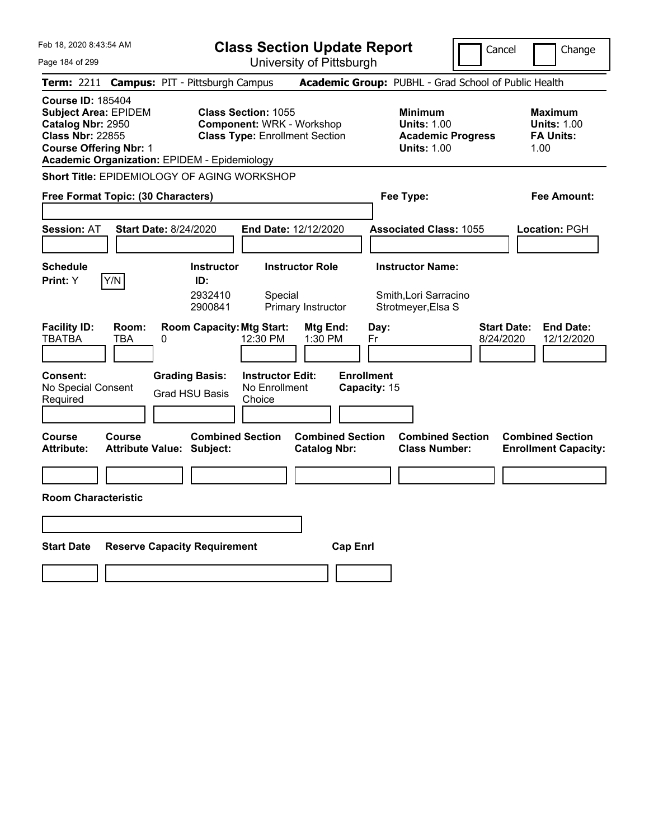|  | Feb 18, 2020 8:43:54 AM |  |
|--|-------------------------|--|
|  |                         |  |

University of Pittsburgh

Cancel **Change** 

Page 184 of 299

|                                                                                                                                          |                                            |   | Term: 2211 Campus: PIT - Pittsburgh Campus          |                                                                                                         |                                                |                 |                                   |                                                            | Academic Group: PUBHL - Grad School of Public Health                   |                                 |                                                                  |
|------------------------------------------------------------------------------------------------------------------------------------------|--------------------------------------------|---|-----------------------------------------------------|---------------------------------------------------------------------------------------------------------|------------------------------------------------|-----------------|-----------------------------------|------------------------------------------------------------|------------------------------------------------------------------------|---------------------------------|------------------------------------------------------------------|
| <b>Course ID: 185404</b><br><b>Subject Area: EPIDEM</b><br>Catalog Nbr: 2950<br><b>Class Nbr: 22855</b><br><b>Course Offering Nbr: 1</b> |                                            |   | <b>Academic Organization: EPIDEM - Epidemiology</b> | <b>Class Section: 1055</b><br><b>Component: WRK - Workshop</b><br><b>Class Type: Enrollment Section</b> |                                                |                 |                                   | <b>Minimum</b><br><b>Units: 1.00</b><br><b>Units: 1.00</b> | <b>Academic Progress</b>                                               |                                 | <b>Maximum</b><br><b>Units: 1.00</b><br><b>FA Units:</b><br>1.00 |
|                                                                                                                                          |                                            |   |                                                     | Short Title: EPIDEMIOLOGY OF AGING WORKSHOP                                                             |                                                |                 |                                   |                                                            |                                                                        |                                 |                                                                  |
| Free Format Topic: (30 Characters)                                                                                                       |                                            |   |                                                     |                                                                                                         |                                                |                 |                                   | Fee Type:                                                  |                                                                        |                                 | <b>Fee Amount:</b>                                               |
| <b>Session: AT</b>                                                                                                                       | <b>Start Date: 8/24/2020</b>               |   |                                                     | End Date: 12/12/2020                                                                                    |                                                |                 |                                   |                                                            | <b>Associated Class: 1055</b>                                          |                                 | Location: PGH                                                    |
| <b>Schedule</b><br>Print: Y                                                                                                              | Y/N                                        |   | <b>Instructor</b><br>ID:<br>2932410<br>2900841      | Special                                                                                                 | <b>Instructor Role</b><br>Primary Instructor   |                 |                                   |                                                            | <b>Instructor Name:</b><br>Smith, Lori Sarracino<br>Strotmeyer, Elsa S |                                 |                                                                  |
| <b>Facility ID:</b><br><b>TBATBA</b>                                                                                                     | Room:<br>TBA                               | 0 |                                                     | <b>Room Capacity: Mtg Start:</b><br>12:30 PM                                                            | Mtg End:<br>1:30 PM                            |                 | Day:<br>Fr                        |                                                            |                                                                        | <b>Start Date:</b><br>8/24/2020 | <b>End Date:</b><br>12/12/2020                                   |
| <b>Consent:</b><br>No Special Consent<br>Required                                                                                        |                                            |   | <b>Grading Basis:</b><br><b>Grad HSU Basis</b>      | <b>Instructor Edit:</b><br>No Enrollment<br>Choice                                                      |                                                |                 | <b>Enrollment</b><br>Capacity: 15 |                                                            |                                                                        |                                 |                                                                  |
| <b>Course</b><br><b>Attribute:</b>                                                                                                       | Course<br><b>Attribute Value: Subject:</b> |   | <b>Combined Section</b>                             |                                                                                                         | <b>Combined Section</b><br><b>Catalog Nbr:</b> |                 |                                   |                                                            | <b>Combined Section</b><br><b>Class Number:</b>                        |                                 | <b>Combined Section</b><br><b>Enrollment Capacity:</b>           |
| <b>Room Characteristic</b>                                                                                                               |                                            |   |                                                     |                                                                                                         |                                                |                 |                                   |                                                            |                                                                        |                                 |                                                                  |
| <b>Start Date</b>                                                                                                                        |                                            |   | <b>Reserve Capacity Requirement</b>                 |                                                                                                         |                                                | <b>Cap Enrl</b> |                                   |                                                            |                                                                        |                                 |                                                                  |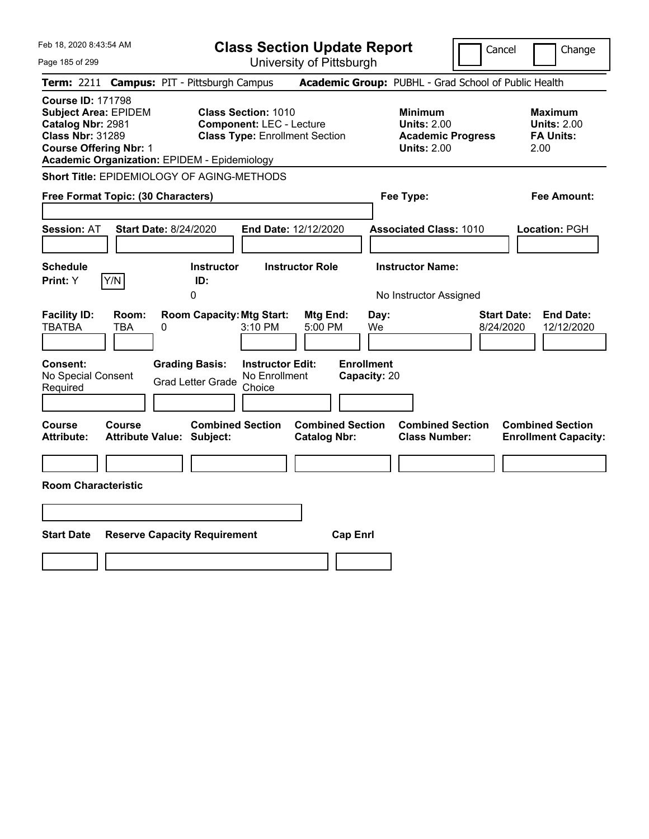| Feb 18, 2020 8:43:54 AM                                                                                                                                                                         |                                                                                                         | <b>Class Section Update Report</b>             |                                                                                        | Cancel<br>Change                                                  |
|-------------------------------------------------------------------------------------------------------------------------------------------------------------------------------------------------|---------------------------------------------------------------------------------------------------------|------------------------------------------------|----------------------------------------------------------------------------------------|-------------------------------------------------------------------|
| Page 185 of 299                                                                                                                                                                                 |                                                                                                         | University of Pittsburgh                       |                                                                                        |                                                                   |
| <b>Term: 2211</b>                                                                                                                                                                               | <b>Campus: PIT - Pittsburgh Campus</b>                                                                  |                                                | Academic Group: PUBHL - Grad School of Public Health                                   |                                                                   |
| <b>Course ID: 171798</b><br><b>Subject Area: EPIDEM</b><br>Catalog Nbr: 2981<br><b>Class Nbr: 31289</b><br><b>Course Offering Nbr: 1</b><br><b>Academic Organization: EPIDEM - Epidemiology</b> | <b>Class Section: 1010</b><br><b>Component: LEC - Lecture</b><br><b>Class Type: Enrollment Section</b>  |                                                | <b>Minimum</b><br><b>Units: 2.00</b><br><b>Academic Progress</b><br><b>Units: 2.00</b> | Maximum<br><b>Units: 2.00</b><br><b>FA Units:</b><br>2.00         |
| Short Title: EPIDEMIOLOGY OF AGING-METHODS                                                                                                                                                      |                                                                                                         |                                                |                                                                                        |                                                                   |
| Free Format Topic: (30 Characters)                                                                                                                                                              |                                                                                                         |                                                | Fee Type:                                                                              | Fee Amount:                                                       |
| Start Date: 8/24/2020<br><b>Session: AT</b>                                                                                                                                                     |                                                                                                         | End Date: 12/12/2020                           | <b>Associated Class: 1010</b>                                                          | Location: PGH                                                     |
| <b>Schedule</b><br>Y/N<br><b>Print:</b> Y                                                                                                                                                       | <b>Instructor</b><br>ID:<br>0                                                                           | <b>Instructor Role</b>                         | <b>Instructor Name:</b><br>No Instructor Assigned                                      |                                                                   |
| <b>Facility ID:</b><br>Room:<br><b>TBATBA</b><br>TBA<br>0                                                                                                                                       | <b>Room Capacity: Mtg Start:</b><br>3:10 PM                                                             | Mtg End:<br>Day:<br>5:00 PM<br>We              |                                                                                        | <b>Start Date:</b><br><b>End Date:</b><br>8/24/2020<br>12/12/2020 |
| <b>Consent:</b><br>No Special Consent<br>Required                                                                                                                                               | <b>Instructor Edit:</b><br><b>Grading Basis:</b><br>No Enrollment<br><b>Grad Letter Grade</b><br>Choice | <b>Enrollment</b><br>Capacity: 20              |                                                                                        |                                                                   |
| Course<br>Course<br><b>Attribute:</b><br><b>Attribute Value: Subject:</b>                                                                                                                       | <b>Combined Section</b>                                                                                 | <b>Combined Section</b><br><b>Catalog Nbr:</b> | <b>Combined Section</b><br><b>Class Number:</b>                                        | <b>Combined Section</b><br><b>Enrollment Capacity:</b>            |
|                                                                                                                                                                                                 |                                                                                                         |                                                |                                                                                        |                                                                   |
| <b>Room Characteristic</b>                                                                                                                                                                      |                                                                                                         |                                                |                                                                                        |                                                                   |
|                                                                                                                                                                                                 |                                                                                                         |                                                |                                                                                        |                                                                   |
| <b>Start Date</b>                                                                                                                                                                               | <b>Reserve Capacity Requirement</b>                                                                     | <b>Cap Enrl</b>                                |                                                                                        |                                                                   |
|                                                                                                                                                                                                 |                                                                                                         |                                                |                                                                                        |                                                                   |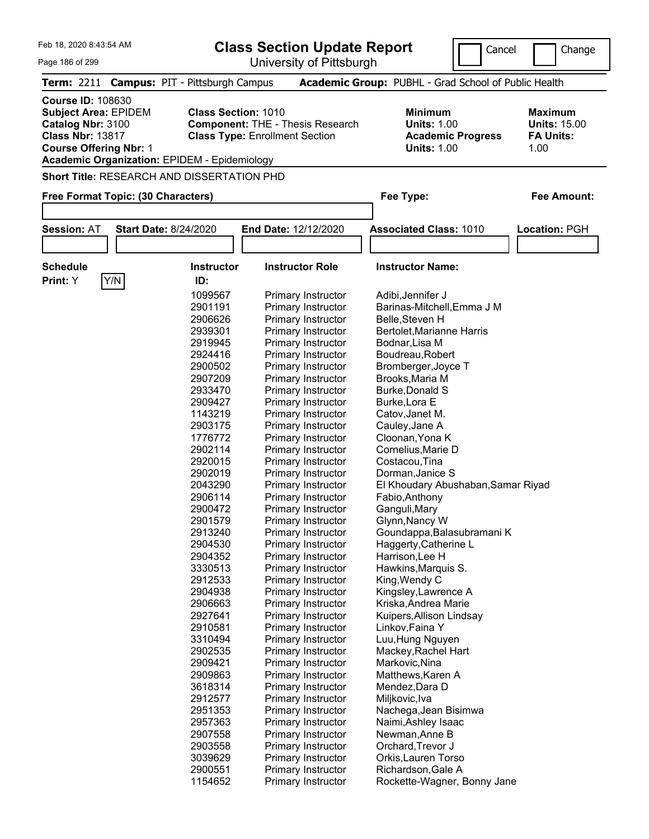| Feb 18, 2020 8:43:54 AM                                                                                                                  |     |                                                                                   | <b>Class Section Update Report</b>                                               | Cancel                                                                                 | Change                                                            |
|------------------------------------------------------------------------------------------------------------------------------------------|-----|-----------------------------------------------------------------------------------|----------------------------------------------------------------------------------|----------------------------------------------------------------------------------------|-------------------------------------------------------------------|
| Page 186 of 299                                                                                                                          |     |                                                                                   | University of Pittsburgh                                                         |                                                                                        |                                                                   |
|                                                                                                                                          |     | Term: 2211 Campus: PIT - Pittsburgh Campus                                        |                                                                                  | Academic Group: PUBHL - Grad School of Public Health                                   |                                                                   |
| <b>Course ID: 108630</b><br><b>Subject Area: EPIDEM</b><br>Catalog Nbr: 3100<br><b>Class Nbr: 13817</b><br><b>Course Offering Nbr: 1</b> |     | <b>Class Section: 1010</b><br><b>Academic Organization: EPIDEM - Epidemiology</b> | <b>Component: THE - Thesis Research</b><br><b>Class Type: Enrollment Section</b> | <b>Minimum</b><br><b>Units: 1.00</b><br><b>Academic Progress</b><br><b>Units: 1.00</b> | <b>Maximum</b><br><b>Units: 15.00</b><br><b>FA Units:</b><br>1.00 |
|                                                                                                                                          |     | Short Title: RESEARCH AND DISSERTATION PHD                                        |                                                                                  |                                                                                        |                                                                   |
| Free Format Topic: (30 Characters)                                                                                                       |     |                                                                                   |                                                                                  | Fee Type:                                                                              | Fee Amount:                                                       |
|                                                                                                                                          |     |                                                                                   |                                                                                  |                                                                                        |                                                                   |
| <b>Session: AT</b>                                                                                                                       |     | <b>Start Date: 8/24/2020</b>                                                      | End Date: 12/12/2020                                                             | <b>Associated Class: 1010</b>                                                          | Location: PGH                                                     |
|                                                                                                                                          |     |                                                                                   |                                                                                  |                                                                                        |                                                                   |
| <b>Schedule</b>                                                                                                                          |     | <b>Instructor</b>                                                                 | <b>Instructor Role</b>                                                           | <b>Instructor Name:</b>                                                                |                                                                   |
| Print: Y                                                                                                                                 |     | ID:                                                                               |                                                                                  |                                                                                        |                                                                   |
|                                                                                                                                          | Y/N |                                                                                   |                                                                                  |                                                                                        |                                                                   |
|                                                                                                                                          |     | 1099567                                                                           | Primary Instructor                                                               | Adibi, Jennifer J                                                                      |                                                                   |
|                                                                                                                                          |     | 2901191                                                                           | Primary Instructor                                                               | Barinas-Mitchell, Emma J M                                                             |                                                                   |
|                                                                                                                                          |     | 2906626                                                                           | Primary Instructor                                                               | Belle, Steven H                                                                        |                                                                   |
|                                                                                                                                          |     | 2939301                                                                           | Primary Instructor                                                               | Bertolet, Marianne Harris                                                              |                                                                   |
|                                                                                                                                          |     | 2919945                                                                           | Primary Instructor                                                               | Bodnar, Lisa M                                                                         |                                                                   |
|                                                                                                                                          |     | 2924416                                                                           | Primary Instructor                                                               | Boudreau, Robert                                                                       |                                                                   |
|                                                                                                                                          |     | 2900502                                                                           | Primary Instructor                                                               | Bromberger, Joyce T                                                                    |                                                                   |
|                                                                                                                                          |     | 2907209                                                                           | Primary Instructor                                                               | Brooks, Maria M                                                                        |                                                                   |
|                                                                                                                                          |     | 2933470                                                                           | Primary Instructor                                                               | <b>Burke, Donald S</b>                                                                 |                                                                   |
|                                                                                                                                          |     | 2909427                                                                           | Primary Instructor                                                               | Burke, Lora E                                                                          |                                                                   |
|                                                                                                                                          |     | 1143219                                                                           | Primary Instructor                                                               | Catov, Janet M.                                                                        |                                                                   |
|                                                                                                                                          |     | 2903175                                                                           | Primary Instructor                                                               | Cauley, Jane A                                                                         |                                                                   |
|                                                                                                                                          |     | 1776772                                                                           | Primary Instructor                                                               | Cloonan, Yona K                                                                        |                                                                   |
|                                                                                                                                          |     | 2902114                                                                           | Primary Instructor                                                               | Cornelius, Marie D                                                                     |                                                                   |
|                                                                                                                                          |     | 2920015                                                                           | Primary Instructor                                                               | Costacou, Tina                                                                         |                                                                   |
|                                                                                                                                          |     | 2902019                                                                           | Primary Instructor                                                               | Dorman, Janice S                                                                       |                                                                   |
|                                                                                                                                          |     | 2043290                                                                           | Primary Instructor                                                               | El Khoudary Abushaban, Samar Riyad                                                     |                                                                   |
|                                                                                                                                          |     | 2906114                                                                           | <b>Primary Instructor</b>                                                        | Fabio, Anthony                                                                         |                                                                   |
|                                                                                                                                          |     | 2900472                                                                           | Primary Instructor                                                               | Ganguli, Mary                                                                          |                                                                   |
|                                                                                                                                          |     | 2901579                                                                           | Primary Instructor                                                               | Glynn, Nancy W                                                                         |                                                                   |
|                                                                                                                                          |     | 2913240                                                                           | Primary Instructor                                                               | Goundappa, Balasubramani K                                                             |                                                                   |
|                                                                                                                                          |     | 2904530                                                                           | Primary Instructor                                                               | Haggerty, Catherine L                                                                  |                                                                   |
|                                                                                                                                          |     | 2904352                                                                           | Primary Instructor                                                               | Harrison, Lee H                                                                        |                                                                   |
|                                                                                                                                          |     | 3330513                                                                           | <b>Primary Instructor</b>                                                        | Hawkins, Marquis S.                                                                    |                                                                   |
|                                                                                                                                          |     | 2912533                                                                           | Primary Instructor                                                               | King, Wendy C                                                                          |                                                                   |
|                                                                                                                                          |     | 2904938                                                                           |                                                                                  |                                                                                        |                                                                   |
|                                                                                                                                          |     |                                                                                   | Primary Instructor                                                               | Kingsley, Lawrence A                                                                   |                                                                   |
|                                                                                                                                          |     | 2906663                                                                           | Primary Instructor                                                               | Kriska, Andrea Marie                                                                   |                                                                   |
|                                                                                                                                          |     | 2927641                                                                           | Primary Instructor                                                               | Kuipers, Allison Lindsay                                                               |                                                                   |
|                                                                                                                                          |     | 2910581                                                                           | Primary Instructor                                                               | Linkov, Faina Y                                                                        |                                                                   |
|                                                                                                                                          |     | 3310494                                                                           | Primary Instructor                                                               | Luu, Hung Nguyen                                                                       |                                                                   |
|                                                                                                                                          |     | 2902535                                                                           | <b>Primary Instructor</b>                                                        | Mackey, Rachel Hart                                                                    |                                                                   |
|                                                                                                                                          |     | 2909421                                                                           | <b>Primary Instructor</b>                                                        | Markovic, Nina                                                                         |                                                                   |
|                                                                                                                                          |     | 2909863                                                                           | Primary Instructor                                                               | Matthews, Karen A                                                                      |                                                                   |
|                                                                                                                                          |     | 3618314                                                                           | Primary Instructor                                                               | Mendez, Dara D                                                                         |                                                                   |
|                                                                                                                                          |     | 2912577                                                                           | Primary Instructor                                                               | Miljkovic, Iva                                                                         |                                                                   |
|                                                                                                                                          |     | 2951353                                                                           | Primary Instructor                                                               | Nachega, Jean Bisimwa                                                                  |                                                                   |

2951353 Primary Instructor Nachega, Jean Bisimwa<br>2957363 Primary Instructor Naimi, Ashley Isaac 2957363 Primary Instructor Naimi, Ashley Isaac<br>2907558 Primary Instructor Newman, Anne B

3039629 Primary Instructor Orkis,Lauren Torso 2900551 Primary Instructor Richardson, Gale A<br>1154652 Primary Instructor Rockette-Wagner, E

2903558 Primary Instructor

Primary Instructor Newman,Anne B<br>
Primary Instructor Orchard,Trevor J

Rockette-Wagner, Bonny Jane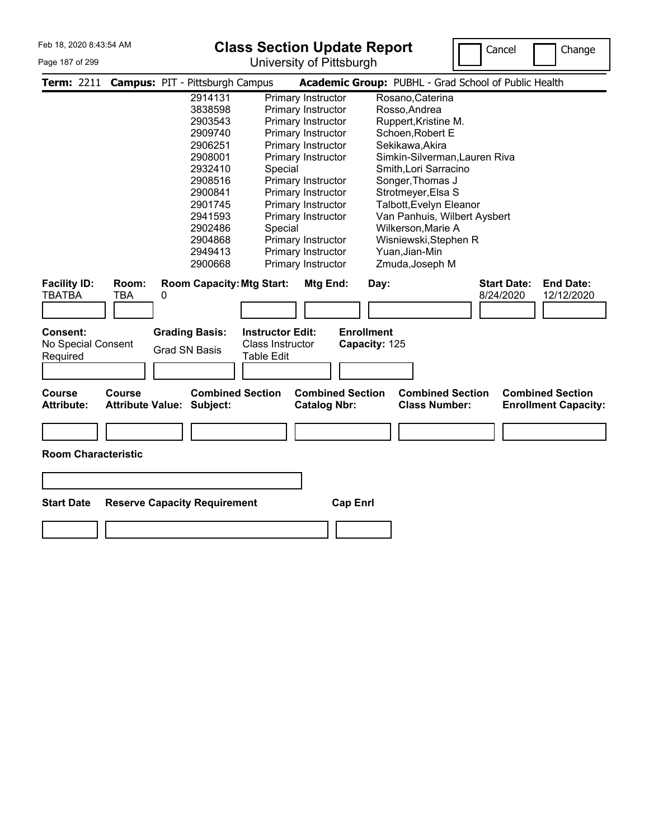## Page 187 of 299

## **Class Section Update Report**



|                                      |                                          | Term: 2211 Campus: PIT - Pittsburgh Campus |                         |                                                | Academic Group: PUBHL - Grad School of Public Health                                                      |
|--------------------------------------|------------------------------------------|--------------------------------------------|-------------------------|------------------------------------------------|-----------------------------------------------------------------------------------------------------------|
|                                      |                                          | 2914131                                    |                         | Primary Instructor                             | Rosano, Caterina                                                                                          |
|                                      |                                          | 3838598                                    |                         | Primary Instructor                             | Rosso, Andrea                                                                                             |
|                                      |                                          | 2903543                                    |                         | Primary Instructor                             | Ruppert, Kristine M.                                                                                      |
|                                      |                                          | 2909740                                    |                         | Primary Instructor                             | Schoen, Robert E                                                                                          |
|                                      |                                          | 2906251                                    |                         | Primary Instructor                             | Sekikawa, Akira                                                                                           |
|                                      |                                          | 2908001                                    |                         | Primary Instructor                             | Simkin-Silverman, Lauren Riva                                                                             |
|                                      |                                          | 2932410                                    | Special                 |                                                | Smith, Lori Sarracino                                                                                     |
|                                      |                                          | 2908516                                    |                         | Primary Instructor                             | Songer, Thomas J                                                                                          |
|                                      |                                          | 2900841                                    |                         | Primary Instructor                             | Strotmeyer, Elsa S                                                                                        |
|                                      |                                          | 2901745                                    |                         | Primary Instructor                             | Talbott, Evelyn Eleanor                                                                                   |
|                                      |                                          | 2941593                                    |                         | Primary Instructor                             | Van Panhuis, Wilbert Aysbert                                                                              |
|                                      |                                          | 2902486                                    | Special                 |                                                | Wilkerson, Marie A                                                                                        |
|                                      |                                          | 2904868                                    |                         | Primary Instructor                             | Wisniewski, Stephen R                                                                                     |
|                                      |                                          | 2949413                                    |                         | Primary Instructor                             | Yuan, Jian-Min                                                                                            |
|                                      |                                          | 2900668                                    |                         | Primary Instructor                             | Zmuda, Joseph M                                                                                           |
| <b>Facility ID:</b><br><b>TBATBA</b> | Room:<br>TBA                             | <b>Room Capacity: Mtg Start:</b><br>0      |                         | Mtg End:                                       | <b>End Date:</b><br><b>Start Date:</b><br>Day:<br>8/24/2020<br>12/12/2020                                 |
| Consent:                             |                                          | <b>Grading Basis:</b>                      | <b>Instructor Edit:</b> | <b>Enrollment</b>                              |                                                                                                           |
| No Special Consent                   |                                          |                                            | Class Instructor        |                                                | Capacity: 125                                                                                             |
| Required                             |                                          | <b>Grad SN Basis</b>                       | Table Edit              |                                                |                                                                                                           |
|                                      |                                          |                                            |                         |                                                |                                                                                                           |
|                                      |                                          |                                            |                         |                                                |                                                                                                           |
| <b>Course</b><br><b>Attribute:</b>   | <b>Course</b><br><b>Attribute Value:</b> | Subject:                                   | <b>Combined Section</b> | <b>Combined Section</b><br><b>Catalog Nbr:</b> | <b>Combined Section</b><br><b>Combined Section</b><br><b>Class Number:</b><br><b>Enrollment Capacity:</b> |
| <b>Room Characteristic</b>           |                                          |                                            |                         |                                                |                                                                                                           |
| <b>Start Date</b>                    |                                          | <b>Reserve Capacity Requirement</b>        |                         | <b>Cap Enrl</b>                                |                                                                                                           |
|                                      |                                          |                                            |                         |                                                |                                                                                                           |
|                                      |                                          |                                            |                         |                                                |                                                                                                           |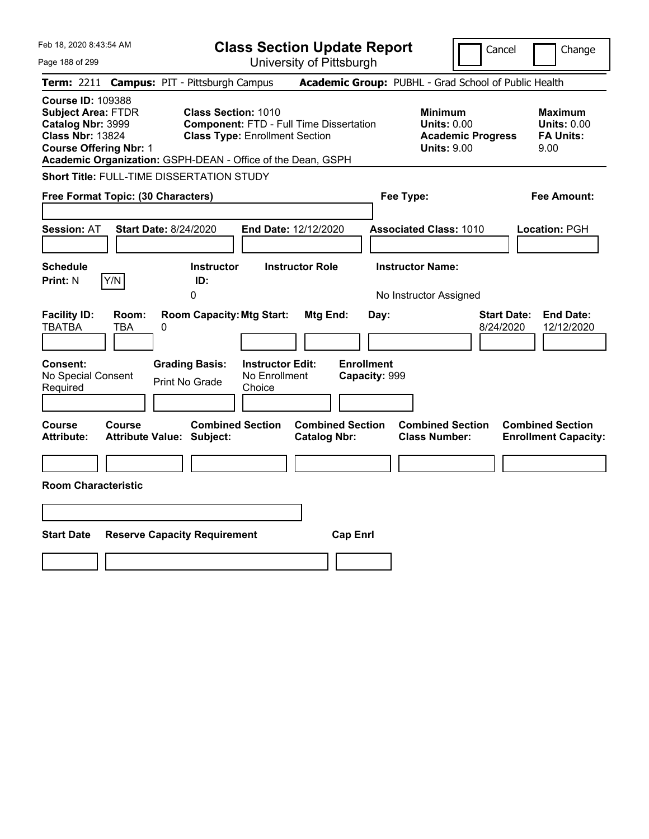| Feb 18, 2020 8:43:54 AM                                                                                                                                                                               |                                                                                                                       | <b>Class Section Update Report</b>             | Cancel                                                                                 | Change                                                           |
|-------------------------------------------------------------------------------------------------------------------------------------------------------------------------------------------------------|-----------------------------------------------------------------------------------------------------------------------|------------------------------------------------|----------------------------------------------------------------------------------------|------------------------------------------------------------------|
| Page 188 of 299                                                                                                                                                                                       |                                                                                                                       | University of Pittsburgh                       |                                                                                        |                                                                  |
| <b>Term: 2211</b>                                                                                                                                                                                     | <b>Campus: PIT - Pittsburgh Campus</b>                                                                                |                                                | Academic Group: PUBHL - Grad School of Public Health                                   |                                                                  |
| <b>Course ID: 109388</b><br><b>Subject Area: FTDR</b><br>Catalog Nbr: 3999<br><b>Class Nbr: 13824</b><br><b>Course Offering Nbr: 1</b><br>Academic Organization: GSPH-DEAN - Office of the Dean, GSPH | <b>Class Section: 1010</b><br><b>Component: FTD - Full Time Dissertation</b><br><b>Class Type: Enrollment Section</b> |                                                | <b>Minimum</b><br><b>Units: 0.00</b><br><b>Academic Progress</b><br><b>Units: 9.00</b> | <b>Maximum</b><br><b>Units: 0.00</b><br><b>FA Units:</b><br>9.00 |
| Short Title: FULL-TIME DISSERTATION STUDY                                                                                                                                                             |                                                                                                                       |                                                |                                                                                        |                                                                  |
| Free Format Topic: (30 Characters)                                                                                                                                                                    |                                                                                                                       |                                                | Fee Type:                                                                              | Fee Amount:                                                      |
| <b>Start Date: 8/24/2020</b><br><b>Session: AT</b>                                                                                                                                                    |                                                                                                                       | End Date: 12/12/2020                           | <b>Associated Class: 1010</b>                                                          | Location: PGH                                                    |
| <b>Schedule</b><br>Y/N<br><b>Print: N</b>                                                                                                                                                             | <b>Instructor</b><br>ID:<br>0                                                                                         | <b>Instructor Role</b>                         | <b>Instructor Name:</b><br>No Instructor Assigned                                      |                                                                  |
| <b>Facility ID:</b><br>Room:<br><b>TBATBA</b><br>TBA<br>0                                                                                                                                             | <b>Room Capacity: Mtg Start:</b>                                                                                      | Mtg End:<br>Day:                               | <b>Start Date:</b><br>8/24/2020                                                        | <b>End Date:</b><br>12/12/2020                                   |
| <b>Consent:</b><br>No Special Consent<br>Required                                                                                                                                                     | <b>Instructor Edit:</b><br><b>Grading Basis:</b><br>No Enrollment<br>Print No Grade<br>Choice                         | <b>Enrollment</b><br>Capacity: 999             |                                                                                        |                                                                  |
| Course<br>Course<br><b>Attribute:</b><br><b>Attribute Value: Subject:</b>                                                                                                                             | <b>Combined Section</b>                                                                                               | <b>Combined Section</b><br><b>Catalog Nbr:</b> | <b>Combined Section</b><br><b>Class Number:</b>                                        | <b>Combined Section</b><br><b>Enrollment Capacity:</b>           |
|                                                                                                                                                                                                       |                                                                                                                       |                                                |                                                                                        |                                                                  |
| <b>Room Characteristic</b>                                                                                                                                                                            |                                                                                                                       |                                                |                                                                                        |                                                                  |
|                                                                                                                                                                                                       |                                                                                                                       |                                                |                                                                                        |                                                                  |
| <b>Start Date</b>                                                                                                                                                                                     | <b>Reserve Capacity Requirement</b>                                                                                   | <b>Cap Enrl</b>                                |                                                                                        |                                                                  |
|                                                                                                                                                                                                       |                                                                                                                       |                                                |                                                                                        |                                                                  |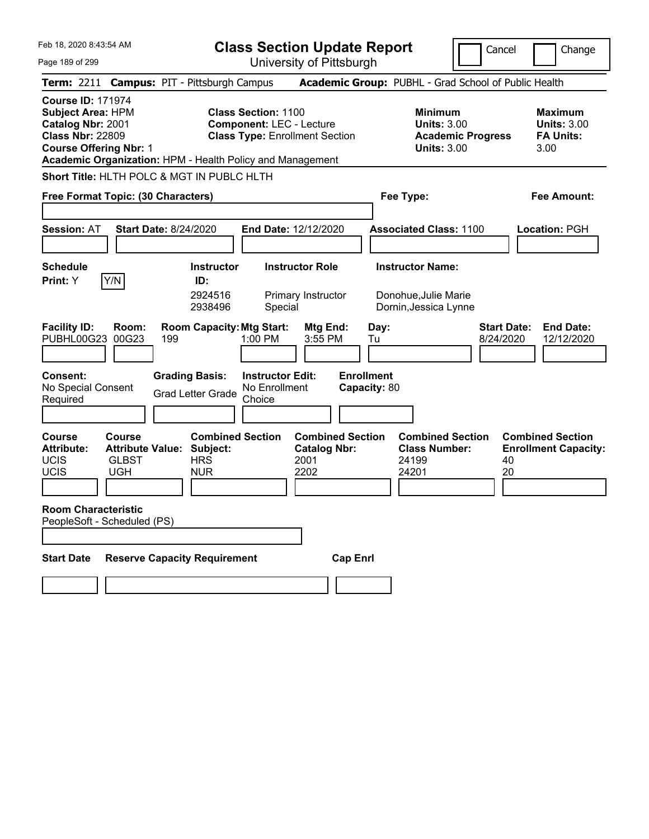|  | Feb 18, 2020 8:43:54 AM |  |
|--|-------------------------|--|
|  |                         |  |

Page 189 of 299

**Class Section Update Report**

Cancel **Change** 

|                                                                                                                                                                                                    |                                                                                  | UTIIVERSILY ULT ILLOUULYH                                                                              |                                                |                                                                                        |                                                                    |
|----------------------------------------------------------------------------------------------------------------------------------------------------------------------------------------------------|----------------------------------------------------------------------------------|--------------------------------------------------------------------------------------------------------|------------------------------------------------|----------------------------------------------------------------------------------------|--------------------------------------------------------------------|
| Term: 2211 Campus: PIT - Pittsburgh Campus                                                                                                                                                         |                                                                                  |                                                                                                        |                                                | Academic Group: PUBHL - Grad School of Public Health                                   |                                                                    |
| <b>Course ID: 171974</b><br><b>Subject Area: HPM</b><br>Catalog Nbr: 2001<br><b>Class Nbr: 22809</b><br><b>Course Offering Nbr: 1</b><br>Academic Organization: HPM - Health Policy and Management |                                                                                  | <b>Class Section: 1100</b><br><b>Component: LEC - Lecture</b><br><b>Class Type: Enrollment Section</b> |                                                | <b>Minimum</b><br><b>Units: 3.00</b><br><b>Academic Progress</b><br><b>Units: 3.00</b> | <b>Maximum</b><br><b>Units: 3.00</b><br><b>FA Units:</b><br>3.00   |
| Short Title: HLTH POLC & MGT IN PUBLC HLTH                                                                                                                                                         |                                                                                  |                                                                                                        |                                                |                                                                                        |                                                                    |
| Free Format Topic: (30 Characters)                                                                                                                                                                 |                                                                                  |                                                                                                        |                                                | Fee Type:                                                                              | Fee Amount:                                                        |
| <b>Session: AT</b>                                                                                                                                                                                 | <b>Start Date: 8/24/2020</b>                                                     | End Date: 12/12/2020                                                                                   |                                                | <b>Associated Class: 1100</b>                                                          | Location: PGH                                                      |
| <b>Schedule</b><br>Y/N<br>Print: Y                                                                                                                                                                 | Instructor<br>ID:<br>2924516<br>2938496                                          | <b>Instructor Role</b><br>Primary Instructor<br>Special                                                |                                                | <b>Instructor Name:</b><br>Donohue, Julie Marie<br>Dornin, Jessica Lynne               |                                                                    |
| <b>Facility ID:</b><br>Room:<br>PUBHL00G23<br>00G23                                                                                                                                                | <b>Room Capacity: Mtg Start:</b><br>199                                          | 1:00 PM                                                                                                | Mtg End:<br>Day:<br>3:55 PM<br>Tu              |                                                                                        | <b>Start Date:</b><br><b>End Date:</b><br>12/12/2020<br>8/24/2020  |
| <b>Consent:</b><br>No Special Consent<br>Required                                                                                                                                                  | <b>Grading Basis:</b><br><b>Grad Letter Grade</b>                                | <b>Instructor Edit:</b><br>No Enrollment<br>Choice                                                     | <b>Enrollment</b><br>Capacity: 80              |                                                                                        |                                                                    |
| Course<br>Course<br><b>Attribute:</b><br>UCIS<br><b>GLBST</b><br>UCIS<br><b>UGH</b>                                                                                                                | <b>Combined Section</b><br><b>Attribute Value: Subject:</b><br>HRS<br><b>NUR</b> | 2001<br>2202                                                                                           | <b>Combined Section</b><br><b>Catalog Nbr:</b> | <b>Combined Section</b><br><b>Class Number:</b><br>24199<br>24201                      | <b>Combined Section</b><br><b>Enrollment Capacity:</b><br>40<br>20 |
| <b>Room Characteristic</b><br>PeopleSoft - Scheduled (PS)                                                                                                                                          |                                                                                  |                                                                                                        |                                                |                                                                                        |                                                                    |
| <b>Start Date</b>                                                                                                                                                                                  | <b>Reserve Capacity Requirement</b>                                              |                                                                                                        | <b>Cap Enrl</b>                                |                                                                                        |                                                                    |
|                                                                                                                                                                                                    |                                                                                  |                                                                                                        |                                                |                                                                                        |                                                                    |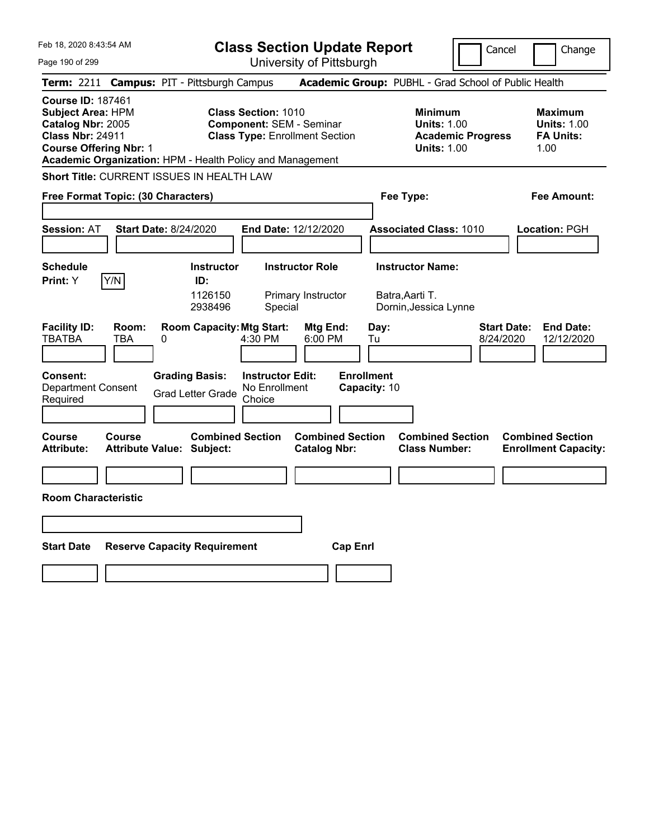| Feb 18, 2020 8:43:54 AM                                                                                                                                                                     | <b>Class Section Update Report</b>                                                                      |                                                                                                   | Cancel<br>Change                                                                             |
|---------------------------------------------------------------------------------------------------------------------------------------------------------------------------------------------|---------------------------------------------------------------------------------------------------------|---------------------------------------------------------------------------------------------------|----------------------------------------------------------------------------------------------|
| Page 190 of 299                                                                                                                                                                             | University of Pittsburgh                                                                                |                                                                                                   |                                                                                              |
| Term: 2211                                                                                                                                                                                  | <b>Campus: PIT - Pittsburgh Campus</b>                                                                  | Academic Group: PUBHL - Grad School of Public Health                                              |                                                                                              |
| <b>Course ID: 187461</b><br>Subject Area: HPM<br>Catalog Nbr: 2005<br><b>Class Nbr: 24911</b><br><b>Course Offering Nbr: 1</b><br>Academic Organization: HPM - Health Policy and Management | <b>Class Section: 1010</b><br><b>Component: SEM - Seminar</b><br><b>Class Type: Enrollment Section</b>  | <b>Minimum</b><br><b>Units: 1.00</b><br><b>Units: 1.00</b>                                        | <b>Maximum</b><br><b>Units: 1.00</b><br><b>FA Units:</b><br><b>Academic Progress</b><br>1.00 |
| Short Title: CURRENT ISSUES IN HEALTH LAW                                                                                                                                                   |                                                                                                         |                                                                                                   |                                                                                              |
| Free Format Topic: (30 Characters)                                                                                                                                                          |                                                                                                         | Fee Type:                                                                                         | Fee Amount:                                                                                  |
| <b>Start Date: 8/24/2020</b><br><b>Session: AT</b>                                                                                                                                          | End Date: 12/12/2020                                                                                    | <b>Associated Class: 1010</b>                                                                     | <b>Location: PGH</b>                                                                         |
| <b>Schedule</b>                                                                                                                                                                             | <b>Instructor Role</b><br><b>Instructor</b>                                                             | <b>Instructor Name:</b>                                                                           |                                                                                              |
| Y/N<br>Print: Y                                                                                                                                                                             | ID:<br>1126150<br>Primary Instructor<br>2938496<br>Special                                              | Batra,Aarti T.<br>Dornin, Jessica Lynne                                                           |                                                                                              |
| <b>Facility ID:</b><br>Room:<br><b>TBATBA</b><br>TBA<br>0                                                                                                                                   | <b>Room Capacity: Mtg Start:</b><br>4:30 PM<br>6:00 PM                                                  | Mtg End:<br>Day:<br>Tu                                                                            | <b>Start Date:</b><br><b>End Date:</b><br>8/24/2020<br>12/12/2020                            |
| <b>Consent:</b><br><b>Department Consent</b><br>Required                                                                                                                                    | <b>Grading Basis:</b><br><b>Instructor Edit:</b><br>No Enrollment<br><b>Grad Letter Grade</b><br>Choice | <b>Enrollment</b><br>Capacity: 10                                                                 |                                                                                              |
| Course<br>Course<br><b>Attribute:</b><br><b>Attribute Value: Subject:</b>                                                                                                                   | <b>Combined Section</b>                                                                                 | <b>Combined Section</b><br><b>Combined Section</b><br><b>Catalog Nbr:</b><br><b>Class Number:</b> | <b>Combined Section</b><br><b>Enrollment Capacity:</b>                                       |
|                                                                                                                                                                                             |                                                                                                         |                                                                                                   |                                                                                              |
| <b>Room Characteristic</b>                                                                                                                                                                  |                                                                                                         |                                                                                                   |                                                                                              |
|                                                                                                                                                                                             |                                                                                                         |                                                                                                   |                                                                                              |
| <b>Start Date</b><br><b>Reserve Capacity Requirement</b>                                                                                                                                    |                                                                                                         | <b>Cap Enri</b>                                                                                   |                                                                                              |
|                                                                                                                                                                                             |                                                                                                         |                                                                                                   |                                                                                              |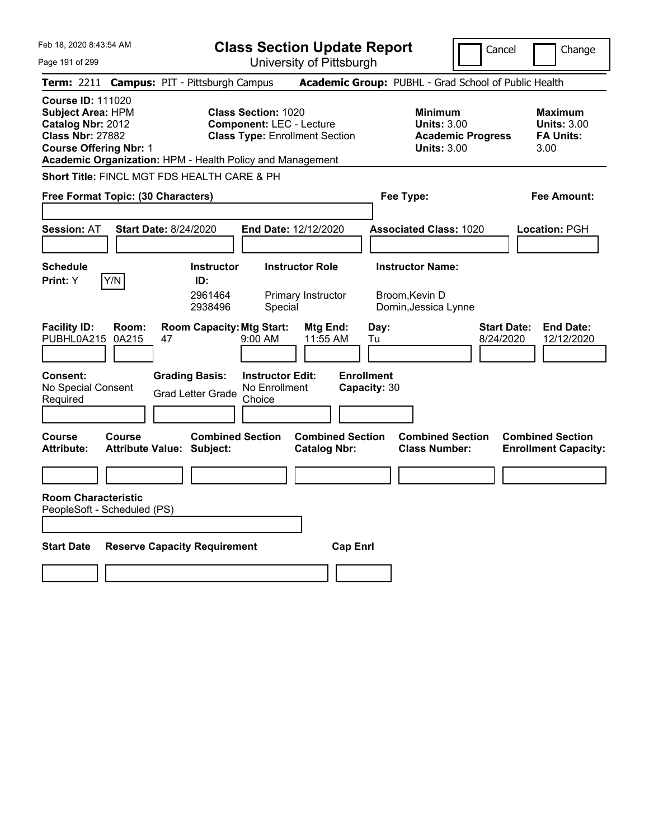Feb 18, 2020 8:43:54 AM Page 191 of 299 **Class Section Update Report** University of Pittsburgh Cancel Change **Term:** 2211 **Campus:** PIT - Pittsburgh Campus **Academic Group:** PUBHL - Grad School of Public Health **Course ID:** 111020 **Subject Area:** HPM **Class Section:** 1020 **Minimum Maximum Catalog Nbr:** 2012 **Component:** LEC - Lecture **Units:** 3.00 **Units:** 3.00 **Class Nbr:** 27882 **Class Type:** Enrollment Section **Academic Progress FA Units: Course Offering Nbr:** 1 **Units:** 3.00 3.00 **Academic Organization:** HPM - Health Policy and Management **Short Title:** FINCL MGT FDS HEALTH CARE & PH **Free Format Topic: (30 Characters) Fee Type: Fee Amount: Session:** AT **Start Date:** 8/24/2020 **End Date:** 12/12/2020 **Associated Class:** 1020 **Location:** PGH **Schedule Instructor Instructor Role Instructor Name: Print:**  $Y$   $|Y/N|$  **ID:** 2961464 Primary Instructor Broom,Kevin D 2938496 Special Dornin,Jessica Lynne **Facility ID: Room: Room Capacity:Mtg Start: Mtg End: Day: Start Date: End Date:** PUBHL0A215 0A215 47 9:00 AM 11:55 AM Tu 8/24/2020 12/12/2020 **Consent: Grading Basis: Instructor Edit: Enrollment** No Special Consent No Special Consent Grad Letter Grade No Enrollment<br>Required Choice Choice **Capacity:** 30 **Course Course Combined Section Combined Section Combined Section Combined Section**  Attribute: Attribute Value: Subject: Catalog Nbr: Class Number: Enrollment Capacity: **Room Characteristic** PeopleSoft - Scheduled (PS) **Start Date Reserve Capacity Requirement Cap Enrl**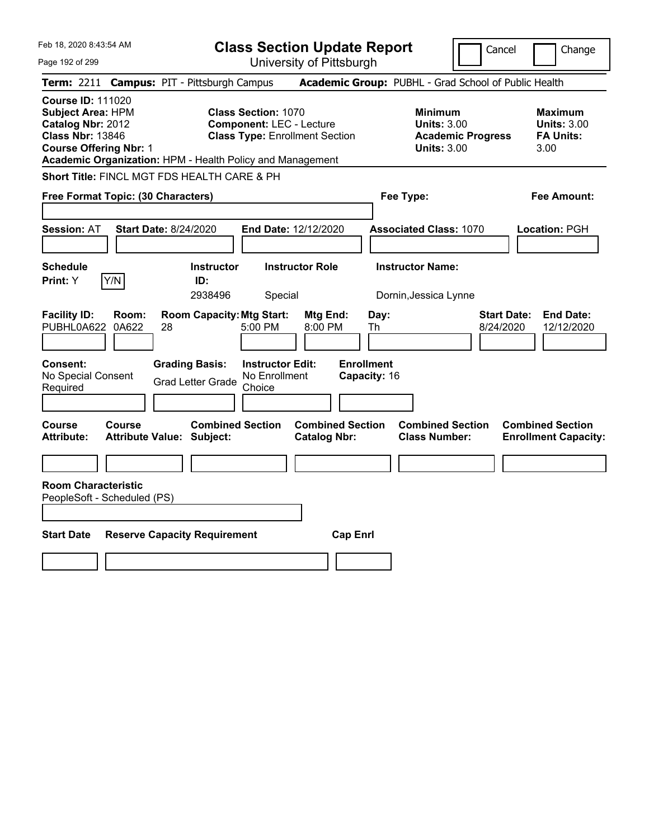| Feb 18, 2020 8:43:54 AM                                                                                                                                                                            |                                                                                                         | <b>Class Section Update Report</b>             |                                                                                        | Cancel<br>Change                                                  |
|----------------------------------------------------------------------------------------------------------------------------------------------------------------------------------------------------|---------------------------------------------------------------------------------------------------------|------------------------------------------------|----------------------------------------------------------------------------------------|-------------------------------------------------------------------|
| Page 192 of 299                                                                                                                                                                                    |                                                                                                         | University of Pittsburgh                       |                                                                                        |                                                                   |
| <b>Term: 2211</b>                                                                                                                                                                                  | <b>Campus: PIT - Pittsburgh Campus</b>                                                                  |                                                | Academic Group: PUBHL - Grad School of Public Health                                   |                                                                   |
| <b>Course ID: 111020</b><br><b>Subject Area: HPM</b><br>Catalog Nbr: 2012<br><b>Class Nbr: 13846</b><br><b>Course Offering Nbr: 1</b><br>Academic Organization: HPM - Health Policy and Management | <b>Class Section: 1070</b><br><b>Component: LEC - Lecture</b><br><b>Class Type: Enrollment Section</b>  |                                                | <b>Minimum</b><br><b>Units: 3.00</b><br><b>Academic Progress</b><br><b>Units: 3.00</b> | <b>Maximum</b><br><b>Units: 3.00</b><br><b>FA Units:</b><br>3.00  |
| Short Title: FINCL MGT FDS HEALTH CARE & PH                                                                                                                                                        |                                                                                                         |                                                |                                                                                        |                                                                   |
| Free Format Topic: (30 Characters)                                                                                                                                                                 |                                                                                                         |                                                | Fee Type:                                                                              | Fee Amount:                                                       |
| <b>Start Date: 8/24/2020</b><br><b>Session: AT</b>                                                                                                                                                 | End Date: 12/12/2020                                                                                    |                                                | <b>Associated Class: 1070</b>                                                          | Location: PGH                                                     |
| <b>Schedule</b><br>Y/N<br>Print: Y                                                                                                                                                                 | <b>Instructor</b><br>ID:<br>2938496<br>Special                                                          | <b>Instructor Role</b>                         | <b>Instructor Name:</b><br>Dornin, Jessica Lynne                                       |                                                                   |
| <b>Facility ID:</b><br>Room:<br>PUBHL0A622<br>0A622<br>28                                                                                                                                          | <b>Room Capacity: Mtg Start:</b><br>5:00 PM                                                             | Mtg End:<br>Day:<br>8:00 PM<br>Th              |                                                                                        | <b>Start Date:</b><br><b>End Date:</b><br>8/24/2020<br>12/12/2020 |
| <b>Consent:</b><br>No Special Consent<br>Required                                                                                                                                                  | <b>Grading Basis:</b><br><b>Instructor Edit:</b><br>No Enrollment<br><b>Grad Letter Grade</b><br>Choice | <b>Enrollment</b><br>Capacity: 16              |                                                                                        |                                                                   |
| <b>Course</b><br><b>Course</b><br><b>Attribute:</b><br><b>Attribute Value: Subject:</b>                                                                                                            | <b>Combined Section</b>                                                                                 | <b>Combined Section</b><br><b>Catalog Nbr:</b> | <b>Combined Section</b><br><b>Class Number:</b>                                        | <b>Combined Section</b><br><b>Enrollment Capacity:</b>            |
|                                                                                                                                                                                                    |                                                                                                         |                                                |                                                                                        |                                                                   |
| <b>Room Characteristic</b><br>PeopleSoft - Scheduled (PS)                                                                                                                                          |                                                                                                         |                                                |                                                                                        |                                                                   |
| <b>Start Date</b><br><b>Reserve Capacity Requirement</b>                                                                                                                                           |                                                                                                         | <b>Cap Enrl</b>                                |                                                                                        |                                                                   |
|                                                                                                                                                                                                    |                                                                                                         |                                                |                                                                                        |                                                                   |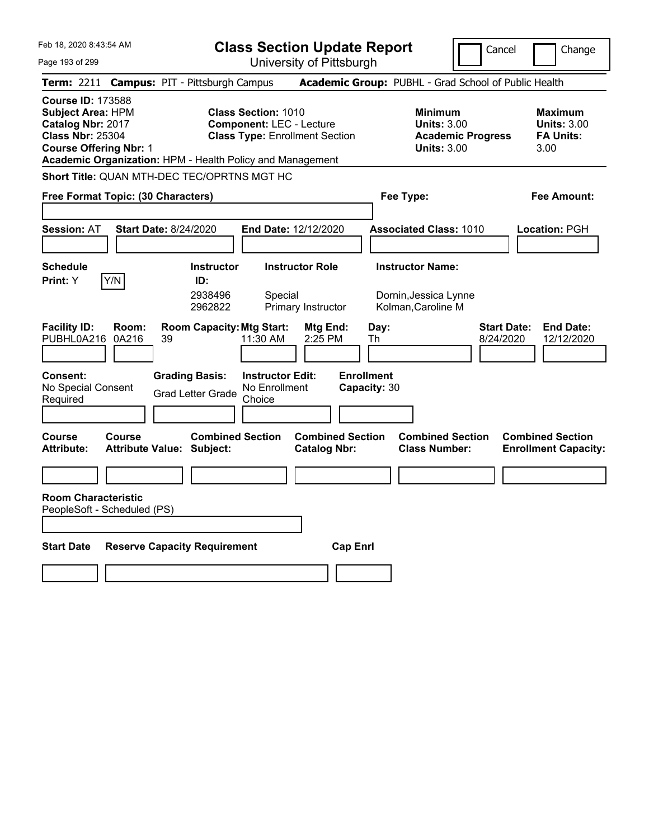Feb 18, 2020 8:43:54 AM Page 193 of 299 **Class Section Update Report** University of Pittsburgh Cancel Change **Term:** 2211 **Campus:** PIT - Pittsburgh Campus **Academic Group:** PUBHL - Grad School of Public Health **Course ID:** 173588 **Subject Area:** HPM **Class Section:** 1010 **Minimum Maximum Catalog Nbr:** 2017 **Component:** LEC - Lecture **Units:** 3.00 **Units:** 3.00 **Class Nbr:** 25304 **Class Type:** Enrollment Section **Academic Progress FA Units: Course Offering Nbr:** 1 **Units:** 3.00 3.00 **Academic Organization:** HPM - Health Policy and Management **Short Title:** QUAN MTH-DEC TEC/OPRTNS MGT HC **Free Format Topic: (30 Characters) Fee Type: Fee Amount: Session:** AT **Start Date:** 8/24/2020 **End Date:** 12/12/2020 **Associated Class:** 1010 **Location:** PGH **Schedule Instructor Instructor Role Instructor Name: Print:**  $Y$   $|Y/N|$  **ID:** 2938496 Special Dornin,Jessica Lynne 2962822 Primary Instructor Kolman,Caroline M **Facility ID: Room: Room Capacity:Mtg Start: Mtg End: Day: Start Date: End Date:** PUBHL0A216 0A216 39 11:30 AM 2:25 PM Th 8/24/2020 12/12/2020 **Consent: Grading Basis: Instructor Edit: Enrollment** No Special Consent No Special Consent Grad Letter Grade No Enrollment<br>Required Choice Choice **Capacity:** 30 **Course Course Combined Section Combined Section Combined Section Combined Section**  Attribute: Attribute Value: Subject: Catalog Nbr: Class Number: Enrollment Capacity: **Room Characteristic** PeopleSoft - Scheduled (PS) **Start Date Reserve Capacity Requirement Cap Enrl**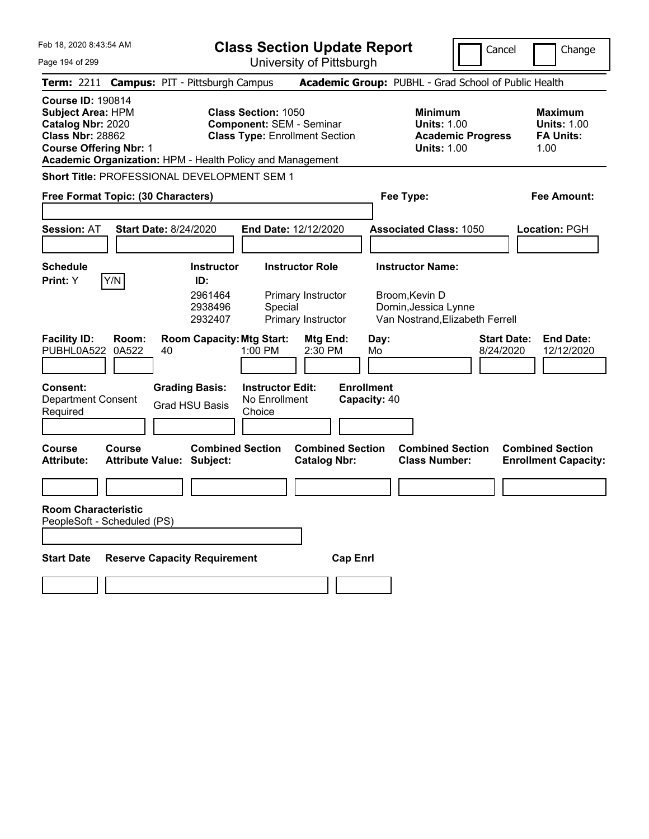|  |  |  |  | Feb 18, 2020 8:43:54 AM |  |
|--|--|--|--|-------------------------|--|
|--|--|--|--|-------------------------|--|

Page 194 of 299

**Class Section Update Report**

Cancel Change

| Term: 2211 Campus: PIT - Pittsburgh Campus                                                                                            |                                                             |                                                                                                                                                                     | Academic Group: PUBHL - Grad School of Public Health                                   |                                                                  |
|---------------------------------------------------------------------------------------------------------------------------------------|-------------------------------------------------------------|---------------------------------------------------------------------------------------------------------------------------------------------------------------------|----------------------------------------------------------------------------------------|------------------------------------------------------------------|
| <b>Course ID: 190814</b><br><b>Subject Area: HPM</b><br>Catalog Nbr: 2020<br><b>Class Nbr: 28862</b><br><b>Course Offering Nbr: 1</b> |                                                             | <b>Class Section: 1050</b><br><b>Component: SEM - Seminar</b><br><b>Class Type: Enrollment Section</b><br>Academic Organization: HPM - Health Policy and Management | <b>Minimum</b><br><b>Units: 1.00</b><br><b>Academic Progress</b><br><b>Units: 1.00</b> | <b>Maximum</b><br><b>Units: 1.00</b><br><b>FA Units:</b><br>1.00 |
| Short Title: PROFESSIONAL DEVELOPMENT SEM 1                                                                                           |                                                             |                                                                                                                                                                     |                                                                                        |                                                                  |
| Free Format Topic: (30 Characters)                                                                                                    |                                                             |                                                                                                                                                                     | Fee Type:                                                                              | <b>Fee Amount:</b>                                               |
| <b>Session: AT</b>                                                                                                                    | <b>Start Date: 8/24/2020</b>                                | End Date: 12/12/2020                                                                                                                                                | <b>Associated Class: 1050</b>                                                          | Location: PGH                                                    |
| <b>Schedule</b><br>Y/N<br><b>Print:</b> Y                                                                                             | <b>Instructor</b><br>ID:                                    | <b>Instructor Role</b>                                                                                                                                              | <b>Instructor Name:</b>                                                                |                                                                  |
|                                                                                                                                       | 2961464<br>2938496<br>2932407                               | Primary Instructor<br>Special<br>Primary Instructor                                                                                                                 | Broom, Kevin D<br>Dornin, Jessica Lynne<br>Van Nostrand, Elizabeth Ferrell             |                                                                  |
| <b>Facility ID:</b><br>Room:<br>0A522<br>PUBHL0A522                                                                                   | <b>Room Capacity: Mtg Start:</b><br>40                      | Mtg End:<br>1:00 PM<br>2:30 PM                                                                                                                                      | <b>Start Date:</b><br>Day:<br>8/24/2020<br>Mo                                          | <b>End Date:</b><br>12/12/2020                                   |
| <b>Consent:</b><br><b>Department Consent</b><br>Required                                                                              | <b>Grading Basis:</b><br><b>Grad HSU Basis</b>              | <b>Instructor Edit:</b><br>No Enrollment<br>Choice                                                                                                                  | <b>Enrollment</b><br>Capacity: 40                                                      |                                                                  |
| Course<br>Course<br>Attribute:                                                                                                        | <b>Combined Section</b><br><b>Attribute Value: Subject:</b> | <b>Combined Section</b><br><b>Catalog Nbr:</b>                                                                                                                      | <b>Combined Section</b><br><b>Class Number:</b>                                        | <b>Combined Section</b><br><b>Enrollment Capacity:</b>           |
|                                                                                                                                       |                                                             |                                                                                                                                                                     |                                                                                        |                                                                  |
| <b>Room Characteristic</b><br>PeopleSoft - Scheduled (PS)                                                                             |                                                             |                                                                                                                                                                     |                                                                                        |                                                                  |
| <b>Start Date</b>                                                                                                                     | <b>Reserve Capacity Requirement</b>                         | <b>Cap Enrl</b>                                                                                                                                                     |                                                                                        |                                                                  |
|                                                                                                                                       |                                                             |                                                                                                                                                                     |                                                                                        |                                                                  |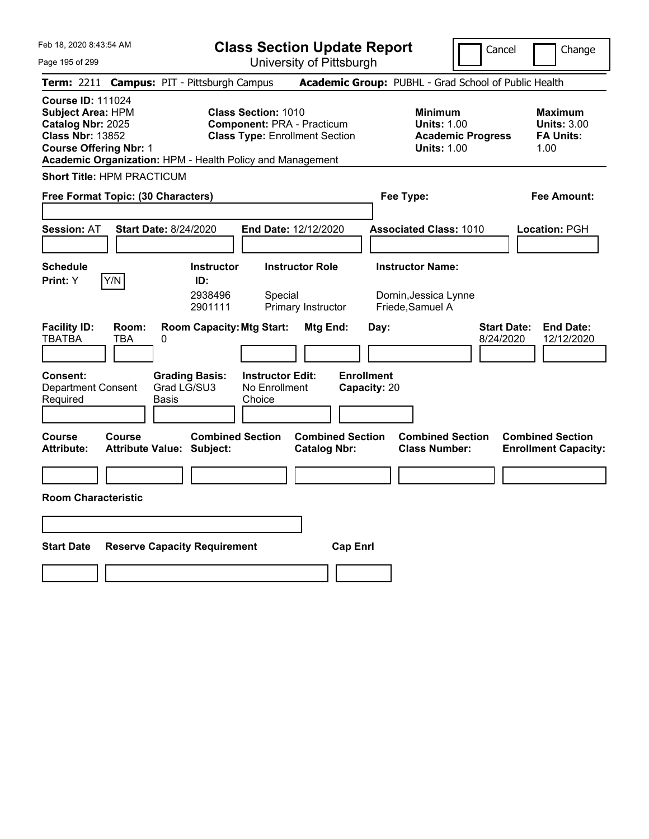**Class Section Update Report** University of Pittsburgh

Cancel Change

Page 195 of 299

|                                                                                                                                       |              | Term: 2211 Campus: PIT - Pittsburgh Campus                |                                                                                                          |                                              |                         |                                   | Academic Group: PUBHL - Grad School of Public Health                                   |                                 |                                                                  |
|---------------------------------------------------------------------------------------------------------------------------------------|--------------|-----------------------------------------------------------|----------------------------------------------------------------------------------------------------------|----------------------------------------------|-------------------------|-----------------------------------|----------------------------------------------------------------------------------------|---------------------------------|------------------------------------------------------------------|
| <b>Course ID: 111024</b><br><b>Subject Area: HPM</b><br>Catalog Nbr: 2025<br><b>Class Nbr: 13852</b><br><b>Course Offering Nbr: 1</b> |              | Academic Organization: HPM - Health Policy and Management | <b>Class Section: 1010</b><br><b>Component: PRA - Practicum</b><br><b>Class Type: Enrollment Section</b> |                                              |                         |                                   | <b>Minimum</b><br><b>Units: 1.00</b><br><b>Academic Progress</b><br><b>Units: 1.00</b> |                                 | <b>Maximum</b><br><b>Units: 3.00</b><br><b>FA Units:</b><br>1.00 |
| <b>Short Title: HPM PRACTICUM</b>                                                                                                     |              |                                                           |                                                                                                          |                                              |                         |                                   |                                                                                        |                                 |                                                                  |
| Free Format Topic: (30 Characters)                                                                                                    |              |                                                           |                                                                                                          |                                              |                         |                                   | Fee Type:                                                                              |                                 | <b>Fee Amount:</b>                                               |
| <b>Session: AT</b>                                                                                                                    |              | <b>Start Date: 8/24/2020</b>                              | End Date: 12/12/2020                                                                                     |                                              |                         |                                   | <b>Associated Class: 1010</b>                                                          |                                 | Location: PGH                                                    |
| <b>Schedule</b><br>Print: Y                                                                                                           | Y/N          | <b>Instructor</b><br>ID:<br>2938496<br>2901111            | Special                                                                                                  | <b>Instructor Role</b><br>Primary Instructor |                         |                                   | <b>Instructor Name:</b><br>Dornin, Jessica Lynne<br>Friede, Samuel A                   |                                 |                                                                  |
| <b>Facility ID:</b><br><b>TBATBA</b>                                                                                                  | Room:<br>TBA | <b>Room Capacity: Mtg Start:</b><br>0                     |                                                                                                          | Mtg End:                                     |                         | Day:                              |                                                                                        | <b>Start Date:</b><br>8/24/2020 | <b>End Date:</b><br>12/12/2020                                   |
| <b>Consent:</b><br><b>Department Consent</b><br>Required                                                                              |              | <b>Grading Basis:</b><br>Grad LG/SU3<br>Basis             | <b>Instructor Edit:</b><br>No Enrollment<br>Choice                                                       |                                              |                         | <b>Enrollment</b><br>Capacity: 20 |                                                                                        |                                 |                                                                  |
| Course<br><b>Attribute:</b>                                                                                                           | Course       | <b>Attribute Value: Subject:</b>                          | <b>Combined Section</b>                                                                                  | <b>Catalog Nbr:</b>                          | <b>Combined Section</b> |                                   | <b>Combined Section</b><br><b>Class Number:</b>                                        |                                 | <b>Combined Section</b><br><b>Enrollment Capacity:</b>           |
| <b>Room Characteristic</b>                                                                                                            |              |                                                           |                                                                                                          |                                              |                         |                                   |                                                                                        |                                 |                                                                  |
| <b>Start Date</b>                                                                                                                     |              | <b>Reserve Capacity Requirement</b>                       |                                                                                                          |                                              | <b>Cap Enrl</b>         |                                   |                                                                                        |                                 |                                                                  |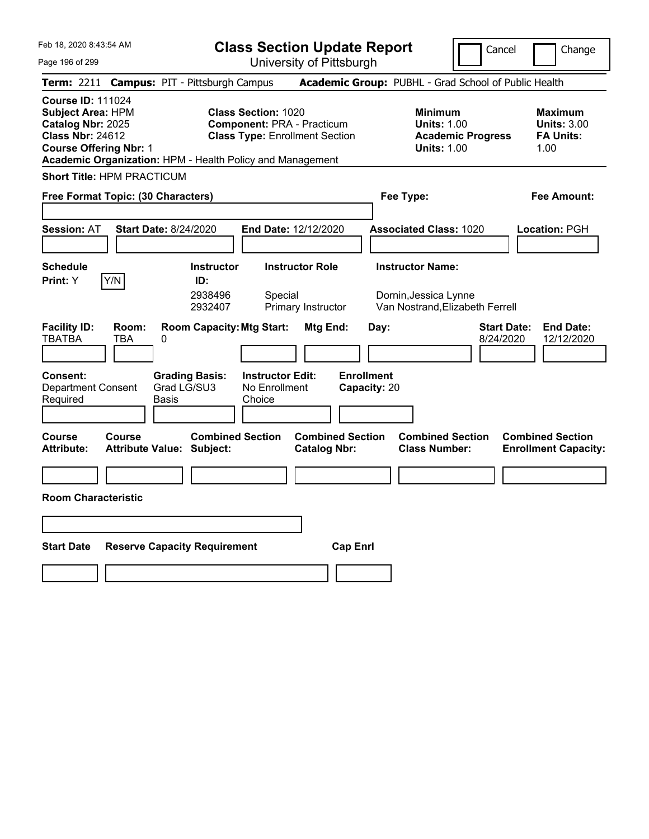**Class Section Update Report** University of Pittsburgh

Cancel Change

Page 196 of 299

|                                                                                                                                       |                     | Term: 2211 Campus: PIT - Pittsburgh Campus                  |                                                                                                          |                                                |                                   | Academic Group: PUBHL - Grad School of Public Health                                   |                                 |                                                                  |
|---------------------------------------------------------------------------------------------------------------------------------------|---------------------|-------------------------------------------------------------|----------------------------------------------------------------------------------------------------------|------------------------------------------------|-----------------------------------|----------------------------------------------------------------------------------------|---------------------------------|------------------------------------------------------------------|
| <b>Course ID: 111024</b><br><b>Subject Area: HPM</b><br>Catalog Nbr: 2025<br><b>Class Nbr: 24612</b><br><b>Course Offering Nbr: 1</b> |                     | Academic Organization: HPM - Health Policy and Management   | <b>Class Section: 1020</b><br><b>Component: PRA - Practicum</b><br><b>Class Type: Enrollment Section</b> |                                                |                                   | <b>Minimum</b><br><b>Units: 1.00</b><br><b>Academic Progress</b><br><b>Units: 1.00</b> |                                 | <b>Maximum</b><br><b>Units: 3.00</b><br><b>FA Units:</b><br>1.00 |
| <b>Short Title: HPM PRACTICUM</b>                                                                                                     |                     |                                                             |                                                                                                          |                                                |                                   |                                                                                        |                                 |                                                                  |
| Free Format Topic: (30 Characters)                                                                                                    |                     |                                                             |                                                                                                          |                                                |                                   | Fee Type:                                                                              |                                 | <b>Fee Amount:</b>                                               |
| <b>Session: AT</b>                                                                                                                    |                     | <b>Start Date: 8/24/2020</b>                                | End Date: 12/12/2020                                                                                     |                                                |                                   | <b>Associated Class: 1020</b>                                                          |                                 | Location: PGH                                                    |
| <b>Schedule</b><br>Print: Y                                                                                                           | Y/N                 | <b>Instructor</b><br>ID:<br>2938496<br>2932407              | <b>Instructor Role</b><br>Special                                                                        | Primary Instructor                             |                                   | <b>Instructor Name:</b><br>Dornin, Jessica Lynne<br>Van Nostrand, Elizabeth Ferrell    |                                 |                                                                  |
| <b>Facility ID:</b><br><b>TBATBA</b>                                                                                                  | Room:<br><b>TBA</b> | <b>Room Capacity: Mtg Start:</b><br>0                       |                                                                                                          | Mtg End:                                       | Day:                              |                                                                                        | <b>Start Date:</b><br>8/24/2020 | <b>End Date:</b><br>12/12/2020                                   |
| Consent:<br><b>Department Consent</b><br>Required                                                                                     |                     | <b>Grading Basis:</b><br>Grad LG/SU3<br><b>Basis</b>        | <b>Instructor Edit:</b><br>No Enrollment<br>Choice                                                       |                                                | <b>Enrollment</b><br>Capacity: 20 |                                                                                        |                                 |                                                                  |
| Course<br><b>Attribute:</b>                                                                                                           | Course              | <b>Combined Section</b><br><b>Attribute Value: Subject:</b> |                                                                                                          | <b>Combined Section</b><br><b>Catalog Nbr:</b> |                                   | <b>Combined Section</b><br><b>Class Number:</b>                                        |                                 | <b>Combined Section</b><br><b>Enrollment Capacity:</b>           |
| <b>Room Characteristic</b>                                                                                                            |                     |                                                             |                                                                                                          |                                                |                                   |                                                                                        |                                 |                                                                  |
|                                                                                                                                       |                     |                                                             |                                                                                                          |                                                |                                   |                                                                                        |                                 |                                                                  |
| <b>Start Date</b>                                                                                                                     |                     | <b>Reserve Capacity Requirement</b>                         |                                                                                                          | <b>Cap Enrl</b>                                |                                   |                                                                                        |                                 |                                                                  |
|                                                                                                                                       |                     |                                                             |                                                                                                          |                                                |                                   |                                                                                        |                                 |                                                                  |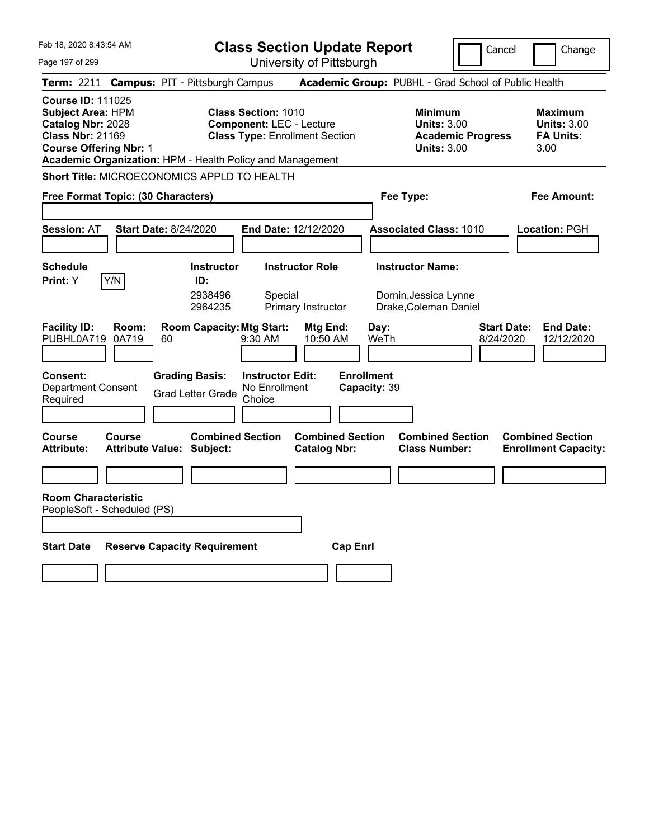Feb 18, 2020 8:43:54 AM Page 197 of 299 **Class Section Update Report** University of Pittsburgh Cancel Change **Term:** 2211 **Campus:** PIT - Pittsburgh Campus **Academic Group:** PUBHL - Grad School of Public Health **Course ID:** 111025 **Subject Area:** HPM **Class Section:** 1010 **Minimum Maximum Catalog Nbr:** 2028 **Component:** LEC - Lecture **Units:** 3.00 **Units:** 3.00 **Class Nbr:** 21169 **Class Type:** Enrollment Section **Academic Progress FA Units: Course Offering Nbr:** 1 **Units:** 3.00 3.00 **Academic Organization:** HPM - Health Policy and Management **Short Title:** MICROECONOMICS APPLD TO HEALTH **Free Format Topic: (30 Characters) Fee Type: Fee Amount: Session:** AT **Start Date:** 8/24/2020 **End Date:** 12/12/2020 **Associated Class:** 1010 **Location:** PGH **Schedule Instructor Instructor Role Instructor Name: Print:**  $Y$   $|Y/N|$  **ID:** 2938496 Special Dornin,Jessica Lynne 2964235 Primary Instructor Drake,Coleman Daniel **Facility ID: Room: Room Capacity:Mtg Start: Mtg End: Day: Start Date: End Date:** PUBHL0A719 0A719 60 9:30 AM 10:50 AM WeTh 8/24/2020 12/12/2020 **Consent: Grading Basis: Instructor Edit: Enrollment** Department Consent Required Grad Letter Grade No Enrollment **Choice Capacity:** 39 **Course Course Combined Section Combined Section Combined Section Combined Section**  Attribute: Attribute Value: Subject: Catalog Nbr: Class Number: Enrollment Capacity: **Room Characteristic** PeopleSoft - Scheduled (PS) **Start Date Reserve Capacity Requirement Cap Enrl**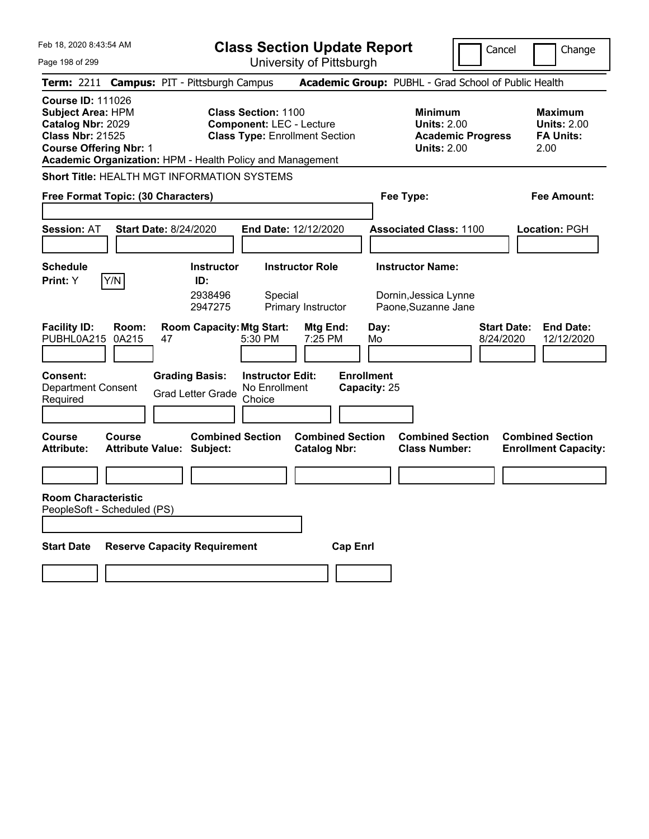Feb 18, 2020 8:43:54 AM Page 198 of 299 **Class Section Update Report** University of Pittsburgh Cancel Change **Term:** 2211 **Campus:** PIT - Pittsburgh Campus **Academic Group:** PUBHL - Grad School of Public Health **Course ID:** 111026 **Subject Area:** HPM **Class Section:** 1100 **Minimum Maximum Catalog Nbr:** 2029 **Component:** LEC - Lecture **Units:** 2.00 **Units:** 2.00 **Class Nbr:** 21525 **Class Type:** Enrollment Section **Academic Progress FA Units: Course Offering Nbr:** 1 **Units:** 2.00 2.00 **Academic Organization:** HPM - Health Policy and Management **Short Title:** HEALTH MGT INFORMATION SYSTEMS **Free Format Topic: (30 Characters) Fee Type: Fee Amount: Session:** AT **Start Date:** 8/24/2020 **End Date:** 12/12/2020 **Associated Class:** 1100 **Location:** PGH **Schedule Instructor Instructor Role Instructor Name: Print:**  $Y$   $|Y/N|$  **ID:** 2938496 Special Dornin,Jessica Lynne 2947275 Primary Instructor Paone,Suzanne Jane **Facility ID: Room: Room Capacity:Mtg Start: Mtg End: Day: Start Date: End Date:** PUBHL0A215 0A215 47 5:30 PM 7:25 PM Mo 8/24/2020 12/12/2020 **Consent: Grading Basis: Instructor Edit: Enrollment** Department Consent Required Grad Letter Grade No Enrollment **Choice Capacity:** 25 **Course Course Combined Section Combined Section Combined Section Combined Section**  Attribute: Attribute Value: Subject: Catalog Nbr: Class Number: Enrollment Capacity: **Room Characteristic** PeopleSoft - Scheduled (PS) **Start Date Reserve Capacity Requirement Cap Enrl**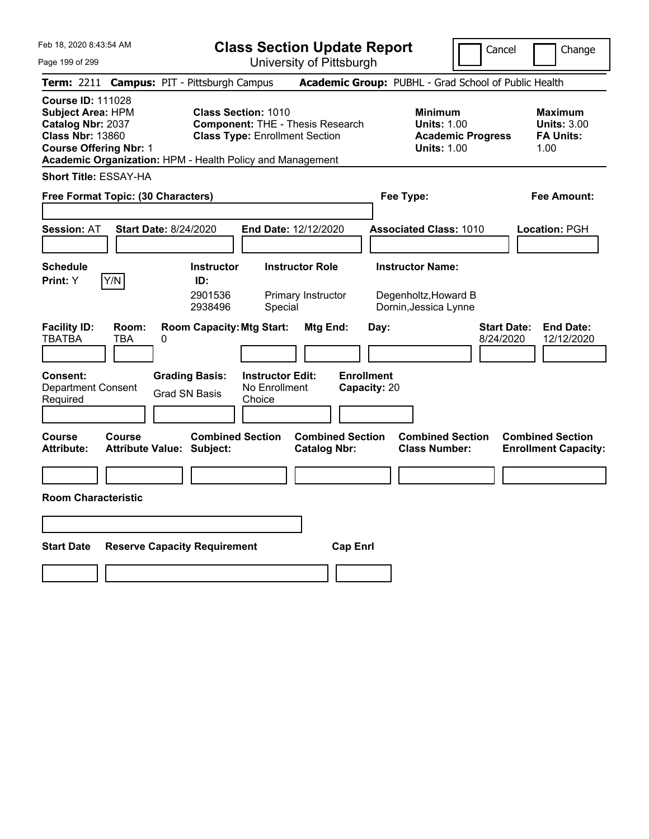**Class Section Update Report** University of Pittsburgh

Cancel Change

Page 199 of 299

|                                                                                                                                       |                     | Term: 2211 Campus: PIT - Pittsburgh Campus                |                                                                     |                                                |                                   | Academic Group: PUBHL - Grad School of Public Health                                   |                                 |                                                                  |
|---------------------------------------------------------------------------------------------------------------------------------------|---------------------|-----------------------------------------------------------|---------------------------------------------------------------------|------------------------------------------------|-----------------------------------|----------------------------------------------------------------------------------------|---------------------------------|------------------------------------------------------------------|
| <b>Course ID: 111028</b><br><b>Subject Area: HPM</b><br>Catalog Nbr: 2037<br><b>Class Nbr: 13860</b><br><b>Course Offering Nbr: 1</b> |                     | Academic Organization: HPM - Health Policy and Management | <b>Class Section: 1010</b><br><b>Class Type: Enrollment Section</b> | <b>Component: THE - Thesis Research</b>        |                                   | <b>Minimum</b><br><b>Units: 1.00</b><br><b>Academic Progress</b><br><b>Units: 1.00</b> |                                 | <b>Maximum</b><br><b>Units: 3.00</b><br><b>FA Units:</b><br>1.00 |
| <b>Short Title: ESSAY-HA</b>                                                                                                          |                     |                                                           |                                                                     |                                                |                                   |                                                                                        |                                 |                                                                  |
| Free Format Topic: (30 Characters)                                                                                                    |                     |                                                           |                                                                     |                                                |                                   | Fee Type:                                                                              |                                 | <b>Fee Amount:</b>                                               |
| <b>Session: AT</b>                                                                                                                    |                     | <b>Start Date: 8/24/2020</b>                              | End Date: 12/12/2020                                                |                                                |                                   | <b>Associated Class: 1010</b>                                                          |                                 | Location: PGH                                                    |
| <b>Schedule</b><br>Print: Y                                                                                                           | Y/N                 | <b>Instructor</b><br>ID:<br>2901536<br>2938496            | Special                                                             | <b>Instructor Role</b><br>Primary Instructor   |                                   | <b>Instructor Name:</b><br>Degenholtz, Howard B<br>Dornin, Jessica Lynne               |                                 |                                                                  |
| <b>Facility ID:</b><br><b>TBATBA</b>                                                                                                  | Room:<br><b>TBA</b> | <b>Room Capacity: Mtg Start:</b><br>0                     |                                                                     | Mtg End:                                       | Day:                              |                                                                                        | <b>Start Date:</b><br>8/24/2020 | <b>End Date:</b><br>12/12/2020                                   |
| Consent:<br><b>Department Consent</b><br>Required                                                                                     |                     | <b>Grading Basis:</b><br><b>Grad SN Basis</b>             | <b>Instructor Edit:</b><br>No Enrollment<br>Choice                  |                                                | <b>Enrollment</b><br>Capacity: 20 |                                                                                        |                                 |                                                                  |
| <b>Course</b><br>Attribute:                                                                                                           | Course              | Attribute Value: Subject:                                 | <b>Combined Section</b>                                             | <b>Combined Section</b><br><b>Catalog Nbr:</b> |                                   | <b>Combined Section</b><br><b>Class Number:</b>                                        |                                 | <b>Combined Section</b><br><b>Enrollment Capacity:</b>           |
| <b>Room Characteristic</b>                                                                                                            |                     |                                                           |                                                                     |                                                |                                   |                                                                                        |                                 |                                                                  |
| <b>Start Date</b>                                                                                                                     |                     | <b>Reserve Capacity Requirement</b>                       |                                                                     | <b>Cap Enrl</b>                                |                                   |                                                                                        |                                 |                                                                  |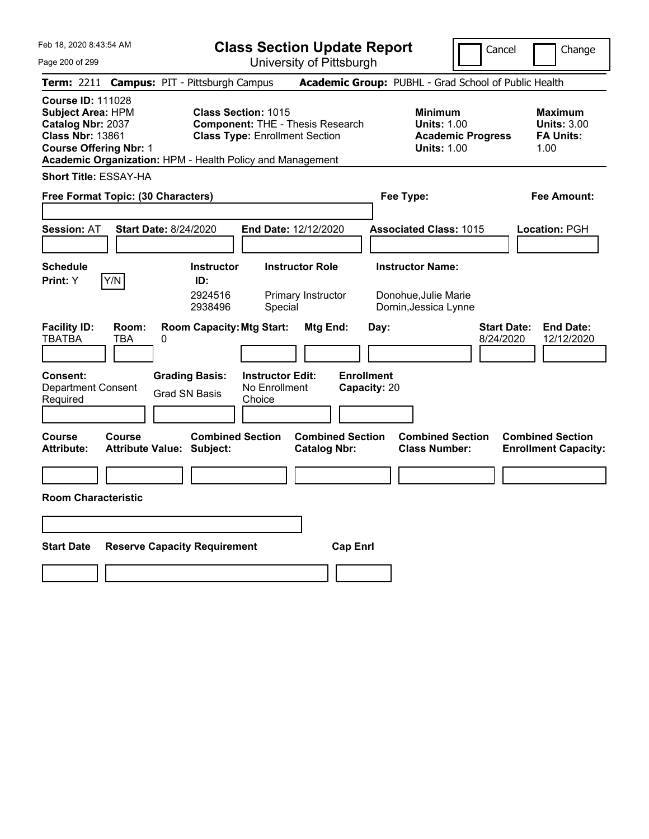**Class Section Update Report** University of Pittsburgh

Cancel Change

Page 200 of 299

|                                                                                                                                       |                     | Term: 2211 Campus: PIT - Pittsburgh Campus                  |                                                                                                                                                                             |                                   | Academic Group: PUBHL - Grad School of Public Health                                   |                                                                   |
|---------------------------------------------------------------------------------------------------------------------------------------|---------------------|-------------------------------------------------------------|-----------------------------------------------------------------------------------------------------------------------------------------------------------------------------|-----------------------------------|----------------------------------------------------------------------------------------|-------------------------------------------------------------------|
| <b>Course ID: 111028</b><br><b>Subject Area: HPM</b><br>Catalog Nbr: 2037<br><b>Class Nbr: 13861</b><br><b>Course Offering Nbr: 1</b> |                     |                                                             | <b>Class Section: 1015</b><br><b>Component: THE - Thesis Research</b><br><b>Class Type: Enrollment Section</b><br>Academic Organization: HPM - Health Policy and Management |                                   | <b>Minimum</b><br><b>Units: 1.00</b><br><b>Academic Progress</b><br><b>Units: 1.00</b> | <b>Maximum</b><br><b>Units: 3.00</b><br><b>FA Units:</b><br>1.00  |
| <b>Short Title: ESSAY-HA</b>                                                                                                          |                     |                                                             |                                                                                                                                                                             |                                   |                                                                                        |                                                                   |
| Free Format Topic: (30 Characters)                                                                                                    |                     |                                                             |                                                                                                                                                                             | Fee Type:                         | Fee Amount:                                                                            |                                                                   |
| <b>Session: AT</b>                                                                                                                    |                     | <b>Start Date: 8/24/2020</b>                                | End Date: 12/12/2020                                                                                                                                                        |                                   | <b>Associated Class: 1015</b>                                                          | Location: PGH                                                     |
| <b>Schedule</b><br>Print: Y                                                                                                           | Y/N                 | <b>Instructor</b><br>ID:<br>2924516<br>2938496              | <b>Instructor Role</b><br>Primary Instructor<br>Special                                                                                                                     |                                   | <b>Instructor Name:</b><br>Donohue, Julie Marie<br>Dornin, Jessica Lynne               |                                                                   |
| <b>Facility ID:</b><br><b>TBATBA</b>                                                                                                  | Room:<br><b>TBA</b> | <b>Room Capacity: Mtg Start:</b><br>0                       |                                                                                                                                                                             | Mtg End:<br>Day:                  |                                                                                        | <b>Start Date:</b><br><b>End Date:</b><br>8/24/2020<br>12/12/2020 |
| Consent:<br><b>Department Consent</b><br>Required                                                                                     |                     | <b>Grading Basis:</b><br><b>Grad SN Basis</b>               | <b>Instructor Edit:</b><br>No Enrollment<br>Choice                                                                                                                          | <b>Enrollment</b><br>Capacity: 20 |                                                                                        |                                                                   |
| Course<br><b>Attribute:</b>                                                                                                           | Course              | <b>Combined Section</b><br><b>Attribute Value: Subject:</b> | <b>Catalog Nbr:</b>                                                                                                                                                         | <b>Combined Section</b>           | <b>Combined Section</b><br><b>Class Number:</b>                                        | <b>Combined Section</b><br><b>Enrollment Capacity:</b>            |
|                                                                                                                                       |                     |                                                             |                                                                                                                                                                             |                                   |                                                                                        |                                                                   |
| <b>Room Characteristic</b>                                                                                                            |                     |                                                             |                                                                                                                                                                             |                                   |                                                                                        |                                                                   |
|                                                                                                                                       |                     |                                                             |                                                                                                                                                                             |                                   |                                                                                        |                                                                   |
| <b>Start Date</b>                                                                                                                     |                     | <b>Reserve Capacity Requirement</b>                         |                                                                                                                                                                             | <b>Cap Enrl</b>                   |                                                                                        |                                                                   |
|                                                                                                                                       |                     |                                                             |                                                                                                                                                                             |                                   |                                                                                        |                                                                   |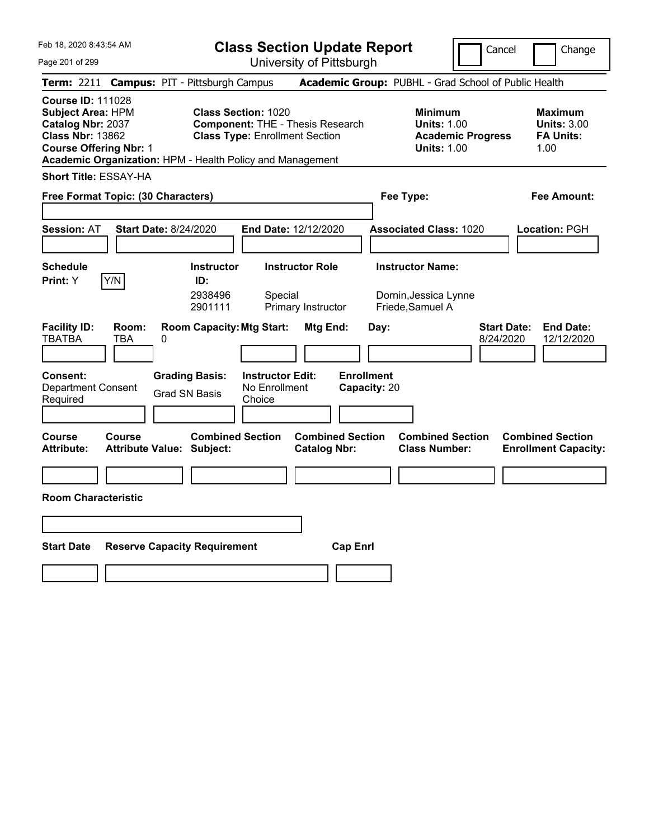**Class Section Update Report** University of Pittsburgh

Cancel | Change

Page 201 of 299

**Term:** 2211 **Campus:** PIT - Pittsburgh Campus **Academic Group:** PUBHL - Grad School of Public Health **Course ID:** 111028 **Subject Area:** HPM **Class Section:** 1020 **Minimum Maximum Catalog Nbr:** 2037 **Component:** THE - Thesis Research **Units:** 1.00 **Units:** 3.00 **Class Nbr:** 13862 **Class Type:** Enrollment Section **Academic Progress FA Units: Course Offering Nbr:** 1 **Units:** 1.00 1.00 **Academic Organization:** HPM - Health Policy and Management **Short Title:** ESSAY-HA **Free Format Topic: (30 Characters) Fee Type: Fee Amount: Session:** AT **Start Date:** 8/24/2020 **End Date:** 12/12/2020 **Associated Class:** 1020 **Location:** PGH **Schedule Instructor Instructor Role Instructor Name: Print:**  $Y$   $|Y/N|$  **ID:** 2938496 Special Dornin,Jessica Lynne 2901111 Primary Instructor Friede,Samuel A **Facility ID: Room: Room Capacity:Mtg Start: Mtg End: Day: Start Date: End Date:** TBATBA TBA 0 8/24/2020 12/12/2020 **Consent: Grading Basis: Instructor Edit: Enrollment** Department Consent Required Grad SN Basis No Enrollment **Choice Capacity:** 20 **Course Course Combined Section Combined Section Combined Section Combined Section**  Attribute: Attribute Value: Subject: Catalog Nbr: Class Number: Enrollment Capacity: **Room Characteristic Start Date Reserve Capacity Requirement Cap Enrl**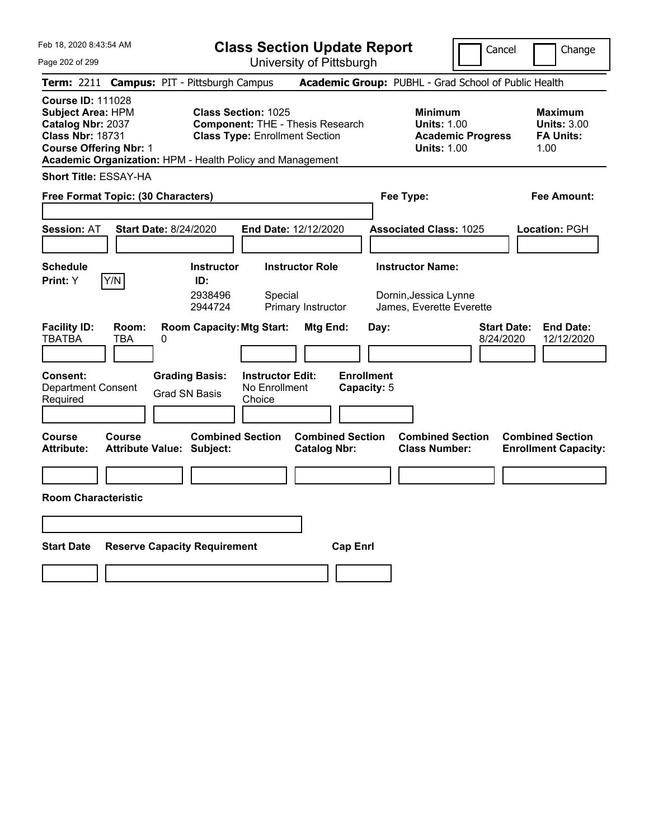**Class Section Update Report** University of Pittsburgh

Cancel **Change** 

Page 202 of 299

| Term: 2211 Campus: PIT - Pittsburgh Campus                                                                                                                                                         |                                                                                                                | Academic Group: PUBHL - Grad School of Public Health                                   |                                                                  |
|----------------------------------------------------------------------------------------------------------------------------------------------------------------------------------------------------|----------------------------------------------------------------------------------------------------------------|----------------------------------------------------------------------------------------|------------------------------------------------------------------|
| <b>Course ID: 111028</b><br><b>Subject Area: HPM</b><br>Catalog Nbr: 2037<br><b>Class Nbr: 18731</b><br><b>Course Offering Nbr: 1</b><br>Academic Organization: HPM - Health Policy and Management | <b>Class Section: 1025</b><br><b>Component: THE - Thesis Research</b><br><b>Class Type: Enrollment Section</b> | <b>Minimum</b><br><b>Units: 1.00</b><br><b>Academic Progress</b><br><b>Units: 1.00</b> | <b>Maximum</b><br><b>Units: 3.00</b><br><b>FA Units:</b><br>1.00 |
| <b>Short Title: ESSAY-HA</b>                                                                                                                                                                       |                                                                                                                |                                                                                        |                                                                  |
| Free Format Topic: (30 Characters)                                                                                                                                                                 | Fee Type:                                                                                                      | <b>Fee Amount:</b>                                                                     |                                                                  |
| <b>Session: AT</b><br><b>Start Date: 8/24/2020</b>                                                                                                                                                 | End Date: 12/12/2020                                                                                           | <b>Associated Class: 1025</b>                                                          | Location: PGH                                                    |
| <b>Schedule</b><br><b>Instructor</b><br>Y/N<br>Print: Y<br>ID:<br>2938496<br>2944724                                                                                                               | <b>Instructor Role</b><br>Special<br>Primary Instructor                                                        | <b>Instructor Name:</b><br>Dornin, Jessica Lynne<br>James, Everette Everette           |                                                                  |
| <b>Facility ID:</b><br>Room:<br><b>Room Capacity: Mtg Start:</b><br><b>TBATBA</b><br><b>TBA</b><br>0                                                                                               | Mtg End:                                                                                                       | <b>Start Date:</b><br>Day:<br>8/24/2020                                                | <b>End Date:</b><br>12/12/2020                                   |
| <b>Grading Basis:</b><br>Consent:<br>Department Consent<br><b>Grad SN Basis</b><br>Required                                                                                                        | <b>Enrollment</b><br><b>Instructor Edit:</b><br>No Enrollment<br>Capacity: 5<br>Choice                         |                                                                                        |                                                                  |
| <b>Combined Section</b><br><b>Course</b><br>Course<br><b>Attribute:</b><br><b>Attribute Value: Subject:</b>                                                                                        | <b>Combined Section</b><br><b>Catalog Nbr:</b>                                                                 | <b>Combined Section</b><br><b>Class Number:</b>                                        | <b>Combined Section</b><br><b>Enrollment Capacity:</b>           |
| <b>Room Characteristic</b>                                                                                                                                                                         |                                                                                                                |                                                                                        |                                                                  |
| Start Date<br><b>Reserve Capacity Requirement</b>                                                                                                                                                  | <b>Cap Enri</b>                                                                                                |                                                                                        |                                                                  |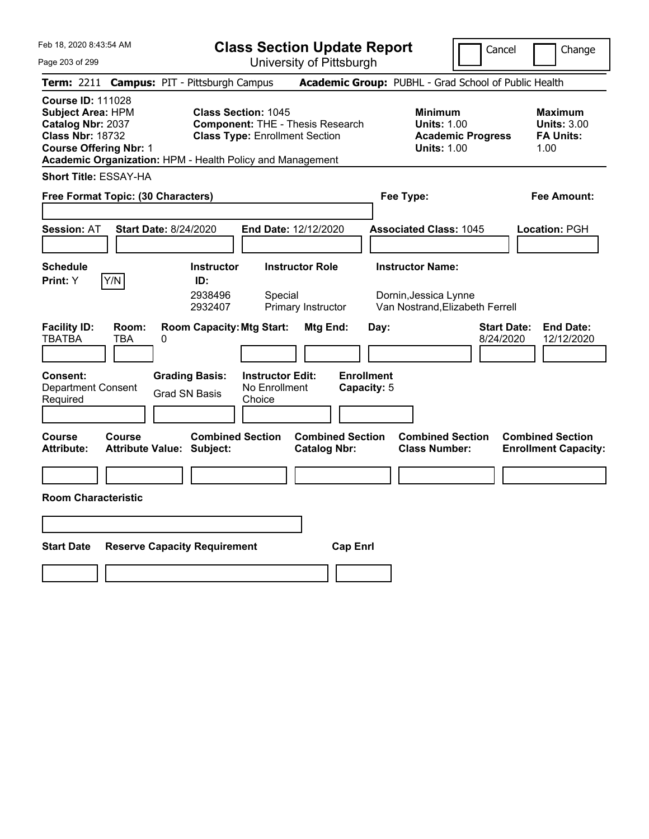**Class Section Update Report** University of Pittsburgh

Cancel Change

Page 203 of 299

|                                                                                                                                       |              | Term: 2211 Campus: PIT - Pittsburgh Campus                  |                                                                                                                |                                                |                 |                                  | Academic Group: PUBHL - Grad School of Public Health                                |                          |                                 |      |                                                          |
|---------------------------------------------------------------------------------------------------------------------------------------|--------------|-------------------------------------------------------------|----------------------------------------------------------------------------------------------------------------|------------------------------------------------|-----------------|----------------------------------|-------------------------------------------------------------------------------------|--------------------------|---------------------------------|------|----------------------------------------------------------|
| <b>Course ID: 111028</b><br><b>Subject Area: HPM</b><br>Catalog Nbr: 2037<br><b>Class Nbr: 18732</b><br><b>Course Offering Nbr: 1</b> |              | Academic Organization: HPM - Health Policy and Management   | <b>Class Section: 1045</b><br><b>Component: THE - Thesis Research</b><br><b>Class Type: Enrollment Section</b> |                                                |                 |                                  | <b>Minimum</b><br><b>Units: 1.00</b><br><b>Units: 1.00</b>                          | <b>Academic Progress</b> |                                 | 1.00 | <b>Maximum</b><br><b>Units: 3.00</b><br><b>FA Units:</b> |
| <b>Short Title: ESSAY-HA</b>                                                                                                          |              |                                                             |                                                                                                                |                                                |                 |                                  |                                                                                     |                          |                                 |      |                                                          |
| Free Format Topic: (30 Characters)                                                                                                    |              |                                                             |                                                                                                                |                                                |                 |                                  | Fee Type:                                                                           |                          |                                 |      | Fee Amount:                                              |
| <b>Session: AT</b>                                                                                                                    |              | <b>Start Date: 8/24/2020</b>                                | End Date: 12/12/2020                                                                                           |                                                |                 |                                  | <b>Associated Class: 1045</b>                                                       |                          |                                 |      | Location: PGH                                            |
| <b>Schedule</b><br>Print: Y                                                                                                           | Y/N          | <b>Instructor</b><br>ID:<br>2938496<br>2932407              | Special                                                                                                        | <b>Instructor Role</b><br>Primary Instructor   |                 |                                  | <b>Instructor Name:</b><br>Dornin, Jessica Lynne<br>Van Nostrand, Elizabeth Ferrell |                          |                                 |      |                                                          |
| <b>Facility ID:</b><br><b>TBATBA</b>                                                                                                  | Room:<br>TBA | <b>Room Capacity: Mtg Start:</b><br>0                       |                                                                                                                | Mtg End:                                       |                 | Day:                             |                                                                                     |                          | <b>Start Date:</b><br>8/24/2020 |      | <b>End Date:</b><br>12/12/2020                           |
| <b>Consent:</b><br><b>Department Consent</b><br>Required                                                                              |              | <b>Grading Basis:</b><br><b>Grad SN Basis</b>               | <b>Instructor Edit:</b><br>No Enrollment<br>Choice                                                             |                                                |                 | <b>Enrollment</b><br>Capacity: 5 |                                                                                     |                          |                                 |      |                                                          |
| <b>Course</b><br><b>Attribute:</b>                                                                                                    | Course       | <b>Combined Section</b><br><b>Attribute Value: Subject:</b> |                                                                                                                | <b>Combined Section</b><br><b>Catalog Nbr:</b> |                 |                                  | <b>Combined Section</b><br><b>Class Number:</b>                                     |                          |                                 |      | <b>Combined Section</b><br><b>Enrollment Capacity:</b>   |
| <b>Room Characteristic</b>                                                                                                            |              |                                                             |                                                                                                                |                                                |                 |                                  |                                                                                     |                          |                                 |      |                                                          |
|                                                                                                                                       |              |                                                             |                                                                                                                |                                                |                 |                                  |                                                                                     |                          |                                 |      |                                                          |
| <b>Start Date</b>                                                                                                                     |              | <b>Reserve Capacity Requirement</b>                         |                                                                                                                |                                                | <b>Cap Enrl</b> |                                  |                                                                                     |                          |                                 |      |                                                          |
|                                                                                                                                       |              |                                                             |                                                                                                                |                                                |                 |                                  |                                                                                     |                          |                                 |      |                                                          |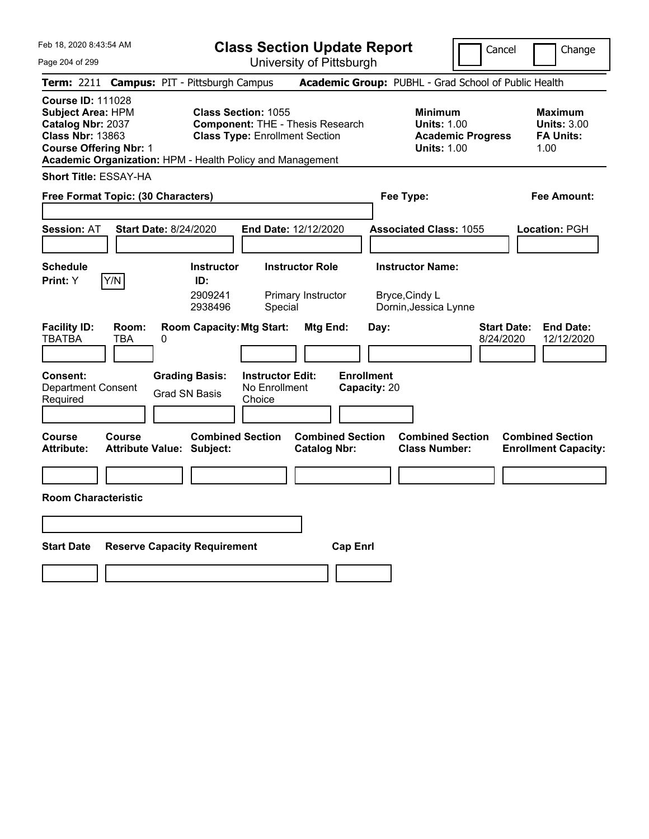**Class Section Update Report** University of Pittsburgh

Cancel Change

Page 204 of 299

|                                                                                                                                       |                                   |   | Term: 2211 Campus: PIT - Pittsburgh Campus     |                                                                                                                                                                             |                                                |                 |                                   |                | Academic Group: PUBHL - Grad School of Public Health                                   |                                 |                                                                  |
|---------------------------------------------------------------------------------------------------------------------------------------|-----------------------------------|---|------------------------------------------------|-----------------------------------------------------------------------------------------------------------------------------------------------------------------------------|------------------------------------------------|-----------------|-----------------------------------|----------------|----------------------------------------------------------------------------------------|---------------------------------|------------------------------------------------------------------|
| <b>Course ID: 111028</b><br><b>Subject Area: HPM</b><br>Catalog Nbr: 2037<br><b>Class Nbr: 13863</b><br><b>Course Offering Nbr: 1</b> |                                   |   |                                                | <b>Class Section: 1055</b><br><b>Component: THE - Thesis Research</b><br><b>Class Type: Enrollment Section</b><br>Academic Organization: HPM - Health Policy and Management |                                                |                 |                                   |                | <b>Minimum</b><br><b>Units: 1.00</b><br><b>Academic Progress</b><br><b>Units: 1.00</b> |                                 | <b>Maximum</b><br><b>Units: 3.00</b><br><b>FA Units:</b><br>1.00 |
| <b>Short Title: ESSAY-HA</b>                                                                                                          |                                   |   |                                                |                                                                                                                                                                             |                                                |                 |                                   |                |                                                                                        |                                 |                                                                  |
| Free Format Topic: (30 Characters)                                                                                                    |                                   |   |                                                |                                                                                                                                                                             |                                                |                 |                                   | Fee Type:      |                                                                                        |                                 | <b>Fee Amount:</b>                                               |
| <b>Session: AT</b>                                                                                                                    | <b>Start Date: 8/24/2020</b>      |   |                                                | End Date: 12/12/2020                                                                                                                                                        |                                                |                 |                                   |                | <b>Associated Class: 1055</b>                                                          |                                 | Location: PGH                                                    |
| <b>Schedule</b><br>Print: Y                                                                                                           | Y/N                               |   | <b>Instructor</b><br>ID:<br>2909241<br>2938496 | Special                                                                                                                                                                     | <b>Instructor Role</b><br>Primary Instructor   |                 |                                   | Bryce, Cindy L | <b>Instructor Name:</b><br>Dornin, Jessica Lynne                                       |                                 |                                                                  |
| <b>Facility ID:</b><br><b>TBATBA</b>                                                                                                  | Room:<br>TBA                      | 0 |                                                | <b>Room Capacity: Mtg Start:</b>                                                                                                                                            | Mtg End:                                       |                 | Day:                              |                |                                                                                        | <b>Start Date:</b><br>8/24/2020 | <b>End Date:</b><br>12/12/2020                                   |
| Consent:<br><b>Department Consent</b><br>Required                                                                                     |                                   |   | <b>Grading Basis:</b><br><b>Grad SN Basis</b>  | <b>Instructor Edit:</b><br>No Enrollment<br>Choice                                                                                                                          |                                                |                 | <b>Enrollment</b><br>Capacity: 20 |                |                                                                                        |                                 |                                                                  |
| Course<br>Attribute:                                                                                                                  | Course<br><b>Attribute Value:</b> |   | <b>Combined Section</b><br>Subject:            |                                                                                                                                                                             | <b>Combined Section</b><br><b>Catalog Nbr:</b> |                 |                                   |                | <b>Combined Section</b><br><b>Class Number:</b>                                        |                                 | <b>Combined Section</b><br><b>Enrollment Capacity:</b>           |
| <b>Room Characteristic</b>                                                                                                            |                                   |   |                                                |                                                                                                                                                                             |                                                |                 |                                   |                |                                                                                        |                                 |                                                                  |
| <b>Start Date</b>                                                                                                                     |                                   |   | <b>Reserve Capacity Requirement</b>            |                                                                                                                                                                             |                                                | <b>Cap Enrl</b> |                                   |                |                                                                                        |                                 |                                                                  |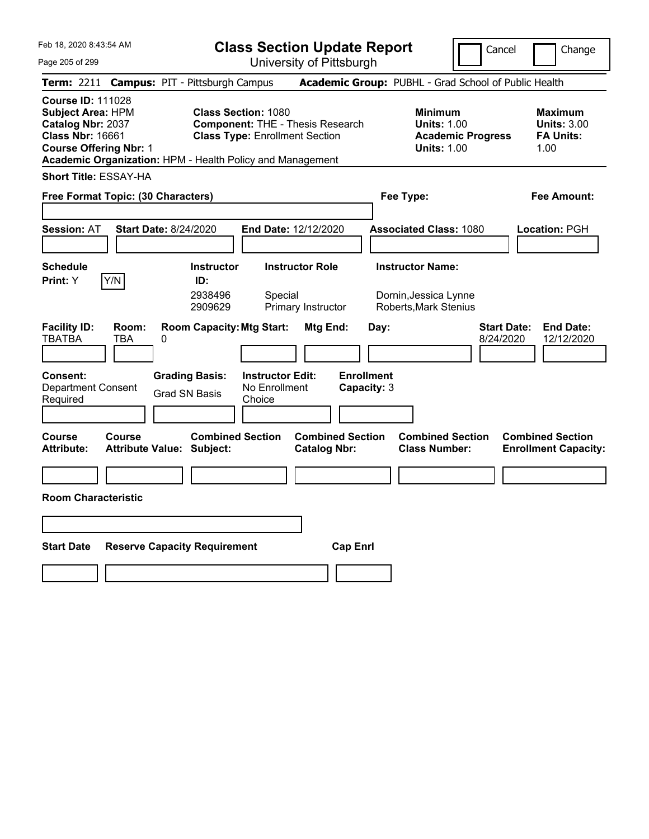**Class Section Update Report**

Cancel **Change** 

| Page 205 of 299                                                                                                                                                                                    |                                                             | University of Pittsburgh                                                               |                                                                                        |                                                                  |
|----------------------------------------------------------------------------------------------------------------------------------------------------------------------------------------------------|-------------------------------------------------------------|----------------------------------------------------------------------------------------|----------------------------------------------------------------------------------------|------------------------------------------------------------------|
| Term: 2211 Campus: PIT - Pittsburgh Campus                                                                                                                                                         |                                                             |                                                                                        | Academic Group: PUBHL - Grad School of Public Health                                   |                                                                  |
| <b>Course ID: 111028</b><br><b>Subject Area: HPM</b><br>Catalog Nbr: 2037<br><b>Class Nbr: 16661</b><br><b>Course Offering Nbr: 1</b><br>Academic Organization: HPM - Health Policy and Management | <b>Class Section: 1080</b>                                  | <b>Component: THE - Thesis Research</b><br><b>Class Type: Enrollment Section</b>       | <b>Minimum</b><br><b>Units: 1.00</b><br><b>Academic Progress</b><br><b>Units: 1.00</b> | <b>Maximum</b><br><b>Units: 3.00</b><br><b>FA Units:</b><br>1.00 |
| <b>Short Title: ESSAY-HA</b><br>Free Format Topic: (30 Characters)                                                                                                                                 |                                                             |                                                                                        | Fee Type:                                                                              | Fee Amount:                                                      |
| <b>Session: AT</b>                                                                                                                                                                                 | <b>Start Date: 8/24/2020</b>                                | End Date: 12/12/2020                                                                   | <b>Associated Class: 1080</b>                                                          | Location: PGH                                                    |
| <b>Schedule</b><br>Y/N<br>Print: Y                                                                                                                                                                 | <b>Instructor</b><br>ID:<br>2938496<br>2909629              | <b>Instructor Role</b><br>Special<br>Primary Instructor                                | <b>Instructor Name:</b><br>Dornin, Jessica Lynne<br>Roberts, Mark Stenius              |                                                                  |
| <b>Facility ID:</b><br>Room:<br><b>TBATBA</b><br><b>TBA</b>                                                                                                                                        | <b>Room Capacity: Mtg Start:</b><br>0                       | Mtg End:                                                                               | <b>Start Date:</b><br>Day:<br>8/24/2020                                                | <b>End Date:</b><br>12/12/2020                                   |
| <b>Consent:</b><br><b>Department Consent</b><br>Required                                                                                                                                           | <b>Grading Basis:</b><br><b>Grad SN Basis</b>               | <b>Instructor Edit:</b><br><b>Enrollment</b><br>No Enrollment<br>Capacity: 3<br>Choice |                                                                                        |                                                                  |
| Course<br>Course<br><b>Attribute:</b>                                                                                                                                                              | <b>Combined Section</b><br><b>Attribute Value: Subject:</b> | <b>Combined Section</b><br><b>Catalog Nbr:</b>                                         | <b>Combined Section</b><br><b>Class Number:</b>                                        | <b>Combined Section</b><br><b>Enrollment Capacity:</b>           |
| <b>Room Characteristic</b>                                                                                                                                                                         |                                                             |                                                                                        |                                                                                        |                                                                  |
| <b>Start Date</b>                                                                                                                                                                                  | <b>Reserve Capacity Requirement</b>                         | <b>Cap Enrl</b>                                                                        |                                                                                        |                                                                  |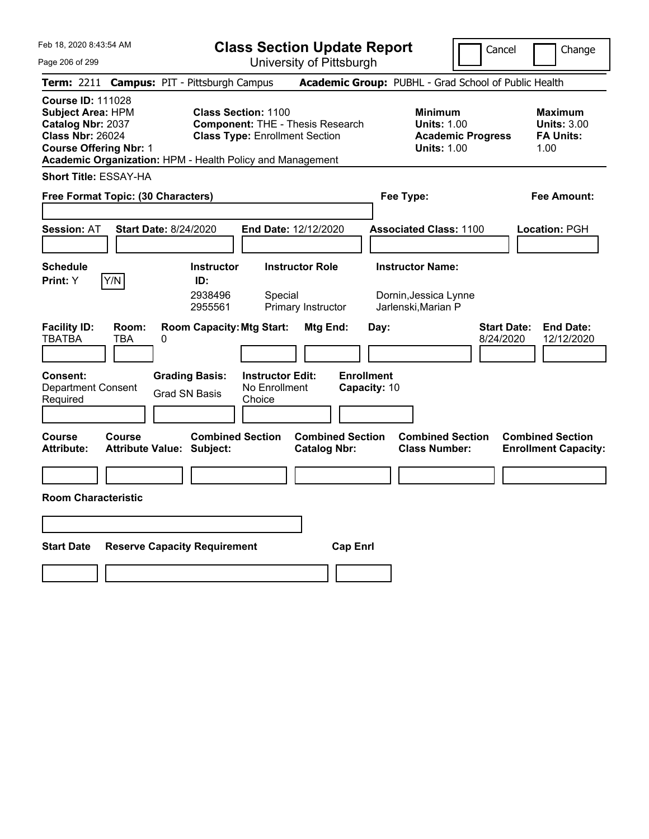**Class Section Update Report**

Cancel Change

| Page 206 of 299                                                                                                                                                                                    |                                                                                                                | University of Pittsburgh                       |                                                                                        |                                                                   |  |  |  |  |  |
|----------------------------------------------------------------------------------------------------------------------------------------------------------------------------------------------------|----------------------------------------------------------------------------------------------------------------|------------------------------------------------|----------------------------------------------------------------------------------------|-------------------------------------------------------------------|--|--|--|--|--|
| Term: 2211 Campus: PIT - Pittsburgh Campus                                                                                                                                                         |                                                                                                                |                                                | Academic Group: PUBHL - Grad School of Public Health                                   |                                                                   |  |  |  |  |  |
| <b>Course ID: 111028</b><br><b>Subject Area: HPM</b><br>Catalog Nbr: 2037<br><b>Class Nbr: 26024</b><br><b>Course Offering Nbr: 1</b><br>Academic Organization: HPM - Health Policy and Management | <b>Class Section: 1100</b><br><b>Component: THE - Thesis Research</b><br><b>Class Type: Enrollment Section</b> |                                                | <b>Minimum</b><br><b>Units: 1.00</b><br><b>Academic Progress</b><br><b>Units: 1.00</b> | <b>Maximum</b><br><b>Units: 3.00</b><br><b>FA Units:</b><br>1.00  |  |  |  |  |  |
| <b>Short Title: ESSAY-HA</b>                                                                                                                                                                       |                                                                                                                |                                                |                                                                                        |                                                                   |  |  |  |  |  |
| Free Format Topic: (30 Characters)                                                                                                                                                                 |                                                                                                                |                                                | Fee Type:                                                                              | Fee Amount:                                                       |  |  |  |  |  |
| <b>Session: AT</b><br><b>Start Date: 8/24/2020</b>                                                                                                                                                 |                                                                                                                | End Date: 12/12/2020                           | <b>Associated Class: 1100</b>                                                          | Location: PGH                                                     |  |  |  |  |  |
| <b>Schedule</b><br>Y/N<br>Print: Y                                                                                                                                                                 | <b>Instructor</b><br>ID:<br>2938496<br>Special<br>2955561                                                      | <b>Instructor Role</b><br>Primary Instructor   | <b>Instructor Name:</b><br>Dornin, Jessica Lynne<br>Jarlenski, Marian P                |                                                                   |  |  |  |  |  |
| <b>Facility ID:</b><br>Room:<br><b>TBATBA</b><br>0<br>TBA                                                                                                                                          | <b>Room Capacity: Mtg Start:</b>                                                                               | Mtg End:<br>Day:                               |                                                                                        | <b>Start Date:</b><br><b>End Date:</b><br>8/24/2020<br>12/12/2020 |  |  |  |  |  |
| Consent:<br><b>Department Consent</b><br>Required                                                                                                                                                  | <b>Grading Basis:</b><br><b>Instructor Edit:</b><br>No Enrollment<br><b>Grad SN Basis</b><br>Choice            | <b>Enrollment</b><br>Capacity: 10              |                                                                                        |                                                                   |  |  |  |  |  |
| Course<br>Course<br><b>Attribute Value: Subject:</b><br>Attribute:                                                                                                                                 | <b>Combined Section</b>                                                                                        | <b>Combined Section</b><br><b>Catalog Nbr:</b> | <b>Combined Section</b><br><b>Class Number:</b>                                        | <b>Combined Section</b><br><b>Enrollment Capacity:</b>            |  |  |  |  |  |
|                                                                                                                                                                                                    |                                                                                                                |                                                |                                                                                        |                                                                   |  |  |  |  |  |
| <b>Room Characteristic</b>                                                                                                                                                                         |                                                                                                                |                                                |                                                                                        |                                                                   |  |  |  |  |  |
|                                                                                                                                                                                                    |                                                                                                                |                                                |                                                                                        |                                                                   |  |  |  |  |  |
| <b>Start Date</b>                                                                                                                                                                                  | <b>Reserve Capacity Requirement</b>                                                                            | <b>Cap Enrl</b>                                |                                                                                        |                                                                   |  |  |  |  |  |
|                                                                                                                                                                                                    |                                                                                                                |                                                |                                                                                        |                                                                   |  |  |  |  |  |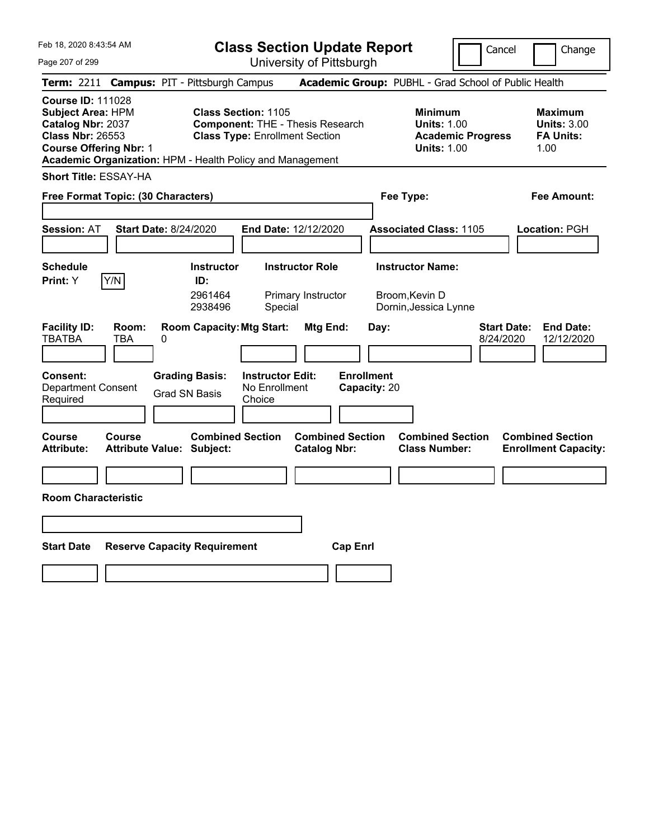**Class Section Update Report**

Cancel **Change** 

| Page 207 of 299                                                                                                                                                                                                                                                                                                      |                                                             | University of Pittsburgh                                |                                   |                                                                                        |                                                                   |  |  |  |  |
|----------------------------------------------------------------------------------------------------------------------------------------------------------------------------------------------------------------------------------------------------------------------------------------------------------------------|-------------------------------------------------------------|---------------------------------------------------------|-----------------------------------|----------------------------------------------------------------------------------------|-------------------------------------------------------------------|--|--|--|--|
| Term: 2211 Campus: PIT - Pittsburgh Campus                                                                                                                                                                                                                                                                           |                                                             |                                                         |                                   | Academic Group: PUBHL - Grad School of Public Health                                   |                                                                   |  |  |  |  |
| <b>Course ID: 111028</b><br><b>Subject Area: HPM</b><br><b>Class Section: 1105</b><br>Catalog Nbr: 2037<br><b>Component: THE - Thesis Research</b><br><b>Class Nbr: 26553</b><br><b>Class Type: Enrollment Section</b><br><b>Course Offering Nbr: 1</b><br>Academic Organization: HPM - Health Policy and Management |                                                             |                                                         |                                   | <b>Minimum</b><br><b>Units: 1.00</b><br><b>Academic Progress</b><br><b>Units: 1.00</b> | Maximum<br><b>Units: 3.00</b><br><b>FA Units:</b><br>1.00         |  |  |  |  |
| <b>Short Title: ESSAY-HA</b>                                                                                                                                                                                                                                                                                         |                                                             |                                                         |                                   |                                                                                        |                                                                   |  |  |  |  |
| Free Format Topic: (30 Characters)                                                                                                                                                                                                                                                                                   |                                                             |                                                         | Fee Type:                         | Fee Amount:                                                                            |                                                                   |  |  |  |  |
| <b>Session: AT</b>                                                                                                                                                                                                                                                                                                   | <b>Start Date: 8/24/2020</b>                                | End Date: 12/12/2020                                    |                                   | <b>Associated Class: 1105</b>                                                          | Location: PGH                                                     |  |  |  |  |
| <b>Schedule</b><br>Print: Y<br>Y/N                                                                                                                                                                                                                                                                                   | <b>Instructor</b><br>ID:<br>2961464<br>2938496              | <b>Instructor Role</b><br>Primary Instructor<br>Special |                                   | <b>Instructor Name:</b><br>Broom, Kevin D<br>Dornin, Jessica Lynne                     |                                                                   |  |  |  |  |
| <b>Facility ID:</b><br>Room:<br><b>TBATBA</b><br>TBA                                                                                                                                                                                                                                                                 | <b>Room Capacity: Mtg Start:</b><br>0                       |                                                         | Mtg End:<br>Day:                  |                                                                                        | <b>End Date:</b><br><b>Start Date:</b><br>8/24/2020<br>12/12/2020 |  |  |  |  |
| Consent:<br><b>Department Consent</b><br>Required                                                                                                                                                                                                                                                                    | <b>Grading Basis:</b><br><b>Grad SN Basis</b>               | <b>Instructor Edit:</b><br>No Enrollment<br>Choice      | <b>Enrollment</b><br>Capacity: 20 |                                                                                        |                                                                   |  |  |  |  |
| Course<br><b>Course</b><br><b>Attribute:</b>                                                                                                                                                                                                                                                                         | <b>Combined Section</b><br><b>Attribute Value: Subject:</b> | <b>Catalog Nbr:</b>                                     | <b>Combined Section</b>           | <b>Combined Section</b><br><b>Class Number:</b>                                        | <b>Combined Section</b><br><b>Enrollment Capacity:</b>            |  |  |  |  |
|                                                                                                                                                                                                                                                                                                                      |                                                             |                                                         |                                   |                                                                                        |                                                                   |  |  |  |  |
| <b>Room Characteristic</b>                                                                                                                                                                                                                                                                                           |                                                             |                                                         |                                   |                                                                                        |                                                                   |  |  |  |  |
|                                                                                                                                                                                                                                                                                                                      |                                                             |                                                         |                                   |                                                                                        |                                                                   |  |  |  |  |
| <b>Start Date</b>                                                                                                                                                                                                                                                                                                    | <b>Reserve Capacity Requirement</b>                         |                                                         | <b>Cap Enrl</b>                   |                                                                                        |                                                                   |  |  |  |  |
|                                                                                                                                                                                                                                                                                                                      |                                                             |                                                         |                                   |                                                                                        |                                                                   |  |  |  |  |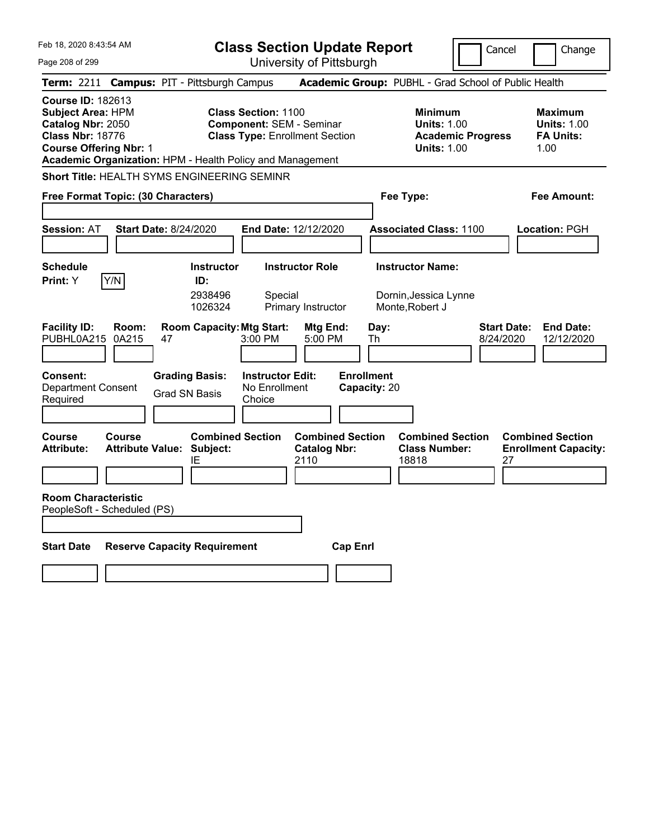| Feb 18, 2020 8:43:54 AM                                                                                                                                                                            |                                                                                               | <b>Class Section Update Report</b>                                             |                                                                                   | Cancel                          | Change                                                    |
|----------------------------------------------------------------------------------------------------------------------------------------------------------------------------------------------------|-----------------------------------------------------------------------------------------------|--------------------------------------------------------------------------------|-----------------------------------------------------------------------------------|---------------------------------|-----------------------------------------------------------|
| Page 208 of 299                                                                                                                                                                                    |                                                                                               | University of Pittsburgh                                                       |                                                                                   |                                 |                                                           |
| <b>Term: 2211</b>                                                                                                                                                                                  | <b>Campus: PIT - Pittsburgh Campus</b>                                                        |                                                                                | Academic Group: PUBHL - Grad School of Public Health                              |                                 |                                                           |
| <b>Course ID: 182613</b><br><b>Subject Area: HPM</b><br>Catalog Nbr: 2050<br><b>Class Nbr: 18776</b><br><b>Course Offering Nbr: 1</b><br>Academic Organization: HPM - Health Policy and Management | <b>Class Section: 1100</b>                                                                    | <b>Component: SEM - Seminar</b><br><b>Class Type: Enrollment Section</b>       | <b>Minimum</b><br><b>Units: 1.00</b><br><b>Units: 1.00</b>                        | <b>Academic Progress</b>        | Maximum<br><b>Units: 1.00</b><br><b>FA Units:</b><br>1.00 |
| <b>Short Title: HEALTH SYMS ENGINEERING SEMINR</b>                                                                                                                                                 |                                                                                               |                                                                                |                                                                                   |                                 |                                                           |
| Free Format Topic: (30 Characters)                                                                                                                                                                 | Fee Type:                                                                                     |                                                                                | Fee Amount:                                                                       |                                 |                                                           |
| <b>Session: AT</b><br><b>Start Date: 8/24/2020</b>                                                                                                                                                 |                                                                                               | <b>End Date: 12/12/2020</b>                                                    | <b>Associated Class: 1100</b>                                                     |                                 | <b>Location: PGH</b>                                      |
| <b>Schedule</b><br>Y/N<br><b>Print:</b> Y<br><b>Facility ID:</b><br>Room:<br>PUBHL0A215<br>0A215<br>47                                                                                             | <b>Instructor</b><br>ID:<br>2938496<br>1026324<br><b>Room Capacity: Mtg Start:</b><br>3:00 PM | <b>Instructor Role</b><br>Special<br>Primary Instructor<br>Mtg End:<br>5:00 PM | <b>Instructor Name:</b><br>Dornin, Jessica Lynne<br>Monte, Robert J<br>Day:<br>Th | <b>Start Date:</b><br>8/24/2020 | <b>End Date:</b><br>12/12/2020                            |
|                                                                                                                                                                                                    |                                                                                               |                                                                                |                                                                                   |                                 |                                                           |
| <b>Consent:</b><br><b>Department Consent</b><br>Required                                                                                                                                           | <b>Grading Basis:</b><br><b>Grad SN Basis</b><br>Choice                                       | <b>Instructor Edit:</b><br>No Enrollment                                       | <b>Enrollment</b><br>Capacity: 20                                                 |                                 |                                                           |
| Course<br>Course<br><b>Attribute Value: Subject:</b><br><b>Attribute:</b>                                                                                                                          | <b>Combined Section</b><br>ΙE                                                                 | <b>Combined Section</b><br><b>Catalog Nbr:</b><br>2110                         | <b>Combined Section</b><br><b>Class Number:</b><br>18818                          | 27                              | <b>Combined Section</b><br><b>Enrollment Capacity:</b>    |
| <b>Room Characteristic</b><br>PeopleSoft - Scheduled (PS)                                                                                                                                          |                                                                                               |                                                                                |                                                                                   |                                 |                                                           |
| <b>Start Date</b>                                                                                                                                                                                  | <b>Reserve Capacity Requirement</b>                                                           | <b>Cap Enrl</b>                                                                |                                                                                   |                                 |                                                           |
|                                                                                                                                                                                                    |                                                                                               |                                                                                |                                                                                   |                                 |                                                           |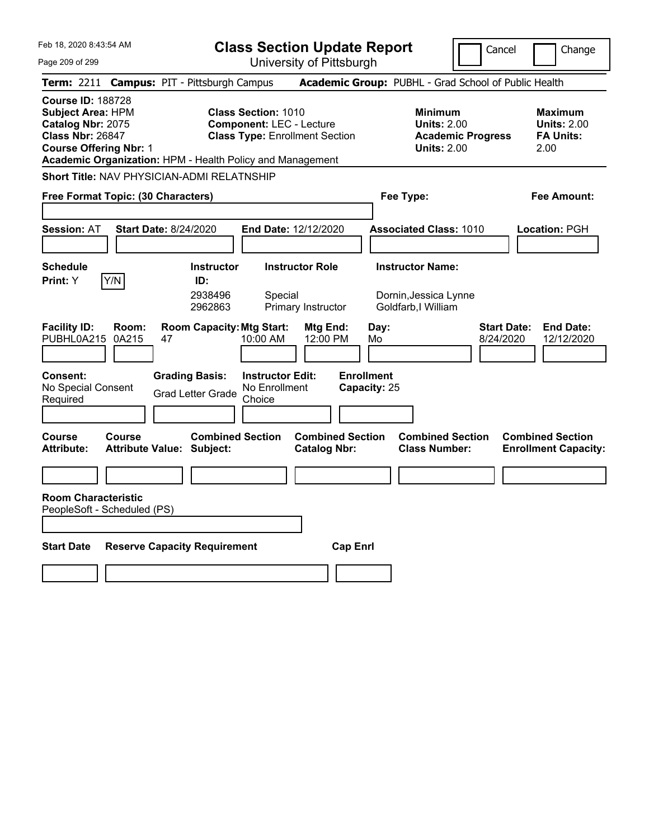Feb 18, 2020 8:43:54 AM Page 209 of 299 **Class Section Update Report** University of Pittsburgh Cancel Change **Term:** 2211 **Campus:** PIT - Pittsburgh Campus **Academic Group:** PUBHL - Grad School of Public Health **Course ID:** 188728 **Subject Area:** HPM **Class Section:** 1010 **Minimum Maximum Catalog Nbr:** 2075 **Component:** LEC - Lecture **Units:** 2.00 **Units:** 2.00 **Class Nbr:** 26847 **Class Type:** Enrollment Section **Academic Progress FA Units: Course Offering Nbr:** 1 **Units:** 2.00 2.00 **Academic Organization:** HPM - Health Policy and Management **Short Title:** NAV PHYSICIAN-ADMI RELATNSHIP **Free Format Topic: (30 Characters) Fee Type: Fee Amount: Session:** AT **Start Date:** 8/24/2020 **End Date:** 12/12/2020 **Associated Class:** 1010 **Location:** PGH **Schedule Instructor Instructor Role Instructor Name: Print:**  $Y$   $|Y/N|$  **ID:** 2938496 Special Dornin,Jessica Lynne 2962863 Primary Instructor Goldfarb,I William **Facility ID: Room: Room Capacity:Mtg Start: Mtg End: Day: Start Date: End Date:** PUBHL0A215 0A215 47 10:00 AM 12:00 PM Mo 8/24/2020 12/12/2020 **Consent: Grading Basis: Instructor Edit: Enrollment** No Special Consent No Special Consent Grad Letter Grade No Enrollment<br>Required Choice **Choice Capacity:** 25 **Course Course Combined Section Combined Section Combined Section Combined Section**  Attribute: Attribute Value: Subject: Catalog Nbr: Class Number: Enrollment Capacity: **Room Characteristic** PeopleSoft - Scheduled (PS) **Start Date Reserve Capacity Requirement Cap Enrl**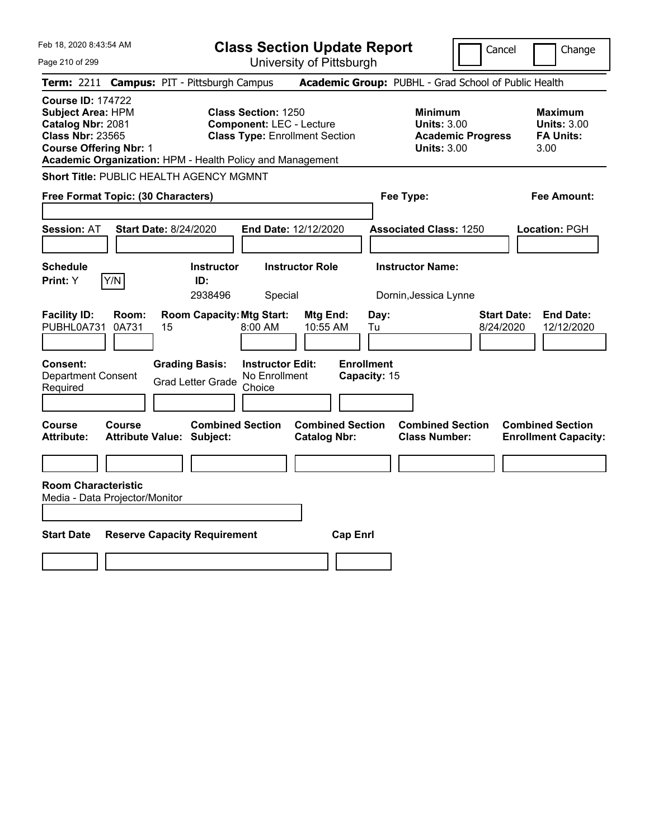| Feb 18, 2020 8:43:54 AM<br>Page 210 of 299                                                                                                                                                         |                                                                              | <b>Class Section Update Report</b><br>University of Pittsburgh | Cancel                                                                                 | Change                                                           |
|----------------------------------------------------------------------------------------------------------------------------------------------------------------------------------------------------|------------------------------------------------------------------------------|----------------------------------------------------------------|----------------------------------------------------------------------------------------|------------------------------------------------------------------|
| Term: 2211 Campus: PIT - Pittsburgh Campus                                                                                                                                                         |                                                                              |                                                                | Academic Group: PUBHL - Grad School of Public Health                                   |                                                                  |
| <b>Course ID: 174722</b><br><b>Subject Area: HPM</b><br>Catalog Nbr: 2081<br><b>Class Nbr: 23565</b><br><b>Course Offering Nbr: 1</b><br>Academic Organization: HPM - Health Policy and Management | <b>Class Section: 1250</b><br><b>Component: LEC - Lecture</b>                | <b>Class Type: Enrollment Section</b>                          | <b>Minimum</b><br><b>Units: 3.00</b><br><b>Academic Progress</b><br><b>Units: 3.00</b> | <b>Maximum</b><br><b>Units: 3.00</b><br><b>FA Units:</b><br>3.00 |
| <b>Short Title: PUBLIC HEALTH AGENCY MGMNT</b>                                                                                                                                                     |                                                                              |                                                                |                                                                                        |                                                                  |
| Free Format Topic: (30 Characters)                                                                                                                                                                 |                                                                              |                                                                | Fee Type:                                                                              | <b>Fee Amount:</b>                                               |
| <b>Session: AT</b><br><b>Start Date: 8/24/2020</b>                                                                                                                                                 |                                                                              | End Date: 12/12/2020                                           | <b>Associated Class: 1250</b>                                                          | <b>Location: PGH</b>                                             |
| <b>Schedule</b><br>Y/N<br>Print: Y                                                                                                                                                                 | <b>Instructor</b><br>ID:<br>2938496                                          | <b>Instructor Role</b><br>Special                              | <b>Instructor Name:</b><br>Dornin, Jessica Lynne                                       |                                                                  |
| <b>Facility ID:</b><br>Room:<br>PUBHL0A731<br>0A731<br>15                                                                                                                                          | <b>Room Capacity: Mtg Start:</b><br>8:00 AM                                  | Mtg End:<br>Day:<br>10:55 AM<br>Tu                             | <b>Start Date:</b><br>8/24/2020                                                        | <b>End Date:</b><br>12/12/2020                                   |
| Consent:<br><b>Department Consent</b><br>Required                                                                                                                                                  | <b>Grading Basis:</b><br>No Enrollment<br><b>Grad Letter Grade</b><br>Choice | <b>Enrollment</b><br><b>Instructor Edit:</b><br>Capacity: 15   |                                                                                        |                                                                  |
| Course<br><b>Course</b><br><b>Attribute:</b><br><b>Attribute Value: Subject:</b>                                                                                                                   | <b>Combined Section</b>                                                      | <b>Combined Section</b><br><b>Catalog Nbr:</b>                 | <b>Combined Section</b><br><b>Class Number:</b>                                        | <b>Combined Section</b><br><b>Enrollment Capacity:</b>           |
|                                                                                                                                                                                                    |                                                                              |                                                                |                                                                                        |                                                                  |
| <b>Room Characteristic</b><br>Media - Data Projector/Monitor                                                                                                                                       |                                                                              |                                                                |                                                                                        |                                                                  |
| <b>Start Date</b>                                                                                                                                                                                  | <b>Reserve Capacity Requirement</b>                                          | <b>Cap Enrl</b>                                                |                                                                                        |                                                                  |
|                                                                                                                                                                                                    |                                                                              |                                                                |                                                                                        |                                                                  |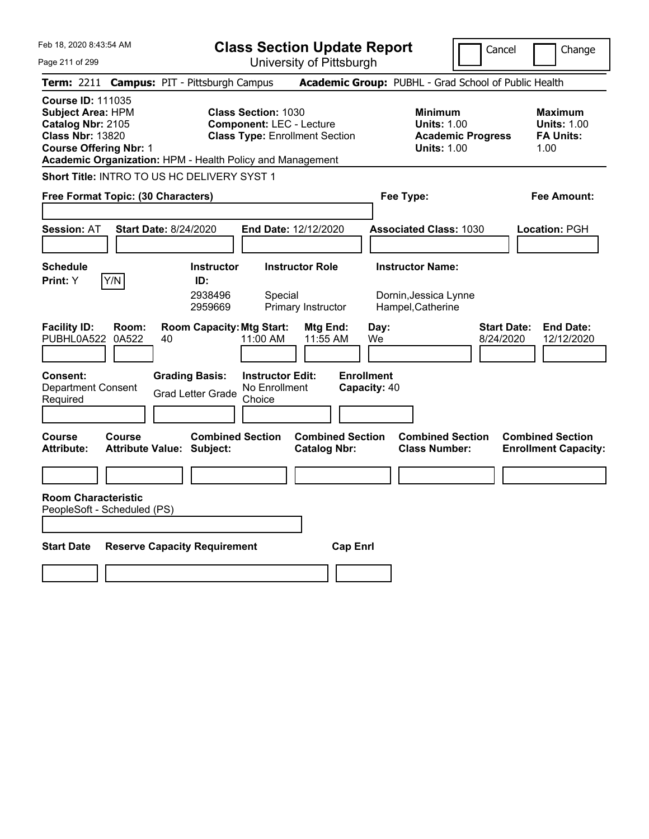Page 211 of 299

**Class Section Update Report**

Cancel **Change** 

|                                                                                                                                       |                |                                                                                             |                                                                | UNIVUOILY ULI RODULYN                          |                                                 |                                                                                        |                                                                   |
|---------------------------------------------------------------------------------------------------------------------------------------|----------------|---------------------------------------------------------------------------------------------|----------------------------------------------------------------|------------------------------------------------|-------------------------------------------------|----------------------------------------------------------------------------------------|-------------------------------------------------------------------|
|                                                                                                                                       |                | Term: 2211 Campus: PIT - Pittsburgh Campus                                                  |                                                                |                                                |                                                 | Academic Group: PUBHL - Grad School of Public Health                                   |                                                                   |
| <b>Course ID: 111035</b><br><b>Subject Area: HPM</b><br>Catalog Nbr: 2105<br><b>Class Nbr: 13820</b><br><b>Course Offering Nbr: 1</b> |                | Academic Organization: HPM - Health Policy and Management                                   | <b>Class Section: 1030</b><br><b>Component: LEC - Lecture</b>  | <b>Class Type: Enrollment Section</b>          |                                                 | <b>Minimum</b><br><b>Units: 1.00</b><br><b>Academic Progress</b><br><b>Units: 1.00</b> | <b>Maximum</b><br><b>Units: 1.00</b><br><b>FA Units:</b><br>1.00  |
|                                                                                                                                       |                | <b>Short Title: INTRO TO US HC DELIVERY SYST 1</b>                                          |                                                                |                                                |                                                 |                                                                                        |                                                                   |
| Free Format Topic: (30 Characters)                                                                                                    |                |                                                                                             |                                                                |                                                |                                                 | Fee Type:                                                                              | Fee Amount:                                                       |
| <b>Session: AT</b>                                                                                                                    |                | <b>Start Date: 8/24/2020</b>                                                                |                                                                | <b>End Date: 12/12/2020</b>                    |                                                 | <b>Associated Class: 1030</b>                                                          | <b>Location: PGH</b>                                              |
| <b>Schedule</b><br><b>Print:</b> Y                                                                                                    | Y/N            | <b>Instructor</b><br>ID:<br>2938496<br>2959669                                              | Special                                                        | <b>Instructor Role</b><br>Primary Instructor   |                                                 | <b>Instructor Name:</b><br>Dornin, Jessica Lynne<br>Hampel, Catherine                  |                                                                   |
| <b>Facility ID:</b><br>PUBHL0A522<br>Consent:<br><b>Department Consent</b><br>Required                                                | Room:<br>0A522 | <b>Room Capacity: Mtg Start:</b><br>40<br><b>Grading Basis:</b><br><b>Grad Letter Grade</b> | 11:00 AM<br><b>Instructor Edit:</b><br>No Enrollment<br>Choice | Mtg End:<br>11:55 AM                           | Day:<br>We<br><b>Enrollment</b><br>Capacity: 40 |                                                                                        | <b>Start Date:</b><br><b>End Date:</b><br>8/24/2020<br>12/12/2020 |
| <b>Course</b><br><b>Attribute:</b>                                                                                                    | <b>Course</b>  | <b>Combined Section</b><br><b>Attribute Value: Subject:</b>                                 |                                                                | <b>Combined Section</b><br><b>Catalog Nbr:</b> |                                                 | <b>Combined Section</b><br><b>Class Number:</b>                                        | <b>Combined Section</b><br><b>Enrollment Capacity:</b>            |
| <b>Room Characteristic</b>                                                                                                            |                |                                                                                             |                                                                |                                                |                                                 |                                                                                        |                                                                   |
| PeopleSoft - Scheduled (PS)                                                                                                           |                |                                                                                             |                                                                |                                                |                                                 |                                                                                        |                                                                   |
| <b>Start Date</b>                                                                                                                     |                | <b>Reserve Capacity Requirement</b>                                                         |                                                                | <b>Cap Enri</b>                                |                                                 |                                                                                        |                                                                   |
|                                                                                                                                       |                |                                                                                             |                                                                |                                                |                                                 |                                                                                        |                                                                   |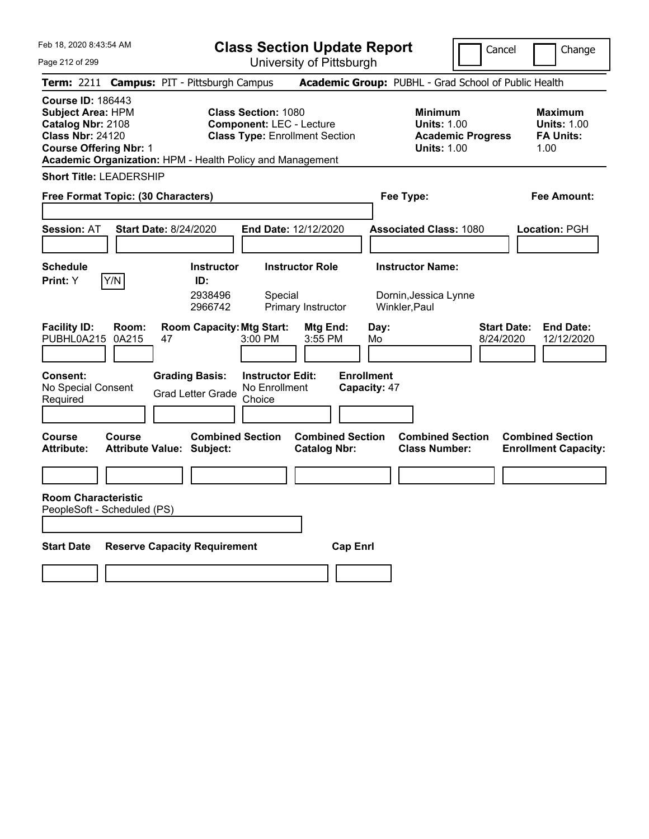**Class Section Update Report** University of Pittsburgh

Cancel Change

Page 212 of 299

|                                                                                                                                       | Term: 2211 Campus: PIT - Pittsburgh Campus                                                                                                                          |                                                | Academic Group: PUBHL - Grad School of Public Health                                                                                                       |                                                        |  |
|---------------------------------------------------------------------------------------------------------------------------------------|---------------------------------------------------------------------------------------------------------------------------------------------------------------------|------------------------------------------------|------------------------------------------------------------------------------------------------------------------------------------------------------------|--------------------------------------------------------|--|
| <b>Course ID: 186443</b><br><b>Subject Area: HPM</b><br>Catalog Nbr: 2108<br><b>Class Nbr: 24120</b><br><b>Course Offering Nbr: 1</b> | <b>Class Section: 1080</b><br><b>Component: LEC - Lecture</b><br><b>Class Type: Enrollment Section</b><br>Academic Organization: HPM - Health Policy and Management |                                                | <b>Minimum</b><br><b>Maximum</b><br><b>Units: 1.00</b><br><b>Units: 1.00</b><br><b>FA Units:</b><br><b>Academic Progress</b><br><b>Units: 1.00</b><br>1.00 |                                                        |  |
| <b>Short Title: LEADERSHIP</b>                                                                                                        |                                                                                                                                                                     |                                                |                                                                                                                                                            |                                                        |  |
| Free Format Topic: (30 Characters)                                                                                                    |                                                                                                                                                                     |                                                | Fee Type:                                                                                                                                                  | Fee Amount:                                            |  |
|                                                                                                                                       |                                                                                                                                                                     |                                                |                                                                                                                                                            |                                                        |  |
| <b>Session: AT</b>                                                                                                                    | <b>Start Date: 8/24/2020</b>                                                                                                                                        | End Date: 12/12/2020                           | <b>Associated Class: 1080</b>                                                                                                                              | Location: PGH                                          |  |
| <b>Schedule</b>                                                                                                                       | <b>Instructor</b>                                                                                                                                                   | <b>Instructor Role</b>                         | <b>Instructor Name:</b>                                                                                                                                    |                                                        |  |
| Y/N<br>Print: Y                                                                                                                       | ID:                                                                                                                                                                 |                                                |                                                                                                                                                            |                                                        |  |
|                                                                                                                                       | 2938496<br>Special<br>2966742                                                                                                                                       | Primary Instructor                             | Dornin, Jessica Lynne<br>Winkler, Paul                                                                                                                     |                                                        |  |
| <b>Facility ID:</b><br>Room:<br>PUBHL0A215<br>0A215                                                                                   | <b>Room Capacity: Mtg Start:</b><br>47<br>$3:00$ PM                                                                                                                 | Mtg End:<br>3:55 PM                            | <b>Start Date:</b><br>Day:<br>Mo<br>8/24/2020                                                                                                              | <b>End Date:</b><br>12/12/2020                         |  |
| <b>Consent:</b><br>No Special Consent<br>Required                                                                                     | <b>Grading Basis:</b><br><b>Instructor Edit:</b><br>No Enrollment<br><b>Grad Letter Grade</b><br>Choice                                                             | <b>Enrollment</b><br>Capacity: 47              |                                                                                                                                                            |                                                        |  |
| Course<br>Course<br><b>Attribute:</b>                                                                                                 | <b>Combined Section</b><br><b>Attribute Value: Subject:</b>                                                                                                         | <b>Combined Section</b><br><b>Catalog Nbr:</b> | <b>Combined Section</b><br><b>Class Number:</b>                                                                                                            | <b>Combined Section</b><br><b>Enrollment Capacity:</b> |  |
|                                                                                                                                       |                                                                                                                                                                     |                                                |                                                                                                                                                            |                                                        |  |
| <b>Room Characteristic</b><br>PeopleSoft - Scheduled (PS)<br><b>Start Date</b>                                                        | <b>Reserve Capacity Requirement</b>                                                                                                                                 | <b>Cap Enrl</b>                                |                                                                                                                                                            |                                                        |  |
|                                                                                                                                       |                                                                                                                                                                     |                                                |                                                                                                                                                            |                                                        |  |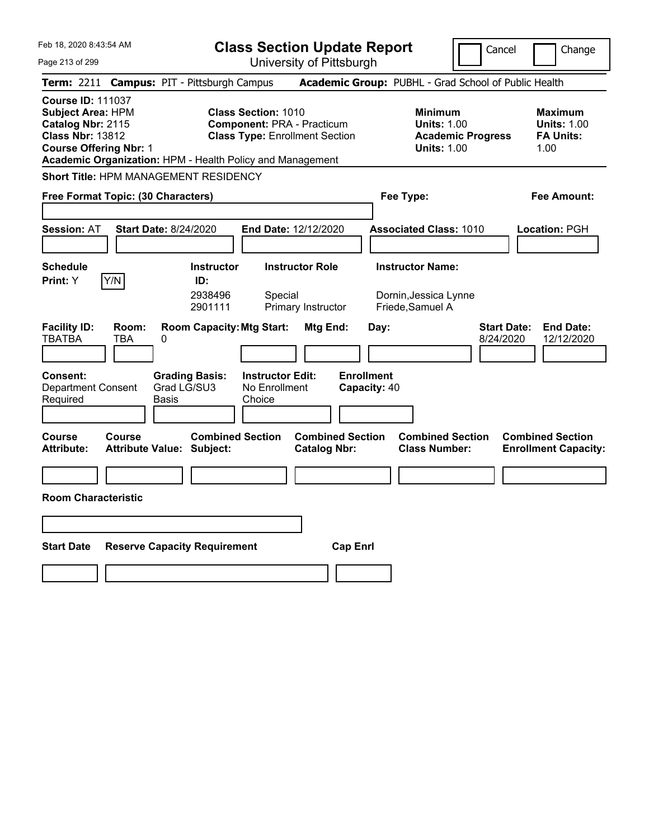Feb 18, 2020 8:43:54 AM Page 213 of 299 **Class Section Update Report** University of Pittsburgh Cancel | Change **Term:** 2211 **Campus:** PIT - Pittsburgh Campus **Academic Group:** PUBHL - Grad School of Public Health **Course ID:** 111037 **Subject Area:** HPM **Class Section:** 1010 **Minimum Maximum Catalog Nbr:** 2115 **Component:** PRA - Practicum **Units:** 1.00 **Units:** 1.00 **Class Nbr:** 13812 **Class Type:** Enrollment Section **Academic Progress FA Units: Course Offering Nbr:** 1 **Units:** 1.00 1.00 **Academic Organization:** HPM - Health Policy and Management **Short Title:** HPM MANAGEMENT RESIDENCY **Free Format Topic: (30 Characters) Fee Type: Fee Amount: Session:** AT **Start Date:** 8/24/2020 **End Date:** 12/12/2020 **Associated Class:** 1010 **Location:** PGH **Schedule Instructor Instructor Role Instructor Name: Print:**  $Y$   $|Y/N|$  **ID:** 2938496 Special Dornin,Jessica Lynne 2901111 Primary Instructor Friede,Samuel A **Facility ID: Room: Room Capacity:Mtg Start: Mtg End: Day: Start Date: End Date:** TBATBA TBA 0 8/24/2020 12/12/2020 **Consent: Grading Basis: Instructor Edit: Enrollment** Department Consent Required Grad LG/SU3 Basis No Enrollment **Choice Capacity:** 40 **Course Course Combined Section Combined Section Combined Section Combined Section**  Attribute: Attribute Value: Subject: Catalog Nbr: Class Number: Enrollment Capacity: **Room Characteristic Start Date Reserve Capacity Requirement Cap Enrl**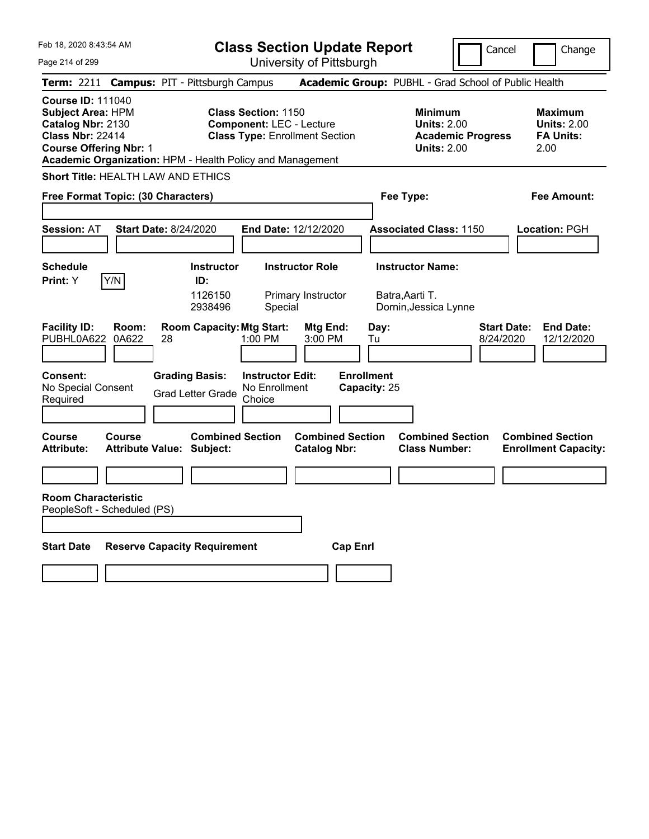**Class Section Update Report** University of Pittsburgh

Cancel Change

Page 214 of 299

|                                                                                                                                                                                                    |                | Term: 2211 Campus: PIT - Pittsburgh Campus                  |                                                                                                        |                                                |                                                                                        | Academic Group: PUBHL - Grad School of Public Health                |                                                                  |                                                        |
|----------------------------------------------------------------------------------------------------------------------------------------------------------------------------------------------------|----------------|-------------------------------------------------------------|--------------------------------------------------------------------------------------------------------|------------------------------------------------|----------------------------------------------------------------------------------------|---------------------------------------------------------------------|------------------------------------------------------------------|--------------------------------------------------------|
| <b>Course ID: 111040</b><br><b>Subject Area: HPM</b><br>Catalog Nbr: 2130<br><b>Class Nbr: 22414</b><br><b>Course Offering Nbr: 1</b><br>Academic Organization: HPM - Health Policy and Management |                |                                                             | <b>Class Section: 1150</b><br><b>Component: LEC - Lecture</b><br><b>Class Type: Enrollment Section</b> |                                                | <b>Minimum</b><br><b>Units: 2.00</b><br><b>Academic Progress</b><br><b>Units: 2.00</b> |                                                                     | <b>Maximum</b><br><b>Units: 2.00</b><br><b>FA Units:</b><br>2.00 |                                                        |
|                                                                                                                                                                                                    |                | Short Title: HEALTH LAW AND ETHICS                          |                                                                                                        |                                                |                                                                                        |                                                                     |                                                                  |                                                        |
| Free Format Topic: (30 Characters)                                                                                                                                                                 |                |                                                             |                                                                                                        |                                                | Fee Type:                                                                              |                                                                     | <b>Fee Amount:</b>                                               |                                                        |
| <b>Session: AT</b>                                                                                                                                                                                 |                | <b>Start Date: 8/24/2020</b>                                |                                                                                                        | <b>End Date: 12/12/2020</b>                    |                                                                                        | <b>Associated Class: 1150</b>                                       |                                                                  | Location: PGH                                          |
| <b>Schedule</b><br>Print: Y                                                                                                                                                                        | Y/N            | <b>Instructor</b><br>ID:<br>1126150<br>2938496              | Special                                                                                                | <b>Instructor Role</b><br>Primary Instructor   |                                                                                        | <b>Instructor Name:</b><br>Batra, Aarti T.<br>Dornin, Jessica Lynne |                                                                  |                                                        |
| <b>Facility ID:</b><br>PUBHL0A622                                                                                                                                                                  | Room:<br>0A622 | <b>Room Capacity: Mtg Start:</b><br>28                      | 1:00 PM                                                                                                | Mtg End:<br>3:00 PM                            | Day:<br>Tu                                                                             |                                                                     | <b>Start Date:</b><br>8/24/2020                                  | <b>End Date:</b><br>12/12/2020                         |
| Consent:<br>No Special Consent<br>Required                                                                                                                                                         |                | <b>Grading Basis:</b><br><b>Grad Letter Grade</b>           | <b>Instructor Edit:</b><br>No Enrollment<br>Choice                                                     |                                                | <b>Enrollment</b><br>Capacity: 25                                                      |                                                                     |                                                                  |                                                        |
| <b>Course</b><br><b>Attribute:</b>                                                                                                                                                                 | <b>Course</b>  | <b>Combined Section</b><br><b>Attribute Value: Subject:</b> |                                                                                                        | <b>Combined Section</b><br><b>Catalog Nbr:</b> |                                                                                        | <b>Combined Section</b><br><b>Class Number:</b>                     |                                                                  | <b>Combined Section</b><br><b>Enrollment Capacity:</b> |
| <b>Room Characteristic</b><br>PeopleSoft - Scheduled (PS)                                                                                                                                          |                |                                                             |                                                                                                        |                                                |                                                                                        |                                                                     |                                                                  |                                                        |
| <b>Start Date</b>                                                                                                                                                                                  |                | <b>Reserve Capacity Requirement</b>                         |                                                                                                        | <b>Cap Enrl</b>                                |                                                                                        |                                                                     |                                                                  |                                                        |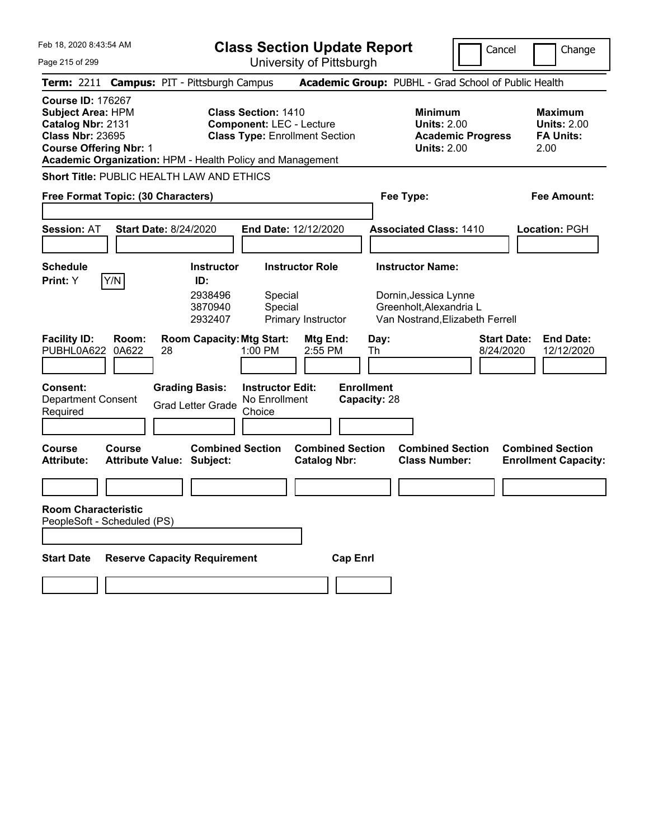| Feb 18, 2020 8:43:54 AM |  | <b>Class</b>                            |  |
|-------------------------|--|-----------------------------------------|--|
| Page 215 of 299         |  |                                         |  |
|                         |  | Term: 2211 Campus: PIT - Pittsburgh Car |  |
|                         |  |                                         |  |

University of Pittsburgh

Cancel Change

| <b>Term: 2211 Campus: PIT - Pittsburgh Campus</b>                                                                                                                                                                                                                                                            |                                                                                 |                                                | <b>Academic Group: PUBHL - Grad School of Public Health</b>                                                    |                                                                  |  |  |  |
|--------------------------------------------------------------------------------------------------------------------------------------------------------------------------------------------------------------------------------------------------------------------------------------------------------------|---------------------------------------------------------------------------------|------------------------------------------------|----------------------------------------------------------------------------------------------------------------|------------------------------------------------------------------|--|--|--|
| <b>Course ID: 176267</b><br><b>Class Section: 1410</b><br><b>Subject Area: HPM</b><br><b>Component: LEC - Lecture</b><br>Catalog Nbr: 2131<br><b>Class Nbr: 23695</b><br><b>Class Type: Enrollment Section</b><br><b>Course Offering Nbr: 1</b><br>Academic Organization: HPM - Health Policy and Management |                                                                                 |                                                | <b>Minimum</b><br><b>Units: 2.00</b><br><b>Academic Progress</b><br><b>Units: 2.00</b>                         | <b>Maximum</b><br><b>Units: 2.00</b><br><b>FA Units:</b><br>2.00 |  |  |  |
| Short Title: PUBLIC HEALTH LAW AND ETHICS                                                                                                                                                                                                                                                                    |                                                                                 |                                                |                                                                                                                |                                                                  |  |  |  |
| Free Format Topic: (30 Characters)                                                                                                                                                                                                                                                                           |                                                                                 |                                                | Fee Type:                                                                                                      | Fee Amount:                                                      |  |  |  |
| <b>Session: AT</b>                                                                                                                                                                                                                                                                                           | <b>Start Date: 8/24/2020</b><br>End Date: 12/12/2020                            |                                                | <b>Associated Class: 1410</b>                                                                                  | Location: PGH                                                    |  |  |  |
| <b>Schedule</b><br>Y/N<br>Print: Y                                                                                                                                                                                                                                                                           | <b>Instructor</b><br>ID:<br>2938496<br>Special<br>Special<br>3870940<br>2932407 | <b>Instructor Role</b><br>Primary Instructor   | <b>Instructor Name:</b><br>Dornin, Jessica Lynne<br>Greenholt, Alexandria L<br>Van Nostrand, Elizabeth Ferrell |                                                                  |  |  |  |
| <b>Facility ID:</b><br>Room:<br>PUBHL0A622<br>0A622                                                                                                                                                                                                                                                          | <b>Room Capacity: Mtg Start:</b><br>1:00 PM<br>28                               | Mtg End:<br>Day:<br>2:55 PM<br>Th              | <b>Start Date:</b><br>8/24/2020                                                                                | <b>End Date:</b><br>12/12/2020                                   |  |  |  |
| <b>Enrollment</b><br><b>Grading Basis:</b><br><b>Instructor Edit:</b><br>Consent:<br>Capacity: 28<br><b>Department Consent</b><br>No Enrollment<br><b>Grad Letter Grade</b><br>Choice<br>Required                                                                                                            |                                                                                 |                                                |                                                                                                                |                                                                  |  |  |  |
| <b>Course</b><br>Course<br><b>Attribute:</b>                                                                                                                                                                                                                                                                 | <b>Combined Section</b><br><b>Attribute Value: Subject:</b>                     | <b>Combined Section</b><br><b>Catalog Nbr:</b> | <b>Combined Section</b><br><b>Class Number:</b>                                                                | <b>Combined Section</b><br><b>Enrollment Capacity:</b>           |  |  |  |
|                                                                                                                                                                                                                                                                                                              |                                                                                 |                                                |                                                                                                                |                                                                  |  |  |  |
| <b>Room Characteristic</b><br>PeopleSoft - Scheduled (PS)                                                                                                                                                                                                                                                    |                                                                                 |                                                |                                                                                                                |                                                                  |  |  |  |
| <b>Start Date</b><br><b>Reserve Capacity Requirement</b><br><b>Cap Enrl</b>                                                                                                                                                                                                                                  |                                                                                 |                                                |                                                                                                                |                                                                  |  |  |  |
|                                                                                                                                                                                                                                                                                                              |                                                                                 |                                                |                                                                                                                |                                                                  |  |  |  |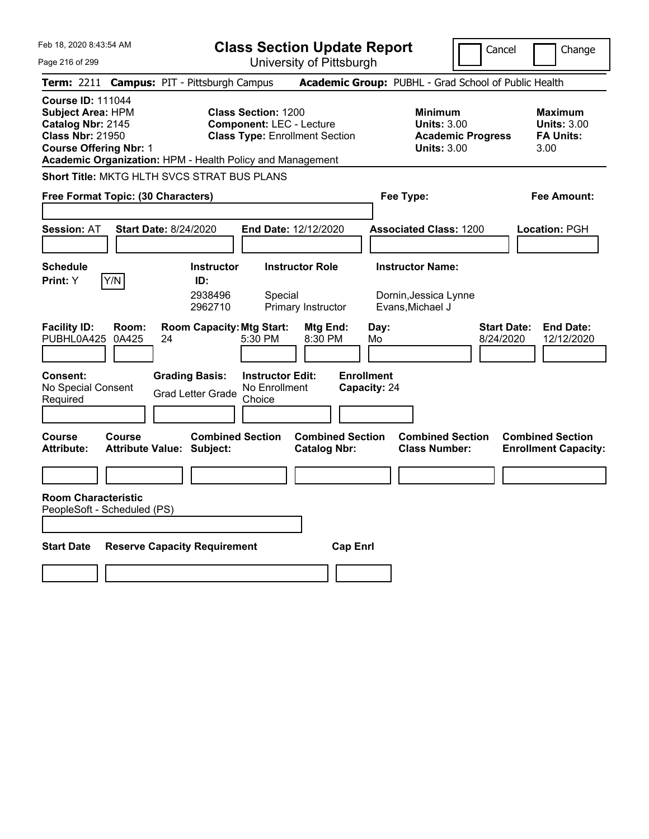Page 216 of 299

**Class Section Update Report**

Cancel Change

University of Pittsburgh

|                                                                                                                                       |                |                                                             |                                                               | omvoibity on muoduign                          |                                   |                                                                                        |                                                                   |
|---------------------------------------------------------------------------------------------------------------------------------------|----------------|-------------------------------------------------------------|---------------------------------------------------------------|------------------------------------------------|-----------------------------------|----------------------------------------------------------------------------------------|-------------------------------------------------------------------|
|                                                                                                                                       |                | Term: 2211 Campus: PIT - Pittsburgh Campus                  |                                                               |                                                |                                   | Academic Group: PUBHL - Grad School of Public Health                                   |                                                                   |
| <b>Course ID: 111044</b><br><b>Subject Area: HPM</b><br>Catalog Nbr: 2145<br><b>Class Nbr: 21950</b><br><b>Course Offering Nbr: 1</b> |                | Academic Organization: HPM - Health Policy and Management   | <b>Class Section: 1200</b><br><b>Component: LEC - Lecture</b> | <b>Class Type: Enrollment Section</b>          |                                   | <b>Minimum</b><br><b>Units: 3.00</b><br><b>Academic Progress</b><br><b>Units: 3.00</b> | <b>Maximum</b><br><b>Units: 3.00</b><br><b>FA Units:</b><br>3.00  |
|                                                                                                                                       |                | <b>Short Title: MKTG HLTH SVCS STRAT BUS PLANS</b>          |                                                               |                                                |                                   |                                                                                        |                                                                   |
| Free Format Topic: (30 Characters)                                                                                                    |                |                                                             |                                                               |                                                |                                   | Fee Type:                                                                              | Fee Amount:                                                       |
| <b>Session: AT</b>                                                                                                                    |                | <b>Start Date: 8/24/2020</b>                                |                                                               | <b>End Date: 12/12/2020</b>                    |                                   | <b>Associated Class: 1200</b>                                                          | Location: PGH                                                     |
| <b>Schedule</b>                                                                                                                       |                | <b>Instructor</b>                                           |                                                               | <b>Instructor Role</b>                         |                                   | <b>Instructor Name:</b>                                                                |                                                                   |
| <b>Print:</b> Y                                                                                                                       | Y/N            | ID:<br>2938496<br>2962710                                   | Special                                                       | Primary Instructor                             |                                   | Dornin, Jessica Lynne<br>Evans, Michael J                                              |                                                                   |
| <b>Facility ID:</b><br>PUBHL0A425                                                                                                     | Room:<br>0A425 | <b>Room Capacity: Mtg Start:</b><br>24                      | 5:30 PM                                                       | Mtg End:<br>8:30 PM                            | Day:<br>Mo                        |                                                                                        | <b>Start Date:</b><br><b>End Date:</b><br>8/24/2020<br>12/12/2020 |
| Consent:<br>No Special Consent<br>Required                                                                                            |                | <b>Grading Basis:</b><br><b>Grad Letter Grade</b>           | <b>Instructor Edit:</b><br>No Enrollment<br>Choice            |                                                | <b>Enrollment</b><br>Capacity: 24 |                                                                                        |                                                                   |
| <b>Course</b><br><b>Attribute:</b>                                                                                                    | <b>Course</b>  | <b>Combined Section</b><br><b>Attribute Value: Subject:</b> |                                                               | <b>Combined Section</b><br><b>Catalog Nbr:</b> |                                   | <b>Combined Section</b><br><b>Class Number:</b>                                        | <b>Combined Section</b><br><b>Enrollment Capacity:</b>            |
|                                                                                                                                       |                |                                                             |                                                               |                                                |                                   |                                                                                        |                                                                   |
| <b>Room Characteristic</b><br>PeopleSoft - Scheduled (PS)                                                                             |                |                                                             |                                                               |                                                |                                   |                                                                                        |                                                                   |
| <b>Start Date</b>                                                                                                                     |                | <b>Reserve Capacity Requirement</b>                         |                                                               | <b>Cap Enrl</b>                                |                                   |                                                                                        |                                                                   |
|                                                                                                                                       |                |                                                             |                                                               |                                                |                                   |                                                                                        |                                                                   |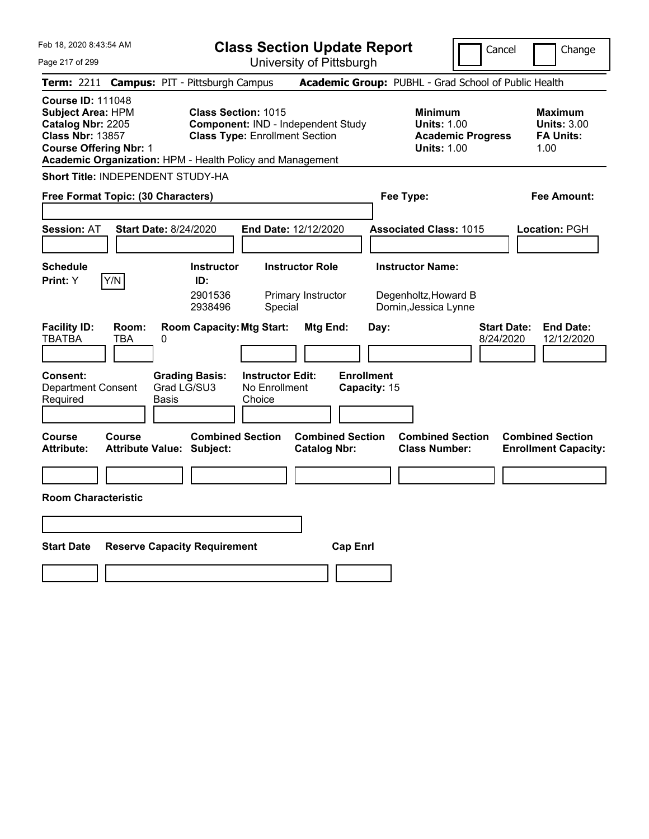|  | Feb 18, 2020 8:43:54 AM |  |
|--|-------------------------|--|
|  |                         |  |

Cancel **I** Change

Page 217 of 299

| Page 217 of 299                                                                                                                                                                                    |                                                             | University of Pittsburgh                                                           |                                   |                                                                                        |                                                                  |
|----------------------------------------------------------------------------------------------------------------------------------------------------------------------------------------------------|-------------------------------------------------------------|------------------------------------------------------------------------------------|-----------------------------------|----------------------------------------------------------------------------------------|------------------------------------------------------------------|
| Term: 2211 Campus: PIT - Pittsburgh Campus                                                                                                                                                         |                                                             |                                                                                    |                                   | Academic Group: PUBHL - Grad School of Public Health                                   |                                                                  |
| <b>Course ID: 111048</b><br><b>Subject Area: HPM</b><br>Catalog Nbr: 2205<br><b>Class Nbr: 13857</b><br><b>Course Offering Nbr: 1</b><br>Academic Organization: HPM - Health Policy and Management | <b>Class Section: 1015</b>                                  | <b>Component: IND - Independent Study</b><br><b>Class Type: Enrollment Section</b> |                                   | <b>Minimum</b><br><b>Units: 1.00</b><br><b>Academic Progress</b><br><b>Units: 1.00</b> | <b>Maximum</b><br><b>Units: 3.00</b><br><b>FA Units:</b><br>1.00 |
| <b>Short Title: INDEPENDENT STUDY-HA</b>                                                                                                                                                           |                                                             |                                                                                    |                                   |                                                                                        |                                                                  |
| Free Format Topic: (30 Characters)                                                                                                                                                                 |                                                             |                                                                                    | Fee Type:                         |                                                                                        | Fee Amount:                                                      |
| Session: AT                                                                                                                                                                                        | <b>Start Date: 8/24/2020</b>                                | End Date: 12/12/2020                                                               |                                   | <b>Associated Class: 1015</b>                                                          | Location: PGH                                                    |
| <b>Schedule</b><br>Y/N<br>Print: Y                                                                                                                                                                 | <b>Instructor</b><br>ID:<br>2901536<br>2938496              | <b>Instructor Role</b><br>Primary Instructor<br>Special                            |                                   | <b>Instructor Name:</b><br>Degenholtz, Howard B<br>Dornin, Jessica Lynne               |                                                                  |
| <b>Facility ID:</b><br>Room:<br><b>TBATBA</b><br>TBA                                                                                                                                               | <b>Room Capacity: Mtg Start:</b><br>0                       | Mtg End:                                                                           | Day:                              | <b>Start Date:</b><br>8/24/2020                                                        | <b>End Date:</b><br>12/12/2020                                   |
| Consent:<br><b>Department Consent</b><br>Required                                                                                                                                                  | <b>Grading Basis:</b><br>Grad LG/SU3<br>Basis               | <b>Instructor Edit:</b><br>No Enrollment<br>Choice                                 | <b>Enrollment</b><br>Capacity: 15 |                                                                                        |                                                                  |
| Course<br>Course<br><b>Attribute:</b>                                                                                                                                                              | <b>Combined Section</b><br><b>Attribute Value: Subject:</b> | <b>Combined Section</b><br><b>Catalog Nbr:</b>                                     |                                   | <b>Combined Section</b><br><b>Class Number:</b>                                        | <b>Combined Section</b><br><b>Enrollment Capacity:</b>           |
|                                                                                                                                                                                                    |                                                             |                                                                                    |                                   |                                                                                        |                                                                  |
| <b>Room Characteristic</b>                                                                                                                                                                         |                                                             |                                                                                    |                                   |                                                                                        |                                                                  |
|                                                                                                                                                                                                    |                                                             |                                                                                    |                                   |                                                                                        |                                                                  |
| <b>Start Date</b>                                                                                                                                                                                  | <b>Reserve Capacity Requirement</b>                         |                                                                                    | <b>Cap Enrl</b>                   |                                                                                        |                                                                  |
|                                                                                                                                                                                                    |                                                             |                                                                                    |                                   |                                                                                        |                                                                  |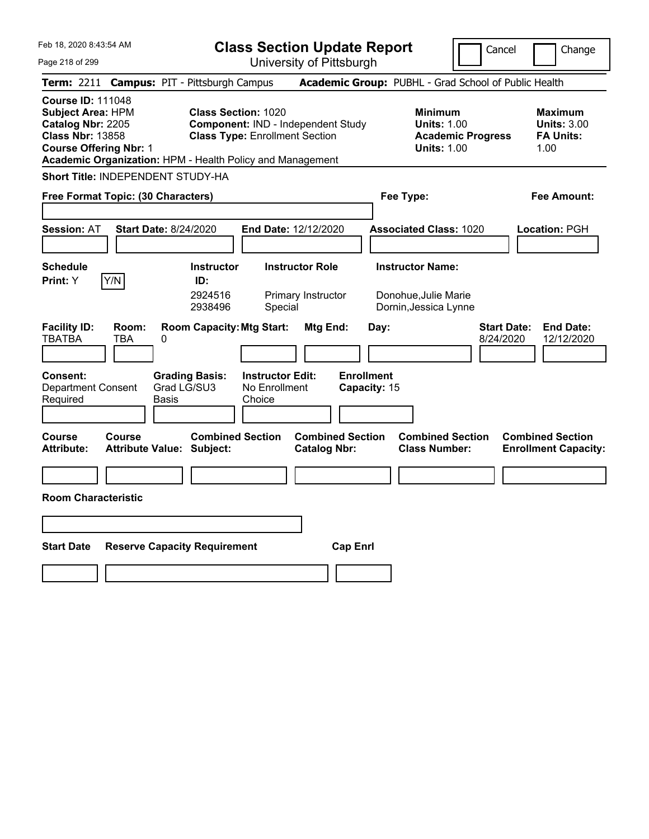|  | Feb 18, 2020 8:43:54 AM |  |
|--|-------------------------|--|
|  |                         |  |

**Class Section Update Report** University of Pittsburgh

Cancel Change

Page 218 of 299

|                                                                                                                                       |              | Term: 2211 Campus: PIT - Pittsburgh Campus                                              |                                       |                                                |                           | Academic Group: PUBHL - Grad School of Public Health                                   |                                 |                                                                  |
|---------------------------------------------------------------------------------------------------------------------------------------|--------------|-----------------------------------------------------------------------------------------|---------------------------------------|------------------------------------------------|---------------------------|----------------------------------------------------------------------------------------|---------------------------------|------------------------------------------------------------------|
| <b>Course ID: 111048</b><br><b>Subject Area: HPM</b><br>Catalog Nbr: 2205<br><b>Class Nbr: 13858</b><br><b>Course Offering Nbr: 1</b> |              | <b>Class Section: 1020</b><br>Academic Organization: HPM - Health Policy and Management | <b>Class Type: Enrollment Section</b> | <b>Component: IND - Independent Study</b>      |                           | <b>Minimum</b><br><b>Units: 1.00</b><br><b>Academic Progress</b><br><b>Units: 1.00</b> |                                 | <b>Maximum</b><br><b>Units: 3.00</b><br><b>FA Units:</b><br>1.00 |
|                                                                                                                                       |              | <b>Short Title: INDEPENDENT STUDY-HA</b>                                                |                                       |                                                |                           |                                                                                        |                                 |                                                                  |
| Free Format Topic: (30 Characters)                                                                                                    |              |                                                                                         |                                       |                                                | Fee Type:                 |                                                                                        | <b>Fee Amount:</b>              |                                                                  |
| <b>Session: AT</b>                                                                                                                    |              | <b>Start Date: 8/24/2020</b>                                                            | <b>End Date: 12/12/2020</b>           |                                                |                           | <b>Associated Class: 1020</b>                                                          |                                 | Location: PGH                                                    |
| <b>Schedule</b><br>Print: Y                                                                                                           | Y/N          | <b>Instructor</b><br>ID:<br>2924516<br>2938496                                          | Special                               | <b>Instructor Role</b><br>Primary Instructor   |                           | <b>Instructor Name:</b><br>Donohue, Julie Marie<br>Dornin, Jessica Lynne               |                                 |                                                                  |
| <b>Facility ID:</b><br><b>TBATBA</b><br>Consent:                                                                                      | Room:<br>TBA | <b>Room Capacity: Mtg Start:</b><br>0<br><b>Grading Basis:</b>                          | <b>Instructor Edit:</b>               | Mtg End:                                       | Day:<br><b>Enrollment</b> |                                                                                        | <b>Start Date:</b><br>8/24/2020 | <b>End Date:</b><br>12/12/2020                                   |
| <b>Department Consent</b><br>Required                                                                                                 |              | Grad LG/SU3<br>Basis                                                                    | No Enrollment<br>Choice               |                                                | Capacity: 15              |                                                                                        |                                 |                                                                  |
| Course<br><b>Attribute:</b>                                                                                                           | Course       | <b>Combined Section</b><br><b>Attribute Value: Subject:</b>                             |                                       | <b>Combined Section</b><br><b>Catalog Nbr:</b> |                           | <b>Combined Section</b><br><b>Class Number:</b>                                        |                                 | <b>Combined Section</b><br><b>Enrollment Capacity:</b>           |
| <b>Room Characteristic</b>                                                                                                            |              |                                                                                         |                                       |                                                |                           |                                                                                        |                                 |                                                                  |
|                                                                                                                                       |              |                                                                                         |                                       |                                                |                           |                                                                                        |                                 |                                                                  |
|                                                                                                                                       |              |                                                                                         |                                       |                                                |                           |                                                                                        |                                 |                                                                  |
| <b>Start Date</b>                                                                                                                     |              | <b>Reserve Capacity Requirement</b>                                                     |                                       | <b>Cap Enrl</b>                                |                           |                                                                                        |                                 |                                                                  |
|                                                                                                                                       |              |                                                                                         |                                       |                                                |                           |                                                                                        |                                 |                                                                  |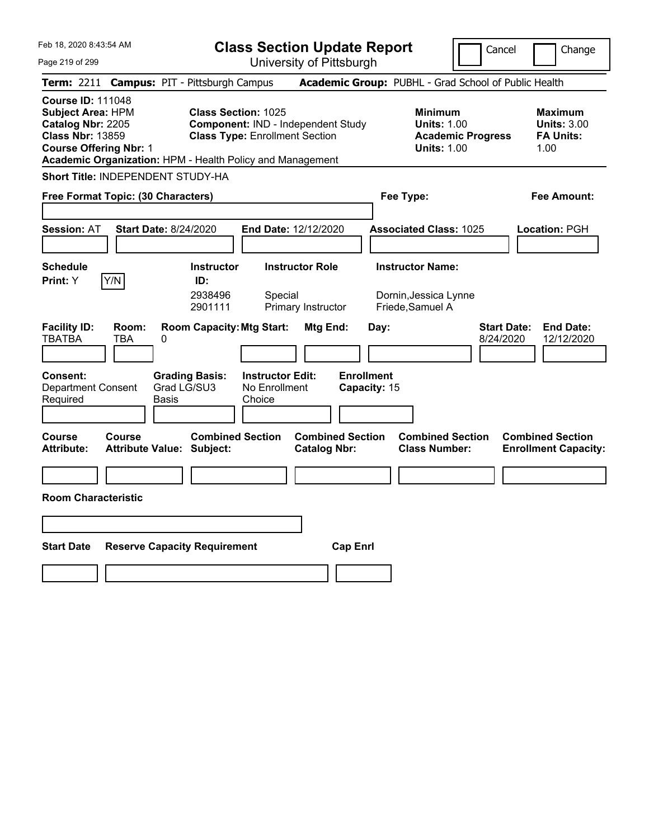|  | Feb 18, 2020 8:43:54 AM |  |
|--|-------------------------|--|
|  |                         |  |

Cancel Change

Page 219 of 299

| Page 219 of 299                                                                                                                                                                                                                                                                                                                                             |               |                                                      | University of Pittsburgh                                |                                                                                        |                                   |                                                                  |                                 |                                                        |
|-------------------------------------------------------------------------------------------------------------------------------------------------------------------------------------------------------------------------------------------------------------------------------------------------------------------------------------------------------------|---------------|------------------------------------------------------|---------------------------------------------------------|----------------------------------------------------------------------------------------|-----------------------------------|------------------------------------------------------------------|---------------------------------|--------------------------------------------------------|
| <b>Term: 2211</b>                                                                                                                                                                                                                                                                                                                                           |               | <b>Campus: PIT - Pittsburgh Campus</b>               |                                                         |                                                                                        |                                   | Academic Group: PUBHL - Grad School of Public Health             |                                 |                                                        |
| <b>Course ID: 111048</b><br><b>Class Section: 1025</b><br><b>Subject Area: HPM</b><br>Catalog Nbr: 2205<br>Component: IND - Independent Study<br><b>Class Nbr: 13859</b><br><b>Class Type: Enrollment Section</b><br><b>Course Offering Nbr: 1</b><br>Academic Organization: HPM - Health Policy and Management<br><b>Short Title: INDEPENDENT STUDY-HA</b> |               |                                                      |                                                         | <b>Minimum</b><br><b>Units: 1.00</b><br><b>Academic Progress</b><br><b>Units: 1.00</b> |                                   | <b>Maximum</b><br><b>Units: 3.00</b><br><b>FA Units:</b><br>1.00 |                                 |                                                        |
|                                                                                                                                                                                                                                                                                                                                                             |               |                                                      |                                                         |                                                                                        |                                   |                                                                  |                                 |                                                        |
| Free Format Topic: (30 Characters)                                                                                                                                                                                                                                                                                                                          |               |                                                      |                                                         |                                                                                        | Fee Type:                         |                                                                  |                                 | Fee Amount:                                            |
| <b>Session: AT</b>                                                                                                                                                                                                                                                                                                                                          |               | <b>Start Date: 8/24/2020</b>                         | End Date: 12/12/2020                                    |                                                                                        |                                   | <b>Associated Class: 1025</b>                                    |                                 | Location: PGH                                          |
| <b>Schedule</b><br>Print: Y                                                                                                                                                                                                                                                                                                                                 | Y/N           | <b>Instructor</b><br>ID:<br>2938496<br>2901111       | <b>Instructor Role</b><br>Special<br>Primary Instructor |                                                                                        | Friede, Samuel A                  | <b>Instructor Name:</b><br>Dornin, Jessica Lynne                 |                                 |                                                        |
| <b>Facility ID:</b><br><b>TBATBA</b>                                                                                                                                                                                                                                                                                                                        | Room:<br>TBA  | <b>Room Capacity: Mtg Start:</b><br>0                |                                                         | Mtg End:                                                                               | Day:                              |                                                                  | <b>Start Date:</b><br>8/24/2020 | <b>End Date:</b><br>12/12/2020                         |
| <b>Consent:</b><br><b>Department Consent</b><br>Required                                                                                                                                                                                                                                                                                                    |               | <b>Grading Basis:</b><br>Grad LG/SU3<br>Basis        | <b>Instructor Edit:</b><br>No Enrollment<br>Choice      |                                                                                        | <b>Enrollment</b><br>Capacity: 15 |                                                                  |                                 |                                                        |
| <b>Course</b><br><b>Attribute:</b>                                                                                                                                                                                                                                                                                                                          | <b>Course</b> | <b>Combined Section</b><br>Attribute Value: Subject: |                                                         | <b>Combined Section</b><br><b>Catalog Nbr:</b>                                         |                                   | <b>Combined Section</b><br><b>Class Number:</b>                  |                                 | <b>Combined Section</b><br><b>Enrollment Capacity:</b> |
|                                                                                                                                                                                                                                                                                                                                                             |               |                                                      |                                                         |                                                                                        |                                   |                                                                  |                                 |                                                        |
| <b>Room Characteristic</b>                                                                                                                                                                                                                                                                                                                                  |               |                                                      |                                                         |                                                                                        |                                   |                                                                  |                                 |                                                        |
|                                                                                                                                                                                                                                                                                                                                                             |               |                                                      |                                                         |                                                                                        |                                   |                                                                  |                                 |                                                        |
| <b>Start Date</b>                                                                                                                                                                                                                                                                                                                                           |               | <b>Reserve Capacity Requirement</b>                  |                                                         | <b>Cap Enrl</b>                                                                        |                                   |                                                                  |                                 |                                                        |
|                                                                                                                                                                                                                                                                                                                                                             |               |                                                      |                                                         |                                                                                        |                                   |                                                                  |                                 |                                                        |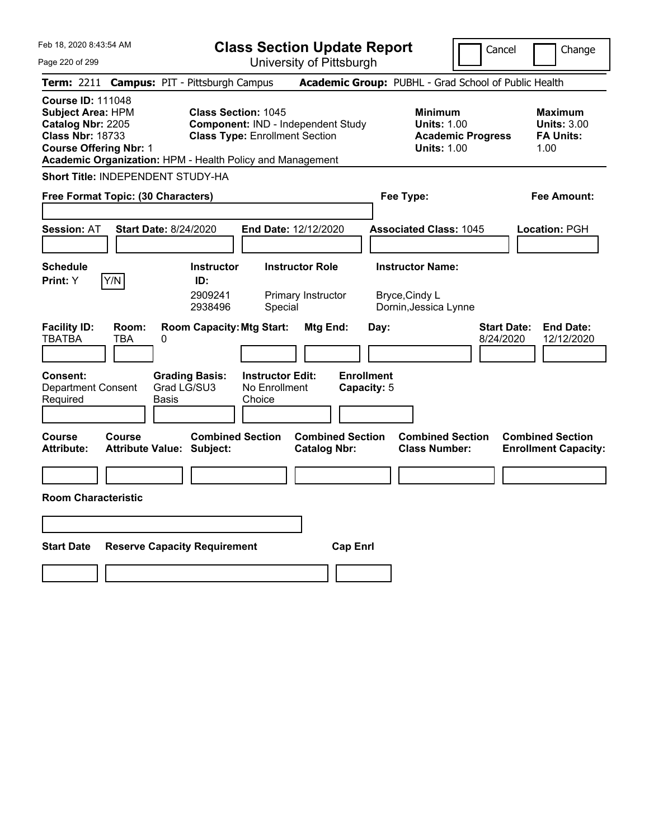**Class Section Update Report**

Cancel Change

Page 220 of 299

| Page 220 of 299                                                                                                                       |                     |                                                                                         | University of Pittsburgh                           |                                                |                                  |                                                                                        |                                                                   |
|---------------------------------------------------------------------------------------------------------------------------------------|---------------------|-----------------------------------------------------------------------------------------|----------------------------------------------------|------------------------------------------------|----------------------------------|----------------------------------------------------------------------------------------|-------------------------------------------------------------------|
|                                                                                                                                       |                     | Term: 2211 Campus: PIT - Pittsburgh Campus                                              |                                                    |                                                |                                  | Academic Group: PUBHL - Grad School of Public Health                                   |                                                                   |
| <b>Course ID: 111048</b><br><b>Subject Area: HPM</b><br>Catalog Nbr: 2205<br><b>Class Nbr: 18733</b><br><b>Course Offering Nbr: 1</b> |                     | <b>Class Section: 1045</b><br>Academic Organization: HPM - Health Policy and Management | <b>Class Type: Enrollment Section</b>              | Component: IND - Independent Study             |                                  | <b>Minimum</b><br><b>Units: 1.00</b><br><b>Academic Progress</b><br><b>Units: 1.00</b> | <b>Maximum</b><br><b>Units: 3.00</b><br><b>FA Units:</b><br>1.00  |
|                                                                                                                                       |                     | <b>Short Title: INDEPENDENT STUDY-HA</b>                                                |                                                    |                                                |                                  |                                                                                        |                                                                   |
| Free Format Topic: (30 Characters)                                                                                                    |                     |                                                                                         |                                                    |                                                |                                  | Fee Type:                                                                              | Fee Amount:                                                       |
| <b>Session: AT</b>                                                                                                                    |                     | <b>Start Date: 8/24/2020</b>                                                            | End Date: 12/12/2020                               |                                                |                                  | <b>Associated Class: 1045</b>                                                          | Location: PGH                                                     |
|                                                                                                                                       |                     |                                                                                         |                                                    |                                                |                                  |                                                                                        |                                                                   |
| <b>Schedule</b><br>Print: Y                                                                                                           | Y/N                 | <b>Instructor</b><br>ID:<br>2909241<br>2938496                                          | Special                                            | <b>Instructor Role</b><br>Primary Instructor   |                                  | <b>Instructor Name:</b><br>Bryce, Cindy L<br>Dornin, Jessica Lynne                     |                                                                   |
| <b>Facility ID:</b><br><b>TBATBA</b>                                                                                                  | Room:<br><b>TBA</b> | <b>Room Capacity: Mtg Start:</b><br>0                                                   |                                                    | Mtg End:                                       | Day:                             |                                                                                        | <b>Start Date:</b><br><b>End Date:</b><br>8/24/2020<br>12/12/2020 |
| Consent:<br><b>Department Consent</b><br>Required                                                                                     |                     | <b>Grading Basis:</b><br>Grad LG/SU3<br>Basis                                           | <b>Instructor Edit:</b><br>No Enrollment<br>Choice |                                                | <b>Enrollment</b><br>Capacity: 5 |                                                                                        |                                                                   |
| <b>Course</b><br><b>Attribute:</b>                                                                                                    | <b>Course</b>       | <b>Combined Section</b><br><b>Attribute Value: Subject:</b>                             |                                                    | <b>Combined Section</b><br><b>Catalog Nbr:</b> |                                  | <b>Combined Section</b><br><b>Class Number:</b>                                        | <b>Combined Section</b><br><b>Enrollment Capacity:</b>            |
|                                                                                                                                       |                     |                                                                                         |                                                    |                                                |                                  |                                                                                        |                                                                   |
| <b>Room Characteristic</b>                                                                                                            |                     |                                                                                         |                                                    |                                                |                                  |                                                                                        |                                                                   |
|                                                                                                                                       |                     |                                                                                         |                                                    |                                                |                                  |                                                                                        |                                                                   |
| <b>Start Date</b>                                                                                                                     |                     | <b>Reserve Capacity Requirement</b>                                                     |                                                    | <b>Cap Enrl</b>                                |                                  |                                                                                        |                                                                   |
|                                                                                                                                       |                     |                                                                                         |                                                    |                                                |                                  |                                                                                        |                                                                   |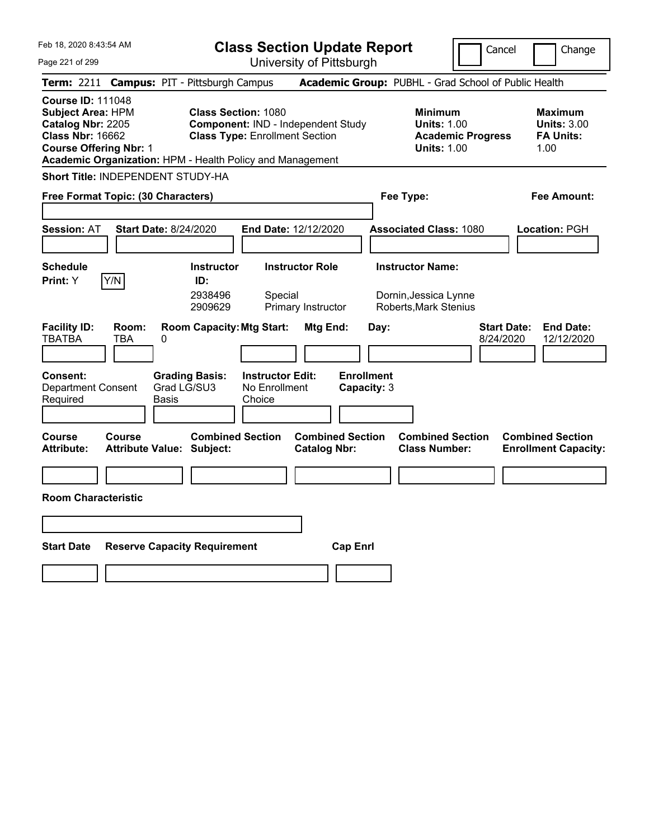|  | Feb 18, 2020 8:43:54 AM |  |
|--|-------------------------|--|
|  |                         |  |

Cancel Change

Page 221 of 299

| Page 221 of 299                                                                                                                       |                     |                                                                                         |                                                    | University of Pittsburgh                       |                                  |                                                                                        |                                                                  |
|---------------------------------------------------------------------------------------------------------------------------------------|---------------------|-----------------------------------------------------------------------------------------|----------------------------------------------------|------------------------------------------------|----------------------------------|----------------------------------------------------------------------------------------|------------------------------------------------------------------|
|                                                                                                                                       |                     | Term: 2211 Campus: PIT - Pittsburgh Campus                                              |                                                    |                                                |                                  | Academic Group: PUBHL - Grad School of Public Health                                   |                                                                  |
| <b>Course ID: 111048</b><br><b>Subject Area: HPM</b><br>Catalog Nbr: 2205<br><b>Class Nbr: 16662</b><br><b>Course Offering Nbr: 1</b> |                     | <b>Class Section: 1080</b><br>Academic Organization: HPM - Health Policy and Management | <b>Class Type: Enrollment Section</b>              | Component: IND - Independent Study             |                                  | <b>Minimum</b><br><b>Units: 1.00</b><br><b>Academic Progress</b><br><b>Units: 1.00</b> | <b>Maximum</b><br><b>Units: 3.00</b><br><b>FA Units:</b><br>1.00 |
|                                                                                                                                       |                     | Short Title: INDEPENDENT STUDY-HA                                                       |                                                    |                                                |                                  |                                                                                        |                                                                  |
| Free Format Topic: (30 Characters)                                                                                                    |                     |                                                                                         |                                                    |                                                |                                  | Fee Type:                                                                              | Fee Amount:                                                      |
| <b>Session: AT</b>                                                                                                                    |                     | <b>Start Date: 8/24/2020</b>                                                            | End Date: 12/12/2020                               |                                                |                                  | <b>Associated Class: 1080</b>                                                          | Location: PGH                                                    |
| <b>Schedule</b><br>Print: Y                                                                                                           | Y/N                 | <b>Instructor</b><br>ID:<br>2938496<br>2909629                                          | Special                                            | <b>Instructor Role</b><br>Primary Instructor   |                                  | <b>Instructor Name:</b><br>Dornin, Jessica Lynne<br><b>Roberts, Mark Stenius</b>       |                                                                  |
| <b>Facility ID:</b><br><b>TBATBA</b>                                                                                                  | Room:<br><b>TBA</b> | <b>Room Capacity: Mtg Start:</b><br>0                                                   |                                                    | Mtg End:                                       | Day:                             | 8/24/2020                                                                              | <b>Start Date:</b><br><b>End Date:</b><br>12/12/2020             |
| Consent:<br><b>Department Consent</b><br>Required                                                                                     |                     | <b>Grading Basis:</b><br>Grad LG/SU3<br>Basis                                           | <b>Instructor Edit:</b><br>No Enrollment<br>Choice |                                                | <b>Enrollment</b><br>Capacity: 3 |                                                                                        |                                                                  |
| <b>Course</b><br><b>Attribute:</b>                                                                                                    | <b>Course</b>       | <b>Combined Section</b><br><b>Attribute Value: Subject:</b>                             |                                                    | <b>Combined Section</b><br><b>Catalog Nbr:</b> |                                  | <b>Combined Section</b><br><b>Class Number:</b>                                        | <b>Combined Section</b><br><b>Enrollment Capacity:</b>           |
|                                                                                                                                       |                     |                                                                                         |                                                    |                                                |                                  |                                                                                        |                                                                  |
| <b>Room Characteristic</b>                                                                                                            |                     |                                                                                         |                                                    |                                                |                                  |                                                                                        |                                                                  |
|                                                                                                                                       |                     |                                                                                         |                                                    |                                                |                                  |                                                                                        |                                                                  |
| <b>Start Date</b>                                                                                                                     |                     | <b>Reserve Capacity Requirement</b>                                                     |                                                    | <b>Cap Enrl</b>                                |                                  |                                                                                        |                                                                  |
|                                                                                                                                       |                     |                                                                                         |                                                    |                                                |                                  |                                                                                        |                                                                  |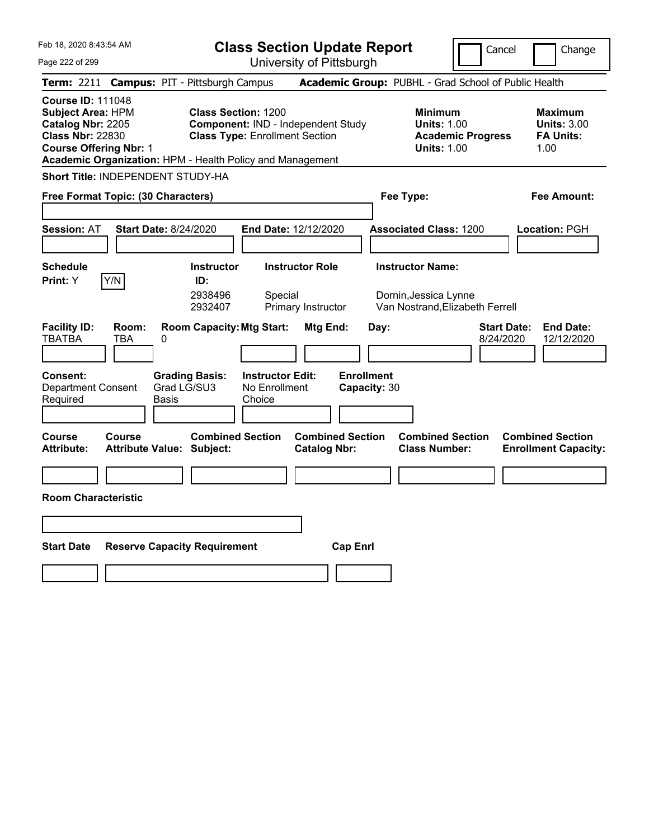|  | Feb 18, 2020 8:43:54 AM |  |
|--|-------------------------|--|
|  |                         |  |

Cancel Change

Page 222 of 299

| Page 222 of 299                                     |                                                                                                                                                                                                                                                                                                      |                                                             | University of Pittsburgh                           |                                                |                                                                                        |                                                                                     |                                                                  |                                                        |  |
|-----------------------------------------------------|------------------------------------------------------------------------------------------------------------------------------------------------------------------------------------------------------------------------------------------------------------------------------------------------------|-------------------------------------------------------------|----------------------------------------------------|------------------------------------------------|----------------------------------------------------------------------------------------|-------------------------------------------------------------------------------------|------------------------------------------------------------------|--------------------------------------------------------|--|
|                                                     |                                                                                                                                                                                                                                                                                                      | Term: 2211 Campus: PIT - Pittsburgh Campus                  |                                                    |                                                |                                                                                        | Academic Group: PUBHL - Grad School of Public Health                                |                                                                  |                                                        |  |
| <b>Course ID: 111048</b><br><b>Class Nbr: 22830</b> | <b>Subject Area: HPM</b><br><b>Class Section: 1200</b><br>Catalog Nbr: 2205<br><b>Component: IND - Independent Study</b><br><b>Class Type: Enrollment Section</b><br><b>Course Offering Nbr: 1</b><br>Academic Organization: HPM - Health Policy and Management<br>Short Title: INDEPENDENT STUDY-HA |                                                             |                                                    |                                                | <b>Minimum</b><br><b>Units: 1.00</b><br><b>Academic Progress</b><br><b>Units: 1.00</b> |                                                                                     | <b>Maximum</b><br><b>Units: 3.00</b><br><b>FA Units:</b><br>1.00 |                                                        |  |
|                                                     |                                                                                                                                                                                                                                                                                                      |                                                             |                                                    |                                                |                                                                                        |                                                                                     |                                                                  |                                                        |  |
| Free Format Topic: (30 Characters)                  |                                                                                                                                                                                                                                                                                                      |                                                             |                                                    |                                                |                                                                                        | Fee Type:                                                                           |                                                                  | Fee Amount:                                            |  |
| <b>Session: AT</b>                                  |                                                                                                                                                                                                                                                                                                      | <b>Start Date: 8/24/2020</b>                                | End Date: 12/12/2020                               |                                                |                                                                                        | <b>Associated Class: 1200</b>                                                       |                                                                  | Location: PGH                                          |  |
| <b>Schedule</b><br>Print: Y                         | Y/N                                                                                                                                                                                                                                                                                                  | <b>Instructor</b><br>ID:<br>2938496<br>2932407              | Special                                            | <b>Instructor Role</b><br>Primary Instructor   |                                                                                        | <b>Instructor Name:</b><br>Dornin, Jessica Lynne<br>Van Nostrand, Elizabeth Ferrell |                                                                  |                                                        |  |
| <b>Facility ID:</b><br><b>TBATBA</b>                | Room:<br>TBA                                                                                                                                                                                                                                                                                         | <b>Room Capacity: Mtg Start:</b><br>0                       |                                                    | Mtg End:                                       | Day:                                                                                   |                                                                                     | <b>Start Date:</b><br>8/24/2020                                  | <b>End Date:</b><br>12/12/2020                         |  |
| Consent:<br><b>Department Consent</b><br>Required   |                                                                                                                                                                                                                                                                                                      | <b>Grading Basis:</b><br>Grad LG/SU3<br>Basis               | <b>Instructor Edit:</b><br>No Enrollment<br>Choice |                                                | <b>Enrollment</b><br>Capacity: 30                                                      |                                                                                     |                                                                  |                                                        |  |
| <b>Course</b><br><b>Attribute:</b>                  | Course                                                                                                                                                                                                                                                                                               | <b>Combined Section</b><br><b>Attribute Value: Subject:</b> |                                                    | <b>Combined Section</b><br><b>Catalog Nbr:</b> |                                                                                        | <b>Combined Section</b><br><b>Class Number:</b>                                     |                                                                  | <b>Combined Section</b><br><b>Enrollment Capacity:</b> |  |
|                                                     |                                                                                                                                                                                                                                                                                                      |                                                             |                                                    |                                                |                                                                                        |                                                                                     |                                                                  |                                                        |  |
| <b>Room Characteristic</b>                          |                                                                                                                                                                                                                                                                                                      |                                                             |                                                    |                                                |                                                                                        |                                                                                     |                                                                  |                                                        |  |
|                                                     |                                                                                                                                                                                                                                                                                                      |                                                             |                                                    |                                                |                                                                                        |                                                                                     |                                                                  |                                                        |  |
| <b>Start Date</b>                                   |                                                                                                                                                                                                                                                                                                      | <b>Reserve Capacity Requirement</b>                         |                                                    |                                                | <b>Cap Enrl</b>                                                                        |                                                                                     |                                                                  |                                                        |  |
|                                                     |                                                                                                                                                                                                                                                                                                      |                                                             |                                                    |                                                |                                                                                        |                                                                                     |                                                                  |                                                        |  |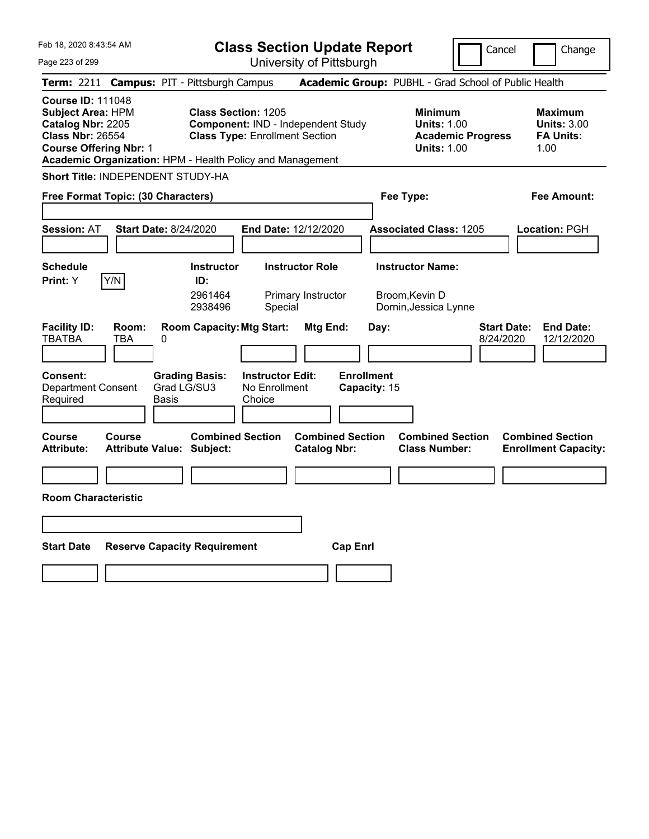|  | Feb 18, 2020 8:43:54 AM |  |
|--|-------------------------|--|
|  |                         |  |

**Class Section Update Report** University of Pittsburgh

Cancel Change

Page 223 of 299

|                                                                                                                                                                                                    |                                                   |                                      |                                                    | UNIVERSILY ULT ILLOUULUI                       |                                   |                                                                                        |                                                                  |
|----------------------------------------------------------------------------------------------------------------------------------------------------------------------------------------------------|---------------------------------------------------|--------------------------------------|----------------------------------------------------|------------------------------------------------|-----------------------------------|----------------------------------------------------------------------------------------|------------------------------------------------------------------|
| Term: 2211 Campus: PIT - Pittsburgh Campus                                                                                                                                                         |                                                   |                                      |                                                    |                                                |                                   | Academic Group: PUBHL - Grad School of Public Health                                   |                                                                  |
| <b>Course ID: 111048</b><br><b>Subject Area: HPM</b><br>Catalog Nbr: 2205<br><b>Class Nbr: 26554</b><br><b>Course Offering Nbr: 1</b><br>Academic Organization: HPM - Health Policy and Management |                                                   | <b>Class Section: 1205</b>           | <b>Class Type: Enrollment Section</b>              | Component: IND - Independent Study             |                                   | <b>Minimum</b><br><b>Units: 1.00</b><br><b>Academic Progress</b><br><b>Units: 1.00</b> | <b>Maximum</b><br><b>Units: 3.00</b><br><b>FA Units:</b><br>1.00 |
| <b>Short Title: INDEPENDENT STUDY-HA</b>                                                                                                                                                           |                                                   |                                      |                                                    |                                                |                                   |                                                                                        |                                                                  |
| Free Format Topic: (30 Characters)                                                                                                                                                                 |                                                   |                                      |                                                    |                                                | Fee Type:                         |                                                                                        | <b>Fee Amount:</b>                                               |
| <b>Session: AT</b>                                                                                                                                                                                 | <b>Start Date: 8/24/2020</b>                      |                                      | <b>End Date: 12/12/2020</b>                        |                                                |                                   | <b>Associated Class: 1205</b>                                                          | Location: PGH                                                    |
| <b>Schedule</b>                                                                                                                                                                                    |                                                   | <b>Instructor</b>                    |                                                    | <b>Instructor Role</b>                         |                                   | <b>Instructor Name:</b>                                                                |                                                                  |
| Y/N<br>Print: Y                                                                                                                                                                                    |                                                   | ID:<br>2961464<br>2938496            | Special                                            | Primary Instructor                             | Broom, Kevin D                    | Dornin, Jessica Lynne                                                                  |                                                                  |
| <b>Facility ID:</b><br><b>TBATBA</b>                                                                                                                                                               | Room:<br><b>TBA</b><br>0                          | <b>Room Capacity: Mtg Start:</b>     |                                                    | Mtg End:                                       | Day:                              | 8/24/2020                                                                              | <b>End Date:</b><br><b>Start Date:</b><br>12/12/2020             |
| Consent:<br><b>Department Consent</b><br>Required                                                                                                                                                  | Basis                                             | <b>Grading Basis:</b><br>Grad LG/SU3 | <b>Instructor Edit:</b><br>No Enrollment<br>Choice |                                                | <b>Enrollment</b><br>Capacity: 15 |                                                                                        |                                                                  |
| Course<br><b>Attribute:</b>                                                                                                                                                                        | <b>Course</b><br><b>Attribute Value: Subject:</b> | <b>Combined Section</b>              |                                                    | <b>Combined Section</b><br><b>Catalog Nbr:</b> |                                   | <b>Combined Section</b><br><b>Class Number:</b>                                        | <b>Combined Section</b><br><b>Enrollment Capacity:</b>           |
|                                                                                                                                                                                                    |                                                   |                                      |                                                    |                                                |                                   |                                                                                        |                                                                  |
| <b>Room Characteristic</b>                                                                                                                                                                         |                                                   |                                      |                                                    |                                                |                                   |                                                                                        |                                                                  |
|                                                                                                                                                                                                    |                                                   |                                      |                                                    |                                                |                                   |                                                                                        |                                                                  |
| <b>Start Date</b>                                                                                                                                                                                  | <b>Reserve Capacity Requirement</b>               |                                      |                                                    | <b>Cap Enrl</b>                                |                                   |                                                                                        |                                                                  |
|                                                                                                                                                                                                    |                                                   |                                      |                                                    |                                                |                                   |                                                                                        |                                                                  |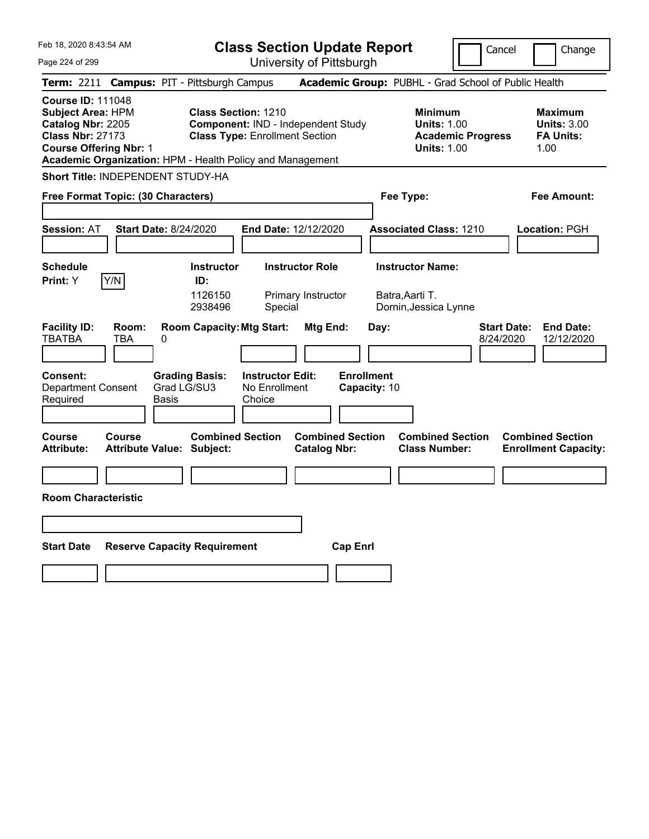| Feb 18, 2020 8:43:54 AM                                                                                                                                                                            | <b>Class Section Update Report</b>                                                                                          |                                                                            | Cancel                          | Change                                                           |
|----------------------------------------------------------------------------------------------------------------------------------------------------------------------------------------------------|-----------------------------------------------------------------------------------------------------------------------------|----------------------------------------------------------------------------|---------------------------------|------------------------------------------------------------------|
| Page 224 of 299                                                                                                                                                                                    | University of Pittsburgh                                                                                                    |                                                                            |                                 |                                                                  |
| Term: 2211                                                                                                                                                                                         | <b>Campus: PIT - Pittsburgh Campus</b>                                                                                      | Academic Group: PUBHL - Grad School of Public Health                       |                                 |                                                                  |
| <b>Course ID: 111048</b><br><b>Subject Area: HPM</b><br>Catalog Nbr: 2205<br><b>Class Nbr: 27173</b><br><b>Course Offering Nbr: 1</b><br>Academic Organization: HPM - Health Policy and Management | <b>Class Section: 1210</b><br>Component: IND - Independent Study<br><b>Class Type: Enrollment Section</b>                   | <b>Minimum</b><br><b>Units: 1.00</b><br><b>Units: 1.00</b>                 | <b>Academic Progress</b>        | <b>Maximum</b><br><b>Units: 3.00</b><br><b>FA Units:</b><br>1.00 |
| <b>Short Title: INDEPENDENT STUDY-HA</b>                                                                                                                                                           |                                                                                                                             |                                                                            |                                 |                                                                  |
| Free Format Topic: (30 Characters)                                                                                                                                                                 |                                                                                                                             | Fee Type:                                                                  |                                 | Fee Amount:                                                      |
| <b>Session: AT</b><br>Start Date: 8/24/2020                                                                                                                                                        | End Date: 12/12/2020                                                                                                        | <b>Associated Class: 1210</b>                                              |                                 | Location: PGH                                                    |
| <b>Schedule</b><br>Y/N<br>Print: Y                                                                                                                                                                 | <b>Instructor Role</b><br><b>Instructor</b><br>ID:<br>1126150<br>Primary Instructor<br>2938496<br>Special                   | <b>Instructor Name:</b><br>Batra, Aarti T.<br>Dornin, Jessica Lynne        |                                 |                                                                  |
| <b>Facility ID:</b><br>Room:<br><b>TBATBA</b><br>TBA<br>0<br><b>Consent:</b><br>Grad LG/SU3<br><b>Department Consent</b><br>Required<br>Basis                                                      | <b>Room Capacity: Mtg Start:</b><br>Mtg End:<br><b>Grading Basis:</b><br><b>Instructor Edit:</b><br>No Enrollment<br>Choice | Day:<br><b>Enrollment</b><br>Capacity: 10                                  | <b>Start Date:</b><br>8/24/2020 | <b>End Date:</b><br>12/12/2020                                   |
| Course<br>Course<br><b>Attribute:</b><br><b>Attribute Value: Subject:</b>                                                                                                                          | <b>Combined Section</b><br><b>Catalog Nbr:</b>                                                                              | <b>Combined Section</b><br><b>Combined Section</b><br><b>Class Number:</b> |                                 | <b>Combined Section</b><br><b>Enrollment Capacity:</b>           |
|                                                                                                                                                                                                    |                                                                                                                             |                                                                            |                                 |                                                                  |
| <b>Room Characteristic</b>                                                                                                                                                                         |                                                                                                                             |                                                                            |                                 |                                                                  |
|                                                                                                                                                                                                    |                                                                                                                             |                                                                            |                                 |                                                                  |
| <b>Start Date</b><br><b>Reserve Capacity Requirement</b>                                                                                                                                           |                                                                                                                             | <b>Cap Enri</b>                                                            |                                 |                                                                  |
|                                                                                                                                                                                                    |                                                                                                                             |                                                                            |                                 |                                                                  |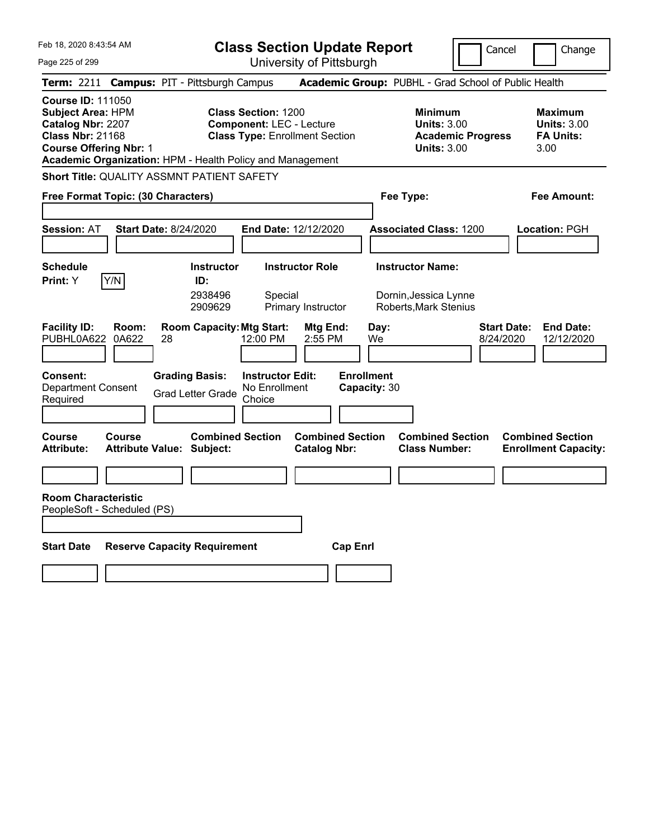|  | Feb 18, 2020 8:43:54 AM |  |
|--|-------------------------|--|
|  |                         |  |

Page 225 of 299

**Class Section Update Report**

Cancel **Change** 

University of Pittsburgh

|                                                                                                                                                                                                    |                                                             |                                                               | UNIVERSITY ULT ITTSDUIYN                       |                                   |                                                                                        |                                                                  |
|----------------------------------------------------------------------------------------------------------------------------------------------------------------------------------------------------|-------------------------------------------------------------|---------------------------------------------------------------|------------------------------------------------|-----------------------------------|----------------------------------------------------------------------------------------|------------------------------------------------------------------|
| Term: 2211 Campus: PIT - Pittsburgh Campus                                                                                                                                                         |                                                             |                                                               |                                                |                                   | Academic Group: PUBHL - Grad School of Public Health                                   |                                                                  |
| <b>Course ID: 111050</b><br><b>Subject Area: HPM</b><br>Catalog Nbr: 2207<br><b>Class Nbr: 21168</b><br><b>Course Offering Nbr: 1</b><br>Academic Organization: HPM - Health Policy and Management |                                                             | <b>Class Section: 1200</b><br><b>Component: LEC - Lecture</b> | <b>Class Type: Enrollment Section</b>          |                                   | <b>Minimum</b><br><b>Units: 3.00</b><br><b>Academic Progress</b><br><b>Units: 3.00</b> | <b>Maximum</b><br><b>Units: 3.00</b><br><b>FA Units:</b><br>3.00 |
| <b>Short Title: QUALITY ASSMNT PATIENT SAFETY</b>                                                                                                                                                  |                                                             |                                                               |                                                |                                   |                                                                                        |                                                                  |
| Free Format Topic: (30 Characters)                                                                                                                                                                 |                                                             |                                                               |                                                | Fee Type:                         |                                                                                        | Fee Amount:                                                      |
| <b>Session: AT</b>                                                                                                                                                                                 | <b>Start Date: 8/24/2020</b>                                |                                                               | End Date: 12/12/2020                           |                                   | <b>Associated Class: 1200</b>                                                          | Location: PGH                                                    |
| <b>Schedule</b>                                                                                                                                                                                    | <b>Instructor</b>                                           |                                                               | <b>Instructor Role</b>                         |                                   | <b>Instructor Name:</b>                                                                |                                                                  |
| Y/N<br>Print: Y                                                                                                                                                                                    | ID:<br>2938496<br>2909629                                   | Special                                                       | Primary Instructor                             |                                   | Dornin, Jessica Lynne<br><b>Roberts, Mark Stenius</b>                                  |                                                                  |
| <b>Facility ID:</b><br>Room:<br>PUBHL0A622<br>0A622                                                                                                                                                | <b>Room Capacity: Mtg Start:</b><br>28                      | 12:00 PM                                                      | Mtg End:<br>2:55 PM                            | Day:<br>We                        | 8/24/2020                                                                              | <b>Start Date:</b><br><b>End Date:</b><br>12/12/2020             |
| <b>Consent:</b><br><b>Department Consent</b><br>Required                                                                                                                                           | <b>Grading Basis:</b><br><b>Grad Letter Grade</b>           | <b>Instructor Edit:</b><br>No Enrollment<br>Choice            |                                                | <b>Enrollment</b><br>Capacity: 30 |                                                                                        |                                                                  |
| <b>Course</b><br>Course<br><b>Attribute:</b>                                                                                                                                                       | <b>Combined Section</b><br><b>Attribute Value: Subject:</b> |                                                               | <b>Combined Section</b><br><b>Catalog Nbr:</b> |                                   | <b>Combined Section</b><br><b>Class Number:</b>                                        | <b>Combined Section</b><br><b>Enrollment Capacity:</b>           |
|                                                                                                                                                                                                    |                                                             |                                                               |                                                |                                   |                                                                                        |                                                                  |
| <b>Room Characteristic</b><br>PeopleSoft - Scheduled (PS)                                                                                                                                          |                                                             |                                                               |                                                |                                   |                                                                                        |                                                                  |
| <b>Start Date</b>                                                                                                                                                                                  | <b>Reserve Capacity Requirement</b>                         |                                                               | <b>Cap Enrl</b>                                |                                   |                                                                                        |                                                                  |
|                                                                                                                                                                                                    |                                                             |                                                               |                                                |                                   |                                                                                        |                                                                  |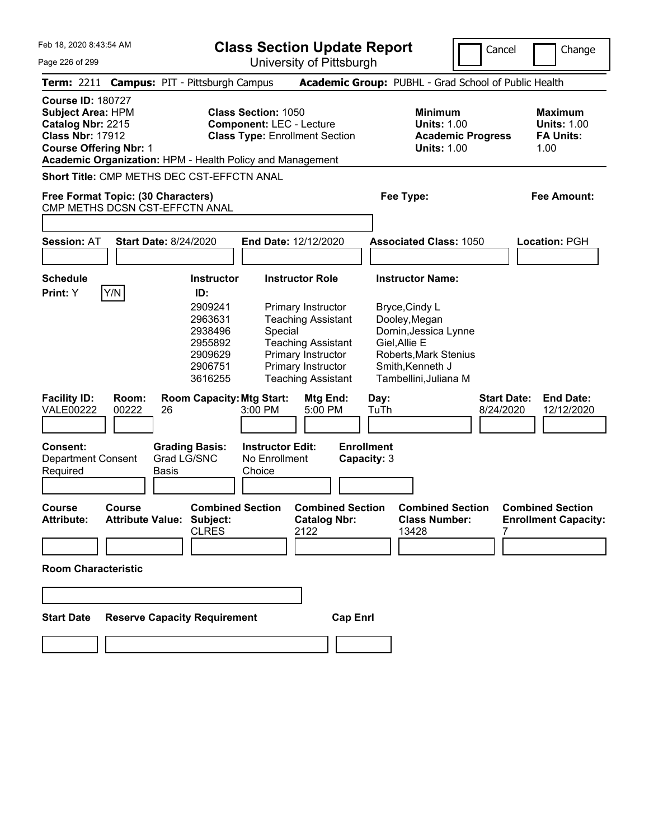Feb 18, 2020 8:43:54 AM Page 226 of 299 **Class Section Update Report** University of Pittsburgh Cancel Change **Term:** 2211 **Campus:** PIT - Pittsburgh Campus **Academic Group:** PUBHL - Grad School of Public Health **Course ID:** 180727 **Subject Area:** HPM **Class Section:** 1050 **Minimum Maximum Catalog Nbr:** 2215 **Component:** LEC - Lecture **Units:** 1.00 **Units:** 1.00 **Class Nbr:** 17912 **Class Type:** Enrollment Section **Academic Progress FA Units: Course Offering Nbr:** 1 **Units:** 1.00 1.00 **Academic Organization:** HPM - Health Policy and Management **Short Title:** CMP METHS DEC CST-EFFCTN ANAL **Free Format Topic: (30 Characters) Fee Type: Fee Amount:**  CMP METHS DCSN CST-EFFCTN ANAL **Session:** AT **Start Date:** 8/24/2020 **End Date:** 12/12/2020 **Associated Class:** 1050 **Location:** PGH **Schedule Instructor Instructor Role Instructor Name: Print:**  $Y$   $|Y/N|$  **ID:** 2909241 Primary Instructor Bryce,Cindy L 2963631 Teaching Assistant Dooley,Megan 2938496 Special Dornin,Jessica Lynne 2955892 Teaching Assistant Giel,Allie E 2909629 Primary Instructor Roberts,Mark Stenius 2906751 Primary Instructor Smith,Kenneth J 3616255 Teaching Assistant Tambellini,Juliana M **Facility ID: Room: Room Capacity:Mtg Start: Mtg End: Day: Start Date: End Date:** VALE00222 00222 26 3:00 PM 5:00 PM TuTh 8/24/2020 12/12/2020 **Consent: Grading Basis: Instructor Edit: Enrollment** Department Consent Required Grad LG/SNC Basis No Enrollment Choice **Capacity:** 3 **Course Course Combined Section Combined Section Combined Section Combined Section Attribute: Attribute Value: Subject: Catalog Nbr: Class Number: Enrollment Capacity:**  CLRES 2122 13428 7 **Room Characteristic Start Date Reserve Capacity Requirement Cap Enrl**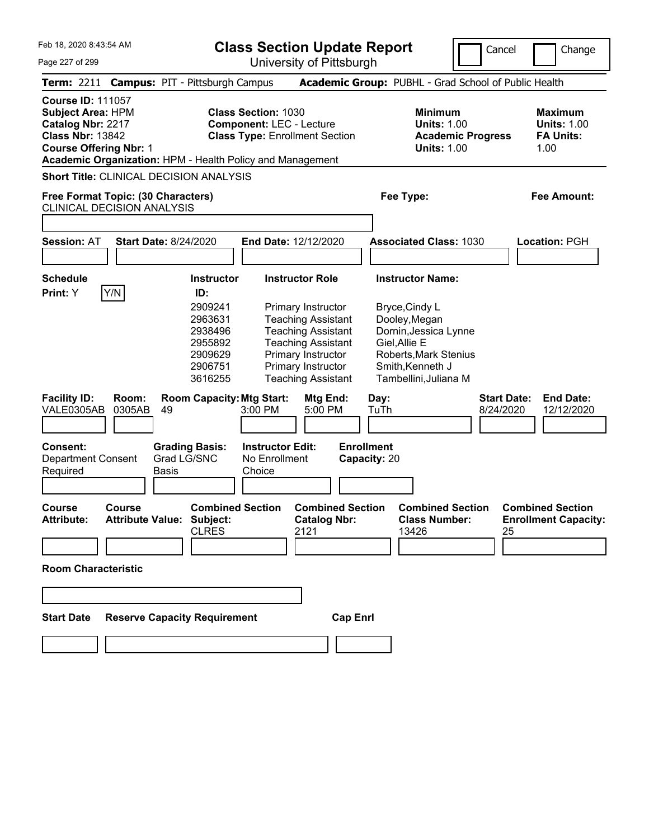| Feb 18, 2020 8:43:54 AM<br>Page 227 of 299                                                                                                                                                         |                                                                                                       | <b>Class Section Update Report</b><br>University of Pittsburgh                                                                                                                                               |                                                                                                                                                                            | Cancel<br>Change                                                  |
|----------------------------------------------------------------------------------------------------------------------------------------------------------------------------------------------------|-------------------------------------------------------------------------------------------------------|--------------------------------------------------------------------------------------------------------------------------------------------------------------------------------------------------------------|----------------------------------------------------------------------------------------------------------------------------------------------------------------------------|-------------------------------------------------------------------|
| Term: 2211 Campus: PIT - Pittsburgh Campus                                                                                                                                                         |                                                                                                       |                                                                                                                                                                                                              | Academic Group: PUBHL - Grad School of Public Health                                                                                                                       |                                                                   |
| <b>Course ID: 111057</b><br><b>Subject Area: HPM</b><br>Catalog Nbr: 2217<br><b>Class Nbr: 13842</b><br><b>Course Offering Nbr: 1</b><br>Academic Organization: HPM - Health Policy and Management |                                                                                                       | <b>Class Section: 1030</b><br><b>Component: LEC - Lecture</b><br><b>Class Type: Enrollment Section</b>                                                                                                       | <b>Minimum</b><br><b>Units: 1.00</b><br><b>Academic Progress</b><br><b>Units: 1.00</b>                                                                                     | <b>Maximum</b><br><b>Units: 1.00</b><br><b>FA Units:</b><br>1.00  |
| Short Title: CLINICAL DECISION ANALYSIS<br>Free Format Topic: (30 Characters)<br><b>CLINICAL DECISION ANALYSIS</b>                                                                                 |                                                                                                       |                                                                                                                                                                                                              | Fee Type:                                                                                                                                                                  | <b>Fee Amount:</b>                                                |
| <b>Session: AT</b>                                                                                                                                                                                 | <b>Start Date: 8/24/2020</b>                                                                          | End Date: 12/12/2020                                                                                                                                                                                         | <b>Associated Class: 1030</b>                                                                                                                                              | Location: PGH                                                     |
| <b>Schedule</b><br>Y/N<br>Print: Y                                                                                                                                                                 | <b>Instructor</b><br>ID:<br>2909241<br>2963631<br>2938496<br>2955892<br>2909629<br>2906751<br>3616255 | <b>Instructor Role</b><br>Primary Instructor<br><b>Teaching Assistant</b><br><b>Teaching Assistant</b><br><b>Teaching Assistant</b><br>Primary Instructor<br>Primary Instructor<br><b>Teaching Assistant</b> | <b>Instructor Name:</b><br>Bryce, Cindy L<br>Dooley, Megan<br>Dornin, Jessica Lynne<br>Giel, Allie E<br>Roberts, Mark Stenius<br>Smith, Kenneth J<br>Tambellini, Juliana M |                                                                   |
| <b>Facility ID:</b><br>Room:<br>VALE0305AB<br>0305AB                                                                                                                                               | <b>Room Capacity: Mtg Start:</b><br>49                                                                | Mtg End:<br>3:00 PM<br>5:00 PM                                                                                                                                                                               | Day:<br>TuTh                                                                                                                                                               | <b>End Date:</b><br><b>Start Date:</b><br>8/24/2020<br>12/12/2020 |
| <b>Consent:</b><br><b>Department Consent</b><br>Required                                                                                                                                           | <b>Grading Basis:</b><br>Grad LG/SNC<br><b>Basis</b>                                                  | <b>Instructor Edit:</b><br>No Enrollment<br>Choice                                                                                                                                                           | <b>Enrollment</b><br>Capacity: 20                                                                                                                                          |                                                                   |
| <b>Course</b><br><b>Course</b><br><b>Attribute:</b>                                                                                                                                                | <b>Combined Section</b><br><b>Attribute Value: Subject:</b><br><b>CLRES</b>                           | <b>Combined Section</b><br><b>Catalog Nbr:</b><br>2121                                                                                                                                                       | <b>Combined Section</b><br><b>Class Number:</b><br>13426                                                                                                                   | <b>Combined Section</b><br><b>Enrollment Capacity:</b><br>25      |
| <b>Room Characteristic</b>                                                                                                                                                                         |                                                                                                       |                                                                                                                                                                                                              |                                                                                                                                                                            |                                                                   |
| <b>Start Date</b>                                                                                                                                                                                  | <b>Reserve Capacity Requirement</b>                                                                   | <b>Cap Enrl</b>                                                                                                                                                                                              |                                                                                                                                                                            |                                                                   |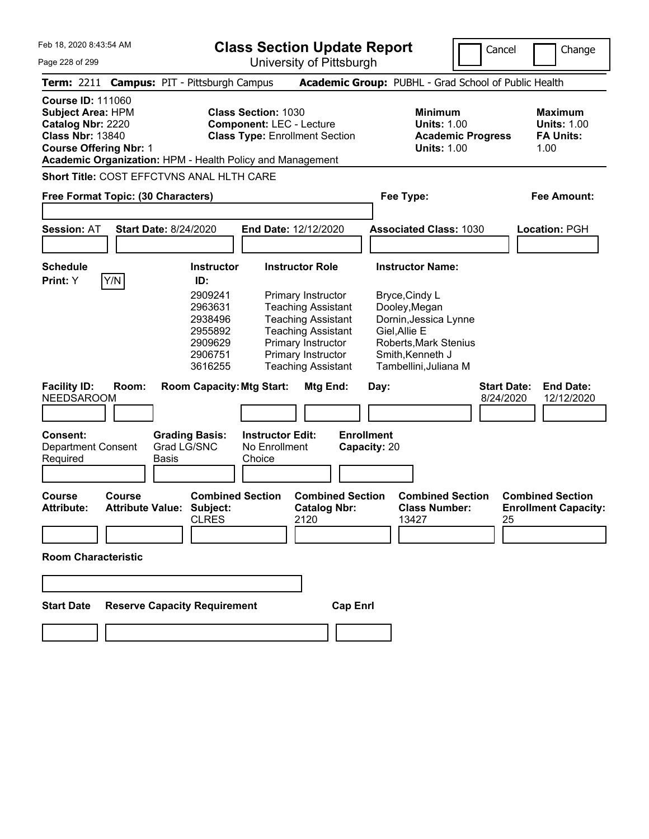**Class Section Update Report**

Cancel Change

| Page 228 of 299                                                                                                                       | University of Pittsburgh                                                                                                                                                                                                                                        |                                                                                                                                                 |                                                                   |
|---------------------------------------------------------------------------------------------------------------------------------------|-----------------------------------------------------------------------------------------------------------------------------------------------------------------------------------------------------------------------------------------------------------------|-------------------------------------------------------------------------------------------------------------------------------------------------|-------------------------------------------------------------------|
| <b>Term: 2211</b>                                                                                                                     | <b>Campus: PIT - Pittsburgh Campus</b>                                                                                                                                                                                                                          | Academic Group: PUBHL - Grad School of Public Health                                                                                            |                                                                   |
| <b>Course ID: 111060</b><br><b>Subject Area: HPM</b><br>Catalog Nbr: 2220<br><b>Class Nbr: 13840</b><br><b>Course Offering Nbr: 1</b> | <b>Class Section: 1030</b><br><b>Component: LEC - Lecture</b><br><b>Class Type: Enrollment Section</b><br>Academic Organization: HPM - Health Policy and Management                                                                                             | <b>Minimum</b><br><b>Units: 1.00</b><br><b>Academic Progress</b><br><b>Units: 1.00</b>                                                          | <b>Maximum</b><br><b>Units: 1.00</b><br><b>FA Units:</b><br>1.00  |
|                                                                                                                                       | <b>Short Title: COST EFFCTVNS ANAL HLTH CARE</b>                                                                                                                                                                                                                |                                                                                                                                                 |                                                                   |
| Free Format Topic: (30 Characters)                                                                                                    |                                                                                                                                                                                                                                                                 | Fee Type:                                                                                                                                       | Fee Amount:                                                       |
| <b>Session: AT</b>                                                                                                                    | <b>Start Date: 8/24/2020</b><br>End Date: 12/12/2020                                                                                                                                                                                                            | <b>Associated Class: 1030</b>                                                                                                                   | Location: PGH                                                     |
| <b>Schedule</b><br>Print: Y<br>Y/N                                                                                                    | <b>Instructor Role</b><br><b>Instructor</b><br>ID:                                                                                                                                                                                                              | <b>Instructor Name:</b>                                                                                                                         |                                                                   |
|                                                                                                                                       | 2909241<br>Primary Instructor<br>2963631<br><b>Teaching Assistant</b><br><b>Teaching Assistant</b><br>2938496<br><b>Teaching Assistant</b><br>2955892<br>2909629<br>Primary Instructor<br>2906751<br>Primary Instructor<br>3616255<br><b>Teaching Assistant</b> | Bryce, Cindy L<br>Dooley, Megan<br>Dornin, Jessica Lynne<br>Giel, Allie E<br>Roberts, Mark Stenius<br>Smith, Kenneth J<br>Tambellini, Juliana M |                                                                   |
| <b>Facility ID:</b><br>Room:<br><b>NEEDSAROOM</b>                                                                                     | <b>Room Capacity: Mtg Start:</b><br>Mtg End:                                                                                                                                                                                                                    | Day:                                                                                                                                            | <b>Start Date:</b><br><b>End Date:</b><br>8/24/2020<br>12/12/2020 |
| Consent:<br><b>Department Consent</b><br>Required                                                                                     | <b>Grading Basis:</b><br><b>Instructor Edit:</b><br>Grad LG/SNC<br>No Enrollment<br>Basis<br>Choice                                                                                                                                                             | <b>Enrollment</b><br>Capacity: 20                                                                                                               |                                                                   |
| <b>Course</b><br>Course<br><b>Attribute:</b>                                                                                          | <b>Combined Section</b><br><b>Combined Section</b><br><b>Attribute Value: Subject:</b><br><b>Catalog Nbr:</b><br>2120<br><b>CLRES</b>                                                                                                                           | <b>Combined Section</b><br><b>Class Number:</b><br>13427                                                                                        | <b>Combined Section</b><br><b>Enrollment Capacity:</b><br>25      |
| <b>Room Characteristic</b>                                                                                                            |                                                                                                                                                                                                                                                                 |                                                                                                                                                 |                                                                   |
|                                                                                                                                       |                                                                                                                                                                                                                                                                 |                                                                                                                                                 |                                                                   |
| <b>Start Date</b>                                                                                                                     | <b>Reserve Capacity Requirement</b><br><b>Cap Enrl</b>                                                                                                                                                                                                          |                                                                                                                                                 |                                                                   |
|                                                                                                                                       |                                                                                                                                                                                                                                                                 |                                                                                                                                                 |                                                                   |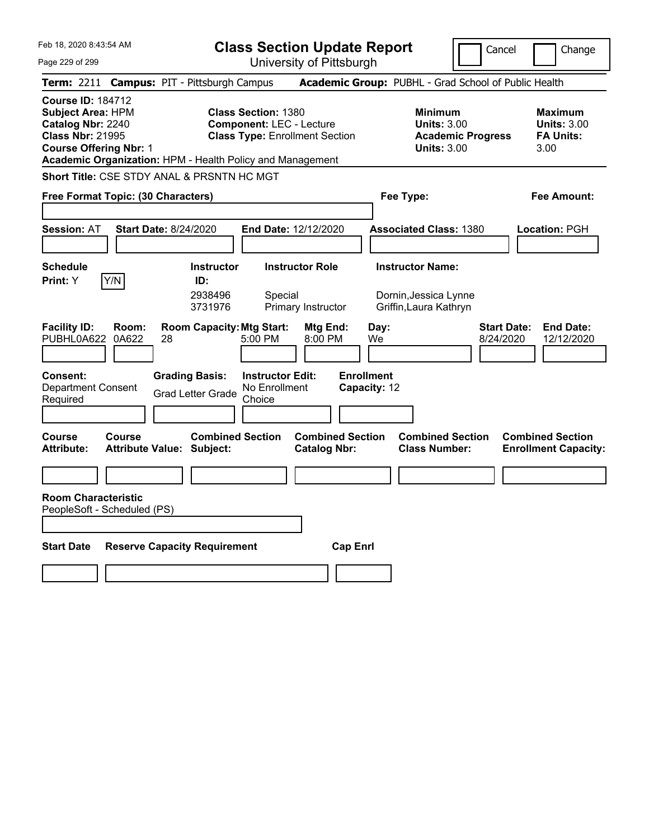Page 229 of 299

**Class Section Update Report**

Cancel **Change** 

University of Pittsburgh

|                                                                                                                                                                                                    |                                     |                                                                                       |                                                               | UNIVUUTIY ULI ILLUUULYII                       |                                                 |                                                                                        |                                                                   |
|----------------------------------------------------------------------------------------------------------------------------------------------------------------------------------------------------|-------------------------------------|---------------------------------------------------------------------------------------|---------------------------------------------------------------|------------------------------------------------|-------------------------------------------------|----------------------------------------------------------------------------------------|-------------------------------------------------------------------|
| Term: 2211 Campus: PIT - Pittsburgh Campus                                                                                                                                                         |                                     |                                                                                       |                                                               |                                                |                                                 | <b>Academic Group: PUBHL - Grad School of Public Health</b>                            |                                                                   |
| <b>Course ID: 184712</b><br><b>Subject Area: HPM</b><br>Catalog Nbr: 2240<br><b>Class Nbr: 21995</b><br><b>Course Offering Nbr: 1</b><br>Academic Organization: HPM - Health Policy and Management |                                     |                                                                                       | <b>Class Section: 1380</b><br><b>Component: LEC - Lecture</b> | <b>Class Type: Enrollment Section</b>          |                                                 | <b>Minimum</b><br><b>Units: 3.00</b><br><b>Academic Progress</b><br><b>Units: 3.00</b> | <b>Maximum</b><br><b>Units: 3.00</b><br><b>FA Units:</b><br>3.00  |
| Short Title: CSE STDY ANAL & PRSNTN HC MGT                                                                                                                                                         |                                     |                                                                                       |                                                               |                                                |                                                 |                                                                                        |                                                                   |
| Free Format Topic: (30 Characters)                                                                                                                                                                 |                                     |                                                                                       |                                                               |                                                |                                                 | Fee Type:                                                                              | Fee Amount:                                                       |
| <b>Session: AT</b>                                                                                                                                                                                 | <b>Start Date: 8/24/2020</b>        |                                                                                       |                                                               | End Date: 12/12/2020                           |                                                 | <b>Associated Class: 1380</b>                                                          | Location: PGH                                                     |
| <b>Schedule</b><br>Y/N<br><b>Print:</b> Y                                                                                                                                                          |                                     | <b>Instructor</b><br>ID:<br>2938496<br>3731976                                        | Special                                                       | <b>Instructor Role</b><br>Primary Instructor   |                                                 | <b>Instructor Name:</b><br>Dornin, Jessica Lynne<br>Griffin, Laura Kathryn             |                                                                   |
| <b>Facility ID:</b><br>PUBHL0A622<br>Consent:<br><b>Department Consent</b><br>Required                                                                                                             | Room:<br>0A622<br>28                | <b>Room Capacity: Mtg Start:</b><br><b>Grading Basis:</b><br><b>Grad Letter Grade</b> | 5:00 PM<br><b>Instructor Edit:</b><br>No Enrollment<br>Choice | Mtg End:<br>$8:00$ PM                          | Day:<br>We<br><b>Enrollment</b><br>Capacity: 12 |                                                                                        | <b>End Date:</b><br><b>Start Date:</b><br>8/24/2020<br>12/12/2020 |
| <b>Course</b><br>Course<br>Attribute:                                                                                                                                                              | <b>Attribute Value: Subject:</b>    | <b>Combined Section</b>                                                               |                                                               | <b>Combined Section</b><br><b>Catalog Nbr:</b> |                                                 | <b>Combined Section</b><br><b>Class Number:</b>                                        | <b>Combined Section</b><br><b>Enrollment Capacity:</b>            |
| <b>Room Characteristic</b><br>PeopleSoft - Scheduled (PS)                                                                                                                                          |                                     |                                                                                       |                                                               |                                                |                                                 |                                                                                        |                                                                   |
| <b>Start Date</b>                                                                                                                                                                                  | <b>Reserve Capacity Requirement</b> |                                                                                       |                                                               | <b>Cap Enrl</b>                                |                                                 |                                                                                        |                                                                   |
|                                                                                                                                                                                                    |                                     |                                                                                       |                                                               |                                                |                                                 |                                                                                        |                                                                   |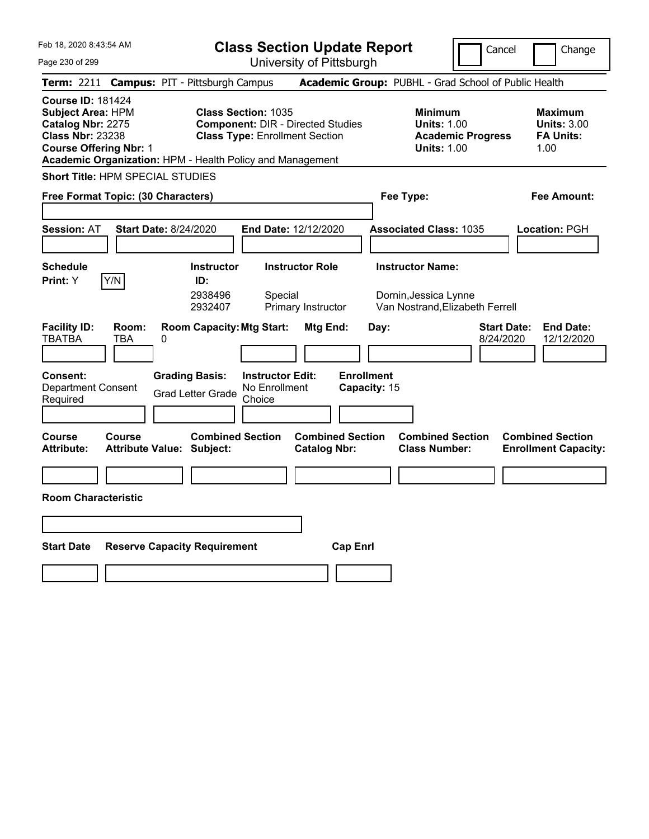**Class Section Update Report** University of Pittsburgh

Cancel Change

Page 230 of 299

|                                                                                                                                |                     | Term: 2211 Campus: PIT - Pittsburgh Campus                  |                                                                     |                                                |                                   | Academic Group: PUBHL - Grad School of Public Health                                   |                                                                   |
|--------------------------------------------------------------------------------------------------------------------------------|---------------------|-------------------------------------------------------------|---------------------------------------------------------------------|------------------------------------------------|-----------------------------------|----------------------------------------------------------------------------------------|-------------------------------------------------------------------|
| <b>Course ID: 181424</b><br>Subject Area: HPM<br>Catalog Nbr: 2275<br><b>Class Nbr: 23238</b><br><b>Course Offering Nbr: 1</b> |                     | Academic Organization: HPM - Health Policy and Management   | <b>Class Section: 1035</b><br><b>Class Type: Enrollment Section</b> | <b>Component: DIR - Directed Studies</b>       |                                   | <b>Minimum</b><br><b>Units: 1.00</b><br><b>Academic Progress</b><br><b>Units: 1.00</b> | <b>Maximum</b><br><b>Units: 3.00</b><br><b>FA Units:</b><br>1.00  |
| Short Title: HPM SPECIAL STUDIES                                                                                               |                     |                                                             |                                                                     |                                                |                                   |                                                                                        |                                                                   |
| Free Format Topic: (30 Characters)                                                                                             |                     |                                                             |                                                                     |                                                |                                   | Fee Type:                                                                              | Fee Amount:                                                       |
| <b>Session: AT</b>                                                                                                             |                     | <b>Start Date: 8/24/2020</b>                                | End Date: 12/12/2020                                                |                                                |                                   | <b>Associated Class: 1035</b>                                                          | Location: PGH                                                     |
| <b>Schedule</b><br>Print: Y                                                                                                    | Y/N                 | <b>Instructor</b><br>ID:<br>2938496<br>2932407              | Special                                                             | <b>Instructor Role</b><br>Primary Instructor   |                                   | <b>Instructor Name:</b><br>Dornin, Jessica Lynne<br>Van Nostrand, Elizabeth Ferrell    |                                                                   |
| <b>Facility ID:</b><br><b>TBATBA</b>                                                                                           | Room:<br><b>TBA</b> | <b>Room Capacity: Mtg Start:</b><br>0                       |                                                                     | Mtg End:                                       | Day:                              |                                                                                        | <b>Start Date:</b><br><b>End Date:</b><br>8/24/2020<br>12/12/2020 |
| Consent:<br><b>Department Consent</b><br>Required                                                                              |                     | <b>Grading Basis:</b><br><b>Grad Letter Grade</b>           | <b>Instructor Edit:</b><br>No Enrollment<br>Choice                  |                                                | <b>Enrollment</b><br>Capacity: 15 |                                                                                        |                                                                   |
| Course<br>Attribute:                                                                                                           | Course              | <b>Combined Section</b><br><b>Attribute Value: Subject:</b> |                                                                     | <b>Combined Section</b><br><b>Catalog Nbr:</b> |                                   | <b>Combined Section</b><br><b>Class Number:</b>                                        | <b>Combined Section</b><br><b>Enrollment Capacity:</b>            |
|                                                                                                                                |                     |                                                             |                                                                     |                                                |                                   |                                                                                        |                                                                   |
| <b>Room Characteristic</b>                                                                                                     |                     |                                                             |                                                                     |                                                |                                   |                                                                                        |                                                                   |
|                                                                                                                                |                     |                                                             |                                                                     |                                                |                                   |                                                                                        |                                                                   |
| <b>Start Date</b>                                                                                                              |                     | <b>Reserve Capacity Requirement</b>                         |                                                                     | <b>Cap Enrl</b>                                |                                   |                                                                                        |                                                                   |
|                                                                                                                                |                     |                                                             |                                                                     |                                                |                                   |                                                                                        |                                                                   |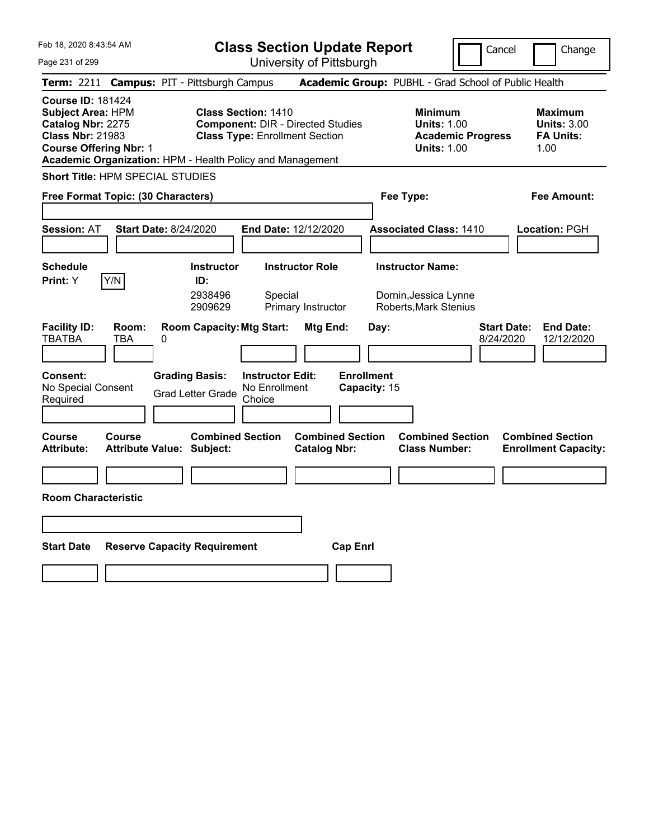**Class Section Update Report**

Cancel **Change** 

| Page 231 of 299                                                                                                                                                                                    | University of Pittsburgh                                                                                        |                                                                                        |                                                                  |
|----------------------------------------------------------------------------------------------------------------------------------------------------------------------------------------------------|-----------------------------------------------------------------------------------------------------------------|----------------------------------------------------------------------------------------|------------------------------------------------------------------|
| Term: 2211 Campus: PIT - Pittsburgh Campus                                                                                                                                                         |                                                                                                                 | Academic Group: PUBHL - Grad School of Public Health                                   |                                                                  |
| <b>Course ID: 181424</b><br><b>Subject Area: HPM</b><br>Catalog Nbr: 2275<br><b>Class Nbr: 21983</b><br><b>Course Offering Nbr: 1</b><br>Academic Organization: HPM - Health Policy and Management | <b>Class Section: 1410</b><br><b>Component: DIR - Directed Studies</b><br><b>Class Type: Enrollment Section</b> | <b>Minimum</b><br><b>Units: 1.00</b><br><b>Academic Progress</b><br><b>Units: 1.00</b> | <b>Maximum</b><br><b>Units: 3.00</b><br><b>FA Units:</b><br>1.00 |
| <b>Short Title: HPM SPECIAL STUDIES</b>                                                                                                                                                            |                                                                                                                 |                                                                                        |                                                                  |
| Free Format Topic: (30 Characters)                                                                                                                                                                 |                                                                                                                 | Fee Type:                                                                              | Fee Amount:                                                      |
| <b>Session: AT</b><br><b>Start Date: 8/24/2020</b>                                                                                                                                                 | End Date: 12/12/2020                                                                                            | <b>Associated Class: 1410</b>                                                          | Location: PGH                                                    |
| <b>Schedule</b><br>Y/N<br>ID:<br><b>Print:</b> Y                                                                                                                                                   | <b>Instructor Role</b><br><b>Instructor</b><br>2938496<br>Special<br>2909629<br>Primary Instructor              | <b>Instructor Name:</b><br>Dornin, Jessica Lynne<br>Roberts, Mark Stenius              |                                                                  |
| <b>Facility ID:</b><br>Room:<br><b>TBATBA</b><br>0<br><b>TBA</b>                                                                                                                                   | <b>Room Capacity: Mtg Start:</b><br><b>Mtg End:</b><br>Day:                                                     | <b>Start Date:</b><br>8/24/2020                                                        | <b>End Date:</b><br>12/12/2020                                   |
| Consent:<br><b>Grading Basis:</b><br>No Special Consent<br><b>Grad Letter Grade</b><br>Required                                                                                                    | <b>Enrollment</b><br><b>Instructor Edit:</b><br>No Enrollment<br>Capacity: 15<br>Choice                         |                                                                                        |                                                                  |
| Course<br>Course<br><b>Attribute:</b><br><b>Attribute Value: Subject:</b>                                                                                                                          | <b>Combined Section</b><br><b>Combined Section</b><br><b>Catalog Nbr:</b>                                       | <b>Combined Section</b><br><b>Class Number:</b>                                        | <b>Combined Section</b><br><b>Enrollment Capacity:</b>           |
| <b>Room Characteristic</b>                                                                                                                                                                         |                                                                                                                 |                                                                                        |                                                                  |
|                                                                                                                                                                                                    |                                                                                                                 |                                                                                        |                                                                  |
| <b>Start Date</b><br><b>Reserve Capacity Requirement</b>                                                                                                                                           | <b>Cap Enrl</b>                                                                                                 |                                                                                        |                                                                  |
|                                                                                                                                                                                                    |                                                                                                                 |                                                                                        |                                                                  |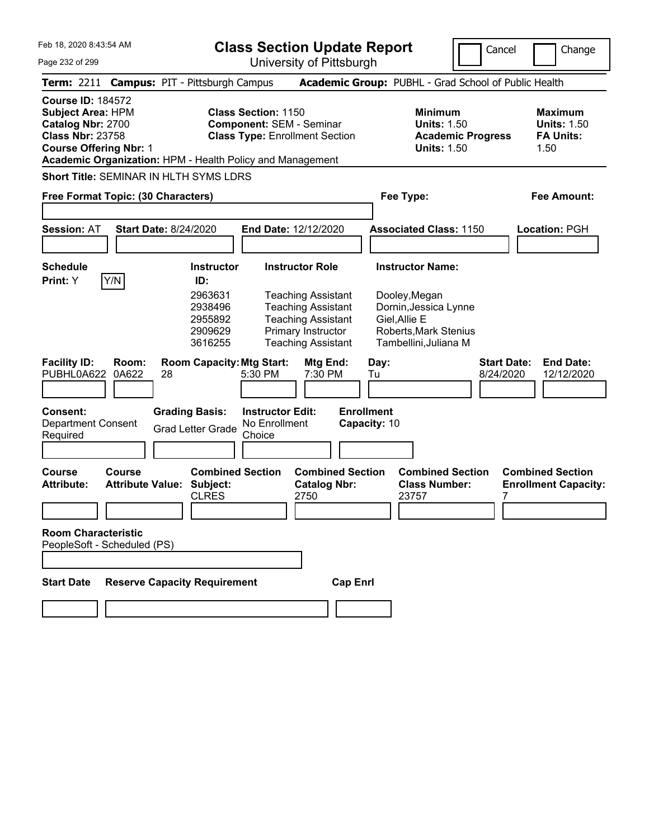|  | Feb 18, 2020 8:43:54 AM |  |
|--|-------------------------|--|
|  |                         |  |

University of Pittsburgh

Cancel Change

Page 232 of 299

|                                                                                                                                       |                                   | Term: 2211 Campus: PIT - Pittsburgh Campus                                           |                                                                                                                                                                     | Academic Group: PUBHL - Grad School of Public Health                                                                                        |                                                                  |
|---------------------------------------------------------------------------------------------------------------------------------------|-----------------------------------|--------------------------------------------------------------------------------------|---------------------------------------------------------------------------------------------------------------------------------------------------------------------|---------------------------------------------------------------------------------------------------------------------------------------------|------------------------------------------------------------------|
| <b>Course ID: 184572</b><br><b>Subject Area: HPM</b><br>Catalog Nbr: 2700<br><b>Class Nbr: 23758</b><br><b>Course Offering Nbr: 1</b> |                                   |                                                                                      | <b>Class Section: 1150</b><br><b>Component: SEM - Seminar</b><br><b>Class Type: Enrollment Section</b><br>Academic Organization: HPM - Health Policy and Management | <b>Minimum</b><br><b>Units: 1.50</b><br><b>Academic Progress</b><br><b>Units: 1.50</b>                                                      | <b>Maximum</b><br><b>Units: 1.50</b><br><b>FA Units:</b><br>1.50 |
|                                                                                                                                       |                                   | <b>Short Title: SEMINAR IN HLTH SYMS LDRS</b>                                        |                                                                                                                                                                     |                                                                                                                                             |                                                                  |
| Free Format Topic: (30 Characters)                                                                                                    |                                   |                                                                                      |                                                                                                                                                                     | Fee Type:                                                                                                                                   | <b>Fee Amount:</b>                                               |
| <b>Session: AT</b>                                                                                                                    |                                   | <b>Start Date: 8/24/2020</b>                                                         | <b>End Date: 12/12/2020</b>                                                                                                                                         | <b>Associated Class: 1150</b>                                                                                                               | Location: PGH                                                    |
| <b>Schedule</b><br>Print: Y                                                                                                           | Y/N                               | <b>Instructor</b><br>ID:<br>2963631<br>2938496<br>2955892<br>2909629<br>3616255      | <b>Instructor Role</b><br><b>Teaching Assistant</b><br><b>Teaching Assistant</b><br><b>Teaching Assistant</b><br>Primary Instructor<br><b>Teaching Assistant</b>    | <b>Instructor Name:</b><br>Dooley, Megan<br>Dornin, Jessica Lynne<br>Giel, Allie E<br><b>Roberts, Mark Stenius</b><br>Tambellini, Juliana M |                                                                  |
| <b>Facility ID:</b><br>PUBHL0A622<br><b>Consent:</b><br><b>Department Consent</b><br>Required                                         | Room:<br>0A622                    | <b>Room Capacity: Mtg Start:</b><br>28<br><b>Grading Basis:</b><br>Grad Letter Grade | Mtg End:<br>5:30 PM<br>7:30 PM<br><b>Instructor Edit:</b><br>No Enrollment<br>Choice                                                                                | Day:<br><b>Start Date:</b><br>8/24/2020<br>Tu<br><b>Enrollment</b><br>Capacity: 10                                                          | <b>End Date:</b><br>12/12/2020                                   |
| Course<br><b>Attribute:</b>                                                                                                           | Course<br><b>Attribute Value:</b> | <b>Combined Section</b><br>Subject:<br><b>CLRES</b>                                  | <b>Combined Section</b><br><b>Catalog Nbr:</b><br>2750                                                                                                              | <b>Combined Section</b><br><b>Class Number:</b><br>23757<br>7                                                                               | <b>Combined Section</b><br><b>Enrollment Capacity:</b>           |
| <b>Room Characteristic</b><br>PeopleSoft - Scheduled (PS)                                                                             |                                   |                                                                                      |                                                                                                                                                                     |                                                                                                                                             |                                                                  |
| <b>Start Date</b>                                                                                                                     |                                   | <b>Reserve Capacity Requirement</b>                                                  | <b>Cap Enrl</b>                                                                                                                                                     |                                                                                                                                             |                                                                  |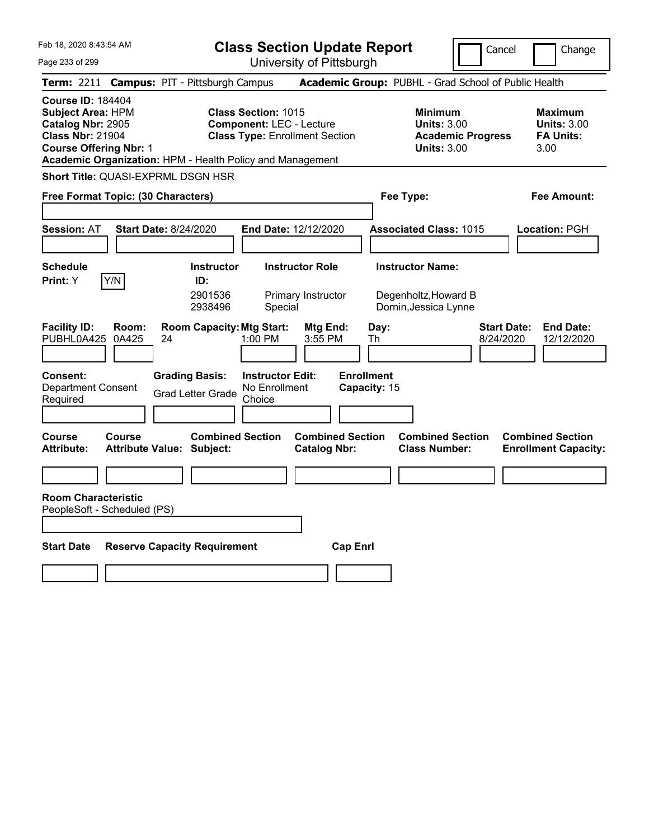**Class Section Update Report** University of Pittsburgh

Cancel Change

Page 233 of 299

|                                                                                                                                       |                                   | Term: 2211 Campus: PIT - Pittsburgh Campus        |                                                                                                                                                                     | Academic Group: PUBHL - Grad School of Public Health                                   |                                                                  |
|---------------------------------------------------------------------------------------------------------------------------------------|-----------------------------------|---------------------------------------------------|---------------------------------------------------------------------------------------------------------------------------------------------------------------------|----------------------------------------------------------------------------------------|------------------------------------------------------------------|
| <b>Course ID: 184404</b><br><b>Subject Area: HPM</b><br>Catalog Nbr: 2905<br><b>Class Nbr: 21904</b><br><b>Course Offering Nbr: 1</b> |                                   |                                                   | <b>Class Section: 1015</b><br><b>Component: LEC - Lecture</b><br><b>Class Type: Enrollment Section</b><br>Academic Organization: HPM - Health Policy and Management | <b>Minimum</b><br><b>Units: 3.00</b><br><b>Academic Progress</b><br><b>Units: 3.00</b> | <b>Maximum</b><br><b>Units: 3.00</b><br><b>FA Units:</b><br>3.00 |
|                                                                                                                                       |                                   | Short Title: QUASI-EXPRML DSGN HSR                |                                                                                                                                                                     |                                                                                        |                                                                  |
| Free Format Topic: (30 Characters)                                                                                                    |                                   |                                                   |                                                                                                                                                                     | Fee Type:                                                                              | Fee Amount:                                                      |
| <b>Session: AT</b>                                                                                                                    |                                   | <b>Start Date: 8/24/2020</b>                      | End Date: 12/12/2020                                                                                                                                                | <b>Associated Class: 1015</b>                                                          | Location: PGH                                                    |
| <b>Schedule</b><br>Print: Y                                                                                                           | Y/N                               | <b>Instructor</b><br>ID:<br>2901536<br>2938496    | <b>Instructor Role</b><br>Primary Instructor<br>Special                                                                                                             | <b>Instructor Name:</b><br>Degenholtz, Howard B<br>Dornin, Jessica Lynne               |                                                                  |
| <b>Facility ID:</b><br>PUBHL0A425                                                                                                     | Room:<br>0A425                    | <b>Room Capacity: Mtg Start:</b><br>24            | Mtg End:<br>1:00 PM<br>3:55 PM                                                                                                                                      | <b>Start Date:</b><br>Day:<br>8/24/2020<br>Th                                          | <b>End Date:</b><br>12/12/2020                                   |
| <b>Consent:</b><br><b>Department Consent</b><br>Required                                                                              |                                   | <b>Grading Basis:</b><br><b>Grad Letter Grade</b> | <b>Instructor Edit:</b><br>No Enrollment<br>Choice                                                                                                                  | <b>Enrollment</b><br>Capacity: 15                                                      |                                                                  |
| <b>Course</b><br>Attribute:                                                                                                           | Course<br><b>Attribute Value:</b> | <b>Combined Section</b><br>Subject:               | <b>Combined Section</b><br><b>Catalog Nbr:</b>                                                                                                                      | <b>Combined Section</b><br><b>Class Number:</b>                                        | <b>Combined Section</b><br><b>Enrollment Capacity:</b>           |
| <b>Room Characteristic</b><br>PeopleSoft - Scheduled (PS)                                                                             |                                   |                                                   |                                                                                                                                                                     |                                                                                        |                                                                  |
| <b>Start Date</b>                                                                                                                     |                                   | <b>Reserve Capacity Requirement</b>               | <b>Cap Enrl</b>                                                                                                                                                     |                                                                                        |                                                                  |
|                                                                                                                                       |                                   |                                                   |                                                                                                                                                                     |                                                                                        |                                                                  |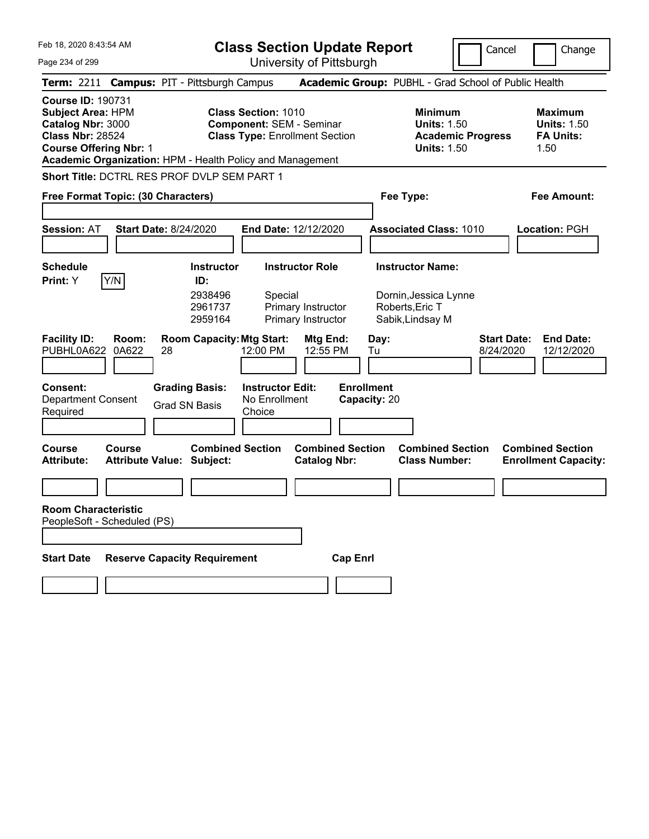|  |  |  |  | Feb 18, 2020 8:43:54 AM |  |
|--|--|--|--|-------------------------|--|
|--|--|--|--|-------------------------|--|

Page 234 of 299

**Class Section Update Report**

University of Pittsburgh

Cancel **I** Change

|                                                                                                                         |                | Term: 2211 Campus: PIT - Pittsburgh Campus                  |                                                               |                                                |                                   | Academic Group: PUBHL - Grad School of Public Health                                   |                                 |                                                                  |
|-------------------------------------------------------------------------------------------------------------------------|----------------|-------------------------------------------------------------|---------------------------------------------------------------|------------------------------------------------|-----------------------------------|----------------------------------------------------------------------------------------|---------------------------------|------------------------------------------------------------------|
| Course ID: 190731<br>Subject Area: HPM<br>Catalog Nbr: 3000<br><b>Class Nbr: 28524</b><br><b>Course Offering Nbr: 1</b> |                | Academic Organization: HPM - Health Policy and Management   | <b>Class Section: 1010</b><br><b>Component: SEM - Seminar</b> | <b>Class Type: Enrollment Section</b>          |                                   | <b>Minimum</b><br><b>Units: 1.50</b><br><b>Academic Progress</b><br><b>Units: 1.50</b> |                                 | <b>Maximum</b><br><b>Units: 1.50</b><br><b>FA Units:</b><br>1.50 |
|                                                                                                                         |                | Short Title: DCTRL RES PROF DVLP SEM PART 1                 |                                                               |                                                |                                   |                                                                                        |                                 |                                                                  |
| Free Format Topic: (30 Characters)                                                                                      |                |                                                             |                                                               |                                                |                                   | Fee Type:                                                                              |                                 | Fee Amount:                                                      |
|                                                                                                                         |                |                                                             |                                                               |                                                |                                   |                                                                                        |                                 |                                                                  |
| <b>Session: AT</b>                                                                                                      |                | <b>Start Date: 8/24/2020</b>                                | End Date: 12/12/2020                                          |                                                |                                   | <b>Associated Class: 1010</b>                                                          |                                 | Location: PGH                                                    |
|                                                                                                                         |                |                                                             |                                                               |                                                |                                   |                                                                                        |                                 |                                                                  |
| <b>Schedule</b>                                                                                                         |                | Instructor                                                  |                                                               | <b>Instructor Role</b>                         |                                   | <b>Instructor Name:</b>                                                                |                                 |                                                                  |
| Print: Y                                                                                                                | Y/N            | ID:<br>2938496<br>2961737<br>2959164                        | Special                                                       | Primary Instructor<br>Primary Instructor       |                                   | Dornin, Jessica Lynne<br>Roberts, Eric T<br>Sabik, Lindsay M                           |                                 |                                                                  |
| <b>Facility ID:</b><br>PUBHL0A622                                                                                       | Room:<br>0A622 | <b>Room Capacity: Mtg Start:</b><br>28                      | 12:00 PM                                                      | Mtg End:<br>12:55 PM                           | Day:<br>Tu                        |                                                                                        | <b>Start Date:</b><br>8/24/2020 | <b>End Date:</b><br>12/12/2020                                   |
| Consent:<br><b>Department Consent</b><br>Required                                                                       |                | <b>Grading Basis:</b><br><b>Grad SN Basis</b>               | <b>Instructor Edit:</b><br>No Enrollment<br>Choice            |                                                | <b>Enrollment</b><br>Capacity: 20 |                                                                                        |                                 |                                                                  |
| Course<br>Attribute:                                                                                                    | <b>Course</b>  | <b>Combined Section</b><br><b>Attribute Value: Subject:</b> |                                                               | <b>Combined Section</b><br><b>Catalog Nbr:</b> |                                   | <b>Combined Section</b><br><b>Class Number:</b>                                        |                                 | <b>Combined Section</b><br><b>Enrollment Capacity:</b>           |
| <b>Room Characteristic</b><br>PeopleSoft - Scheduled (PS)                                                               |                |                                                             |                                                               |                                                |                                   |                                                                                        |                                 |                                                                  |
| <b>Start Date</b>                                                                                                       |                | <b>Reserve Capacity Requirement</b>                         |                                                               | <b>Cap Enrl</b>                                |                                   |                                                                                        |                                 |                                                                  |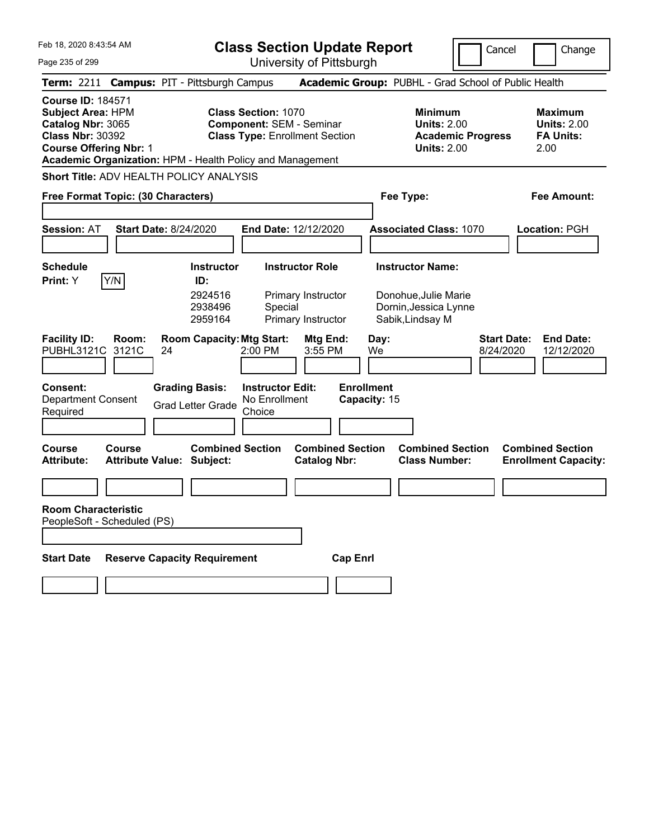|  | Feb 18, 2020 8:43:54 AM |  |
|--|-------------------------|--|
|  |                         |  |

**Class Section Update Report** University of Pittsburgh

Cancel Change

Page 235 of 299

|                                                                                                                                       | Term: 2211 Campus: PIT - Pittsburgh Campus                |                                                           |                                                                                                        |                                                |                                 | Academic Group: PUBHL - Grad School of Public Health                                   |                                                                   |
|---------------------------------------------------------------------------------------------------------------------------------------|-----------------------------------------------------------|-----------------------------------------------------------|--------------------------------------------------------------------------------------------------------|------------------------------------------------|---------------------------------|----------------------------------------------------------------------------------------|-------------------------------------------------------------------|
| <b>Course ID: 184571</b><br><b>Subject Area: HPM</b><br>Catalog Nbr: 3065<br><b>Class Nbr: 30392</b><br><b>Course Offering Nbr: 1</b> | Academic Organization: HPM - Health Policy and Management |                                                           | <b>Class Section: 1070</b><br><b>Component: SEM - Seminar</b><br><b>Class Type: Enrollment Section</b> |                                                |                                 | <b>Minimum</b><br><b>Units: 2.00</b><br><b>Academic Progress</b><br><b>Units: 2.00</b> | <b>Maximum</b><br><b>Units: 2.00</b><br><b>FA Units:</b><br>2.00  |
|                                                                                                                                       | <b>Short Title: ADV HEALTH POLICY ANALYSIS</b>            |                                                           |                                                                                                        |                                                |                                 |                                                                                        |                                                                   |
|                                                                                                                                       | Free Format Topic: (30 Characters)                        |                                                           |                                                                                                        |                                                |                                 | Fee Type:                                                                              | Fee Amount:                                                       |
| <b>Session: AT</b>                                                                                                                    | <b>Start Date: 8/24/2020</b>                              |                                                           | End Date: 12/12/2020                                                                                   |                                                |                                 | <b>Associated Class: 1070</b>                                                          | <b>Location: PGH</b>                                              |
| <b>Schedule</b><br>Print: Y                                                                                                           | Y/N                                                       | <b>Instructor</b><br>ID:<br>2924516                       | <b>Instructor Role</b>                                                                                 | Primary Instructor                             |                                 | <b>Instructor Name:</b><br>Donohue, Julie Marie                                        |                                                                   |
|                                                                                                                                       |                                                           | 2938496<br>2959164                                        | Special                                                                                                | Primary Instructor                             |                                 | Dornin, Jessica Lynne<br>Sabik, Lindsay M                                              |                                                                   |
| <b>Facility ID:</b><br>PUBHL3121C<br><b>Consent:</b>                                                                                  | Room:<br>3121C<br>24                                      | <b>Room Capacity: Mtg Start:</b><br><b>Grading Basis:</b> | 2:00 PM<br><b>Instructor Edit:</b>                                                                     | Mtg End:<br>3:55 PM                            | Day:<br>We<br><b>Enrollment</b> |                                                                                        | <b>Start Date:</b><br><b>End Date:</b><br>8/24/2020<br>12/12/2020 |
| <b>Department Consent</b><br>Required                                                                                                 |                                                           | <b>Grad Letter Grade</b>                                  | No Enrollment<br>Choice                                                                                |                                                | Capacity: 15                    |                                                                                        |                                                                   |
| Course<br>Attribute:                                                                                                                  | Course<br><b>Attribute Value: Subject:</b>                | <b>Combined Section</b>                                   |                                                                                                        | <b>Combined Section</b><br><b>Catalog Nbr:</b> |                                 | <b>Combined Section</b><br><b>Class Number:</b>                                        | <b>Combined Section</b><br><b>Enrollment Capacity:</b>            |
|                                                                                                                                       |                                                           |                                                           |                                                                                                        |                                                |                                 |                                                                                        |                                                                   |
| <b>Room Characteristic</b>                                                                                                            | PeopleSoft - Scheduled (PS)                               |                                                           |                                                                                                        |                                                |                                 |                                                                                        |                                                                   |
| <b>Start Date</b>                                                                                                                     | <b>Reserve Capacity Requirement</b>                       |                                                           |                                                                                                        | <b>Cap Enrl</b>                                |                                 |                                                                                        |                                                                   |
|                                                                                                                                       |                                                           |                                                           |                                                                                                        |                                                |                                 |                                                                                        |                                                                   |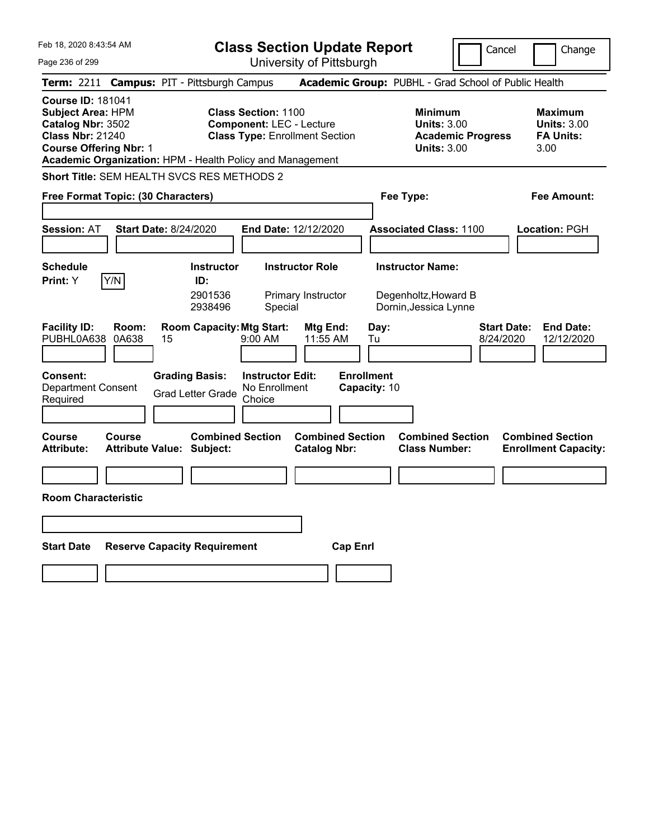Page 236 of 299

**Class Section Update Report**

Cancel **Change** 

University of Pittsburgh

|                                                                                                                                                                                                    |                                                                                             |                                                                 | UNIVUOILY ULI RODULYN                          |                                                 |                                                                                        |                                                                  |
|----------------------------------------------------------------------------------------------------------------------------------------------------------------------------------------------------|---------------------------------------------------------------------------------------------|-----------------------------------------------------------------|------------------------------------------------|-------------------------------------------------|----------------------------------------------------------------------------------------|------------------------------------------------------------------|
| Term: 2211 Campus: PIT - Pittsburgh Campus                                                                                                                                                         |                                                                                             |                                                                 |                                                |                                                 | Academic Group: PUBHL - Grad School of Public Health                                   |                                                                  |
| <b>Course ID: 181041</b><br><b>Subject Area: HPM</b><br>Catalog Nbr: 3502<br><b>Class Nbr: 21240</b><br><b>Course Offering Nbr: 1</b><br>Academic Organization: HPM - Health Policy and Management |                                                                                             | <b>Class Section: 1100</b><br><b>Component: LEC - Lecture</b>   | <b>Class Type: Enrollment Section</b>          |                                                 | <b>Minimum</b><br><b>Units: 3.00</b><br><b>Academic Progress</b><br><b>Units: 3.00</b> | <b>Maximum</b><br><b>Units: 3.00</b><br><b>FA Units:</b><br>3.00 |
| Short Title: SEM HEALTH SVCS RES METHODS 2                                                                                                                                                         |                                                                                             |                                                                 |                                                |                                                 |                                                                                        |                                                                  |
| <b>Free Format Topic: (30 Characters)</b>                                                                                                                                                          |                                                                                             |                                                                 |                                                | Fee Type:                                       |                                                                                        | Fee Amount:                                                      |
| Session: AT                                                                                                                                                                                        | <b>Start Date: 8/24/2020</b>                                                                |                                                                 | End Date: 12/12/2020                           |                                                 | <b>Associated Class: 1100</b>                                                          | <b>Location: PGH</b>                                             |
| <b>Schedule</b><br>Y/N<br>Print: Y                                                                                                                                                                 | <b>Instructor</b><br>ID:<br>2901536<br>2938496                                              | Special                                                         | <b>Instructor Role</b><br>Primary Instructor   |                                                 | <b>Instructor Name:</b><br>Degenholtz, Howard B<br>Dornin, Jessica Lynne               |                                                                  |
| <b>Facility ID:</b><br>Room:<br>0A638<br>PUBHL0A638<br><b>Consent:</b><br><b>Department Consent</b><br>Required                                                                                    | <b>Room Capacity: Mtg Start:</b><br>15<br><b>Grading Basis:</b><br><b>Grad Letter Grade</b> | $9:00$ AM<br><b>Instructor Edit:</b><br>No Enrollment<br>Choice | Mtg End:<br>11:55 AM                           | Day:<br>Tu<br><b>Enrollment</b><br>Capacity: 10 | 8/24/2020                                                                              | <b>Start Date:</b><br><b>End Date:</b><br>12/12/2020             |
| <b>Course</b><br>Course<br>Attribute:                                                                                                                                                              | <b>Combined Section</b><br><b>Attribute Value: Subject:</b>                                 |                                                                 | <b>Combined Section</b><br><b>Catalog Nbr:</b> |                                                 | <b>Combined Section</b><br><b>Class Number:</b>                                        | <b>Combined Section</b><br><b>Enrollment Capacity:</b>           |
|                                                                                                                                                                                                    |                                                                                             |                                                                 |                                                |                                                 |                                                                                        |                                                                  |
| <b>Room Characteristic</b>                                                                                                                                                                         |                                                                                             |                                                                 |                                                |                                                 |                                                                                        |                                                                  |
| Start Date                                                                                                                                                                                         | <b>Reserve Capacity Requirement</b>                                                         |                                                                 | <b>Cap Enrl</b>                                |                                                 |                                                                                        |                                                                  |
|                                                                                                                                                                                                    |                                                                                             |                                                                 |                                                |                                                 |                                                                                        |                                                                  |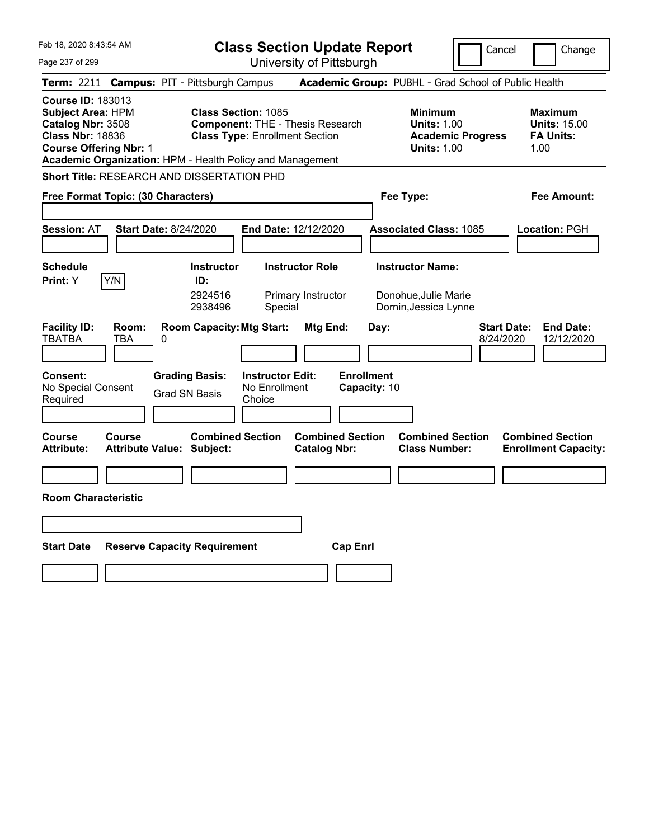| Feb 18, 2020 8:43:54 AM |  |
|-------------------------|--|
|-------------------------|--|

**Class Section Update Report** University of Pittsburgh

Cancel **Change** 

Page 237 of 299

|                                                                                                                                                                                                    |                                                   |                                                                     |                                                    | UNIVERSITY ULT RISDUIYN                        |                                   |                                                                                        |                                                                   |
|----------------------------------------------------------------------------------------------------------------------------------------------------------------------------------------------------|---------------------------------------------------|---------------------------------------------------------------------|----------------------------------------------------|------------------------------------------------|-----------------------------------|----------------------------------------------------------------------------------------|-------------------------------------------------------------------|
| Term: 2211 Campus: PIT - Pittsburgh Campus                                                                                                                                                         |                                                   |                                                                     |                                                    |                                                |                                   | Academic Group: PUBHL - Grad School of Public Health                                   |                                                                   |
| <b>Course ID: 183013</b><br><b>Subject Area: HPM</b><br>Catalog Nbr: 3508<br><b>Class Nbr: 18836</b><br><b>Course Offering Nbr: 1</b><br>Academic Organization: HPM - Health Policy and Management |                                                   | <b>Class Section: 1085</b><br><b>Class Type: Enrollment Section</b> |                                                    | <b>Component: THE - Thesis Research</b>        |                                   | <b>Minimum</b><br><b>Units: 1.00</b><br><b>Academic Progress</b><br><b>Units: 1.00</b> | <b>Maximum</b><br><b>Units: 15.00</b><br><b>FA Units:</b><br>1.00 |
| <b>Short Title: RESEARCH AND DISSERTATION PHD</b>                                                                                                                                                  |                                                   |                                                                     |                                                    |                                                |                                   |                                                                                        |                                                                   |
| Free Format Topic: (30 Characters)                                                                                                                                                                 |                                                   |                                                                     |                                                    |                                                |                                   | Fee Type:                                                                              | Fee Amount:                                                       |
| <b>Session: AT</b>                                                                                                                                                                                 | <b>Start Date: 8/24/2020</b>                      |                                                                     |                                                    | End Date: 12/12/2020                           |                                   | <b>Associated Class: 1085</b>                                                          | Location: PGH                                                     |
| <b>Schedule</b>                                                                                                                                                                                    |                                                   | <b>Instructor</b>                                                   |                                                    | <b>Instructor Role</b>                         |                                   | <b>Instructor Name:</b>                                                                |                                                                   |
| Y/N<br>Print: Y                                                                                                                                                                                    |                                                   | ID:<br>2924516<br>2938496                                           | Special                                            | Primary Instructor                             |                                   | Donohue, Julie Marie<br>Dornin, Jessica Lynne                                          |                                                                   |
| <b>Facility ID:</b><br><b>TBATBA</b>                                                                                                                                                               | Room:<br>TBA<br>0                                 | <b>Room Capacity: Mtg Start:</b>                                    |                                                    | Mtg End:                                       | Day:                              |                                                                                        | <b>Start Date:</b><br><b>End Date:</b><br>12/12/2020<br>8/24/2020 |
| Consent:<br>No Special Consent<br>Required                                                                                                                                                         |                                                   | <b>Grading Basis:</b><br><b>Grad SN Basis</b>                       | <b>Instructor Edit:</b><br>No Enrollment<br>Choice |                                                | <b>Enrollment</b><br>Capacity: 10 |                                                                                        |                                                                   |
| <b>Course</b><br><b>Attribute:</b>                                                                                                                                                                 | <b>Course</b><br><b>Attribute Value: Subject:</b> | <b>Combined Section</b>                                             |                                                    | <b>Combined Section</b><br><b>Catalog Nbr:</b> |                                   | <b>Combined Section</b><br><b>Class Number:</b>                                        | <b>Combined Section</b><br><b>Enrollment Capacity:</b>            |
|                                                                                                                                                                                                    |                                                   |                                                                     |                                                    |                                                |                                   |                                                                                        |                                                                   |
| <b>Room Characteristic</b>                                                                                                                                                                         |                                                   |                                                                     |                                                    |                                                |                                   |                                                                                        |                                                                   |
|                                                                                                                                                                                                    |                                                   |                                                                     |                                                    |                                                |                                   |                                                                                        |                                                                   |
| <b>Start Date</b>                                                                                                                                                                                  | <b>Reserve Capacity Requirement</b>               |                                                                     |                                                    | <b>Cap Enrl</b>                                |                                   |                                                                                        |                                                                   |
|                                                                                                                                                                                                    |                                                   |                                                                     |                                                    |                                                |                                   |                                                                                        |                                                                   |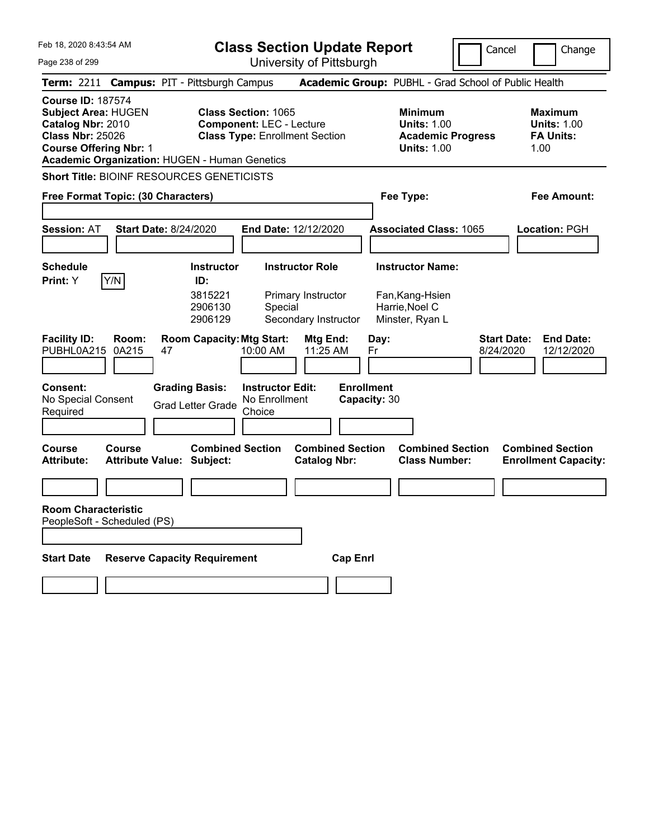|  |  | Feb 18, 2020 8:43:54 AM |  |
|--|--|-------------------------|--|
|--|--|-------------------------|--|

Cancel Change

| Page 238 of 299                                                                                                                         | University of Pittsburgh                                                                                                                                                                                                                                                               |                                                                                                                      |                                                                  |
|-----------------------------------------------------------------------------------------------------------------------------------------|----------------------------------------------------------------------------------------------------------------------------------------------------------------------------------------------------------------------------------------------------------------------------------------|----------------------------------------------------------------------------------------------------------------------|------------------------------------------------------------------|
| <b>Term: 2211</b>                                                                                                                       | <b>Campus: PIT - Pittsburgh Campus</b>                                                                                                                                                                                                                                                 | Academic Group: PUBHL - Grad School of Public Health                                                                 |                                                                  |
| <b>Course ID: 187574</b><br><b>Subject Area: HUGEN</b><br>Catalog Nbr: 2010<br><b>Class Nbr: 25026</b><br><b>Course Offering Nbr: 1</b> | <b>Class Section: 1065</b><br><b>Component: LEC - Lecture</b><br><b>Class Type: Enrollment Section</b><br><b>Academic Organization: HUGEN - Human Genetics</b>                                                                                                                         | <b>Minimum</b><br><b>Units: 1.00</b><br><b>Academic Progress</b><br><b>Units: 1.00</b>                               | <b>Maximum</b><br><b>Units: 1.00</b><br><b>FA Units:</b><br>1.00 |
| <b>Short Title: BIOINF RESOURCES GENETICISTS</b><br>Free Format Topic: (30 Characters)                                                  |                                                                                                                                                                                                                                                                                        | Fee Type:                                                                                                            | Fee Amount:                                                      |
| <b>Session: AT</b>                                                                                                                      | <b>Start Date: 8/24/2020</b><br>End Date: 12/12/2020                                                                                                                                                                                                                                   | <b>Associated Class: 1065</b>                                                                                        | <b>Location: PGH</b>                                             |
| <b>Schedule</b>                                                                                                                         | <b>Instructor Role</b><br><b>Instructor</b>                                                                                                                                                                                                                                            | <b>Instructor Name:</b>                                                                                              |                                                                  |
| Y/N<br>Print: Y<br><b>Facility ID:</b><br>Room:<br>PUBHL0A215<br>0A215<br>Consent:<br>No Special Consent<br>Required                    | ID:<br>3815221<br>Primary Instructor<br>2906130<br>Special<br>2906129<br>Secondary Instructor<br><b>Room Capacity: Mtg Start:</b><br>Mtg End:<br>10:00 AM<br>11:25 AM<br>47<br><b>Instructor Edit:</b><br><b>Grading Basis:</b><br>No Enrollment<br><b>Grad Letter Grade</b><br>Choice | Fan, Kang-Hsien<br>Harrie, Noel C<br>Minster, Ryan L<br>Day:<br>Fr<br>8/24/2020<br><b>Enrollment</b><br>Capacity: 30 | <b>Start Date:</b><br><b>End Date:</b><br>12/12/2020             |
| Course<br>Course<br>Attribute:<br><b>Room Characteristic</b>                                                                            | <b>Combined Section</b><br><b>Combined Section</b><br><b>Attribute Value: Subject:</b><br><b>Catalog Nbr:</b>                                                                                                                                                                          | <b>Combined Section</b><br><b>Class Number:</b>                                                                      | <b>Combined Section</b><br><b>Enrollment Capacity:</b>           |
| PeopleSoft - Scheduled (PS)<br><b>Start Date</b>                                                                                        | <b>Reserve Capacity Requirement</b><br><b>Cap Enrl</b>                                                                                                                                                                                                                                 |                                                                                                                      |                                                                  |
|                                                                                                                                         |                                                                                                                                                                                                                                                                                        |                                                                                                                      |                                                                  |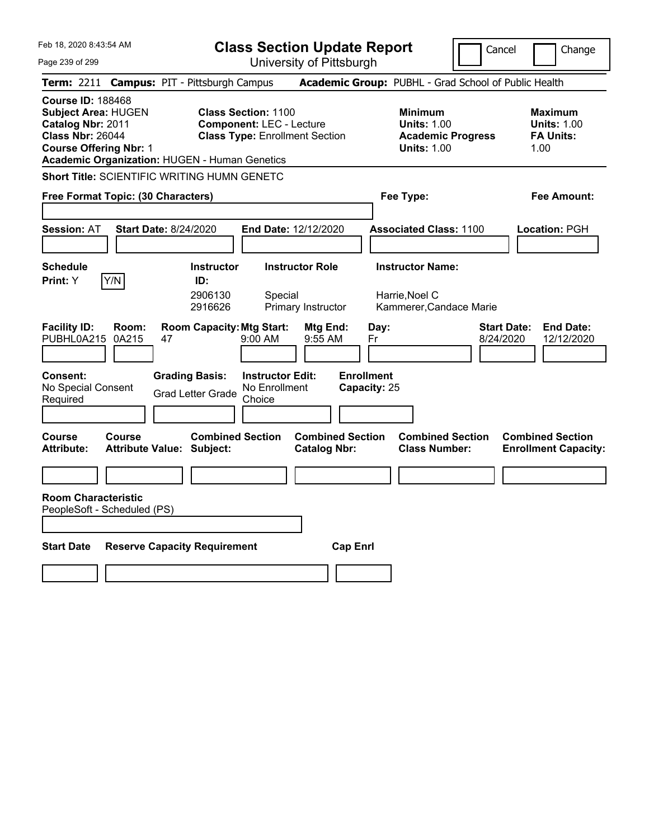**Class Section Update Report**

Cancel **Change** 

| Page 239 of 299                                                                                                                                                                          |                                                                                       |                                                               | University of Pittsburgh                       |                                                 |                                                                                        |                                                                   |
|------------------------------------------------------------------------------------------------------------------------------------------------------------------------------------------|---------------------------------------------------------------------------------------|---------------------------------------------------------------|------------------------------------------------|-------------------------------------------------|----------------------------------------------------------------------------------------|-------------------------------------------------------------------|
| Term: 2211 Campus: PIT - Pittsburgh Campus                                                                                                                                               |                                                                                       |                                                               |                                                |                                                 | Academic Group: PUBHL - Grad School of Public Health                                   |                                                                   |
| <b>Course ID: 188468</b><br><b>Subject Area: HUGEN</b><br>Catalog Nbr: 2011<br><b>Class Nbr: 26044</b><br><b>Course Offering Nbr: 1</b><br>Academic Organization: HUGEN - Human Genetics |                                                                                       | <b>Class Section: 1100</b><br><b>Component: LEC - Lecture</b> | <b>Class Type: Enrollment Section</b>          |                                                 | <b>Minimum</b><br><b>Units: 1.00</b><br><b>Academic Progress</b><br><b>Units: 1.00</b> | <b>Maximum</b><br><b>Units: 1.00</b><br><b>FA Units:</b><br>1.00  |
| Short Title: SCIENTIFIC WRITING HUMN GENETC                                                                                                                                              |                                                                                       |                                                               |                                                |                                                 |                                                                                        |                                                                   |
| Free Format Topic: (30 Characters)                                                                                                                                                       |                                                                                       |                                                               |                                                |                                                 | Fee Type:                                                                              | Fee Amount:                                                       |
| <b>Start Date: 8/24/2020</b><br><b>Session: AT</b>                                                                                                                                       |                                                                                       |                                                               | End Date: 12/12/2020                           |                                                 | <b>Associated Class: 1100</b>                                                          | Location: PGH                                                     |
| <b>Schedule</b><br>Print: Y<br>Y/N                                                                                                                                                       | <b>Instructor</b><br>ID:<br>2906130<br>2916626                                        | Special                                                       | <b>Instructor Role</b><br>Primary Instructor   |                                                 | <b>Instructor Name:</b><br>Harrie, Noel C<br>Kammerer, Candace Marie                   |                                                                   |
| <b>Facility ID:</b><br>Room:<br>PUBHL0A215<br>0A215<br>47<br>Consent:<br>No Special Consent<br>Required                                                                                  | <b>Room Capacity: Mtg Start:</b><br><b>Grading Basis:</b><br><b>Grad Letter Grade</b> | 9:00 AM<br><b>Instructor Edit:</b><br>No Enrollment<br>Choice | Mtg End:<br>9:55 AM                            | Day:<br>Fr<br><b>Enrollment</b><br>Capacity: 25 |                                                                                        | <b>Start Date:</b><br><b>End Date:</b><br>8/24/2020<br>12/12/2020 |
|                                                                                                                                                                                          |                                                                                       |                                                               |                                                |                                                 |                                                                                        |                                                                   |
| Course<br>Course<br><b>Attribute:</b><br><b>Attribute Value: Subject:</b>                                                                                                                | <b>Combined Section</b>                                                               |                                                               | <b>Combined Section</b><br><b>Catalog Nbr:</b> |                                                 | <b>Combined Section</b><br><b>Class Number:</b>                                        | <b>Combined Section</b><br><b>Enrollment Capacity:</b>            |
| <b>Room Characteristic</b><br>PeopleSoft - Scheduled (PS)                                                                                                                                |                                                                                       |                                                               |                                                |                                                 |                                                                                        |                                                                   |
| <b>Start Date</b>                                                                                                                                                                        | <b>Reserve Capacity Requirement</b>                                                   |                                                               | <b>Cap Enrl</b>                                |                                                 |                                                                                        |                                                                   |
|                                                                                                                                                                                          |                                                                                       |                                                               |                                                |                                                 |                                                                                        |                                                                   |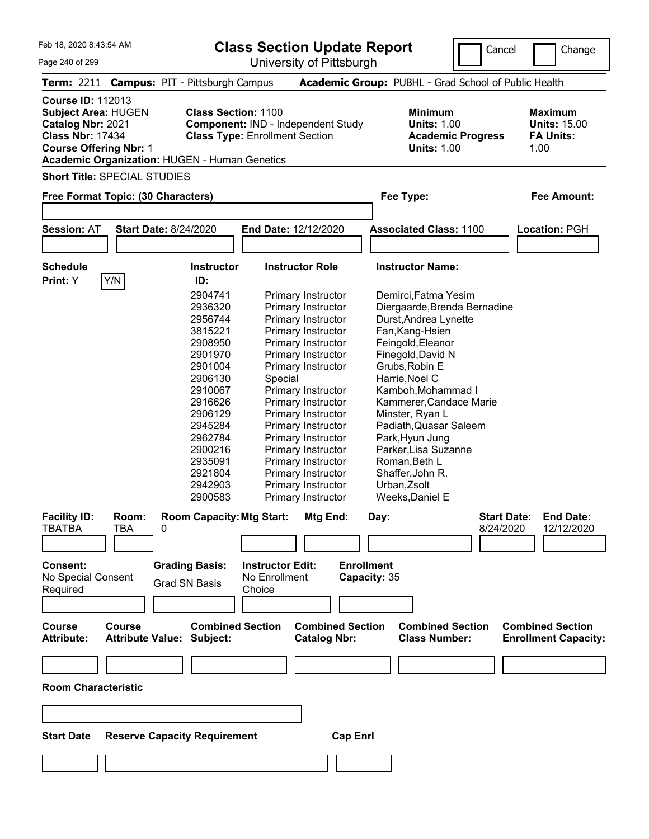| Feb 18, 2020 8:43:54 AM<br>Page 240 of 299                                                                                                                                                      |                                                   |                                                                                                                                                                                                           |                                       | <b>Class Section Update Report</b><br>University of Pittsburgh                                                                                                                                                                                                                                                                                                                            |                                                                                                                                                                                                                                                                                                                                                                 | Cancel                          | Change                                                     |
|-------------------------------------------------------------------------------------------------------------------------------------------------------------------------------------------------|---------------------------------------------------|-----------------------------------------------------------------------------------------------------------------------------------------------------------------------------------------------------------|---------------------------------------|-------------------------------------------------------------------------------------------------------------------------------------------------------------------------------------------------------------------------------------------------------------------------------------------------------------------------------------------------------------------------------------------|-----------------------------------------------------------------------------------------------------------------------------------------------------------------------------------------------------------------------------------------------------------------------------------------------------------------------------------------------------------------|---------------------------------|------------------------------------------------------------|
| <b>Term: 2211</b>                                                                                                                                                                               | <b>Campus: PIT - Pittsburgh Campus</b>            |                                                                                                                                                                                                           |                                       |                                                                                                                                                                                                                                                                                                                                                                                           | Academic Group: PUBHL - Grad School of Public Health                                                                                                                                                                                                                                                                                                            |                                 |                                                            |
| <b>Course ID: 112013</b><br><b>Subject Area: HUGEN</b><br>Catalog Nbr: 2021<br><b>Class Nbr: 17434</b><br><b>Course Offering Nbr: 1</b><br><b>Academic Organization: HUGEN - Human Genetics</b> |                                                   | <b>Class Section: 1100</b>                                                                                                                                                                                | <b>Class Type: Enrollment Section</b> | Component: IND - Independent Study                                                                                                                                                                                                                                                                                                                                                        | <b>Minimum</b><br><b>Units: 1.00</b><br><b>Units: 1.00</b>                                                                                                                                                                                                                                                                                                      | <b>Academic Progress</b>        | Maximum<br><b>Units: 15.00</b><br><b>FA Units:</b><br>1.00 |
| <b>Short Title: SPECIAL STUDIES</b>                                                                                                                                                             |                                                   |                                                                                                                                                                                                           |                                       |                                                                                                                                                                                                                                                                                                                                                                                           |                                                                                                                                                                                                                                                                                                                                                                 |                                 |                                                            |
| Free Format Topic: (30 Characters)                                                                                                                                                              |                                                   |                                                                                                                                                                                                           |                                       |                                                                                                                                                                                                                                                                                                                                                                                           | Fee Type:                                                                                                                                                                                                                                                                                                                                                       |                                 | <b>Fee Amount:</b>                                         |
|                                                                                                                                                                                                 |                                                   |                                                                                                                                                                                                           |                                       |                                                                                                                                                                                                                                                                                                                                                                                           |                                                                                                                                                                                                                                                                                                                                                                 |                                 |                                                            |
| <b>Session: AT</b>                                                                                                                                                                              | <b>Start Date: 8/24/2020</b>                      |                                                                                                                                                                                                           | End Date: 12/12/2020                  |                                                                                                                                                                                                                                                                                                                                                                                           | <b>Associated Class: 1100</b>                                                                                                                                                                                                                                                                                                                                   |                                 | Location: PGH                                              |
| <b>Schedule</b>                                                                                                                                                                                 |                                                   | <b>Instructor</b>                                                                                                                                                                                         | <b>Instructor Role</b>                |                                                                                                                                                                                                                                                                                                                                                                                           | <b>Instructor Name:</b>                                                                                                                                                                                                                                                                                                                                         |                                 |                                                            |
| Y/N<br>Print: Y                                                                                                                                                                                 |                                                   | ID:<br>2904741<br>2936320<br>2956744<br>3815221<br>2908950<br>2901970<br>2901004<br>2906130<br>2910067<br>2916626<br>2906129<br>2945284<br>2962784<br>2900216<br>2935091<br>2921804<br>2942903<br>2900583 | Special                               | <b>Primary Instructor</b><br>Primary Instructor<br>Primary Instructor<br>Primary Instructor<br>Primary Instructor<br>Primary Instructor<br>Primary Instructor<br>Primary Instructor<br>Primary Instructor<br>Primary Instructor<br>Primary Instructor<br>Primary Instructor<br>Primary Instructor<br>Primary Instructor<br>Primary Instructor<br>Primary Instructor<br>Primary Instructor | Demirci, Fatma Yesim<br>Durst, Andrea Lynette<br>Fan, Kang-Hsien<br>Feingold, Eleanor<br>Finegold, David N<br>Grubs, Robin E<br>Harrie, Noel C<br>Kamboh, Mohammad I<br>Kammerer, Candace Marie<br>Minster, Ryan L<br>Padiath, Quasar Saleem<br>Park, Hyun Jung<br>Parker, Lisa Suzanne<br>Roman, Beth L<br>Shaffer, John R.<br>Urban, Zsolt<br>Weeks, Daniel E | Diergaarde, Brenda Bernadine    |                                                            |
| <b>Facility ID:</b><br><b>TBATBA</b><br>Consent:                                                                                                                                                | Room:<br><b>TBA</b><br>0<br><b>Grading Basis:</b> | <b>Room Capacity: Mtg Start:</b>                                                                                                                                                                          | <b>Instructor Edit:</b>               | Mtg End:                                                                                                                                                                                                                                                                                                                                                                                  | Day:<br><b>Enrollment</b>                                                                                                                                                                                                                                                                                                                                       | <b>Start Date:</b><br>8/24/2020 | <b>End Date:</b><br>12/12/2020                             |
| No Special Consent<br>Required                                                                                                                                                                  | <b>Grad SN Basis</b>                              |                                                                                                                                                                                                           | No Enrollment<br>Choice               |                                                                                                                                                                                                                                                                                                                                                                                           | Capacity: 35                                                                                                                                                                                                                                                                                                                                                    |                                 |                                                            |
| <b>Course</b><br><b>Attribute:</b><br><b>Room Characteristic</b>                                                                                                                                | <b>Course</b><br><b>Attribute Value: Subject:</b> | <b>Combined Section</b>                                                                                                                                                                                   |                                       | <b>Combined Section</b><br><b>Catalog Nbr:</b>                                                                                                                                                                                                                                                                                                                                            | <b>Class Number:</b>                                                                                                                                                                                                                                                                                                                                            | <b>Combined Section</b>         | <b>Combined Section</b><br><b>Enrollment Capacity:</b>     |

| <b>Start Date Reserve Capacity Requirement</b> |  |
|------------------------------------------------|--|
|                                                |  |

 $\overline{\phantom{a}}$ 

**Cap Enrl**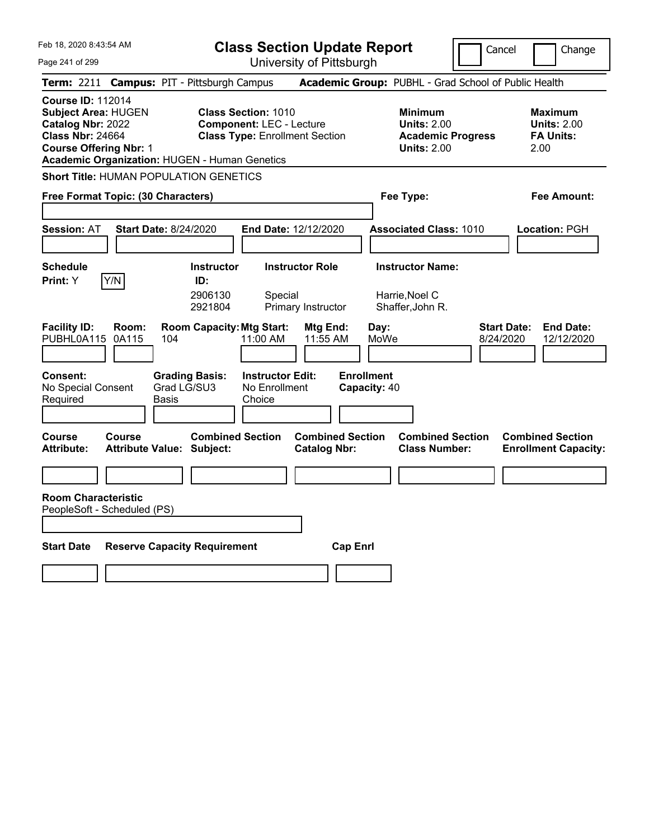|  | Feb 18, 2020 8:43:54 AM |  |
|--|-------------------------|--|
|  |                         |  |

Cancel Change

Page 241 of 299

| Page 241 of 299                                                                                                                  |                |                                                                                 |                                                               | University of Pittsburgh                       |                                                   |                                                                                        |                                 |                                                          |
|----------------------------------------------------------------------------------------------------------------------------------|----------------|---------------------------------------------------------------------------------|---------------------------------------------------------------|------------------------------------------------|---------------------------------------------------|----------------------------------------------------------------------------------------|---------------------------------|----------------------------------------------------------|
|                                                                                                                                  |                | Term: 2211 Campus: PIT - Pittsburgh Campus                                      |                                                               |                                                |                                                   | Academic Group: PUBHL - Grad School of Public Health                                   |                                 |                                                          |
| <b>Course ID: 112014</b><br>Subject Area: HUGEN<br>Catalog Nbr: 2022<br><b>Class Nbr: 24664</b><br><b>Course Offering Nbr: 1</b> |                | <b>Academic Organization: HUGEN - Human Genetics</b>                            | <b>Class Section: 1010</b><br><b>Component: LEC - Lecture</b> | <b>Class Type: Enrollment Section</b>          |                                                   | <b>Minimum</b><br><b>Units: 2.00</b><br><b>Academic Progress</b><br><b>Units: 2.00</b> | 2.00                            | <b>Maximum</b><br><b>Units: 2.00</b><br><b>FA Units:</b> |
|                                                                                                                                  |                | Short Title: HUMAN POPULATION GENETICS                                          |                                                               |                                                |                                                   |                                                                                        |                                 |                                                          |
| Free Format Topic: (30 Characters)                                                                                               |                |                                                                                 |                                                               |                                                | Fee Type:                                         |                                                                                        |                                 | Fee Amount:                                              |
| <b>Session: AT</b>                                                                                                               |                | <b>Start Date: 8/24/2020</b>                                                    |                                                               | End Date: 12/12/2020                           |                                                   | <b>Associated Class: 1010</b>                                                          |                                 | Location: PGH                                            |
| <b>Schedule</b><br>Print: Y                                                                                                      | Y/N            | <b>Instructor</b><br>ID:<br>2906130<br>2921804                                  | Special                                                       | <b>Instructor Role</b><br>Primary Instructor   |                                                   | <b>Instructor Name:</b><br>Harrie, Noel C<br>Shaffer, John R.                          |                                 |                                                          |
| <b>Facility ID:</b><br>PUBHL0A115<br>Consent:<br>No Special Consent                                                              | Room:<br>0A115 | <b>Room Capacity: Mtg Start:</b><br>104<br><b>Grading Basis:</b><br>Grad LG/SU3 | 11:00 AM<br><b>Instructor Edit:</b><br>No Enrollment          | Mtg End:<br>11:55 AM                           | Day:<br>MoWe<br><b>Enrollment</b><br>Capacity: 40 |                                                                                        | <b>Start Date:</b><br>8/24/2020 | <b>End Date:</b><br>12/12/2020                           |
| Required                                                                                                                         |                | Basis                                                                           | Choice                                                        |                                                |                                                   |                                                                                        |                                 |                                                          |
| Course<br><b>Attribute:</b><br><b>Room Characteristic</b>                                                                        | Course         | <b>Combined Section</b><br><b>Attribute Value: Subject:</b>                     |                                                               | <b>Combined Section</b><br><b>Catalog Nbr:</b> |                                                   | <b>Combined Section</b><br><b>Class Number:</b>                                        |                                 | <b>Combined Section</b><br><b>Enrollment Capacity:</b>   |
| PeopleSoft - Scheduled (PS)                                                                                                      |                |                                                                                 |                                                               |                                                |                                                   |                                                                                        |                                 |                                                          |
| <b>Start Date</b>                                                                                                                |                | <b>Reserve Capacity Requirement</b>                                             |                                                               | <b>Cap Enrl</b>                                |                                                   |                                                                                        |                                 |                                                          |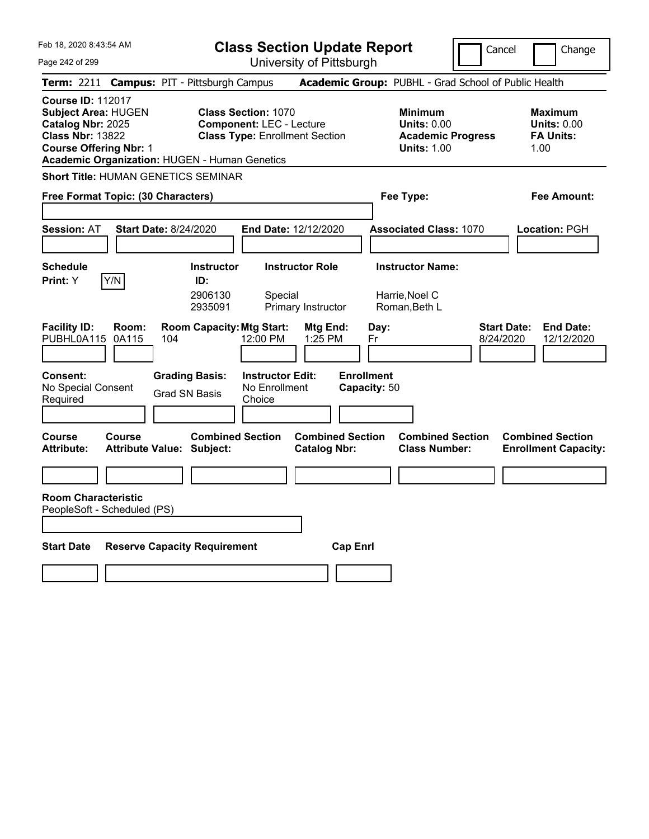| Feb 18, 2020 8:43:54 AM<br>Page 242 of 299                                                                                                                                                      | <b>Class Section Update Report</b><br>University of Pittsburgh                                         | Cancel                                                                                 | Change                                                           |
|-------------------------------------------------------------------------------------------------------------------------------------------------------------------------------------------------|--------------------------------------------------------------------------------------------------------|----------------------------------------------------------------------------------------|------------------------------------------------------------------|
| Term: 2211 Campus: PIT - Pittsburgh Campus                                                                                                                                                      |                                                                                                        | Academic Group: PUBHL - Grad School of Public Health                                   |                                                                  |
| <b>Course ID: 112017</b><br><b>Subject Area: HUGEN</b><br>Catalog Nbr: 2025<br><b>Class Nbr: 13822</b><br><b>Course Offering Nbr: 1</b><br><b>Academic Organization: HUGEN - Human Genetics</b> | <b>Class Section: 1070</b><br><b>Component: LEC - Lecture</b><br><b>Class Type: Enrollment Section</b> | <b>Minimum</b><br><b>Units: 0.00</b><br><b>Academic Progress</b><br><b>Units: 1.00</b> | <b>Maximum</b><br><b>Units: 0.00</b><br><b>FA Units:</b><br>1.00 |
| <b>Short Title: HUMAN GENETICS SEMINAR</b>                                                                                                                                                      |                                                                                                        |                                                                                        |                                                                  |
| Free Format Topic: (30 Characters)                                                                                                                                                              |                                                                                                        | Fee Type:                                                                              | Fee Amount:                                                      |
| <b>Session: AT</b><br><b>Start Date: 8/24/2020</b>                                                                                                                                              | <b>End Date: 12/12/2020</b>                                                                            | <b>Associated Class: 1070</b>                                                          | Location: PGH                                                    |
| <b>Schedule</b><br><b>Instructor</b><br>Y/N<br>Print: Y<br>ID:<br>2906130<br>2935091                                                                                                            | <b>Instructor Role</b><br>Special<br>Primary Instructor                                                | <b>Instructor Name:</b><br>Harrie, Noel C<br>Roman, Beth L                             |                                                                  |
| <b>Room Capacity: Mtg Start:</b><br><b>Facility ID:</b><br>Room:<br>PUBHL0A115<br>0A115<br>104                                                                                                  | Mtg End:<br>12:00 PM<br>1:25 PM                                                                        | Day:<br>8/24/2020<br>Fr                                                                | <b>Start Date:</b><br><b>End Date:</b><br>12/12/2020             |
| Consent:<br><b>Grading Basis:</b><br>No Special Consent<br><b>Grad SN Basis</b><br>Required                                                                                                     | <b>Instructor Edit:</b><br>No Enrollment<br>Choice                                                     | <b>Enrollment</b><br>Capacity: 50                                                      |                                                                  |
| <b>Course</b><br><b>Course</b><br><b>Attribute:</b><br><b>Attribute Value: Subject:</b>                                                                                                         | <b>Combined Section</b><br><b>Combined Section</b><br><b>Catalog Nbr:</b>                              | <b>Combined Section</b><br><b>Class Number:</b>                                        | <b>Combined Section</b><br><b>Enrollment Capacity:</b>           |
|                                                                                                                                                                                                 |                                                                                                        |                                                                                        |                                                                  |
| <b>Room Characteristic</b><br>PeopleSoft - Scheduled (PS)                                                                                                                                       |                                                                                                        |                                                                                        |                                                                  |
| <b>Reserve Capacity Requirement</b><br><b>Start Date</b>                                                                                                                                        | <b>Cap Enrl</b>                                                                                        |                                                                                        |                                                                  |
|                                                                                                                                                                                                 |                                                                                                        |                                                                                        |                                                                  |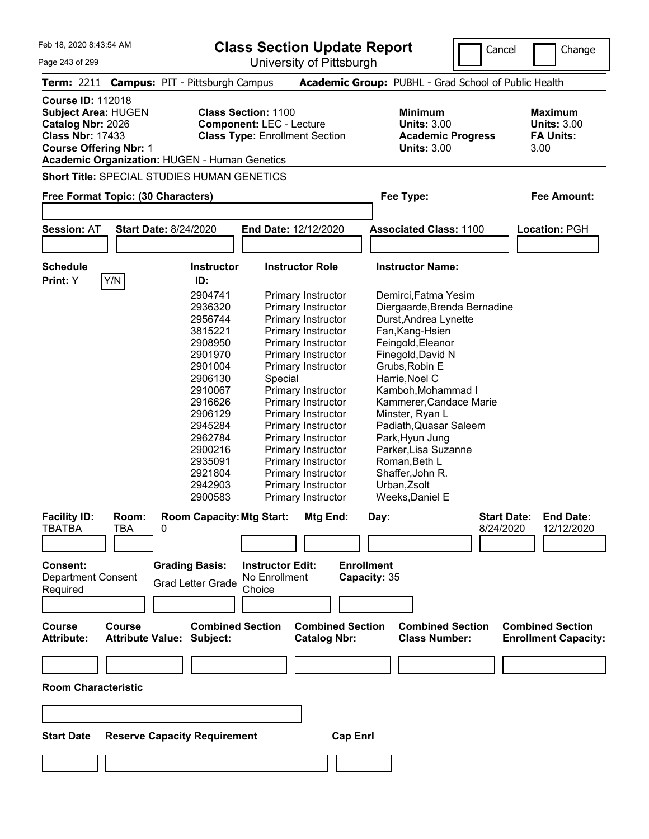| Feb 18, 2020 8:43:54 AM<br>Page 243 of 299                                                                                              |                                          |                                                                                                                                                                                                    |                                                               | University of Pittsburgh                                                                                                                                                                                                                                                                                                                                                           | <b>Class Section Update Report</b>                                                                                                                                                                                                                                                                                                                              | Cancel                          | Change                                                           |
|-----------------------------------------------------------------------------------------------------------------------------------------|------------------------------------------|----------------------------------------------------------------------------------------------------------------------------------------------------------------------------------------------------|---------------------------------------------------------------|------------------------------------------------------------------------------------------------------------------------------------------------------------------------------------------------------------------------------------------------------------------------------------------------------------------------------------------------------------------------------------|-----------------------------------------------------------------------------------------------------------------------------------------------------------------------------------------------------------------------------------------------------------------------------------------------------------------------------------------------------------------|---------------------------------|------------------------------------------------------------------|
|                                                                                                                                         |                                          | Term: 2211 Campus: PIT - Pittsburgh Campus                                                                                                                                                         |                                                               |                                                                                                                                                                                                                                                                                                                                                                                    | Academic Group: PUBHL - Grad School of Public Health                                                                                                                                                                                                                                                                                                            |                                 |                                                                  |
| <b>Course ID: 112018</b><br><b>Subject Area: HUGEN</b><br>Catalog Nbr: 2026<br><b>Class Nbr: 17433</b><br><b>Course Offering Nbr: 1</b> |                                          | <b>Academic Organization: HUGEN - Human Genetics</b>                                                                                                                                               | <b>Class Section: 1100</b><br><b>Component: LEC - Lecture</b> | <b>Class Type: Enrollment Section</b>                                                                                                                                                                                                                                                                                                                                              | <b>Minimum</b><br><b>Units: 3.00</b><br><b>Units: 3.00</b>                                                                                                                                                                                                                                                                                                      | <b>Academic Progress</b>        | <b>Maximum</b><br><b>Units: 3.00</b><br><b>FA Units:</b><br>3.00 |
|                                                                                                                                         |                                          | Short Title: SPECIAL STUDIES HUMAN GENETICS                                                                                                                                                        |                                                               |                                                                                                                                                                                                                                                                                                                                                                                    |                                                                                                                                                                                                                                                                                                                                                                 |                                 |                                                                  |
| Free Format Topic: (30 Characters)                                                                                                      |                                          |                                                                                                                                                                                                    |                                                               |                                                                                                                                                                                                                                                                                                                                                                                    | Fee Type:                                                                                                                                                                                                                                                                                                                                                       |                                 | <b>Fee Amount:</b>                                               |
| <b>Session: AT</b>                                                                                                                      |                                          | <b>Start Date: 8/24/2020</b>                                                                                                                                                                       |                                                               | End Date: 12/12/2020                                                                                                                                                                                                                                                                                                                                                               | <b>Associated Class: 1100</b>                                                                                                                                                                                                                                                                                                                                   |                                 | Location: PGH                                                    |
|                                                                                                                                         |                                          |                                                                                                                                                                                                    |                                                               |                                                                                                                                                                                                                                                                                                                                                                                    |                                                                                                                                                                                                                                                                                                                                                                 |                                 |                                                                  |
| <b>Schedule</b><br>Print: Y                                                                                                             | Y/N                                      | <b>Instructor</b><br>ID:                                                                                                                                                                           |                                                               | <b>Instructor Role</b>                                                                                                                                                                                                                                                                                                                                                             | <b>Instructor Name:</b>                                                                                                                                                                                                                                                                                                                                         |                                 |                                                                  |
|                                                                                                                                         |                                          | 2904741<br>2936320<br>2956744<br>3815221<br>2908950<br>2901970<br>2901004<br>2906130<br>2910067<br>2916626<br>2906129<br>2945284<br>2962784<br>2900216<br>2935091<br>2921804<br>2942903<br>2900583 | Special                                                       | Primary Instructor<br>Primary Instructor<br>Primary Instructor<br>Primary Instructor<br>Primary Instructor<br>Primary Instructor<br>Primary Instructor<br>Primary Instructor<br>Primary Instructor<br>Primary Instructor<br>Primary Instructor<br>Primary Instructor<br>Primary Instructor<br>Primary Instructor<br>Primary Instructor<br>Primary Instructor<br>Primary Instructor | Demirci, Fatma Yesim<br>Durst, Andrea Lynette<br>Fan, Kang-Hsien<br>Feingold, Eleanor<br>Finegold, David N<br>Grubs, Robin E<br>Harrie, Noel C<br>Kamboh, Mohammad I<br>Kammerer, Candace Marie<br>Minster, Ryan L<br>Padiath, Quasar Saleem<br>Park, Hyun Jung<br>Parker, Lisa Suzanne<br>Roman, Beth L<br>Shaffer, John R.<br>Urban, Zsolt<br>Weeks, Daniel E | Diergaarde, Brenda Bernadine    |                                                                  |
| <b>Facility ID:</b><br><b>TBATBA</b>                                                                                                    | Room:<br>TBA                             | <b>Room Capacity: Mtg Start:</b><br>0                                                                                                                                                              |                                                               | Mtg End:                                                                                                                                                                                                                                                                                                                                                                           | Day:                                                                                                                                                                                                                                                                                                                                                            | <b>Start Date:</b><br>8/24/2020 | <b>End Date:</b><br>12/12/2020                                   |
|                                                                                                                                         |                                          |                                                                                                                                                                                                    |                                                               |                                                                                                                                                                                                                                                                                                                                                                                    |                                                                                                                                                                                                                                                                                                                                                                 |                                 |                                                                  |
| Consent:<br><b>Department Consent</b><br>Required<br><b>Course</b><br><b>Attribute:</b>                                                 | <b>Course</b><br><b>Attribute Value:</b> | <b>Grading Basis:</b><br><b>Grad Letter Grade</b><br><b>Combined Section</b><br>Subject:                                                                                                           | <b>Instructor Edit:</b><br>No Enrollment<br>Choice            | <b>Combined Section</b><br><b>Catalog Nbr:</b>                                                                                                                                                                                                                                                                                                                                     | <b>Enrollment</b><br>Capacity: 35<br><b>Class Number:</b>                                                                                                                                                                                                                                                                                                       | <b>Combined Section</b>         | <b>Combined Section</b><br><b>Enrollment Capacity:</b>           |
|                                                                                                                                         |                                          |                                                                                                                                                                                                    |                                                               |                                                                                                                                                                                                                                                                                                                                                                                    |                                                                                                                                                                                                                                                                                                                                                                 |                                 |                                                                  |
| <b>Room Characteristic</b>                                                                                                              |                                          |                                                                                                                                                                                                    |                                                               |                                                                                                                                                                                                                                                                                                                                                                                    |                                                                                                                                                                                                                                                                                                                                                                 |                                 |                                                                  |
|                                                                                                                                         |                                          |                                                                                                                                                                                                    |                                                               |                                                                                                                                                                                                                                                                                                                                                                                    |                                                                                                                                                                                                                                                                                                                                                                 |                                 |                                                                  |
| <b>Start Date</b>                                                                                                                       |                                          | <b>Reserve Capacity Requirement</b>                                                                                                                                                                |                                                               |                                                                                                                                                                                                                                                                                                                                                                                    | <b>Cap Enrl</b>                                                                                                                                                                                                                                                                                                                                                 |                                 |                                                                  |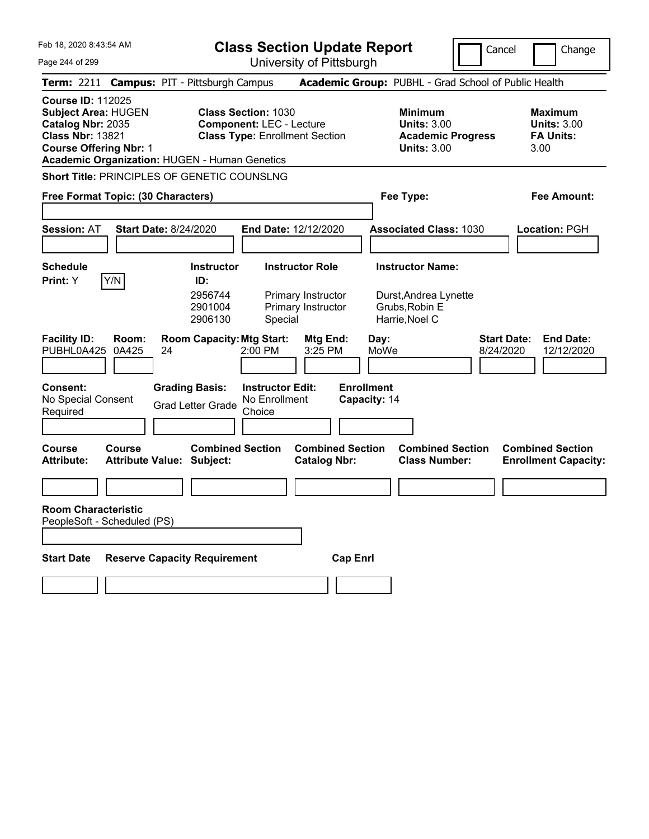|  | Feb 18, 2020 8:43:54 AM |  |
|--|-------------------------|--|
|  |                         |  |

Page 244 of 299

**Class Section Update Report**

University of Pittsburgh

Cancel | Change

**Term:** 2211 **Campus:** PIT - Pittsburgh Campus **Academic Group:** PUBHL - Grad School of Public Health **Course ID:** 112025

**Subject Area: HUGEN Class Section: 1030 Minimum <b>Maximum Maximum <b>Catalog Nbr:** 2035 **Component:** LEC - Lecture **Component:** LEC - Units: 3.00 **Catalog Nbr: 2035 Component: LEC - Lecture Class Nbr: 13821 <b>Class Type: Enrollment Sec Class Type: Enrollment Section <b>Academic Progress FA Units: Course Offering Nbr: 1 Units: 3.00** 3.00

| Minimum                  |  |
|--------------------------|--|
| <b>Units: 3.00</b>       |  |
| <b>Academic Progress</b> |  |
| IInite: 3.00             |  |

**Academic Organization:** HUGEN - Human Genetics

**Short Title:** PRINCIPLES OF GENETIC COUNSLNG

| <b>Free Format Topic: (30 Characters)</b> | Fee Type: | Fee Amount: |
|-------------------------------------------|-----------|-------------|
|                                           |           |             |

| <b>Session: AT</b>                                        | <b>Start Date: 8/24/2020</b>                                | <b>End Date: 12/12/2020</b>                        |                                                |                                   | <b>Associated Class: 1030</b>                    |                                 | <b>Location: PGH</b>                                   |
|-----------------------------------------------------------|-------------------------------------------------------------|----------------------------------------------------|------------------------------------------------|-----------------------------------|--------------------------------------------------|---------------------------------|--------------------------------------------------------|
| <b>Schedule</b><br>Y/N<br>Print: Y                        | <b>Instructor</b><br>ID:<br>2956744                         |                                                    | <b>Instructor Role</b><br>Primary Instructor   |                                   | <b>Instructor Name:</b><br>Durst, Andrea Lynette |                                 |                                                        |
|                                                           | 2901004<br>2906130                                          | Special                                            | Primary Instructor                             |                                   | Grubs, Robin E<br>Harrie, Noel C                 |                                 |                                                        |
| <b>Facility ID:</b><br>Room:<br>0A425<br>PUBHL0A425       | <b>Room Capacity: Mtg Start:</b><br>24                      | $2:00$ PM                                          | Mtg End:<br>3:25 PM                            | Day:<br>MoWe                      |                                                  | <b>Start Date:</b><br>8/24/2020 | <b>End Date:</b><br>12/12/2020                         |
| Consent:<br>No Special Consent<br>Required                | <b>Grading Basis:</b><br><b>Grad Letter Grade</b>           | <b>Instructor Edit:</b><br>No Enrollment<br>Choice |                                                | <b>Enrollment</b><br>Capacity: 14 |                                                  |                                 |                                                        |
| Course<br>Course<br><b>Attribute:</b>                     | <b>Combined Section</b><br><b>Attribute Value: Subject:</b> |                                                    | <b>Combined Section</b><br><b>Catalog Nbr:</b> |                                   | <b>Combined Section</b><br><b>Class Number:</b>  |                                 | <b>Combined Section</b><br><b>Enrollment Capacity:</b> |
| <b>Room Characteristic</b><br>PeopleSoft - Scheduled (PS) |                                                             |                                                    |                                                |                                   |                                                  |                                 |                                                        |
| <b>Start Date</b>                                         | <b>Reserve Capacity Requirement</b>                         |                                                    | <b>Cap Enrl</b>                                |                                   |                                                  |                                 |                                                        |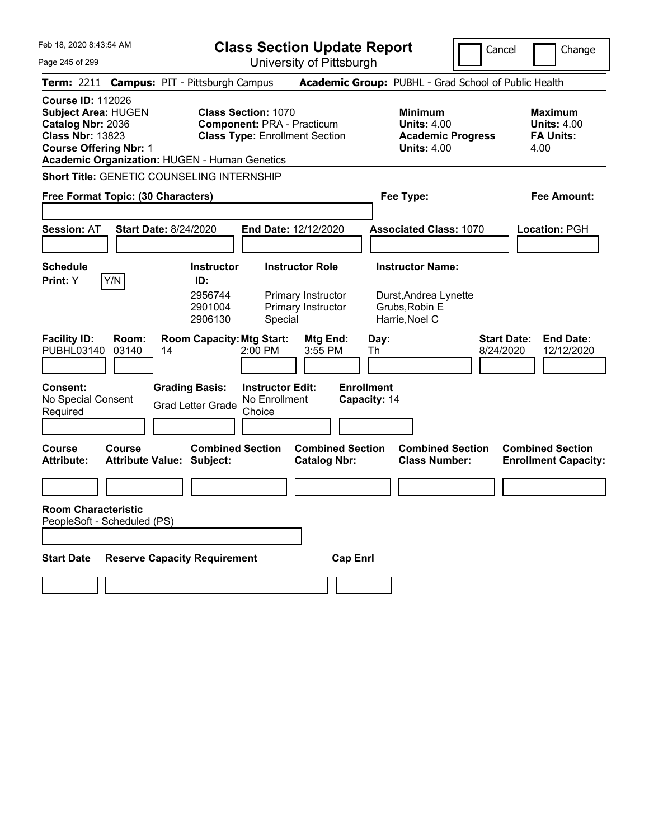|  | Feb 18, 2020 8:43:54 AM |  |
|--|-------------------------|--|
|  |                         |  |

Cancel Change

Page 245 of 299

| Page 245 of 299                                                                                                                         |                                                   |                                                                          |                                                                 | University of Pittsburgh                                        |                                   |                                                                                        |                                                                   |
|-----------------------------------------------------------------------------------------------------------------------------------------|---------------------------------------------------|--------------------------------------------------------------------------|-----------------------------------------------------------------|-----------------------------------------------------------------|-----------------------------------|----------------------------------------------------------------------------------------|-------------------------------------------------------------------|
|                                                                                                                                         | Term: 2211 Campus: PIT - Pittsburgh Campus        |                                                                          |                                                                 |                                                                 |                                   | Academic Group: PUBHL - Grad School of Public Health                                   |                                                                   |
| <b>Course ID: 112026</b><br><b>Subject Area: HUGEN</b><br>Catalog Nbr: 2036<br><b>Class Nbr: 13823</b><br><b>Course Offering Nbr: 1</b> | Academic Organization: HUGEN - Human Genetics     |                                                                          | <b>Class Section: 1070</b><br><b>Component: PRA - Practicum</b> | <b>Class Type: Enrollment Section</b>                           |                                   | <b>Minimum</b><br><b>Units: 4.00</b><br><b>Academic Progress</b><br><b>Units: 4.00</b> | <b>Maximum</b><br><b>Units: 4.00</b><br><b>FA Units:</b><br>4.00  |
|                                                                                                                                         | <b>Short Title: GENETIC COUNSELING INTERNSHIP</b> |                                                                          |                                                                 |                                                                 |                                   |                                                                                        |                                                                   |
|                                                                                                                                         | Free Format Topic: (30 Characters)                |                                                                          |                                                                 |                                                                 |                                   | Fee Type:                                                                              | <b>Fee Amount:</b>                                                |
| <b>Session: AT</b>                                                                                                                      | <b>Start Date: 8/24/2020</b>                      |                                                                          |                                                                 | End Date: 12/12/2020                                            |                                   | <b>Associated Class: 1070</b>                                                          | Location: PGH                                                     |
| <b>Schedule</b>                                                                                                                         |                                                   | <b>Instructor</b>                                                        |                                                                 | <b>Instructor Role</b>                                          |                                   | <b>Instructor Name:</b>                                                                |                                                                   |
| Print: Y<br><b>Facility ID:</b><br>PUBHL03140                                                                                           | Y/N<br>Room:<br>03140<br>14                       | ID:<br>2956744<br>2901004<br>2906130<br><b>Room Capacity: Mtg Start:</b> | Special<br>2:00 PM                                              | Primary Instructor<br>Primary Instructor<br>Mtg End:<br>3:55 PM | Day:<br>Th                        | Durst, Andrea Lynette<br>Grubs, Robin E<br>Harrie, Noel C                              | <b>Start Date:</b><br><b>End Date:</b><br>8/24/2020<br>12/12/2020 |
| <b>Consent:</b><br>No Special Consent<br>Required                                                                                       |                                                   | <b>Grading Basis:</b><br><b>Grad Letter Grade</b>                        | <b>Instructor Edit:</b><br>No Enrollment<br>Choice              |                                                                 | <b>Enrollment</b><br>Capacity: 14 |                                                                                        |                                                                   |
| Course<br><b>Attribute:</b>                                                                                                             | Course<br><b>Attribute Value: Subject:</b>        | <b>Combined Section</b>                                                  |                                                                 | <b>Combined Section</b><br><b>Catalog Nbr:</b>                  |                                   | <b>Combined Section</b><br><b>Class Number:</b>                                        | <b>Combined Section</b><br><b>Enrollment Capacity:</b>            |
|                                                                                                                                         |                                                   |                                                                          |                                                                 |                                                                 |                                   |                                                                                        |                                                                   |
| <b>Room Characteristic</b>                                                                                                              | PeopleSoft - Scheduled (PS)                       |                                                                          |                                                                 |                                                                 |                                   |                                                                                        |                                                                   |
|                                                                                                                                         |                                                   |                                                                          |                                                                 |                                                                 |                                   |                                                                                        |                                                                   |
| <b>Start Date</b>                                                                                                                       | <b>Reserve Capacity Requirement</b>               |                                                                          |                                                                 | <b>Cap Enrl</b>                                                 |                                   |                                                                                        |                                                                   |
|                                                                                                                                         |                                                   |                                                                          |                                                                 |                                                                 |                                   |                                                                                        |                                                                   |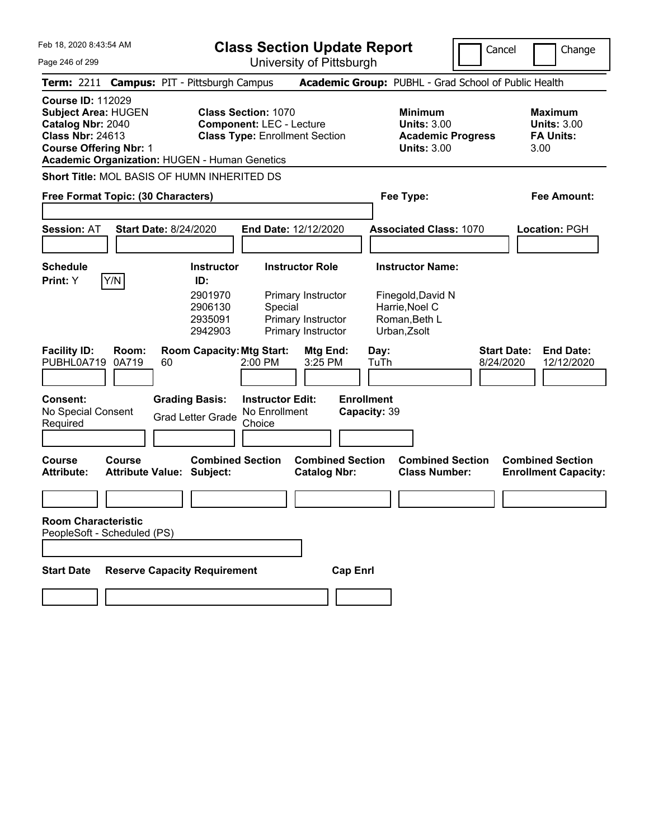**Class Section Update Report**

Cancel Change

| Page 246 of 299                                                                                                                         | University of Pittsburgh                                                                                                                                                    |                                                                                                 |                                                                  |
|-----------------------------------------------------------------------------------------------------------------------------------------|-----------------------------------------------------------------------------------------------------------------------------------------------------------------------------|-------------------------------------------------------------------------------------------------|------------------------------------------------------------------|
|                                                                                                                                         | Term: 2211 Campus: PIT - Pittsburgh Campus                                                                                                                                  | Academic Group: PUBHL - Grad School of Public Health                                            |                                                                  |
| <b>Course ID: 112029</b><br><b>Subject Area: HUGEN</b><br>Catalog Nbr: 2040<br><b>Class Nbr: 24613</b><br><b>Course Offering Nbr: 1</b> | <b>Class Section: 1070</b><br><b>Component: LEC - Lecture</b><br><b>Class Type: Enrollment Section</b><br><b>Academic Organization: HUGEN - Human Genetics</b>              | <b>Minimum</b><br><b>Units: 3.00</b><br><b>Academic Progress</b><br><b>Units: 3.00</b>          | <b>Maximum</b><br><b>Units: 3.00</b><br><b>FA Units:</b><br>3.00 |
|                                                                                                                                         | <b>Short Title: MOL BASIS OF HUMN INHERITED DS</b>                                                                                                                          |                                                                                                 |                                                                  |
| Free Format Topic: (30 Characters)                                                                                                      |                                                                                                                                                                             | Fee Type:                                                                                       | Fee Amount:                                                      |
| <b>Session: AT</b>                                                                                                                      | <b>Start Date: 8/24/2020</b><br>End Date: 12/12/2020                                                                                                                        | <b>Associated Class: 1070</b>                                                                   | Location: PGH                                                    |
| <b>Schedule</b><br>Y/N<br>Print: Y                                                                                                      | <b>Instructor Role</b><br><b>Instructor</b><br>ID:<br>2901970<br>Primary Instructor<br>2906130<br>Special<br>Primary Instructor<br>2935091<br>2942903<br>Primary Instructor | <b>Instructor Name:</b><br>Finegold, David N<br>Harrie, Noel C<br>Roman, Beth L<br>Urban, Zsolt |                                                                  |
| <b>Facility ID:</b><br>Room:<br>PUBHL0A719<br>0A719                                                                                     | <b>Room Capacity: Mtg Start:</b><br>Mtg End:<br>3:25 PM<br>60<br>2:00 PM                                                                                                    | Day:<br>TuTh<br>8/24/2020                                                                       | <b>Start Date:</b><br><b>End Date:</b><br>12/12/2020             |
| <b>Consent:</b><br>No Special Consent<br>Required                                                                                       | <b>Grading Basis:</b><br><b>Instructor Edit:</b><br>No Enrollment<br><b>Grad Letter Grade</b><br>Choice                                                                     | <b>Enrollment</b><br>Capacity: 39                                                               |                                                                  |
| <b>Course</b><br>Course<br><b>Attribute:</b>                                                                                            | <b>Combined Section</b><br><b>Combined Section</b><br><b>Catalog Nbr:</b><br><b>Attribute Value: Subject:</b>                                                               | <b>Combined Section</b><br><b>Class Number:</b>                                                 | <b>Combined Section</b><br><b>Enrollment Capacity:</b>           |
| <b>Room Characteristic</b><br>PeopleSoft - Scheduled (PS)<br><b>Start Date</b>                                                          | <b>Reserve Capacity Requirement</b><br><b>Cap Enrl</b>                                                                                                                      |                                                                                                 |                                                                  |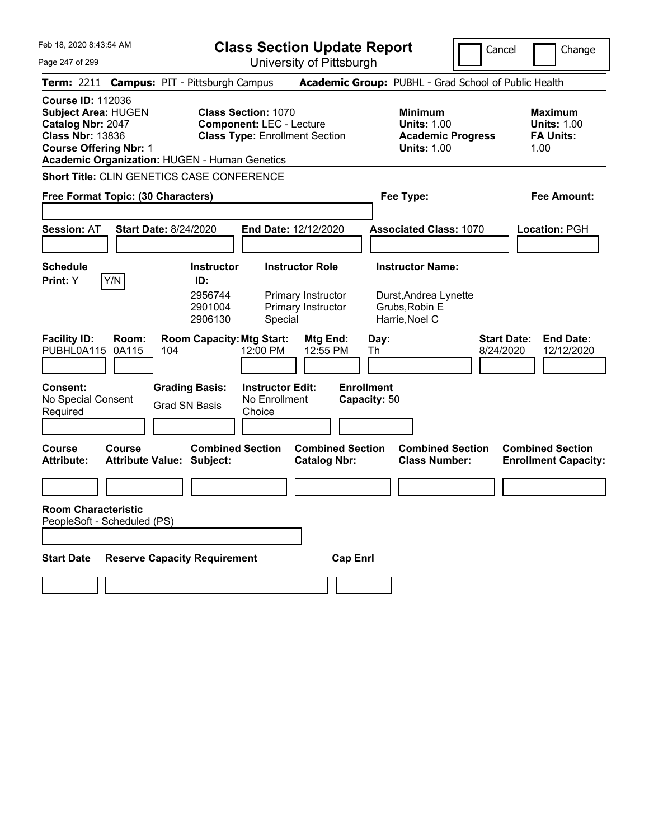Feb 18, 2020 8:43:54 AM Page 247 of 299 **Class Section Update Report** University of Pittsburgh Cancel Change **Term:** 2211 **Campus:** PIT - Pittsburgh Campus **Academic Group:** PUBHL - Grad School of Public Health **Course ID:** 112036 **Subject Area:** HUGEN **Class Section:** 1070 **Minimum Maximum Catalog Nbr:** 2047 **Component:** LEC - Lecture **Units:** 1.00 **Units:** 1.00 **Class Nbr:** 13836 **Class Type:** Enrollment Section **Academic Progress FA Units: Course Offering Nbr:** 1 **Units:** 1.00 1.00 **Academic Organization:** HUGEN - Human Genetics **Short Title:** CLIN GENETICS CASE CONFERENCE **Free Format Topic: (30 Characters) Fee Type: Fee Amount: Session:** AT **Start Date:** 8/24/2020 **End Date:** 12/12/2020 **Associated Class:** 1070 **Location:** PGH **Schedule Instructor Instructor Role Instructor Name: Print:**  $Y$   $|Y/N|$  **ID:** 2956744 Primary Instructor Durst,Andrea Lynette 2901004 Primary Instructor Grubs,Robin E 2906130 Special Harrie,Noel C **Facility ID: Room: Room Capacity:Mtg Start: Mtg End: Day: Start Date: End Date:** PUBHL0A115 0A115 104 12:00 PM 12:55 PM Th 8/24/2020 12/12/2020 **Consent: Grading Basis: Instructor Edit: Enrollment** No Special Consent Grad SN Basis No Enrollment<br>Required Grad SN Basis Choice **Choice Capacity:** 50 **Course Course Combined Section Combined Section Combined Section Combined Section**  Attribute Value: Subject: Catalog Nbr: Class Number: Enrollment Capacity: **Room Characteristic** PeopleSoft - Scheduled (PS) **Start Date Reserve Capacity Requirement Cap Enrl**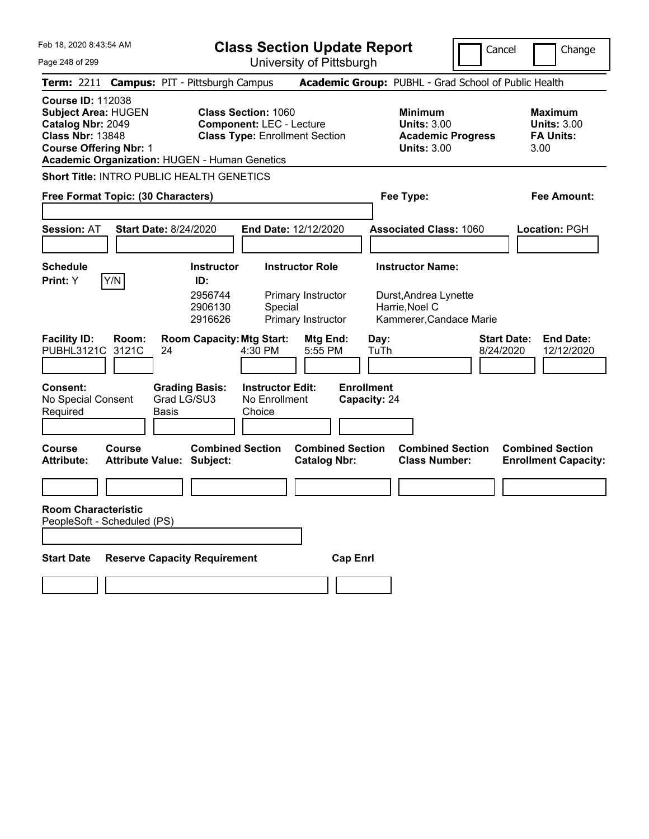**Class Section Update Report**

Cancel Change

Page 248 of 299

| Page 248 of 299                                                                                                                                                                                 |                                                  |                                                                          |                                                                                                        | University of Pittsburgh                                           |                                                                                        |                                                                                               |                                                                   |
|-------------------------------------------------------------------------------------------------------------------------------------------------------------------------------------------------|--------------------------------------------------|--------------------------------------------------------------------------|--------------------------------------------------------------------------------------------------------|--------------------------------------------------------------------|----------------------------------------------------------------------------------------|-----------------------------------------------------------------------------------------------|-------------------------------------------------------------------|
| <b>Term: 2211</b>                                                                                                                                                                               |                                                  | <b>Campus: PIT - Pittsburgh Campus</b>                                   |                                                                                                        |                                                                    |                                                                                        | Academic Group: PUBHL - Grad School of Public Health                                          |                                                                   |
| <b>Course ID: 112038</b><br><b>Subject Area: HUGEN</b><br>Catalog Nbr: 2049<br><b>Class Nbr: 13848</b><br><b>Course Offering Nbr: 1</b><br><b>Academic Organization: HUGEN - Human Genetics</b> |                                                  |                                                                          | <b>Class Section: 1060</b><br><b>Component: LEC - Lecture</b><br><b>Class Type: Enrollment Section</b> |                                                                    | <b>Minimum</b><br><b>Units: 3.00</b><br><b>Academic Progress</b><br><b>Units: 3.00</b> |                                                                                               | <b>Maximum</b><br><b>Units: 3.00</b><br><b>FA Units:</b><br>3.00  |
|                                                                                                                                                                                                 | <b>Short Title: INTRO PUBLIC HEALTH GENETICS</b> |                                                                          |                                                                                                        |                                                                    |                                                                                        |                                                                                               |                                                                   |
| Free Format Topic: (30 Characters)                                                                                                                                                              |                                                  |                                                                          |                                                                                                        |                                                                    |                                                                                        | Fee Type:                                                                                     | Fee Amount:                                                       |
| <b>Session: AT</b>                                                                                                                                                                              | <b>Start Date: 8/24/2020</b>                     |                                                                          |                                                                                                        | End Date: 12/12/2020                                               |                                                                                        | <b>Associated Class: 1060</b>                                                                 | Location: PGH                                                     |
| <b>Schedule</b><br>Y/N<br>Print: Y                                                                                                                                                              |                                                  | <b>Instructor</b><br>ID:<br>2956744<br>2906130<br>2916626                | Special                                                                                                | <b>Instructor Role</b><br>Primary Instructor<br>Primary Instructor |                                                                                        | <b>Instructor Name:</b><br>Durst, Andrea Lynette<br>Harrie, Noel C<br>Kammerer, Candace Marie |                                                                   |
| <b>Facility ID:</b><br>PUBHL3121C<br>3121C<br>Consent:<br>No Special Consent<br>Required                                                                                                        | Room:<br>24<br>Basis                             | <b>Room Capacity: Mtg Start:</b><br><b>Grading Basis:</b><br>Grad LG/SU3 | 4:30 PM<br><b>Instructor Edit:</b><br>No Enrollment<br>Choice                                          | Mtg End:<br>5:55 PM                                                | Day:<br>TuTh<br><b>Enrollment</b><br>Capacity: 24                                      |                                                                                               | <b>Start Date:</b><br><b>End Date:</b><br>8/24/2020<br>12/12/2020 |
| <b>Course</b><br>Course<br><b>Attribute:</b>                                                                                                                                                    |                                                  | <b>Combined Section</b><br><b>Attribute Value: Subject:</b>              |                                                                                                        | <b>Combined Section</b><br><b>Catalog Nbr:</b>                     |                                                                                        | <b>Combined Section</b><br><b>Class Number:</b>                                               | <b>Combined Section</b><br><b>Enrollment Capacity:</b>            |
|                                                                                                                                                                                                 |                                                  |                                                                          |                                                                                                        |                                                                    |                                                                                        |                                                                                               |                                                                   |
| <b>Room Characteristic</b><br>PeopleSoft - Scheduled (PS)<br><b>Start Date</b>                                                                                                                  |                                                  | <b>Reserve Capacity Requirement</b>                                      |                                                                                                        | <b>Cap Enrl</b>                                                    |                                                                                        |                                                                                               |                                                                   |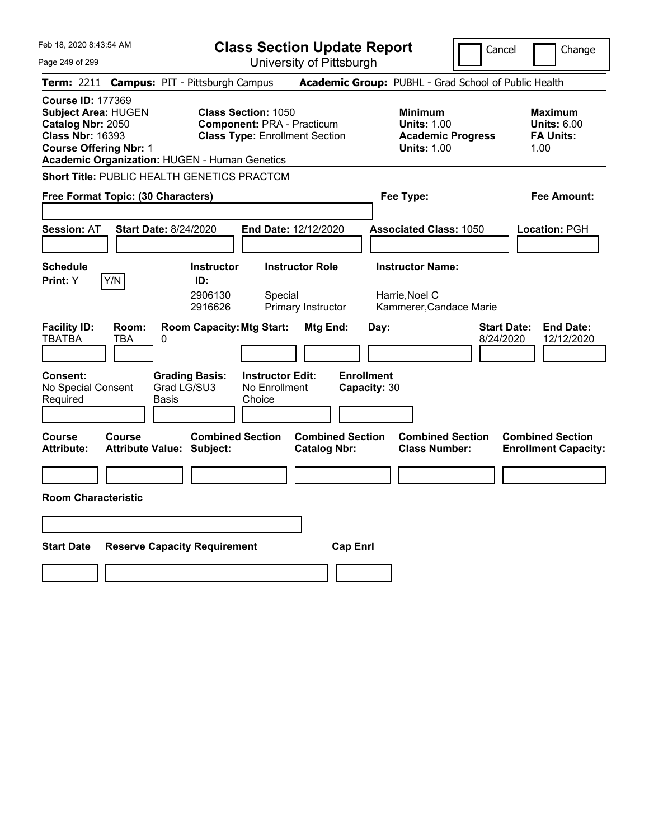Feb 18, 2020 8:43:54 AM Page 249 of 299 **Class Section Update Report** University of Pittsburgh Cancel Change **Term:** 2211 **Campus:** PIT - Pittsburgh Campus **Academic Group:** PUBHL - Grad School of Public Health **Course ID:** 177369 **Subject Area:** HUGEN **Class Section:** 1050 **Minimum Maximum Catalog Nbr:** 2050 **Component:** PRA - Practicum **Units:** 1.00 **Units:** 6.00 **Class Nbr:** 16393 **Class Type:** Enrollment Section **Academic Progress FA Units: Course Offering Nbr:** 1 **Units:** 1.00 1.00 **Academic Organization:** HUGEN - Human Genetics **Short Title:** PUBLIC HEALTH GENETICS PRACTCM **Free Format Topic: (30 Characters) Fee Type: Fee Amount: Session:** AT **Start Date:** 8/24/2020 **End Date:** 12/12/2020 **Associated Class:** 1050 **Location:** PGH **Schedule Instructor Instructor Role Instructor Name: Print:**  $Y$   $|Y/N|$  **ID:** 2906130 Special Harrie, Noel C 2916626 Primary Instructor Kammerer,Candace Marie **Facility ID: Room: Room Capacity:Mtg Start: Mtg End: Day: Start Date: End Date:** TBATBA TBA 0 8/24/2020 12/12/2020 **Consent: Grading Basis: Instructor Edit: Enrollment** No Special Consent Required Grad LG/SU3 Basis No Enrollment **Choice Capacity:** 30 **Course Course Combined Section Combined Section Combined Section Combined Section**  Attribute: Attribute Value: Subject: Catalog Nbr: Class Number: Enrollment Capacity: **Room Characteristic Start Date Reserve Capacity Requirement Cap Enrl**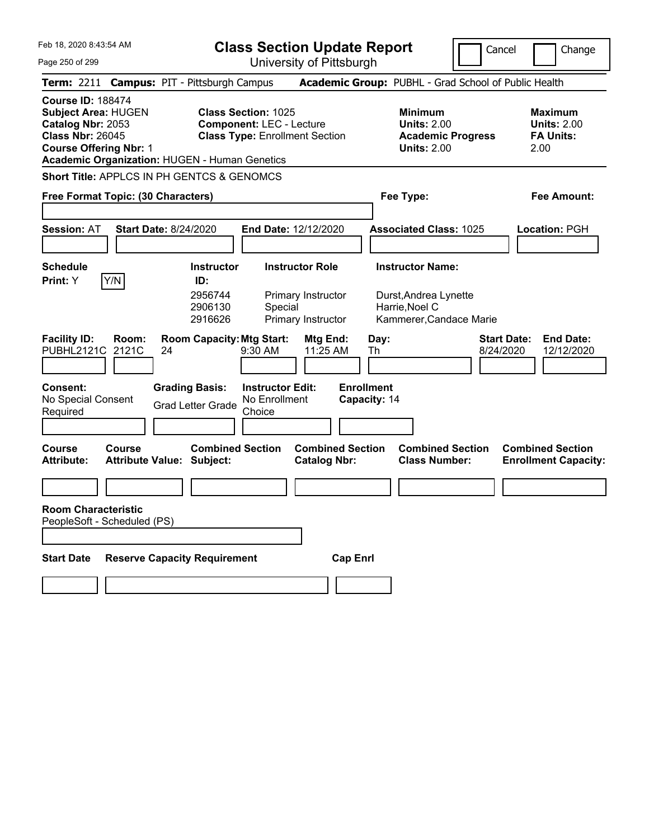Cancel Change

Feb 18, 2020 8:43:54 AM Page 250 of 299 **Class Section Update Report** University of Pittsburgh **Term:** 2211 **Campus:** PIT - Pittsburgh Campus **Academic Group:** PUBHL - Grad School of Public Health **Course ID:** 188474 **Subject Area:** HUGEN **Class Section:** 1025 **Minimum Maximum Catalog Nbr:** 2053 **Component:** LEC - Lecture **Units:** 2.00 **Units:** 2.00 **Class Nbr:** 26045 **Class Type:** Enrollment Section **Academic Progress FA Units: Course Offering Nbr:** 1 **Units:** 2.00 2.00 **Academic Organization:** HUGEN - Human Genetics **Short Title:** APPLCS IN PH GENTCS & GENOMCS **Free Format Topic: (30 Characters) Fee Type: Fee Amount: Session:** AT **Start Date:** 8/24/2020 **End Date:** 12/12/2020 **Associated Class:** 1025 **Location:** PGH **Schedule Instructor Instructor Role Instructor Name: Print:**  $Y$   $|Y/N|$  **ID:** 2956744 Primary Instructor Durst,Andrea Lynette 2906130 Special Harrie,Noel C 2916626 Primary Instructor Kammerer,Candace Marie **Facility ID: Room: Room Capacity:Mtg Start: Mtg End: Day: Start Date: End Date:** PUBHL2121C 2121C 24 9:30 AM 11:25 AM Th 8/24/2020 12/12/2020 **Consent: Grading Basis: Instructor Edit: Enrollment** No Special Consent Required Grad Letter Grade No Enrollment **Choice Capacity:** 14 **Course Course Combined Section Combined Section Combined Section Combined Section**  Attribute Value: Subject: Catalog Nbr: Class Number: Enrollment Capacity: **Room Characteristic** PeopleSoft - Scheduled (PS)

**Start Date Reserve Capacity Requirement Cap Enrl**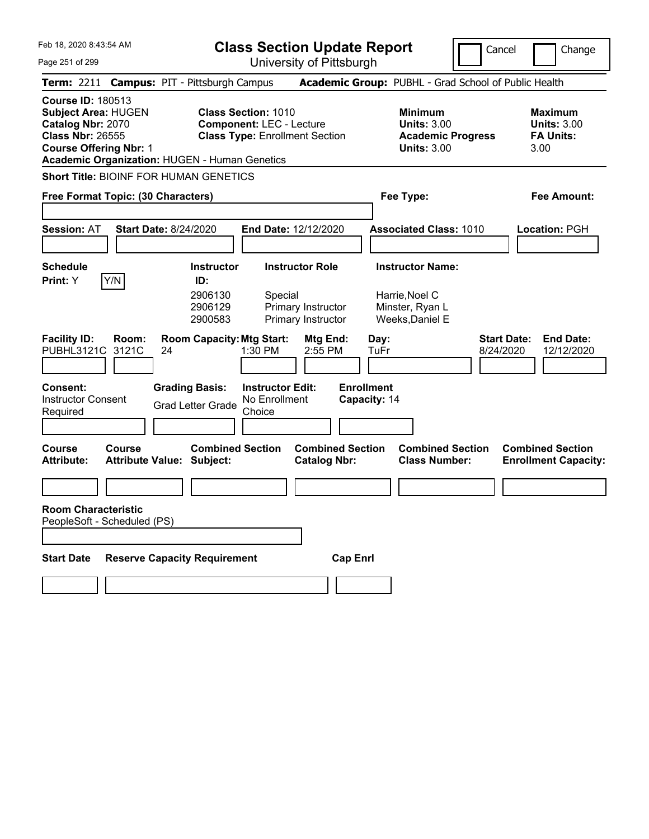|  | Feb 18, 2020 8:43:54 AM |  |
|--|-------------------------|--|
|  |                         |  |

Cancel **Change** 

Page 251 of 299

| Page 251 of 299                                                                                                                                                                          |                                                   |                                                           |                                                                                                        | University of Pittsburgh                                           |                                                                                        |                                                                                 |                                 |                                                                  |
|------------------------------------------------------------------------------------------------------------------------------------------------------------------------------------------|---------------------------------------------------|-----------------------------------------------------------|--------------------------------------------------------------------------------------------------------|--------------------------------------------------------------------|----------------------------------------------------------------------------------------|---------------------------------------------------------------------------------|---------------------------------|------------------------------------------------------------------|
| Term: 2211 Campus: PIT - Pittsburgh Campus                                                                                                                                               |                                                   |                                                           |                                                                                                        |                                                                    |                                                                                        | Academic Group: PUBHL - Grad School of Public Health                            |                                 |                                                                  |
| <b>Course ID: 180513</b><br><b>Subject Area: HUGEN</b><br>Catalog Nbr: 2070<br><b>Class Nbr: 26555</b><br><b>Course Offering Nbr: 1</b><br>Academic Organization: HUGEN - Human Genetics |                                                   |                                                           | <b>Class Section: 1010</b><br><b>Component: LEC - Lecture</b><br><b>Class Type: Enrollment Section</b> |                                                                    | <b>Minimum</b><br><b>Units: 3.00</b><br><b>Academic Progress</b><br><b>Units: 3.00</b> |                                                                                 |                                 | <b>Maximum</b><br><b>Units: 3.00</b><br><b>FA Units:</b><br>3.00 |
| Short Title: BIOINF FOR HUMAN GENETICS<br>Free Format Topic: (30 Characters)                                                                                                             |                                                   |                                                           |                                                                                                        |                                                                    |                                                                                        | Fee Type:                                                                       |                                 | Fee Amount:                                                      |
| <b>Session: AT</b>                                                                                                                                                                       | Start Date: 8/24/2020                             |                                                           |                                                                                                        | End Date: 12/12/2020                                               |                                                                                        | <b>Associated Class: 1010</b>                                                   |                                 | <b>Location: PGH</b>                                             |
| <b>Schedule</b><br><b>Print:</b> Y                                                                                                                                                       | Y/N                                               | <b>Instructor</b><br>ID:<br>2906130<br>2906129<br>2900583 | Special                                                                                                | <b>Instructor Role</b><br>Primary Instructor<br>Primary Instructor |                                                                                        | <b>Instructor Name:</b><br>Harrie, Noel C<br>Minster, Ryan L<br>Weeks, Daniel E |                                 |                                                                  |
| <b>Facility ID:</b><br>PUBHL3121C                                                                                                                                                        | Room:<br>3121C<br>24                              | <b>Room Capacity: Mtg Start:</b>                          | 1:30 PM                                                                                                | Mtg End:<br>2:55 PM                                                | Day:<br><b>TuFr</b>                                                                    |                                                                                 | <b>Start Date:</b><br>8/24/2020 | <b>End Date:</b><br>12/12/2020                                   |
| Consent:<br><b>Instructor Consent</b><br>Required                                                                                                                                        |                                                   | <b>Grading Basis:</b><br><b>Grad Letter Grade</b>         | <b>Instructor Edit:</b><br>No Enrollment<br>Choice                                                     |                                                                    | <b>Enrollment</b><br>Capacity: 14                                                      |                                                                                 |                                 |                                                                  |
| <b>Course</b><br><b>Attribute:</b>                                                                                                                                                       | <b>Course</b><br><b>Attribute Value: Subject:</b> | <b>Combined Section</b>                                   |                                                                                                        | <b>Combined Section</b><br><b>Catalog Nbr:</b>                     |                                                                                        | <b>Combined Section</b><br><b>Class Number:</b>                                 |                                 | <b>Combined Section</b><br><b>Enrollment Capacity:</b>           |
| <b>Room Characteristic</b><br>PeopleSoft - Scheduled (PS)                                                                                                                                |                                                   |                                                           |                                                                                                        |                                                                    |                                                                                        |                                                                                 |                                 |                                                                  |
| <b>Start Date</b>                                                                                                                                                                        | <b>Reserve Capacity Requirement</b>               |                                                           |                                                                                                        | <b>Cap Enrl</b>                                                    |                                                                                        |                                                                                 |                                 |                                                                  |
|                                                                                                                                                                                          |                                                   |                                                           |                                                                                                        |                                                                    |                                                                                        |                                                                                 |                                 |                                                                  |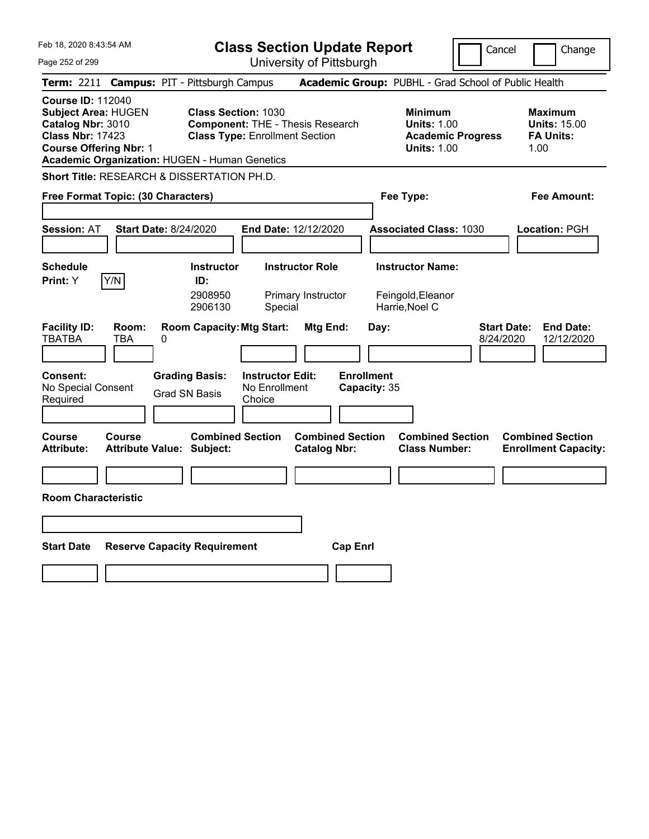| Feb 18, 2020 8:43:54 AM                                                                                                                                                                  | <b>Class Section Update Report</b><br>Cancel<br>Change                                                         |                                                                                                   |                                                                                               |  |  |
|------------------------------------------------------------------------------------------------------------------------------------------------------------------------------------------|----------------------------------------------------------------------------------------------------------------|---------------------------------------------------------------------------------------------------|-----------------------------------------------------------------------------------------------|--|--|
| Page 252 of 299                                                                                                                                                                          | University of Pittsburgh                                                                                       |                                                                                                   |                                                                                               |  |  |
| <b>Term: 2211</b>                                                                                                                                                                        | <b>Campus: PIT - Pittsburgh Campus</b>                                                                         | Academic Group: PUBHL - Grad School of Public Health                                              |                                                                                               |  |  |
| <b>Course ID: 112040</b><br><b>Subject Area: HUGEN</b><br>Catalog Nbr: 3010<br><b>Class Nbr: 17423</b><br><b>Course Offering Nbr: 1</b><br>Academic Organization: HUGEN - Human Genetics | <b>Class Section: 1030</b><br><b>Component: THE - Thesis Research</b><br><b>Class Type: Enrollment Section</b> | <b>Minimum</b><br><b>Units: 1.00</b><br><b>Units: 1.00</b>                                        | <b>Maximum</b><br><b>Units: 15.00</b><br><b>FA Units:</b><br><b>Academic Progress</b><br>1.00 |  |  |
| Short Title: RESEARCH & DISSERTATION PH.D.                                                                                                                                               |                                                                                                                |                                                                                                   |                                                                                               |  |  |
| Free Format Topic: (30 Characters)                                                                                                                                                       |                                                                                                                | Fee Type:                                                                                         | Fee Amount:                                                                                   |  |  |
| <b>Session: AT</b><br><b>Start Date: 8/24/2020</b>                                                                                                                                       | End Date: 12/12/2020                                                                                           | <b>Associated Class: 1030</b>                                                                     | <b>Location: PGH</b>                                                                          |  |  |
| <b>Schedule</b><br>Y/N<br><b>Print:</b> Y                                                                                                                                                | <b>Instructor Role</b><br><b>Instructor</b><br>ID:<br>2908950<br>Primary Instructor<br>2906130<br>Special      | <b>Instructor Name:</b><br>Feingold, Eleanor<br>Harrie, Noel C                                    |                                                                                               |  |  |
| <b>Facility ID:</b><br>Room:<br><b>TBATBA</b><br>TBA<br>0<br><b>Consent:</b>                                                                                                             | <b>Room Capacity: Mtg Start:</b><br><b>Instructor Edit:</b><br><b>Grading Basis:</b>                           | Mtg End:<br>Day:<br><b>Enrollment</b>                                                             | <b>Start Date:</b><br><b>End Date:</b><br>8/24/2020<br>12/12/2020                             |  |  |
| No Special Consent<br>Required                                                                                                                                                           | No Enrollment<br><b>Grad SN Basis</b><br>Choice                                                                | Capacity: 35                                                                                      |                                                                                               |  |  |
|                                                                                                                                                                                          |                                                                                                                |                                                                                                   |                                                                                               |  |  |
| Course<br>Course<br><b>Attribute:</b><br><b>Attribute Value: Subject:</b>                                                                                                                | <b>Combined Section</b>                                                                                        | <b>Combined Section</b><br><b>Combined Section</b><br><b>Catalog Nbr:</b><br><b>Class Number:</b> | <b>Combined Section</b><br><b>Enrollment Capacity:</b>                                        |  |  |
|                                                                                                                                                                                          |                                                                                                                |                                                                                                   |                                                                                               |  |  |
| <b>Room Characteristic</b>                                                                                                                                                               |                                                                                                                |                                                                                                   |                                                                                               |  |  |
|                                                                                                                                                                                          |                                                                                                                |                                                                                                   |                                                                                               |  |  |
| <b>Start Date</b>                                                                                                                                                                        | <b>Reserve Capacity Requirement</b>                                                                            | <b>Cap Enrl</b>                                                                                   |                                                                                               |  |  |
|                                                                                                                                                                                          |                                                                                                                |                                                                                                   |                                                                                               |  |  |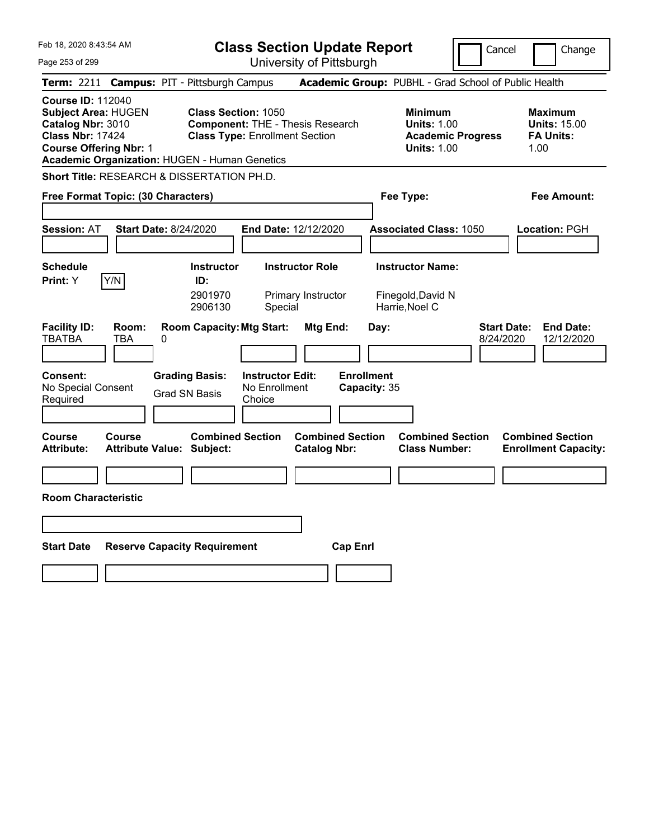| Feb 18, 2020 8:43:54 AM                                                                                                                                                                  | <b>Class Section Update Report</b><br>Cancel<br>Change                                                         |                                                                                                   |                                                                                               |  |  |
|------------------------------------------------------------------------------------------------------------------------------------------------------------------------------------------|----------------------------------------------------------------------------------------------------------------|---------------------------------------------------------------------------------------------------|-----------------------------------------------------------------------------------------------|--|--|
| Page 253 of 299                                                                                                                                                                          | University of Pittsburgh                                                                                       |                                                                                                   |                                                                                               |  |  |
| <b>Term: 2211</b>                                                                                                                                                                        | <b>Campus: PIT - Pittsburgh Campus</b>                                                                         | Academic Group: PUBHL - Grad School of Public Health                                              |                                                                                               |  |  |
| <b>Course ID: 112040</b><br><b>Subject Area: HUGEN</b><br>Catalog Nbr: 3010<br><b>Class Nbr: 17424</b><br><b>Course Offering Nbr: 1</b><br>Academic Organization: HUGEN - Human Genetics | <b>Class Section: 1050</b><br><b>Component: THE - Thesis Research</b><br><b>Class Type: Enrollment Section</b> | <b>Minimum</b><br><b>Units: 1.00</b><br><b>Units: 1.00</b>                                        | <b>Maximum</b><br><b>Units: 15.00</b><br><b>FA Units:</b><br><b>Academic Progress</b><br>1.00 |  |  |
| Short Title: RESEARCH & DISSERTATION PH.D.                                                                                                                                               |                                                                                                                |                                                                                                   |                                                                                               |  |  |
| Free Format Topic: (30 Characters)                                                                                                                                                       |                                                                                                                | Fee Type:                                                                                         | Fee Amount:                                                                                   |  |  |
| <b>Start Date: 8/24/2020</b><br><b>Session: AT</b>                                                                                                                                       | End Date: 12/12/2020                                                                                           | <b>Associated Class: 1050</b>                                                                     | Location: PGH                                                                                 |  |  |
| <b>Schedule</b><br>Y/N<br>Print: Y                                                                                                                                                       | <b>Instructor</b><br><b>Instructor Role</b><br>ID:<br>2901970<br>Primary Instructor<br>2906130<br>Special      | <b>Instructor Name:</b><br>Finegold,David N<br>Harrie, Noel C                                     |                                                                                               |  |  |
| <b>Facility ID:</b><br>Room:<br><b>TBATBA</b><br>TBA<br>0<br><b>Consent:</b><br>No Special Consent                                                                                       | <b>Room Capacity: Mtg Start:</b><br><b>Grading Basis:</b><br><b>Instructor Edit:</b><br>No Enrollment          | Mtg End:<br>Day:<br><b>Enrollment</b><br>Capacity: 35                                             | <b>Start Date:</b><br><b>End Date:</b><br>8/24/2020<br>12/12/2020                             |  |  |
| Required                                                                                                                                                                                 | <b>Grad SN Basis</b><br>Choice                                                                                 |                                                                                                   |                                                                                               |  |  |
|                                                                                                                                                                                          |                                                                                                                |                                                                                                   |                                                                                               |  |  |
| Course<br>Course<br><b>Attribute:</b><br><b>Attribute Value: Subject:</b>                                                                                                                | <b>Combined Section</b>                                                                                        | <b>Combined Section</b><br><b>Combined Section</b><br><b>Class Number:</b><br><b>Catalog Nbr:</b> | <b>Combined Section</b><br><b>Enrollment Capacity:</b>                                        |  |  |
|                                                                                                                                                                                          |                                                                                                                |                                                                                                   |                                                                                               |  |  |
| <b>Room Characteristic</b>                                                                                                                                                               |                                                                                                                |                                                                                                   |                                                                                               |  |  |
|                                                                                                                                                                                          |                                                                                                                |                                                                                                   |                                                                                               |  |  |
| <b>Start Date</b>                                                                                                                                                                        | <b>Reserve Capacity Requirement</b>                                                                            | <b>Cap Enri</b>                                                                                   |                                                                                               |  |  |
|                                                                                                                                                                                          |                                                                                                                |                                                                                                   |                                                                                               |  |  |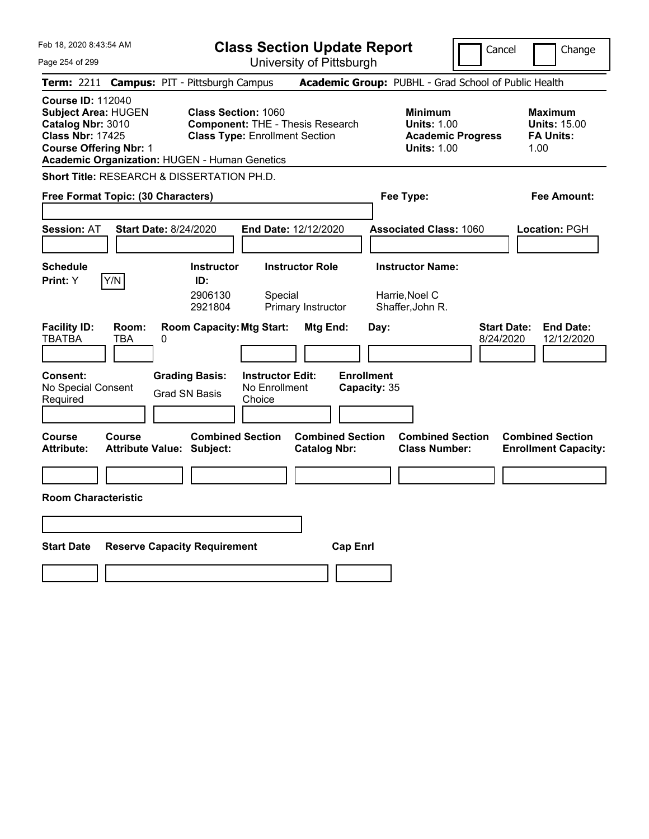| <b>Class Section Update Report</b><br>Cancel<br>Change         |                                                                                                                                                                                                                                                                                                                                                                                                                                                                                                                                                                         |                                                                                                                                                                     |  |  |
|----------------------------------------------------------------|-------------------------------------------------------------------------------------------------------------------------------------------------------------------------------------------------------------------------------------------------------------------------------------------------------------------------------------------------------------------------------------------------------------------------------------------------------------------------------------------------------------------------------------------------------------------------|---------------------------------------------------------------------------------------------------------------------------------------------------------------------|--|--|
|                                                                |                                                                                                                                                                                                                                                                                                                                                                                                                                                                                                                                                                         |                                                                                                                                                                     |  |  |
|                                                                |                                                                                                                                                                                                                                                                                                                                                                                                                                                                                                                                                                         |                                                                                                                                                                     |  |  |
|                                                                | <b>Minimum</b><br><b>Units: 1.00</b><br><b>Academic Progress</b><br><b>Units: 1.00</b>                                                                                                                                                                                                                                                                                                                                                                                                                                                                                  | <b>Maximum</b><br><b>Units: 15.00</b><br><b>FA Units:</b><br>1.00                                                                                                   |  |  |
|                                                                |                                                                                                                                                                                                                                                                                                                                                                                                                                                                                                                                                                         |                                                                                                                                                                     |  |  |
|                                                                | Fee Type:                                                                                                                                                                                                                                                                                                                                                                                                                                                                                                                                                               | Fee Amount:                                                                                                                                                         |  |  |
| <b>End Date: 12/12/2020</b>                                    | <b>Associated Class: 1060</b>                                                                                                                                                                                                                                                                                                                                                                                                                                                                                                                                           | Location: PGH                                                                                                                                                       |  |  |
| <b>Instructor Role</b><br>Special<br>Primary Instructor        | <b>Instructor Name:</b><br>Harrie,Noel C<br>Shaffer, John R.                                                                                                                                                                                                                                                                                                                                                                                                                                                                                                            |                                                                                                                                                                     |  |  |
| Mtg End:<br><b>Instructor Edit:</b><br>No Enrollment<br>Choice | <b>Start Date:</b><br>Day:<br>8/24/2020                                                                                                                                                                                                                                                                                                                                                                                                                                                                                                                                 | <b>End Date:</b><br>12/12/2020                                                                                                                                      |  |  |
| <b>Catalog Nbr:</b>                                            | <b>Combined Section</b><br><b>Class Number:</b>                                                                                                                                                                                                                                                                                                                                                                                                                                                                                                                         | <b>Combined Section</b><br><b>Enrollment Capacity:</b>                                                                                                              |  |  |
|                                                                |                                                                                                                                                                                                                                                                                                                                                                                                                                                                                                                                                                         |                                                                                                                                                                     |  |  |
|                                                                |                                                                                                                                                                                                                                                                                                                                                                                                                                                                                                                                                                         |                                                                                                                                                                     |  |  |
|                                                                |                                                                                                                                                                                                                                                                                                                                                                                                                                                                                                                                                                         |                                                                                                                                                                     |  |  |
|                                                                |                                                                                                                                                                                                                                                                                                                                                                                                                                                                                                                                                                         |                                                                                                                                                                     |  |  |
|                                                                | <b>Campus: PIT - Pittsburgh Campus</b><br><b>Class Section: 1060</b><br><b>Component: THE - Thesis Research</b><br><b>Class Type: Enrollment Section</b><br><b>Academic Organization: HUGEN - Human Genetics</b><br><b>Short Title: RESEARCH &amp; DISSERTATION PH.D.</b><br>Free Format Topic: (30 Characters)<br><b>Start Date: 8/24/2020</b><br><b>Instructor</b><br>2906130<br>2921804<br><b>Room Capacity: Mtg Start:</b><br><b>Grading Basis:</b><br>Grad SN Basis<br><b>Combined Section</b><br>Attribute Value: Subject:<br><b>Reserve Capacity Requirement</b> | University of Pittsburgh<br>Academic Group: PUBHL - Grad School of Public Health<br><b>Enrollment</b><br>Capacity: 35<br><b>Combined Section</b><br><b>Cap Enri</b> |  |  |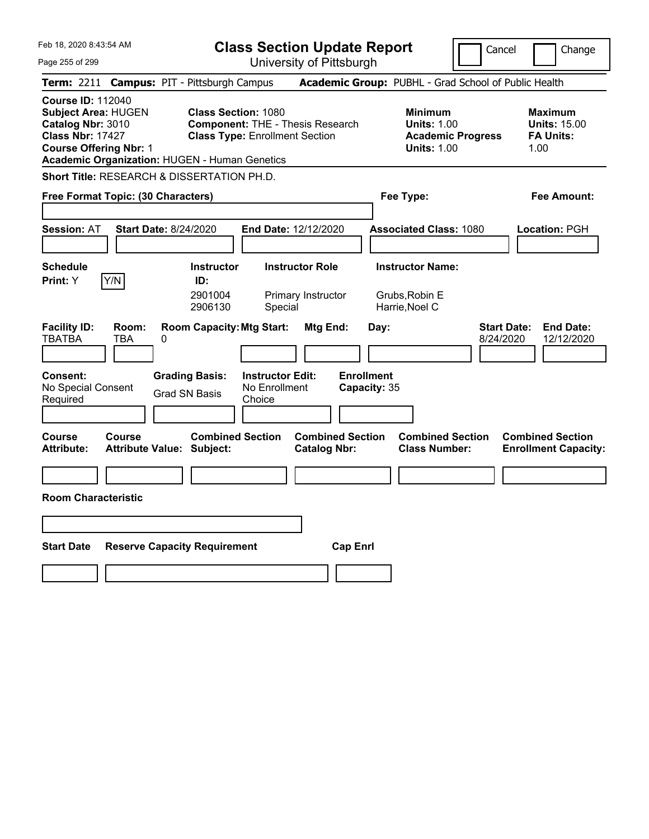| Feb 18, 2020 8:43:54 AM                                                                                                                                                                  | <b>Class Section Update Report</b>                                                                                                                  | Cancel                                                                                 | Change                                                            |
|------------------------------------------------------------------------------------------------------------------------------------------------------------------------------------------|-----------------------------------------------------------------------------------------------------------------------------------------------------|----------------------------------------------------------------------------------------|-------------------------------------------------------------------|
| Page 255 of 299                                                                                                                                                                          | University of Pittsburgh                                                                                                                            |                                                                                        |                                                                   |
| <b>Term:</b> 2211                                                                                                                                                                        | <b>Campus: PIT - Pittsburgh Campus</b>                                                                                                              | Academic Group: PUBHL - Grad School of Public Health                                   |                                                                   |
| <b>Course ID: 112040</b><br><b>Subject Area: HUGEN</b><br>Catalog Nbr: 3010<br><b>Class Nbr: 17427</b><br><b>Course Offering Nbr: 1</b><br>Academic Organization: HUGEN - Human Genetics | <b>Class Section: 1080</b><br><b>Component: THE - Thesis Research</b><br><b>Class Type: Enrollment Section</b>                                      | <b>Minimum</b><br><b>Units: 1.00</b><br><b>Academic Progress</b><br><b>Units: 1.00</b> | <b>Maximum</b><br><b>Units: 15.00</b><br><b>FA Units:</b><br>1.00 |
| Short Title: RESEARCH & DISSERTATION PH.D.                                                                                                                                               |                                                                                                                                                     |                                                                                        |                                                                   |
| Free Format Topic: (30 Characters)                                                                                                                                                       |                                                                                                                                                     | Fee Type:                                                                              | Fee Amount:                                                       |
| <b>Session: AT</b><br>Start Date: 8/24/2020                                                                                                                                              | End Date: 12/12/2020                                                                                                                                | <b>Associated Class: 1080</b>                                                          | Location: PGH                                                     |
| <b>Schedule</b><br>Y/N<br>Print: Y                                                                                                                                                       | <b>Instructor Role</b><br><b>Instructor</b><br>ID:<br>2901004<br>Primary Instructor<br>2906130<br>Special                                           | <b>Instructor Name:</b><br>Grubs, Robin E<br>Harrie, Noel C                            |                                                                   |
| <b>Facility ID:</b><br>Room:<br><b>TBATBA</b><br>TBA<br>0<br>Consent:<br>No Special Consent<br>Required                                                                                  | <b>Room Capacity: Mtg Start:</b><br>Mtg End:<br><b>Grading Basis:</b><br><b>Instructor Edit:</b><br>No Enrollment<br><b>Grad SN Basis</b><br>Choice | <b>Start Date:</b><br>Day:<br>8/24/2020<br><b>Enrollment</b><br>Capacity: 35           | <b>End Date:</b><br>12/12/2020                                    |
| Course<br><b>Course</b><br><b>Attribute:</b><br><b>Attribute Value: Subject:</b>                                                                                                         | <b>Combined Section</b><br><b>Combined Section</b><br><b>Catalog Nbr:</b>                                                                           | <b>Combined Section</b><br><b>Class Number:</b>                                        | <b>Combined Section</b><br><b>Enrollment Capacity:</b>            |
|                                                                                                                                                                                          |                                                                                                                                                     |                                                                                        |                                                                   |
| <b>Room Characteristic</b>                                                                                                                                                               |                                                                                                                                                     |                                                                                        |                                                                   |
|                                                                                                                                                                                          |                                                                                                                                                     |                                                                                        |                                                                   |
| <b>Start Date</b><br><b>Reserve Capacity Requirement</b>                                                                                                                                 |                                                                                                                                                     | <b>Cap Enri</b>                                                                        |                                                                   |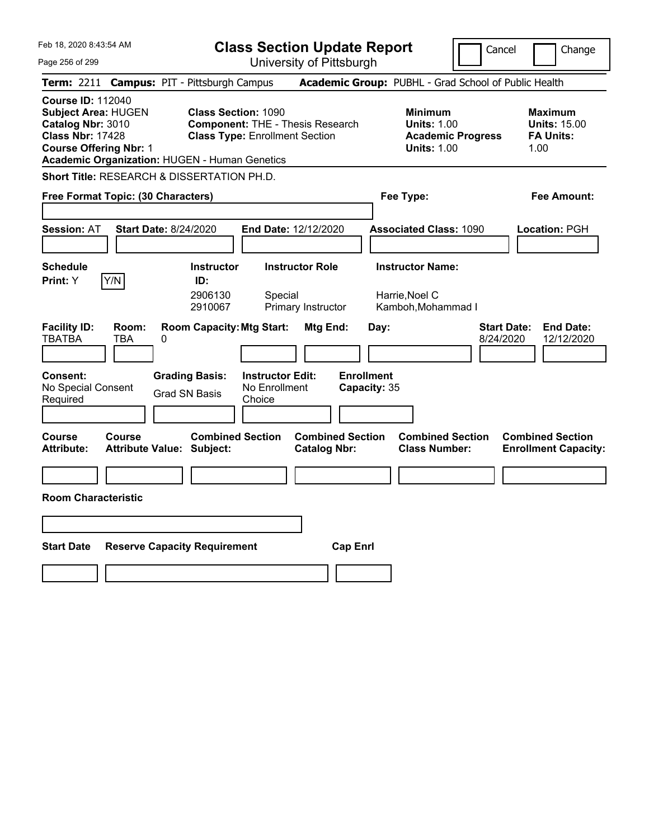| Feb 18, 2020 8:43:54 AM                                                                                                                                                                  |                                                                                                                | <b>Class Section Update Report</b><br>Cancel         |                                                                                        |                                 |                                                                   |
|------------------------------------------------------------------------------------------------------------------------------------------------------------------------------------------|----------------------------------------------------------------------------------------------------------------|------------------------------------------------------|----------------------------------------------------------------------------------------|---------------------------------|-------------------------------------------------------------------|
| Page 256 of 299                                                                                                                                                                          |                                                                                                                | University of Pittsburgh                             |                                                                                        |                                 |                                                                   |
| Term: 2211                                                                                                                                                                               | <b>Campus: PIT - Pittsburgh Campus</b>                                                                         | Academic Group: PUBHL - Grad School of Public Health |                                                                                        |                                 |                                                                   |
| <b>Course ID: 112040</b><br><b>Subject Area: HUGEN</b><br>Catalog Nbr: 3010<br><b>Class Nbr: 17428</b><br><b>Course Offering Nbr: 1</b><br>Academic Organization: HUGEN - Human Genetics | <b>Class Section: 1090</b><br><b>Component: THE - Thesis Research</b><br><b>Class Type: Enrollment Section</b> |                                                      | <b>Minimum</b><br><b>Units: 1.00</b><br><b>Academic Progress</b><br><b>Units: 1.00</b> |                                 | <b>Maximum</b><br><b>Units: 15.00</b><br><b>FA Units:</b><br>1.00 |
| Short Title: RESEARCH & DISSERTATION PH.D.                                                                                                                                               |                                                                                                                |                                                      |                                                                                        |                                 |                                                                   |
| Free Format Topic: (30 Characters)                                                                                                                                                       |                                                                                                                |                                                      | Fee Type:                                                                              |                                 | Fee Amount:                                                       |
| <b>Session: AT</b><br><b>Start Date: 8/24/2020</b>                                                                                                                                       | <b>End Date: 12/12/2020</b>                                                                                    |                                                      | <b>Associated Class: 1090</b>                                                          |                                 | <b>Location: PGH</b>                                              |
| <b>Schedule</b>                                                                                                                                                                          | <b>Instructor Role</b><br><b>Instructor</b>                                                                    |                                                      | <b>Instructor Name:</b>                                                                |                                 |                                                                   |
| Y/N<br><b>Print:</b> Y                                                                                                                                                                   | ID:<br>2906130<br>Special<br>2910067                                                                           | Primary Instructor                                   | Harrie, Noel C<br>Kamboh, Mohammad I                                                   |                                 |                                                                   |
| <b>Facility ID:</b><br>Room:<br><b>TBATBA</b><br>TBA<br>0<br><b>Consent:</b>                                                                                                             | <b>Room Capacity: Mtg Start:</b><br><b>Grading Basis:</b><br><b>Instructor Edit:</b>                           | Mtg End:<br>Day:<br><b>Enrollment</b>                |                                                                                        | <b>Start Date:</b><br>8/24/2020 | <b>End Date:</b><br>12/12/2020                                    |
| No Special Consent<br>Required                                                                                                                                                           | No Enrollment<br><b>Grad SN Basis</b><br>Choice                                                                | Capacity: 35                                         |                                                                                        |                                 |                                                                   |
| Course<br>Course<br><b>Attribute:</b><br><b>Attribute Value: Subject:</b>                                                                                                                | <b>Combined Section</b>                                                                                        | <b>Combined Section</b><br><b>Catalog Nbr:</b>       | <b>Combined Section</b><br><b>Class Number:</b>                                        |                                 | <b>Combined Section</b><br><b>Enrollment Capacity:</b>            |
|                                                                                                                                                                                          |                                                                                                                |                                                      |                                                                                        |                                 |                                                                   |
| <b>Room Characteristic</b>                                                                                                                                                               |                                                                                                                |                                                      |                                                                                        |                                 |                                                                   |
|                                                                                                                                                                                          |                                                                                                                |                                                      |                                                                                        |                                 |                                                                   |
| <b>Start Date</b>                                                                                                                                                                        | <b>Reserve Capacity Requirement</b>                                                                            | <b>Cap Enri</b>                                      |                                                                                        |                                 |                                                                   |
|                                                                                                                                                                                          |                                                                                                                |                                                      |                                                                                        |                                 |                                                                   |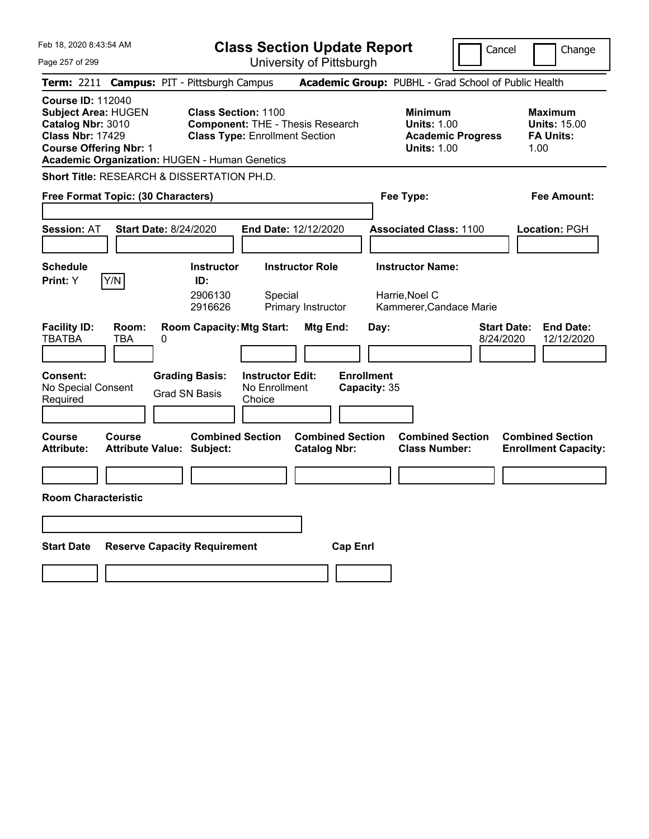| Feb 18, 2020 8:43:54 AM                                                                                                                                                                  |                                                                                                                                         | <b>Class Section Update Report</b><br>Cancel<br>Change |                                                                                        |                                 |                                                                   |  |
|------------------------------------------------------------------------------------------------------------------------------------------------------------------------------------------|-----------------------------------------------------------------------------------------------------------------------------------------|--------------------------------------------------------|----------------------------------------------------------------------------------------|---------------------------------|-------------------------------------------------------------------|--|
| Page 257 of 299                                                                                                                                                                          |                                                                                                                                         | University of Pittsburgh                               |                                                                                        |                                 |                                                                   |  |
| <b>Term: 2211</b>                                                                                                                                                                        | <b>Campus: PIT - Pittsburgh Campus</b>                                                                                                  |                                                        | Academic Group: PUBHL - Grad School of Public Health                                   |                                 |                                                                   |  |
| <b>Course ID: 112040</b><br><b>Subject Area: HUGEN</b><br>Catalog Nbr: 3010<br><b>Class Nbr: 17429</b><br><b>Course Offering Nbr: 1</b><br>Academic Organization: HUGEN - Human Genetics | <b>Class Section: 1100</b><br><b>Component: THE - Thesis Research</b><br><b>Class Type: Enrollment Section</b>                          |                                                        | <b>Minimum</b><br><b>Units: 1.00</b><br><b>Academic Progress</b><br><b>Units: 1.00</b> |                                 | <b>Maximum</b><br><b>Units: 15.00</b><br><b>FA Units:</b><br>1.00 |  |
| Short Title: RESEARCH & DISSERTATION PH.D.                                                                                                                                               |                                                                                                                                         |                                                        |                                                                                        |                                 |                                                                   |  |
| Free Format Topic: (30 Characters)                                                                                                                                                       |                                                                                                                                         |                                                        | Fee Type:                                                                              |                                 | Fee Amount:                                                       |  |
| <b>Session: AT</b><br><b>Start Date: 8/24/2020</b>                                                                                                                                       | End Date: 12/12/2020                                                                                                                    |                                                        | <b>Associated Class: 1100</b>                                                          |                                 | <b>Location: PGH</b>                                              |  |
| <b>Schedule</b><br>Y/N<br>Print: Y                                                                                                                                                       | <b>Instructor</b><br>ID:<br>2906130<br>Special<br>2916626                                                                               | <b>Instructor Role</b><br>Primary Instructor           | <b>Instructor Name:</b><br>Harrie, Noel C<br>Kammerer, Candace Marie                   |                                 |                                                                   |  |
| <b>Facility ID:</b><br>Room:<br><b>TBATBA</b><br>TBA<br>0<br>Consent:<br>No Special Consent<br>Required                                                                                  | <b>Room Capacity: Mtg Start:</b><br><b>Grading Basis:</b><br><b>Instructor Edit:</b><br>No Enrollment<br><b>Grad SN Basis</b><br>Choice | Mtg End:<br><b>Enrollment</b><br>Capacity: 35          | Day:                                                                                   | <b>Start Date:</b><br>8/24/2020 | <b>End Date:</b><br>12/12/2020                                    |  |
| Course<br>Course<br><b>Attribute:</b><br><b>Attribute Value: Subject:</b>                                                                                                                | <b>Combined Section</b>                                                                                                                 | <b>Combined Section</b><br><b>Catalog Nbr:</b>         | <b>Combined Section</b><br><b>Class Number:</b>                                        |                                 | <b>Combined Section</b><br><b>Enrollment Capacity:</b>            |  |
|                                                                                                                                                                                          |                                                                                                                                         |                                                        |                                                                                        |                                 |                                                                   |  |
| <b>Room Characteristic</b>                                                                                                                                                               |                                                                                                                                         |                                                        |                                                                                        |                                 |                                                                   |  |
|                                                                                                                                                                                          |                                                                                                                                         |                                                        |                                                                                        |                                 |                                                                   |  |
| <b>Start Date</b>                                                                                                                                                                        | <b>Reserve Capacity Requirement</b>                                                                                                     | <b>Cap Enri</b>                                        |                                                                                        |                                 |                                                                   |  |
|                                                                                                                                                                                          |                                                                                                                                         |                                                        |                                                                                        |                                 |                                                                   |  |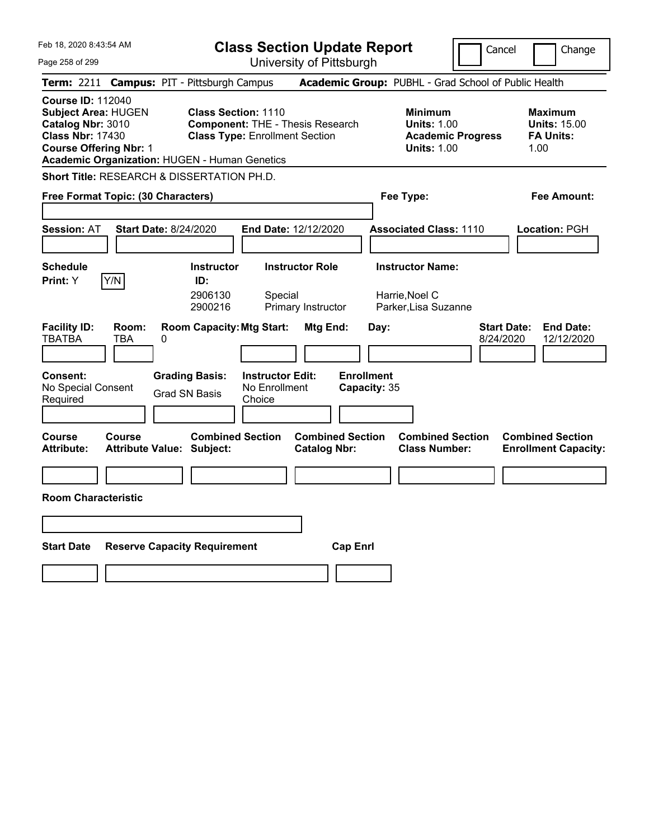| Feb 18, 2020 8:43:54 AM                                                                                                                                                                  |                                                                                                                                         | <b>Class Section Update Report</b><br>Cancel<br>Change |                                                                                        |                                                                   |  |  |
|------------------------------------------------------------------------------------------------------------------------------------------------------------------------------------------|-----------------------------------------------------------------------------------------------------------------------------------------|--------------------------------------------------------|----------------------------------------------------------------------------------------|-------------------------------------------------------------------|--|--|
| Page 258 of 299                                                                                                                                                                          |                                                                                                                                         | University of Pittsburgh                               |                                                                                        |                                                                   |  |  |
| <b>Term:</b> 2211                                                                                                                                                                        | <b>Campus: PIT - Pittsburgh Campus</b>                                                                                                  |                                                        | Academic Group: PUBHL - Grad School of Public Health                                   |                                                                   |  |  |
| <b>Course ID: 112040</b><br><b>Subject Area: HUGEN</b><br>Catalog Nbr: 3010<br><b>Class Nbr: 17430</b><br><b>Course Offering Nbr: 1</b><br>Academic Organization: HUGEN - Human Genetics | <b>Class Section: 1110</b><br><b>Component: THE - Thesis Research</b><br><b>Class Type: Enrollment Section</b>                          |                                                        | <b>Minimum</b><br><b>Units: 1.00</b><br><b>Academic Progress</b><br><b>Units: 1.00</b> | <b>Maximum</b><br><b>Units: 15.00</b><br><b>FA Units:</b><br>1.00 |  |  |
| Short Title: RESEARCH & DISSERTATION PH.D.                                                                                                                                               |                                                                                                                                         |                                                        |                                                                                        |                                                                   |  |  |
| Free Format Topic: (30 Characters)                                                                                                                                                       |                                                                                                                                         |                                                        | Fee Type:                                                                              | Fee Amount:                                                       |  |  |
| <b>Start Date: 8/24/2020</b><br><b>Session: AT</b>                                                                                                                                       | End Date: 12/12/2020                                                                                                                    |                                                        | <b>Associated Class: 1110</b>                                                          | Location: PGH                                                     |  |  |
| <b>Schedule</b><br>Y/N<br>Print: Y                                                                                                                                                       | <b>Instructor Role</b><br><b>Instructor</b><br>ID:<br>2906130<br>Special<br>2900216<br>Primary Instructor                               |                                                        | <b>Instructor Name:</b><br>Harrie, Noel C<br>Parker, Lisa Suzanne                      |                                                                   |  |  |
| <b>Facility ID:</b><br>Room:<br><b>TBATBA</b><br>TBA<br>0<br><b>Consent:</b><br>No Special Consent<br>Required                                                                           | <b>Room Capacity: Mtg Start:</b><br><b>Instructor Edit:</b><br><b>Grading Basis:</b><br>No Enrollment<br><b>Grad SN Basis</b><br>Choice | Mtg End:<br>Day:<br><b>Enrollment</b><br>Capacity: 35  |                                                                                        | <b>End Date:</b><br><b>Start Date:</b><br>8/24/2020<br>12/12/2020 |  |  |
| Course<br><b>Course</b><br><b>Attribute Value: Subject:</b><br>Attribute:                                                                                                                | <b>Combined Section</b>                                                                                                                 | <b>Combined Section</b><br><b>Catalog Nbr:</b>         | <b>Combined Section</b><br><b>Class Number:</b>                                        | <b>Combined Section</b><br><b>Enrollment Capacity:</b>            |  |  |
|                                                                                                                                                                                          |                                                                                                                                         |                                                        |                                                                                        |                                                                   |  |  |
| <b>Room Characteristic</b>                                                                                                                                                               |                                                                                                                                         |                                                        |                                                                                        |                                                                   |  |  |
|                                                                                                                                                                                          |                                                                                                                                         |                                                        |                                                                                        |                                                                   |  |  |
| <b>Start Date</b>                                                                                                                                                                        | <b>Reserve Capacity Requirement</b>                                                                                                     | <b>Cap Enrl</b>                                        |                                                                                        |                                                                   |  |  |
|                                                                                                                                                                                          |                                                                                                                                         |                                                        |                                                                                        |                                                                   |  |  |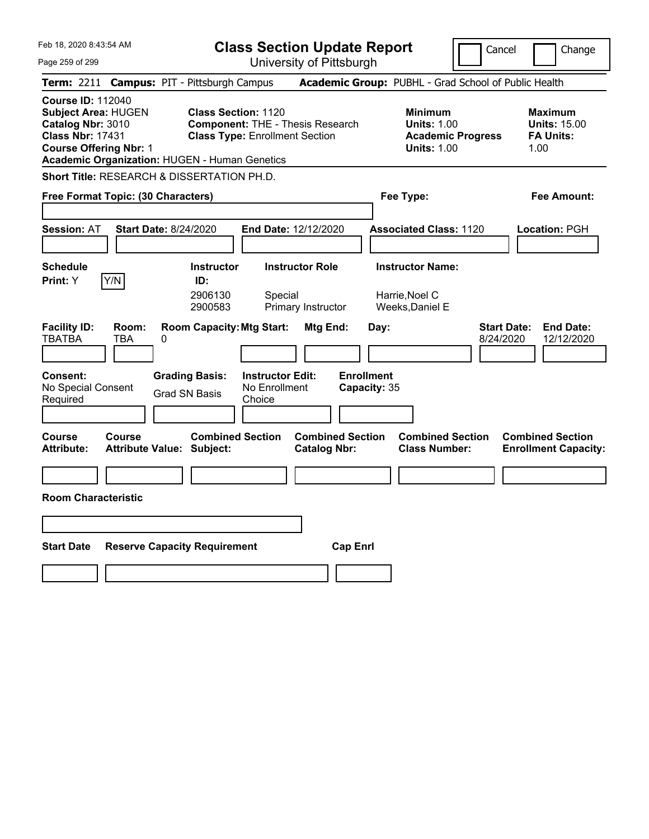| Feb 18, 2020 8:43:54 AM                                                                                                                                                                  | <b>Class Section Update Report</b><br>Cancel<br>Change                                                                                  |                                                                                                   |                                                                                               |            |  |
|------------------------------------------------------------------------------------------------------------------------------------------------------------------------------------------|-----------------------------------------------------------------------------------------------------------------------------------------|---------------------------------------------------------------------------------------------------|-----------------------------------------------------------------------------------------------|------------|--|
| Page 259 of 299                                                                                                                                                                          | University of Pittsburgh                                                                                                                |                                                                                                   |                                                                                               |            |  |
| <b>Term: 2211</b>                                                                                                                                                                        | <b>Campus: PIT - Pittsburgh Campus</b>                                                                                                  | Academic Group: PUBHL - Grad School of Public Health                                              |                                                                                               |            |  |
| <b>Course ID: 112040</b><br><b>Subject Area: HUGEN</b><br>Catalog Nbr: 3010<br><b>Class Nbr: 17431</b><br><b>Course Offering Nbr: 1</b><br>Academic Organization: HUGEN - Human Genetics | <b>Class Section: 1120</b><br><b>Component: THE - Thesis Research</b><br><b>Class Type: Enrollment Section</b>                          | <b>Minimum</b><br><b>Units: 1.00</b><br><b>Units: 1.00</b>                                        | <b>Maximum</b><br><b>Units: 15.00</b><br><b>Academic Progress</b><br><b>FA Units:</b><br>1.00 |            |  |
| <b>Short Title: RESEARCH &amp; DISSERTATION PH.D.</b>                                                                                                                                    |                                                                                                                                         |                                                                                                   |                                                                                               |            |  |
| Free Format Topic: (30 Characters)                                                                                                                                                       |                                                                                                                                         | Fee Type:                                                                                         | Fee Amount:                                                                                   |            |  |
| <b>Start Date: 8/24/2020</b><br><b>Session: AT</b>                                                                                                                                       | End Date: 12/12/2020                                                                                                                    | <b>Associated Class: 1120</b>                                                                     | Location: PGH                                                                                 |            |  |
| <b>Schedule</b><br>Y/N<br>Print: Y                                                                                                                                                       | <b>Instructor Role</b><br><b>Instructor</b><br>ID:<br>2906130<br>Special<br>2900583<br>Primary Instructor                               | <b>Instructor Name:</b><br>Harrie, Noel C<br>Weeks, Daniel E                                      |                                                                                               |            |  |
| <b>Facility ID:</b><br>Room:<br><b>TBATBA</b><br>TBA<br>0<br><b>Consent:</b><br>No Special Consent<br>Required                                                                           | <b>Room Capacity: Mtg Start:</b><br><b>Grading Basis:</b><br><b>Instructor Edit:</b><br>No Enrollment<br><b>Grad SN Basis</b><br>Choice | Mtg End:<br>Day:<br><b>Enrollment</b><br>Capacity: 35                                             | <b>End Date:</b><br><b>Start Date:</b><br>8/24/2020                                           | 12/12/2020 |  |
| Course<br>Course<br><b>Attribute:</b><br>Attribute Value: Subject:                                                                                                                       | <b>Combined Section</b>                                                                                                                 | <b>Combined Section</b><br><b>Combined Section</b><br><b>Catalog Nbr:</b><br><b>Class Number:</b> | <b>Combined Section</b><br><b>Enrollment Capacity:</b>                                        |            |  |
|                                                                                                                                                                                          |                                                                                                                                         |                                                                                                   |                                                                                               |            |  |
| <b>Room Characteristic</b>                                                                                                                                                               |                                                                                                                                         |                                                                                                   |                                                                                               |            |  |
|                                                                                                                                                                                          |                                                                                                                                         |                                                                                                   |                                                                                               |            |  |
| <b>Start Date</b>                                                                                                                                                                        | <b>Reserve Capacity Requirement</b>                                                                                                     | <b>Cap Enrl</b>                                                                                   |                                                                                               |            |  |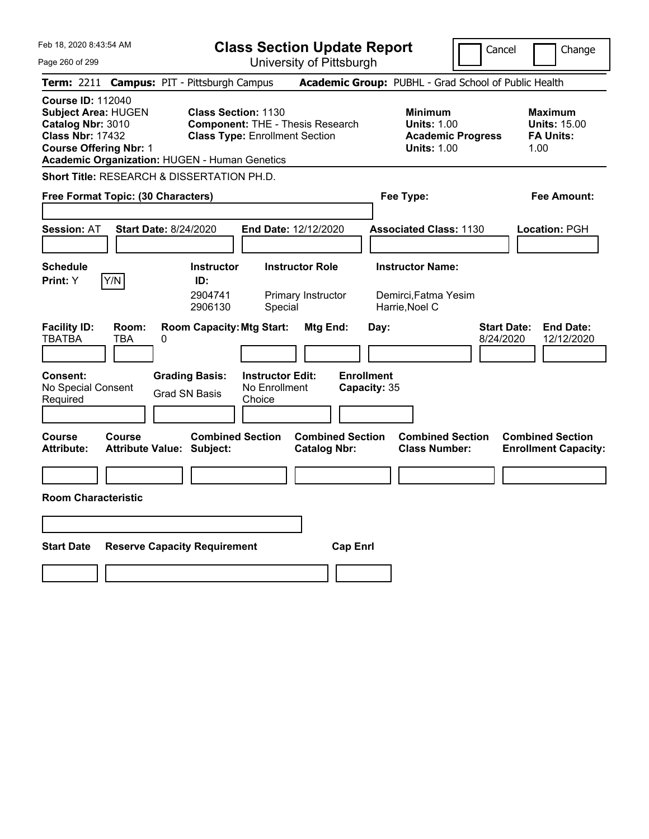| Feb 18, 2020 8:43:54 AM                                                                                                                                                                  | <b>Class Section Update Report</b>                                                                                                      |                                                       |                                                                                        | Cancel<br>Change                                                  |
|------------------------------------------------------------------------------------------------------------------------------------------------------------------------------------------|-----------------------------------------------------------------------------------------------------------------------------------------|-------------------------------------------------------|----------------------------------------------------------------------------------------|-------------------------------------------------------------------|
| Page 260 of 299                                                                                                                                                                          | University of Pittsburgh                                                                                                                |                                                       |                                                                                        |                                                                   |
| <b>Term:</b> 2211                                                                                                                                                                        | <b>Campus: PIT - Pittsburgh Campus</b>                                                                                                  |                                                       | Academic Group: PUBHL - Grad School of Public Health                                   |                                                                   |
| <b>Course ID: 112040</b><br><b>Subject Area: HUGEN</b><br>Catalog Nbr: 3010<br><b>Class Nbr: 17432</b><br><b>Course Offering Nbr: 1</b><br>Academic Organization: HUGEN - Human Genetics | <b>Class Section: 1130</b><br><b>Component: THE - Thesis Research</b><br><b>Class Type: Enrollment Section</b>                          |                                                       | <b>Minimum</b><br><b>Units: 1.00</b><br><b>Academic Progress</b><br><b>Units: 1.00</b> | <b>Maximum</b><br><b>Units: 15.00</b><br><b>FA Units:</b><br>1.00 |
| Short Title: RESEARCH & DISSERTATION PH.D.                                                                                                                                               |                                                                                                                                         |                                                       |                                                                                        |                                                                   |
| Free Format Topic: (30 Characters)                                                                                                                                                       |                                                                                                                                         |                                                       | Fee Type:                                                                              | Fee Amount:                                                       |
| <b>Session: AT</b><br>Start Date: 8/24/2020                                                                                                                                              | End Date: 12/12/2020                                                                                                                    |                                                       | <b>Associated Class: 1130</b>                                                          | Location: PGH                                                     |
| <b>Schedule</b><br>Y/N<br>Print: Y                                                                                                                                                       | <b>Instructor Role</b><br><b>Instructor</b><br>ID:<br>2904741<br>Primary Instructor<br>2906130<br>Special                               |                                                       | <b>Instructor Name:</b><br>Demirci.Fatma Yesim<br>Harrie, Noel C                       |                                                                   |
| <b>Facility ID:</b><br>Room:<br><b>TBATBA</b><br>TBA<br>0<br>Consent:<br>No Special Consent<br>Required                                                                                  | <b>Room Capacity: Mtg Start:</b><br><b>Grading Basis:</b><br><b>Instructor Edit:</b><br>No Enrollment<br><b>Grad SN Basis</b><br>Choice | Mtg End:<br>Day:<br><b>Enrollment</b><br>Capacity: 35 |                                                                                        | <b>Start Date:</b><br><b>End Date:</b><br>8/24/2020<br>12/12/2020 |
| Course<br><b>Course</b><br><b>Attribute:</b><br><b>Attribute Value: Subject:</b>                                                                                                         | <b>Combined Section</b>                                                                                                                 | <b>Combined Section</b><br><b>Catalog Nbr:</b>        | <b>Combined Section</b><br><b>Class Number:</b>                                        | <b>Combined Section</b><br><b>Enrollment Capacity:</b>            |
| <b>Room Characteristic</b>                                                                                                                                                               |                                                                                                                                         |                                                       |                                                                                        |                                                                   |
| <b>Start Date</b>                                                                                                                                                                        | <b>Reserve Capacity Requirement</b>                                                                                                     | <b>Cap Enri</b>                                       |                                                                                        |                                                                   |
|                                                                                                                                                                                          |                                                                                                                                         |                                                       |                                                                                        |                                                                   |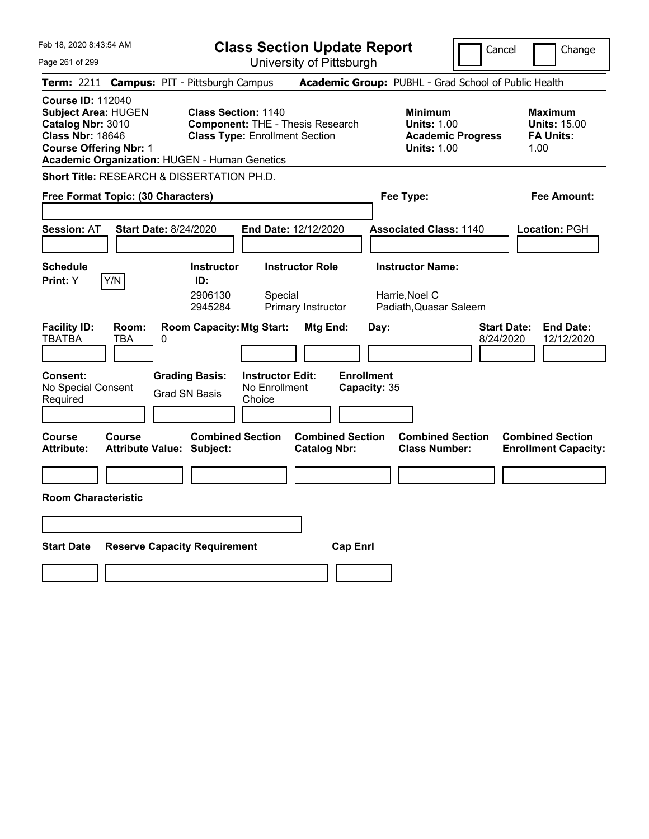| Feb 18, 2020 8:43:54 AM                                                                                                                                                                  | <b>Class Section Update Report</b><br>Cancel<br>Change                                                                                  |                                                       |                                                                                        |                                                                   |  |
|------------------------------------------------------------------------------------------------------------------------------------------------------------------------------------------|-----------------------------------------------------------------------------------------------------------------------------------------|-------------------------------------------------------|----------------------------------------------------------------------------------------|-------------------------------------------------------------------|--|
| Page 261 of 299                                                                                                                                                                          | University of Pittsburgh                                                                                                                |                                                       |                                                                                        |                                                                   |  |
| <b>Term:</b> 2211                                                                                                                                                                        | <b>Campus: PIT - Pittsburgh Campus</b>                                                                                                  |                                                       | Academic Group: PUBHL - Grad School of Public Health                                   |                                                                   |  |
| <b>Course ID: 112040</b><br><b>Subject Area: HUGEN</b><br>Catalog Nbr: 3010<br><b>Class Nbr: 18646</b><br><b>Course Offering Nbr: 1</b><br>Academic Organization: HUGEN - Human Genetics | <b>Class Section: 1140</b><br><b>Component: THE - Thesis Research</b><br><b>Class Type: Enrollment Section</b>                          |                                                       | <b>Minimum</b><br><b>Units: 1.00</b><br><b>Academic Progress</b><br><b>Units: 1.00</b> | <b>Maximum</b><br><b>Units: 15.00</b><br><b>FA Units:</b><br>1.00 |  |
| Short Title: RESEARCH & DISSERTATION PH.D.                                                                                                                                               |                                                                                                                                         |                                                       |                                                                                        |                                                                   |  |
| Free Format Topic: (30 Characters)                                                                                                                                                       |                                                                                                                                         |                                                       | Fee Type:                                                                              | Fee Amount:                                                       |  |
| <b>Start Date: 8/24/2020</b><br><b>Session: AT</b>                                                                                                                                       | End Date: 12/12/2020                                                                                                                    |                                                       | <b>Associated Class: 1140</b>                                                          | Location: PGH                                                     |  |
| <b>Schedule</b><br>Y/N<br>Print: Y                                                                                                                                                       | <b>Instructor Role</b><br><b>Instructor</b><br>ID:<br>2906130<br>Special<br>2945284<br>Primary Instructor                               |                                                       | <b>Instructor Name:</b><br>Harrie, Noel C<br>Padiath, Quasar Saleem                    |                                                                   |  |
| <b>Facility ID:</b><br>Room:<br><b>TBATBA</b><br>TBA<br>0<br><b>Consent:</b><br>No Special Consent<br>Required                                                                           | <b>Room Capacity: Mtg Start:</b><br><b>Instructor Edit:</b><br><b>Grading Basis:</b><br>No Enrollment<br><b>Grad SN Basis</b><br>Choice | Mtg End:<br>Day:<br><b>Enrollment</b><br>Capacity: 35 |                                                                                        | <b>End Date:</b><br><b>Start Date:</b><br>8/24/2020<br>12/12/2020 |  |
| Course<br><b>Course</b><br><b>Attribute Value: Subject:</b><br>Attribute:                                                                                                                | <b>Combined Section</b>                                                                                                                 | <b>Combined Section</b><br><b>Catalog Nbr:</b>        | <b>Combined Section</b><br><b>Class Number:</b>                                        | <b>Combined Section</b><br><b>Enrollment Capacity:</b>            |  |
|                                                                                                                                                                                          |                                                                                                                                         |                                                       |                                                                                        |                                                                   |  |
| <b>Room Characteristic</b>                                                                                                                                                               |                                                                                                                                         |                                                       |                                                                                        |                                                                   |  |
|                                                                                                                                                                                          |                                                                                                                                         |                                                       |                                                                                        |                                                                   |  |
| <b>Start Date</b>                                                                                                                                                                        | <b>Reserve Capacity Requirement</b>                                                                                                     | <b>Cap Enrl</b>                                       |                                                                                        |                                                                   |  |
|                                                                                                                                                                                          |                                                                                                                                         |                                                       |                                                                                        |                                                                   |  |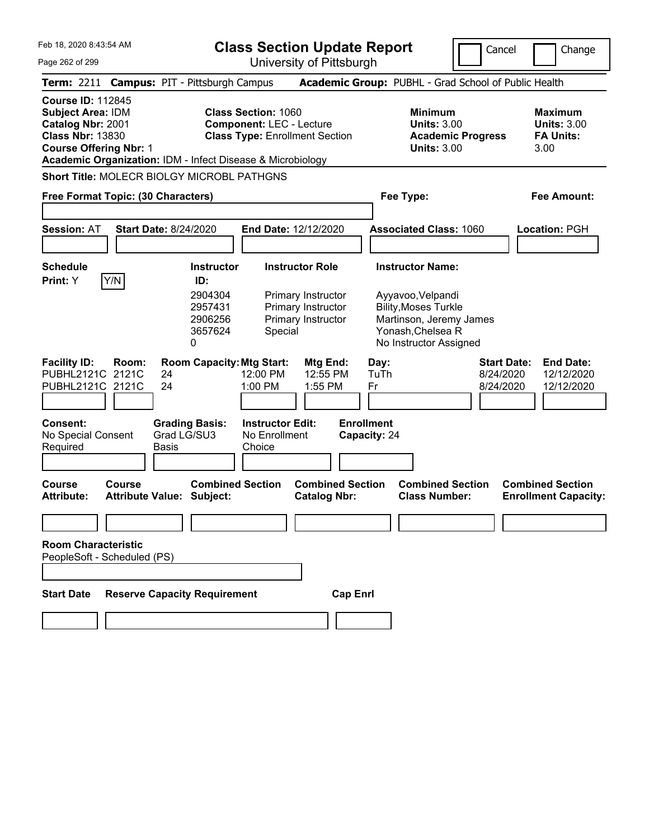**Class Section Update Report**

University of Pittsburgh

Cancel **Change** 

Page 262 of 299

|                                                                                               |                                                           |          | Term: 2211 Campus: PIT - Pittsburgh Campus                         |                                                                                                                                                                      |                                                                                          |                 |                                   |           | Academic Group: PUBHL - Grad School of Public Health                                                                                                  |                                              |                                                                  |
|-----------------------------------------------------------------------------------------------|-----------------------------------------------------------|----------|--------------------------------------------------------------------|----------------------------------------------------------------------------------------------------------------------------------------------------------------------|------------------------------------------------------------------------------------------|-----------------|-----------------------------------|-----------|-------------------------------------------------------------------------------------------------------------------------------------------------------|----------------------------------------------|------------------------------------------------------------------|
| <b>Course ID: 112845</b><br>Subject Area: IDM<br>Catalog Nbr: 2001<br><b>Class Nbr: 13830</b> | <b>Course Offering Nbr: 1</b>                             |          |                                                                    | <b>Class Section: 1060</b><br><b>Component: LEC - Lecture</b><br><b>Class Type: Enrollment Section</b><br>Academic Organization: IDM - Infect Disease & Microbiology |                                                                                          |                 |                                   |           | <b>Minimum</b><br><b>Units: 3.00</b><br><b>Academic Progress</b><br><b>Units: 3.00</b>                                                                |                                              | <b>Maximum</b><br><b>Units: 3.00</b><br><b>FA Units:</b><br>3.00 |
|                                                                                               |                                                           |          | <b>Short Title: MOLECR BIOLGY MICROBL PATHGNS</b>                  |                                                                                                                                                                      |                                                                                          |                 |                                   |           |                                                                                                                                                       |                                              |                                                                  |
|                                                                                               | Free Format Topic: (30 Characters)                        |          |                                                                    |                                                                                                                                                                      |                                                                                          |                 |                                   | Fee Type: |                                                                                                                                                       |                                              | Fee Amount:                                                      |
| <b>Session: AT</b>                                                                            | <b>Start Date: 8/24/2020</b>                              |          |                                                                    | End Date: 12/12/2020                                                                                                                                                 |                                                                                          |                 |                                   |           | <b>Associated Class: 1060</b>                                                                                                                         |                                              | Location: PGH                                                    |
| <b>Schedule</b><br>Print: Y                                                                   | Y/N                                                       |          | Instructor<br>ID:<br>2904304<br>2957431<br>2906256<br>3657624<br>0 | Special                                                                                                                                                              | <b>Instructor Role</b><br>Primary Instructor<br>Primary Instructor<br>Primary Instructor |                 |                                   |           | <b>Instructor Name:</b><br>Ayyavoo, Velpandi<br><b>Bility, Moses Turkle</b><br>Martinson, Jeremy James<br>Yonash, Chelsea R<br>No Instructor Assigned |                                              |                                                                  |
| <b>Facility ID:</b>                                                                           | Room:<br>PUBHL2121C 2121C<br>PUBHL2121C 2121C             | 24<br>24 | <b>Room Capacity: Mtg Start:</b>                                   | 12:00 PM<br>1:00 PM                                                                                                                                                  | Mtg End:<br>12:55 PM<br>1:55 PM                                                          |                 | Day:<br>TuTh<br>Fr                |           |                                                                                                                                                       | <b>Start Date:</b><br>8/24/2020<br>8/24/2020 | <b>End Date:</b><br>12/12/2020<br>12/12/2020                     |
| Consent:<br>No Special Consent<br>Required                                                    |                                                           | Basis    | <b>Grading Basis:</b><br>Grad LG/SU3                               | <b>Instructor Edit:</b><br>No Enrollment<br>Choice                                                                                                                   |                                                                                          |                 | <b>Enrollment</b><br>Capacity: 24 |           |                                                                                                                                                       |                                              |                                                                  |
| <b>Course</b><br><b>Attribute:</b>                                                            | Course<br><b>Attribute Value: Subject:</b>                |          | <b>Combined Section</b>                                            |                                                                                                                                                                      | <b>Combined Section</b><br><b>Catalog Nbr:</b>                                           |                 |                                   |           | <b>Combined Section</b><br><b>Class Number:</b>                                                                                                       |                                              | <b>Combined Section</b><br><b>Enrollment Capacity:</b>           |
|                                                                                               | <b>Room Characteristic</b><br>PeopleSoft - Scheduled (PS) |          |                                                                    |                                                                                                                                                                      |                                                                                          |                 |                                   |           |                                                                                                                                                       |                                              |                                                                  |
| <b>Start Date</b>                                                                             |                                                           |          | <b>Reserve Capacity Requirement</b>                                |                                                                                                                                                                      |                                                                                          | <b>Cap Enrl</b> |                                   |           |                                                                                                                                                       |                                              |                                                                  |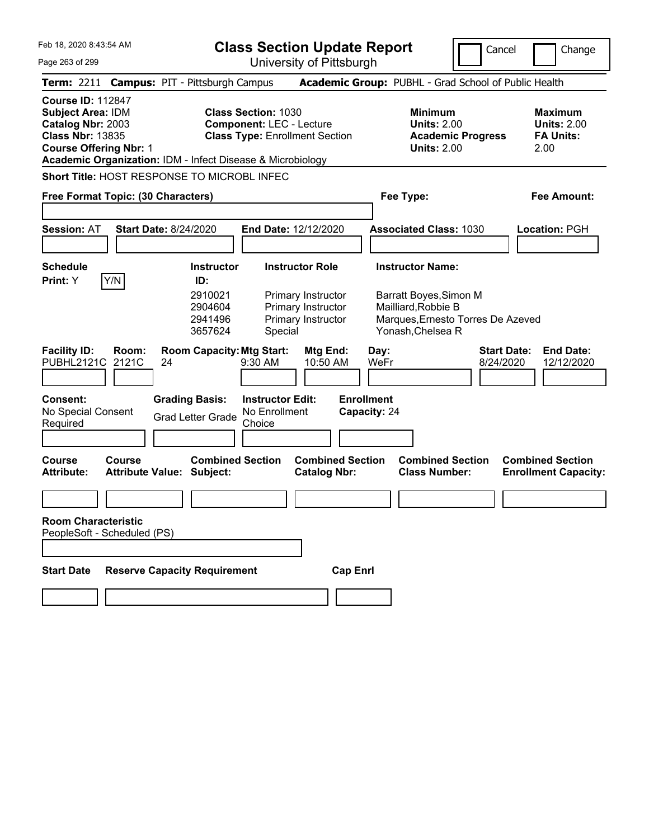**Class Section Update Report** University of Pittsburgh

Cancel Change

Page 263 of 299

|                                                                                                                                       |                | Term: 2211 Campus: PIT - Pittsburgh Campus                           |                                                                                                                                                                      | Academic Group: PUBHL - Grad School of Public Health                                          |                                   |                                                                  |
|---------------------------------------------------------------------------------------------------------------------------------------|----------------|----------------------------------------------------------------------|----------------------------------------------------------------------------------------------------------------------------------------------------------------------|-----------------------------------------------------------------------------------------------|-----------------------------------|------------------------------------------------------------------|
| <b>Course ID: 112847</b><br><b>Subject Area: IDM</b><br>Catalog Nbr: 2003<br><b>Class Nbr: 13835</b><br><b>Course Offering Nbr: 1</b> |                |                                                                      | <b>Class Section: 1030</b><br><b>Component: LEC - Lecture</b><br><b>Class Type: Enrollment Section</b><br>Academic Organization: IDM - Infect Disease & Microbiology | <b>Minimum</b><br><b>Units: 2.00</b><br><b>Units: 2.00</b>                                    | <b>Academic Progress</b>          | <b>Maximum</b><br><b>Units: 2.00</b><br><b>FA Units:</b><br>2.00 |
|                                                                                                                                       |                | <b>Short Title: HOST RESPONSE TO MICROBL INFEC</b>                   |                                                                                                                                                                      |                                                                                               |                                   |                                                                  |
| Free Format Topic: (30 Characters)                                                                                                    |                |                                                                      |                                                                                                                                                                      | Fee Type:                                                                                     |                                   | Fee Amount:                                                      |
| <b>Session: AT</b>                                                                                                                    |                | <b>Start Date: 8/24/2020</b>                                         | <b>End Date: 12/12/2020</b>                                                                                                                                          | <b>Associated Class: 1030</b>                                                                 |                                   | <b>Location: PGH</b>                                             |
| <b>Schedule</b><br>Print: Y                                                                                                           | Y/N            | <b>Instructor</b><br>ID:<br>2910021<br>2904604<br>2941496<br>3657624 | <b>Instructor Role</b><br>Primary Instructor<br>Primary Instructor<br>Primary Instructor<br>Special                                                                  | <b>Instructor Name:</b><br>Barratt Boyes, Simon M<br>Mailliard, Robbie B<br>Yonash, Chelsea R | Marques, Ernesto Torres De Azeved |                                                                  |
| <b>Facility ID:</b><br>PUBHL2121C                                                                                                     | Room:<br>2121C | <b>Room Capacity: Mtg Start:</b><br>24                               | <b>Mtg End:</b><br>10:50 AM<br>9:30 AM                                                                                                                               | Day:<br>WeFr                                                                                  | <b>Start Date:</b><br>8/24/2020   | <b>End Date:</b><br>12/12/2020                                   |
| Consent:<br>No Special Consent<br>Required                                                                                            |                | <b>Grading Basis:</b><br><b>Grad Letter Grade</b>                    | <b>Instructor Edit:</b><br>No Enrollment<br>Choice                                                                                                                   | <b>Enrollment</b><br>Capacity: 24                                                             |                                   |                                                                  |
| Course<br><b>Attribute:</b>                                                                                                           | Course         | <b>Combined Section</b><br><b>Attribute Value: Subject:</b>          | <b>Catalog Nbr:</b>                                                                                                                                                  | <b>Combined Section</b><br><b>Combined Section</b><br><b>Class Number:</b>                    |                                   | <b>Combined Section</b><br><b>Enrollment Capacity:</b>           |
| <b>Room Characteristic</b><br>PeopleSoft - Scheduled (PS)                                                                             |                |                                                                      |                                                                                                                                                                      |                                                                                               |                                   |                                                                  |
| <b>Start Date</b>                                                                                                                     |                | <b>Reserve Capacity Requirement</b>                                  |                                                                                                                                                                      | <b>Cap Enrl</b>                                                                               |                                   |                                                                  |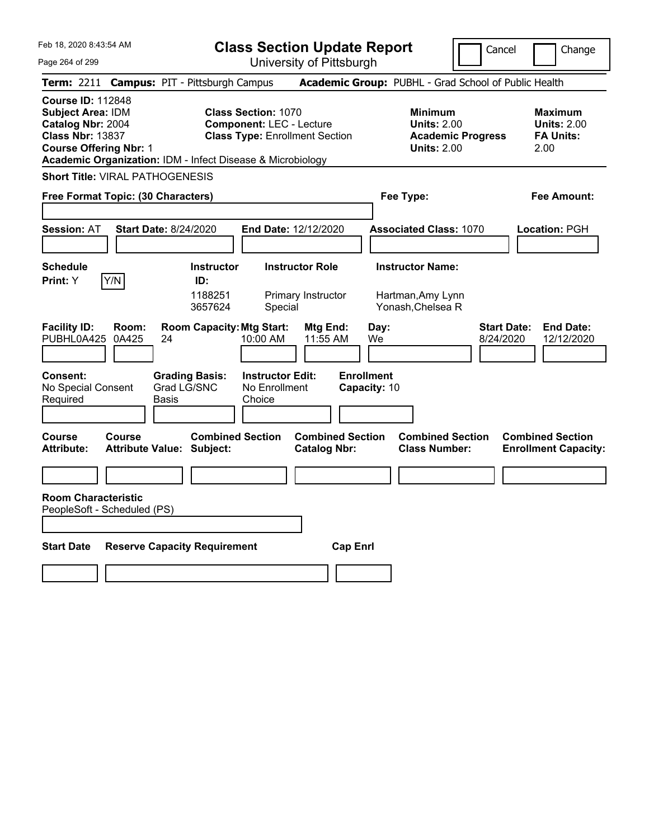**Class Section Update Report**

Cancel **I** Change

| Page 264 of 299                                                                                                                                                                              | University of Pittsburgh                                                                               |                                                                                        |                                                                  |
|----------------------------------------------------------------------------------------------------------------------------------------------------------------------------------------------|--------------------------------------------------------------------------------------------------------|----------------------------------------------------------------------------------------|------------------------------------------------------------------|
| Term: 2211 Campus: PIT - Pittsburgh Campus                                                                                                                                                   |                                                                                                        | Academic Group: PUBHL - Grad School of Public Health                                   |                                                                  |
| <b>Course ID: 112848</b><br>Subject Area: IDM<br>Catalog Nbr: 2004<br><b>Class Nbr: 13837</b><br><b>Course Offering Nbr: 1</b><br>Academic Organization: IDM - Infect Disease & Microbiology | <b>Class Section: 1070</b><br><b>Component: LEC - Lecture</b><br><b>Class Type: Enrollment Section</b> | <b>Minimum</b><br><b>Units: 2.00</b><br><b>Academic Progress</b><br><b>Units: 2.00</b> | <b>Maximum</b><br><b>Units: 2.00</b><br><b>FA Units:</b><br>2.00 |
| <b>Short Title: VIRAL PATHOGENESIS</b>                                                                                                                                                       |                                                                                                        |                                                                                        |                                                                  |
| Free Format Topic: (30 Characters)                                                                                                                                                           |                                                                                                        | Fee Type:                                                                              | Fee Amount:                                                      |
| <b>Session: AT</b><br><b>Start Date: 8/24/2020</b>                                                                                                                                           | End Date: 12/12/2020                                                                                   | <b>Associated Class: 1070</b>                                                          | Location: PGH                                                    |
| <b>Schedule</b><br><b>Instructor</b><br>Y/N<br>ID:<br><b>Print:</b> Y<br>1188251<br>3657624                                                                                                  | <b>Instructor Role</b><br>Primary Instructor<br>Special                                                | <b>Instructor Name:</b><br>Hartman, Amy Lynn<br>Yonash, Chelsea R                      |                                                                  |
| <b>Facility ID:</b><br><b>Room Capacity: Mtg Start:</b><br>Room:<br>PUBHL0A425<br>0A425<br>24                                                                                                | Mtg End:<br>10:00 AM<br>11:55 AM                                                                       | <b>Start Date:</b><br>Day:<br>We<br>8/24/2020                                          | <b>End Date:</b><br>12/12/2020                                   |
| <b>Consent:</b><br><b>Grading Basis:</b><br>Grad LG/SNC<br>No Special Consent<br>Required<br>Basis                                                                                           | <b>Enrollment</b><br><b>Instructor Edit:</b><br>No Enrollment<br>Choice                                | Capacity: 10                                                                           |                                                                  |
| <b>Combined Section</b><br>Course<br>Course<br><b>Attribute Value: Subject:</b><br><b>Attribute:</b>                                                                                         | <b>Combined Section</b><br><b>Catalog Nbr:</b>                                                         | <b>Combined Section</b><br><b>Class Number:</b>                                        | <b>Combined Section</b><br><b>Enrollment Capacity:</b>           |
| <b>Room Characteristic</b><br>PeopleSoft - Scheduled (PS)                                                                                                                                    |                                                                                                        |                                                                                        |                                                                  |
| <b>Start Date</b><br><b>Reserve Capacity Requirement</b>                                                                                                                                     | <b>Cap Enrl</b>                                                                                        |                                                                                        |                                                                  |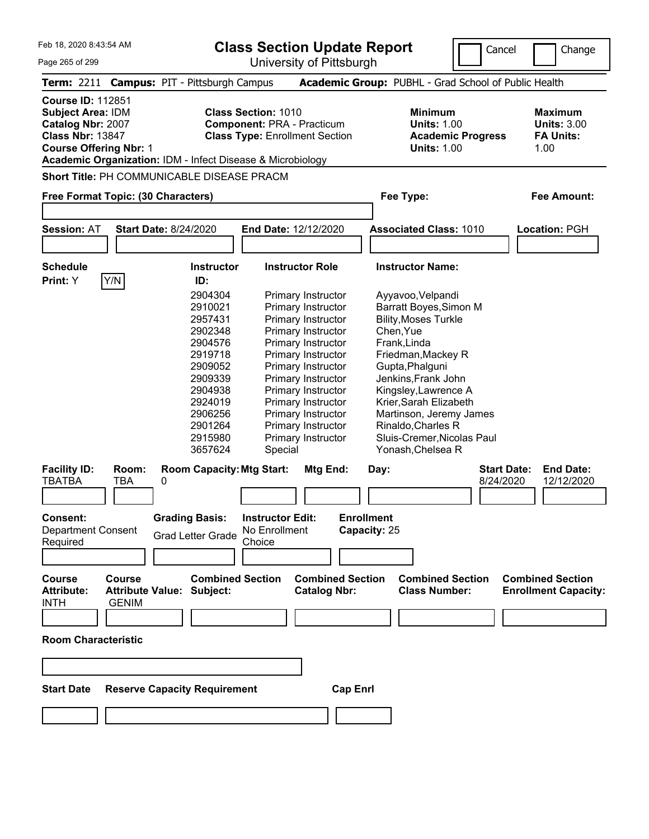| Feb 18, 2020 8:43:54 AM            |     |                                                            | <b>Class Section Update Report</b>    | Cancel                                                      | Change             |
|------------------------------------|-----|------------------------------------------------------------|---------------------------------------|-------------------------------------------------------------|--------------------|
| Page 265 of 299                    |     |                                                            | University of Pittsburgh              |                                                             |                    |
|                                    |     | Term: 2211 Campus: PIT - Pittsburgh Campus                 |                                       | <b>Academic Group: PUBHL - Grad School of Public Health</b> |                    |
| <b>Course ID: 112851</b>           |     |                                                            |                                       |                                                             |                    |
| Subject Area: IDM                  |     |                                                            | <b>Class Section: 1010</b>            | <b>Minimum</b>                                              | <b>Maximum</b>     |
| Catalog Nbr: 2007                  |     |                                                            | <b>Component: PRA - Practicum</b>     | <b>Units: 1.00</b>                                          | <b>Units: 3.00</b> |
| <b>Class Nbr: 13847</b>            |     |                                                            | <b>Class Type: Enrollment Section</b> | <b>Academic Progress</b>                                    | <b>FA Units:</b>   |
| <b>Course Offering Nbr: 1</b>      |     |                                                            |                                       | <b>Units: 1.00</b>                                          | 1.00               |
|                                    |     | Academic Organization: IDM - Infect Disease & Microbiology |                                       |                                                             |                    |
|                                    |     | <b>Short Title: PH COMMUNICABLE DISEASE PRACM</b>          |                                       |                                                             |                    |
| Free Format Topic: (30 Characters) |     |                                                            |                                       | Fee Type:                                                   | Fee Amount:        |
|                                    |     |                                                            |                                       |                                                             |                    |
| <b>Session: AT</b>                 |     | <b>Start Date: 8/24/2020</b>                               | <b>End Date: 12/12/2020</b>           | <b>Associated Class: 1010</b>                               | Location: PGH      |
|                                    |     |                                                            |                                       |                                                             |                    |
| <b>Schedule</b>                    |     | <b>Instructor</b>                                          | <b>Instructor Role</b>                | <b>Instructor Name:</b>                                     |                    |
| Print: Y                           | Y/N | ID:                                                        |                                       |                                                             |                    |
|                                    |     | 2904304                                                    | Primary Instructor                    | Ayyavoo, Velpandi                                           |                    |
|                                    |     | 2910021                                                    | Primary Instructor                    | Barratt Boyes, Simon M                                      |                    |
|                                    |     | 2957431                                                    | Primary Instructor                    | <b>Bility, Moses Turkle</b>                                 |                    |
|                                    |     | 2902348                                                    | Primary Instructor                    | Chen, Yue                                                   |                    |
|                                    |     | 2904576                                                    | Primary Instructor                    | Frank, Linda                                                |                    |
|                                    |     | 2919718                                                    | Primary Instructor                    | Friedman, Mackey R                                          |                    |
|                                    |     | 2909052                                                    | <b>Primary Instructor</b>             | Gupta.Phalguni                                              |                    |

| <b>Session: AT</b>         |                         | <b>Start Date: 8/24/2020</b>        | End Date: 12/12/2020    | <b>Associated Class: 1010</b> | Location: PGH                          |
|----------------------------|-------------------------|-------------------------------------|-------------------------|-------------------------------|----------------------------------------|
|                            |                         |                                     |                         |                               |                                        |
| <b>Schedule</b>            |                         | <b>Instructor</b>                   | <b>Instructor Role</b>  | <b>Instructor Name:</b>       |                                        |
| Print: Y                   | Y/N                     | ID:                                 |                         |                               |                                        |
|                            |                         | 2904304                             | Primary Instructor      | Ayyavoo, Velpandi             |                                        |
|                            |                         | 2910021                             | Primary Instructor      | Barratt Boyes, Simon M        |                                        |
|                            |                         | 2957431                             | Primary Instructor      | <b>Bility, Moses Turkle</b>   |                                        |
|                            |                         | 2902348                             | Primary Instructor      | Chen, Yue                     |                                        |
|                            |                         | 2904576                             | Primary Instructor      | Frank, Linda                  |                                        |
|                            |                         | 2919718                             | Primary Instructor      | Friedman, Mackey R            |                                        |
|                            |                         | 2909052                             | Primary Instructor      | Gupta, Phalguni               |                                        |
|                            |                         | 2909339                             | Primary Instructor      | Jenkins, Frank John           |                                        |
|                            |                         | 2904938                             | Primary Instructor      | Kingsley, Lawrence A          |                                        |
|                            |                         | 2924019                             | Primary Instructor      | Krier, Sarah Elizabeth        |                                        |
|                            |                         | 2906256                             | Primary Instructor      | Martinson, Jeremy James       |                                        |
|                            |                         | 2901264                             | Primary Instructor      | Rinaldo, Charles R            |                                        |
|                            |                         | 2915980                             | Primary Instructor      | Sluis-Cremer, Nicolas Paul    |                                        |
|                            |                         | 3657624                             | Special                 | Yonash, Chelsea R             |                                        |
| <b>Facility ID:</b>        | Room:                   | <b>Room Capacity: Mtg Start:</b>    | Mtg End:                | Day:                          | <b>Start Date:</b><br><b>End Date:</b> |
| TBATBA                     | <b>TBA</b>              | 0                                   |                         | 8/24/2020                     | 12/12/2020                             |
|                            |                         |                                     |                         |                               |                                        |
| Consent:                   |                         |                                     | <b>Instructor Edit:</b> | <b>Enrollment</b>             |                                        |
| <b>Department Consent</b>  |                         | <b>Grading Basis:</b>               | No Enrollment           | Capacity: 25                  |                                        |
| Required                   |                         | <b>Grad Letter Grade</b>            | Choice                  |                               |                                        |
|                            |                         |                                     |                         |                               |                                        |
|                            |                         |                                     |                         |                               |                                        |
| <b>Course</b>              | <b>Course</b>           | <b>Combined Section</b>             | <b>Combined Section</b> | <b>Combined Section</b>       | <b>Combined Section</b>                |
| <b>Attribute:</b>          | <b>Attribute Value:</b> | Subject:                            | <b>Catalog Nbr:</b>     | <b>Class Number:</b>          | <b>Enrollment Capacity:</b>            |
| <b>INTH</b>                | <b>GENIM</b>            |                                     |                         |                               |                                        |
|                            |                         |                                     |                         |                               |                                        |
|                            |                         |                                     |                         |                               |                                        |
| <b>Room Characteristic</b> |                         |                                     |                         |                               |                                        |
|                            |                         |                                     |                         |                               |                                        |
|                            |                         |                                     |                         |                               |                                        |
|                            |                         |                                     |                         |                               |                                        |
| <b>Start Date</b>          |                         | <b>Reserve Capacity Requirement</b> | <b>Cap Enrl</b>         |                               |                                        |
|                            |                         |                                     |                         |                               |                                        |
|                            |                         |                                     |                         |                               |                                        |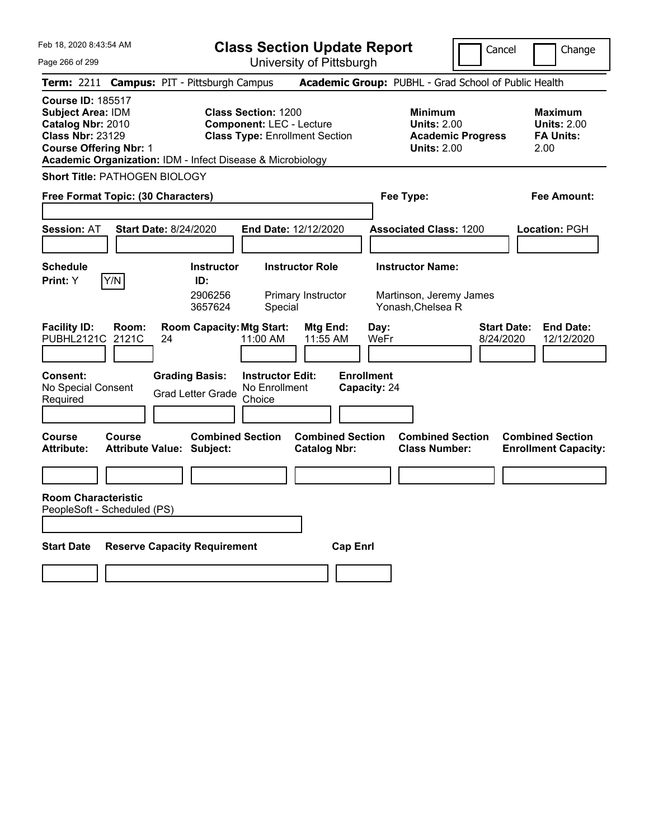**Class Section Update Report**

Cancel **Change** 

| Page 266 of 299                                                                                                                                                                              |                                                             | University of Pittsburgh                                                                               |                                                                                        |                                                                   |
|----------------------------------------------------------------------------------------------------------------------------------------------------------------------------------------------|-------------------------------------------------------------|--------------------------------------------------------------------------------------------------------|----------------------------------------------------------------------------------------|-------------------------------------------------------------------|
| Term: 2211 Campus: PIT - Pittsburgh Campus                                                                                                                                                   |                                                             |                                                                                                        | Academic Group: PUBHL - Grad School of Public Health                                   |                                                                   |
| <b>Course ID: 185517</b><br>Subject Area: IDM<br>Catalog Nbr: 2010<br><b>Class Nbr: 23129</b><br><b>Course Offering Nbr: 1</b><br>Academic Organization: IDM - Infect Disease & Microbiology |                                                             | <b>Class Section: 1200</b><br><b>Component: LEC - Lecture</b><br><b>Class Type: Enrollment Section</b> | <b>Minimum</b><br><b>Units: 2.00</b><br><b>Academic Progress</b><br><b>Units: 2.00</b> | <b>Maximum</b><br><b>Units: 2.00</b><br><b>FA Units:</b><br>2.00  |
| <b>Short Title: PATHOGEN BIOLOGY</b>                                                                                                                                                         |                                                             |                                                                                                        |                                                                                        |                                                                   |
| Free Format Topic: (30 Characters)                                                                                                                                                           |                                                             |                                                                                                        | Fee Type:                                                                              | Fee Amount:                                                       |
| <b>Session: AT</b>                                                                                                                                                                           | <b>Start Date: 8/24/2020</b>                                | End Date: 12/12/2020                                                                                   | <b>Associated Class: 1200</b>                                                          | Location: PGH                                                     |
| <b>Schedule</b><br>Print: Y<br>Y/N                                                                                                                                                           | <b>Instructor</b><br>ID:<br>2906256<br>3657624              | <b>Instructor Role</b><br>Primary Instructor<br>Special                                                | <b>Instructor Name:</b><br>Martinson, Jeremy James<br>Yonash, Chelsea R                |                                                                   |
| <b>Facility ID:</b><br>Room:<br>PUBHL2121C<br>2121C                                                                                                                                          | <b>Room Capacity: Mtg Start:</b><br>24                      | Mtg End:<br>11:00 AM<br>11:55 AM                                                                       | Day:<br>WeFr                                                                           | <b>Start Date:</b><br><b>End Date:</b><br>8/24/2020<br>12/12/2020 |
| Consent:<br>No Special Consent<br>Required                                                                                                                                                   | <b>Grading Basis:</b><br><b>Grad Letter Grade</b>           | <b>Instructor Edit:</b><br>No Enrollment<br>Choice                                                     | <b>Enrollment</b><br>Capacity: 24                                                      |                                                                   |
| <b>Course</b><br><b>Course</b><br><b>Attribute:</b>                                                                                                                                          | <b>Combined Section</b><br><b>Attribute Value: Subject:</b> | <b>Combined Section</b><br><b>Catalog Nbr:</b>                                                         | <b>Combined Section</b><br><b>Class Number:</b>                                        | <b>Combined Section</b><br><b>Enrollment Capacity:</b>            |
|                                                                                                                                                                                              |                                                             |                                                                                                        |                                                                                        |                                                                   |
| <b>Room Characteristic</b><br>PeopleSoft - Scheduled (PS)                                                                                                                                    |                                                             |                                                                                                        |                                                                                        |                                                                   |
| <b>Start Date</b>                                                                                                                                                                            | <b>Reserve Capacity Requirement</b>                         | <b>Cap Enrl</b>                                                                                        |                                                                                        |                                                                   |
|                                                                                                                                                                                              |                                                             |                                                                                                        |                                                                                        |                                                                   |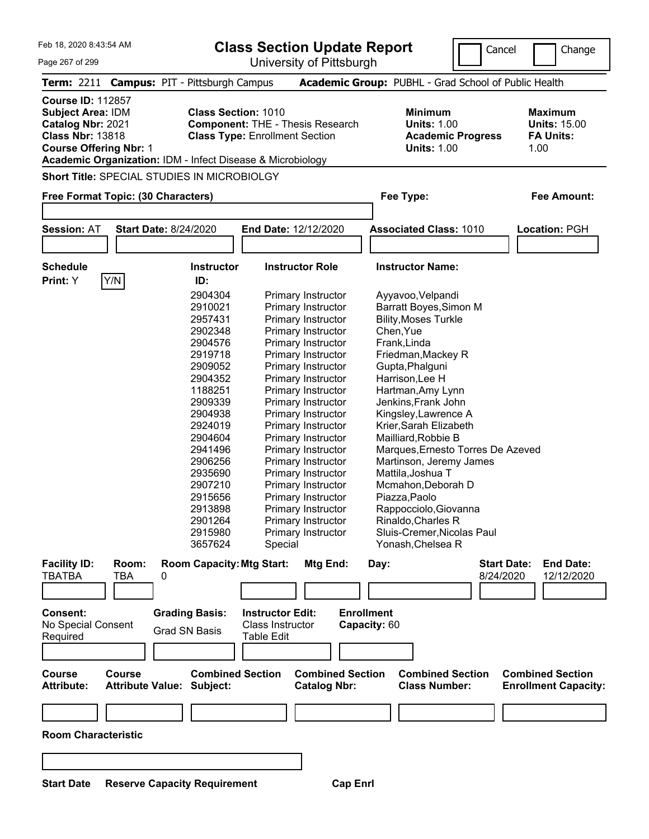Cancel Change

| Page 267 of 299                                                                                                                       |                                                                                                                                                                                                                                                | University of Pittsburgh                                                                                                                                                                                                                                                                                                                                                                                                                                                                                   |                                                                                                                                                                                                                                                                                                                                                                                                                                                                                                                        |                                                                   |
|---------------------------------------------------------------------------------------------------------------------------------------|------------------------------------------------------------------------------------------------------------------------------------------------------------------------------------------------------------------------------------------------|------------------------------------------------------------------------------------------------------------------------------------------------------------------------------------------------------------------------------------------------------------------------------------------------------------------------------------------------------------------------------------------------------------------------------------------------------------------------------------------------------------|------------------------------------------------------------------------------------------------------------------------------------------------------------------------------------------------------------------------------------------------------------------------------------------------------------------------------------------------------------------------------------------------------------------------------------------------------------------------------------------------------------------------|-------------------------------------------------------------------|
| <b>Term: 2211</b>                                                                                                                     | <b>Campus: PIT - Pittsburgh Campus</b>                                                                                                                                                                                                         |                                                                                                                                                                                                                                                                                                                                                                                                                                                                                                            | Academic Group: PUBHL - Grad School of Public Health                                                                                                                                                                                                                                                                                                                                                                                                                                                                   |                                                                   |
| <b>Course ID: 112857</b><br><b>Subject Area: IDM</b><br>Catalog Nbr: 2021<br><b>Class Nbr: 13818</b><br><b>Course Offering Nbr: 1</b> |                                                                                                                                                                                                                                                | <b>Class Section: 1010</b><br><b>Component: THE - Thesis Research</b><br><b>Class Type: Enrollment Section</b><br>Academic Organization: IDM - Infect Disease & Microbiology                                                                                                                                                                                                                                                                                                                               | <b>Minimum</b><br><b>Units: 1.00</b><br><b>Academic Progress</b><br><b>Units: 1.00</b>                                                                                                                                                                                                                                                                                                                                                                                                                                 | <b>Maximum</b><br><b>Units: 15.00</b><br><b>FA Units:</b><br>1.00 |
|                                                                                                                                       | <b>Short Title: SPECIAL STUDIES IN MICROBIOLGY</b>                                                                                                                                                                                             |                                                                                                                                                                                                                                                                                                                                                                                                                                                                                                            |                                                                                                                                                                                                                                                                                                                                                                                                                                                                                                                        |                                                                   |
|                                                                                                                                       | Free Format Topic: (30 Characters)                                                                                                                                                                                                             |                                                                                                                                                                                                                                                                                                                                                                                                                                                                                                            | Fee Type:                                                                                                                                                                                                                                                                                                                                                                                                                                                                                                              | <b>Fee Amount:</b>                                                |
| <b>Session: AT</b>                                                                                                                    | <b>Start Date: 8/24/2020</b>                                                                                                                                                                                                                   | End Date: 12/12/2020                                                                                                                                                                                                                                                                                                                                                                                                                                                                                       | <b>Associated Class: 1010</b>                                                                                                                                                                                                                                                                                                                                                                                                                                                                                          | Location: PGH                                                     |
| <b>Schedule</b><br>Print: Y                                                                                                           | Y/N <br>ID:                                                                                                                                                                                                                                    | <b>Instructor Role</b><br><b>Instructor</b>                                                                                                                                                                                                                                                                                                                                                                                                                                                                | <b>Instructor Name:</b>                                                                                                                                                                                                                                                                                                                                                                                                                                                                                                |                                                                   |
|                                                                                                                                       | 2904304<br>2910021<br>2957431<br>2902348<br>2904576<br>2919718<br>2909052<br>2904352<br>1188251<br>2909339<br>2904938<br>2924019<br>2904604<br>2941496<br>2906256<br>2935690<br>2907210<br>2915656<br>2913898<br>2901264<br>2915980<br>3657624 | <b>Primary Instructor</b><br>Primary Instructor<br>Primary Instructor<br>Primary Instructor<br><b>Primary Instructor</b><br>Primary Instructor<br>Primary Instructor<br>Primary Instructor<br>Primary Instructor<br>Primary Instructor<br><b>Primary Instructor</b><br>Primary Instructor<br>Primary Instructor<br>Primary Instructor<br>Primary Instructor<br>Primary Instructor<br>Primary Instructor<br>Primary Instructor<br>Primary Instructor<br>Primary Instructor<br>Primary Instructor<br>Special | Ayyavoo, Velpandi<br>Barratt Boyes, Simon M<br><b>Bility, Moses Turkle</b><br>Chen, Yue<br>Frank, Linda<br>Friedman, Mackey R<br>Gupta, Phalguni<br>Harrison, Lee H<br>Hartman, Amy Lynn<br>Jenkins, Frank John<br>Kingsley, Lawrence A<br>Krier, Sarah Elizabeth<br>Mailliard, Robbie B<br>Marques, Ernesto Torres De Azeved<br>Martinson, Jeremy James<br>Mattila, Joshua T<br>Mcmahon, Deborah D<br>Piazza, Paolo<br>Rappocciolo, Giovanna<br>Rinaldo, Charles R<br>Sluis-Cremer, Nicolas Paul<br>Yonash, Chelsea R |                                                                   |
| <b>Facility ID:</b><br><b>TBATBA</b><br>Consent:<br>No Special Consent                                                                | Room:<br>TBA<br>0<br><b>Grading Basis:</b>                                                                                                                                                                                                     | <b>Room Capacity: Mtg Start:</b><br>Mtg End:<br><b>Instructor Edit:</b><br>Class Instructor                                                                                                                                                                                                                                                                                                                                                                                                                | Day:<br>8/24/2020<br><b>Enrollment</b><br>Capacity: 60                                                                                                                                                                                                                                                                                                                                                                                                                                                                 | <b>Start Date:</b><br><b>End Date:</b><br>12/12/2020              |
| Required<br><b>Course</b><br><b>Attribute:</b>                                                                                        | <b>Grad SN Basis</b><br><b>Course</b><br><b>Attribute Value: Subject:</b>                                                                                                                                                                      | Table Edit<br><b>Combined Section</b><br><b>Combined Section</b><br><b>Catalog Nbr:</b>                                                                                                                                                                                                                                                                                                                                                                                                                    | <b>Combined Section</b><br><b>Class Number:</b>                                                                                                                                                                                                                                                                                                                                                                                                                                                                        | <b>Combined Section</b><br><b>Enrollment Capacity:</b>            |
| <b>Room Characteristic</b>                                                                                                            |                                                                                                                                                                                                                                                |                                                                                                                                                                                                                                                                                                                                                                                                                                                                                                            |                                                                                                                                                                                                                                                                                                                                                                                                                                                                                                                        |                                                                   |
|                                                                                                                                       |                                                                                                                                                                                                                                                |                                                                                                                                                                                                                                                                                                                                                                                                                                                                                                            |                                                                                                                                                                                                                                                                                                                                                                                                                                                                                                                        |                                                                   |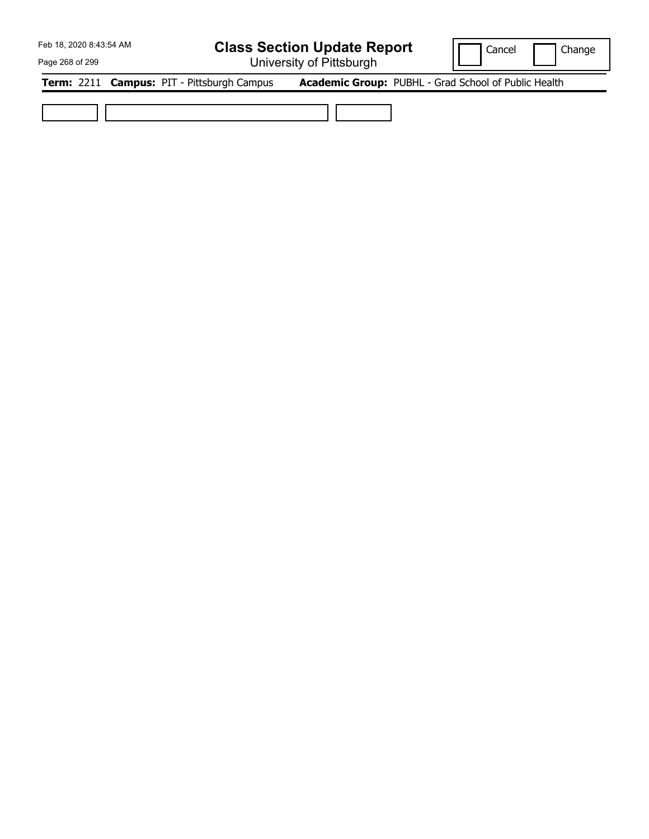## **Class Section Update Report**

University of Pittsburgh

Cancel | Change

Page 268 of 299

**Term:** 2211 **Campus:** PIT - Pittsburgh Campus **Academic Group:** PUBHL - Grad School of Public Health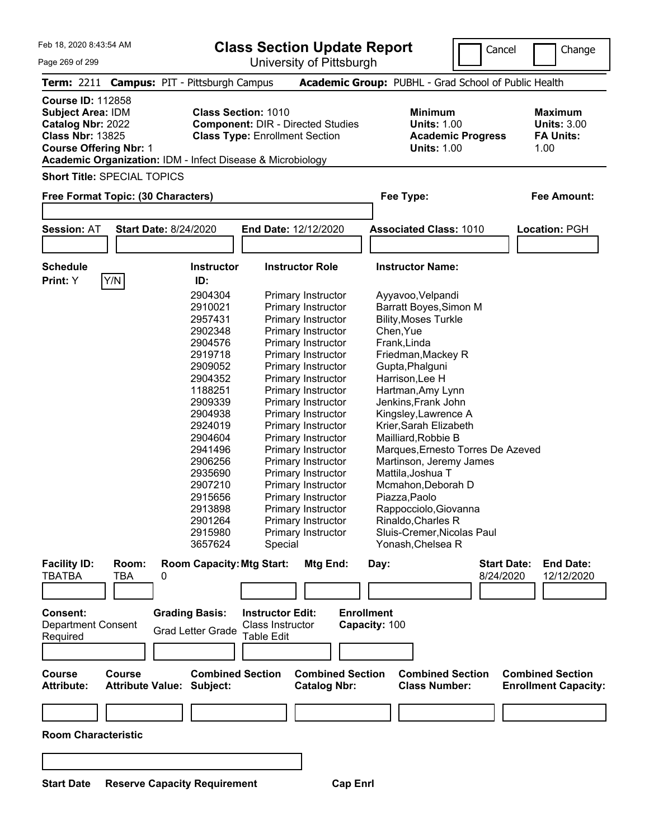**Class Section Update Report**

Cancel Change

| Page 269 of 299                                                                                                                       | University of Pittsburgh                                                                                                                                                                                                                                                                                                                                                                                                                                                                                                                                                                                                                                                                                                                       |                                                                                                                                                                                                                                                                                                                                                                                                                                                                                                                        |                                                                  |
|---------------------------------------------------------------------------------------------------------------------------------------|------------------------------------------------------------------------------------------------------------------------------------------------------------------------------------------------------------------------------------------------------------------------------------------------------------------------------------------------------------------------------------------------------------------------------------------------------------------------------------------------------------------------------------------------------------------------------------------------------------------------------------------------------------------------------------------------------------------------------------------------|------------------------------------------------------------------------------------------------------------------------------------------------------------------------------------------------------------------------------------------------------------------------------------------------------------------------------------------------------------------------------------------------------------------------------------------------------------------------------------------------------------------------|------------------------------------------------------------------|
| Term: 2211 Campus: PIT - Pittsburgh Campus                                                                                            |                                                                                                                                                                                                                                                                                                                                                                                                                                                                                                                                                                                                                                                                                                                                                | Academic Group: PUBHL - Grad School of Public Health                                                                                                                                                                                                                                                                                                                                                                                                                                                                   |                                                                  |
| <b>Course ID: 112858</b><br><b>Subject Area: IDM</b><br>Catalog Nbr: 2022<br><b>Class Nbr: 13825</b><br><b>Course Offering Nbr: 1</b> | <b>Class Section: 1010</b><br><b>Component: DIR - Directed Studies</b><br><b>Class Type: Enrollment Section</b><br>Academic Organization: IDM - Infect Disease & Microbiology                                                                                                                                                                                                                                                                                                                                                                                                                                                                                                                                                                  | <b>Minimum</b><br><b>Units: 1.00</b><br><b>Academic Progress</b><br><b>Units: 1.00</b>                                                                                                                                                                                                                                                                                                                                                                                                                                 | <b>Maximum</b><br><b>Units: 3.00</b><br><b>FA Units:</b><br>1.00 |
| <b>Short Title: SPECIAL TOPICS</b>                                                                                                    |                                                                                                                                                                                                                                                                                                                                                                                                                                                                                                                                                                                                                                                                                                                                                |                                                                                                                                                                                                                                                                                                                                                                                                                                                                                                                        |                                                                  |
| Free Format Topic: (30 Characters)                                                                                                    |                                                                                                                                                                                                                                                                                                                                                                                                                                                                                                                                                                                                                                                                                                                                                | Fee Type:                                                                                                                                                                                                                                                                                                                                                                                                                                                                                                              | Fee Amount:                                                      |
| <b>Session: AT</b><br><b>Start Date: 8/24/2020</b>                                                                                    | End Date: 12/12/2020                                                                                                                                                                                                                                                                                                                                                                                                                                                                                                                                                                                                                                                                                                                           | <b>Associated Class: 1010</b>                                                                                                                                                                                                                                                                                                                                                                                                                                                                                          | Location: PGH                                                    |
|                                                                                                                                       |                                                                                                                                                                                                                                                                                                                                                                                                                                                                                                                                                                                                                                                                                                                                                |                                                                                                                                                                                                                                                                                                                                                                                                                                                                                                                        |                                                                  |
| <b>Schedule</b><br>Y/N<br>Print: Y                                                                                                    | <b>Instructor Role</b><br><b>Instructor</b><br>ID:                                                                                                                                                                                                                                                                                                                                                                                                                                                                                                                                                                                                                                                                                             | <b>Instructor Name:</b>                                                                                                                                                                                                                                                                                                                                                                                                                                                                                                |                                                                  |
|                                                                                                                                       | 2904304<br><b>Primary Instructor</b><br>2910021<br>Primary Instructor<br>2957431<br>Primary Instructor<br>2902348<br>Primary Instructor<br>2904576<br>Primary Instructor<br>2919718<br>Primary Instructor<br>2909052<br>Primary Instructor<br>2904352<br>Primary Instructor<br>1188251<br>Primary Instructor<br>2909339<br>Primary Instructor<br>2904938<br>Primary Instructor<br>2924019<br>Primary Instructor<br>2904604<br>Primary Instructor<br>2941496<br>Primary Instructor<br>2906256<br>Primary Instructor<br>2935690<br>Primary Instructor<br>2907210<br>Primary Instructor<br>2915656<br>Primary Instructor<br>2913898<br>Primary Instructor<br>2901264<br>Primary Instructor<br>2915980<br>Primary Instructor<br>3657624<br>Special | Ayyavoo, Velpandi<br>Barratt Boyes, Simon M<br><b>Bility, Moses Turkle</b><br>Chen, Yue<br>Frank, Linda<br>Friedman, Mackey R<br>Gupta, Phalguni<br>Harrison, Lee H<br>Hartman, Amy Lynn<br>Jenkins, Frank John<br>Kingsley, Lawrence A<br>Krier, Sarah Elizabeth<br>Mailliard, Robbie B<br>Marques, Ernesto Torres De Azeved<br>Martinson, Jeremy James<br>Mattila, Joshua T<br>Mcmahon, Deborah D<br>Piazza, Paolo<br>Rappocciolo, Giovanna<br>Rinaldo, Charles R<br>Sluis-Cremer, Nicolas Paul<br>Yonash, Chelsea R |                                                                  |
| <b>Facility ID:</b><br>Room:<br><b>TBATBA</b><br><b>TBA</b><br>0                                                                      | <b>Room Capacity: Mtg Start:</b><br>Mtg End:                                                                                                                                                                                                                                                                                                                                                                                                                                                                                                                                                                                                                                                                                                   | <b>Start Date:</b><br>Day:<br>8/24/2020                                                                                                                                                                                                                                                                                                                                                                                                                                                                                | <b>End Date:</b><br>12/12/2020                                   |
| Consent:<br><b>Department Consent</b><br>Required                                                                                     | <b>Grading Basis:</b><br><b>Instructor Edit:</b><br><b>Class Instructor</b><br><b>Grad Letter Grade</b><br>Table Edit                                                                                                                                                                                                                                                                                                                                                                                                                                                                                                                                                                                                                          | <b>Enrollment</b><br>Capacity: 100                                                                                                                                                                                                                                                                                                                                                                                                                                                                                     |                                                                  |
| <b>Course</b><br><b>Course</b><br><b>Attribute:</b><br><b>Attribute Value: Subject:</b>                                               | <b>Combined Section</b><br><b>Catalog Nbr:</b>                                                                                                                                                                                                                                                                                                                                                                                                                                                                                                                                                                                                                                                                                                 | <b>Combined Section</b><br><b>Combined Section</b><br><b>Class Number:</b>                                                                                                                                                                                                                                                                                                                                                                                                                                             | <b>Combined Section</b><br><b>Enrollment Capacity:</b>           |
|                                                                                                                                       |                                                                                                                                                                                                                                                                                                                                                                                                                                                                                                                                                                                                                                                                                                                                                |                                                                                                                                                                                                                                                                                                                                                                                                                                                                                                                        |                                                                  |
| <b>Room Characteristic</b>                                                                                                            |                                                                                                                                                                                                                                                                                                                                                                                                                                                                                                                                                                                                                                                                                                                                                |                                                                                                                                                                                                                                                                                                                                                                                                                                                                                                                        |                                                                  |
|                                                                                                                                       |                                                                                                                                                                                                                                                                                                                                                                                                                                                                                                                                                                                                                                                                                                                                                |                                                                                                                                                                                                                                                                                                                                                                                                                                                                                                                        |                                                                  |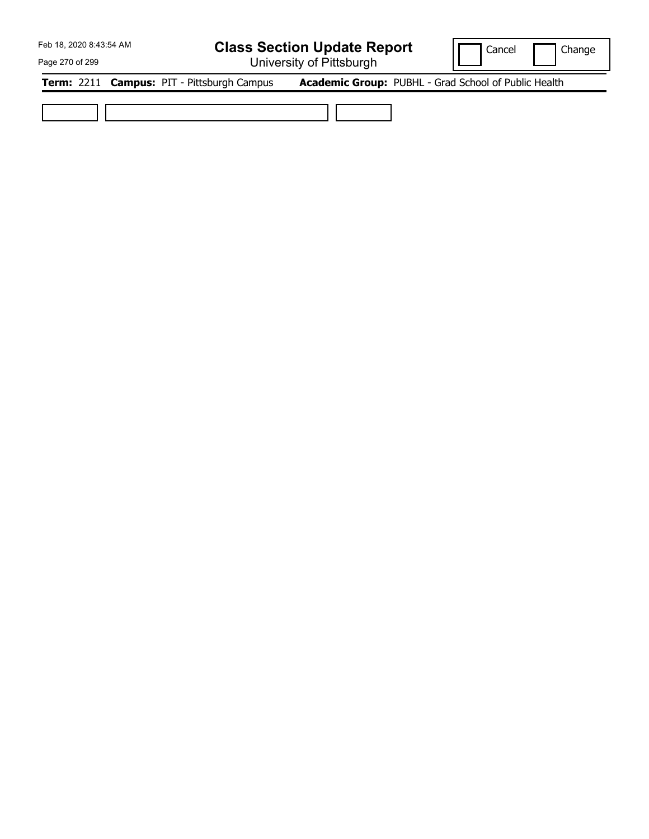## **Class Section Update Report**

University of Pittsburgh

Cancel | Change

Page 270 of 299

**Term:** 2211 **Campus:** PIT - Pittsburgh Campus **Academic Group:** PUBHL - Grad School of Public Health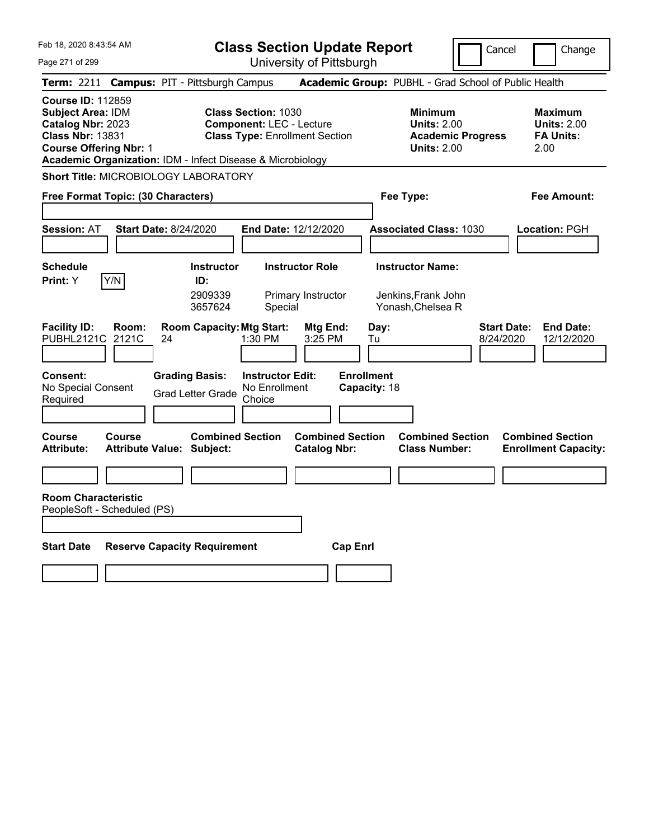|  | Feb 18, 2020 8:43:54 AM |  |
|--|-------------------------|--|
|  |                         |  |

Page 271 of 299

**Class Section Update Report**

Cancel **Change** 

|                                                                                                                                                                                                     |                                                             | University ULT ittsburght                                                                              |                                                |                                                                                        |                                                                   |
|-----------------------------------------------------------------------------------------------------------------------------------------------------------------------------------------------------|-------------------------------------------------------------|--------------------------------------------------------------------------------------------------------|------------------------------------------------|----------------------------------------------------------------------------------------|-------------------------------------------------------------------|
| Term: 2211 Campus: PIT - Pittsburgh Campus                                                                                                                                                          |                                                             |                                                                                                        |                                                | Academic Group: PUBHL - Grad School of Public Health                                   |                                                                   |
| <b>Course ID: 112859</b><br><b>Subject Area: IDM</b><br>Catalog Nbr: 2023<br><b>Class Nbr: 13831</b><br><b>Course Offering Nbr: 1</b><br>Academic Organization: IDM - Infect Disease & Microbiology |                                                             | <b>Class Section: 1030</b><br><b>Component: LEC - Lecture</b><br><b>Class Type: Enrollment Section</b> |                                                | <b>Minimum</b><br><b>Units: 2.00</b><br><b>Academic Progress</b><br><b>Units: 2.00</b> | <b>Maximum</b><br><b>Units: 2.00</b><br><b>FA Units:</b><br>2.00  |
| Short Title: MICROBIOLOGY LABORATORY                                                                                                                                                                |                                                             |                                                                                                        |                                                |                                                                                        |                                                                   |
| Free Format Topic: (30 Characters)                                                                                                                                                                  |                                                             |                                                                                                        |                                                | Fee Type:                                                                              | <b>Fee Amount:</b>                                                |
| <b>Session: AT</b>                                                                                                                                                                                  | <b>Start Date: 8/24/2020</b>                                | End Date: 12/12/2020                                                                                   |                                                | <b>Associated Class: 1030</b>                                                          | Location: PGH                                                     |
| <b>Schedule</b>                                                                                                                                                                                     | <b>Instructor</b>                                           | <b>Instructor Role</b>                                                                                 |                                                | <b>Instructor Name:</b>                                                                |                                                                   |
| Y/N<br><b>Print:</b> Y                                                                                                                                                                              | ID:<br>2909339<br>3657624                                   | Primary Instructor<br>Special                                                                          |                                                | Jenkins, Frank John<br>Yonash, Chelsea R                                               |                                                                   |
| <b>Facility ID:</b><br>Room:<br>PUBHL2121C 2121C                                                                                                                                                    | <b>Room Capacity: Mtg Start:</b><br>24                      | 1:30 PM                                                                                                | Mtg End:<br>Day:<br>3:25 PM<br>Tu              |                                                                                        | <b>Start Date:</b><br><b>End Date:</b><br>8/24/2020<br>12/12/2020 |
| Consent:<br>No Special Consent<br>Required                                                                                                                                                          | <b>Grading Basis:</b><br><b>Grad Letter Grade</b>           | <b>Instructor Edit:</b><br>No Enrollment<br>Choice                                                     | <b>Enrollment</b><br>Capacity: 18              |                                                                                        |                                                                   |
| <b>Course</b><br><b>Course</b><br><b>Attribute:</b>                                                                                                                                                 | <b>Combined Section</b><br><b>Attribute Value: Subject:</b> |                                                                                                        | <b>Combined Section</b><br><b>Catalog Nbr:</b> | <b>Combined Section</b><br><b>Class Number:</b>                                        | <b>Combined Section</b><br><b>Enrollment Capacity:</b>            |
|                                                                                                                                                                                                     |                                                             |                                                                                                        |                                                |                                                                                        |                                                                   |
| <b>Room Characteristic</b><br>PeopleSoft - Scheduled (PS)                                                                                                                                           |                                                             |                                                                                                        |                                                |                                                                                        |                                                                   |
| <b>Start Date</b>                                                                                                                                                                                   | <b>Reserve Capacity Requirement</b>                         |                                                                                                        | <b>Cap Enrl</b>                                |                                                                                        |                                                                   |
|                                                                                                                                                                                                     |                                                             |                                                                                                        |                                                |                                                                                        |                                                                   |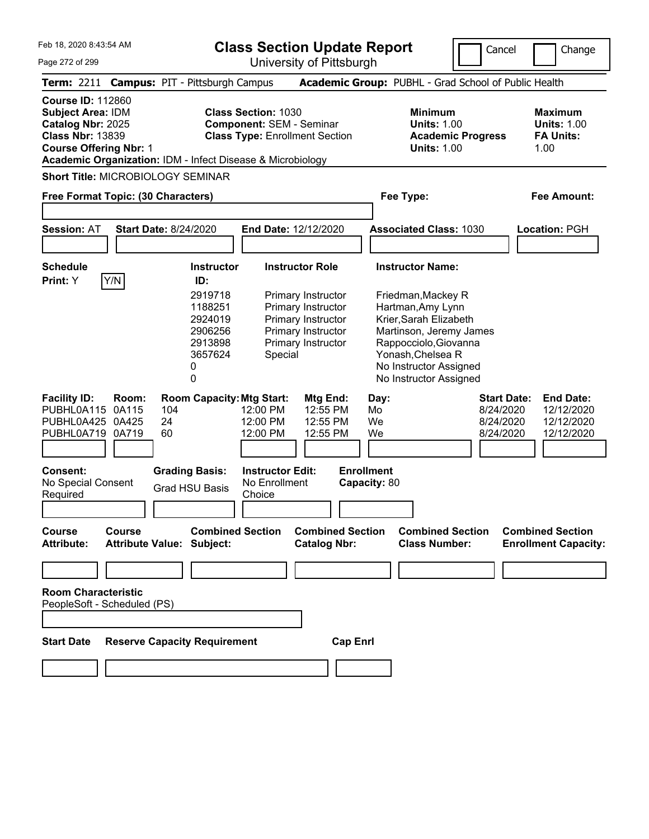**Class Section Update Report**

University of Pittsburgh

Cancel Change

Page 272 of 299

|                                                                                                                                       |                                  |                                                                                                       | University of Fillspurgh                                                                                                                                             |                                                              |                                                                                                                                |                                                                  |
|---------------------------------------------------------------------------------------------------------------------------------------|----------------------------------|-------------------------------------------------------------------------------------------------------|----------------------------------------------------------------------------------------------------------------------------------------------------------------------|--------------------------------------------------------------|--------------------------------------------------------------------------------------------------------------------------------|------------------------------------------------------------------|
|                                                                                                                                       |                                  | Term: 2211 Campus: PIT - Pittsburgh Campus                                                            |                                                                                                                                                                      | Academic Group: PUBHL - Grad School of Public Health         |                                                                                                                                |                                                                  |
| <b>Course ID: 112860</b><br><b>Subject Area: IDM</b><br>Catalog Nbr: 2025<br><b>Class Nbr: 13839</b><br><b>Course Offering Nbr: 1</b> |                                  |                                                                                                       | <b>Class Section: 1030</b><br><b>Component: SEM - Seminar</b><br><b>Class Type: Enrollment Section</b><br>Academic Organization: IDM - Infect Disease & Microbiology |                                                              | <b>Minimum</b><br><b>Units: 1.00</b><br><b>Academic Progress</b><br><b>Units: 1.00</b>                                         | <b>Maximum</b><br><b>Units: 1.00</b><br><b>FA Units:</b><br>1.00 |
|                                                                                                                                       |                                  | <b>Short Title: MICROBIOLOGY SEMINAR</b>                                                              |                                                                                                                                                                      |                                                              |                                                                                                                                |                                                                  |
| Free Format Topic: (30 Characters)                                                                                                    |                                  |                                                                                                       |                                                                                                                                                                      | Fee Type:                                                    |                                                                                                                                | <b>Fee Amount:</b>                                               |
| <b>Session: AT</b>                                                                                                                    |                                  | <b>Start Date: 8/24/2020</b>                                                                          | <b>End Date: 12/12/2020</b>                                                                                                                                          |                                                              | <b>Associated Class: 1030</b>                                                                                                  | Location: PGH                                                    |
|                                                                                                                                       |                                  |                                                                                                       |                                                                                                                                                                      |                                                              |                                                                                                                                |                                                                  |
| <b>Schedule</b><br>Print: Y                                                                                                           | Y/N                              | <b>Instructor</b><br>ID:                                                                              | <b>Instructor Role</b>                                                                                                                                               | <b>Instructor Name:</b>                                      |                                                                                                                                |                                                                  |
|                                                                                                                                       |                                  | 2919718<br>1188251<br>2924019<br>2906256<br>2913898<br>3657624<br>0<br>0                              | Primary Instructor<br>Primary Instructor<br>Primary Instructor<br>Primary Instructor<br>Primary Instructor<br>Special                                                | Friedman, Mackey R<br>Hartman, Amy Lynn<br>Yonash, Chelsea R | Krier, Sarah Elizabeth<br>Martinson, Jeremy James<br>Rappocciolo, Giovanna<br>No Instructor Assigned<br>No Instructor Assigned |                                                                  |
| <b>Facility ID:</b><br>PUBHL0A115<br>PUBHL0A425<br>PUBHL0A719<br>Consent:<br>No Special Consent                                       | Room:<br>0A115<br>0A425<br>0A719 | <b>Room Capacity: Mtg Start:</b><br>104<br>24<br>60<br><b>Grading Basis:</b><br><b>Grad HSU Basis</b> | Mtg End:<br>12:55 PM<br>12:00 PM<br>12:00 PM<br>12:55 PM<br>12:55 PM<br>12:00 PM<br><b>Instructor Edit:</b><br>No Enrollment                                         | Day:<br>Mo<br>We<br>We<br><b>Enrollment</b><br>Capacity: 80  | <b>Start Date:</b><br>8/24/2020<br>8/24/2020<br>8/24/2020                                                                      | <b>End Date:</b><br>12/12/2020<br>12/12/2020<br>12/12/2020       |
| Required                                                                                                                              |                                  |                                                                                                       | Choice                                                                                                                                                               |                                                              |                                                                                                                                |                                                                  |
| <b>Course</b><br><b>Attribute:</b>                                                                                                    | <b>Course</b>                    | <b>Combined Section</b><br>Attribute Value: Subject:                                                  | <b>Catalog Nbr:</b>                                                                                                                                                  | <b>Combined Section</b>                                      | <b>Combined Section</b><br><b>Class Number:</b>                                                                                | <b>Combined Section</b><br><b>Enrollment Capacity:</b>           |
|                                                                                                                                       |                                  |                                                                                                       |                                                                                                                                                                      |                                                              |                                                                                                                                |                                                                  |
| <b>Room Characteristic</b><br>PeopleSoft - Scheduled (PS)                                                                             |                                  |                                                                                                       |                                                                                                                                                                      |                                                              |                                                                                                                                |                                                                  |
| <b>Start Date</b>                                                                                                                     |                                  | <b>Reserve Capacity Requirement</b>                                                                   |                                                                                                                                                                      | <b>Cap Enrl</b>                                              |                                                                                                                                |                                                                  |
|                                                                                                                                       |                                  |                                                                                                       |                                                                                                                                                                      |                                                              |                                                                                                                                |                                                                  |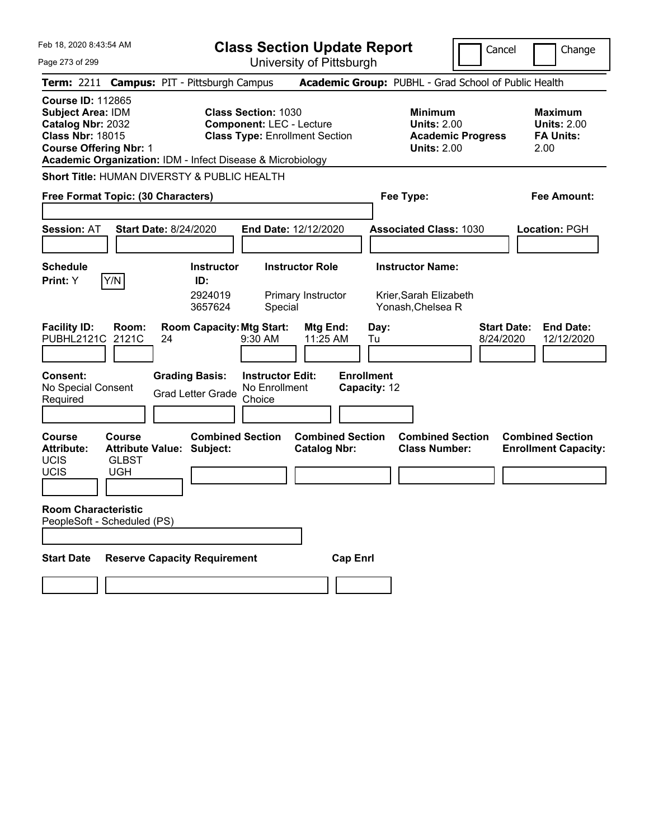Page 273 of 299

**Class Section Update Report**

Cancel Change

| Term: 2211 Campus: PIT - Pittsburgh Campus                                                                                                                                                          |                                                                          |    |                                                                                       |                                                                                                        |                                                |                 |                                                 | Academic Group: PUBHL - Grad School of Public Health                                   |                                 |                                                                  |
|-----------------------------------------------------------------------------------------------------------------------------------------------------------------------------------------------------|--------------------------------------------------------------------------|----|---------------------------------------------------------------------------------------|--------------------------------------------------------------------------------------------------------|------------------------------------------------|-----------------|-------------------------------------------------|----------------------------------------------------------------------------------------|---------------------------------|------------------------------------------------------------------|
| <b>Course ID: 112865</b><br><b>Subject Area: IDM</b><br>Catalog Nbr: 2032<br><b>Class Nbr: 18015</b><br><b>Course Offering Nbr: 1</b><br>Academic Organization: IDM - Infect Disease & Microbiology |                                                                          |    |                                                                                       | <b>Class Section: 1030</b><br><b>Component: LEC - Lecture</b><br><b>Class Type: Enrollment Section</b> |                                                |                 |                                                 | <b>Minimum</b><br><b>Units: 2.00</b><br><b>Academic Progress</b><br><b>Units: 2.00</b> |                                 | <b>Maximum</b><br><b>Units: 2.00</b><br><b>FA Units:</b><br>2.00 |
| Short Title: HUMAN DIVERSTY & PUBLIC HEALTH                                                                                                                                                         |                                                                          |    |                                                                                       |                                                                                                        |                                                |                 |                                                 |                                                                                        |                                 |                                                                  |
| Free Format Topic: (30 Characters)                                                                                                                                                                  |                                                                          |    |                                                                                       |                                                                                                        |                                                |                 |                                                 | Fee Type:                                                                              |                                 | Fee Amount:                                                      |
| Session: AT                                                                                                                                                                                         | <b>Start Date: 8/24/2020</b>                                             |    |                                                                                       | End Date: 12/12/2020                                                                                   |                                                |                 |                                                 | <b>Associated Class: 1030</b>                                                          |                                 | Location: PGH                                                    |
| <b>Schedule</b><br>Print: Y                                                                                                                                                                         | Y/N                                                                      |    | <b>Instructor</b><br>ID:<br>2924019                                                   |                                                                                                        | <b>Instructor Role</b><br>Primary Instructor   |                 |                                                 | <b>Instructor Name:</b><br>Krier, Sarah Elizabeth                                      |                                 |                                                                  |
|                                                                                                                                                                                                     |                                                                          |    | 3657624                                                                               | Special                                                                                                |                                                |                 |                                                 | Yonash, Chelsea R                                                                      |                                 |                                                                  |
| <b>Facility ID:</b><br><b>PUBHL2121C</b><br>Consent:<br>No Special Consent<br>Required                                                                                                              | Room:<br>2121C                                                           | 24 | <b>Room Capacity: Mtg Start:</b><br><b>Grading Basis:</b><br><b>Grad Letter Grade</b> | 9:30 AM<br><b>Instructor Edit:</b><br>No Enrollment<br>Choice                                          | Mtg End:<br>11:25 AM                           |                 | Day:<br>Tu<br><b>Enrollment</b><br>Capacity: 12 |                                                                                        | <b>Start Date:</b><br>8/24/2020 | <b>End Date:</b><br>12/12/2020                                   |
| Course<br><b>Attribute:</b><br><b>UCIS</b><br><b>UCIS</b><br><b>Room Characteristic</b><br>PeopleSoft - Scheduled (PS)                                                                              | Course<br><b>Attribute Value: Subject:</b><br><b>GLBST</b><br><b>UGH</b> |    | <b>Combined Section</b>                                                               |                                                                                                        | <b>Combined Section</b><br><b>Catalog Nbr:</b> |                 |                                                 | <b>Combined Section</b><br><b>Class Number:</b>                                        |                                 | <b>Combined Section</b><br><b>Enrollment Capacity:</b>           |
|                                                                                                                                                                                                     |                                                                          |    |                                                                                       |                                                                                                        |                                                |                 |                                                 |                                                                                        |                                 |                                                                  |
| <b>Start Date</b>                                                                                                                                                                                   |                                                                          |    | <b>Reserve Capacity Requirement</b>                                                   |                                                                                                        |                                                | <b>Cap Enrl</b> |                                                 |                                                                                        |                                 |                                                                  |
|                                                                                                                                                                                                     |                                                                          |    |                                                                                       |                                                                                                        |                                                |                 |                                                 |                                                                                        |                                 |                                                                  |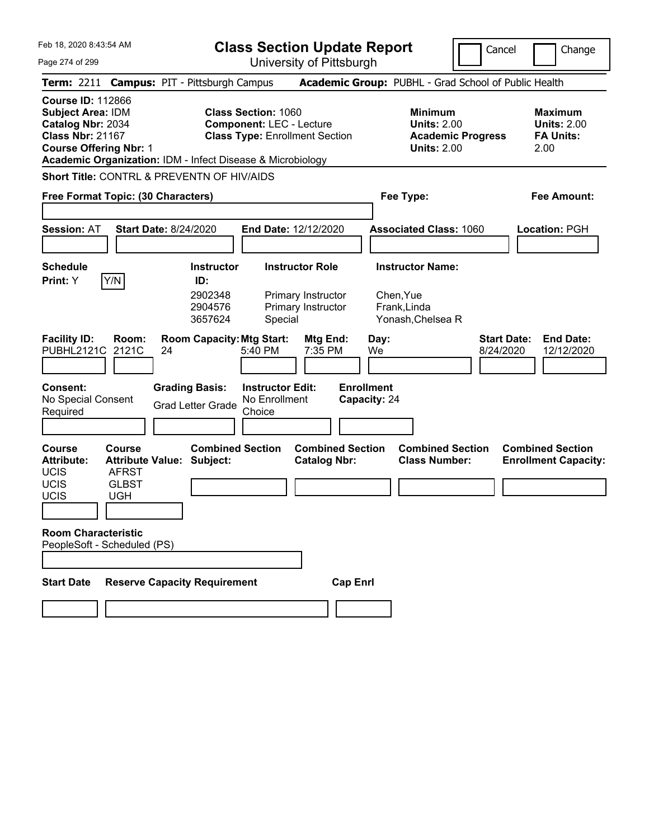Page 274 of 299

**Class Section Update Report**

Cancel **Change** 

| Term: 2211 Campus: PIT - Pittsburgh Campus                                                                                                                                                          |                                                                                                 |    |                                                   |                                                               | Academic Group: PUBHL - Grad School of Public Health |                 |                                   |                                                |                                                                      |                                 |                                                                  |
|-----------------------------------------------------------------------------------------------------------------------------------------------------------------------------------------------------|-------------------------------------------------------------------------------------------------|----|---------------------------------------------------|---------------------------------------------------------------|------------------------------------------------------|-----------------|-----------------------------------|------------------------------------------------|----------------------------------------------------------------------|---------------------------------|------------------------------------------------------------------|
| <b>Course ID: 112866</b><br><b>Subject Area: IDM</b><br>Catalog Nbr: 2034<br><b>Class Nbr: 21167</b><br><b>Course Offering Nbr: 1</b><br>Academic Organization: IDM - Infect Disease & Microbiology |                                                                                                 |    |                                                   | <b>Class Section: 1060</b><br><b>Component: LEC - Lecture</b> | <b>Class Type: Enrollment Section</b>                |                 |                                   | <b>Minimum</b>                                 | <b>Units: 2.00</b><br><b>Academic Progress</b><br><b>Units: 2.00</b> |                                 | <b>Maximum</b><br><b>Units: 2.00</b><br><b>FA Units:</b><br>2.00 |
| <b>Short Title: CONTRL &amp; PREVENTN OF HIV/AIDS</b>                                                                                                                                               |                                                                                                 |    |                                                   |                                                               |                                                      |                 |                                   |                                                |                                                                      |                                 |                                                                  |
| Free Format Topic: (30 Characters)                                                                                                                                                                  |                                                                                                 |    |                                                   |                                                               |                                                      |                 |                                   | Fee Type:                                      |                                                                      |                                 | Fee Amount:                                                      |
| <b>Session: AT</b>                                                                                                                                                                                  | <b>Start Date: 8/24/2020</b>                                                                    |    |                                                   |                                                               | End Date: 12/12/2020                                 |                 |                                   |                                                | <b>Associated Class: 1060</b>                                        |                                 | Location: PGH                                                    |
| <b>Schedule</b>                                                                                                                                                                                     |                                                                                                 |    | <b>Instructor</b>                                 |                                                               | <b>Instructor Role</b>                               |                 |                                   | <b>Instructor Name:</b>                        |                                                                      |                                 |                                                                  |
| <b>Print:</b> Y                                                                                                                                                                                     | Y/N                                                                                             |    | ID:<br>2902348<br>2904576<br>3657624              | Special                                                       | Primary Instructor<br>Primary Instructor             |                 |                                   | Chen, Yue<br>Frank, Linda<br>Yonash, Chelsea R |                                                                      |                                 |                                                                  |
| <b>Facility ID:</b><br>PUBHL2121C                                                                                                                                                                   | Room:<br>2121C                                                                                  | 24 | <b>Room Capacity: Mtg Start:</b>                  | 5:40 PM                                                       | Mtg End:<br>7:35 PM                                  |                 | Day:<br>We                        |                                                |                                                                      | <b>Start Date:</b><br>8/24/2020 | <b>End Date:</b><br>12/12/2020                                   |
| Consent:<br>No Special Consent<br>Required                                                                                                                                                          |                                                                                                 |    | <b>Grading Basis:</b><br><b>Grad Letter Grade</b> | <b>Instructor Edit:</b><br>No Enrollment<br>Choice            |                                                      |                 | <b>Enrollment</b><br>Capacity: 24 |                                                |                                                                      |                                 |                                                                  |
| <b>Course</b><br><b>Attribute:</b><br><b>UCIS</b><br>UCIS<br>UCIS                                                                                                                                   | <b>Course</b><br><b>Attribute Value: Subject:</b><br><b>AFRST</b><br><b>GLBST</b><br><b>UGH</b> |    | <b>Combined Section</b>                           |                                                               | <b>Combined Section</b><br><b>Catalog Nbr:</b>       |                 |                                   | <b>Class Number:</b>                           | <b>Combined Section</b>                                              |                                 | <b>Combined Section</b><br><b>Enrollment Capacity:</b>           |
| <b>Room Characteristic</b><br>PeopleSoft - Scheduled (PS)                                                                                                                                           |                                                                                                 |    |                                                   |                                                               |                                                      |                 |                                   |                                                |                                                                      |                                 |                                                                  |
| <b>Start Date</b>                                                                                                                                                                                   |                                                                                                 |    | <b>Reserve Capacity Requirement</b>               |                                                               |                                                      | <b>Cap Enri</b> |                                   |                                                |                                                                      |                                 |                                                                  |
|                                                                                                                                                                                                     |                                                                                                 |    |                                                   |                                                               |                                                      |                 |                                   |                                                |                                                                      |                                 |                                                                  |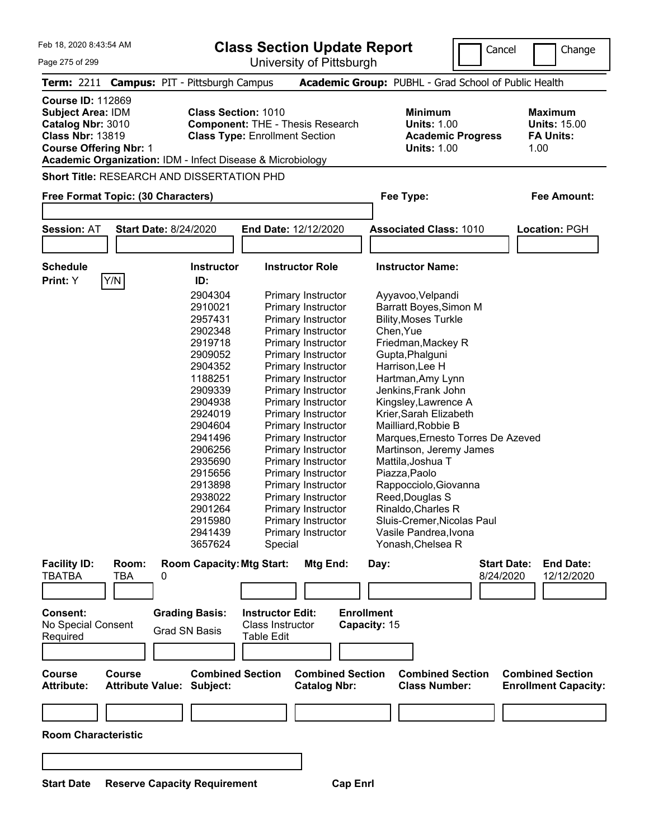| Feb 18, 2020 8:43:54 AM                                                                                                               |                               |                                                                                                                                                                                                                                                       |                                                                  | <b>Class Section Update Report</b>                                                                                                                                                                                                                                                                                                                                                                                                                                                       |                                                                                                                                                                                                                                                                                                                                                                                                                                                                                                                             | Cancel                                                     | Change                                                            |
|---------------------------------------------------------------------------------------------------------------------------------------|-------------------------------|-------------------------------------------------------------------------------------------------------------------------------------------------------------------------------------------------------------------------------------------------------|------------------------------------------------------------------|------------------------------------------------------------------------------------------------------------------------------------------------------------------------------------------------------------------------------------------------------------------------------------------------------------------------------------------------------------------------------------------------------------------------------------------------------------------------------------------|-----------------------------------------------------------------------------------------------------------------------------------------------------------------------------------------------------------------------------------------------------------------------------------------------------------------------------------------------------------------------------------------------------------------------------------------------------------------------------------------------------------------------------|------------------------------------------------------------|-------------------------------------------------------------------|
| Page 275 of 299                                                                                                                       |                               |                                                                                                                                                                                                                                                       |                                                                  | University of Pittsburgh                                                                                                                                                                                                                                                                                                                                                                                                                                                                 |                                                                                                                                                                                                                                                                                                                                                                                                                                                                                                                             |                                                            |                                                                   |
|                                                                                                                                       |                               | Term: 2211 Campus: PIT - Pittsburgh Campus                                                                                                                                                                                                            |                                                                  |                                                                                                                                                                                                                                                                                                                                                                                                                                                                                          | Academic Group: PUBHL - Grad School of Public Health                                                                                                                                                                                                                                                                                                                                                                                                                                                                        |                                                            |                                                                   |
| <b>Course ID: 112869</b><br><b>Subject Area: IDM</b><br>Catalog Nbr: 3010<br><b>Class Nbr: 13819</b><br><b>Course Offering Nbr: 1</b> |                               | <b>Class Section: 1010</b><br>Academic Organization: IDM - Infect Disease & Microbiology                                                                                                                                                              | <b>Class Type: Enrollment Section</b>                            | <b>Component: THE - Thesis Research</b>                                                                                                                                                                                                                                                                                                                                                                                                                                                  | <b>Minimum</b><br><b>Units: 1.00</b><br><b>Units: 1.00</b>                                                                                                                                                                                                                                                                                                                                                                                                                                                                  | <b>Academic Progress</b>                                   | <b>Maximum</b><br><b>Units: 15.00</b><br><b>FA Units:</b><br>1.00 |
|                                                                                                                                       |                               | <b>Short Title: RESEARCH AND DISSERTATION PHD</b>                                                                                                                                                                                                     |                                                                  |                                                                                                                                                                                                                                                                                                                                                                                                                                                                                          |                                                                                                                                                                                                                                                                                                                                                                                                                                                                                                                             |                                                            |                                                                   |
| Free Format Topic: (30 Characters)                                                                                                    |                               |                                                                                                                                                                                                                                                       |                                                                  |                                                                                                                                                                                                                                                                                                                                                                                                                                                                                          | Fee Type:                                                                                                                                                                                                                                                                                                                                                                                                                                                                                                                   |                                                            | <b>Fee Amount:</b>                                                |
|                                                                                                                                       |                               |                                                                                                                                                                                                                                                       |                                                                  |                                                                                                                                                                                                                                                                                                                                                                                                                                                                                          |                                                                                                                                                                                                                                                                                                                                                                                                                                                                                                                             |                                                            |                                                                   |
| <b>Session: AT</b>                                                                                                                    |                               | <b>Start Date: 8/24/2020</b>                                                                                                                                                                                                                          |                                                                  | <b>End Date: 12/12/2020</b>                                                                                                                                                                                                                                                                                                                                                                                                                                                              | <b>Associated Class: 1010</b>                                                                                                                                                                                                                                                                                                                                                                                                                                                                                               |                                                            | <b>Location: PGH</b>                                              |
|                                                                                                                                       |                               |                                                                                                                                                                                                                                                       |                                                                  |                                                                                                                                                                                                                                                                                                                                                                                                                                                                                          |                                                                                                                                                                                                                                                                                                                                                                                                                                                                                                                             |                                                            |                                                                   |
|                                                                                                                                       |                               |                                                                                                                                                                                                                                                       |                                                                  |                                                                                                                                                                                                                                                                                                                                                                                                                                                                                          |                                                                                                                                                                                                                                                                                                                                                                                                                                                                                                                             |                                                            |                                                                   |
| <b>Schedule</b>                                                                                                                       |                               | <b>Instructor</b>                                                                                                                                                                                                                                     |                                                                  | <b>Instructor Role</b>                                                                                                                                                                                                                                                                                                                                                                                                                                                                   | <b>Instructor Name:</b>                                                                                                                                                                                                                                                                                                                                                                                                                                                                                                     |                                                            |                                                                   |
| Print: Y                                                                                                                              | Y/N                           | ID:<br>2904304<br>2910021<br>2957431<br>2902348<br>2919718<br>2909052<br>2904352<br>1188251<br>2909339<br>2904938<br>2924019<br>2904604<br>2941496<br>2906256<br>2935690<br>2915656<br>2913898<br>2938022<br>2901264<br>2915980<br>2941439<br>3657624 | Special                                                          | Primary Instructor<br>Primary Instructor<br>Primary Instructor<br>Primary Instructor<br>Primary Instructor<br>Primary Instructor<br>Primary Instructor<br>Primary Instructor<br>Primary Instructor<br>Primary Instructor<br>Primary Instructor<br>Primary Instructor<br>Primary Instructor<br>Primary Instructor<br>Primary Instructor<br><b>Primary Instructor</b><br><b>Primary Instructor</b><br>Primary Instructor<br>Primary Instructor<br>Primary Instructor<br>Primary Instructor | Ayyavoo, Velpandi<br>Barratt Boyes, Simon M<br><b>Bility, Moses Turkle</b><br>Chen, Yue<br>Friedman, Mackey R<br>Gupta, Phalguni<br>Harrison, Lee H<br>Hartman, Amy Lynn<br>Jenkins, Frank John<br>Kingsley, Lawrence A<br>Krier, Sarah Elizabeth<br>Mailliard, Robbie B<br>Marques, Ernesto Torres De Azeved<br>Martinson, Jeremy James<br>Mattila, Joshua T<br>Piazza,Paolo<br>Rappocciolo, Giovanna<br>Reed, Douglas S<br>Rinaldo, Charles R<br>Sluis-Cremer, Nicolas Paul<br>Vasile Pandrea, Ivona<br>Yonash, Chelsea R |                                                            |                                                                   |
| <b>Facility ID:</b><br><b>TBATBA</b><br><b>Consent:</b><br>No Special Consent<br>Required<br><b>Course</b>                            | Room:<br>TBA<br><b>Course</b> | <b>Room Capacity: Mtg Start:</b><br>0<br><b>Grading Basis:</b><br><b>Grad SN Basis</b><br><b>Combined Section</b>                                                                                                                                     | <b>Instructor Edit:</b><br>Class Instructor<br><b>Table Edit</b> | Mtg End:<br><b>Combined Section</b>                                                                                                                                                                                                                                                                                                                                                                                                                                                      | Day:<br><b>Enrollment</b><br>Capacity: 15                                                                                                                                                                                                                                                                                                                                                                                                                                                                                   | <b>Start Date:</b><br>8/24/2020<br><b>Combined Section</b> | <b>End Date:</b><br>12/12/2020<br><b>Combined Section</b>         |

**Room Characteristic**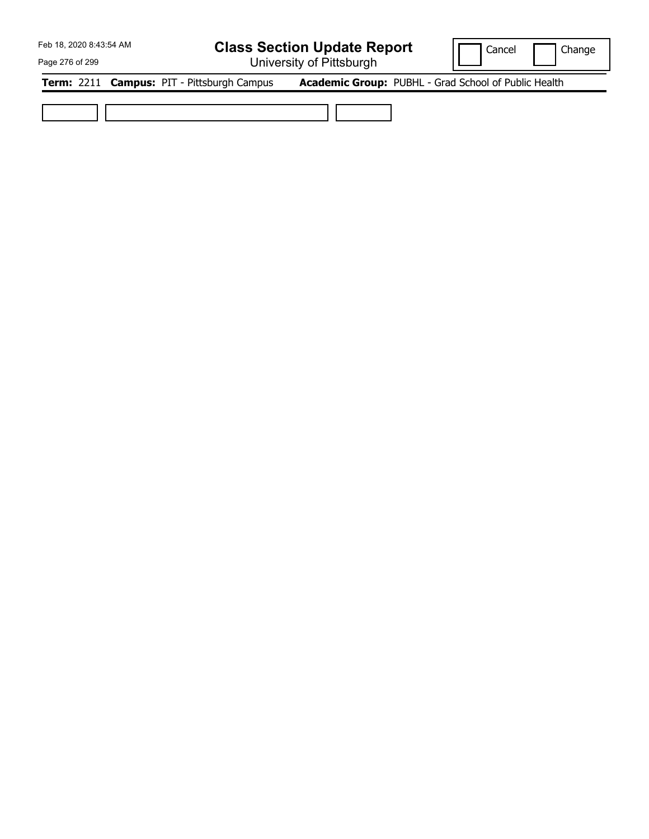## **Class Section Update Report**

University of Pittsburgh

Cancel | Change

Page 276 of 299

**Term:** 2211 **Campus:** PIT - Pittsburgh Campus **Academic Group:** PUBHL - Grad School of Public Health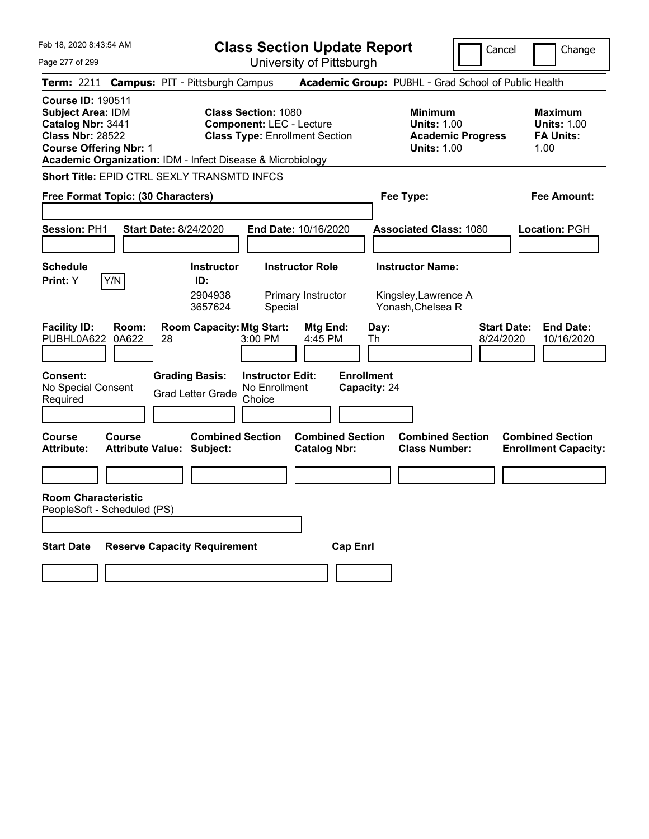Page 277 of 299

**Class Section Update Report**

Cancel **Change** 

|                                                                                                                                                                                                     |                                                             |                                                                                                        | University ULT ittsburght                      |                                                                                        |                                                                   |  |  |  |  |
|-----------------------------------------------------------------------------------------------------------------------------------------------------------------------------------------------------|-------------------------------------------------------------|--------------------------------------------------------------------------------------------------------|------------------------------------------------|----------------------------------------------------------------------------------------|-------------------------------------------------------------------|--|--|--|--|
| Term: 2211 Campus: PIT - Pittsburgh Campus                                                                                                                                                          |                                                             |                                                                                                        |                                                | Academic Group: PUBHL - Grad School of Public Health                                   |                                                                   |  |  |  |  |
| <b>Course ID: 190511</b><br><b>Subject Area: IDM</b><br>Catalog Nbr: 3441<br><b>Class Nbr: 28522</b><br><b>Course Offering Nbr: 1</b><br>Academic Organization: IDM - Infect Disease & Microbiology |                                                             | <b>Class Section: 1080</b><br><b>Component: LEC - Lecture</b><br><b>Class Type: Enrollment Section</b> |                                                | <b>Minimum</b><br><b>Units: 1.00</b><br><b>Academic Progress</b><br><b>Units: 1.00</b> | <b>Maximum</b><br><b>Units: 1.00</b><br><b>FA Units:</b><br>1.00  |  |  |  |  |
| Short Title: EPID CTRL SEXLY TRANSMTD INFCS                                                                                                                                                         |                                                             |                                                                                                        |                                                |                                                                                        |                                                                   |  |  |  |  |
| Free Format Topic: (30 Characters)                                                                                                                                                                  |                                                             |                                                                                                        |                                                | Fee Type:                                                                              | <b>Fee Amount:</b>                                                |  |  |  |  |
| Session: PH1                                                                                                                                                                                        | <b>Start Date: 8/24/2020</b>                                | End Date: 10/16/2020                                                                                   |                                                | <b>Associated Class: 1080</b>                                                          | Location: PGH                                                     |  |  |  |  |
| <b>Schedule</b>                                                                                                                                                                                     | <b>Instructor</b>                                           | <b>Instructor Role</b>                                                                                 |                                                | <b>Instructor Name:</b>                                                                |                                                                   |  |  |  |  |
| Y/N<br><b>Print:</b> Y                                                                                                                                                                              | ID:<br>2904938<br>3657624                                   | Primary Instructor<br>Special                                                                          |                                                | Kingsley, Lawrence A<br>Yonash, Chelsea R                                              |                                                                   |  |  |  |  |
| <b>Facility ID:</b><br>Room:<br>PUBHL0A622<br>0A622                                                                                                                                                 | <b>Room Capacity: Mtg Start:</b><br>28                      | 3:00 PM                                                                                                | Mtg End:<br>Day:<br>4:45 PM<br>Th              |                                                                                        | <b>Start Date:</b><br><b>End Date:</b><br>8/24/2020<br>10/16/2020 |  |  |  |  |
| Consent:<br>No Special Consent<br>Required                                                                                                                                                          | <b>Grading Basis:</b><br><b>Grad Letter Grade</b>           | <b>Instructor Edit:</b><br>No Enrollment<br>Choice                                                     | <b>Enrollment</b><br>Capacity: 24              |                                                                                        |                                                                   |  |  |  |  |
| <b>Course</b><br><b>Course</b><br><b>Attribute:</b>                                                                                                                                                 | <b>Combined Section</b><br><b>Attribute Value: Subject:</b> |                                                                                                        | <b>Combined Section</b><br><b>Catalog Nbr:</b> | <b>Combined Section</b><br><b>Class Number:</b>                                        | <b>Combined Section</b><br><b>Enrollment Capacity:</b>            |  |  |  |  |
|                                                                                                                                                                                                     |                                                             |                                                                                                        |                                                |                                                                                        |                                                                   |  |  |  |  |
| <b>Room Characteristic</b><br>PeopleSoft - Scheduled (PS)                                                                                                                                           |                                                             |                                                                                                        |                                                |                                                                                        |                                                                   |  |  |  |  |
| <b>Start Date</b>                                                                                                                                                                                   | <b>Reserve Capacity Requirement</b>                         |                                                                                                        | <b>Cap Enrl</b>                                |                                                                                        |                                                                   |  |  |  |  |
|                                                                                                                                                                                                     |                                                             |                                                                                                        |                                                |                                                                                        |                                                                   |  |  |  |  |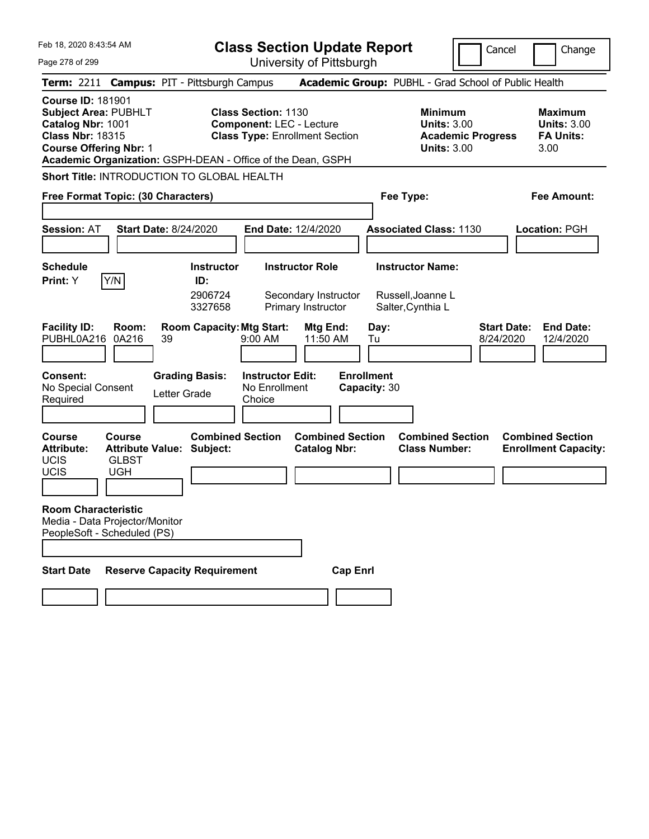| Feb 18, 2020 8:43:54 AM<br>Page 278 of 299                                                                                               |                                             |                                                             |                                                               | <b>Class Section Update Report</b><br>University of Pittsburgh       |                                   |                                                                                        | Cancel                          | Change                                                           |
|------------------------------------------------------------------------------------------------------------------------------------------|---------------------------------------------|-------------------------------------------------------------|---------------------------------------------------------------|----------------------------------------------------------------------|-----------------------------------|----------------------------------------------------------------------------------------|---------------------------------|------------------------------------------------------------------|
|                                                                                                                                          |                                             | Term: 2211 Campus: PIT - Pittsburgh Campus                  |                                                               |                                                                      |                                   | Academic Group: PUBHL - Grad School of Public Health                                   |                                 |                                                                  |
| <b>Course ID: 181901</b><br><b>Subject Area: PUBHLT</b><br>Catalog Nbr: 1001<br><b>Class Nbr: 18315</b><br><b>Course Offering Nbr: 1</b> |                                             | Academic Organization: GSPH-DEAN - Office of the Dean, GSPH | <b>Class Section: 1130</b><br><b>Component: LEC - Lecture</b> | <b>Class Type: Enrollment Section</b>                                |                                   | <b>Minimum</b><br><b>Units: 3.00</b><br><b>Academic Progress</b><br><b>Units: 3.00</b> |                                 | <b>Maximum</b><br><b>Units: 3.00</b><br><b>FA Units:</b><br>3.00 |
|                                                                                                                                          |                                             | Short Title: INTRODUCTION TO GLOBAL HEALTH                  |                                                               |                                                                      |                                   |                                                                                        |                                 |                                                                  |
| Free Format Topic: (30 Characters)                                                                                                       |                                             |                                                             |                                                               |                                                                      | Fee Type:                         |                                                                                        |                                 | <b>Fee Amount:</b>                                               |
| <b>Session: AT</b>                                                                                                                       |                                             | <b>Start Date: 8/24/2020</b>                                |                                                               | End Date: 12/4/2020                                                  |                                   | <b>Associated Class: 1130</b>                                                          |                                 | Location: PGH                                                    |
| <b>Schedule</b><br>Print: Y                                                                                                              | Y/N                                         | <b>Instructor</b><br>ID:<br>2906724<br>3327658              |                                                               | <b>Instructor Role</b><br>Secondary Instructor<br>Primary Instructor |                                   | <b>Instructor Name:</b><br>Russell, Joanne L<br>Salter, Cynthia L                      |                                 |                                                                  |
| <b>Facility ID:</b><br>PUBHL0A216                                                                                                        | Room:<br>0A216                              | <b>Room Capacity: Mtg Start:</b><br>39                      | 9:00 AM                                                       | Mtg End:<br>11:50 AM                                                 | Day:<br>Tu                        |                                                                                        | <b>Start Date:</b><br>8/24/2020 | <b>End Date:</b><br>12/4/2020                                    |
| <b>Consent:</b><br>No Special Consent<br>Required                                                                                        |                                             | <b>Grading Basis:</b><br>Letter Grade                       | <b>Instructor Edit:</b><br>No Enrollment<br>Choice            |                                                                      | <b>Enrollment</b><br>Capacity: 30 |                                                                                        |                                 |                                                                  |
| <b>Course</b><br><b>Attribute:</b><br><b>UCIS</b><br><b>UCIS</b>                                                                         | <b>Course</b><br><b>GLBST</b><br><b>UGH</b> | <b>Attribute Value: Subject:</b>                            | <b>Combined Section</b>                                       | <b>Combined Section</b><br><b>Catalog Nbr:</b>                       |                                   | <b>Combined Section</b><br><b>Class Number:</b>                                        |                                 | <b>Combined Section</b><br><b>Enrollment Capacity:</b>           |
| <b>Room Characteristic</b><br>Media - Data Projector/Monitor<br>PeopleSoft - Scheduled (PS)                                              |                                             |                                                             |                                                               |                                                                      |                                   |                                                                                        |                                 |                                                                  |
| <b>Start Date</b>                                                                                                                        |                                             | <b>Reserve Capacity Requirement</b>                         |                                                               | <b>Cap Enrl</b>                                                      |                                   |                                                                                        |                                 |                                                                  |
|                                                                                                                                          |                                             |                                                             |                                                               |                                                                      |                                   |                                                                                        |                                 |                                                                  |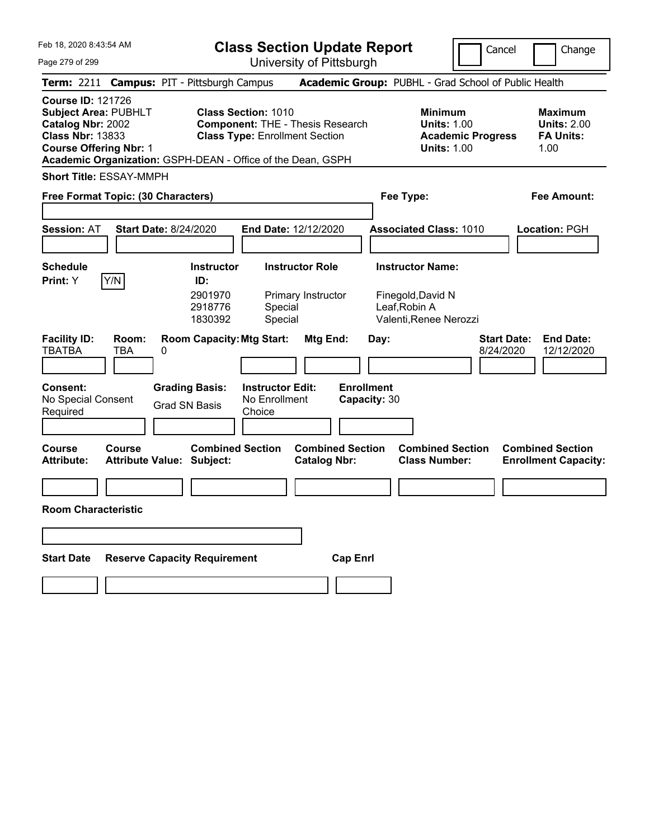|  | Feb 18, 2020 8:43:54 AM |  |
|--|-------------------------|--|
|  |                         |  |

| <b>Class Section Update Report</b> |  |
|------------------------------------|--|
|------------------------------------|--|

University of Pittsburgh

**Class Type: Enrollment Section** 

Cancel | Change

Page 279 of 299 **Term:** 2211 **Campus:** PIT - Pittsburgh Campus **Academic Group:** PUBHL - Grad School of Public Health **Course ID:** 121726

**Subject Area: PUBHLT Class Section:** 1010 **Minimum Maximum <b>Maximum Catalog Nbr:** 2002 **Component:** THE - Thesis Research **Component:** THE - Thesis Research **Catalog Nbr: 2002 Component: THE - Thesis Research <b>Units: 1.00 Units: 2.00 Class Nbr: 13833 Class Type:** Enrollment Section **Class Academic Progress FA Units: Course Offering Nbr: 1 Course Offering Nbr: 1 1.00** 

**Academic Organization:** GSPH-DEAN - Office of the Dean, GSPH

**Short Title:** ESSAY-MMPH

| Free Format Topic: (30 Characters)         |                                   |                                                           |                                                    | Fee Type:                                      | <b>Fee Amount:</b>                |                                                                                         |           |                                                        |
|--------------------------------------------|-----------------------------------|-----------------------------------------------------------|----------------------------------------------------|------------------------------------------------|-----------------------------------|-----------------------------------------------------------------------------------------|-----------|--------------------------------------------------------|
| <b>Session: AT</b>                         |                                   | <b>Start Date: 8/24/2020</b>                              |                                                    | End Date: 12/12/2020                           |                                   | <b>Associated Class: 1010</b>                                                           |           | Location: PGH                                          |
| <b>Schedule</b><br>Print: Y                | Y/N                               | <b>Instructor</b><br>ID:<br>2901970<br>2918776<br>1830392 | Special<br>Special                                 | <b>Instructor Role</b><br>Primary Instructor   |                                   | <b>Instructor Name:</b><br>Finegold, David N<br>Leaf, Robin A<br>Valenti, Renee Nerozzi |           |                                                        |
| <b>Facility ID:</b><br>TBATBA              | Room:<br><b>TBA</b>               | <b>Room Capacity: Mtg Start:</b><br>0                     |                                                    | Mtg End:                                       | Day:                              |                                                                                         | 8/24/2020 | <b>Start Date:</b><br><b>End Date:</b><br>12/12/2020   |
| Consent:<br>No Special Consent<br>Required |                                   | <b>Grading Basis:</b><br><b>Grad SN Basis</b>             | <b>Instructor Edit:</b><br>No Enrollment<br>Choice |                                                | <b>Enrollment</b><br>Capacity: 30 |                                                                                         |           |                                                        |
| <b>Course</b><br><b>Attribute:</b>         | Course<br><b>Attribute Value:</b> | <b>Combined Section</b><br>Subject:                       |                                                    | <b>Combined Section</b><br><b>Catalog Nbr:</b> |                                   | <b>Combined Section</b><br><b>Class Number:</b>                                         |           | <b>Combined Section</b><br><b>Enrollment Capacity:</b> |
| <b>Room Characteristic</b>                 |                                   |                                                           |                                                    |                                                |                                   |                                                                                         |           |                                                        |
| <b>Start Date</b>                          |                                   | <b>Reserve Capacity Requirement</b>                       |                                                    | <b>Cap Enrl</b>                                |                                   |                                                                                         |           |                                                        |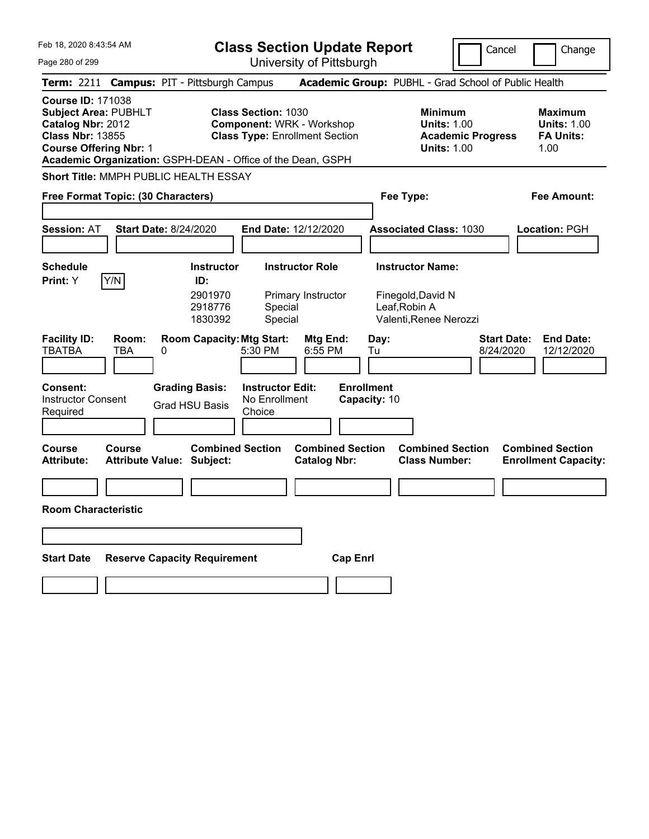| Feb 18, 2020 8:43:54 AM                                                                                                                  | <b>Class Section Update Report</b>                                                                                                                                     | Cancel                                                                                 | Change                                                           |
|------------------------------------------------------------------------------------------------------------------------------------------|------------------------------------------------------------------------------------------------------------------------------------------------------------------------|----------------------------------------------------------------------------------------|------------------------------------------------------------------|
| Page 280 of 299                                                                                                                          | University of Pittsburgh                                                                                                                                               |                                                                                        |                                                                  |
| Term: 2211 Campus: PIT - Pittsburgh Campus                                                                                               |                                                                                                                                                                        | Academic Group: PUBHL - Grad School of Public Health                                   |                                                                  |
| <b>Course ID: 171038</b><br><b>Subject Area: PUBHLT</b><br>Catalog Nbr: 2012<br><b>Class Nbr: 13855</b><br><b>Course Offering Nbr: 1</b> | <b>Class Section: 1030</b><br><b>Component: WRK - Workshop</b><br><b>Class Type: Enrollment Section</b><br>Academic Organization: GSPH-DEAN - Office of the Dean, GSPH | <b>Minimum</b><br><b>Units: 1.00</b><br><b>Academic Progress</b><br><b>Units: 1.00</b> | <b>Maximum</b><br><b>Units: 1.00</b><br><b>FA Units:</b><br>1.00 |
| Short Title: MMPH PUBLIC HEALTH ESSAY                                                                                                    |                                                                                                                                                                        |                                                                                        |                                                                  |
| Free Format Topic: (30 Characters)                                                                                                       |                                                                                                                                                                        | Fee Type:                                                                              | Fee Amount:                                                      |
|                                                                                                                                          |                                                                                                                                                                        |                                                                                        |                                                                  |
| <b>Start Date: 8/24/2020</b><br><b>Session: AT</b>                                                                                       | End Date: 12/12/2020                                                                                                                                                   | <b>Associated Class: 1030</b>                                                          | <b>Location: PGH</b>                                             |
| <b>Schedule</b>                                                                                                                          | <b>Instructor Role</b><br><b>Instructor</b>                                                                                                                            | <b>Instructor Name:</b>                                                                |                                                                  |
| Y/N<br>Print: Y<br><b>Facility ID:</b><br>Room:                                                                                          | ID:<br>2901970<br>Primary Instructor<br>2918776<br>Special<br>1830392<br>Special<br><b>Room Capacity: Mtg Start:</b><br>Mtg End:                                       | Finegold, David N<br>Leaf, Robin A<br>Valenti, Renee Nerozzi<br>Day:                   | <b>Start Date:</b><br><b>End Date:</b>                           |
| <b>TBATBA</b><br><b>TBA</b><br>0                                                                                                         | 5:30 PM<br>6:55 PM                                                                                                                                                     | 8/24/2020<br>Tu                                                                        | 12/12/2020                                                       |
| <b>Consent:</b><br><b>Instructor Consent</b><br>Required                                                                                 | <b>Grading Basis:</b><br><b>Instructor Edit:</b><br>No Enrollment<br><b>Grad HSU Basis</b><br>Choice                                                                   | <b>Enrollment</b><br>Capacity: 10                                                      |                                                                  |
| <b>Course</b><br>Course<br><b>Attribute Value: Subject:</b><br><b>Attribute:</b>                                                         | <b>Combined Section</b><br><b>Combined Section</b><br><b>Catalog Nbr:</b>                                                                                              | <b>Combined Section</b><br><b>Class Number:</b>                                        | <b>Combined Section</b><br><b>Enrollment Capacity:</b>           |
|                                                                                                                                          |                                                                                                                                                                        |                                                                                        |                                                                  |
| <b>Room Characteristic</b>                                                                                                               |                                                                                                                                                                        |                                                                                        |                                                                  |
|                                                                                                                                          |                                                                                                                                                                        |                                                                                        |                                                                  |
| <b>Reserve Capacity Requirement</b><br><b>Start Date</b>                                                                                 |                                                                                                                                                                        | <b>Cap Enrl</b>                                                                        |                                                                  |
|                                                                                                                                          |                                                                                                                                                                        |                                                                                        |                                                                  |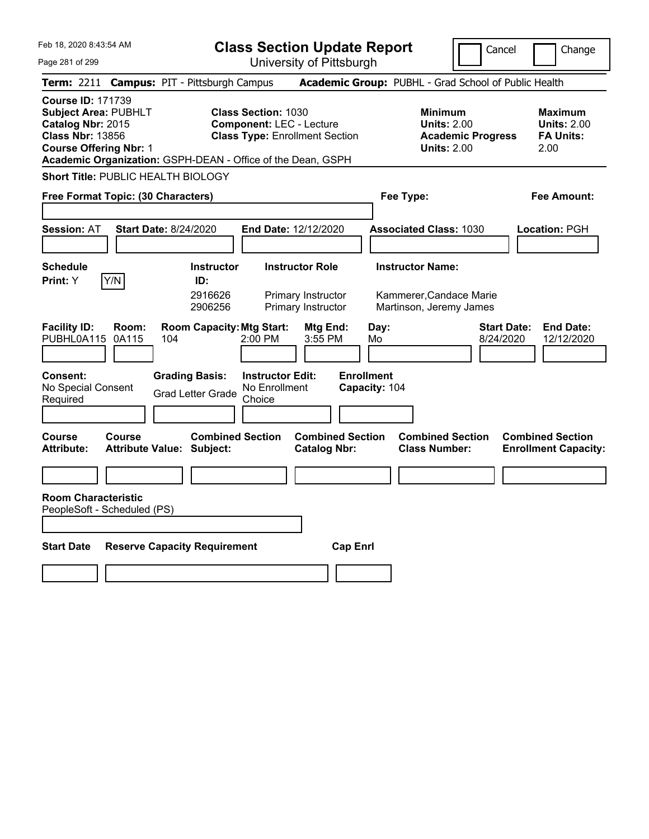| Feb 18, 2020 8:43:54 AM                                                                                                                                                                                 | <b>Class Section Update Report</b><br>Cancel                                                                         |                                                                                        |                                                                  |  |  |  |
|---------------------------------------------------------------------------------------------------------------------------------------------------------------------------------------------------------|----------------------------------------------------------------------------------------------------------------------|----------------------------------------------------------------------------------------|------------------------------------------------------------------|--|--|--|
| Page 281 of 299                                                                                                                                                                                         | University of Pittsburgh                                                                                             |                                                                                        | Change                                                           |  |  |  |
| <b>Campus: PIT - Pittsburgh Campus</b><br>Term: 2211                                                                                                                                                    |                                                                                                                      | Academic Group: PUBHL - Grad School of Public Health                                   |                                                                  |  |  |  |
| <b>Course ID: 171739</b><br><b>Subject Area: PUBHLT</b><br>Catalog Nbr: 2015<br><b>Class Nbr: 13856</b><br><b>Course Offering Nbr: 1</b><br>Academic Organization: GSPH-DEAN - Office of the Dean, GSPH | <b>Class Section: 1030</b><br><b>Component: LEC - Lecture</b><br><b>Class Type: Enrollment Section</b>               | <b>Minimum</b><br><b>Units: 2.00</b><br><b>Academic Progress</b><br><b>Units: 2.00</b> | <b>Maximum</b><br><b>Units: 2.00</b><br><b>FA Units:</b><br>2.00 |  |  |  |
| <b>Short Title: PUBLIC HEALTH BIOLOGY</b>                                                                                                                                                               |                                                                                                                      |                                                                                        |                                                                  |  |  |  |
| Free Format Topic: (30 Characters)                                                                                                                                                                      |                                                                                                                      | Fee Type:                                                                              | Fee Amount:                                                      |  |  |  |
| <b>Start Date: 8/24/2020</b><br><b>Session: AT</b>                                                                                                                                                      | End Date: 12/12/2020                                                                                                 | <b>Associated Class: 1030</b>                                                          | Location: PGH                                                    |  |  |  |
| <b>Schedule</b><br>Y/N<br>Print: Y                                                                                                                                                                      | <b>Instructor</b><br><b>Instructor Role</b><br>ID:<br>2916626<br>Primary Instructor<br>2906256<br>Primary Instructor | <b>Instructor Name:</b><br>Kammerer, Candace Marie<br>Martinson, Jeremy James          |                                                                  |  |  |  |
| <b>Facility ID:</b><br>Room:<br>PUBHL0A115<br>0A115<br>104                                                                                                                                              | <b>Room Capacity: Mtg Start:</b><br>Mtg End:<br>2:00 PM<br>3:55 PM                                                   | Day:<br><b>Start Date:</b><br>8/24/2020<br>Mo                                          | <b>End Date:</b><br>12/12/2020                                   |  |  |  |
| <b>Grading Basis:</b><br><b>Consent:</b><br>No Special Consent<br><b>Grad Letter Grade</b><br>Required                                                                                                  | <b>Instructor Edit:</b><br>No Enrollment<br>Choice                                                                   | <b>Enrollment</b><br>Capacity: 104                                                     |                                                                  |  |  |  |
| Course<br>Course<br><b>Attribute:</b><br>Attribute Value: Subject:                                                                                                                                      | <b>Combined Section</b><br><b>Combined Section</b><br><b>Catalog Nbr:</b>                                            | <b>Combined Section</b><br><b>Class Number:</b>                                        | <b>Combined Section</b><br><b>Enrollment Capacity:</b>           |  |  |  |
|                                                                                                                                                                                                         |                                                                                                                      |                                                                                        |                                                                  |  |  |  |
| <b>Room Characteristic</b><br>PeopleSoft - Scheduled (PS)                                                                                                                                               |                                                                                                                      |                                                                                        |                                                                  |  |  |  |
| <b>Start Date</b><br><b>Reserve Capacity Requirement</b>                                                                                                                                                | <b>Cap Enrl</b>                                                                                                      |                                                                                        |                                                                  |  |  |  |
|                                                                                                                                                                                                         |                                                                                                                      |                                                                                        |                                                                  |  |  |  |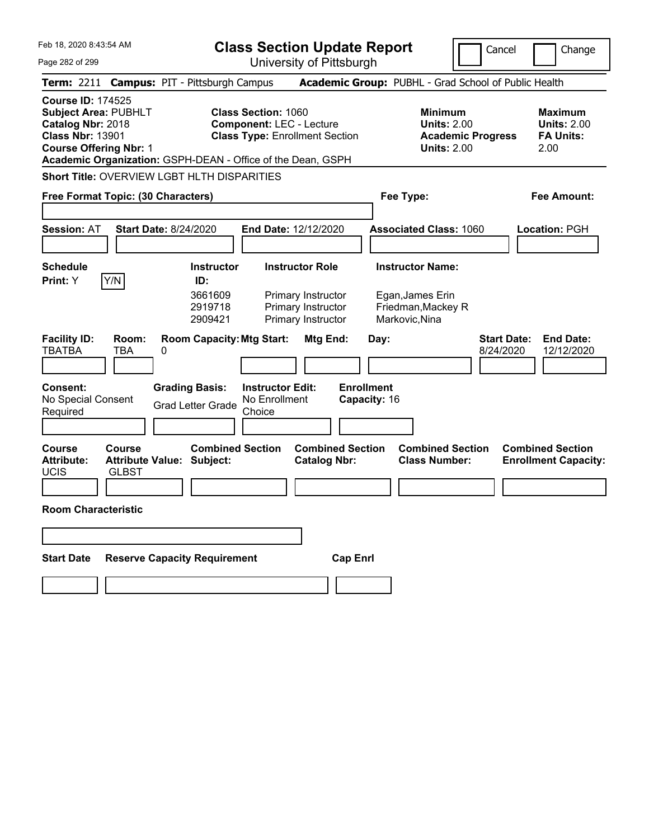| Feb 18, 2020 8:43:54 AM                                                                                                                                                                                 | <b>Class Section Update Report</b>                                                                                                              | Cancel                                                                                              | Change                                                           |
|---------------------------------------------------------------------------------------------------------------------------------------------------------------------------------------------------------|-------------------------------------------------------------------------------------------------------------------------------------------------|-----------------------------------------------------------------------------------------------------|------------------------------------------------------------------|
| Page 282 of 299                                                                                                                                                                                         | University of Pittsburgh                                                                                                                        |                                                                                                     |                                                                  |
| Term: 2211 Campus: PIT - Pittsburgh Campus                                                                                                                                                              |                                                                                                                                                 | Academic Group: PUBHL - Grad School of Public Health                                                |                                                                  |
| <b>Course ID: 174525</b><br><b>Subject Area: PUBHLT</b><br>Catalog Nbr: 2018<br><b>Class Nbr: 13901</b><br><b>Course Offering Nbr: 1</b><br>Academic Organization: GSPH-DEAN - Office of the Dean, GSPH | <b>Class Section: 1060</b><br><b>Component: LEC - Lecture</b><br><b>Class Type: Enrollment Section</b>                                          | <b>Minimum</b><br><b>Units: 2.00</b><br><b>Academic Progress</b><br><b>Units: 2.00</b>              | <b>Maximum</b><br><b>Units: 2.00</b><br><b>FA Units:</b><br>2.00 |
| Short Title: OVERVIEW LGBT HLTH DISPARITIES                                                                                                                                                             |                                                                                                                                                 |                                                                                                     |                                                                  |
| Free Format Topic: (30 Characters)                                                                                                                                                                      |                                                                                                                                                 | Fee Type:                                                                                           | Fee Amount:                                                      |
|                                                                                                                                                                                                         |                                                                                                                                                 |                                                                                                     |                                                                  |
| <b>Start Date: 8/24/2020</b><br><b>Session: AT</b>                                                                                                                                                      | End Date: 12/12/2020                                                                                                                            | <b>Associated Class: 1060</b>                                                                       | <b>Location: PGH</b>                                             |
|                                                                                                                                                                                                         |                                                                                                                                                 |                                                                                                     |                                                                  |
| <b>Schedule</b><br>Y/N<br>Print: Y                                                                                                                                                                      | <b>Instructor Role</b><br><b>Instructor</b><br>ID:                                                                                              | <b>Instructor Name:</b>                                                                             |                                                                  |
| <b>Facility ID:</b><br>Room:<br><b>TBATBA</b><br><b>TBA</b><br>0                                                                                                                                        | 3661609<br>Primary Instructor<br>2919718<br>Primary Instructor<br>2909421<br>Primary Instructor<br><b>Room Capacity: Mtg Start:</b><br>Mtg End: | Egan, James Erin<br>Friedman, Mackey R<br>Markovic, Nina<br><b>Start Date:</b><br>Day:<br>8/24/2020 | <b>End Date:</b><br>12/12/2020                                   |
| <b>Consent:</b><br><b>Grading Basis:</b><br>No Special Consent<br><b>Grad Letter Grade</b><br>Required                                                                                                  | <b>Enrollment</b><br><b>Instructor Edit:</b><br>No Enrollment<br>Capacity: 16<br>Choice                                                         |                                                                                                     |                                                                  |
| <b>Course</b><br>Course<br><b>Attribute:</b><br><b>Attribute Value: Subject:</b><br><b>UCIS</b><br><b>GLBST</b>                                                                                         | <b>Combined Section</b><br><b>Combined Section</b><br><b>Catalog Nbr:</b>                                                                       | <b>Combined Section</b><br><b>Class Number:</b>                                                     | <b>Combined Section</b><br><b>Enrollment Capacity:</b>           |
| <b>Room Characteristic</b>                                                                                                                                                                              |                                                                                                                                                 |                                                                                                     |                                                                  |
|                                                                                                                                                                                                         |                                                                                                                                                 |                                                                                                     |                                                                  |
| <b>Reserve Capacity Requirement</b><br><b>Start Date</b>                                                                                                                                                | <b>Cap Enrl</b>                                                                                                                                 |                                                                                                     |                                                                  |
|                                                                                                                                                                                                         |                                                                                                                                                 |                                                                                                     |                                                                  |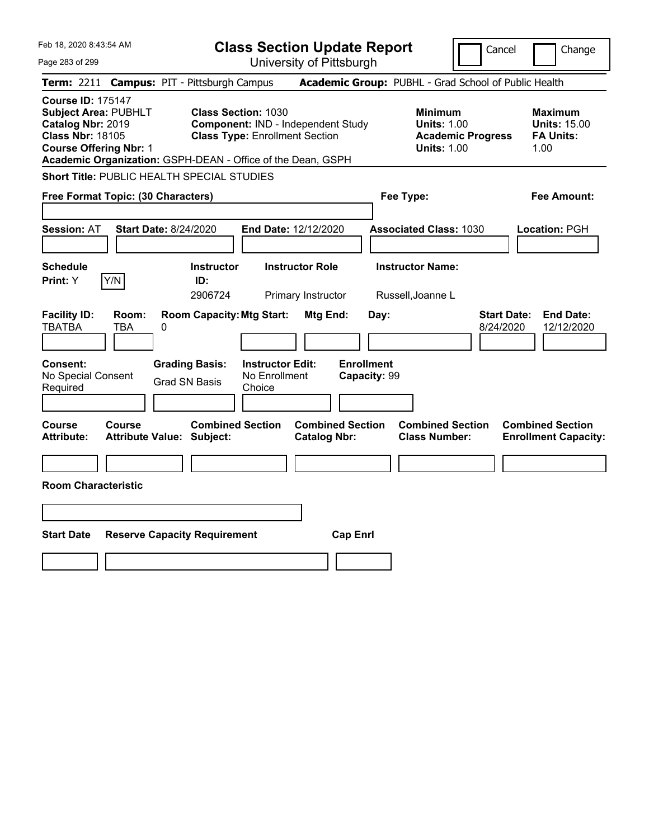| Feb 18, 2020 8:43:54 AM                                                                                                                                                                          |                                            |   |                                                                                                           | <b>Class Section Update Report</b>                 |                                                |                                   |      |                                                            |                          | Cancel                          | Change                                                            |
|--------------------------------------------------------------------------------------------------------------------------------------------------------------------------------------------------|--------------------------------------------|---|-----------------------------------------------------------------------------------------------------------|----------------------------------------------------|------------------------------------------------|-----------------------------------|------|------------------------------------------------------------|--------------------------|---------------------------------|-------------------------------------------------------------------|
| Page 283 of 299                                                                                                                                                                                  |                                            |   |                                                                                                           |                                                    | University of Pittsburgh                       |                                   |      |                                                            |                          |                                 |                                                                   |
| <b>Term: 2211</b>                                                                                                                                                                                |                                            |   | <b>Campus: PIT - Pittsburgh Campus</b>                                                                    |                                                    |                                                |                                   |      | Academic Group: PUBHL - Grad School of Public Health       |                          |                                 |                                                                   |
| <b>Course ID: 175147</b><br>Subject Area: PUBHLT<br>Catalog Nbr: 2019<br><b>Class Nbr: 18105</b><br><b>Course Offering Nbr: 1</b><br>Academic Organization: GSPH-DEAN - Office of the Dean, GSPH |                                            |   | <b>Class Section: 1030</b><br>Component: IND - Independent Study<br><b>Class Type: Enrollment Section</b> |                                                    |                                                |                                   |      | <b>Minimum</b><br><b>Units: 1.00</b><br><b>Units: 1.00</b> | <b>Academic Progress</b> |                                 | <b>Maximum</b><br><b>Units: 15.00</b><br><b>FA Units:</b><br>1.00 |
| Short Title: PUBLIC HEALTH SPECIAL STUDIES                                                                                                                                                       |                                            |   |                                                                                                           |                                                    |                                                |                                   |      |                                                            |                          |                                 |                                                                   |
| Free Format Topic: (30 Characters)                                                                                                                                                               |                                            |   |                                                                                                           |                                                    |                                                |                                   |      | Fee Type:                                                  |                          |                                 | Fee Amount:                                                       |
| <b>Session: AT</b>                                                                                                                                                                               | <b>Start Date: 8/24/2020</b>               |   |                                                                                                           | End Date: 12/12/2020                               |                                                |                                   |      | <b>Associated Class: 1030</b>                              |                          |                                 | Location: PGH                                                     |
| <b>Schedule</b><br>Print: Y                                                                                                                                                                      | Y/N                                        |   | <b>Instructor</b><br>ID:<br>2906724                                                                       |                                                    | <b>Instructor Role</b><br>Primary Instructor   |                                   |      | <b>Instructor Name:</b><br>Russell, Joanne L               |                          |                                 |                                                                   |
| <b>Facility ID:</b><br><b>TBATBA</b>                                                                                                                                                             | Room:<br>TBA                               | 0 | <b>Room Capacity: Mtg Start:</b>                                                                          |                                                    | Mtg End:                                       |                                   | Day: |                                                            |                          | <b>Start Date:</b><br>8/24/2020 | <b>End Date:</b><br>12/12/2020                                    |
| Consent:<br>No Special Consent<br>Required                                                                                                                                                       |                                            |   | <b>Grading Basis:</b><br><b>Grad SN Basis</b>                                                             | <b>Instructor Edit:</b><br>No Enrollment<br>Choice |                                                | <b>Enrollment</b><br>Capacity: 99 |      |                                                            |                          |                                 |                                                                   |
| Course<br><b>Attribute:</b>                                                                                                                                                                      | Course<br><b>Attribute Value: Subject:</b> |   | <b>Combined Section</b>                                                                                   |                                                    | <b>Combined Section</b><br><b>Catalog Nbr:</b> |                                   |      | <b>Combined Section</b><br><b>Class Number:</b>            |                          |                                 | <b>Combined Section</b><br><b>Enrollment Capacity:</b>            |
|                                                                                                                                                                                                  |                                            |   |                                                                                                           |                                                    |                                                |                                   |      |                                                            |                          |                                 |                                                                   |
| <b>Room Characteristic</b>                                                                                                                                                                       |                                            |   |                                                                                                           |                                                    |                                                |                                   |      |                                                            |                          |                                 |                                                                   |
|                                                                                                                                                                                                  |                                            |   |                                                                                                           |                                                    |                                                |                                   |      |                                                            |                          |                                 |                                                                   |
| <b>Start Date</b>                                                                                                                                                                                |                                            |   | <b>Reserve Capacity Requirement</b>                                                                       |                                                    |                                                | <b>Cap Enrl</b>                   |      |                                                            |                          |                                 |                                                                   |
|                                                                                                                                                                                                  |                                            |   |                                                                                                           |                                                    |                                                |                                   |      |                                                            |                          |                                 |                                                                   |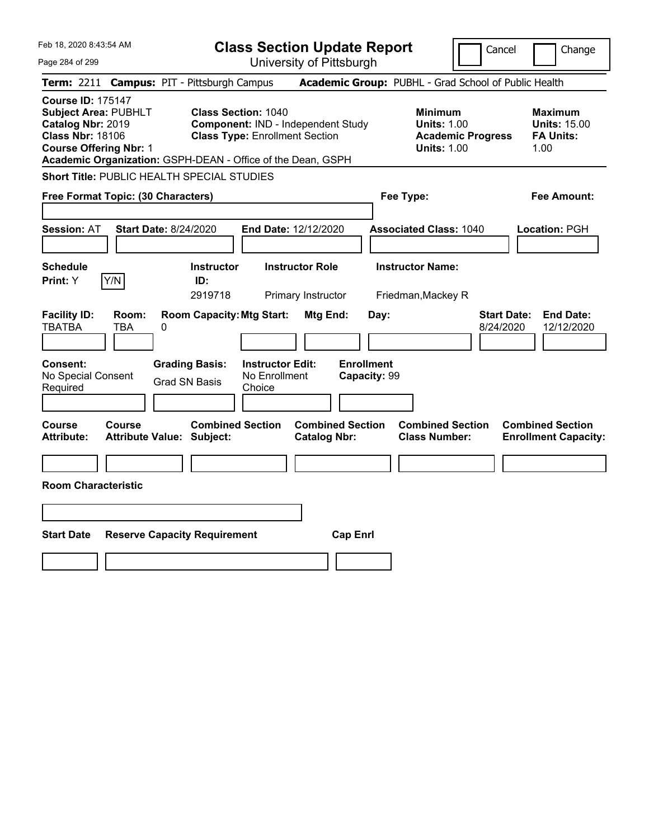| Feb 18, 2020 8:43:54 AM                                                                                                                                                                                 |                                            |                                                                                                           | <b>Class Section Update Report</b>                 |                                              |                                   |           |                                                            |                          | Cancel                          | Change                                                            |
|---------------------------------------------------------------------------------------------------------------------------------------------------------------------------------------------------------|--------------------------------------------|-----------------------------------------------------------------------------------------------------------|----------------------------------------------------|----------------------------------------------|-----------------------------------|-----------|------------------------------------------------------------|--------------------------|---------------------------------|-------------------------------------------------------------------|
| Page 284 of 299                                                                                                                                                                                         |                                            | University of Pittsburgh                                                                                  |                                                    |                                              |                                   |           |                                                            |                          |                                 |                                                                   |
| <b>Term: 2211</b>                                                                                                                                                                                       | <b>Campus: PIT - Pittsburgh Campus</b>     |                                                                                                           |                                                    |                                              |                                   |           | Academic Group: PUBHL - Grad School of Public Health       |                          |                                 |                                                                   |
| <b>Course ID: 175147</b><br><b>Subject Area: PUBHLT</b><br>Catalog Nbr: 2019<br><b>Class Nbr: 18106</b><br><b>Course Offering Nbr: 1</b><br>Academic Organization: GSPH-DEAN - Office of the Dean, GSPH |                                            | <b>Class Section: 1040</b><br>Component: IND - Independent Study<br><b>Class Type: Enrollment Section</b> |                                                    |                                              |                                   |           | <b>Minimum</b><br><b>Units: 1.00</b><br><b>Units: 1.00</b> | <b>Academic Progress</b> |                                 | <b>Maximum</b><br><b>Units: 15.00</b><br><b>FA Units:</b><br>1.00 |
| Short Title: PUBLIC HEALTH SPECIAL STUDIES                                                                                                                                                              |                                            |                                                                                                           |                                                    |                                              |                                   |           |                                                            |                          |                                 |                                                                   |
| Free Format Topic: (30 Characters)                                                                                                                                                                      |                                            |                                                                                                           |                                                    |                                              |                                   | Fee Type: |                                                            |                          |                                 | Fee Amount:                                                       |
| <b>Session: AT</b>                                                                                                                                                                                      | <b>Start Date: 8/24/2020</b>               |                                                                                                           | End Date: 12/12/2020                               |                                              |                                   |           | <b>Associated Class: 1040</b>                              |                          |                                 | Location: PGH                                                     |
| <b>Schedule</b><br>Y/N<br><b>Print: Y</b>                                                                                                                                                               |                                            | <b>Instructor</b><br>ID:<br>2919718                                                                       |                                                    | <b>Instructor Role</b><br>Primary Instructor |                                   |           | <b>Instructor Name:</b><br>Friedman, Mackey R              |                          |                                 |                                                                   |
| <b>Facility ID:</b><br><b>TBATBA</b>                                                                                                                                                                    | Room:<br>TBA<br>0                          | <b>Room Capacity: Mtg Start:</b>                                                                          |                                                    | Mtg End:                                     |                                   | Day:      |                                                            |                          | <b>Start Date:</b><br>8/24/2020 | <b>End Date:</b><br>12/12/2020                                    |
| <b>Consent:</b><br>No Special Consent<br>Required                                                                                                                                                       |                                            | <b>Grading Basis:</b><br><b>Grad SN Basis</b>                                                             | <b>Instructor Edit:</b><br>No Enrollment<br>Choice |                                              | <b>Enrollment</b><br>Capacity: 99 |           |                                                            |                          |                                 |                                                                   |
| Course<br><b>Attribute:</b>                                                                                                                                                                             | Course<br><b>Attribute Value: Subject:</b> | <b>Combined Section</b>                                                                                   |                                                    | <b>Catalog Nbr:</b>                          | <b>Combined Section</b>           |           | <b>Combined Section</b><br><b>Class Number:</b>            |                          |                                 | <b>Combined Section</b><br><b>Enrollment Capacity:</b>            |
|                                                                                                                                                                                                         |                                            |                                                                                                           |                                                    |                                              |                                   |           |                                                            |                          |                                 |                                                                   |
| <b>Room Characteristic</b>                                                                                                                                                                              |                                            |                                                                                                           |                                                    |                                              |                                   |           |                                                            |                          |                                 |                                                                   |
|                                                                                                                                                                                                         |                                            |                                                                                                           |                                                    |                                              |                                   |           |                                                            |                          |                                 |                                                                   |
| <b>Start Date</b>                                                                                                                                                                                       | <b>Reserve Capacity Requirement</b>        |                                                                                                           |                                                    |                                              | <b>Cap Enrl</b>                   |           |                                                            |                          |                                 |                                                                   |
|                                                                                                                                                                                                         |                                            |                                                                                                           |                                                    |                                              |                                   |           |                                                            |                          |                                 |                                                                   |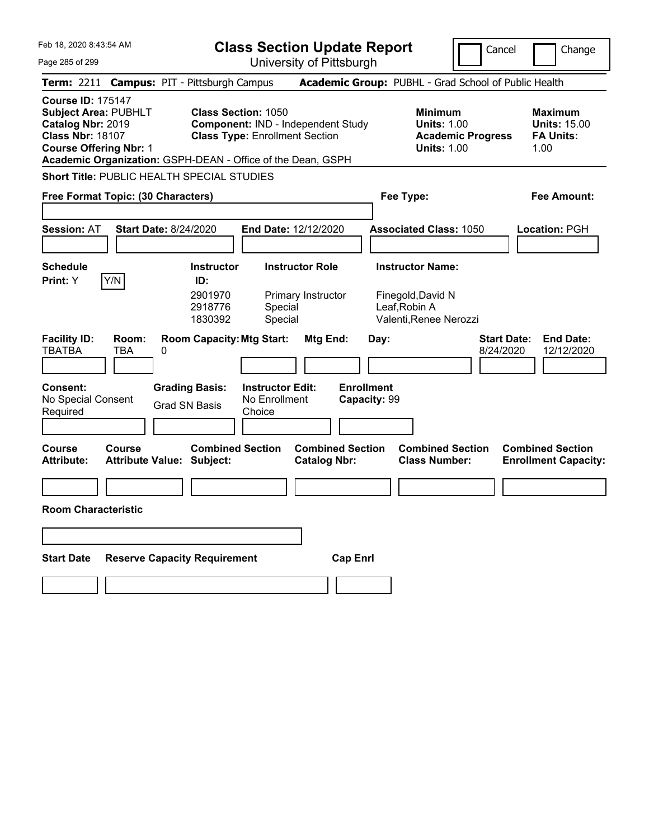| Feb 18, 2020 8:43:54 AM                                                                                                                  |                                                             |                                                                                                                  | <b>Class Section Update Report</b><br>Cancel       |                                                |                 |                                   |                                                              | Change                   |                                 |                                                                   |
|------------------------------------------------------------------------------------------------------------------------------------------|-------------------------------------------------------------|------------------------------------------------------------------------------------------------------------------|----------------------------------------------------|------------------------------------------------|-----------------|-----------------------------------|--------------------------------------------------------------|--------------------------|---------------------------------|-------------------------------------------------------------------|
| Page 285 of 299                                                                                                                          |                                                             | University of Pittsburgh                                                                                         |                                                    |                                                |                 |                                   |                                                              |                          |                                 |                                                                   |
|                                                                                                                                          | Term: 2211 Campus: PIT - Pittsburgh Campus                  |                                                                                                                  |                                                    |                                                |                 |                                   | Academic Group: PUBHL - Grad School of Public Health         |                          |                                 |                                                                   |
| <b>Course ID: 175147</b><br><b>Subject Area: PUBHLT</b><br>Catalog Nbr: 2019<br><b>Class Nbr: 18107</b><br><b>Course Offering Nbr: 1</b> | Academic Organization: GSPH-DEAN - Office of the Dean, GSPH | <b>Class Section: 1050</b><br><b>Component: IND - Independent Study</b><br><b>Class Type: Enrollment Section</b> |                                                    |                                                |                 |                                   | <b>Minimum</b><br><b>Units: 1.00</b><br><b>Units: 1.00</b>   | <b>Academic Progress</b> |                                 | <b>Maximum</b><br><b>Units: 15.00</b><br><b>FA Units:</b><br>1.00 |
|                                                                                                                                          | Short Title: PUBLIC HEALTH SPECIAL STUDIES                  |                                                                                                                  |                                                    |                                                |                 |                                   |                                                              |                          |                                 |                                                                   |
|                                                                                                                                          | Free Format Topic: (30 Characters)                          |                                                                                                                  |                                                    |                                                |                 |                                   | Fee Type:                                                    |                          |                                 | Fee Amount:                                                       |
|                                                                                                                                          |                                                             |                                                                                                                  |                                                    |                                                |                 |                                   |                                                              |                          |                                 |                                                                   |
| <b>Session: AT</b>                                                                                                                       | <b>Start Date: 8/24/2020</b>                                |                                                                                                                  | End Date: 12/12/2020                               |                                                |                 |                                   | <b>Associated Class: 1050</b>                                |                          |                                 | Location: PGH                                                     |
|                                                                                                                                          |                                                             |                                                                                                                  |                                                    |                                                |                 |                                   |                                                              |                          |                                 |                                                                   |
| <b>Schedule</b>                                                                                                                          |                                                             | <b>Instructor</b>                                                                                                |                                                    | <b>Instructor Role</b>                         |                 |                                   | <b>Instructor Name:</b>                                      |                          |                                 |                                                                   |
| Print: Y                                                                                                                                 | Y/N                                                         | ID:<br>2901970<br>2918776<br>1830392                                                                             | Special<br>Special                                 | Primary Instructor                             |                 |                                   | Finegold, David N<br>Leaf, Robin A<br>Valenti, Renee Nerozzi |                          |                                 |                                                                   |
| <b>Facility ID:</b><br><b>TBATBA</b>                                                                                                     | Room:<br>TBA<br>0                                           | <b>Room Capacity: Mtg Start:</b>                                                                                 |                                                    | Mtg End:                                       |                 | Day:                              |                                                              |                          | <b>Start Date:</b><br>8/24/2020 | <b>End Date:</b><br>12/12/2020                                    |
| Consent:<br>No Special Consent<br>Required                                                                                               |                                                             | <b>Grading Basis:</b><br><b>Grad SN Basis</b>                                                                    | <b>Instructor Edit:</b><br>No Enrollment<br>Choice |                                                |                 | <b>Enrollment</b><br>Capacity: 99 |                                                              |                          |                                 |                                                                   |
| <b>Course</b><br><b>Attribute:</b>                                                                                                       | Course<br>Attribute Value: Subject:                         | <b>Combined Section</b>                                                                                          |                                                    | <b>Combined Section</b><br><b>Catalog Nbr:</b> |                 |                                   | <b>Combined Section</b><br><b>Class Number:</b>              |                          |                                 | <b>Combined Section</b><br><b>Enrollment Capacity:</b>            |
|                                                                                                                                          |                                                             |                                                                                                                  |                                                    |                                                |                 |                                   |                                                              |                          |                                 |                                                                   |
| <b>Room Characteristic</b>                                                                                                               |                                                             |                                                                                                                  |                                                    |                                                |                 |                                   |                                                              |                          |                                 |                                                                   |
|                                                                                                                                          |                                                             |                                                                                                                  |                                                    |                                                |                 |                                   |                                                              |                          |                                 |                                                                   |
| <b>Start Date</b>                                                                                                                        | <b>Reserve Capacity Requirement</b>                         |                                                                                                                  |                                                    |                                                | <b>Cap Enrl</b> |                                   |                                                              |                          |                                 |                                                                   |
|                                                                                                                                          |                                                             |                                                                                                                  |                                                    |                                                |                 |                                   |                                                              |                          |                                 |                                                                   |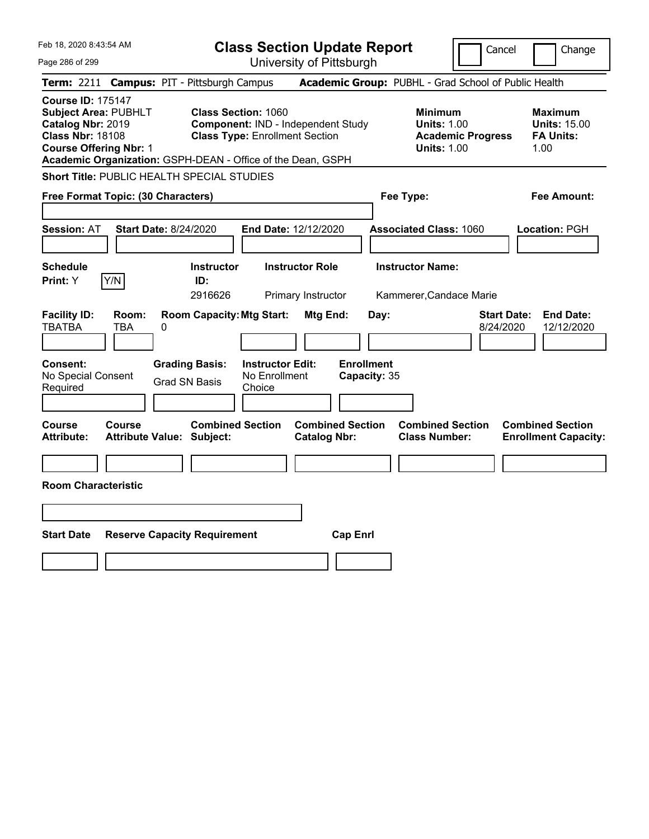|                                                                                                                                                                                                                                                                                                                                                                                                                               | Change                                                    |
|-------------------------------------------------------------------------------------------------------------------------------------------------------------------------------------------------------------------------------------------------------------------------------------------------------------------------------------------------------------------------------------------------------------------------------|-----------------------------------------------------------|
| University of Pittsburgh<br>Page 286 of 299                                                                                                                                                                                                                                                                                                                                                                                   |                                                           |
| Academic Group: PUBHL - Grad School of Public Health<br><b>Term: 2211</b><br><b>Campus: PIT - Pittsburgh Campus</b>                                                                                                                                                                                                                                                                                                           |                                                           |
| <b>Course ID: 175147</b><br><b>Subject Area: PUBHLT</b><br><b>Class Section: 1060</b><br><b>Minimum</b><br>Catalog Nbr: 2019<br><b>Units: 1.00</b><br><b>Component: IND - Independent Study</b><br><b>Class Nbr: 18108</b><br><b>Class Type: Enrollment Section</b><br><b>Academic Progress</b><br><b>Course Offering Nbr: 1</b><br><b>Units: 1.00</b><br>1.00<br>Academic Organization: GSPH-DEAN - Office of the Dean, GSPH | <b>Maximum</b><br><b>Units: 15.00</b><br><b>FA Units:</b> |
| Short Title: PUBLIC HEALTH SPECIAL STUDIES                                                                                                                                                                                                                                                                                                                                                                                    |                                                           |
| Free Format Topic: (30 Characters)<br>Fee Type:                                                                                                                                                                                                                                                                                                                                                                               | Fee Amount:                                               |
| <b>Start Date: 8/24/2020</b><br>End Date: 12/12/2020<br><b>Session: AT</b><br><b>Associated Class: 1060</b><br>Location: PGH                                                                                                                                                                                                                                                                                                  |                                                           |
| <b>Instructor Name:</b><br><b>Schedule</b><br><b>Instructor</b><br><b>Instructor Role</b><br>Y/N<br>Print: Y<br>ID:                                                                                                                                                                                                                                                                                                           |                                                           |
| 2916626<br>Primary Instructor<br>Kammerer, Candace Marie                                                                                                                                                                                                                                                                                                                                                                      |                                                           |
| <b>Facility ID:</b><br><b>Room Capacity: Mtg Start:</b><br><b>Start Date:</b><br>Room:<br>Mtg End:<br>Day:<br><b>TBATBA</b><br><b>TBA</b><br>0<br>8/24/2020                                                                                                                                                                                                                                                                   | <b>End Date:</b><br>12/12/2020                            |
| <b>Enrollment</b><br>Consent:<br><b>Grading Basis:</b><br><b>Instructor Edit:</b><br>No Special Consent<br>No Enrollment<br>Capacity: 35<br><b>Grad SN Basis</b><br>Required<br>Choice                                                                                                                                                                                                                                        |                                                           |
| <b>Combined Section</b><br><b>Combined Section</b><br><b>Combined Section</b><br><b>Course</b><br>Course<br><b>Combined Section</b><br><b>Attribute:</b><br><b>Attribute Value: Subject:</b><br><b>Catalog Nbr:</b><br><b>Class Number:</b>                                                                                                                                                                                   | <b>Enrollment Capacity:</b>                               |
|                                                                                                                                                                                                                                                                                                                                                                                                                               |                                                           |
| <b>Room Characteristic</b>                                                                                                                                                                                                                                                                                                                                                                                                    |                                                           |
|                                                                                                                                                                                                                                                                                                                                                                                                                               |                                                           |
| <b>Start Date</b><br><b>Cap Enrl</b><br><b>Reserve Capacity Requirement</b>                                                                                                                                                                                                                                                                                                                                                   |                                                           |
|                                                                                                                                                                                                                                                                                                                                                                                                                               |                                                           |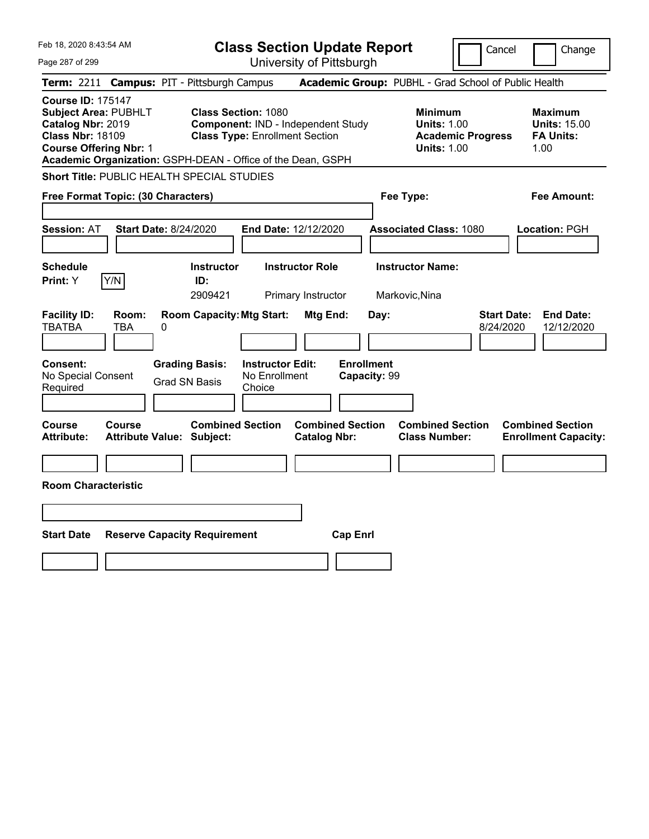| Feb 18, 2020 8:43:54 AM                                                                                                                  |                                                                                        | <b>Class Section Update Report</b><br>Cancel<br>Change                                                    |                                                       |                                                            |                                 |                                                                   |
|------------------------------------------------------------------------------------------------------------------------------------------|----------------------------------------------------------------------------------------|-----------------------------------------------------------------------------------------------------------|-------------------------------------------------------|------------------------------------------------------------|---------------------------------|-------------------------------------------------------------------|
| Page 287 of 299                                                                                                                          |                                                                                        | University of Pittsburgh                                                                                  |                                                       |                                                            |                                 |                                                                   |
| <b>Term: 2211</b>                                                                                                                        | <b>Campus: PIT - Pittsburgh Campus</b>                                                 |                                                                                                           |                                                       | Academic Group: PUBHL - Grad School of Public Health       |                                 |                                                                   |
| <b>Course ID: 175147</b><br><b>Subject Area: PUBHLT</b><br>Catalog Nbr: 2019<br><b>Class Nbr: 18109</b><br><b>Course Offering Nbr: 1</b> | Academic Organization: GSPH-DEAN - Office of the Dean, GSPH                            | <b>Class Section: 1080</b><br>Component: IND - Independent Study<br><b>Class Type: Enrollment Section</b> |                                                       | <b>Minimum</b><br><b>Units: 1.00</b><br><b>Units: 1.00</b> | <b>Academic Progress</b>        | <b>Maximum</b><br><b>Units: 15.00</b><br><b>FA Units:</b><br>1.00 |
|                                                                                                                                          | Short Title: PUBLIC HEALTH SPECIAL STUDIES                                             |                                                                                                           |                                                       |                                                            |                                 |                                                                   |
| Fee Type:<br><b>Fee Amount:</b><br>Free Format Topic: (30 Characters)                                                                    |                                                                                        |                                                                                                           |                                                       |                                                            |                                 |                                                                   |
| <b>Session: AT</b>                                                                                                                       | <b>Start Date: 8/24/2020</b>                                                           | End Date: 12/12/2020                                                                                      |                                                       | <b>Associated Class: 1080</b>                              |                                 | Location: PGH                                                     |
| <b>Schedule</b>                                                                                                                          | <b>Instructor</b>                                                                      | <b>Instructor Role</b>                                                                                    |                                                       | <b>Instructor Name:</b>                                    |                                 |                                                                   |
| Y/N<br><b>Print: Y</b>                                                                                                                   | ID:<br>2909421                                                                         | Primary Instructor                                                                                        |                                                       | Markovic, Nina                                             |                                 |                                                                   |
| <b>Facility ID:</b><br>Room:<br><b>TBATBA</b><br>TBA<br><b>Consent:</b><br>No Special Consent<br>Required                                | <b>Room Capacity: Mtg Start:</b><br>0<br><b>Grading Basis:</b><br><b>Grad SN Basis</b> | <b>Instructor Edit:</b><br>No Enrollment<br>Choice                                                        | Mtg End:<br>Day:<br><b>Enrollment</b><br>Capacity: 99 |                                                            | <b>Start Date:</b><br>8/24/2020 | <b>End Date:</b><br>12/12/2020                                    |
| Course<br>Course<br><b>Attribute:</b>                                                                                                    | <b>Combined Section</b><br><b>Attribute Value: Subject:</b>                            | <b>Catalog Nbr:</b>                                                                                       | <b>Combined Section</b>                               | <b>Combined Section</b><br><b>Class Number:</b>            |                                 | <b>Combined Section</b><br><b>Enrollment Capacity:</b>            |
|                                                                                                                                          |                                                                                        |                                                                                                           |                                                       |                                                            |                                 |                                                                   |
| <b>Room Characteristic</b>                                                                                                               |                                                                                        |                                                                                                           |                                                       |                                                            |                                 |                                                                   |
|                                                                                                                                          |                                                                                        |                                                                                                           |                                                       |                                                            |                                 |                                                                   |
| <b>Start Date</b><br><b>Reserve Capacity Requirement</b><br><b>Cap Enrl</b>                                                              |                                                                                        |                                                                                                           |                                                       |                                                            |                                 |                                                                   |
|                                                                                                                                          |                                                                                        |                                                                                                           |                                                       |                                                            |                                 |                                                                   |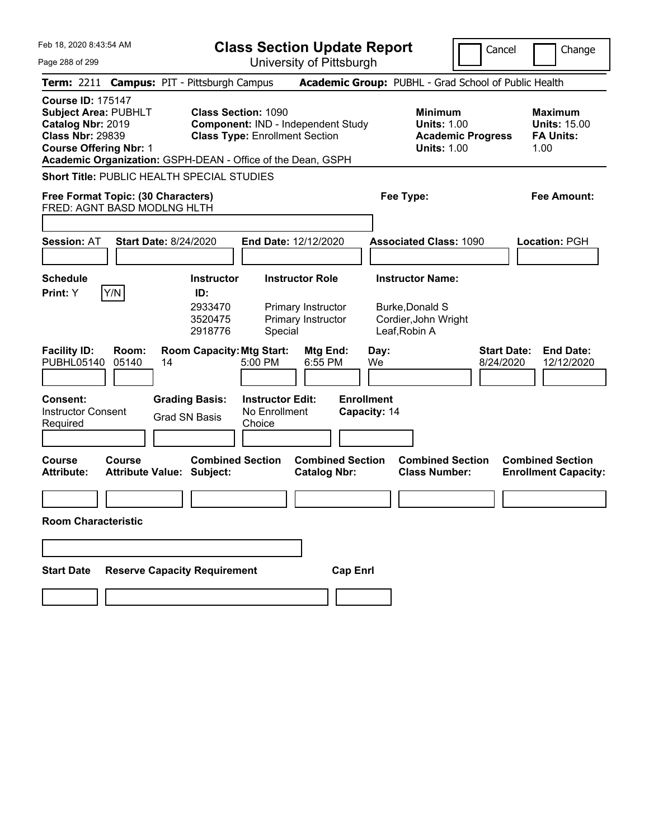| Feb 18. 2020 8:43:54 AM                                                                                                                  |                                                             | <b>Class Section Update Report</b><br>Cancel<br>Change                                                           |                                                |                                                                                            |                                 |                                                                   |
|------------------------------------------------------------------------------------------------------------------------------------------|-------------------------------------------------------------|------------------------------------------------------------------------------------------------------------------|------------------------------------------------|--------------------------------------------------------------------------------------------|---------------------------------|-------------------------------------------------------------------|
| Page 288 of 299                                                                                                                          |                                                             |                                                                                                                  | University of Pittsburgh                       |                                                                                            |                                 |                                                                   |
|                                                                                                                                          | Term: 2211 Campus: PIT - Pittsburgh Campus                  |                                                                                                                  |                                                | Academic Group: PUBHL - Grad School of Public Health                                       |                                 |                                                                   |
| <b>Course ID: 175147</b><br><b>Subject Area: PUBHLT</b><br>Catalog Nbr: 2019<br><b>Class Nbr: 29839</b><br><b>Course Offering Nbr: 1</b> | Academic Organization: GSPH-DEAN - Office of the Dean, GSPH | <b>Class Section: 1090</b><br><b>Component: IND - Independent Study</b><br><b>Class Type: Enrollment Section</b> |                                                | <b>Minimum</b><br><b>Units: 1.00</b><br><b>Units: 1.00</b>                                 | <b>Academic Progress</b>        | <b>Maximum</b><br><b>Units: 15.00</b><br><b>FA Units:</b><br>1.00 |
|                                                                                                                                          | Short Title: PUBLIC HEALTH SPECIAL STUDIES                  |                                                                                                                  |                                                |                                                                                            |                                 |                                                                   |
|                                                                                                                                          | Free Format Topic: (30 Characters)                          |                                                                                                                  |                                                | Fee Type:                                                                                  |                                 | Fee Amount:                                                       |
|                                                                                                                                          | FRED: AGNT BASD MODLNG HLTH                                 |                                                                                                                  |                                                |                                                                                            |                                 |                                                                   |
| <b>Session: AT</b>                                                                                                                       | <b>Start Date: 8/24/2020</b>                                | End Date: 12/12/2020                                                                                             |                                                | <b>Associated Class: 1090</b>                                                              |                                 | Location: PGH                                                     |
| <b>Schedule</b><br> Y/N <br>Print: Y                                                                                                     | <b>Instructor</b><br>ID:<br>2933470<br>3520475<br>2918776   | <b>Instructor Role</b><br>Special                                                                                | Primary Instructor<br>Primary Instructor       | <b>Instructor Name:</b><br><b>Burke, Donald S</b><br>Cordier, John Wright<br>Leaf, Robin A |                                 |                                                                   |
| <b>Facility ID:</b><br>PUBHL05140                                                                                                        | Room:<br><b>Room Capacity: Mtg Start:</b><br>05140<br>14    | 5:00 PM                                                                                                          | Mtg End:<br>6:55 PM                            | Day:<br>We                                                                                 | <b>Start Date:</b><br>8/24/2020 | <b>End Date:</b><br>12/12/2020                                    |
| <b>Consent:</b><br><b>Instructor Consent</b><br>Required                                                                                 | <b>Grading Basis:</b><br><b>Grad SN Basis</b>               | <b>Instructor Edit:</b><br>No Enrollment<br>Choice                                                               | <b>Enrollment</b><br>Capacity: 14              |                                                                                            |                                 |                                                                   |
| <b>Course</b><br>Course<br><b>Attribute:</b>                                                                                             | <b>Attribute Value: Subject:</b>                            | <b>Combined Section</b>                                                                                          | <b>Combined Section</b><br><b>Catalog Nbr:</b> | <b>Combined Section</b><br><b>Class Number:</b>                                            |                                 | <b>Combined Section</b><br><b>Enrollment Capacity:</b>            |
| <b>Room Characteristic</b>                                                                                                               |                                                             |                                                                                                                  |                                                |                                                                                            |                                 |                                                                   |
|                                                                                                                                          |                                                             |                                                                                                                  |                                                |                                                                                            |                                 |                                                                   |
| <b>Start Date</b>                                                                                                                        | <b>Reserve Capacity Requirement</b>                         |                                                                                                                  | <b>Cap Enrl</b>                                |                                                                                            |                                 |                                                                   |
|                                                                                                                                          |                                                             |                                                                                                                  |                                                |                                                                                            |                                 |                                                                   |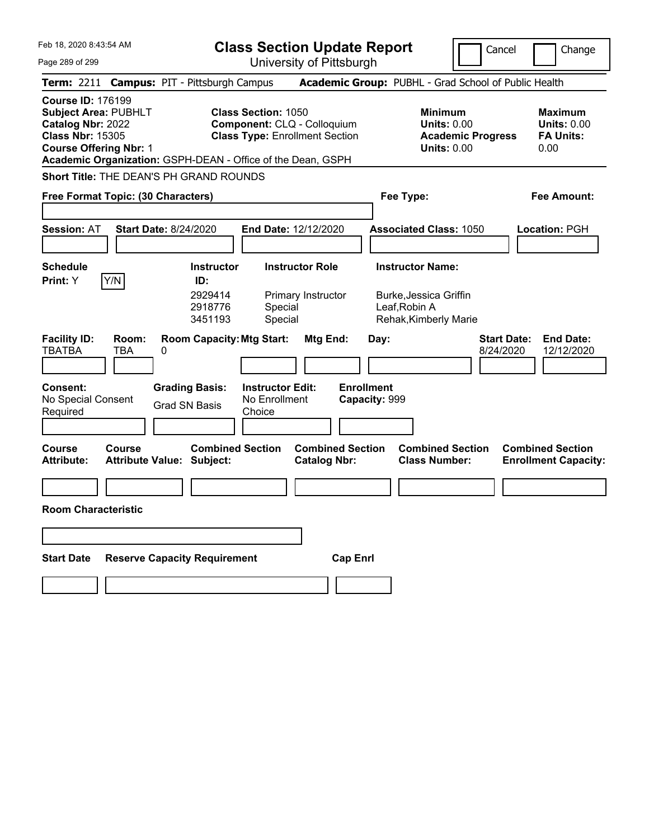| Feb 18, 2020 8:43:54 AM                                                                                                                  |              |                                                             | <b>Class Section Update Report</b>                                                                 |                                                      |                                                                  | Cancel                          | Change                                                           |
|------------------------------------------------------------------------------------------------------------------------------------------|--------------|-------------------------------------------------------------|----------------------------------------------------------------------------------------------------|------------------------------------------------------|------------------------------------------------------------------|---------------------------------|------------------------------------------------------------------|
| Page 289 of 299                                                                                                                          |              |                                                             | University of Pittsburgh                                                                           |                                                      |                                                                  |                                 |                                                                  |
|                                                                                                                                          |              | Term: 2211 Campus: PIT - Pittsburgh Campus                  |                                                                                                    | Academic Group: PUBHL - Grad School of Public Health |                                                                  |                                 |                                                                  |
| <b>Course ID: 176199</b><br><b>Subject Area: PUBHLT</b><br>Catalog Nbr: 2022<br><b>Class Nbr: 15305</b><br><b>Course Offering Nbr: 1</b> |              | Academic Organization: GSPH-DEAN - Office of the Dean, GSPH | <b>Class Section: 1050</b><br>Component: CLQ - Colloquium<br><b>Class Type: Enrollment Section</b> |                                                      | <b>Minimum</b><br><b>Units: 0.00</b><br><b>Units: 0.00</b>       | <b>Academic Progress</b>        | <b>Maximum</b><br><b>Units: 0.00</b><br><b>FA Units:</b><br>0.00 |
|                                                                                                                                          |              | Short Title: THE DEAN'S PH GRAND ROUNDS                     |                                                                                                    |                                                      |                                                                  |                                 |                                                                  |
| Free Format Topic: (30 Characters)                                                                                                       |              |                                                             |                                                                                                    |                                                      | Fee Type:                                                        |                                 | <b>Fee Amount:</b>                                               |
|                                                                                                                                          |              |                                                             |                                                                                                    |                                                      |                                                                  |                                 |                                                                  |
| <b>Session: AT</b>                                                                                                                       |              | <b>Start Date: 8/24/2020</b>                                | <b>End Date: 12/12/2020</b>                                                                        |                                                      | <b>Associated Class: 1050</b>                                    |                                 | <b>Location: PGH</b>                                             |
|                                                                                                                                          |              |                                                             |                                                                                                    |                                                      |                                                                  |                                 |                                                                  |
| <b>Schedule</b><br>Print: Y                                                                                                              | Y/N          | <b>Instructor</b><br>ID:                                    | <b>Instructor Role</b>                                                                             |                                                      | <b>Instructor Name:</b>                                          |                                 |                                                                  |
|                                                                                                                                          |              | 2929414<br>2918776<br>3451193                               | Primary Instructor<br>Special<br>Special                                                           |                                                      | Burke, Jessica Griffin<br>Leaf, Robin A<br>Rehak, Kimberly Marie |                                 |                                                                  |
| <b>Facility ID:</b><br><b>TBATBA</b>                                                                                                     | Room:<br>TBA | <b>Room Capacity: Mtg Start:</b><br>0                       |                                                                                                    | Mtg End:<br>Day:                                     |                                                                  | <b>Start Date:</b><br>8/24/2020 | <b>End Date:</b><br>12/12/2020                                   |
| Consent:<br>No Special Consent<br>Required                                                                                               |              | <b>Grading Basis:</b><br><b>Grad SN Basis</b>               | <b>Instructor Edit:</b><br>No Enrollment<br>Choice                                                 | <b>Enrollment</b><br>Capacity: 999                   |                                                                  |                                 |                                                                  |
| Course<br><b>Attribute:</b>                                                                                                              | Course       | <b>Combined Section</b><br><b>Attribute Value: Subject:</b> |                                                                                                    | <b>Combined Section</b><br><b>Catalog Nbr:</b>       | <b>Combined Section</b><br><b>Class Number:</b>                  |                                 | <b>Combined Section</b><br><b>Enrollment Capacity:</b>           |
|                                                                                                                                          |              |                                                             |                                                                                                    |                                                      |                                                                  |                                 |                                                                  |
| <b>Room Characteristic</b>                                                                                                               |              |                                                             |                                                                                                    |                                                      |                                                                  |                                 |                                                                  |
|                                                                                                                                          |              |                                                             |                                                                                                    |                                                      |                                                                  |                                 |                                                                  |
|                                                                                                                                          |              |                                                             |                                                                                                    |                                                      |                                                                  |                                 |                                                                  |
| <b>Start Date</b>                                                                                                                        |              | <b>Reserve Capacity Requirement</b>                         |                                                                                                    | <b>Cap Enrl</b>                                      |                                                                  |                                 |                                                                  |
|                                                                                                                                          |              |                                                             |                                                                                                    |                                                      |                                                                  |                                 |                                                                  |
|                                                                                                                                          |              |                                                             |                                                                                                    |                                                      |                                                                  |                                 |                                                                  |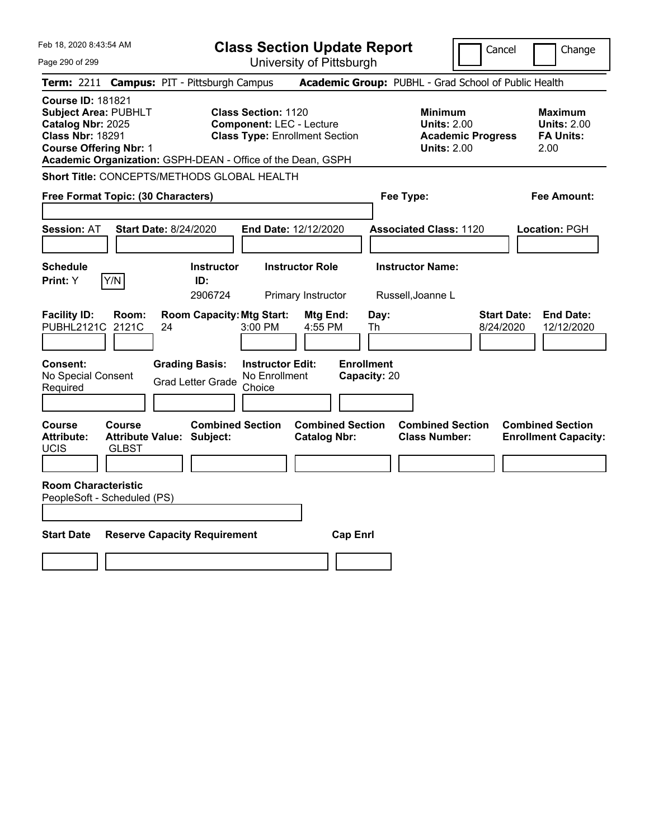| Feb 18, 2020 8:43:54 AM                                                                                                                  |                                                                                                                                                                       | <b>Class Section Update Report</b>             |                                                                                        | Change<br>Cancel                                                  |
|------------------------------------------------------------------------------------------------------------------------------------------|-----------------------------------------------------------------------------------------------------------------------------------------------------------------------|------------------------------------------------|----------------------------------------------------------------------------------------|-------------------------------------------------------------------|
| Page 290 of 299                                                                                                                          |                                                                                                                                                                       | University of Pittsburgh                       |                                                                                        |                                                                   |
| Term: 2211 Campus: PIT - Pittsburgh Campus                                                                                               |                                                                                                                                                                       |                                                | Academic Group: PUBHL - Grad School of Public Health                                   |                                                                   |
| <b>Course ID: 181821</b><br><b>Subject Area: PUBHLT</b><br>Catalog Nbr: 2025<br><b>Class Nbr: 18291</b><br><b>Course Offering Nbr: 1</b> | <b>Class Section: 1120</b><br><b>Component: LEC - Lecture</b><br><b>Class Type: Enrollment Section</b><br>Academic Organization: GSPH-DEAN - Office of the Dean, GSPH |                                                | <b>Minimum</b><br><b>Units: 2.00</b><br><b>Academic Progress</b><br><b>Units: 2.00</b> | <b>Maximum</b><br><b>Units: 2.00</b><br><b>FA Units:</b><br>2.00  |
|                                                                                                                                          | Short Title: CONCEPTS/METHODS GLOBAL HEALTH                                                                                                                           |                                                |                                                                                        |                                                                   |
| Free Format Topic: (30 Characters)                                                                                                       |                                                                                                                                                                       |                                                | Fee Type:                                                                              | Fee Amount:                                                       |
| <b>Session: AT</b>                                                                                                                       | <b>Start Date: 8/24/2020</b>                                                                                                                                          | End Date: 12/12/2020                           | <b>Associated Class: 1120</b>                                                          | Location: PGH                                                     |
| <b>Schedule</b><br>Y/N<br><b>Print: Y</b>                                                                                                | <b>Instructor</b><br>ID:<br>2906724                                                                                                                                   | <b>Instructor Role</b><br>Primary Instructor   | <b>Instructor Name:</b><br>Russell, Joanne L                                           |                                                                   |
| <b>Facility ID:</b><br>Room:<br>PUBHL2121C<br>2121C                                                                                      | <b>Room Capacity: Mtg Start:</b><br>24<br>3:00 PM                                                                                                                     | Mtg End:<br>Day:<br>4:55 PM<br>Th              |                                                                                        | <b>End Date:</b><br><b>Start Date:</b><br>8/24/2020<br>12/12/2020 |
| Consent:<br>No Special Consent<br>Required                                                                                               | <b>Instructor Edit:</b><br><b>Grading Basis:</b><br>No Enrollment<br><b>Grad Letter Grade</b><br>Choice                                                               | <b>Enrollment</b><br>Capacity: 20              |                                                                                        |                                                                   |
| Course<br><b>Course</b><br><b>Attribute:</b><br>UCIS<br><b>GLBST</b>                                                                     | <b>Combined Section</b><br>Attribute Value: Subject:                                                                                                                  | <b>Combined Section</b><br><b>Catalog Nbr:</b> | <b>Combined Section</b><br><b>Class Number:</b>                                        | <b>Combined Section</b><br><b>Enrollment Capacity:</b>            |
| <b>Room Characteristic</b><br>PeopleSoft - Scheduled (PS)                                                                                |                                                                                                                                                                       |                                                |                                                                                        |                                                                   |
| <b>Start Date</b>                                                                                                                        | <b>Reserve Capacity Requirement</b>                                                                                                                                   | <b>Cap Enrl</b>                                |                                                                                        |                                                                   |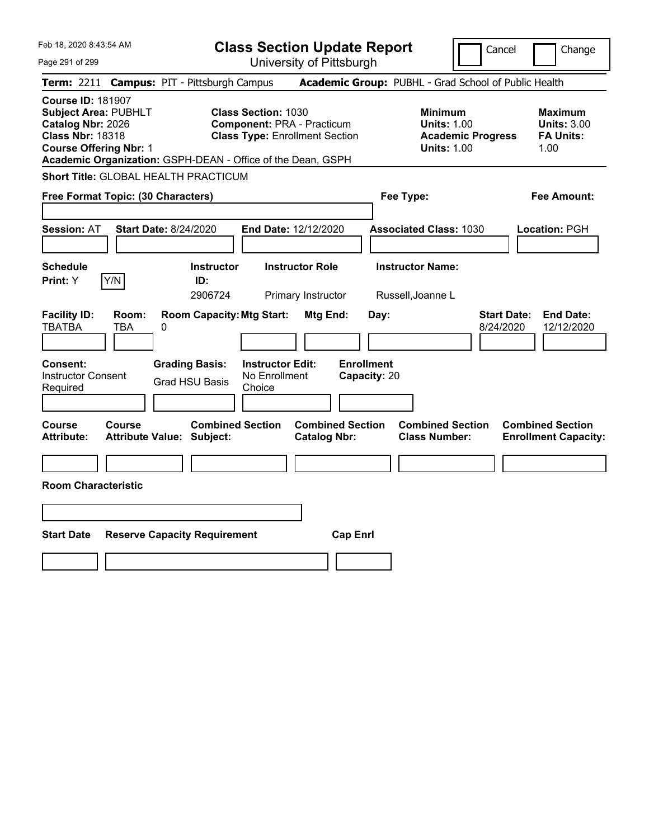| Feb 18, 2020 8:43:54 AM                                                                                                                  | <b>Class Section Update Report</b>                                                                                                                                      | Cancel<br>Change                                                                                                                                           |
|------------------------------------------------------------------------------------------------------------------------------------------|-------------------------------------------------------------------------------------------------------------------------------------------------------------------------|------------------------------------------------------------------------------------------------------------------------------------------------------------|
| Page 291 of 299                                                                                                                          | University of Pittsburgh                                                                                                                                                |                                                                                                                                                            |
| <b>Campus: PIT - Pittsburgh Campus</b><br><b>Term:</b> 2211                                                                              |                                                                                                                                                                         | Academic Group: PUBHL - Grad School of Public Health                                                                                                       |
| <b>Course ID: 181907</b><br><b>Subject Area: PUBHLT</b><br>Catalog Nbr: 2026<br><b>Class Nbr: 18318</b><br><b>Course Offering Nbr: 1</b> | <b>Class Section: 1030</b><br><b>Component: PRA - Practicum</b><br><b>Class Type: Enrollment Section</b><br>Academic Organization: GSPH-DEAN - Office of the Dean, GSPH | <b>Minimum</b><br><b>Maximum</b><br><b>Units: 1.00</b><br><b>Units: 3.00</b><br><b>Academic Progress</b><br><b>FA Units:</b><br><b>Units: 1.00</b><br>1.00 |
| <b>Short Title: GLOBAL HEALTH PRACTICUM</b>                                                                                              |                                                                                                                                                                         |                                                                                                                                                            |
| Free Format Topic: (30 Characters)                                                                                                       |                                                                                                                                                                         | Fee Type:<br>Fee Amount:                                                                                                                                   |
| <b>Session: AT</b><br>Start Date: 8/24/2020                                                                                              | End Date: 12/12/2020                                                                                                                                                    | <b>Associated Class: 1030</b><br>Location: PGH                                                                                                             |
| <b>Schedule</b><br>Y/N<br>Print: Y                                                                                                       | <b>Instructor Role</b><br><b>Instructor</b><br>ID:<br>2906724<br>Primary Instructor                                                                                     | <b>Instructor Name:</b><br>Russell, Joanne L                                                                                                               |
| <b>Facility ID:</b><br>Room:<br><b>TBATBA</b><br>TBA<br>0                                                                                | <b>Room Capacity: Mtg Start:</b><br>Mtg End:                                                                                                                            | <b>Start Date:</b><br><b>End Date:</b><br>Day:<br>8/24/2020<br>12/12/2020                                                                                  |
| Consent:<br><b>Grading Basis:</b><br><b>Instructor Consent</b><br><b>Grad HSU Basis</b><br>Required                                      | <b>Enrollment</b><br><b>Instructor Edit:</b><br>No Enrollment<br>Capacity: 20<br>Choice                                                                                 |                                                                                                                                                            |
| Course<br>Course<br><b>Attribute:</b><br><b>Attribute Value: Subject:</b>                                                                | <b>Combined Section</b><br><b>Combined Section</b><br><b>Catalog Nbr:</b>                                                                                               | <b>Combined Section</b><br><b>Combined Section</b><br><b>Class Number:</b><br><b>Enrollment Capacity:</b>                                                  |
|                                                                                                                                          |                                                                                                                                                                         |                                                                                                                                                            |
| <b>Room Characteristic</b>                                                                                                               |                                                                                                                                                                         |                                                                                                                                                            |
|                                                                                                                                          |                                                                                                                                                                         |                                                                                                                                                            |
| <b>Start Date</b><br><b>Reserve Capacity Requirement</b>                                                                                 | <b>Cap Enrl</b>                                                                                                                                                         |                                                                                                                                                            |
|                                                                                                                                          |                                                                                                                                                                         |                                                                                                                                                            |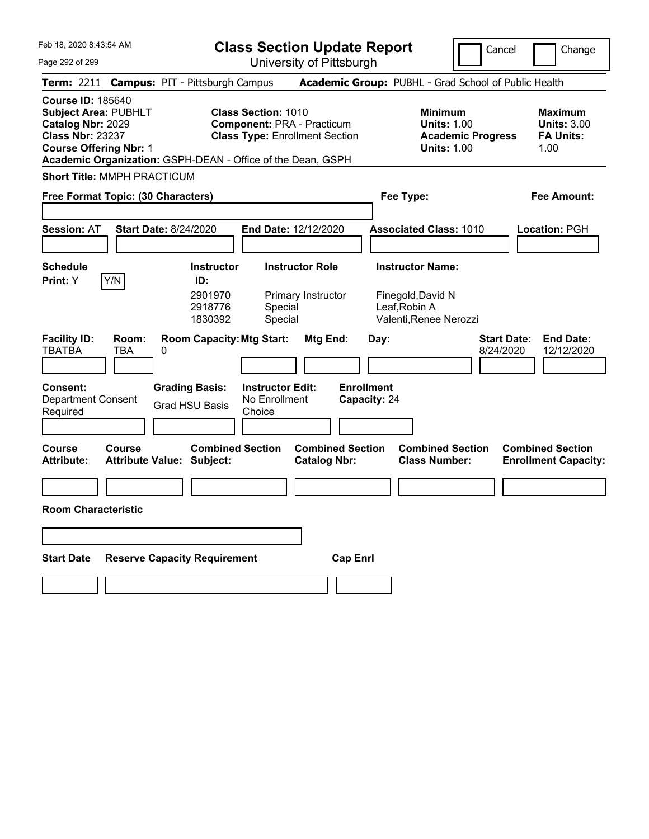| Feb 18, 2020 8:43:54 AM                                                                                                                                                                                 | <b>Class Section Update Report</b>                                                                       |                                                                                        | Cancel<br>Change                                                  |
|---------------------------------------------------------------------------------------------------------------------------------------------------------------------------------------------------------|----------------------------------------------------------------------------------------------------------|----------------------------------------------------------------------------------------|-------------------------------------------------------------------|
| Page 292 of 299                                                                                                                                                                                         | University of Pittsburgh                                                                                 |                                                                                        |                                                                   |
| Term: 2211 Campus: PIT - Pittsburgh Campus                                                                                                                                                              |                                                                                                          | Academic Group: PUBHL - Grad School of Public Health                                   |                                                                   |
| <b>Course ID: 185640</b><br><b>Subject Area: PUBHLT</b><br>Catalog Nbr: 2029<br><b>Class Nbr: 23237</b><br><b>Course Offering Nbr: 1</b><br>Academic Organization: GSPH-DEAN - Office of the Dean, GSPH | <b>Class Section: 1010</b><br><b>Component: PRA - Practicum</b><br><b>Class Type: Enrollment Section</b> | <b>Minimum</b><br><b>Units: 1.00</b><br><b>Academic Progress</b><br><b>Units: 1.00</b> | <b>Maximum</b><br><b>Units: 3.00</b><br><b>FA Units:</b><br>1.00  |
| <b>Short Title: MMPH PRACTICUM</b>                                                                                                                                                                      |                                                                                                          |                                                                                        |                                                                   |
| Free Format Topic: (30 Characters)                                                                                                                                                                      |                                                                                                          | Fee Type:                                                                              | <b>Fee Amount:</b>                                                |
|                                                                                                                                                                                                         |                                                                                                          |                                                                                        |                                                                   |
| <b>Start Date: 8/24/2020</b><br><b>Session: AT</b>                                                                                                                                                      | End Date: 12/12/2020                                                                                     | <b>Associated Class: 1010</b>                                                          | <b>Location: PGH</b>                                              |
|                                                                                                                                                                                                         |                                                                                                          |                                                                                        |                                                                   |
| <b>Schedule</b><br>Y/N<br>Print: Y                                                                                                                                                                      | <b>Instructor Role</b><br><b>Instructor</b><br>ID:                                                       | <b>Instructor Name:</b>                                                                |                                                                   |
|                                                                                                                                                                                                         | 2901970<br>Primary Instructor<br>2918776<br>Special<br>1830392<br>Special                                | Finegold, David N<br>Leaf, Robin A<br>Valenti, Renee Nerozzi                           |                                                                   |
| <b>Facility ID:</b><br>Room:<br><b>TBATBA</b><br><b>TBA</b><br>0                                                                                                                                        | <b>Room Capacity: Mtg Start:</b><br>Mtg End:                                                             | Day:                                                                                   | <b>Start Date:</b><br><b>End Date:</b><br>8/24/2020<br>12/12/2020 |
| <b>Consent:</b><br><b>Grading Basis:</b><br><b>Department Consent</b><br><b>Grad HSU Basis</b><br>Required                                                                                              | <b>Instructor Edit:</b><br>No Enrollment<br>Choice                                                       | <b>Enrollment</b><br>Capacity: 24                                                      |                                                                   |
| <b>Course</b><br>Course<br><b>Attribute Value: Subject:</b><br><b>Attribute:</b>                                                                                                                        | <b>Combined Section</b><br><b>Combined Section</b><br><b>Catalog Nbr:</b>                                | <b>Combined Section</b><br><b>Class Number:</b>                                        | <b>Combined Section</b><br><b>Enrollment Capacity:</b>            |
|                                                                                                                                                                                                         |                                                                                                          |                                                                                        |                                                                   |
| <b>Room Characteristic</b>                                                                                                                                                                              |                                                                                                          |                                                                                        |                                                                   |
|                                                                                                                                                                                                         |                                                                                                          |                                                                                        |                                                                   |
| <b>Reserve Capacity Requirement</b><br><b>Start Date</b>                                                                                                                                                |                                                                                                          | <b>Cap Enrl</b>                                                                        |                                                                   |
|                                                                                                                                                                                                         |                                                                                                          |                                                                                        |                                                                   |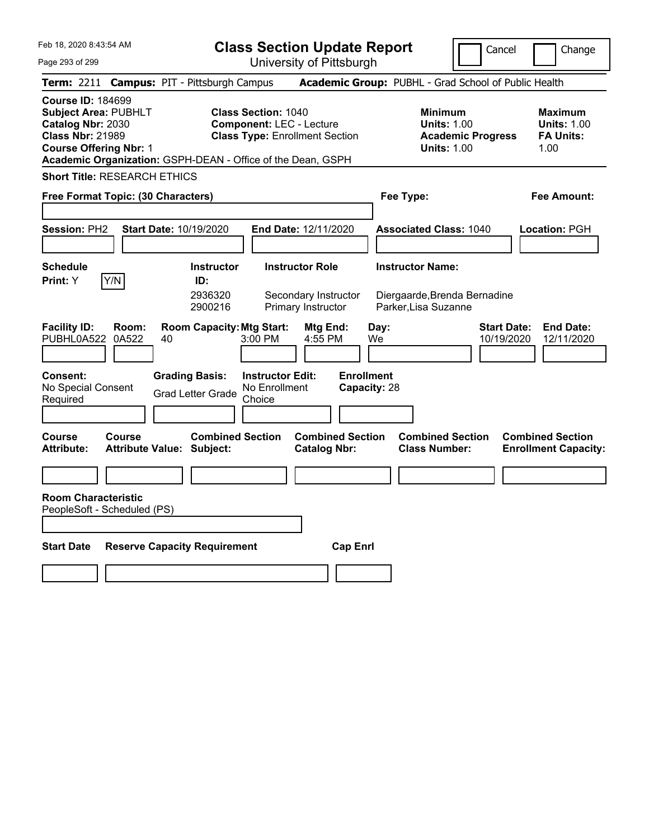|  | Feb 18, 2020 8:43:54 AM |  |
|--|-------------------------|--|
|  |                         |  |

**Class Section Update Report**

Cancel **Change** 

| Page 293 of 299                                                                                                                          |                |                                                             |                                                                                                        | University of Pittsburgh                       |                                                            | ----                             | -----                                                            |
|------------------------------------------------------------------------------------------------------------------------------------------|----------------|-------------------------------------------------------------|--------------------------------------------------------------------------------------------------------|------------------------------------------------|------------------------------------------------------------|----------------------------------|------------------------------------------------------------------|
|                                                                                                                                          |                | Term: 2211 Campus: PIT - Pittsburgh Campus                  |                                                                                                        |                                                | Academic Group: PUBHL - Grad School of Public Health       |                                  |                                                                  |
| <b>Course ID: 184699</b><br><b>Subject Area: PUBHLT</b><br>Catalog Nbr: 2030<br><b>Class Nbr: 21989</b><br><b>Course Offering Nbr: 1</b> |                | Academic Organization: GSPH-DEAN - Office of the Dean, GSPH | <b>Class Section: 1040</b><br><b>Component: LEC - Lecture</b><br><b>Class Type: Enrollment Section</b> |                                                | <b>Minimum</b><br><b>Units: 1.00</b><br><b>Units: 1.00</b> | <b>Academic Progress</b>         | <b>Maximum</b><br><b>Units: 1.00</b><br><b>FA Units:</b><br>1.00 |
| <b>Short Title: RESEARCH ETHICS</b>                                                                                                      |                |                                                             |                                                                                                        |                                                |                                                            |                                  |                                                                  |
| Free Format Topic: (30 Characters)                                                                                                       |                |                                                             |                                                                                                        |                                                | Fee Type:                                                  |                                  | Fee Amount:                                                      |
|                                                                                                                                          |                |                                                             |                                                                                                        |                                                |                                                            |                                  |                                                                  |
| Session: PH2                                                                                                                             |                | Start Date: 10/19/2020                                      |                                                                                                        | End Date: 12/11/2020                           | <b>Associated Class: 1040</b>                              |                                  | Location: PGH                                                    |
|                                                                                                                                          |                |                                                             |                                                                                                        |                                                |                                                            |                                  |                                                                  |
| <b>Schedule</b>                                                                                                                          |                | <b>Instructor</b>                                           | <b>Instructor Role</b>                                                                                 |                                                | <b>Instructor Name:</b>                                    |                                  |                                                                  |
| <b>Print:</b> Y                                                                                                                          | Y/N            | ID:<br>2936320                                              |                                                                                                        | Secondary Instructor                           | Diergaarde, Brenda Bernadine                               |                                  |                                                                  |
|                                                                                                                                          |                | 2900216                                                     |                                                                                                        | Primary Instructor                             | Parker, Lisa Suzanne                                       |                                  |                                                                  |
| <b>Facility ID:</b><br>PUBHL0A522                                                                                                        | Room:<br>0A522 | <b>Room Capacity: Mtg Start:</b><br>40                      | 3:00 PM                                                                                                | Mtg End:<br>4:55 PM                            | Day:<br>We                                                 | <b>Start Date:</b><br>10/19/2020 | <b>End Date:</b><br>12/11/2020                                   |
| <b>Consent:</b><br>No Special Consent<br>Required                                                                                        |                | <b>Grading Basis:</b><br><b>Grad Letter Grade</b>           | <b>Instructor Edit:</b><br>No Enrollment<br>Choice                                                     |                                                | <b>Enrollment</b><br>Capacity: 28                          |                                  |                                                                  |
| <b>Course</b><br><b>Attribute:</b>                                                                                                       | <b>Course</b>  | <b>Combined Section</b><br><b>Attribute Value: Subject:</b> |                                                                                                        | <b>Combined Section</b><br><b>Catalog Nbr:</b> | <b>Combined Section</b><br><b>Class Number:</b>            |                                  | <b>Combined Section</b><br><b>Enrollment Capacity:</b>           |
|                                                                                                                                          |                |                                                             |                                                                                                        |                                                |                                                            |                                  |                                                                  |
| <b>Room Characteristic</b><br>PeopleSoft - Scheduled (PS)                                                                                |                |                                                             |                                                                                                        |                                                |                                                            |                                  |                                                                  |
|                                                                                                                                          |                |                                                             |                                                                                                        |                                                |                                                            |                                  |                                                                  |
| <b>Start Date</b>                                                                                                                        |                | <b>Reserve Capacity Requirement</b>                         |                                                                                                        | <b>Cap Enri</b>                                |                                                            |                                  |                                                                  |
|                                                                                                                                          |                |                                                             |                                                                                                        |                                                |                                                            |                                  |                                                                  |
|                                                                                                                                          |                |                                                             |                                                                                                        |                                                |                                                            |                                  |                                                                  |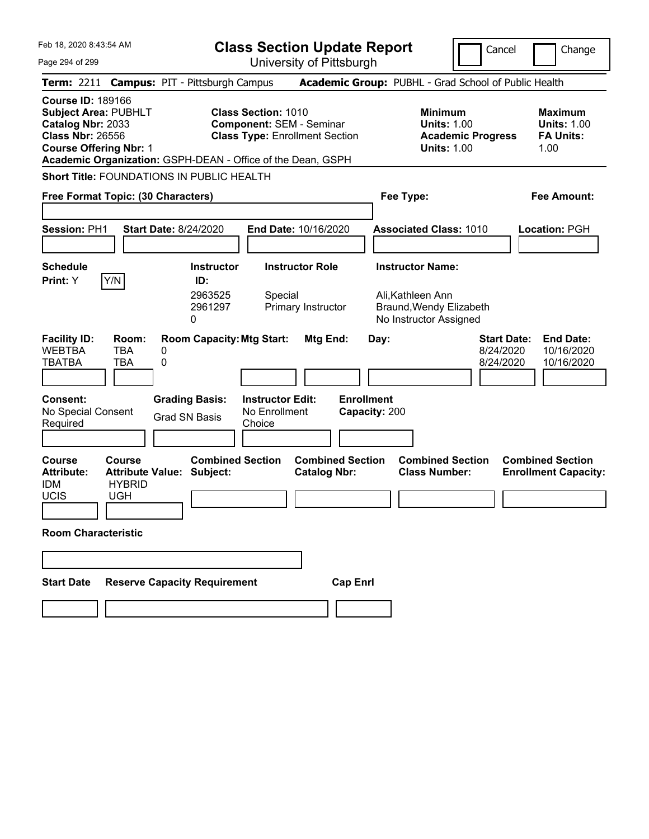| Feb 18, 2020 8:43:54 AM<br><b>Class Section Update Report</b><br>University of Pittsburgh<br>Page 294 of 299 |  |                                                              |                                               |                                                               |                                                                                                      |                   | Cancel                                                                                            |                          | Change                                       |                                                                  |
|--------------------------------------------------------------------------------------------------------------|--|--------------------------------------------------------------|-----------------------------------------------|---------------------------------------------------------------|------------------------------------------------------------------------------------------------------|-------------------|---------------------------------------------------------------------------------------------------|--------------------------|----------------------------------------------|------------------------------------------------------------------|
|                                                                                                              |  |                                                              |                                               | Term: 2211 Campus: PIT - Pittsburgh Campus                    |                                                                                                      |                   | Academic Group: PUBHL - Grad School of Public Health                                              |                          |                                              |                                                                  |
| <b>Course ID: 189166</b><br>Catalog Nbr: 2033<br><b>Class Nbr: 26556</b>                                     |  | <b>Subject Area: PUBHLT</b><br><b>Course Offering Nbr: 1</b> |                                               | <b>Class Section: 1010</b><br><b>Component: SEM - Seminar</b> | <b>Class Type: Enrollment Section</b><br>Academic Organization: GSPH-DEAN - Office of the Dean, GSPH |                   | <b>Minimum</b><br><b>Units: 1.00</b><br><b>Units: 1.00</b>                                        | <b>Academic Progress</b> |                                              | <b>Maximum</b><br><b>Units: 1.00</b><br><b>FA Units:</b><br>1.00 |
|                                                                                                              |  |                                                              |                                               | Short Title: FOUNDATIONS IN PUBLIC HEALTH                     |                                                                                                      |                   |                                                                                                   |                          |                                              |                                                                  |
|                                                                                                              |  |                                                              | Free Format Topic: (30 Characters)            |                                                               |                                                                                                      |                   | Fee Type:                                                                                         |                          |                                              | Fee Amount:                                                      |
| Session: PH1                                                                                                 |  |                                                              | <b>Start Date: 8/24/2020</b>                  |                                                               | End Date: 10/16/2020                                                                                 |                   | <b>Associated Class: 1010</b>                                                                     |                          |                                              | Location: PGH                                                    |
| <b>Schedule</b><br>Print: Y                                                                                  |  | Y/N                                                          | ID:<br>2963525<br>2961297<br>0                | <b>Instructor</b><br>Special                                  | <b>Instructor Role</b><br>Primary Instructor                                                         |                   | <b>Instructor Name:</b><br>Ali, Kathleen Ann<br>Braund, Wendy Elizabeth<br>No Instructor Assigned |                          |                                              |                                                                  |
| <b>Facility ID:</b><br><b>WEBTBA</b><br><b>TBATBA</b>                                                        |  | Room:<br><b>TBA</b><br><b>TBA</b>                            | 0<br>0                                        | <b>Room Capacity: Mtg Start:</b>                              | Mtg End:                                                                                             |                   | Day:                                                                                              |                          | <b>Start Date:</b><br>8/24/2020<br>8/24/2020 | <b>End Date:</b><br>10/16/2020<br>10/16/2020                     |
| Consent:<br>No Special Consent<br>Required                                                                   |  |                                                              | <b>Grading Basis:</b><br><b>Grad SN Basis</b> | <b>Instructor Edit:</b><br>No Enrollment<br>Choice            |                                                                                                      | <b>Enrollment</b> | Capacity: 200                                                                                     |                          |                                              |                                                                  |
| <b>Course</b><br><b>Attribute:</b><br><b>IDM</b><br><b>UCIS</b>                                              |  | <b>Course</b><br><b>HYBRID</b><br><b>UGH</b>                 | <b>Attribute Value: Subject:</b>              | <b>Combined Section</b>                                       | <b>Combined Section</b><br><b>Catalog Nbr:</b>                                                       |                   | <b>Combined Section</b><br><b>Class Number:</b>                                                   |                          |                                              | <b>Combined Section</b><br><b>Enrollment Capacity:</b>           |
|                                                                                                              |  | <b>Room Characteristic</b>                                   |                                               |                                                               |                                                                                                      |                   |                                                                                                   |                          |                                              |                                                                  |
|                                                                                                              |  |                                                              |                                               |                                                               |                                                                                                      |                   |                                                                                                   |                          |                                              |                                                                  |
| <b>Start Date</b>                                                                                            |  |                                                              | <b>Reserve Capacity Requirement</b>           |                                                               |                                                                                                      | <b>Cap Enrl</b>   |                                                                                                   |                          |                                              |                                                                  |
|                                                                                                              |  |                                                              |                                               |                                                               |                                                                                                      |                   |                                                                                                   |                          |                                              |                                                                  |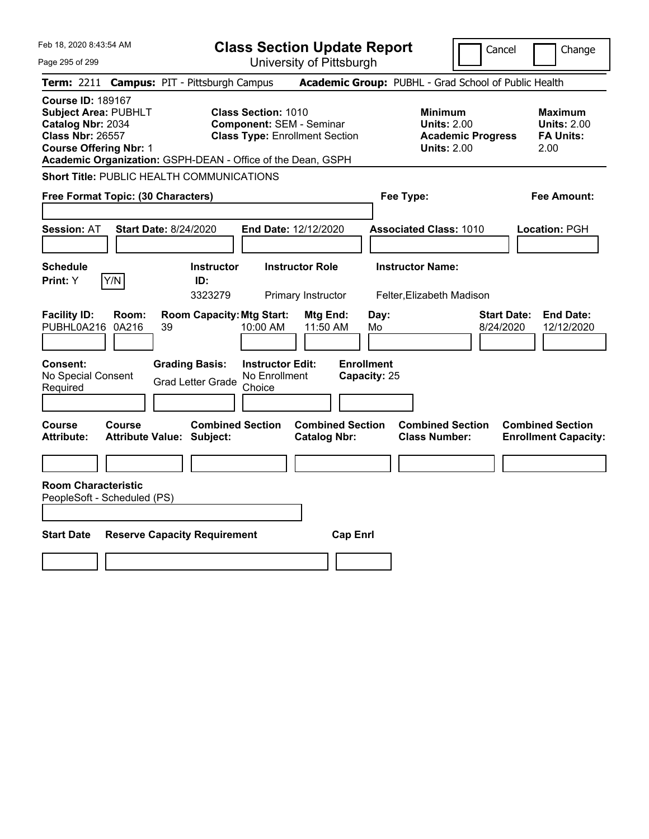| Feb 18, 2020 8:43:54 AM                                                                                                                                                                                                                                                                                           | <b>Class Section Update Report</b><br>Change<br>Cancel                                                                                                      |
|-------------------------------------------------------------------------------------------------------------------------------------------------------------------------------------------------------------------------------------------------------------------------------------------------------------------|-------------------------------------------------------------------------------------------------------------------------------------------------------------|
| Page 295 of 299                                                                                                                                                                                                                                                                                                   | University of Pittsburgh                                                                                                                                    |
| Term: 2211 Campus: PIT - Pittsburgh Campus                                                                                                                                                                                                                                                                        | Academic Group: PUBHL - Grad School of Public Health                                                                                                        |
| <b>Course ID: 189167</b><br><b>Subject Area: PUBHLT</b><br><b>Class Section: 1010</b><br>Catalog Nbr: 2034<br><b>Component: SEM - Seminar</b><br><b>Class Nbr: 26557</b><br><b>Class Type: Enrollment Section</b><br><b>Course Offering Nbr: 1</b><br>Academic Organization: GSPH-DEAN - Office of the Dean, GSPH | <b>Minimum</b><br><b>Maximum</b><br><b>Units: 2.00</b><br><b>Units: 2.00</b><br><b>Academic Progress</b><br><b>FA Units:</b><br><b>Units: 2.00</b><br>2.00  |
| <b>Short Title: PUBLIC HEALTH COMMUNICATIONS</b>                                                                                                                                                                                                                                                                  |                                                                                                                                                             |
| Free Format Topic: (30 Characters)                                                                                                                                                                                                                                                                                | Fee Type:<br>Fee Amount:                                                                                                                                    |
| Session: AT<br><b>Start Date: 8/24/2020</b>                                                                                                                                                                                                                                                                       | End Date: 12/12/2020<br><b>Associated Class: 1010</b><br>Location: PGH                                                                                      |
|                                                                                                                                                                                                                                                                                                                   |                                                                                                                                                             |
| Schedule<br><b>Instructor</b><br>Y/N<br>Print: Y<br>ID:<br>3323279                                                                                                                                                                                                                                                | <b>Instructor Role</b><br><b>Instructor Name:</b><br>Primary Instructor<br>Felter, Elizabeth Madison                                                        |
| <b>Facility ID:</b><br><b>Room Capacity: Mtg Start:</b><br>Room:<br>0A216<br>PUBHL0A216<br>39<br>10:00 AM                                                                                                                                                                                                         | <b>Start Date:</b><br><b>End Date:</b><br>Mtg End:<br>Day:<br>11:50 AM<br>8/24/2020<br>12/12/2020<br>Mo                                                     |
| Consent:<br><b>Grading Basis:</b><br><b>Instructor Edit:</b><br>No Special Consent<br>No Enrollment<br><b>Grad Letter Grade</b><br>Required<br>Choice                                                                                                                                                             | <b>Enrollment</b><br>Capacity: 25                                                                                                                           |
| <b>Combined Section</b><br>Course<br>Course<br><b>Attribute Value: Subject:</b><br>Attribute:                                                                                                                                                                                                                     | <b>Combined Section</b><br><b>Combined Section</b><br><b>Combined Section</b><br><b>Catalog Nbr:</b><br><b>Class Number:</b><br><b>Enrollment Capacity:</b> |
| <b>Room Characteristic</b>                                                                                                                                                                                                                                                                                        |                                                                                                                                                             |
| PeopleSoft - Scheduled (PS)                                                                                                                                                                                                                                                                                       |                                                                                                                                                             |
|                                                                                                                                                                                                                                                                                                                   |                                                                                                                                                             |
| <b>Start Date</b><br><b>Reserve Capacity Requirement</b>                                                                                                                                                                                                                                                          | <b>Cap Enrl</b>                                                                                                                                             |
|                                                                                                                                                                                                                                                                                                                   |                                                                                                                                                             |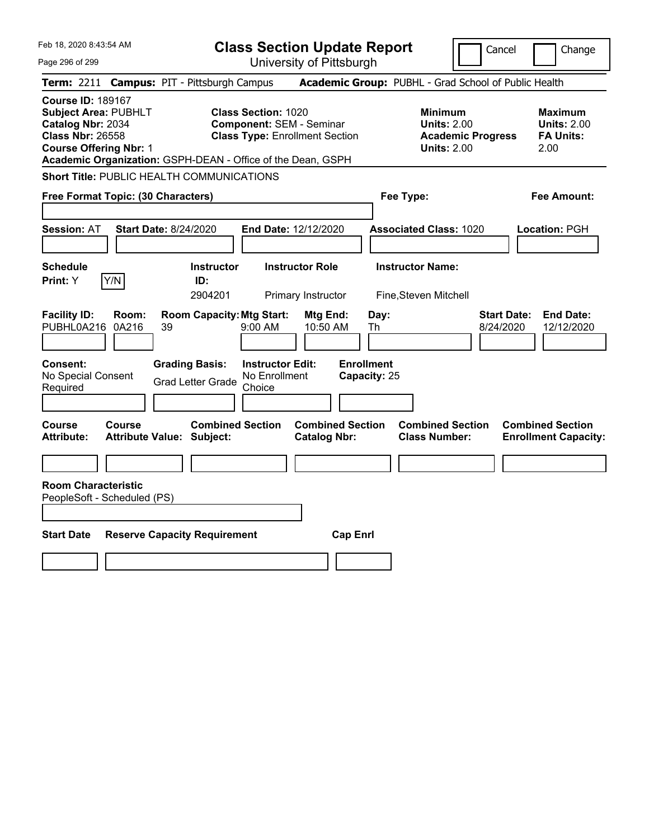| Feb 18, 2020 8:43:54 AM                                                                                                                                                                                 |                                            |                                                   |                                                                                                        |                                              | <b>Class Section Update Report</b> |                                                            | Cancel                   | Change                                                            |
|---------------------------------------------------------------------------------------------------------------------------------------------------------------------------------------------------------|--------------------------------------------|---------------------------------------------------|--------------------------------------------------------------------------------------------------------|----------------------------------------------|------------------------------------|------------------------------------------------------------|--------------------------|-------------------------------------------------------------------|
| Page 296 of 299                                                                                                                                                                                         |                                            |                                                   |                                                                                                        | University of Pittsburgh                     |                                    |                                                            |                          |                                                                   |
| <b>Term: 2211</b>                                                                                                                                                                                       | <b>Campus: PIT - Pittsburgh Campus</b>     |                                                   |                                                                                                        |                                              |                                    |                                                            |                          | Academic Group: PUBHL - Grad School of Public Health              |
| <b>Course ID: 189167</b><br><b>Subject Area: PUBHLT</b><br>Catalog Nbr: 2034<br><b>Class Nbr: 26558</b><br><b>Course Offering Nbr: 1</b><br>Academic Organization: GSPH-DEAN - Office of the Dean, GSPH |                                            |                                                   | <b>Class Section: 1020</b><br><b>Component: SEM - Seminar</b><br><b>Class Type: Enrollment Section</b> |                                              |                                    | <b>Minimum</b><br><b>Units: 2.00</b><br><b>Units: 2.00</b> | <b>Academic Progress</b> | <b>Maximum</b><br><b>Units: 2.00</b><br><b>FA Units:</b><br>2.00  |
| <b>Short Title: PUBLIC HEALTH COMMUNICATIONS</b>                                                                                                                                                        |                                            |                                                   |                                                                                                        |                                              |                                    |                                                            |                          |                                                                   |
| Free Format Topic: (30 Characters)                                                                                                                                                                      |                                            |                                                   |                                                                                                        |                                              |                                    | Fee Type:                                                  |                          | Fee Amount:                                                       |
| <b>Session: AT</b>                                                                                                                                                                                      | <b>Start Date: 8/24/2020</b>               |                                                   | End Date: 12/12/2020                                                                                   |                                              |                                    | <b>Associated Class: 1020</b>                              |                          | Location: PGH                                                     |
| <b>Schedule</b><br>Y/N<br>Print: Y                                                                                                                                                                      |                                            | <b>Instructor</b><br>ID:<br>2904201               |                                                                                                        | <b>Instructor Role</b><br>Primary Instructor |                                    | <b>Instructor Name:</b><br>Fine, Steven Mitchell           |                          |                                                                   |
| <b>Facility ID:</b><br>PUBHL0A216                                                                                                                                                                       | Room:<br>0A216<br>39                       | <b>Room Capacity: Mtg Start:</b>                  | 9:00 AM                                                                                                | Mtg End:<br>10:50 AM                         | Day:<br>Th                         |                                                            |                          | <b>End Date:</b><br><b>Start Date:</b><br>8/24/2020<br>12/12/2020 |
| Consent:<br>No Special Consent<br>Required                                                                                                                                                              |                                            | <b>Grading Basis:</b><br><b>Grad Letter Grade</b> | <b>Instructor Edit:</b><br>No Enrollment<br>Choice                                                     |                                              | <b>Enrollment</b><br>Capacity: 25  |                                                            |                          |                                                                   |
| Course<br>Attribute:                                                                                                                                                                                    | Course<br><b>Attribute Value: Subject:</b> | <b>Combined Section</b>                           |                                                                                                        | <b>Catalog Nbr:</b>                          | <b>Combined Section</b>            | <b>Combined Section</b><br><b>Class Number:</b>            |                          | <b>Combined Section</b><br><b>Enrollment Capacity:</b>            |
|                                                                                                                                                                                                         |                                            |                                                   |                                                                                                        |                                              |                                    |                                                            |                          |                                                                   |
| <b>Room Characteristic</b><br>PeopleSoft - Scheduled (PS)                                                                                                                                               |                                            |                                                   |                                                                                                        |                                              |                                    |                                                            |                          |                                                                   |
|                                                                                                                                                                                                         |                                            |                                                   |                                                                                                        |                                              |                                    |                                                            |                          |                                                                   |
| <b>Start Date</b>                                                                                                                                                                                       | <b>Reserve Capacity Requirement</b>        |                                                   |                                                                                                        |                                              | <b>Cap Enrl</b>                    |                                                            |                          |                                                                   |
|                                                                                                                                                                                                         |                                            |                                                   |                                                                                                        |                                              |                                    |                                                            |                          |                                                                   |
|                                                                                                                                                                                                         |                                            |                                                   |                                                                                                        |                                              |                                    |                                                            |                          |                                                                   |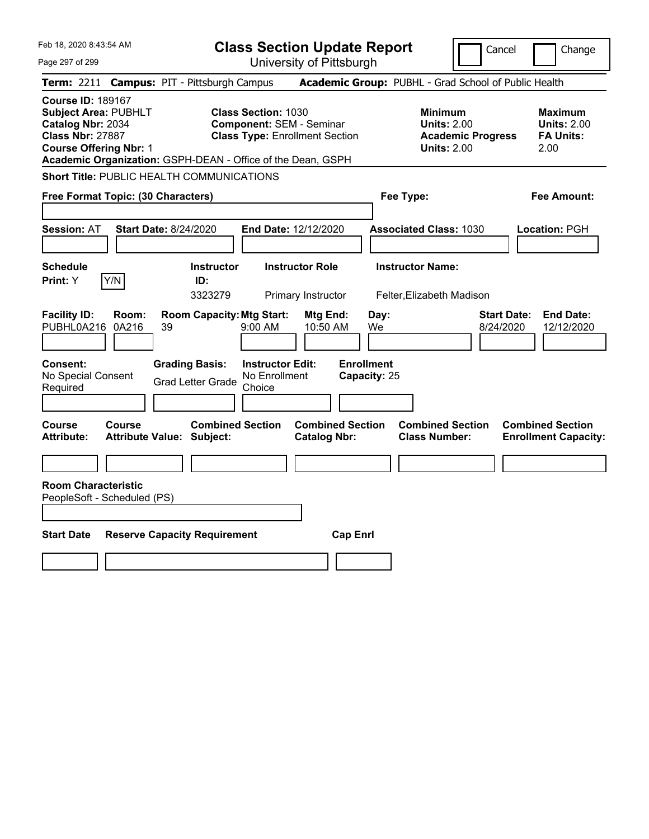| Feb 18, 2020 8:43:54 AM                                                                                                                  |                                            |                                                             |                                                    | <b>Class Section Update Report</b>                                       |                                   |                                                            |                          | Cancel                          | Change                                                           |
|------------------------------------------------------------------------------------------------------------------------------------------|--------------------------------------------|-------------------------------------------------------------|----------------------------------------------------|--------------------------------------------------------------------------|-----------------------------------|------------------------------------------------------------|--------------------------|---------------------------------|------------------------------------------------------------------|
| Page 297 of 299                                                                                                                          |                                            |                                                             |                                                    | University of Pittsburgh                                                 |                                   |                                                            |                          |                                 |                                                                  |
| <b>Term: 2211</b>                                                                                                                        |                                            | <b>Campus: PIT - Pittsburgh Campus</b>                      |                                                    |                                                                          |                                   | Academic Group: PUBHL - Grad School of Public Health       |                          |                                 |                                                                  |
| <b>Course ID: 189167</b><br><b>Subject Area: PUBHLT</b><br>Catalog Nbr: 2034<br><b>Class Nbr: 27887</b><br><b>Course Offering Nbr: 1</b> |                                            | Academic Organization: GSPH-DEAN - Office of the Dean, GSPH | <b>Class Section: 1030</b>                         | <b>Component: SEM - Seminar</b><br><b>Class Type: Enrollment Section</b> |                                   | <b>Minimum</b><br><b>Units: 2.00</b><br><b>Units: 2.00</b> | <b>Academic Progress</b> |                                 | <b>Maximum</b><br><b>Units: 2.00</b><br><b>FA Units:</b><br>2.00 |
|                                                                                                                                          |                                            | <b>Short Title: PUBLIC HEALTH COMMUNICATIONS</b>            |                                                    |                                                                          |                                   |                                                            |                          |                                 |                                                                  |
| Free Format Topic: (30 Characters)                                                                                                       |                                            |                                                             |                                                    |                                                                          |                                   | Fee Type:                                                  |                          |                                 | Fee Amount:                                                      |
| <b>Session: AT</b>                                                                                                                       | <b>Start Date: 8/24/2020</b>               |                                                             |                                                    | End Date: 12/12/2020                                                     |                                   | <b>Associated Class: 1030</b>                              |                          |                                 | Location: PGH                                                    |
| <b>Schedule</b><br>Print: Y                                                                                                              | Y/N                                        | <b>Instructor</b><br>ID:<br>3323279                         |                                                    | <b>Instructor Role</b><br>Primary Instructor                             |                                   | <b>Instructor Name:</b><br>Felter, Elizabeth Madison       |                          |                                 |                                                                  |
| <b>Facility ID:</b><br>PUBHL0A216                                                                                                        | Room:<br>0A216<br>39                       | <b>Room Capacity: Mtg Start:</b>                            | 9:00 AM                                            | Mtg End:<br>10:50 AM                                                     | Day:<br>We                        |                                                            |                          | <b>Start Date:</b><br>8/24/2020 | <b>End Date:</b><br>12/12/2020                                   |
| Consent:<br>No Special Consent<br>Required                                                                                               |                                            | <b>Grading Basis:</b><br><b>Grad Letter Grade</b>           | <b>Instructor Edit:</b><br>No Enrollment<br>Choice |                                                                          | <b>Enrollment</b><br>Capacity: 25 |                                                            |                          |                                 |                                                                  |
| Course<br>Attribute:                                                                                                                     | Course<br><b>Attribute Value: Subject:</b> | <b>Combined Section</b>                                     |                                                    | <b>Combined Section</b><br><b>Catalog Nbr:</b>                           |                                   | <b>Combined Section</b><br><b>Class Number:</b>            |                          |                                 | <b>Combined Section</b><br><b>Enrollment Capacity:</b>           |
| <b>Room Characteristic</b><br>PeopleSoft - Scheduled (PS)                                                                                |                                            |                                                             |                                                    |                                                                          |                                   |                                                            |                          |                                 |                                                                  |
| <b>Start Date</b>                                                                                                                        |                                            | <b>Reserve Capacity Requirement</b>                         |                                                    | <b>Cap Enrl</b>                                                          |                                   |                                                            |                          |                                 |                                                                  |
|                                                                                                                                          |                                            |                                                             |                                                    |                                                                          |                                   |                                                            |                          |                                 |                                                                  |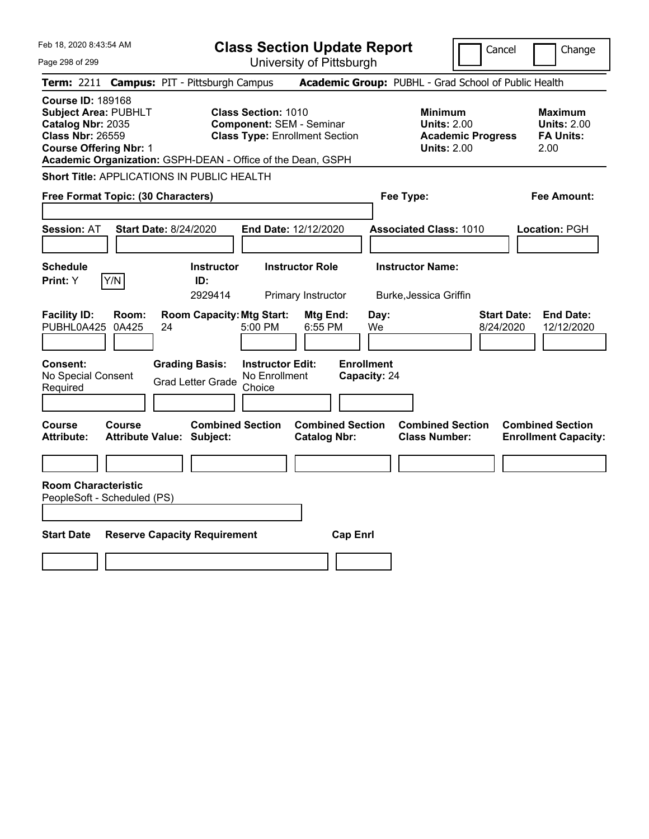| University of Pittsburgh<br>Page 298 of 299<br>Academic Group: PUBHL - Grad School of Public Health<br>Term: 2211 Campus: PIT - Pittsburgh Campus<br><b>Course ID: 189168</b><br><b>Subject Area: PUBHLT</b><br><b>Class Section: 1010</b><br><b>Minimum</b><br><b>Maximum</b><br>Catalog Nbr: 2035<br><b>Component: SEM - Seminar</b><br><b>Units: 2.00</b><br><b>Units: 2.00</b><br><b>Class Nbr: 26559</b><br><b>Class Type: Enrollment Section</b><br><b>Academic Progress</b><br><b>FA Units:</b><br><b>Course Offering Nbr: 1</b><br><b>Units: 2.00</b><br>2.00<br>Academic Organization: GSPH-DEAN - Office of the Dean, GSPH<br>Short Title: APPLICATIONS IN PUBLIC HEALTH<br>Free Format Topic: (30 Characters)<br>Fee Type:<br>Fee Amount:<br>Session: AT<br><b>Start Date: 8/24/2020</b><br>End Date: 12/12/2020<br><b>Associated Class: 1010</b><br>Location: PGH<br><b>Instructor Role</b><br><b>Instructor Name:</b><br>Schedule<br><b>Instructor</b><br>Y/N<br>Print: Y<br>ID:<br>2929414<br>Primary Instructor<br>Burke, Jessica Griffin |  |
|----------------------------------------------------------------------------------------------------------------------------------------------------------------------------------------------------------------------------------------------------------------------------------------------------------------------------------------------------------------------------------------------------------------------------------------------------------------------------------------------------------------------------------------------------------------------------------------------------------------------------------------------------------------------------------------------------------------------------------------------------------------------------------------------------------------------------------------------------------------------------------------------------------------------------------------------------------------------------------------------------------------------------------------------------------|--|
|                                                                                                                                                                                                                                                                                                                                                                                                                                                                                                                                                                                                                                                                                                                                                                                                                                                                                                                                                                                                                                                          |  |
|                                                                                                                                                                                                                                                                                                                                                                                                                                                                                                                                                                                                                                                                                                                                                                                                                                                                                                                                                                                                                                                          |  |
|                                                                                                                                                                                                                                                                                                                                                                                                                                                                                                                                                                                                                                                                                                                                                                                                                                                                                                                                                                                                                                                          |  |
|                                                                                                                                                                                                                                                                                                                                                                                                                                                                                                                                                                                                                                                                                                                                                                                                                                                                                                                                                                                                                                                          |  |
|                                                                                                                                                                                                                                                                                                                                                                                                                                                                                                                                                                                                                                                                                                                                                                                                                                                                                                                                                                                                                                                          |  |
|                                                                                                                                                                                                                                                                                                                                                                                                                                                                                                                                                                                                                                                                                                                                                                                                                                                                                                                                                                                                                                                          |  |
|                                                                                                                                                                                                                                                                                                                                                                                                                                                                                                                                                                                                                                                                                                                                                                                                                                                                                                                                                                                                                                                          |  |
| <b>Facility ID:</b><br><b>Room Capacity: Mtg Start:</b><br><b>Start Date:</b><br><b>End Date:</b><br>Room:<br>Mtg End:<br>Day:<br>0A425<br>5:00 PM<br>6:55 PM<br>PUBHL0A425<br>24<br>We<br>8/24/2020<br>12/12/2020                                                                                                                                                                                                                                                                                                                                                                                                                                                                                                                                                                                                                                                                                                                                                                                                                                       |  |
| <b>Enrollment</b><br>Consent:<br><b>Grading Basis:</b><br><b>Instructor Edit:</b><br>No Special Consent<br>No Enrollment<br>Capacity: 24<br><b>Grad Letter Grade</b><br>Required<br>Choice                                                                                                                                                                                                                                                                                                                                                                                                                                                                                                                                                                                                                                                                                                                                                                                                                                                               |  |
| <b>Combined Section</b><br><b>Combined Section</b><br><b>Combined Section</b><br><b>Combined Section</b><br>Course<br>Course<br><b>Attribute Value: Subject:</b><br><b>Catalog Nbr:</b><br><b>Class Number:</b><br><b>Enrollment Capacity:</b><br>Attribute:                                                                                                                                                                                                                                                                                                                                                                                                                                                                                                                                                                                                                                                                                                                                                                                             |  |
| <b>Room Characteristic</b><br>PeopleSoft - Scheduled (PS)                                                                                                                                                                                                                                                                                                                                                                                                                                                                                                                                                                                                                                                                                                                                                                                                                                                                                                                                                                                                |  |
| <b>Start Date</b><br><b>Reserve Capacity Requirement</b><br><b>Cap Enrl</b>                                                                                                                                                                                                                                                                                                                                                                                                                                                                                                                                                                                                                                                                                                                                                                                                                                                                                                                                                                              |  |